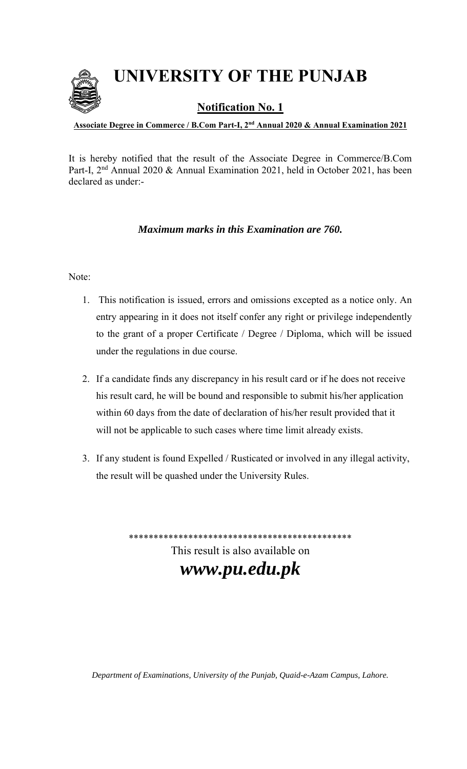**UNIVERSITY OF THE PUNJAB**



**Notification No. 1** 

**Associate Degree in Commerce / B.Com Part-I, 2nd Annual 2020 & Annual Examination 2021**

It is hereby notified that the result of the Associate Degree in Commerce/B.Com Part-I, 2<sup>nd</sup> Annual 2020 & Annual Examination 2021, held in October 2021, has been declared as under:-

# *Maximum marks in this Examination are 760.*

# Note:

- 1. This notification is issued, errors and omissions excepted as a notice only. An entry appearing in it does not itself confer any right or privilege independently to the grant of a proper Certificate / Degree / Diploma, which will be issued under the regulations in due course.
- 2. If a candidate finds any discrepancy in his result card or if he does not receive his result card, he will be bound and responsible to submit his/her application within 60 days from the date of declaration of his/her result provided that it will not be applicable to such cases where time limit already exists.
- 3. If any student is found Expelled / Rusticated or involved in any illegal activity, the result will be quashed under the University Rules.

\*\*\*\*\*\*\*\*\*\*\*\*\*\*\*\*\*\*\*\*\*\*\*\*\*\*\*\*\*\*\*\*\*\*\*\*\*\*\*\*\*\*\*\*\*

This result is also available on *www.pu.edu.pk*

*Department of Examinations, University of the Punjab, Quaid-e-Azam Campus, Lahore.*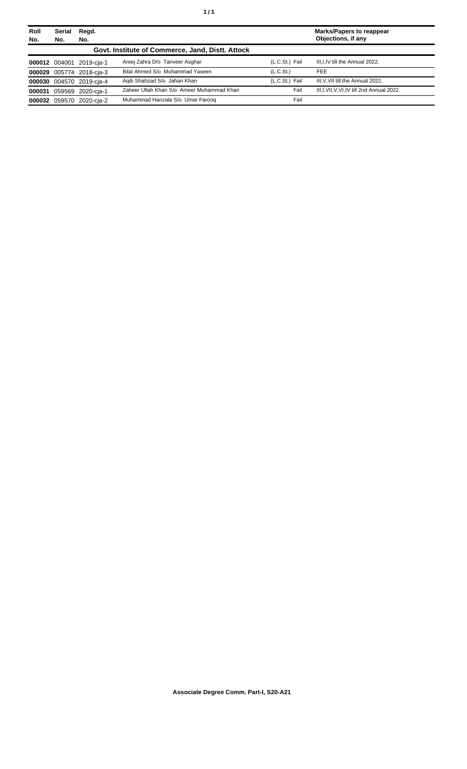| Roll<br>No. | Serial<br>No. | Regd.<br>No.             |                                                  |                       | <b>Marks/Papers to reappear</b><br>Objections, if any |
|-------------|---------------|--------------------------|--------------------------------------------------|-----------------------|-------------------------------------------------------|
|             |               |                          | Govt. Institute of Commerce, Jand, Distt. Attock |                       |                                                       |
|             | 000012 004001 | 2019-cia-1               | Areej Zahra D/o Tanveer Asghar                   | (L.C.St.) Fail        | III, I, IV till the Annual 2022.                      |
|             |               | 000029 005774 2018-cja-3 | Bilal Ahmed S/o Muhammad Yaseen                  | (L.C.S <sub>t</sub> ) | <b>FEE</b>                                            |
|             |               | 000030 004570 2019-cja-4 | Agib Shahzad S/o Jahan Khan                      | (L.C.St.) Fail        | III, V, VII till the Annual 2022.                     |
|             |               | 000031 059569 2020-cja-1 | Zaheer Ullah Khan S/o Ameer Muhammad Khan        | Fail                  | III, I, VII, V, VI, IV till 2nd Annual 2022.          |
|             | 000032 059570 | 2020-cja-2               | Muhammad Hanzala S/o Umar Faroog                 | Fail                  |                                                       |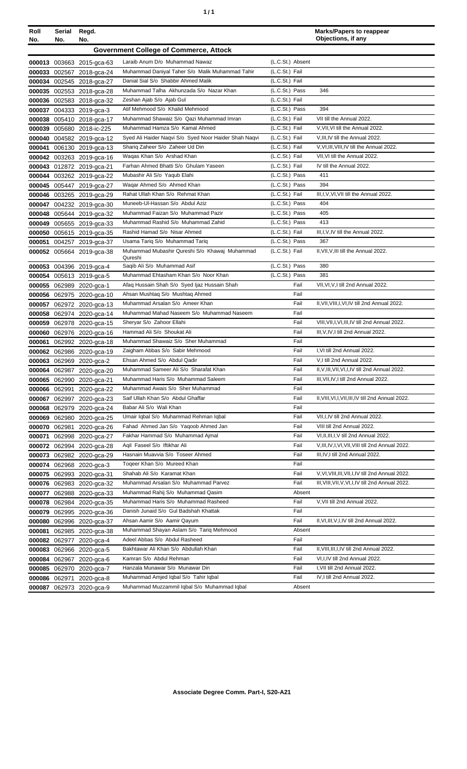| Roll<br>No. | Serial<br>No. | Regd.<br>No.              |                                                            |                  | <b>Marks/Papers to reappear</b><br>Objections, if any |
|-------------|---------------|---------------------------|------------------------------------------------------------|------------------|-------------------------------------------------------|
|             |               |                           | <b>Government College of Commerce, Attock</b>              |                  |                                                       |
|             |               | 000013 003663 2015-gca-63 | Laraib Anum D/o Muhammad Nawaz                             | (L.C.St.) Absent |                                                       |
|             |               | 000033 002567 2018-gca-24 | Muhammad Daniyal Taher S/o Malik Muhammad Tahir            | (L.C.St.) Fail   |                                                       |
|             |               | 000034 002545 2018-gca-27 | Danial Sial S/o Shabbir Ahmed Malik                        | (L.C.St.) Fail   |                                                       |
|             |               | 000035 002553 2018-gca-28 | Muhammad Talha Akhunzada S/o Nazar Khan                    | (L.C.St.) Pass   | 346                                                   |
|             |               | 000036 002583 2018-gca-32 | Zeshan Ajab S/o Ajab Gul                                   | (L.C.St.) Fail   |                                                       |
|             |               | 000037 004333 2019-gca-3  | Atif Mehmood S/o Khalid Mehmood                            | (L.C.St.) Pass   | 394                                                   |
|             |               | 000038 005410 2018-gca-17 | Muhammad Shawaiz S/o Qazi Muhammad Imran                   | (L.C.St.) Fail   | VII till the Annual 2022.                             |
|             |               | 000039 005680 2018-ic-225 | Muhammad Hamza S/o Kamal Ahmed                             | (L.C.St.) Fail   | V, VII, VI till the Annual 2022.                      |
|             |               | 000040 004582 2019-gca-12 | Syed Ali Haider Naqvi S/o Syed Noor Haider Shah Naqvi      | (L.C.St.) Fail   | V, III, IV till the Annual 2022.                      |
|             |               | 000041 006130 2019-gca-13 | Shariq Zaheer S/o Zaheer Ud Din                            | (L.C.St.) Fail   | V, VI, III, VIII, IV till the Annual 2022.            |
|             |               | 000042 003263 2019-gca-16 | Waqas Khan S/o Arshad Khan                                 | (L.C.St.) Fail   | VII, VI till the Annual 2022.                         |
|             |               |                           | Farhan Ahmed Bhatti S/o Ghulam Yaseen                      | (L.C.St.) Fail   | IV till the Annual 2022.                              |
|             |               | 000043 012872 2019-gca-21 |                                                            | (L.C.St.) Pass   | 411                                                   |
|             |               | 000044 003262 2019-gca-22 | Mubashir Ali S/o Yaqub Elahi<br>Wagar Ahmed S/o Ahmed Khan | (L.C.St.) Pass   | 394                                                   |
|             |               | 000045 005447 2019-gca-27 |                                                            |                  |                                                       |
|             |               | 000046 003265 2019-gca-29 | Rahat Ullah Khan S/o Rehmat Khan                           | (L.C.St.) Fail   | III, I, V, VI, VII till the Annual 2022.              |
|             |               | 000047 004232 2019-gca-30 | Muneeb-Ul-Hassan S/o Abdul Aziz                            | (L.C.St.) Pass   | 404                                                   |
|             |               | 000048 005644 2019-gca-32 | Muhammad Faizan S/o Muhammad Pazir                         | (L.C.St.) Pass   | 405                                                   |
|             |               | 000049 005655 2019-gca-33 | Muhammad Rashid S/o Muhammad Zahid                         | (L.C.St.) Pass   | 413                                                   |
|             |               | 000050 005615 2019-gca-35 | Rashid Hamad S/o Nisar Ahmed                               | (L.C.St.) Fail   | III, I, V, IV till the Annual 2022.                   |
|             |               | 000051 004257 2019-gca-37 | Usama Tariq S/o Muhammad Tariq                             | (L.C.St.) Pass   | 367                                                   |
|             |               | 000052 005664 2019-gca-38 | Muhammad Mubashir Qureshi S/o Khawaj Muhammad<br>Qureshi   | (L.C.St.) Fail   | II, VII, V, III till the Annual 2022.                 |
|             |               | 000053 004396 2019-gca-4  | Saqib Ali S/o Muhammad Asif                                | (L.C.St.) Pass   | 380                                                   |
|             |               | 000054 005613 2019-gca-5  | Muhammad Ehtasham Khan S/o Noor Khan                       | (L.C.St.) Pass   | 381                                                   |
|             |               | 000055 062989 2020-gca-1  | Afaq Hussain Shah S/o Syed Ijaz Hussain Shah               | Fail             | VII, VI, V, I till 2nd Annual 2022.                   |
|             |               | 000056 062975 2020-gca-10 | Ahsan Mushtaq S/o Mushtaq Ahmed                            | Fail             |                                                       |
|             |               | 000057 062972 2020-gca-13 | Muhammad Arsalan S/o Ameer Khan                            | Fail             | II, VII, VIII, I, VI, IV till 2nd Annual 2022.        |
|             |               | 000058 062974 2020-gca-14 | Muhammad Mahad Naseem S/o Muhammad Naseem                  | Fail             |                                                       |
|             |               | 000059 062978 2020-gca-15 | Sheryar S/o Zahoor Ellahi                                  | Fail             | VIII, VII, I, VI, III, IV till 2nd Annual 2022.       |
|             |               | 000060 062976 2020-gca-16 | Hammad Ali S/o Shoukat Ali                                 | Fail             | III, V, IV, I till 2nd Annual 2022.                   |
| 000061      |               | 062992 2020-gca-18        | Muhammad Shawaiz S/o Sher Muhammad                         | Fail             |                                                       |
|             |               | 000062 062986 2020-gca-19 | Zaigham Abbas S/o Sabir Mehmood                            | Fail             | I.VI till 2nd Annual 2022.                            |
|             |               | 000063 062969 2020-gca-2  | Ehsan Ahmed S/o Abdul Qadir                                | Fail             | V,I till 2nd Annual 2022.                             |
|             |               | 000064 062987 2020-gca-20 | Muhammad Sameer Ali S/o Sharafat Khan                      | Fail             | II, V, III, VII, VI, I, IV till 2nd Annual 2022.      |
|             |               | 000065 062990 2020-gca-21 | Muhammad Haris S/o Muhammad Saleem                         | Fail             | III, VII, IV, I till 2nd Annual 2022.                 |
|             |               | 000066 062991 2020-gca-22 | Muhammad Awais S/o Sher Muhammad                           | Fail             |                                                       |
|             |               | 000067 062997 2020-gca-23 | Saif Ullah Khan S/o Abdul Ghaffar                          | Fail             | II, VIII, VI, I, VII, III, IV till 2nd Annual 2022.   |
|             |               | 000068 062979 2020-gca-24 | Babar Ali S/o Wali Khan                                    | Fail             |                                                       |
|             |               | 000069 062980 2020-gca-25 | Umair Iqbal S/o Muhammad Rehman Iqbal                      | Fail             | VII, I, IV till 2nd Annual 2022.                      |
|             |               | 000070 062981 2020-gca-26 | Fahad Ahmed Jan S/o Yaqoob Ahmed Jan                       | Fail             | VIII till 2nd Annual 2022.                            |
|             |               | 000071 062998 2020-gca-27 | Fakhar Hammad S/o Muhammad Ajmal                           | Fail             | VI, II, III, I, V till 2nd Annual 2022.               |
|             |               |                           | Aqil Faseel S/o Iftikhar Ali                               | Fail             | V, III, IV, I, VI, VII, VIII till 2nd Annual 2022.    |
|             |               | 000072 062994 2020-gca-28 | Hasnain Muavvia S/o Toseer Ahmed                           | Fail             | III, IV, I till 2nd Annual 2022.                      |
|             |               | 000073 062982 2020-gca-29 | Togeer Khan S/o Mureed Khan                                | Fail             |                                                       |
|             |               | 000074 062968 2020-gca-3  |                                                            |                  |                                                       |
|             |               | 000075 062993 2020-gca-31 | Shahab Ali S/o Karamat Khan                                | Fail             | V, VI, VIII, III, VII, I, IV till 2nd Annual 2022.    |
|             |               | 000076 062983 2020-gca-32 | Muhammad Arsalan S/o Muhammad Parvez                       | Fail             | III, VIII, VII, V, VI, I, IV till 2nd Annual 2022.    |
|             |               | 000077 062988 2020-gca-33 | Muhammad Rahij S/o Muhammad Qasim                          | Absent           |                                                       |
|             |               | 000078 062984 2020-gca-35 | Muhammad Haris S/o Muhammad Rasheed                        | Fail             | V, VII till 2nd Annual 2022.                          |
|             |               | 000079 062995 2020-gca-36 | Danish Junaid S/o Gul Badshah Khattak                      | Fail             |                                                       |
|             |               | 000080 062996 2020-gca-37 | Ahsan Aamir S/o Aamir Qayum                                | Fail             | II, VI, III, V, I, IV till 2nd Annual 2022.           |
|             |               | 000081 062985 2020-gca-38 | Muhammad Shayan Aslam S/o Tariq Mehmood                    | Absent           |                                                       |
|             |               | 000082 062977 2020-gca-4  | Adeel Abbas S/o Abdul Rasheed                              | Fail             |                                                       |
|             |               | 000083 062966 2020-gca-5  | Bakhtawar Ali Khan S/o Abdullah Khan                       | Fail             | II, VIII, III, I, IV till 2nd Annual 2022.            |
|             |               | 000084 062967 2020-gca-6  | Kamran S/o Abdul Rehman                                    | Fail             | VI, I, IV till 2nd Annual 2022.                       |
|             |               | 000085 062970 2020-gca-7  | Hanzala Munawar S/o Munawar Din                            | Fail             | I, VII till 2nd Annual 2022.                          |

Muhammad Amjed Iqbal S/o Tahir Iqbal

000087 062973 2020-gca-9 Muhammad Muzzammil Iqbal S/o Muhammad Iqbal

**000086**

062971

2020-gca-8

Fail Absent IV,I till 2nd Annual 2022.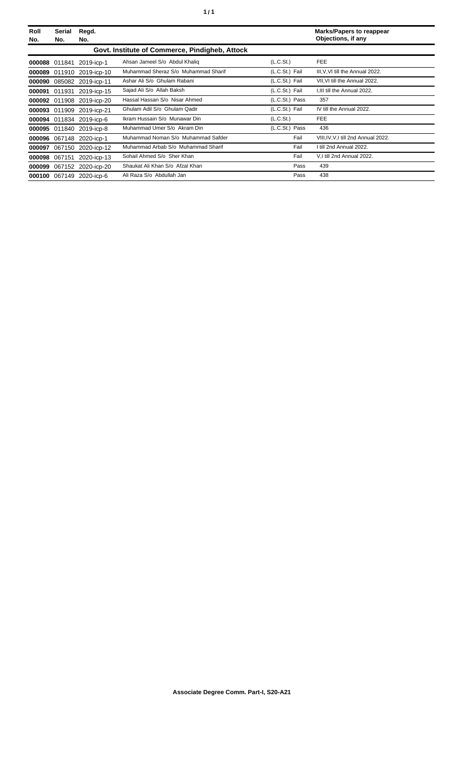| Roll<br>No. | <b>Serial</b><br>No. | Regd.<br>No.              |                                                |                | <b>Marks/Papers to reappear</b><br>Objections, if any |
|-------------|----------------------|---------------------------|------------------------------------------------|----------------|-------------------------------------------------------|
|             |                      |                           | Govt. Institute of Commerce, Pindigheb, Attock |                |                                                       |
|             | 000088 011841        | 2019-icp-1                | Ahsan Jameel S/o Abdul Khaliq                  | (L.C.St.)      | <b>FEE</b>                                            |
|             |                      | 000089 011910 2019-icp-10 | Muhammad Sheraz S/o Muhammad Sharif            | (L.C.St.) Fail | III, V, VI till the Annual 2022.                      |
| 000090      |                      | 085082 2019-icp-11        | Ashar Ali S/o Ghulam Rabani                    | (L.C.St.) Fail | VII, VI till the Annual 2022.                         |
|             |                      | 000091 011931 2019-icp-15 | Sajad Ali S/o Allah Baksh                      | (L.C.St.) Fail | I, III till the Annual 2022.                          |
|             | 000092 011908        | 2019-icp-20               | Hassal Hassan S/o Nisar Ahmed                  | (L.C.St.) Pass | 357                                                   |
|             |                      | 000093 011909 2019-icp-21 | Ghulam Adil S/o Ghulam Qadir                   | (L.C.St.) Fail | IV till the Annual 2022.                              |
|             |                      | 000094 011834 2019-icp-6  | Ikram Hussain S/o Munawar Din                  | (L.C.St.)      | <b>FEE</b>                                            |
|             |                      | 000095 011840 2019-icp-8  | Muhammad Umer S/o Akram Din                    | (L.C.St.) Pass | 436                                                   |
| 000096      |                      | 067148 2020-icp-1         | Muhammad Noman S/o Muhammad Safder             | Fail           | VIII, IV, V, I till 2nd Annual 2022.                  |
| 000097      |                      | 067150 2020-icp-12        | Muhammad Arbab S/o Muhammad Sharif             | Fail           | I till 2nd Annual 2022.                               |
|             | 000098 067151        | 2020-icp-13               | Sohail Ahmed S/o Sher Khan                     | Fail           | V.I till 2nd Annual 2022.                             |
|             |                      | 000099 067152 2020-icp-20 | Shaukat Ali Khan S/o Afzal Khan                | Pass           | 439                                                   |
|             |                      | 000100 067149 2020-icp-6  | Ali Raza S/o Abdullah Jan                      | Pass           | 438                                                   |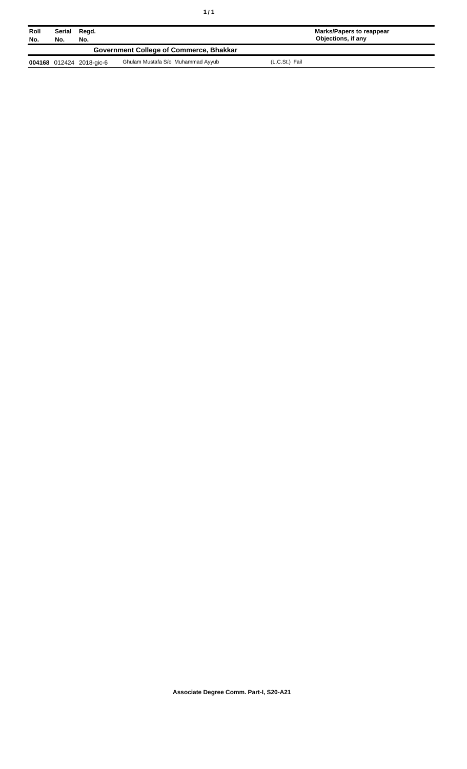| Roll<br>No. | Serial<br>Regd.<br>No.<br>No. |                          |                                         | Marks/Papers to reappear<br>Objections, if any |  |
|-------------|-------------------------------|--------------------------|-----------------------------------------|------------------------------------------------|--|
|             |                               |                          | Government College of Commerce, Bhakkar |                                                |  |
|             |                               | 004168 012424 2018-gic-6 | Ghulam Mustafa S/o Muhammad Ayyub       | (L.C.St.) Fail                                 |  |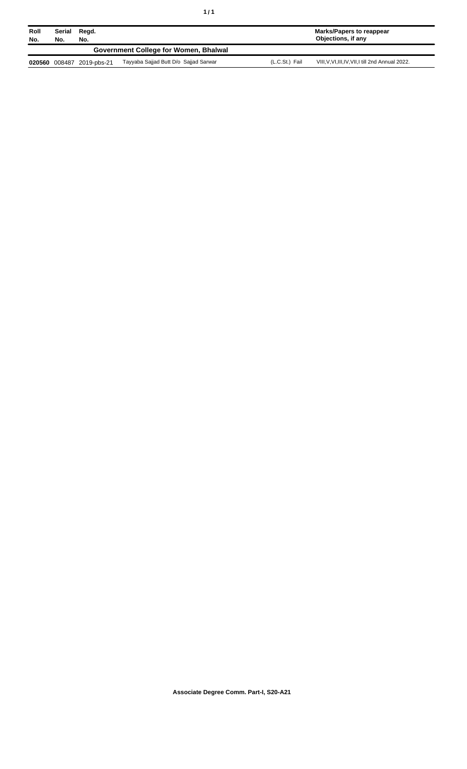| Roll<br>No. | Serial<br>No. | Regd.<br>No. |                                       |                | Marks/Papers to reappear<br>Objections, if any     |
|-------------|---------------|--------------|---------------------------------------|----------------|----------------------------------------------------|
|             |               |              | Government College for Women, Bhalwal |                |                                                    |
| 020560      | 008487        | 2019-pbs-21  | Tayyaba Sajjad Butt D/o Sajjad Sarwar | (L.C.St.) Fail | VIII, V, VI, III, IV, VII, I till 2nd Annual 2022. |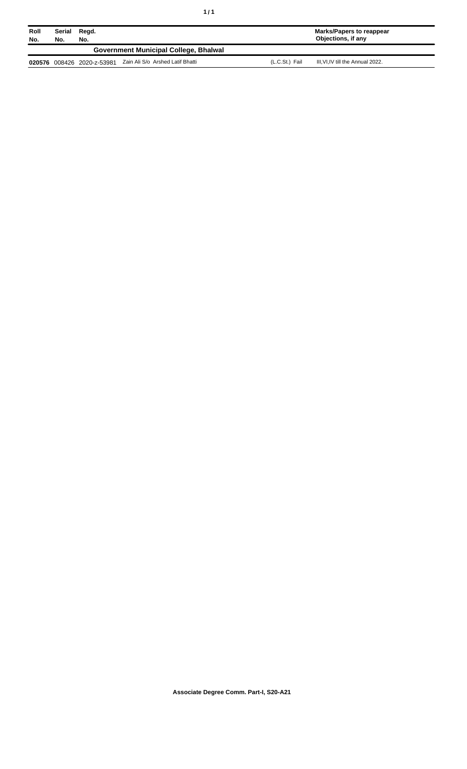| Roll<br>No. | Serial<br>No. | Regd.<br>No.        |                                       |                | Marks/Papers to reappear<br>Objections, if any |
|-------------|---------------|---------------------|---------------------------------------|----------------|------------------------------------------------|
|             |               |                     | Government Municipal College, Bhalwal |                |                                                |
| 020576      |               | 008426 2020-z-53981 | Zain Ali S/o Arshed Latif Bhatti      | (L.C.St.) Fail | III.VI.IV till the Annual 2022.                |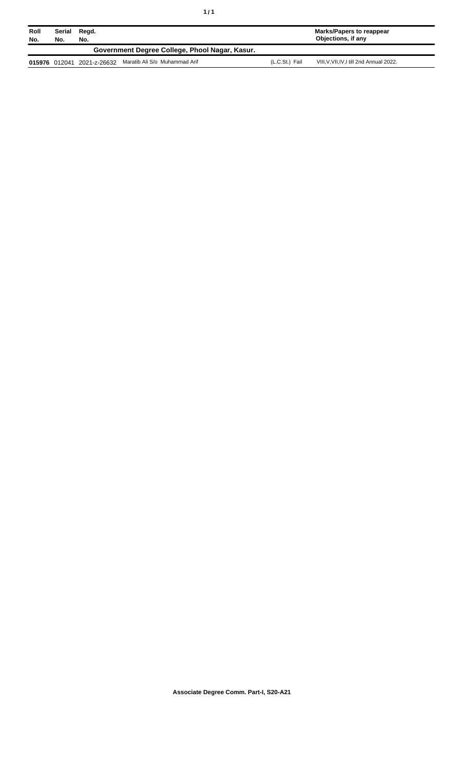| Roll<br>No. | Serial<br>No. | Regd.<br>No. |                                                |                | <b>Marks/Papers to reappear</b><br>Objections, if any |
|-------------|---------------|--------------|------------------------------------------------|----------------|-------------------------------------------------------|
|             |               |              | Government Degree College, Phool Nagar, Kasur. |                |                                                       |
|             | 015976 012041 | 2021-z-26632 | Maratib Ali S/o Muhammad Arif                  | (L.C.St.) Fail | VIII, V, VII, IV, I till 2nd Annual 2022.             |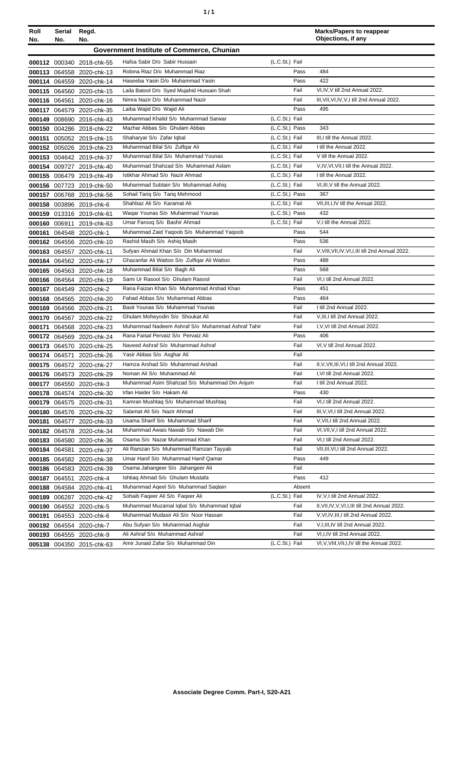| Roll<br>No. | Serial<br>No. | Regd.<br>No.              |                                                  |                | <b>Marks/Papers to reappear</b><br>Objections, if any |
|-------------|---------------|---------------------------|--------------------------------------------------|----------------|-------------------------------------------------------|
|             |               |                           | Government Institute of Commerce, Chunian        |                |                                                       |
|             |               | 000112 000340 2018-chk-55 | Hafsa Sabir D/o Sabir Hussain                    | (L.C.St.) Fail |                                                       |
|             |               | 000113 064558 2020-chk-13 | Robina Riaz D/o Muhammad Riaz                    | Pass           | 484                                                   |
|             |               | 000114 064559 2020-chk-14 | Haseeba Yasin D/o Muhammad Yasin                 | Pass           | 422                                                   |
|             |               | 000115 064560 2020-chk-15 | Laila Batool D/o Syed Mujahid Hussain Shah       | Fail           | VI,IV, V till 2nd Annual 2022.                        |
|             |               | 000116 064561 2020-chk-16 | Nimra Nazir D/o Muhammad Nazir                   | Fail           | III, VII, VI, IV, V, I till 2nd Annual 2022.          |
|             |               | 000117 064579 2020-chk-35 | Laiba Wajid D/o Wajid Ali                        | Pass           | 495                                                   |
|             |               | 000149 008690 2016-chk-43 | Muhammad Khalid S/o Muhammad Sarwar              | (L.C.St.) Fail |                                                       |
|             |               | 000150 004286 2018-chk-22 | Mazhar Abbas S/o Ghulam Abbas                    | (L.C.St.) Pass | 343                                                   |
|             |               | 000151 005052 2019-chk-15 | Shaharyar S/o Zafar Iqbal                        | (L.C.St.) Fail | III,I till the Annual 2022.                           |
|             |               | 000152 005026 2019-chk-23 | Muhammad Bilal S/o Zulfqar Ali                   | (L.C.St.) Fail | I till the Annual 2022.                               |
|             |               | 000153 004642 2019-chk-37 | Muhammad Bilal S/o Muhammad Younas               | (L.C.St.) Fail | V till the Annual 2022.                               |
|             |               | 000154 009727 2019-chk-40 | Muhammad Shahzad S/o Muhammad Aslam              | (L.C.St.) Fail | V, IV, VI, VII, I till the Annual 2022.               |
|             |               | 000155 006479 2019-chk-49 | Istikhar Ahmad S/o Nazir Ahmad                   | (L.C.St.) Fail | I till the Annual 2022.                               |
|             |               | 000156 007723 2019-chk-50 | Muhammad Subtain S/o Muhammad Ashig              | (L.C.St.) Fail | VI, III, V till the Annual 2022.                      |
|             |               | 000157 006768 2019-chk-56 | Sohail Tariq S/o Tariq Mehmood                   | (L.C.St.) Pass | 367                                                   |
|             |               | 000158 003896 2019-chk-6  | Shahbaz Ali S/o Karamat Ali                      | (L.C.St.) Fail | VII, III, I, IV till the Annual 2022.                 |
|             |               | 000159 013316 2019-chk-61 | Wagar Younas S/o Muhammad Younas                 | (L.C.St.) Pass | 432                                                   |
|             | 000160 006911 | 2019-chk-63               | Umar Faroog S/o Bashir Ahmad                     | (L.C.St.) Fail | V.I till the Annual 2022.                             |
|             |               | 000161 064548 2020-chk-1  | Muhammad Zaid Yaqoob S/o Muhammad Yaqoob         | Pass           | 544                                                   |
|             |               | 000162 064556 2020-chk-10 | Rashid Masih S/o Ashig Masih                     | Pass           | 536                                                   |
|             |               | 000163 064557 2020-chk-11 | Sufyan Ahmad Khan S/o Din Muhammad               | Fail           | V, VIII, VII, IV, VI, I, III till 2nd Annual 2022.    |
|             |               | 000164 064562 2020-chk-17 | Ghazanfar Ali Wattoo S/o Zulfiqar Ali Wattoo     | Pass           | 488                                                   |
|             |               | 000165 064563 2020-chk-18 | Muhammad Bilal S/o Bagh Ali                      | Pass           | 568                                                   |
|             |               | 000166 064564 2020-chk-19 | Sami Ur Rasool S/o Ghulam Rasool                 | Fail           | VI,I till 2nd Annual 2022.                            |
|             |               | 000167 064549 2020-chk-2  | Rana Faizan Khan S/o Muhammad Arshad Khan        | Pass           | 451                                                   |
|             |               | 000168 064565 2020-chk-20 | Fahad Abbas S/o Muhammad Abbas                   | Pass           | 464                                                   |
|             |               | 000169 064566 2020-chk-21 | Basit Younas S/o Muhammad Younas                 | Fail           | I till 2nd Annual 2022.                               |
|             |               | 000170 064567 2020-chk-22 | Ghulam Moheyodin S/o Shoukat Ali                 | Fail           | V, III, I till 2nd Annual 2022.                       |
|             |               | 000171 064568 2020-chk-23 | Muhammad Nadeem Ashraf S/o Muhammad Ashraf Tahir | Fail           | I, V, VI till 2nd Annual 2022.                        |
|             |               | 000172 064569 2020-chk-24 | Rana Faisal Pervaiz S/o Pervaiz Ali              | Pass           | 406                                                   |
|             |               | 000173 064570 2020-chk-25 | Naveed Ashraf S/o Muhammad Ashraf                | Fail           | VI, V till 2nd Annual 2022.                           |
|             | 000174 064571 | 2020-chk-26               | Yasir Abbas S/o Asghar Ali                       | Fail           |                                                       |
|             |               | 000175 064572 2020-chk-27 | Hamza Arshad S/o Muhammad Arshad                 | Fail           | II, V, VII, III, VI, I till 2nd Annual 2022.          |
|             |               | 000176 064573 2020-chk-29 | Noman Ali S/o Muhammad Ali                       | Fail           | I, VI till 2nd Annual 2022.                           |
|             |               | 000177 064550 2020-chk-3  | Muhammad Asim Shahzad S/o Muhammad Din Anjum     | Fail           | I till 2nd Annual 2022.                               |
|             |               | 000178 064574 2020-chk-30 | Irfan Haider S/o Hakam Ali                       | Pass           | 430                                                   |
|             |               | 000179 064575 2020-chk-31 | Kamran Mushtaq S/o Muhammad Mushtaq              | Fail           | VI,I till 2nd Annual 2022.                            |
|             |               | 000180 064576 2020-chk-32 | Salamat Ali S/o Nazir Ahmad                      | Fail           | III, V, VI, I till 2nd Annual 2022.                   |
|             | 000181 064577 | 2020-chk-33               | Usama Sharif S/o Muhammad Sharif                 | Fail           | V, VII, I till 2nd Annual 2022.                       |
|             |               | 000182 064578 2020-chk-34 | Muhammad Awais Nawab S/o Nawab Din               | Fail           | VI, VII, V, I till 2nd Annual 2022.                   |
|             |               | 000183 064580 2020-chk-36 | Osama S/o Nazar Muhammad Khan                    | Fail           | VI,I till 2nd Annual 2022.                            |
|             | 000184 064581 | 2020-chk-37               | Ali Ramzan S/o Muhammad Ramzan Tayyab            | Fail           | VII, III, VI, I till 2nd Annual 2022.                 |
|             |               | 000185 064582 2020-chk-38 | Umar Hanif S/o Muhammad Hanif Qamar              | Pass           | 449                                                   |
|             |               | 000186 064583 2020-chk-39 | Osama Jahangeer S/o Jahangeer Ali                | Fail           |                                                       |
|             |               | 000187 064551 2020-chk-4  | Ishtiag Ahmad S/o Ghulam Mustafa                 | Pass           | 412                                                   |
|             |               | 000188 064584 2020-chk-41 | Muhammad Aqeel S/o Muhammad Saqlain              | Absent         |                                                       |
|             |               |                           | Sohaib Faqeer Ali S/o Faqeer Ali                 | (L.C.St.) Fail | IV, V, I till 2nd Annual 2022.                        |
|             | 000189 006287 | 2020-chk-42               | Muhammad Muzamal Iqbal S/o Muhammad Iqbal        | Fail           | II, VII, IV, V, VI, I, III till 2nd Annual 2022.      |
|             |               | 000190 064552 2020-chk-5  | Muhammad Mudasir Ali S/o Noor Hassan             | Fail           | V, VI, IV, III, I till 2nd Annual 2022.               |
|             |               | 000191 064553 2020-chk-6  | Abu Sufyan S/o Muhammad Asghar                   | Fail           | V, I, III, IV till 2nd Annual 2022.                   |
|             |               | 000192 064554 2020-chk-7  | Ali Ashraf S/o Muhammad Ashraf                   | Fail           | VI, I, IV till 2nd Annual 2022.                       |
|             |               | 000193 064555 2020-chk-9  | Amir Junaid Zafar S/o Muhammad Din               | (L.C.St.) Fail |                                                       |
|             |               | 005138 004350 2015-chk-63 |                                                  |                | VI, V, VIII, VII, I, IV till the Annual 2022.         |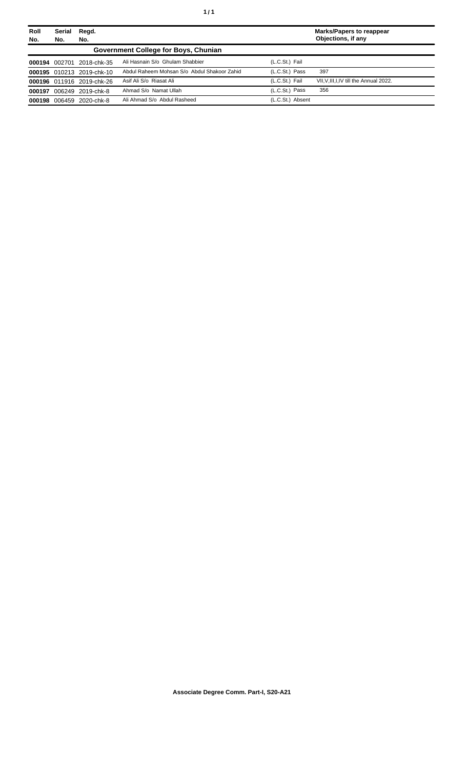| Roll<br>No. | Serial<br>No. | Regd.<br>No.              |                                             |                  | <b>Marks/Papers to reappear</b><br>Objections, if any |
|-------------|---------------|---------------------------|---------------------------------------------|------------------|-------------------------------------------------------|
|             |               |                           | Government College for Boys, Chunian        |                  |                                                       |
| 000194      | 002701        | 2018-chk-35               | Ali Hasnain S/o Ghulam Shabbier             | (L.C.St.) Fail   |                                                       |
|             |               | 000195 010213 2019-chk-10 | Abdul Raheem Mohsan S/o Abdul Shakoor Zahid | (L.C.St.) Pass   | 397                                                   |
|             |               | 000196 011916 2019-chk-26 | Asif Ali S/o Riasat Ali                     | (L.C.St.) Fail   | VII, V, III, I, IV till the Annual 2022.              |
| 000197      |               | 006249 2019-chk-8         | Ahmad S/o Namat Ullah                       | (L.C.St.) Pass   | 356                                                   |
| 000198      | 006459        | 2020-chk-8                | Ali Ahmad S/o Abdul Rasheed                 | (L.C.St.) Absent |                                                       |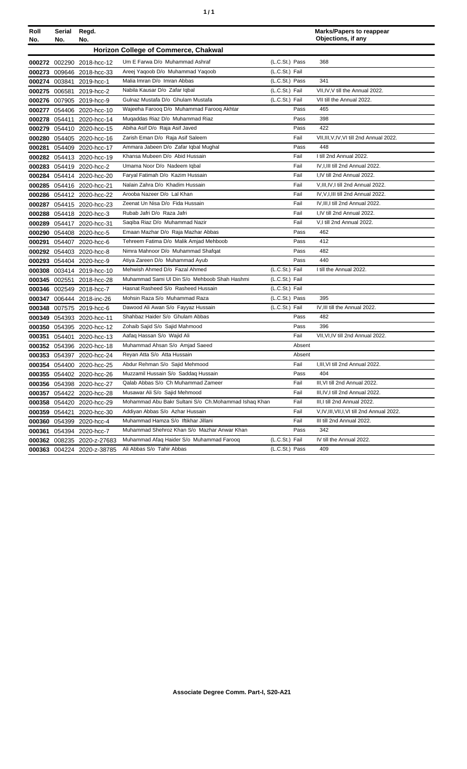| Roll<br>No. | Serial<br>No. | Regd.<br>No.               |                                                      |                |        | <b>Marks/Papers to reappear</b><br>Objections, if any |
|-------------|---------------|----------------------------|------------------------------------------------------|----------------|--------|-------------------------------------------------------|
|             |               |                            | <b>Horizon College of Commerce, Chakwal</b>          |                |        |                                                       |
|             |               | 000272 002290 2018-hcc-12  | Um E Farwa D/o Muhammad Ashraf                       | (L.C.St.) Pass |        | 368                                                   |
|             |               | 000273 009646 2018-hcc-33  | Areej Yaqoob D/o Muhammad Yaqoob                     | (L.C.St.) Fail |        |                                                       |
|             | 000274 003841 | 2019-hcc-1                 | Malia Imran D/o Imran Abbas                          | (L.C.St.) Pass |        | 341                                                   |
|             |               | 000275 006581 2019-hcc-2   | Nabila Kausar D/o Zafar Iqbal                        | (L.C.St.) Fail |        | VII, IV, V till the Annual 2022.                      |
|             |               | 000276 007905 2019-hcc-9   | Gulnaz Mustafa D/o Ghulam Mustafa                    | (L.C.St.) Fail |        | VII till the Annual 2022.                             |
|             |               | 000277 054406 2020-hcc-10  | Wajeeha Faroog D/o Muhammad Faroog Akhtar            |                | Pass   | 465                                                   |
|             |               | 000278 054411 2020-hcc-14  | Mugaddas Riaz D/o Muhammad Riaz                      |                | Pass   | 398                                                   |
|             |               | 000279 054410 2020-hcc-15  | Abiha Asif D/o Raja Asif Javed                       |                | Pass   | 422                                                   |
|             |               | 000280 054405 2020-hcc-16  | Zarish Eman D/o Raja Asif Saleem                     |                | Fail   | VII, III, V, IV, VI till 2nd Annual 2022.             |
| 000281      |               | 054409 2020-hcc-17         | Ammara Jabeen D/o Zafar Iqbal Mughal                 |                | Pass   | 448                                                   |
|             |               | 000282 054413 2020-hcc-19  | Khansa Mubeen D/o Abid Hussain                       |                | Fail   | I till 2nd Annual 2022.                               |
|             |               | 000283 054419 2020-hcc-2   | Umama Noor D/o Nadeem Iqbal                          |                | Fail   | IV, I, III till 2nd Annual 2022.                      |
|             |               | 000284 054414 2020-hcc-20  | Faryal Fatimah D/o Kazim Hussain                     |                | Fail   | I.IV till 2nd Annual 2022.                            |
|             |               | 000285 054416 2020-hcc-21  | Nalain Zahra D/o Khadim Hussain                      |                | Fail   | V, III, IV, I till 2nd Annual 2022.                   |
|             |               | 000286 054412 2020-hcc-22  | Arooba Nazeer D/o Lal Khan                           |                | Fail   | IV, V, I, III till 2nd Annual 2022.                   |
|             |               | 000287 054415 2020-hcc-23  | Zeenat Un Nisa D/o Fida Hussain                      |                | Fail   | IV, III, I till 2nd Annual 2022.                      |
|             |               | 000288 054418 2020-hcc-3   | Rubab Jafri D/o Raza Jafri                           |                | Fail   | I,IV till 2nd Annual 2022.                            |
|             |               | 000289 054417 2020-hcc-31  | Saqiba Riaz D/o Muhammad Nazir                       |                | Fail   | V,I till 2nd Annual 2022.                             |
|             |               | 000290 054408 2020-hcc-5   | Emaan Mazhar D/o Raja Mazhar Abbas                   |                | Pass   | 462                                                   |
|             |               | 000291 054407 2020-hcc-6   | Tehreem Fatima D/o Malik Amjad Mehboob               |                | Pass   | 412                                                   |
|             |               | 000292 054403 2020-hcc-8   | Nimra Mahnoor D/o Muhammad Shafqat                   |                | Pass   | 482                                                   |
|             |               | 000293 054404 2020-hcc-9   | Atiya Zareen D/o Muhammad Ayub                       |                | Pass   | 440                                                   |
|             |               | 000308 003414 2019-hcc-10  | Mehwish Ahmed D/o Fazal Ahmed                        | (L.C.St.) Fail |        | I till the Annual 2022.                               |
|             |               | 000345 002551 2018-hcc-28  | Muhammad Sami UI Din S/o Mehboob Shah Hashmi         | (L.C.St.) Fail |        |                                                       |
|             |               | 000346 002549 2018-hcc-7   | Hasnat Rasheed S/o Rasheed Hussain                   | (L.C.St.) Fail |        |                                                       |
|             |               | 000347 006444 2018-inc-26  | Mohsin Raza S/o Muhammad Raza                        | (L.C.St.) Pass |        | 395                                                   |
|             |               | 000348 007575 2019-hcc-6   | Dawood Ali Awan S/o Fayyaz Hussain                   | (L.C.St.) Fail |        | IV, III till the Annual 2022.                         |
|             |               | 000349 054393 2020-hcc-11  | Shahbaz Haider S/o Ghulam Abbas                      |                | Pass   | 482                                                   |
|             |               | 000350 054395 2020-hcc-12  | Zohaib Sajid S/o Sajid Mahmood                       |                | Pass   | 396                                                   |
|             |               | 000351 054401 2020-hcc-13  | Aafaq Hassan S/o Wajid Ali                           |                | Fail   | VII, VI, IV till 2nd Annual 2022.                     |
|             |               | 000352 054396 2020-hcc-18  | Muhammad Ahsan S/o Amjad Saeed                       |                | Absent |                                                       |
|             |               | 000353 054397 2020-hcc-24  | Reyan Atta S/o Atta Hussain                          |                | Absent |                                                       |
|             |               | 000354 054400 2020-hcc-25  | Abdur Rehman S/o Sajid Mehmood                       |                | Fail   | I.III.VI till 2nd Annual 2022.                        |
|             |               | 000355 054402 2020-hcc-26  | Muzzamil Hussain S/o Saddaq Hussain                  |                | Pass   | 404                                                   |
|             |               | 000356 054398 2020-hcc-27  | Qalab Abbas S/o Ch Muhammad Zameer                   |                | Fail   | III, VI till 2nd Annual 2022.                         |
|             |               | 000357 054422 2020-hcc-28  | Musawar Ali S/o Sajid Mehmood                        |                | Fail   | III, IV, I till 2nd Annual 2022.                      |
|             |               | 000358 054420 2020-hcc-29  | Mohammad Abu Bakr Sultani S/o Ch.Mohammad Ishaq Khan |                | Fail   | III, I till 2nd Annual 2022.                          |
|             | 000359 054421 | 2020-hcc-30                | Addiyan Abbas S/o Azhar Hussain                      |                | Fail   | V, IV, III, VII, I, VI till 2nd Annual 2022.          |
|             |               | 000360 054399 2020-hcc-4   | Muhammad Hamza S/o Iftikhar Jillani                  |                | Fail   | III till 2nd Annual 2022.                             |
|             |               | 000361 054394 2020-hcc-7   | Muhammad Shehroz Khan S/o Mazhar Anwar Khan          |                | Pass   | 342                                                   |
|             |               | 000362 008235 2020-z-27683 | Muhammad Afaq Haider S/o Muhammad Farooq             | (L.C.St.) Fail |        | IV till the Annual 2022.                              |
|             |               | 000363 004224 2020-z-38785 | Ali Abbas S/o Tahir Abbas                            | (L.C.St.) Pass |        | 409                                                   |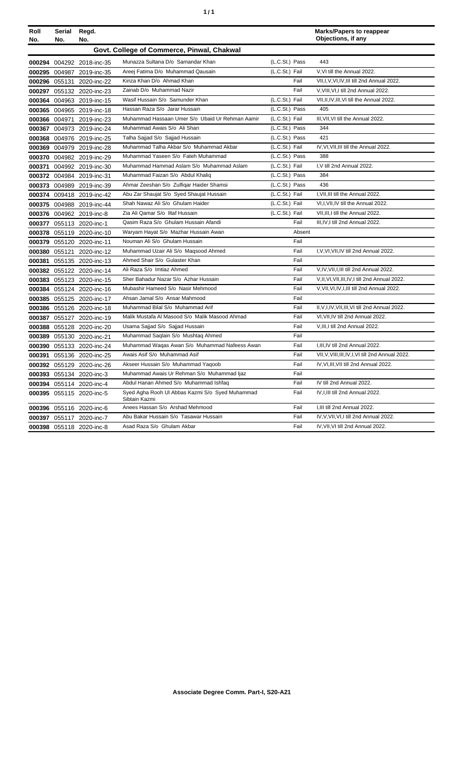| Roll<br>No. | Serial<br>No. | Regd.<br>No.              |                                                                  |                | Marks/Papers to reappear<br>Objections, if any     |
|-------------|---------------|---------------------------|------------------------------------------------------------------|----------------|----------------------------------------------------|
|             |               |                           | Govt. College of Commerce, Pinwal, Chakwal                       |                |                                                    |
|             |               | 000294 004292 2018-inc-35 | Munazza Sultana D/o Samandar Khan                                | (L.C.St.) Pass | 443                                                |
|             |               | 000295 004987 2019-inc-35 | Areej Fatima D/o Muhammad Qausain                                | (L.C.St.) Fail | V, VI till the Annual 2022.                        |
|             |               | 000296 055131 2020-inc-22 | Kinza Khan D/o Ahmad Khan                                        | Fail           | VII, I, V, VI, IV, III till 2nd Annual 2022.       |
|             |               | 000297 055132 2020-inc-23 | Zainab D/o Muhammad Nazir                                        | Fail           | V, VIII, VI, I till 2nd Annual 2022.               |
|             |               | 000364 004963 2019-inc-15 | Wasif Hussain S/o Samunder Khan                                  | (L.C.St.) Fail | VII, II, IV, III, VI till the Annual 2022.         |
|             |               | 000365 004965 2019-inc-18 | Hassan Raza S/o Jarar Hussain                                    | (L.C.St.) Pass | 405                                                |
|             |               | 000366 004971 2019-inc-23 | Muhammad Hassaan Umer S/o Ubaid Ur Rehman Aamir                  | (L.C.St.) Fail | III, VII, VI till the Annual 2022.                 |
|             |               | 000367 004973 2019-inc-24 | Muhammad Awais S/o Ali Shan                                      | (L.C.St.) Pass | 344                                                |
|             |               | 000368 004976 2019-inc-25 | Talha Sajjad S/o Sajjad Hussain                                  | (L.C.St.) Pass | 421                                                |
|             |               | 000369 004979 2019-inc-28 | Muhammad Talha Akbar S/o Muhammad Akbar                          | (L.C.St.) Fail | IV, VI, VII, III till the Annual 2022.             |
|             |               | 000370 004982 2019-inc-29 | Muhammad Yaseen S/o Fateh Muhammad                               | (L.C.St.) Pass | 388                                                |
|             |               | 000371 004992 2019-inc-30 | Muhammad Hammad Aslam S/o Muhammad Aslam                         | (L.C.St.) Fail | I, V till 2nd Annual 2022.                         |
|             |               | 000372 004984 2019-inc-31 | Muhammad Faizan S/o Abdul Khaliq                                 | (L.C.St.) Pass | 384                                                |
|             |               | 000373 004989 2019-inc-39 | Ahmar Zeeshan S/o Zulfiqar Haider Shamsi                         | (L.C.St.) Pass | 436                                                |
|             |               | 000374 009418 2019-inc-42 | Abu Zar Shaujat S/o Syed Shaujat Hussain                         | (L.C.St.) Fail | I, VII, III till the Annual 2022.                  |
|             |               | 000375 004988 2019-inc-44 | Shah Nawaz Ali S/o Ghulam Haider                                 | (L.C.St.) Fail | VI, I, VII, IV till the Annual 2022.               |
|             |               | 000376 004962 2019-inc-8  | Zia Ali Qamar S/o Iltaf Hussain                                  | (L.C.St.) Fail | VII, III, I till the Annual 2022.                  |
|             |               | 000377 055113 2020-inc-1  | Qasim Raza S/o Ghulam Hussain Afandi                             | Fail           | III, IV, I till 2nd Annual 2022.                   |
|             |               | 000378 055119 2020-inc-10 | Waryam Hayat S/o Mazhar Hussain Awan                             | Absent         |                                                    |
|             |               | 000379 055120 2020-inc-11 | Nouman Ali S/o Ghulam Hussain                                    | Fail           |                                                    |
|             |               | 000380 055121 2020-inc-12 | Muhammad Uzair Ali S/o Maqsood Ahmed                             | Fail           | I, V, VI, VII, IV till 2nd Annual 2022.            |
|             |               | 000381 055135 2020-inc-13 | Ahmed Shair S/o Gulaster Khan                                    | Fail           |                                                    |
|             |               | 000382 055122 2020-inc-14 | Ali Raza S/o Imtiaz Ahmed                                        | Fail           | V, IV, VII, I, III till 2nd Annual 2022.           |
|             |               | 000383 055123 2020-inc-15 | Sher Bahadur Nazar S/o Azhar Hussain                             | Fail           | V.II.VI.VII.III.IV.I till 2nd Annual 2022.         |
|             |               | 000384 055124 2020-inc-16 | Mubashir Hameed S/o Nasir Mehmood                                | Fail           | V, VII, VI, IV, I, III till 2nd Annual 2022.       |
|             |               | 000385 055125 2020-inc-17 | Ahsan Jamal S/o Ansar Mahmood                                    | Fail           |                                                    |
|             |               | 000386 055126 2020-inc-18 | Muhammad Bilal S/o Muhammad Arif                                 | Fail           | II, V, I, IV, VII, III, VI till 2nd Annual 2022.   |
|             |               | 000387 055127 2020-inc-19 | Malik Mustafa Al Masood S/o Malik Masood Ahmad                   | Fail           | VI, VII, IV till 2nd Annual 2022.                  |
|             |               | 000388 055128 2020-inc-20 | Usama Sajjad S/o Sajjad Hussain                                  | Fail           | V, III, I till 2nd Annual 2022.                    |
|             |               | 000389 055130 2020-inc-21 | Muhammad Saqlain S/o Mushtaq Ahmed                               | Fail           |                                                    |
|             |               | 000390 055133 2020-inc-24 | Muhammad Waqas Awan S/o Muhammad Nafeess Awan                    | Fail           | I, III, IV till 2nd Annual 2022.                   |
|             |               | 000391 055136 2020-inc-25 | Awais Asif S/o Muhammad Asif                                     | Fail           | VII, V, VIII, III, IV, I, VI till 2nd Annual 2022. |
|             |               | 000392 055129 2020-inc-26 | Akseer Hussain S/o Muhammad Yaqoob                               | Fail           | IV, VI, III, VII till 2nd Annual 2022.             |
|             |               | 000393 055134 2020-inc-3  | Muhammad Awais Ur Rehman S/o Muhammad Ijaz                       | Fail           |                                                    |
|             |               | 000394 055114 2020-inc-4  | Abdul Hanan Ahmed S/o Muhammad Ishfaq                            | Fail           | IV till 2nd Annual 2022.                           |
|             |               | 000395 055115 2020-inc-5  | Syed Agha Rooh Ul Abbas Kazmi S/o Syed Muhammad<br>Sibtain Kazmi | Fail           | IV.I.III till 2nd Annual 2022.                     |
|             |               | 000396 055116 2020-inc-6  | Anees Hassan S/o Arshad Mehmood                                  | Fail           | I, III till 2nd Annual 2022.                       |
|             |               | 000397 055117 2020-inc-7  | Abu Bakar Hussain S/o Tasawar Hussain                            | Fail           | IV, V, VII, VI, I till 2nd Annual 2022.            |
|             |               | 000398 055118 2020-inc-8  | Asad Raza S/o Ghulam Akbar                                       | Fail           | IV, VII, VI till 2nd Annual 2022.                  |
|             |               |                           |                                                                  |                |                                                    |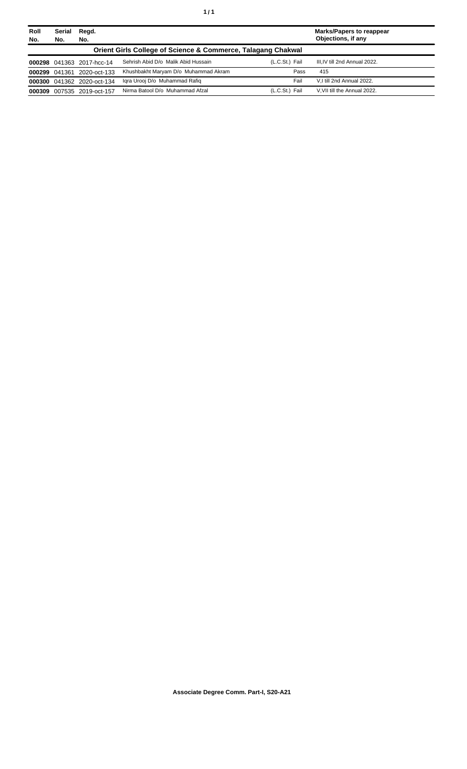| Roll<br>No. | Serial<br>No. | Regd.<br>No.               |                                                                         |                | <b>Marks/Papers to reappear</b><br>Objections, if any |
|-------------|---------------|----------------------------|-------------------------------------------------------------------------|----------------|-------------------------------------------------------|
|             |               |                            | <b>Orient Girls College of Science &amp; Commerce, Talagang Chakwal</b> |                |                                                       |
|             |               | 000298 041363 2017-hcc-14  | Sehrish Abid D/o Malik Abid Hussain                                     | (L.C.St.) Fail | III, IV till 2nd Annual 2022.                         |
|             | 000299 041361 | 2020-oct-133               | Khushbakht Maryam D/o Muhammad Akram                                    | Pass           | 415                                                   |
|             |               | 000300 041362 2020-oct-134 | Igra Urooj D/o Muhammad Rafig                                           | Fail           | V.I till 2nd Annual 2022.                             |
| 000309      |               | 007535 2019-oct-157        | Nirma Batool D/o Muhammad Afzal                                         | (L.C.St.) Fail | V.VII till the Annual 2022.                           |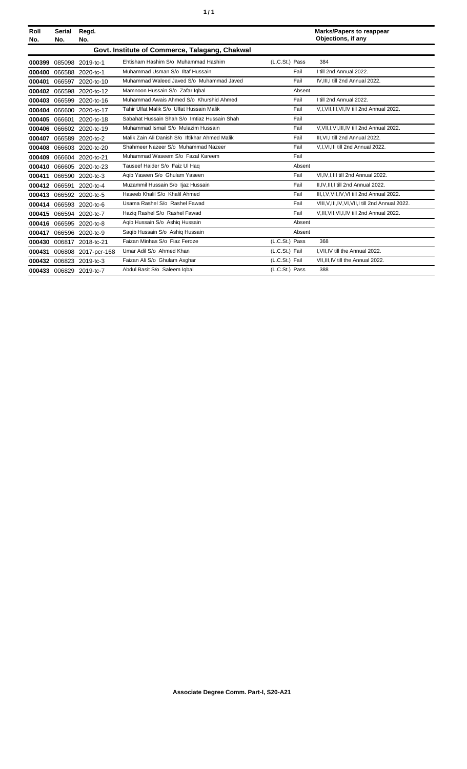| Roll<br>No. | Serial<br>No. | Regd.<br>No.        |                                                |                | <b>Marks/Papers to reappear</b><br>Objections, if any |
|-------------|---------------|---------------------|------------------------------------------------|----------------|-------------------------------------------------------|
|             |               |                     | Govt. Institute of Commerce, Talagang, Chakwal |                |                                                       |
| 000399      | 085098        | 2019-tc-1           | Ehtisham Hashim S/o Muhammad Hashim            | (L.C.St.) Pass | 384                                                   |
| 000400      |               | 066588 2020-tc-1    | Muhammad Usman S/o Iltaf Hussain               | Fail           | I till 2nd Annual 2022.                               |
| 000401      |               | 066597 2020-tc-10   | Muhammad Waleed Javed S/o Muhammad Javed       | Fail           | IV, III, I till 2nd Annual 2022.                      |
| 000402      | 066598        | 2020-tc-12          | Mamnoon Hussain S/o Zafar Iqbal                | Absent         |                                                       |
| 000403      |               | 066599 2020-tc-16   | Muhammad Awais Ahmed S/o Khurshid Ahmed        | Fail           | I till 2nd Annual 2022.                               |
| 000404      | 066600        | 2020-tc-17          | Tahir Ulfat Malik S/o Ulfat Hussain Malik      | Fail           | V,I, VII, III, VI, IV till 2nd Annual 2022.           |
| 000405      | 066601        | 2020-tc-18          | Sabahat Hussain Shah S/o Imtiaz Hussain Shah   | Fail           |                                                       |
| 000406      |               | 066602 2020-tc-19   | Muhammad Ismail S/o Mulazim Hussain            | Fail           | V, VII, I, VI, III, IV till 2nd Annual 2022.          |
| 000407      | 066589        | 2020-tc-2           | Malik Zain Ali Danish S/o Iftikhar Ahmed Malik | Fail           | III.VI.I till 2nd Annual 2022.                        |
| 000408      | 066603        | 2020-tc-20          | Shahmeer Nazeer S/o Muhammad Nazeer            | Fail           | V,I, VI, III till 2nd Annual 2022.                    |
| 000409      | 066604        | 2020-tc-21          | Muhammad Waseem S/o Fazal Kareem               | Fail           |                                                       |
| 000410      |               | 066605 2020-tc-23   | Tauseef Haider S/o Faiz Ul Hag                 | Absent         |                                                       |
| 000411      |               | 066590 2020-tc-3    | Agib Yaseen S/o Ghulam Yaseen                  | Fail           | VI, IV, I, III till 2nd Annual 2022.                  |
| 000412      | 066591        | 2020-tc-4           | Muzammil Hussain S/o Ijaz Hussain              | Fail           | II, IV, III, I till 2nd Annual 2022.                  |
| 000413      |               | 066592 2020-tc-5    | Haseeb Khalil S/o Khalil Ahmed                 | Fail           | III, I, V, VII, IV, VI till 2nd Annual 2022.          |
| 000414      |               | 066593 2020-tc-6    | Usama Rashel S/o Rashel Fawad                  | Fail           | VIII, V, III, IV, VI, VII, I till 2nd Annual 2022.    |
| 000415      |               | 066594 2020-tc-7    | Haziq Rashel S/o Rashel Fawad                  | Fail           | V.III, VII, VI, I, IV till 2nd Annual 2022.           |
| 000416      |               | 066595 2020-tc-8    | Agib Hussain S/o Ashig Hussain                 | Absent         |                                                       |
| 000417      | 066596        | 2020-tc-9           | Saqib Hussain S/o Ashiq Hussain                | Absent         |                                                       |
| 000430      |               | 006817 2018-tc-21   | Faizan Minhas S/o Fiaz Feroze                  | (L.C.St.) Pass | 368                                                   |
| 000431      |               | 006808 2017-pcr-168 | Umar Adil S/o Ahmed Khan                       | (L.C.St.) Fail | I, VII, IV till the Annual 2022.                      |
| 000432      |               | 006823 2019-tc-3    | Faizan Ali S/o Ghulam Asghar                   | (L.C.St.) Fail | VII, III, IV till the Annual 2022.                    |
| 000433      |               | 006829 2019-tc-7    | Abdul Basit S/o Saleem Iqbal                   | (L.C.St.) Pass | 388                                                   |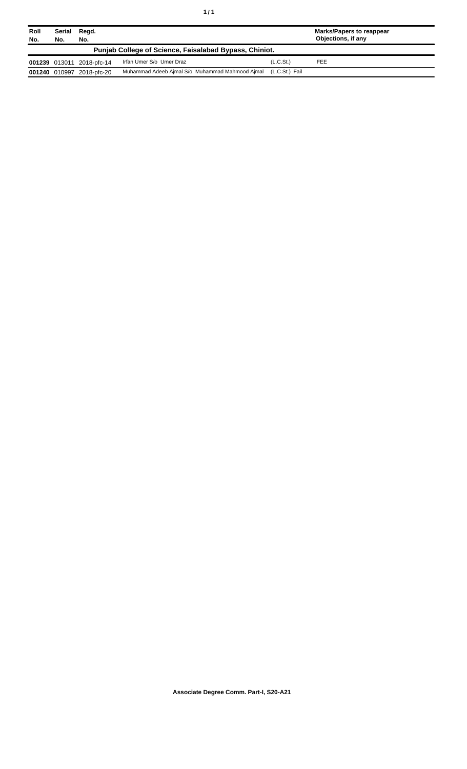| Roll<br>No. | Serial<br>No.                                          | Regd.<br>No.              |                                                                |           | <b>Marks/Papers to reappear</b><br>Objections, if any |  |  |
|-------------|--------------------------------------------------------|---------------------------|----------------------------------------------------------------|-----------|-------------------------------------------------------|--|--|
|             | Punjab College of Science, Faisalabad Bypass, Chiniot. |                           |                                                                |           |                                                       |  |  |
|             |                                                        | 001239 013011 2018-pfc-14 | Irfan Umer S/o Umer Draz                                       | (L.C.St.) | <b>FEE</b>                                            |  |  |
|             |                                                        | 001240 010997 2018-pfc-20 | Muhammad Adeeb Ajmal S/o Muhammad Mahmood Ajmal (L.C.St.) Fail |           |                                                       |  |  |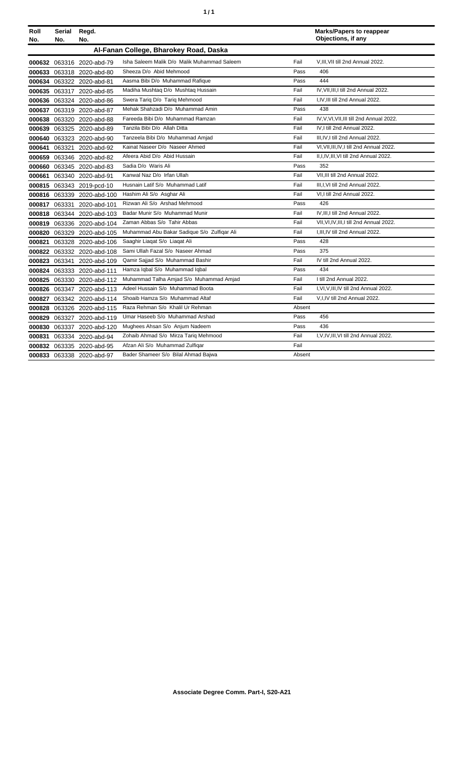| Roll<br>No. | Serial<br>No. | Regd.<br>No.               |                                             |        | <b>Marks/Papers to reappear</b><br>Objections, if any |
|-------------|---------------|----------------------------|---------------------------------------------|--------|-------------------------------------------------------|
|             |               |                            |                                             |        |                                                       |
|             |               |                            | Al-Fanan College, Bharokey Road, Daska      |        |                                                       |
|             |               | 000632 063316 2020-abd-79  | Isha Saleem Malik D/o Malik Muhammad Saleem | Fail   | V, III, VII till 2nd Annual 2022.                     |
| 000633      |               | 063318 2020-abd-80         | Sheeza D/o Abid Mehmood                     | Pass   | 406                                                   |
|             |               | 000634 063322 2020-abd-81  | Aasma Bibi D/o Muhammad Rafique             | Pass   | 444                                                   |
|             |               | 000635 063317 2020-abd-85  | Madiha Mushtag D/o Mushtag Hussain          | Fail   | IV, VII, III, I till 2nd Annual 2022.                 |
| 000636      |               | 063324 2020-abd-86         | Swera Tariq D/o Tariq Mehmood               | Fail   | I, IV, III till 2nd Annual 2022.                      |
| 000637      |               | 063319 2020-abd-87         | Mehak Shahzadi D/o Muhammad Amin            | Pass   | 438                                                   |
| 000638      |               | 063320 2020-abd-88         | Fareeda Bibi D/o Muhammad Ramzan            | Fail   | IV, V, VI, VII, III till 2nd Annual 2022.             |
| 000639      |               | 063325 2020-abd-89         | Tanzila Bibi D/o Allah Ditta                | Fail   | IV, I till 2nd Annual 2022.                           |
| 000640      |               | 063323 2020-abd-90         | Tanzeela Bibi D/o Muhammad Amjad            | Fail   | III.IV.I till 2nd Annual 2022.                        |
| 000641      | 063321        | 2020-abd-92                | Kainat Naseer D/o Naseer Ahmed              | Fail   | VI, VII, III, IV, I till 2nd Annual 2022.             |
| 000659      |               | 063346 2020-abd-82         | Afeera Abid D/o Abid Hussain                | Fail   | II.I.IV.III.VI till 2nd Annual 2022.                  |
| 000660      |               | 063345 2020-abd-83         | Sadia D/o Waris Ali                         | Pass   | 352                                                   |
| 000661      | 063340        | 2020-abd-91                | Kanwal Naz D/o Irfan Ullah                  | Fail   | VII.III till 2nd Annual 2022.                         |
|             |               | 000815 063343 2019-pcd-10  | Husnain Latif S/o Muhammad Latif            | Fail   | III, I, VI till 2nd Annual 2022.                      |
|             |               | 000816 063339 2020-abd-100 | Hashim Ali S/o Asghar Ali                   | Fail   | VI,I till 2nd Annual 2022.                            |
|             | 000817 063331 | 2020-abd-101               | Rizwan Ali S/o Arshad Mehmood               | Pass   | 426                                                   |
|             | 000818 063344 | 2020-abd-103               | Badar Munir S/o Muhammad Munir              | Fail   | IV, III, I till 2nd Annual 2022.                      |
|             |               | 000819 063336 2020-abd-104 | Zaman Abbas S/o Tahir Abbas                 | Fail   | VII.VI.IV.III.I till 2nd Annual 2022.                 |
| 000820      |               | 063329 2020-abd-105        | Muhammad Abu Bakar Sadique S/o Zulfigar Ali | Fail   | I, III, IV till 2nd Annual 2022.                      |
| 000821      |               | 063328 2020-abd-106        | Saaghir Liagat S/o Liagat Ali               | Pass   | 428                                                   |
|             |               | 000822 063332 2020-abd-108 | Sami Ullah Fazal S/o Naseer Ahmad           | Pass   | 375                                                   |
| 000823      | 063341        | 2020-abd-109               | Qamir Sajjad S/o Muhammad Bashir            | Fail   | IV till 2nd Annual 2022.                              |
|             |               | 000824 063333 2020-abd-111 | Hamza Iqbal S/o Muhammad Iqbal              | Pass   | 434                                                   |
|             |               | 000825 063330 2020-abd-112 | Muhammad Talha Amjad S/o Muhammad Amjad     | Fail   | I till 2nd Annual 2022.                               |
|             |               | 000826 063347 2020-abd-113 | Adeel Hussain S/o Muhammad Boota            | Fail   | I, VI, V, III, IV till 2nd Annual 2022.               |
| 000827      |               | 063342 2020-abd-114        | Shoaib Hamza S/o Muhammad Altaf             | Fail   | V,I,IV till 2nd Annual 2022.                          |
| 000828      |               | 063326 2020-abd-115        | Raza Rehman S/o Khalil Ur Rehman            | Absent |                                                       |
| 000829      |               | 063327 2020-abd-119        | Umar Haseeb S/o Muhammad Arshad             | Pass   | 456                                                   |
| 000830      |               | 063337 2020-abd-120        | Mughees Ahsan S/o Anjum Nadeem              | Pass   | 436                                                   |
| 000831      |               | 063334 2020-abd-94         | Zohaib Ahmad S/o Mirza Tariq Mehmood        | Fail   | I, V, IV, III, VI till 2nd Annual 2022.               |
|             |               | 000832 063335 2020-abd-95  | Afzan Ali S/o Muhammad Zulfigar             | Fail   |                                                       |
|             |               | 000833 063338 2020-abd-97  | Bader Shameer S/o Bilal Ahmad Bajwa         | Absent |                                                       |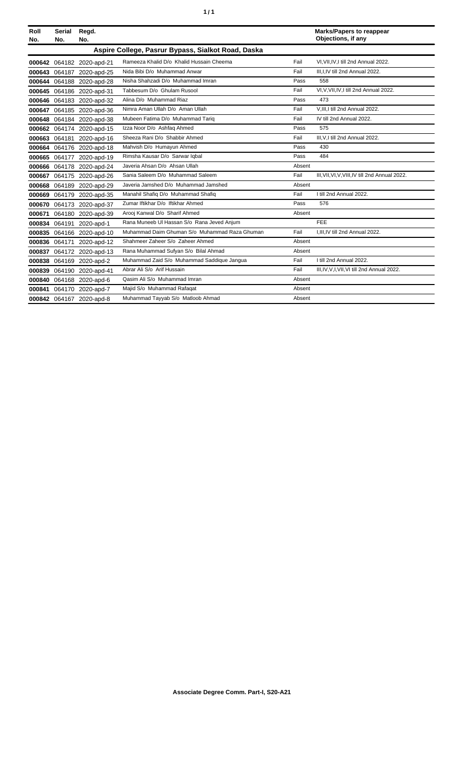| Roll   | Serial        | Regd.                     |                                                    |        | <b>Marks/Papers to reappear</b>                 |
|--------|---------------|---------------------------|----------------------------------------------------|--------|-------------------------------------------------|
| No.    | No.           | No.                       |                                                    |        | Objections, if any                              |
|        |               |                           | Aspire College, Pasrur Bypass, Sialkot Road, Daska |        |                                                 |
|        |               | 000642 064182 2020-apd-21 | Rameeza Khalid D/o Khalid Hussain Cheema           | Fail   | VI.VII.IV.I till 2nd Annual 2022.               |
|        |               | 000643 064187 2020-apd-25 | Nida Bibi D/o Muhammad Anwar                       | Fail   | III.I.IV till 2nd Annual 2022.                  |
|        |               | 000644 064188 2020-apd-28 | Nisha Shahzadi D/o Muhammad Imran                  | Pass   | 558                                             |
|        |               | 000645 064186 2020-apd-31 | Tabbesum D/o Ghulam Rusool                         | Fail   | VI, V, VII, IV, I till 2nd Annual 2022.         |
|        |               | 000646 064183 2020-apd-32 | Alina D/o Muhammad Riaz                            | Pass   | 473                                             |
|        |               | 000647 064185 2020-apd-36 | Nimra Aman Ullah D/o Aman Ullah                    | Fail   | V, III, I till 2nd Annual 2022.                 |
|        |               | 000648 064184 2020-apd-38 | Mubeen Fatima D/o Muhammad Tariq                   | Fail   | IV till 2nd Annual 2022.                        |
|        |               | 000662 064174 2020-apd-15 | Izza Noor D/o Ashfaq Ahmed                         | Pass   | 575                                             |
|        |               | 000663 064181 2020-apd-16 | Sheeza Rani D/o Shabbir Ahmed                      | Fail   | III, V, I till 2nd Annual 2022.                 |
|        |               | 000664 064176 2020-apd-18 | Mahvish D/o Humayun Ahmed                          | Pass   | 430                                             |
|        |               | 000665 064177 2020-apd-19 | Rimsha Kausar D/o Sarwar Iqbal                     | Pass   | 484                                             |
|        |               | 000666 064178 2020-apd-24 | Javeria Ahsan D/o Ahsan Ullah                      | Absent |                                                 |
|        |               | 000667 064175 2020-apd-26 | Sania Saleem D/o Muhammad Saleem                   | Fail   | III, VII, VI, V, VIII, IV till 2nd Annual 2022. |
|        |               | 000668 064189 2020-apd-29 | Javeria Jamshed D/o Muhammad Jamshed               | Absent |                                                 |
|        |               | 000669 064179 2020-apd-35 | Manahil Shafiq D/o Muhammad Shafiq                 | Fail   | I till 2nd Annual 2022.                         |
|        |               | 000670 064173 2020-apd-37 | Zumar Iftikhar D/o Iftikhar Ahmed                  | Pass   | 576                                             |
| 000671 |               | 064180 2020-apd-39        | Arooj Kanwal D/o Sharif Ahmed                      | Absent |                                                 |
| 000834 | 064191        | 2020-apd-1                | Rana Muneeb UI Hassan S/o Rana Jeved Anjum         |        | FEE                                             |
|        |               | 000835 064166 2020-apd-10 | Muhammad Daim Ghuman S/o Muhammad Raza Ghuman      | Fail   | I, III, IV till 2nd Annual 2022.                |
|        | 000836 064171 | 2020-apd-12               | Shahmeer Zaheer S/o Zaheer Ahmed                   | Absent |                                                 |
|        |               | 000837 064172 2020-apd-13 | Rana Muhammad Sufyan S/o Bilal Ahmad               | Absent |                                                 |
| 000838 |               | 064169 2020-apd-2         | Muhammad Zaid S/o Muhammad Saddique Jangua         | Fail   | I till 2nd Annual 2022.                         |
|        |               | 000839 064190 2020-apd-41 | Abrar Ali S/o Arif Hussain                         | Fail   | III, IV, V, I, VII, VI till 2nd Annual 2022.    |
|        |               | 000840 064168 2020-apd-6  | Qasim Ali S/o Muhammad Imran                       | Absent |                                                 |
|        |               | 000841 064170 2020-apd-7  | Majid S/o Muhammad Rafagat                         | Absent |                                                 |
|        |               | 000842 064167 2020-apd-8  | Muhammad Tayyab S/o Matloob Ahmad                  | Absent |                                                 |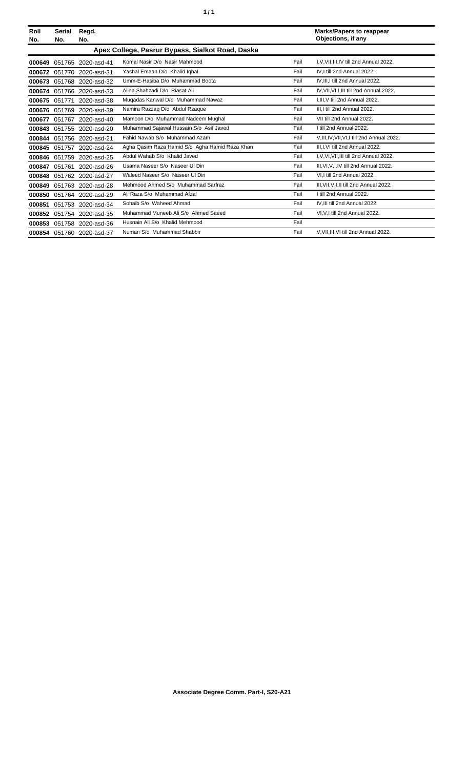| Roll<br>No. | <b>Serial</b><br>No.                             | Regd.<br>No.              |                                                |      | <b>Marks/Papers to reappear</b><br>Objections, if any |  |  |
|-------------|--------------------------------------------------|---------------------------|------------------------------------------------|------|-------------------------------------------------------|--|--|
|             | Apex College, Pasrur Bypass, Sialkot Road, Daska |                           |                                                |      |                                                       |  |  |
| 000649      |                                                  | 051765 2020-asd-41        | Komal Nasir D/o Nasir Mahmood                  | Fail | I.V.VII.III.IV till 2nd Annual 2022.                  |  |  |
| 000672      | 051770                                           | 2020-asd-31               | Yashal Emaan D/o Khalid Iqbal                  | Fail | IV.I till 2nd Annual 2022.                            |  |  |
| 000673      |                                                  | 051768 2020-asd-32        | Umm-E-Hasiba D/o Muhammad Boota                | Fail | IV.III.I till 2nd Annual 2022.                        |  |  |
| 000674      | 051766                                           | 2020-asd-33               | Alina Shahzadi D/o Riasat Ali                  | Fail | IV, VII, VI, I, III till 2nd Annual 2022.             |  |  |
| 000675      | 051771                                           | 2020-asd-38               | Mugadas Kanwal D/o Muhammad Nawaz              | Fail | I.III.V till 2nd Annual 2022.                         |  |  |
| 000676      |                                                  | 051769 2020-asd-39        | Namira Razzag D/o Abdul Rzague                 | Fail | III.I till 2nd Annual 2022.                           |  |  |
| 000677      | 051767                                           | 2020-asd-40               | Mamoon D/o Muhammad Nadeem Mughal              | Fail | VII till 2nd Annual 2022.                             |  |  |
| 000843      |                                                  | 051755 2020-asd-20        | Muhammad Sajawal Hussain S/o Asif Javed        | Fail | I till 2nd Annual 2022.                               |  |  |
| 000844      |                                                  | 051756 2020-asd-21        | Fahid Nawab S/o Muhammad Azam                  | Fail | V, III, IV, VII, VI, I till 2nd Annual 2022.          |  |  |
| 000845      | 051757                                           | 2020-asd-24               | Agha Qasim Raza Hamid S/o Agha Hamid Raza Khan | Fail | III, I, VI till 2nd Annual 2022.                      |  |  |
| 000846      | 051759                                           | 2020-asd-25               | Abdul Wahab S/o Khalid Javed                   | Fail | I, V, VI, VII, III till 2nd Annual 2022.              |  |  |
| 000847      | 051761                                           | 2020-asd-26               | Usama Naseer S/o Naseer Ul Din                 | Fail | III.VI.V.I.IV till 2nd Annual 2022.                   |  |  |
| 000848      |                                                  | 051762 2020-asd-27        | Waleed Naseer S/o Naseer UI Din                | Fail | VI.I till 2nd Annual 2022.                            |  |  |
| 000849      | 051763                                           | 2020-asd-28               | Mehmood Ahmed S/o Muhammad Sarfraz             | Fail | III, VII, V, I, II till 2nd Annual 2022.              |  |  |
| 000850      | 051764                                           | 2020-asd-29               | Ali Raza S/o Muhammad Afzal                    | Fail | I till 2nd Annual 2022.                               |  |  |
| 000851      |                                                  | 051753 2020-asd-34        | Sohaib S/o Waheed Ahmad                        | Fail | IV, III till 2nd Annual 2022.                         |  |  |
| 000852      |                                                  | 051754 2020-asd-35        | Muhammad Muneeb Ali S/o Ahmed Saeed            | Fail | VI, V, I till 2nd Annual 2022.                        |  |  |
| 000853      | 051758                                           | 2020-asd-36               | Husnain Ali S/o Khalid Mehmood                 | Fail |                                                       |  |  |
|             |                                                  | 000854 051760 2020-asd-37 | Numan S/o Muhammad Shabbir                     | Fail | V, VII, III, VI till 2nd Annual 2022.                 |  |  |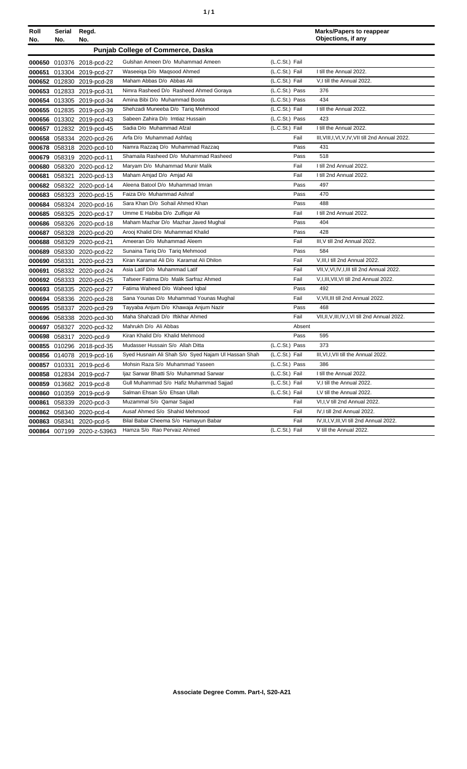| ٠ | ٠ |
|---|---|
|   |   |

| Roll<br>No. | Serial<br>No. | Regd.<br>No.               |                                                     |                | <b>Marks/Papers to reappear</b><br>Objections, if any |
|-------------|---------------|----------------------------|-----------------------------------------------------|----------------|-------------------------------------------------------|
|             |               |                            | <b>Punjab College of Commerce, Daska</b>            |                |                                                       |
|             |               | 000650 010376 2018-pcd-22  | Gulshan Ameen D/o Muhammad Ameen                    | (L.C.St.) Fail |                                                       |
|             |               | 000651 013304 2019-pcd-27  | Waseeiga D/o Magsood Ahmed                          | (L.C.St.) Fail | I till the Annual 2022.                               |
|             |               | 000652 012830 2019-pcd-28  | Maham Abbas D/o Abbas Ali                           | (L.C.St.) Fail | V.I till the Annual 2022.                             |
|             |               | 000653 012833 2019-pcd-31  | Nimra Rasheed D/o Rasheed Ahmed Goraya              | (L.C.St.) Pass | 376                                                   |
|             |               | 000654 013305 2019-pcd-34  | Amina Bibi D/o Muhammad Boota                       | (L.C.St.) Pass | 434                                                   |
|             |               | 000655 012835 2019-pcd-39  | Shehzadi Muneeba D/o Tariq Mehmood                  | (L.C.St.) Fail | I till the Annual 2022.                               |
|             |               | 000656 013302 2019-pcd-43  | Sabeen Zahira D/o Imtiaz Hussain                    | (L.C.St.) Pass | 423                                                   |
|             |               | 000657 012832 2019-pcd-45  | Sadia D/o Muhammad Afzal                            | (L.C.St.) Fail | I till the Annual 2022.                               |
|             |               | 000658 058334 2020-pcd-26  | Arfa D/o Muhammad Ashfaq                            | Fail           | III, VIII, I, VI, V, IV, VII till 2nd Annual 2022.    |
|             |               | 000678 058318 2020-pcd-10  | Namra Razzaq D/o Muhammad Razzaq                    | Pass           | 431                                                   |
| 000679      |               | 058319 2020-pcd-11         | Shamaila Rasheed D/o Muhammad Rasheed               | Pass           | 518                                                   |
| 000680      |               | 058320 2020-pcd-12         | Maryam D/o Muhammad Munir Malik                     | Fail           | I till 2nd Annual 2022.                               |
| 000681      | 058321        | 2020-pcd-13                | Maham Amjad D/o Amjad Ali                           | Fail           | I till 2nd Annual 2022.                               |
|             |               | 000682 058322 2020-pcd-14  | Aleena Batool D/o Muhammad Imran                    | Pass           | 497                                                   |
|             |               | 000683 058323 2020-pcd-15  | Faiza D/o Muhammad Ashraf                           | Pass           | 470                                                   |
| 000684      |               | 058324 2020-pcd-16         | Sara Khan D/o Sohail Ahmed Khan                     | Pass           | 488                                                   |
|             |               | 000685 058325 2020-pcd-17  | Umme E Habiba D/o Zulfigar Ali                      | Fail           | I till 2nd Annual 2022.                               |
|             |               | 000686 058326 2020-pcd-18  | Maham Mazhar D/o Mazhar Javed Mughal                | Pass           | 404                                                   |
| 000687      |               | 058328 2020-pcd-20         | Arooj Khalid D/o Muhammad Khalid                    | Pass           | 428                                                   |
| 000688      |               | 058329 2020-pcd-21         | Ameeran D/o Muhammad Aleem                          | Fail           | III, V till 2nd Annual 2022.                          |
| 000689      |               | 058330 2020-pcd-22         | Sunaina Tariq D/o Tariq Mehmood                     | Pass           | 584                                                   |
| 000690      | 058331        | 2020-pcd-23                | Kiran Karamat Ali D/o Karamat Ali Dhilon            | Fail           | V, III, I till 2nd Annual 2022.                       |
| 000691      |               | 058332 2020-pcd-24         | Asia Latif D/o Muhammad Latif                       | Fail           | VII, V, VI, IV, I, III till 2nd Annual 2022.          |
|             |               | 000692 058333 2020-pcd-25  | Tafseer Fatima D/o Malik Sarfraz Ahmed              | Fail           | V,I,III,VII,VI till 2nd Annual 2022.                  |
|             |               | 000693 058335 2020-pcd-27  | Fatima Waheed D/o Waheed Iqbal                      | Pass           | 492                                                   |
|             |               | 000694 058336 2020-pcd-28  | Sana Younas D/o Muhammad Younas Mughal              | Fail           | V, VII, III till 2nd Annual 2022.                     |
|             |               | 000695 058337 2020-pcd-29  | Tayyaba Anjum D/o Khawaja Anjum Nazir               | Pass           | 468                                                   |
| 000696      |               | 058338 2020-pcd-30         | Maha Shahzadi D/o Iftikhar Ahmed                    | Fail           | VII, II, V, III, IV, I, VI till 2nd Annual 2022.      |
| 000697      |               | 058327 2020-pcd-32         | Mahrukh D/o Ali Abbas                               | Absent         |                                                       |
| 000698      |               | 058317 2020-pcd-9          | Kiran Khalid D/o Khalid Mehmood                     | Pass           | 595                                                   |
|             |               | 000855 010296 2018-pcd-35  | Mudasser Hussain S/o Allah Ditta                    | (L.C.St.) Pass | 373                                                   |
|             |               | 000856 014078 2019-pcd-16  | Syed Husnain Ali Shah S/o Syed Najam UI Hassan Shah | (L.C.St.) Fail | III, VI, I, VII till the Annual 2022.                 |
|             |               | 000857 010331 2019-pcd-6   | Mohsin Raza S/o Muhammad Yaseen                     | (L.C.St.) Pass | 386                                                   |
|             |               | 000858 012834 2019-pcd-7   | Ijaz Sarwar Bhatti S/o Muhammad Sarwar              | (L.C.St.) Fail | I till the Annual 2022.                               |
| 000859      |               | 013682 2019-pcd-8          | Gull Muhammad S/o Hafiz Muhammad Sajjad             | (L.C.St.) Fail | V,I till the Annual 2022.                             |
| 000860      | 010359        | 2019-pcd-9                 | Salman Ehsan S/o Ehsan Ullah                        | (L.C.St.) Fail | I, V till the Annual 2022.                            |
| 000861      |               | 058339 2020-pcd-3          | Muzammal S/o Qamar Sajjad                           | Fail           | VI,I, V till 2nd Annual 2022.                         |
|             |               | 000862 058340 2020-pcd-4   | Ausaf Ahmed S/o Shahid Mehmood                      | Fail           | IV, I till 2nd Annual 2022.                           |
| 000863      | 058341        | 2020-pcd-5                 | Bilal Babar Cheema S/o Hamayun Babar                | Fail           | IV, II, I, V, III, VI till 2nd Annual 2022.           |
|             |               | 000864 007199 2020-z-53963 | Hamza S/o Rao Pervaiz Ahmed                         | (L.C.St.) Fail | V till the Annual 2022.                               |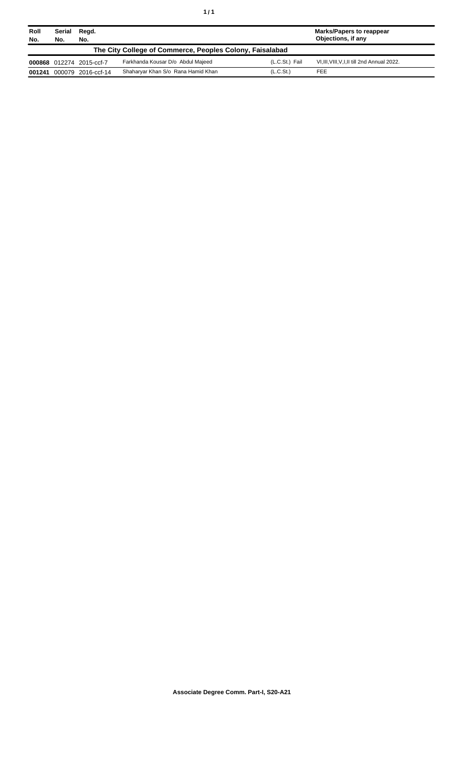| Roll<br>No.                                              | Serial<br>No. | Regd.<br>No.             |                                    |                       | <b>Marks/Papers to reappear</b><br>Objections, if any |
|----------------------------------------------------------|---------------|--------------------------|------------------------------------|-----------------------|-------------------------------------------------------|
| The City College of Commerce, Peoples Colony, Faisalabad |               |                          |                                    |                       |                                                       |
|                                                          |               | 000868 012274 2015-ccf-7 | Farkhanda Kousar D/o Abdul Majeed  | (L.C.St.) Fail        | VI, III, VIII, V, I, II till 2nd Annual 2022.         |
| 001241                                                   |               | 000079 2016-ccf-14       | Shaharyar Khan S/o Rana Hamid Khan | (L.C.S <sub>t</sub> ) | <b>FEE</b>                                            |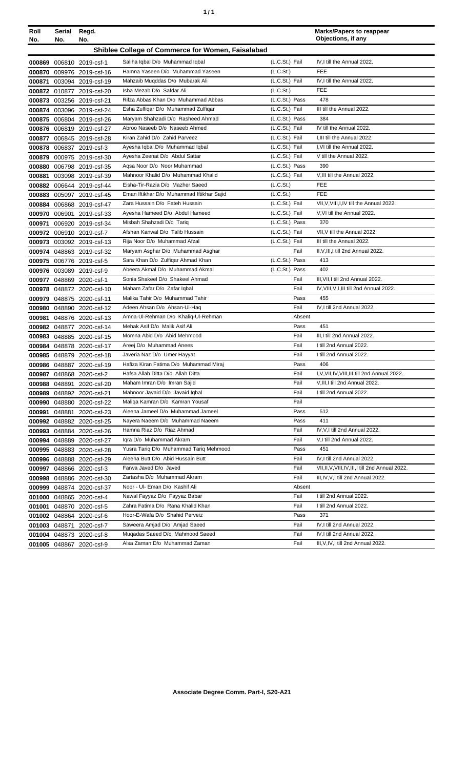| Roll   | Serial        | Regd.                     |                                                                      |                       | <b>Marks/Papers to reappear</b>                                                           |
|--------|---------------|---------------------------|----------------------------------------------------------------------|-----------------------|-------------------------------------------------------------------------------------------|
| No.    | No.           | No.                       |                                                                      |                       | Objections, if any                                                                        |
|        |               |                           | Shiblee College of Commerce for Women, Faisalabad                    |                       |                                                                                           |
|        |               | 000869 006810 2019-csf-1  | Saliha Iqbal D/o Muhammad Iqbal                                      | (L.C.St.) Fail        | IV.I till the Annual 2022.                                                                |
|        |               | 000870 009976 2019-csf-16 | Hamna Yaseen D/o Muhammad Yaseen                                     | (L.C.St.)             | <b>FEE</b>                                                                                |
|        |               | 000871 003094 2019-csf-19 | Mahzaib Muqddas D/o Mubarak Ali                                      | (L.C.St.) Fail        | IV, I till the Annual 2022.                                                               |
|        |               | 000872 010877 2019-csf-20 | Isha Mezab D/o Safdar Ali                                            | (L.C.S <sub>t</sub> ) | <b>FEE</b>                                                                                |
| 000873 |               | 003256 2019-csf-21        | Rifza Abbas Khan D/o Muhammad Abbas                                  | (L.C.St.) Pass        | 478                                                                                       |
|        |               | 000874 003096 2019-csf-24 | Esha Zulfigar D/o Muhammad Zulfigar                                  | (L.C.St.) Fail        | III till the Annual 2022.                                                                 |
|        |               | 000875 006804 2019-csf-26 | Maryam Shahzadi D/o Rasheed Ahmad                                    | (L.C.St.) Pass        | 384                                                                                       |
|        |               | 000876 006819 2019-csf-27 | Abroo Naseeb D/o Naseeb Ahmed                                        | (L.C.St.) Fail        | IV till the Annual 2022.                                                                  |
|        |               | 000877 006845 2019-csf-28 | Kiran Zahid D/o Zahid Parveez                                        | (L.C.St.) Fail        | I, III till the Annual 2022.                                                              |
|        |               | 000878 006837 2019-csf-3  | Ayesha Iqbal D/o Muhammad Iqbal                                      | (L.C.St.) Fail        | I, VI till the Annual 2022.                                                               |
|        |               | 000879 000975 2019-csf-30 | Ayesha Zeenat D/o Abdul Sattar                                       | (L.C.St.) Fail        | V till the Annual 2022.                                                                   |
| 000880 |               | 006798 2019-csf-35        | Agsa Noor D/o Noor Muhammad                                          | (L.C.St.) Pass        | 390                                                                                       |
| 000881 |               | 003098 2019-csf-39        | Mahnoor Khalid D/o Muhammad Khalid                                   | (L.C.St.) Fail        | V, III till the Annual 2022.                                                              |
|        |               | 000882 006644 2019-csf-44 | Eisha-Tir-Razia D/o Mazher Saeed                                     | (L.C.S <sub>t</sub> ) | FEE                                                                                       |
|        |               | 000883 005097 2019-csf-45 | Eman Iftikhar D/o Muhammad Iftikhar Sajid                            | (L.C.St.)             | <b>FEE</b>                                                                                |
|        |               | 000884 006868 2019-csf-47 | Zara Hussain D/o Fateh Hussain                                       | (L.C.St.) Fail        | VII, V, VIII, I, IV till the Annual 2022.                                                 |
|        |               | 000970 006901 2019-csf-33 | Ayesha Hameed D/o Abdul Hameed                                       | (L.C.St.) Fail        | V.VI till the Annual 2022.                                                                |
| 000971 |               | 006920 2019-csf-34        | Misbah Shahzadi D/o Tariq                                            | (L.C.St.) Pass        | 370                                                                                       |
|        |               | 000972 006910 2019-csf-7  | Afshan Kanwal D/o Talib Hussain                                      | (L.C.St.) Fail        | VII, V till the Annual 2022.                                                              |
| 000973 |               | 003092 2019-csf-13        | Rija Noor D/o Muhammad Afzal                                         | (L.C.St.) Fail        | III till the Annual 2022.                                                                 |
|        |               | 000974 048863 2019-csf-32 | Maryam Asghar D/o Muhammad Asghar                                    | Fail                  | II, V, III, I till 2nd Annual 2022.                                                       |
|        |               | 000975 006776 2019-csf-5  | Sara Khan D/o Zulfiqar Ahmad Khan                                    | (L.C.St.) Pass        | 413                                                                                       |
|        |               | 000976 003089 2019-csf-9  | Abeera Akmal D/o Muhammad Akmal                                      | (L.C.St.) Pass        | 402                                                                                       |
|        |               | 000977 048869 2020-csf-1  | Sonia Shakeel D/o Shakeel Ahmad                                      | Fail                  | III, VII, I till 2nd Annual 2022.                                                         |
|        |               | 000978 048872 2020-csf-10 | Maham Zafar D/o Zafar Iqbal                                          | Fail                  | IV, VIII, V, I, III till 2nd Annual 2022.                                                 |
|        |               | 000979 048875 2020-csf-11 | Malika Tahir D/o Muhammad Tahir                                      | Pass                  | 455                                                                                       |
|        |               | 000980 048890 2020-csf-12 | Adeen Ahsan D/o Ahsan-Ul-Haq                                         | Fail                  | IV, I till 2nd Annual 2022.                                                               |
|        |               | 000981 048876 2020-csf-13 | Amna-UI-Rehman D/o Khaliq-UI-Rehman                                  | Absent                |                                                                                           |
|        |               | 000982 048877 2020-csf-14 | Mehak Asif D/o Malik Asif Ali                                        | Pass                  | 451                                                                                       |
|        |               | 000983 048885 2020-csf-15 | Momna Abid D/o Abid Mehmood                                          | Fail                  | III, I till 2nd Annual 2022.                                                              |
|        |               | 000984 048878 2020-csf-17 | Areej D/o Muhammad Anees                                             | Fail                  | I till 2nd Annual 2022.                                                                   |
|        |               | 000985 048879 2020-csf-18 | Javeria Naz D/o Umer Hayyat                                          | Fail                  | I till 2nd Annual 2022.                                                                   |
|        |               | 000986 048887 2020-csf-19 | Hafiza Kiran Fatima D/o Muhammad Miraj                               | Pass                  | 406                                                                                       |
|        |               | 000987 048868 2020-csf-2  | Hafsa Allah Ditta D/o Allah Ditta                                    | Fail<br>Fail          | I, V, VII, IV, VIII, III till 2nd Annual 2022.<br>V.III.I till 2nd Annual 2022.           |
|        |               | 000988 048891 2020-csf-20 | Maham Imran D/o Imran Sajid<br>Mahnoor Javaid D/o Javaid Iqbal       |                       |                                                                                           |
|        |               | 000989 048892 2020-csf-21 |                                                                      | Fail                  | I till 2nd Annual 2022.                                                                   |
|        |               | 000990 048880 2020-csf-22 | Maliga Kamran D/o Kamran Yousaf<br>Aleena Jameel D/o Muhammad Jameel | Fail                  | 512                                                                                       |
|        | 000991 048881 | 2020-csf-23               | Nayera Naeem D/o Muhammad Naeem                                      | Pass<br>Pass          | 411                                                                                       |
|        |               | 000992 048882 2020-csf-25 |                                                                      |                       | IV, V, I till 2nd Annual 2022.                                                            |
|        |               | 000993 048884 2020-csf-26 | Hamna Riaz D/o Riaz Ahmad<br>Igra D/o Muhammad Akram                 | Fail                  |                                                                                           |
|        |               | 000994 048889 2020-csf-27 | Yusra Tariq D/o Muhammad Tariq Mehmood                               | Fail<br>Pass          | V,I till 2nd Annual 2022.<br>451                                                          |
|        |               | 000995 048883 2020-csf-28 | Aleeha Butt D/o Abid Hussain Butt                                    | Fail                  | IV, I till 2nd Annual 2022.                                                               |
|        |               | 000996 048888 2020-csf-29 |                                                                      |                       |                                                                                           |
|        |               | 000997 048866 2020-csf-3  | Farwa Javed D/o Javed<br>Zartasha D/o Muhammad Akram                 | Fail<br>Fail          | VII, II, V, VIII, IV, III, I till 2nd Annual 2022.<br>III, IV, V, I till 2nd Annual 2022. |
|        |               | 000998 048886 2020-csf-30 | Noor - Ul- Eman D/o Kashif Ali                                       | Absent                |                                                                                           |
|        |               | 000999 048874 2020-csf-37 | Nawal Fayyaz D/o Fayyaz Babar                                        | Fail                  | I till 2nd Annual 2022.                                                                   |
|        |               | 001000 048865 2020-csf-4  | Zahra Fatima D/o Rana Khalid Khan                                    | Fail                  | I till 2nd Annual 2022.                                                                   |
|        |               | 001001 048870 2020-csf-5  | Hoor-E-Wafa D/o Shahid Perveiz                                       | Pass                  | 371                                                                                       |
|        |               | 001002 048864 2020-csf-6  | Saweera Amjad D/o Amjad Saeed                                        | Fail                  | IV, I till 2nd Annual 2022.                                                               |
|        |               | 001003 048871 2020-csf-7  | Mugadas Saeed D/o Mahmood Saeed                                      | Fail                  | IV, I till 2nd Annual 2022.                                                               |
|        |               | 001004 048873 2020-csf-8  |                                                                      |                       |                                                                                           |
|        |               | 001005 048867 2020-csf-9  | Alsa Zaman D/o Muhammad Zaman                                        | Fail                  | III, V, IV, I till 2nd Annual 2022.                                                       |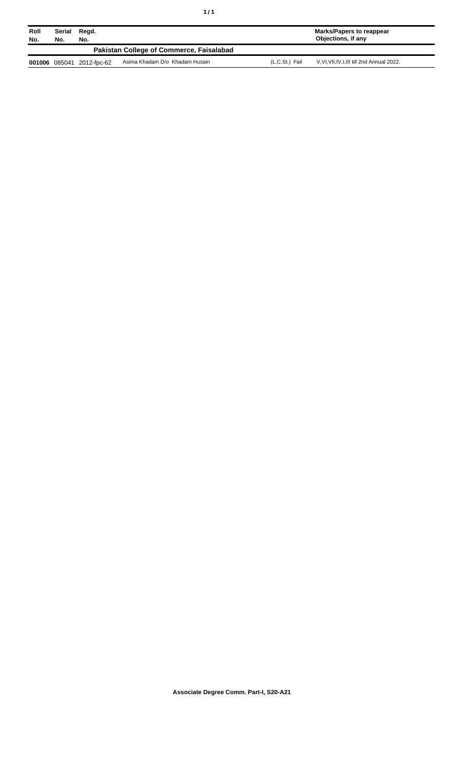|--|--|

| Roll<br>No. | Serial<br>Regd.<br>No.<br>No.            |                    |                                | <b>Marks/Papers to reappear</b><br>Objections, if any |                                         |
|-------------|------------------------------------------|--------------------|--------------------------------|-------------------------------------------------------|-----------------------------------------|
|             | Pakistan College of Commerce, Faisalabad |                    |                                |                                                       |                                         |
| 001006      |                                          | 085041 2012-fpc-62 | Asima Khadam D/o Khadam Husain | (L.C.St.) Fail                                        | V.VI.VII.IV.I.III till 2nd Annual 2022. |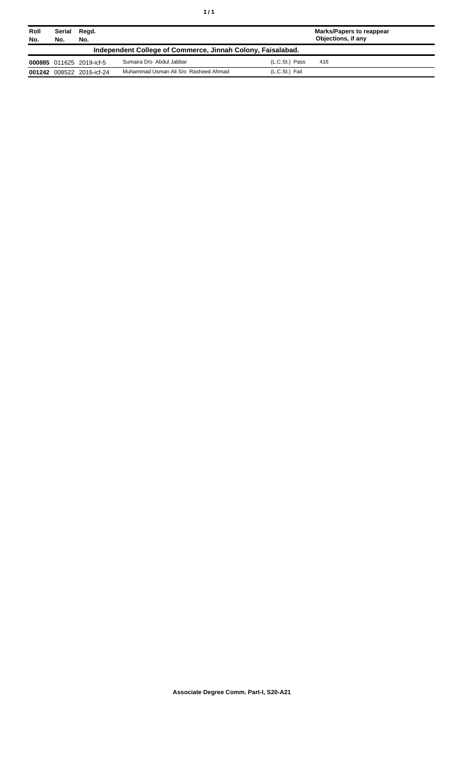| ٠ | ٠ |
|---|---|
|   |   |

| Roll<br>No.                                                 | Serial<br>No. | Regd.<br>No.              |                                      |                | Marks/Papers to reappear<br>Objections, if any |  |
|-------------------------------------------------------------|---------------|---------------------------|--------------------------------------|----------------|------------------------------------------------|--|
| Independent College of Commerce, Jinnah Colony, Faisalabad. |               |                           |                                      |                |                                                |  |
|                                                             |               | 000885 011625 2019-icf-5  | Sumaira D/o Abdul Jabbar             | (L.C.St.) Pass | 416                                            |  |
|                                                             |               | 001242 008522 2016-icf-24 | Muhammad Usman Ali S/o Rasheed Ahmad | (L.C.St.) Fail |                                                |  |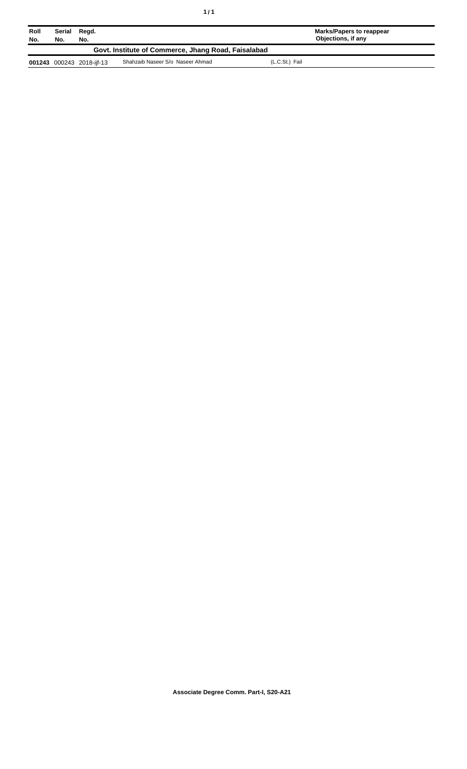| Roll<br>No.                                         | Serial<br>No. | Regd.<br>No.              |                                  |                | Marks/Papers to reappear<br>Objections, if any |
|-----------------------------------------------------|---------------|---------------------------|----------------------------------|----------------|------------------------------------------------|
| Govt. Institute of Commerce, Jhang Road, Faisalabad |               |                           |                                  |                |                                                |
|                                                     |               | 001243 000243 2018-ijf-13 | Shahzaib Naseer S/o Naseer Ahmad | (L.C.St.) Fail |                                                |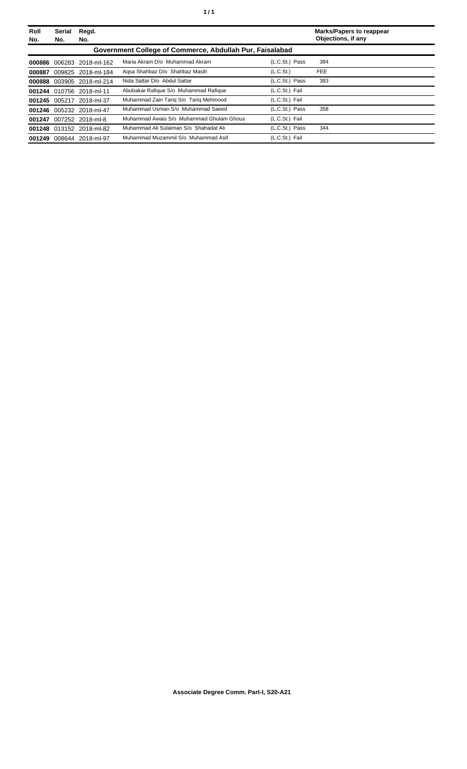| Roll<br>No. | Serial<br>No. | Regd.<br>No.              |                                                          |                       | <b>Marks/Papers to reappear</b><br>Objections, if any |
|-------------|---------------|---------------------------|----------------------------------------------------------|-----------------------|-------------------------------------------------------|
|             |               |                           | Government College of Commerce, Abdullah Pur, Faisalabad |                       |                                                       |
|             |               | 000886 006283 2018-ml-162 | Maria Akram D/o Muhammad Akram                           | (L.C.St.) Pass        | 384                                                   |
| 000887      |               | 009825 2018-ml-184        | Agsa Shahbaz D/o Shahbaz Masih                           | (L.C.S <sub>t</sub> ) | <b>FEE</b>                                            |
|             |               | 000888 003905 2018-ml-214 | Nida Sattar D/o Abdul Sattar                             | (L.C.St.) Pass        | 383                                                   |
|             |               | 001244 010756 2018-ml-11  | Abubakar Rafique S/o Muhammad Rafique                    | (L.C.St.) Fail        |                                                       |
|             |               | 001245 005217 2018-ml-37  | Muhammad Zain Tarig S/o Tarig Mehmood                    | (L.C.St.) Fail        |                                                       |
|             |               | 001246 005232 2018-ml-47  | Muhammad Usman S/o Muhammad Saeed                        | (L.C.St.) Pass        | 358                                                   |
|             |               | 001247 007252 2018-ml-8   | Muhammad Awais S/o Muhammad Ghulam Ghous                 | (L.C.St.) Fail        |                                                       |
|             |               | 001248 013152 2018-ml-82  | Muhammad Ali Sulaiman S/o Shahadat Ali                   | (L.C.St.) Pass        | 344                                                   |
| 001249      |               | 008644 2018-ml-97         | Muhammad Muzammil S/o Muhammad Asif                      | (L.C.St.) Fail        |                                                       |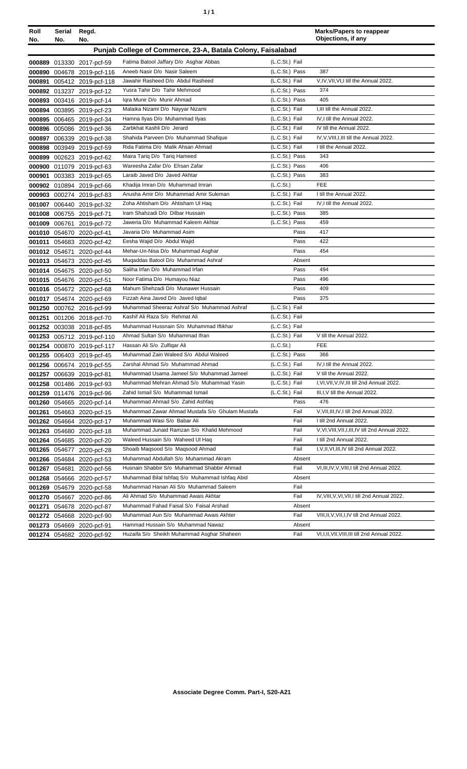| ٠ | ٠ |
|---|---|
|   |   |

| Roll   | Serial        | Regd.                      |                                                             |                |        | <b>Marks/Papers to reappear</b><br>Objections, if any |
|--------|---------------|----------------------------|-------------------------------------------------------------|----------------|--------|-------------------------------------------------------|
| No.    | No.           | No.                        |                                                             |                |        |                                                       |
|        |               |                            | Punjab College of Commerce, 23-A, Batala Colony, Faisalabad |                |        |                                                       |
|        |               | 000889 013330 2017-pcf-59  | Fatima Batool Jaffary D/o Asghar Abbas                      | (L.C.St.) Fail |        |                                                       |
|        |               | 000890 004678 2019-pcf-116 | Aneeb Nasir D/o Nasir Saleem                                | (L.C.St.) Pass |        | 387                                                   |
|        |               | 000891 005412 2019-pcf-118 | Jawahir Rasheed D/o Abdul Rasheed                           | (L.C.St.) Fail |        | V, IV, VII, VI, I till the Annual 2022.               |
|        |               | 000892 013237 2019-pcf-12  | Yusra Tahir D/o Tahir Mehmood                               | (L.C.St.) Pass |        | 374                                                   |
|        |               | 000893 003416 2019-pcf-14  | Igra Munir D/o Munir Ahmad                                  | (L.C.St.) Pass |        | 405                                                   |
|        |               | 000894 003895 2019-pcf-23  | Malaika Nizami D/o Nayyar Nizami                            | (L.C.St.) Fail |        | I.III till the Annual 2022.                           |
|        |               | 000895 006465 2019-pcf-34  | Hamna Ilyas D/o Muhammad Ilyas                              | (L.C.St.) Fail |        | IV, I till the Annual 2022.                           |
|        |               | 000896 005086 2019-pcf-36  | Zarbkhat Kashli D/o Jerard                                  | (L.C.St.) Fail |        | IV till the Annual 2022.                              |
|        |               | 000897 006339 2019-pcf-38  | Shahida Parveen D/o Muhammad Shafique                       | (L.C.St.) Fail |        | IV, V, VIII, I, III till the Annual 2022.             |
|        |               | 000898 003949 2019-pcf-59  | Rida Fatima D/o Malik Ahsan Ahmad                           | (L.C.St.) Fail |        | I till the Annual 2022.                               |
|        |               | 000899 002623 2019-pcf-62  | Maira Tariq D/o Tariq Hameed                                | (L.C.St.) Pass |        | 343                                                   |
|        |               | 000900 011079 2019-pcf-63  | Wareesha Zafar D/o Ehsan Zafar                              | (L.C.St.) Pass |        | 406                                                   |
| 000901 |               | 003383 2019-pcf-65         | Laraib Javed D/o Javed Akhtar                               | (L.C.St.) Pass |        | 383                                                   |
|        |               | 000902 010894 2019-pcf-66  | Khadija Imran D/o Muhammad Imran                            | (L.C.St.)      |        | <b>FEE</b>                                            |
|        |               | 000903 000274 2019-pcf-83  | Anusha Amir D/o Muhammad Amir Suleman                       | (L.C.St.) Fail |        | I till the Annual 2022.                               |
|        |               | 001007 006440 2019-pcf-32  | Zoha Ahtisham D/o Ahtisham UI Haq                           | (L.C.St.) Fail |        | IV, I till the Annual 2022.                           |
|        |               | 001008 006755 2019-pcf-71  | Iram Shahzadi D/o Dilbar Hussain                            | (L.C.St.) Pass |        | 385                                                   |
|        |               | 001009 006761 2019-pcf-72  | Jaweria D/o Muhammad Kaleem Akhtar                          | (L.C.St.) Pass |        | 459                                                   |
|        |               | 001010 054670 2020-pcf-41  | Javaria D/o Muhammad Asim                                   |                | Pass   | 417                                                   |
|        |               | 001011 054683 2020-pcf-42  | Eesha Wajid D/o Abdul Wajid                                 |                | Pass   | 422                                                   |
|        | 001012 054671 | 2020-pcf-44                | Mehar-Un-Nisa D/o Muhammad Asghar                           |                | Pass   | 454                                                   |
|        |               | 001013 054673 2020-pcf-45  | Muqaddas Batool D/o Muhammad Ashraf                         |                | Absent |                                                       |
|        |               | 001014 054675 2020-pcf-50  | Saliha Irfan D/o Muhammad Irfan                             |                | Pass   | 494                                                   |
|        |               | 001015 054676 2020-pcf-51  | Noor Fatima D/o Humayou Niaz                                |                | Pass   | 496                                                   |
|        |               | 001016 054672 2020-pcf-68  | Mahum Shehzadi D/o Munawer Hussain                          |                | Pass   | 409                                                   |
|        |               | 001017 054674 2020-pcf-69  | Fizzah Aina Javed D/o Javed Iqbal                           |                | Pass   | 375                                                   |
|        |               | 001250 000762 2016-pcf-99  | Muhammad Sheeraz Ashraf S/o Muhammad Ashraf                 | (L.C.St.) Fail |        |                                                       |
|        |               | 001251 001206 2018-pcf-70  | Kashif Ali Raza S/o Rehmat Ali                              | (L.C.St.) Fail |        |                                                       |
|        |               | 001252 003038 2018-pcf-85  | Muhammad Hussnain S/o Muhammad Iftikhar                     | (L.C.St.) Fail |        |                                                       |
|        |               | 001253 005712 2019-pcf-110 | Ahmad Sultan S/o Muhammad Ifran                             | (L.C.St.) Fail |        | V till the Annual 2022.                               |
|        |               | 001254 000870 2019-pcf-117 | Hassan Ali S/o Zulfigar Ali                                 | (L.C.St.)      |        | <b>FEE</b>                                            |
|        |               | 001255 006403 2019-pcf-45  | Muhammad Zain Waleed S/o Abdul Waleed                       | (L.C.St.) Pass |        | 366                                                   |
|        |               | 001256 006674 2019-pcf-55  | Zarshal Ahmad S/o Muhammad Ahmad                            | (L.C.St.) Fail |        | IV, I till the Annual 2022.                           |
|        |               | 001257 006639 2019-pcf-81  | Muhammad Usama Jameel S/o Muhammad Jameel                   | (L.C.St.) Fail |        | V till the Annual 2022.                               |
|        |               | 001258 001486 2019-pcf-93  | Muhammad Mehran Ahmad S/o Muhammad Yasin                    | (L.C.St.) Fail |        | I, VI, VII, V, IV, III till 2nd Annual 2022.          |
|        |               | 001259 011476 2019-pcf-96  | Zahid Ismail S/o Muhammad Ismail                            | (L.C.St.) Fail |        | III, I, V till the Annual 2022.                       |
|        |               | 001260 054665 2020-pcf-14  | Muhammad Ahmad S/o Zahid Ashfaq                             |                | Pass   | 476                                                   |
|        |               | 001261 054663 2020-pcf-15  | Muhammad Zawar Ahmad Mustafa S/o Ghulam Mustafa             |                | Fail   | V, VII, III, IV, I till 2nd Annual 2022.              |
|        |               | 001262 054664 2020-pcf-17  | Muhammad Wasi S/o Babar Ali                                 |                | Fail   | I till 2nd Annual 2022.                               |
|        |               | 001263 054680 2020-pcf-18  | Muhammad Junaid Ramzan S/o Khalid Mehmood                   |                | Fail   | V, VI, VIII, VII, I, III, IV till 2nd Annual 2022.    |
|        |               | 001264 054685 2020-pcf-20  | Waleed Hussain S/o Waheed UI Haq                            |                | Fail   | I till 2nd Annual 2022.                               |
|        |               | 001265 054677 2020-pcf-28  | Shoaib Maqsood S/o Maqsood Ahmad                            |                | Fail   | I, V, II, VI, III, IV till 2nd Annual 2022.           |
|        |               | 001266 054684 2020-pcf-53  | Muhammad Abdullah S/o Muhammad Akram                        |                | Absent |                                                       |
|        |               | 001267 054681 2020-pcf-56  | Husnain Shabbir S/o Muhammad Shabbir Ahmad                  |                | Fail   | VI, III, IV, V, VIII, I till 2nd Annual 2022.         |
|        |               | 001268 054666 2020-pcf-57  | Muhammad Bilal Ishfaq S/o Muhammad Ishfaq Abid              |                | Absent |                                                       |
|        |               | 001269 054679 2020-pcf-58  | Muhammad Hanan Ali S/o Muhammad Saleem                      |                | Fail   |                                                       |
|        |               | 001270 054667 2020-pcf-86  | Ali Ahmad S/o Muhammad Awais Akhtar                         |                | Fail   | IV, VIII, V, VI, VII, I till 2nd Annual 2022.         |
|        |               | 001271 054678 2020-pcf-87  | Muhammad Fahad Faisal S/o Faisal Arshad                     |                | Absent |                                                       |
|        |               | 001272 054668 2020-pcf-90  | Muhammad Aun S/o Muhammad Awais Akhter                      |                | Fail   | VIII, II, V, VII, I, IV till 2nd Annual 2022.         |
|        |               | 001273 054669 2020-pcf-91  | Hammad Hussain S/o Muhammad Nawaz                           |                | Absent |                                                       |
|        |               | 001274 054682 2020-pcf-92  | Huzaifa S/o Sheikh Muhammad Asghar Shaheen                  |                | Fail   | VI, I, II, VII, VIII, III till 2nd Annual 2022.       |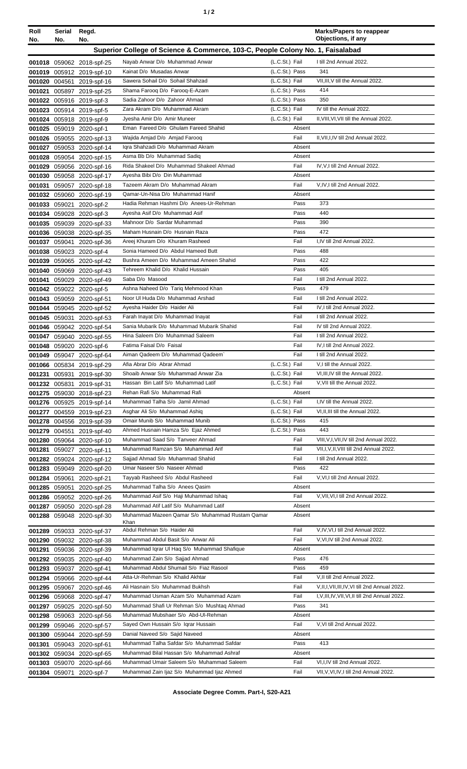| Roll<br>No.   | Serial<br>No. | Regd.<br>No.                                           |                                                                                           |                                  | <b>Marks/Papers to reappear</b><br>Objections, if any |
|---------------|---------------|--------------------------------------------------------|-------------------------------------------------------------------------------------------|----------------------------------|-------------------------------------------------------|
|               |               |                                                        | Superior College of Science & Commerce, 103-C, People Colony No. 1, Faisalabad            |                                  |                                                       |
|               |               | 001018 059062 2018-spf-25                              | Nayab Anwar D/o Muhammad Anwar                                                            | (L.C.St.) Fail                   | I till 2nd Annual 2022.                               |
|               |               | 001019 005912 2019-spf-10                              | Kainat D/o Musadas Anwar                                                                  | (L.C.St.) Pass                   | 341                                                   |
|               |               | 001020 004561 2019-spf-16                              | Sawera Sohail D/o Sohail Shahzad                                                          | (L.C.St.) Fail                   | VII, III, V till the Annual 2022.                     |
|               |               | 001021 005897 2019-spf-25                              | Shama Farooq D/o Farooq-E-Azam                                                            | (L.C.St.) Pass                   | 414                                                   |
|               |               | 001022 005916 2019-spf-3                               | Sadia Zahoor D/o Zahoor Ahmad                                                             | (L.C.St.) Pass                   | 350                                                   |
|               |               | 001023 005914 2019-spf-5                               | Zara Akram D/o Muhammad Akram                                                             | (L.C.St.) Fail                   | IV till the Annual 2022.                              |
|               |               | 001024 005918 2019-spf-9                               | Jyesha Amir D/o Amir Muneer                                                               | (L.C.St.) Fail                   | II, VIII, VI, VII till the Annual 2022.               |
|               |               | 001025 059019 2020-spf-1                               | Eman Fareed D/o Ghulam Fareed Shahid                                                      | Absent                           |                                                       |
|               |               | 001026 059055 2020-spf-13                              | Wajida Amjad D/o Amjad Farooq<br>Igra Shahzadi D/o Muhammad Akram                         | Fail<br>Absent                   | II, VII, I, IV till 2nd Annual 2022.                  |
|               |               | 001027 059053 2020-spf-14<br>001028 059054 2020-spf-15 | Asma Bb D/o Muhammad Sadiq                                                                | Absent                           |                                                       |
|               |               | 001029 059056 2020-spf-16                              | Rida Shakeel D/o Muhammad Shakeel Ahmad                                                   | Fail                             | IV, V, I till 2nd Annual 2022.                        |
|               |               | 001030 059058 2020-spf-17                              | Ayesha Bibi D/o Din Muhammad                                                              | Absent                           |                                                       |
|               |               | 001031 059057 2020-spf-18                              | Tazeem Akram D/o Muhammad Akram                                                           | Fail                             | V, IV, I till 2nd Annual 2022.                        |
|               |               | 001032 059060 2020-spf-19                              | Qamar-Un-Nisa D/o Muhammad Hanif                                                          | Absent                           |                                                       |
|               |               | 001033 059021 2020-spf-2                               | Hadia Rehman Hashmi D/o Anees-Ur-Rehman                                                   | Pass                             | 373                                                   |
|               |               | 001034 059028 2020-spf-3                               | Ayesha Asif D/o Muhammad Asif                                                             | Pass                             | 440                                                   |
|               |               | 001035 059039 2020-spf-33                              | Mahnoor D/o Sardar Muhammad<br>Maham Husnain D/o Husnain Raza                             | Pass                             | 390<br>472                                            |
|               |               | 001036 059038 2020-spf-35                              | Areej Khuram D/o Khuram Rasheed                                                           | Pass<br>Fail                     | I.IV till 2nd Annual 2022.                            |
|               |               | 001037 059041 2020-spf-36<br>001038 059023 2020-spf-4  | Sonia Hameed D/o Abdul Hameed Butt                                                        | Pass                             | 488                                                   |
|               |               | 001039 059065 2020-spf-42                              | Bushra Ameen D/o Muhammad Ameen Shahid                                                    | Pass                             | 422                                                   |
|               |               | 001040 059069 2020-spf-43                              | Tehreem Khalid D/o Khalid Hussain                                                         | Pass                             | 405                                                   |
|               |               | 001041 059029 2020-spf-49                              | Saba D/o Masood                                                                           | Fail                             | I till 2nd Annual 2022.                               |
|               |               | 001042 059022 2020-spf-5                               | Ashna Naheed D/o Tariq Mehmood Khan                                                       | Pass                             | 479                                                   |
|               |               | 001043 059059 2020-spf-51                              | Noor UI Huda D/o Muhammad Arshad                                                          | Fail                             | I till 2nd Annual 2022.                               |
|               |               | 001044 059045 2020-spf-52                              | Ayesha Haider D/o Haider Ali                                                              | Fail                             | IV, I till 2nd Annual 2022.                           |
|               |               | 001045 059031 2020-spf-53                              | Farah Inayat D/o Muhammad Inayat                                                          | Fail                             | I till 2nd Annual 2022.                               |
|               |               | 001046 059042 2020-spf-54<br>001047 059040 2020-spf-55 | Sania Mubarik D/o Muhammad Mubarik Shahid<br>Hina Saleem D/o Muhammad Saleem              | Fail<br>Fail                     | IV till 2nd Annual 2022.<br>I till 2nd Annual 2022.   |
|               |               | 001048 059020 2020-spf-6                               | Fatima Faisal D/o Faisal                                                                  | Fail                             | IV, I till 2nd Annual 2022.                           |
|               |               | 001049 059047 2020-spf-64                              | Aiman Qadeem D/o Muhammad Qadeem`                                                         | Fail                             | I till 2nd Annual 2022.                               |
|               |               | 001066 005834 2019-spf-29                              | Afia Abrar D/o Abrar Ahmad                                                                | (L.C.St.) Fail                   | V,I till the Annual 2022.                             |
|               |               | 001231 005931 2019-spf-30                              | Shoaib Anwar S/o Muhammad Anwar Zia                                                       | (L.C.St.) Fail                   | VI, III, IV till the Annual 2022.                     |
|               |               | 001232 005831 2019-spf-31                              | Hassan Bin Latif S/o Muhammad Latif                                                       | (L.C.St.) Fail                   | V, VII till the Annual 2022.                          |
|               |               | 001275 059030 2018-spf-23                              | Rehan Rafi S/o Muhammad Rafi                                                              | Absent                           |                                                       |
|               |               | 001276 005925 2019-spf-14                              | Muhammad Talha S/o Jamil Ahmad                                                            | (L.C.St.) Fail                   | I,IV till the Annual 2022.                            |
|               |               | 001277 004559 2019-spf-23                              | Asghar Ali S/o Muhammad Ashiq<br>Omair Munib S/o Muhammad Munib                           | (L.C.St.) Fail<br>(L.C.St.) Pass | VI, II, III till the Annual 2022.<br>415              |
|               |               | 001278 004556 2019-spf-39<br>001279 004551 2019-spf-40 | Ahmed Husnain Hamza S/o Ejaz Ahmed                                                        | (L.C.St.) Pass                   | 443                                                   |
|               |               | 001280 059064 2020-spf-10                              | Muhammad Saad S/o Tanveer Ahmad                                                           | Fail                             | VIII, V, I, VII, IV till 2nd Annual 2022.             |
|               |               | 001281 059027 2020-spf-11                              | Muhammad Ramzan S/o Muhammad Arif                                                         | Fail                             | VII, I, V, II, VIII till 2nd Annual 2022.             |
|               |               | 001282 059024 2020-spf-12                              | Sajjad Ahmad S/o Muhammad Shahid                                                          | Fail                             | I till 2nd Annual 2022.                               |
|               |               | 001283 059049 2020-spf-20                              | Umar Naseer S/o Naseer Ahmad                                                              | Pass                             | 422                                                   |
| 001284 059061 |               | 2020-spf-21                                            | Tayyab Rasheed S/o Abdul Rasheed                                                          | Fail                             | V, VI, I till 2nd Annual 2022.                        |
| 001285 059051 |               | 2020-spf-25                                            | Muhammad Talha S/o Anees Qasim                                                            | Absent                           |                                                       |
|               |               | 001286 059052 2020-spf-26                              | Muhammad Asif S/o Haji Muhammad Ishaq                                                     | Fail                             | V, VII, VI, I till 2nd Annual 2022.                   |
|               |               | 001287 059050 2020-spf-28<br>001288 059048 2020-spf-30 | Muhammad Atif Latif S/o Muhammad Latif<br>Muhammad Mazeen Qamar S/o Muhammad Rustam Qamar | Absent<br>Absent                 |                                                       |
|               |               |                                                        | Khan                                                                                      |                                  |                                                       |
|               |               | 001289 059033 2020-spf-37                              | Abdul Rehman S/o Haider Ali                                                               | Fail                             | V,IV, VI, I till 2nd Annual 2022.                     |
|               |               | 001290 059032 2020-spf-38                              | Muhammad Abdul Basit S/o Anwar Ali                                                        | Fail                             | V, VI, IV till 2nd Annual 2022.                       |
|               |               | 001291 059036 2020-spf-39                              | Muhammad Iqrar UI Haq S/o Muhammad Shafique                                               | Absent                           | 476                                                   |
|               |               | 001292 059035 2020-spf-40<br>001293 059037 2020-spf-41 | Muhammad Zain S/o Sajjad Ahmad<br>Muhammad Abdul Shumail S/o Fiaz Rasool                  | Pass<br>Pass                     | 459                                                   |
|               |               | 001294 059066 2020-spf-44                              | Atta-Ur-Rehman S/o Khalid Akhtar                                                          | Fail                             | V, II till 2nd Annual 2022.                           |
|               |               | 001295 059067 2020-spf-46                              | Ali Hasnain S/o Muhammad Bukhsh                                                           | Fail                             | V, II, I, VII, III, IV, VI till 2nd Annual 2022.      |
|               |               | 001296 059068 2020-spf-47                              | Muhammad Usman Azam S/o Muhammad Azam                                                     | Fail                             | I, V, III, IV, VII, VI, II till 2nd Annual 2022.      |
|               |               | 001297 059025 2020-spf-50                              | Muhammad Shafi Ur Rehman S/o Mushtaq Ahmad                                                | Pass                             | 341                                                   |
|               |               | 001298 059063 2020-spf-56                              | Muhammad Mubshaer S/o Abd-UI-Rehman                                                       | Absent                           |                                                       |
|               |               | 001299 059046 2020-spf-57                              | Sayed Own Hussain S/o Igrar Hussain                                                       | Fail                             | V, VI till 2nd Annual 2022.                           |
|               |               | 001300 059044 2020-spf-59                              | Danial Naveed S/o Sajid Naveed                                                            | Absent                           |                                                       |
|               |               | 001301 059043 2020-spf-61                              | Muhammad Talha Safdar S/o Muhammad Safdar                                                 | Pass                             | 413                                                   |
|               |               | 001302 059034 2020-spf-65                              | Muhammad Bilal Hassan S/o Muhammad Ashraf<br>Muhammad Umair Saleem S/o Muhammad Saleem    | Absent<br>Fail                   | VI, I, IV till 2nd Annual 2022.                       |
|               |               | 001303 059070 2020-spf-66<br>001304 059071 2020-spf-7  | Muhammad Zain Ijaz S/o Muhammad Ijaz Ahmed                                                | Fail                             | VII, V, VI, IV, I till 2nd Annual 2022.               |
|               |               |                                                        |                                                                                           |                                  |                                                       |

**Associate Degree Comm. Part-I, S20-A21**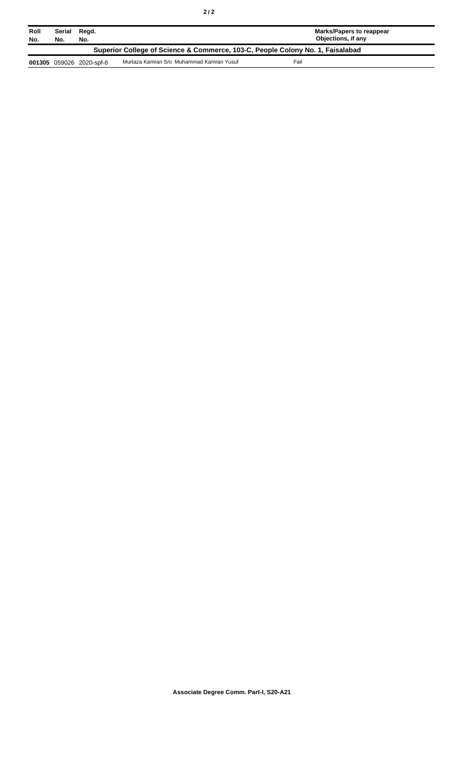| Roll<br>No.                                                                    | Serial Regd.<br>No. | No.                      |                                          | Marks/Papers to reappear<br>Objections, if any |  |
|--------------------------------------------------------------------------------|---------------------|--------------------------|------------------------------------------|------------------------------------------------|--|
| Superior College of Science & Commerce, 103-C, People Colony No. 1, Faisalabad |                     |                          |                                          |                                                |  |
|                                                                                |                     | 001305 059026 2020-spf-8 | Murtaza Kamran S/o Muhammad Kamran Yusuf | Fail                                           |  |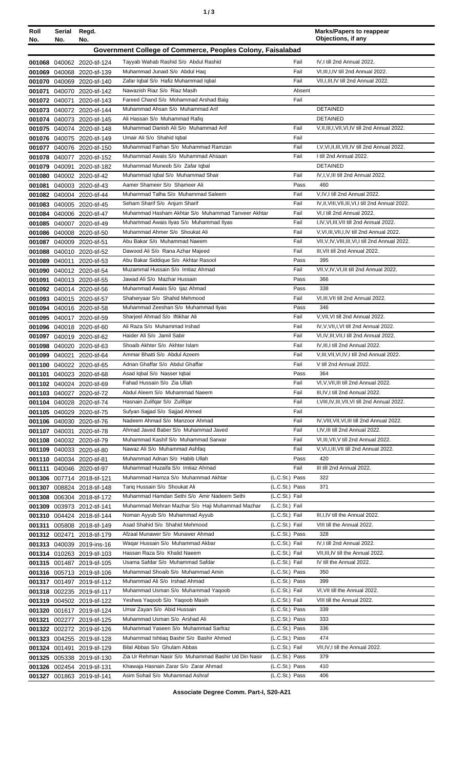| ×<br>٠<br>٠ | I<br>۰.<br>× |
|-------------|--------------|
|-------------|--------------|

| Roll             | Serial        | Regd.                                                  |                                                                   |                | <b>Marks/Papers to reappear</b><br>Objections, if any |
|------------------|---------------|--------------------------------------------------------|-------------------------------------------------------------------|----------------|-------------------------------------------------------|
| No.              | No.           | No.                                                    |                                                                   |                |                                                       |
|                  |               |                                                        | Government College of Commerce, Peoples Colony, Faisalabad        |                |                                                       |
|                  |               | 001068 040062 2020-tif-124                             | Tayyab Wahab Rashid S/o Abdul Rashid                              | Fail           | IV, I till 2nd Annual 2022.                           |
|                  |               | 001069 040068 2020-tif-139                             | Muhammad Junaid S/o Abdul Haq                                     | Fail           | VI, III, I, IV till 2nd Annual 2022.                  |
|                  |               | 001070 040069 2020-tif-140                             | Zafar Iqbal S/o Hafiz Muhammad Iqbal                              | Fail           | VII, I, III, IV till 2nd Annual 2022.                 |
| 001071           |               | 040070 2020-tif-142                                    | Nawazish Riaz S/o Riaz Masih                                      | Absent         |                                                       |
|                  | 001072 040071 | 2020-tif-143                                           | Fareed Chand S/o Mohammad Arshad Baig                             | Fail           |                                                       |
|                  |               | 001073 040072 2020-tif-144                             | Muhammad Ahsan S/o Muhammad Arif                                  |                | <b>DETAINED</b>                                       |
|                  |               | 001074 040073 2020-tif-145                             | Ali Hassan S/o Muhammad Rafiq                                     |                | <b>DETAINED</b>                                       |
|                  |               | 001075 040074 2020-tif-148                             | Muhammad Danish Ali S/o Muhammad Arif                             | Fail           | V, II, III, I, VII, VI, IV till 2nd Annual 2022.      |
|                  |               | 001076 040075 2020-tif-149                             | Umair Ali S/o Shahid Iqbal<br>Muhammad Farhan S/o Muhammad Ramzan | Fail<br>Fail   | I, V, VI, II, III, VII, IV till 2nd Annual 2022.      |
| 001077           |               | 040076 2020-tif-150                                    | Muhammad Awais S/o Muhammad Ahsaan                                | Fail           | I till 2nd Annual 2022.                               |
|                  |               | 001078 040077 2020-tif-152                             | Muhammad Muneeb S/o Zafar Iqbal                                   |                | <b>DETAINED</b>                                       |
| 001079<br>001080 |               | 040091 2020-tif-182<br>040002 2020-tif-42              | Muhammad Iqbal S/o Muhammad Shair                                 | Fail           | IV, I, V, III till 2nd Annual 2022.                   |
| 001081           |               | 040003 2020-tif-43                                     | Aamer Shameer S/o Shameer Ali                                     | Pass           | 460                                                   |
|                  |               | 001082 040004 2020-tif-44                              | Muhammad Talha S/o Muhammad Saleem                                | Fail           | V,IV,I till 2nd Annual 2022.                          |
|                  |               | 001083 040005 2020-tif-45                              | Seham Sharif S/o Anjum Sharif                                     | Fail           | IV.II. VIII. VII. III. VI. I till 2nd Annual 2022.    |
|                  |               | 001084 040006 2020-tif-47                              | Muhammad Hasham Akhtar S/o Muhammad Tanveer Akhtar                | Fail           | VI,I till 2nd Annual 2022.                            |
|                  |               | 001085 040007 2020-tif-49                              | Muhammad Awais Ilyas S/o Muhammad Ilyas                           | Fail           | I, IV, VI, III, VII till 2nd Annual 2022.             |
|                  |               | 001086 040008 2020-tif-50                              | Muhammad Ahmer S/o Shoukat Ali                                    | Fail           | V, VI, III, VII, I, IV till 2nd Annual 2022.          |
| 001087           |               | 040009 2020-tif-51                                     | Abu Bakar S/o Muhammad Naeem                                      | Fail           | VII, V, IV, VIII, III, VI, I till 2nd Annual 2022.    |
| 001088           |               | 040010 2020-tif-52                                     | Dawood Ali S/o Rana Azhar Majeed                                  | Fail           | III.VII till 2nd Annual 2022.                         |
| 001089           | 040011        | 2020-tif-53                                            | Abu Bakar Siddique S/o Akhtar Rasool                              | Pass           | 395                                                   |
| 001090           |               | 040012 2020-tif-54                                     | Muzammal Hussain S/o Imtiaz Ahmad                                 | Fail           | VII, V, IV, VI, III till 2nd Annual 2022.             |
| 001091           |               | 040013 2020-tif-55                                     | Jawad Ali S/o Mazhar Hussain                                      | Pass           | 366                                                   |
|                  |               | 001092 040014 2020-tif-56                              | Muhammad Awais S/o Ijaz Ahmad                                     | Pass           | 338                                                   |
|                  |               | 001093 040015 2020-tif-57                              | Shaheryaar S/o Shahid Mehmood                                     | Fail           | VI, III, VII till 2nd Annual 2022.                    |
|                  |               | 001094 040016 2020-tif-58                              | Muhammad Zeeshan S/o Muhammad Ilyas                               | Pass           | 346                                                   |
| 001095           |               | 040017 2020-tif-59                                     | Sharjeel Ahmad S/o Iftikhar Ali                                   | Fail           | V, VII, VI till 2nd Annual 2022.                      |
| 001096           |               | 040018 2020-tif-60                                     | Ali Raza S/o Muhammad Irshad                                      | Fail           | IV, V, VII, I, VI till 2nd Annual 2022.               |
| 001097           |               | 040019 2020-tif-62                                     | Haider Ali S/o Jamil Sabir                                        | Fail           | VI, IV, III, VII, I till 2nd Annual 2022.             |
|                  |               | 001098 040020 2020-tif-63                              | Shoaib Akhter S/o Akhter Islam                                    | Fail           | IV, III, I till 2nd Annual 2022.                      |
|                  |               | 001099 040021 2020-tif-64                              | Ammar Bhatti S/o Abdul Azeem                                      | Fail           | V, III, VII, VI, IV, I till 2nd Annual 2022.          |
|                  |               | 001100 040022 2020-tif-65                              | Adnan Ghaffar S/o Abdul Ghaffar                                   | Fail           | V till 2nd Annual 2022.                               |
|                  |               | 001101 040023 2020-tif-68                              | Asad Iqbal S/o Nasser Iqbal                                       | Pass           | 364                                                   |
|                  |               | 001102 040024 2020-tif-69                              | Fahad Hussain S/o Zia Ullah                                       | Fail           | VI, V, VII, III till 2nd Annual 2022.                 |
|                  |               | 001103 040027 2020-tif-72                              | Abdul Aleem S/o Muhammad Naeem                                    | Fail           | III, IV, I till 2nd Annual 2022.                      |
|                  |               | 001104 040028 2020-tif-74                              | Hasnain Zulifgar S/o Zulifgar                                     | Fail<br>Fail   | I, VIII, IV, III, VII, VI till 2nd Annual 2022.       |
|                  |               | 001105 040029 2020-tif-75                              | Sufyan Sajjad S/o Sajjad Ahmed<br>Nadeem Ahmad S/o Manzoor Ahmad  | Fail           | IV, VIII, VII, VI, III till 2nd Annual 2022.          |
|                  |               | 001106 040030 2020-tif-76                              | Ahmad Javed Baber S/o Muhammad Javed                              | Fail           | I,IV,III till 2nd Annual 2022.                        |
|                  |               | 001107 040031 2020-tif-78<br>001108 040032 2020-tif-79 | Muhammad Kashif S/o Muhammad Sarwar                               | Fail           | VI, III, VII, V till 2nd Annual 2022.                 |
|                  |               | 001109 040033 2020-tif-80                              | Nawaz Ali S/o Muhammad Ashfaq                                     | Fail           | V, VI, I, III, VII till 2nd Annual 2022.              |
|                  |               | 001110 040034 2020-tif-81                              | Muhammad Adnan S/o Habib Ullah                                    | Pass           | 420                                                   |
|                  |               | 001111 040046 2020-tif-97                              | Muhammad Huzaifa S/o Imtiaz Ahmad                                 | Fail           | III till 2nd Annual 2022.                             |
|                  |               | 001306 007714 2018-tif-121                             | Muhammad Hamza S/o Muhammad Akhtar                                | (L.C.St.) Pass | 322                                                   |
|                  |               | 001307 008824 2018-tif-148                             | Tariq Hussain S/o Shoukat Ali                                     | (L.C.St.) Pass | 371                                                   |
|                  |               | 001308 006304 2018-tif-172                             | Muhammad Hamdan Sethi S/o Amir Nadeem Sethi                       | (L.C.St.) Fail |                                                       |
|                  |               | 001309 003973 2012-tif-141                             | Muhammad Mehran Mazhar S/o Haji Muhammad Mazhar                   | (L.C.St.) Fail |                                                       |
|                  |               | 001310 004424 2018-tif-144                             | Noman Ayyub S/o Muhammad Ayyub                                    | (L.C.St.) Fail | III, I, IV till the Annual 2022.                      |
|                  |               | 001311 005808 2018-tif-149                             | Asad Shahid S/o Shahid Mehmood                                    | (L.C.St.) Fail | VIII till the Annual 2022.                            |
|                  |               | 001312 002471 2018-tif-179                             | Afzaal Munawer S/o Munawer Ahmad                                  | (L.C.St.) Pass | 328                                                   |
|                  |               | 001313 040039 2019-ins-16                              | Waqar Hussain S/o Muhammad Akbar                                  | (L.C.St.) Fail | IV, I till 2nd Annual 2022.                           |
|                  |               | 001314 010263 2019-tif-103                             | Hassan Raza S/o Khalid Naeem                                      | (L.C.St.) Fail | VII, III, IV till the Annual 2022.                    |
|                  |               | 001315 001487 2019-tif-105                             | Usama Safdar S/o Muhammad Safdar                                  | (L.C.St.) Fail | IV till the Annual 2022.                              |
|                  |               | 001316 005713 2019-tif-106                             | Muhammad Shoaib S/o Muhammad Amin                                 | (L.C.St.) Pass | 350                                                   |
|                  |               | 001317 001497 2019-tif-112                             | Muhammad Ali S/o Irshad Ahmad                                     | (L.C.St.) Pass | 399                                                   |
|                  |               | 001318 002235 2019-tif-117                             | Muhammad Usman S/o Muhammad Yaqoob                                | (L.C.St.) Fail | VI, VII till the Annual 2022.                         |
|                  |               | 001319 004502 2019-tif-122                             | Yeshwa Yaqoob S/o Yaqoob Masih                                    | (L.C.St.) Fail | VIII till the Annual 2022.                            |
|                  |               | 001320 001617 2019-tif-124                             | Umar Zayan S/o Abid Hussain                                       | (L.C.St.) Pass | 339                                                   |
| 001321           |               | 002277 2019-tif-125                                    | Muhammad Usman S/o Arshad Ali                                     | (L.C.St.) Pass | 333                                                   |
|                  |               | 001322 002272 2019-tif-126                             | Muhammad Yaseen S/o Muhammad Sarfraz                              | (L.C.St.) Pass | 336                                                   |
|                  |               | 001323 004255 2019-tif-128                             | Muhammad Ishtiaq Bashir S/o Bashir Ahmed                          | (L.C.St.) Pass | 474                                                   |
|                  |               | 001324 001491 2019-tif-129                             | Bilal Abbas S/o Ghulam Abbas                                      | (L.C.St.) Fail | VII, IV, I till the Annual 2022.                      |
|                  |               | 001325 005338 2019-tif-130                             | Zia Ur Rehman Nasir S/o Muhammad Bashir Ud Din Nasir              | (L.C.St.) Pass | 379                                                   |
|                  |               | 001326 002454 2019-tif-131                             | Khawaja Hasnain Zarar S/o Zarar Ahmad                             | (L.C.St.) Pass | 410                                                   |
|                  |               | 001327 001863 2019-tif-141                             | Asim Sohail S/o Muhammad Ashraf                                   | (L.C.St.) Pass | 406                                                   |

**Associate Degree Comm. Part-I, S20-A21**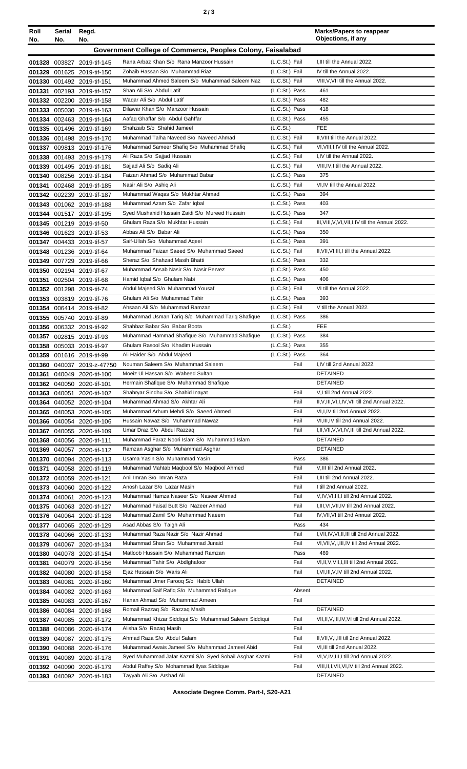| ۰, | ×<br>I<br>۰.<br>× |
|----|-------------------|
|----|-------------------|

| Roll<br>No. | Serial<br>No. | Regd.<br>No.                                             |                                                                             |                                  | <b>Marks/Papers to reappear</b><br>Objections, if any                                   |
|-------------|---------------|----------------------------------------------------------|-----------------------------------------------------------------------------|----------------------------------|-----------------------------------------------------------------------------------------|
|             |               |                                                          | Government College of Commerce, Peoples Colony, Faisalabad                  |                                  |                                                                                         |
|             |               |                                                          | Rana Arbaz Khan S/o Rana Manzoor Hussain                                    | (L.C.St.) Fail                   | I, III till the Annual 2022.                                                            |
|             |               | 001328 003827 2019-tif-145<br>001329 001625 2019-tif-150 | Zohaib Hassan S/o Muhammad Riaz                                             | (L.C.St.) Fail                   | IV till the Annual 2022.                                                                |
|             |               | 001330 001492 2019-tif-151                               | Muhammad Ahmed Saleem S/o Muhammad Saleem Naz                               | (L.C.St.) Fail                   | VIII, V, VII till the Annual 2022.                                                      |
|             |               | 001331 002193 2019-tif-157                               | Shan Ali S/o Abdul Latif                                                    | (L.C.St.) Pass                   | 461                                                                                     |
|             |               | 001332 002200 2019-tif-158                               | Waqar Ali S/o Abdul Latif                                                   | (L.C.St.) Pass                   | 482                                                                                     |
|             |               | 001333 005030 2019-tif-163                               | Dilawar Khan S/o Manzoor Hussain                                            | (L.C.St.) Pass                   | 418                                                                                     |
|             |               | 001334 002463 2019-tif-164                               | Aafaq Ghaffar S/o Abdul Gahffar                                             | (L.C.St.) Pass                   | 455                                                                                     |
|             |               | 001335 001496 2019-tif-169                               | Shahzaib S/o Shahid Jameel                                                  | (L.C.St.)                        | <b>FEE</b>                                                                              |
|             |               | 001336 001498 2019-tif-170                               | Muhammad Talha Naveed S/o Naveed Ahmad                                      | (L.C.St.) Fail                   | II. VIII till the Annual 2022.                                                          |
|             |               | 001337 009813 2019-tif-176                               | Muhammad Sameer Shafiq S/o Muhammad Shafiq                                  | (L.C.St.) Fail                   | VI, VIII, I, IV till the Annual 2022.                                                   |
|             |               | 001338 001493 2019-tif-179                               | Ali Raza S/o Sajjad Hussain                                                 | (L.C.St.) Fail                   | I, IV till the Annual 2022.                                                             |
|             |               | 001339 001495 2019-tif-181                               | Sajjad Ali S/o Sadiq Ali<br>Faizan Ahmad S/o Muhammad Babar                 | (L.C.St.) Fail                   | VIII, IV, I till the Annual 2022.<br>375                                                |
| 001341      |               | 001340 008256 2019-tif-184                               | Nasir Ali S/o Ashiq Ali                                                     | (L.C.St.) Pass<br>(L.C.St.) Fail | VI.IV till the Annual 2022.                                                             |
|             |               | 002468 2019-tif-185<br>001342 002239 2019-tif-187        | Muhammad Waqas S/o Mukhtar Ahmad                                            | (L.C.St.) Pass                   | 394                                                                                     |
|             |               | 001343 001062 2019-tif-188                               | Muhammad Azam S/o Zafar Iqbal                                               | (L.C.St.) Pass                   | 403                                                                                     |
|             |               | 001344 001517 2019-tif-195                               | Syed Mushahid Hussain Zaidi S/o Mureed Hussain                              | (L.C.St.) Pass                   | 347                                                                                     |
|             |               | 001345 001219 2019-tif-50                                | Ghulam Raza S/o Mukhtar Hussain                                             | (L.C.St.) Fail                   | III, VIII, V, VI, VII, I, IV till the Annual 2022.                                      |
|             |               | 001346 001623 2019-tif-53                                | Abbas Ali S/o Babar Ali                                                     | (L.C.St.) Pass                   | 350                                                                                     |
|             |               | 001347 004433 2019-tif-57                                | Saif-Ullah S/o Muhammad Ageel                                               | (L.C.St.) Pass                   | 391                                                                                     |
|             |               | 001348 001236 2019-tif-64                                | Muhammad Faizan Saeed S/o Muhammad Saeed                                    | (L.C.St.) Fail                   | II, VII, VI, III, I till the Annual 2022.                                               |
|             |               | 001349 007729 2019-tif-66                                | Sheraz S/o Shahzad Masih Bhatti                                             | (L.C.St.) Pass                   | 332                                                                                     |
|             |               | 001350 002194 2019-tif-67                                | Muhammad Ansab Nasir S/o Nasir Pervez                                       | (L.C.St.) Pass                   | 450                                                                                     |
|             |               | 001351 002504 2019-tif-68                                | Hamid Iqbal S/o Ghulam Nabi                                                 | (L.C.St.) Pass                   | 406                                                                                     |
|             |               | 001352 001298 2019-tif-74                                | Abdul Majeed S/o Muhammad Yousaf                                            | (L.C.St.) Fail                   | VI till the Annual 2022.                                                                |
|             |               | 001353 003819 2019-tif-76                                | Ghulam Ali S/o Muhammad Tahir<br>Ahsaan Ali S/o Muhammad Ramzan             | (L.C.St.) Pass<br>(L.C.St.) Fail | 393<br>V till the Annual 2022.                                                          |
|             |               | 001354 006414 2019-tif-82                                | Muhammad Usman Tariq S/o Muhammad Tariq Shafique                            | (L.C.St.) Pass                   | 386                                                                                     |
|             |               | 001355 005740 2019-tif-89<br>001356 006332 2019-tif-92   | Shahbaz Babar S/o Babar Boota                                               | (L.C.St.)                        | <b>FEE</b>                                                                              |
|             |               | 001357 002815 2019-tif-93                                | Muhammad Hammad Shafique S/o Muhammad Shafique                              | (L.C.St.) Pass                   | 384                                                                                     |
|             |               | 001358 005033 2019-tif-97                                | Ghulam Rasool S/o Khadim Hussain                                            | (L.C.St.) Pass                   | 355                                                                                     |
|             |               | 001359 001616 2019-tif-99                                | Ali Haider S/o Abdul Majeed                                                 | (L.C.St.) Pass                   | 364                                                                                     |
|             |               | 001360 040037 2019-z-47750                               | Nouman Saleem S/o Muhammad Saleem                                           | Fail                             | I,IV till 2nd Annual 2022.                                                              |
| 001361      |               | 040049 2020-tif-100                                      | Moeiz UI Hassan S/o Waheed Sultan                                           |                                  | <b>DETAINED</b>                                                                         |
|             |               | 001362 040050 2020-tif-101                               | Hermain Shafique S/o Muhammad Shafique                                      |                                  | <b>DETAINED</b>                                                                         |
|             |               | 001363 040051 2020-tif-102                               | Shahryar Sindhu S/o Shahid Inayat                                           | Fail                             | V,I till 2nd Annual 2022.                                                               |
|             |               | 001364 040052 2020-tif-104                               | Muhammad Ahmad S/o Akhtar Ali                                               | Fail                             | II, V, III, VI, I, IV, VII till 2nd Annual 2022.                                        |
|             |               | 001365 040053 2020-tif-105                               | Muhammad Arhum Mehdi S/o Saeed Ahmed                                        | Fail                             | VI, I, IV till 2nd Annual 2022.                                                         |
|             |               | 001366 040054 2020-tif-106                               | Hussain Nawaz S/o Muhammad Nawaz                                            | Fail                             | VI, III, IV till 2nd Annual 2022.                                                       |
|             |               | 001367 040055 2020-tif-109                               | Umar Draz S/o Abdul Razzag<br>Muhammad Faraz Noori Islam S/o Muhammad Islam | Fail                             | I, II, VII, V, VI, IV, III till 2nd Annual 2022.<br><b>DETAINED</b>                     |
|             |               | 001368 040056 2020-tif-111<br>001369 040057 2020-tif-112 | Ramzan Asghar S/o Muhammad Asghar                                           |                                  | <b>DETAINED</b>                                                                         |
|             |               | 001370 040094 2020-tif-113                               | Usama Yasin S/o Muhammad Yasin                                              | Pass                             | 386                                                                                     |
|             |               | 001371 040058 2020-tif-119                               | Muhammad Mahtab Magbool S/o Magbool Ahmed                                   | Fail                             | V, III till 2nd Annual 2022.                                                            |
|             |               | 001372 040059 2020-tif-121                               | Anil Imran S/o Imran Raza                                                   | Fail                             | I, III till 2nd Annual 2022.                                                            |
|             |               | 001373 040060 2020-tif-122                               | Anosh Lazar S/o Lazar Masih                                                 | Fail                             | I till 2nd Annual 2022.                                                                 |
|             |               | 001374 040061 2020-tif-123                               | Muhammad Hamza Naseer S/o Naseer Ahmad                                      | Fail                             | V, IV, VI, III, I till 2nd Annual 2022.                                                 |
|             |               | 001375 040063 2020-tif-127                               | Muhammad Faisal Butt S/o Nazeer Ahmad                                       | Fail                             | I, III, VI, VII, IV till 2nd Annual 2022.                                               |
|             |               | 001376 040064 2020-tif-128                               | Muhammad Zamil S/o Muhammad Naeem                                           | Fail                             | IV, VII, VI till 2nd Annual 2022.                                                       |
|             |               | 001377 040065 2020-tif-129                               | Asad Abbas S/o Taigh Ali                                                    | Pass                             | 434                                                                                     |
|             |               | 001378 040066 2020-tif-133                               | Muhammad Raza Nazir S/o Nazir Ahmad                                         | Fail                             | I, VII, IV, VI, II, III till 2nd Annual 2022.                                           |
|             |               | 001379 040067 2020-tif-134                               | Muhammad Shan S/o Muhammad Junaid                                           | Fail                             | VI, VII, V, I, III, IV till 2nd Annual 2022.                                            |
| 001380      |               | 040078 2020-tif-154                                      | Matloob Hussain S/o Muhammad Ramzan                                         | Pass                             | 469                                                                                     |
|             |               | 001381 040079 2020-tif-156                               | Muhammad Tahir S/o Abdlghafoor<br>Ejaz Hussain S/o Waris Ali                | Fail<br>Fail                     | VI, II, V, VII, I, III till 2nd Annual 2022.<br>I, VI, III, V, IV till 2nd Annual 2022. |
|             |               | 001382 040080 2020-tif-158                               | Muhammad Umer Farooq S/o Habib Ullah                                        |                                  | <b>DETAINED</b>                                                                         |
|             |               | 001383 040081 2020-tif-160<br>001384 040082 2020-tif-163 | Muhammad Saif Rafiq S/o Muhammad Rafique                                    | Absent                           |                                                                                         |
|             |               | 001385 040083 2020-tif-167                               | Hanan Ahmad S/o Muhammad Ameen                                              | Fail                             |                                                                                         |
|             |               | 001386 040084 2020-tif-168                               | Romail Razzaq S/o Razzaq Masih                                              |                                  | <b>DETAINED</b>                                                                         |
|             |               | 001387 040085 2020-tif-172                               | Muhammad Khizar Siddiqui S/o Muhammad Saleem Siddiqui                       | Fail                             | VII, II, V, III, IV, VI till 2nd Annual 2022.                                           |
|             |               | 001388 040086 2020-tif-174                               | Alisha S/o Razaq Masih                                                      | Fail                             |                                                                                         |
|             |               | 001389 040087 2020-tif-175                               | Ahmad Raza S/o Abdul Salam                                                  | Fail                             | II, VII, V, I, III till 2nd Annual 2022.                                                |
|             |               | 001390 040088 2020-tif-176                               | Muhammad Awais Jameel S/o Muhammad Jameel Abid                              | Fail                             | VI, III till 2nd Annual 2022.                                                           |
|             |               | 001391 040089 2020-tif-178                               | Syed Muhammad Jafar Kazmi S/o Syed Sohail Asghar Kazmi                      | Fail                             | VI, V, IV, III, I till 2nd Annual 2022.                                                 |
|             |               | 001392 040090 2020-tif-179                               | Abdul Raffey S/o Mohammad Ilyas Siddique                                    | Fail                             | VIII, II, I, VII, VI, IV till 2nd Annual 2022.                                          |
|             |               | 001393 040092 2020-tif-183                               | Tayyab Ali S/o Arshad Ali                                                   |                                  | <b>DETAINED</b>                                                                         |

**Associate Degree Comm. Part-I, S20-A21**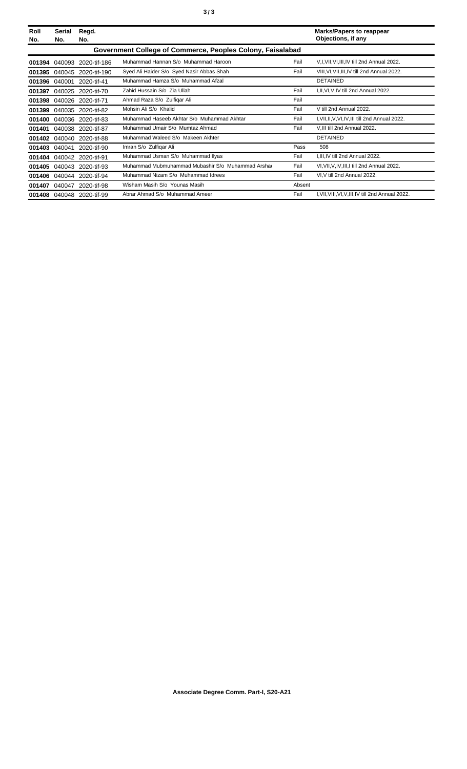| Roll<br>No.                                                | Serial<br>No. | Regd.<br>No.              |                                                   |        | <b>Marks/Papers to reappear</b><br>Objections, if any |  |  |
|------------------------------------------------------------|---------------|---------------------------|---------------------------------------------------|--------|-------------------------------------------------------|--|--|
| Government College of Commerce, Peoples Colony, Faisalabad |               |                           |                                                   |        |                                                       |  |  |
| 001394                                                     | 040093        | 2020-tif-186              | Muhammad Hannan S/o Muhammad Haroon               | Fail   | V, I, VII, VI, III, IV till 2nd Annual 2022.          |  |  |
| 001395                                                     | 040045        | 2020-tif-190              | Syed Ali Haider S/o Syed Nasir Abbas Shah         | Fail   | VIII, VI, VII, III, IV till 2nd Annual 2022.          |  |  |
| 001396                                                     | 040001        | 2020-tif-41               | Muhammad Hamza S/o Muhammad Afzal                 |        | <b>DETAINED</b>                                       |  |  |
| 001397                                                     | 040025        | 2020-tif-70               | Zahid Hussain S/o Zia Ullah                       | Fail   | I, II, VI, V, IV till 2nd Annual 2022.                |  |  |
| 001398                                                     | 040026        | 2020-tif-71               | Ahmad Raza S/o Zulfigar Ali                       | Fail   |                                                       |  |  |
| 001399                                                     |               | 040035 2020-tif-82        | Mohsin Ali S/o Khalid                             | Fail   | V till 2nd Annual 2022                                |  |  |
| 001400                                                     |               | 040036 2020-tif-83        | Muhammad Haseeb Akhtar S/o Muhammad Akhtar        | Fail   | I, VII, II, V, VI, IV, III till 2nd Annual 2022.      |  |  |
| 001401                                                     |               | 040038 2020-tif-87        | Muhammad Umair S/o Mumtaz Ahmad                   | Fail   | V, III till 2nd Annual 2022.                          |  |  |
| 001402                                                     | 040040        | 2020-tif-88               | Muhammad Waleed S/o Makeen Akhter                 |        | <b>DETAINED</b>                                       |  |  |
| 001403                                                     | 040041        | 2020-tif-90               | Imran S/o Zulfigar Ali                            | Pass   | 508                                                   |  |  |
| 001404                                                     |               | 040042 2020-tif-91        | Muhammad Usman S/o Muhammad Ilyas                 | Fail   | I, III, IV till 2nd Annual 2022.                      |  |  |
| 001405                                                     |               | 040043 2020-tif-93        | Muhammad Mubmuhammad Mubashir S/o Muhammad Arshar | Fail   | VI, VII, V, IV, III, I till 2nd Annual 2022.          |  |  |
|                                                            |               | 001406 040044 2020-tif-94 | Muhammad Nizam S/o Muhammad Idrees                | Fail   | VI, V till 2nd Annual 2022.                           |  |  |
| 001407                                                     | 040047        | 2020-tif-98               | Wisham Masih S/o Younas Masih                     | Absent |                                                       |  |  |
|                                                            |               | 001408 040048 2020-tif-99 | Abrar Ahmad S/o Muhammad Ameer                    | Fail   | I, VII, VIII, VI, V, III, IV till 2nd Annual 2022.    |  |  |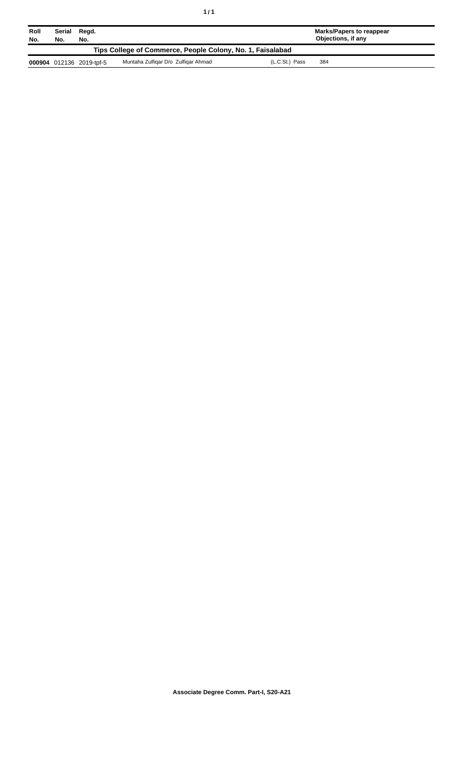| Roll<br>No.                                                | Serial<br>Regd.<br>No.<br>No. |                          |                                     |                | <b>Marks/Papers to reappear</b><br>Objections, if any |  |
|------------------------------------------------------------|-------------------------------|--------------------------|-------------------------------------|----------------|-------------------------------------------------------|--|
| Tips College of Commerce, People Colony, No. 1, Faisalabad |                               |                          |                                     |                |                                                       |  |
|                                                            |                               | 000904 012136 2019-tpf-5 | Muntaha Zulfigar D/o Zulfigar Ahmad | (L.C.St.) Pass | 384                                                   |  |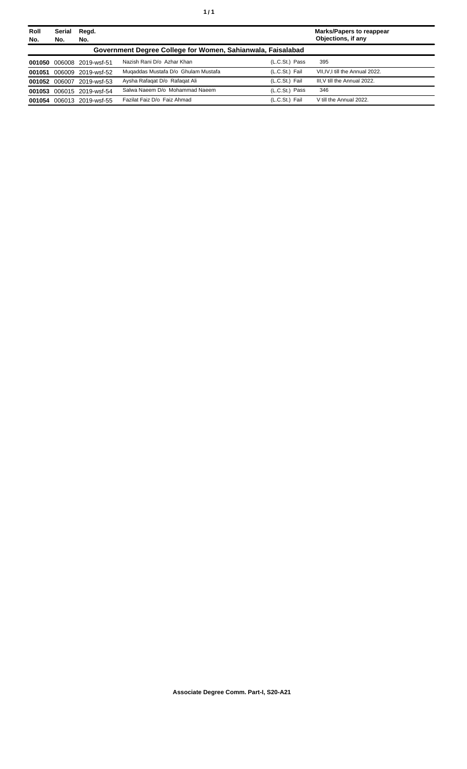| Roll<br>No. | Serial<br>No. | Regd.<br>No.              |                                                             |                | <b>Marks/Papers to reappear</b><br>Objections, if any |
|-------------|---------------|---------------------------|-------------------------------------------------------------|----------------|-------------------------------------------------------|
|             |               |                           | Government Degree College for Women, Sahianwala, Faisalabad |                |                                                       |
|             |               | 001050 006008 2019-wsf-51 | Nazish Rani D/o Azhar Khan                                  | (L.C.St.) Pass | 395                                                   |
| 001051      |               | 006009 2019-wsf-52        | Mugaddas Mustafa D/o Ghulam Mustafa                         | (L.C.St.) Fail | VII, IV, I till the Annual 2022.                      |
|             | 001052 006007 | 2019-wsf-53               | Aysha Rafagat D/o Rafagat Ali                               | (L.C.St.) Fail | III, V till the Annual 2022.                          |
|             |               | 001053 006015 2019-wsf-54 | Salwa Naeem D/o Mohammad Naeem                              | (L.C.St.) Pass | 346                                                   |
| 001054      |               | 006013 2019-wsf-55        | Fazilat Faiz D/o Faiz Ahmad                                 | (L.C.St.) Fail | V till the Annual 2022.                               |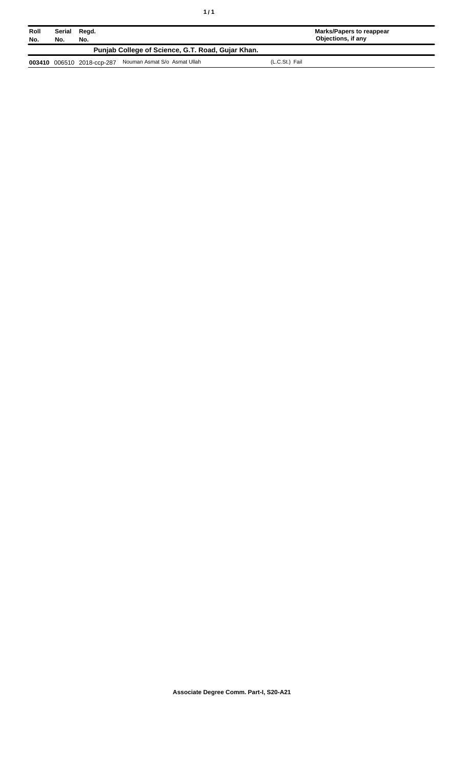| Roll<br>No. | Serial<br>Regd.<br>No.<br>No. |                            |                                                   |                | Marks/Papers to reappear<br>Objections, if any |
|-------------|-------------------------------|----------------------------|---------------------------------------------------|----------------|------------------------------------------------|
|             |                               |                            | Punjab College of Science, G.T. Road, Gujar Khan. |                |                                                |
|             |                               | 003410 006510 2018-ccp-287 | Nouman Asmat S/o Asmat Ullah                      | (L.C.St.) Fail |                                                |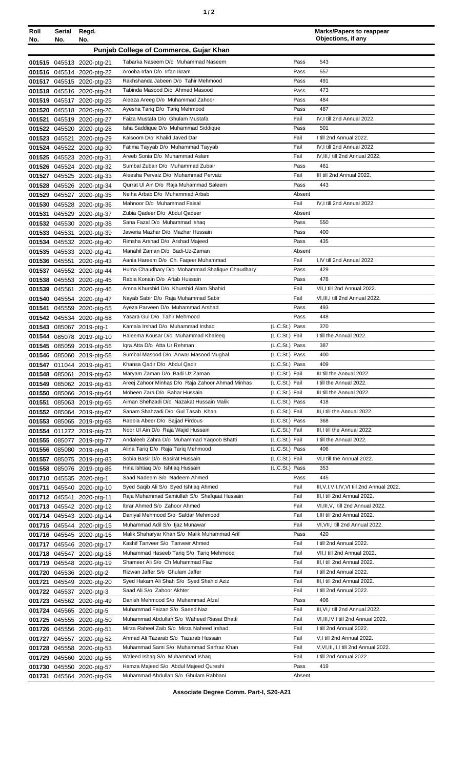| ٠ |  |  |
|---|--|--|
|---|--|--|

| Roll<br>No.                            | Serial Regd.<br>No. | No.                                                    |                                                                          |                                  | <b>Marks/Papers to reappear</b><br>Objections, if any               |
|----------------------------------------|---------------------|--------------------------------------------------------|--------------------------------------------------------------------------|----------------------------------|---------------------------------------------------------------------|
| Punjab College of Commerce, Gujar Khan |                     |                                                        |                                                                          |                                  |                                                                     |
|                                        |                     | 001515 045513 2020-ptg-21                              | Tabarka Naseem D/o Muhammad Naseem                                       | Pass                             | 543                                                                 |
|                                        |                     | 001516 045514 2020-ptg-22                              | Arooba Irfan D/o Irfan Ikram                                             | Pass                             | 557                                                                 |
|                                        |                     | 001517 045515 2020-ptg-23                              | Rakhshanda Jabeen D/o Tahir Mehmood                                      | Pass                             | 491                                                                 |
|                                        |                     | 001518 045516 2020-ptg-24                              | Tabinda Masood D/o Ahmed Masood                                          | Pass                             | 473                                                                 |
|                                        |                     | 001519 045517 2020-ptg-25                              | Aleeza Areeg D/o Muhammad Zahoor                                         | Pass                             | 484                                                                 |
|                                        |                     | 001520 045518 2020-ptg-26                              | Ayesha Tariq D/o Tariq Mehmood                                           | Pass                             | 487                                                                 |
|                                        |                     | 001521 045519 2020-ptg-27                              | Faiza Mustafa D/o Ghulam Mustafa                                         | Fail                             | IV.I till 2nd Annual 2022.                                          |
|                                        |                     | 001522 045520 2020-ptg-28                              | Isha Saddique D/o Muhammad Siddique                                      | Pass                             | 501                                                                 |
|                                        |                     | 001523 045521 2020-ptg-29                              | Kalsoom D/o Khalid Javed Dar<br>Fatima Tayyab D/o Muhammad Tayyab        | Fail<br>Fail                     | I till 2nd Annual 2022.<br>IV, I till 2nd Annual 2022.              |
|                                        |                     | 001524 045522 2020-ptg-30<br>001525 045523 2020-ptg-31 | Areeb Sonia D/o Muhammad Aslam                                           | Fail                             | IV, III, I till 2nd Annual 2022.                                    |
|                                        |                     | 001526 045524 2020-ptg-32                              | Sumbal Zubair D/o Muhammad Zubair                                        | Pass                             | 461                                                                 |
|                                        |                     | 001527 045525 2020-ptg-33                              | Aleesha Pervaiz D/o Muhammad Pervaiz                                     | Fail                             | III till 2nd Annual 2022.                                           |
|                                        |                     | 001528 045526 2020-ptg-34                              | Qurrat UI Ain D/o Raja Muhammad Saleem                                   | Pass                             | 443                                                                 |
|                                        |                     | 001529 045527 2020-ptg-35                              | Neiha Arbab D/o Muhammad Arbab                                           | Absent                           |                                                                     |
|                                        |                     | 001530 045528 2020-ptg-36                              | Mahnoor D/o Muhammad Faisal                                              | Fail                             | IV, I till 2nd Annual 2022.                                         |
|                                        |                     | 001531 045529 2020-ptg-37                              | Zubia Qadeer D/o Abdul Qadeer                                            | Absent                           |                                                                     |
|                                        |                     | 001532 045530 2020-ptg-38                              | Sana Fazal D/o Muhammad Ishaq                                            | Pass                             | 550                                                                 |
|                                        |                     | 001533 045531 2020-ptg-39                              | Jaweria Mazhar D/o Mazhar Hussain                                        | Pass                             | 400                                                                 |
|                                        |                     | 001534 045532 2020-ptg-40                              | Rimsha Arshad D/o Arshad Majeed<br>Manahil Zaman D/o Badi-Uz-Zaman       | Pass<br>Absent                   | 435                                                                 |
|                                        |                     | 001535 045533 2020-ptg-41<br>001536 045551 2020-ptg-43 | Aania Hareem D/o Ch. Faqeer Muhammad                                     | Fail                             | I,IV till 2nd Annual 2022.                                          |
|                                        |                     | 001537 045552 2020-ptg-44                              | Huma Chaudhary D/o Mohammad Shafique Chaudhary                           | Pass                             | 429                                                                 |
|                                        |                     | 001538 045553 2020-ptg-45                              | Rabia Konain D/o Aftab Hussain                                           | Pass                             | 478                                                                 |
|                                        |                     | 001539 045561 2020-ptg-46                              | Amna Khurshid D/o Khurshid Alam Shahid                                   | Fail                             | VII, I till 2nd Annual 2022.                                        |
|                                        |                     | 001540 045554 2020-ptg-47                              | Nayab Sabir D/o Raja Muhammad Sabir                                      | Fail                             | VI, III, I till 2nd Annual 2022.                                    |
|                                        |                     | 001541 045559 2020-ptg-55                              | Ayeza Parveen D/o Muhammad Arshad                                        | Pass                             | 493                                                                 |
|                                        |                     | 001542 045534 2020-ptg-58                              | Yasara Gul D/o Tahir Mehmood                                             | Pass                             | 448                                                                 |
|                                        |                     | 001543 085067 2019-ptg-1                               | Kamala Irshad D/o Muhammad Irshad<br>Haleema Kousar D/o Muhammad Khaleeq | (L.C.St.) Pass<br>(L.C.St.) Fail | 370<br>I till the Annual 2022.                                      |
|                                        |                     | 001544 085078 2019-ptg-10<br>001545 085059 2019-ptg-56 | Igra Atta D/o Atta Ur Rehman                                             | (L.C.St.) Pass                   | 387                                                                 |
|                                        |                     | 001546 085060 2019-ptg-58                              | Sumbal Masood D/o Anwar Masood Mughal                                    | (L.C.St.) Pass                   | 400                                                                 |
|                                        |                     | 001547 011044 2019-ptg-61                              | Khansa Qadir D/o Abdul Qadir                                             | (L.C.St.) Pass                   | 409                                                                 |
|                                        |                     | 001548 085061 2019-ptg-62                              | Maryam Zaman D/o Badi Uz Zaman                                           | (L.C.St.) Fail                   | III till the Annual 2022.                                           |
|                                        |                     | 001549 085062 2019-ptg-63                              | Areej Zahoor Minhas D/o Raja Zahoor Ahmad Minhas                         | (L.C.St.) Fail                   | I till the Annual 2022.                                             |
|                                        |                     | 001550 085066 2019-ptg-64                              | Mobeen Zara D/o Babar Hussain                                            | (L.C.St.) Fail                   | III till the Annual 2022.                                           |
|                                        |                     | 001551 085063 2019-ptg-65                              | Aiman Shehzadi D/o Nazakat Hussain Malik                                 | (L.C.St.) Pass                   | 418                                                                 |
|                                        |                     | 001552 085064 2019-ptg-67                              | Sanam Shahzadi D/o Gul Tasab Khan                                        | (L.C.St.) Fail                   | III,I till the Annual 2022.                                         |
|                                        |                     | 001553 085065 2019-ptg-68                              | Rabbia Abeer D/o Sajjad Firdous<br>Noor Ul Ain D/o Raja Wajid Hussain    | (L.C.St.) Pass<br>(L.C.St.) Fail | 368<br>III, I till the Annual 2022.                                 |
|                                        |                     | 001554 011272 2019-ptg-73<br>001555 085077 2019-ptg-77 | Andaleeb Zahra D/o Muhammad Yaqoob Bhatti                                | (L.C.St.) Fail                   | I till the Annual 2022.                                             |
|                                        |                     | 001556 085080 2019-ptg-8                               | Alina Tariq D/o Raja Tariq Mehmood                                       | (L.C.St.) Pass                   | 406                                                                 |
|                                        |                     | 001557 085075 2019-ptg-83                              | Sobia Basir D/o Basirat Hussain                                          | (L.C.St.) Fail                   | VI, I till the Annual 2022.                                         |
|                                        |                     | 001558 085076 2019-ptg-86                              | Hina Ishtiag D/o Ishtiag Hussain                                         | (L.C.St.) Pass                   | 353                                                                 |
|                                        |                     | 001710 045535 2020-ptg-1                               | Saad Nadeem S/o Nadeem Ahmed                                             | Pass                             | 445                                                                 |
|                                        |                     | 001711 045540 2020-ptg-10                              | Syed Saqib Ali S/o Syed Ishtiag Ahmed                                    | Fail                             | III, V, I, VII, IV, VI till 2nd Annual 2022.                        |
|                                        |                     | 001712 045541 2020-ptg-11                              | Raja Muhammad Samiullah S/o Shafqaat Hussain                             | Fail                             | III, I till 2nd Annual 2022.                                        |
|                                        |                     | 001713 045542 2020-ptg-12                              | Ibrar Ahmed S/o Zahoor Ahmed<br>Daniyal Mehmood S/o Safdar Mehmood       | Fail<br>Fail                     | VI, III, V, I till 2nd Annual 2022.<br>I, III till 2nd Annual 2022. |
|                                        |                     | 001714 045543 2020-ptg-14<br>001715 045544 2020-ptg-15 | Muhammad Adil S/o Ijaz Munawar                                           | Fail                             | VI, VII, I till 2nd Annual 2022.                                    |
|                                        |                     | 001716 045545 2020-ptg-16                              | Malik Shaharyar Khan S/o Malik Muhammad Arif                             | Pass                             | 420                                                                 |
|                                        |                     | 001717 045546 2020-ptg-17                              | Kashif Tanveer S/o Tanveer Ahmed                                         | Fail                             | I till 2nd Annual 2022.                                             |
|                                        |                     | 001718 045547 2020-ptg-18                              | Muhammad Haseeb Tariq S/o Tariq Mehmood                                  | Fail                             | VII, I till 2nd Annual 2022.                                        |
|                                        |                     | 001719 045548 2020-ptg-19                              | Shameer Ali S/o Ch Muhammad Fiaz                                         | Fail                             | III, I till 2nd Annual 2022.                                        |
|                                        |                     | 001720 045536 2020-ptg-2                               | Rizwan Jaffer S/o Ghulam Jaffer                                          | Fail                             | I till 2nd Annual 2022.                                             |
|                                        |                     | 001721 045549 2020-ptg-20                              | Syed Hakam Ali Shah S/o Syed Shahid Aziz                                 | Fail                             | III, I till 2nd Annual 2022.                                        |
|                                        |                     | 001722 045537 2020-ptg-3                               | Saad Ali S/o Zahoor Akhter                                               | Fail                             | I till 2nd Annual 2022.                                             |
|                                        |                     | 001723 045562 2020-ptg-49                              | Danish Mehmood S/o Muhammad Afzal<br>Muhammad Faizan S/o Saeed Naz       | Pass<br>Fail                     | 406<br>III, VI, I till 2nd Annual 2022.                             |
|                                        |                     | 001724 045565 2020-ptg-5                               | Muhammad Abdullah S/o Waheed Riasat Bhatti                               | Fail                             | VI, III, IV, I till 2nd Annual 2022.                                |
|                                        |                     | 001725 045555 2020-ptg-50<br>001726 045556 2020-ptg-51 | Mirza Raheel Zaib S/o Mirza Naheed Irshad                                | Fail                             | I till 2nd Annual 2022.                                             |
|                                        |                     | 001727 045557 2020-ptg-52                              | Ahmad Ali Tazarab S/o Tazarab Hussain                                    | Fail                             | V,I till 2nd Annual 2022.                                           |
|                                        |                     | 001728 045558 2020-ptg-53                              | Muhammad Sami S/o Muhammad Sarfraz Khan                                  | Fail                             | V, VI, III, II, I till 2nd Annual 2022.                             |
|                                        |                     | 001729 045560 2020-ptg-56                              | Waleed Ishaq S/o Muhammad Ishaq                                          | Fail                             | I till 2nd Annual 2022.                                             |
|                                        |                     | 001730 045550 2020-ptg-57                              | Hamza Majeed S/o Abdul Majeed Qureshi                                    | Pass                             | 419                                                                 |
|                                        |                     | 001731 045564 2020-ptg-59                              | Muhammad Abdullah S/o Ghulam Rabbani                                     | Absent                           |                                                                     |

**Associate Degree Comm. Part-I, S20-A21**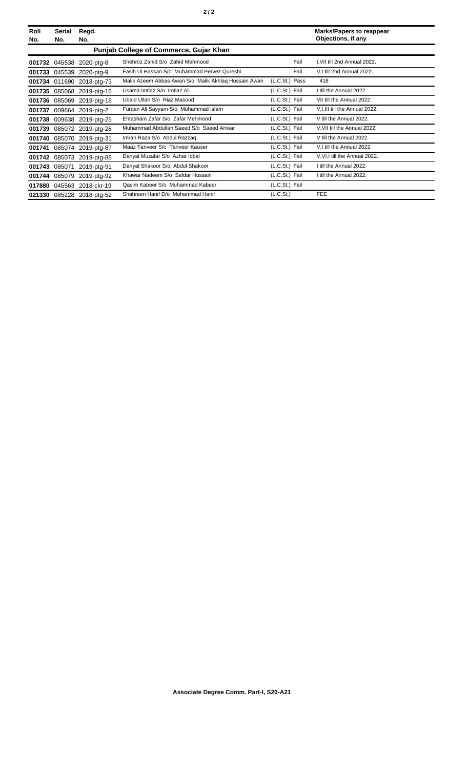| Roll<br>No. | Serial<br>No.                                 | Regd.<br>No.              |                                                      |                       | <b>Marks/Papers to reappear</b><br>Objections, if any |  |  |  |
|-------------|-----------------------------------------------|---------------------------|------------------------------------------------------|-----------------------|-------------------------------------------------------|--|--|--|
|             | <b>Punjab College of Commerce, Gujar Khan</b> |                           |                                                      |                       |                                                       |  |  |  |
| 001732      |                                               | 045538 2020-ptg-8         | Shehroz Zahid S/o Zahid Mehmood                      | Fail                  | I, VII till 2nd Annual 2022.                          |  |  |  |
| 001733      | 045539                                        | 2020-ptg-9                | Fasih Ul Hassan S/o Muhammad Pervez Qureshi          | Fail                  | V,I till 2nd Annual 2022.                             |  |  |  |
|             | 001734 011690                                 | 2018-ptg-73               | Malik Azeem Abbas Awan S/o Malik Akhlaq Hussain Awan | (L.C.St.) Pass        | 418                                                   |  |  |  |
| 001735      | 085068                                        | 2019-ptg-16               | Usama Imtiaz S/o Imtiaz Ali                          | (L.C.St.) Fail        | I till the Annual 2022.                               |  |  |  |
|             |                                               | 001736 085069 2019-ptg-18 | Ubaid Ullah S/o Riaz Masood                          | (L.C.St.) Fail        | VII till the Annual 2022.                             |  |  |  |
| 001737      |                                               | 009664 2019-ptg-2         | Furgan Ali Sayyam S/o Muhammad Islam                 | (L.C.St.) Fail        | V, I, III till the Annual 2022.                       |  |  |  |
|             |                                               | 001738 009638 2019-ptg-25 | Ehtasham Zafar S/o Zafar Mehmood                     | (L.C.St.) Fail        | V till the Annual 2022.                               |  |  |  |
| 001739      |                                               | 085072 2019-ptg-28        | Muhammad Abdullah Saeed S/o Saeed Anwar              | (L.C.St.) Fail        | V, VII till the Annual 2022.                          |  |  |  |
| 001740      |                                               | 085070 2019-ptg-31        | Imran Raza S/o Abdul Razzaq                          | (L.C.St.) Fail        | V till the Annual 2022.                               |  |  |  |
| 001741      |                                               | 085074 2019-ptg-87        | Maaz Tanveer S/o Tanveer Kauser                      | (L.C.St.) Fail        | V.I till the Annual 2022.                             |  |  |  |
| 001742      |                                               | 085073 2019-ptg-88        | Danyal Muzafar S/o Azhar Iqbal                       | (L.C.St.) Fail        | V.VI, I till the Annual 2022.                         |  |  |  |
| 001743      | 085071                                        | 2019-ptg-91               | Danyal Shakoor S/o Abdul Shakoor                     | (L.C.St.) Fail        | I till the Annual 2022.                               |  |  |  |
| 001744      | 085079                                        | 2019-ptg-92               | Khawar Nadeem S/o Safdar Hussain                     | (L.C.St.) Fail        | I till the Annual 2022.                               |  |  |  |
| 017880      |                                               | 045563 2018-ckr-19        | Qasim Kabeer S/o Muhammad Kabeer                     | (L.C.St.) Fail        |                                                       |  |  |  |
| 021330      |                                               | 085228 2018-ptg-52        | Shahreen Hanif D/o Mohammad Hanif                    | (L.C.S <sub>t</sub> ) | <b>FEE</b>                                            |  |  |  |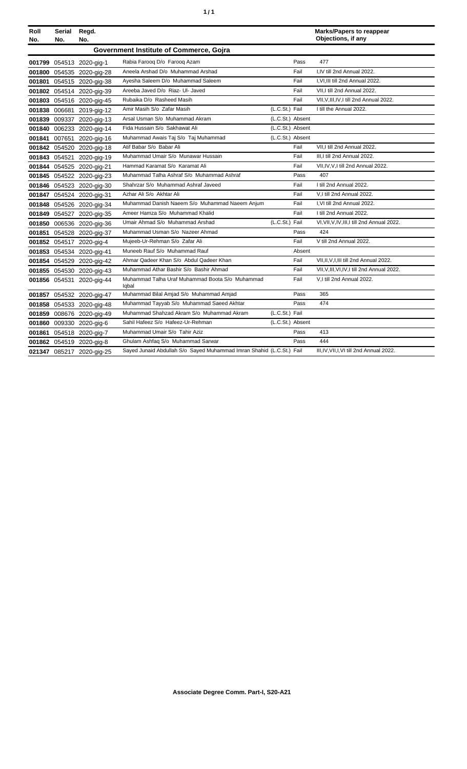| ٠ | ٠ |
|---|---|
|   |   |

| Roll<br>No. | <b>Serial</b><br>No. | Regd.<br>No.              |                                                                      |                  |        | <b>Marks/Papers to reappear</b><br>Objections, if any |
|-------------|----------------------|---------------------------|----------------------------------------------------------------------|------------------|--------|-------------------------------------------------------|
|             |                      |                           | Government Institute of Commerce, Gojra                              |                  |        |                                                       |
|             |                      | 001799 054513 2020-gig-1  | Rabia Farooq D/o Farooq Azam                                         |                  | Pass   | 477                                                   |
|             |                      | 001800 054535 2020-gig-28 | Aneela Arshad D/o Muhammad Arshad                                    |                  | Fail   | I.IV till 2nd Annual 2022.                            |
|             |                      | 001801 054515 2020-gig-38 | Ayesha Saleem D/o Muhammad Saleem                                    |                  | Fail   | I, VI, III till 2nd Annual 2022.                      |
|             |                      | 001802 054514 2020-gig-39 | Areeba Javed D/o Riaz- UI- Javed                                     |                  | Fail   | VII.I till 2nd Annual 2022.                           |
|             |                      | 001803 054516 2020-gig-45 | Rubaika D/o Rasheed Masih                                            |                  | Fail   | VII, V, III, IV, I till 2nd Annual 2022.              |
|             |                      | 001838 006681 2019-gig-12 | Amir Masih S/o Zafar Masih                                           | (L.C.St.) Fail   |        | I till the Annual 2022.                               |
|             |                      | 001839 009337 2020-gig-13 | Arsal Usman S/o Muhammad Akram                                       | (L.C.St.) Absent |        |                                                       |
|             |                      | 001840 006233 2020-gig-14 | Fida Hussain S/o Sakhawat Ali                                        | (L.C.St.) Absent |        |                                                       |
|             |                      | 001841 007651 2020-gig-16 | Muhammad Awais Taj S/o Taj Muhammad                                  | (L.C.St.) Absent |        |                                                       |
|             |                      | 001842 054520 2020-gig-18 | Atif Babar S/o Babar Ali                                             |                  | Fail   | VII.I till 2nd Annual 2022.                           |
|             |                      | 001843 054521 2020-gig-19 | Muhammad Umair S/o Munawar Hussain                                   |                  | Fail   | III.I till 2nd Annual 2022.                           |
|             |                      | 001844 054525 2020-gig-21 | Hammad Karamat S/o Karamat Ali                                       |                  | Fail   | VII, IV, V, I till 2nd Annual 2022.                   |
|             |                      | 001845 054522 2020-gig-23 | Muhammad Talha Ashraf S/o Muhammad Ashraf                            |                  | Pass   | 407                                                   |
|             |                      | 001846 054523 2020-gig-30 | Shahrzar S/o Muhammad Ashraf Javeed                                  |                  | Fail   | I till 2nd Annual 2022.                               |
|             |                      | 001847 054524 2020-gig-31 | Azhar Ali S/o Akhtar Ali                                             |                  | Fail   | V,I till 2nd Annual 2022.                             |
|             |                      | 001848 054526 2020-gig-34 | Muhammad Danish Naeem S/o Muhammad Naeem Anjum                       |                  | Fail   | I, VI till 2nd Annual 2022.                           |
|             |                      | 001849 054527 2020-gig-35 | Ameer Hamza S/o Muhammad Khalid                                      |                  | Fail   | I till 2nd Annual 2022.                               |
|             |                      | 001850 006536 2020-gig-36 | Umair Ahmad S/o Muhammad Arshad                                      | (L.C.St.) Fail   |        | VI, VII, V, IV, III, I till 2nd Annual 2022.          |
|             |                      | 001851 054528 2020-gig-37 | Muhammad Usman S/o Nazeer Ahmad                                      |                  | Pass   | 424                                                   |
|             |                      | 001852 054517 2020-gig-4  | Mujeeb-Ur-Rehman S/o Zafar Ali                                       |                  | Fail   | V till 2nd Annual 2022.                               |
|             |                      | 001853 054534 2020-gig-41 | Muneeb Rauf S/o Muhammad Rauf                                        |                  | Absent |                                                       |
|             |                      | 001854 054529 2020-gig-42 | Ahmar Qadeer Khan S/o Abdul Qadeer Khan                              |                  | Fail   | VII, II, V, I, III till 2nd Annual 2022.              |
|             |                      | 001855 054530 2020-gig-43 | Muhammad Athar Bashir S/o Bashir Ahmad                               |                  | Fail   | VII, V, III, VI, IV, I till 2nd Annual 2022.          |
|             |                      | 001856 054531 2020-gig-44 | Muhammad Talha Uraf Muhammad Boota S/o Muhammad<br>Iqbal             |                  | Fail   | V,I till 2nd Annual 2022.                             |
|             |                      | 001857 054532 2020-gig-47 | Muhammad Bilal Amjad S/o Muhammad Amjad                              |                  | Pass   | 365                                                   |
|             |                      | 001858 054533 2020-gig-48 | Muhammad Tayyab S/o Muhammad Saeed Akhtar                            |                  | Pass   | 474                                                   |
|             |                      | 001859 008676 2020-gig-49 | Muhammad Shahzad Akram S/o Muhammad Akram                            | (L.C.St.) Fail   |        |                                                       |
|             |                      | 001860 009330 2020-gig-6  | Sahil Hafeez S/o Hafeez-Ur-Rehman                                    | (L.C.St.) Absent |        |                                                       |
|             |                      | 001861 054518 2020-gig-7  | Muhammad Umair S/o Tahir Aziz                                        |                  | Pass   | 413                                                   |
|             |                      | 001862 054519 2020-gig-8  | Ghulam Ashfaq S/o Muhammad Sarwar                                    |                  | Pass   | 444                                                   |
|             |                      | 021347 085217 2020-gig-25 | Sayed Junaid Abdullah S/o Sayed Muhammad Imran Shahid (L.C.St.) Fail |                  |        | III, IV, VII, I, VI till 2nd Annual 2022.             |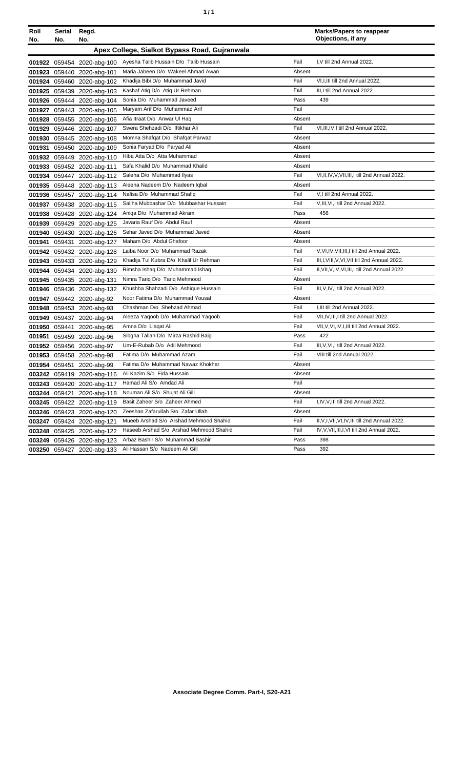| Roll<br>No. | Serial<br>No. | Regd.<br>No.               |                                               |        | <b>Marks/Papers to reappear</b><br>Objections, if any |
|-------------|---------------|----------------------------|-----------------------------------------------|--------|-------------------------------------------------------|
|             |               |                            | Apex College, Sialkot Bypass Road, Gujranwala |        |                                                       |
|             |               | 001922 059454 2020-abg-100 | Ayesha Talib Hussain D/o Talib Hussain        | Fail   | I.V till 2nd Annual 2022.                             |
|             |               | 001923 059440 2020-abg-101 | Maria Jabeen D/o Wakeel Ahmad Awan            | Absent |                                                       |
|             |               | 001924 059460 2020-abg-102 | Khadija Bibi D/o Muhammad Javid               | Fail   | VI, I, III till 2nd Annual 2022.                      |
|             |               | 001925 059439 2020-abg-103 | Kashaf Atiq D/o Atiq Ur Rehman                | Fail   | III, I till 2nd Annual 2022.                          |
|             |               | 001926 059444 2020-abg-104 | Sonia D/o Muhammad Javeed                     | Pass   | 439                                                   |
|             |               | 001927 059443 2020-abg-105 | Maryam Arif D/o Muhammad Arif                 | Fail   |                                                       |
|             |               | 001928 059455 2020-abg-106 | Afia Itraat D/o Anwar UI Haq                  | Absent |                                                       |
|             |               | 001929 059446 2020-abg-107 | Swera Shehzadi D/o Iftikhar Ali               | Fail   | VI, III, IV, I till 2nd Annual 2022.                  |
|             |               | 001930 059445 2020-abg-108 | Momna Shafqat D/o Shafqat Parwaz              | Absent |                                                       |
|             |               | 001931 059450 2020-abg-109 | Sonia Faryad D/o Faryad Ali                   | Absent |                                                       |
|             |               | 001932 059449 2020-abg-110 | Hiba Atta D/o Atta Muhammad                   | Absent |                                                       |
|             |               | 001933 059452 2020-abg-111 | Safa Khalid D/o Muhammad Khalid               | Absent |                                                       |
|             |               | 001934 059447 2020-abg-112 | Saleha D/o Muhammad Ilyas                     | Fail   | VI, II, IV, V, VII, III, I till 2nd Annual 2022.      |
|             |               | 001935 059448 2020-abg-113 | Aleena Nadeem D/o Nadeem Iqbal                | Absent |                                                       |
|             |               | 001936 059457 2020-abg-114 | Nafisa D/o Muhammad Shafiq                    | Fail   | V,I till 2nd Annual 2022.                             |
|             |               | 001937 059438 2020-abg-115 | Saliha Mubbashar D/o Mubbashar Hussain        | Fail   | V, III, VI, I till 2nd Annual 2022.                   |
|             |               | 001938 059428 2020-abg-124 | Aniga D/o Muhammad Akram                      | Pass   | 456                                                   |
|             |               | 001939 059429 2020-abg-125 | Javaria Rauf D/o Abdul Rauf                   | Absent |                                                       |
|             |               | 001940 059430 2020-abg-126 | Sehar Javed D/o Muhammad Javed                | Absent |                                                       |
| 001941      | 059431        | 2020-abg-127               | Maham D/o Abdul Ghafoor                       | Absent |                                                       |
|             |               | 001942 059432 2020-abg-128 | Laiba Noor D/o Muhammad Razak                 | Fail   | V, VI, IV, VII, III, I till 2nd Annual 2022.          |
|             |               | 001943 059433 2020-abg-129 | Khadija Tul Kubra D/o Khalil Ur Rehman        | Fail   | III, I, VIII, V, VI, VII till 2nd Annual 2022.        |
|             |               | 001944 059434 2020-abg-130 | Rimsha Ishaq D/o Muhammad Ishaq               | Fail   | II, VII, V, IV, VI, III, I till 2nd Annual 2022.      |
|             |               | 001945 059435 2020-abg-131 | Nimra Tariq D/o Tariq Mehmood                 | Absent |                                                       |
|             |               | 001946 059436 2020-abg-132 | Khushba Shahzadi D/o Ashique Hussain          | Fail   | III, V, IV, I till 2nd Annual 2022.                   |
|             |               | 001947 059442 2020-abg-92  | Noor Fatima D/o Muhammad Yousaf               | Absent |                                                       |
|             |               | 001948 059453 2020-abg-93  | Chashman D/o Shehzad Ahmad                    | Fail   | I, III till 2nd Annual 2022.                          |
|             |               | 001949 059437 2020-abg-94  | Aleeza Yaqoob D/o Muhammad Yaqoob             | Fail   | VII, IV, III, I till 2nd Annual 2022.                 |
|             |               | 001950 059441 2020-abg-95  | Amna D/o Liaqat Ali                           | Fail   | VII, V, VI, IV, I, III till 2nd Annual 2022.          |
| 001951      |               | 059459 2020-abg-96         | Sibgha Tallah D/o Mirza Rashid Baig           | Pass   | 422                                                   |
|             |               | 001952 059456 2020-abg-97  | Um-E-Rubab D/o Adil Mehmood                   | Fail   | III, V, VI, I till 2nd Annual 2022.                   |
|             |               | 001953 059458 2020-abg-98  | Fatima D/o Muhammad Azam                      | Fail   | VIII till 2nd Annual 2022.                            |
|             |               | 001954 059451 2020-abg-99  | Fatima D/o Muhammad Nawaz Khokhar             | Absent |                                                       |
|             |               | 003242 059419 2020-abg-116 | Ali Kazim S/o Fida Hussain                    | Absent |                                                       |
|             |               | 003243 059420 2020-abg-117 | Hamad Ali S/o Amdad Ali                       | Fail   |                                                       |
|             |               | 003244 059421 2020-abg-118 | Nouman Ali S/o Shujat Ali Gill                | Absent |                                                       |
|             |               | 003245 059422 2020-abg-119 | Basit Zaheer S/o Zaheer Ahmed                 | Fail   | I, IV, V, III till 2nd Annual 2022.                   |
|             |               | 003246 059423 2020-abg-120 | Zeeshan Zafarullah S/o Zafar Ullah            | Absent |                                                       |
|             |               | 003247 059424 2020-abg-121 | Mueeb Arshad S/o Arshad Mehmood Shahid        | Fail   | II, V, I, VII, VI, IV, III till 2nd Annual 2022.      |
|             |               | 003248 059425 2020-abg-122 | Haseeb Arshad S/o Arshad Mehmood Shahid       | Fail   | IV, V, VII, III, I, VI till 2nd Annual 2022.          |
|             |               | 003249 059426 2020-abg-123 | Arbaz Bashir S/o Muhammad Bashir              | Pass   | 398                                                   |
|             |               | 003250 059427 2020-abg-133 | Ali Hassan S/o Nadeem Ali Gill                | Pass   | 392                                                   |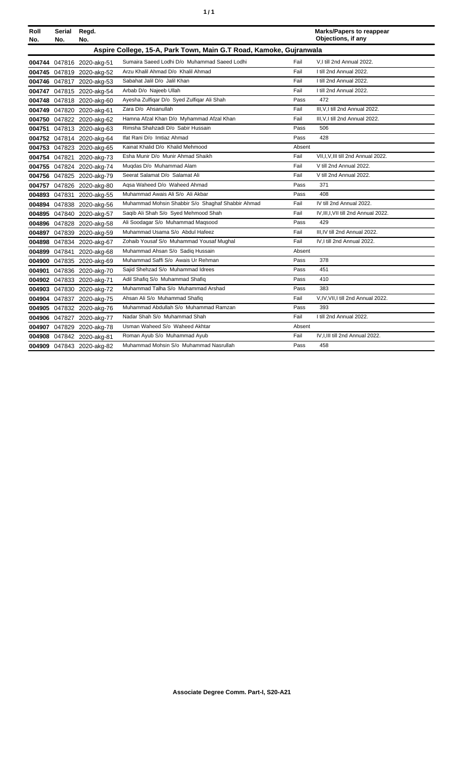| í<br>٠ |
|--------|
|--------|

| Roll<br>No. | Serial<br>No. | Regd.<br>No.              |                                                                    |        | <b>Marks/Papers to reappear</b><br>Objections, if any |
|-------------|---------------|---------------------------|--------------------------------------------------------------------|--------|-------------------------------------------------------|
|             |               |                           | Aspire College, 15-A, Park Town, Main G.T Road, Kamoke, Gujranwala |        |                                                       |
|             |               | 004744 047816 2020-akg-51 | Sumaira Saeed Lodhi D/o Muhammad Saeed Lodhi                       | Fail   | V,I till 2nd Annual 2022.                             |
|             |               | 004745 047819 2020-akg-52 | Arzu Khalil Ahmad D/o Khalil Ahmad                                 | Fail   | I till 2nd Annual 2022.                               |
|             |               | 004746 047817 2020-akg-53 | Sabahat Jalil D/o Jalil Khan                                       | Fail   | I till 2nd Annual 2022.                               |
|             |               | 004747 047815 2020-akg-54 | Arbab D/o Najeeb Ullah                                             | Fail   | I till 2nd Annual 2022.                               |
|             |               | 004748 047818 2020-akg-60 | Ayesha Zulfigar D/o Syed Zulfigar Ali Shah                         | Pass   | 472                                                   |
|             |               | 004749 047820 2020-akg-61 | Zara D/o Ahsanullah                                                | Fail   | III, V, I till 2nd Annual 2022.                       |
|             |               | 004750 047822 2020-akg-62 | Hamna Afzal Khan D/o Myhammad Afzal Khan                           | Fail   | III, V, I till 2nd Annual 2022.                       |
|             |               | 004751 047813 2020-akg-63 | Rimsha Shahzadi D/o Sabir Hussain                                  | Pass   | 506                                                   |
|             |               | 004752 047814 2020-akg-64 | Ifat Rani D/o Imtiaz Ahmad                                         | Pass   | 428                                                   |
|             |               | 004753 047823 2020-akg-65 | Kainat Khalid D/o Khalid Mehmood                                   | Absent |                                                       |
|             |               | 004754 047821 2020-akg-73 | Esha Munir D/o Munir Ahmad Shaikh                                  | Fail   | VII, I, V, III till 2nd Annual 2022.                  |
|             |               | 004755 047824 2020-akg-74 | Mugdas D/o Muhammad Alam                                           | Fail   | V till 2nd Annual 2022.                               |
|             |               | 004756 047825 2020-akg-79 | Seerat Salamat D/o Salamat Ali                                     | Fail   | V till 2nd Annual 2022.                               |
|             |               | 004757 047826 2020-akg-80 | Agsa Waheed D/o Waheed Ahmad                                       | Pass   | 371                                                   |
|             |               | 004893 047831 2020-akg-55 | Muhammad Awais Ali S/o Ali Akbar                                   | Pass   | 408                                                   |
|             |               | 004894 047838 2020-akg-56 | Muhammad Mohsin Shabbir S/o Shaghaf Shabbir Ahmad                  | Fail   | IV till 2nd Annual 2022.                              |
|             |               | 004895 047840 2020-akg-57 | Saqib Ali Shah S/o Syed Mehmood Shah                               | Fail   | IV, III, I, VII till 2nd Annual 2022.                 |
|             |               | 004896 047828 2020-akg-58 | Ali Soodagar S/o Muhammad Maqsood                                  | Pass   | 429                                                   |
|             |               | 004897 047839 2020-akg-59 | Muhammad Usama S/o Abdul Hafeez                                    | Fail   | III, IV till 2nd Annual 2022.                         |
|             |               | 004898 047834 2020-akg-67 | Zohaib Yousaf S/o Muhammad Yousaf Mughal                           | Fail   | IV, I till 2nd Annual 2022.                           |
|             |               | 004899 047841 2020-akg-68 | Muhammad Ahsan S/o Sadig Hussain                                   | Absent |                                                       |
|             |               | 004900 047835 2020-akg-69 | Muhammad Saffi S/o Awais Ur Rehman                                 | Pass   | 378                                                   |
|             |               | 004901 047836 2020-akg-70 | Sajid Shehzad S/o Muhammad Idrees                                  | Pass   | 451                                                   |
|             |               | 004902 047833 2020-akg-71 | Adil Shafiq S/o Muhammad Shafiq                                    | Pass   | 410                                                   |
|             |               | 004903 047830 2020-akg-72 | Muhammad Talha S/o Muhammad Arshad                                 | Pass   | 383                                                   |
|             |               | 004904 047837 2020-akg-75 | Ahsan Ali S/o Muhammad Shafiq                                      | Fail   | V,IV, VII, I till 2nd Annual 2022.                    |
|             |               | 004905 047832 2020-akg-76 | Muhammad Abdullah S/o Muhammad Ramzan                              | Pass   | 393                                                   |
|             |               | 004906 047827 2020-akg-77 | Nadar Shah S/o Muhammad Shah                                       | Fail   | I till 2nd Annual 2022.                               |
|             |               | 004907 047829 2020-akg-78 | Usman Waheed S/o Waheed Akhtar                                     | Absent |                                                       |
|             |               | 004908 047842 2020-akg-81 | Roman Ayub S/o Muhammad Ayub                                       | Fail   | IV, I, III till 2nd Annual 2022.                      |
|             |               | 004909 047843 2020-akg-82 | Muhammad Mohsin S/o Muhammad Nasrullah                             | Pass   | 458                                                   |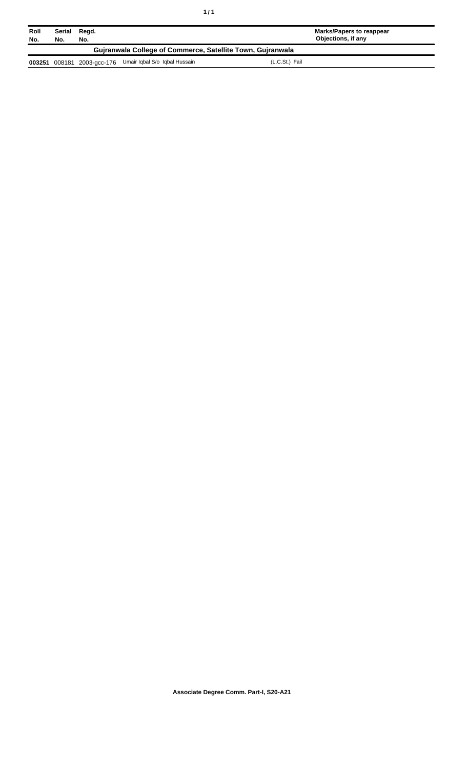| Roll<br>No.                                                | Serial Regd.<br>No. | No. |                                                          | Marks/Papers to reappear<br>Objections, if any |  |
|------------------------------------------------------------|---------------------|-----|----------------------------------------------------------|------------------------------------------------|--|
| Guiranwala College of Commerce, Satellite Town, Guiranwala |                     |     |                                                          |                                                |  |
|                                                            |                     |     | 003251 008181 2003-gcc-176 Umair Iqbal S/o Iqbal Hussain | (L.C.St.) Fail                                 |  |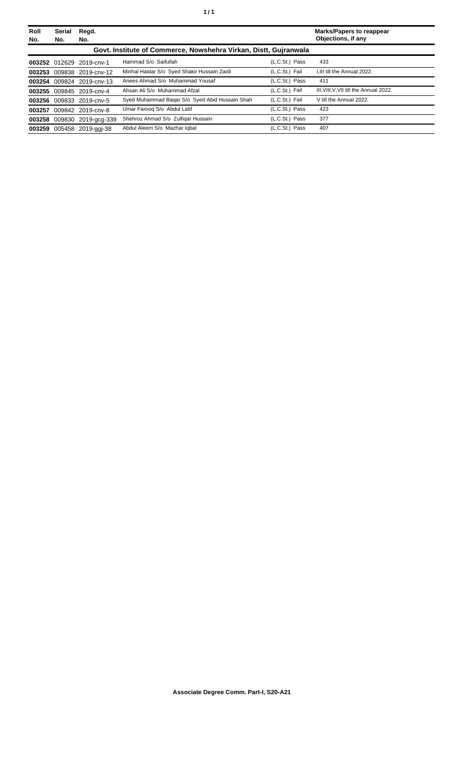| Roll<br>No. | Serial<br>No.                                                    | Regd.<br>No.               |                                                |                | <b>Marks/Papers to reappear</b><br>Objections, if any |  |
|-------------|------------------------------------------------------------------|----------------------------|------------------------------------------------|----------------|-------------------------------------------------------|--|
|             | Govt. Institute of Commerce, Nowshehra Virkan, Distt, Gujranwala |                            |                                                |                |                                                       |  |
|             |                                                                  | 003252 012629 2019-cnv-1   | Hammad S/o Saifullah                           | (L.C.St.) Pass | 433                                                   |  |
| 003253      |                                                                  | 009838 2019-cnv-12         | Minhal Haidar S/o Syed Shakir Hussain Zaidi    | (L.C.St.) Fail | I.III till the Annual 2022.                           |  |
|             |                                                                  | 003254 009824 2019-cnv-13  | Anees Ahmad S/o Muhammad Yousaf                | (L.C.St.) Pass | 411                                                   |  |
|             |                                                                  | 003255 009845 2019-cnv-4   | Ahsan Ali S/o Muhammad Afzal                   | (L.C.St.) Fail | III. VIII. V. VII till the Annual 2022.               |  |
|             |                                                                  | 003256 009833 2019-cnv-5   | Syed Muhammad Bagar S/o Syed Abid Hussain Shah | (L.C.St.) Fail | V till the Annual 2022.                               |  |
| 003257      |                                                                  | 009842 2019-cnv-8          | Umar Faroog S/o Abdul Latif                    | (L.C.St.) Pass | 423                                                   |  |
|             |                                                                  | 003258 009830 2019-acq-339 | Shehroz Ahmad S/o Zulfigar Hussain             | (L.C.St.) Pass | 377                                                   |  |
| 003259      |                                                                  | 005458 2019-ggi-38         | Abdul Aleem S/o Mazhar Igbal                   | (L.C.St.) Pass | 407                                                   |  |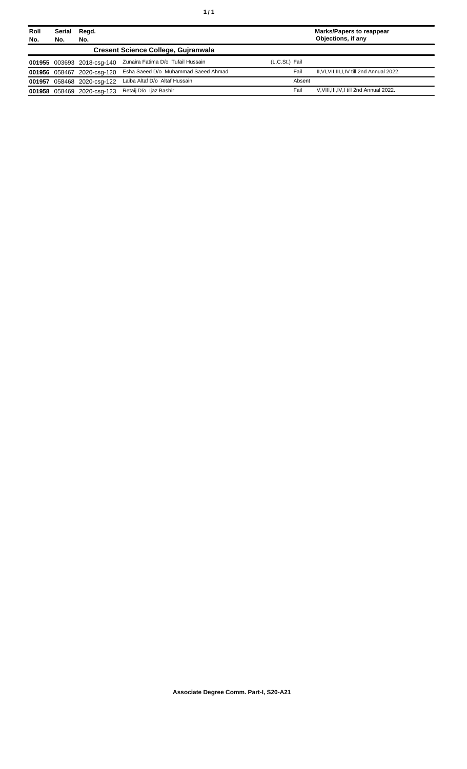| Roll | Serial | Regd.                      |                                     |                | <b>Marks/Papers to reappear</b>               |
|------|--------|----------------------------|-------------------------------------|----------------|-----------------------------------------------|
| No.  | No.    | No.                        |                                     |                | Objections, if any                            |
|      |        |                            | Cresent Science College, Guiranwala |                |                                               |
|      |        | 001955 003693 2018-csq-140 | Zunaira Fatima D/o Tufail Hussain   | (L.C.St.) Fail |                                               |
|      |        | 001956 058467 2020-csq-120 | Esha Saeed D/o Muhammad Saeed Ahmad | Fail           | II, VI, VII, III, I, IV till 2nd Annual 2022. |
|      |        | 001957 058468 2020-csq-122 | Laiba Altaf D/o Altaf Hussain       | Absent         |                                               |
|      |        | 001958 058469 2020-csq-123 | Retaij D/o ljaz Bashir              | Fail           | V, VIII, III, IV, I till 2nd Annual 2022.     |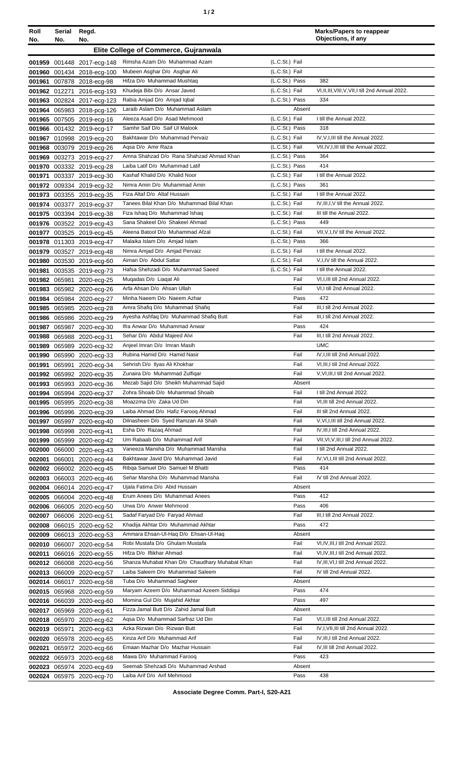| Roll<br>No. | Serial<br>No. | Regd.<br>No.                                            |                                                                 |                                  | <b>Marks/Papers to reappear</b><br>Objections, if any                     |
|-------------|---------------|---------------------------------------------------------|-----------------------------------------------------------------|----------------------------------|---------------------------------------------------------------------------|
|             |               |                                                         | Elite College of Commerce, Gujranwala                           |                                  |                                                                           |
|             |               |                                                         |                                                                 |                                  |                                                                           |
|             |               | 001959 001448 2017-ecg-148                              | Rimsha Azam D/o Muhammad Azam<br>Mubeen Asghar D/o Asghar Ali   | (L.C.St.) Fail<br>(L.C.St.) Fail |                                                                           |
|             |               | 001960 001434 2018-ecg-100                              | Hifza D/o Muhammad Mushtaq                                      | (L.C.St.) Pass                   | 382                                                                       |
|             |               | 001961 007878 2018-ecg-98<br>001962 012271 2016-ecg-193 | Khudeja Bibi D/o Ansar Javed                                    | (L.C.St.) Fail                   | VI,II,III,VIII,V,VII,I till 2nd Annual 2022.                              |
|             |               | 001963 002824 2017-ecg-123                              | Rabia Amjad D/o Amjad Iqbal                                     | (L.C.St.) Pass                   | 334                                                                       |
|             |               | 001964 065983 2018-pcg-126                              | Laraib Aslam D/o Muhammad Aslam                                 | Absent                           |                                                                           |
|             |               | 001965 007505 2019-ecg-16                               | Aleeza Asad D/o Asad Mehmood                                    | (L.C.St.) Fail                   | I till the Annual 2022.                                                   |
|             |               | 001966 001432 2019-ecg-17                               | Samhir Saif D/o Saif UI Malook                                  | (L.C.St.) Pass                   | 318                                                                       |
|             |               | 001967 010998 2019-ecg-20                               | Bakhtawar D/o Muhammad Pervaiz                                  | (L.C.St.) Fail                   | IV, V, I, III till the Annual 2022.                                       |
|             |               | 001968 003079 2019-ecg-26                               | Agsa D/o Amir Raza                                              | (L.C.St.) Fail                   | VII, IV, I, III till the Annual 2022.                                     |
|             |               | 001969 003273 2019-ecg-27                               | Amna Shahzad D/o Rana Shahzad Ahmad Khan                        | (L.C.St.) Pass                   | 364                                                                       |
|             |               | 001970 003332 2019-ecg-28                               | Laiba Latif D/o Muhammad Latif                                  | (L.C.St.) Pass                   | 414                                                                       |
| 001971      |               | 003337 2019-ecg-30                                      | Kashaf Khalid D/o Khalid Noor                                   | (L.C.St.) Fail                   | I till the Annual 2022.                                                   |
|             |               | 001972 009334 2019-ecg-32                               | Nimra Amin D/o Muhammad Amin                                    | (L.C.St.) Pass                   | 361                                                                       |
|             |               | 001973 003355 2019-ecg-35                               | Fiza Altaf D/o Altaf Hussain                                    | (L.C.St.) Fail                   | I till the Annual 2022.                                                   |
|             |               | 001974 003377 2019-ecg-37                               | Tanees Bilal Khan D/o Muhammad Bilal Khan                       | (L.C.St.) Fail                   | IV, III, I, V till the Annual 2022.                                       |
|             |               | 001975 003394 2019-ecg-38                               | Fiza Ishaq D/o Muhammad Ishaq<br>Sana Shakeel D/o Shakeel Ahmad | (L.C.St.) Fail<br>(L.C.St.) Pass | III till the Annual 2022.<br>449                                          |
|             |               | 001976 003522 2019-ecg-43                               | Aleena Batool D/o Muhammad Afzal                                | (L.C.St.) Fail                   | VII, V, I, IV till the Annual 2022.                                       |
|             |               | 001977 003525 2019-ecg-45<br>001978 011303 2019-ecg-47  | Malaika Islam D/o Amjad Islam                                   | (L.C.St.) Pass                   | 366                                                                       |
|             |               | 001979 003527 2019-ecg-48                               | Nimra Amjad D/o Amjad Pervaiz                                   | (L.C.St.) Fail                   | I till the Annual 2022.                                                   |
|             |               | 001980 003530 2019-ecg-60                               | Aiman D/o Abdul Sattar                                          | (L.C.St.) Fail                   | V,I,IV till the Annual 2022.                                              |
|             |               | 001981 003535 2019-ecg-73                               | Hafsa Shehzadi D/o Muhammad Saeed                               | (L.C.St.) Fail                   | I till the Annual 2022.                                                   |
|             |               | 001982 065981 2020-ecg-25                               | Mugadas D/o Liagat Ali                                          | Fail                             | VI, I, III till 2nd Annual 2022.                                          |
|             |               | 001983 065982 2020-ecg-26                               | Arfa Ahsan D/o Ahsan Ullah                                      | Fail                             | VI,I till 2nd Annual 2022.                                                |
|             |               | 001984 065984 2020-ecg-27                               | Minha Naeem D/o Naeem Azhar                                     | Pass                             | 472                                                                       |
|             |               | 001985 065985 2020-ecg-28                               | Amra Shafiq D/o Muhammad Shafiq                                 | Fail                             | III, I till 2nd Annual 2022.                                              |
|             |               | 001986 065986 2020-ecg-29                               | Ayesha Ashfaq D/o Muhammad Shafiq Butt                          | Fail                             | III, I till 2nd Annual 2022.                                              |
|             |               | 001987 065987 2020-ecg-30                               | Ifra Anwar D/o Muhammad Anwar                                   | Pass                             | 424                                                                       |
|             |               | 001988 065988 2020-ecg-31                               | Sehar D/o Abdul Majeed Alvi                                     | Fail                             | III, I till 2nd Annual 2022.                                              |
|             |               | 001989 065989 2020-ecg-32                               | Anjeel Imran D/o Imran Masih                                    |                                  | <b>UMC</b>                                                                |
|             |               | 001990 065990 2020-ecg-33                               | Rubina Hamid D/o Hamid Nasir                                    | Fail<br>Fail                     | IV, I, III till 2nd Annual 2022.<br>VI, III, I till 2nd Annual 2022.      |
|             |               | 001991 065991 2020-ecg-34                               | Sehrish D/o Ilyas Ali Khokhar<br>Zunaira D/o Muhammad Zulfiqar  | Fail                             | V,VI,III,I till 2nd Annual 2022.                                          |
|             |               | 001992 065992 2020-ecg-35<br>001993 065993 2020-ecg-36  | Mezab Sajid D/o Sheikh Muhammad Sajid                           | Absent                           |                                                                           |
|             |               | 001994 065994 2020-ecg-37                               | Zohra Shoaib D/o Muhammad Shoaib                                | Fail                             | I till 2nd Annual 2022.                                                   |
|             |               | 001995 065995 2020-ecg-38                               | Moazzma D/o Zaka Ud Din                                         | Fail                             | VI, III till 2nd Annual 2022.                                             |
|             |               | 001996 065996 2020-ecg-39                               | Laiba Ahmad D/o Hafiz Faroog Ahmad                              | Fail                             | III till 2nd Annual 2022.                                                 |
|             |               | 001997 065997 2020-ecg-40                               | Dilnasheen D/o Syed Ramzan Ali Shah                             | Fail                             | V, VI, I, III till 2nd Annual 2022.                                       |
|             |               | 001998 065998 2020-ecg-41                               | Esha D/o Razag Ahmad                                            | Fail                             | IV, III, I till 2nd Annual 2022.                                          |
|             |               | 001999 065999 2020-ecg-42                               | Um Rabaab D/o Muhammad Arif                                     | Fail                             | VII, VI, V, III, I till 2nd Annual 2022.                                  |
|             |               | 002000 066000 2020-ecg-43                               | Vaneeza Mansha D/o Muhammad Mansha                              | Fail                             | I till 2nd Annual 2022.                                                   |
|             |               | 002001 066001 2020-ecg-44                               | Bakhtawar Javid D/o Muhammad Javid                              | Fail                             | IV, VI, I, III till 2nd Annual 2022.                                      |
|             |               | 002002 066002 2020-ecg-45                               | Ribga Samuel D/o Samuel M Bhatti                                | Pass                             | 414                                                                       |
|             |               | 002003 066003 2020-ecg-46                               | Sehar Mansha D/o Muhammad Mansha                                | Fail                             | IV till 2nd Annual 2022.                                                  |
|             |               | 002004 066014 2020-ecg-47                               | Ujala Fatima D/o Abid Hussain<br>Erum Anees D/o Muhammad Anees  | Absent<br>Pass                   | 412                                                                       |
|             |               | 002005 066004 2020-ecg-48                               | Urwa D/o Anwer Mehmood                                          | Pass                             | 406                                                                       |
|             |               | 002006 066005 2020-ecg-50<br>002007 066006 2020-ecg-51  | Sadaf Faryad D/o Faryad Ahmad                                   | Fail                             | III, I till 2nd Annual 2022.                                              |
|             |               | 002008 066015 2020-ecg-52                               | Khadija Akhtar D/o Muhammad Akhtar                              | Pass                             | 472                                                                       |
|             |               | 002009 066013 2020-ecg-53                               | Ammara Ehsan-Ul-Haq D/o Ehsan-Ul-Haq                            | Absent                           |                                                                           |
|             |               | 002010 066007 2020-ecg-54                               | Robi Mustafa D/o Ghulam Mustafa                                 | Fail                             | VI, IV, III, I till 2nd Annual 2022.                                      |
|             |               | 002011 066016 2020-ecg-55                               | Hifza D/o Iftikhar Ahmad                                        | Fail                             | VI, IV, III, I till 2nd Annual 2022.                                      |
|             |               | 002012 066008 2020-ecg-56                               | Shanza Muhabat Khan D/o Chaudhary Muhabat Khan                  | Fail                             | IV, III, VI, I till 2nd Annual 2022.                                      |
|             |               | 002013 066009 2020-ecg-57                               | Laiba Saleem D/o Muhammad Saleem                                | Fail                             | IV till 2nd Annual 2022.                                                  |
|             |               | 002014 066017 2020-ecg-58                               | Tuba D/o Muhammad Sagheer                                       | Absent                           |                                                                           |
|             |               | 002015 065968 2020-ecg-59                               | Maryam Azeem D/o Muhammad Azeem Siddiqui                        | Pass                             | 474                                                                       |
|             |               | 002016 066039 2020-ecg-60                               | Momina Gul D/o Mujahid Akhtar                                   | Pass                             | 497                                                                       |
|             |               | 002017 065969 2020-ecg-61                               | Fizza Jamal Butt D/o Zahid Jamal Butt                           | Absent                           |                                                                           |
|             |               | 002018 065970 2020-ecg-62                               | Agsa D/o Muhammad Sarfraz Ud Din                                | Fail                             | VI, I, III till 2nd Annual 2022.                                          |
|             |               | 002019 065971 2020-ecg-63                               | Azka Rizwan D/o Rizwan Butt<br>Kinza Arif D/o Muhammad Arif     | Fail<br>Fail                     | IV, I, VII, III till 2nd Annual 2022.<br>IV, III, I till 2nd Annual 2022. |
|             |               | 002020 065978 2020-ecg-65                               | Emaan Mazhar D/o Mazhar Hussain                                 | Fail                             | IV, III till 2nd Annual 2022.                                             |
|             |               | 002021 065972 2020-ecg-66<br>002022 065973 2020-ecg-68  | Mawa D/o Muhammad Farooq                                        | Pass                             | 423                                                                       |
|             |               | 002023 065974 2020-ecg-69                               | Seemab Shehzadi D/o Muhammad Arshad                             | Absent                           |                                                                           |
|             |               | 002024 065975 2020-ecg-70                               | Laiba Arif D/o Arif Mehmood                                     | Pass                             | 438                                                                       |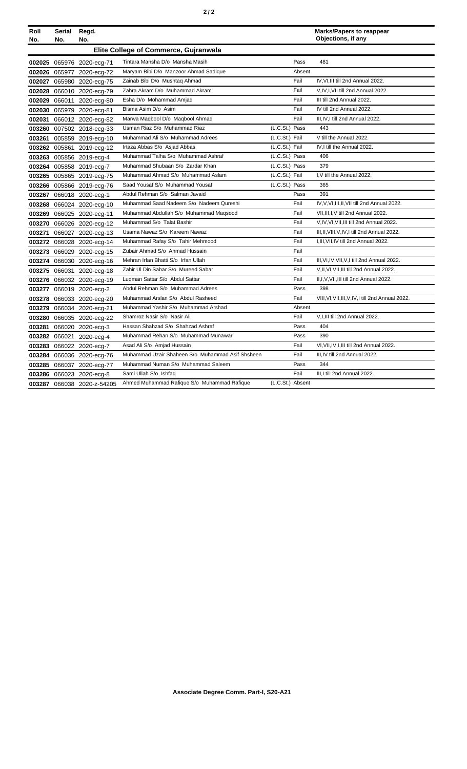| Roll<br>No. | Serial<br>No. | Regd.<br>No.               |                                                  |                  |        | <b>Marks/Papers to reappear</b><br>Objections, if any |
|-------------|---------------|----------------------------|--------------------------------------------------|------------------|--------|-------------------------------------------------------|
|             |               |                            | Elite College of Commerce, Gujranwala            |                  |        |                                                       |
|             |               | 002025 065976 2020-ecg-71  | Tintara Mansha D/o Mansha Masih                  |                  | Pass   | 481                                                   |
|             |               | 002026 065977 2020-ecg-72  | Maryam Bibi D/o Manzoor Ahmad Sadique            |                  | Absent |                                                       |
|             |               | 002027 065980 2020-ecg-75  | Zainab Bibi D/o Mushtaq Ahmad                    |                  | Fail   | IV, VI, III till 2nd Annual 2022.                     |
|             |               | 002028 066010 2020-ecg-79  | Zahra Akram D/o Muhammad Akram                   |                  | Fail   | V, IV, I, VII till 2nd Annual 2022.                   |
|             |               | 002029 066011 2020-ecg-80  | Esha D/o Mohammad Amjad                          |                  | Fail   | III till 2nd Annual 2022.                             |
|             |               | 002030 065979 2020-ecg-81  | Bisma Asim D/o Asim                              |                  | Fail   | IV till 2nd Annual 2022.                              |
| 002031      |               | 066012 2020-ecg-82         | Marwa Maqbool D/o Maqbool Ahmad                  |                  | Fail   | III, IV, I till 2nd Annual 2022.                      |
|             |               | 003260 007502 2018-ecg-33  | Usman Riaz S/o Muhammad Riaz                     | (L.C.St.) Pass   |        | 443                                                   |
|             |               | 003261 005859 2019-ecg-10  | Muhammad Ali S/o Muhammad Adrees                 | (L.C.St.) Fail   |        | V till the Annual 2022.                               |
|             |               | 003262 005861 2019-ecg-12  | Irtaza Abbas S/o Asjad Abbas                     | (L.C.St.) Fail   |        | IV,I till the Annual 2022.                            |
|             |               | 003263 005856 2019-ecg-4   | Muhammad Talha S/o Muhammad Ashraf               | (L.C.St.) Pass   |        | 406                                                   |
|             |               | 003264 005858 2019-ecg-7   | Muhammad Shubaan S/o Zardar Khan                 | (L.C.St.) Pass   |        | 379                                                   |
|             |               | 003265 005865 2019-ecg-75  | Muhammad Ahmad S/o Muhammad Aslam                | (L.C.St.) Fail   |        | I.V till the Annual 2022.                             |
|             |               | 003266 005866 2019-ecg-76  | Saad Yousaf S/o Muhammad Yousaf                  | (L.C.St.) Pass   |        | 365                                                   |
|             |               | 003267 066018 2020-ecg-1   | Abdul Rehman S/o Salman Javaid                   |                  | Pass   | 391                                                   |
|             |               | 003268 066024 2020-ecg-10  | Muhammad Saad Nadeem S/o Nadeem Qureshi          |                  | Fail   | IV, V, VI, III, II, VII till 2nd Annual 2022.         |
|             |               | 003269 066025 2020-ecg-11  | Muhammad Abdullah S/o Muhammad Maqsood           |                  | Fail   | VII, III, I, V till 2nd Annual 2022.                  |
|             |               | 003270 066026 2020-ecg-12  | Muhammad S/o Talat Bashir                        |                  | Fail   | V, IV, VI, VII, III till 2nd Annual 2022.             |
|             |               | 003271 066027 2020-ecg-13  | Usama Nawaz S/o Kareem Nawaz                     |                  | Fail   | III, II, VIII, V, IV, I till 2nd Annual 2022.         |
|             |               | 003272 066028 2020-ecg-14  | Muhammad Rafay S/o Tahir Mehmood                 |                  | Fail   | I, III, VII, IV till 2nd Annual 2022.                 |
|             |               | 003273 066029 2020-ecg-15  | Zubair Ahmad S/o Ahmad Hussain                   |                  | Fail   |                                                       |
| 003274      |               | 066030 2020-ecg-16         | Mehran Irfan Bhatti S/o Irfan Ullah              |                  | Fail   | III, VI, IV, VII, V, I till 2nd Annual 2022.          |
| 003275      | 066031        | 2020-ecg-18                | Zahir UI Din Sabar S/o Mureed Sabar              |                  | Fail   | V, II, VI, VII, III till 2nd Annual 2022.             |
|             |               | 003276 066032 2020-ecg-19  | Lugman Sattar S/o Abdul Sattar                   |                  | Fail   | II,I, V, VII, III till 2nd Annual 2022.               |
| 003277      |               | 066019 2020-ecg-2          | Abdul Rehman S/o Muhammad Adrees                 |                  | Pass   | 398                                                   |
|             |               | 003278 066033 2020-ecg-20  | Muhammad Arslan S/o Abdul Rasheed                |                  | Fail   | VIII, VI, VII, III, V, IV, I till 2nd Annual 2022.    |
|             |               | 003279 066034 2020-ecg-21  | Muhammad Yashir S/o Muhammad Arshad              |                  | Absent |                                                       |
|             |               | 003280 066035 2020-ecg-22  | Shamroz Nasir S/o Nasir Ali                      |                  | Fail   | V, I, III till 2nd Annual 2022.                       |
| 003281      |               | 066020 2020-ecg-3          | Hassan Shahzad S/o Shahzad Ashraf                |                  | Pass   | 404                                                   |
|             |               | 003282 066021 2020-ecg-4   | Muhammad Rehan S/o Muhammad Munawar              |                  | Pass   | 390                                                   |
|             |               | 003283 066022 2020-ecg-7   | Asad Ali S/o Amjad Hussain                       |                  | Fail   | VI, VII, IV, I, III till 2nd Annual 2022.             |
|             |               | 003284 066036 2020-ecg-76  | Muhammad Uzair Shaheen S/o Muhammad Asif Shsheen |                  | Fail   | III.IV till 2nd Annual 2022.                          |
|             |               | 003285 066037 2020-ecg-77  | Muhammad Numan S/o Muhammad Saleem               |                  | Pass   | 344                                                   |
|             |               | 003286 066023 2020-ecg-8   | Sami Ullah S/o Ishfaq                            |                  | Fail   | III.I till 2nd Annual 2022.                           |
|             |               | 003287 066038 2020-z-54205 | Ahmed Muhammad Rafique S/o Muhammad Rafique      | (L.C.St.) Absent |        |                                                       |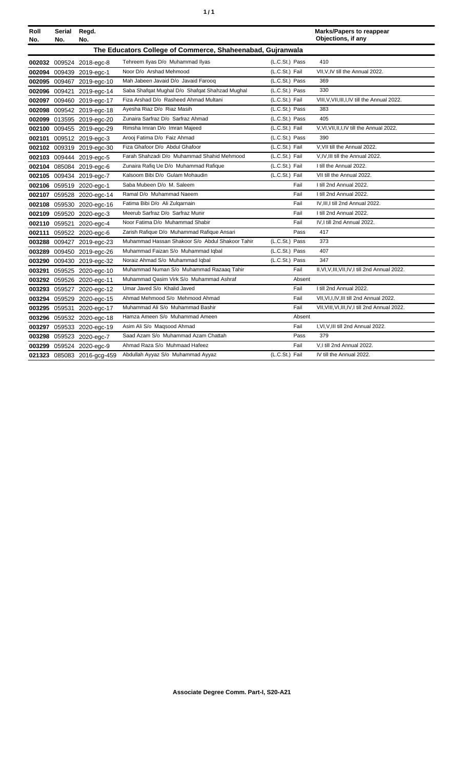| ٠ | ٠ |
|---|---|
|   |   |

| Roll<br>No. | Serial<br>No. | Regd.<br>No.               |                                                            |                |        | <b>Marks/Papers to reappear</b><br>Objections, if any |
|-------------|---------------|----------------------------|------------------------------------------------------------|----------------|--------|-------------------------------------------------------|
|             |               |                            | The Educators College of Commerce, Shaheenabad, Gujranwala |                |        |                                                       |
|             |               | 002032 009524 2018-egc-8   | Tehreem Ilyas D/o Muhammad Ilyas                           | (L.C.St.) Pass |        | 410                                                   |
|             |               | 002094 009439 2019-egc-1   | Noor D/o Arshad Mehmood                                    | (L.C.St.) Fail |        | VII, V, IV till the Annual 2022.                      |
|             |               | 002095 009467 2019-egc-10  | Mah Jabeen Javaid D/o Javaid Faroog                        | (L.C.St.) Pass |        | 369                                                   |
|             |               | 002096 009421 2019-egc-14  | Saba Shafqat Mughal D/o Shafqat Shahzad Mughal             | (L.C.St.) Pass |        | 330                                                   |
|             |               | 002097 009460 2019-egc-17  | Fiza Arshad D/o Rasheed Ahmad Multani                      | (L.C.St.) Fail |        | VIII, V, VII, III, I, IV till the Annual 2022.        |
|             |               | 002098 009542 2019-egc-18  | Ayesha Riaz D/o Riaz Masih                                 | (L.C.St.) Pass |        | 383                                                   |
|             |               | 002099 013595 2019-egc-20  | Zunaira Sarfraz D/o Sarfraz Ahmad                          | (L.C.St.) Pass |        | 405                                                   |
|             |               | 002100 009455 2019-egc-29  | Rimsha Imran D/o Imran Majeed                              | (L.C.St.) Fail |        | V.VI.VII.II.I.IV till the Annual 2022.                |
|             |               | 002101 009512 2019-egc-3   | Arooj Fatima D/o Faiz Ahmad                                | (L.C.St.) Pass |        | 390                                                   |
|             |               | 002102 009319 2019-egc-30  | Fiza Ghafoor D/o Abdul Ghafoor                             | (L.C.St.) Fail |        | V, VII till the Annual 2022.                          |
|             |               | 002103 009444 2019-egc-5   | Farah Shahzadi D/o Muhammad Shahid Mehmood                 | (L.C.St.) Fail |        | V,IV,III till the Annual 2022.                        |
|             |               | 002104 085084 2019-egc-6   | Zunaira Rafiq Ue D/o Muhammad Rafique                      | (L.C.St.) Fail |        | I till the Annual 2022.                               |
|             |               | 002105 009434 2019-egc-7   | Kalsoom Bibi D/o Gulam Mohaudin                            | (L.C.St.) Fail |        | VII till the Annual 2022.                             |
|             |               | 002106 059519 2020-egc-1   | Saba Mubeen D/o M. Saleem                                  |                | Fail   | I till 2nd Annual 2022.                               |
|             |               | 002107 059528 2020-egc-14  | Ramal D/o Muhammad Naeem                                   |                | Fail   | I till 2nd Annual 2022.                               |
| 002108      |               | 059530 2020-egc-16         | Fatima Bibi D/o Ali Zulgarnain                             |                | Fail   | IV, III, I till 2nd Annual 2022.                      |
|             |               | 002109 059520 2020-egc-3   | Meerub Sarfraz D/o Sarfraz Munir                           |                | Fail   | I till 2nd Annual 2022.                               |
|             |               | 002110 059521 2020-egc-4   | Noor Fatima D/o Muhammad Shabir                            |                | Fail   | IV.I till 2nd Annual 2022.                            |
|             |               | 002111 059522 2020-egc-6   | Zarish Rafique D/o Muhammad Rafique Ansari                 |                | Pass   | 417                                                   |
|             |               | 003288 009427 2019-egc-23  | Muhammad Hassan Shakoor S/o Abdul Shakoor Tahir            | (L.C.St.) Pass |        | 373                                                   |
|             |               | 003289 009450 2019-egc-26  | Muhammad Faizan S/o Muhammad Iqbal                         | (L.C.St.) Pass |        | 407                                                   |
|             |               | 003290 009430 2019-egc-32  | Noraiz Ahmad S/o Muhammad Iqbal                            | (L.C.St.) Pass |        | 347                                                   |
|             |               | 003291 059525 2020-egc-10  | Muhammad Numan S/o Muhammad Razaaq Tahir                   |                | Fail   | II, VI, V, III, VII, IV, I till 2nd Annual 2022.      |
|             |               | 003292 059526 2020-egc-11  | Muhammad Qasim Virk S/o Muhammad Ashraf                    |                | Absent |                                                       |
| 003293      |               | 059527 2020-egc-12         | Umar Javed S/o Khalid Javed                                |                | Fail   | I till 2nd Annual 2022.                               |
|             |               | 003294 059529 2020-egc-15  | Ahmad Mehmood S/o Mehmood Ahmad                            |                | Fail   | VII, VI, I, IV, III till 2nd Annual 2022.             |
|             |               | 003295 059531 2020-egc-17  | Muhammad Ali S/o Muhammad Bashir                           |                | Fail   | VII, VIII, VI, III, IV, I till 2nd Annual 2022.       |
|             |               | 003296 059532 2020-egc-18  | Hamza Ameen S/o Muhammad Ameen                             |                | Absent |                                                       |
|             |               | 003297 059533 2020-egc-19  | Asim Ali S/o Magsood Ahmad                                 |                | Fail   | I, VI, V, III till 2nd Annual 2022.                   |
|             |               | 003298 059523 2020-egc-7   | Saad Azam S/o Muhammad Azam Chattah                        |                | Pass   | 379                                                   |
|             |               | 003299 059524 2020-egc-9   | Ahmad Raza S/o Muhmaad Hafeez                              |                | Fail   | V,I till 2nd Annual 2022.                             |
|             |               | 021323 085083 2016-gcg-459 | Abdullah Ayyaz S/o Muhammad Ayyaz                          | (L.C.St.) Fail |        | IV till the Annual 2022.                              |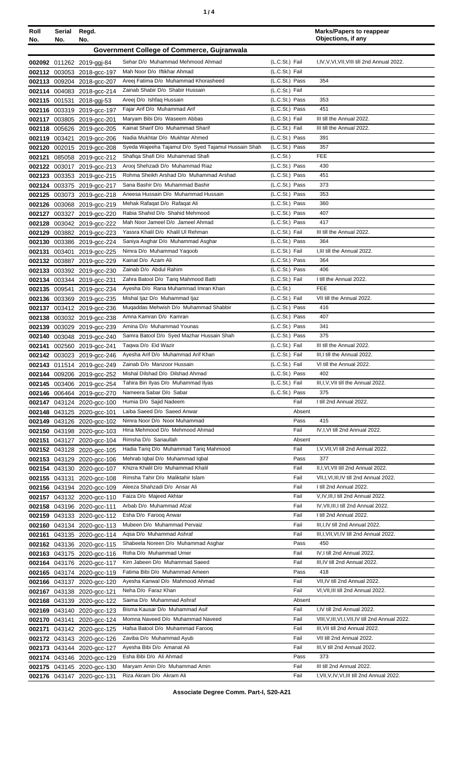| ٠ |  |
|---|--|
|   |  |

| Roll<br>No. | Serial Regd.<br>No. | No.                                                      |                                                                             |                             | <b>Marks/Papers to reappear</b><br>Objections, if any            |
|-------------|---------------------|----------------------------------------------------------|-----------------------------------------------------------------------------|-----------------------------|------------------------------------------------------------------|
|             |                     |                                                          | Government College of Commerce, Gujranwala                                  |                             |                                                                  |
|             |                     |                                                          | Sehar D/o Muhammad Mehmood Ahmad                                            | (L.C.St.) Fail              | I, IV, V, VI, VII, VIII till 2nd Annual 2022.                    |
|             |                     | 002092 011262 2019-ggj-84<br>002112 003053 2018-acc-197  | Mah Noor D/o Iftikhar Ahmad                                                 | (L.C.St.) Fail              |                                                                  |
|             |                     | 002113 009204 2018-gcc-207                               | Areej Fatima D/o Muhammad Khorasheed                                        | (L.C.St.) Pass              | 354                                                              |
|             |                     | 002114 004083 2018-gcc-214                               | Zainab Shabir D/o Shabir Hussain                                            | (L.C.St.) Fail              |                                                                  |
|             |                     | 002115 001531 2018-ggj-53                                | Areej D/o Ishfaq Hussain                                                    | (L.C.St.) Pass              | 353                                                              |
|             |                     | 002116 003319 2019-acc-197                               | Fajar Arif D/o Muhammad Arif                                                | (L.C.St.) Pass              | 451                                                              |
|             |                     | 002117 003805 2019-gcc-201                               | Maryam Bibi D/o Waseem Abbas                                                | (L.C.St.) Fail              | III till the Annual 2022.                                        |
|             |                     | 002118 005626 2019-acc-205                               | Kainat Sharif D/o Muhammad Sharif                                           | (L.C.St.) Fail              | III till the Annual 2022.                                        |
|             |                     | 002119 003421 2019-gcc-206                               | Nadia Mukhtar D/o Mukhtar Ahmed                                             | (L.C.St.) Pass              | 391                                                              |
|             |                     | 002120 002015 2019-gcc-208                               | Syeda Wajeeha Tajamul D/o Syed Tajamul Hussain Shah                         | (L.C.St.) Pass              | 357                                                              |
|             |                     | 002121 085058 2019-gcc-212                               | Shafiqa Shafi D/o Muhammad Shafi<br>Arooj Shehzadi D/o Muhammad Riaz        | (L.C.St.)<br>(L.C.St.) Pass | FEE<br>430                                                       |
|             |                     | 002122 003017 2019-gcc-213<br>002123 003353 2019-gcc-215 | Rohma Sheikh Arshad D/o Muhammad Arshad                                     | (L.C.St.) Pass              | 451                                                              |
|             |                     | 002124 003375 2019-gcc-217                               | Sana Bashir D/o Muhammad Bashir                                             | (L.C.St.) Pass              | 373                                                              |
|             |                     | 002125 003073 2019-gcc-218                               | Aneesa Hussain D/o Muhammad Hussain                                         | (L.C.St.) Pass              | 353                                                              |
|             |                     | 002126 003068 2019-gcc-219                               | Mehak Rafaqat D/o Rafaqat Ali                                               | (L.C.St.) Pass              | 360                                                              |
|             |                     | 002127 003327 2019-gcc-220                               | Rabia Shahid D/o Shahid Mehmood                                             | (L.C.St.) Pass              | 407                                                              |
|             |                     | 002128 003042 2019-gcc-222                               | Mah Noor Jameel D/o Jameel Ahmad                                            | (L.C.St.) Pass              | 417                                                              |
|             |                     | 002129 003882 2019-gcc-223                               | Yassra Khalil D/o Khalil Ul Rehman                                          | (L.C.St.) Fail              | III till the Annual 2022.                                        |
|             |                     | 002130 003386 2019-gcc-224                               | Saniya Asghar D/o Muhammad Asghar                                           | (L.C.St.) Pass              | 364                                                              |
| 002131      |                     | 003401 2019-gcc-225                                      | Nimra D/o Muhammad Yaqoob                                                   | (L.C.St.) Fail              | I, III till the Annual 2022.                                     |
|             |                     | 002132 003887 2019-gcc-229                               | Kainat D/o Azam Ali                                                         | (L.C.St.) Pass              | 364                                                              |
|             |                     | 002133 003392 2019-gcc-230                               | Zainab D/o Abdul Rahim                                                      | (L.C.St.) Pass              | 406                                                              |
|             |                     | 002134 003344 2019-gcc-231                               | Zahra Batool D/o Tariq Mahmood Batti<br>Ayesha D/o Rana Muhammad Imran Khan | (L.C.St.) Fail<br>(L.C.St.) | I till the Annual 2022.<br><b>FEE</b>                            |
|             |                     | 002135 009541 2019-gcc-234<br>002136 003369 2019-gcc-235 | Mishal Ijaz D/o Muhammad Ijaz                                               | (L.C.St.) Fail              | VII till the Annual 2022.                                        |
|             |                     | 002137 003412 2019-gcc-236                               | Mugaddas Mehwish D/o Muhammad Shabbir                                       | (L.C.St.) Pass              | 416                                                              |
|             |                     | 002138 003032 2019-gcc-238                               | Amna Kamran D/o Kamran                                                      | (L.C.St.) Pass              | 407                                                              |
|             |                     | 002139 003029 2019-gcc-239                               | Amina D/o Muhammad Younas                                                   | (L.C.St.) Pass              | 341                                                              |
|             |                     | 002140 003048 2019-gcc-240                               | Samra Batool D/o Syed Mazhar Hussain Shah                                   | (L.C.St.) Pass              | 375                                                              |
|             |                     | 002141 002560 2019-gcc-241                               | Taqwa D/o Eid Wazir                                                         | (L.C.St.) Fail              | III till the Annual 2022.                                        |
|             |                     | 002142 003023 2019-acc-246                               | Avesha Arif D/o Muhammad Arif Khan                                          | (L.C.St.) Fail              | III, I till the Annual 2022.                                     |
|             |                     | 002143 011514 2019-gcc-249                               | Zainab D/o Manzoor Hussain                                                  | (L.C.St.) Fail              | VI till the Annual 2022.                                         |
|             |                     | 002144 009206 2019-gcc-252                               | Mishal Dilshad D/o Dilshad Ahmad                                            | (L.C.St.) Pass              | 402                                                              |
|             |                     | 002145 003406 2019-gcc-254                               | Tahira Bin Ilyas D/o Muhammad Ilyas                                         | (L.C.St.) Fail              | III, I, V, VII till the Annual 2022.                             |
|             |                     | 002146 006464 2019-acc-270                               | Nameera Sabar D/o Sabar<br>Humia D/o Sajid Nadeem                           | (L.C.St.) Pass<br>Fail      | 375<br>I till 2nd Annual 2022.                                   |
|             |                     | 002147 043124 2020-gcc-100<br>002148 043125 2020-gcc-101 | Laiba Saeed D/o Saeed Anwar                                                 | Absent                      |                                                                  |
|             |                     | 002149 043126 2020-gcc-102                               | Nimra Noor D/o Noor Muhammad                                                | Pass                        | 415                                                              |
|             |                     | 002150 043198 2020-gcc-103                               | Hina Mehmood D/o Mehmood Ahmad                                              | Fail                        | IV, I, VI till 2nd Annual 2022.                                  |
|             |                     | 002151 043127 2020-gcc-104                               | Rimsha D/o Sanaullah                                                        | Absent                      |                                                                  |
|             |                     | 002152 043128 2020-gcc-105                               | Hadia Tarig D/o Muhammad Tarig Mahmood                                      | Fail                        | I, V, VII, VI till 2nd Annual 2022.                              |
|             |                     | 002153 043129 2020-gcc-106                               | Mehrab Iqbal D/o Muhammad Iqbal                                             | Pass                        | 377                                                              |
|             |                     | 002154 043130 2020-gcc-107                               | Khizra Khalil D/o Muhammad Khalil                                           | Fail                        | II, I, VI, VII till 2nd Annual 2022.                             |
|             |                     | 002155 043131 2020-gcc-108                               | Rimsha Tahir D/o Maliktahir Islam                                           | Fail                        | VII, I, VI, III, IV till 2nd Annual 2022.                        |
|             |                     | 002156 043194 2020-gcc-109                               | Aleeza Shahzadi D/o Ansar Ali                                               | Fail                        | I till 2nd Annual 2022.                                          |
|             |                     | 002157 043132 2020-gcc-110                               | Faiza D/o Majeed Akhtar                                                     | Fail                        | V, IV, III, I till 2nd Annual 2022.                              |
|             |                     | 002158 043196 2020-gcc-111                               | Arbab D/o Muhammad Afzal<br>Esha D/o Faroog Anwar                           | Fail<br>Fail                | IV, VII, III, I till 2nd Annual 2022.<br>I till 2nd Annual 2022. |
|             |                     | 002159 043133 2020-gcc-112                               | Mubeen D/o Muhammad Pervaiz                                                 | Fail                        | III, I, IV till 2nd Annual 2022.                                 |
|             |                     | 002160 043134 2020-gcc-113<br>002161 043135 2020-gcc-114 | Agsa D/o Muhammad Ashraf                                                    | Fail                        | III, I, VII, VI, IV till 2nd Annual 2022.                        |
|             |                     | 002162 043136 2020-gcc-115                               | Shabeela Noreen D/o Muhammad Asghar                                         | Pass                        | 450                                                              |
|             |                     | 002163 043175 2020-gcc-116                               | Roha D/o Muhammad Umer                                                      | Fail                        | IV, I till 2nd Annual 2022.                                      |
|             |                     | 002164 043176 2020-gcc-117                               | Kirn Jabeen D/o Muhammad Saeed                                              | Fail                        | III, IV till 2nd Annual 2022.                                    |
|             |                     | 002165 043174 2020-gcc-119                               | Fatima Bibi D/o Muhammad Ameen                                              | Pass                        | 418                                                              |
|             |                     | 002166 043137 2020-gcc-120                               | Ayesha Kanwal D/o Mahmood Ahmad                                             | Fail                        | VII, IV till 2nd Annual 2022.                                    |
|             |                     | 002167 043138 2020-gcc-121                               | Neha D/o Faraz Khan                                                         | Fail                        | VI, VII, III till 2nd Annual 2022.                               |
|             |                     | 002168 043139 2020-gcc-122                               | Saima D/o Muhammad Ashraf                                                   | Absent                      |                                                                  |
|             |                     | 002169 043140 2020-gcc-123                               | Bisma Kausar D/o Muhammad Asif                                              | Fail                        | I,IV till 2nd Annual 2022.                                       |
|             |                     | 002170 043141 2020-gcc-124                               | Momna Naveed D/o Muhammad Naveed                                            | Fail                        | VIII, V, III, VI, I, VII, IV till 2nd Annual 2022.               |
| 002171      |                     | 043142 2020-gcc-125                                      | Hafsa Batool D/o Muhammad Faroog                                            | Fail                        | III, VII till 2nd Annual 2022.<br>VII till 2nd Annual 2022.      |
|             |                     | 002172 043143 2020-gcc-126                               | Zaviba D/o Muhammad Ayub<br>Ayesha Bibi D/o Amanat Ali                      | Fail<br>Fail                | III, V till 2nd Annual 2022.                                     |
|             |                     | 002173 043144 2020-gcc-127                               | Esha Bibi D/o Ali Ahmad                                                     | Pass                        | 373                                                              |
|             |                     | 002174 043146 2020-gcc-129<br>002175 043145 2020-gcc-130 | Maryam Amin D/o Muhammad Amin                                               | Fail                        | III till 2nd Annual 2022.                                        |
|             |                     | 002176 043147 2020-gcc-131                               | Riza Akram D/o Akram Ali                                                    | Fail                        | I, VII, V, IV, VI, III till 2nd Annual 2022.                     |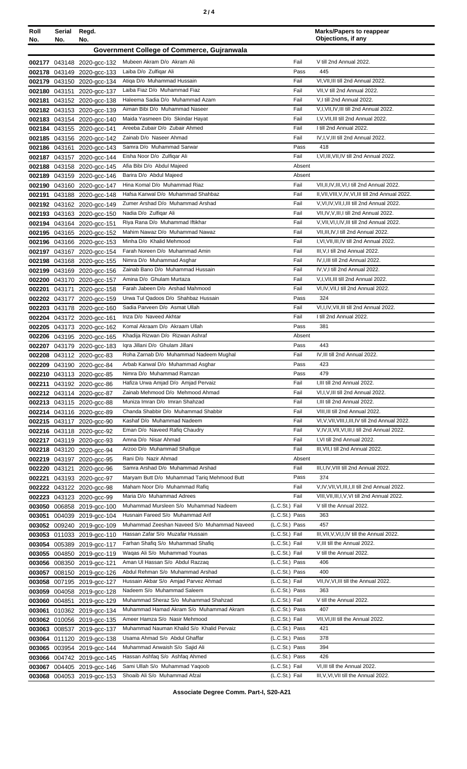|--|--|--|

| Roll<br>No. | Serial<br>No. | Regd.<br>No.                                             |                                                                       |                                  | <b>Marks/Papers to reappear</b><br>Objections, if any                        |
|-------------|---------------|----------------------------------------------------------|-----------------------------------------------------------------------|----------------------------------|------------------------------------------------------------------------------|
|             |               |                                                          | Government College of Commerce, Gujranwala                            |                                  |                                                                              |
|             |               |                                                          |                                                                       |                                  |                                                                              |
|             |               | 002177 043148 2020-gcc-132                               | Mubeen Akram D/o Akram Ali                                            | Fail                             | V till 2nd Annual 2022.                                                      |
|             |               | 002178 043149 2020-gcc-133                               | Laiba D/o Zulfigar Ali                                                | Pass                             | 445                                                                          |
|             |               | 002179 043150 2020-gcc-134                               | Atiqa D/o Muhammad Hussain<br>Laiba Fiaz D/o Muhammad Fiaz            | Fail<br>Fail                     | VI, VII, III till 2nd Annual 2022.<br>VII, V till 2nd Annual 2022.           |
|             |               | 002180 043151 2020-gcc-137                               | Haleema Sadia D/o Muhammad Azam                                       | Fail                             | V,I till 2nd Annual 2022.                                                    |
| 002181      |               | 043152 2020-gcc-138<br>002182 043153 2020-gcc-139        | Aiman Bibi D/o Muhammad Naseer                                        | Fail                             | V,I, VII, IV, III till 2nd Annual 2022.                                      |
|             |               | 002183 043154 2020-gcc-140                               | Maida Yasmeen D/o Skindar Hayat                                       | Fail                             | I, V, VII, III till 2nd Annual 2022.                                         |
|             |               | 002184 043155 2020-gcc-141                               | Areeba Zubair D/o Zubair Ahmed                                        | Fail                             | I till 2nd Annual 2022.                                                      |
|             |               | 002185 043156 2020-gcc-142                               | Zainab D/o Naseer Ahmad                                               | Fail                             | IV, I, V, III till 2nd Annual 2022.                                          |
|             |               | 002186 043161 2020-gcc-143                               | Samra D/o Muhammad Sarwar                                             | Pass                             | 418                                                                          |
|             |               | 002187 043157 2020-gcc-144                               | Eisha Noor D/o Zulfiqar Ali                                           | Fail                             | I, VI, III, VII, IV till 2nd Annual 2022.                                    |
|             |               | 002188 043158 2020-gcc-145                               | Afia Bibi D/o Abdul Majeed                                            | Absent                           |                                                                              |
|             |               | 002189 043159 2020-gcc-146                               | Barira D/o Abdul Majeed                                               | Absent                           |                                                                              |
|             |               | 002190 043160 2020-gcc-147                               | Hina Komal D/o Muhammad Riaz                                          | Fail                             | VII, II, IV, III, VI, I till 2nd Annual 2022.                                |
|             |               | 002191 043188 2020-gcc-148                               | Hafsa Kanwal D/o Muhammad Shahbaz                                     | Fail                             | II, VII, VIII, V, IV, VI, III till 2nd Annual 2022.                          |
|             |               | 002192 043162 2020-acc-149                               | Zumer Arshad D/o Muhammad Arshad                                      | Fail                             | V, VI, IV, VII, I, III till 2nd Annual 2022.                                 |
|             |               | 002193 043163 2020-acc-150                               | Nadia D/o Zulfigar Ali                                                | Fail                             | VII, IV, V, III, I till 2nd Annual 2022.                                     |
|             |               | 002194 043164 2020-gcc-151                               | Riya Rana D/o Muhammad Iftikhar                                       | Fail                             | V, VII, VI, I, IV, III till 2nd Annual 2022.                                 |
|             |               | 002195 043165 2020-gcc-152                               | Mahim Nawaz D/o Muhammad Nawaz                                        | Fail                             | VII, III, IV, I till 2nd Annual 2022.                                        |
|             |               | 002196 043166 2020-gcc-153                               | Minha D/o Khalid Mehmood<br>Farah Noreen D/o Muhammad Amin            | Fail<br>Fail                     | I, VI, VII, III, IV till 2nd Annual 2022.<br>III, V, I till 2nd Annual 2022. |
|             |               | 002197 043167 2020-gcc-154                               | Nimra D/o Muhammad Asghar                                             | Fail                             | IV, I, III till 2nd Annual 2022.                                             |
|             |               | 002198 043168 2020-gcc-155<br>002199 043169 2020-gcc-156 | Zainab Bano D/o Muhammad Hussain                                      | Fail                             | IV, V, I till 2nd Annual 2022.                                               |
|             |               | 002200 043170 2020-gcc-157                               | Amina D/o Ghulam Murtaza                                              | Fail                             | V,I, VII, III till 2nd Annual 2022.                                          |
| 002201      |               | 043171 2020-gcc-158                                      | Farah Jabeen D/o Arshad Mahmood                                       | Fail                             | VI,IV, VII, I till 2nd Annual 2022.                                          |
|             |               | 002202 043177 2020-gcc-159                               | Urwa Tul Qadoos D/o Shahbaz Hussain                                   | Pass                             | 324                                                                          |
|             |               | 002203 043178 2020-gcc-160                               | Sadia Parveen D/o Asmat Ullah                                         | Fail                             | VI, I, IV, VII, III till 2nd Annual 2022.                                    |
|             |               | 002204 043172 2020-gcc-161                               | Inza D/o Naveed Akhtar                                                | Fail                             | I till 2nd Annual 2022.                                                      |
|             |               | 002205 043173 2020-gcc-162                               | Komal Akraam D/o Akraam Ullah                                         | Pass                             | 381                                                                          |
|             |               | 002206 043195 2020-gcc-165                               | Khadija Rizwan D/o Rizwan Ashraf                                      | Absent                           |                                                                              |
|             |               | 002207 043179 2020-gcc-183                               | Iqra Jillani D/o Ghulam Jillani                                       | Pass                             | 443                                                                          |
|             |               | 002208 043112 2020-gcc-83                                | Roha Zarnab D/o Muhammad Nadeem Mughal                                | Fail                             | IV, III till 2nd Annual 2022.                                                |
|             |               | 002209 043190 2020-gcc-84                                | Arbab Kanwal D/o Muhammad Asghar                                      | Pass                             | 423                                                                          |
|             |               | 002210 043113 2020-gcc-85                                | Nimra D/o Muhammad Ramzan                                             | Pass                             | 479                                                                          |
|             |               | 002211 043192 2020-gcc-86                                | Hafiza Urwa Amjad D/o Amjad Pervaiz                                   | Fail                             | I, III till 2nd Annual 2022.                                                 |
|             |               | 002212 043114 2020-gcc-87                                | Zainab Mehmood D/o Mehmood Ahmad                                      | Fail                             | VI,I, V, III till 2nd Annual 2022.                                           |
|             |               | 002213 043115 2020-gcc-88                                | Muniza Imran D/o Imran Shahzad<br>Chanda Shabbir D/o Muhammad Shabbir | Fail<br>Fail                     | I, III till 2nd Annual 2022.<br>VIII, III till 2nd Annual 2022.              |
|             |               | 002214 043116 2020-gcc-89<br>002215 043117 2020-gcc-90   | Kashaf D/o Muhammad Nadeem                                            | Fail                             | VI, V, VII, VIII, I, III, IV till 2nd Annual 2022.                           |
|             |               | 002216 043118 2020-gcc-92                                | Eman D/o Naveed Rafiq Chaudry                                         | Fail                             | V, IV, II, VII, VI, III, I till 2nd Annual 2022.                             |
|             |               | 002217 043119 2020-acc-93                                | Amna D/o Nisar Ahmad                                                  | Fail                             | I, VI till 2nd Annual 2022.                                                  |
|             |               | 002218 043120 2020-gcc-94                                | Arzoo D/o Muhammad Shafique                                           | Fail                             | III, VII, I till 2nd Annual 2022.                                            |
|             |               | 002219 043197 2020-gcc-95                                | Rani D/o Nazir Ahmad                                                  | Absent                           |                                                                              |
|             |               | 002220 043121 2020-gcc-96                                | Samra Arshad D/o Muhammad Arshad                                      | Fail                             | III, I, IV, VIII till 2nd Annual 2022.                                       |
| 002221      |               | 043193 2020-gcc-97                                       | Maryam Butt D/o Muhammad Tariq Mehmood Butt                           | Pass                             | 374                                                                          |
|             |               | 002222 043122 2020-gcc-98                                | Maham Noor D/o Muhammad Rafiq                                         | Fail                             | V, IV, VII, VI, III, I, II till 2nd Annual 2022.                             |
|             |               | 002223 043123 2020-gcc-99                                | Maria D/o Muhammad Adrees                                             | Fail                             | VIII, VII, III, I, V, VI till 2nd Annual 2022.                               |
|             |               | 003050 006858 2019-gcc-100                               | Muhammad Mursleen S/o Muhammad Nadeem                                 | (L.C.St.) Fail                   | V till the Annual 2022.                                                      |
| 003051      |               | 004039 2019-gcc-104                                      | Husnain Fareed S/o Muhammad Arif                                      | (L.C.St.) Pass                   | 363                                                                          |
|             |               | 003052 009240 2019-gcc-109                               | Muhammad Zeeshan Naveed S/o Muhammad Naveed                           | (L.C.St.) Pass                   | 457                                                                          |
|             |               | 003053 011033 2019-gcc-110                               | Hassan Zafar S/o Muzafar Hussain                                      | (L.C.St.) Fail                   | III, VII, V, VI, I, IV till the Annual 2022.                                 |
|             |               | 003054 005389 2019-gcc-117                               | Farhan Shafiq S/o Muhammad Shafiq<br>Waqas Ali S/o Muhammad Younas    | (L.C.St.) Fail<br>(L.C.St.) Fail | V, III till the Annual 2022.<br>V till the Annual 2022.                      |
|             |               | 003055 004850 2019-gcc-119                               | Aman UI Hassan S/o Abdul Razzaq                                       | (L.C.St.) Pass                   | 406                                                                          |
|             |               | 003056 008350 2019-gcc-121<br>003057 008150 2019-gcc-126 | Abdul Rehman S/o Muhammad Arshad                                      | (L.C.St.) Pass                   | 400                                                                          |
|             |               | 003058 007195 2019-gcc-127                               | Hussain Akbar S/o Amjad Parvez Ahmad                                  | (L.C.St.) Fail                   | VII, IV, VI, III till the Annual 2022.                                       |
|             |               | 003059 004058 2019-gcc-128                               | Nadeem S/o Muhammad Saleem                                            | (L.C.St.) Pass                   | 363                                                                          |
|             |               | 003060 004851 2019-gcc-129                               | Muhammad Sheraz S/o Muhammad Shahzad                                  | (L.C.St.) Fail                   | V till the Annual 2022.                                                      |
|             |               | 003061 010362 2019-gcc-134                               | Muhammad Hamad Akram S/o Muhammad Akram                               | (L.C.St.) Pass                   | 407                                                                          |
|             |               | 003062 010056 2019-gcc-135                               | Ameer Hamza S/o Nasir Mehmood                                         | (L.C.St.) Fail                   | VII, VI, III till the Annual 2022.                                           |
|             |               | 003063 008537 2019-gcc-137                               | Muhammad Nauman Khalid S/o Khalid Pervaiz                             | (L.C.St.) Pass                   | 421                                                                          |
|             |               | 003064 011120 2019-gcc-138                               | Usama Ahmad S/o Abdul Ghaffar                                         | (L.C.St.) Pass                   | 378                                                                          |
|             |               | 003065 003954 2019-gcc-144                               | Muhammad Anwaish S/o Sajid Ali                                        | (L.C.St.) Pass                   | 394                                                                          |
|             |               | 003066 004742 2019-acc-145                               | Hassan Ashfaq S/o Ashfaq Ahmed                                        | (L.C.St.) Pass                   | 426                                                                          |
|             |               | 003067 004405 2019-gcc-146                               | Sami Ullah S/o Muhammad Yaqoob                                        | (L.C.St.) Fail                   | VI, III till the Annual 2022.                                                |
|             |               | 003068 004053 2019-gcc-153                               | Shoaib Ali S/o Muhammad Afzal                                         | (L.C.St.) Fail                   | III, V, VI, VII till the Annual 2022.                                        |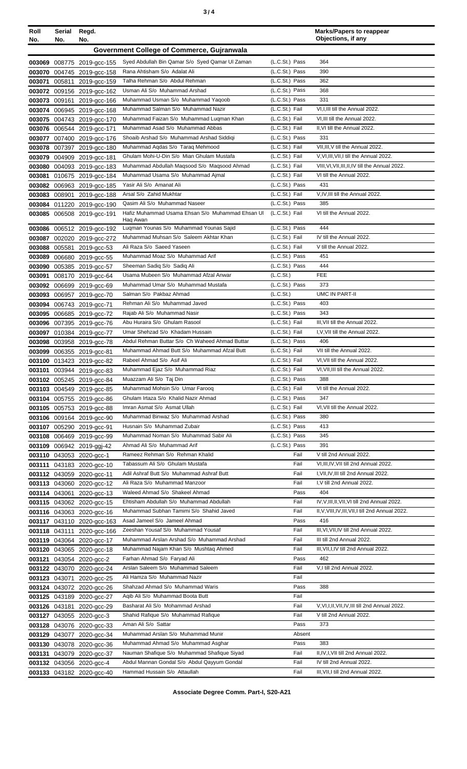| Roll<br>No. | Serial<br>No. | Regd.<br>No.                                             |                                                                               |                                  | <b>Marks/Papers to reappear</b><br>Objections, if any                         |
|-------------|---------------|----------------------------------------------------------|-------------------------------------------------------------------------------|----------------------------------|-------------------------------------------------------------------------------|
|             |               |                                                          | Government College of Commerce, Gujranwala                                    |                                  |                                                                               |
|             |               | 003069 008775 2019-gcc-155                               | Syed Abdullah Bin Qamar S/o Syed Qamar UI Zaman                               | (L.C.St.) Pass                   | 364                                                                           |
| 003070      |               | 004745 2019-gcc-158                                      | Rana Ahtisham S/o Adalat Ali                                                  | (L.C.St.) Pass                   | 390                                                                           |
| 003071      |               | 005811 2019-gcc-159                                      | Talha Rehman S/o Abdul Rehman                                                 | (L.C.St.) Pass                   | 362                                                                           |
|             |               | 003072 009156 2019-gcc-162                               | Usman Ali S/o Muhammad Arshad                                                 | (L.C.St.) Pass                   | 368                                                                           |
| 003073      | 009161        | 2019-gcc-166                                             | Muhammad Usman S/o Muhammad Yaqoob                                            | (L.C.St.) Pass                   | 331                                                                           |
| 003074      |               | 006945 2019-gcc-168                                      | Muhammad Salman S/o Muhammad Nazir                                            | (L.C.St.) Fail                   | VI, I, III till the Annual 2022.                                              |
|             |               | 003075 004743 2019-gcc-170                               | Muhammad Faizan S/o Muhammad Luqman Khan                                      | (L.C.St.) Fail                   | VI, III till the Annual 2022.                                                 |
|             |               | 003076 006544 2019-gcc-171                               | Muhammad Asad S/o Muhammad Abbas                                              | (L.C.St.) Fail                   | II, VI till the Annual 2022.                                                  |
|             |               | 003077 007400 2019-gcc-176                               | Shoaib Arshad S/o Muhammad Arshad Siddiqi                                     | (L.C.St.) Pass                   | 331                                                                           |
|             |               | 003078 007397 2019-gcc-180                               | Muhammad Aqdas S/o Taraq Mehmood<br>Ghulam Mohi-U-Din S/o Mian Ghulam Mustafa | (L.C.St.) Fail<br>(L.C.St.) Fail | VII, III, V till the Annual 2022.<br>V, VI, III, VII, I till the Annual 2022. |
|             |               | 003079 004909 2019-gcc-181<br>003080 004093 2019-gcc-183 | Muhammad Abdullah Maqsood S/o Maqsood Ahmad                                   | (L.C.St.) Fail                   | VIII, VI, VII, III, II, IV till the Annual 2022.                              |
| 003081      |               | 010675 2019-gcc-184                                      | Muhammad Usama S/o Muhammad Ajmal                                             | (L.C.St.) Fail                   | VI till the Annual 2022.                                                      |
|             |               | 003082 006963 2019-gcc-185                               | Yasir Ali S/o Amanat Ali                                                      | (L.C.St.) Pass                   | 431                                                                           |
|             | 003083 008901 | 2019-acc-188                                             | Arsal S/o Zahid Mukhtar                                                       | (L.C.St.) Fail                   | V, IV, III till the Annual 2022.                                              |
|             |               | 003084 011220 2019-gcc-190                               | Qasim Ali S/o Muhammad Naseer                                                 | (L.C.St.) Pass                   | 385                                                                           |
|             |               | 003085 006508 2019-gcc-191                               | Hafiz Muhammad Usama Ehsan S/o Muhammad Ehsan UI<br>Haq Awan                  | (L.C.St.) Fail                   | VI till the Annual 2022.                                                      |
|             |               | 003086 006512 2019-gcc-192                               | Luqman Younas S/o Muhammad Younas Sajid                                       | (L.C.St.) Pass                   | 444                                                                           |
|             |               | 003087 002020 2019-gcc-272                               | Muhammad Muhsan S/o Saleem Akhtar Khan                                        | (L.C.St.) Fail                   | IV till the Annual 2022.                                                      |
|             |               | 003088 005581 2019-gcc-53                                | Ali Raza S/o Saeed Yaseen                                                     | (L.C.St.) Fail                   | V till the Annual 2022.                                                       |
|             |               | 003089 006680 2019-gcc-55                                | Muhammad Moaz S/o Muhammad Arif                                               | (L.C.St.) Pass                   | 451                                                                           |
|             |               | 003090 005385 2019-gcc-57                                | Sheeman Sadiq S/o Sadiq Ali                                                   | (L.C.St.) Pass                   | 444                                                                           |
| 003091      |               | 008170 2019-gcc-64                                       | Usama Mubeen S/o Muhammad Afzal Anwar                                         | (L.C.St.)                        | <b>FEE</b>                                                                    |
|             |               | 003092 006699 2019-gcc-69                                | Muhammad Umar S/o Muhammad Mustafa                                            | (L.C.St.) Pass                   | 373                                                                           |
|             |               | 003093 006957 2019-gcc-70                                | Salman S/o Pakbaz Ahmad                                                       | (L.C.St.)                        | <b>UMC IN PART-II</b>                                                         |
|             |               | 003094 006743 2019-gcc-71                                | Rehman Ali S/o Muhammad Javed                                                 | (L.C.St.) Pass                   | 403                                                                           |
|             |               | 003095 006685 2019-gcc-72                                | Rajab Ali S/o Muhammad Nasir<br>Abu Huraira S/o Ghulam Rasool                 | (L.C.St.) Pass                   | 343                                                                           |
|             |               | 003096 007395 2019-gcc-76                                | Umar Shehzad S/o Khadam Hussain                                               | (L.C.St.) Fail<br>(L.C.St.) Fail | III, VII till the Annual 2022.<br>I, V, VII till the Annual 2022.             |
|             |               | 003097 010384 2019-gcc-77<br>003098 003958 2019-gcc-78   | Abdul Rehman Buttar S/o Ch Waheed Ahmad Buttar                                | (L.C.St.) Pass                   | 406                                                                           |
|             |               | 003099 006355 2019-gcc-81                                | Muhammad Ahmad Butt S/o Muhammad Afzal Butt                                   | (L.C.St.) Fail                   | VII till the Annual 2022.                                                     |
|             |               | 003100 013423 2019-gcc-82                                | Rabeel Ahmad S/o Asif Ali                                                     | (L.C.St.) Fail                   | VI.VII till the Annual 2022.                                                  |
|             |               | 003101 003944 2019-gcc-83                                | Muhammad Ejaz S/o Muhammad Riaz                                               | (L.C.St.) Fail                   | VI, VII, III till the Annual 2022.                                            |
|             |               | 003102 005245 2019-gcc-84                                | Muazzam Ali S/o Taj Din                                                       | (L.C.St.) Pass                   | 388                                                                           |
|             |               | 003103 004549 2019-gcc-85                                | Muhammad Mohsin S/o Umar Farooq                                               | (L.C.St.) Fail                   | VI till the Annual 2022.                                                      |
|             |               | 003104 005755 2019-gcc-86                                | Ghulam Irtaza S/o Khalid Nazir Ahmad                                          | (L.C.St.) Pass                   | 347                                                                           |
|             |               | 003105 005753 2019-gcc-88                                | Imran Asmat S/o Asmat Ullah                                                   | (L.C.St.) Fail                   | VI, VII till the Annual 2022.                                                 |
|             |               | 003106 009164 2019-gcc-90                                | Muhammad Binwaz S/o Muhammad Arshad                                           | (L.C.St.) Pass                   | 380                                                                           |
|             |               | 003107 005290 2019-gcc-91                                | Husnain S/o Muhammad Zubair<br>Muhammad Noman S/o Muhammad Sabir Ali          | (L.C.St.) Pass                   | 413<br>345                                                                    |
|             |               | 003108 006469 2019-gcc-99                                | Ahmad Ali S/o Muhammad Arif                                                   | (L.C.St.) Pass<br>(L.C.St.) Pass | 391                                                                           |
|             |               | 003109 006942 2019-ggj-42<br>003110 043053 2020-gcc-1    | Rameez Rehman S/o Rehman Khalid                                               | Fail                             | V till 2nd Annual 2022.                                                       |
|             |               | 003111 043183 2020-gcc-10                                | Tabassum Ali S/o Ghulam Mustafa                                               | Fail                             | VI, III, IV, VII till 2nd Annual 2022.                                        |
|             |               | 003112 043059 2020-gcc-11                                | Adil Ashraf Butt S/o Muhammad Ashraf Butt                                     | Fail                             | I, VII, IV, III till 2nd Annual 2022.                                         |
|             |               | 003113 043060 2020-gcc-12                                | Ali Raza S/o Muhammad Manzoor                                                 | Fail                             | I, V till 2nd Annual 2022.                                                    |
|             |               | 003114 043061 2020-gcc-13                                | Waleed Ahmad S/o Shakeel Ahmad                                                | Pass                             | 404                                                                           |
|             |               | 003115 043062 2020-gcc-15                                | Ehtisham Abdullah S/o Muhammad Abdullah                                       | Fail                             | IV, V, III, II, VII, VI till 2nd Annual 2022.                                 |
|             |               | 003116 043063 2020-gcc-16                                | Muhammad Subhan Tamimi S/o Shahid Javed                                       | Fail                             | II, V, VIII, IV, III, VII, I till 2nd Annual 2022.                            |
|             |               | 003117 043110 2020-gcc-163                               | Asad Jameel S/o Jameel Ahmad                                                  | Pass                             | 416                                                                           |
|             |               | 003118 043111 2020-gcc-166                               | Zeeshan Yousaf S/o Muhammad Yousaf                                            | Fail                             | III, VI, VII, IV till 2nd Annual 2022.                                        |
|             |               | 003119 043064 2020-gcc-17                                | Muhammad Arslan Arshad S/o Muhammad Arshad                                    | Fail                             | III till 2nd Annual 2022.                                                     |
|             |               | 003120 043065 2020-gcc-18                                | Muhammad Najam Khan S/o Mushtaq Ahmed                                         | Fail                             | III, VII, I, IV till 2nd Annual 2022.                                         |
|             |               | 003121 043054 2020-gcc-2                                 | Farhan Ahmad S/o Faryad Ali<br>Arslan Saleem S/o Muhammad Saleem              | Pass<br>Fail                     | 462                                                                           |
|             |               | 003122 043070 2020-gcc-24                                | Ali Hamza S/o Muhammad Nazir                                                  | Fail                             | V,I till 2nd Annual 2022.                                                     |
|             |               | 003123 043071 2020-gcc-25<br>003124 043072 2020-gcc-26   | Shahzad Ahmad S/o Muhammad Waris                                              | Pass                             | 388                                                                           |
|             |               | 003125 043189 2020-gcc-27                                | Aqib Ali S/o Muhammad Boota Butt                                              | Fail                             |                                                                               |
|             |               | 003126 043181 2020-gcc-29                                | Basharat Ali S/o Mohammad Arshad                                              | Fail                             | V, VI, I, II, VII, IV, III till 2nd Annual 2022.                              |
|             |               | 003127 043055 2020-gcc-3                                 | Shahid Rafique S/o Muhammad Rafique                                           | Fail                             | V till 2nd Annual 2022.                                                       |
|             |               | 003128 043076 2020-gcc-33                                | Aman Ali S/o Sattar                                                           | Pass                             | 373                                                                           |
|             |               | 003129 043077 2020-gcc-34                                | Muhammad Arslan S/o Muhammad Munir                                            | Absent                           |                                                                               |
|             |               | 003130 043078 2020-gcc-36                                | Muhammad Ahmad S/o Muhammad Asghar                                            | Pass                             | 383                                                                           |
|             |               | 003131 043079 2020-gcc-37                                | Nauman Shafique S/o Muhammad Shafique Siyad                                   | Fail                             | II, IV, I, VII till 2nd Annual 2022.                                          |
|             |               | 003132 043056 2020-gcc-4                                 | Abdul Mannan Gondal S/o Abdul Qayyum Gondal                                   | Fail                             | IV till 2nd Annual 2022.                                                      |
|             |               | 003133 043182 2020-gcc-40                                | Hammad Hussain S/o Attaullah                                                  | Fail                             | III, VII, I till 2nd Annual 2022.                                             |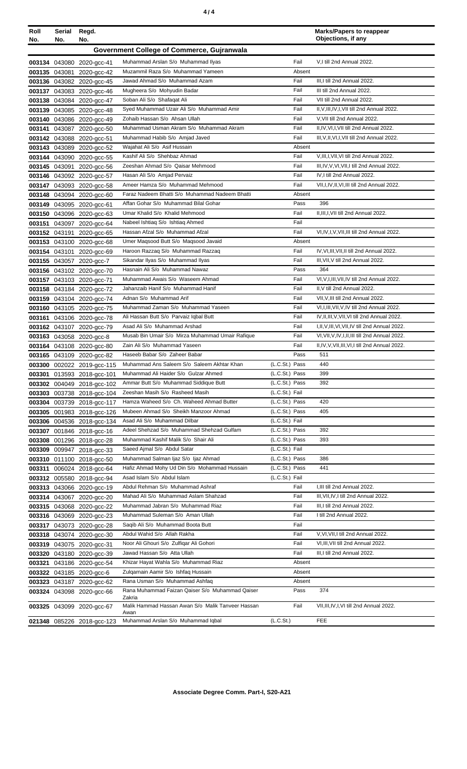| Roll<br>No. | Serial<br>No. | Regd.<br>No.                                           |                                                                        |                | <b>Marks/Papers to reappear</b><br>Objections, if any                                                |
|-------------|---------------|--------------------------------------------------------|------------------------------------------------------------------------|----------------|------------------------------------------------------------------------------------------------------|
|             |               |                                                        | <b>Government College of Commerce, Guiranwala</b>                      |                |                                                                                                      |
|             |               |                                                        | Muhammad Arslan S/o Muhammad Ilyas                                     | Fail           | V,I till 2nd Annual 2022.                                                                            |
|             |               | 003134 043080 2020-gcc-41<br>003135 043081 2020-gcc-42 | Muzammil Raza S/o Muhammad Yameen                                      | Absent         |                                                                                                      |
|             |               | 003136 043082 2020-gcc-45                              | Jawad Ahmad S/o Muhammad Azam                                          | Fail           | III,I till 2nd Annual 2022.                                                                          |
|             |               | 003137 043083 2020-gcc-46                              | Mugheera S/o Mohyudin Badar                                            | Fail           | III till 2nd Annual 2022.                                                                            |
|             |               | 003138 043084 2020-gcc-47                              | Soban Ali S/o Shafaqat Ali                                             | Fail           | VII till 2nd Annual 2022.                                                                            |
|             |               | 003139 043085 2020-acc-48                              | Syed Muhammad Uzair Ali S/o Muhammad Amir                              | Fail           | II, V, III, IV, I, VII till 2nd Annual 2022.                                                         |
|             |               | 003140 043086 2020-gcc-49                              | Zohaib Hassan S/o Ahsan Ullah                                          | Fail           | V, VII till 2nd Annual 2022.                                                                         |
| 003141      |               | 043087 2020-gcc-50                                     | Muhammad Usman Akram S/o Muhammad Akram                                | Fail           | II, IV, VI, I, VII till 2nd Annual 2022.                                                             |
|             |               | 003142 043088 2020-acc-51                              | Muhammad Habib S/o Amjad Javed                                         | Fail           | III, V, II, VI, I, VII till 2nd Annual 2022.                                                         |
|             |               | 003143 043089 2020-gcc-52                              | Wajahat Ali S/o Asif Hussain                                           | Absent         |                                                                                                      |
|             |               | 003144 043090 2020-gcc-55                              | Kashif Ali S/o Shehbaz Ahmad                                           | Fail           | V, III, I, VII, VI till 2nd Annual 2022.                                                             |
|             |               | 003145 043091 2020-gcc-56                              | Zeeshan Ahmad S/o Qaisar Mehmood                                       | Fail           | III, IV, V, VI, VII, I till 2nd Annual 2022.                                                         |
|             |               | 003146 043092 2020-gcc-57                              | Hasan Ali S/o Amjad Pervaiz                                            | Fail           | IV, I till 2nd Annual 2022.                                                                          |
|             |               | 003147 043093 2020-gcc-58                              | Ameer Hamza S/o Muhammad Mehmood                                       | Fail           | VII, I, IV, II, VI, III till 2nd Annual 2022.                                                        |
|             |               | 003148 043094 2020-gcc-60                              | Faraz Nadeem Bhatti S/o Muhammad Nadeem Bhatti                         | Absent         |                                                                                                      |
|             |               | 003149 043095 2020-gcc-61                              | Affan Gohar S/o Muhammad Bilal Gohar                                   | Pass           | 396                                                                                                  |
|             |               | 003150 043096 2020-gcc-63                              | Umar Khalid S/o Khalid Mehmood                                         | Fail           | II.III.I.VII till 2nd Annual 2022.                                                                   |
|             |               | 003151 043097 2020-gcc-64                              | Nabeel Ishtiaq S/o Ishtiaq Ahmed                                       | Fail           |                                                                                                      |
|             |               | 003152 043191 2020-gcc-65                              | Hassan Afzal S/o Muhammad Afzal                                        | Fail           | VI, IV, I, V, VII, III till 2nd Annual 2022.                                                         |
|             |               | 003153 043100 2020-gcc-68                              | Umer Magsood Butt S/o Magsood Javaid                                   | Absent         |                                                                                                      |
|             |               | 003154 043101 2020-gcc-69                              | Haroon Razzaq S/o Muhammad Razzaq                                      | Fail           | IV, VI, III, VII, II till 2nd Annual 2022.                                                           |
|             |               | 003155 043057 2020-gcc-7                               | Sikandar Ilyas S/o Muhammad Ilyas                                      | Fail           | III, VII, V till 2nd Annual 2022.                                                                    |
|             |               | 003156 043102 2020-gcc-70                              | Hasnain Ali S/o Muhammad Nawaz                                         | Pass           | 364                                                                                                  |
|             |               | 003157 043103 2020-gcc-71                              | Muhammad Awais S/o Waseem Ahmad                                        | Fail           | VI, V, I, III, VII, IV till 2nd Annual 2022.                                                         |
|             |               | 003158 043184 2020-gcc-72                              | Jahanzaib Hanif S/o Muhammad Hanif                                     | Fail           | II, V till 2nd Annual 2022.                                                                          |
|             |               | 003159 043104 2020-gcc-74                              | Adnan S/o Muhammad Arif                                                | Fail<br>Fail   | VII, V, III till 2nd Annual 2022.                                                                    |
|             |               | 003160 043105 2020-gcc-75                              | Muhammad Zaman S/o Muhammad Yaseen                                     |                | VI, I, III, VII, V, IV till 2nd Annual 2022.                                                         |
|             |               | 003161 043106 2020-gcc-78                              | Ali Hassan Butt S/o Parvaiz Iqbal Butt<br>Asad Ali S/o Muhammad Arshad | Fail<br>Fail   | IV, II, III, V, VII, VI till 2nd Annual 2022.                                                        |
|             |               | 003162 043107 2020-gcc-79                              | Musab Bin Umair S/o Mirza Muhammad Umair Rafique                       | Fail           | I, II, V, III, VI, VII, IV till 2nd Annual 2022.<br>VI, VII, V, IV, I, II, III till 2nd Annual 2022. |
|             |               | 003163 043058 2020-gcc-8<br>003164 043108 2020-gcc-80  | Zain Ali S/o Muhammad Yaseen                                           | Fail           | II,IV,V,VII,III,VI,I till 2nd Annual 2022.                                                           |
|             |               | 003165 043109 2020-gcc-82                              | Haseeb Babar S/o Zaheer Babar                                          | Pass           | 511                                                                                                  |
|             |               | 003300 002022 2019-gcc-115                             | Muhammad Ans Saleem S/o Saleem Akhtar Khan                             | (L.C.St.) Pass | 440                                                                                                  |
|             |               | 003301 013593 2018-gcc-101                             | Muhammad Ali Haider S/o Gulzar Ahmed                                   | (L.C.St.) Pass | 399                                                                                                  |
|             |               | 003302 004049 2018-gcc-102                             | Ammar Butt S/o Muhammad Siddique Butt                                  | (L.C.St.) Pass | 392                                                                                                  |
|             |               | 003303 003738 2018-gcc-104                             | Zeeshan Masih S/o Rasheed Masih                                        | (L.C.St.) Fail |                                                                                                      |
|             |               | 003304 003739 2018-gcc-117                             | Hamza Waheed S/o Ch. Waheed Ahmad Butter                               | (L.C.St.) Pass | 420                                                                                                  |
|             |               | 003305 001983 2018-gcc-126                             | Mubeen Ahmad S/o Sheikh Manzoor Ahmad                                  | (L.C.St.) Pass | 405                                                                                                  |
|             |               | 003306 004536 2018-gcc-134                             | Asad Ali S/o Muhammad Dilbar                                           | (L.C.St.) Fail |                                                                                                      |
|             |               | 003307 001846 2018-gcc-16                              | Adeel Shehzad S/o Muhammad Shehzad Gulfam                              | (L.C.St.) Pass | 392                                                                                                  |
|             |               | 003308 001296 2018-gcc-28                              | Muhammad Kashif Malik S/o Shair Ali                                    | (L.C.St.) Pass | 393                                                                                                  |
|             |               | 003309 009947 2018-gcc-33                              | Saeed Ajmal S/o Abdul Satar                                            | (L.C.St.) Fail |                                                                                                      |
|             |               | 003310 011100 2018-gcc-50                              | Muhammad Salman Ijaz S/o Ijaz Ahmad                                    | (L.C.St.) Pass | 386                                                                                                  |
|             |               | 003311 006024 2018-gcc-64                              | Hafiz Ahmad Mohy Ud Din S/o Mohammad Hussain                           | (L.C.St.) Pass | 441                                                                                                  |
|             |               | 003312 005580 2018-gcc-94                              | Asad Islam S/o Abdul Islam                                             | (L.C.St.) Fail |                                                                                                      |
|             |               | 003313 043066 2020-gcc-19                              | Abdul Rehman S/o Muhammad Ashraf                                       | Fail           | I, III till 2nd Annual 2022.                                                                         |
|             |               | 003314 043067 2020-gcc-20                              | Mahad Ali S/o Muhammad Aslam Shahzad                                   | Fail           | III, VII, IV, I till 2nd Annual 2022.                                                                |
|             |               | 003315 043068 2020-gcc-22                              | Muhammad Jabran S/o Muhammad Riaz                                      | Fail           | III,I till 2nd Annual 2022.                                                                          |
|             |               | 003316 043069 2020-gcc-23                              | Muhammad Suleman S/o Aman Ullah                                        | Fail           | I till 2nd Annual 2022.                                                                              |
|             |               | 003317 043073 2020-gcc-28                              | Saqib Ali S/o Muhammad Boota Butt                                      | Fail           |                                                                                                      |
|             |               | 003318 043074 2020-gcc-30                              | Abdul Wahid S/o Allah Rakha                                            | Fail           | V, VI, VII, I till 2nd Annual 2022.                                                                  |
|             |               | 003319 043075 2020-gcc-31                              | Noor Ali Ghouri S/o Zulfiqar Ali Gohori<br>Jawad Hassan S/o Atta Ullah | Fail           | VI, III, VII till 2nd Annual 2022.                                                                   |
|             |               | 003320 043180 2020-gcc-39                              | Khizar Hayat Wahla S/o Muhammad Riaz                                   | Fail<br>Absent | III,I till 2nd Annual 2022.                                                                          |
|             |               | 003321 043186 2020-gcc-54                              | Zulgarnain Aamir S/o Ishfaq Hussain                                    | Absent         |                                                                                                      |
|             |               | 003322 043185 2020-gcc-6                               | Rana Usman S/o Muhammad Ashfaq                                         | Absent         |                                                                                                      |
|             |               | 003323 043187 2020-gcc-62<br>003324 043098 2020-gcc-66 | Rana Muhammad Faizan Qaiser S/o Muhammad Qaiser                        | Pass           | 374                                                                                                  |
|             |               |                                                        | Zakria                                                                 |                |                                                                                                      |
|             |               | 003325 043099 2020-gcc-67                              | Malik Hammad Hassan Awan S/o Malik Tanveer Hassan                      | Fail           | VII, III, IV, I, VI till 2nd Annual 2022.                                                            |
|             |               |                                                        | Awan<br>Muhammad Arslan S/o Muhammad Iqbal                             | (L.C.St.)      | <b>FEE</b>                                                                                           |
|             |               | 021348 085226 2018-gcc-123                             |                                                                        |                |                                                                                                      |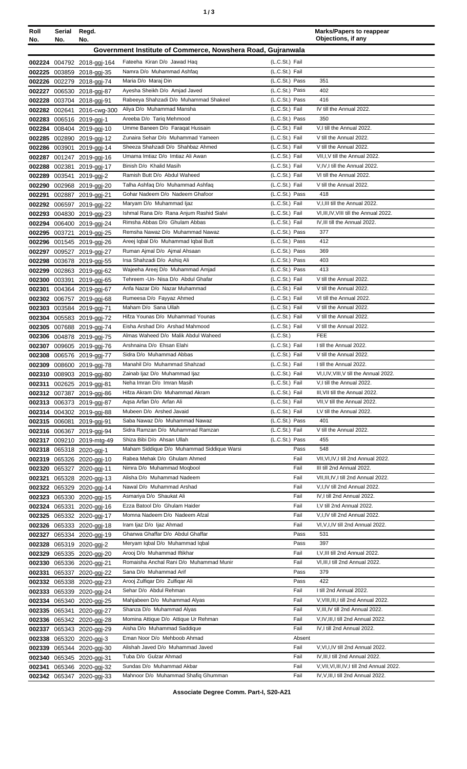| ٥. |  | ×<br>I<br>٠<br>I<br>۰.<br>× |
|----|--|-----------------------------|
|----|--|-----------------------------|

| Roll<br>No. | Serial<br>No. | Regd.<br>No.                                            |                                                                      |                                  | <b>Marks/Papers to reappear</b><br>Objections, if any                |
|-------------|---------------|---------------------------------------------------------|----------------------------------------------------------------------|----------------------------------|----------------------------------------------------------------------|
|             |               |                                                         | Government Institute of Commerce, Nowshera Road, Gujranwala          |                                  |                                                                      |
|             |               |                                                         |                                                                      | (L.C.St.) Fail                   |                                                                      |
|             |               | 002224 004792 2018-ggi-164<br>002225 003859 2018-ggj-35 | Fateeha Kiran D/o Jawad Haq<br>Namra D/o Muhammad Ashfaq             | (L.C.St.) Fail                   |                                                                      |
|             |               | 002226 002279 2018-ggj-74                               | Maria D/o Maraj Din                                                  | (L.C.St.) Pass                   | 351                                                                  |
|             |               | 002227 006530 2018-ggj-87                               | Ayesha Sheikh D/o Amjad Javed                                        | (L.C.St.) Pass                   | 402                                                                  |
|             |               | 002228 003704 2018-ggj-91                               | Rabeeya Shahzadi D/o Muhammad Shakeel                                | (L.C.St.) Pass                   | 416                                                                  |
|             |               | 002282 002641 2016-cwg-300                              | Aliya D/o Muhammad Mansha                                            | (L.C.St.) Fail                   | IV till the Annual 2022.                                             |
|             |               | 002283 006516 2019-ggj-1                                | Areeba D/o Tarig Mehmood                                             | (L.C.St.) Pass                   | 350                                                                  |
|             |               | 002284 008404 2019-ggj-10                               | Umme Baneen D/o Faragat Hussain                                      | (L.C.St.) Fail                   | V,I till the Annual 2022.                                            |
|             |               | 002285 002890 2019-ggj-12                               | Zunaira Sehar D/o Muhammad Yameen                                    | (L.C.St.) Fail                   | V till the Annual 2022.                                              |
|             |               | 002286 003901 2019-ggj-14                               | Sheeza Shahzadi D/o Shahbaz Ahmed                                    | (L.C.St.) Fail                   | V till the Annual 2022.                                              |
|             |               | 002287 001247 2019-ggj-16                               | Umama Imtiaz D/o Imtiaz Ali Awan                                     | (L.C.St.) Fail                   | VII, I, V till the Annual 2022.                                      |
|             | 002288 002381 | 2019-ggj-17                                             | Binish D/o Khalid Masih<br>Ramish Butt D/o Abdul Waheed              | (L.C.St.) Fail<br>(L.C.St.) Fail | V, IV, I till the Annual 2022.<br>VI till the Annual 2022.           |
|             |               | 002289 003541 2019-ggj-2<br>002290 002968 2019-ggj-20   | Talha Ashfaq D/o Muhammad Ashfaq                                     | (L.C.St.) Fail                   | V till the Annual 2022.                                              |
| 002291      |               | 002887 2019-ggj-21                                      | Gohar Nadeem D/o Nadeem Ghafoor                                      | (L.C.St.) Pass                   | 418                                                                  |
|             |               | 002292 006597 2019-ggj-22                               | Maryam D/o Muhammad Ijaz                                             | (L.C.St.) Fail                   | V, I, III till the Annual 2022.                                      |
|             |               | 002293 004830 2019-ggj-23                               | Ishmal Rana D/o Rana Anjum Rashid Sialvi                             | (L.C.St.) Fail                   | VI, III, IV, VIII till the Annual 2022.                              |
|             |               | 002294 006400 2019-ggj-24                               | Rimsha Abbas D/o Ghulam Abbas                                        | (L.C.St.) Fail                   | IV, III till the Annual 2022.                                        |
|             |               | 002295 003721 2019-ggj-25                               | Remsha Nawaz D/o Muhammad Nawaz                                      | (L.C.St.) Pass                   | 377                                                                  |
|             |               | 002296 001545 2019-ggj-26                               | Areej Iqbal D/o Muhammad Iqbal Butt                                  | (L.C.St.) Pass                   | 412                                                                  |
| 002297      |               | 009527 2019-ggj-27                                      | Ruman Ajmal D/o Ajmal Ahsaan                                         | (L.C.St.) Pass                   | 369                                                                  |
|             |               | 002298 003678 2019-ggj-55                               | Irsa Shahzadi D/o Ashiq Ali                                          | (L.C.St.) Pass                   | 403                                                                  |
|             |               | 002299 002863 2019-ggj-62                               | Wajeeha Areej D/o Muhammad Amjad                                     | (L.C.St.) Pass                   | 413                                                                  |
|             |               | 002300 003391 2019-ggj-65                               | Tehreem - Un- Nisa D/o Abdul Ghafar<br>Anfa Nazar D/o Nazar Muhammad | (L.C.St.) Fail<br>(L.C.St.) Fail | V till the Annual 2022.<br>V till the Annual 2022.                   |
|             |               | 002301 004364 2019-ggj-67<br>002302 006757 2019-ggj-68  | Rumeesa D/o Fayyaz Ahmed                                             | (L.C.St.) Fail                   | VI till the Annual 2022.                                             |
|             |               | 002303 003584 2019-ggj-71                               | Maham D/o Sana Ullah                                                 | (L.C.St.) Fail                   | V till the Annual 2022.                                              |
|             |               | 002304 005583 2019-ggj-72                               | Hifza Younas D/o Muhammad Younas                                     | (L.C.St.) Fail                   | V till the Annual 2022.                                              |
|             |               | 002305 007688 2019-ggj-74                               | Eisha Arshad D/o Arshad Mahmood                                      | (L.C.St.) Fail                   | V till the Annual 2022.                                              |
|             |               | 002306 004878 2019-ggj-75                               | Almas Waheed D/o Malik Abdul Waheed                                  | (L.C.St.)                        | <b>FEE</b>                                                           |
|             |               | 002307 009605 2019-ggj-76                               | Arshnaina D/o Ehsan Elahi                                            | (L.C.St.) Fail                   | I till the Annual 2022.                                              |
|             |               | 002308 006576 2019-ggj-77                               | Sidra D/o Muhammad Abbas                                             | (L.C.St.) Fail                   | V till the Annual 2022.                                              |
|             |               | 002309 008600 2019-ggj-78                               | Manahil D/o Muhammad Shahzad                                         | (L.C.St.) Fail                   | I till the Annual 2022.                                              |
|             |               | 002310 008903 2019-ggj-80                               | Zainab Ijaz D/o Muhammad Ijaz                                        | (L.C.St.) Fail                   | VI, I, IV, VIII, V till the Annual 2022.                             |
|             |               | 002311 002625 2019-ggj-81                               | Neha Imran D/o Imran Masih                                           | (L.C.St.) Fail                   | V,I till the Annual 2022.                                            |
|             |               | 002312 007387 2019-ggj-86                               | Hifza Akram D/o Muhammad Akram<br>Agsa Arfan D/o Arfan Ali           | (L.C.St.) Fail<br>(L.C.St.) Fail | III, VII till the Annual 2022.<br>VII, V till the Annual 2022.       |
|             |               | 002313 006373 2019-ggj-87<br>002314 004302 2019-ggj-88  | Mubeen D/o Arshed Javaid                                             | (L.C.St.) Fail                   | I, V till the Annual 2022.                                           |
|             |               | 002315 006081 2019-ggj-91                               | Saba Nawaz D/o Muhammad Nawaz                                        | (L.C.St.) Pass                   | 401                                                                  |
|             |               | 002316 006367 2019-ggj-94                               | Sidra Ramzan D/o Muhammad Ramzan                                     | (L.C.St.) Fail                   | V till the Annual 2022.                                              |
|             |               | 002317 009210 2019-mtg-49                               | Shiza Bibi D/o Ahsan Ullah                                           | (L.C.St.) Pass                   | 455                                                                  |
|             |               | 002318 065318 2020-ggj-1                                | Maham Siddique D/o Muhammad Siddique Warsi                           | Pass                             | 548                                                                  |
|             |               | 002319 065326 2020-ggi-10                               | Rabea Mehak D/o Ghulam Ahmed                                         | Fail                             | VII, VI, IV, I till 2nd Annual 2022.                                 |
|             |               | 002320 065327 2020-ggj-11                               | Nimra D/o Muhammad Moqbool                                           | Fail                             | III till 2nd Annual 2022.                                            |
| 002321      |               | 065328 2020-ggj-13                                      | Alisha D/o Muhammad Nadeem                                           | Fail                             | VII, III, IV, I till 2nd Annual 2022.                                |
|             |               | 002322 065329 2020-ggj-14                               | Nawal D/o Muhammad Arshad                                            | Fail                             | V,I,IV till 2nd Annual 2022.                                         |
|             |               | 002323 065330 2020-ggj-15                               | Asmariya D/o Shaukat Ali                                             | Fail                             | IV, I till 2nd Annual 2022.                                          |
|             |               | 002324 065331 2020-ggj-16                               | Ezza Batool D/o Ghulam Haider<br>Momna Nadeem D/o Nadeem Afzal       | Fail<br>Fail                     | I, V till 2nd Annual 2022.                                           |
|             |               | 002325 065332 2020-ggj-17                               | Iram Ijaz D/o Ijaz Ahmad                                             | Fail                             | V, I, IV till 2nd Annual 2022.<br>VI, V, I, IV till 2nd Annual 2022. |
|             |               | 002326 065333 2020-ggj-18<br>002327 065334 2020-ggj-19  | Ghanwa Ghaffar D/o Abdul Ghaffar                                     | Pass                             | 531                                                                  |
|             |               | 002328 065319 2020-ggj-2                                | Meryam Iqbal D/o Muhammad Iqbal                                      | Pass                             | 397                                                                  |
|             |               | 002329 065335 2020-ggj-20                               | Arooj D/o Muhammad Iftikhar                                          | Fail                             | I, V, III till 2nd Annual 2022.                                      |
|             |               | 002330 065336 2020-ggj-21                               | Romaisha Anchal Rani D/o Muhammad Munir                              | Fail                             | VI, III, I till 2nd Annual 2022.                                     |
|             |               | 002331 065337 2020-ggj-22                               | Sana D/o Muhammad Arif                                               | Pass                             | 379                                                                  |
|             |               | 002332 065338 2020-ggi-23                               | Arooj Zulfigar D/o Zulfigar Ali                                      | Pass                             | 422                                                                  |
|             |               | 002333 065339 2020-ggi-24                               | Sehar D/o Abdul Rehman                                               | Fail                             | I till 2nd Annual 2022.                                              |
|             |               | 002334 065340 2020-ggj-25                               | Mahjabeen D/o Muhammad Alyas                                         | Fail                             | V, VIII, III, I till 2nd Annual 2022.                                |
|             |               | 002335 065341 2020-ggj-27                               | Shanza D/o Muhammad Alyas                                            | Fail                             | V, III, IV till 2nd Annual 2022.                                     |
|             |               | 002336 065342 2020-ggj-28                               | Momina Attique D/o Attique Ur Rehman                                 | Fail                             | V,IV,III,I till 2nd Annual 2022.                                     |
|             |               | 002337 065343 2020-ggj-29                               | Aisha D/o Muhammad Saddique                                          | Fail                             | IV, I till 2nd Annual 2022.                                          |
|             |               | 002338 065320 2020-ggj-3                                | Eman Noor D/o Mehboob Ahmad<br>Alishah Javed D/o Muhammad Javed      | Absent<br>Fail                   | V, VI, I, IV till 2nd Annual 2022.                                   |
|             |               | 002339 065344 2020-ggj-30                               | Tuba D/o Gulzar Ahmad                                                | Fail                             | IV, III, I till 2nd Annual 2022.                                     |
|             |               | 002340 065345 2020-ggj-31<br>002341 065346 2020-ggj-32  | Sundas D/o Muhammad Akbar                                            | Fail                             | V, VII, VI, III, IV, I till 2nd Annual 2022.                         |
|             |               | 002342 065347 2020-ggj-33                               | Mahnoor D/o Muhammad Shafiq Ghumman                                  | Fail                             | IV, V, III, I till 2nd Annual 2022.                                  |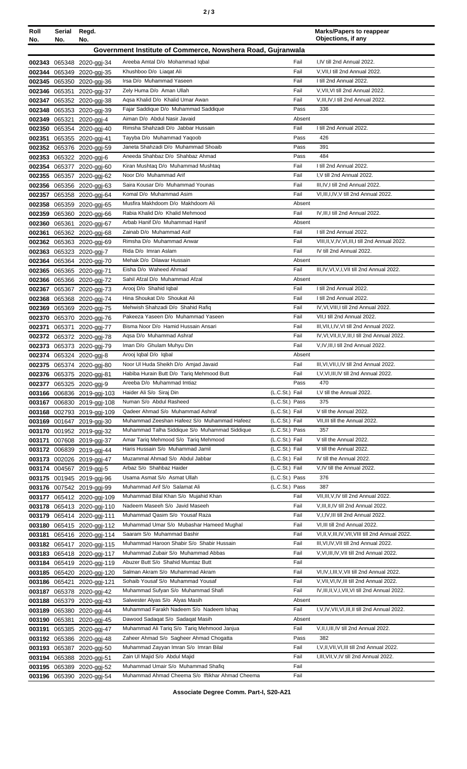|  |  | ×<br>I<br>×<br>۰, |
|--|--|-------------------|
|--|--|-------------------|

| Roll<br>No.      | Serial<br>No. | Regd.<br>No.                                           |                                                                                 |                                  | <b>Marks/Papers to reappear</b><br>Objections, if any                                |
|------------------|---------------|--------------------------------------------------------|---------------------------------------------------------------------------------|----------------------------------|--------------------------------------------------------------------------------------|
|                  |               |                                                        | Government Institute of Commerce, Nowshera Road, Gujranwala                     |                                  |                                                                                      |
|                  |               |                                                        |                                                                                 |                                  |                                                                                      |
|                  |               | 002343 065348 2020-ggj-34                              | Areeba Amtal D/o Mohammad Iqbal<br>Khushboo D/o Liagat Ali                      | Fail<br>Fail                     | I,IV till 2nd Annual 2022.<br>V, VII, I till 2nd Annual 2022.                        |
| 002344           |               | 065349 2020-ggi-35<br>002345 065350 2020-ggj-36        | Irsa D/o Muhammad Yaseen                                                        | Fail                             | I till 2nd Annual 2022.                                                              |
|                  |               | 002346 065351 2020-ggj-37                              | Zely Huma D/o Aman Ullah                                                        | Fail                             | V, VII, VI till 2nd Annual 2022.                                                     |
|                  |               | 002347 065352 2020-ggj-38                              | Agsa Khalid D/o Khalid Umar Awan                                                | Fail                             | V, III, IV, I till 2nd Annual 2022.                                                  |
|                  |               | 002348 065353 2020-ggi-39                              | Fajar Saddique D/o Muhammad Saddique                                            | Pass                             | 336                                                                                  |
|                  |               | 002349 065321 2020-ggj-4                               | Aiman D/o Abdul Nasir Javaid                                                    | Absent                           |                                                                                      |
|                  |               | 002350 065354 2020-ggi-40                              | Rimsha Shahzadi D/o Jabbar Hussain                                              | Fail                             | I till 2nd Annual 2022.                                                              |
| 002351           |               | 065355 2020-ggj-41                                     | Tayyba D/o Muhammad Yaqoob                                                      | Pass                             | 426                                                                                  |
|                  |               | 002352 065376 2020-ggj-59                              | Janeta Shahzadi D/o Muhammad Shoaib                                             | Pass                             | 391                                                                                  |
| 002353           |               | 065322 2020-ggj-6                                      | Aneeda Shahbaz D/o Shahbaz Ahmad                                                | Pass                             | 484                                                                                  |
|                  |               | 002354 065377 2020-ggj-60                              | Kiran Mushtaq D/o Muhammad Mushtaq                                              | Fail                             | I till 2nd Annual 2022.                                                              |
|                  |               | 002355 065357 2020-ggj-62                              | Noor D/o Muhammad Arif<br>Saira Kousar D/o Muhammad Younas                      | Fail<br>Fail                     | I.V till 2nd Annual 2022.<br>III.IV.I till 2nd Annual 2022.                          |
|                  |               | 002356 065356 2020-ggj-63<br>002357 065358 2020-ggj-64 | Komal D/o Muhammad Asim                                                         | Fail                             | VI, III, I, IV, V till 2nd Annual 2022.                                              |
|                  |               | 002358 065359 2020-ggj-65                              | Musfira Makhdoom D/o Makhdoom Ali                                               | Absent                           |                                                                                      |
|                  |               | 002359 065360 2020-ggj-66                              | Rabia Khalid D/o Khalid Mehmood                                                 | Fail                             | IV, III, I till 2nd Annual 2022.                                                     |
| 002360           |               | 065361 2020-ggj-67                                     | Arbab Hanif D/o Muhammad Hanif                                                  | Absent                           |                                                                                      |
| 002361           |               | 065362 2020-ggj-68                                     | Zainab D/o Muhammad Asif                                                        | Fail                             | I till 2nd Annual 2022.                                                              |
|                  |               | 002362 065363 2020-ggj-69                              | Rimsha D/o Muhammad Anwar                                                       | Fail                             | VIII, II, V, IV, VI, III, I till 2nd Annual 2022.                                    |
|                  |               | 002363 065323 2020-ggj-7                               | Rida D/o Imran Aslam                                                            | Fail                             | IV till 2nd Annual 2022.                                                             |
|                  |               | 002364 065364 2020-ggj-70                              | Mehak D/o Dilawar Hussain                                                       | Absent                           |                                                                                      |
|                  |               | 002365 065365 2020-ggj-71                              | Eisha D/o Waheed Ahmad                                                          | Fail                             | III, IV, VI, V, I, VII till 2nd Annual 2022.                                         |
|                  |               | 002366 065366 2020-ggi-72                              | Sahil Afzal D/o Muhammad Afzal                                                  | Absent                           |                                                                                      |
|                  |               | 002367 065367 2020-ggj-73                              | Arooj D/o Shahid Iqbal                                                          | Fail<br>Fail                     | I till 2nd Annual 2022.<br>I till 2nd Annual 2022.                                   |
| 002368           |               | 065368 2020-ggj-74                                     | Hina Shoukat D/o Shoukat Ali<br>Mehwish Shahzadi D/o Shahid Rafiq               | Fail                             | IV, VI, VIII, I till 2nd Annual 2022.                                                |
| 002369           |               | 065369 2020-ggj-75                                     | Pakeeza Yaseen D/o Muhammad Yaseen                                              | Fail                             | VII, I till 2nd Annual 2022.                                                         |
| 002370<br>002371 |               | 065370 2020-ggj-76<br>065371 2020-ggj-77               | Bisma Noor D/o Hamid Hussain Ansari                                             | Fail                             | III, VII, I, IV, VI till 2nd Annual 2022.                                            |
|                  |               | 002372 065372 2020-ggi-78                              | Agsa D/o Muhammad Ashraf                                                        | Fail                             | IV, VI, VII, II, V, III, I till 2nd Annual 2022.                                     |
|                  |               | 002373 065373 2020-ggj-79                              | Iman D/o Ghulam Muhyu Din                                                       | Fail                             | V,IV,III,I till 2nd Annual 2022.                                                     |
|                  |               | 002374 065324 2020-ggi-8                               | Arooj Iqbal D/o Iqbal                                                           | Absent                           |                                                                                      |
|                  |               | 002375 065374 2020-ggj-80                              | Noor UI Huda Sheikh D/o Amjad Javaid                                            | Fail                             | III, VI, VII, I, IV till 2nd Annual 2022.                                            |
|                  |               | 002376 065375 2020-ggj-81                              | Habiba Hurain Butt D/o Tariq Mehmood Butt                                       | Fail                             | I, V, VI, III, IV till 2nd Annual 2022.                                              |
| 002377           |               | 065325 2020-ggi-9                                      | Areeba D/o Muhammad Imtiaz                                                      | Pass                             | 470                                                                                  |
|                  |               | 003166 006836 2019-ggj-103                             | Haider Ali S/o Siraj Din                                                        | (L.C.St.) Fail                   | I.V till the Annual 2022.                                                            |
|                  |               | 003167 006830 2019-ggj-108                             | Numan S/o Abdul Rasheed                                                         | (L.C.St.) Pass                   | 375<br>V till the Annual 2022.                                                       |
|                  |               | 003168 002793 2019-ggj-109                             | Qadeer Ahmad S/o Muhammad Ashraf<br>Muhammad Zeeshan Hafeez S/o Muhammad Hafeez | (L.C.St.) Fail<br>(L.C.St.) Fail | VII, III till the Annual 2022.                                                       |
|                  |               | 003169 001647 2019-ggi-30<br>003170 001952 2019-ggj-32 | Muhammad Talha Siddique S/o Muhammad Siddique                                   | (L.C.St.) Pass                   | 357                                                                                  |
| 003171           |               | 007608 2019-ggj-37                                     | Amar Tariq Mehmood S/o Tariq Mehmood                                            | (L.C.St.) Fail                   | V till the Annual 2022.                                                              |
|                  |               | 003172 006839 2019-ggj-44                              | Haris Hussain S/o Muhammad Jamil                                                | (L.C.St.) Fail                   | V till the Annual 2022.                                                              |
|                  |               | 003173 002026 2019-ggj-47                              | Muzammal Ahmad S/o Abdul Jabbar                                                 | (L.C.St.) Fail                   | IV till the Annual 2022.                                                             |
|                  |               | 003174 004567 2019-ggj-5                               | Arbaz S/o Shahbaz Haider                                                        | (L.C.St.) Fail                   | V, IV till the Annual 2022.                                                          |
|                  |               | 003175 001945 2019-ggj-96                              | Usama Asmat S/o Asmat Ullah                                                     | (L.C.St.) Pass                   | 376                                                                                  |
|                  |               | 003176 007542 2019-ggi-99                              | Muhammad Arif S/o Salamat Ali                                                   | (L.C.St.) Pass                   | 387                                                                                  |
|                  |               | 003177 065412 2020-ggj-109                             | Muhammad Bilal Khan S/o Mujahid Khan                                            | Fail                             | VII, III, V, IV till 2nd Annual 2022.                                                |
|                  |               | 003178 065413 2020-ggi-110                             | Nadeem Maseeh S/o Javid Maseeh                                                  | Fail                             | V, III, II, IV till 2nd Annual 2022.                                                 |
|                  |               | 003179 065414 2020-ggj-111                             | Muhammad Qasim S/o Yousaf Raza                                                  | Fail                             | V,I,IV,III till 2nd Annual 2022.                                                     |
|                  |               | 003180 065415 2020-ggj-112                             | Muhammad Umar S/o Mubashar Hameed Mughal<br>Saaram S/o Muhammad Bashir          | Fail<br>Fail                     | VI, III till 2nd Annual 2022.<br>VI, II, V, III, IV, VII, VIII till 2nd Annual 2022. |
| 003181           |               | 065416 2020-ggj-114<br>003182 065417 2020-ggj-115      | Muhammad Haroon Shabir S/o Shabir Hussain                                       | Fail                             | III, VI, IV, VII till 2nd Annual 2022.                                               |
|                  |               | 003183 065418 2020-ggj-117                             | Muhammad Zubair S/o Muhammad Abbas                                              | Fail                             | V, VI, III, IV, VII till 2nd Annual 2022.                                            |
|                  |               | 003184 065419 2020-ggi-119                             | Abuzer Butt S/o Shahid Mumtaz Butt                                              | Fail                             |                                                                                      |
|                  |               | 003185 065420 2020-ggj-120                             | Salman Akram S/o Muhammad Akram                                                 | Fail                             | VI, IV, I, III, V, VII till 2nd Annual 2022.                                         |
|                  |               | 003186 065421 2020-ggi-121                             | Sohaib Yousaf S/o Muhammad Yousaf                                               | Fail                             | V, VII, VI, IV, III till 2nd Annual 2022.                                            |
|                  |               | 003187 065378 2020-ggi-42                              | Muhammad Sufyan S/o Muhammad Shafi                                              | Fail                             | IV, III, II, V, I, VII, VI till 2nd Annual 2022.                                     |
| 003188           |               | 065379 2020-ggj-43                                     | Salwester Alyas S/o Alyas Masih                                                 | Absent                           |                                                                                      |
| 003189           |               | 065380 2020-ggj-44                                     | Muhammad Farakh Nadeem S/o Nadeem Ishaq                                         | Fail                             | I, V, IV, VII, VI, III, II till 2nd Annual 2022.                                     |
| 003190           | 065381        | 2020-ggi-45                                            | Dawood Sadagat S/o Sadagat Masih                                                | Absent                           |                                                                                      |
| 003191           |               | 065385 2020-ggj-47                                     | Muhammad Ali Tariq S/o Tariq Mehmood Janjua                                     | Fail                             | V, II, I, III, IV till 2nd Annual 2022.                                              |
|                  |               | 003192 065386 2020-ggj-48                              | Zaheer Ahmad S/o Sagheer Ahmad Chogatta                                         | Pass                             | 382                                                                                  |
|                  |               | 003193 065387 2020-ggj-50                              | Muhammad Zayyan Imran S/o Imran Bilal                                           | Fail                             | I, V, II, VII, VI, III till 2nd Annual 2022.                                         |
|                  |               | 003194 065388 2020-ggi-51                              | Zain Ul Majid S/o Abdul Majid<br>Muhammad Umair S/o Muhammad Shafiq             | Fail<br>Fail                     | I, III, VII, V, IV till 2nd Annual 2022.                                             |
|                  |               | 003195 065389 2020-ggj-52                              | Muhammad Ahmad Cheema S/o Iftikhar Ahmad Cheema                                 | Fail                             |                                                                                      |
|                  |               | 003196 065390 2020-ggj-54                              |                                                                                 |                                  |                                                                                      |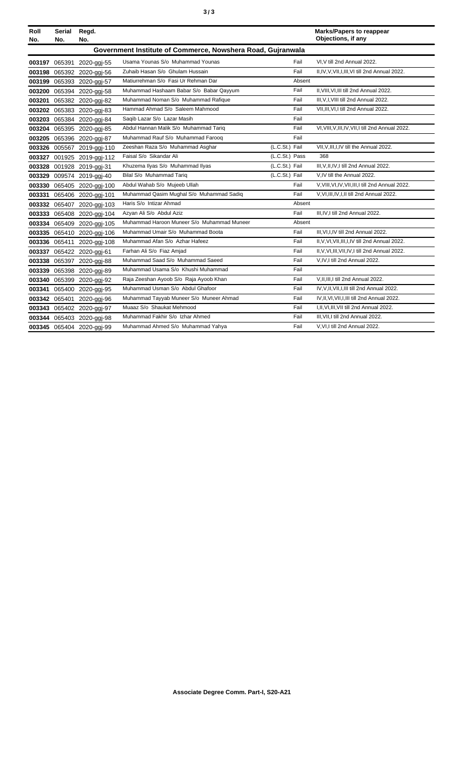| v<br>٠<br>I<br>×<br>۰, | ×<br>٠<br>I<br>۰.<br>× |
|------------------------|------------------------|
|------------------------|------------------------|

| Roll | Serial | Regd.                      |                                                             |                |        | <b>Marks/Papers to reappear</b><br>Objections, if any |
|------|--------|----------------------------|-------------------------------------------------------------|----------------|--------|-------------------------------------------------------|
| No.  | No.    | No.                        |                                                             |                |        |                                                       |
|      |        |                            | Government Institute of Commerce, Nowshera Road, Gujranwala |                |        |                                                       |
|      |        | 003197 065391 2020-ggj-55  | Usama Younas S/o Muhammad Younas                            |                | Fail   | VI.V till 2nd Annual 2022.                            |
|      |        | 003198 065392 2020-ggj-56  | Zuhaib Hasan S/o Ghulam Hussain                             |                | Fail   | II,IV,V,VII,I,III,VI till 2nd Annual 2022.            |
|      |        | 003199 065393 2020-ggj-57  | Matiurrehman S/o Fasi Ur Rehman Dar                         |                | Absent |                                                       |
|      |        | 003200 065394 2020-ggj-58  | Muhammad Hashaam Babar S/o Babar Qayyum                     |                | Fail   | II, VIII, VI, III till 2nd Annual 2022.               |
|      |        | 003201 065382 2020-ggj-82  | Muhammad Noman S/o Muhammad Rafique                         |                | Fail   | III, V, I, VIII till 2nd Annual 2022.                 |
|      |        | 003202 065383 2020-ggj-83  | Hammad Ahmad S/o Saleem Mahmood                             |                | Fail   | VII, III, VI, I till 2nd Annual 2022.                 |
|      |        | 003203 065384 2020-ggj-84  | Saqib Lazar S/o Lazar Masih                                 |                | Fail   |                                                       |
|      |        | 003204 065395 2020-ggj-85  | Abdul Hannan Malik S/o Muhammad Tariq                       |                | Fail   | VI, VIII, V, III, IV, VII, I till 2nd Annual 2022.    |
|      |        | 003205 065396 2020-ggj-87  | Muhammad Rauf S/o Muhammad Farooq                           |                | Fail   |                                                       |
|      |        | 003326 005567 2019-ggj-110 | Zeeshan Raza S/o Muhammad Asghar                            | (L.C.St.) Fail |        | VII, V, III, I, IV till the Annual 2022.              |
|      |        | 003327 001925 2019-ggj-112 | Faisal S/o Sikandar Ali                                     | (L.C.St.) Pass |        | 368                                                   |
|      |        | 003328 001928 2019-ggj-31  | Khuzema Ilyas S/o Muhammad Ilyas                            | (L.C.St.) Fail |        | III, V, II, IV, I till 2nd Annual 2022.               |
|      |        | 003329 009574 2019-ggi-40  | Bilal S/o Muhammad Tariq                                    | (L.C.St.) Fail |        | V.IV till the Annual 2022.                            |
|      |        | 003330 065405 2020-ggj-100 | Abdul Wahab S/o Mujeeb Ullah                                |                | Fail   | V.VIII, VI, IV, VII, III, I till 2nd Annual 2022.     |
|      |        | 003331 065406 2020-ggj-101 | Muhammad Qasim Muqhal S/o Muhammad Sadiq                    |                | Fail   | V, VI, III, IV, I, II till 2nd Annual 2022.           |
|      |        | 003332 065407 2020-ggj-103 | Haris S/o Intizar Ahmad                                     |                | Absent |                                                       |
|      |        | 003333 065408 2020-ggj-104 | Azyan Ali S/o Abdul Aziz                                    |                | Fail   | III, IV, I till 2nd Annual 2022.                      |
|      |        | 003334 065409 2020-ggj-105 | Muhammad Haroon Muneer S/o Muhammad Muneer                  |                | Absent |                                                       |
|      |        | 003335 065410 2020-ggj-106 | Muhammad Umair S/o Muhammad Boota                           |                | Fail   | III, VI, I, IV till 2nd Annual 2022.                  |
|      |        | 003336 065411 2020-ggj-108 | Muhammad Afan S/o Azhar Hafeez                              |                | Fail   | II, V, VI, VII, III, I, IV till 2nd Annual 2022.      |
|      |        | 003337 065422 2020-ggj-61  | Farhan Ali S/o Fiaz Amjad                                   |                | Fail   | II, V, VI, III, VII, IV, I till 2nd Annual 2022.      |
|      |        | 003338 065397 2020-ggj-88  | Muhammad Saad S/o Muhammad Saeed                            |                | Fail   | V, IV, I till 2nd Annual 2022.                        |
|      |        | 003339 065398 2020-ggj-89  | Muhammad Usama S/o Khushi Muhammad                          |                | Fail   |                                                       |
|      |        | 003340 065399 2020-ggj-92  | Raja Zeeshan Ayoob S/o Raja Ayoob Khan                      |                | Fail   | V.II.III.I till 2nd Annual 2022.                      |
|      |        | 003341 065400 2020-ggj-95  | Muhammad Usman S/o Abdul Ghafoor                            |                | Fail   | IV.V.II.VII.I.III till 2nd Annual 2022.               |
|      |        | 003342 065401 2020-ggj-96  | Muhammad Tayyab Muneer S/o Muneer Ahmad                     |                | Fail   | IV, II, VI, VII, I, III till 2nd Annual 2022.         |
|      |        | 003343 065402 2020-ggj-97  | Muaaz S/o Shaukat Mehmood                                   |                | Fail   | I, II, VI, III, VII till 2nd Annual 2022.             |
|      |        | 003344 065403 2020-ggi-98  | Muhammad Fakhir S/o Izhar Ahmed                             |                | Fail   | III, VII, I till 2nd Annual 2022.                     |
|      |        | 003345 065404 2020-ggi-99  | Muhammad Ahmed S/o Muhammad Yahya                           |                | Fail   | V.VI.I till 2nd Annual 2022.                          |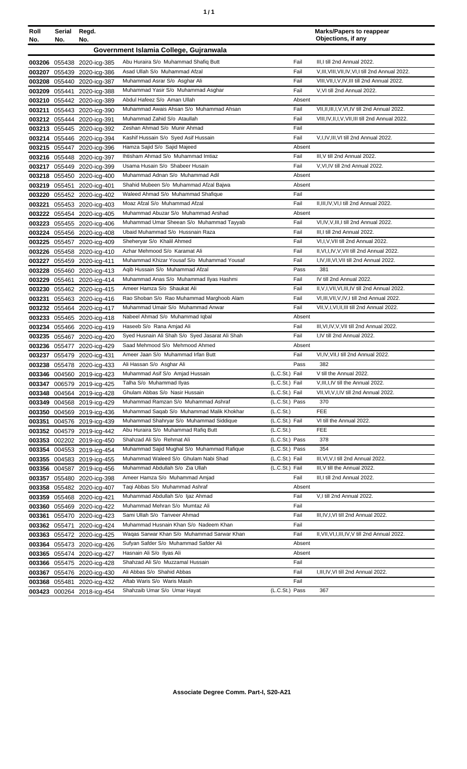| ٠ | ٠ |
|---|---|
|   |   |

| Roll<br>No. | Serial<br>No. | Regd.<br>No.               |                                                 |                | <b>Marks/Papers to reappear</b><br>Objections, if any |
|-------------|---------------|----------------------------|-------------------------------------------------|----------------|-------------------------------------------------------|
|             |               |                            | Government Islamia College, Gujranwala          |                |                                                       |
|             |               | 003206 055438 2020-icg-385 | Abu Huraira S/o Muhammad Shafiq Butt            | Fail           | III, I till 2nd Annual 2022.                          |
|             |               | 003207 055439 2020-icg-386 | Asad Ullah S/o Muhammad Afzal                   | Fail           | V, III, VIII, VII, IV, VI, I till 2nd Annual 2022.    |
|             |               | 003208 055440 2020-icg-387 | Muhammad Asrar S/o Asghar Ali                   | Fail           | VIII, VII, I, V, IV, III till 2nd Annual 2022.        |
| 003209      |               | 055441 2020-icg-388        | Muhammad Yasir S/o Muhammad Asghar              | Fail           | V, VI till 2nd Annual 2022.                           |
| 003210      |               | 055442 2020-icg-389        | Abdul Hafeez S/o Aman Ullah                     | Absent         |                                                       |
| 003211      |               | 055443 2020-icg-390        | Muhammad Awais Ahsan S/o Muhammad Ahsan         | Fail           | VII, II, III, I, V, VI, IV till 2nd Annual 2022.      |
|             |               | 003212 055444 2020-icg-391 | Muhammad Zahid S/o Ataullah                     | Fail           | VIII, IV, II, I, V, VII, III till 2nd Annual 2022.    |
|             |               | 003213 055445 2020-icg-392 | Zeshan Ahmad S/o Munir Ahmad                    | Fail           |                                                       |
|             |               | 003214 055446 2020-icg-394 | Kashif Hussain S/o Syed Asif Hussain            | Fail           | V, I, IV, III, VI till 2nd Annual 2022.               |
|             |               | 003215 055447 2020-icg-396 | Hamza Sajid S/o Sajid Majeed                    | Absent         |                                                       |
|             |               | 003216 055448 2020-icg-397 | Ihtisham Ahmad S/o Muhammad Imtiaz              | Fail           | III, V till 2nd Annual 2022.                          |
|             |               | 003217 055449 2020-icg-399 | Usama Husain S/o Shabeer Husain                 | Fail           | V, VI, IV till 2nd Annual 2022.                       |
|             |               | 003218 055450 2020-icg-400 | Muhammad Adnan S/o Muhammad Adil                | Absent         |                                                       |
|             |               | 003219 055451 2020-icg-401 | Shahid Mubeen S/o Muhammad Afzal Bajwa          | Absent         |                                                       |
|             |               | 003220 055452 2020-icg-402 | Waleed Ahmad S/o Muhammad Shafique              | Fail           |                                                       |
| 003221      |               | 055453 2020-icg-403        | Moaz Afzal S/o Muhammad Afzal                   | Fail           | II, III, IV, VI, I till 2nd Annual 2022.              |
|             |               | 003222 055454 2020-icg-405 | Muhammad Abuzar S/o Muhammad Arshad             | Absent         |                                                       |
|             |               | 003223 055455 2020-icg-406 | Muhammad Umar Sheean S/o Muhammad Tayyab        | Fail           | VI, IV, V, III, I till 2nd Annual 2022.               |
|             |               | 003224 055456 2020-icg-408 | Ubaid Muhammad S/o Hussnain Raza                | Fail           | III, I till 2nd Annual 2022.                          |
| 003225      |               | 055457 2020-icg-409        | Sheheryar S/o Khalil Ahmed                      | Fail           | VI,I, V, VII till 2nd Annual 2022.                    |
|             |               | 003226 055458 2020-icg-410 | Azhar Mehmood S/o Karamat Ali                   | Fail           | II, VI, I, IV, V, VII till 2nd Annual 2022.           |
| 003227      |               | 055459 2020-icg-411        | Muhammad Khizar Yousaf S/o Muhammad Yousaf      | Fail           | I, IV, III, VI, VII till 2nd Annual 2022.             |
|             |               | 003228 055460 2020-icg-413 | Agib Hussain S/o Muhammad Afzal                 | Pass           | 381                                                   |
|             |               | 003229 055461 2020-icg-414 | Muhammad Anas S/o Muhammad Ilyas Hashmi         | Fail           | IV till 2nd Annual 2022.                              |
|             |               | 003230 055462 2020-icg-415 | Ameer Hamza S/o Shaukat Ali                     | Fail           | II, V, I, VII, VI, III, IV till 2nd Annual 2022.      |
| 003231      |               | 055463 2020-icg-416        | Rao Shoban S/o Rao Muhammad Marghoob Alam       | Fail           | VI, III, VII, V, IV, I till 2nd Annual 2022.          |
|             |               | 003232 055464 2020-icg-417 | Muhammad Umair S/o Muhammad Anwar               | Fail           | VII, V, I, VI, II, III till 2nd Annual 2022.          |
|             |               | 003233 055465 2020-icg-418 | Nabeel Ahmad S/o Muhammad Iqbal                 | Absent         |                                                       |
|             |               | 003234 055466 2020-icg-419 | Haseeb S/o Rana Amjad Ali                       | Fail           | III, VI, IV, V, VII till 2nd Annual 2022.             |
|             |               | 003235 055467 2020-icg-420 | Syed Husnain Ali Shah S/o Syed Jasarat Ali Shah | Fail           | I,IV till 2nd Annual 2022.                            |
|             |               | 003236 055477 2020-icg-429 | Saad Mehmood S/o Mehmood Ahmed                  | Absent         |                                                       |
|             |               | 003237 055479 2020-icg-431 | Ameer Jaan S/o Muhammad Irfan Butt              | Fail           | VI, IV, VII, I till 2nd Annual 2022.                  |
|             |               | 003238 055478 2020-ica-433 | Ali Hassan S/o Asghar Ali                       | Pass           | 382                                                   |
|             |               | 003346 004560 2019-icg-423 | Muhammad Asif S/o Amjad Hussain                 | (L.C.St.) Fail | V till the Annual 2022.                               |
|             |               | 003347 006579 2019-icg-425 | Talha S/o Muhammad Ilyas                        | (L.C.St.) Fail | V, III, I, IV till the Annual 2022.                   |
| 003348      |               | 004564 2019-icg-428        | Ghulam Abbas S/o Nasir Hussain                  | (L.C.St.) Fail | VII, VI, V, I, IV till 2nd Annual 2022.               |
| 003349      |               | 004568 2019-icg-429        | Muhammad Ramzan S/o Muhammad Ashraf             | (L.C.St.) Pass | 370                                                   |
| 003350      |               | 004569 2019-icg-436        | Muhammad Saqab S/o Muhammad Malik Khokhar       | (L.C.St.)      | <b>FEE</b>                                            |
| 003351      |               | 004576 2019-icg-439        | Muhammad Shahryar S/o Muhammad Siddique         | (L.C.St.) Fail | VI till the Annual 2022.                              |
|             |               | 003352 004579 2019-icg-442 | Abu Huraira S/o Muhammad Rafiq Butt             | (L.C.St.)      | <b>FEE</b>                                            |
|             |               | 003353 002202 2019-icg-450 | Shahzad Ali S/o Rehmat Ali                      | (L.C.St.) Pass | 378                                                   |
|             |               | 003354 004553 2019-icg-454 | Muhammad Sajid Mughal S/o Muhammad Rafique      | (L.C.St.) Pass | 354                                                   |
|             |               | 003355 004583 2019-icg-455 | Muhammad Waleed S/o Ghulam Nabi Shad            | (L.C.St.) Fail | III, VI, V, I till 2nd Annual 2022.                   |
|             |               | 003356 004587 2019-icg-456 | Muhammad Abdullah S/o Zia Ullah                 | (L.C.St.) Fail | III, V till the Annual 2022.                          |
| 003357      |               | 055480 2020-icg-398        | Ameer Hamza S/o Muhammad Amjad                  | Fail           | III,I till 2nd Annual 2022.                           |
| 003358      |               | 055482 2020-icg-407        | Taqi Abbas S/o Muhammad Ashraf                  | Absent         |                                                       |
| 003359      |               | 055468 2020-icg-421        | Muhammad Abdullah S/o Ijaz Ahmad                | Fail           | V,I till 2nd Annual 2022.                             |
| 003360      |               | 055469 2020-icg-422        | Muhammad Mehran S/o Mumtaz Ali                  | Fail           |                                                       |
| 003361      |               | 055470 2020-icg-423        | Sami Ullah S/o Tanveer Ahmad                    | Fail           | III, IV, I, VI till 2nd Annual 2022.                  |
|             | 003362 055471 | 2020-icg-424               | Muhammad Husnain Khan S/o Nadeem Khan           | Fail           |                                                       |
| 003363      |               | 055472 2020-icg-425        | Waqas Sarwar Khan S/o Muhammad Sarwar Khan      | Fail           | II, VII, VI, I, III, IV, V till 2nd Annual 2022.      |
|             |               | 003364 055473 2020-icg-426 | Sufyan Safder S/o Muhammad Safder Ali           | Absent         |                                                       |
| 003365      |               | 055474 2020-icg-427        | Hasnain Ali S/o Ilyas Ali                       | Absent         |                                                       |
|             |               | 003366 055475 2020-icg-428 | Shahzad Ali S/o Muzzamal Hussain                | Fail           |                                                       |
| 003367      |               | 055476 2020-icg-430        | Ali Abbas S/o Shahid Abbas                      | Fail           | I, III, IV, VI till 2nd Annual 2022.                  |
| 003368      |               | 055481 2020-icg-432        | Aftab Waris S/o Waris Masih                     | Fail           |                                                       |
|             |               | 003423 000264 2018-icg-454 | Shahzaib Umar S/o Umar Hayat                    | (L.C.St.) Pass | 367                                                   |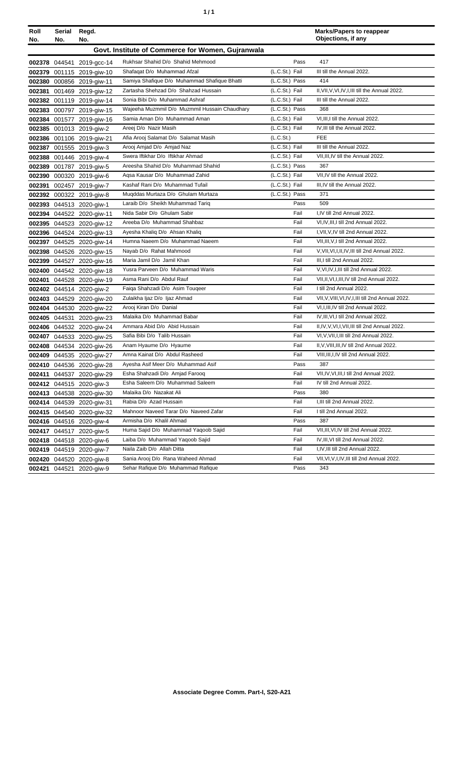| Roll   | <b>Serial</b> | Regd.                     |                                                   |                  | <b>Marks/Papers to reappear</b>                    |
|--------|---------------|---------------------------|---------------------------------------------------|------------------|----------------------------------------------------|
| No.    | No.           | No.                       |                                                   |                  | Objections, if any                                 |
|        |               |                           | Govt. Institute of Commerce for Women, Gujranwala |                  |                                                    |
|        |               | 002378 044541 2019-gcc-14 | Rukhsar Shahid D/o Shahid Mehmood                 | Pass             | 417                                                |
|        |               | 002379 001115 2019-giw-10 | Shafaqat D/o Muhammad Afzal                       | $(L.C.St.)$ Fail | III till the Annual 2022.                          |
|        |               | 002380 000856 2019-giw-11 | Samiya Shafique D/o Muhammad Shafique Bhatti      | (L.C.St.) Pass   | 414                                                |
| 002381 |               | 001469 2019-giw-12        | Zartasha Shehzad D/o Shahzad Hussain              | (L.C.St.) Fail   | II, VII, V, VI, IV, I, III till the Annual 2022.   |
| 002382 |               | 001119 2019-giw-14        | Sonia Bibi D/o Muhammad Ashraf                    | (L.C.St.) Fail   | III till the Annual 2022.                          |
| 002383 |               | 000797 2019-giw-15        | Wajeeha Muzmmil D/o Muzmmil Hussain Chaudhary     | (L.C.St.) Pass   | 368                                                |
|        |               | 002384 001577 2019-giw-16 | Samia Aman D/o Muhammad Aman                      | (L.C.St.) Fail   | VI, III, I till the Annual 2022.                   |
|        |               | 002385 001013 2019-giw-2  | Areej D/o Nazir Masih                             | (L.C.St.) Fail   | IV, III till the Annual 2022.                      |
|        |               | 002386 001106 2019-giw-21 | Afia Arooj Salamat D/o Salamat Masih              | (L.C.St.)        | <b>FEE</b>                                         |
| 002387 |               | 001555 2019-giw-3         | Arooj Amjad D/o Amjad Naz                         | (L.C.St.) Fail   | III till the Annual 2022.                          |
| 002388 |               | 001446 2019-giw-4         | Swera Iftikhar D/o Iftikhar Ahmad                 | (L.C.St.) Fail   | VII, III, IV till the Annual 2022.                 |
| 002389 |               | 001787 2019-giw-5         | Areesha Shahid D/o Muhammad Shahid                | (L.C.St.) Pass   | 367                                                |
| 002390 |               | 000320 2019-giw-6         | Aqsa Kausar D/o Muhammad Zahid                    | (L.C.St.) Fail   | VII, IV till the Annual 2022.                      |
| 002391 |               | 002457 2019-giw-7         | Kashaf Rani D/o Muhammad Tufail                   | (L.C.St.) Fail   | III, IV till the Annual 2022.                      |
|        |               | 002392 000322 2019-giw-8  | Muqddas Murtaza D/o Ghulam Murtaza                | (L.C.St.) Pass   | 371                                                |
|        |               | 002393 044513 2020-giw-1  | Laraib D/o Sheikh Muhammad Tariq                  | Pass             | 509                                                |
|        |               | 002394 044522 2020-giw-11 | Nida Sabir D/o Ghulam Sabir                       | Fail             | I,IV till 2nd Annual 2022.                         |
|        |               | 002395 044523 2020-giw-12 | Areeba D/o Muhammad Shahbaz                       | Fail             | VI, IV, III, I till 2nd Annual 2022.               |
|        |               | 002396 044524 2020-giw-13 | Ayesha Khaliq D/o Ahsan Khaliq                    | Fail             | I, VII, V, IV till 2nd Annual 2022.                |
| 002397 |               | 044525 2020-giw-14        | Humna Naeem D/o Muhammad Naeem                    | Fail             | VII, III, V, I till 2nd Annual 2022.               |
| 002398 |               | 044526 2020-giw-15        | Nayab D/o Rahat Mahmood                           | Fail             | V, VII, VI, I, II, IV, III till 2nd Annual 2022.   |
| 002399 |               | 044527 2020-giw-16        | Maria Jamil D/o Jamil Khan                        | Fail             | III, I till 2nd Annual 2022.                       |
|        |               | 002400 044542 2020-giw-18 | Yusra Parveen D/o Muhammad Waris                  | Fail             | V, VI, IV, I, III till 2nd Annual 2022.            |
|        |               | 002401 044528 2020-giw-19 | Asma Rani D/o Abdul Rauf                          | Fail             | VII, II, VI, I, III, IV till 2nd Annual 2022.      |
|        |               | 002402 044514 2020-giw-2  | Faiga Shahzadi D/o Asim Tougeer                   | Fail             | I till 2nd Annual 2022.                            |
|        |               | 002403 044529 2020-giw-20 | Zulaikha Ijaz D/o Ijaz Ahmad                      | Fail             | VII, V, VIII, VI, IV, I, III till 2nd Annual 2022. |
|        |               | 002404 044530 2020-giw-22 | Arooj Kiran D/o Danial                            | Fail             | VI, I, III, IV till 2nd Annual 2022.               |
|        |               | 002405 044531 2020-giw-23 | Malaika D/o Muhammad Babar                        | Fail             | IV, III, VI, I till 2nd Annual 2022.               |
|        |               | 002406 044532 2020-giw-24 | Ammara Abid D/o Abid Hussain                      | Fail             | II,IV,V,VI,I,VII,III till 2nd Annual 2022.         |
|        |               | 002407 044533 2020-giw-25 | Safia Bibi D/o Talib Hussain                      | Fail             | VI, V, VII, I, III till 2nd Annual 2022.           |
|        |               | 002408 044534 2020-giw-26 | Anam Hyaume D/o Hyaume                            | Fail             | II, V, VIII, III, IV till 2nd Annual 2022.         |
|        |               | 002409 044535 2020-giw-27 | Amna Kainat D/o Abdul Rasheed                     | Fail             | VIII, III, I, IV till 2nd Annual 2022.             |
|        |               | 002410 044536 2020-giw-28 | Ayesha Asif Meer D/o Muhammad Asif                | Pass             | 387                                                |
|        |               | 002411 044537 2020-giw-29 | Esha Shahzadi D/o Amjad Farooq                    | Fail             | VII, IV, VI, III, I till 2nd Annual 2022.          |
|        |               | 002412 044515 2020-giw-3  | Esha Saleem D/o Muhammad Saleem                   | Fail             | IV till 2nd Annual 2022.                           |
|        |               | 002413 044538 2020-giw-30 | Malaika D/o Nazakat Ali                           | Pass             | 380                                                |
|        |               | 002414 044539 2020-giw-31 | Rabia D/o Azad Hussain                            | Fail             | I, III till 2nd Annual 2022.                       |
|        |               | 002415 044540 2020-giw-32 | Mahnoor Naveed Tarar D/o Naveed Zafar             | Fail             | I till 2nd Annual 2022.                            |
|        |               | 002416 044516 2020-giw-4  | Armisha D/o Khalil Ahmad                          | Pass             | 387                                                |
|        |               | 002417 044517 2020-giw-5  | Huma Sajid D/o Muhammad Yaqoob Sajid              | Fail             | VII, III, VI, IV till 2nd Annual 2022.             |
|        |               | 002418 044518 2020-giw-6  | Laiba D/o Muhammad Yaqoob Sajid                   | Fail             | IV, III, VI till 2nd Annual 2022.                  |
|        |               | 002419 044519 2020-giw-7  | Naila Zaib D/o Allah Ditta                        | Fail             | I, IV, III till 2nd Annual 2022.                   |
|        |               | 002420 044520 2020-giw-8  | Sania Arooj D/o Rana Waheed Ahmad                 | Fail             | VII, VI, V, I, IV, III till 2nd Annual 2022.       |
|        |               | 002421 044521 2020-giw-9  | Sehar Rafique D/o Muhammad Rafique                | Pass             | 343                                                |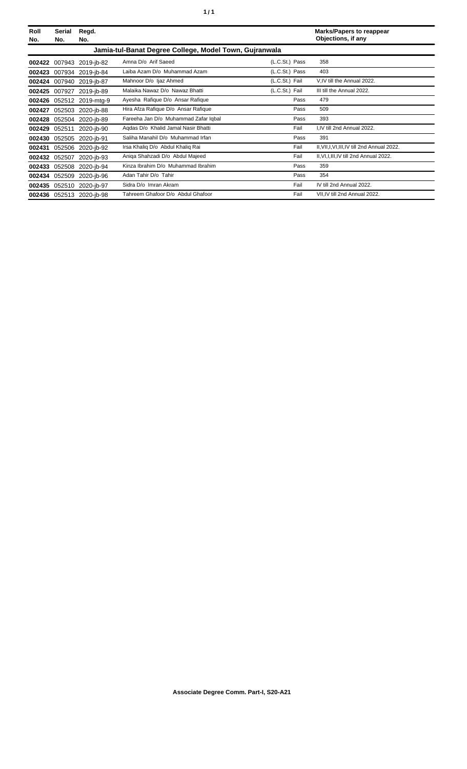| Roll<br>No. | Serial<br>No. | Regd.<br>No.             |                                                        |                | <b>Marks/Papers to reappear</b><br>Objections, if any |
|-------------|---------------|--------------------------|--------------------------------------------------------|----------------|-------------------------------------------------------|
|             |               |                          | Jamia-tul-Banat Degree College, Model Town, Guiranwala |                |                                                       |
|             |               | 002422 007943 2019-jb-82 | Amna D/o Arif Saeed                                    | (L.C.St.) Pass | 358                                                   |
|             |               | 002423 007934 2019-jb-84 | Laiba Azam D/o Muhammad Azam                           | (L.C.St.) Pass | 403                                                   |
| 002424      |               | 007940 2019-ib-87        | Mahnoor D/o Ijaz Ahmed                                 | (L.C.St.) Fail | V, IV till the Annual 2022.                           |
| 002425      | 007927        | 2019-ib-89               | Malaika Nawaz D/o Nawaz Bhatti                         | (L.C.St.) Fail | III till the Annual 2022.                             |
| 002426      |               | 052512 2019-mtg-9        | Ayesha Rafique D/o Ansar Rafique                       | Pass           | 479                                                   |
| 002427      |               | 052503 2020-jb-88        | Hira Afza Rafique D/o Ansar Rafique                    | Pass           | 509                                                   |
| 002428      |               | 052504 2020-jb-89        | Fareeha Jan D/o Muhammad Zafar Iqbal                   | Pass           | 393                                                   |
| 002429      | 052511        | 2020-jb-90               | Agdas D/o Khalid Jamal Nasir Bhatti                    | Fail           | I,IV till 2nd Annual 2022.                            |
| 002430      | 052505        | 2020-ib-91               | Saliha Manahil D/o Muhammad Irfan                      | Pass           | 391                                                   |
| 002431      |               | 052506 2020-jb-92        | Irsa Khaliq D/o Abdul Khaliq Rai                       | Fail           | II, VII, I, VI, III, IV till 2nd Annual 2022.         |
| 002432      | 052507        | 2020-ib-93               | Aniga Shahzadi D/o Abdul Majeed                        | Fail           | II, VI, I, III, IV till 2nd Annual 2022.              |
| 002433      |               | 052508 2020-jb-94        | Kinza Ibrahim D/o Muhammad Ibrahim                     | Pass           | 359                                                   |
| 002434      | 052509        | 2020-ib-96               | Adan Tahir D/o Tahir                                   | Pass           | 354                                                   |
| 002435      |               | 052510 2020-ib-97        | Sidra D/o Imran Akram                                  | Fail           | IV till 2nd Annual 2022.                              |
|             |               | 002436 052513 2020-jb-98 | Tahreem Ghafoor D/o Abdul Ghafoor                      | Fail           | VII, IV till 2nd Annual 2022.                         |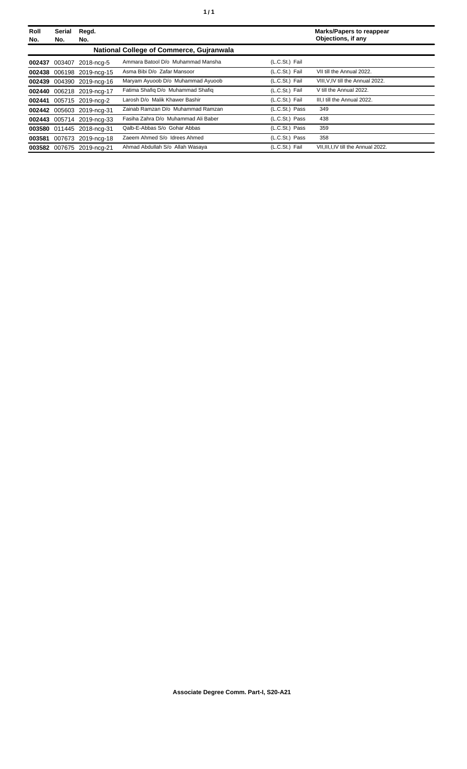| Roll<br>No. | <b>Serial</b><br>No. | Regd.<br>No.              |                                          |                | <b>Marks/Papers to reappear</b><br>Objections, if any |
|-------------|----------------------|---------------------------|------------------------------------------|----------------|-------------------------------------------------------|
|             |                      |                           | National College of Commerce, Gujranwala |                |                                                       |
|             |                      | 002437 003407 2018-ncg-5  | Ammara Batool D/o Muhammad Mansha        | (L.C.St.) Fail |                                                       |
| 002438      |                      | 006198 2019-ncg-15        | Asma Bibi D/o Zafar Mansoor              | (L.C.St.) Fail | VII till the Annual 2022.                             |
| 002439      |                      | 004390 2019-ncg-16        | Maryam Ayuoob D/o Muhammad Ayuoob        | (L.C.St.) Fail | VIII, V, IV till the Annual 2022.                     |
| 002440      |                      | 006218 2019-ncg-17        | Fatima Shafiq D/o Muhammad Shafiq        | (L.C.St.) Fail | V till the Annual 2022.                               |
| 002441      |                      | 005715 2019-nca-2         | Larosh D/o Malik Khawer Bashir           | (L.C.St.) Fail | III.I till the Annual 2022.                           |
| 002442      |                      | 005603 2019-ncg-31        | Zainab Ramzan D/o Muhammad Ramzan        | (L.C.St.) Pass | 349                                                   |
|             |                      | 002443 005714 2019-ncg-33 | Fasiha Zahra D/o Muhammad Ali Baber      | (L.C.St.) Pass | 438                                                   |
|             |                      | 003580 011445 2018-ncg-31 | Qalb-E-Abbas S/o Gohar Abbas             | (L.C.St.) Pass | 359                                                   |
| 003581      |                      | 007673 2019-ncg-18        | Zaeem Ahmed S/o Idrees Ahmed             | (L.C.St.) Pass | 358                                                   |
| 003582      |                      | 007675 2019-ncg-21        | Ahmad Abdullah S/o Allah Wasaya          | (L.C.St.) Fail | VII, III, I, IV till the Annual 2022.                 |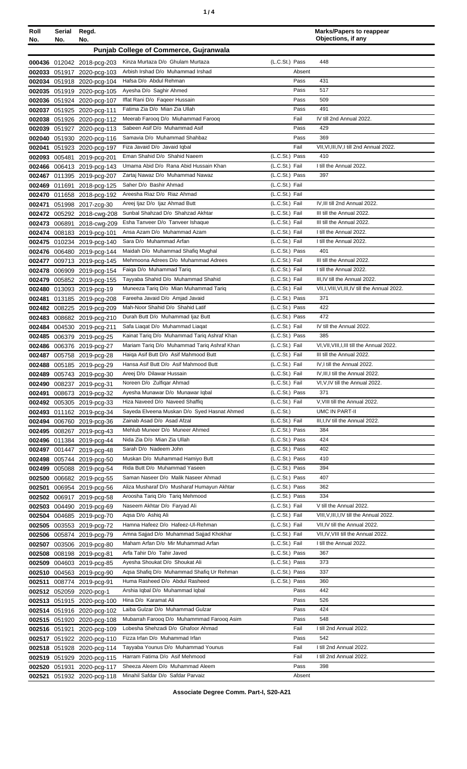| Roll<br>No. | <b>Serial</b><br>No. | Regd.<br>No.                                             |                                                                                |                                  | <b>Marks/Papers to reappear</b><br>Objections, if any    |
|-------------|----------------------|----------------------------------------------------------|--------------------------------------------------------------------------------|----------------------------------|----------------------------------------------------------|
|             |                      |                                                          | Punjab College of Commerce, Gujranwala                                         |                                  |                                                          |
|             |                      | 000436 012042 2018-pcg-203                               | Kinza Murtaza D/o Ghulam Murtaza                                               | (L.C.St.) Pass                   | 448                                                      |
|             |                      | 002033 051917 2020-pcg-103                               | Arbish Irshad D/o Muhammad Irshad                                              | Absent                           |                                                          |
|             |                      | 002034 051918 2020-pcg-104                               | Hafsa D/o Abdul Rehman                                                         | Pass                             | 431                                                      |
|             |                      | 002035 051919 2020-pcg-105                               | Ayesha D/o Saghir Ahmed                                                        | Pass                             | 517                                                      |
|             |                      | 002036 051924 2020-pcg-107                               | Iffat Rani D/o Faqeer Hussain                                                  | Pass                             | 509                                                      |
|             |                      | 002037 051925 2020-pcg-111                               | Fatima Zia D/o Mian Zia Ullah                                                  | Pass                             | 491                                                      |
|             |                      | 002038 051926 2020-pcg-112                               | Meerab Farooq D/o Miuhammad Farooq                                             | Fail                             | IV till 2nd Annual 2022.                                 |
|             |                      | 002039 051927 2020-pcg-113                               | Sabeen Asif D/o Muhammad Asif                                                  | Pass                             | 429                                                      |
|             |                      | 002040 051930 2020-pcg-116                               | Samavia D/o Muhammad Shahbaz                                                   | Pass                             | 369                                                      |
| 002041      |                      | 051923 2020-pcg-197                                      | Fiza Javaid D/o Javaid Iqbal<br>Eman Shahid D/o Shahid Naeem                   | Fail<br>(L.C.St.) Pass           | VII, VI, III, IV, I till 2nd Annual 2022.<br>410         |
|             |                      | 002093 005481 2019-pcg-201<br>002466 006413 2019-pcg-143 | Umama Abid D/o Rana Abid Hussain Khan                                          | (L.C.St.) Fail                   | I till the Annual 2022.                                  |
|             |                      | 002467 011395 2019-pcg-207                               | Zartaj Nawaz D/o Muhammad Nawaz                                                | (L.C.St.) Pass                   | 397                                                      |
|             |                      | 002469 011691 2018-pcg-125                               | Saher D/o Bashir Ahmad                                                         | (L.C.St.) Fail                   |                                                          |
|             |                      | 002470 011658 2018-pcg-192                               | Areesha Riaz D/o Riaz Ahmad                                                    | (L.C.St.) Fail                   |                                                          |
| 002471      |                      | 051998 2017-zcg-30                                       | Areej Ijaz D/o Ijaz Ahmad Butt                                                 | (L.C.St.) Fail                   | IV, III till 2nd Annual 2022.                            |
|             |                      | 002472 005292 2018-cwg-208                               | Sunbal Shahzad D/o Shahzad Akhtar                                              | (L.C.St.) Fail                   | III till the Annual 2022.                                |
|             |                      | 002473 006891 2018-cwg-209                               | Esha Tanveer D/o Tanveer Ishaque                                               | (L.C.St.) Fail                   | III till the Annual 2022.                                |
|             |                      | 002474 008183 2019-pcg-101                               | Ansa Azam D/o Muhammad Azam                                                    | (L.C.St.) Fail                   | I till the Annual 2022.                                  |
|             |                      | 002475 010234 2019-pcg-140                               | Sara D/o Muhammad Arfan                                                        | (L.C.St.) Fail                   | I till the Annual 2022.                                  |
|             |                      | 002476 006480 2019-pcg-144                               | Maidah D/o Muhammad Shafiq Mughal<br>Mehmoona Adrees D/o Muhammad Adrees       | (L.C.St.) Pass<br>(L.C.St.) Fail | 401<br>III till the Annual 2022.                         |
|             |                      | 002477 009713 2019-pcg-145<br>002478 006909 2019-pcg-154 | Faiga D/o Muhammad Tarig                                                       | (L.C.St.) Fail                   | I till the Annual 2022.                                  |
|             |                      | 002479 005852 2019-pcg-155                               | Tayyaba Shahid D/o Muhammad Shahid                                             | (L.C.St.) Fail                   | III, IV till the Annual 2022.                            |
|             |                      | 002480 013093 2019-pcg-19                                | Muneeza Tariq D/o Mian Muhammad Tariq                                          | (L.C.St.) Fail                   | VII, I, VIII, VI, III, IV till the Annual 2022.          |
|             |                      | 002481 013185 2019-pcg-208                               | Fareeha Javaid D/o Amjad Javaid                                                | (L.C.St.) Pass                   | 371                                                      |
|             |                      | 002482 008225 2019-pcg-209                               | Mah-Noor Shahid D/o Shahid Latif                                               | (L.C.St.) Pass                   | 422                                                      |
|             |                      | 002483 008682 2019-pcg-210                               | Durah Butt D/o Muhammad Ijaz Butt                                              | (L.C.St.) Pass                   | 472                                                      |
|             |                      | 002484 004530 2019-pcg-211                               | Safa Liagat D/o Muhammad Liagat                                                | (L.C.St.) Fail                   | IV till the Annual 2022.                                 |
|             |                      | 002485 006379 2019-pcg-25                                | Kainat Tariq D/o Muhammad Tariq Ashraf Khan                                    | (L.C.St.) Pass                   | 385                                                      |
|             |                      | 002486 006376 2019-pcg-27                                | Mariam Tariq D/o Muhammad Tariq Ashraf Khan                                    | (L.C.St.) Fail                   | VI, VII, VIII, I, III till the Annual 2022.              |
|             |                      | 002487 005758 2019-pcg-28                                | Haiga Asif Butt D/o Asif Mahmood Butt<br>Hansa Asif Butt D/o Asif Mahmood Butt | (L.C.St.) Fail<br>(L.C.St.) Fail | III till the Annual 2022.<br>IV, I till the Annual 2022. |
|             |                      | 002488 005185 2019-pcg-29<br>002489 005743 2019-pcg-30   | Areej D/o Dilawar Hussain                                                      | (L.C.St.) Fail                   | IV, III, I till the Annual 2022.                         |
|             |                      | 002490 008237 2019-pcg-31                                | Noreen D/o Zulfigar Ahmad                                                      | (L.C.St.) Fail                   | VI, V, IV till the Annual 2022.                          |
|             |                      | 002491 008673 2019-pcg-32                                | Ayesha Munawar D/o Munawar Iqbal                                               | (L.C.St.) Pass                   | 371                                                      |
|             |                      | 002492 005305 2019-pcg-33                                | Hiza Naveed D/o Naveed Shaffiq                                                 | (L.C.St.) Fail                   | V, VIII till the Annual 2022.                            |
|             |                      | 002493 011162 2019-pcg-34                                | Sayeda Elveena Muskan D/o Syed Hasnat Ahmed                                    | (L.C.S <sub>t</sub> )            | UMC IN PART-II                                           |
|             |                      | 002494 006760 2019-pcg-36                                | Zainab Asad D/o Asad Afzal                                                     | (L.C.St.) Fail                   | III, I, IV till the Annual 2022.                         |
|             |                      | 002495 008267 2019-pcg-43                                | Mehlub Muneer D/o Muneer Ahmed                                                 | (L.C.St.) Pass                   | 384                                                      |
|             |                      | 002496 011384 2019-pcg-44                                | Nida Zia D/o Mian Zia Ullah                                                    | (L.C.St.) Pass                   | 424                                                      |
|             |                      | 002497 001447 2019-pcg-48                                | Sarah D/o Nadeem John<br>Muskan D/o Muhammad Hamiyo Butt                       | (L.C.St.) Pass<br>(L.C.St.) Pass | 402<br>410                                               |
|             |                      | 002498 005744 2019-pcg-50                                | Rida Butt D/o Muhammad Yaseen                                                  | (L.C.St.) Pass                   | 394                                                      |
|             |                      | 002499 005088 2019-pcg-54<br>002500 006682 2019-pcg-55   | Saman Naseer D/o Malik Naseer Ahmad                                            | (L.C.St.) Pass                   | 407                                                      |
|             |                      | 002501 006954 2019-pcg-56                                | Aliza Musharaf D/o Musharaf Humayun Akhtar                                     | (L.C.St.) Pass                   | 362                                                      |
|             |                      | 002502 006917 2019-pcg-58                                | Aroosha Tariq D/o Tariq Mehmood                                                | (L.C.St.) Pass                   | 334                                                      |
|             |                      | 002503 004490 2019-pcg-69                                | Naseem Akhtar D/o Faryad Ali                                                   | (L.C.St.) Fail                   | V till the Annual 2022.                                  |
|             |                      | 002504 004685 2019-pcg-70                                | Agsa D/o Ashig Ali                                                             | (L.C.St.) Fail                   | VIII, V, III, I, IV till the Annual 2022.                |
|             |                      | 002505 003553 2019-pcg-72                                | Hamna Hafeez D/o Hafeez-UI-Rehman                                              | (L.C.St.) Fail                   | VII, IV till the Annual 2022.                            |
|             |                      | 002506 005874 2019-pcg-79                                | Amna Sajjad D/o Muhammad Sajjad Khokhar                                        | (L.C.St.) Fail                   | VII, IV, VIII till the Annual 2022.                      |
|             |                      | 002507 003506 2019-pcg-80                                | Maham Arfan D/o Mir Muhammad Arfan                                             | (L.C.St.) Fail                   | I till the Annual 2022.                                  |
|             |                      | 002508 008198 2019-pcg-81                                | Arfa Tahir D/o Tahir Javed                                                     | (L.C.St.) Pass<br>(L.C.St.) Pass | 367<br>373                                               |
|             |                      | 002509 004603 2019-pcg-85                                | Ayesha Shoukat D/o Shoukat Ali<br>Agsa Shafiq D/o Muhammad Shafiq Ur Rehman    | (L.C.St.) Pass                   | 337                                                      |
|             |                      | 002510 004563 2019-pcg-90<br>002511 008774 2019-pcg-91   | Huma Rasheed D/o Abdul Rasheed                                                 | (L.C.St.) Pass                   | 360                                                      |
|             |                      | 002512 052059 2020-pcg-1                                 | Arshia Iqbal D/o Muhammad Iqbal                                                | Pass                             | 442                                                      |
|             |                      | 002513 051915 2020-pcg-100                               | Hina D/o Karamat Ali                                                           | Pass                             | 526                                                      |
|             |                      | 002514 051916 2020-pcg-102                               | Laiba Gulzar D/o Muhammad Gulzar                                               | Pass                             | 424                                                      |
|             |                      | 002515 051920 2020-pcg-108                               | Mubarrah Faroog D/o Muhammmad Faroog Asim                                      | Pass                             | 548                                                      |
|             |                      | 002516 051921 2020-pcg-109                               | Lobesha Shehzadi D/o Ghafoor Ahmad                                             | Fail                             | I till 2nd Annual 2022.                                  |
|             |                      | 002517 051922 2020-pcg-110                               | Fizza Irfan D/o Muhammad Irfan                                                 | Pass                             | 542                                                      |
|             |                      | 002518 051928 2020-pcg-114                               | Tayyaba Younus D/o Muhammad Younus                                             | Fail                             | I till 2nd Annual 2022.                                  |
|             |                      | 002519 051929 2020-pcg-115                               | Harram Fatima D/o Asif Mehmood                                                 | Fail                             | I till 2nd Annual 2022.                                  |
|             |                      | 002520 051931 2020-pcg-117                               | Sheeza Aleem D/o Muhammad Aleem                                                | Pass                             | 398                                                      |
|             |                      | 002521 051932 2020-pcg-118                               | Minahil Safdar D/o Safdar Parvaiz                                              | Absent                           |                                                          |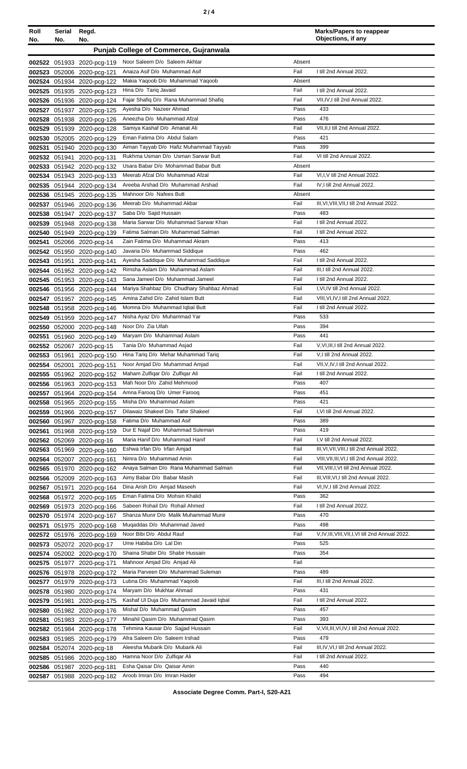| Roll<br>No.      | Serial<br>No. | Regd.<br>No.                               |                                                                               |              | <b>Marks/Papers to reappear</b><br>Objections, if any                    |
|------------------|---------------|--------------------------------------------|-------------------------------------------------------------------------------|--------------|--------------------------------------------------------------------------|
|                  |               |                                            | <b>Punjab College of Commerce, Gujranwala</b>                                 |              |                                                                          |
|                  |               | 002522 051933 2020-pcg-119                 | Noor Saleem D/o Saleem Akhtar                                                 | Absent       |                                                                          |
| 002523           |               | 052006 2020-pcg-121                        | Anaiza Asif D/o Muhammad Asif                                                 | Fail         | I till 2nd Annual 2022.                                                  |
| 002524           |               | 051934 2020-pcg-122                        | Makia Yaqoob D/o Muhammad Yaqoob                                              | Absent       |                                                                          |
| 002525           |               | 051935 2020-pcg-123                        | Hina D/o Tariq Javaid                                                         | Fail         | I till 2nd Annual 2022.                                                  |
|                  |               | 002526 051936 2020-pcg-124                 | Fajar Shafiq D/o Rana Muhammad Shafiq                                         | Fail         | VII,IV,I till 2nd Annual 2022.                                           |
| 002527           |               | 051937 2020-pcg-125                        | Ayesha D/o Nazeer Ahmad                                                       | Pass         | 433                                                                      |
| 002528           |               | 051938 2020-pcg-126                        | Aneezha D/o Muhammad Afzal                                                    | Pass         | 476                                                                      |
| 002529           |               | 051939 2020-pcg-128                        | Samiya Kashaf D/o Amanat Ali                                                  | Fail         | VII, II, I till 2nd Annual 2022.                                         |
| 002530           |               | 052005 2020-pcg-129                        | Eman Fatima D/o Abdul Salam<br>Aiman Tayyab D/o Hafiz Muhammad Tayyab         | Pass<br>Pass | 421<br>399                                                               |
| 002531<br>002532 |               | 051940 2020-pcg-130                        | Rukhma Usman D/o Usman Sarwar Butt                                            | Fail         | VI till 2nd Annual 2022.                                                 |
| 002533           | 051941        | 2020-pcg-131<br>051942 2020-pcg-132        | Usara Babar D/o Mohammad Babar Butt                                           | Absent       |                                                                          |
| 002534           |               | 051943 2020-pcg-133                        | Meerab Afzal D/o Muhammad Afzal                                               | Fail         | VI,I, V till 2nd Annual 2022.                                            |
| 002535           |               | 051944 2020-pcg-134                        | Areeba Arshad D/o Muhammad Arshad                                             | Fail         | IV, I till 2nd Annual 2022.                                              |
|                  |               | 002536 051945 2020-pcg-135                 | Mahnoor D/o Nafees Butt                                                       | Absent       |                                                                          |
| 002537           |               | 051946 2020-pcg-136                        | Meerab D/o Muhammad Akbar                                                     | Fail         | III, VI, VIII, VII, I till 2nd Annual 2022.                              |
| 002538           |               | 051947 2020-pcg-137                        | Saba D/o Sajid Hussain                                                        | Pass         | 483                                                                      |
| 002539           |               | 051948 2020-pcg-138                        | Maria Sarwar D/o Muhammad Sarwar Khan                                         | Fail         | I till 2nd Annual 2022.                                                  |
| 002540           |               | 051949 2020-pcg-139                        | Fatima Salman D/o Muhammad Salman                                             | Fail         | I till 2nd Annual 2022.                                                  |
| 002541           |               | 052066 2020-pcg-14                         | Zain Fatima D/o Muhammad Akram                                                | Pass         | 413                                                                      |
| 002542           |               | 051950 2020-pcg-140                        | Javaria D/o Muhammad Siddique                                                 | Pass         | 462                                                                      |
| 002543           |               | 051951 2020-pcg-141                        | Ayesha Saddique D/o Muhammad Saddique                                         | Fail         | I till 2nd Annual 2022.                                                  |
| 002544           |               | 051952 2020-pcg-142                        | Rimsha Aslam D/o Muhammad Aslam                                               | Fail         | III,I till 2nd Annual 2022.                                              |
|                  |               | 002545 051953 2020-pcg-143                 | Sana Jameel D/o Muhammad Jameel                                               | Fail         | I till 2nd Annual 2022.                                                  |
| 002546           |               | 051956 2020-pcg-144                        | Mariya Shahbaz D/o Chudhary Shahbaz Ahmad<br>Amina Zahid D/o Zahid Islam Butt | Fail<br>Fail | I, VI, IV till 2nd Annual 2022.<br>VIII, VI, IV, I till 2nd Annual 2022. |
| 002547<br>002548 |               | 051957 2020-pcg-145<br>051958 2020-pcg-146 | Momna D/o Muhammad Iqbal Butt                                                 | Fail         | I till 2nd Annual 2022.                                                  |
| 002549           |               | 051959 2020-pcg-147                        | Nisha Ayaz D/o Muhammad Yar                                                   | Pass         | 533                                                                      |
| 002550           |               | 052000 2020-pcg-148                        | Noor D/o Zia Ullah                                                            | Pass         | 394                                                                      |
| 002551           |               | 051960 2020-pcg-149                        | Maryam D/o Muhammad Aslam                                                     | Pass         | 441                                                                      |
|                  |               | 002552 052067 2020-pcg-15                  | Tania D/o Muhammad Asjad                                                      | Fail         | V, VI, III, I till 2nd Annual 2022.                                      |
|                  | 002553 051961 | 2020-pcg-150                               | Hina Tariq D/o Mehar Muhammad Tariq                                           | Fail         | V,I till 2nd Annual 2022.                                                |
|                  |               | 002554 052001 2020-pcg-151                 | Noor Amjad D/o Muhammad Amjad                                                 | Fail         | VII, V, IV, I till 2nd Annual 2022.                                      |
|                  |               | 002555 051962 2020-pcg-152                 | Maham Zulfigar D/o Zulfigar Ali                                               | Fail         | I till 2nd Annual 2022.                                                  |
| 002556           |               | 051963 2020-pcg-153                        | Mah Noor D/o Zahid Mehmood                                                    | Pass         | 407                                                                      |
| 002557           |               | 051964 2020-pcg-154                        | Amna Faroog D/o Umer Faroog                                                   | Pass         | 451                                                                      |
| 002558           |               | 051965 2020-pcg-155                        | Misha D/o Muhammad Aslam                                                      | Pass         | 421                                                                      |
| 002559           |               | 051966 2020-pcg-157                        | Dilawaiz Shakeel D/o Tahir Shakeel                                            | Fail         | I, VI till 2nd Annual 2022.                                              |
| 002560           |               | 051967 2020-pcg-158                        | Fatima D/o Muhammad Asif<br>Dur E Najaf D/o Muhammad Suleman                  | Pass<br>Pass | 389<br>419                                                               |
| 002561           |               | 051968 2020-pcg-159                        | Maria Hanif D/o Muhammad Hanif                                                | Fail         | I, V till 2nd Annual 2022.                                               |
| 002563           | 002562 052069 | 2020-pcg-16<br>051969 2020-pcg-160         | Eshwa Irfan D/o Irfan Amjad                                                   | Fail         | III, VI, VII, VIII, I till 2nd Annual 2022.                              |
| 002564           |               | 052007 2020-pcg-161                        | Nimra D/o Muhammad Amin                                                       | Fail         | VIII, VII, III, VI, I till 2nd Annual 2022.                              |
| 002565           |               | 051970 2020-pcg-162                        | Anaya Salman D/o Rana Muhammad Salman                                         | Fail         | VII, VIII, I, VI till 2nd Annual 2022.                                   |
|                  |               | 002566 052009 2020-pcg-163                 | Aimy Babar D/o Babar Masih                                                    | Fail         | III, VIII, VI, I till 2nd Annual 2022.                                   |
| 002567           | 051971        | 2020-pcg-164                               | Dina Arish D/o Amjad Maseeh                                                   | Fail         | VI,IV,I till 2nd Annual 2022.                                            |
|                  |               | 002568 051972 2020-pcg-165                 | Eman Fatima D/o Mohsin Khalid                                                 | Pass         | 362                                                                      |
| 002569           |               | 051973 2020-pcg-166                        | Sabeen Rohail D/o Rohail Ahmed                                                | Fail         | I till 2nd Annual 2022.                                                  |
| 002570           |               | 051974 2020-pcg-167                        | Shanza Munir D/o Malik Muhammad Munir                                         | Pass         | 470                                                                      |
| 002571           |               | 051975 2020-pcg-168                        | Muqaddas D/o Muhammad Javed                                                   | Pass         | 498                                                                      |
| 002572           |               | 051976 2020-pcg-169                        | Noor Bibi D/o Abdul Rauf                                                      | Fail         | V,IV,III,VIII,VII,I,VI till 2nd Annual 2022.                             |
| 002573           |               | 052072 2020-pcg-17                         | Ume Habiba D/o Lal Din                                                        | Pass         | 525                                                                      |
| 002574           |               | 052002 2020-pcg-170                        | Shaina Shabir D/o Shabir Hussain                                              | Pass         | 354                                                                      |
|                  |               | 002575 051977 2020-pcg-171                 | Mahnoor Amjad D/o Amjad Ali                                                   | Fail         |                                                                          |
|                  |               | 002576 051978 2020-pcg-172                 | Maria Parveen D/o Muhammad Suleman                                            | Pass         | 489                                                                      |
| 002577           |               | 051979 2020-pcg-173                        | Lubna D/o Muhammad Yaqoob                                                     | Fail         | III, I till 2nd Annual 2022.<br>431                                      |
| 002578           | 051980        | 2020-pcg-174                               | Maryam D/o Mukhtar Ahmad<br>Kashaf Ul Duja D/o Muhammad Javaid Iqbal          | Pass<br>Fail | I till 2nd Annual 2022.                                                  |
| 002579<br>002580 | 051981        | 2020-pcg-175<br>051982 2020-pcg-176        | Mishal D/o Muhammad Qasim                                                     | Pass         | 457                                                                      |
| 002581           |               | 051983 2020-pcg-177                        | Minahil Qasim D/o Muhammad Qasim                                              | Pass         | 393                                                                      |
|                  |               | 002582 051984 2020-pcg-178                 | Tehmina Kausar D/o Sajjad Hussain                                             | Fail         | V, VII, III, VI, IV, I till 2nd Annual 2022.                             |
| 002583           |               | 051985 2020-pcg-179                        | Afra Saleem D/o Saleem Irshad                                                 | Pass         | 479                                                                      |
| 002584           |               | 052074 2020-pcg-18                         | Aleesha Mubarik D/o Mubarik Ali                                               | Fail         | III, IV, VI, I till 2nd Annual 2022.                                     |
|                  |               | 002585 051986 2020-pcg-180                 | Hamna Noor D/o Zulfiqar Ali                                                   | Fail         | I till 2nd Annual 2022.                                                  |
|                  |               | 002586 051987 2020-pcg-181                 | Esha Qaisar D/o Qaisar Amin                                                   | Pass         | 440                                                                      |

**Associate Degree Comm. Part-I, S20-A21**

Pass

494

**002587** 051988 2020-pcg-182 Aroob Imran D/o Imran Haider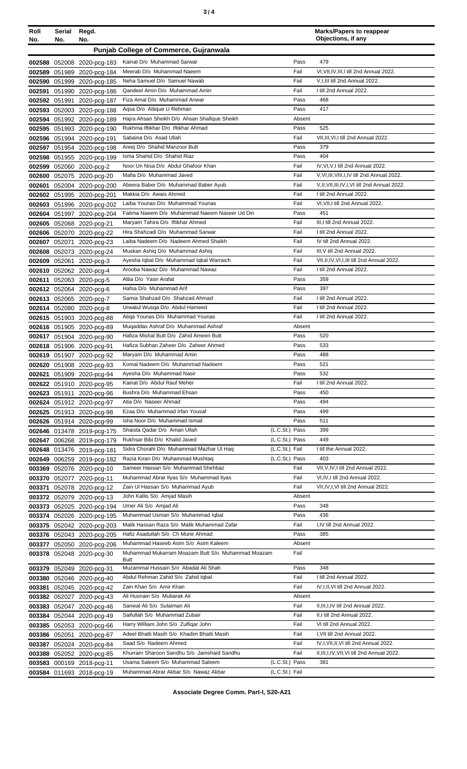| ×<br>٠<br>I<br>۰.<br>× |  |  |
|------------------------|--|--|
|------------------------|--|--|

| Roll   | Serial<br>No. | Regd.<br>No.                                             |                                                                           |                                  |              | <b>Marks/Papers to reappear</b><br>Objections, if any |
|--------|---------------|----------------------------------------------------------|---------------------------------------------------------------------------|----------------------------------|--------------|-------------------------------------------------------|
| No.    |               |                                                          |                                                                           |                                  |              |                                                       |
|        |               |                                                          | <b>Punjab College of Commerce, Gujranwala</b>                             |                                  |              |                                                       |
|        |               | 002588 052008 2020-pcg-183                               | Kainat D/o Muhammad Sarwar                                                |                                  | Pass         | 479                                                   |
|        |               | 002589 051989 2020-pcg-184                               | Meerab D/o Muhammad Naeem                                                 |                                  | Fail         | VI, VII, IV, III, I till 2nd Annual 2022.             |
|        |               | 002590 051999 2020-pcg-185                               | Neha Samuel D/o Samuel Nawab                                              |                                  | Fail         | V.I.III till 2nd Annual 2022.                         |
| 002591 |               | 051990 2020-pcg-186                                      | Qandeel Amin D/o Muhammad Amin<br>Fiza Amal D/o Muhammad Anwar            |                                  | Fail         | I till 2nd Annual 2022.<br>468                        |
|        | 002592 051991 | 2020-pcg-187                                             | Agsa D/o Attique U Rehman                                                 |                                  | Pass<br>Pass | 417                                                   |
|        |               | 002593 052003 2020-pcg-188<br>002594 051992 2020-pcg-189 | Hajra Ahsan Sheikh D/o Ahsan Shafique Sheikh                              |                                  | Absent       |                                                       |
|        |               |                                                          | Rukhma Iftikhar D/o Iftikhar Ahmad                                        |                                  | Pass         | 525                                                   |
|        |               | 002595 051993 2020-pcg-190<br>002596 051994 2020-pcg-191 | Sabaina D/o Asad Ullah                                                    |                                  | Fail         | VII, III, VI, I till 2nd Annual 2022.                 |
|        |               | 002597 051954 2020-pcg-198                               | Areej D/o Shahid Manzoor Butt                                             |                                  | Pass         | 379                                                   |
|        |               | 002598 051955 2020-pcg-199                               | Isma Shahid D/o Shahid Riaz                                               |                                  | Pass         | 404                                                   |
| 002599 |               | 052060 2020-pcg-2                                        | Noor Un Nisa D/o Abdul Ghafoor Khan                                       |                                  | Fail         | IV, VI, V, I till 2nd Annual 2022.                    |
| 002600 |               | 052075 2020-pcg-20                                       | Mafia D/o Muhammad Javed                                                  |                                  | Fail         | V, VI, III, VIII, I, IV till 2nd Annual 2022.         |
| 002601 |               | 052004 2020-pcg-200                                      | Abeera Baber D/o Muhammad Baber Ayub                                      |                                  | Fail         | V, II, VII, III, IV, I, VI till 2nd Annual 2022.      |
|        |               | 002602 051995 2020-pcg-201                               | Makkia D/o Awais Ahmed                                                    |                                  | Fail         | I till 2nd Annual 2022.                               |
|        |               | 002603 051996 2020-pcg-202                               | Laiba Younas D/o Muhammad Younas                                          |                                  | Fail         | VI, VII, I till 2nd Annual 2022.                      |
|        |               | 002604 051997 2020-pcg-204                               | Fatima Naeem D/o Muhammad Naeem Naseer Ud Din                             |                                  | Pass         | 451                                                   |
|        |               | 002605 052068 2020-pcg-21                                | Maryam Tahira D/o Iftikhar Ahmed                                          |                                  | Fail         | III, I till 2nd Annual 2022.                          |
|        |               | 002606 052070 2020-pcg-22                                | Hira Shahzadi D/o Muhammad Sarwar                                         |                                  | Fail         | I till 2nd Annual 2022.                               |
| 002607 | 052071        | 2020-pcg-23                                              | Laiba Nadeem D/o Nadeem Ahmed Shaikh                                      |                                  | Fail         | IV till 2nd Annual 2022.                              |
| 002608 |               | 052073 2020-pcg-24                                       | Muskan Ashiq D/o Muhammad Ashiq                                           |                                  | Fail         | III, V till 2nd Annual 2022.                          |
|        |               | 002609 052061 2020-pcg-3                                 | Ayesha Iqbal D/o Muhammad Iqbal Warraich                                  |                                  | Fail         | VII, II, IV, VI, I, III till 2nd Annual 2022.         |
|        |               | 002610 052062 2020-pcg-4                                 | Arooba Nawaz D/o Muhammad Nawaz                                           |                                  | Fail         | I till 2nd Annual 2022.                               |
|        |               | 002611 052063 2020-pcg-5                                 | Attia D/o Yasir Arafat                                                    |                                  | Pass         | 359<br>397                                            |
|        |               | 002612 052064 2020-pcg-6                                 | Hafsa D/o Muhammad Arif<br>Samia Shahzad D/o Shahzad Ahmad                |                                  | Pass<br>Fail | I till 2nd Annual 2022.                               |
|        |               | 002613 052065 2020-pcg-7<br>002614 052080 2020-pcg-8     | Urwatul Wusqa D/o Abdul Hameed                                            |                                  | Fail         | I till 2nd Annual 2022.                               |
|        |               | 002615 051903 2020-pcg-88                                | Atiqa Younas D/o Muhammad Younas                                          |                                  | Fail         | I till 2nd Annual 2022.                               |
|        |               | 002616 051905 2020-pcg-89                                | Mugaddas Ashraf D/o Muhammad Ashraf                                       |                                  | Absent       |                                                       |
|        |               | 002617 051904 2020-pcg-90                                | Hafiza Mishal Butt D/o Zahid Ameen Butt                                   |                                  | Pass         | 520                                                   |
|        |               | 002618 051906 2020-pcg-91                                | Hafiza Subhan Zaheer D/o Zaheer Ahmed                                     |                                  | Pass         | 533                                                   |
|        |               | 002619 051907 2020-pcg-92                                | Maryam D/o Muhammad Amin                                                  |                                  | Pass         | 488                                                   |
|        |               | 002620 051908 2020-pcg-93                                | Komal Nadeem D/o Muhammad Nadeem                                          |                                  | Pass         | 521                                                   |
|        |               | 002621 051909 2020-pcg-94                                | Ayesha D/o Muhammad Nasir                                                 |                                  | Pass         | 532                                                   |
|        |               | 002622 051910 2020-pcg-95                                | Kainat D/o Abdul Rauf Meher                                               |                                  | Fail         | I till 2nd Annual 2022.                               |
|        |               | 002623 051911 2020-pcg-96                                | Bushra D/o Muhammad Ehsan                                                 |                                  | Pass         | 450                                                   |
|        |               | 002624 051912 2020-pcg-97                                | Atia D/o Naseer Ahmad                                                     |                                  | Pass         | 494                                                   |
|        |               | 002625 051913 2020-pcg-98                                | Ezaa D/o Muhammad Irfan Yousaf                                            |                                  | Pass         | 499                                                   |
|        |               | 002626 051914 2020-pcg-99                                | Isha Noor D/o Muhammad Ismail                                             |                                  | Pass         | 511                                                   |
|        |               | 002646 013478 2019-pcg-175                               | Shaista Qadar D/o Aman Ullah                                              | (L.C.St.) Pass                   |              | 399                                                   |
|        |               | 002647 006268 2019-pcg-179                               | Rukhsar Bibi D/o Khalid Javed<br>Sidra Chorahi D/o Muhammad Mazhar Ul Haq | (L.C.St.) Pass<br>(L.C.St.) Fail |              | 449<br>I till the Annual 2022.                        |
|        |               | 002648 013476 2019-pcg-181                               | Razia Kiran D/o Muhammad Mushtaq                                          | (L.C.St.) Pass                   |              | 403                                                   |
|        |               | 002649 006259 2019-pcg-182<br>003369 052076 2020-pcg-10  | Sameer Hassan S/o Muhammad Shehbaz                                        |                                  | Fail         | VII, V, IV, I till 2nd Annual 2022.                   |
|        |               | 003370 052077 2020-pcg-11                                | Muhammad Abrar Ilyas S/o Muhammad Ilyas                                   |                                  | Fail         | VI, IV, I till 2nd Annual 2022.                       |
| 003371 |               | 052078 2020-pcg-12                                       | Zain Ul Hassan S/o Muhammad Ayub                                          |                                  | Fail         | VII, IV, I, VI till 2nd Annual 2022.                  |
|        |               | 003372 052079 2020-pcg-13                                | John Kallis S/o Amjad Masih                                               |                                  | Absent       |                                                       |
|        |               | 003373 052025 2020-pcg-194                               | Umer Ali S/o Amjad Ali                                                    |                                  | Pass         | 348                                                   |
|        |               | 003374 052026 2020-pcg-195                               | Muhammad Usman S/o Muhammad Iqbal                                         |                                  | Pass         | 436                                                   |
|        |               | 003375 052042 2020-pcg-203                               | Malik Hassan Raza S/o Malik Muhammad Zafar                                |                                  | Fail         | I,IV till 2nd Annual 2022.                            |
|        |               | 003376 052043 2020-pcg-205                               | Hafiz Asadullah S/o Ch Munir Ahmad                                        |                                  | Pass         | 385                                                   |
|        |               | 003377 052050 2020-pcg-206                               | Muhammad Haseeb Asim S/o Asim Kaleem                                      |                                  | Absent       |                                                       |
|        |               | 003378 052048 2020-pcg-30                                | Muhammad Mukarram Moazam Butt S/o Muhammad Moazam<br>Butt                 |                                  | Fail         |                                                       |
|        |               | 003379 052049 2020-pcg-31                                | Muzammal Hussain S/o Abadat Ali Shah                                      |                                  | Pass         | 348                                                   |
|        |               | 003380 052046 2020-pcg-40                                | Abdul Rehman Zahid S/o Zahid Iqbal                                        |                                  | Fail         | I till 2nd Annual 2022.                               |
| 003381 |               | 052045 2020-pcg-42                                       | Zain Khan S/o Amir Khan                                                   |                                  | Fail         | IV, I, II, VI till 2nd Annual 2022.                   |
|        |               | 003382 052027 2020-pcg-43                                | Ali Husnain S/o Mubarak Ali                                               |                                  | Absent       |                                                       |
| 003383 |               | 052047 2020-pcg-46                                       | Sanwal Ali S/o Sulaiman Ali                                               |                                  | Fail         | II, III, I, IV till 2nd Annual 2022.                  |
|        |               | 003384 052044 2020-pcg-49                                | Saifullah S/o Muhammad Zubair                                             |                                  | Fail         | II,I till 2nd Annual 2022.                            |
|        |               | 003385 052053 2020-pcg-66                                | Harry William John S/o Zulfigar John                                      |                                  | Fail         | VI till 2nd Annual 2022.                              |
|        |               | 003386 052051 2020-pcg-67                                | Adeel Bhatti Masih S/o Khadim Bhatti Masih                                |                                  | Fail         | I, VII till 2nd Annual 2022.                          |
|        |               | 003387 052024 2020-pcg-84                                | Saad S/o Nadeem Ahmed                                                     |                                  | Fail         | IV, I, VII, II, VI till 2nd Annual 2022.              |
|        |               | 003388 052052 2020-pcg-85                                | Khurram Sharoon Sandhu S/o Jamshaid Sandhu                                |                                  | Fail         | II, III, I, IV, VII, VI till 2nd Annual 2022.         |
|        |               | 003583 000169 2018-pcg-11                                | Usama Saleem S/o Muhammad Saleem                                          | (L.C.St.) Pass                   |              | 381                                                   |
|        |               | 003584 011693 2018-pcg-19                                | Muhammad Abrar Akbar S/o Nawaz Akbar                                      | (L.C.St.) Fail                   |              |                                                       |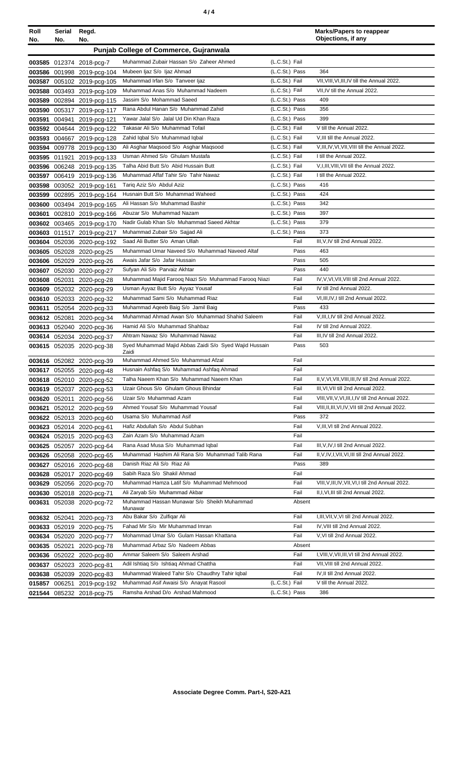| Roll<br>No. | Serial<br>No. | Regd.<br>No.                                            |                                                                                      |                                  | <b>Marks/Papers to reappear</b><br>Objections, if any         |
|-------------|---------------|---------------------------------------------------------|--------------------------------------------------------------------------------------|----------------------------------|---------------------------------------------------------------|
|             |               |                                                         | <b>Punjab College of Commerce, Gujranwala</b>                                        |                                  |                                                               |
|             |               | 003585 012374 2018-pcg-7                                | Muhammad Zubair Hassan S/o Zaheer Ahmed                                              | (L.C.St.) Fail                   |                                                               |
|             |               | 003586 001998 2019-pcg-104                              | Mubeen Ijaz S/o Ijaz Ahmad                                                           | (L.C.St.) Pass                   | 364                                                           |
|             |               | 003587 005102 2019-pcg-105                              | Muhammad Irfan S/o Tanveer Ijaz                                                      | (L.C.St.) Fail                   | VII, VIII, VI, III, IV till the Annual 2022.                  |
| 003588      |               | 003493 2019-pcg-109                                     | Muhammad Anas S/o Muhammad Nadeem                                                    | (L.C.St.) Fail                   | VII, IV till the Annual 2022.                                 |
| 003589      |               | 002894 2019-pcg-115                                     | Jassim S/o Mohammad Saeed                                                            | (L.C.St.) Pass                   | 409                                                           |
| 003590      |               | 005317 2019-pcg-117                                     | Rana Abdul Hanan S/o Muhammad Zahid                                                  | (L.C.St.) Pass                   | 356                                                           |
| 003591      | 004941        | 2019-pcg-121                                            | Yawar Jalal S/o Jalal Ud Din Khan Raza                                               | (L.C.St.) Pass                   | 399                                                           |
|             |               | 003592 004644 2019-pcg-122                              | Takasar Ali S/o Muhammad Tofail                                                      | (L.C.St.) Fail                   | V till the Annual 2022.                                       |
|             |               | 003593 004667 2019-pcg-128                              | Zahid Iqbal S/o Muhammad Iqbal                                                       | (L.C.St.) Fail                   | V, III till the Annual 2022.                                  |
|             |               | 003594 009778 2019-pcg-130                              | Ali Asghar Maqsood S/o Asghar Maqsood                                                | (L.C.St.) Fail                   | V, III, IV, VI, VII, VIII till the Annual 2022.               |
|             | 003595 011921 | 2019-pcg-133                                            | Usman Ahmed S/o Ghulam Mustafa                                                       | (L.C.St.) Fail                   | I till the Annual 2022.                                       |
|             |               | 003596 006248 2019-pcg-135                              | Talha Abid Butt S/o Abid Hussain Butt                                                | (L.C.St.) Fail                   | V, I, III, VIII, VII till the Annual 2022.                    |
|             |               | 003597 006419 2019-pcg-136                              | Muhammad Affaf Tahir S/o Tahir Nawaz                                                 | (L.C.St.) Fail                   | I till the Annual 2022.                                       |
| 003598      |               | 003052 2019-pcg-161                                     | Tariq Aziz S/o Abdul Aziz                                                            | (L.C.St.) Pass                   | 416                                                           |
| 003599      |               | 002895 2019-pcg-164                                     | Husnain Butt S/o Muhammad Waheed                                                     | (L.C.St.) Pass                   | 424                                                           |
|             |               | 003600 003494 2019-pcg-165                              | Ali Hassan S/o Muhammad Bashir                                                       | (L.C.St.) Pass                   | 342                                                           |
| 003601      |               | 002810 2019-pcg-166                                     | Abuzar S/o Muhammad Nazam<br>Nadir Gulab Khan S/o Muhammad Saeed Akhtar              | (L.C.St.) Pass                   | 397<br>379                                                    |
|             |               | 003602 003465 2019-pcg-170                              | Muhammad Zubair S/o Sajjad Ali                                                       | (L.C.St.) Pass<br>(L.C.St.) Pass | 373                                                           |
|             |               | 003603 011517 2019-pcg-217                              | Saad Ali Butter S/o Aman Ullah                                                       | Fail                             | III.V.IV till 2nd Annual 2022.                                |
|             |               | 003604 052036 2020-pcg-192<br>003605 052028 2020-pcg-25 | Muhammad Umar Naveed S/o Muhammad Naveed Altaf                                       | Pass                             | 463                                                           |
|             |               | 003606 052029 2020-pcg-26                               | Awais Jafar S/o Jafar Hussain                                                        | Pass                             | 505                                                           |
|             |               | 003607 052030 2020-pcg-27                               | Sufyan Ali S/o Parvaiz Akhtar                                                        | Pass                             | 440                                                           |
|             |               | 003608 052031 2020-pcg-28                               | Muhammad Majid Farooq Niazi S/o Muhammad Farooq Niazi                                | Fail                             | IV, V, VI, VII, VIII till 2nd Annual 2022.                    |
|             |               | 003609 052032 2020-pcg-29                               | Usman Ayyaz Butt S/o Ayyaz Yousaf                                                    | Fail                             | IV till 2nd Annual 2022.                                      |
|             |               | 003610 052033 2020-pcg-32                               | Muhammad Sami S/o Muhammad Riaz                                                      | Fail                             | VI, III, IV, I till 2nd Annual 2022.                          |
| 003611      |               | 052054 2020-pcg-33                                      | Muhammad Aqeeb Baig S/o Jamil Baig                                                   | Pass                             | 433                                                           |
|             | 003612 052081 | 2020-pcg-34                                             | Muhammad Ahmad Awan S/o Muhammad Shahid Saleem                                       | Fail                             | V, III, I, IV till 2nd Annual 2022.                           |
|             |               | 003613 052040 2020-pcg-36                               | Hamid Ali S/o Muhammad Shahbaz                                                       | Fail                             | IV till 2nd Annual 2022.                                      |
|             |               | 003614 052034 2020-pcg-37                               | Ahtram Nawaz S/o Muhammad Nawaz                                                      | Fail                             | III.IV till 2nd Annual 2022.                                  |
|             |               | 003615 052035 2020-pcg-38                               | Syed Muhammad Majid Abbas Zaidi S/o Syed Wajid Hussain                               | Pass                             | 503                                                           |
|             |               |                                                         | Zaidi                                                                                |                                  |                                                               |
|             |               | 003616 052082 2020-pcg-39                               | Muhammad Ahmed S/o Muhammad Afzal                                                    | Fail                             |                                                               |
|             |               | 003617 052055 2020-pcg-48                               | Husnain Ashfaq S/o Muhammad Ashfaq Ahmad<br>Talha Naeem Khan S/o Muhammad Naeem Khan | Fail<br>Fail                     | II, V, VI, VII, VIII, III, IV till 2nd Annual 2022.           |
|             |               | 003618 052010 2020-pcg-52                               | Uzair Ghous S/o Ghulam Ghous Bhindar                                                 | Fail                             | III, VI, VII till 2nd Annual 2022.                            |
|             |               | 003619 052037 2020-pcg-53<br>003620 052011 2020-pcg-56  | Uzair S/o Muhammad Azam                                                              | Fail                             | VIII, VII, V, VI, III, I, IV till 2nd Annual 2022.            |
|             |               | 003621 052012 2020-pcg-59                               | Ahmed Yousaf S/o Muhammad Yousaf                                                     | Fail                             | VIII, II, III, VI, IV, VII till 2nd Annual 2022.              |
|             |               | 003622 052013 2020-pcg-60                               | Usama S/o Muhammad Asif                                                              | Pass                             | 372                                                           |
|             |               | 003623 052014 2020-pcg-61                               | Hafiz Abdullah S/o Abdul Subhan                                                      | Fail                             | V, III, VI till 2nd Annual 2022.                              |
|             |               | 003624 052015 2020-pcg-63                               | Zain Azam S/o Muhammad Azam                                                          | Fail                             |                                                               |
|             |               | 003625 052057 2020-pcg-64                               | Rana Asad Musa S/o Muhammad Iqbal                                                    | Fail                             | III, V, IV, I till 2nd Annual 2022.                           |
|             |               | 003626 052058 2020-pcg-65                               | Muhammad Hashim Ali Rana S/o Muhammad Talib Rana                                     | Fail                             | II, V, IV, I, VII, VI, III till 2nd Annual 2022.              |
|             |               | 003627 052016 2020-pcg-68                               | Danish Riaz Ali S/o Riaz Ali                                                         | Pass                             | 389                                                           |
|             |               | 003628 052017 2020-pcg-69                               | Sabih Raza S/o Shakil Ahmad                                                          | Fail                             |                                                               |
|             |               | 003629 052056 2020-pcg-70                               | Muhammad Hamza Latif S/o Muhammad Mehmood                                            | Fail                             | VIII, V, III, IV, VII, VI, I till 2nd Annual 2022.            |
|             |               | 003630 052018 2020-pcg-71                               | Ali Zaryab S/o Muhammad Akbar                                                        | Fail                             | II, I, VI, III till 2nd Annual 2022.                          |
|             |               | 003631 052038 2020-pcg-72                               | Muhammad Hassan Munawar S/o Sheikh Muhammad                                          | Absent                           |                                                               |
|             |               |                                                         | Munawar                                                                              |                                  |                                                               |
|             |               | 003632 052041 2020-pcg-73                               | Abu Bakar S/o Zulfiqar Ali<br>Fahad Mir S/o Mir Muhammad Imran                       | Fail                             | I, III, VII, V, VI till 2nd Annual 2022.                      |
|             |               | 003633 052019 2020-pcg-75                               | Mohammad Umar S/o Gulam Hassan Khattana                                              | Fail<br>Fail                     | IV, VIII till 2nd Annual 2022.<br>V, VI till 2nd Annual 2022. |
|             |               | 003634 052020 2020-pcg-77                               | Muhammad Arbaz S/o Nadeem Abbas                                                      | Absent                           |                                                               |
|             |               | 003635 052021 2020-pcg-78                               | Ammar Saleem S/o Saleem Arshad                                                       | Fail                             | I, VIII, V, VII, III, VI till 2nd Annual 2022.                |
|             |               | 003636 052022 2020-pcg-80<br>003637 052023 2020-pcg-81  | Adil Ishtiaq S/o Ishtiaq Ahmad Chattha                                               | Fail                             | VII, VIII till 2nd Annual 2022.                               |
|             |               | 003638 052039 2020-pcg-83                               | Muhammad Waleed Tahir S/o Chaudhry Tahir Iqbal                                       | Fail                             | IV, II till 2nd Annual 2022.                                  |
|             |               | 015857 006251 2019-pcg-192                              | Muhammad Asif Awaisi S/o Anayat Rasool                                               | (L.C.St.) Fail                   | V till the Annual 2022.                                       |
|             |               | 021544 085232 2018-pcg-75                               | Ramsha Arshad D/o Arshad Mahmood                                                     | (L.C.St.) Pass                   | 386                                                           |
|             |               |                                                         |                                                                                      |                                  |                                                               |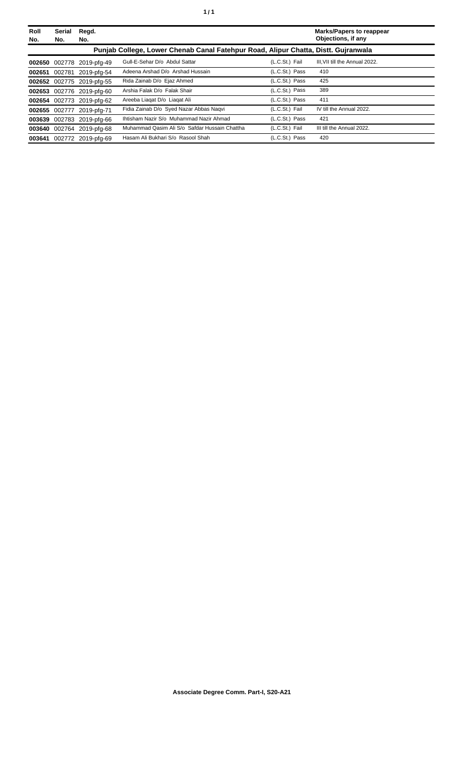| Roll<br>No. | Serial<br>No. | Regd.<br>No.              |                                                                                    |                | <b>Marks/Papers to reappear</b><br>Objections, if any |
|-------------|---------------|---------------------------|------------------------------------------------------------------------------------|----------------|-------------------------------------------------------|
|             |               |                           | Punjab College, Lower Chenab Canal Fatehpur Road, Alipur Chatta, Distt. Gujranwala |                |                                                       |
|             |               | 002650 002778 2019-pfg-49 | Gull-E-Sehar D/o Abdul Sattar                                                      | (L.C.St.) Fail | III. VII till the Annual 2022.                        |
|             |               | 002651 002781 2019-pfg-54 | Adeena Arshad D/o Arshad Hussain                                                   | (L.C.St.) Pass | 410                                                   |
|             |               | 002652 002775 2019-pfg-55 | Rida Zainab D/o Ejaz Ahmed                                                         | (L.C.St.) Pass | 425                                                   |
|             |               | 002653 002776 2019-pfg-60 | Arshia Falak D/o Falak Shair                                                       | (L.C.St.) Pass | 389                                                   |
|             |               | 002654 002773 2019-pfg-62 | Areeba Liagat D/o Liagat Ali                                                       | (L.C.St.) Pass | 411                                                   |
|             |               | 002655 002777 2019-pfg-71 | Fidia Zainab D/o Syed Nazar Abbas Nagvi                                            | (L.C.St.) Fail | IV till the Annual 2022.                              |
|             |               | 003639 002783 2019-pfg-66 | Ihtisham Nazir S/o Muhammad Nazir Ahmad                                            | (L.C.St.) Pass | 421                                                   |
|             |               | 003640 002764 2019-pfg-68 | Muhammad Qasim Ali S/o Safdar Hussain Chattha                                      | (L.C.St.) Fail | III till the Annual 2022.                             |
|             |               | 003641 002772 2019-pfg-69 | Hasam Ali Bukhari S/o Rasool Shah                                                  | (L.C.St.) Pass | 420                                                   |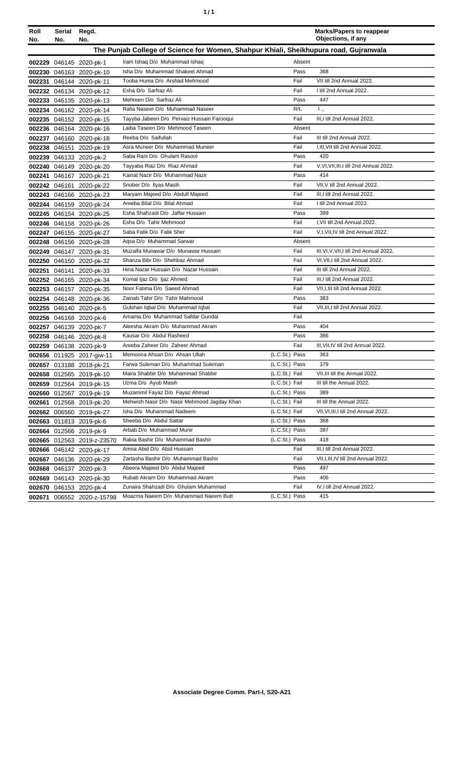| ٦ | ٠ |
|---|---|
|   |   |

| Roll<br>No. | Serial<br>No.                                                                         | Regd.<br>No.                                       |                                                                      |                |        | <b>Marks/Papers to reappear</b><br>Objections, if any |
|-------------|---------------------------------------------------------------------------------------|----------------------------------------------------|----------------------------------------------------------------------|----------------|--------|-------------------------------------------------------|
|             | The Punjab College of Science for Women, Shahpur Khiali, Sheikhupura road, Gujranwala |                                                    |                                                                      |                |        |                                                       |
|             |                                                                                       | 002229 046145 2020-pk-1                            | Iram Ishaq D/o Muhammad Ishaq                                        |                | Absent |                                                       |
|             |                                                                                       | 002230 046163 2020-pk-10                           | Isha D/o Muhammad Shakeel Ahmad                                      |                | Pass   | 368                                                   |
|             |                                                                                       | 002231 046144 2020-pk-11                           | Tooba Huma D/o Arshad Mehmood                                        | Fail           |        | VII till 2nd Annual 2022.                             |
|             |                                                                                       | 002232 046134 2020-pk-12                           | Esha D/o Sarfraz Ali                                                 | Fail           |        | I till 2nd Annual 2022.                               |
|             |                                                                                       | 002233 046135 2020-pk-13                           | Mehreen D/o Sarfraz Ali                                              |                | Pass   | 447                                                   |
|             |                                                                                       | 002234 046162 2020-pk-14                           | Rafia Naseer D/o Muhammad Naseer                                     | R/L            |        | 1.,                                                   |
|             |                                                                                       | 002235 046152 2020-pk-15                           | Tayyba Jabeen D/o Pervaiz Hussain Farooqui                           | Fail           |        | III.I till 2nd Annual 2022.                           |
|             |                                                                                       | 002236 046164 2020-pk-16                           | Laiba Taseen D/o Mehmood Taseen                                      |                | Absent |                                                       |
|             |                                                                                       | 002237 046160 2020-pk-18                           | Reeba D/o Saifullah                                                  | Fail           |        | III till 2nd Annual 2022.                             |
|             |                                                                                       | 002238 046151 2020-pk-19                           | Asra Muneer D/o Muhammad Muneer                                      | Fail           |        | I, III, VII till 2nd Annual 2022.                     |
|             |                                                                                       | 002239 046133 2020-pk-2                            | Saba Rani D/o Ghulam Rasool                                          |                | Pass   | 420                                                   |
|             |                                                                                       | 002240 046149 2020-pk-20                           | Tayyaba Riaz D/o Riaz Ahmad                                          | Fail           |        | V.VI.VII.III.I till 2nd Annual 2022.                  |
|             |                                                                                       | 002241 046167 2020-pk-21                           | Kainat Nazir D/o Muhammad Nazir                                      |                | Pass   | 414                                                   |
|             |                                                                                       | 002242 046161 2020-pk-22                           | Snober D/o Ilyas Masih                                               | Fail           |        | VII, V till 2nd Annual 2022.                          |
|             |                                                                                       | 002243 046166 2020-pk-23                           | Maryam Majeed D/o Abdull Majeed                                      | Fail           |        | III, I till 2nd Annual 2022.                          |
|             |                                                                                       | 002244 046159 2020-pk-24                           | Areeba Bilal D/o Bilal Ahmad                                         | Fail           |        | I till 2nd Annual 2022.                               |
|             |                                                                                       | 002245 046154 2020-pk-25                           | Esha Shahzadi D/o Jaffar Hussain                                     |                | Pass   | 399                                                   |
|             |                                                                                       | 002246 046158 2020-pk-26                           | Esha D/o Tahir Mehmood                                               | Fail           |        | I, VII till 2nd Annual 2022.                          |
|             |                                                                                       | 002247 046155 2020-pk-27                           | Saba Falik D/o Falik Sher                                            | Fail           |        | V,I, VII, IV till 2nd Annual 2022.                    |
|             |                                                                                       | 002248 046156 2020-pk-28                           | Agsa D/o Muhammad Sarwar                                             |                | Absent |                                                       |
|             |                                                                                       | 002249 046147 2020-pk-31                           | Muzalfa Munawar D/o Munawar Hussain                                  | Fail           |        | III, VI, V, VII, I till 2nd Annual 2022.              |
|             |                                                                                       | 002250 046150 2020-pk-32                           | Shanza Bibi D/o Shehbaz Ahmad                                        | Fail           |        | VI, VII, I till 2nd Annual 2022.                      |
|             |                                                                                       | 002251 046141 2020-pk-33                           | Hina Nazar Hussain D/o Nazar Hussain                                 | Fail           |        | III till 2nd Annual 2022.                             |
|             |                                                                                       | 002252 046165 2020-pk-34                           | Komal Ijaz D/o Ijaz Ahmed                                            | Fail           |        | III, I till 2nd Annual 2022.                          |
|             |                                                                                       | 002253 046157 2020-pk-35                           | Noor Fatima D/o Saeed Ahmad                                          | Fail           |        | VII, I, III till 2nd Annual 2022.                     |
|             |                                                                                       | 002254 046148 2020-pk-36                           | Zainab Tahir D/o Tahir Mahmood                                       | Fail           | Pass   | 383<br>VII, III, I till 2nd Annual 2022.              |
|             |                                                                                       | 002255 046140 2020-pk-5                            | Gulshan Iqbal D/o Muhammad Iqbal                                     | Fail           |        |                                                       |
|             |                                                                                       | 002256 046168 2020-pk-6                            | Amama D/o Muhammad Safdar Gundal<br>Aleesha Akram D/o Muhammad Akram |                | Pass   | 404                                                   |
|             |                                                                                       | 002257 046139 2020-pk-7                            | Kausar D/o Abdul Rasheed                                             |                | Pass   | 386                                                   |
|             |                                                                                       | 002258 046146 2020-pk-8<br>002259 046138 2020-pk-9 | Areeba Zaheer D/o Zaheer Ahmad                                       | Fail           |        | III, VII, IV till 2nd Annual 2022.                    |
|             |                                                                                       | 002656 011925 2017-giw-11                          | Memoona Ahsan D/o Ahsan Ullah                                        | (L.C.St.) Pass |        | 363                                                   |
|             |                                                                                       | 002657 013188 2018-pk-21                           | Farwa Suleman D/o Muhammad Suleman                                   | (L.C.St.) Pass |        | 379                                                   |
|             |                                                                                       | 002658 012565 2019-pk-10                           | Maira Shabbir D/o Muhammad Shabbir                                   | (L.C.St.) Fail |        | VII, III till the Annual 2022.                        |
|             |                                                                                       | 002659 012564 2019-pk-15                           | Uzma D/o Ayub Masih                                                  | (L.C.St.) Fail |        | III till the Annual 2022.                             |
|             |                                                                                       | 002660 012567 2019-pk-19                           | Muzammil Fayaz D/o Fayaz Ahmad                                       | (L.C.St.) Pass |        | 389                                                   |
|             |                                                                                       | 002661 012568 2019-pk-20                           | Mehwish Nasir D/o Nasir Mehmood Jagday Khan                          | (L.C.St.) Fail |        | III till the Annual 2022.                             |
|             |                                                                                       | 002662 006560 2019-pk-27                           | Isha D/o Muhammad Nadeem                                             | (L.C.St.) Fail |        | VII, VI, III, I till 2nd Annual 2022.                 |
|             |                                                                                       | 002663 011813 2019-pk-6                            | Sheeba D/o Abdul Sattar                                              | (L.C.St.) Pass |        | 368                                                   |
|             |                                                                                       | 002664 012566 2019-pk-9                            | Arbab D/o Muhammad Munir                                             | (L.C.St.) Pass |        | 397                                                   |
|             |                                                                                       | 002665 012563 2019-z-23570                         | Rabia Bashir D/o Muhammad Bashir                                     | (L.C.St.) Pass |        | 418                                                   |
|             |                                                                                       | 002666 046142 2020-pk-17                           | Amna Abid D/o Abid Hussain                                           | Fail           |        | III, I till 2nd Annual 2022.                          |
|             |                                                                                       | 002667 046136 2020-pk-29                           | Zartasha Bashir D/o Muhammad Bashir                                  | Fail           |        | VII, I, III, IV till 2nd Annual 2022.                 |
|             |                                                                                       | 002668 046137 2020-pk-3                            | Abeera Majeed D/o Abdul Majeed                                       |                | Pass   | 497                                                   |
|             |                                                                                       | 002669 046143 2020-pk-30                           | Rubab Akram D/o Muhammad Akram                                       |                | Pass   | 406                                                   |
|             |                                                                                       | 002670 046153 2020-pk-4                            | Zunaira Shahzadi D/o Ghulam Muhammad                                 | Fail           |        | IV, I till 2nd Annual 2022.                           |
|             |                                                                                       | 002671 006552 2020-z-15798                         | Moazma Naeem D/o Muhammad Naeem Butt                                 | (L.C.St.) Pass |        | 415                                                   |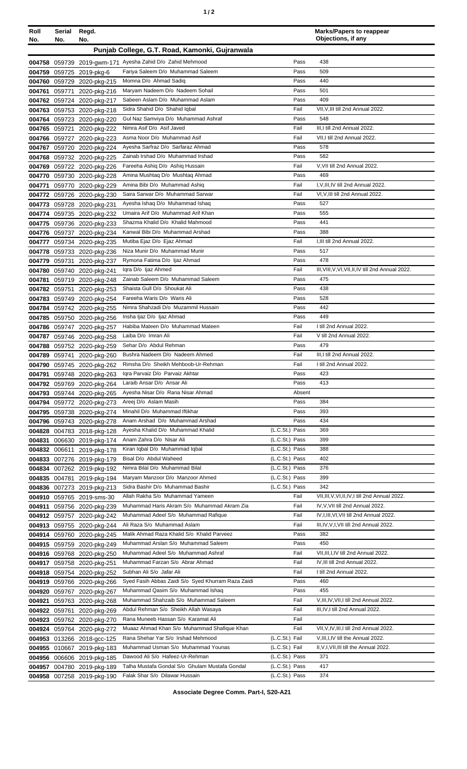| Roll<br>No. | Serial<br>No. | Regd.<br>No.                                             |                                                                                   |                | <b>Marks/Papers to reappear</b><br>Objections, if any |
|-------------|---------------|----------------------------------------------------------|-----------------------------------------------------------------------------------|----------------|-------------------------------------------------------|
|             |               |                                                          | Punjab College, G.T. Road, Kamonki, Gujranwala                                    |                |                                                       |
|             |               |                                                          | 004758 059739 2019-gwm-171 Ayesha Zahid D/o Zahid Mehmood                         | Pass           | 438                                                   |
|             |               | 004759 059725 2019-pkg-6                                 | Fariya Saleem D/o Muhammad Saleem                                                 | Pass           | 509                                                   |
|             |               | 004760 059729 2020-pkg-215                               | Momna D/o Ahmad Sadiq                                                             | Pass           | 440                                                   |
| 004761      |               | 059771 2020-pkg-216                                      | Maryam Nadeem D/o Nadeem Sohail                                                   | Pass           | 501                                                   |
|             |               | 004762 059724 2020-pkg-217                               | Sabeen Aslam D/o Muhammad Aslam                                                   | Pass           | 409                                                   |
|             |               | 004763 059753 2020-pkg-218                               | Sidra Shahid D/o Shahid Iqbal                                                     | Fail           | VII, V, III till 2nd Annual 2022.                     |
|             |               | 004764 059723 2020-pkg-220                               | Gul Naz Samviya D/o Muhammad Ashraf                                               | Pass           | 548                                                   |
|             | 004765 059721 | 2020-pkg-222                                             | Nimra Asif D/o Asif Javed                                                         | Fail           | III.I till 2nd Annual 2022.                           |
|             |               | 004766 059727 2020-pkg-223                               | Asma Noor D/o Muhammad Asif                                                       | Fail           | VII,I till 2nd Annual 2022.                           |
| 004767      |               | 059720 2020-pkg-224                                      | Ayesha Sarfraz D/o Sarfaraz Ahmad                                                 | Pass           | 578                                                   |
| 004768      |               | 059732 2020-pkg-225                                      | Zainab Irshad D/o Muhammad Irshad                                                 | Pass           | 582                                                   |
|             |               | 004769 059722 2020-pkg-226                               | Fareeha Ashiq D/o Ashiq Hussain                                                   | Fail           | V, VII till 2nd Annual 2022.                          |
|             |               | 004770 059730 2020-pkg-228                               | Amina Mushtaq D/o Mushtaq Ahmad<br>Amina Bibi D/o Muhammad Ashiq                  | Pass           | 469<br>I, V, III, IV till 2nd Annual 2022.            |
| 004771      |               | 059770 2020-pkg-229                                      | Saira Sarwar D/o Muhammad Sarwar                                                  | Fail<br>Fail   | VI, V, III till 2nd Annual 2022.                      |
|             |               | 004772 059726 2020-pkg-230                               | Ayesha Ishaq D/o Muhammad Ishaq                                                   | Pass           | 527                                                   |
|             |               | 004773 059728 2020-pkg-231                               | Umaira Arif D/o Muhammad Arif Khan                                                | Pass           | 555                                                   |
|             |               | 004774 059735 2020-pkg-232<br>004775 059736 2020-pkg-233 | Shazma Khalid D/o Khalid Mahmood                                                  | Pass           | 441                                                   |
|             |               | 004776 059737 2020-pkg-234                               | Kanwal Bibi D/o Muhammad Arshad                                                   | Pass           | 388                                                   |
| 004777      |               | 059734 2020-pkg-235                                      | Mutiba Ejaz D/o Ejaz Ahmad                                                        | Fail           | I,III till 2nd Annual 2022.                           |
|             |               | 004778 059733 2020-pkg-236                               | Niza Munir D/o Muhammad Munir                                                     | Pass           | 517                                                   |
|             |               | 004779 059731 2020-pkg-237                               | Rymona Fatima D/o Ijaz Ahmad                                                      | Pass           | 478                                                   |
|             |               | 004780 059740 2020-pkg-241                               | Igra D/o Ijaz Ahmed                                                               | Fail           | III, VIII, V, VI, VII, II, IV till 2nd Annual 2022.   |
| 004781      |               | 059719 2020-pkg-248                                      | Zainab Saleem D/o Muhammad Saleem                                                 | Pass           | 475                                                   |
|             | 004782 059751 | 2020-pkg-253                                             | Shaista Gull D/o Shoukat Ali                                                      | Pass           | 438                                                   |
|             |               | 004783 059749 2020-pkg-254                               | Fareeha Waris D/o Waris Ali                                                       | Pass           | 528                                                   |
|             |               | 004784 059742 2020-pkg-255                               | Nimra Shahzadi D/o Muzammil Hussain                                               | Pass           | 442                                                   |
|             |               | 004785 059750 2020-pkg-256                               | Insha Ijaz D/o Ijaz Ahmad                                                         | Pass           | 449                                                   |
|             |               | 004786 059747 2020-pkg-257                               | Habiba Mateen D/o Muhammad Mateen                                                 | Fail           | I till 2nd Annual 2022.                               |
|             |               | 004787 059746 2020-pkg-258                               | Laiba D/o Imran Ali                                                               | Fail           | V till 2nd Annual 2022.                               |
|             |               | 004788 059752 2020-pkg-259                               | Sehar D/o Abdul Rehman                                                            | Pass           | 479                                                   |
|             |               | 004789 059741 2020-pkg-260                               | Bushra Nadeem D/o Nadeem Ahmed                                                    | Fail           | III, I till 2nd Annual 2022.                          |
|             |               | 004790 059745 2020-pkg-262                               | Rimsha D/o Sheikh Mehboob-Ur-Rehman                                               | Fail           | I till 2nd Annual 2022.                               |
|             |               | 004791 059748 2020-pkg-263                               | Igra Parvaiz D/o Parvaiz Akhtar                                                   | Pass           | 423                                                   |
|             |               | 004792 059769 2020-pkg-264                               | Laraib Ansar D/o Ansar Ali                                                        | Pass           | 413                                                   |
|             |               | 004793 059744 2020-pkg-265                               | Ayesha Nisar D/o Rana Nisar Ahmad                                                 | Absent         |                                                       |
|             |               | 004794 059772 2020-pkg-273                               | Areej D/o Aslam Masih<br>Minahil D/o Muhammad Iftikhar                            | Pass<br>Pass   | 384<br>393                                            |
|             |               | 004795 059738 2020-pkg-274<br>004796 059743 2020-pkg-278 | Anam Arshad D/o Muhammad Arshad                                                   | Pass           | 434                                                   |
|             |               | 004828 004783 2018-pkg-128                               | Ayesha Khalid D/o Muhammad Khalid                                                 | (L.C.St.) Pass | 369                                                   |
| 004831      |               | 006630 2019-pkg-174                                      | Anam Zahra D/o Nisar Ali                                                          | (L.C.St.) Pass | 399                                                   |
|             |               | 004832 006611 2019-pkg-178                               | Kiran Iqbal D/o Muhammad Iqbal                                                    | (L.C.St.) Pass | 388                                                   |
|             |               | 004833 007276 2019-pkg-179                               | Bisal D/o Abdul Waheed                                                            | (L.C.St.) Pass | 402                                                   |
|             |               | 004834 007262 2019-pkg-192                               | Nimra Bilal D/o Muhammad Bilal                                                    | (L.C.St.) Pass | 376                                                   |
|             |               | 004835 004781 2019-pkg-194                               | Maryam Manzoor D/o Manzoor Ahmed                                                  | (L.C.St.) Pass | 399                                                   |
|             |               | 004836 007273 2019-pkg-213                               | Sidra Bashir D/o Muhammad Bashir                                                  | (L.C.St.) Pass | 342                                                   |
|             |               | 004910 059765 2019-sms-30                                | Allah Rakha S/o Muhammad Yameen                                                   | Fail           | VII, III, V, VI, II, IV, I till 2nd Annual 2022.      |
|             |               | 004911 059756 2020-pkg-239                               | Muhammad Haris Akram S/o Muhammad Akram Zia                                       | Fail           | IV, V, VII till 2nd Annual 2022.                      |
|             |               | 004912 059757 2020-pkg-242                               | Muhammad Adeel S/o Muhammad Rafique                                               | Fail           | IV, I, III, VI, VII till 2nd Annual 2022.             |
|             |               | 004913 059755 2020-pkg-244                               | Ali Raza S/o Muhammad Aslam                                                       | Fail           | III, IV, V, I, VII till 2nd Annual 2022.              |
|             |               | 004914 059760 2020-pkg-245                               | Malik Ahmad Raza Khalid S/o Khalid Parveez                                        | Pass           | 382                                                   |
|             |               | 004915 059759 2020-pkg-249                               | Muhammad Arslan S/o Muhammad Saleem                                               | Pass           | 450                                                   |
|             |               | 004916 059768 2020-pkg-250                               | Muhammad Adeel S/o Muhammad Ashraf                                                | Fail           | VII, III, I, IV till 2nd Annual 2022.                 |
|             |               | 004917 059758 2020-pkg-251                               | Muhammad Farzan S/o Abrar Ahmad                                                   | Fail           | IV, III till 2nd Annual 2022.                         |
|             |               | 004918 059754 2020-pkg-252                               | Subhan Ali S/o Jafar Ali                                                          | Fail           | I till 2nd Annual 2022.                               |
|             |               | 004919 059766 2020-pkg-266                               | Syed Fasih Abbas Zaidi S/o Syed Khurram Raza Zaidi                                | Pass           | 460                                                   |
|             |               | 004920 059767 2020-pkg-267                               | Muhammad Qasim S/o Muhammad Ishaq                                                 | Pass           | 455                                                   |
| 004921      |               | 059763 2020-pkg-268                                      | Muhammad Shahzaib S/o Muhammad Saleem                                             | Fail           | V, III, IV, VII, I till 2nd Annual 2022.              |
|             |               | 004922 059761 2020-pkg-269                               | Abdul Rehman S/o Sheikh Allah Wasaya                                              | Fail           | III, IV, I till 2nd Annual 2022.                      |
|             |               | 004923 059762 2020-pkg-270                               | Rana Muneeb Hassan S/o Karamat Ali<br>Muaaz Ahmad Khan S/o Muhammad Shafique Khan | Fail<br>Fail   | VII, V, IV, III, I till 2nd Annual 2022.              |
|             |               | 004924 059764 2020-pkg-272                               | Rana Shehar Yar S/o Irshad Mehmood                                                | (L.C.St.) Fail | V, III, I, IV till the Annual 2022.                   |
|             |               | 004953 013266 2018-gcc-125                               | Muhammad Usman S/o Muhammad Younas                                                | (L.C.St.) Fail | II, V, I, VII, III till the Annual 2022.              |
|             |               | 004955 010667 2019-pkg-183                               | Dawood Ali S/o Hafeez-Ur-Rehman                                                   | (L.C.St.) Pass | 371                                                   |
|             |               | 004956 006606 2019-pkg-185<br>004957 004780 2019-pkg-189 | Talha Mustafa Gondal S/o Ghulam Mustafa Gondal                                    | (L.C.St.) Pass | 417                                                   |
|             |               | 004958 007258 2019-pkg-190                               | Falak Shar S/o Dilawar Hussain                                                    | (L.C.St.) Pass | 374                                                   |
|             |               |                                                          |                                                                                   |                |                                                       |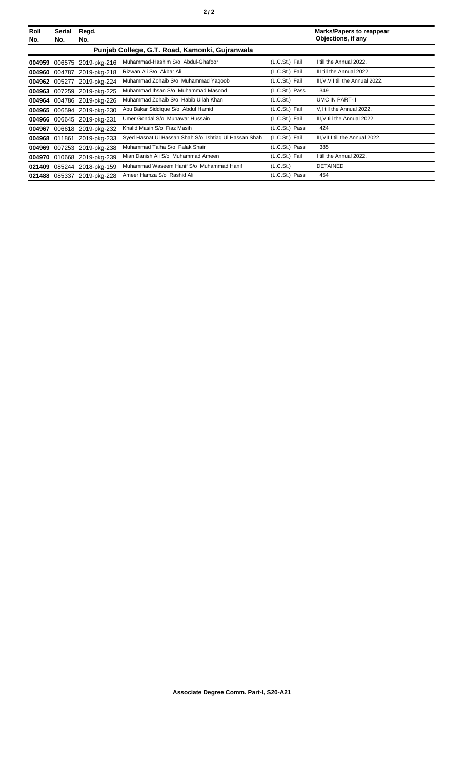| Roll<br>No. | Serial<br>No. | Regd.<br>No.               |                                                       |                       | <b>Marks/Papers to reappear</b><br>Objections, if any |
|-------------|---------------|----------------------------|-------------------------------------------------------|-----------------------|-------------------------------------------------------|
|             |               |                            | Punjab College, G.T. Road, Kamonki, Gujranwala        |                       |                                                       |
| 004959      | 006575        | 2019-pkg-216               | Muhammad-Hashim S/o Abdul-Ghafoor                     | (L.C.St.) Fail        | I till the Annual 2022.                               |
| 004960      | 004787        | 2019-pkg-218               | Rizwan Ali S/o Akbar Ali                              | (L.C.St.) Fail        | III till the Annual 2022.                             |
| 004962      | 005277        | 2019-pkg-224               | Muhammad Zohaib S/o Muhammad Yaqoob                   | (L.C.St.) Fail        | III, V, VII till the Annual 2022.                     |
| 004963      |               | 007259 2019-pkg-225        | Muhammad Ihsan S/o Muhammad Masood                    | (L.C.St.) Pass        | 349                                                   |
| 004964      |               | 004786 2019-pkg-226        | Muhammad Zohaib S/o Habib Ullah Khan                  | (L.C.S <sub>t</sub> ) | UMC IN PART-II                                        |
| 004965      |               | 006594 2019-pkg-230        | Abu Bakar Siddique S/o Abdul Hamid                    | (L.C.St.) Fail        | V,I till the Annual 2022.                             |
|             |               | 004966 006645 2019-pkg-231 | Umer Gondal S/o Munawar Hussain                       | (L.C.St.) Fail        | III, V till the Annual 2022.                          |
| 004967      |               | 006618 2019-pkg-232        | Khalid Masih S/o Fiaz Masih                           | (L.C.St.) Pass        | 424                                                   |
| 004968      | 011861        | 2019-pkg-233               | Syed Hasnat UI Hassan Shah S/o Ishtiag UI Hassan Shah | (L.C.St.) Fail        | III, VII, I till the Annual 2022.                     |
| 004969      |               | 007253 2019-pkg-238        | Muhammad Talha S/o Falak Shair                        | (L.C.St.) Pass        | 385                                                   |
| 004970      |               | 010668 2019-pkg-239        | Mian Danish Ali S/o Muhammad Ameen                    | (L.C.St.) Fail        | I till the Annual 2022.                               |
| 021409      | 085244        | 2018-pkg-159               | Muhammad Waseem Hanif S/o Muhammad Hanif              | (L.C.St.)             | <b>DETAINED</b>                                       |
| 021488      | 085337        | 2019-pkg-228               | Ameer Hamza S/o Rashid Ali                            | (L.C.St.) Pass        | 454                                                   |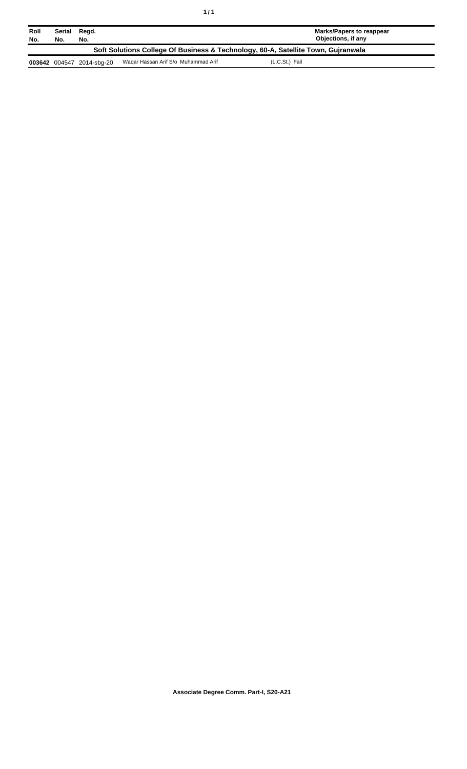| Roll<br>No.                                                                       | Serial<br>No. | Regd.<br>No.              |                                     | Marks/Papers to reappear<br>Objections, if any |
|-----------------------------------------------------------------------------------|---------------|---------------------------|-------------------------------------|------------------------------------------------|
| Soft Solutions College Of Business & Technology, 60-A, Satellite Town, Gujranwala |               |                           |                                     |                                                |
|                                                                                   |               | 003642 004547 2014-sbg-20 | Wagar Hassan Arif S/o Muhammad Arif | (L.C.St.) Fail                                 |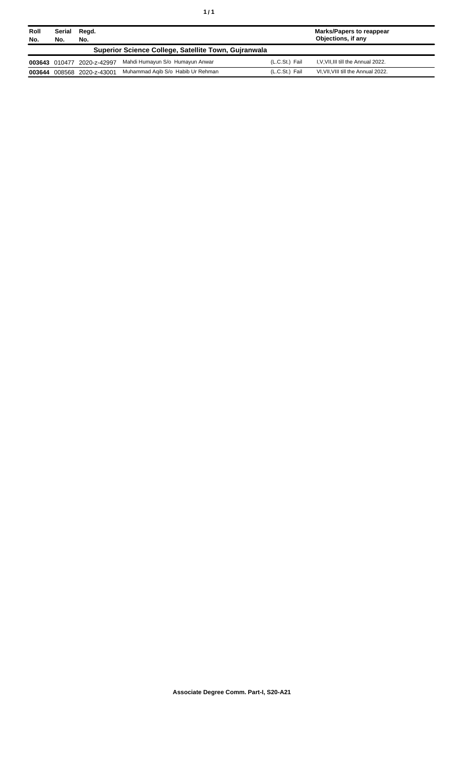| Roll<br>No. | Serial<br>No. | Regd.<br>No.        |                                                      |                | <b>Marks/Papers to reappear</b><br>Objections, if any |
|-------------|---------------|---------------------|------------------------------------------------------|----------------|-------------------------------------------------------|
|             |               |                     | Superior Science College, Satellite Town, Guiranwala |                |                                                       |
|             | 003643 010477 | 2020-z-42997        | Mahdi Humayun S/o Humayun Anwar                      | (L.C.St.) Fail | I, V, VII, III till the Annual 2022.                  |
| 003644      |               | 008568 2020-z-43001 | Muhammad Agib S/o Habib Ur Rehman                    | (L.C.St.) Fail | VI, VII, VIII till the Annual 2022.                   |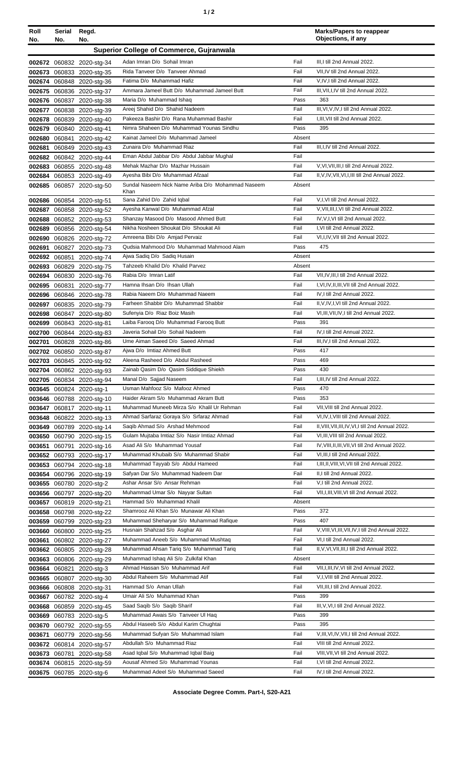| Roll<br>No. | Serial Regd.<br>No.                      | No.                                                    |                                                                        |                | <b>Marks/Papers to reappear</b><br>Objections, if any                        |
|-------------|------------------------------------------|--------------------------------------------------------|------------------------------------------------------------------------|----------------|------------------------------------------------------------------------------|
|             | Superior College of Commerce, Gujranwala |                                                        |                                                                        |                |                                                                              |
|             |                                          |                                                        | Adan Imran D/o Sohail Imran                                            | Fail           | III, I till 2nd Annual 2022.                                                 |
|             |                                          | 002672 060832 2020-stg-34<br>002673 060833 2020-stg-35 | Rida Tanveer D/o Tanveer Ahmad                                         | Fail           | VII, IV till 2nd Annual 2022.                                                |
|             |                                          | 002674 060848 2020-stg-36                              | Fatima D/o Muhammad Hafiz                                              | Fail           | V, IV, I till 2nd Annual 2022.                                               |
|             |                                          | 002675 060836 2020-stg-37                              | Ammara Jameel Butt D/o Muhammad Jameel Butt                            | Fail           | III, VII, I, IV till 2nd Annual 2022.                                        |
|             |                                          | 002676 060837 2020-stg-38                              | Maria D/o Muhammad Ishaq                                               | Pass           | 363                                                                          |
|             |                                          | 002677 060838 2020-stg-39                              | Areej Shahid D/o Shahid Nadeem                                         | Fail           | III, VI, V, IV, I till 2nd Annual 2022.                                      |
|             |                                          | 002678 060839 2020-stg-40                              | Pakeeza Bashir D/o Rana Muhammad Bashir                                | Fail           | I.III.VII till 2nd Annual 2022.                                              |
|             |                                          | 002679 060840 2020-stg-41                              | Nimra Shaheen D/o Muhammad Younas Sindhu                               | Pass           | 395                                                                          |
|             |                                          | 002680 060841 2020-stg-42                              | Kainat Jameel D/o Muhammad Jameel<br>Zunaira D/o Muhammad Riaz         | Absent<br>Fail | III, I, IV till 2nd Annual 2022.                                             |
|             |                                          | 002681 060849 2020-stg-43<br>002682 060842 2020-stg-44 | Eman Abdul Jabbar D/o Abdul Jabbar Mughal                              | Fail           |                                                                              |
|             |                                          | 002683 060855 2020-stg-48                              | Mehak Mazhar D/o Mazhar Hussain                                        | Fail           | V.VI.VII.III.I till 2nd Annual 2022.                                         |
|             |                                          | 002684 060853 2020-stg-49                              | Ayesha Bibi D/o Muhammad Afzaal                                        | Fail           | II, V, IV, VII, VI, I, III till 2nd Annual 2022.                             |
|             |                                          | 002685 060857 2020-stg-50                              | Sundal Naseem Nick Name Ariba D/o Mohammad Naseem                      | Absent         |                                                                              |
|             |                                          |                                                        | Khan                                                                   | Fail           |                                                                              |
|             |                                          | 002686 060854 2020-stg-51<br>002687 060858 2020-stg-52 | Sana Zahid D/o Zahid Iqbal<br>Ayesha Kanwal D/o Muhammad Afzal         | Fail           | V,I, VI till 2nd Annual 2022.<br>V, VII, III, I, VI till 2nd Annual 2022.    |
|             |                                          | 002688 060852 2020-stg-53                              | Shanzay Masood D/o Masood Ahmed Butt                                   | Fail           | IV, V, I, VI till 2nd Annual 2022.                                           |
|             |                                          | 002689 060856 2020-stg-54                              | Nikha Nosheen Shoukat D/o Shoukat Ali                                  | Fail           | I, VI till 2nd Annual 2022.                                                  |
|             |                                          | 002690 060826 2020-stg-72                              | Amreena Bibi D/o Amjad Pervaiz                                         | Fail           | VI.I.IV.VII till 2nd Annual 2022.                                            |
| 002691      |                                          | 060827 2020-stg-73                                     | Qudsia Mahmood D/o Muhammad Mahmood Alam                               | Pass           | 475                                                                          |
|             |                                          | 002692 060851 2020-stg-74                              | Ajwa Sadiq D/o Sadiq Husain                                            | Absent         |                                                                              |
|             |                                          | 002693 060829 2020-stg-75                              | Tahzeeb Khalid D/o Khalid Parvez                                       | Absent         |                                                                              |
|             |                                          | 002694 060830 2020-stg-76                              | Rabia D/o Imran Latif                                                  | Fail           | VII, IV, III, I till 2nd Annual 2022.                                        |
|             |                                          | 002695 060831 2020-stg-77                              | Hamna Ihsan D/o Ihsan Ullah                                            | Fail           | I, VI, IV, II, III, VII till 2nd Annual 2022.                                |
|             |                                          | 002696 060846 2020-stg-78                              | Rabia Naeem D/o Muhammad Naeem<br>Farheen Shabbir D/o Muhammad Shabbir | Fail<br>Fail   | IV, I till 2nd Annual 2022.<br>II, V, IV, I, VI till 2nd Annual 2022.        |
|             |                                          | 002697 060835 2020-stg-79<br>002698 060847 2020-stg-80 | Sufenyia D/o Riaz Boiz Masih                                           | Fail           | VI, III, VII, IV, I till 2nd Annual 2022.                                    |
|             |                                          | 002699 060843 2020-stg-81                              | Laiba Farooq D/o Muhammad Farooq Butt                                  | Pass           | 391                                                                          |
|             |                                          | 002700 060844 2020-stg-83                              | Javeria Sohail D/o Sohail Nadeem                                       | Fail           | IV, I till 2nd Annual 2022.                                                  |
|             |                                          | 002701 060828 2020-stg-86                              | Ume Aiman Saeed D/o Saeed Ahmad                                        | Fail           | III, IV, I till 2nd Annual 2022.                                             |
|             |                                          | 002702 060850 2020-stg-87                              | Ajwa D/o Imtiaz Ahmed Butt                                             | Pass           | 417                                                                          |
|             |                                          | 002703 060845 2020-stg-92                              | Aleena Rasheed D/o Abdul Rasheed                                       | Pass           | 469                                                                          |
|             |                                          | 002704 060862 2020-stg-93                              | Zainab Qasim D/o Qasim Siddique Shiekh                                 | Pass           | 430                                                                          |
|             |                                          | 002705 060834 2020-stg-94                              | Manal D/o Sajjad Naseem                                                | Fail           | I, III, IV till 2nd Annual 2022.                                             |
|             |                                          | 003645 060824 2020-stg-1<br>003646 060788 2020-stg-10  | Usman Mahfooz S/o Mafooz Ahmed<br>Haider Akram S/o Muhammad Akram Butt | Pass<br>Pass   | 470<br>353                                                                   |
|             |                                          | 003647 060817 2020-stg-11                              | Muhammad Muneeb Mirza S/o Khalil Ur Rehman                             | Fail           | VII, VIII till 2nd Annual 2022.                                              |
|             |                                          | 003648 060822 2020-stg-13                              | Ahmad Sarfaraz Goraya S/o Srfaraz Ahmad                                | Fail           | VI,IV,I,VIII till 2nd Annual 2022.                                           |
|             |                                          | 003649 060789 2020-stg-14                              | Saqib Ahmad S/o Arshad Mehmood                                         | Fail           | II, VIII, VII, III, IV, VI, I till 2nd Annual 2022.                          |
|             |                                          | 003650 060790 2020-stg-15                              | Gulam Mujtaba Imtiaz S/o Nasir Imtiaz Ahmad                            | Fail           | VI, III, VIII till 2nd Annual 2022.                                          |
|             |                                          | 003651 060791 2020-stg-16                              | Asad Ali S/o Muhammad Yousaf                                           | Fail           | IV, VIII, II, III, VII, VI till 2nd Annual 2022.                             |
|             |                                          | 003652 060793 2020-stg-17                              | Muhammad Khubaib S/o Muhammad Shabir                                   | Fail           | VI, III, I till 2nd Annual 2022.                                             |
|             |                                          | 003653 060794 2020-stg-18                              | Muhammad Tayyab S/o Abdul Hameed                                       | Fail           | I, III, II, VIII, VI, VII till 2nd Annual 2022.                              |
|             |                                          | 003654 060796 2020-stg-19                              | Safyan Dar S/o Muhammad Nadeem Dar<br>Ashar Ansar S/o Ansar Rehman     | Fail<br>Fail   | II,I till 2nd Annual 2022.<br>V,I till 2nd Annual 2022.                      |
|             |                                          | 003655 060780 2020-stg-2<br>003656 060797 2020-stg-20  | Muhammad Umar S/o Nayyar Sultan                                        | Fail           | VII, I, III, VIII, VI till 2nd Annual 2022.                                  |
|             |                                          | 003657 060819 2020-stg-21                              | Hammad S/o Muhammad Khalil                                             | Absent         |                                                                              |
|             |                                          | 003658 060798 2020-stg-22                              | Shamrooz Ali Khan S/o Munawar Ali Khan                                 | Pass           | 372                                                                          |
|             |                                          | 003659 060799 2020-stg-23                              | Muhammad Sheharyar S/o Muhammad Rafique                                | Pass           | 407                                                                          |
|             |                                          | 003660 060800 2020-stg-25                              | Husnain Shahzad S/o Asghar Ali                                         | Fail           | V, VIII, VI, III, VII, IV, I till 2nd Annual 2022.                           |
|             |                                          | 003661 060802 2020-stg-27                              | Muhammad Aneeb S/o Muhammad Mushtaq                                    | Fail           | VI, I till 2nd Annual 2022.                                                  |
|             |                                          | 003662 060805 2020-stg-28                              | Muhammad Ahsan Tariq S/o Muhammad Tariq                                | Fail           | II, V, VI, VII, III, I till 2nd Annual 2022.                                 |
|             |                                          | 003663 060806 2020-stg-29                              | Muhammad Ishaq Ali S/o Zulkifal Khan                                   | Absent         |                                                                              |
|             |                                          | 003664 060821 2020-stg-3                               | Ahmad Hassan S/o Muhammad Arif<br>Abdul Raheem S/o Muhammad Atif       | Fail<br>Fail   | VII, I, III, IV, VI till 2nd Annual 2022.<br>V,I, VIII till 2nd Annual 2022. |
|             |                                          | 003665 060807 2020-stg-30<br>003666 060808 2020-stg-31 | Hammad S/o Aman Ullah                                                  | Fail           | VII, III, I till 2nd Annual 2022.                                            |
|             |                                          | 003667 060782 2020-stg-4                               | Umair Ali S/o Muhammad Khan                                            | Pass           | 399                                                                          |
|             |                                          | 003668 060859 2020-stg-45                              | Saad Saqib S/o Saqib Sharif                                            | Fail           | III, V, VI, I till 2nd Annual 2022.                                          |
|             |                                          | 003669 060783 2020-stg-5                               | Muhammad Awais S/o Tanveer UI Haq                                      | Pass           | 399                                                                          |
|             |                                          | 003670 060792 2020-stg-55                              | Abdul Haseeb S/o Abdul Karim Chughtai                                  | Pass           | 395                                                                          |
| 003671      |                                          | 060779 2020-stg-56                                     | Muhammad Sufyan S/o Muhammad Islam                                     | Fail           | V, III, VI, IV, VII, I till 2nd Annual 2022.                                 |
|             |                                          | 003672 060814 2020-stg-57                              | Abdullah S/o Muhammad Riaz                                             | Fail           | VIII till 2nd Annual 2022.                                                   |
|             |                                          | 003673 060781 2020-stg-58                              | Asad Iqbal S/o Muhammad Iqbal Baig                                     | Fail           | VIII, VII, VI till 2nd Annual 2022.                                          |
|             |                                          | 003674 060815 2020-stg-59                              | Aousaf Ahmed S/o Muhammad Younas<br>Muhammad Adeel S/o Muhammad Saeed  | Fail           | I, VI till 2nd Annual 2022.<br>IV, I till 2nd Annual 2022.                   |
|             |                                          | 003675 060785 2020-stg-6                               |                                                                        | Fail           |                                                                              |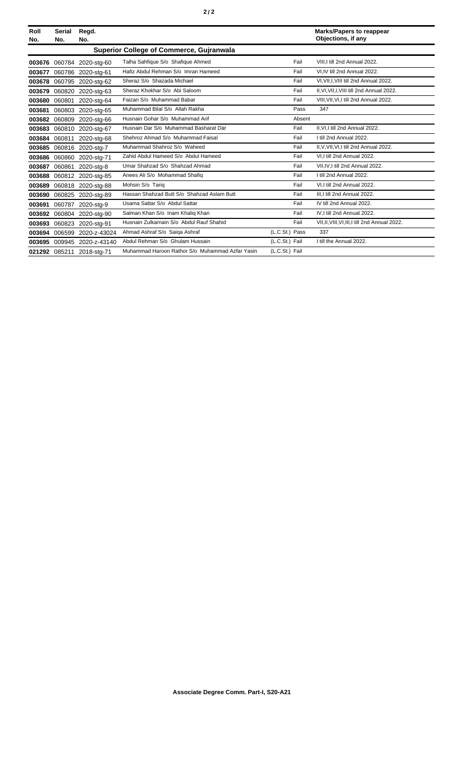| Roll<br>No. | Serial<br>No. | Regd.<br>No.              |                                                 |                | <b>Marks/Papers to reappear</b><br>Objections, if any |
|-------------|---------------|---------------------------|-------------------------------------------------|----------------|-------------------------------------------------------|
|             |               |                           | <b>Superior College of Commerce, Gujranwala</b> |                |                                                       |
| 003676      |               | 060784 2020-stg-60        | Talha Sahfique S/o Shafique Ahmed               | Fail           | VIII.I till 2nd Annual 2022.                          |
| 003677      |               | 060786 2020-stg-61        | Hafiz Abdul Rehman S/o Imran Hameed             | Fail           | VI, IV till 2nd Annual 2022.                          |
| 003678      |               | 060795 2020-stg-62        | Sheraz S/o Shazada Michael                      | Fail           | VI, VII, I, VIII till 2nd Annual 2022.                |
| 003679      |               | 060820 2020-stg-63        | Sheraz Khokhar S/o Abi Saloom                   | Fail           | II, VI, VII, I, VIII till 2nd Annual 2022.            |
| 003680      | 060801        | 2020-stg-64               | Faizan S/o Muhammad Babar                       | Fail           | VIII, VII, VI, I till 2nd Annual 2022.                |
| 003681      |               | 060803 2020-stg-65        | Muhammad Bilal S/o Allah Rakha                  | Pass           | 347                                                   |
|             |               | 003682 060809 2020-stg-66 | Husnain Gohar S/o Muhammad Arif                 | Absent         |                                                       |
| 003683      |               | 060810 2020-stg-67        | Husnain Dar S/o Muhammad Basharat Dar           | Fail           | II.VI.I till 2nd Annual 2022.                         |
|             | 003684 060811 | 2020-stg-68               | Shehroz Ahmad S/o Muhammad Faisal               | Fail           | I till 2nd Annual 2022.                               |
| 003685      |               | 060816 2020-stg-7         | Muhammad Shahroz S/o Waheed                     | Fail           | II, V, VII, VI, I till 2nd Annual 2022.               |
|             |               | 003686 060860 2020-stg-71 | Zahid Abdul Hameed S/o Abdul Hameed             | Fail           | VI.I till 2nd Annual 2022.                            |
| 003687      | 060861        | 2020-stg-8                | Umar Shahzad S/o Shahzad Ahmad                  | Fail           | VII.IV.I till 2nd Annual 2022.                        |
| 003688      |               | 060812 2020-stg-85        | Anees Ali S/o Mohammad Shafiq                   | Fail           | I till 2nd Annual 2022.                               |
| 003689      |               | 060818 2020-stg-88        | Mohsin S/o Tariq                                | Fail           | VI.I till 2nd Annual 2022.                            |
| 003690      |               | 060825 2020-stg-89        | Hassan Shahzad Butt S/o Shahzad Aslam Butt      | Fail           | III.I till 2nd Annual 2022.                           |
| 003691      | 060787        | 2020-stg-9                | Usama Sattar S/o Abdul Sattar                   | Fail           | IV till 2nd Annual 2022.                              |
| 003692      |               | 060804 2020-stg-90        | Salman Khan S/o Inam Khaliq Khan                | Fail           | IV, I till 2nd Annual 2022.                           |
| 003693      | 060823        | 2020-stg-91               | Husnain Zulkarnain S/o Abdul Rauf Shahid        | Fail           | VII, II, VIII, VI, III, I till 2nd Annual 2022.       |
| 003694      | 006599        | 2020-z-43024              | Ahmad Ashraf S/o Saiga Ashraf                   | (L.C.St.) Pass | 337                                                   |
| 003695      |               | 009945 2020-z-43140       | Abdul Rehman S/o Ghulam Hussain                 | (L.C.St.) Fail | I till the Annual 2022.                               |
|             | 021292 085211 | 2018-stg-71               | Muhammad Haroon Rathor S/o Muhammad Azfar Yasin | (L.C.St.) Fail |                                                       |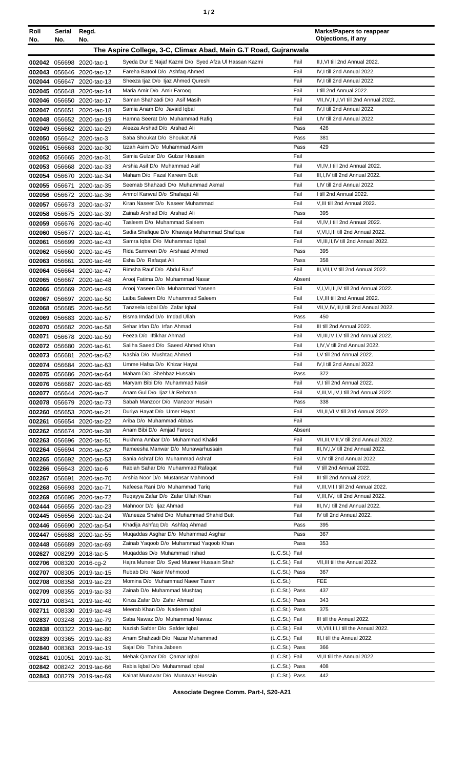| Roll             | Serial<br>No.                                                          | Regd.<br>No.                             |                                                                        |                             | <b>Marks/Papers to reappear</b><br>Objections, if any                    |
|------------------|------------------------------------------------------------------------|------------------------------------------|------------------------------------------------------------------------|-----------------------------|--------------------------------------------------------------------------|
|                  | No.<br>The Aspire College, 3-C, Climax Abad, Main G.T Road, Gujranwala |                                          |                                                                        |                             |                                                                          |
|                  |                                                                        |                                          |                                                                        |                             |                                                                          |
|                  |                                                                        | 002042 056698 2020-tac-1                 | Syeda Dur E Najaf Kazmi D/o Syed Afza Ul Hassan Kazmi                  | Fail                        | II, I, VI till 2nd Annual 2022.                                          |
| 002043           |                                                                        | 056646 2020-tac-12                       | Fareha Batool D/o Ashfaq Ahmed<br>Sheeza Ijaz D/o Ijaz Ahmed Qureshi   | Fail<br>Fail                | IV, I till 2nd Annual 2022.<br>IV, I till 2nd Annual 2022.               |
| 002044           | 056647                                                                 | 2020-tac-13                              | Maria Amir D/o Amir Farooq                                             | Fail                        | I till 2nd Annual 2022.                                                  |
| 002045<br>002046 |                                                                        | 056648 2020-tac-14<br>056650 2020-tac-17 | Saman Shahzadi D/o Asif Masih                                          | Fail                        | VII, IV, III, I, VI till 2nd Annual 2022.                                |
| 002047           |                                                                        | 056651 2020-tac-18                       | Samia Anam D/o Javaid Iqbal                                            | Fail                        | IV.I till 2nd Annual 2022.                                               |
| 002048           |                                                                        | 056652 2020-tac-19                       | Hamna Seerat D/o Muhammad Rafiq                                        | Fail                        | I.IV till 2nd Annual 2022.                                               |
| 002049           |                                                                        | 056662 2020-tac-29                       | Aleeza Arshad D/o Arshad Ali                                           | Pass                        | 426                                                                      |
| 002050           |                                                                        | 056642 2020-tac-3                        | Saba Shoukat D/o Shoukat Ali                                           | Pass                        | 381                                                                      |
| 002051           |                                                                        | 056663 2020-tac-30                       | Izzah Asim D/o Muhammad Asim                                           | Pass                        | 429                                                                      |
| 002052           |                                                                        | 056665 2020-tac-31                       | Samia Gulzar D/o Gulzar Hussain                                        | Fail                        |                                                                          |
| 002053           |                                                                        | 056668 2020-tac-33                       | Arshia Asif D/o Muhammad Asif                                          | Fail                        | VI,IV,I till 2nd Annual 2022.                                            |
| 002054           |                                                                        | 056670 2020-tac-34                       | Maham D/o Fazal Kareem Butt                                            | Fail                        | III, I, IV till 2nd Annual 2022.                                         |
| 002055           | 056671                                                                 | 2020-tac-35                              | Seemab Shahzadi D/o Muhammad Akmal                                     | Fail                        | I,IV till 2nd Annual 2022.                                               |
| 002056           |                                                                        | 056672 2020-tac-36                       | Anmol Kanwal D/o Shafaqat Ali                                          | Fail                        | I till 2nd Annual 2022.                                                  |
| 002057           |                                                                        | 056673 2020-tac-37                       | Kiran Naseer D/o Naseer Muhammad                                       | Fail                        | V, III till 2nd Annual 2022.                                             |
| 002058           |                                                                        | 056675 2020-tac-39                       | Zainab Arshad D/o Arshad Ali<br>Tasleem D/o Muhammad Saleem            | Pass<br>Fail                | 395<br>VI, IV, I till 2nd Annual 2022.                                   |
| 002059<br>002060 | 056677                                                                 | 056676 2020-tac-40<br>2020-tac-41        | Sadia Shafique D/o Khawaja Muhammad Shafique                           | Fail                        | V.VI.I.III till 2nd Annual 2022.                                         |
| 002061           | 056699                                                                 | 2020-tac-43                              | Samra Iqbal D/o Muhammad Iqbal                                         | Fail                        | VI, III, II, IV till 2nd Annual 2022.                                    |
| 002062           |                                                                        | 056660 2020-tac-45                       | Rida Samreen D/o Arshaad Ahmed                                         | Pass                        | 395                                                                      |
| 002063           | 056661                                                                 | 2020-tac-46                              | Esha D/o Rafaqat Ali                                                   | Pass                        | 358                                                                      |
| 002064           |                                                                        | 056664 2020-tac-47                       | Rimsha Rauf D/o Abdul Rauf                                             | Fail                        | III, VII, I, V till 2nd Annual 2022.                                     |
| 002065           |                                                                        | 056667 2020-tac-48                       | Arooj Fatima D/o Muhammad Nasar                                        | Absent                      |                                                                          |
| 002066           |                                                                        | 056669 2020-tac-49                       | Arooj Yaseen D/o Muhammad Yaseen                                       | Fail                        | V,I, VI, III, IV till 2nd Annual 2022.                                   |
| 002067           |                                                                        | 056697 2020-tac-50                       | Laiba Saleem D/o Muhammad Saleem                                       | Fail                        | I, V, III till 2nd Annual 2022.                                          |
| 002068           |                                                                        | 056685 2020-tac-56                       | Tanzeela Iqbal D/o Zafar Iqbal                                         | Fail                        | VII, V, IV, III, I till 2nd Annual 2022.                                 |
| 002069           |                                                                        | 056683 2020-tac-57                       | Bisma Imdad D/o Imdad Ullah                                            | Pass                        | 450                                                                      |
| 002070           |                                                                        | 056682 2020-tac-58                       | Sehar Irfan D/o Irfan Ahmad<br>Feeza D/o Iftikhar Ahmad                | Fail                        | III till 2nd Annual 2022.                                                |
| 002071           |                                                                        | 056678 2020-tac-59                       | Saliha Saeed D/o Saeed Ahmed Khan                                      | Fail<br>Fail                | VI, III, IV, I, V till 2nd Annual 2022.<br>I,IV, V till 2nd Annual 2022. |
| 002072<br>002073 | 056681                                                                 | 056680 2020-tac-61<br>2020-tac-62        | Nashia D/o Mushtaq Ahmed                                               | Fail                        | I.V till 2nd Annual 2022.                                                |
|                  |                                                                        | 002074 056684 2020-tac-63                | Umme Hafsa D/o Khizar Hayat                                            | Fail                        | IV.I till 2nd Annual 2022.                                               |
| 002075           |                                                                        | 056686 2020-tac-64                       | Maham D/o Shehbaz Hussain                                              | Pass                        | 372                                                                      |
|                  | 002076 056687                                                          | 2020-tac-65                              | Maryam Bibi D/o Muhammad Nasir                                         | Fail                        | V,I till 2nd Annual 2022.                                                |
| 002077           |                                                                        | 056644 2020-tac-7                        | Anam Gul D/o Ijaz Ur Rehman                                            | Fail                        | V, III, VI, IV, I till 2nd Annual 2022.                                  |
| 002078           |                                                                        | 056679 2020-tac-73                       | Sabah Manzoor D/o Manzoor Husain                                       | Pass                        | 338                                                                      |
|                  |                                                                        | 002260 056653 2020-tac-21                | Duriya Hayat D/o Umer Hayat                                            | Fail                        | VII, II, VI, V till 2nd Annual 2022.                                     |
| 002261           |                                                                        | 056654 2020-tac-22                       | Ariba D/o Muhammad Abbas                                               | Fail                        |                                                                          |
|                  |                                                                        | 002262 056674 2020-tac-38                | Anam Bibi D/o Amjad Farooq                                             | Absent                      |                                                                          |
| 002263           |                                                                        | 056696 2020-tac-51                       | Rukhma Ambar D/o Muhammad Khalid                                       | Fail                        | VII, III, VIII, V till 2nd Annual 2022.                                  |
| 002264           |                                                                        | 056694 2020-tac-52                       | Rameesha Manwar D/o Munawarhussain<br>Sania Ashraf D/o Muhammad Ashraf | Fail<br>Fail                | III, IV, I, V till 2nd Annual 2022.<br>V, IV till 2nd Annual 2022.       |
| 002265           |                                                                        | 056692 2020-tac-53                       | Rabiah Sahar D/o Muhammad Rafaqat                                      | Fail                        | V till 2nd Annual 2022.                                                  |
| 002266<br>002267 |                                                                        | 056643 2020-tac-6<br>056691 2020-tac-70  | Arshia Noor D/o Mustansar Mahmood                                      | Fail                        | III till 2nd Annual 2022.                                                |
| 002268           |                                                                        | 056693 2020-tac-71                       | Nafeesa Rani D/o Muhammad Tariq                                        | Fail                        | V, III, VII, I till 2nd Annual 2022.                                     |
| 002269           |                                                                        | 056695 2020-tac-72                       | Rugayya Zafar D/o Zafar Ullah Khan                                     | Fail                        | V, III, IV, I till 2nd Annual 2022.                                      |
|                  |                                                                        | 002444 056655 2020-tac-23                | Mahnoor D/o Ijaz Ahmad                                                 | Fail                        | III, IV, I till 2nd Annual 2022.                                         |
| 002445           |                                                                        | 056656 2020-tac-24                       | Waneeza Shahid D/o Muhammad Shahid Butt                                | Fail                        | IV till 2nd Annual 2022.                                                 |
| 002446           | 056690                                                                 | 2020-tac-54                              | Khadija Ashfaq D/o Ashfaq Ahmad                                        | Pass                        | 395                                                                      |
| 002447           |                                                                        | 056688 2020-tac-55                       | Mugaddas Asghar D/o Muhammad Asghar                                    | Pass                        | 367                                                                      |
| 002448           |                                                                        | 056689 2020-tac-69                       | Zainab Yaqoob D/o Muhammad Yaqoob Khan                                 | Pass                        | 353                                                                      |
| 002627           |                                                                        | 008299 2018-tac-5                        | Mugaddas D/o Muhammad Irshad                                           | (L.C.St.) Fail              |                                                                          |
| 002706           |                                                                        | 008320 2016-cg-2                         | Hajra Muneer D/o Syed Muneer Hussain Shah                              | (L.C.St.) Fail              | VII, III till the Annual 2022.                                           |
|                  |                                                                        | 002707 008305 2019-tac-15                | Rubab D/o Nasir Mehmood<br>Momina D/o Muhammad Naeer Tararr            | (L.C.St.) Pass              | 367<br><b>FEE</b>                                                        |
| 002708           |                                                                        | 008358 2019-tac-23                       | Zainab D/o Muhammad Mushtag                                            | (L.C.St.)<br>(L.C.St.) Pass | 437                                                                      |
| 002709           | 008341                                                                 | 008355 2019-tac-33<br>2019-tac-40        | Kinza Zafar D/o Zafar Ahmad                                            | (L.C.St.) Pass              | 343                                                                      |
| 002710<br>002711 |                                                                        | 008330 2019-tac-48                       | Meerab Khan D/o Nadeem Iqbal                                           | (L.C.St.) Pass              | 375                                                                      |
| 002837           |                                                                        | 003248 2019-tac-79                       | Saba Nawaz D/o Muhammad Nawaz                                          | (L.C.St.) Fail              | III till the Annual 2022.                                                |
| 002838           |                                                                        | 003322 2019-tac-80                       | Nazish Safder D/o Safder Iqbal                                         | (L.C.St.) Fail              | VI, VIII, III, I till the Annual 2022.                                   |
| 002839           |                                                                        | 003365 2019-tac-83                       | Anam Shahzadi D/o Nazar Muhammad                                       | (L.C.St.) Fail              | III,I till the Annual 2022.                                              |
| 002840           |                                                                        | 008363 2019-tac-19                       | Sajal D/o Tahira Jabeen                                                | (L.C.St.) Pass              | 366                                                                      |
| 002841           |                                                                        | 010051 2019-tac-31                       | Mehak Qamar D/o Qamar Iqbal                                            | (L.C.St.) Fail              | VI, II till the Annual 2022.                                             |
|                  |                                                                        | 002842 008242 2019-tac-66                | Rabia Iqbal D/o Muhammad Iqbal                                         | (L.C.St.) Pass              | 408                                                                      |
|                  |                                                                        | 002843 008279 2019-tac-69                | Kainat Munawar D/o Munawar Hussain                                     | (L.C.St.) Pass              | 442                                                                      |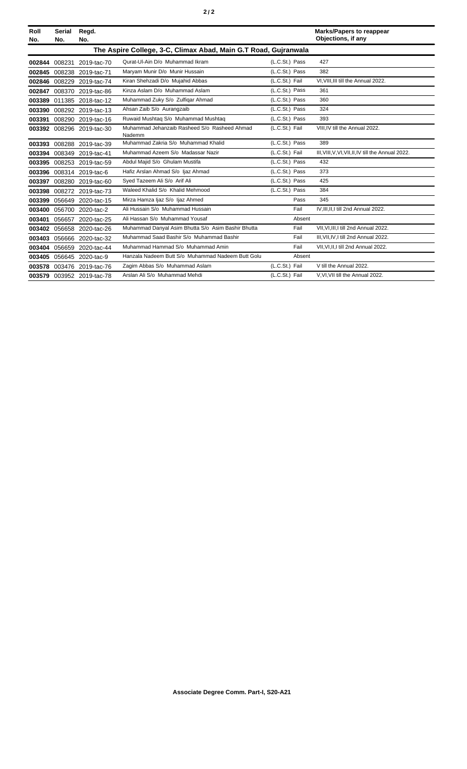|--|--|--|

| Roll<br>No. | Serial<br>No.                                                   | Regd.<br>No.              |                                                        |                |        | <b>Marks/Papers to reappear</b><br>Objections, if any |
|-------------|-----------------------------------------------------------------|---------------------------|--------------------------------------------------------|----------------|--------|-------------------------------------------------------|
|             | The Aspire College, 3-C, Climax Abad, Main G.T Road, Gujranwala |                           |                                                        |                |        |                                                       |
| 002844      | 008231                                                          | 2019-tac-70               | Qurat-UI-Ain D/o Muhammad Ikram                        | (L.C.St.) Pass |        | 427                                                   |
| 002845      |                                                                 | 008238 2019-tac-71        | Maryam Munir D/o Munir Hussain                         | (L.C.St.) Pass |        | 382                                                   |
| 002846      | 008229                                                          | 2019-tac-74               | Kiran Shehzadi D/o Mujahid Abbas                       | (L.C.St.) Fail |        | VI, VIII, III till the Annual 2022.                   |
| 002847      |                                                                 | 008370 2019-tac-86        | Kinza Aslam D/o Muhammad Aslam                         | (L.C.St.) Pass |        | 361                                                   |
| 003389      |                                                                 | 011385 2018-tac-12        | Muhammad Zuky S/o Zulfiqar Ahmad                       | (L.C.St.) Pass |        | 360                                                   |
|             |                                                                 | 003390 008292 2019-tac-13 | Ahsan Zaib S/o Aurangzaib                              | (L.C.St.) Pass |        | 324                                                   |
| 003391      |                                                                 | 008290 2019-tac-16        | Ruwaid Mushtag S/o Muhammad Mushtag                    | (L.C.St.) Pass |        | 393                                                   |
|             |                                                                 | 003392 008296 2019-tac-30 | Muhammad Jehanzaib Rasheed S/o Rasheed Ahmad<br>Nademm | (L.C.St.) Fail |        | VIII.IV till the Annual 2022.                         |
| 003393      |                                                                 | 008288 2019-tac-39        | Muhammad Zakria S/o Muhammad Khalid                    | (L.C.St.) Pass |        | 389                                                   |
| 003394      |                                                                 | 008349 2019-tac-41        | Muhammad Azeem S/o Madassar Nazir                      | (L.C.St.) Fail |        | III, VIII, V, VI, VII, II, IV till the Annual 2022.   |
| 003395      |                                                                 | 008253 2019-tac-59        | Abdul Majid S/o Ghulam Mustifa                         | (L.C.St.) Pass |        | 432                                                   |
|             |                                                                 | 003396 008314 2019-tac-6  | Hafiz Arslan Ahmad S/o Ijaz Ahmad                      | (L.C.St.) Pass |        | 373                                                   |
| 003397      |                                                                 | 008280 2019-tac-60        | Syed Tazeem Ali S/o Arif Ali                           | (L.C.St.) Pass |        | 425                                                   |
|             |                                                                 | 003398 008272 2019-tac-73 | Waleed Khalid S/o Khalid Mehmood                       | (L.C.St.) Pass |        | 384                                                   |
| 003399      | 056649                                                          | 2020-tac-15               | Mirza Hamza Ijaz S/o Ijaz Ahmed                        |                | Pass   | 345                                                   |
| 003400      |                                                                 | 056700 2020-tac-2         | Ali Hussain S/o Muhammad Hussain                       |                | Fail   | IV.III.II.I till 2nd Annual 2022.                     |
| 003401      |                                                                 | 056657 2020-tac-25        | Ali Hassan S/o Muhammad Yousaf                         |                | Absent |                                                       |
| 003402      |                                                                 | 056658 2020-tac-26        | Muhammad Danyal Asim Bhutta S/o Asim Bashir Bhutta     |                | Fail   | VII.VI.III.I till 2nd Annual 2022.                    |
| 003403      |                                                                 | 056666 2020-tac-32        | Muhammad Saad Bashir S/o Muhammad Bashir               |                | Fail   | III.VII.IV.I till 2nd Annual 2022.                    |
| 003404      |                                                                 | 056659 2020-tac-44        | Muhammad Hammad S/o Muhammad Amin                      |                | Fail   | VII, VI, II, I till 2nd Annual 2022.                  |
| 003405      |                                                                 | 056645 2020-tac-9         | Hanzala Nadeem Butt S/o Muhammad Nadeem Butt Golu      |                | Absent |                                                       |
|             |                                                                 | 003578 003476 2019-tac-76 | Zagim Abbas S/o Muhammad Aslam                         | (L.C.St.) Fail |        | V till the Annual 2022.                               |
|             |                                                                 | 003579 003952 2019-tac-78 | Arslan Ali S/o Muhammad Mehdi                          | (L.C.St.) Fail |        | V, VI, VII till the Annual 2022.                      |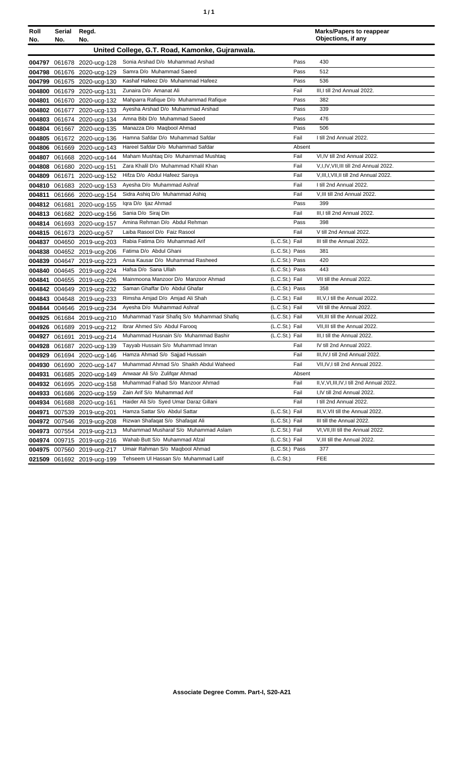| ٦ | ٠ |
|---|---|
|   |   |

| Roll<br>No. | Serial Regd.<br>No.                             | No.                        |                                           |                | <b>Marks/Papers to reappear</b><br>Objections, if any |  |
|-------------|-------------------------------------------------|----------------------------|-------------------------------------------|----------------|-------------------------------------------------------|--|
|             | United College, G.T. Road, Kamonke, Gujranwala. |                            |                                           |                |                                                       |  |
|             |                                                 | 004797 061678 2020-ucg-128 | Sonia Arshad D/o Muhammad Arshad          | Pass           | 430                                                   |  |
|             |                                                 | 004798 061676 2020-ucg-129 | Samra D/o Muhammad Saeed                  | Pass           | 512                                                   |  |
|             |                                                 | 004799 061675 2020-ucg-130 | Kashaf Hafeez D/o Muhammad Hafeez         | Pass           | 536                                                   |  |
|             |                                                 | 004800 061679 2020-ucg-131 | Zunaira D/o Amanat Ali                    | Fail           | III, I till 2nd Annual 2022.                          |  |
| 004801      |                                                 | 061670 2020-ucg-132        | Mahparra Rafique D/o Muhammad Rafique     | Pass           | 382                                                   |  |
|             |                                                 | 004802 061677 2020-ucg-133 | Ayesha Arshad D/o Muhammad Arshad         | Pass           | 339                                                   |  |
| 004803      |                                                 | 061674 2020-ucg-134        | Amna Bibi D/o Muhammad Saeed              | Pass           | 476                                                   |  |
|             |                                                 | 004804 061667 2020-ucg-135 | Manazza D/o Maqbool Ahmad                 | Pass           | 506                                                   |  |
|             |                                                 | 004805 061672 2020-ucg-136 | Hamna Safdar D/o Muhammad Safdar          | Fail           | I till 2nd Annual 2022.                               |  |
|             |                                                 | 004806 061669 2020-ucg-143 | Hareel Safdar D/o Muhammad Safdar         | Absent         |                                                       |  |
|             |                                                 | 004807 061668 2020-ucg-144 | Maham Mushtaq D/o Muhammad Mushtaq        | Fail           | VI, IV till 2nd Annual 2022.                          |  |
|             |                                                 | 004808 061680 2020-ucg-151 | Zara Khalil D/o Muhammad Khalil Khan      | Fail           | V, I, IV, VII, III till 2nd Annual 2022.              |  |
|             | 004809 061671                                   | 2020-ucg-152               | Hifza D/o Abdul Hafeez Saroya             | Fail           | V, III, I, VII, II till 2nd Annual 2022.              |  |
|             |                                                 | 004810 061683 2020-ucg-153 | Ayesha D/o Muhammad Ashraf                | Fail           | I till 2nd Annual 2022.                               |  |
| 004811      |                                                 | 061666 2020-ucg-154        | Sidra Ashiq D/o Muhammad Ashiq            | Fail           | V, III till 2nd Annual 2022.                          |  |
|             |                                                 | 004812 061681 2020-ucg-155 | Igra D/o Ijaz Ahmad                       | Pass           | 399                                                   |  |
|             |                                                 | 004813 061682 2020-ucg-156 | Sania D/o Siraj Din                       | Fail           | III, I till 2nd Annual 2022.                          |  |
|             |                                                 | 004814 061693 2020-ucg-157 | Amina Rehman D/o Abdul Rehman             | Pass           | 398                                                   |  |
|             |                                                 | 004815 061673 2020-ucg-57  | Laiba Rasool D/o Faiz Rasool              | Fail           | V till 2nd Annual 2022.                               |  |
|             |                                                 | 004837 004650 2019-ucg-203 | Rabia Fatima D/o Muhammad Arif            | (L.C.St.) Fail | III till the Annual 2022.                             |  |
|             |                                                 | 004838 004652 2019-ucg-206 | Fatima D/o Abdul Ghani                    | (L.C.St.) Pass | 381                                                   |  |
|             |                                                 | 004839 004647 2019-ucg-223 | Ansa Kausar D/o Muhammad Rasheed          | (L.C.St.) Pass | 420                                                   |  |
|             |                                                 | 004840 004645 2019-ucg-224 | Hafsa D/o Sana Ullah                      | (L.C.St.) Pass | 443                                                   |  |
| 004841      |                                                 | 004655 2019-ucg-226        | Mainmoona Manzoor D/o Manzoor Ahmad       | (L.C.St.) Fail | VII till the Annual 2022.                             |  |
|             |                                                 | 004842 004649 2019-ucg-232 | Saman Ghaffar D/o Abdul Ghafar            | (L.C.St.) Pass | 358                                                   |  |
|             |                                                 | 004843 004648 2019-ucg-233 | Rimsha Amjad D/o Amjad Ali Shah           | (L.C.St.) Fail | III, V, I till the Annual 2022.                       |  |
|             |                                                 | 004844 004646 2019-ucg-234 | Ayesha D/o Muhammad Ashraf                | (L.C.St.) Fail | VII till the Annual 2022.                             |  |
|             |                                                 | 004925 061684 2019-ucg-210 | Muhammad Yasir Shafiq S/o Muhammad Shafiq | (L.C.St.) Fail | VII, III till the Annual 2022.                        |  |
|             |                                                 | 004926 061689 2019-ucg-212 | Ibrar Ahmed S/o Abdul Farooq              | (L.C.St.) Fail | VII, III till the Annual 2022.                        |  |
| 004927      |                                                 | 061691 2019-ucg-214        | Muhammad Husnain S/o Muhammad Bashir      | (L.C.St.) Fail | III, I till the Annual 2022.                          |  |
|             |                                                 | 004928 061687 2020-ucg-139 | Tayyab Hussain S/o Muhammad Imran         | Fail           | IV till 2nd Annual 2022.                              |  |
|             |                                                 | 004929 061694 2020-ucg-146 | Hamza Ahmad S/o Sajjad Hussain            | Fail           | III, IV, I till 2nd Annual 2022.                      |  |
|             |                                                 | 004930 061690 2020-ucg-147 | Muhammad Ahmad S/o Shaikh Abdul Waheed    | Fail           | VII, IV, I till 2nd Annual 2022.                      |  |
|             |                                                 | 004931 061685 2020-ucg-149 | Anwaar Ali S/o Zulifqar Ahmad             | Absent         |                                                       |  |
|             |                                                 | 004932 061695 2020-ucg-158 | Muhammad Fahad S/o Manzoor Ahmad          | Fail           | II, V, VI, III, IV, I till 2nd Annual 2022.           |  |
|             |                                                 | 004933 061686 2020-ucg-159 | Zain Arif S/o Muhammad Arif               | Fail           | I,IV till 2nd Annual 2022.                            |  |
|             |                                                 | 004934 061688 2020-ucg-161 | Haider Ali S/o Syed Umar Daraz Gillani    | Fail           | I till 2nd Annual 2022.                               |  |
| 004971      |                                                 | 007539 2019-ucg-201        | Hamza Sattar S/o Abdul Sattar             | (L.C.St.) Fail | III, V, VII till the Annual 2022.                     |  |
|             |                                                 | 004972 007546 2019-ucg-208 | Rizwan Shafaqat S/o Shafaqat Ali          | (L.C.St.) Fail | III till the Annual 2022.                             |  |
|             |                                                 | 004973 007554 2019-ucg-213 | Muhammad Musharaf S/o Muhammad Aslam      | (L.C.St.) Fail | VI, VII, III till the Annual 2022.                    |  |
|             |                                                 | 004974 009715 2019-ucg-216 | Wahab Butt S/o Muhammad Afzal             | (L.C.St.) Fail | V, III till the Annual 2022.                          |  |
|             |                                                 | 004975 007560 2019-ucg-217 | Umair Rahman S/o Maqbool Ahmad            | (L.C.St.) Pass | 377                                                   |  |
|             |                                                 | 021509 061692 2019-ucg-199 | Tehseem UI Hassan S/o Muhammad Latif      | (L.C.St.)      | FEE                                                   |  |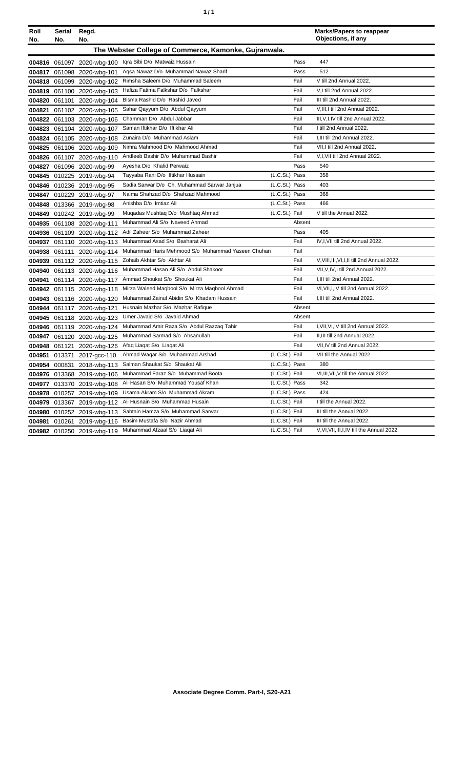| ٠ | ٠ |
|---|---|
|   |   |

| Roll   | Serial        | Regd.                      |                                                       |                |        | <b>Marks/Papers to reappear</b><br>Objections, if any |
|--------|---------------|----------------------------|-------------------------------------------------------|----------------|--------|-------------------------------------------------------|
| No.    | No.           | No.                        |                                                       |                |        |                                                       |
|        |               |                            | The Webster College of Commerce, Kamonke, Gujranwala. |                |        |                                                       |
|        |               | 004816 061097 2020-wbg-100 | Igra Bibi D/o Matwaiz Hussain                         |                | Pass   | 447                                                   |
|        |               | 004817 061098 2020-wbg-101 | Agsa Nawaz D/o Muhammad Nawaz Sharif                  |                | Pass   | 512                                                   |
|        |               | 004818 061099 2020-wbg-102 | Rimsha Saleem D/o Muhammad Saleem                     |                | Fail   | V till 2nd Annual 2022.                               |
|        |               | 004819 061100 2020-wbg-103 | Hafiza Fatima Falkshar D/o Falkshar                   |                | Fail   | V,I till 2nd Annual 2022.                             |
|        | 004820 061101 | 2020-wbg-104               | Bisma Rashid D/o Rashid Javed                         |                | Fail   | III till 2nd Annual 2022.                             |
| 004821 |               | 061102 2020-wbg-105        | Sahar Qayyum D/o Abdul Qayyum                         |                | Fail   | V, III, I till 2nd Annual 2022.                       |
|        |               | 004822 061103 2020-wbg-106 | Chamman D/o Abdul Jabbar                              |                | Fail   | III, V, I, IV till 2nd Annual 2022.                   |
|        |               | 004823 061104 2020-wbg-107 | Saman Iftikhar D/o Iftikhar Ali                       |                | Fail   | I till 2nd Annual 2022.                               |
|        |               | 004824 061105 2020-wbg-108 | Zunaira D/o Muhammad Aslam                            |                | Fail   | I, III till 2nd Annual 2022.                          |
|        |               | 004825 061106 2020-wbg-109 | Nimra Mahmood D/o Mahmood Ahmad                       |                | Fail   | VII, I till 2nd Annual 2022.                          |
|        |               | 004826 061107 2020-wbg-110 | Andleeb Bashir D/o Muhammad Bashir                    |                | Fail   | V,I, VII till 2nd Annual 2022.                        |
|        |               | 004827 061096 2020-wbg-99  | Ayesha D/o Khalid Perwaiz                             |                | Pass   | 540                                                   |
|        |               | 004845 010225 2019-wbg-94  | Tayyaba Rani D/o Iftikhar Hussain                     | (L.C.St.) Pass |        | 358                                                   |
|        |               | 004846 010236 2019-wbg-95  | Sadia Sarwar D/o Ch. Muhammad Sarwar Janjua           | (L.C.St.) Pass |        | 403                                                   |
|        |               | 004847 010229 2019-wbg-97  | Naima Shahzad D/o Shahzad Mahmood                     | (L.C.St.) Pass |        | 368                                                   |
|        |               | 004848 013366 2019-wbg-98  | Anishba D/o Imtiaz Ali                                | (L.C.St.) Pass |        | 466                                                   |
|        |               | 004849 010242 2019-wbg-99  | Muqadas Mushtaq D/o Mushtaq Ahmad                     | (L.C.St.) Fail |        | V till the Annual 2022.                               |
|        |               | 004935 061108 2020-wbg-111 | Muhammad Ali S/o Naveed Ahmad                         |                | Absent |                                                       |
|        |               | 004936 061109 2020-wbg-112 | Adil Zaheer S/o Muhammad Zaheer                       |                | Pass   | 405                                                   |
|        |               | 004937 061110 2020-wbg-113 | Muhammad Asad S/o Basharat Ali                        |                | Fail   | IV, I, VII till 2nd Annual 2022.                      |
|        | 004938 061111 | 2020-wbg-114               | Muhammad Haris Mehmood S/o Muhammad Yaseen Chuhan     |                | Fail   |                                                       |
|        |               | 004939 061112 2020-wbg-115 | Zohaib Akhtar S/o Akhtar Ali                          |                | Fail   | V, VIII, III, VI, I, II till 2nd Annual 2022.         |
|        |               | 004940 061113 2020-wbg-116 | Muhammad Hasan Ali S/o Abdul Shakoor                  |                | Fail   | VII, V, IV, I till 2nd Annual 2022.                   |
| 004941 |               | 061114 2020-wbg-117        | Ammad Shoukat S/o Shoukat Ali                         |                | Fail   | I, III till 2nd Annual 2022.                          |
|        |               | 004942 061115 2020-wbg-118 | Mirza Waleed Maqbool S/o Mirza Maqbool Ahmad          |                | Fail   | VI, VII, I, IV till 2nd Annual 2022.                  |
|        |               | 004943 061116 2020-wbg-120 | Muhammad Zainul Abidin S/o Khadam Hussain             |                | Fail   | I, III till 2nd Annual 2022.                          |
|        |               | 004944 061117 2020-wbg-121 | Husnain Mazhar S/o Mazhar Rafique                     |                | Absent |                                                       |
|        |               | 004945 061118 2020-wbg-123 | Umer Javaid S/o Javaid Ahmad                          |                | Absent |                                                       |
|        |               | 004946 061119 2020-wbg-124 | Muhammad Amir Raza S/o Abdul Razzaq Tahir             |                | Fail   | I, VII, VI, IV till 2nd Annual 2022.                  |
| 004947 |               | 061120 2020-wbg-125        | Muhammad Sarmad S/o Ahsanullah                        |                | Fail   | II, III till 2nd Annual 2022.                         |
| 004948 |               | 061121 2020-wbg-126        | Afaq Liaqat S/o Liaqat Ali                            |                | Fail   | VII, IV till 2nd Annual 2022.                         |
|        |               | 004951 013371 2017-acc-110 | Ahmad Wagar S/o Muhammad Arshad                       | (L.C.St.) Fail |        | VII till the Annual 2022.                             |
|        |               | 004954 000831 2018-wbg-113 | Salman Shaukat S/o Shaukat Ali                        | (L.C.St.) Pass |        | 380                                                   |
|        |               | 004976 013368 2019-wbg-106 | Muhammad Faraz S/o Muhammad Boota                     | (L.C.St.) Fail |        | VI, III, VII, V till the Annual 2022.                 |
|        |               | 004977 013370 2019-wbg-108 | Ali Hasan S/o Muhammad Yousaf Khan                    | (L.C.St.) Pass |        | 342                                                   |
|        |               | 004978 010257 2019-wbg-109 | Usama Akram S/o Muhammad Akram                        | (L.C.St.) Pass |        | 424                                                   |
|        |               | 004979 013367 2019-wbg-112 | Ali Husnain S/o Muhammad Husain                       | (L.C.St.) Fail |        | I till the Annual 2022.                               |
|        |               | 004980 010252 2019-wbg-113 | Sabtain Hamza S/o Muhammad Sarwar                     | (L.C.St.) Fail |        | III till the Annual 2022.                             |
| 004981 |               | 010261 2019-wbg-116        | Basim Mustafa S/o Nazir Ahmad                         | (L.C.St.) Fail |        | III till the Annual 2022.                             |
|        |               | 004982 010250 2019-wbg-119 | Muhammad Afzaal S/o Liaqat Ali                        | (L.C.St.) Fail |        | V, VI, VII, III, I, IV till the Annual 2022.          |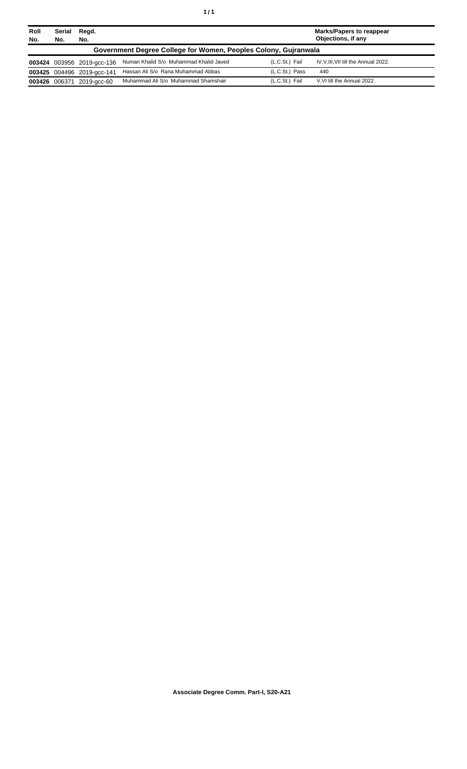| Roll<br>No. | Serial<br>No.                                                   | Regd.<br>No.               |                                        |                | <b>Marks/Papers to reappear</b><br>Objections, if any |  |  |
|-------------|-----------------------------------------------------------------|----------------------------|----------------------------------------|----------------|-------------------------------------------------------|--|--|
|             | Government Degree College for Women, Peoples Colony, Gujranwala |                            |                                        |                |                                                       |  |  |
|             |                                                                 | 003424 003956 2019-acc-136 | Numan Khalid S/o Muhammad Khalid Javed | (L.C.St.) Fail | IV, V, III, VII till the Annual 2022.                 |  |  |
|             |                                                                 | 003425 004496 2019-acc-141 | Hassan Ali S/o Rana Muhammad Abbas     | (L.C.St.) Pass | 440                                                   |  |  |
|             | 003426 006371                                                   | 2019-acc-60                | Muhammad Ali S/o Muhammad Shamshair    | (L.C.St.) Fail | V.VI till the Annual 2022.                            |  |  |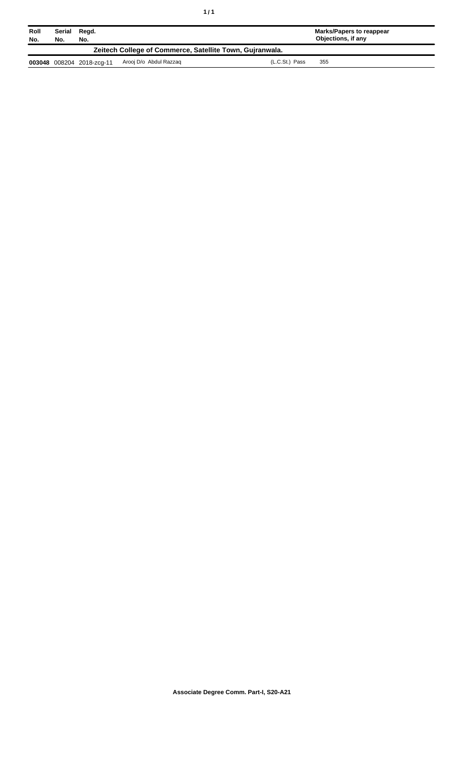| Roll<br>No.                                              | Serial<br>Regd.<br>No.<br>No. |                           |                        | <b>Marks/Papers to reappear</b><br>Objections, if any |     |  |
|----------------------------------------------------------|-------------------------------|---------------------------|------------------------|-------------------------------------------------------|-----|--|
| Zeitech College of Commerce, Satellite Town, Guiranwala. |                               |                           |                        |                                                       |     |  |
|                                                          |                               | 003048 008204 2018-zcg-11 | Arooj D/o Abdul Razzag | (L.C.St.) Pass                                        | 355 |  |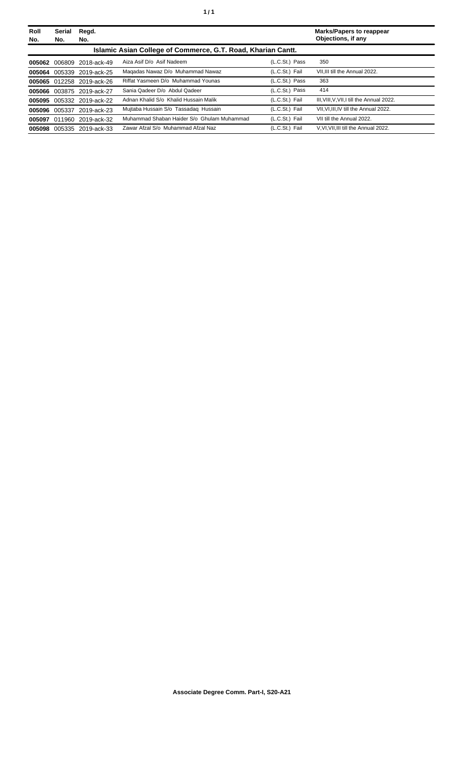| Roll<br>No. | <b>Serial</b><br>No. | Regd.<br>No.              |                                                              |                | <b>Marks/Papers to reappear</b><br>Objections, if any |
|-------------|----------------------|---------------------------|--------------------------------------------------------------|----------------|-------------------------------------------------------|
|             |                      |                           | Islamic Asian College of Commerce, G.T. Road, Kharian Cantt. |                |                                                       |
| 005062      |                      | 006809 2018-ack-49        | Aiza Asif D/o Asif Nadeem                                    | (L.C.St.) Pass | 350                                                   |
| 005064      | 005339               | 2019-ack-25               | Magadas Nawaz D/o Muhammad Nawaz                             | (L.C.St.) Fail | VII.III till the Annual 2022.                         |
|             |                      | 005065 012258 2019-ack-26 | Riffat Yasmeen D/o Muhammad Younas                           | (L.C.St.) Pass | 363                                                   |
|             |                      | 005066 003875 2019-ack-27 | Sania Qadeer D/o Abdul Qadeer                                | (L.C.St.) Pass | 414                                                   |
| 005095      |                      | 005332 2019-ack-22        | Adnan Khalid S/o Khalid Hussain Malik                        | (L.C.St.) Fail | III, VIII, V, VII, I till the Annual 2022.            |
| 005096      | 005337               | 2019-ack-23               | Mujtaba Hussain S/o Tassadag Hussain                         | (L.C.St.) Fail | VII.VI.III.IV till the Annual 2022.                   |
|             |                      | 005097 011960 2019-ack-32 | Muhammad Shaban Haider S/o Ghulam Muhammad                   | (L.C.St.) Fail | VII till the Annual 2022.                             |
| 005098      |                      | 005335 2019-ack-33        | Zawar Afzal S/o Muhammad Afzal Naz                           | (L.C.St.) Fail | V.VI.VII.III till the Annual 2022.                    |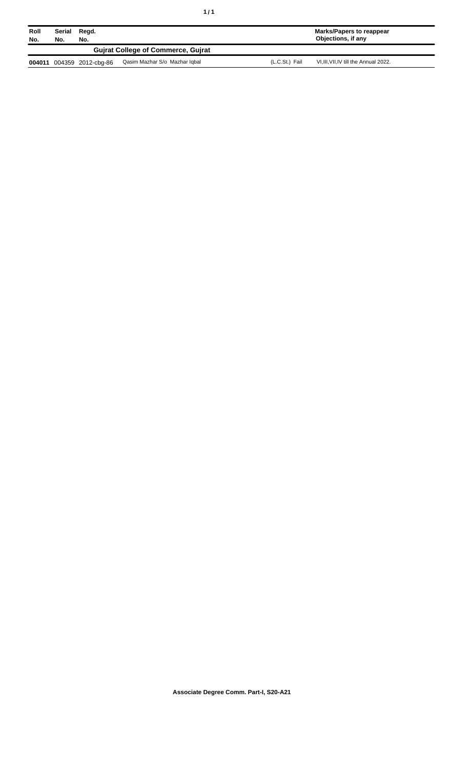| Roll<br>No. | Serial<br>No.                             | Regd.<br>No.       |                               |                | Marks/Papers to reappear<br>Objections, if any |  |
|-------------|-------------------------------------------|--------------------|-------------------------------|----------------|------------------------------------------------|--|
|             | <b>Guirat College of Commerce, Guirat</b> |                    |                               |                |                                                |  |
| 004011      |                                           | 004359 2012-cbg-86 | Qasim Mazhar S/o Mazhar Iqbal | (L.C.St.) Fail | VI, III, VII, IV till the Annual 2022.         |  |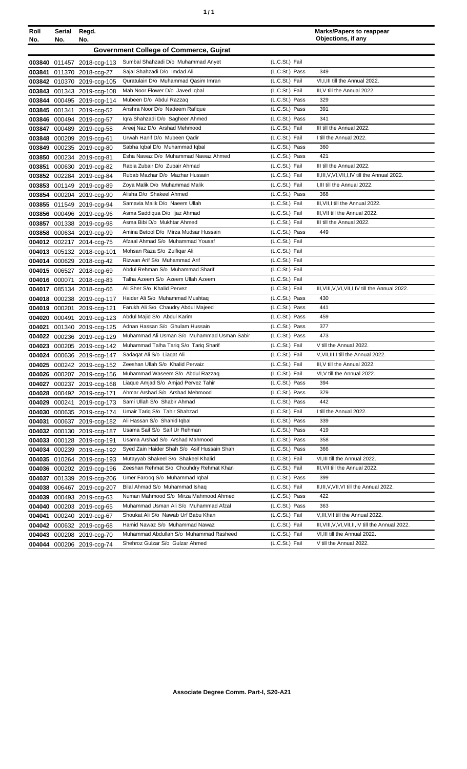| ٠ | ٠ |
|---|---|
|   |   |

| Roll<br>No. | Serial<br>No. | Regd.<br>No.               |                                               |                | <b>Marks/Papers to reappear</b><br>Objections, if any |
|-------------|---------------|----------------------------|-----------------------------------------------|----------------|-------------------------------------------------------|
|             |               |                            | <b>Government College of Commerce, Gujrat</b> |                |                                                       |
|             |               | 003840 011457 2018-ccg-113 | Sumbal Shahzadi D/o Muhammad Anyet            | (L.C.St.) Fail |                                                       |
| 003841      |               | 011370 2018-ccg-27         | Sajal Shahzadi D/o Imdad Ali                  | (L.C.St.) Pass | 349                                                   |
|             |               | 003842 010370 2019-ccg-105 | Quratulain D/o Muhammad Qasim Imran           | (L.C.St.) Fail | VI.I.III till the Annual 2022.                        |
|             |               | 003843 001343 2019-ccg-108 | Mah Noor Flower D/o Javed Iqbal               | (L.C.St.) Fail | III, V till the Annual 2022.                          |
| 003844      |               | 000495 2019-ccg-114        | Mubeen D/o Abdul Razzaq                       | (L.C.St.) Pass | 329                                                   |
|             |               | 003845 001341 2019-ccg-52  | Anshra Noor D/o Nadeem Rafique                | (L.C.St.) Pass | 391                                                   |
|             |               | 003846 000494 2019-ccg-57  | Iqra Shahzadi D/o Sagheer Ahmed               | (L.C.St.) Pass | 341                                                   |
| 003847      |               | 000489 2019-ccg-58         | Areej Naz D/o Arshad Mehmood                  | (L.C.St.) Fail | III till the Annual 2022.                             |
|             |               | 003848 000209 2019-ccg-61  | Urwah Hanif D/o Mubeen Qadir                  | (L.C.St.) Fail | I till the Annual 2022.                               |
| 003849      |               | 000235 2019-ccg-80         | Sabha Iqbal D/o Muhammad Iqbal                | (L.C.St.) Pass | 360                                                   |
|             |               | 003850 000234 2019-ccg-81  | Esha Nawaz D/o Muhammad Nawaz Ahmed           | (L.C.St.) Pass | 421                                                   |
| 003851      |               | 000630 2019-ccg-82         | Rabia Zubair D/o Zubair Ahmad                 | (L.C.St.) Fail | III till the Annual 2022.                             |
| 003852      |               | 002284 2019-ccg-84         | Rubab Mazhar D/o Mazhar Hussain               | (L.C.St.) Fail | II, III, V, VI, VII, I, IV till the Annual 2022.      |
| 003853      |               | 001149 2019-ccg-89         | Zoya Malik D/o Muhammad Malik                 | (L.C.St.) Fail | I, III till the Annual 2022.                          |
|             |               | 003854 000204 2019-ccg-90  | Alisha D/o Shakeel Ahmed                      | (L.C.St.) Pass | 368                                                   |
|             |               | 003855 011549 2019-ccg-94  | Samavia Malik D/o Naeem Ullah                 | (L.C.St.) Fail | III, VII, I till the Annual 2022.                     |
|             |               | 003856 000496 2019-ccg-96  | Asma Saddiqua D/o Ijaz Ahmad                  | (L.C.St.) Fail | III. VII till the Annual 2022.                        |
|             |               | 003857 001338 2019-ccg-98  | Asma Bibi D/o Mukhtar Ahmed                   | (L.C.St.) Fail | III till the Annual 2022.                             |
|             |               | 003858 000634 2019-ccg-99  | Amina Betool D/o Mirza Mudsar Hussain         | (L.C.St.) Pass | 449                                                   |
|             |               | 004012 002217 2014-ccg-75  | Afzaal Ahmad S/o Muhammad Yousaf              | (L.C.St.) Fail |                                                       |
|             |               | 004013 005132 2018-ccg-101 | Mohsan Raza S/o Zulfigar Ali                  | (L.C.St.) Fail |                                                       |
|             |               | 004014 000629 2018-ccg-42  | Rizwan Arif S/o Muhammad Arif                 | (L.C.St.) Fail |                                                       |
|             |               | 004015 006527 2018-ccg-69  | Abdul Rehman S/o Muhammad Sharif              | (L.C.St.) Fail |                                                       |
|             |               | 004016 000071 2018-ccg-83  | Talha Azeem S/o Azeem Ullah Azeem             | (L.C.St.) Fail |                                                       |
|             |               | 004017 085134 2018-ccg-66  | Ali Sher S/o Khalid Pervez                    | (L.C.St.) Fail | III, VIII, V, VI, VII, I, IV till the Annual 2022.    |
|             |               | 004018 000238 2019-ccg-117 | Haider Ali S/o Muhammad Mushtaq               | (L.C.St.) Pass | 430                                                   |
|             |               | 004019 000201 2019-ccg-121 | Farukh Ali S/o Chaudry Abdul Majeed           | (L.C.St.) Pass | 441                                                   |
| 004020      |               | 000491 2019-ccg-123        | Abdul Majid S/o Abdul Karim                   | (L.C.St.) Pass | 459                                                   |
| 004021      |               | 001340 2019-ccg-125        | Adnan Hassan S/o Ghulam Hussain               | (L.C.St.) Pass | 377                                                   |
| 004022      |               | 000236 2019-ccg-129        | Muhammad Ali Usman S/o Muhammad Usman Sabir   | (L.C.St.) Pass | 473                                                   |
|             |               | 004023 000205 2019-ccg-142 | Muhammad Talha Tariq S/o Tariq Sharif         | (L.C.St.) Fail | V till the Annual 2022.                               |
|             |               | 004024 000636 2019-ccg-147 | Sadagat Ali S/o Liagat Ali                    | (L.C.St.) Fail | V, VII, III, I till the Annual 2022.                  |
|             |               | 004025 000242 2019-ccg-152 | Zeeshan Ullah S/o Khalid Pervaiz              | (L.C.St.) Fail | III, V till the Annual 2022.                          |
|             |               | 004026 000207 2019-ccg-156 | Muhammad Waseem S/o Abdul Razzaq              | (L.C.St.) Fail | VI, V till the Annual 2022.                           |
| 004027      |               | 000237 2019-ccg-168        | Liaque Amjad S/o Amjad Pervez Tahir           | (L.C.St.) Pass | 394                                                   |
| 004028      |               | 000492 2019-ccg-171        | Ahmar Arshad S/o Arshad Mehmood               | (L.C.St.) Pass | 379                                                   |
| 004029      |               | 000241 2019-ccg-173        | Sami Ullah S/o Shabir Ahmad                   | (L.C.St.) Pass | 442                                                   |
| 004030      |               | 000635 2019-ccg-174        | Umair Tariq S/o Tahir Shahzad                 | (L.C.St.) Fail | I till the Annual 2022.                               |
| 004031      |               | 000637 2019-ccg-182        | Ali Hassan S/o Shahid Iqbal                   | (L.C.St.) Pass | 339                                                   |
|             |               | 004032 000130 2019-ccg-187 | Usama Saif S/o Saif Ur Rehman                 | (L.C.St.) Pass | 419                                                   |
|             |               | 004033 000128 2019-ccg-191 | Usama Arshad S/o Arshad Mahmood               | (L.C.St.) Pass | 358                                                   |
|             |               | 004034 000239 2019-ccg-192 | Syed Zain Haider Shah S/o Asif Hussain Shah   | (L.C.St.) Pass | 366                                                   |
|             |               | 004035 010264 2019-ccg-193 | Mutayyab Shakeel S/o Shakeel Khalid           | (L.C.St.) Fail | VI, III till the Annual 2022.                         |
|             |               | 004036 000202 2019-ccg-196 | Zeeshan Rehmat S/o Chouhdry Rehmat Khan       | (L.C.St.) Fail | III, VII till the Annual 2022.                        |
| 004037      |               | 001339 2019-ccg-206        | Umer Farooq S/o Muhammad Iqbal                | (L.C.St.) Pass | 399                                                   |
| 004038      |               | 006467 2019-ccg-207        | Bilal Ahmad S/o Muhammad Ishaq                | (L.C.St.) Fail | II, III, V, VII, VI till the Annual 2022.             |
|             |               | 004039 000493 2019-ccg-63  | Numan Mahmood S/o Mirza Mahmood Ahmed         | (L.C.St.) Pass | 422                                                   |
| 004040      |               | 000203 2019-ccg-65         | Muhammad Usman Ali S/o Muhammad Afzal         | (L.C.St.) Pass | 363                                                   |
| 004041      |               | 000240 2019-ccg-67         | Shoukat Ali S/o Nawab Urf Babu Khan           | (L.C.St.) Fail | V, III, VII till the Annual 2022.                     |
|             |               | 004042 000632 2019-ccg-68  | Hamid Nawaz S/o Muhammad Nawaz                | (L.C.St.) Fail | III, VIII, V, VI, VII, II, IV till the Annual 2022.   |
|             |               | 004043 000208 2019-ccg-70  | Muhammad Abdullah S/o Muhammad Rasheed        | (L.C.St.) Fail | VI, III till the Annual 2022.                         |
|             |               | 004044 000206 2019-ccg-74  | Shehroz Gulzar S/o Gulzar Ahmed               | (L.C.St.) Fail | V till the Annual 2022.                               |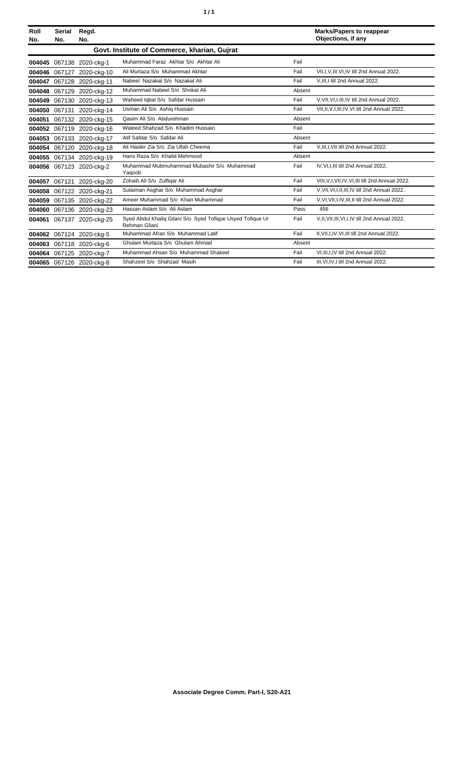| ٦ | ٠ |
|---|---|
|   |   |

| Roll<br>No. | Serial<br>No. | Regd.<br>No.              |                                                                             |        | <b>Marks/Papers to reappear</b><br>Objections, if any |
|-------------|---------------|---------------------------|-----------------------------------------------------------------------------|--------|-------------------------------------------------------|
|             |               |                           | Govt. Institute of Commerce, kharian, Gujrat                                |        |                                                       |
| 004045      |               | 067138 2020-ckg-1         | Muhammad Faraz Akhtar S/o Akhtar Ali                                        | Fail   |                                                       |
| 004046      | 067127        | 2020-ckg-10               | Ali Murtaza S/o Muhammad Akhtar                                             | Fail   | VII, I, V, III, VI, IV till 2nd Annual 2022.          |
| 004047      |               | 067128 2020-ckg-11        | Nabeel Nazakat S/o Nazakat Ali                                              | Fail   | V, III, I till 2nd Annual 2022.                       |
| 004048      |               | 067129 2020-ckg-12        | Muhammad Nabeel S/o Shokat Ali                                              | Absent |                                                       |
| 004049      |               | 067130 2020-ckg-13        | Waheed Iqbal S/o Safdar Hussain                                             | Fail   | V.VII.VI.I.III.IV till 2nd Annual 2022.               |
| 004050      | 067131        | 2020-ckg-14               | Usman Ali S/o Ashig Hussain                                                 | Fail   | VII, II, V, I, III, IV, VI till 2nd Annual 2022.      |
| 004051      |               | 067132 2020-ckg-15        | Qasim Ali S/o Abdurehman                                                    | Absent |                                                       |
|             |               | 004052 067119 2020-ckg-16 | Waleed Shahzad S/o Khadim Hussain                                           | Fail   |                                                       |
| 004053      |               | 067133 2020-ckg-17        | Atif Safdar S/o Safdar Ali                                                  | Absent |                                                       |
| 004054      |               | 067120 2020-ckg-18        | Ali Haider Zia S/o Zia Ullah Cheema                                         | Fail   | V, III, I, VII till 2nd Annual 2022.                  |
|             |               | 004055 067134 2020-ckg-19 | Haris Raza S/o Khalid Mehmood                                               | Absent |                                                       |
|             |               | 004056 067123 2020-ckg-2  | Muhammad Mubmuhammad Mubashir S/o Muhammad<br>Yaqoob                        | Fail   | IV, VI, I, III till 2nd Annual 2022.                  |
| 004057      | 067121        | 2020-ckg-20               | Zohaib Ali S/o Zulfiqar Ali                                                 | Fail   | VIII, V, I, VII, IV, VI, III till 2nd Annual 2022.    |
| 004058      |               | 067122 2020-ckg-21        | Sulaiman Asghar S/o Muhammad Asghar                                         | Fail   | V.VII.VI.I.II.III.IV till 2nd Annual 2022.            |
| 004059      |               | 067135 2020-ckg-22        | Ameer Muhammad S/o Khan Muhammad                                            | Fail   | V.VI.VII.I.IV.III.II till 2nd Annual 2022.            |
| 004060      |               | 067136 2020-ckg-23        | Hassan Aslam S/o Ali Aslam                                                  | Pass   | 456                                                   |
| 004061      |               | 067137 2020-ckg-25        | Syed Abdul Khaliq Gilani S/o Syed Tofique Usyed Tofique Ur<br>Rehman Gilani | Fail   | V,II, VII, III, VI, I, IV till 2nd Annual 2022.       |
|             |               | 004062 067124 2020-ckg-5  | Muhammad Afran S/o Muhammad Latif                                           | Fail   | II, VII, I, IV, VI, III till 2nd Annual 2022.         |
| 004063      |               | 067118 2020-ckg-6         | Ghulam Murtaza S/o Ghulam Ahmad                                             | Absent |                                                       |
|             |               | 004064 067125 2020-ckg-7  | Muhammad Ahsan S/o Muhammad Shakeel                                         | Fail   | VI.III.I.IV till 2nd Annual 2022.                     |
|             |               | 004065 067126 2020-ckg-8  | Shahzeel S/o Shahzad Masih                                                  | Fail   | III.VI.IV.I till 2nd Annual 2022.                     |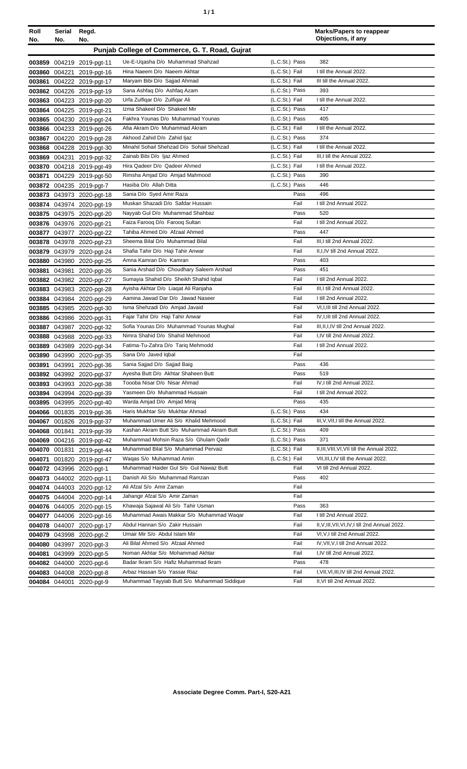| Roll | Serial | Regd.                     |                                                |                | <b>Marks/Papers to reappear</b><br>Objections, if any |
|------|--------|---------------------------|------------------------------------------------|----------------|-------------------------------------------------------|
| No.  | No.    | No.                       |                                                |                |                                                       |
|      |        |                           | Punjab College of Commerce, G. T. Road, Gujrat |                |                                                       |
|      |        | 003859 004219 2019-pgt-11 | Ue-E-Uqasha D/o Muhammad Shahzad               | (L.C.St.) Pass | 382                                                   |
|      |        | 003860 004221 2019-pgt-16 | Hina Naeem D/o Naeem Akhtar                    | (L.C.St.) Fail | I till the Annual 2022.                               |
|      |        | 003861 004222 2019-pgt-17 | Maryam Bibi D/o Sajjad Ahmad                   | (L.C.St.) Fail | III till the Annual 2022.                             |
|      |        | 003862 004226 2019-pgt-19 | Sana Ashfaq D/o Ashfaq Azam                    | (L.C.St.) Pass | 393                                                   |
|      |        | 003863 004223 2019-pgt-20 | Urfa Zulfiqar D/o Zulfiqar Ali                 | (L.C.St.) Fail | I till the Annual 2022.                               |
|      |        | 003864 004225 2019-pgt-21 | Izma Shakeel D/o Shakeel Mir                   | (L.C.St.) Pass | 417                                                   |
|      |        | 003865 004230 2019-pgt-24 | Fakhra Younas D/o Muhammad Younas              | (L.C.St.) Pass | 405                                                   |
|      |        | 003866 004233 2019-pgt-26 | Afia Akram D/o Muhammad Akram                  | (L.C.St.) Fail | I till the Annual 2022.                               |
|      |        | 003867 004220 2019-pgt-28 | Akhood Zahid D/o Zahid Ijaz                    | (L.C.St.) Pass | 374                                                   |
|      |        | 003868 004228 2019-pgt-30 | Minahil Sohail Shehzad D/o Sohail Shehzad      | (L.C.St.) Fail | I till the Annual 2022.                               |
|      |        | 003869 004231 2019-pgt-32 | Zainab Bibi D/o Ijaz Ahmed                     | (L.C.St.) Fail | III, I till the Annual 2022.                          |
|      |        | 003870 004218 2019-pgt-49 | Hira Qadeer D/o Qadeer Ahmed                   | (L.C.St.) Fail | I till the Annual 2022.                               |
|      |        | 003871 004229 2019-pgt-50 | Rimsha Amjad D/o Amjad Mahmood                 | (L.C.St.) Pass | 390                                                   |
|      |        | 003872 004235 2019-pgt-7  | Hasiba D/o Allah Ditta                         | (L.C.St.) Pass | 446                                                   |
|      |        | 003873 043973 2020-pgt-18 | Sania D/o Syed Amir Raza                       | Pass           | 496                                                   |
|      |        | 003874 043974 2020-pgt-19 | Muskan Shazadi D/o Safdar Hussain              | Fail           | I till 2nd Annual 2022.                               |
|      |        | 003875 043975 2020-pgt-20 | Nayyab Gul D/o Muhammad Shahbaz                | Pass           | 520                                                   |
|      |        | 003876 043976 2020-pgt-21 | Faiza Farooq D/o Farooq Sultan                 | Fail           | I till 2nd Annual 2022.                               |
|      |        | 003877 043977 2020-pgt-22 | Tahiba Ahmed D/o Afzaal Ahmed                  | Pass           | 447                                                   |
|      |        | 003878 043978 2020-pgt-23 | Sheema Bilal D/o Muhammad Bilal                | Fail           | III, I till 2nd Annual 2022.                          |
|      |        | 003879 043979 2020-pgt-24 | Shafia Tahir D/o Haji Tahir Anwar              | Fail           | II, I, IV till 2nd Annual 2022.                       |
|      |        | 003880 043980 2020-pgt-25 | Amna Kamran D/o Kamran                         | Pass           | 403                                                   |
|      |        | 003881 043981 2020-pgt-26 | Sania Arshad D/o Choudhary Saleem Arshad       | Pass           | 451                                                   |
|      |        | 003882 043982 2020-pgt-27 | Sumayia Shahid D/o Sheikh Shahid Iqbal         | Fail           | I till 2nd Annual 2022.                               |
|      |        | 003883 043983 2020-pgt-28 | Ayisha Akhtar D/o Liagat Ali Ranjaha           | Fail           | III, I till 2nd Annual 2022.                          |
|      |        | 003884 043984 2020-pgt-29 | Aamina Jawad Dar D/o Jawad Naseer              | Fail           | I till 2nd Annual 2022.                               |
|      |        | 003885 043985 2020-pgt-30 | Isma Shehzadi D/o Amjad Javaid                 | Fail           | VI, I, III till 2nd Annual 2022.                      |
|      |        | 003886 043986 2020-pgt-31 | Fajar Tahir D/o Haji Tahir Anwar               | Fail           | IV, I, III till 2nd Annual 2022.                      |
|      |        | 003887 043987 2020-pgt-32 | Sofia Younas D/o Muhammad Younas Mughal        | Fail           | III, II, I, IV till 2nd Annual 2022.                  |
|      |        | 003888 043988 2020-pgt-33 | Nimra Shahid D/o Shahid Mehmood                | Fail           | I,IV till 2nd Annual 2022.                            |
|      |        | 003889 043989 2020-pgt-34 | Fatima-Tu-Zahra D/o Tariq Mehmodd              | Fail           | I till 2nd Annual 2022.                               |
|      |        | 003890 043990 2020-pgt-35 | Sana D/o Javed Iqbal                           | Fail           |                                                       |
|      |        | 003891 043991 2020-pgt-36 | Sania Sajjad D/o Sajjad Baig                   | Pass           | 436                                                   |
|      |        | 003892 043992 2020-pgt-37 | Ayesha Butt D/o Akhtar Shaheen Butt            | Pass           | 519                                                   |
|      |        | 003893 043993 2020-pgt-38 | Toooba Nisar D/o Nisar Ahmad                   | Fail           | IV, I till 2nd Annual 2022.                           |
|      |        | 003894 043994 2020-pgt-39 | Yasmeen D/o Muhammad Hussain                   | Fail           | I till 2nd Annual 2022.                               |
|      |        | 003895 043995 2020-pgt-40 | Warda Amjad D/o Amjad Miraj                    | Pass           | 435                                                   |
|      |        | 004066 001835 2019-pgt-36 | Haris Mukhtar S/o Mukhtar Ahmad                | (L.C.St.) Pass | 434                                                   |
|      |        | 004067 001826 2019-pgt-37 | Muhammad Umer Ali S/o Khalid Mehmood           | (L.C.St.) Fail | III, V, VII, I till the Annual 2022.                  |
|      |        | 004068 001841 2019-pgt-39 | Kashan Akram Butt S/o Muhammad Akram Butt      | (L.C.St.) Pass | 409                                                   |
|      |        | 004069 004216 2019-pgt-42 | Muhammad Mohsin Raza S/o Ghulam Qadir          | (L.C.St.) Pass | 371                                                   |
|      |        | 004070 001831 2019-pgt-44 | Muhammad Bilal S/o Muhammad Pervaiz            | (L.C.St.) Fail | II, III, VIII, VI, VII till the Annual 2022.          |
|      |        | 004071 001820 2019-pgt-47 | Wagas S/o Muhammad Amin                        | (L.C.St.) Fail | VII, III, I, IV till the Annual 2022.                 |
|      |        | 004072 043996 2020-pgt-1  | Muhammad Haider Gul S/o Gul Nawaz Butt         | Fail           | VI till 2nd Annual 2022.                              |
|      |        | 004073 044002 2020-pgt-11 | Danish Ali S/o Muhammad Ramzan                 | Pass           | 402                                                   |
|      |        | 004074 044003 2020-pgt-12 | Ali Afzal S/o Amir Zaman                       | Fail           |                                                       |
|      |        | 004075 044004 2020-pgt-14 | Jahangir Afzal S/o Amir Zaman                  | Fail           |                                                       |
|      |        | 004076 044005 2020-pgt-15 | Khawaja Sajawal Ali S/o Tahir Usman            | Pass           | 363                                                   |
|      |        | 004077 044006 2020-pgt-16 | Muhammad Awais Makkar S/o Muhammad Waqar       | Fail           | I till 2nd Annual 2022.                               |
|      |        | 004078 044007 2020-pgt-17 | Abdul Hannan S/o Zakir Hussain                 | Fail           | II, V, III, VII, VI, IV, I till 2nd Annual 2022.      |
|      |        | 004079 043998 2020-pgt-2  | Umair Mir S/o Abdul Islam Mir                  | Fail           | VI, V, I till 2nd Annual 2022.                        |
|      |        | 004080 043997 2020-pgt-3  | Ali Bilal Ahmed S/o Afzaal Ahmed               | Fail           | IV, VII, V, I till 2nd Annual 2022.                   |
|      |        | 004081 043999 2020-pgt-5  | Noman Akhtar S/o Mohammad Akhtar               | Fail           | I,IV till 2nd Annual 2022.                            |
|      |        | 004082 044000 2020-pgt-6  | Badar Ikram S/o Hafiz Muhammad Ikram           | Pass           | 478                                                   |
|      |        | 004083 044008 2020-pgt-8  | Arbaz Hassan S/o Yassar Riaz                   | Fail           | I, VII, VI, III, IV till 2nd Annual 2022.             |
|      |        | 004084 044001 2020-pgt-9  | Muhammad Tayyiab Butt S/o Muhammad Siddique    | Fail           | II, VI till 2nd Annual 2022.                          |
|      |        |                           |                                                |                |                                                       |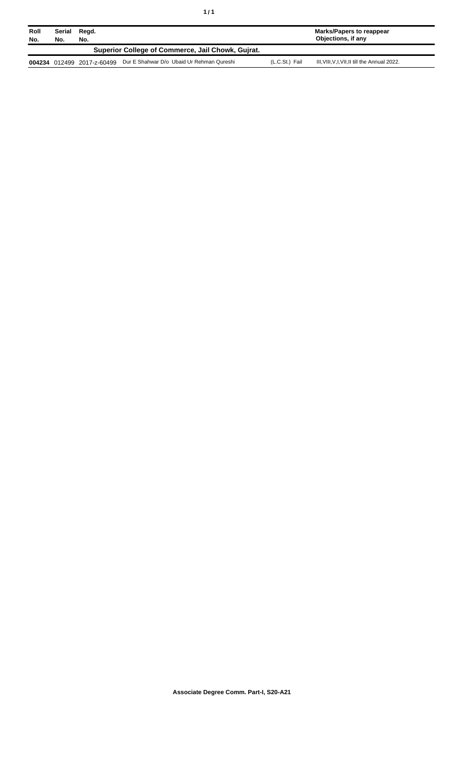| Roll<br>No. | Serial<br>No. | Regd.<br>No.               |                                                   |                | Marks/Papers to reappear<br>Objections, if any |
|-------------|---------------|----------------------------|---------------------------------------------------|----------------|------------------------------------------------|
|             |               |                            | Superior College of Commerce, Jail Chowk, Guirat. |                |                                                |
|             |               | 004234 012499 2017-z-60499 | Dur E Shahwar D/o Ubaid Ur Rehman Qureshi         | (L.C.St.) Fail | III, VIII, V, I, VII, II till the Annual 2022. |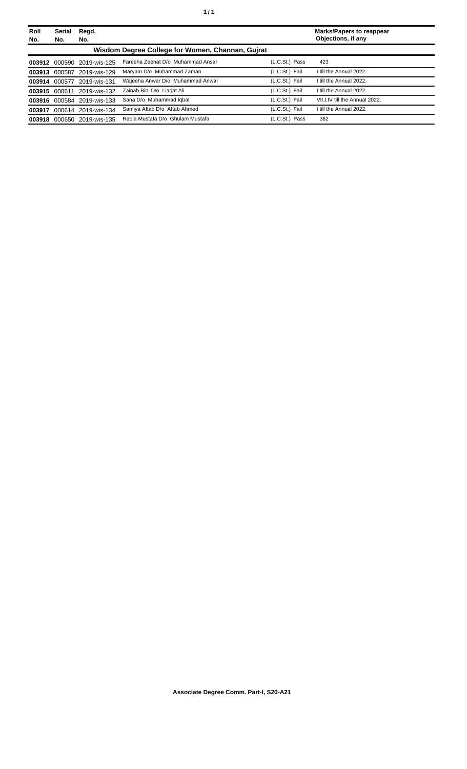| Roll          | Serial        | Regd.                      |                                                  |                | <b>Marks/Papers to reappear</b> |
|---------------|---------------|----------------------------|--------------------------------------------------|----------------|---------------------------------|
| No.           | No.           | No.                        |                                                  |                | Objections, if any              |
|               |               |                            | Wisdom Degree College for Women, Channan, Guirat |                |                                 |
|               |               | 003912 000590 2019-wis-125 | Fareeha Zeenat D/o Muhammad Ansar                | (L.C.St.) Pass | 423                             |
|               | 003913 000587 | 2019-wis-129               | Maryam D/o Muhammad Zaman                        | (L.C.St.) Fail | I till the Annual 2022.         |
| 003914        | 000577        | 2019-wis-131               | Waieeha Anwar D/o Muhammad Anwar                 | (L.C.St.) Fail | I till the Annual 2022.         |
| 003915 000611 |               | 2019-wis-132               | Zainab Bibi D/o Liagat Ali                       | (L.C.St.) Fail | I till the Annual 2022.         |
|               |               | 003916 000584 2019-wis-133 | Sana D/o Muhammad Iqbal                          | (L.C.St.) Fail | VII.I.IV till the Annual 2022.  |
| 003917        | 000614        | 2019-wis-134               | Samiya Aftab D/o Aftab Ahmed                     | (L.C.St.) Fail | I till the Annual 2022.         |
| 003918        |               | 000650 2019-wis-135        | Rabia Mustafa D/o Ghulam Mustafa                 | (L.C.St.) Pass | 382                             |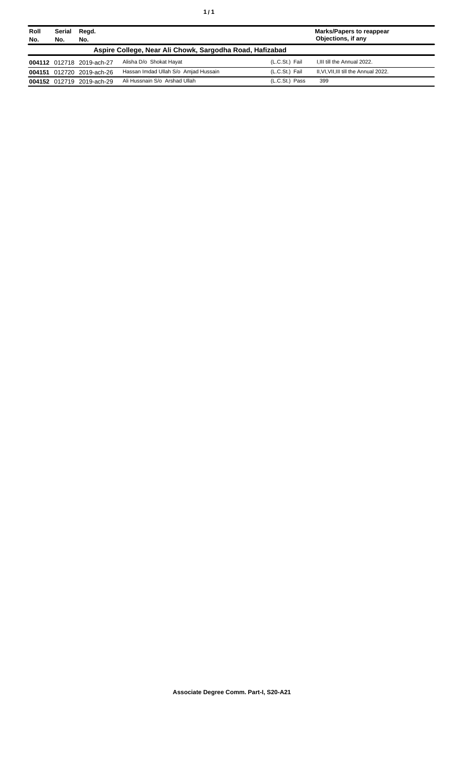| Roll<br>No. | Serial<br>No.                                            | Regd.<br>No.              |                                      |                | Marks/Papers to reappear<br>Objections, if any |  |  |
|-------------|----------------------------------------------------------|---------------------------|--------------------------------------|----------------|------------------------------------------------|--|--|
|             | Aspire College, Near Ali Chowk, Sargodha Road, Hafizabad |                           |                                      |                |                                                |  |  |
|             |                                                          | 004112 012718 2019-ach-27 | Alisha D/o Shokat Hayat              | (L.C.St.) Fail | I.III till the Annual 2022.                    |  |  |
|             |                                                          | 004151 012720 2019-ach-26 | Hassan Imdad Ullah S/o Amjad Hussain | (L.C.St.) Fail | II, VI, VII, III till the Annual 2022.         |  |  |
|             |                                                          | 004152 012719 2019-ach-29 | Ali Hussnain S/o Arshad Ullah        | (L.C.St.) Pass | 399                                            |  |  |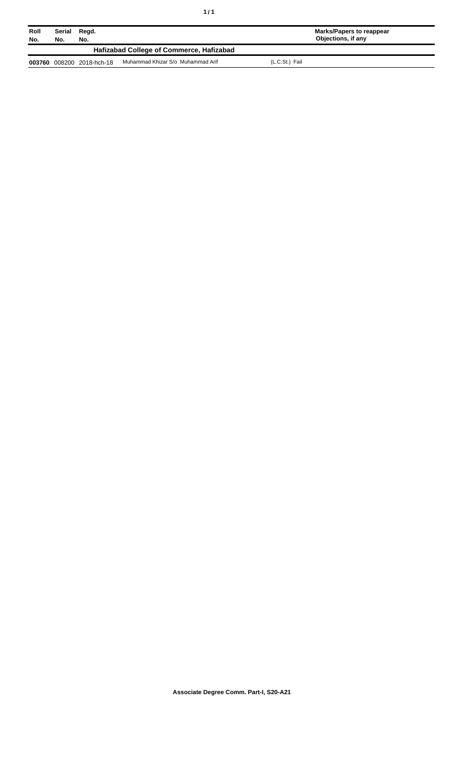| Roll<br>No. | Serial<br>No. | Regd.<br>No.       |                                          | Marks/Papers to reappear<br>Objections, if any |  |
|-------------|---------------|--------------------|------------------------------------------|------------------------------------------------|--|
|             |               |                    | Hafizabad College of Commerce, Hafizabad |                                                |  |
| 003760      |               | 008200 2018-hch-18 | Muhammad Khizar S/o Muhammad Arif        | (L.C.St.) Fail                                 |  |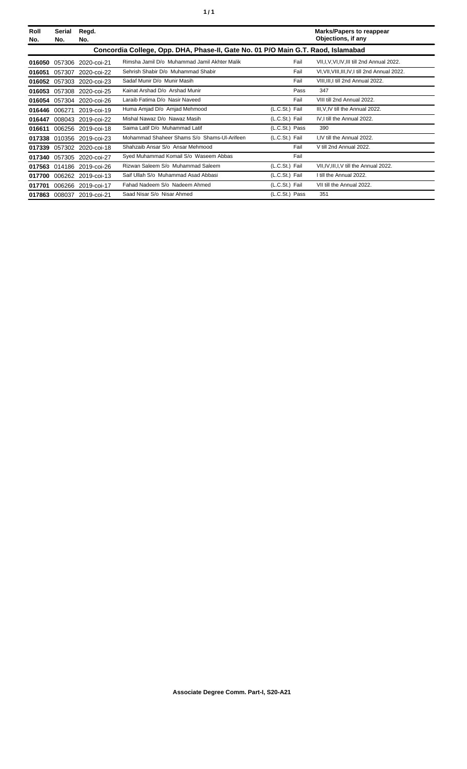|  | ٠ |
|--|---|
|  |   |

| Roll<br>No. | Serial<br>No.                                                                    | Regd.<br>No.              |                                              |                | <b>Marks/Papers to reappear</b><br>Objections, if any |  |  |
|-------------|----------------------------------------------------------------------------------|---------------------------|----------------------------------------------|----------------|-------------------------------------------------------|--|--|
|             | Concordia College, Opp. DHA, Phase-II, Gate No. 01 P/O Main G.T. Raod, Islamabad |                           |                                              |                |                                                       |  |  |
| 016050      | 057306                                                                           | 2020-coi-21               | Rimsha Jamil D/o Muhammad Jamil Akhter Malik | Fail           | VII, I, V, VI, IV, III till 2nd Annual 2022.          |  |  |
| 016051      | 057307                                                                           | 2020-coi-22               | Sehrish Shabir D/o Muhammad Shabir           | Fail           | VI, VII, VIII, III, IV, I till 2nd Annual 2022.       |  |  |
| 016052      | 057303                                                                           | 2020-coi-23               | Sadaf Munir D/o Munir Masih                  | Fail           | VIII, III, I till 2nd Annual 2022.                    |  |  |
| 016053      | 057308                                                                           | 2020-coi-25               | Kainat Arshad D/o Arshad Munir               | Pass           | 347                                                   |  |  |
| 016054      | 057304                                                                           | 2020-coi-26               | Laraib Fatima D/o Nasir Naveed               | Fail           | VIII till 2nd Annual 2022.                            |  |  |
| 016446      | 006271                                                                           | 2019-coi-19               | Huma Amjad D/o Amjad Mehmood                 | (L.C.St.) Fail | III, V, IV till the Annual 2022.                      |  |  |
| 016447      | 008043                                                                           | 2019-coi-22               | Mishal Nawaz D/o Nawaz Masih                 | (L.C.St.) Fail | IV, I till the Annual 2022.                           |  |  |
| 016611      | 006256                                                                           | 2019-coi-18               | Saima Latif D/o Muhammad Latif               | (L.C.St.) Pass | 390                                                   |  |  |
| 017338      | 010356                                                                           | 2019-coi-23               | Mohammad Shaheer Shams S/o Shams-UI-Arifeen  | (L.C.St.) Fail | I.IV till the Annual 2022.                            |  |  |
| 017339      |                                                                                  | 057302 2020-coi-18        | Shahzaib Ansar S/o Ansar Mehmood             | Fail           | V till 2nd Annual 2022.                               |  |  |
| 017340      |                                                                                  | 057305 2020-coi-27        | Syed Muhammad Komail S/o Waseem Abbas        | Fail           |                                                       |  |  |
|             |                                                                                  | 017563 014186 2019-coi-26 | Rizwan Saleem S/o Muhammad Saleem            | (L.C.St.) Fail | VII, IV, III, I, V till the Annual 2022.              |  |  |
| 017700      |                                                                                  | 006262 2019-coi-13        | Saif Ullah S/o Muhammad Asad Abbasi          | (L.C.St.) Fail | I till the Annual 2022.                               |  |  |
| 017701      |                                                                                  | 006266 2019-coi-17        | Fahad Nadeem S/o Nadeem Ahmed                | (L.C.St.) Fail | VII till the Annual 2022.                             |  |  |
|             | 017863 008037                                                                    | 2019-coi-21               | Saad Nisar S/o Nisar Ahmed                   | (L.C.St.) Pass | 351                                                   |  |  |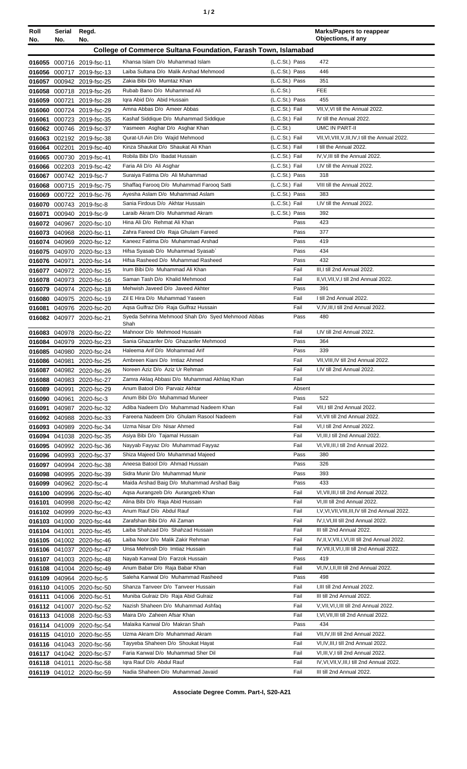| ٠ |  |
|---|--|
|---|--|

| Roll<br>No. | Serial Regd.<br>No.                                            | No.                                                    |                                                                               |                                  | <b>Marks/Papers to reappear</b><br>Objections, if any                       |  |
|-------------|----------------------------------------------------------------|--------------------------------------------------------|-------------------------------------------------------------------------------|----------------------------------|-----------------------------------------------------------------------------|--|
|             | College of Commerce Sultana Foundation, Farash Town, Islamabad |                                                        |                                                                               |                                  |                                                                             |  |
|             |                                                                | 016055 000716 2019-fsc-11                              | Khansa Islam D/o Muhammad Islam                                               | (L.C.St.) Pass                   | 472                                                                         |  |
|             |                                                                | 016056 000717 2019-fsc-13                              | Laiba Sultana D/o Malik Arshad Mehmood                                        | (L.C.St.) Pass                   | 446                                                                         |  |
|             |                                                                | 016057 000942 2019-fsc-25                              | Zakia Bibi D/o Mumtaz Khan                                                    | (L.C.St.) Pass                   | 351                                                                         |  |
|             |                                                                | 016058 000718 2019-fsc-26                              | Rubab Bano D/o Muhammad Ali                                                   | (L.C.St.)                        | <b>FEE</b>                                                                  |  |
|             |                                                                | 016059 000721 2019-fsc-28                              | Igra Abid D/o Abid Hussain                                                    | (L.C.St.) Pass                   | 455                                                                         |  |
| 016061      |                                                                | 016060 000724 2019-fsc-29<br>000723 2019-fsc-35        | Amna Abbas D/o Ameer Abbas<br>Kashaf Siddique D/o Muhammad Siddique           | (L.C.St.) Fail<br>(L.C.St.) Fail | VII, V, VI till the Annual 2022.<br>IV till the Annual 2022.                |  |
|             |                                                                | 016062 000746 2019-fsc-37                              | Yasmeen Asghar D/o Asghar Khan                                                | (L.C.S <sub>t</sub> )            | UMC IN PART-II                                                              |  |
|             |                                                                | 016063 002192 2019-fsc-38                              | Qurat-UI-Ain D/o Wajid Mehmood                                                | (L.C.St.) Fail                   | VII, VI, VIII, V, III, IV, I till the Annual 2022.                          |  |
|             |                                                                | 016064 002201 2019-fsc-40                              | Kinza Shaukat D/o Shaukat Ali Khan                                            | (L.C.St.) Fail                   | I till the Annual 2022.                                                     |  |
|             |                                                                | 016065 000730 2019-fsc-41                              | Robila Bibi D/o Ibadat Hussain                                                | (L.C.St.) Fail                   | IV, V, III till the Annual 2022.                                            |  |
|             |                                                                | 016066 002203 2019-fsc-42                              | Faria Ali D/o Ali Asghar                                                      | (L.C.St.) Fail                   | I,IV till the Annual 2022.                                                  |  |
|             |                                                                | 016067 000742 2019-fsc-7                               | Suraiya Fatima D/o Ali Muhammad                                               | (L.C.St.) Pass                   | 318<br>VIII till the Annual 2022.                                           |  |
| 016069      |                                                                | 016068 000715 2019-fsc-75<br>000722 2019-fsc-76        | Shaffaq Farooq D/o Muhammad Farooq Satti<br>Ayesha Aslam D/o Muhammad Aslam   | (L.C.St.) Fail<br>(L.C.St.) Pass | 383                                                                         |  |
|             |                                                                | 016070 000743 2019-fsc-8                               | Sania Firdous D/o Akhtar Hussain                                              | (L.C.St.) Fail                   | I,IV till the Annual 2022.                                                  |  |
|             |                                                                | 016071 000940 2019-fsc-9                               | Laraib Akram D/o Muhammad Akram                                               | (L.C.St.) Pass                   | 392                                                                         |  |
|             |                                                                | 016072 040967 2020-fsc-10                              | Hina Ali D/o Rehmat Ali Khan                                                  | Pass                             | 423                                                                         |  |
|             |                                                                | 016073 040968 2020-fsc-11                              | Zahra Fareed D/o Raja Ghulam Fareed                                           | Pass                             | 377                                                                         |  |
|             |                                                                | 016074 040969 2020-fsc-12                              | Kaneez Fatima D/o Muhammad Arshad                                             | Pass                             | 419                                                                         |  |
|             |                                                                | 016075 040970 2020-fsc-13                              | Hifsa Syasab D/o Muhammad Syasab`                                             | Pass                             | 434                                                                         |  |
|             |                                                                | 016076 040971 2020-fsc-14                              | Hifsa Rasheed D/o Muhammad Rasheed                                            | Pass                             | 432                                                                         |  |
|             |                                                                | 016077 040972 2020-fsc-15                              | Irum Bibi D/o Muhammad Ali Khan                                               | Fail                             | III, I till 2nd Annual 2022.                                                |  |
|             |                                                                | 016078 040973 2020-fsc-16<br>016079 040974 2020-fsc-18 | Saman Tash D/o Khalid Mehmood<br>Mehwish Javeed D/o Javeed Akhter             | Fail<br>Pass                     | II, VI, VII, V, I till 2nd Annual 2022.<br>391                              |  |
|             |                                                                | 016080 040975 2020-fsc-19                              | Zil E Hira D/o Muhammad Yaseen                                                | Fail                             | I till 2nd Annual 2022.                                                     |  |
|             |                                                                | 016081 040976 2020-fsc-20                              | Aqsa Gulfraz D/o Raja Gulfraz Hussain                                         | Fail                             | V,IV,III,I till 2nd Annual 2022.                                            |  |
|             |                                                                | 016082 040977 2020-fsc-21                              | Syeda Sehrina Mehmood Shah D/o Syed Mehmood Abbas<br>Shah                     | Pass                             | 480                                                                         |  |
|             |                                                                | 016083 040978 2020-fsc-22                              | Mahnoor D/o Mehmood Hussain                                                   | Fail                             | I.IV till 2nd Annual 2022.                                                  |  |
|             |                                                                | 016084 040979 2020-fsc-23                              | Sania Ghazanfer D/o Ghazanfer Mehmood                                         | Pass                             | 364                                                                         |  |
|             |                                                                | 016085 040980 2020-fsc-24                              | Haleema Arif D/o Mohammad Arif                                                | Pass                             | 339                                                                         |  |
|             |                                                                | 016086 040981 2020-fsc-25                              | Ambreen Kiani D/o Imtiaz Ahmed                                                | Fail                             | VII, VIII, IV till 2nd Annual 2022.                                         |  |
|             |                                                                | 016087 040982 2020-fsc-26                              | Noreen Aziz D/o Aziz Ur Rehman                                                | Fail                             | I,IV till 2nd Annual 2022.                                                  |  |
|             |                                                                | 016088 040983 2020-fsc-27                              | Zamra Aklaq Abbasi D/o Muhammad Akhlaq Khan<br>Anum Batool D/o Parvaiz Akhtar | Fail<br>Absent                   |                                                                             |  |
|             |                                                                | 016089 040991 2020-fsc-29<br>016090 040961 2020-fsc-3  | Anum Bibi D/o Muhammad Muneer                                                 | Pass                             | 522                                                                         |  |
|             |                                                                | 016091 040987 2020-fsc-32                              | Adiba Nadeem D/o Muhammad Nadeem Khan                                         | Fail                             | VII, I till 2nd Annual 2022.                                                |  |
|             |                                                                | 016092 040988 2020-fsc-33                              | Fareena Nadeem D/o Ghulam Rasool Nadeem                                       | Fail                             | VI, VII till 2nd Annual 2022.                                               |  |
|             |                                                                | 016093 040989 2020-fsc-34                              | Uzma Nisar D/o Nisar Ahmed                                                    | Fail                             | VI, I till 2nd Annual 2022.                                                 |  |
|             |                                                                | 016094 041038 2020-fsc-35                              | Asiya Bibi D/o Tajamal Hussain                                                | Fail                             | VI, III, I till 2nd Annual 2022.                                            |  |
|             |                                                                | 016095 040992 2020-fsc-36                              | Nayyab Fayyaz D/o Muhammad Fayyaz                                             | Fail                             | VI. VII. III. I till 2nd Annual 2022.                                       |  |
|             |                                                                | 016096 040993 2020-fsc-37                              | Shiza Majeed D/o Muhammad Majeed                                              | Pass                             | 380                                                                         |  |
|             |                                                                | 016097 040994 2020-fsc-38                              | Aneesa Batool D/o Ahmad Hussain<br>Sidra Munir D/o Muhammad Munir             | Pass<br>Pass                     | 326<br>393                                                                  |  |
|             |                                                                | 016098 040995 2020-fsc-39<br>016099 040962 2020-fsc-4  | Maida Arshad Baig D/o Muhammad Arshad Baig                                    | Pass                             | 433                                                                         |  |
|             |                                                                | 016100 040996 2020-fsc-40                              | Agsa Aurangzeb D/o Aurangzeb Khan                                             | Fail                             | VI, VII, III, I till 2nd Annual 2022.                                       |  |
|             |                                                                | 016101 040998 2020-fsc-42                              | Alina Bibi D/o Raja Abid Hussain                                              | Fail                             | VI, III till 2nd Annual 2022.                                               |  |
|             |                                                                | 016102 040999 2020-fsc-43                              | Anum Rauf D/o Abdul Rauf                                                      | Fail                             | I, V, VI, VII, VIII, III, IV till 2nd Annual 2022.                          |  |
|             |                                                                | 016103 041000 2020-fsc-44                              | Zarafshan Bibi D/o Ali Zaman                                                  | Fail                             | IV, I, VI, III till 2nd Annual 2022.                                        |  |
|             |                                                                | 016104 041001 2020-fsc-45                              | Laiba Shahzad D/o Shahzad Hussain                                             | Fail                             | III till 2nd Annual 2022.                                                   |  |
|             |                                                                | 016105 041002 2020-fsc-46                              | Laiba Noor D/o Malik Zakir Rehman                                             | Fail                             | IV, II, V, VII, I, VI, III till 2nd Annual 2022.                            |  |
|             |                                                                | 016106 041037 2020-fsc-47                              | Unsa Mehrosh D/o Imtiaz Hussain<br>Nayab Kanwal D/o Farzok Hussain            | Fail<br>Pass                     | IV, VII, II, VI, I, III till 2nd Annual 2022.<br>419                        |  |
|             |                                                                | 016107 041003 2020-fsc-48<br>016108 041004 2020-fsc-49 | Anum Babar D/o Raja Babar Khan                                                | Fail                             | VI,IV,I,II,III till 2nd Annual 2022.                                        |  |
|             |                                                                | 016109 040964 2020-fsc-5                               | Saleha Kanwal D/o Muhammad Rasheed                                            | Pass                             | 498                                                                         |  |
|             |                                                                | 016110 041005 2020-fsc-50                              | Shanza Tanveer D/o Tanveer Hussain                                            | Fail                             | I, III till 2nd Annual 2022.                                                |  |
|             |                                                                | 016111 041006 2020-fsc-51                              | Muniba Gulraiz D/o Raja Abid Gulraiz                                          | Fail                             | III till 2nd Annual 2022.                                                   |  |
|             |                                                                | 016112 041007 2020-fsc-52                              | Nazish Shaheen D/o Muhammad Ashfaq                                            | Fail                             | V.VII.VI,I,III till 2nd Annual 2022.                                        |  |
|             |                                                                | 016113 041008 2020-fsc-53                              | Maira D/o Zaheen Afsar Khan                                                   | Fail                             | I, VI, VII, III till 2nd Annual 2022.                                       |  |
|             |                                                                | 016114 041009 2020-fsc-54                              | Malaika Kanwal D/o Makran Shah                                                | Pass                             | 434                                                                         |  |
|             |                                                                | 016115 041010 2020-fsc-55                              | Uzma Akram D/o Muhammad Akram                                                 | Fail                             | VII, IV, III till 2nd Annual 2022.                                          |  |
|             |                                                                | 016116 041043 2020-fsc-56                              | Tayyeba Shaheen D/o Shoukat Hayat<br>Faria Kanwal D/o Muhammad Sher Dil       | Fail<br>Fail                     | VI, IV, III, I till 2nd Annual 2022.<br>VI, III, V, I till 2nd Annual 2022. |  |
|             |                                                                | 016117 041042 2020-fsc-57<br>016118 041011 2020-fsc-58 | Igra Rauf D/o Abdul Rauf                                                      | Fail                             | IV, VI, VII, V, III, I till 2nd Annual 2022.                                |  |
|             |                                                                | 016119 041012 2020-fsc-59                              | Nadia Shaheen D/o Muhammad Javaid                                             | Fail                             | III till 2nd Annual 2022.                                                   |  |
|             |                                                                |                                                        |                                                                               |                                  |                                                                             |  |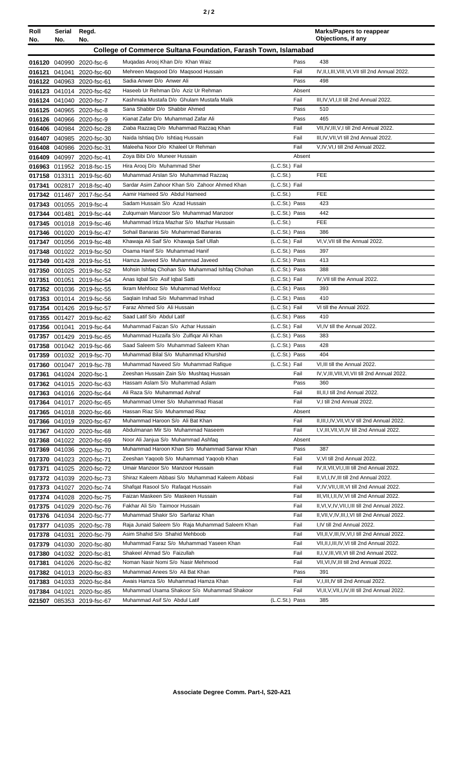| Roll   | Serial     | Regd.                     |                                                                       |                | <b>Marks/Papers to reappear</b><br>Objections, if any |
|--------|------------|---------------------------|-----------------------------------------------------------------------|----------------|-------------------------------------------------------|
| No.    | No.<br>No. |                           |                                                                       |                |                                                       |
|        |            |                           | <b>College of Commerce Sultana Foundation, Farash Town, Islamabad</b> |                |                                                       |
|        |            | 016120 040990 2020-fsc-6  | Mugadas Arooj Khan D/o Khan Waiz                                      | Pass           | 438                                                   |
|        |            | 016121 041041 2020-fsc-60 | Mehreen Magsood D/o Magsood Hussain                                   | Fail           | IV, II, I, III, VIII, VI, VII till 2nd Annual 2022.   |
|        |            | 016122 040963 2020-fsc-61 | Sadia Anwer D/o Anwer Ali                                             | Pass           | 498                                                   |
|        |            | 016123 041014 2020-fsc-62 | Haseeb Ur Rehman D/o Aziz Ur Rehman                                   | Absent         |                                                       |
|        |            | 016124 041040 2020-fsc-7  | Kashmala Mustafa D/o Ghulam Mustafa Malik                             | Fail           | III, IV, VI, I, II till 2nd Annual 2022.              |
|        |            | 016125 040965 2020-fsc-8  | Sana Shabbir D/o Shabbir Ahmed                                        | Pass           | 510                                                   |
|        |            | 016126 040966 2020-fsc-9  | Kianat Zafar D/o Muhammad Zafar Ali                                   | Pass           | 465                                                   |
|        |            | 016406 040984 2020-fsc-28 | Ziaba Razzag D/o Muhammad Razzag Khan                                 | Fail           | VII, IV, III, V, I till 2nd Annual 2022.              |
|        |            | 016407 040985 2020-fsc-30 | Naida Ishtiaq D/o Ishtiaq Hussain                                     | Fail           | III, IV, VII, VI till 2nd Annual 2022.                |
|        |            | 016408 040986 2020-fsc-31 | Maleeha Noor D/o Khaleel Ur Rehman                                    | Fail           | V,IV,VI,I till 2nd Annual 2022.                       |
|        |            | 016409 040997 2020-fsc-41 | Zoya Bibi D/o Muneer Hussain                                          | Absent         |                                                       |
|        |            | 016963 011952 2018-fsc-15 | Hira Arooj D/o Muhammad Sher                                          | (L.C.St.) Fail |                                                       |
|        |            | 017158 013311 2019-fsc-60 | Muhammad Arslan S/o Muhammad Razzaq                                   | (L.C.St.)      | <b>FEE</b>                                            |
| 017341 |            | 002817 2018-fsc-40        | Sardar Asim Zahoor Khan S/o Zahoor Ahmed Khan                         | (L.C.St.) Fail |                                                       |
|        |            | 017342 011467 2017-fsc-54 | Aamir Hameed S/o Abdul Hameed                                         | (L.C.St.)      | <b>FEE</b>                                            |
|        |            | 017343 001055 2019-fsc-4  | Sadam Hussain S/o Azad Hussain                                        | (L.C.St.) Pass | 423                                                   |
|        |            | 017344 001481 2019-fsc-44 | Zulgurnain Manzoor S/o Muhammad Manzoor                               | (L.C.St.) Pass | 442                                                   |
|        |            | 017345 001018 2019-fsc-46 | Muhammad Irtiza Mazhar S/o Mazhar Hussain                             | (L.C.St.)      | FEE                                                   |
|        |            | 017346 001020 2019-fsc-47 | Sohail Banaras S/o Muhammad Banaras                                   | (L.C.St.) Pass | 386                                                   |
|        |            | 017347 001056 2019-fsc-48 | Khawaja Ali Saif S/o Khawaja Saif Ullah                               | (L.C.St.) Fail | VI, V, VII till the Annual 2022.                      |
|        |            | 017348 001022 2019-fsc-50 | Osama Hanif S/o Muhammad Hanif                                        | (L.C.St.) Pass | 397                                                   |
|        |            | 017349 001428 2019-fsc-51 | Hamza Javeed S/o Muhammad Javeed                                      | (L.C.St.) Pass | 413                                                   |
|        |            | 017350 001025 2019-fsc-52 | Mohsin Ishfaq Chohan S/o Muhammad Ishfaq Chohan                       | (L.C.St.) Pass | 388                                                   |
|        |            | 017351 001051 2019-fsc-54 | Anas Iqbal S/o Asif Iqbal Satti                                       | (L.C.St.) Fail | IV, VII till the Annual 2022.                         |
|        |            | 017352 001036 2019-fsc-55 | Ikram Mehfooz S/o Muhammad Mehfooz                                    | (L.C.St.) Pass | 393                                                   |
|        |            | 017353 001014 2019-fsc-56 | Saglain Irshad S/o Muhammad Irshad                                    | (L.C.St.) Pass | 410                                                   |
|        |            | 017354 001426 2019-fsc-57 | Faraz Ahmed S/o Ali Hussain                                           | (L.C.St.) Fail | VI till the Annual 2022.                              |
|        |            | 017355 001427 2019-fsc-62 | Saad Latif S/o Abdul Latif                                            | (L.C.St.) Pass | 410                                                   |
|        |            | 017356 001041 2019-fsc-64 | Muhammad Faizan S/o Azhar Hussain                                     | (L.C.St.) Fail | VI.IV till the Annual 2022.                           |
|        |            | 017357 001429 2019-fsc-65 | Muhammad Huzaifa S/o Zulfiqar Ali Khan                                | (L.C.St.) Pass | 383                                                   |
|        |            | 017358 001042 2019-fsc-66 | Saad Saleem S/o Muhammad Saleem Khan                                  | (L.C.St.) Pass | 428                                                   |
|        |            | 017359 001032 2019-fsc-70 | Muhammad Bilal S/o Muhammad Khurshid                                  | (L.C.St.) Pass | 404                                                   |
|        |            | 017360 001047 2019-fsc-78 | Muhammad Naveed S/o Muhammad Rafique                                  | (L.C.St.) Fail | VI, III till the Annual 2022.                         |
|        |            |                           | Zeeshan Hussain Zain S/o Mushtaq Hussain                              | Fail           | IV, V, III, VIII, VI, VII till 2nd Annual 2022.       |
|        |            | 017362 041015 2020-fsc-63 | Hassam Aslam S/o Muhammad Aslam                                       | Pass           | 360                                                   |
|        |            | 017363 041016 2020-fsc-64 | Ali Raza S/o Muhammad Ashraf                                          | Fail           | III, II, I till 2nd Annual 2022.                      |
|        |            | 017364 041017 2020-fsc-65 | Muhammad Umer S/o Muhammad Riasat                                     | Fail           | V,I till 2nd Annual 2022.                             |
|        |            | 017365 041018 2020-fsc-66 | Hassan Riaz S/o Muhammad Riaz                                         | Absent         |                                                       |
|        |            | 017366 041019 2020-fsc-67 | Muhammad Haroon S/o Ali Bat Khan                                      | Fail           | II, III, I, IV, VII, VI, V till 2nd Annual 2022.      |
|        |            | 017367 041020 2020-fsc-68 | Abdulmanan Mir S/o Muhammad Naseem                                    | Fail           | I, V, III, VII, VI, IV till 2nd Annual 2022.          |
|        |            | 017368 041022 2020-fsc-69 | Noor Ali Janjua S/o Muhammad Ashfaq                                   | Absent         |                                                       |
|        |            | 017369 041036 2020-fsc-70 | Muhammad Haroon Khan S/o Muhammad Sarwar Khan                         | Pass           | 387                                                   |
|        |            | 017370 041023 2020-fsc-71 | Zeeshan Yaqoob S/o Muhammad Yaqoob Khan                               | Fail           | V.VI till 2nd Annual 2022.                            |
|        |            | 017371 041025 2020-fsc-72 | Umair Manzoor S/o Manzoor Hussain                                     | Fail           | IV, II, VII, VI, I, III till 2nd Annual 2022.         |
|        |            | 017372 041039 2020-fsc-73 | Shiraz Kaleem Abbasi S/o Muhammad Kaleem Abbasi                       | Fail           | II, VI, I, IV, III till 2nd Annual 2022.              |
|        |            | 017373 041027 2020-fsc-74 | Shafqat Rasool S/o Rafaqat Hussain                                    | Fail           | V, IV, VII, I, III, VI till 2nd Annual 2022.          |
|        |            | 017374 041028 2020-fsc-75 | Faizan Maskeen S/o Maskeen Hussain                                    | Fail           | III, VII, I, II, IV, VI till 2nd Annual 2022.         |
|        |            | 017375 041029 2020-fsc-76 | Fakhar Ali S/o Taimoor Hussain                                        | Fail           | II, VI, V, IV, VII, I, III till 2nd Annual 2022.      |
|        |            | 017376 041034 2020-fsc-77 | Muhammad Shakir S/o Sarfaraz Khan                                     | Fail           | II, VII, V, IV, III, I, VI till 2nd Annual 2022.      |
|        |            | 017377 041035 2020-fsc-78 | Raja Junaid Saleem S/o Raja Muhammad Saleem Khan                      | Fail           | I,IV till 2nd Annual 2022.                            |
|        |            | 017378 041031 2020-fsc-79 | Asim Shahid S/o Shahid Mehboob                                        | Fail           | VII, II, V, III, IV, VI, I till 2nd Annual 2022.      |
|        |            | 017379 041030 2020-fsc-80 | Muhammad Faraz S/o Muhammad Yaseen Khan                               | Fail           | VII, II, I, III, IV, VI till 2nd Annual 2022.         |
|        |            | 017380 041032 2020-fsc-81 | Shakeel Ahmad S/o Faizullah                                           | Fail           | II, I, V, III, VII, VI till 2nd Annual 2022.          |
|        |            | 017381 041026 2020-fsc-82 | Noman Nasir Nomi S/o Nasir Mehmood                                    | Fail           | VII, VI, IV, III till 2nd Annual 2022.                |
|        |            | 017382 041013 2020-fsc-83 | Muhammad Anees S/o Ali Bat Khan                                       | Pass           | 391                                                   |
|        |            | 017383 041033 2020-fsc-84 | Awais Hamza S/o Muhammad Hamza Khan                                   | Fail           | V, I, III, IV till 2nd Annual 2022.                   |
|        |            | 017384 041021 2020-fsc-85 | Muhammad Usama Shakoor S/o Muhammad Shakoor                           | Fail           | VI, II, V, VII, I, IV, III till 2nd Annual 2022.      |
|        |            | 021507 085353 2019-fsc-67 | Muhammad Asif S/o Abdul Latif                                         | (L.C.St.) Pass | 385                                                   |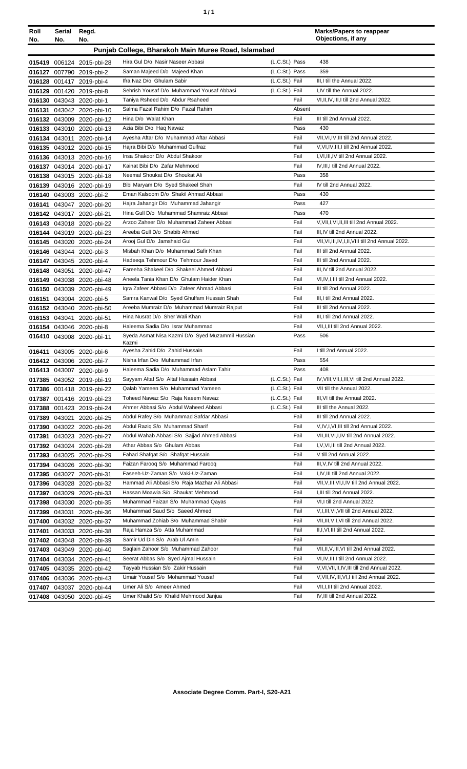| ٠ | ٠ |
|---|---|
|   |   |

| Roll                                                | Serial | Regd.                     |                                                           |                | <b>Marks/Papers to reappear</b>                 |  |
|-----------------------------------------------------|--------|---------------------------|-----------------------------------------------------------|----------------|-------------------------------------------------|--|
| No.                                                 | No.    | No.                       |                                                           |                | Objections, if any                              |  |
| Punjab College, Bharakoh Main Muree Road, Islamabad |        |                           |                                                           |                |                                                 |  |
|                                                     |        | 015419 006124 2015-pbi-28 | Hira Gul D/o Nasir Naseer Abbasi                          | (L.C.St.) Pass | 438                                             |  |
|                                                     |        | 016127 007790 2019-pbi-2  | Saman Majeed D/o Majeed Khan                              | (L.C.St.) Pass | 359                                             |  |
|                                                     |        | 016128 001417 2019-pbi-4  | Ifra Naz D/o Ghulam Sabir                                 | (L.C.St.) Fail | III, I till the Annual 2022.                    |  |
|                                                     |        | 016129 001420 2019-pbi-8  | Sehrish Yousaf D/o Muhammad Yousaf Abbasi                 | (L.C.St.) Fail | I,IV till the Annual 2022.                      |  |
|                                                     |        | 016130 043043 2020-pbi-1  | Taniya Rsheed D/o Abdur Rsaheed                           | Fail           | VI, II, IV, III, I till 2nd Annual 2022.        |  |
|                                                     |        | 016131 043042 2020-pbi-10 | Salma Fazal Rahim D/o Fazal Rahim                         | Absent         |                                                 |  |
|                                                     |        | 016132 043009 2020-pbi-12 | Hina D/o Walat Khan                                       | Fail           | III till 2nd Annual 2022.                       |  |
|                                                     |        | 016133 043010 2020-pbi-13 | Azia Bibi D/o Haq Nawaz                                   | Pass           | 430                                             |  |
|                                                     |        | 016134 043011 2020-pbi-14 | Ayesha Aftar D/o Muhammad Aftar Abbasi                    | Fail           | VII, VI, IV, III till 2nd Annual 2022.          |  |
|                                                     |        | 016135 043012 2020-pbi-15 | Hajra Bibi D/o Muhammad Gulfraz                           | Fail           | V, VI, IV, III, I till 2nd Annual 2022.         |  |
|                                                     |        | 016136 043013 2020-pbi-16 | Insa Shakoor D/o Abdul Shakoor                            | Fail           | I, VI, III, IV till 2nd Annual 2022.            |  |
|                                                     |        | 016137 043014 2020-pbi-17 | Kainat Bibi D/o Zafar Mehmood                             | Fail           | IV, III, I till 2nd Annual 2022.                |  |
|                                                     |        | 016138 043015 2020-pbi-18 | Neemal Shoukat D/o Shoukat Ali                            | Pass           | 358                                             |  |
|                                                     |        | 016139 043016 2020-pbi-19 | Bibi Maryam D/o Syed Shakeel Shah                         | Fail           | IV till 2nd Annual 2022.                        |  |
|                                                     |        | 016140 043003 2020-pbi-2  | Eman Kalsoom D/o Shakil Ahmad Abbasi                      | Pass           | 430                                             |  |
|                                                     |        | 016141 043047 2020-pbi-20 | Hajra Jahangir D/o Muhammad Jahangir                      | Pass           | 427                                             |  |
|                                                     |        | 016142 043017 2020-pbi-21 | Hina Gull D/o Muhammad Shamraiz Abbasi                    | Pass           | 470                                             |  |
|                                                     |        | 016143 043018 2020-pbi-22 | Arzoo Zaheer D/o Muhammad Zaheer Abbasi                   | Fail           | V, VII, I, VI, II, III till 2nd Annual 2022.    |  |
|                                                     |        | 016144 043019 2020-pbi-23 | Areeba Gull D/o Shabib Ahmed                              | Fail           | III, IV till 2nd Annual 2022.                   |  |
|                                                     |        | 016145 043020 2020-pbi-24 | Arooi Gul D/o Jamshaid Gul                                | Fail           | VII.VI.III.IV.I.II.VIII till 2nd Annual 2022.   |  |
|                                                     |        | 016146 043044 2020-pbi-3  | Misbah Khan D/o Muhammad Safir Khan                       | Fail           | III till 2nd Annual 2022.                       |  |
|                                                     |        | 016147 043045 2020-pbi-4  | Hadeega Tehmour D/o Tehmour Javed                         | Fail           | III till 2nd Annual 2022.                       |  |
|                                                     |        | 016148 043051 2020-pbi-47 | Fareeha Shakeel D/o Shakeel Ahmed Abbasi                  | Fail           | III, IV till 2nd Annual 2022.                   |  |
|                                                     |        | 016149 043038 2020-pbi-48 | Aneela Tania Khan D/o Ghulam Haider Khan                  | Fail           | VI, IV, I, III till 2nd Annual 2022.            |  |
|                                                     |        | 016150 043039 2020-pbi-49 | Igra Zafeer Abbasi D/o Zafeer Ahmad Abbasi                | Fail           | III till 2nd Annual 2022.                       |  |
|                                                     |        | 016151 043004 2020-pbi-5  | Samra Kanwal D/o Syed Ghulfam Hussain Shah                | Fail           | III, I till 2nd Annual 2022.                    |  |
|                                                     |        | 016152 043040 2020-pbi-50 | Areeba Mumraiz D/o Muhammad Mumraiz Rajput                | Fail           | III till 2nd Annual 2022.                       |  |
|                                                     |        | 016153 043041 2020-pbi-51 | Hina Nusrat D/o Sher Wali Khan                            | Fail           | III, I till 2nd Annual 2022.                    |  |
|                                                     |        | 016154 043046 2020-pbi-8  | Haleema Sadia D/o Israr Muhammad                          | Fail           | VII, I, III till 2nd Annual 2022.               |  |
|                                                     |        | 016410 043008 2020-pbi-11 | Syeda Asmat Nisa Kazmi D/o Syed Muzammil Hussian<br>Kazmi | Pass           | 506                                             |  |
|                                                     |        | 016411 043005 2020-pbi-6  | Ayesha Zahid D/o Zahid Hussain                            | Fail           | I till 2nd Annual 2022.                         |  |
|                                                     |        | 016412 043006 2020-pbi-7  | Nisha Irfan D/o Muhammad Irfan                            | Pass           | 554                                             |  |
|                                                     |        | 016413 043007 2020-pbi-9  | Haleema Sadia D/o Muhammad Aslam Tahir                    | Pass           | 408                                             |  |
|                                                     |        | 017385 043052 2019-pbi-19 | Sayyam Altaf S/o Altaf Hussain Abbasi                     | (L.C.St.) Fail | IV, VIII, VII, I, III, VI till 2nd Annual 2022. |  |
|                                                     |        | 017386 001418 2019-pbi-22 | Qalab Yameen S/o Muhammad Yameen                          | (L.C.St.) Fail | VII till the Annual 2022.                       |  |
|                                                     |        | 017387 001416 2019-pbi-23 | Toheed Nawaz S/o Raja Naeem Nawaz                         | (L.C.St.) Fail | III, VI till the Annual 2022.                   |  |
|                                                     |        | 017388 001423 2019-pbi-24 | Ahmer Abbasi S/o Abdul Waheed Abbasi                      | (L.C.St.) Fail | III till the Annual 2022.                       |  |
|                                                     |        | 017389 043021 2020-pbi-25 | Abdul Rafey S/o Muhammad Safdar Abbasi                    | Fail           | III till 2nd Annual 2022.                       |  |
|                                                     |        | 017390 043022 2020-pbi-26 | Abdul Raziq S/o Muhammad Sharif                           | Fail           | V, IV, I, VI, III till 2nd Annual 2022.         |  |
| 017391                                              |        | 043023 2020-pbi-27        | Abdul Wahab Abbasi S/o Sajjad Ahmed Abbasi                | Fail           | VII, III, VI, I, IV till 2nd Annual 2022.       |  |
|                                                     |        | 017392 043024 2020-pbi-28 | Athar Abbas S/o Ghulam Abbas                              | Fail           | I, V, VI, III till 2nd Annual 2022.             |  |
|                                                     |        | 017393 043025 2020-pbi-29 | Fahad Shafqat S/o Shafqat Hussain                         | Fail           | V till 2nd Annual 2022.                         |  |
|                                                     |        | 017394 043026 2020-pbi-30 | Faizan Farooq S/o Muhammad Farooq                         | Fail           | III, V, IV till 2nd Annual 2022.                |  |
|                                                     |        | 017395 043027 2020-pbi-31 | Faseeh-Uz-Zaman S/o Vaki-Uz-Zaman                         | Fail           | I, IV, III till 2nd Annual 2022.                |  |
|                                                     |        | 017396 043028 2020-pbi-32 | Hammad Ali Abbasi S/o Raja Mazhar Ali Abbasi              | Fail           | VII, V, III, VI, I, IV till 2nd Annual 2022.    |  |
| 017397                                              |        | 043029 2020-pbi-33        | Hassan Moawia S/o Shaukat Mehmood                         | Fail           | I, III till 2nd Annual 2022.                    |  |
|                                                     |        | 017398 043030 2020-pbi-35 | Muhammad Faizan S/o Muhammad Qayas                        | Fail           | VI, I till 2nd Annual 2022.                     |  |
|                                                     |        | 017399 043031 2020-pbi-36 | Muhammad Saud S/o Saeed Ahmed                             | Fail           | V, I, III, VI, VII till 2nd Annual 2022.        |  |
|                                                     |        | 017400 043032 2020-pbi-37 | Muhammad Zohiab S/o Muhammad Shabir                       | Fail           | VII, III, V, I, VI till 2nd Annual 2022.        |  |
| 017401                                              |        | 043033 2020-pbi-38        | Raja Hamza S/o Atta Muhammad                              | Fail           | II, I, VI, III till 2nd Annual 2022.            |  |
|                                                     |        | 017402 043048 2020-pbi-39 | Samir Ud Din S/o Arab Ul Amin                             | Fail           |                                                 |  |
|                                                     |        | 017403 043049 2020-pbi-40 | Saqlain Zahoor S/o Muhammad Zahoor                        | Fail           | VII, II, V, III, VI till 2nd Annual 2022.       |  |
|                                                     |        | 017404 043034 2020-pbi-41 | Seerat Abbas S/o Syed Ajmal Hussain                       | Fail           | VI, IV, III, I till 2nd Annual 2022.            |  |
|                                                     |        | 017405 043035 2020-pbi-42 | Tayyab Hussian S/o Zakir Hussain                          | Fail           | V, VI, VII, II, IV, III till 2nd Annual 2022.   |  |
|                                                     |        | 017406 043036 2020-pbi-43 | Umair Yousaf S/o Mohammad Yousaf                          | Fail           | V, VII, IV, III, VI, I till 2nd Annual 2022.    |  |
|                                                     |        | 017407 043037 2020-pbi-44 | Umer Ali S/o Ameer Ahmed                                  | Fail           | VII, I, III till 2nd Annual 2022.               |  |
|                                                     |        | 017408 043050 2020-pbi-45 | Umer Khalid S/o Khalid Mehmood Janjua                     | Fail           | IV, III till 2nd Annual 2022.                   |  |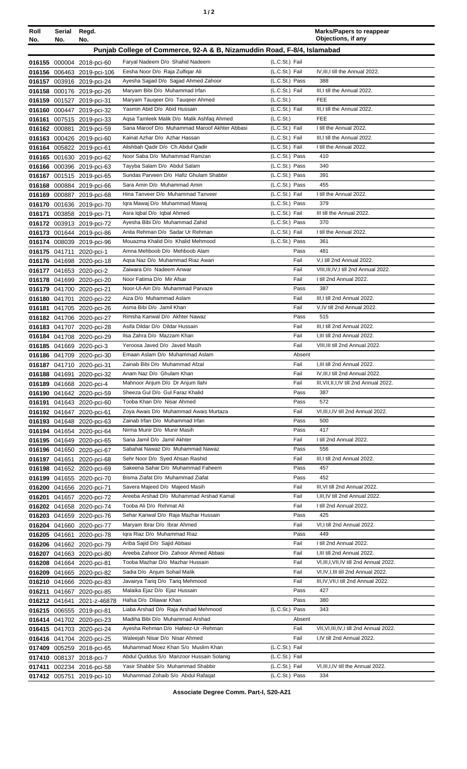| Roll<br>No.                                                             | Serial<br>No. | Regd.<br>No.                                           |                                                                      |                                  | <b>Marks/Papers to reappear</b><br>Objections, if any                   |
|-------------------------------------------------------------------------|---------------|--------------------------------------------------------|----------------------------------------------------------------------|----------------------------------|-------------------------------------------------------------------------|
| Punjab College of Commerce, 92-A & B, Nizamuddin Road, F-8/4, Islamabad |               |                                                        |                                                                      |                                  |                                                                         |
|                                                                         |               | 016155 000004 2018-pci-60                              | Faryal Nadeem D/o Shahid Nadeem                                      | (L.C.St.) Fail                   |                                                                         |
|                                                                         |               | 016156 006463 2019-pci-106                             | Eesha Noor D/o Raja Zulfiqar Ali                                     | (L.C.St.) Fail                   | IV, III, I till the Annual 2022.                                        |
|                                                                         |               | 016157 003916 2019-pci-24                              | Ayesha Sajjad D/o Sajjad Ahmed Zahoor                                | (L.C.St.) Pass                   | 388                                                                     |
|                                                                         |               | 016158 000176 2019-pci-26                              | Maryam Bibi D/o Muhammad Irfan                                       | (L.C.St.) Fail                   | III,I till the Annual 2022.                                             |
|                                                                         |               | 016159 001527 2019-pci-31                              | Maryam Taugeer D/o Taugeer Ahmed                                     | (L.C.S <sub>t</sub> )            | <b>FEE</b>                                                              |
|                                                                         |               | 016160 000447 2019-pci-32                              | Yasmin Abid D/o Abid Hussain                                         | (L.C.St.) Fail                   | III.I till the Annual 2022.                                             |
|                                                                         |               | 016161 007515 2019-pci-33                              | Agsa Tamleek Malik D/o Malik Ashfaq Ahmed                            | (L.C.S <sub>t</sub> )            | <b>FEE</b>                                                              |
|                                                                         |               | 016162 000881 2019-pci-59                              | Sana Maroof D/o Muhammad Maroof Akhter Abbasi                        | (L.C.St.) Fail                   | I till the Annual 2022.                                                 |
|                                                                         |               | 016163 000426 2019-pci-60                              | Kainat Azhar D/o Azhar Hassan                                        | (L.C.St.) Fail                   | III,I till the Annual 2022.<br>I till the Annual 2022.                  |
|                                                                         |               | 016164 005822 2019-pci-61<br>016165 001630 2019-pci-62 | Alishbah Qadir D/o Ch.Abdul Qadir<br>Noor Saba D/o Muhammad Ramzan   | (L.C.St.) Fail<br>(L.C.St.) Pass | 410                                                                     |
|                                                                         |               | 016166 000396 2019-pci-63                              | Tayyba Salam D/o Abdul Salam                                         | (L.C.St.) Pass                   | 340                                                                     |
|                                                                         |               | 016167 001515 2019-pci-65                              | Sundas Parveen D/o Hafiz Ghulam Shabbir                              | (L.C.St.) Pass                   | 391                                                                     |
|                                                                         |               | 016168 000884 2019-pci-66                              | Sara Amin D/o Muhammad Amin                                          | (L.C.St.) Pass                   | 455                                                                     |
|                                                                         |               | 016169 000887 2019-pci-68                              | Hina Tanveer D/o Muhammad Tanveer                                    | (L.C.St.) Fail                   | I till the Annual 2022.                                                 |
|                                                                         |               | 016170 001636 2019-pci-70                              | Igra Mawaj D/o Muhammad Mawaj                                        | (L.C.St.) Pass                   | 379                                                                     |
| 016171                                                                  |               | 003858 2019-pci-71                                     | Asra Iqbal D/o Iqbal Ahmed                                           | (L.C.St.) Fail                   | III till the Annual 2022.                                               |
|                                                                         |               | 016172 003913 2019-pci-72                              | Ayesha Bibi D/o Muhammad Zahid                                       | (L.C.St.) Pass                   | 370                                                                     |
|                                                                         |               | 016173 001644 2019-pci-86                              | Anita Rehman D/o Sadar Ur Rehman                                     | (L.C.St.) Fail                   | I till the Annual 2022.                                                 |
|                                                                         |               | 016174 008039 2019-pci-96                              | Mouazma Khalid D/o Khalid Mehmood<br>Amna Mehboob D/o Mehboob Alam   | (L.C.St.) Pass<br>Pass           | 361<br>481                                                              |
|                                                                         |               | 016175 041711 2020-pci-1<br>016176 041698 2020-pci-18  | Agsa Naz D/o Muhammad Riaz Awan                                      | Fail                             | V,I till 2nd Annual 2022.                                               |
|                                                                         |               | 016177 041653 2020-pci-2                               | Zaiwara D/o Nadeem Anwar                                             | Fail                             | VIII, III, IV, I till 2nd Annual 2022.                                  |
|                                                                         |               | 016178 041699 2020-pci-20                              | Noor Fatima D/o Mir Afsar                                            | Fail                             | I till 2nd Annual 2022.                                                 |
|                                                                         |               | 016179 041700 2020-pci-21                              | Noor-UI-Ain D/o Muhammad Parvaze                                     | Pass                             | 387                                                                     |
|                                                                         |               | 016180 041701 2020-pci-22                              | Aiza D/o Muhammad Aslam                                              | Fail                             | III, I till 2nd Annual 2022.                                            |
|                                                                         |               | 016181 041705 2020-pci-26                              | Asma Bibi D/o Jamil Khan                                             | Fail                             | V, IV till 2nd Annual 2022.                                             |
|                                                                         |               | 016182 041706 2020-pci-27                              | Rimsha Kanwal D/o Akhter Nawaz                                       | Pass                             | 515                                                                     |
|                                                                         |               | 016183 041707 2020-pci-28                              | Asifa Dildar D/o Dildar Hussain                                      | Fail                             | III.I till 2nd Annual 2022.                                             |
|                                                                         |               | 016184 041708 2020-pci-29                              | Ilsa Zahra D/o Mazzam Khan<br>Yeroosa Javed D/o Javed Masih          | Fail<br>Fail                     | I, III till 2nd Annual 2022.<br>VIII, III till 2nd Annual 2022.         |
|                                                                         |               | 016185 041669 2020-pci-3<br>016186 041709 2020-pci-30  | Emaan Aslam D/o Muhammad Aslam                                       | Absent                           |                                                                         |
|                                                                         |               | 016187 041710 2020-pci-31                              | Zainab Bibi D/o Muhammad Afzal                                       | Fail                             | I, III till 2nd Annual 2022.                                            |
|                                                                         |               | 016188 041691 2020-pci-32                              | Anam Naz D/o Ghulam Khan                                             | Fail                             | IV, III, I till 2nd Annual 2022.                                        |
|                                                                         |               | 016189 041668 2020-pci-4                               | Mahnoor Anjum D/o Dr Anjum Ilahi                                     | Fail                             | III, VII, II, I, IV till 2nd Annual 2022.                               |
|                                                                         |               | 016190 041642 2020-pci-59                              | Sheeza Gul D/o Gul Faraz Khalid                                      | Pass                             | 387                                                                     |
|                                                                         |               | 016191 041643 2020-pci-60                              | Tooba Khan D/o Nisar Ahmed                                           | Pass                             | 572                                                                     |
|                                                                         |               | 016192 041647 2020-pci-61                              | Zoya Awais D/o Muhammad Awais Murtaza                                | Fail                             | VI, III, I, IV till 2nd Annual 2022.                                    |
|                                                                         |               | 016193 041648 2020-pci-63                              | Zainab Irfan D/o Muhammad Irfan                                      | Pass                             | 500                                                                     |
|                                                                         |               | 016194 041654 2020-pci-64                              | Nirma Munir D/o Munir Masih<br>Sana Jamil D/o Jamil Akhter           | Pass<br>Fail                     | 417<br>I till 2nd Annual 2022.                                          |
|                                                                         |               | 016195 041649 2020-pci-65<br>016196 041650 2020-pci-67 | Sabahat Nawaz D/o Muhammad Nawaz                                     | Pass                             | 556                                                                     |
|                                                                         |               | 016197 041651 2020-pci-68                              | Sehr Noor D/o Syed Ahsan Rashid                                      | Fail                             | III,I till 2nd Annual 2022.                                             |
|                                                                         |               | 016198 041652 2020-pci-69                              | Sakeena Sahar D/o Muhammad Faheem                                    | Pass                             | 457                                                                     |
|                                                                         |               | 016199 041655 2020-pci-70                              | Bisma Ziafat D/o Muhammad Ziafat                                     | Pass                             | 452                                                                     |
|                                                                         |               | 016200 041656 2020-pci-71                              | Savera Majeed D/o Majeed Masih                                       | Fail                             | III, VI till 2nd Annual 2022.                                           |
|                                                                         |               | 016201 041657 2020-pci-72                              | Areeba Arshad D/o Muhammad Arshad Kamal                              | Fail                             | I, III, IV till 2nd Annual 2022.                                        |
|                                                                         |               | 016202 041658 2020-pci-74                              | Tooba Ali D/o Rehmat Ali                                             | Fail                             | I till 2nd Annual 2022.                                                 |
|                                                                         |               | 016203 041659 2020-pci-76                              | Sehar Kanwal D/o Raja Mazhar Hussain                                 | Pass                             | 425                                                                     |
|                                                                         |               | 016204 041660 2020-pci-77                              | Maryam Ibrar D/o Ibrar Ahmed<br>Igra Riaz D/o Muhammad Riaz          | Fail<br>Pass                     | VI,I till 2nd Annual 2022.<br>449                                       |
|                                                                         |               | 016205 041661 2020-pci-78<br>016206 041662 2020-pci-79 | Ariba Sajid D/o Sajid Abbasi                                         | Fail                             | I till 2nd Annual 2022.                                                 |
|                                                                         |               | 016207 041663 2020-pci-80                              | Areeba Zahoor D/o Zahoor Ahmed Abbasi                                | Fail                             | I, III till 2nd Annual 2022.                                            |
|                                                                         |               | 016208 041664 2020-pci-81                              | Tooba Mazhar D/o Mazhar Hussain                                      | Fail                             | VI, III, I, VII, IV till 2nd Annual 2022.                               |
|                                                                         |               | 016209 041665 2020-pci-82                              | Sadia D/o Anjum Sohail Malik                                         | Fail                             | VI, IV, I, III till 2nd Annual 2022.                                    |
|                                                                         |               | 016210 041666 2020-pci-83                              | Javairya Tariq D/o Tariq Mehmood                                     | Fail                             | III, IV, VII, I till 2nd Annual 2022.                                   |
|                                                                         |               | 016211 041667 2020-pci-85                              | Malaika Ejaz D/o Ejaz Hussain                                        | Pass                             | 427                                                                     |
|                                                                         |               | 016212 041641 2021-z-46878                             | Hafsa D/o Dilawar Khan                                               | Pass                             | 380                                                                     |
|                                                                         |               | 016215 006555 2019-pci-81                              | Liaba Arshad D/o Raja Arshad Mehmood                                 | (L.C.St.) Pass                   | 343                                                                     |
|                                                                         |               | 016414 041702 2020-pci-23                              | Madiha Bibi D/o Muhammad Arshad                                      | Absent                           |                                                                         |
|                                                                         |               | 016415 041703 2020-pci-24                              | Ayesha Rehman D/o Hafeez-Ur-Rehman<br>Waleejah Nisar D/o Nisar Ahmed | Fail<br>Fail                     | VII, VI, III, IV, I till 2nd Annual 2022.<br>I,IV till 2nd Annual 2022. |
|                                                                         |               | 016416 041704 2020-pci-25<br>017409 005259 2018-pci-65 | Muhammad Moez Khan S/o Muslim Khan                                   | (L.C.St.) Fail                   |                                                                         |
|                                                                         |               | 017410 008137 2018-pci-7                               | Abdul Quddus S/o Manzoor Hussain Solanig                             | (L.C.St.) Fail                   |                                                                         |
|                                                                         |               | 017411 002234 2016-pci-58                              | Yasir Shabbir S/o Muhammad Shabbir                                   | (L.C.St.) Fail                   | VI, III, I, IV till the Annual 2022.                                    |
|                                                                         |               | 017412 005751 2019-pci-10                              | Muhammad Zohaib S/o Abdul Rafaqat                                    | (L.C.St.) Pass                   | 334                                                                     |
|                                                                         |               |                                                        |                                                                      |                                  |                                                                         |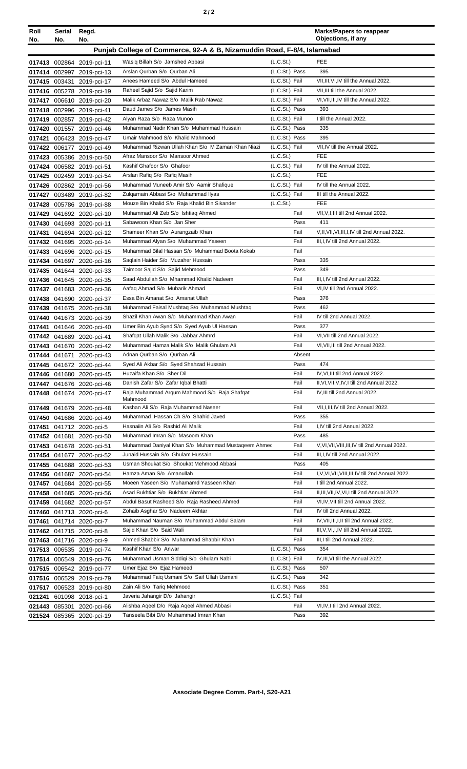|--|--|--|

| Roll | Serial | Regd.                                                  |                                                                                    |                                  |              | <b>Marks/Papers to reappear</b><br>Objections, if any |
|------|--------|--------------------------------------------------------|------------------------------------------------------------------------------------|----------------------------------|--------------|-------------------------------------------------------|
| No.  | No.    | No.                                                    |                                                                                    |                                  |              |                                                       |
|      |        |                                                        | Punjab College of Commerce, 92-A & B, Nizamuddin Road, F-8/4, Islamabad            |                                  |              |                                                       |
|      |        | 017413 002864 2019-pci-11                              | Wasiq Billah S/o Jamshed Abbasi                                                    | (L.C.S <sub>t</sub> )            |              | <b>FEE</b>                                            |
|      |        | 017414 002997 2019-pci-13                              | Arslan Qurban S/o Qurban Ali                                                       | (L.C.St.) Pass                   |              | 395                                                   |
|      |        | 017415 003431 2019-pci-17                              | Anees Hameed S/o Abdul Hameed                                                      | (L.C.St.) Fail                   |              | VII, III, VI, IV till the Annual 2022.                |
|      |        | 017416 005278 2019-pci-19                              | Raheel Sajid S/o Sajid Karim                                                       | (L.C.St.) Fail                   |              | VII, III till the Annual 2022.                        |
|      |        | 017417 006610 2019-pci-20                              | Malik Arbaz Nawaz S/o Malik Rab Nawaz<br>Daud James S/o James Masih                | (L.C.St.) Fail                   |              | VI, VII, III, IV till the Annual 2022.<br>393         |
|      |        | 017418 002996 2019-pci-41                              | Alyan Raza S/o Raza Munoo                                                          | (L.C.St.) Pass<br>(L.C.St.) Fail |              | I till the Annual 2022.                               |
|      |        | 017419 002857 2019-pci-42<br>017420 001557 2019-pci-46 | Muhammad Nadir Khan S/o Muhammad Hussain                                           | (L.C.St.) Pass                   |              | 335                                                   |
|      |        | 017421 006423 2019-pci-47                              | Umair Mahmood S/o Khalid Mahmood                                                   | (L.C.St.) Pass                   |              | 395                                                   |
|      |        | 017422 006177 2019-pci-49                              | Muhammad Rizwan Ullah Khan S/o M Zaman Khan Niazi                                  | (L.C.St.) Fail                   |              | VII, IV till the Annual 2022.                         |
|      |        | 017423 005386 2019-pci-50                              | Afraz Mansoor S/o Mansoor Ahmed                                                    | (L.C.St.)                        |              | FEE                                                   |
|      |        | 017424 006582 2019-pci-51                              | Kashif Ghafoor S/o Ghafoor                                                         | (L.C.St.) Fail                   |              | IV till the Annual 2022.                              |
|      |        | 017425 002459 2019-pci-54                              | Arslan Rafiq S/o Rafiq Masih                                                       | (L.C.St.)                        |              | <b>FEE</b>                                            |
|      |        | 017426 002862 2019-pci-56                              | Muhammad Muneeb Amir S/o Aamir Shafique                                            | (L.C.St.) Fail                   |              | IV till the Annual 2022.                              |
|      |        | 017427 003489 2019-pci-82                              | Zulgarnain Abbasi S/o Muhammad Ilyas                                               | (L.C.St.) Fail                   |              | III till the Annual 2022.                             |
|      |        | 017428 005786 2019-pci-88                              | Mouze Bin Khalid S/o Raja Khalid Bin Sikander                                      | (L.C.S <sub>t</sub> )            |              | <b>FEE</b>                                            |
|      |        | 017429 041692 2020-pci-10                              | Muhammad Ali Zeb S/o Ishtiaq Ahmed                                                 |                                  | Fail         | VII, V, I, III till 2nd Annual 2022.                  |
|      |        | 017430 041693 2020-pci-11                              | Sabawoon Khan S/o Jan Sher                                                         |                                  | Pass         | 411                                                   |
|      |        | 017431 041694 2020-pci-12                              | Shameer Khan S/o Aurangzaib Khan                                                   |                                  | Fail         | V,II, VII, VI, III, I, IV till 2nd Annual 2022.       |
|      |        | 017432 041695 2020-pci-14                              | Muhammad Alyan S/o Muhammad Yaseen                                                 |                                  | Fail         | III, I, IV till 2nd Annual 2022.                      |
|      |        | 017433 041696 2020-pci-15                              | Muhammad Bilal Hassan S/o Muhammad Boota Kokab                                     |                                  | Fail         |                                                       |
|      |        | 017434 041697 2020-pci-16                              | Saglain Haider S/o Muzaher Hussain                                                 |                                  | Pass         | 335                                                   |
|      |        | 017435 041644 2020-pci-33                              | Taimoor Sajid S/o Sajid Mehmood                                                    |                                  | Pass         | 349                                                   |
|      |        | 017436 041645 2020-pci-35                              | Saad Abdullah S/o Mhammad Khalid Nadeem                                            |                                  | Fail         | III, I, IV till 2nd Annual 2022.                      |
|      |        | 017437 041683 2020-pci-36                              | Aafaq Ahmad S/o Mubarik Ahmad                                                      |                                  | Fail         | VI,IV till 2nd Annual 2022.                           |
|      |        | 017438 041690 2020-pci-37                              | Essa Bin Amanat S/o Amanat Ullah                                                   |                                  | Pass         | 376                                                   |
|      |        | 017439 041675 2020-pci-38                              | Muhammad Faisal Mushtag S/o Muhammad Mushtag                                       |                                  | Pass         | 462                                                   |
|      |        | 017440 041673 2020-pci-39                              | Shazil Khan Awan S/o Muhammad Khan Awan                                            |                                  | Fail<br>Pass | IV till 2nd Annual 2022.<br>377                       |
|      |        | 017441 041646 2020-pci-40                              | Umer Bin Ayub Syed S/o Syed Ayub UI Hassan<br>Shafqat Ullah Malik S/o Jabbar Ahmrd |                                  | Fail         | VI, VII till 2nd Annual 2022.                         |
|      |        | 017442 041689 2020-pci-41<br>017443 041670 2020-pci-42 | Muhammad Hamza Malik S/o Malik Ghulam Ali                                          |                                  | Fail         | VI, VII, III till 2nd Annual 2022.                    |
|      |        | 017444 041671 2020-pci-43                              | Adnan Qurban S/o Qurban Ali                                                        |                                  | Absent       |                                                       |
|      |        | 017445 041672 2020-pci-44                              | Syed Ali Akbar S/o Syed Shahzad Hussain                                            |                                  | Pass         | 474                                                   |
|      |        | 017446 041680 2020-pci-45                              | Huzaifa Khan S/o Sher Dil                                                          |                                  | Fail         | IV, VI, III till 2nd Annual 2022.                     |
|      |        | 017447 041676 2020-pci-46                              | Danish Zafar S/o Zafar Igbal Bhatti                                                |                                  | Fail         | II, VI, VII, V, IV, I till 2nd Annual 2022.           |
|      |        | 017448 041674 2020-pci-47                              | Raja Muhammad Argum Mahmood S/o Raja Shafqat                                       |                                  | Fail         | IV, III till 2nd Annual 2022.                         |
|      |        |                                                        | Mahmood                                                                            |                                  |              |                                                       |
|      |        | 017449 041679 2020-pci-48                              | Kashan Ali S/o Raja Muhammad Naseer                                                |                                  | Fail         | VII, I, III, IV till 2nd Annual 2022.                 |
|      |        | 017450 041686 2020-pci-49                              | Muhammad Hassan Ch S/o Shahid Javed<br>Hasnaiin Ali S/o Rashid Ali Malik           |                                  | Pass         | 355                                                   |
|      |        | 017451 041712 2020-pci-5                               | Muhammad Imran S/o Masoom Khan                                                     |                                  | Fail<br>Pass | I,IV till 2nd Annual 2022.<br>485                     |
|      |        | 017452 041681 2020-pci-50                              | Muhammad Daniyal Khan S/o Muhammad Mustageem Ahmed                                 |                                  | Fail         | V, VI, VII, VIII, III, IV till 2nd Annual 2022.       |
|      |        | 017453 041678 2020-pci-51<br>017454 041677 2020-pci-52 | Junaid Hussain S/o Ghulam Hussain                                                  |                                  | Fail         | III, I, IV till 2nd Annual 2022.                      |
|      |        | 017455 041688 2020-pci-53                              | Usman Shoukat S/o Shoukat Mehmood Abbasi                                           |                                  | Pass         | 405                                                   |
|      |        | 017456 041687 2020-pci-54                              | Hamza Aman S/o Amanullah                                                           |                                  | Fail         | I, V, VI, VII, VIII, III, IV till 2nd Annual 2022.    |
|      |        | 017457 041684 2020-pci-55                              | Moeen Yaseen S/o Muhamamd Yasseen Khan                                             |                                  | Fail         | I till 2nd Annual 2022.                               |
|      |        | 017458 041685 2020-pci-56                              | Asad Bukhtiar S/o Bukhtiar Ahmed                                                   |                                  | Fail         | II, III, VII, IV, VI, I till 2nd Annual 2022.         |
|      |        | 017459 041682 2020-pci-57                              | Abdul Basut Rasheed S/o Raja Rasheed Ahmed                                         |                                  | Fail         | VI,IV, VII till 2nd Annual 2022.                      |
|      |        | 017460 041713 2020-pci-6                               | Zohaib Asghar S/o Nadeem Akhtar                                                    |                                  | Fail         | IV till 2nd Annual 2022.                              |
|      |        | 017461 041714 2020-pci-7                               | Muhammad Nauman S/o Muhammad Abdul Salam                                           |                                  | Fail         | IV, VII, III, I, II till 2nd Annual 2022.             |
|      |        | 017462 041715 2020-pci-8                               | Sajid Khan S/o Said Wali                                                           |                                  | Fail         | III, V, VI, I, IV till 2nd Annual 2022.               |
|      |        | 017463 041716 2020-pci-9                               | Ahmed Shabbir S/o Muhammad Shabbir Khan                                            |                                  | Fail         | III,I till 2nd Annual 2022.                           |
|      |        | 017513 006535 2019-pci-74                              | Kashif Khan S/o Anwar                                                              | (L.C.St.) Pass                   |              | 354                                                   |
|      |        | 017514 006549 2019-pci-76                              | Muhammad Usman Siddiqi S/o Ghulam Nabi                                             | (L.C.St.) Fail                   |              | IV, III, VI till the Annual 2022.                     |
|      |        | 017515 006542 2019-pci-77                              | Umer Ejaz S/o Ejaz Hameed                                                          | (L.C.St.) Pass                   |              | 507                                                   |
|      |        | 017516 006529 2019-pci-79                              | Muhammad Faiq Usmani S/o Saif Ullah Usmani                                         | (L.C.St.) Pass                   |              | 342                                                   |
|      |        | 017517 006523 2019-pci-80                              | Zain Ali S/o Tariq Mehmood                                                         | (L.C.St.) Pass                   |              | 351                                                   |
|      |        | 021241 601098 2018-pci-1                               | Javeria Jahangir D/o Jahangir                                                      | (L.C.St.) Fail                   |              |                                                       |
|      |        | 021443 085301 2020-pci-66                              | Alishba Aqeel D/o Raja Aqeel Ahmed Abbasi                                          |                                  | Fail         | VI,IV,I till 2nd Annual 2022.                         |
|      |        | 021524 085365 2020-pci-19                              | Tanseela Bibi D/o Muhammad Imran Khan                                              |                                  | Pass         | 392                                                   |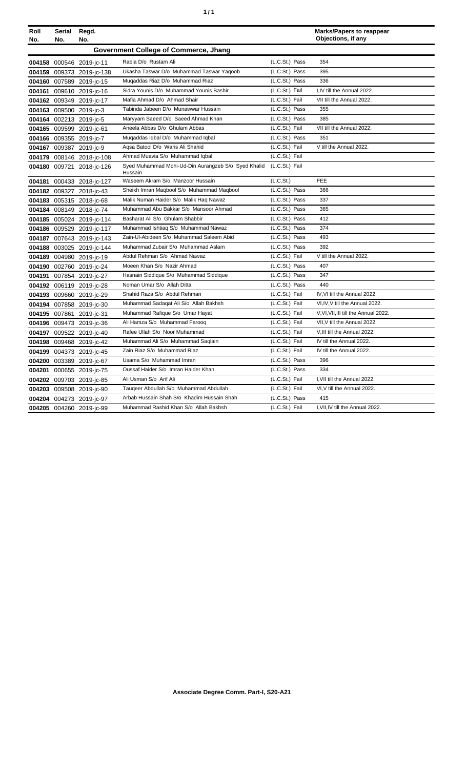| ٠ | ٠ |
|---|---|
|   |   |

| Roll<br>No. | Serial<br>No. | Regd.<br>No.              |                                                                               |                | <b>Marks/Papers to reappear</b><br>Objections, if any |
|-------------|---------------|---------------------------|-------------------------------------------------------------------------------|----------------|-------------------------------------------------------|
|             |               |                           | <b>Government College of Commerce, Jhang</b>                                  |                |                                                       |
|             |               | 004158 000546 2019-jc-11  | Rabia D/o Rustam Ali                                                          | (L.C.St.) Pass | 354                                                   |
|             |               | 004159 009373 2019-jc-138 | Ukasha Taswar D/o Muhammad Taswar Yaqoob                                      | (L.C.St.) Pass | 395                                                   |
|             |               | 004160 007589 2019-jc-15  | Mugaddas Riaz D/o Muhammad Riaz                                               | (L.C.St.) Pass | 336                                                   |
|             |               | 004161 009610 2019-jc-16  | Sidra Younis D/o Muhammad Younis Bashir                                       | (L.C.St.) Fail | I.IV till the Annual 2022.                            |
|             |               | 004162 009349 2019-jc-17  | Mafia Ahmad D/o Ahmad Shair                                                   | (L.C.St.) Fail | VII till the Annual 2022.                             |
|             |               | 004163 009500 2019-jc-3   | Tabinda Jabeen D/o Munawwar Hussain                                           | (L.C.St.) Pass | 355                                                   |
|             |               | 004164 002213 2019-jc-5   | Maryyam Saeed D/o Saeed Ahmad Khan                                            | (L.C.St.) Pass | 385                                                   |
|             |               | 004165 009599 2019-jc-61  | Aneela Abbas D/o Ghulam Abbas                                                 | (L.C.St.) Fail | VII till the Annual 2022.                             |
|             |               | 004166 009355 2019-jc-7   | Muqaddas Iqbal D/o Muhammad Iqbal                                             | (L.C.St.) Pass | 351                                                   |
|             |               | 004167 009387 2019-jc-9   | Agsa Batool D/o Waris Ali Shahid                                              | (L.C.St.) Fail | V till the Annual 2022.                               |
|             |               | 004179 008146 2018-jc-108 | Ahmad Muavia S/o Muhammad Iqbal                                               | (L.C.St.) Fail |                                                       |
|             |               | 004180 009721 2018-jc-126 | Syed Muhammad Mohi-Ud-Din Aurangzeb S/o Syed Khalid (L.C.St.) Fail<br>Hussain |                |                                                       |
|             |               | 004181 000433 2018-jc-127 | Waseem Akram S/o Manzoor Hussain                                              | (L.C.St.)      | <b>FEE</b>                                            |
|             |               | 004182 009327 2018-jc-43  | Sheikh Imran Magbool S/o Muhammad Magbool                                     | (L.C.St.) Pass | 366                                                   |
|             |               | 004183 005315 2018-jc-68  | Malik Numan Haider S/o Malik Haq Nawaz                                        | (L.C.St.) Pass | 337                                                   |
|             |               | 004184 008149 2018-jc-74  | Muhammad Abu Bakkar S/o Mansoor Ahmad                                         | (L.C.St.) Pass | 365                                                   |
|             |               | 004185 005024 2019-jc-114 | Basharat Ali S/o Ghulam Shabbir                                               | (L.C.St.) Pass | 412                                                   |
|             |               | 004186 009529 2019-jc-117 | Muhammad Ishtiaq S/o Muhammad Nawaz                                           | (L.C.St.) Pass | 374                                                   |
|             |               | 004187 007643 2019-jc-143 | Zain-UI-Abideen S/o Muhammad Saleem Abid                                      | (L.C.St.) Pass | 493                                                   |
|             |               | 004188 003025 2019-jc-144 | Muhammad Zubair S/o Muhammad Aslam                                            | (L.C.St.) Pass | 392                                                   |
|             |               | 004189 004980 2019-jc-19  | Abdul Rehman S/o Ahmad Nawaz                                                  | (L.C.St.) Fail | V till the Annual 2022.                               |
|             |               | 004190 002760 2019-jc-24  | Moeen Khan S/o Nazir Ahmad                                                    | (L.C.St.) Pass | 407                                                   |
|             |               | 004191 007854 2019-jc-27  | Hasnain Siddique S/o Muhammad Siddique                                        | (L.C.St.) Pass | 347                                                   |
|             |               | 004192 006119 2019-jc-28  | Noman Umar S/o Allah Ditta                                                    | (L.C.St.) Pass | 440                                                   |
|             |               | 004193 009660 2019-jc-29  | Shahid Raza S/o Abdul Rehman                                                  | (L.C.St.) Fail | IV, VI till the Annual 2022.                          |
|             |               | 004194 007858 2019-jc-30  | Muhammad Sadaqat Ali S/o Allah Bakhsh                                         | (L.C.St.) Fail | VI, IV, V till the Annual 2022.                       |
|             | 004195 007861 | 2019-jc-31                | Muhammad Rafique S/o Umar Hayat                                               | (L.C.St.) Fail | V.VI.VII.III till the Annual 2022.                    |
|             |               | 004196 009473 2019-jc-36  | Ali Hamza S/o Muhammad Farooq                                                 | (L.C.St.) Fail | VII, V till the Annual 2022.                          |
|             |               | 004197 009522 2019-jc-40  | Rafee Ullah S/o Noor Muhammad                                                 | (L.C.St.) Fail | V, III till the Annual 2022.                          |
|             |               | 004198 009468 2019-jc-42  | Muhammad Ali S/o Muhammad Saqlain                                             | (L.C.St.) Fail | IV till the Annual 2022.                              |
|             |               | 004199 004373 2019-jc-45  | Zain Riaz S/o Muhammad Riaz                                                   | (L.C.St.) Fail | IV till the Annual 2022.                              |
|             |               | 004200 003389 2019-jc-67  | Usama S/o Muhammad Imran                                                      | (L.C.St.) Pass | 396                                                   |
|             |               | 004201 000655 2019-jc-75  | Oussaf Haider S/o Imran Haider Khan                                           | (L.C.St.) Pass | 334                                                   |
|             |               | 004202 009703 2019-jc-85  | Ali Usman S/o Arif Ali                                                        | (L.C.St.) Fail | I, VII till the Annual 2022.                          |
|             |               | 004203 009508 2019-jc-90  | Taugeer Abdullah S/o Muhammad Abdullah                                        | (L.C.St.) Fail | VI, V till the Annual 2022.                           |
|             |               | 004204 004273 2019-jc-97  | Arbab Hussain Shah S/o Khadim Hussain Shah                                    | (L.C.St.) Pass | 415                                                   |
|             |               | 004205 004260 2019-jc-99  | Muhammad Rashid Khan S/o Allah Bakhsh                                         | (L.C.St.) Fail | I, VII, IV till the Annual 2022.                      |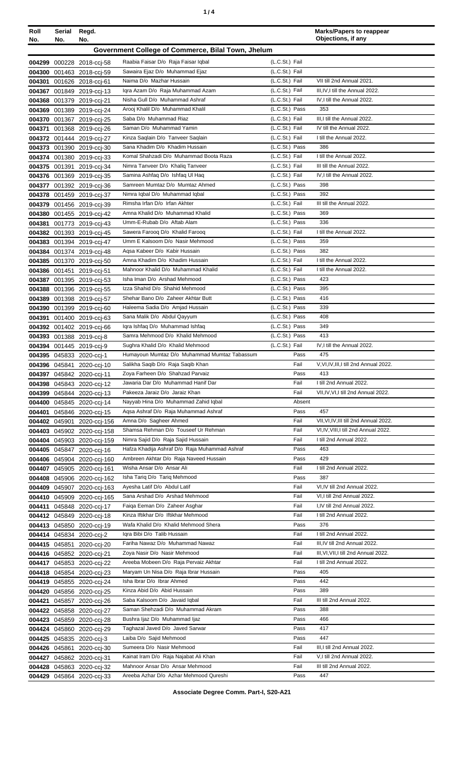| ٠ |  |
|---|--|
|   |  |

| Roll<br>No. | Serial<br>No. | Regd.<br>No.                                             |                                                                     |                                  | <b>Marks/Papers to reappear</b><br>Objections, if any |
|-------------|---------------|----------------------------------------------------------|---------------------------------------------------------------------|----------------------------------|-------------------------------------------------------|
|             |               |                                                          | Government College of Commerce, Bilal Town, Jhelum                  |                                  |                                                       |
|             |               | 004299 000228 2018-cci-58                                | Raabia Faisar D/o Raja Faisar Iqbal                                 | (L.C.St.) Fail                   |                                                       |
|             |               | 004300 001463 2018-ccj-59                                | Sawaira Ejaz D/o Muhammad Ejaz                                      | (L.C.St.) Fail                   |                                                       |
|             |               | 004301 001626 2018-ccj-61                                | Naima D/o Mazhar Hussain                                            | (L.C.St.) Fail                   | VII till 2nd Annual 2021.                             |
|             |               | 004367 001849 2019-ccj-13                                | Iqra Azam D/o Raja Muhammad Azam                                    | (L.C.St.) Fail                   | III, IV, I till the Annual 2022.                      |
|             |               | 004368 001379 2019-ccj-21                                | Nisha Gull D/o Muhammad Ashraf                                      | (L.C.St.) Fail                   | IV, I till the Annual 2022.                           |
|             |               | 004369 001389 2019-ccj-24                                | Arooj Khalil D/o Muhammad Khalil                                    | (L.C.St.) Pass                   | 353                                                   |
|             |               | 004370 001367 2019-ccj-25                                | Saba D/o Muhammad Riaz                                              | (L.C.St.) Fail                   | III,I till the Annual 2022.                           |
|             |               | 004371 001368 2019-ccj-26                                | Saman D/o Muhammad Yamin                                            | (L.C.St.) Fail                   | IV till the Annual 2022.                              |
|             |               | 004372 001444 2019-cci-27                                | Kinza Saqlain D/o Tanveer Saqlain                                   | (L.C.St.) Fail                   | I till the Annual 2022.                               |
|             |               | 004373 001390 2019-ccj-30                                | Sana Khadim D/o Khadim Hussain                                      | (L.C.St.) Pass                   | 386                                                   |
|             |               | 004374 001380 2019-ccj-33                                | Komal Shahzadi D/o Muhammad Boota Raza                              | (L.C.St.) Fail                   | I till the Annual 2022.                               |
|             |               | 004375 001391 2019-ccj-34                                | Nimra Tanveer D/o Khaliq Tanveer                                    | (L.C.St.) Fail                   | III till the Annual 2022.                             |
|             |               | 004376 001369 2019-cci-35                                | Samina Ashfaq D/o Ishfaq UI Haq                                     | (L.C.St.) Fail                   | IV, I till the Annual 2022.                           |
|             |               | 004377 001392 2019-ccj-36                                | Samreen Mumtaz D/o Mumtaz Ahmed                                     | (L.C.St.) Pass                   | 398                                                   |
|             |               | 004378 001459 2019-ccj-37                                | Nimra Iqbal D/o Muhammad Iqbal                                      | (L.C.St.) Pass                   | 392                                                   |
|             |               | 004379 001456 2019-ccj-39                                | Rimsha Irfan D/o Irfan Akhter                                       | (L.C.St.) Fail                   | III till the Annual 2022.                             |
|             |               | 004380 001455 2019-cci-42                                | Amna Khalid D/o Muhammad Khalid<br>Umm-E-Rubab D/o Aftab Alam       | (L.C.St.) Pass<br>(L.C.St.) Pass | 369<br>336                                            |
|             |               | 004381 001773 2019-ccj-43                                | Sawera Farooq D/o Khalid Farooq                                     | (L.C.St.) Fail                   | I till the Annual 2022.                               |
|             |               | 004382 001393 2019-ccj-45                                | Umm E Kalsoom D/o Nasir Mehmood                                     | (L.C.St.) Pass                   | 359                                                   |
|             |               | 004383 001394 2019-ccj-47                                | Aqsa Kabeer D/o Kabir Hussain                                       | (L.C.St.) Pass                   | 382                                                   |
|             |               | 004384 001374 2019-ccj-48<br>004385 001370 2019-ccj-50   | Amna Khadim D/o Khadim Hussain                                      | (L.C.St.) Fail                   | I till the Annual 2022.                               |
|             |               | 004386 001451 2019-ccj-51                                | Mahnoor Khalid D/o Muhammad Khalid                                  | (L.C.St.) Fail                   | I till the Annual 2022.                               |
|             |               | 004387 001395 2019-cci-53                                | Isha Iman D/o Arshad Mehmood                                        | (L.C.St.) Pass                   | 423                                                   |
|             |               | 004388 001396 2019-cci-55                                | Izza Shahid D/o Shahid Mehmood                                      | (L.C.St.) Pass                   | 395                                                   |
|             |               | 004389 001398 2019-ccj-57                                | Shehar Bano D/o Zaheer Akhtar Butt                                  | (L.C.St.) Pass                   | 416                                                   |
|             |               | 004390 001399 2019-ccj-60                                | Haleema Sadia D/o Amjad Hussain                                     | (L.C.St.) Pass                   | 339                                                   |
|             |               | 004391 001400 2019-ccj-63                                | Sana Malik D/o Abdul Qayyum                                         | (L.C.St.) Pass                   | 408                                                   |
|             |               | 004392 001402 2019-cci-66                                | Igra Ishfaq D/o Muhammad Ishfaq                                     | (L.C.St.) Pass                   | 349                                                   |
|             |               | 004393 001388 2019-ccj-8                                 | Samra Mehmood D/o Khalid Mehmood                                    | (L.C.St.) Pass                   | 413                                                   |
|             |               | 004394 001445 2019-ccj-9                                 | Sughra Khalid D/o Khalid Mehmood                                    | (L.C.St.) Fail                   | IV.I till the Annual 2022.                            |
|             |               | 004395 045833 2020-ccj-1                                 | Humayoun Mumtaz D/o Muhammad Mumtaz Tabassum                        | Pass                             | 475                                                   |
|             |               | 004396 045841 2020-cci-10                                | Salikha Saqib D/o Raja Saqib Khan                                   | Fail                             | V,VI,IV,III,I till 2nd Annual 2022.                   |
|             |               | 004397 045842 2020-ccj-11                                | Zoya Farheen D/o Shahzad Parvaiz                                    | Pass                             | 413                                                   |
|             |               | 004398 045843 2020-ccj-12                                | Jawaria Dar D/o Muhammad Hanif Dar                                  | Fail                             | I till 2nd Annual 2022.                               |
|             |               | 004399 045844 2020-ccj-13                                | Pakeeza Jaraiz D/o Jaraiz Khan                                      | Fail                             | VII, IV, VI, I till 2nd Annual 2022.                  |
|             |               | 004400 045845 2020-ccj-14                                | Nayyab Hina D/o Muhammad Zahid Iqbal                                | Absent                           |                                                       |
|             |               | 004401 045846 2020-ccj-15                                | Agsa Ashraf D/o Raja Muhammad Ashraf                                | Pass                             | 457                                                   |
|             |               | 004402 045901 2020-ccj-156                               | Amna D/o Sagheer Ahmed                                              | Fail                             | VII, VI, IV, III till 2nd Annual 2022.                |
|             |               | 004403 045902 2020-cci-158                               | Shamsa Rehman D/o Touseef Ur Rehman                                 | Fail                             | VI, IV, VIII, I till 2nd Annual 2022.                 |
|             |               | 004404 045903 2020-ccj-159                               | Nimra Sajid D/o Raja Sajid Hussain                                  | Fail                             | I till 2nd Annual 2022.                               |
|             |               | 004405 045847 2020-ccj-16                                | Hafza Khadija Ashraf D/o Raja Muhammad Ashraf                       | Pass                             | 463<br>429                                            |
|             |               | 004406 045904 2020-ccj-160                               | Ambreen Akhtar D/o Raja Naveed Hussain<br>Wisha Ansar D/o Ansar Ali | Pass<br>Fail                     | I till 2nd Annual 2022.                               |
|             |               | 004407 045905 2020-ccj-161                               | Isha Tariq D/o Tariq Mehmood                                        | Pass                             | 387                                                   |
|             |               | 004408 045906 2020-cci-162                               | Ayesha Latif D/o Abdul Latif                                        | Fail                             | VI,IV till 2nd Annual 2022.                           |
|             |               | 004409 045907 2020-cci-163<br>004410 045909 2020-ccj-165 | Sana Arshad D/o Arshad Mehmood                                      | Fail                             | VI, I till 2nd Annual 2022.                           |
|             |               | 004411 045848 2020-ccj-17                                | Faiga Eeman D/o Zaheer Asghar                                       | Fail                             | I,IV till 2nd Annual 2022.                            |
|             |               | 004412 045849 2020-ccj-18                                | Kinza Iftikhar D/o Iftikhar Mehmood                                 | Fail                             | I till 2nd Annual 2022.                               |
|             |               | 004413 045850 2020-ccj-19                                | Wafa Khalid D/o Khalid Mehmood Shera                                | Pass                             | 376                                                   |
|             |               | 004414 045834 2020-ccj-2                                 | Igra Bibi D/o Talib Hussain                                         | Fail                             | I till 2nd Annual 2022.                               |
|             |               | 004415 045851 2020-ccj-20                                | Fariha Nawaz D/o Muhammad Nawaz                                     | Fail                             | III, IV till 2nd Annual 2022.                         |
|             |               | 004416 045852 2020-ccj-21                                | Zoya Nasir D/o Nasir Mehmood                                        | Fail                             | III, VI, VII, I till 2nd Annual 2022.                 |
|             |               | 004417 045853 2020-ccj-22                                | Areeba Mobeen D/o Raja Pervaiz Akhtar                               | Fail                             | I till 2nd Annual 2022.                               |
|             |               | 004418 045854 2020-ccj-23                                | Maryam Un Nisa D/o Raja Ibrar Hussain                               | Pass                             | 405                                                   |
|             |               | 004419 045855 2020-ccj-24                                | Isha Ibrar D/o Ibrar Ahmed                                          | Pass                             | 442                                                   |
|             |               | 004420 045856 2020-ccj-25                                | Kinza Abid D/o Abid Hussain                                         | Pass                             | 389                                                   |
|             |               | 004421 045857 2020-ccj-26                                | Saba Kalsoom D/o Javaid Iqbal                                       | Fail                             | III till 2nd Annual 2022.                             |
|             |               | 004422 045858 2020-ccj-27                                | Saman Shehzadi D/o Muhammad Akram                                   | Pass                             | 388                                                   |
|             |               | 004423 045859 2020-ccj-28                                | Bushra Ijaz D/o Muhammad Ijaz                                       | Pass                             | 466                                                   |
|             |               | 004424 045860 2020-ccj-29                                | Taghazal Javed D/o Javed Sarwar                                     | Pass                             | 417                                                   |
|             |               | 004425 045835 2020-ccj-3                                 | Laiba D/o Sajid Mehmood                                             | Pass                             | 447                                                   |
|             |               | 004426 045861 2020-ccj-30                                | Sumeera D/o Nasir Mehmood                                           | Fail                             | III,I till 2nd Annual 2022.                           |
|             |               | 004427 045862 2020-cci-31                                | Kainat Iram D/o Raja Najabat Ali Khan                               | Fail                             | V,I till 2nd Annual 2022.                             |
|             |               | 004428 045863 2020-ccj-32                                | Mahnoor Ansar D/o Ansar Mehmood                                     | Fail                             | III till 2nd Annual 2022.                             |
|             |               | 004429 045864 2020-ccj-33                                | Areeba Azhar D/o Azhar Mehmood Qureshi                              | Pass                             | 447                                                   |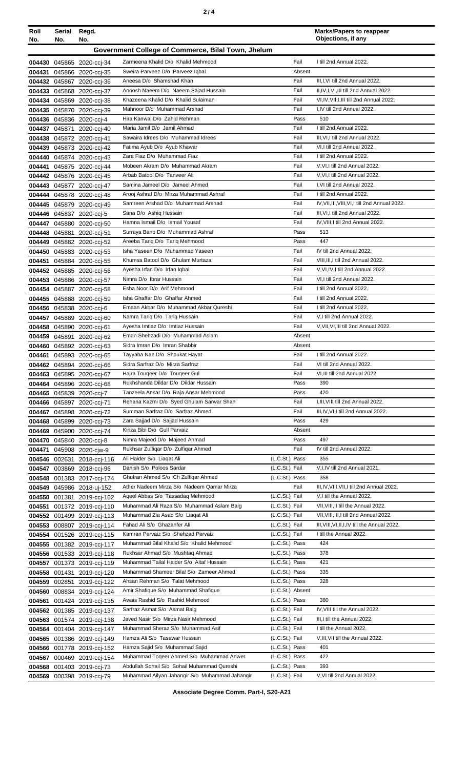| Roll<br>No. | Serial Regd.<br>No.                                | No.                                                      |                                                                        |                                  | <b>Marks/Papers to reappear</b><br>Objections, if any           |  |
|-------------|----------------------------------------------------|----------------------------------------------------------|------------------------------------------------------------------------|----------------------------------|-----------------------------------------------------------------|--|
|             | Government College of Commerce, Bilal Town, Jhelum |                                                          |                                                                        |                                  |                                                                 |  |
|             |                                                    | 004430 045865 2020-ccj-34                                | Zarmeena Khalid D/o Khalid Mehmood                                     | Fail                             | I till 2nd Annual 2022.                                         |  |
|             |                                                    | 004431 045866 2020-ccj-35                                | Sweira Parveez D/o Parveez Iqbal                                       | Absent                           |                                                                 |  |
|             |                                                    | 004432 045867 2020-ccj-36                                | Aneesa D/o Shamshad Khan                                               | Fail                             | III, I, VI till 2nd Annual 2022.                                |  |
|             |                                                    | 004433 045868 2020-ccj-37                                | Anoosh Naeem D/o Naeem Sajad Hussain                                   | Fail                             | II, IV, I, VI, III till 2nd Annual 2022.                        |  |
|             |                                                    | 004434 045869 2020-ccj-38                                | Khazeena Khalid D/o Khalid Sulaiman                                    | Fail                             | VI,IV, VII, I, III till 2nd Annual 2022.                        |  |
|             |                                                    | 004435 045870 2020-ccj-39                                | Mahnoor D/o Muhammad Arshad                                            | Fail                             | I.IV till 2nd Annual 2022.                                      |  |
|             |                                                    | 004436 045836 2020-ccj-4                                 | Hira Kanwal D/o Zahid Rehman                                           | Pass                             | 510                                                             |  |
|             |                                                    | 004437 045871 2020-ccj-40                                | Maria Jamil D/o Jamil Ahmad                                            | Fail                             | I till 2nd Annual 2022.                                         |  |
|             |                                                    | 004438 045872 2020-ccj-41                                | Sawaira Idrees D/o Muhammad Idrees                                     | Fail                             | III, VI, I till 2nd Annual 2022.                                |  |
|             |                                                    | 004439 045873 2020-ccj-42                                | Fatima Ayub D/o Ayub Khawar<br>Zara Fiaz D/o Muhammad Fiaz             | Fail<br>Fail                     | VI,I till 2nd Annual 2022.<br>I till 2nd Annual 2022.           |  |
|             |                                                    | 004440 045874 2020-ccj-43                                | Mobeen Akram D/o Muhammad Akram                                        | Fail                             | V, VI, I till 2nd Annual 2022.                                  |  |
|             |                                                    | 004441 045875 2020-ccj-44<br>004442 045876 2020-cci-45   | Arbab Batool D/o Tanveer Ali                                           | Fail                             | V, VI, I till 2nd Annual 2022.                                  |  |
|             |                                                    | 004443 045877 2020-ccj-47                                | Samina Jameel D/o Jameel Ahmed                                         | Fail                             | I, VI till 2nd Annual 2022.                                     |  |
|             |                                                    | 004444 045878 2020-ccj-48                                | Arooi Ashraf D/o Mirza Muhammad Ashraf                                 | Fail                             | I till 2nd Annual 2022.                                         |  |
|             |                                                    | 004445 045879 2020-ccj-49                                | Samreen Arshad D/o Muhammad Arshad                                     | Fail                             | IV, VII, III, VIII, VI, I till 2nd Annual 2022.                 |  |
|             |                                                    | 004446 045837 2020-ccj-5                                 | Sana D/o Ashiq Hussain                                                 | Fail                             | III, VI, I till 2nd Annual 2022.                                |  |
|             |                                                    | 004447 045880 2020-ccj-50                                | Hamna Ismail D/o Ismail Yousaf                                         | Fail                             | IV, VIII, I till 2nd Annual 2022.                               |  |
|             |                                                    | 004448 045881 2020-ccj-51                                | Surraya Bano D/o Muhammad Ashraf                                       | Pass                             | 513                                                             |  |
|             |                                                    | 004449 045882 2020-ccj-52                                | Areeba Tariq D/o Tariq Mehmood                                         | Pass                             | 447                                                             |  |
|             |                                                    | 004450 045883 2020-ccj-53                                | Isha Yaseen D/o Muhammad Yaseen                                        | Fail                             | IV till 2nd Annual 2022.                                        |  |
|             |                                                    | 004451 045884 2020-ccj-55                                | Khumsa Batool D/o Ghulam Murtaza                                       | Fail                             | VIII, III, I till 2nd Annual 2022.                              |  |
|             |                                                    | 004452 045885 2020-ccj-56                                | Ayesha Irfan D/o Irfan Iqbal                                           | Fail                             | V.VI.IV.I till 2nd Annual 2022.                                 |  |
|             |                                                    | 004453 045886 2020-ccj-57                                | Nimra D/o Ibrar Hussain                                                | Fail                             | VI,I till 2nd Annual 2022.                                      |  |
|             |                                                    | 004454 045887 2020-ccj-58                                | Esha Noor D/o Arif Mehmood                                             | Fail                             | I till 2nd Annual 2022.                                         |  |
|             |                                                    | 004455 045888 2020-ccj-59                                | Isha Ghaffar D/o Ghaffar Ahmed                                         | Fail                             | I till 2nd Annual 2022.                                         |  |
|             |                                                    | 004456 045838 2020-ccj-6                                 | Emaan Akbar D/o Muhammad Akbar Qureshi                                 | Fail                             | I till 2nd Annual 2022.                                         |  |
|             |                                                    | 004457 045889 2020-cci-60                                | Namra Tariq D/o Tariq Hussain<br>Ayesha Imtiaz D/o Imtiaz Hussain      | Fail<br>Fail                     | V,I till 2nd Annual 2022.<br>V.VII.VI.III till 2nd Annual 2022. |  |
|             |                                                    | 004458 045890 2020-ccj-61<br>004459 045891 2020-ccj-62   | Eman Shehzadi D/o Muhammad Aslam                                       | Absent                           |                                                                 |  |
|             |                                                    | 004460 045892 2020-ccj-63                                | Sidra Imran D/o Imran Shabbir                                          | Absent                           |                                                                 |  |
|             |                                                    | 004461 045893 2020-cci-65                                | Tayyaba Naz D/o Shoukat Hayat                                          | Fail                             | I till 2nd Annual 2022.                                         |  |
|             |                                                    | 004462 045894 2020-ccj-66                                | Sidra Sarfraz D/o Mirza Sarfraz                                        | Fail                             | VI till 2nd Annual 2022.                                        |  |
|             |                                                    | 004463 045895 2020-cci-67                                | Hajra Tougeer D/o Tougeer Gul                                          | Fail                             | VI, III till 2nd Annual 2022.                                   |  |
|             |                                                    | 004464 045896 2020-ccj-68                                | Rukhshanda Dildar D/o Dildar Hussain                                   | Pass                             | 390                                                             |  |
|             |                                                    | 004465 045839 2020-ccj-7                                 | Tanzeela Ansar D/o Raja Ansar Mehmood                                  | Pass                             | 420                                                             |  |
|             |                                                    | 004466 045897 2020-ccj-71                                | Rehana Kazmi D/o Syed Ghulam Sarwar Shah                               | Fail                             | I.III. VIII till 2nd Annual 2022.                               |  |
|             |                                                    | 004467 045898 2020-ccj-72                                | Summan Sarfraz D/o Sarfraz Ahmed                                       | Fail                             | III, IV, VI, I till 2nd Annual 2022.                            |  |
|             |                                                    | 004468 045899 2020-ccj-73                                | Zara Sajjad D/o Sajjad Hussain                                         | Pass                             | 429                                                             |  |
|             |                                                    | 004469 045900 2020-ccj-74                                | Kinza Bibi D/o Gull Parvaiz                                            | Absent                           |                                                                 |  |
|             |                                                    | 004470 045840 2020-cci-8                                 | Nimra Majeed D/o Majeed Ahmad                                          | Pass                             | 497<br>IV till 2nd Annual 2022.                                 |  |
|             |                                                    | 004471 045908 2020-ciw-9                                 | Rukhsar Zulfigar D/o Zulfigar Ahmed<br>Ali Haider S/o Liagat Ali       | Fail<br>(L.C.St.) Pass           | 355                                                             |  |
|             |                                                    | 004546 002631 2018-ccj-116<br>004547 003869 2018-ccj-96  | Danish S/o Poloos Sardar                                               | (L.C.St.) Fail                   | V,I,IV till 2nd Annual 2021.                                    |  |
|             |                                                    | 004548 001383 2017-ccj-174                               | Ghufran Ahmed S/o Ch Zulfiqar Ahmed                                    | (L.C.St.) Pass                   | 358                                                             |  |
|             |                                                    | 004549 045986 2018-uj-152                                | Ather Nadeem Mirza S/o Nadeem Qamar Mirza                              | Fail                             | III, IV, VIII, VII, I till 2nd Annual 2022.                     |  |
|             |                                                    | 004550 001381 2019-ccj-102                               | Ageel Abbas S/o Tassadag Mehmood                                       | (L.C.St.) Fail                   | V,I till the Annual 2022.                                       |  |
|             |                                                    | 004551 001372 2019-cci-110                               | Muhammad Ali Raza S/o Muhammad Aslam Baig                              | (L.C.St.) Fail                   | VII, VIII, II till the Annual 2022.                             |  |
|             |                                                    | 004552 001499 2019-cci-113                               | Muhammad Zia Asad S/o Liagat Ali                                       | (L.C.St.) Fail                   | VII, VIII, III, I till 2nd Annual 2022.                         |  |
|             |                                                    | 004553 008807 2019-cci-114                               | Fahad Ali S/o Ghazanfer Ali                                            | (L.C.St.) Fail                   | III, VIII, VI, II, I, IV till the Annual 2022.                  |  |
|             |                                                    | 004554 001526 2019-ccj-115                               | Kamran Pervaiz S/o Shehzad Pervaiz                                     | (L.C.St.) Fail                   | I till the Annual 2022.                                         |  |
|             |                                                    | 004555 001382 2019-ccj-117                               | Muhammad Bilal Khalid S/o Khalid Mehmood                               | (L.C.St.) Pass                   | 424                                                             |  |
|             |                                                    | 004556 001533 2019-cci-118                               | Rukhsar Ahmad S/o Mushtaq Ahmad                                        | (L.C.St.) Pass                   | 378                                                             |  |
|             |                                                    | 004557 001373 2019-cci-119                               | Muhammad Tallal Haider S/o Altaf Hussain                               | (L.C.St.) Pass                   | 421                                                             |  |
|             |                                                    | 004558 001431 2019-ccj-120                               | Muhammad Shameer Bilal S/o Zameer Ahmed                                | (L.C.St.) Pass                   | 335                                                             |  |
|             | <b>004559</b> 002851                               | 2019-ccj-122                                             | Ahsan Rehman S/o Talat Mehmood                                         | (L.C.St.) Pass                   | 328                                                             |  |
|             |                                                    | 004560 008834 2019-ccj-124                               | Amir Shafique S/o Muhammad Shafique<br>Awais Rashid S/o Rashid Mehmood | (L.C.St.) Absent                 | 380                                                             |  |
| 004561      |                                                    | 001424 2019-ccj-135                                      | Sarfraz Asmat S/o Asmat Baig                                           | (L.C.St.) Pass<br>(L.C.St.) Fail | IV, VIII till the Annual 2022.                                  |  |
|             |                                                    | 004562 001385 2019-cci-137<br>004563 001574 2019-cci-138 | Javed Nasir S/o Mirza Nasir Mehmood                                    | (L.C.St.) Fail                   | III,I till the Annual 2022.                                     |  |
|             |                                                    | 004564 001404 2019-cci-147                               | Muhammad Sheraz S/o Muhammad Asif                                      | (L.C.St.) Fail                   | I till the Annual 2022.                                         |  |
|             |                                                    | 004565 001386 2019-ccj-149                               | Hamza Ali S/o Tasawar Hussain                                          | (L.C.St.) Fail                   | V, III, VII till the Annual 2022.                               |  |
|             |                                                    | 004566 001778 2019-ccj-152                               | Hamza Sajid S/o Muhammad Sajid                                         | (L.C.St.) Pass                   | 401                                                             |  |
|             |                                                    | 004567 000469 2019-cci-154                               | Muhammad Togeer Ahmed S/o Muhammad Anwer                               | (L.C.St.) Pass                   | 422                                                             |  |
|             |                                                    | 004568 001403 2019-cci-73                                | Abdullah Sohail S/o Sohail Muhammad Qureshi                            | (L.C.St.) Pass                   | 393                                                             |  |
|             |                                                    | 004569 000398 2019-ccj-79                                | Muhammad Ailyan Jahangir S/o Muhammad Jahangir                         | (L.C.St.) Fail                   | V.VI till 2nd Annual 2022.                                      |  |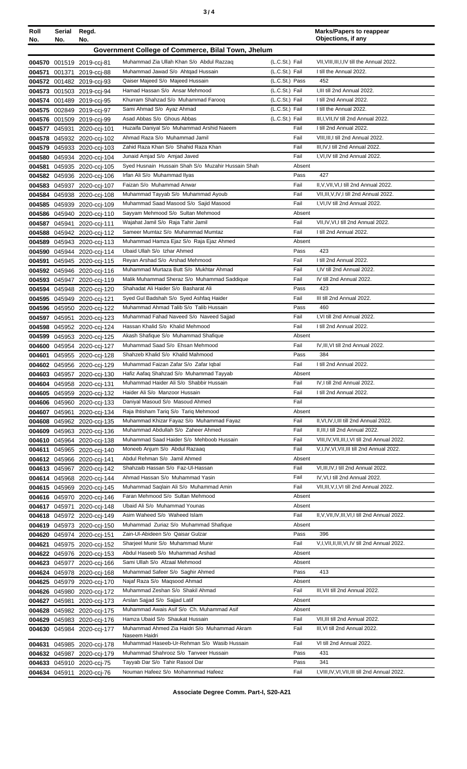| ×<br>٠<br>٦<br>×<br>۰, |  |  |
|------------------------|--|--|
|------------------------|--|--|

| Roll<br>No.   | Serial<br>No. | Regd.<br>No.                                             |                                                                                    |                                  | <b>Marks/Papers to reappear</b><br>Objections, if any                               |
|---------------|---------------|----------------------------------------------------------|------------------------------------------------------------------------------------|----------------------------------|-------------------------------------------------------------------------------------|
|               |               |                                                          | Government College of Commerce, Bilal Town, Jhelum                                 |                                  |                                                                                     |
|               |               | 004570 001519 2019-ccj-81                                | Muhammad Zia Ullah Khan S/o Abdul Razzaq                                           | (L.C.St.) Fail                   | VII, VIII, III, I, IV till the Annual 2022.                                         |
| 004571        |               | 001371 2019-cci-88                                       | Muhammad Jawad S/o Ahtgad Hussain                                                  | (L.C.St.) Fail                   | I till the Annual 2022.                                                             |
|               |               | 004572 001482 2019-ccj-93                                | Qaiser Majeed S/o Majeed Hussain                                                   | (L.C.St.) Pass                   | 452                                                                                 |
| 004573        |               | 001503 2019-ccj-94                                       | Hamad Hassan S/o Ansar Mehmood                                                     | (L.C.St.) Fail                   | I, III till 2nd Annual 2022.                                                        |
|               |               | 004574 001489 2019-ccj-95                                | Khurram Shahzad S/o Muhammad Farooq                                                | (L.C.St.) Fail                   | I till 2nd Annual 2022.<br>I till the Annual 2022.                                  |
|               |               | 004575 002849 2019-ccj-97<br>004576 001509 2019-ccj-99   | Sami Ahmad S/o Ayaz Ahmad<br>Asad Abbas S/o Ghous Abbas                            | (L.C.St.) Fail<br>(L.C.St.) Fail | III, I, VII, IV till 2nd Annual 2022.                                               |
|               |               | 004577 045931 2020-ccj-101                               | Huzaifa Daniyal S/o Muhammad Arshid Naeem                                          | Fail                             | I till 2nd Annual 2022.                                                             |
|               |               | 004578 045932 2020-ccj-102                               | Ahmad Raza S/o Muhammad Jamil                                                      | Fail                             | VIII, III, I till 2nd Annual 2022.                                                  |
|               |               | 004579 045933 2020-ccj-103                               | Zahid Raza Khan S/o Shahid Raza Khan                                               | Fail                             | III, IV, I till 2nd Annual 2022.                                                    |
|               |               | 004580 045934 2020-ccj-104                               | Junaid Amjad S/o Amjad Javed                                                       | Fail                             | I, VI, IV till 2nd Annual 2022.                                                     |
| 004581        |               | 045935 2020-ccj-105                                      | Syed Husnain Hussain Shah S/o Muzahir Hussain Shah                                 | Absent                           |                                                                                     |
|               |               | 004582 045936 2020-ccj-106                               | Irfan Ali S/o Muhammad Ilyas                                                       | Pass                             | 427                                                                                 |
|               |               | 004583 045937 2020-ccj-107                               | Faizan S/o Muhammad Anwar<br>Muhammad Tayyab S/o Muhammad Ayoub                    | Fail<br>Fail                     | II, V, VII, VI, I till 2nd Annual 2022.<br>VII, III, V, IV, I till 2nd Annual 2022. |
|               |               | 004584 045938 2020-ccj-108<br>004585 045939 2020-ccj-109 | Muhammad Saad Masood S/o Sajid Masood                                              | Fail                             | I, VI, IV till 2nd Annual 2022.                                                     |
|               |               | 004586 045940 2020-ccj-110                               | Sayyam Mehmood S/o Sultan Mehmood                                                  | Absent                           |                                                                                     |
|               |               | 004587 045941 2020-ccj-111                               | Wajahat Jamil S/o Raja Tahir Jamil                                                 | Fail                             | VII, IV, VI, I till 2nd Annual 2022.                                                |
|               |               | 004588 045942 2020-ccj-112                               | Sameer Mumtaz S/o Muhammad Mumtaz                                                  | Fail                             | I till 2nd Annual 2022.                                                             |
|               |               | 004589 045943 2020-cci-113                               | Muhammad Hamza Ejaz S/o Raja Ejaz Ahmed                                            | Absent                           |                                                                                     |
|               |               | 004590 045944 2020-ccj-114                               | Ubaid Ullah S/o Izhar Ahmed                                                        | Pass                             | 423                                                                                 |
|               |               | 004591 045945 2020-ccj-115                               | Reyan Arshad S/o Arshad Mehmood                                                    | Fail                             | I till 2nd Annual 2022.                                                             |
|               |               | 004592 045946 2020-ccj-116                               | Muhammad Murtaza Butt S/o Mukhtar Ahmad                                            | Fail                             | I,IV till 2nd Annual 2022.                                                          |
|               |               | 004593 045947 2020-ccj-119                               | Malik Muhammad Sheraz S/o Muhammad Saddique                                        | Fail                             | IV till 2nd Annual 2022.                                                            |
|               |               | 004594 045948 2020-ccj-120                               | Shahadat Ali Haider S/o Basharat Ali<br>Syed Gul Badshah S/o Syed Ashfaq Haider    | Pass<br>Fail                     | 423<br>III till 2nd Annual 2022.                                                    |
|               |               | 004595 045949 2020-ccj-121<br>004596 045950 2020-ccj-122 | Muhammad Ahmad Talib S/o Talib Hussain                                             | Pass                             | 460                                                                                 |
| 004597 045951 |               | 2020-ccj-123                                             | Muhammad Fahad Naveed S/o Naveed Sajjad                                            | Fail                             | I, VI till 2nd Annual 2022.                                                         |
|               |               | 004598 045952 2020-ccj-124                               | Hassan Khalid S/o Khalid Mehmood                                                   | Fail                             | I till 2nd Annual 2022.                                                             |
|               |               | 004599 045953 2020-ccj-125                               | Akash Shafique S/o Muhammad Shafique                                               | Absent                           |                                                                                     |
|               |               | 004600 045954 2020-ccj-127                               | Muhammad Saad S/o Ehsan Mehmood                                                    | Fail                             | IV.III.VI till 2nd Annual 2022.                                                     |
|               |               | 004601 045955 2020-ccj-128                               | Shahzeb Khalid S/o Khalid Mahmood                                                  | Pass                             | 384                                                                                 |
|               |               | 004602 045956 2020-ccj-129                               | Muhammad Faizan Zafar S/o Zafar Iqbal                                              | Fail                             | I till 2nd Annual 2022.                                                             |
|               |               | 004603 045957 2020-ccj-130                               | Hafiz Aafaq Shahzad S/o Muhammad Tayyab<br>Muhammad Haider Ali S/o Shabbir Hussain | Absent<br>Fail                   | IV, I till 2nd Annual 2022.                                                         |
|               |               | 004604 045958 2020-ccj-131<br>004605 045959 2020-ccj-132 | Haider Ali S/o Manzoor Hussain                                                     | Fail                             | I till 2nd Annual 2022.                                                             |
|               |               | 004606 045960 2020-ccj-133                               | Daniyal Masoud S/o Masoud Ahmed                                                    | Fail                             |                                                                                     |
|               | 004607 045961 | 2020-cci-134                                             | Raja Ihtisham Tariq S/o Tariq Mehmood                                              | Absent                           |                                                                                     |
|               |               | 004608 045962 2020-ccj-135                               | Muhammad Khizar Fayaz S/o Muhammad Fayaz                                           | Fail                             | II, VI, IV, I, III till 2nd Annual 2022.                                            |
|               |               | 004609 045963 2020-cci-136                               | Muhammad Abdullah S/o Zaheer Ahmed                                                 | Fail                             | II, III, I till 2nd Annual 2022.                                                    |
|               |               | 004610 045964 2020-ccj-138                               | Muhammad Saad Haider S/o Mehboob Hussain                                           | Fail                             | VIII, IV, VII, III, I, VI till 2nd Annual 2022.                                     |
|               |               | 004611 045965 2020-ccj-140                               | Moneeb Anjum S/o Abdul Razaaq                                                      | Fail                             | V,I,IV,VI,VII,III till 2nd Annual 2022.                                             |
|               |               | 004612 045966 2020-ccj-141                               | Abdul Rehman S/o Jamil Ahmed<br>Shahzaib Hassan S/o Faz-Ul-Hassan                  | Absent<br>Fail                   |                                                                                     |
|               |               | 004613 045967 2020-ccj-142<br>004614 045968 2020-ccj-144 | Ahmad Hassan S/o Muhammad Yasin                                                    | Fail                             | VI, III, IV, I till 2nd Annual 2022.<br>IV, VI, I till 2nd Annual 2022.             |
|               |               | 004615 045969 2020-cci-145                               | Muhammad Saqlain Ali S/o Muhammad Amin                                             | Fail                             | VII, III, V, I, VI till 2nd Annual 2022.                                            |
|               |               | 004616 045970 2020-ccj-146                               | Faran Mehmood S/o Sultan Mehmood                                                   | Absent                           |                                                                                     |
|               | 004617 045971 | 2020-ccj-148                                             | Ubaid Ali S/o Muhammad Younas                                                      | Absent                           |                                                                                     |
|               |               | 004618 045972 2020-cci-149                               | Asim Waheed S/o Waheed Islam                                                       | Fail                             | II, V, VII, IV, III, VI, I till 2nd Annual 2022.                                    |
|               |               | 004619 045973 2020-ccj-150                               | Muhammad Zuriaz S/o Muhammad Shafique                                              | Absent                           |                                                                                     |
|               |               | 004620 045974 2020-ccj-151                               | Zain-Ul-Abideen S/o Qaisar Gulzar                                                  | Pass                             | 396                                                                                 |
| 004621        |               | 045975 2020-ccj-152                                      | Sharjeel Munir S/o Muhammad Munir                                                  | Fail                             | V,I, VII, II, III, VI, IV till 2nd Annual 2022.                                     |
|               |               | 004622 045976 2020-cci-153                               | Abdul Haseeb S/o Muhammad Arshad<br>Sami Ullah S/o Afzaal Mehmood                  | Absent<br>Absent                 |                                                                                     |
|               |               | 004623 045977 2020-cci-166<br>004624 045978 2020-ccj-168 | Muhammad Safeer S/o Saghir Ahmed                                                   | Pass                             | 413                                                                                 |
|               |               | 004625 045979 2020-ccj-170                               | Najaf Raza S/o Magsood Ahmad                                                       | Absent                           |                                                                                     |
|               |               | 004626 045980 2020-ccj-172                               | Muhammad Zeshan S/o Shakil Ahmad                                                   | Fail                             | III, VII till 2nd Annual 2022.                                                      |
|               |               | 004627 045981 2020-ccj-173                               | Arslan Sajjad S/o Sajjad Latif                                                     | Absent                           |                                                                                     |
|               |               | 004628 045982 2020-ccj-175                               | Muhammad Awais Asif S/o Ch. Muhammad Asif                                          | Absent                           |                                                                                     |
|               |               | 004629 045983 2020-ccj-176                               | Hamza Ubaid S/o Shaukat Hussain                                                    | Fail                             | VII, III till 2nd Annual 2022.                                                      |
|               |               | 004630 045984 2020-cci-177                               | Muhammad Ahmed Zia Haidri S/o Muhammad Akram<br>Naseem Haidri                      | Fail                             | III, VI till 2nd Annual 2022.                                                       |
|               |               | 004631 045985 2020-cci-178                               | Muhammad Haseeb-Ur-Rehman S/o Wasib Hussain                                        | Fail                             | VI till 2nd Annual 2022.                                                            |
|               |               | 004632 045987 2020-ccj-179                               | Muhammad Shahrooz S/o Tanveer Hussain                                              | Pass                             | 431                                                                                 |
|               |               | 004633 045910 2020-ccj-75                                | Tayyab Dar S/o Tahir Rasool Dar                                                    | Pass                             | 341                                                                                 |
|               |               | 004634 045911 2020-ccj-76                                | Nouman Hafeez S/o Mohamnmad Hafeez                                                 | Fail                             | I, VIII, IV, VI, VII, III till 2nd Annual 2022.                                     |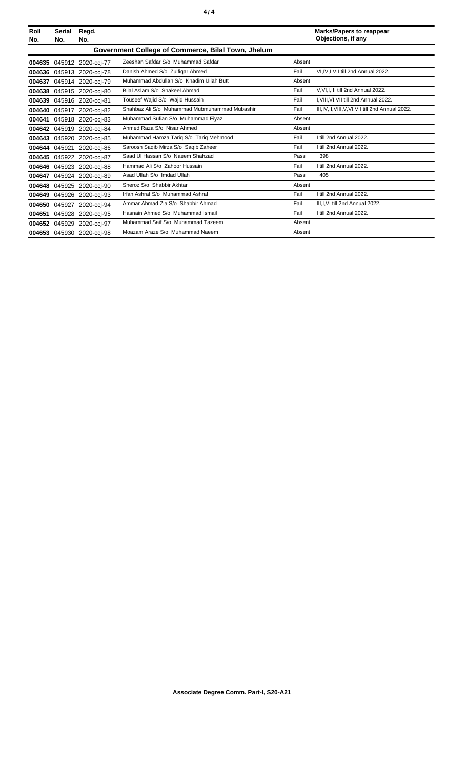| Roll<br>No. | <b>Serial</b><br>No. | Regd.<br>No.       |                                                    |        | <b>Marks/Papers to reappear</b><br>Objections, if any |
|-------------|----------------------|--------------------|----------------------------------------------------|--------|-------------------------------------------------------|
|             |                      |                    | Government College of Commerce, Bilal Town, Jhelum |        |                                                       |
| 004635      |                      | 045912 2020-cci-77 | Zeeshan Safdar S/o Muhammad Safdar                 | Absent |                                                       |
| 004636      |                      | 045913 2020-ccj-78 | Danish Ahmed S/o Zulfigar Ahmed                    | Fail   | VI,IV,I,VII till 2nd Annual 2022.                     |
| 004637      |                      | 045914 2020-ccj-79 | Muhammad Abdullah S/o Khadim Ullah Butt            | Absent |                                                       |
| 004638      |                      | 045915 2020-cci-80 | Bilal Aslam S/o Shakeel Ahmad                      | Fail   | V, VI, I, III till 2nd Annual 2022.                   |
| 004639      | 045916               | 2020-cci-81        | Touseef Wajid S/o Wajid Hussain                    | Fail   | I, VIII, VI, VII till 2nd Annual 2022.                |
| 004640      | 045917               | 2020-cci-82        | Shahbaz Ali S/o Muhammad Mubmuhammad Mubashir      | Fail   | III, IV, II, VIII, V, VI, VII till 2nd Annual 2022.   |
| 004641      | 045918               | 2020-cci-83        | Muhammad Sufian S/o Muhammad Fiyaz                 | Absent |                                                       |
| 004642      | 045919               | 2020-cci-84        | Ahmed Raza S/o Nisar Ahmed                         | Absent |                                                       |
| 004643      | 045920               | 2020-ccj-85        | Muhammad Hamza Tariq S/o Tariq Mehmood             | Fail   | I till 2nd Annual 2022.                               |
| 004644      | 045921               | 2020-ccj-86        | Saroosh Saqib Mirza S/o Saqib Zaheer               | Fail   | I till 2nd Annual 2022.                               |
| 004645      | 045922               | 2020-cci-87        | Saad UI Hassan S/o Naeem Shahzad                   | Pass   | 398                                                   |
| 004646      | 045923               | 2020-cci-88        | Hammad Ali S/o Zahoor Hussain                      | Fail   | I till 2nd Annual 2022.                               |
| 004647      |                      | 045924 2020-ccj-89 | Asad Ullah S/o Imdad Ullah                         | Pass   | 405                                                   |
| 004648      | 045925               | 2020-cci-90        | Sheroz S/o Shabbir Akhtar                          | Absent |                                                       |
| 004649      | 045926               | 2020-cci-93        | Irfan Ashraf S/o Muhammad Ashraf                   | Fail   | I till 2nd Annual 2022.                               |
| 004650      | 045927               | 2020-ccj-94        | Ammar Ahmad Zia S/o Shabbir Ahmad                  | Fail   | III, I, VI till 2nd Annual 2022.                      |
| 004651      | 045928               | 2020-ccj-95        | Hasnain Ahmed S/o Muhammad Ismail                  | Fail   | I till 2nd Annual 2022.                               |
| 004652      | 045929               | 2020-cci-97        | Muhammad Saif S/o Muhammad Tazeem                  | Absent |                                                       |
|             | 004653 045930        | 2020-cci-98        | Moazam Araze S/o Muhammad Naeem                    | Absent |                                                       |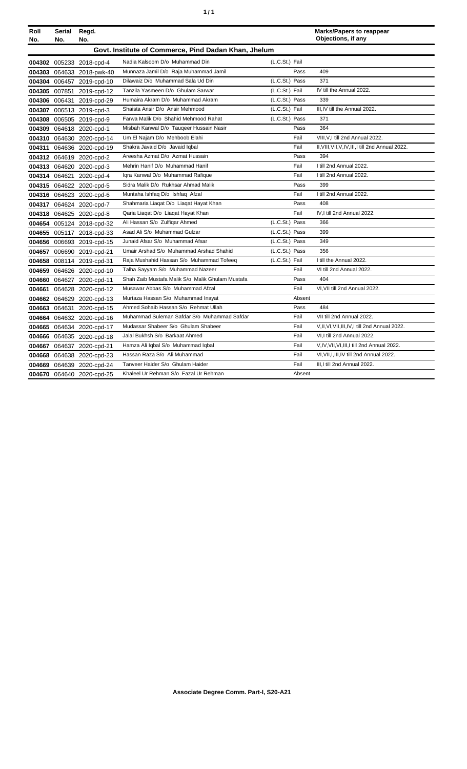| ٠ | ٠ |
|---|---|
|   |   |

| Roll   | Serial                                               | Regd.                     |                                                  |                |        | <b>Marks/Papers to reappear</b>                    |  |  |
|--------|------------------------------------------------------|---------------------------|--------------------------------------------------|----------------|--------|----------------------------------------------------|--|--|
| No.    | No.                                                  | No.                       |                                                  |                |        | Objections, if any                                 |  |  |
|        | Govt. Institute of Commerce, Pind Dadan Khan, Jhelum |                           |                                                  |                |        |                                                    |  |  |
|        |                                                      | 004302 005233 2018-cpd-4  | Nadia Kalsoom D/o Muhammad Din                   | (L.C.St.) Fail |        |                                                    |  |  |
|        |                                                      | 004303 064633 2018-pwk-40 | Munnaza Jamil D/o Raja Muhammad Jamil            |                | Pass   | 409                                                |  |  |
|        |                                                      | 004304 006457 2019-cpd-10 | Dilawaiz D/o Muhammad Sala Ud Din                | (L.C.St.) Pass |        | 371                                                |  |  |
|        |                                                      | 004305 007851 2019-cpd-12 | Tanzila Yasmeen D/o Ghulam Sarwar                | (L.C.St.) Fail |        | IV till the Annual 2022.                           |  |  |
|        |                                                      | 004306 006431 2019-cpd-29 | Humaira Akram D/o Muhammad Akram                 | (L.C.St.) Pass |        | 339                                                |  |  |
|        |                                                      | 004307 006513 2019-cpd-3  | Shaista Ansir D/o Ansir Mehmood                  | (L.C.St.) Fail |        | III, IV till the Annual 2022.                      |  |  |
|        |                                                      | 004308 006505 2019-cpd-9  | Farwa Malik D/o Shahid Mehmood Rahat             | (L.C.St.) Pass |        | 371                                                |  |  |
|        |                                                      | 004309 064618 2020-cpd-1  | Misbah Kanwal D/o Taugeer Hussain Nasir          |                | Pass   | 364                                                |  |  |
|        |                                                      | 004310 064630 2020-cpd-14 | Um El Najam D/o Mehboob Elahi                    |                | Fail   | VIII, V, I till 2nd Annual 2022.                   |  |  |
|        |                                                      | 004311 064636 2020-cpd-19 | Shakra Javaid D/o Javaid Iqbal                   |                | Fail   | II, VIII, VII, V, IV, III, I till 2nd Annual 2022. |  |  |
|        |                                                      | 004312 064619 2020-cpd-2  | Areesha Azmat D/o Azmat Hussain                  |                | Pass   | 394                                                |  |  |
|        |                                                      | 004313 064620 2020-cpd-3  | Mehrin Hanif D/o Muhammad Hanif                  |                | Fail   | I till 2nd Annual 2022.                            |  |  |
|        |                                                      | 004314 064621 2020-cpd-4  | Igra Kanwal D/o Muhammad Rafigue                 |                | Fail   | I till 2nd Annual 2022.                            |  |  |
|        |                                                      | 004315 064622 2020-cpd-5  | Sidra Malik D/o Rukhsar Ahmad Malik              |                | Pass   | 399                                                |  |  |
|        |                                                      | 004316 064623 2020-cpd-6  | Muntaha Ishfaq D/o Ishfaq Afzal                  |                | Fail   | I till 2nd Annual 2022.                            |  |  |
|        |                                                      | 004317 064624 2020-cpd-7  | Shahmaria Liagat D/o Liagat Hayat Khan           |                | Pass   | 408                                                |  |  |
|        |                                                      | 004318 064625 2020-cpd-8  | Qaria Liaqat D/o Liaqat Hayat Khan               |                | Fail   | IV.I till 2nd Annual 2022.                         |  |  |
|        |                                                      | 004654 005124 2018-cpd-32 | Ali Hassan S/o Zulfiqar Ahmed                    | (L.C.St.) Pass |        | 366                                                |  |  |
|        |                                                      | 004655 005117 2018-cpd-33 | Asad Ali S/o Muhammad Gulzar                     | (L.C.St.) Pass |        | 399                                                |  |  |
|        |                                                      | 004656 006693 2019-cpd-15 | Junaid Afsar S/o Muhammad Afsar                  | (L.C.St.) Pass |        | 349                                                |  |  |
|        |                                                      | 004657 006690 2019-cpd-21 | Umair Arshad S/o Muhammad Arshad Shahid          | (L.C.St.) Pass |        | 356                                                |  |  |
|        |                                                      | 004658 008114 2019-cpd-31 | Raja Mushahid Hassan S/o Muhammad Tofeeq         | (L.C.St.) Fail |        | I till the Annual 2022.                            |  |  |
|        |                                                      | 004659 064626 2020-cpd-10 | Talha Sayyam S/o Muhammad Nazeer                 |                | Fail   | VI till 2nd Annual 2022.                           |  |  |
|        |                                                      | 004660 064627 2020-cpd-11 | Shah Zaib Mustafa Malik S/o Malik Ghulam Mustafa |                | Pass   | 404                                                |  |  |
| 004661 |                                                      | 064628 2020-cpd-12        | Musawar Abbas S/o Muhammad Afzal                 |                | Fail   | VI.VII till 2nd Annual 2022.                       |  |  |
|        |                                                      | 004662 064629 2020-cpd-13 | Murtaza Hassan S/o Muhammad Inayat               |                | Absent |                                                    |  |  |
|        |                                                      | 004663 064631 2020-cpd-15 | Ahmed Sohaib Hassan S/o Rehmat Ullah             |                | Pass   | 484                                                |  |  |
|        |                                                      | 004664 064632 2020-cpd-16 | Muhammad Suleman Safdar S/o Muhammad Safdar      |                | Fail   | VII till 2nd Annual 2022.                          |  |  |
|        |                                                      | 004665 064634 2020-cpd-17 | Mudassar Shabeer S/o Ghulam Shabeer              |                | Fail   | V,II, VI, VII, III, IV, I till 2nd Annual 2022.    |  |  |
|        |                                                      | 004666 064635 2020-cpd-18 | Jalal Bukhsh S/o Barkaat Ahmed                   |                | Fail   | VI.I till 2nd Annual 2022.                         |  |  |
|        |                                                      | 004667 064637 2020-cpd-21 | Hamza Ali Iqbal S/o Muhammad Iqbal               |                | Fail   | V, IV, VII, VI, III, I till 2nd Annual 2022.       |  |  |
| 004668 |                                                      | 064638 2020-cpd-23        | Hassan Raza S/o Ali Muhammad                     |                | Fail   | VI, VII, I, III, IV till 2nd Annual 2022.          |  |  |
|        |                                                      | 004669 064639 2020-cpd-24 | Tanveer Haider S/o Ghulam Haider                 |                | Fail   | III.I till 2nd Annual 2022.                        |  |  |
|        |                                                      | 004670 064640 2020-cpd-25 | Khaleel Ur Rehman S/o Fazal Ur Rehman            |                | Absent |                                                    |  |  |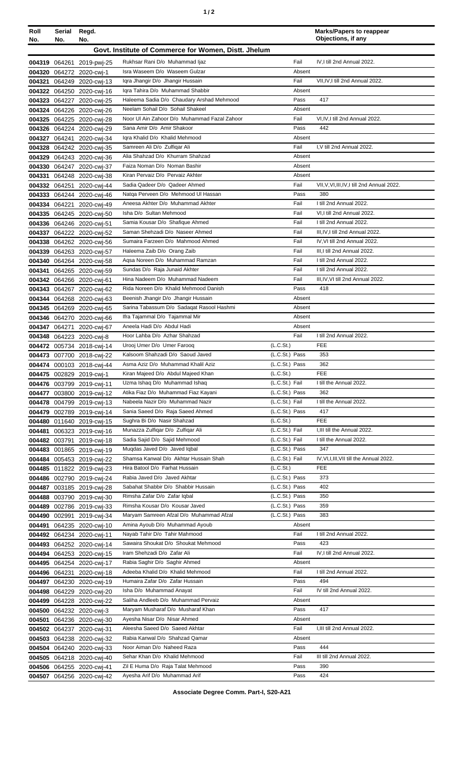| Roll<br>No. | Serial<br>No. | Regd.<br>No.                                           |                                                                       |                                  | <b>Marks/Papers to reappear</b><br>Objections, if any            |
|-------------|---------------|--------------------------------------------------------|-----------------------------------------------------------------------|----------------------------------|------------------------------------------------------------------|
|             |               |                                                        | Govt. Institute of Commerce for Women, Distt. Jhelum                  |                                  |                                                                  |
|             |               | 004319 064261 2019-pwj-25                              | Rukhsar Rani D/o Muhammad Ijaz                                        | Fail                             | IV, I till 2nd Annual 2022.                                      |
|             |               | 004320 064272 2020-cwi-1                               | Isra Waseem D/o Waseem Gulzar                                         | Absent                           |                                                                  |
| 004321      |               | 064249 2020-cwj-13                                     | Iqra Jhangir D/o Jhangir Hussain                                      | Fail                             | VII, IV, I till 2nd Annual 2022.                                 |
|             |               | 004322 064250 2020-cwj-16                              | Igra Tahira D/o Muhammad Shabbir                                      | Absent                           |                                                                  |
|             |               | 004323 064227 2020-cwj-25                              | Haleema Sadia D/o Chaudary Arshad Mehmood                             | Pass                             | 417                                                              |
|             |               | 004324 064226 2020-cwj-26                              | Neelam Sohail D/o Sohail Shakeel                                      | Absent                           |                                                                  |
|             |               | 004325 064225 2020-cwj-28                              | Noor UI Ain Zahoor D/o Muhammad Fazal Zahoor                          | Fail                             | VI, IV, I till 2nd Annual 2022.                                  |
|             |               | 004326 064224 2020-cwj-29                              | Sana Amir D/o Amir Shakoor<br>Igra Khalid D/o Khalid Mehmood          | Pass<br>Absent                   | 442                                                              |
|             |               | 004327 064241 2020-cwj-34<br>004328 064242 2020-cwj-35 | Samreen Ali D/o Zulfigar Ali                                          | Fail                             | I, V till 2nd Annual 2022.                                       |
|             |               | 004329 064243 2020-cwj-36                              | Alia Shahzad D/o Khurram Shahzad                                      | Absent                           |                                                                  |
|             |               | 004330 064247 2020-cwj-37                              | Faiza Noman D/o Noman Bashir                                          | Absent                           |                                                                  |
|             |               | 004331 064248 2020-cwj-38                              | Kiran Pervaiz D/o Pervaiz Akhter                                      | Absent                           |                                                                  |
|             |               | 004332 064251 2020-cwj-44                              | Sadia Qadeer D/o Qadeer Ahmed                                         | Fail                             | VII.V.VI.III.IV.I till 2nd Annual 2022.                          |
|             |               | 004333 064244 2020-cwj-46                              | Natga Perveen D/o Mehmood UI Hassan                                   | Pass                             | 380                                                              |
|             |               | 004334 064221 2020-cwj-49                              | Aneesa Akhter D/o Muhammad Akhter                                     | Fail                             | I till 2nd Annual 2022.                                          |
|             |               | 004335 064245 2020-cwj-50                              | Isha D/o Sultan Mehmood                                               | Fail                             | VI.I till 2nd Annual 2022.                                       |
|             |               | 004336 064246 2020-cwj-51                              | Samia Kousar D/o Shafique Ahmed<br>Saman Shehzadi D/o Naseer Ahmed    | Fail<br>Fail                     | I till 2nd Annual 2022.                                          |
|             |               | 004337 064222 2020-cwj-52                              | Sumaira Farzeen D/o Mahmood Ahmed                                     | Fail                             | III, IV, I till 2nd Annual 2022.<br>IV, VI till 2nd Annual 2022. |
|             |               | 004338 064262 2020-cwj-56<br>004339 064263 2020-cwj-57 | Haleema Zaib D/o Orang Zaib                                           | Fail                             | III, I till 2nd Annual 2022.                                     |
|             |               | 004340 064264 2020-cwj-58                              | Agsa Noreen D/o Muhammad Ramzan                                       | Fail                             | I till 2nd Annual 2022.                                          |
| 004341      |               | 064265 2020-cwj-59                                     | Sundas D/o Raja Junaid Akhter                                         | Fail                             | I till 2nd Annual 2022.                                          |
|             |               | 004342 064266 2020-cwj-61                              | Hina Nadeem D/o Muhammad Nadeem                                       | Fail                             | III, IV, VI till 2nd Annual 2022.                                |
|             |               | 004343 064267 2020-cwj-62                              | Rida Noreen D/o Khalid Mehmood Danish                                 | Pass                             | 418                                                              |
|             |               | 004344 064268 2020-cwj-63                              | Beenish Jhangir D/o Jhangir Hussain                                   | Absent                           |                                                                  |
|             |               | 004345 064269 2020-cwj-65                              | Sarina Tabassum D/o Sadaqat Rasool Hashmi                             | Absent                           |                                                                  |
|             |               | 004346 064270 2020-cwj-66                              | Ifra Tajammal D/o Tajammal Mir                                        | Absent                           |                                                                  |
|             |               | 004347 064271 2020-cwj-67                              | Aneela Hadi D/o Abdul Hadi                                            | Absent                           |                                                                  |
|             |               | 004348 064223 2020-cwj-8                               | Hoor Lahba D/o Azhar Shahzad                                          | Fail                             | I till 2nd Annual 2022.                                          |
|             |               | 004472 005734 2018-cwj-14                              | Urooj Umer D/o Umer Farooq<br>Kalsoom Shahzadi D/o Saoud Javed        | (L.C.St.)                        | <b>FEE</b><br>353                                                |
|             |               | 004473 007700 2018-cwj-22<br>004474 000103 2018-cwj-44 | Asma Aziz D/o Muhammad Khalil Aziz                                    | (L.C.St.) Pass<br>(L.C.St.) Pass | 362                                                              |
|             |               | 004475 002829 2019-cwj-1                               | Kiran Majeed D/o Abdul Majeed Khan                                    | (L.C.St.)                        | <b>FEE</b>                                                       |
|             |               | 004476 003799 2019-cwj-11                              | Uzma Ishaq D/o Muhammad Ishaq                                         | (L.C.St.) Fail                   | I till the Annual 2022.                                          |
|             |               | 004477 003800 2019-cwj-12                              | Atika Fiaz D/o Muhammad Fiaz Kayani                                   | (L.C.St.) Pass                   | 362                                                              |
|             |               | 004478 004799 2019-cwj-13                              | Nabeela Nazir D/o Muhammad Nazir                                      | (L.C.St.) Fail                   | I till the Annual 2022.                                          |
|             |               | 004479 002789 2019-cwj-14                              | Sania Saeed D/o Raja Saeed Ahmed                                      | (L.C.St.) Pass                   | 417                                                              |
|             |               | 004480 011640 2019-cwj-15                              | Sughra Bi D/o Nasir Shahzad                                           | (L.C.St.)                        | FEE                                                              |
| 004481      |               | 006323 2019-cwj-16                                     | Munazza Zulfigar D/o Zulfigar Ali                                     | (L.C.St.) Fail                   | I, III till the Annual 2022.                                     |
|             |               | 004482 003791 2019-cwj-18                              | Sadia Sajid D/o Sajid Mehmood                                         | (L.C.St.) Fail                   | I till the Annual 2022.                                          |
|             |               | 004483 001865 2019-cwi-19                              | Muqdas Javed D/o Javed Iqbal<br>Shamsa Kanwal D/o Akhtar Hussain Shah | (L.C.St.) Pass<br>(L.C.St.) Fail | 347<br>IV, VI, I, III, VII till the Annual 2022.                 |
|             |               | 004484 005453 2019-cwj-22<br>004485 011822 2019-cwj-23 | Hira Batool D/o Farhat Hussain                                        | (L.C.St.)                        | FEE                                                              |
|             |               | 004486 002790 2019-cwj-24                              | Rabia Javed D/o Javed Akhtar                                          | (L.C.St.) Pass                   | 373                                                              |
|             |               | 004487 003185 2019-cwj-28                              | Sabahat Shabbir D/o Shabbir Hussain                                   | (L.C.St.) Pass                   | 402                                                              |
|             |               | 004488 003790 2019-cwj-30                              | Rimsha Zafar D/o Zafar Iqbal                                          | (L.C.St.) Pass                   | 350                                                              |
|             |               | 004489 002786 2019-cwj-33                              | Rimsha Kousar D/o Kousar Javed                                        | (L.C.St.) Pass                   | 359                                                              |
|             | 004490 002991 | 2019-cwj-34                                            | Maryam Samreen Afzal D/o Muhammad Afzal                               | (L.C.St.) Pass                   | 383                                                              |
| 004491      |               | 064235 2020-cwj-10                                     | Amina Ayoub D/o Muhammad Ayoub                                        | Absent                           |                                                                  |
|             |               | 004492 064234 2020-cwj-11                              | Nayab Tahir D/o Tahir Mahmood                                         | Fail                             | I till 2nd Annual 2022.                                          |
|             |               | 004493 064252 2020-cwj-14                              | Sawaira Shoukat D/o Shoukat Mehmood                                   | Pass                             | 423                                                              |
|             |               | 004494 064253 2020-cwj-15                              | Iram Shehzadi D/o Zafar Ali<br>Rabia Saghir D/o Saghir Ahmed          | Fail<br>Absent                   | IV, I till 2nd Annual 2022.                                      |
|             |               | 004495 064254 2020-cwj-17                              | Adeeba Khalid D/o Khalid Mehmood                                      | Fail                             | I till 2nd Annual 2022.                                          |
|             |               | 004496 064231 2020-cwj-18<br>004497 064230 2020-cwj-19 | Humaira Zafar D/o Zafar Hussain                                       | Pass                             | 494                                                              |
|             |               | 004498 064229 2020-cwj-20                              | Isha D/o Muhammad Anayat                                              | Fail                             | IV till 2nd Annual 2022.                                         |
|             |               | 004499 064228 2020-cwj-22                              | Saliha Andleeb D/o Muhammad Pervaiz                                   | Absent                           |                                                                  |
|             |               | 004500 064232 2020-cwj-3                               | Maryam Musharaf D/o Musharaf Khan                                     | Pass                             | 417                                                              |
|             |               | 004501 064236 2020-cwi-30                              | Ayesha Nisar D/o Nisar Ahmed                                          | Absent                           |                                                                  |
|             |               | 004502 064237 2020-cwj-31                              | Aleesha Saeed D/o Saeed Akhtar                                        | Fail                             | I.III till 2nd Annual 2022.                                      |
|             |               | 004503 064238 2020-cwj-32                              | Rabia Kanwal D/o Shahzad Qamar                                        | Absent                           |                                                                  |
|             |               | 004504 064240 2020-cwj-33                              | Noor Aiman D/o Naheed Raza                                            | Pass                             | 444                                                              |
|             |               | 004505 064218 2020-cwi-40                              | Sehar Khan D/o Khalid Mehmood                                         | Fail                             | III till 2nd Annual 2022.                                        |
|             |               | 004506 064255 2020-cwj-41                              | Zil E Huma D/o Raja Talat Mehmood                                     | Pass                             | 390                                                              |
|             |               | 004507 064256 2020-cwj-42                              | Ayesha Arif D/o Muhammad Arif                                         | Pass                             | 424                                                              |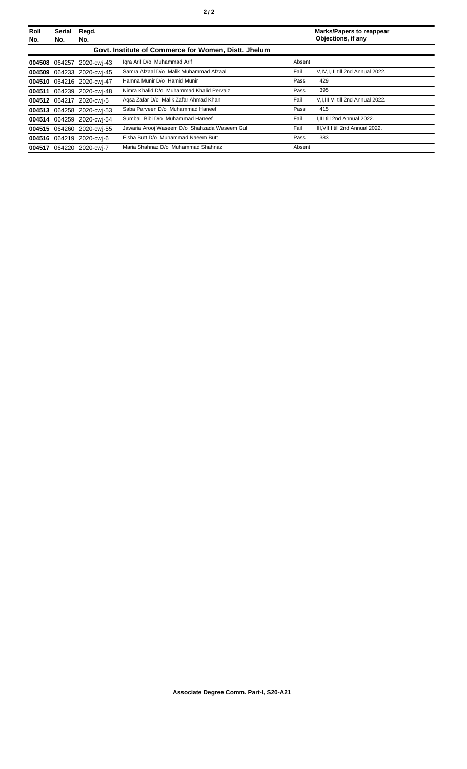| Roll<br>No. | <b>Serial</b><br>No. | Regd.<br>No.              |                                                      |        | <b>Marks/Papers to reappear</b><br>Objections, if any |
|-------------|----------------------|---------------------------|------------------------------------------------------|--------|-------------------------------------------------------|
|             |                      |                           | Govt. Institute of Commerce for Women, Distt. Jhelum |        |                                                       |
|             |                      | 004508 064257 2020-cwi-43 | Igra Arif D/o Muhammad Arif                          | Absent |                                                       |
|             |                      | 004509 064233 2020-cwi-45 | Samra Afzaal D/o Malik Muhammad Afzaal               | Fail   | V, IV, I, III till 2nd Annual 2022.                   |
|             |                      | 004510 064216 2020-cwi-47 | Hamna Munir D/o Hamid Munir                          | Pass   | 429                                                   |
|             |                      | 004511 064239 2020-cwi-48 | Nimra Khalid D/o Muhammad Khalid Pervaiz             | Pass   | 395                                                   |
|             |                      | 004512 064217 2020-cwi-5  | Agsa Zafar D/o Malik Zafar Ahmad Khan                | Fail   | V,I,III, VI till 2nd Annual 2022.                     |
|             |                      | 004513 064258 2020-cwi-53 | Saba Parveen D/o Muhammad Haneef                     | Pass   | 415                                                   |
|             |                      | 004514 064259 2020-cwi-54 | Sumbal Bibi D/o Muhammad Haneef                      | Fail   | I.III till 2nd Annual 2022.                           |
|             |                      | 004515 064260 2020-cwi-55 | Jawaria Arooj Waseem D/o Shahzada Waseem Gul         | Fail   | III, VII, I till 2nd Annual 2022.                     |
|             |                      | 004516 064219 2020-cwi-6  | Eisha Butt D/o Muhammad Naeem Butt                   | Pass   | 383                                                   |
|             |                      | 004517 064220 2020-cwi-7  | Maria Shahnaz D/o Muhammad Shahnaz                   | Absent |                                                       |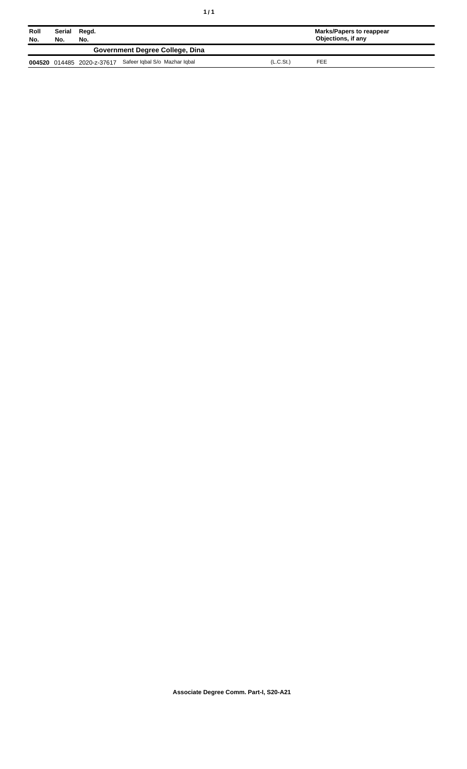| ٠<br>٠ |  |  |  |
|--------|--|--|--|
|--------|--|--|--|

| Roll<br>No. | Serial<br>No. | Regd.<br>No. |                                                          |           | Marks/Papers to reappear<br>Objections, if any |  |
|-------------|---------------|--------------|----------------------------------------------------------|-----------|------------------------------------------------|--|
|             |               |              | Government Degree College, Dina                          |           |                                                |  |
|             |               |              | 004520 014485 2020-z-37617 Safeer Iqbal S/o Mazhar Iqbal | (L.C.St.) | FEE                                            |  |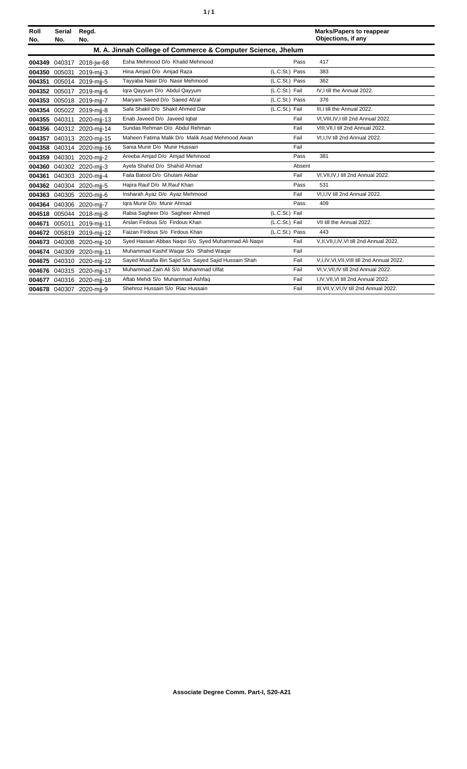| ٠ | ٠ |
|---|---|
|   |   |

| Roll<br>No. | <b>Serial</b><br>No. | Regd.<br>No.              |                                                             |                |        | <b>Marks/Papers to reappear</b><br>Objections, if any |
|-------------|----------------------|---------------------------|-------------------------------------------------------------|----------------|--------|-------------------------------------------------------|
|             |                      |                           | M. A. Jinnah College of Commerce & Computer Science, Jhelum |                |        |                                                       |
| 004349      |                      | 040317 2018-jw-68         | Esha Mehmood D/o Khalid Mehmood                             |                | Pass   | 417                                                   |
| 004350      |                      | 005031 2019-mjj-3         | Hina Amjad D/o Amjad Raza                                   | (L.C.St.) Pass |        | 383                                                   |
| 004351      |                      | 005014 2019-mii-5         | Tayyaba Nasir D/o Nasir Mehmood                             | (L.C.St.) Pass |        | 362                                                   |
| 004352      |                      | 005017 2019-mij-6         | Igra Qayyum D/o Abdul Qayyum                                | (L.C.St.) Fail |        | IV.I till the Annual 2022.                            |
| 004353      |                      | 005018 2019-mij-7         | Maryam Saeed D/o Saeed Afzal                                | (L.C.St.) Pass |        | 376                                                   |
| 004354      |                      | 005022 2019-mjj-8         | Safa Shakil D/o Shakil Ahmed Dar                            | (L.C.St.) Fail |        | III.I till the Annual 2022.                           |
| 004355      |                      | 040311 2020-mij-13        | Enab Javeed D/o Javeed Iqbal                                |                | Fail   | VI, VIII, IV, I till 2nd Annual 2022.                 |
|             |                      | 004356 040312 2020-mij-14 | Sundas Rehman D/o Abdul Rehman                              |                | Fail   | VIII. VII. I till 2nd Annual 2022.                    |
| 004357      |                      | 040313 2020-mjj-15        | Maheen Fatima Malik D/o Malik Asad Mehmood Awan             |                | Fail   | VI,I,IV till 2nd Annual 2022.                         |
| 004358      |                      | 040314 2020-mjj-16        | Sania Munir D/o Munir Hussain                               |                | Fail   |                                                       |
| 004359      |                      | 040301 2020-mii-2         | Areeba Amjad D/o Amjad Mehmood                              |                | Pass   | 381                                                   |
| 004360      |                      | 040302 2020-mii-3         | Ayela Shahid D/o Shahid Ahmad                               |                | Absent |                                                       |
| 004361      |                      | 040303 2020-mjj-4         | Faila Batool D/o Ghulam Akbar                               |                | Fail   | VI, VII, IV, I till 2nd Annual 2022.                  |
|             |                      | 004362 040304 2020-mjj-5  | Hajira Rauf D/o M.Rauf Khan                                 |                | Pass   | 531                                                   |
| 004363      |                      | 040305 2020-mij-6         | Insharah Ayaz D/o Ayaz Mehmood                              |                | Fail   | VI,I,IV till 2nd Annual 2022.                         |
| 004364      |                      | 040306 2020-mjj-7         | Igra Munir D/o Munir Ahmad                                  |                | Pass   | 409                                                   |
|             |                      | 004518 005044 2018-mii-8  | Rabia Sagheer D/o Sagheer Ahmed                             | (L.C.St.) Fail |        |                                                       |
| 004671      |                      | 005011 2019-mjj-11        | Arslan Firdous S/o Firdous Khan                             | (L.C.St.) Fail |        | VII till the Annual 2022.                             |
| 004672      | 005819               | 2019-mij-12               | Faizan Firdous S/o Firdous Khan                             | (L.C.St.) Pass |        | 443                                                   |
| 004673      |                      | 040308 2020-mjj-10        | Syed Hassan Abbas Nagvi S/o Syed Muhammad Ali Nagvi         |                | Fail   | V.II, VII, I, IV, VI till 2nd Annual 2022.            |
| 004674      |                      | 040309 2020-mjj-11        | Muhammad Kashif Waqar S/o Shahid Waqar                      |                | Fail   |                                                       |
| 004675      |                      | 040310 2020-mij-12        | Sayed Musafia Bin Sajid S/o Sayed Sajid Hussain Shah        |                | Fail   | V.I.IV.VI.VII.VIII till 2nd Annual 2022.              |
| 004676      |                      | 040315 2020-mij-17        | Muhammad Zain Ali S/o Muhammad Ulfat                        |                | Fail   | VI.V.VII.IV till 2nd Annual 2022.                     |
| 004677      |                      | 040316 2020-mjj-18        | Aftab Mehdi S/o Muhammad Ashfaq                             |                | Fail   | I,IV, VII, VI till 2nd Annual 2022.                   |
|             |                      | 004678 040307 2020-mii-9  | Shehroz Hussain S/o Riaz Hussain                            |                | Fail   | III, VII, V, VI, IV till 2nd Annual 2022.             |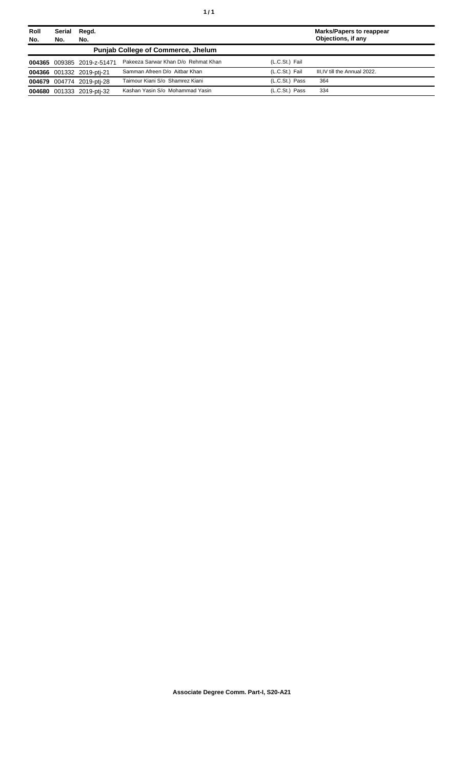| Roll<br>No. | Serial<br>No. | Regd.<br>No.               |                                           |                | <b>Marks/Papers to reappear</b><br>Objections, if any |
|-------------|---------------|----------------------------|-------------------------------------------|----------------|-------------------------------------------------------|
|             |               |                            | <b>Punjab College of Commerce, Jhelum</b> |                |                                                       |
|             |               | 004365 009385 2019-z-51471 | Pakeeza Sarwar Khan D/o Rehmat Khan       | (L.C.St.) Fail |                                                       |
|             |               | 004366 001332 2019-pti-21  | Samman Afreen D/o Aitbar Khan             | (L.C.St.) Fail | III.IV till the Annual 2022.                          |
|             |               | 004679 004774 2019-pti-28  | Taimour Kiani S/o Shamrez Kiani           | (L.C.St.) Pass | 364                                                   |
|             |               | 004680 001333 2019-pti-32  | Kashan Yasin S/o Mohammad Yasin           | (L.C.St.) Pass | 334                                                   |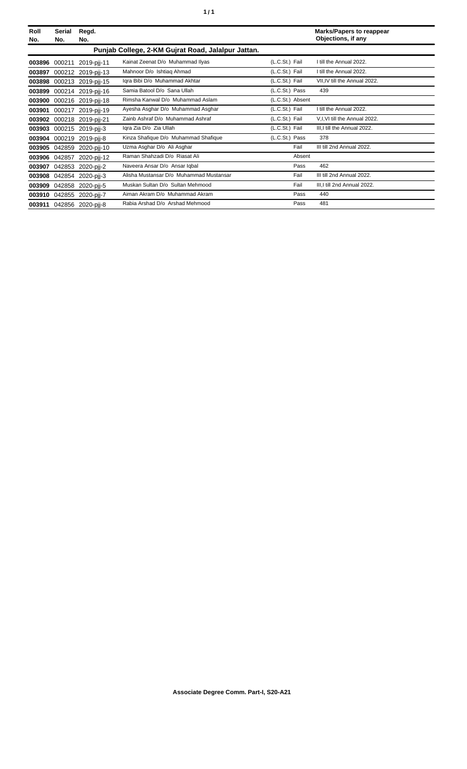| Roll<br>No. | Serial<br>No. | Regd.<br>No.             |                                                    |                  |        | <b>Marks/Papers to reappear</b><br>Objections, if any |
|-------------|---------------|--------------------------|----------------------------------------------------|------------------|--------|-------------------------------------------------------|
|             |               |                          | Punjab College, 2-KM Gujrat Road, Jalalpur Jattan. |                  |        |                                                       |
| 003896      | 000211        | 2019-pjj-11              | Kainat Zeenat D/o Muhammad Ilyas                   | (L.C.St.) Fail   |        | I till the Annual 2022.                               |
| 003897      |               | 000212 2019-pjj-13       | Mahnoor D/o Ishtiag Ahmad                          | (L.C.St.) Fail   |        | I till the Annual 2022.                               |
| 003898      |               | 000213 2019-pjj-15       | Iqra Bibi D/o Muhammad Akhtar                      | (L.C.St.) Fail   |        | VII, IV till the Annual 2022.                         |
| 003899      |               | 000214 2019-pij-16       | Samia Batool D/o Sana Ullah                        | (L.C.St.) Pass   |        | 439                                                   |
| 003900      |               | 000216 2019-pjj-18       | Rimsha Kanwal D/o Muhammad Aslam                   | (L.C.St.) Absent |        |                                                       |
| 003901      |               | 000217 2019-pjj-19       | Ayesha Asghar D/o Muhammad Asghar                  | (L.C.St.) Fail   |        | I till the Annual 2022.                               |
| 003902      |               | 000218 2019-pjj-21       | Zainb Ashraf D/o Muhammad Ashraf                   | (L.C.St.) Fail   |        | V, I, VI till the Annual 2022.                        |
| 003903      |               | 000215 2019-pjj-3        | Igra Zia D/o Zia Ullah                             | (L.C.St.) Fail   |        | III, I till the Annual 2022.                          |
| 003904      |               | 000219 2019-pii-8        | Kinza Shafique D/o Muhammad Shafique               | (L.C.St.) Pass   |        | 378                                                   |
| 003905      |               | 042859 2020-pjj-10       | Uzma Asghar D/o Ali Asghar                         |                  | Fail   | III till 2nd Annual 2022.                             |
|             | 003906 042857 | 2020-pjj-12              | Raman Shahzadi D/o Riasat Ali                      |                  | Absent |                                                       |
| 003907      |               | 042853 2020-pjj-2        | Naveera Ansar D/o Ansar Igbal                      |                  | Pass   | 462                                                   |
| 003908      |               | 042854 2020-pjj-3        | Alisha Mustansar D/o Muhammad Mustansar            |                  | Fail   | III till 2nd Annual 2022.                             |
| 003909      |               | 042858 2020-pjj-5        | Muskan Sultan D/o Sultan Mehmood                   |                  | Fail   | III, I till 2nd Annual 2022.                          |
| 003910      |               | 042855 2020-pij-7        | Aiman Akram D/o Muhammad Akram                     |                  | Pass   | 440                                                   |
|             |               | 003911 042856 2020-pij-8 | Rabia Arshad D/o Arshad Mehmood                    |                  | Pass   | 481                                                   |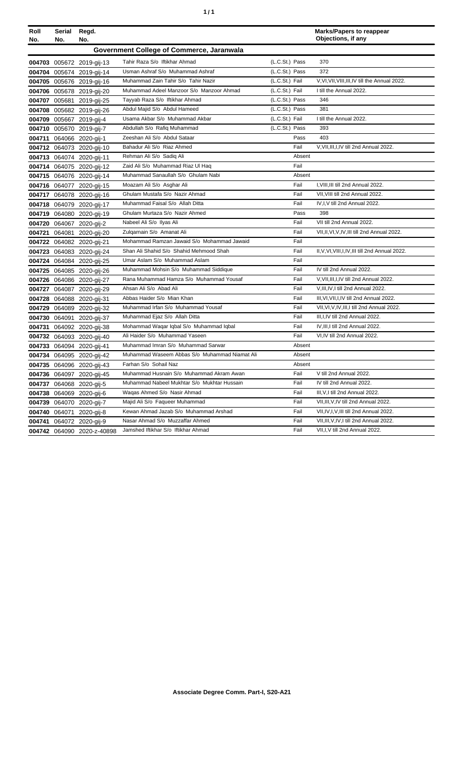| ٠ | ٠ |
|---|---|
|   |   |

| Roll   | Serial | Regd.                      |                                               |                |        | <b>Marks/Papers to reappear</b>                   |
|--------|--------|----------------------------|-----------------------------------------------|----------------|--------|---------------------------------------------------|
| No.    | No.    | No.                        |                                               |                |        | Objections, if any                                |
|        |        |                            | Government College of Commerce, Jaranwala     |                |        |                                                   |
|        |        | 004703 005672 2019-gij-13  | Tahir Raza S/o Iftikhar Ahmad                 | (L.C.St.) Pass |        | 370                                               |
|        |        | 004704 005674 2019-gij-14  | Usman Ashraf S/o Muhammad Ashraf              | (L.C.St.) Pass |        | 372                                               |
|        |        | 004705 005676 2019-gij-16  | Muhammad Zain Tahir S/o Tahir Nazir           | (L.C.St.) Fail |        | V, VI, VII, VIII, III, IV till the Annual 2022.   |
|        |        | 004706 005678 2019-gij-20  | Muhammad Adeel Manzoor S/o Manzoor Ahmad      | (L.C.St.) Fail |        | I till the Annual 2022.                           |
|        |        | 004707 005681 2019-gij-25  | Tayyab Raza S/o Iftikhar Ahmad                | (L.C.St.) Pass |        | 346                                               |
|        |        | 004708 005682 2019-gij-26  | Abdul Majid S/o Abdul Hameed                  | (L.C.St.) Pass |        | 381                                               |
|        |        | 004709 005667 2019-gij-4   | Usama Akbar S/o Muhammad Akbar                | (L.C.St.) Fail |        | I till the Annual 2022.                           |
|        |        | 004710 005670 2019-gij-7   | Abdullah S/o Rafiq Muhammad                   | (L.C.St.) Pass |        | 393                                               |
|        |        | 004711 064066 2020-gij-1   | Zeeshan Ali S/o Abdul Sataar                  |                | Pass   | 403                                               |
|        |        | 004712 064073 2020-gij-10  | Bahadur Ali S/o Riaz Ahmed                    |                | Fail   | V, VII, III, I, IV till 2nd Annual 2022.          |
|        |        | 004713 064074 2020-gij-11  | Rehman Ali S/o Sadiq Ali                      |                | Absent |                                                   |
|        |        | 004714 064075 2020-gij-12  | Zaid Ali S/o Muhammad Riaz Ul Haq             |                | Fail   |                                                   |
|        |        | 004715 064076 2020-gij-14  | Muhammad Sanaullah S/o Ghulam Nabi            |                | Absent |                                                   |
|        |        | 004716 064077 2020-gij-15  | Moazam Ali S/o Asghar Ali                     |                | Fail   | I, VIII, III till 2nd Annual 2022.                |
|        |        | 004717 064078 2020-gij-16  | Ghulam Mustafa S/o Nazir Ahmad                |                | Fail   | VII, VIII till 2nd Annual 2022.                   |
|        |        | 004718 064079 2020-gij-17  | Muhammad Faisal S/o Allah Ditta               |                | Fail   | IV, I, V till 2nd Annual 2022.                    |
|        |        | 004719 064080 2020-gij-19  | Ghulam Murtaza S/o Nazir Ahmed                |                | Pass   | 398                                               |
|        |        | 004720 064067 2020-gij-2   | Nabeel Ali S/o Ilyas Ali                      |                | Fail   | VII till 2nd Annual 2022.                         |
| 004721 |        | 064081 2020-gij-20         | Zulgarnain S/o Amanat Ali                     |                | Fail   | VII, II, VI, V, IV, III till 2nd Annual 2022.     |
|        |        | 004722 064082 2020-gij-21  | Mohammad Ramzan Jawaid S/o Mohammad Jawaid    |                | Fail   |                                                   |
|        |        | 004723 064083 2020-gij-24  | Shan Ali Shahid S/o Shahid Mehmood Shah       |                | Fail   | II, V, VI, VIII, I, IV, III till 2nd Annual 2022. |
|        |        | 004724 064084 2020-gij-25  | Umar Aslam S/o Muhammad Aslam                 |                | Fail   |                                                   |
|        |        | 004725 064085 2020-gij-26  | Muhammad Mohsin S/o Muhammad Siddique         |                | Fail   | IV till 2nd Annual 2022.                          |
|        |        | 004726 064086 2020-gij-27  | Rana Muhammad Hamza S/o Muhammad Yousaf       |                | Fail   | V, VII, III, I, IV till 2nd Annual 2022.          |
|        |        | 004727 064087 2020-gij-29  | Ahsan Ali S/o Abad Ali                        |                | Fail   | V, III, IV, I till 2nd Annual 2022.               |
|        |        | 004728 064088 2020-gij-31  | Abbas Haider S/o Mian Khan                    |                | Fail   | III, VI, VII, I, IV till 2nd Annual 2022.         |
| 004729 |        | 064089 2020-gij-32         | Muhammad Irfan S/o Muhammad Yousaf            |                | Fail   | VII, VI, V, IV, III, I till 2nd Annual 2022.      |
|        |        | 004730 064091 2020-gij-37  | Muhammad Ejaz S/o Allah Ditta                 |                | Fail   | III, I, IV till 2nd Annual 2022.                  |
|        |        | 004731 064092 2020-gij-38  | Mohammad Waqar Iqbal S/o Muhammad Iqbal       |                | Fail   | IV, III, I till 2nd Annual 2022.                  |
|        |        | 004732 064093 2020-gij-40  | Ali Haider S/o Muhammad Yaseen                |                | Fail   | VI.IV till 2nd Annual 2022.                       |
|        |        | 004733 064094 2020-gij-41  | Muhammad Imran S/o Muhammad Sarwar            |                | Absent |                                                   |
|        |        | 004734 064095 2020-gij-42  | Muhammad Waseem Abbas S/o Muhammad Niamat Ali |                | Absent |                                                   |
|        |        | 004735 064096 2020-gij-43  | Farhan S/o Sohail Naz                         |                | Absent |                                                   |
|        |        | 004736 064097 2020-gij-45  | Muhammad Husnain S/o Muhammad Akram Awan      |                | Fail   | V till 2nd Annual 2022.                           |
| 004737 |        | 064068 2020-gij-5          | Muhammad Nabeel Mukhtar S/o Mukhtar Hussain   |                | Fail   | IV till 2nd Annual 2022.                          |
| 004738 |        | 064069 2020-gij-6          | Wagas Ahmed S/o Nasir Ahmad                   |                | Fail   | III, V, I till 2nd Annual 2022.                   |
|        |        | 004739 064070 2020-gij-7   | Majid Ali S/o Faqueer Muhammad                |                | Fail   | VII, III, V, IV till 2nd Annual 2022.             |
| 004740 |        | 064071 2020-gij-8          | Kewan Ahmad Jazab S/o Muhammad Arshad         |                | Fail   | VII, IV, I, V, III till 2nd Annual 2022.          |
| 004741 |        | 064072 2020-gij-9          | Nasar Ahmad S/o Muzzaffar Ahmed               |                | Fail   | VII, III, V, IV, I till 2nd Annual 2022.          |
|        |        | 004742 064090 2020-z-40898 | Jamshed Iftikhar S/o Iftikhar Ahmad           |                | Fail   | VII, I, V till 2nd Annual 2022.                   |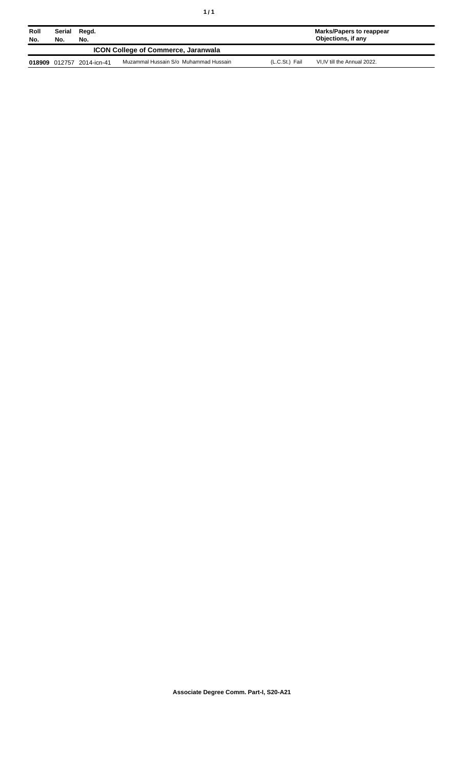| ٠ | ٠ |
|---|---|
|---|---|

| Roll<br>No.                                | Serial<br>No. | Regd.<br>No.              |                                       |                | Marks/Papers to reappear<br>Objections, if any |
|--------------------------------------------|---------------|---------------------------|---------------------------------------|----------------|------------------------------------------------|
| <b>ICON College of Commerce, Jaranwala</b> |               |                           |                                       |                |                                                |
|                                            |               | 018909 012757 2014-icn-41 | Muzammal Hussain S/o Muhammad Hussain | (L.C.St.) Fail | VI.IV till the Annual 2022.                    |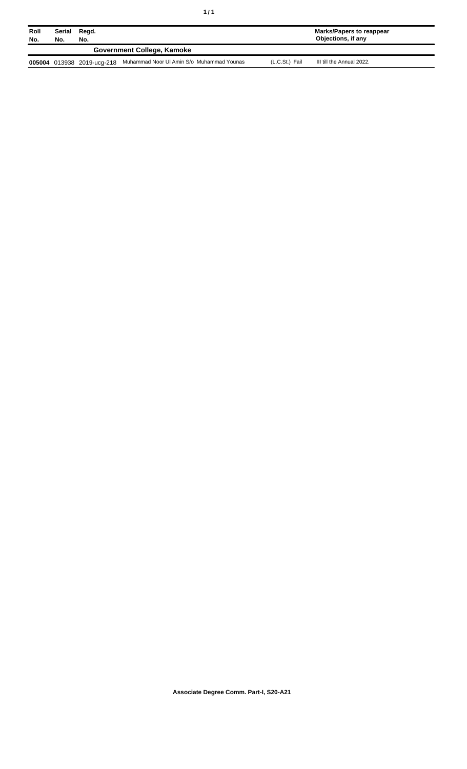| Roll<br>No. | Serial<br>No. | Regd.<br>No.               |                                           |                | Marks/Papers to reappear<br>Objections, if any |
|-------------|---------------|----------------------------|-------------------------------------------|----------------|------------------------------------------------|
|             |               |                            | Government College, Kamoke                |                |                                                |
|             |               | 005004 013938 2019-ucg-218 | Muhammad Noor UI Amin S/o Muhammad Younas | (L.C.St.) Fail | III till the Annual 2022.                      |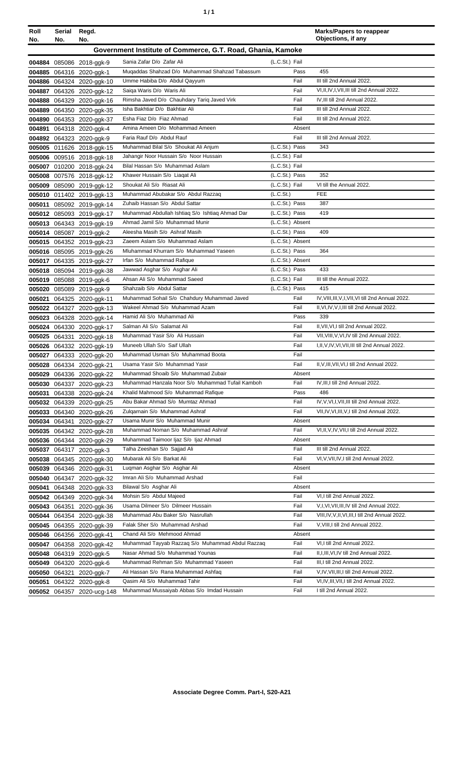| ٦ | ٠ |
|---|---|
|   |   |

| Roll   | Serial                                                      | Regd.                      |                                                  |                  | <b>Marks/Papers to reappear</b><br>Objections, if any |  |
|--------|-------------------------------------------------------------|----------------------------|--------------------------------------------------|------------------|-------------------------------------------------------|--|
| No.    | No.                                                         | No.                        |                                                  |                  |                                                       |  |
|        | Government Institute of Commerce, G.T. Road, Ghania, Kamoke |                            |                                                  |                  |                                                       |  |
|        |                                                             | 004884 085086 2018-ggk-9   | Sania Zafar D/o Zafar Ali                        | (L.C.St.) Fail   |                                                       |  |
|        |                                                             | 004885 064316 2020-ggk-1   | Mugaddas Shahzad D/o Muhammad Shahzad Tabassum   | Pass             | 455                                                   |  |
|        |                                                             | 004886 064324 2020-ggk-10  | Umme Habiba D/o Abdul Qayyum                     | Fail             | III till 2nd Annual 2022.                             |  |
|        |                                                             | 004887 064326 2020-ggk-12  | Saiqa Waris D/o Waris Ali                        | Fail             | VI, II, IV, I, VII, III till 2nd Annual 2022.         |  |
|        |                                                             | 004888 064329 2020-ggk-16  | Rimsha Javed D/o Chauhdary Tariq Javed Virk      | Fail             | IV, III till 2nd Annual 2022.                         |  |
|        |                                                             | 004889 064350 2020-ggk-35  | Isha Bakhtiar D/o Bakhtiar Ali                   | Fail             | III till 2nd Annual 2022.                             |  |
|        |                                                             | 004890 064353 2020-ggk-37  | Esha Fiaz D/o Fiaz Ahmad                         | Fail             | III till 2nd Annual 2022.                             |  |
| 004891 |                                                             | 064318 2020-ggk-4          | Amina Ameen D/o Mohammad Ameen                   | Absent           |                                                       |  |
|        |                                                             | 004892 064323 2020-ggk-9   | Faria Rauf D/o Abdul Rauf                        | Fail             | III till 2nd Annual 2022.                             |  |
|        |                                                             | 005005 011626 2018-ggk-15  | Muhammad Bilal S/o Shoukat Ali Anjum             | (L.C.St.) Pass   | 343                                                   |  |
|        |                                                             | 005006 009516 2018-ggk-18  | Jahangir Noor Hussain S/o Noor Hussain           | (L.C.St.) Fail   |                                                       |  |
|        |                                                             | 005007 010200 2018-ggk-24  | Bilal Hassan S/o Muhammad Aslam                  | (L.C.St.) Fail   |                                                       |  |
|        |                                                             | 005008 007576 2018-ggk-12  | Khawer Hussain S/o Liagat Ali                    | (L.C.St.) Pass   | 352                                                   |  |
|        |                                                             | 005009 085090 2019-ggk-12  | Shoukat Ali S/o Riasat Ali                       | (L.C.St.) Fail   | VI till the Annual 2022.                              |  |
|        |                                                             | 005010 011402 2019-ggk-13  | Muhammad Abubakar S/o Abdul Razzaq               | (L.C.St.)        | <b>FEE</b>                                            |  |
|        |                                                             | 005011 085092 2019-ggk-14  | Zuhaib Hassan S/o Abdul Sattar                   | (L.C.St.) Pass   | 387                                                   |  |
|        |                                                             | 005012 085093 2019-ggk-17  | Muhammad Abdullah Ishtiaq S/o Ishtiaq Ahmad Dar  | (L.C.St.) Pass   | 419                                                   |  |
|        |                                                             | 005013 064343 2019-ggk-19  | Ahmad Jamil S/o Muhammad Munir                   | (L.C.St.) Absent |                                                       |  |
|        |                                                             | 005014 085087 2019-ggk-2   | Aleesha Masih S/o Ashraf Masih                   | (L.C.St.) Pass   | 409                                                   |  |
|        |                                                             | 005015 064352 2019-ggk-23  | Zaeem Aslam S/o Muhammad Aslam                   | (L.C.St.) Absent |                                                       |  |
|        |                                                             | 005016 085095 2019-ggk-26  | Mluhammad Khurram S/o Muhammad Yaseen            | (L.C.St.) Pass   | 364                                                   |  |
|        |                                                             | 005017 064335 2019-ggk-27  | Irfan S/o Muhammad Rafique                       | (L.C.St.) Absent |                                                       |  |
|        |                                                             | 005018 085094 2019-ggk-38  | Jawwad Asghar S/o Asghar Ali                     | (L.C.St.) Pass   | 433                                                   |  |
|        |                                                             | 005019 085088 2019-ggk-6   | Ahsan Ali S/o Muhammad Saeed                     | (L.C.St.) Fail   | III till the Annual 2022.                             |  |
|        |                                                             | 005020 085089 2019-ggk-9   | Shahzaib S/o Abdul Sattar                        | (L.C.St.) Pass   | 415                                                   |  |
| 005021 |                                                             | 064325 2020-ggk-11         | Muhammad Sohail S/o Chahdury Muhammad Javed      | Fail             | IV, VIII, III, V, I, VII, VI till 2nd Annual 2022.    |  |
|        |                                                             | 005022 064327 2020-ggk-13  | Wakeel Ahmad S/o Muhammad Azam                   | Fail             | II, VI, IV, V, I, III till 2nd Annual 2022.           |  |
|        |                                                             | 005023 064328 2020-ggk-14  | Hamid Ali S/o Muhammad Ali                       | Pass             | 339                                                   |  |
|        |                                                             | 005024 064330 2020-ggk-17  | Salman Ali S/o Salamat Ali                       | Fail             | II.VII.VI.I till 2nd Annual 2022.                     |  |
|        |                                                             | 005025 064331 2020-ggk-18  | Muhammad Yasir S/o Ali Hussain                   | Fail             | VII, VIII, V, VI, IV till 2nd Annual 2022.            |  |
|        |                                                             | 005026 064332 2020-ggk-19  | Muneeb Ullah S/o Saif Ullah                      | Fail             | I, II, V, IV, VI, VII, III till 2nd Annual 2022.      |  |
|        |                                                             | 005027 064333 2020-ggk-20  | Muhammad Usman S/o Muhammad Boota                | Fail             |                                                       |  |
|        |                                                             | 005028 064334 2020-ggk-21  | Usama Yasir S/o Muhammad Yasir                   | Fail             | II.V.III.VII.VI.I till 2nd Annual 2022.               |  |
|        |                                                             | 005029 064336 2020-ggk-22  | Muhammad Shoaib S/o Muhammad Zubair              | Absent           |                                                       |  |
|        |                                                             | 005030 064337 2020-ggk-23  | Muhammad Hanzala Noor S/o Muhammad Tufail Kamboh | Fail             | IV, III, I till 2nd Annual 2022.                      |  |
|        |                                                             | 005031 064338 2020-ggk-24  | Khalid Mahmood S/o Muhammad Rafique              | Pass             | 486                                                   |  |
|        |                                                             | 005032 064339 2020-ggk-25  | Abu Bakar Ahmad S/o Mumtaz Ahmad                 | Fail             | IV, V, VI, I, VII, III till 2nd Annual 2022.          |  |
|        |                                                             | 005033 064340 2020-ggk-26  | Zulgarnain S/o Muhammad Ashraf                   | Fail             | VII, IV, VI, III, V, I till 2nd Annual 2022.          |  |
|        |                                                             | 005034 064341 2020-ggk-27  | Usama Munir S/o Muhammad Munir                   | Absent           |                                                       |  |
|        |                                                             | 005035 064342 2020-ggk-28  | Muhammad Noman S/o Muhammad Ashraf               | Fail             | VI, II, V, IV, VII, I till 2nd Annual 2022.           |  |
|        |                                                             | 005036 064344 2020-ggk-29  | Muhammad Taimoor Ijaz S/o Ijaz Ahmad             | Absent           |                                                       |  |
|        |                                                             | 005037 064317 2020-ggk-3   | Talha Zeeshan S/o Sajjad Ali                     | Fail             | III till 2nd Annual 2022.                             |  |
|        |                                                             | 005038 064345 2020-ggk-30  | Mubarak Ali S/o Barkat Ali                       | Fail             | VI, V, VII, IV, I till 2nd Annual 2022.               |  |
|        |                                                             | 005039 064346 2020-ggk-31  | Lugman Asghar S/o Asghar Ali                     | Absent           |                                                       |  |
|        |                                                             | 005040 064347 2020-ggk-32  | Imran Ali S/o Muhammad Arshad                    | Fail             |                                                       |  |
|        |                                                             | 005041 064348 2020-ggk-33  | Bilawal S/o Asghar Ali                           | Absent           |                                                       |  |
|        |                                                             | 005042 064349 2020-ggk-34  | Mohsin S/o Abdul Majeed                          | Fail             | VI, I till 2nd Annual 2022.                           |  |
|        | 005043 064351                                               | 2020-ggk-36                | Usama Dilmeer S/o Dilmeer Hussain                | Fail             | V,I, VI, VII, III, IV till 2nd Annual 2022.           |  |
|        |                                                             | 005044 064354 2020-ggk-38  | Muhammad Abu Baker S/o Nasrullah                 | Fail             | VIII, IV, V, II, VI, III, I till 2nd Annual 2022.     |  |
|        |                                                             | 005045 064355 2020-ggk-39  | Falak Sher S/o Muhammad Arshad                   | Fail             | V, VIII, I till 2nd Annual 2022.                      |  |
|        |                                                             | 005046 064356 2020-ggk-41  | Chand Ali S/o Mehmood Ahmad                      | Absent           |                                                       |  |
|        |                                                             | 005047 064358 2020-ggk-42  | Muhammad Tayyab Razzaq S/o Muhammad Abdul Razzaq | Fail             | VI, I till 2nd Annual 2022.                           |  |
|        |                                                             | 005048 064319 2020-ggk-5   | Nasar Ahmad S/o Muhammad Younas                  | Fail             | II, I, III, VI, IV till 2nd Annual 2022.              |  |
|        |                                                             | 005049 064320 2020-ggk-6   | Muhammad Rehman S/o Muhammad Yaseen              | Fail             | III, I till 2nd Annual 2022.                          |  |
|        |                                                             | 005050 064321 2020-ggk-7   | Ali Hassan S/o Rana Muhammad Ashfaq              | Fail             | V,IV, VII, III, I till 2nd Annual 2022.               |  |
|        |                                                             | 005051 064322 2020-ggk-8   | Qasim Ali S/o Muhammad Tahir                     | Fail             | VI, IV, III, VII, I till 2nd Annual 2022.             |  |
|        |                                                             | 005052 064357 2020-ucg-148 | Muhammad Mussaiyab Abbas S/o Imdad Hussain       | Fail             | I till 2nd Annual 2022.                               |  |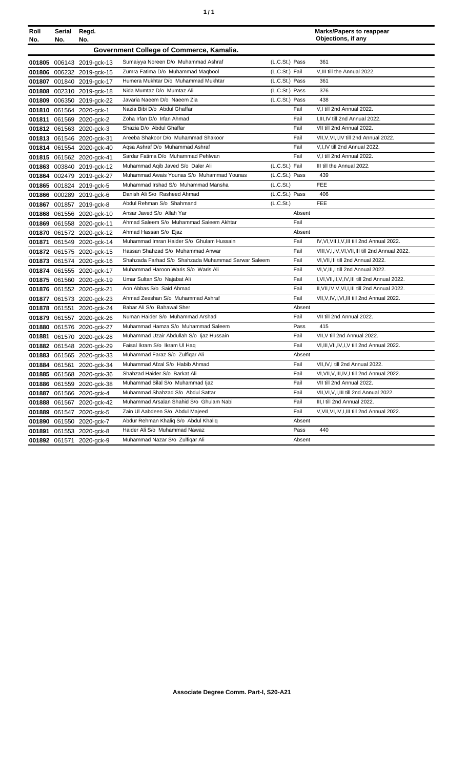|  | ٠ |
|--|---|
|  |   |

| Roll<br>No. | Serial<br>No. | Regd.<br>No.              |                                                     |                | <b>Marks/Papers to reappear</b><br>Objections, if any |
|-------------|---------------|---------------------------|-----------------------------------------------------|----------------|-------------------------------------------------------|
|             |               |                           | Government College of Commerce, Kamalia.            |                |                                                       |
|             |               | 001805 006143 2019-gck-13 | Sumaiyya Noreen D/o Muhammad Ashraf                 | (L.C.St.) Pass | 361                                                   |
|             |               | 001806 006232 2019-gck-15 | Zumra Fatima D/o Muhammad Maqbool                   | (L.C.St.) Fail | V, III till the Annual 2022.                          |
|             |               | 001807 001840 2019-gck-17 | Humera Mukhtar D/o Muhammad Mukhtar                 | (L.C.St.) Pass | 361                                                   |
| 001808      |               | 002310 2019-gck-18        | Nida Mumtaz D/o Mumtaz Ali                          | (L.C.St.) Pass | 376                                                   |
| 001809      |               | 006350 2019-gck-22        | Javaria Naeem D/o Naeem Zia                         | (L.C.St.) Pass | 438                                                   |
|             |               | 001810 061564 2020-gck-1  | Nazia Bibi D/o Abdul Ghaffar                        | Fail           | V,I till 2nd Annual 2022.                             |
| 001811      |               | 061569 2020-gck-2         | Zoha Irfan D/o Irfan Ahmad                          | Fail           | I, III, IV till 2nd Annual 2022.                      |
|             |               | 001812 061563 2020-gck-3  | Shazia D/o Abdul Ghaffar                            | Fail           | VII till 2nd Annual 2022.                             |
|             |               | 001813 061546 2020-gck-31 | Areeba Shakoor D/o Muhammad Shakoor                 | Fail           | VII, V, VI, I, IV till 2nd Annual 2022.               |
|             |               | 001814 061554 2020-gck-40 | Agsa Ashraf D/o Muhammad Ashraf                     | Fail           | V,I,IV till 2nd Annual 2022.                          |
|             |               | 001815 061562 2020-gck-41 | Sardar Fatima D/o Muhammad Pehlwan                  | Fail           | V,I till 2nd Annual 2022.                             |
|             |               | 001863 003840 2019-gck-12 | Muhammad Aqib Javed S/o Daler Ali                   | (L.C.St.) Fail | III till the Annual 2022.                             |
|             |               | 001864 002479 2019-gck-27 | Muhammad Awais Younas S/o Muhammad Younas           | (L.C.St.) Pass | 439                                                   |
|             |               | 001865 001824 2019-gck-5  | Muhammad Irshad S/o Muhammad Mansha                 | (L.C.St.)      | <b>FEE</b>                                            |
|             |               | 001866 000289 2019-gck-6  | Danish Ali S/o Rasheed Ahmad                        | (L.C.St.) Pass | 406                                                   |
|             |               | 001867 001857 2019-gck-8  | Abdul Rehman S/o Shahmand                           | (L.C.St.)      | <b>FEE</b>                                            |
|             |               | 001868 061556 2020-gck-10 | Ansar Javed S/o Allah Yar                           | Absent         |                                                       |
|             |               | 001869 061558 2020-gck-11 | Ahmad Saleem S/o Muhammad Saleem Akhtar             | Fail           |                                                       |
|             |               | 001870 061572 2020-gck-12 | Ahmad Hassan S/o Ejaz                               | Absent         |                                                       |
| 001871      |               | 061549 2020-gck-14        | Muhammad Imran Haider S/o Ghulam Hussain            | Fail           | IV, VI, VII, I, V, III till 2nd Annual 2022.          |
|             |               | 001872 061575 2020-gck-15 | Hassan Shahzad S/o Muhammad Anwar                   | Fail           | VIII, V, I, IV, VI, VII, III till 2nd Annual 2022.    |
|             |               | 001873 061574 2020-gck-16 | Shahzada Farhad S/o Shahzada Muhammad Sarwar Saleem | Fail           | VI, VII, III till 2nd Annual 2022.                    |
|             |               | 001874 061555 2020-gck-17 | Muhammad Haroon Waris S/o Waris Ali                 | Fail           | VI, V, III, I till 2nd Annual 2022.                   |
|             |               | 001875 061560 2020-gck-19 | Umar Sultan S/o Najabat Ali                         | Fail           | I, VI, VII, II, V, IV, III till 2nd Annual 2022.      |
|             |               | 001876 061552 2020-gck-21 | Aon Abbas S/o Said Ahmad                            | Fail           | II, VII, IV, V, VI, I, III till 2nd Annual 2022.      |
|             |               | 001877 061573 2020-gck-23 | Ahmad Zeeshan S/o Muhammad Ashraf                   | Fail           | VII, V, IV, I, VI, III till 2nd Annual 2022.          |
|             |               | 001878 061551 2020-gck-24 | Babar Ali S/o Bahawal Sher                          | Absent         |                                                       |
| 001879      |               | 061557 2020-gck-26        | Numan Haider S/o Muhammad Arshad                    | Fail           | VII till 2nd Annual 2022.                             |
| 001880      |               | 061576 2020-gck-27        | Muhammad Hamza S/o Muhammad Saleem                  | Pass           | 415                                                   |
| 001881      |               | 061570 2020-gck-28        | Muhammad Uzair Abdullah S/o Ijaz Hussain            | Fail           | VII, V till 2nd Annual 2022.                          |
|             |               | 001882 061548 2020-gck-29 | Faisal Ikram S/o Ikram Ul Haq                       | Fail           | VI, III, VII, IV, I, V till 2nd Annual 2022.          |
|             |               | 001883 061565 2020-gck-33 | Muhammad Faraz S/o Zulfigar Ali                     | Absent         |                                                       |
|             |               | 001884 061561 2020-gck-34 | Muhammad Afzal S/o Habib Ahmad                      | Fail           | VII, IV, I till 2nd Annual 2022.                      |
|             |               | 001885 061568 2020-gck-36 | Shahzad Haider S/o Barkat Ali                       | Fail           | VI, VII, V, III, IV, I till 2nd Annual 2022.          |
| 001886      |               | 061559 2020-gck-38        | Muhammad Bilal S/o Muhammad Ijaz                    | Fail           | VII till 2nd Annual 2022.                             |
| 001887      |               | 061566 2020-gck-4         | Muhammad Shahzad S/o Abdul Sattar                   | Fail           | VII, VI, V, I, III till 2nd Annual 2022.              |
| 001888      |               | 061567 2020-gck-42        | Muhammad Arsalan Shahid S/o Ghulam Nabi             | Fail           | III,I till 2nd Annual 2022.                           |
| 001889      |               | 061547 2020-gck-5         | Zain UI Aabdeen S/o Abdul Majeed                    | Fail           | V, VII, VI, IV, I, III till 2nd Annual 2022.          |
| 001890      |               | 061550 2020-gck-7         | Abdur Rehman Khaliq S/o Abdul Khaliq                | Absent         |                                                       |
| 001891      |               | 061553 2020-gck-8         | Haider Ali S/o Muhammad Nawaz                       | Pass           | 440                                                   |
|             |               | 001892 061571 2020-gck-9  | Muhammad Nazar S/o Zulfiqar Ali                     | Absent         |                                                       |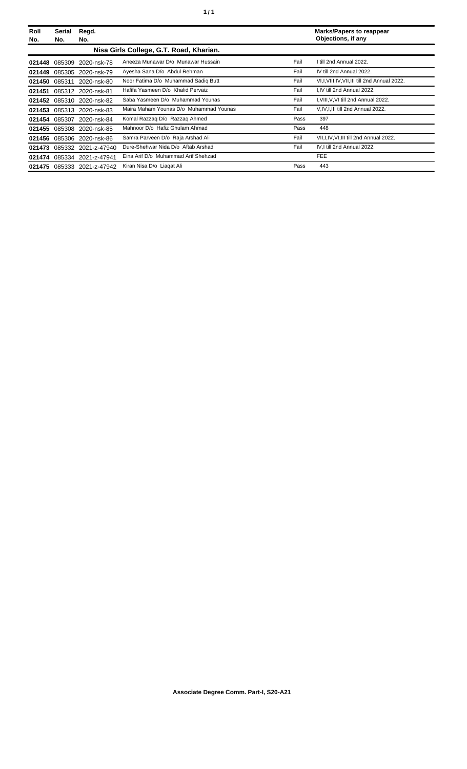| Roll<br>No. | Serial<br>No.                           | Regd.<br>No.               |                                        |      | <b>Marks/Papers to reappear</b><br>Objections, if any |  |
|-------------|-----------------------------------------|----------------------------|----------------------------------------|------|-------------------------------------------------------|--|
|             | Nisa Girls College, G.T. Road, Kharian. |                            |                                        |      |                                                       |  |
|             |                                         | 021448 085309 2020-nsk-78  | Aneeza Munawar D/o Munawar Hussain     | Fail | I till 2nd Annual 2022.                               |  |
| 021449      |                                         | 085305 2020-nsk-79         | Ayesha Sana D/o Abdul Rehman           | Fail | IV till 2nd Annual 2022.                              |  |
| 021450      | 085311                                  | 2020-nsk-80                | Noor Fatima D/o Muhammad Sadiq Butt    | Fail | VI, I, VIII, IV, VII, III till 2nd Annual 2022.       |  |
| 021451      |                                         | 085312 2020-nsk-81         | Hafifa Yasmeen D/o Khalid Pervaiz      | Fail | I.IV till 2nd Annual 2022.                            |  |
|             |                                         | 021452 085310 2020-nsk-82  | Saba Yasmeen D/o Muhammad Younas       | Fail | I, VIII, V, VI till 2nd Annual 2022.                  |  |
|             |                                         | 021453 085313 2020-nsk-83  | Maira Maham Younas D/o Muhammad Younas | Fail | V, IV, I, III till 2nd Annual 2022.                   |  |
|             | 021454 085307                           | 2020-nsk-84                | Komal Razzaq D/o Razzaq Ahmed          | Pass | 397                                                   |  |
|             |                                         | 021455 085308 2020-nsk-85  | Mahnoor D/o Hafiz Ghulam Ahmad         | Pass | 448                                                   |  |
| 021456      |                                         | 085306 2020-nsk-86         | Samra Parveen D/o Raja Arshad Ali      | Fail | VII, I, IV, VI, III till 2nd Annual 2022.             |  |
|             |                                         | 021473 085332 2021-z-47940 | Dure-Shehwar Nida D/o Aftab Arshad     | Fail | IV, I till 2nd Annual 2022.                           |  |
| 021474      |                                         | 085334 2021-z-47941        | Eina Arif D/o Muhammad Arif Shehzad    |      | FEE                                                   |  |
|             |                                         | 021475 085333 2021-z-47942 | Kiran Nisa D/o Liagat Ali              | Pass | 443                                                   |  |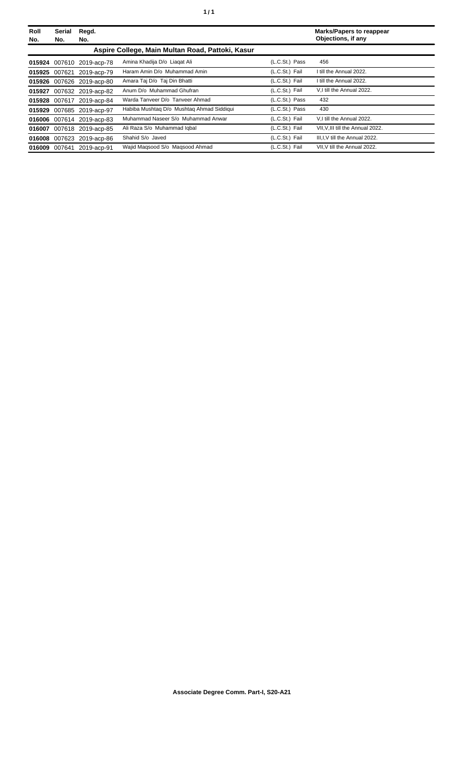| Roll<br>No. | <b>Serial</b><br>No. | Regd.<br>No.              |                                                  |                | <b>Marks/Papers to reappear</b><br>Objections, if any |
|-------------|----------------------|---------------------------|--------------------------------------------------|----------------|-------------------------------------------------------|
|             |                      |                           | Aspire College, Main Multan Road, Pattoki, Kasur |                |                                                       |
|             |                      | 015924 007610 2019-acp-78 | Amina Khadija D/o Liagat Ali                     | (L.C.St.) Pass | 456                                                   |
|             |                      | 015925 007621 2019-acp-79 | Haram Amin D/o Muhammad Amin                     | (L.C.St.) Fail | I till the Annual 2022.                               |
|             |                      | 015926 007626 2019-acp-80 | Amara Taj D/o Taj Din Bhatti                     | (L.C.St.) Fail | I till the Annual 2022.                               |
| 015927      |                      | 007632 2019-acp-82        | Anum D/o Muhammad Ghufran                        | (L.C.St.) Fail | V.I till the Annual 2022.                             |
|             |                      | 015928 007617 2019-acp-84 | Warda Tanveer D/o Tanveer Ahmad                  | (L.C.St.) Pass | 432                                                   |
|             |                      | 015929 007685 2019-acp-97 | Habiba Mushtag D/o Mushtag Ahmad Siddigui        | (L.C.St.) Pass | 430                                                   |
|             |                      | 016006 007614 2019-acp-83 | Muhammad Naseer S/o Muhammad Anwar               | (L.C.St.) Fail | V.I till the Annual 2022.                             |
| 016007      |                      | 007618 2019-acp-85        | Ali Raza S/o Muhammad Iqbal                      | (L.C.St.) Fail | VII.V.III till the Annual 2022.                       |
|             |                      | 016008 007623 2019-acp-86 | Shahid S/o Javed                                 | (L.C.St.) Fail | III.I.V till the Annual 2022.                         |
| 016009      | 007641               | 2019-acp-91               | Wajid Magsood S/o Magsood Ahmad                  | (L.C.St.) Fail | VII.V till the Annual 2022.                           |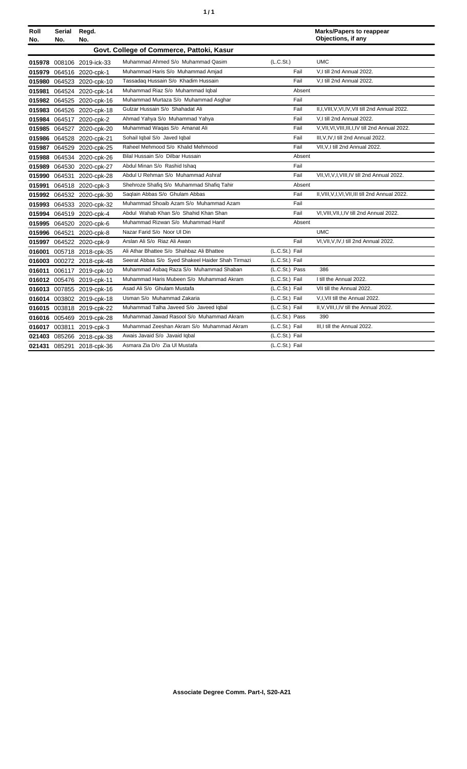| ٠ | ٠ |
|---|---|
|   |   |

| Roll<br>No. | Serial<br>No. | Regd.<br>No.              |                                                   |                       |        | <b>Marks/Papers to reappear</b><br>Objections, if any |
|-------------|---------------|---------------------------|---------------------------------------------------|-----------------------|--------|-------------------------------------------------------|
|             |               |                           | Govt. College of Commerce, Pattoki, Kasur         |                       |        |                                                       |
|             |               | 015978 008106 2019-ick-33 | Muhammad Ahmed S/o Muhammad Qasim                 | (L.C.S <sub>t</sub> ) |        | <b>UMC</b>                                            |
|             |               | 015979 064516 2020-cpk-1  | Muhammad Haris S/o Muhammad Amjad                 | Fail                  |        | V,I till 2nd Annual 2022.                             |
|             |               | 015980 064523 2020-cpk-10 | Tassadaq Hussain S/o Khadim Hussain               | Fail                  |        | V,I till 2nd Annual 2022.                             |
|             |               | 015981 064524 2020-cpk-14 | Muhammad Riaz S/o Muhammad Iqbal                  |                       | Absent |                                                       |
|             |               | 015982 064525 2020-cpk-16 | Muhammad Murtaza S/o Muhammad Asghar              | Fail                  |        |                                                       |
|             |               | 015983 064526 2020-cpk-18 | Gulzar Hussain S/o Shahadat Ali                   | Fail                  |        | II,I, VIII, V, VI, IV, VII till 2nd Annual 2022.      |
|             |               | 015984 064517 2020-cpk-2  | Ahmad Yahya S/o Muhammad Yahya                    | Fail                  |        | V,I till 2nd Annual 2022.                             |
|             |               | 015985 064527 2020-cpk-20 | Muhammad Waqas S/o Amanat Ali                     | Fail                  |        | V, VII, VI, VIII, III, I, IV till 2nd Annual 2022.    |
|             |               | 015986 064528 2020-cpk-21 | Sohail Iqbal S/o Javed Iqbal                      | Fail                  |        | III, V, IV, I till 2nd Annual 2022.                   |
|             |               | 015987 064529 2020-cpk-25 | Raheel Mehmood S/o Khalid Mehmood                 | Fail                  |        | VII, V, I till 2nd Annual 2022.                       |
|             |               | 015988 064534 2020-cpk-26 | Bilal Hussain S/o Dilbar Hussain                  |                       | Absent |                                                       |
|             |               | 015989 064530 2020-cpk-27 | Abdul Minan S/o Rashid Ishaq                      | Fail                  |        |                                                       |
|             |               | 015990 064531 2020-cpk-28 | Abdul U Rehman S/o Muhammad Ashraf                | Fail                  |        | VII, VI, V, I, VIII, IV till 2nd Annual 2022.         |
|             |               | 015991 064518 2020-cpk-3  | Shehroze Shafiq S/o Muhammad Shafiq Tahir         |                       | Absent |                                                       |
|             |               | 015992 064532 2020-cpk-30 | Saqlain Abbas S/o Ghulam Abbas                    | Fail                  |        | II, VIII, V, I, VI, VII, III till 2nd Annual 2022.    |
|             |               | 015993 064533 2020-cpk-32 | Muhammad Shoaib Azam S/o Muhammad Azam            | Fail                  |        |                                                       |
|             |               | 015994 064519 2020-cpk-4  | Abdul Wahab Khan S/o Shahid Khan Shan             | Fail                  |        | VI, VIII, VII, I, IV till 2nd Annual 2022.            |
|             |               | 015995 064520 2020-cpk-6  | Muhammad Rizwan S/o Muhammad Hanif                |                       | Absent |                                                       |
|             |               | 015996 064521 2020-cpk-8  | Nazar Farid S/o Noor UI Din                       |                       |        | <b>UMC</b>                                            |
|             |               | 015997 064522 2020-cpk-9  | Arslan Ali S/o Riaz Ali Awan                      | Fail                  |        | VI, VII, V, IV, I till 2nd Annual 2022.               |
|             |               | 016001 005718 2018-cpk-35 | Ali Athar Bhattee S/o Shahbaz Ali Bhattee         | (L.C.St.) Fail        |        |                                                       |
|             |               | 016003 000272 2018-cpk-48 | Seerat Abbas S/o Syed Shakeel Haider Shah Tirmazi | (L.C.St.) Fail        |        |                                                       |
|             |               | 016011 006117 2019-cpk-10 | Muhammad Asbaq Raza S/o Muhammad Shaban           | (L.C.St.) Pass        |        | 386                                                   |
|             |               | 016012 005476 2019-cpk-11 | Muhammad Haris Mubeen S/o Muhammad Akram          | (L.C.St.) Fail        |        | I till the Annual 2022.                               |
|             |               | 016013 007855 2019-cpk-16 | Asad Ali S/o Ghulam Mustafa                       | (L.C.St.) Fail        |        | VII till the Annual 2022.                             |
|             |               | 016014 003802 2019-cpk-18 | Usman S/o Muhammad Zakaria                        | (L.C.St.) Fail        |        | V, I, VII till the Annual 2022.                       |
|             |               | 016015 003818 2019-cpk-22 | Muhammad Talha Javeed S/o Javeed Iqbal            | (L.C.St.) Fail        |        | II, V, VIII, I, IV till the Annual 2022.              |
|             |               | 016016 005469 2019-cpk-28 | Muhammad Jawad Rasool S/o Muhammad Akram          | (L.C.St.) Pass        |        | 390                                                   |
|             |               | 016017 003811 2019-cpk-3  | Muhammad Zeeshan Akram S/o Muhammad Akram         | (L.C.St.) Fail        |        | III.I till the Annual 2022.                           |
|             |               | 021403 085266 2018-cpk-38 | Awais Javaid S/o Javaid Iqbal                     | (L.C.St.) Fail        |        |                                                       |
|             |               | 021431 085291 2018-cpk-36 | Asmara Zia D/o Zia Ul Mustafa                     | (L.C.St.) Fail        |        |                                                       |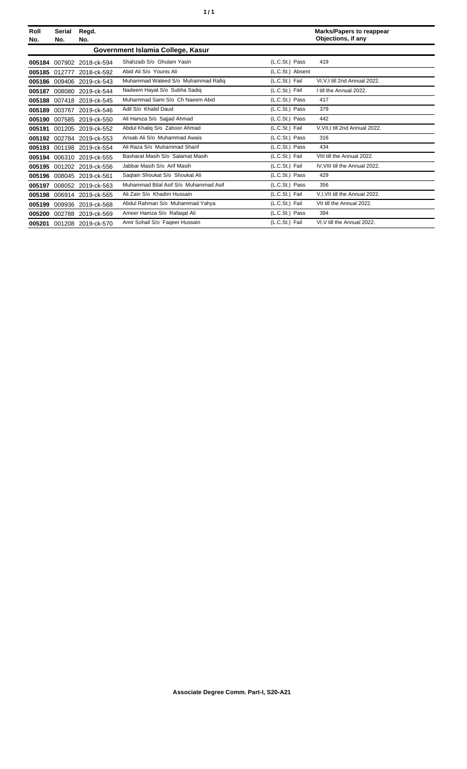| ٠ | ٠ |
|---|---|
|   |   |

| Roll<br>No. | Serial<br>No. | Regd.<br>No.              |                                       |                  | <b>Marks/Papers to reappear</b><br>Objections, if any |
|-------------|---------------|---------------------------|---------------------------------------|------------------|-------------------------------------------------------|
|             |               |                           | Government Islamia College, Kasur     |                  |                                                       |
| 005184      |               | 007902 2018-ck-594        | Shahzaib S/o Ghulam Yasin             | (L.C.St.) Pass   | 419                                                   |
|             | 005185 012777 | 2018-ck-592               | Abid Ali S/o Younis Ali               | (L.C.St.) Absent |                                                       |
| 005186      | 009406        | 2019-ck-543               | Muhammad Waleed S/o Muhammad Rafiq    | (L.C.St.) Fail   | VI.V.I till 2nd Annual 2022.                          |
| 005187      |               | 008080 2019-ck-544        | Nadeem Hayat S/o Subha Sadiq          | (L.C.St.) Fail   | I till the Annual 2022.                               |
|             |               | 005188 007418 2019-ck-545 | Muhammad Sami S/o Ch Naeem Abid       | (L.C.St.) Pass   | 417                                                   |
|             |               | 005189 003767 2019-ck-546 | Adil S/o Khalid Daud                  | (L.C.St.) Pass   | 379                                                   |
|             |               | 005190 007585 2019-ck-550 | Ali Hamza S/o Sajjad Ahmad            | (L.C.St.) Pass   | 442                                                   |
| 005191      |               | 001205 2019-ck-552        | Abdul Khaliq S/o Zahoor Ahmad         | (L.C.St.) Fail   | V, VII, I till 2nd Annual 2022.                       |
|             |               | 005192 002784 2019-ck-553 | Ansab Ali S/o Muhammad Awais          | (L.C.St.) Pass   | 316                                                   |
|             |               | 005193 001198 2019-ck-554 | Ali Raza S/o Muhammad Sharif          | (L.C.St.) Pass   | 434                                                   |
| 005194      |               | 006310 2019-ck-555        | Basharat Masih S/o Salamat Masih      | (L.C.St.) Fail   | VIII till the Annual 2022.                            |
| 005195      |               | 001202 2019-ck-556        | Jabbar Masih S/o Arif Masih           | (L.C.St.) Fail   | IV, VIII till the Annual 2022.                        |
| 005196      |               | 008045 2019-ck-561        | Saglain Shoukat S/o Shoukat Ali       | (L.C.St.) Pass   | 429                                                   |
| 005197      |               | 008052 2019-ck-563        | Muhammad Bilal Asif S/o Muhammad Asif | (L.C.St.) Pass   | 356                                                   |
| 005198      |               | 006914 2019-ck-565        | Ali Zain S/o Khadim Hussain           | (L.C.St.) Fail   | V, I, VII till the Annual 2022.                       |
| 005199      |               | 009936 2019-ck-568        | Abdul Rahman S/o Muhammad Yahya       | (L.C.St.) Fail   | VII till the Annual 2022.                             |
| 005200      |               | 002788 2019-ck-569        | Ameer Hamza S/o Rafaqat Ali           | (L.C.St.) Pass   | 394                                                   |
|             |               | 005201 001208 2019-ck-570 | Amir Sohail S/o Faqeer Hussain        | (L.C.St.) Fail   | VI.V till the Annual 2022.                            |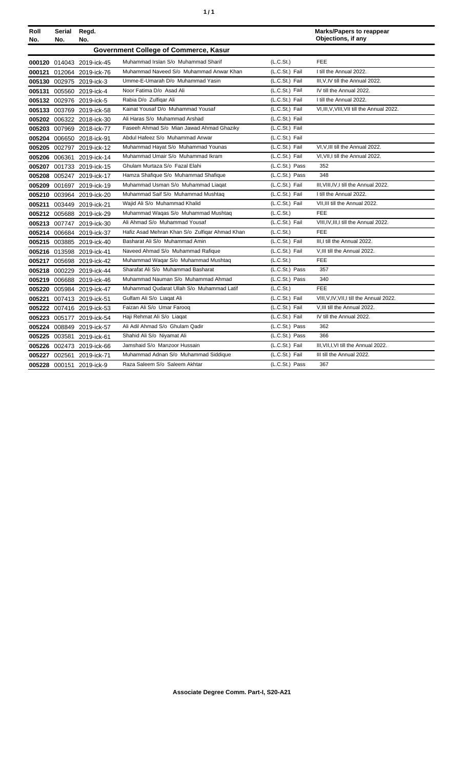| ٠ | ٠ |
|---|---|
|   |   |

| Roll<br>No. | Serial<br>No. | Regd.<br>No.              |                                                |                | <b>Marks/Papers to reappear</b><br>Objections, if any |
|-------------|---------------|---------------------------|------------------------------------------------|----------------|-------------------------------------------------------|
|             |               |                           | Government College of Commerce, Kasur          |                |                                                       |
|             |               | 000120 014043 2019-ick-45 | Muhammad Irslan S/o Muhammad Sharif            | (L.C.St.)      | <b>FEE</b>                                            |
|             |               | 000121 012064 2019-ick-76 | Muhammad Naveed S/o Muhammad Anwar Khan        | (L.C.St.) Fail | I till the Annual 2022.                               |
|             |               | 005130 002975 2019-ick-3  | Umme-E-Umarah D/o Muhammad Yasin               | (L.C.St.) Fail | III, V, IV till the Annual 2022.                      |
|             |               | 005131 005560 2019-ick-4  | Noor Fatima D/o Asad Ali                       | (L.C.St.) Fail | IV till the Annual 2022.                              |
|             |               | 005132 002976 2019-ick-5  | Rabia D/o Zulfigar Ali                         | (L.C.St.) Fail | I till the Annual 2022.                               |
|             |               | 005133 003769 2019-ick-58 | Kainat Yousaf D/o Muhammad Yousaf              | (L.C.St.) Fail | VI, III, V, VIII, VII till the Annual 2022.           |
|             |               | 005202 006322 2018-ick-30 | Ali Haras S/o Muhammad Arshad                  | (L.C.St.) Fail |                                                       |
|             |               | 005203 007969 2018-ick-77 | Faseeh Ahmad S/o Mian Jawad Ahmad Ghaziky      | (L.C.St.) Fail |                                                       |
|             |               | 005204 006650 2018-ick-91 | Abdul Hafeez S/o Muhammad Anwar                | (L.C.St.) Fail |                                                       |
|             |               | 005205 002797 2019-ick-12 | Muhammad Hayat S/o Muhammad Younas             | (L.C.St.) Fail | VI, V, III till the Annual 2022.                      |
|             |               | 005206 006361 2019-ick-14 | Muhammad Umair S/o Muhammad Ikram              | (L.C.St.) Fail | VI, VII, I till the Annual 2022.                      |
|             |               | 005207 001733 2019-ick-15 | Ghulam Murtaza S/o Fazal Elahi                 | (L.C.St.) Pass | 352                                                   |
|             |               | 005208 005247 2019-ick-17 | Hamza Shafique S/o Muhammad Shafique           | (L.C.St.) Pass | 348                                                   |
|             |               | 005209 001697 2019-ick-19 | Muhammad Usman S/o Muhammad Liaqat             | (L.C.St.) Fail | III, VIII, IV, I till the Annual 2022.                |
|             |               | 005210 003964 2019-ick-20 | Muhammad Saif S/o Muhammad Mushtaq             | (L.C.St.) Fail | I till the Annual 2022.                               |
|             |               | 005211 003449 2019-ick-21 | Wajid Ali S/o Muhammad Khalid                  | (L.C.St.) Fail | VII.III till the Annual 2022.                         |
|             |               | 005212 005688 2019-ick-29 | Muhammad Waqas S/o Muhammad Mushtaq            | (L.C.St.)      | FEE                                                   |
|             |               | 005213 007747 2019-ick-30 | Ali Ahmad S/o Muhammad Yousaf                  | (L.C.St.) Fail | VIII, IV, III, I till the Annual 2022.                |
|             |               | 005214 006684 2019-ick-37 | Hafiz Asad Mehran Khan S/o Zulfigar Ahmad Khan | (L.C.St.)      | FEE                                                   |
|             |               | 005215 003885 2019-ick-40 | Basharat Ali S/o Muhammad Amin                 | (L.C.St.) Fail | III.I till the Annual 2022.                           |
|             |               | 005216 013598 2019-ick-41 | Naveed Ahmad S/o Muhammad Rafique              | (L.C.St.) Fail | V.III till the Annual 2022.                           |
|             |               | 005217 005698 2019-ick-42 | Muhammad Waqar S/o Muhammad Mushtaq            | (L.C.St.)      | FEE                                                   |
|             |               | 005218 000229 2019-ick-44 | Sharafat Ali S/o Muhammad Basharat             | (L.C.St.) Pass | 357                                                   |
|             |               | 005219 006688 2019-ick-46 | Muhammad Nauman S/o Muhammad Ahmad             | (L.C.St.) Pass | 340                                                   |
|             |               | 005220 005984 2019-ick-47 | Muhammad Qudarat Ullah S/o Muhammad Latif      | (L.C.St.)      | <b>FEE</b>                                            |
|             |               | 005221 007413 2019-ick-51 | Gulfam Ali S/o Liagat Ali                      | (L.C.St.) Fail | VIII, V, IV, VII, I till the Annual 2022.             |
|             |               | 005222 007416 2019-ick-53 | Faizan Ali S/o Umar Farooq                     | (L.C.St.) Fail | V, III till the Annual 2022.                          |
|             |               | 005223 005177 2019-ick-54 | Haji Rehmat Ali S/o Liagat                     | (L.C.St.) Fail | IV till the Annual 2022.                              |
|             |               | 005224 008849 2019-ick-57 | Ali Adil Ahmad S/o Ghulam Qadir                | (L.C.St.) Pass | 362                                                   |
|             | 005225 003581 | 2019-ick-61               | Shahid Ali S/o Niyamat Ali                     | (L.C.St.) Pass | 366                                                   |
|             |               | 005226 002473 2019-ick-66 | Jamshaid S/o Manzoor Hussain                   | (L.C.St.) Fail | III, VII, I, VI till the Annual 2022.                 |
|             |               | 005227 002561 2019-ick-71 | Muhammad Adnan S/o Muhammad Siddique           | (L.C.St.) Fail | III till the Annual 2022.                             |
|             |               | 005228 000151 2019-ick-9  | Raza Saleem S/o Saleem Akhtar                  | (L.C.St.) Pass | 367                                                   |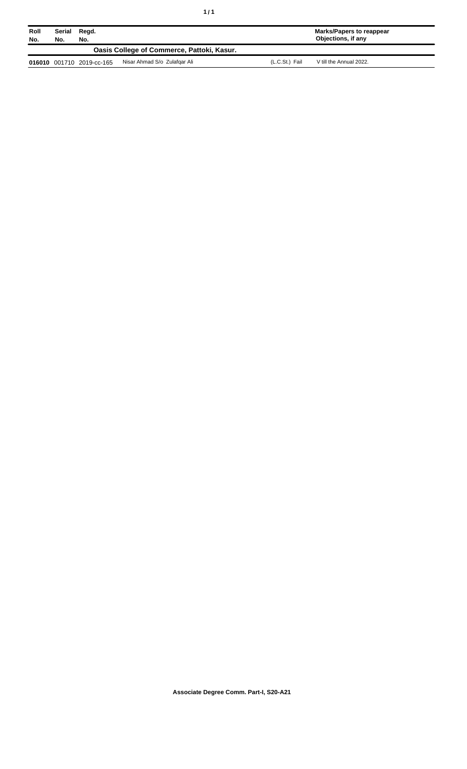| Roll<br>No. | Serial<br>No. | Regd.<br>No.              |                                            |                | Marks/Papers to reappear<br>Objections, if any |
|-------------|---------------|---------------------------|--------------------------------------------|----------------|------------------------------------------------|
|             |               |                           | Oasis College of Commerce, Pattoki, Kasur. |                |                                                |
|             |               | 016010 001710 2019-cc-165 | Nisar Ahmad S/o Zulafgar Ali               | (L.C.St.) Fail | V till the Annual 2022.                        |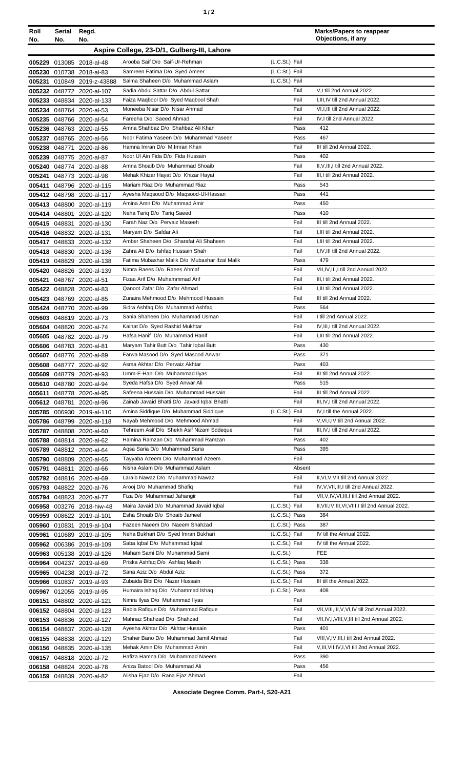| ٠ |  |
|---|--|
|   |  |

| Roll<br>No. | Serial<br>No. | Regd.<br>No.                                           |                                                                             |                        | <b>Marks/Papers to reappear</b><br>Objections, if any             |
|-------------|---------------|--------------------------------------------------------|-----------------------------------------------------------------------------|------------------------|-------------------------------------------------------------------|
|             |               |                                                        | Aspire College, 23-D/1, Gulberg-III, Lahore                                 |                        |                                                                   |
|             |               |                                                        | Arooba Saif D/o Saif-Ur-Rehman                                              | (L.C.St.) Fail         |                                                                   |
|             |               | 005229 013085 2018-al-48<br>005230 010738 2018-al-83   | Samreen Fatima D/o Syed Ameer                                               | (L.C.St.) Fail         |                                                                   |
| 005231      |               | 010849 2019-z-43888                                    | Salma Shaheen D/o Muhammad Aslam                                            | (L.C.St.) Fail         |                                                                   |
|             |               | 005232 048772 2020-al-107                              | Sadia Abdul Sattar D/o Abdul Sattar                                         | Fail                   | V,I till 2nd Annual 2022.                                         |
|             |               | 005233 048834 2020-al-133                              | Faiza Maqbool D/o Syed Maqbool Shah                                         | Fail                   | I, III, IV till 2nd Annual 2022.                                  |
|             |               | 005234 048764 2020-al-53                               | Moneeba Nisar D/o Nisar Ahmad                                               | Fail                   | VI, I, III till 2nd Annual 2022.                                  |
|             |               | 005235 048766 2020-al-54                               | Fareeha D/o Saeed Ahmad                                                     | Fail                   | IV, I till 2nd Annual 2022.                                       |
|             |               | 005236 048763 2020-al-55                               | Amna Shahbaz D/o Shahbaz Ali Khan                                           | Pass                   | 412                                                               |
|             |               | 005237 048765 2020-al-56                               | Noor Fatima Yaseen D/o Muhammad Yaseen                                      | Pass                   | 467                                                               |
|             |               | 005238 048771 2020-al-86                               | Hamna Imran D/o M.Imran Khan                                                | Fail                   | III till 2nd Annual 2022.                                         |
|             |               | 005239 048775 2020-al-87                               | Noor Ul Ain Fida D/o Fida Hussain                                           | Pass                   | 402                                                               |
|             |               | 005240 048774 2020-al-88                               | Amna Shoaib D/o Muhammad Shoaib                                             | Fail                   | II, V, III, I till 2nd Annual 2022.                               |
|             |               | 005241 048773 2020-al-98                               | Mehak Khizar Hayat D/o Khizar Hayat                                         | Fail                   | III, I till 2nd Annual 2022.                                      |
|             |               | 005411 048796 2020-al-115                              | Mariam Riaz D/o Muhammad Riaz                                               | Pass                   | 543                                                               |
|             |               | 005412 048798 2020-al-117                              | Ayesha Maqsood D/o Maqsood-UI-Hassan                                        | Pass                   | 441                                                               |
|             |               | 005413 048800 2020-al-119                              | Amina Amir D/o Muhammad Amir                                                | Pass                   | 450                                                               |
|             | 005414 048801 | 2020-al-120                                            | Neha Tariq D/o Tariq Saeed                                                  | Pass                   | 410                                                               |
|             | 005415 048831 | 2020-al-130                                            | Farah Naz D/o Pervaiz Maseeh                                                | Fail                   | III till 2nd Annual 2022.                                         |
|             |               | 005416 048832 2020-al-131                              | Maryam D/o Safdar Ali                                                       | Fail                   | I, III till 2nd Annual 2022.                                      |
|             |               | 005417 048833 2020-al-132                              | Amber Shaheen D/o Sharafat Ali Shaheen<br>Zahra Ali D/o Ishfaq Hussain Shah | Fail<br>Fail           | I, III till 2nd Annual 2022.<br>I,IV,III till 2nd Annual 2022.    |
|             |               | 005418 048830 2020-al-136                              | Fatima Mubashar Malik D/o Mubashar Ifzal Malik                              | Pass                   | 479                                                               |
|             |               | 005419 048829 2020-al-138<br>005420 048826 2020-al-139 | Nimra Raees D/o Raees Ahmaf                                                 | Fail                   | VII, IV, III, I till 2nd Annual 2022.                             |
| 005421      |               | 048767 2020-al-51                                      | Fizaa Arif D/o Muhammmad Arif                                               | Fail                   | III, I till 2nd Annual 2022.                                      |
|             |               | 005422 048828 2020-al-83                               | Qanoot Zafar D/o Zafar Ahmad                                                | Fail                   | I, III till 2nd Annual 2022.                                      |
|             |               | 005423 048769 2020-al-85                               | Zunaira Mehmood D/o Mehmood Hussain                                         | Fail                   | III till 2nd Annual 2022.                                         |
|             |               | 005424 048770 2020-al-99                               | Sidra Ashfaq D/o Muhammad Ashfaq                                            | Pass                   | 564                                                               |
|             |               | 005603 048819 2020-al-73                               | Sania Shaheen D/o Muhammad Usman                                            | Fail                   | I till 2nd Annual 2022.                                           |
|             |               | 005604 048820 2020-al-74                               | Kainat D/o Syed Rashid Mukhtar                                              | Fail                   | IV.III.I till 2nd Annual 2022.                                    |
|             |               | 005605 048782 2020-al-79                               | Hafsa Hanif D/o Muhammad Hanif                                              | Fail                   | I, III till 2nd Annual 2022.                                      |
|             |               | 005606 048783 2020-al-81                               | Maryam Tahir Butt D/o Tahir Iqbal Butt                                      | Pass                   | 430                                                               |
|             |               | 005607 048776 2020-al-89                               | Farwa Masood D/o Syed Masood Anwar                                          | Pass                   | 371                                                               |
|             |               | 005608 048777 2020-al-92                               | Asma Akhtar D/o Pervaiz Akhtar                                              | Pass                   | 403                                                               |
|             |               | 005609 048779 2020-al-93                               | Umm-E-Hani D/o Muhammad Ilyas                                               | Fail                   | III till 2nd Annual 2022.                                         |
|             | 005610 048780 | 2020-al-94                                             | Syeda Hafsa D/o Syed Anwar Ali                                              | Pass                   | 515                                                               |
|             |               | 005611 048778 2020-al-95                               | Safeena Hussain D/o Muhammad Hussain                                        | Fail                   | III till 2nd Annual 2022.                                         |
|             |               | 005612 048781 2020-al-96                               | Zainab Javaid Bhatti D/o Javaid Iqbal Bhatti                                | Fail                   | III, IV, I till 2nd Annual 2022.                                  |
|             |               | 005785 006930 2019-al-110                              | Amina Siddique D/o Muhammad Siddique<br>Nayab Mehmood D/o Mehmood Ahmad     | (L.C.St.) Fail<br>Fail | IV, I till the Annual 2022.<br>V, VI, I, IV till 2nd Annual 2022. |
|             |               | 005786 048799 2020-al-118                              | Tehreem Asif D/o Shekh Asif Nizam Sddeque                                   | Fail                   | III, IV, I till 2nd Annual 2022.                                  |
|             |               | 005787 048808 2020-al-60<br>005788 048814 2020-al-62   | Hamina Ramzan D/o Muhammad Ramzan                                           | Pass                   | 402                                                               |
| 005789      |               | 048812 2020-al-64                                      | Aqsa Saria D/o Muhammad Saria                                               | Pass                   | 395                                                               |
| 005790      |               | 048809 2020-al-65                                      | Tayyaba Azeem D/o Muhammad Azeem                                            | Fail                   |                                                                   |
| 005791      | 048811        | 2020-al-66                                             | Nisha Aslam D/o Muhammad Aslam                                              | Absent                 |                                                                   |
|             |               | 005792 048816 2020-al-69                               | Laraib Nawaz D/o Muhammad Nawaz                                             | Fail                   | II, VI, V, VII till 2nd Annual 2022.                              |
|             |               | 005793 048822 2020-al-76                               | Arooj D/o Muhammad Shafiq                                                   | Fail                   | IV, V, VII, III, I till 2nd Annual 2022.                          |
|             |               | 005794 048823 2020-al-77                               | Fiza D/o Muhammad Jahangir                                                  | Fail                   | VII, V, IV, VI, III, I till 2nd Annual 2022.                      |
|             |               | 005958 003276 2018-hiw-48                              | Maira Javaid D/o Muhammad Javaid Iqbal                                      | (L.C.St.) Fail         | II, VII, IV, III, VI, VIII, I till 2nd Annual 2022.               |
|             |               | 005959 008622 2019-al-101                              | Esha Shoaib D/o Shoaib Jameel                                               | (L.C.St.) Pass         | 384                                                               |
|             | 005960 010831 | 2019-al-104                                            | Fazeen Naeem D/o Naeem Shahzad                                              | (L.C.St.) Pass         | 387                                                               |
|             |               | 005961 010689 2019-al-105                              | Neha Bukhari D/o Syed Imran Bukhari                                         | (L.C.St.) Fail         | IV till the Annual 2022.                                          |
|             |               | 005962 006386 2019-al-109                              | Saba Iqbal D/o Muhammad Iqbal                                               | (L.C.St.) Fail         | IV till the Annual 2022.                                          |
|             |               | 005963 005138 2019-al-126                              | Maham Sami D/o Muhammad Sami                                                | (L.C.St.)              | <b>FEE</b>                                                        |
|             |               | 005964 004237 2019-al-69                               | Priska Ashfaq D/o Ashfaq Masih                                              | (L.C.St.) Pass         | 338                                                               |
|             |               | 005965 004238 2019-al-72                               | Sana Aziz D/o Abdul Aziz                                                    | (L.C.St.) Pass         | 372                                                               |
|             |               | 005966 010837 2019-al-93                               | Zubaida Bibi D/o Nazar Hussain                                              | (L.C.St.) Fail         | III till the Annual 2022.                                         |
|             |               | 005967 012055 2019-al-95                               | Humaira Ishaq D/o Muhammad Ishaq<br>Nimra Ilyas D/o Muhammad Ilyas          | (L.C.St.) Pass<br>Fail | 408                                                               |
| 006151      |               | 048802 2020-al-121                                     | Rabia Rafique D/o Muhammad Rafique                                          | Fail                   | VII, VIII, III, V, VI, IV till 2nd Annual 2022.                   |
|             |               | 006152 048804 2020-al-123                              | Mahnaz Shahzad D/o Shahzad                                                  | Fail                   | VII, IV, I, VIII, V, III till 2nd Annual 2022.                    |
|             |               | 006153 048836 2020-al-127<br>006154 048837 2020-al-128 | Ayesha Akhtar D/o Akhtar Hussain                                            | Pass                   | 401                                                               |
|             |               | 006155 048838 2020-al-129                              | Shaher Bano D/o Muhammad Jamil Ahmad                                        | Fail                   | VIII, V, IV, III, I till 2nd Annual 2022.                         |
|             |               | 006156 048835 2020-al-135                              | Mehak Amin D/o Muhammad Amin                                                | Fail                   | V, III, VII, IV, I, VI till 2nd Annual 2022.                      |
|             |               | 006157 048818 2020-al-72                               | Hafiza Hamna D/o Muhammad Naeem                                             | Pass                   | 390                                                               |
|             |               | 006158 048824 2020-al-78                               | Aniza Batool D/o Muhammad Ali                                               | Pass                   | 456                                                               |
|             |               | 006159 048839 2020-al-82                               | Alisha Ejaz D/o Rana Ejaz Ahmad                                             | Fail                   |                                                                   |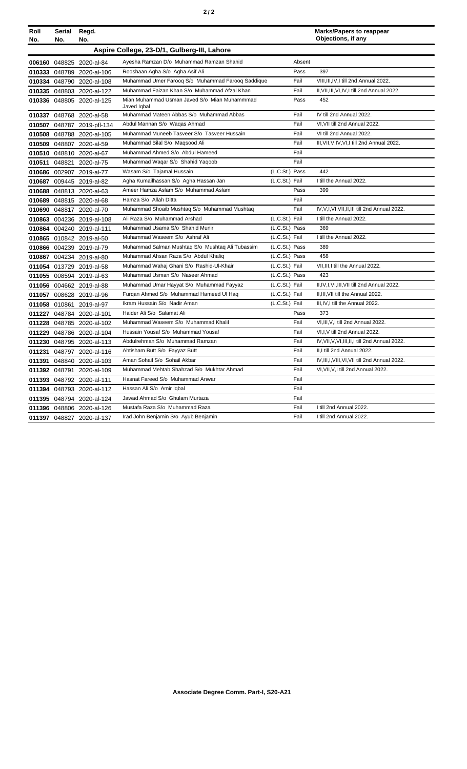|--|--|

| Roll<br>No. | Serial<br>No. | Regd.<br>No.               |                                                             |                |        | <b>Marks/Papers to reappear</b><br>Objections, if any |
|-------------|---------------|----------------------------|-------------------------------------------------------------|----------------|--------|-------------------------------------------------------|
|             |               |                            | Aspire College, 23-D/1, Gulberg-III, Lahore                 |                |        |                                                       |
|             |               | 006160 048825 2020-al-84   | Ayesha Ramzan D/o Muhammad Ramzan Shahid                    |                | Absent |                                                       |
|             |               | 010333 048789 2020-al-106  | Rooshaan Agha S/o Agha Asif Ali                             |                | Pass   | 397                                                   |
|             |               | 010334 048790 2020-al-108  | Muhammad Umer Farooq S/o Muhammad Farooq Saddique           |                | Fail   | VIII, III, IV, I till 2nd Annual 2022.                |
|             |               | 010335 048803 2020-al-122  | Muhammad Faizan Khan S/o Muhammad Afzal Khan                |                | Fail   | II, VII, III, VI, IV, I till 2nd Annual 2022.         |
|             |               | 010336 048805 2020-al-125  | Mian Muhammad Usman Javed S/o Mian Muhammmad<br>Javed Igbal |                | Pass   | 452                                                   |
|             |               | 010337 048768 2020-al-58   | Muhammad Mateen Abbas S/o Muhammad Abbas                    |                | Fail   | IV till 2nd Annual 2022.                              |
|             |               | 010507 048787 2019-pfl-134 | Abdul Mannan S/o Waqas Ahmad                                |                | Fail   | VI, VII till 2nd Annual 2022.                         |
|             |               | 010508 048788 2020-al-105  | Muhammad Muneeb Tasveer S/o Tasveer Hussain                 |                | Fail   | VI till 2nd Annual 2022.                              |
|             |               | 010509 048807 2020-al-59   | Muhammad Bilal S/o Magsood Ali                              |                | Fail   | III, VII, V, IV, VI, I till 2nd Annual 2022.          |
|             |               | 010510 048810 2020-al-67   | Muhammad Ahmed S/o Abdul Hameed                             |                | Fail   |                                                       |
| 010511      | 048821        | 2020-al-75                 | Muhammad Waqar S/o Shahid Yaqoob                            |                | Fail   |                                                       |
|             |               | 010686 002907 2019-al-77   | Wasam S/o Tajamal Hussain                                   | (L.C.St.) Pass |        | 442                                                   |
|             |               | 010687 009445 2019-al-82   | Agha Kumailhassan S/o Agha Hassan Jan                       | (L.C.St.) Fail |        | I till the Annual 2022.                               |
|             |               | 010688 048813 2020-al-63   | Ameer Hamza Aslam S/o Muhammad Aslam                        |                | Pass   | 399                                                   |
|             |               | 010689 048815 2020-al-68   | Hamza S/o Allah Ditta                                       |                | Fail   |                                                       |
|             |               | 010690 048817 2020-al-70   | Muhammad Shoaib Mushtag S/o Muhammad Mushtag                |                | Fail   | IV, V, I, VI, VII, II, III till 2nd Annual 2022.      |
|             |               | 010863 004236 2019-al-108  | Ali Raza S/o Muhammad Arshad                                | (L.C.St.) Fail |        | I till the Annual 2022.                               |
|             |               | 010864 004240 2019-al-111  | Muhammad Usama S/o Shahid Munir                             | (L.C.St.) Pass |        | 369                                                   |
|             |               | 010865 010842 2019-al-50   | Muhammad Waseem S/o Ashraf Ali                              | (L.C.St.) Fail |        | I till the Annual 2022.                               |
|             |               | 010866 004239 2019-al-79   | Muhammad Salman Mushtaq S/o Mushtaq Ali Tubassim            | (L.C.St.) Pass |        | 389                                                   |
|             |               | 010867 004234 2019-al-80   | Muhammad Ahsan Raza S/o Abdul Khaliq                        | (L.C.St.) Pass |        | 458                                                   |
|             |               | 011054 013729 2019-al-58   | Muhammad Wahaj Ghani S/o Rashid-Ul-Khair                    | (L.C.St.) Fail |        | VII, III, I till the Annual 2022.                     |
|             |               | 011055 008594 2019-al-63   | Muhammad Usman S/o Naseer Ahmad                             | (L.C.St.) Pass |        | 423                                                   |
|             |               | 011056 004662 2019-al-88   | Muhammad Umar Hayyat S/o Muhammad Fayyaz                    | (L.C.St.) Fail |        | II, IV, I, VI, III, VII till 2nd Annual 2022.         |
|             |               | 011057 008628 2019-al-96   | Furgan Ahmed S/o Muhammad Hameed UI Hag                     | (L.C.St.) Fail |        | II, III, VII till the Annual 2022.                    |
|             |               | 011058 010861 2019-al-97   | Ikram Hussain S/o Nadir Aman                                | (L.C.St.) Fail |        | III, IV, I till the Annual 2022.                      |
|             |               | 011227 048784 2020-al-101  | Haider Ali S/o Salamat Ali                                  |                | Pass   | 373                                                   |
|             |               | 011228 048785 2020-al-102  | Muhammad Waseem S/o Muhammad Khalil                         |                | Fail   | VI, III, V, I till 2nd Annual 2022.                   |
|             |               | 011229 048786 2020-al-104  | Hussain Yousaf S/o Muhammad Yousaf                          |                | Fail   | VI,I, V till 2nd Annual 2022.                         |
|             |               | 011230 048795 2020-al-113  | Abdulrehman S/o Muhammad Ramzan                             |                | Fail   | IV, VII, V, VI, III, II, I till 2nd Annual 2022.      |
|             |               | 011231 048797 2020-al-116  | Ahtisham Butt S/o Fayyaz Butt                               |                | Fail   | II,I till 2nd Annual 2022.                            |
| 011391      |               | 048840 2020-al-103         | Aman Sohail S/o Sohail Akbar                                |                | Fail   | IV, III, I, VIII, VI, VII till 2nd Annual 2022.       |
|             |               | 011392 048791 2020-al-109  | Muhammad Mehtab Shahzad S/o Mukhtar Ahmad                   |                | Fail   | VI, VII, V, I till 2nd Annual 2022.                   |
|             |               | 011393 048792 2020-al-111  | Hasnat Fareed S/o Muhammad Anwar                            |                | Fail   |                                                       |
|             |               | 011394 048793 2020-al-112  | Hassan Ali S/o Amir Iqbal                                   |                | Fail   |                                                       |
|             |               | 011395 048794 2020-al-124  | Jawad Ahmad S/o Ghulam Murtaza                              |                | Fail   |                                                       |
|             |               | 011396 048806 2020-al-126  | Mustafa Raza S/o Muhammad Raza                              |                | Fail   | I till 2nd Annual 2022.                               |
|             |               | 011397 048827 2020-al-137  | Irad John Benjamin S/o Ayub Benjamin                        |                | Fail   | I till 2nd Annual 2022.                               |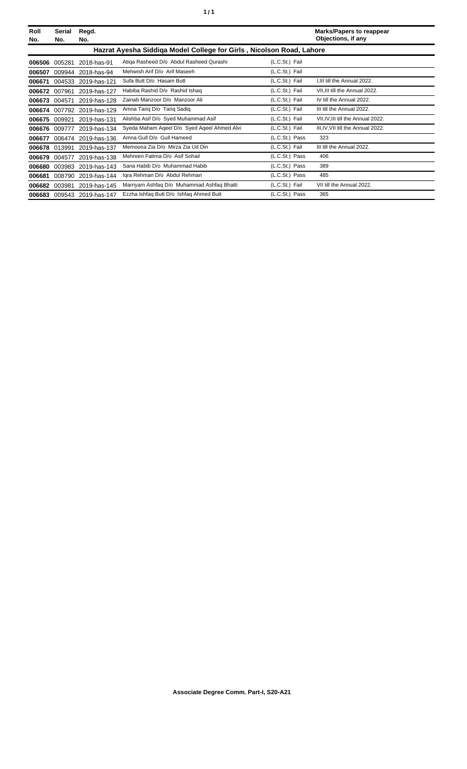| í<br>٠ |
|--------|
|--------|

| Roll<br>No. | Serial<br>No. | Regd.<br>No.        |                                                                      |                | <b>Marks/Papers to reappear</b><br>Objections, if any |
|-------------|---------------|---------------------|----------------------------------------------------------------------|----------------|-------------------------------------------------------|
|             |               |                     | Hazrat Ayesha Siddiga Model College for Girls, Nicolson Road, Lahore |                |                                                       |
| 006506      | 005281        | 2018-has-91         | Atiga Rasheed D/o Abdul Rasheed Qurashi                              | (L.C.St.) Fail |                                                       |
| 006507      | 009944        | 2018-has-94         | Mehwish Arif D/o Arif Maseeh                                         | (L.C.St.) Fail |                                                       |
| 006671      | 004533        | 2019-has-121        | Sufa Butt D/o Hasam Butt                                             | (L.C.St.) Fail | I.III till the Annual 2022.                           |
| 006672      | 007961        | 2019-has-127        | Habiba Rashid D/o Rashid Ishaq                                       | (L.C.St.) Fail | VII, III till the Annual 2022.                        |
| 006673      | 004571        | 2019-has-128        | Zainab Manzoor D/o Manzoor Ali                                       | (L.C.St.) Fail | IV till the Annual 2022.                              |
| 006674      |               | 007792 2019-has-129 | Amna Tariq D/o Tariq Sadiq                                           | (L.C.St.) Fail | III till the Annual 2022.                             |
| 006675      | 009921        | 2019-has-131        | Alishba Asif D/o Syed Muhammad Asif                                  | (L.C.St.) Fail | VII, IV, III till the Annual 2022.                    |
| 006676      | 009777        | 2019-has-134        | Syeda Maham Ageel D/o Syed Ageel Ahmed Alvi                          | (L.C.St.) Fail | III, IV, VII till the Annual 2022.                    |
| 006677      | 006474        | 2019-has-136        | Amna Gull D/o Gull Hameed                                            | (L.C.St.) Pass | 323                                                   |
| 006678      | 013991        | 2019-has-137        | Memoona Zia D/o Mirza Zia Ud Din                                     | (L.C.St.) Fail | III till the Annual 2022.                             |
| 006679      | 004577        | 2019-has-138        | Mehreen Fatima D/o Asif Sohail                                       | (L.C.St.) Pass | 406                                                   |
| 006680      | 003983        | 2019-has-143        | Sana Habib D/o Muhammad Habib                                        | (L.C.St.) Pass | 389                                                   |
| 006681      | 008790        | 2019-has-144        | Iqra Rehman D/o Abdul Rehman                                         | (L.C.St.) Pass | 485                                                   |
| 006682      | 003981        | 2019-has-145        | Marriyam Ashfaq D/o Muhammad Ashfaq Bhatti                           | (L.C.St.) Fail | VII till the Annual 2022.                             |
| 006683      |               | 009543 2019-has-147 | Ezzha Ishfaq Butt D/o Ishfaq Ahmed Butt                              | (L.C.St.) Pass | 365                                                   |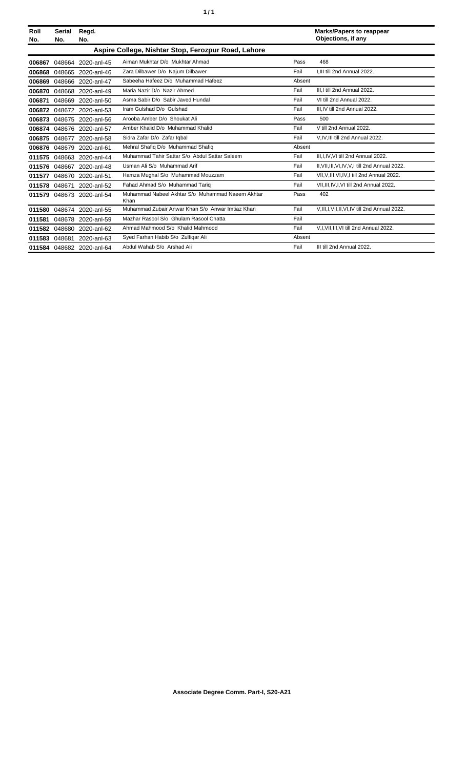| Roll<br>No. | Serial<br>No. | Regd.<br>No.              |                                                          |        | <b>Marks/Papers to reappear</b><br>Objections, if any |
|-------------|---------------|---------------------------|----------------------------------------------------------|--------|-------------------------------------------------------|
|             |               |                           | Aspire College, Nishtar Stop, Ferozpur Road, Lahore      |        |                                                       |
| 006867      | 048664        | 2020-anl-45               | Aiman Mukhtar D/o Mukhtar Ahmad                          | Pass   | 468                                                   |
| 006868      |               | 048665 2020-anl-46        | Zara Dilbawer D/o Najum Dilbawer                         | Fail   | I, III till 2nd Annual 2022.                          |
| 006869      |               | 048666 2020-anl-47        | Sabeeha Hafeez D/o Muhammad Hafeez                       | Absent |                                                       |
| 006870      |               | 048668 2020-anl-49        | Maria Nazir D/o Nazir Ahmed                              | Fail   | III.I till 2nd Annual 2022.                           |
| 006871      |               | 048669 2020-anl-50        | Asma Sabir D/o Sabir Javed Hundal                        | Fail   | VI till 2nd Annual 2022.                              |
| 006872      |               | 048672 2020-anl-53        | Iram Gulshad D/o Gulshad                                 | Fail   | III.IV till 2nd Annual 2022.                          |
| 006873      |               | 048675 2020-anl-56        | Arooba Amber D/o Shoukat Ali                             | Pass   | 500                                                   |
| 006874      |               | 048676 2020-anl-57        | Amber Khalid D/o Muhammad Khalid                         | Fail   | V till 2nd Annual 2022.                               |
| 006875      | 048677        | 2020-anl-58               | Sidra Zafar D/o Zafar Igbal                              | Fail   | V,IV,III till 2nd Annual 2022.                        |
| 006876      | 048679        | 2020-anl-61               | Mehral Shafiq D/o Muhammad Shafiq                        | Absent |                                                       |
| 011575      |               | 048663 2020-anl-44        | Muhammad Tahir Sattar S/o Abdul Sattar Saleem            | Fail   | III, I, IV, VI till 2nd Annual 2022.                  |
| 011576      |               | 048667 2020-anl-48        | Usman Ali S/o Muhammad Arif                              | Fail   | II, VII, III, VI, IV, V, I till 2nd Annual 2022.      |
| 011577      |               | 048670 2020-anl-51        | Hamza Mughal S/o Muhammad Mouzzam                        | Fail   | VII, V, III, VI, IV, I till 2nd Annual 2022.          |
| 011578      | 048671        | 2020-anl-52               | Fahad Ahmad S/o Muhammad Tarig                           | Fail   | VII, III, IV, I, VI till 2nd Annual 2022.             |
| 011579      |               | 048673 2020-anl-54        | Muhammad Nabeel Akhtar S/o Muhammad Naeem Akhtar<br>Khan | Pass   | 402                                                   |
| 011580      |               | 048674 2020-anl-55        | Muhammad Zubair Anwar Khan S/o Anwar Imtiaz Khan         | Fail   | V, III, I, VII, II, VI, IV till 2nd Annual 2022.      |
| 011581      |               | 048678 2020-anl-59        | Mazhar Rasool S/o Ghulam Rasool Chatta                   | Fail   |                                                       |
| 011582      |               | 048680 2020-anl-62        | Ahmad Mahmood S/o Khalid Mahmood                         | Fail   | V,I, VII, III, VI till 2nd Annual 2022.               |
| 011583      | 048681        | 2020-anl-63               | Syed Farhan Habib S/o Zulfigar Ali                       | Absent |                                                       |
|             |               | 011584 048682 2020-anl-64 | Abdul Wahab S/o Arshad Ali                               | Fail   | III till 2nd Annual 2022.                             |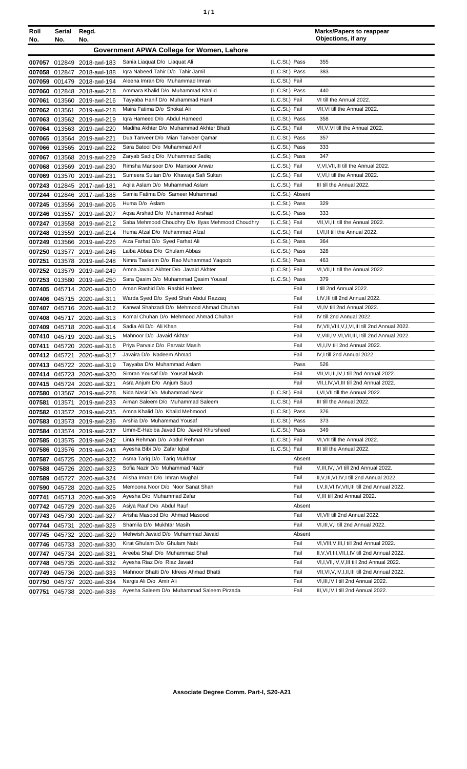| Roll<br>No. | Serial<br>No. | Regd.<br>No.                               |                                                              |                  | <b>Marks/Papers to reappear</b><br>Objections, if any |
|-------------|---------------|--------------------------------------------|--------------------------------------------------------------|------------------|-------------------------------------------------------|
|             |               |                                            | Government APWA College for Women, Lahore                    |                  |                                                       |
|             |               | 007057 012849 2018-awl-183                 | Sania Liaquat D/o Liaquat Ali                                | (L.C.St.) Pass   | 355                                                   |
|             |               | 007058 012847 2018-awl-188                 | Igra Nabeed Tahir D/o Tahir Jamil                            | (L.C.St.) Pass   | 383                                                   |
|             |               | 007059 001479 2018-awl-194                 | Aleena Imran D/o Muhammad Imran                              | (L.C.St.) Fail   |                                                       |
|             |               | 007060 012848 2018-awl-218                 | Ammara Khalid D/o Muhammad Khalid                            | (L.C.St.) Pass   | 440                                                   |
| 007061      | 013560        | 2019-awl-216                               | Tayyaba Hanif D/o Muhammad Hanif                             | (L.C.St.) Fail   | VI till the Annual 2022.                              |
|             | 007062 013561 | 2019-awl-218                               | Maira Fatima D/o Shokat Ali                                  | (L.C.St.) Fail   | VII.VI till the Annual 2022.                          |
| 007063      |               | 013562 2019-awl-219                        | Igra Hameed D/o Abdul Hameed                                 | (L.C.St.) Pass   | 358                                                   |
|             |               | 007064 013563 2019-awl-220                 | Madiha Akhter D/o Muhammad Akhter Bhatti                     | (L.C.St.) Fail   | VII, V, VI till the Annual 2022.                      |
|             |               | 007065 013564 2019-awl-221                 | Dua Tanveer D/o Mian Tanveer Qamar                           | (L.C.St.) Pass   | 357                                                   |
|             |               | 007066 013565 2019-awl-222                 | Sara Batool D/o Muhammad Arif                                | (L.C.St.) Pass   | 333                                                   |
|             |               | 007067 013568 2019-awl-229                 | Zaryab Sadiq D/o Muhammad Sadiq                              | (L.C.St.) Pass   | 347                                                   |
|             |               | 007068 013569 2019-awl-230                 | Rimsha Mansoor D/o Mansoor Anwar                             | (L.C.St.) Fail   | V.VI.VII.III till the Annual 2022.                    |
| 007069      |               | 013570 2019-awl-231                        | Sumeera Sultan D/o Khawaja Safi Sultan                       | (L.C.St.) Fail   | V, VI, I till the Annual 2022.                        |
|             |               | 007243 012845 2017-awl-181                 | Agila Aslam D/o Muhammad Aslam                               | (L.C.St.) Fail   | III till the Annual 2022.                             |
|             |               | 007244 012846 2017-awl-188                 | Samia Fatima D/o Sameer Muhammad                             | (L.C.St.) Absent |                                                       |
|             |               | 007245 013556 2019-awl-206                 | Huma D/o Aslam                                               | (L.C.St.) Pass   | 329                                                   |
|             |               | 007246 013557 2019-awl-207                 | Agsa Arshad D/o Muhammad Arshad                              | (L.C.St.) Pass   | 333                                                   |
|             |               | 007247 013558 2019-awl-212                 | Saba Mehmood Choudhry D/o Ilyas Mehmood Choudhry             | (L.C.St.) Fail   | VII, VI, III till the Annual 2022.                    |
|             |               | 007248 013559 2019-awl-214                 | Huma Afzal D/o Muhammad Afzal                                | (L.C.St.) Fail   | I, VI, II till the Annual 2022.                       |
|             |               | 007249 013566 2019-awl-226                 | Aiza Farhat D/o Syed Farhat Ali                              | (L.C.St.) Pass   | 364                                                   |
| 007250      | 013577        | 2019-awl-246                               | Laiba Abbas D/o Ghulam Abbas                                 | (L.C.St.) Pass   | 328                                                   |
| 007251      | 013578        | 2019-awl-248                               | Nimra Tasleem D/o Rao Muhammad Yaqoob                        | (L.C.St.) Pass   | 463                                                   |
|             | 007252 013579 | 2019-awl-249                               | Amna Javaid Akhter D/o Javaid Akhter                         | (L.C.St.) Fail   | VI, VII, III till the Annual 2022.                    |
|             |               | 007253 013580 2019-awl-250                 | Sara Qasim D/o Muhammad Qasim Yousaf                         | (L.C.St.) Pass   | 379                                                   |
|             |               | 007405 045714 2020-awl-310                 | Aman Rashid D/o Rashid Hafeez                                | Fail             | I till 2nd Annual 2022.                               |
|             |               | 007406 045715 2020-awl-311                 | Warda Syed D/o Syed Shah Abdul Razzaq                        | Fail             | I,IV,III till 2nd Annual 2022.                        |
|             |               | 007407 045716 2020-awl-312                 | Kanwal Shahzadi D/o Mehmood Ahmad Chuhan                     | Fail             | VI,IV till 2nd Annual 2022.                           |
| 007408      |               | 045717 2020-awl-313                        | Komal Chuhan D/o Mehmood Ahmad Chuhan                        | Fail             | IV till 2nd Annual 2022.                              |
| 007409      |               | 045718 2020-awl-314                        | Sadia Ali D/o Ali Khan                                       | Fail             | IV, VII, VIII, V, I, VI, III till 2nd Annual 2022.    |
|             |               | 007410 045719 2020-awl-315                 | Mahnoor D/o Javaid Akhtar                                    | Fail             | V, VIII, IV, VI, VII, III, I till 2nd Annual 2022.    |
|             |               | 007411 045720 2020-awl-316                 | Priya Parvaiz D/o Parvaiz Masih                              | Fail             | VI, I, IV till 2nd Annual 2022.                       |
|             |               | 007412 045721 2020-awl-317                 | Javaira D/o Nadeem Ahmad                                     | Fail<br>Pass     | IV, I till 2nd Annual 2022.                           |
|             |               | 007413 045722 2020-awl-319                 | Tayyaba D/o Muhammad Aslam<br>Simran Yousaf D/o Yousaf Masih | Fail             | 526<br>VII, VI, III, IV, I till 2nd Annual 2022.      |
|             |               | 007414 045723 2020-awl-320                 | Asra Anjum D/o Anjum Saud                                    | Fail             | VII, I, IV, VI, III till 2nd Annual 2022.             |
|             | 007580 013567 | 007415 045724 2020-awl-321<br>2019-awl-228 | Nida Nasir D/o Muhammad Nasir                                | (L.C.St.) Fail   | I, VI, VII till the Annual 2022.                      |
| 007581      | 013571        | 2019-awl-233                               | Aiman Saleem D/o Muhammad Saleem                             | (L.C.St.) Fail   | III till the Annual 2022.                             |
|             | 007582 013572 | 2019-awl-235                               | Amna Khalid D/o Khalid Mehmood                               | (L.C.St.) Pass   | 376                                                   |
|             | 007583 013573 | 2019-awl-236                               | Arshia D/o Muhammad Yousaf                                   | (L.C.St.) Pass   | 373                                                   |
|             | 007584 013574 | 2019-awl-237                               | Umm-E-Habiba Javed D/o Javed Khursheed                       | (L.C.St.) Pass   | 349                                                   |
|             |               | 007585 013575 2019-awl-242                 | Linta Rehman D/o Abdul Rehman                                | (L.C.St.) Fail   | VI, VII till the Annual 2022.                         |
|             |               | 007586 013576 2019-awl-243                 | Ayesha Bibi D/o Zafar Iqbal                                  | (L.C.St.) Fail   | III till the Annual 2022.                             |
|             |               | 007587 045725 2020-awl-322                 | Asma Tariq D/o Tariq Mukhtar                                 | Absent           |                                                       |
| 007588      |               | 045726 2020-awl-323                        | Sofia Nazir D/o Muhammad Nazir                               | Fail             | V, III, IV, I, VI till 2nd Annual 2022.               |
| 007589      |               | 045727 2020-awl-324                        | Alisha Imran D/o Imran Mughal                                | Fail             | II, V, III, VI, IV, I till 2nd Annual 2022.           |
|             |               | 007590 045728 2020-awl-325                 | Memoona Noor D/o Noor Sanat Shah                             | Fail             | I, V, II, VI, IV, VII, III till 2nd Annual 2022.      |
| 007741      |               | 045713 2020-awl-309                        | Ayesha D/o Muhammad Zafar                                    | Fail             | V, III till 2nd Annual 2022.                          |
|             |               | 007742 045729 2020-awl-326                 | Asiya Rauf D/o Abdul Rauf                                    | Absent           |                                                       |
|             |               | 007743 045730 2020-awl-327                 | Arisha Masood D/o Ahmad Masood                               | Fail             | VI, VII till 2nd Annual 2022.                         |
|             | 007744 045731 | 2020-awl-328                               | Shamila D/o Mukhtar Masih                                    | Fail             | VI, III, V, I till 2nd Annual 2022.                   |
|             |               | 007745 045732 2020-awl-329                 | Mehwish Javaid D/o Muhammad Javaid                           | Absent           |                                                       |
|             |               | 007746 045733 2020-awl-330                 | Kirat Ghulam D/o Ghulam Nabi                                 | Fail             | VI, VIII, V, III, I till 2nd Annual 2022.             |
|             | 007747 045734 | 2020-awl-331                               | Areeba Shafi D/o Muhammad Shafi                              | Fail             | II, V, VI, III, VII, I, IV till 2nd Annual 2022.      |
|             |               | 007748 045735 2020-awl-332                 | Ayesha Riaz D/o Riaz Javaid                                  | Fail             | VI, I, VII, IV, V, III till 2nd Annual 2022.          |
|             |               | 007749 045736 2020-awl-333                 | Mahnoor Bhatti D/o Idrees Ahmad Bhatti                       | Fail             | VII, VI, V, IV, I, II, III till 2nd Annual 2022.      |
|             |               | 007750 045737 2020-awl-334                 | Nargis Ali D/o Amir Ali                                      | Fail             | VI, III, IV, I till 2nd Annual 2022.                  |
|             |               | 007751 045738 2020-awl-338                 | Ayesha Saleem D/o Muhammad Saleem Pirzada                    | Fail             | III, VI, IV, I till 2nd Annual 2022.                  |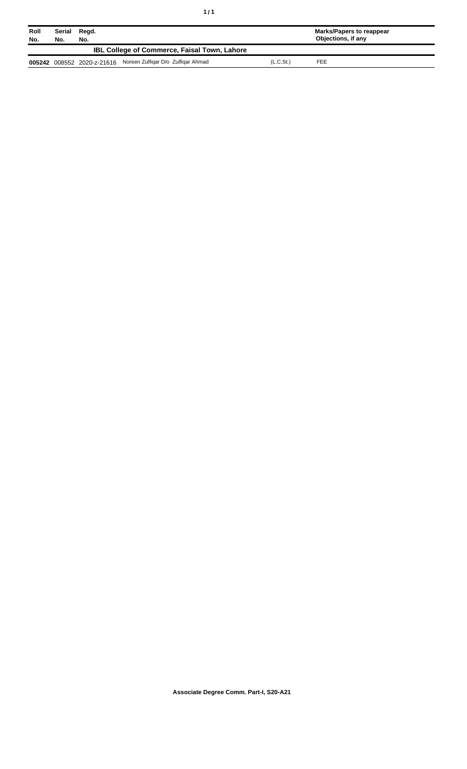| Roll<br>No. | Serial<br>No.                                       | Regd.<br>No. |                                                               |                       | Marks/Papers to reappear<br>Objections, if any |  |
|-------------|-----------------------------------------------------|--------------|---------------------------------------------------------------|-----------------------|------------------------------------------------|--|
|             | <b>IBL College of Commerce, Faisal Town, Lahore</b> |              |                                                               |                       |                                                |  |
|             |                                                     |              | 005242 008552 2020-z-21616 Noreen Zulfiqar D/o Zulfiqar Ahmad | (L.C.S <sub>t</sub> ) | FEE                                            |  |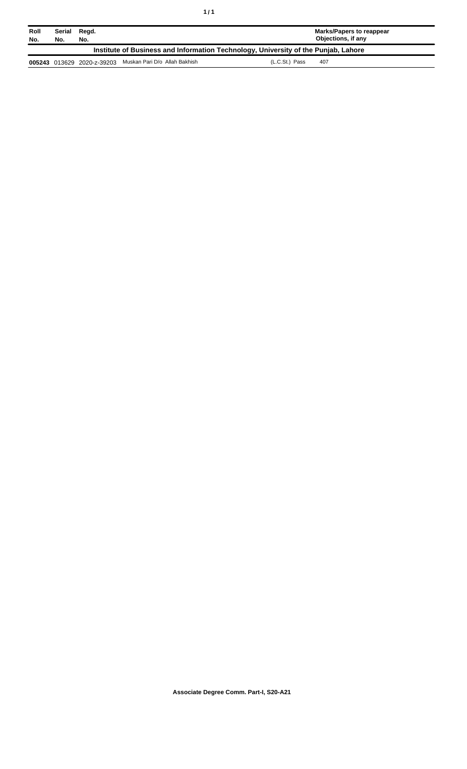| Roll<br>No.                                                                        | Serial<br>No. | Regd.<br>No.               |                               | Marks/Papers to reappear<br>Objections, if any |
|------------------------------------------------------------------------------------|---------------|----------------------------|-------------------------------|------------------------------------------------|
| Institute of Business and Information Technology, University of the Punjab, Lahore |               |                            |                               |                                                |
|                                                                                    |               | 005243 013629 2020-z-39203 | Muskan Pari D/o Allah Bakhish | (L.C.St.) Pass<br>407                          |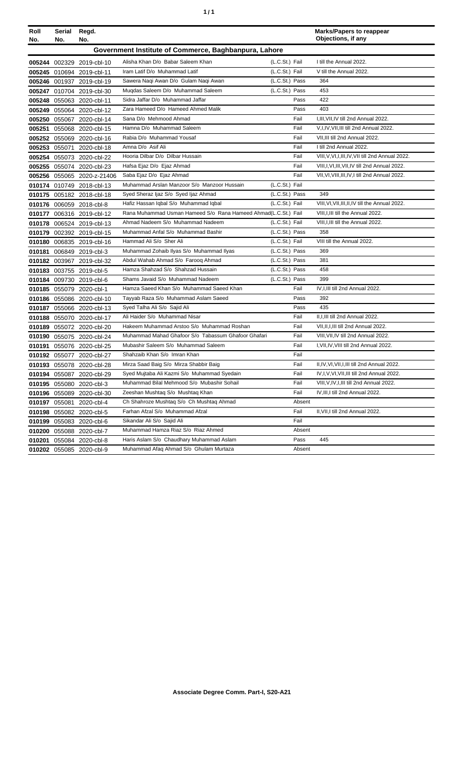| ٠ | ٠ |
|---|---|
|   |   |

| Roll<br>No. | Serial<br>No. | Regd.<br>No.               |                                                                |                |        | <b>Marks/Papers to reappear</b><br>Objections, if any |
|-------------|---------------|----------------------------|----------------------------------------------------------------|----------------|--------|-------------------------------------------------------|
|             |               |                            | Government Institute of Commerce, Baghbanpura, Lahore          |                |        |                                                       |
|             |               |                            |                                                                |                |        |                                                       |
|             |               | 005244 002329 2019-cbl-10  | Alisha Khan D/o Babar Saleem Khan                              | (L.C.St.) Fail |        | I till the Annual 2022.                               |
|             |               | 005245 010694 2019-cbl-11  | Iram Latif D/o Muhammad Latif                                  | (L.C.St.) Fail |        | V till the Annual 2022.                               |
|             |               | 005246 001937 2019-cbl-19  | Sawera Naqi Awan D/o Gulam Naqi Awan                           | (L.C.St.) Pass |        | 364                                                   |
|             |               | 005247 010704 2019-cbl-30  | Mugdas Saleem D/o Muhammad Saleem                              | (L.C.St.) Pass |        | 453                                                   |
|             |               | 005248 055063 2020-cbl-11  | Sidra Jaffar D/o Muhammad Jaffar                               |                | Pass   | 422                                                   |
|             |               | 005249 055064 2020-cbl-12  | Zara Hameed D/o Hameed Ahmed Malik                             |                | Pass   | 403                                                   |
|             |               | 005250 055067 2020-cbl-14  | Sana D/o Mehmood Ahmad                                         |                | Fail   | I, III, VII, IV till 2nd Annual 2022.                 |
|             |               | 005251 055068 2020-cbl-15  | Hamna D/o Muhammad Saleem                                      |                | Fail   | V,I,IV, VII, III till 2nd Annual 2022.                |
|             |               | 005252 055069 2020-cbl-16  | Rabia D/o Muhammad Yousaf                                      |                | Fail   | VII, III till 2nd Annual 2022.                        |
|             |               | 005253 055071 2020-cbl-18  | Amna D/o Asif Ali                                              |                | Fail   | I till 2nd Annual 2022.                               |
|             |               | 005254 055073 2020-cbl-22  | Hooria Dilbar D/o Dilbar Hussain                               |                | Fail   | VIII, V, VI, I, III, IV, VII till 2nd Annual 2022.    |
|             |               | 005255 055074 2020-cbl-23  | Hafsa Ejaz D/o Ejaz Ahmad                                      |                | Fail   | VIII, I, VI, III, VII, IV till 2nd Annual 2022.       |
|             |               | 005256 055065 2020-z-21406 | Saba Ejaz D/o Ejaz Ahmad                                       |                | Fail   | VII, VI, VIII, III, IV, I till 2nd Annual 2022.       |
|             |               | 010174 010749 2018-cbl-13  | Muhammad Arslan Manzoor S/o Manzoor Hussain                    | (L.C.St.) Fail |        |                                                       |
|             |               | 010175 005182 2018-cbl-18  | Syed Sheraz Ijaz S/o Syed Ijaz Ahmad                           | (L.C.St.) Pass |        | 349                                                   |
|             |               | 010176 006059 2018-cbl-8   | Hafiz Hassan Iqbal S/o Muhammad Iqbal                          | (L.C.St.) Fail |        | VIII, VI, VII, III, II, IV till the Annual 2022.      |
|             |               | 010177 006316 2019-cbl-12  | Rana Muhammad Usman Hameed S/o Rana Hameed Ahmad(L.C.St.) Fail |                |        | VIII, I, III till the Annual 2022.                    |
|             |               | 010178 006524 2019-cbl-13  | Ahmad Nadeem S/o Muhammad Nadeem                               | (L.C.St.) Fail |        | VIII, I, III till the Annual 2022.                    |
|             |               | 010179 002392 2019-cbl-15  | Muhammad Anfal S/o Muhammad Bashir                             | (L.C.St.) Pass |        | 358                                                   |
|             |               | 010180 006835 2019-cbl-16  | Hammad Ali S/o Sher Ali                                        | (L.C.St.) Fail |        | VIII till the Annual 2022.                            |
|             |               | 010181 006849 2019-cbl-3   | Muhammad Zohaib Ilyas S/o Muhammad Ilyas                       | (L.C.St.) Pass |        | 369                                                   |
|             |               | 010182 003967 2019-cbl-32  | Abdul Wahab Ahmad S/o Farooq Ahmad                             | (L.C.St.) Pass |        | 381                                                   |
|             |               | 010183 003755 2019-cbl-5   | Hamza Shahzad S/o Shahzad Hussain                              | (L.C.St.) Pass |        | 458                                                   |
|             |               | 010184 009730 2019-cbl-6   | Shams Javaid S/o Muhammad Nadeem                               | (L.C.St.) Pass |        | 399                                                   |
|             |               | 010185 055079 2020-cbl-1   | Hamza Saeed Khan S/o Muhammad Saeed Khan                       |                | Fail   | IV, I, III till 2nd Annual 2022.                      |
|             |               | 010186 055086 2020-cbl-10  | Tayyab Raza S/o Muhammad Aslam Saeed                           |                | Pass   | 392                                                   |
|             |               | 010187 055066 2020-cbl-13  | Syed Talha Ali S/o Sajid Ali                                   |                | Pass   | 435                                                   |
|             |               | 010188 055070 2020-cbl-17  | Ali Haider S/o Muhammad Nisar                                  |                | Fail   | II, I, III till 2nd Annual 2022.                      |
|             |               | 010189 055072 2020-cbl-20  | Hakeem Muhammad Arstoo S/o Muhammad Roshan                     |                | Fail   | VII, II, III till 2nd Annual 2022.                    |
|             |               | 010190 055075 2020-cbl-24  | Muhammad Mahad Ghafoor S/o Tabassum Ghafoor Ghafari            |                | Fail   | VIII, VII, IV till 2nd Annual 2022.                   |
|             |               | 010191 055076 2020-cbl-25  | Mubashir Saleem S/o Muhammad Saleem                            |                | Fail   | I, VII, IV, VIII till 2nd Annual 2022.                |
|             |               | 010192 055077 2020-cbl-27  | Shahzaib Khan S/o Imran Khan                                   |                | Fail   |                                                       |
|             |               | 010193 055078 2020-cbl-28  | Mirza Saad Baig S/o Mirza Shabbir Baig                         |                | Fail   | II, IV, VI, VII, I, III till 2nd Annual 2022.         |
|             |               | 010194 055087 2020-cbl-29  | Syed Mujtaba Ali Kazmi S/o Muhammad Syedain                    |                | Fail   | IV, I, V, VI, VII, III till 2nd Annual 2022.          |
|             |               | 010195 055080 2020-cbl-3   | Muhammad Bilal Mehmood S/o Mubashir Sohail                     |                | Fail   | VIII, V, IV, I, III till 2nd Annual 2022.             |
|             |               | 010196 055089 2020-cbl-30  | Zeeshan Mushtaq S/o Mushtaq Khan                               |                | Fail   | IV, III, I till 2nd Annual 2022.                      |
|             | 010197 055081 | 2020-cbl-4                 | Ch Shahroze Mushtaq S/o Ch Mushtaq Ahmad                       |                | Absent |                                                       |
|             |               | 010198 055082 2020-cbl-5   | Farhan Afzal S/o Muhammad Afzal                                |                | Fail   | II, VII, I till 2nd Annual 2022.                      |
|             |               | 010199 055083 2020-cbl-6   | Sikandar Ali S/o Sajid Ali                                     |                | Fail   |                                                       |
|             |               | 010200 055088 2020-cbl-7   | Muhammad Hamza Riaz S/o Riaz Ahmed                             |                | Absent |                                                       |
| 010201      |               | 055084 2020-cbl-8          | Haris Aslam S/o Chaudhary Muhammad Aslam                       |                | Pass   | 445                                                   |
|             |               | 010202 055085 2020-cbl-9   | Muhammad Afaq Ahmad S/o Ghulam Murtaza                         |                | Absent |                                                       |
|             |               |                            |                                                                |                |        |                                                       |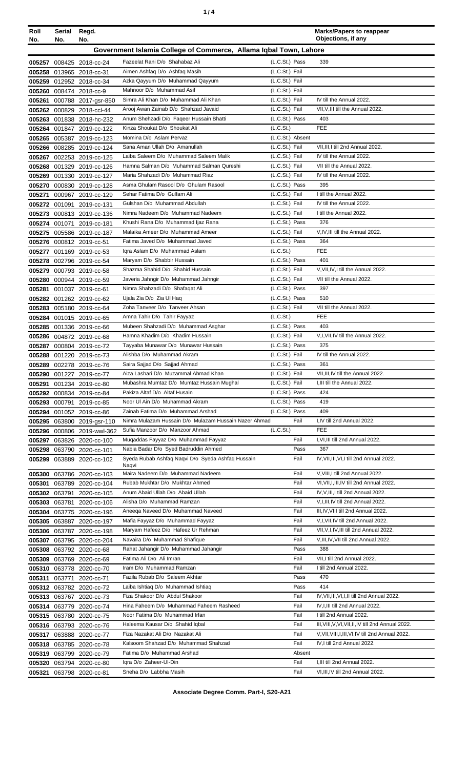| ٠ |  |  |
|---|--|--|
|---|--|--|

| Roll<br>No. | Serial<br>No. | Regd.<br>No.                                           |                                                                              |                                  | <b>Marks/Papers to reappear</b><br>Objections, if any |
|-------------|---------------|--------------------------------------------------------|------------------------------------------------------------------------------|----------------------------------|-------------------------------------------------------|
|             |               |                                                        | Government Islamia College of Commerce, Allama Iqbal Town, Lahore            |                                  |                                                       |
|             |               |                                                        |                                                                              |                                  |                                                       |
|             |               | 005257 008425 2018-cc-24                               | Fazeelat Rani D/o Shahabaz Ali<br>Aimen Ashfaq D/o Ashfaq Masih              | (L.C.St.) Pass<br>(L.C.St.) Fail | 339                                                   |
|             |               | 005258 013965 2018-cc-31<br>005259 012952 2018-cc-34   | Azka Qayyum D/o Muhammad Qayyum                                              | (L.C.St.) Fail                   |                                                       |
|             |               | 005260 008474 2018-cc-9                                | Mahnoor D/o Muhammad Asif                                                    | (L.C.St.) Fail                   |                                                       |
| 005261      |               | 000788 2017-gsr-850                                    | Simra Ali Khan D/o Muhammad Ali Khan                                         | (L.C.St.) Fail                   | IV till the Annual 2022.                              |
|             |               | 005262 000829 2018-ccl-44                              | Arooj Awan Zainab D/o Shahzad Javaid                                         | (L.C.St.) Fail                   | VII, V, III till the Annual 2022.                     |
|             |               | 005263 001838 2018-hc-232                              | Anum Shehzadi D/o Fageer Hussain Bhatti                                      | (L.C.St.) Pass                   | 403                                                   |
|             |               | 005264 001847 2019-cc-122                              | Kinza Shoukat D/o Shoukat Ali                                                | (L.C.St.)                        | <b>FEE</b>                                            |
|             |               | 005265 005387 2019-cc-123                              | Momina D/o Aslam Pervaz                                                      | (L.C.St.) Absent                 |                                                       |
|             |               | 005266 008285 2019-cc-124                              | Sana Aman Ullah D/o Amanullah                                                | (L.C.St.) Fail                   | VII, III, I till 2nd Annual 2022.                     |
|             |               | 005267 002253 2019-cc-125                              | Laiba Saleem D/o Muhammad Saleem Malik                                       | (L.C.St.) Fail                   | IV till the Annual 2022.                              |
|             |               | 005268 001329 2019-cc-126                              | Hamna Salman D/o Muhammad Salman Qureshi<br>Maria Shahzadi D/o Muhammad Riaz | (L.C.St.) Fail                   | VII till the Annual 2022.                             |
|             |               | 005269 001330 2019-cc-127                              | Asma Ghulam Rasool D/o Ghulam Rasool                                         | (L.C.St.) Fail<br>(L.C.St.) Pass | IV till the Annual 2022.<br>395                       |
| 005271      |               | 005270 000830 2019-cc-128<br>000967 2019-cc-129        | Sehar Fatima D/o Gulfam Ali                                                  | (L.C.St.) Fail                   | I till the Annual 2022.                               |
|             |               | 005272 001091 2019-cc-131                              | Gulshan D/o Muhammad Abdullah                                                | (L.C.St.) Fail                   | IV till the Annual 2022.                              |
|             |               | 005273 000813 2019-cc-136                              | Nimra Nadeem D/o Muhammad Nadeem                                             | (L.C.St.) Fail                   | I till the Annual 2022.                               |
|             |               | 005274 001071 2019-cc-181                              | Khushi Rana D/o Muhammad Ijaz Rana                                           | (L.C.St.) Pass                   | 376                                                   |
|             |               | 005275 005586 2019-cc-187                              | Malaika Ameer D/o Muhammad Ameer                                             | (L.C.St.) Fail                   | V, IV, III till the Annual 2022.                      |
|             |               | 005276 000812 2019-cc-51                               | Fatima Javed D/o Muhammad Javed                                              | (L.C.St.) Pass                   | 364                                                   |
|             |               | 005277 001169 2019-cc-53                               | Igra Aslam D/o Muhammad Aslam                                                | (L.C.St.)                        | <b>FEE</b>                                            |
|             |               | 005278 002796 2019-cc-54                               | Maryam D/o Shabbir Hussain                                                   | (L.C.St.) Pass                   | 401                                                   |
|             |               | 005279 000793 2019-cc-58                               | Shazma Shahid D/o Shahid Hussain                                             | (L.C.St.) Fail                   | V, VII, IV, I till the Annual 2022.                   |
|             |               | 005280 000944 2019-cc-59                               | Javeria Jahngir D/o Muhammad Jahngir                                         | (L.C.St.) Fail                   | VII till the Annual 2022.                             |
|             |               | 005281 001037 2019-cc-61                               | Nimra Shahzadi D/o Shafaqat Ali                                              | (L.C.St.) Pass                   | 397<br>510                                            |
|             |               | 005282 001262 2019-cc-62<br>005283 005180 2019-cc-64   | Ujala Zia D/o Zia Ul Haq<br>Zoha Tanveer D/o Tanveer Ahsan                   | (L.C.St.) Pass<br>(L.C.St.) Fail | VII till the Annual 2022.                             |
|             |               | 005284 001015 2019-cc-65                               | Amna Tahir D/o Tahir Fayyaz                                                  | (L.C.S <sub>t</sub> )            | <b>FEE</b>                                            |
|             |               | 005285 001336 2019-cc-66                               | Mubeen Shahzadi D/o Muhammad Asghar                                          | (L.C.St.) Pass                   | 403                                                   |
|             |               | 005286 004872 2019-cc-68                               | Hamna Khadim D/o Khadim Hussain                                              | (L.C.St.) Fail                   | V,I, VII, IV till the Annual 2022.                    |
|             |               | 005287 000804 2019-cc-72                               | Tayyaba Munawar D/o Munawar Hussain                                          | (L.C.St.) Pass                   | 375                                                   |
|             |               | 005288 001220 2019-cc-73                               | Alishba D/o Muhammad Akram                                                   | (L.C.St.) Fail                   | IV till the Annual 2022.                              |
|             |               | 005289 002278 2019-cc-76                               | Saira Sajjad D/o Sajjad Ahmad                                                | (L.C.St.) Pass                   | 361                                                   |
|             |               | 005290 001227 2019-cc-77                               | Aiza Lashari D/o Muzammal Ahmad Khan                                         | (L.C.St.) Fail                   | VII, III, IV till the Annual 2022.                    |
|             |               | 005291 001234 2019-cc-80                               | Mubashra Mumtaz D/o Mumtaz Hussain Mughal                                    | (L.C.St.) Fail                   | I, III till the Annual 2022.                          |
|             |               | 005292 000834 2019-cc-84                               | Pakiza Altaf D/o Altaf Husain                                                | (L.C.St.) Pass                   | 424                                                   |
|             |               | 005293 000791 2019-cc-85                               | Noor UI Ain D/o Muhammad Akram<br>Zainab Fatima D/o Muhammad Arshad          | (L.C.St.) Pass<br>(L.C.St.) Pass | 419<br>409                                            |
|             |               | 005294 001052 2019-cc-86<br>005295 063800 2019-gsr-110 | Nimra Mulazam Hussain D/o Mulazam Hussain Nazer Ahmad                        | Fail                             | I,IV till 2nd Annual 2022.                            |
|             |               | 005296 000806 2019-wwl-362                             | Sufia Manzoor D/o Manzoor Ahmad                                              | (L.C.St.)                        | <b>FEE</b>                                            |
|             |               | 005297 063826 2020-cc-100                              | Mugaddas Fayyaz D/o Muhammad Fayyaz                                          | Fail                             | I, VI, III till 2nd Annual 2022.                      |
|             |               | 005298 063790 2020-cc-101                              | Nabia Badar D/o Syed Badruddin Ahmed                                         | Pass                             | 367                                                   |
|             |               | 005299 063889 2020-cc-102                              | Syeda Rubab Ashfaq Naqvi D/o Syeda Ashfaq Hussain                            | Fail                             | IV, VII, III, VI, I till 2nd Annual 2022.             |
|             |               |                                                        | Naqvi<br>Maira Nadeem D/o Muhammad Nadeem                                    | Fail                             | V, VIII, I till 2nd Annual 2022.                      |
|             |               | 005300 063786 2020-cc-103<br>005301 063789 2020-cc-104 | Rubab Mukhtar D/o Mukhtar Ahmed                                              | Fail                             | VI, VII, I, III, IV till 2nd Annual 2022.             |
|             |               | 005302 063791 2020-cc-105                              | Anum Abaid Ullah D/o Abaid Ullah                                             | Fail                             | IV, V, III, I till 2nd Annual 2022.                   |
|             |               | 005303 063781 2020-cc-106                              | Alisha D/o Muhammad Ramzan                                                   | Fail                             | V, I, III, IV till 2nd Annual 2022.                   |
|             |               | 005304 063775 2020-cc-196                              | Aneega Naveed D/o Muhammad Naveed                                            | Fail                             | III, IV, VIII till 2nd Annual 2022.                   |
|             |               | 005305 063887 2020-cc-197                              | Mafia Fayyaz D/o Muhammad Fayyaz                                             | Fail                             | V,I, VII, IV till 2nd Annual 2022.                    |
|             |               | 005306 063787 2020-cc-198                              | Maryam Hafeez D/o Hafeez Ur Rehman                                           | Fail                             | VII, V, I, IV, III till 2nd Annual 2022.              |
|             |               | 005307 063795 2020-cc-204                              | Navaira D/o Muhammad Shafique                                                | Fail                             | V, III, IV, VII till 2nd Annual 2022.                 |
|             |               | 005308 063792 2020-cc-68                               | Rahat Jahangir D/o Muhammad Jahangir                                         | Pass                             | 388                                                   |
|             |               | 005309 063769 2020-cc-69                               | Fatima Ali D/o Ali Imran                                                     | Fail                             | VII, I till 2nd Annual 2022.                          |
|             |               | 005310 063778 2020-cc-70                               | Iram D/o Muhammad Ramzan                                                     | Fail                             | I till 2nd Annual 2022.                               |
|             |               | 005311 063771 2020-cc-71                               | Fazila Rubab D/o Saleem Akhtar<br>Laiba Ishtiaq D/o Muhammad Ishtiaq         | Pass<br>Pass                     | 470<br>414                                            |
|             |               | 005312 063782 2020-cc-72<br>005313 063767 2020-cc-73   | Fiza Shakoor D/o Abdul Shakoor                                               | Fail                             | IV, VII, III, VI, I, II till 2nd Annual 2022.         |
|             |               | 005314 063779 2020-cc-74                               | Hina Faheem D/o Muhammad Faheem Rasheed                                      | Fail                             | IV, I, III till 2nd Annual 2022.                      |
|             |               | 005315 063780 2020-cc-75                               | Noor Fatima D/o Muhammad Irfan                                               | Fail                             | I till 2nd Annual 2022.                               |
|             |               | 005316 063793 2020-cc-76                               | Haleema Kausar D/o Shahid Iqbal                                              | Fail                             | III, VIII, V, VI, VII, II, IV till 2nd Annual 2022.   |
|             |               | 005317 063888 2020-cc-77                               | Fiza Nazakat Ali D/o Nazakat Ali                                             | Fail                             | V, VII, VIII, I, III, VI, IV till 2nd Annual 2022.    |
|             |               | 005318 063785 2020-cc-78                               | Kalsoom Shahzad D/o Muhammad Shahzad                                         | Fail                             | IV, I till 2nd Annual 2022.                           |
|             |               | 005319 063799 2020-cc-79                               | Fatima D/o Muhammad Arshad                                                   | Absent                           |                                                       |
|             |               | 005320 063794 2020-cc-80                               | Igra D/o Zaheer-UI-Din                                                       | Fail                             | I, III till 2nd Annual 2022.                          |
|             |               | 005321 063798 2020-cc-81                               | Sneha D/o Labbha Masih                                                       | Fail                             | VI, III, IV till 2nd Annual 2022.                     |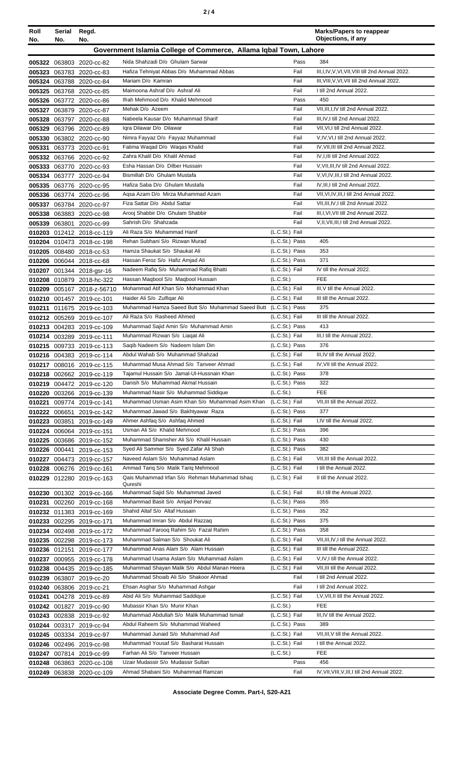|--|--|--|

| Roll<br>No.      | Serial<br>No. | Regd.<br>No.                             |                                                                                         |                                  | <b>Marks/Papers to reappear</b><br>Objections, if any        |
|------------------|---------------|------------------------------------------|-----------------------------------------------------------------------------------------|----------------------------------|--------------------------------------------------------------|
|                  |               |                                          | Government Islamia College of Commerce, Allama Iqbal Town, Lahore                       |                                  |                                                              |
|                  |               |                                          |                                                                                         |                                  | 384                                                          |
|                  |               | 005322 063803 2020-cc-82                 | Nida Shahzadi D/o Ghulam Sarwar<br>Hafiza Tehniyat Abbas D/o Muhammad Abbas             | Pass<br>Fail                     | III, I, IV, V, VI, VII, VIII till 2nd Annual 2022.           |
| 005323<br>005324 |               | 063783 2020-cc-83<br>063788 2020-cc-84   | Mariam D/o Kamran                                                                       | Fail                             | III, VIII, V, VI, VII till 2nd Annual 2022.                  |
| 005325           |               | 063768 2020-cc-85                        | Maimoona Ashraf D/o Ashraf Ali                                                          | Fail                             | I till 2nd Annual 2022.                                      |
| 005326           |               | 063772 2020-cc-86                        | Ifrah Mehmood D/o Khalid Mehmood                                                        | Pass                             | 450                                                          |
| 005327           |               | 063879 2020-cc-87                        | Mehak D/o Azeem                                                                         | Fail                             | VII, III, I, IV till 2nd Annual 2022.                        |
| 005328           |               | 063797 2020-cc-88                        | Nabeela Kausar D/o Muhammad Sharif                                                      | Fail                             | III, IV, I till 2nd Annual 2022.                             |
| 005329           |               | 063796 2020-cc-89                        | Igra Dilawar D/o Dilawar                                                                | Fail                             | VII, VI, I till 2nd Annual 2022.                             |
| 005330           |               | 063802 2020-cc-90                        | Nimra Fayyaz D/o Fayyaz Muhammad                                                        | Fail                             | V,IV,VI,I till 2nd Annual 2022.                              |
| 005331           |               | 063773 2020-cc-91                        | Fatima Waqad D/o Waqas Khalid                                                           | Fail                             | IV, VII, III till 2nd Annual 2022.                           |
| 005332           |               | 063766 2020-cc-92                        | Zahra Khalil D/o Khalil Ahmad                                                           | Fail                             | IV, I, III till 2nd Annual 2022.                             |
| 005333           |               | 063770 2020-cc-93                        | Esha Hassan D/o Dilber Hussain                                                          | Fail                             | V, VII, III, IV till 2nd Annual 2022.                        |
| 005334           |               | 063777 2020-cc-94                        | Bismillah D/o Ghulam Mustafa                                                            | Fail                             | V.VI.IV.III.I till 2nd Annual 2022.                          |
| 005335           |               | 063776 2020-cc-95                        | Hafiza Saba D/o Ghulam Mustafa                                                          | Fail                             | IV.III.I till 2nd Annual 2022.                               |
| 005336           |               | 063774 2020-cc-96                        | Agsa Azam D/o Mirza Muhammad Azam                                                       | Fail                             | VII, VI, IV, III, I till 2nd Annual 2022.                    |
| 005337           |               | 063784 2020-cc-97                        | Fiza Sattar D/o Abdul Sattar                                                            | Fail                             | VII, III, IV, I till 2nd Annual 2022.                        |
| 005338           |               | 063883 2020-cc-98                        | Arooj Shabbir D/o Ghulam Shabbir                                                        | Fail                             | III, I, VI, VII till 2nd Annual 2022.                        |
| 005339           |               | 063801 2020-cc-99                        | Sahrish D/o Shahzada                                                                    | Fail                             | V, II, VII, III, I till 2nd Annual 2022.                     |
| 010203           |               | 012412 2018-cc-119                       | Ali Raza S/o Muhammad Hanif                                                             | (L.C.St.) Fail                   |                                                              |
|                  |               | 010204 010473 2018-cc-198                | Rehan Subhani S/o Rizwan Murad<br>Hamza Shaukat S/o Shaukat Ali                         | (L.C.St.) Pass<br>(L.C.St.) Pass | 405<br>353                                                   |
| 010205<br>010206 |               | 008480 2018-cc-53                        | Hassan Feroz S/o Hafiz Amjad Ali                                                        | (L.C.St.) Pass                   | 371                                                          |
| 010207           |               | 006044 2018-cc-68<br>001344 2018-gsr-16  | Nadeem Rafiq S/o Muhammad Rafiq Bhatti                                                  | (L.C.St.) Fail                   | IV till the Annual 2022.                                     |
| 010208           |               | 010879 2018-hc-322                       | Hassan Maqbool S/o Maqbool Hussain                                                      | (L.C.St.)                        | <b>FEE</b>                                                   |
| 010209           |               | 005167 2018-z-56710                      | Mohammad Atif Khan S/o Mohammad Khan                                                    | (L.C.St.) Fail                   | III, V till the Annual 2022.                                 |
| 010210           |               | 001457 2019-cc-101                       | Haider Ali S/o Zulfiqar Ali                                                             | (L.C.St.) Fail                   | III till the Annual 2022.                                    |
| 010211           |               | 011675 2019-cc-103                       | Muhammad Hamza Saeed Butt S/o Muhammad Saeed Butt (L.C.St.) Pass                        |                                  | 375                                                          |
|                  |               | 010212 005269 2019-cc-107                | Ali Raza S/o Rasheed Ahmed                                                              | (L.C.St.) Fail                   | III till the Annual 2022.                                    |
|                  |               | 010213 004283 2019-cc-109                | Muhammad Sajid Amin S/o Muhammad Amin                                                   | (L.C.St.) Pass                   | 413                                                          |
|                  |               | 010214 003289 2019-cc-111                | Muhammad Rizwan S/o Liagat Ali                                                          | (L.C.St.) Fail                   | III, I till the Annual 2022.                                 |
|                  |               | 010215 009733 2019-cc-113                | Saqib Nadeem S/o Nadeem Islam Din                                                       | (L.C.St.) Pass                   | 376                                                          |
|                  |               | 010216 004383 2019-cc-114                | Abdul Wahab S/o Muhammad Shahzad                                                        | (L.C.St.) Fail                   | III.IV till the Annual 2022.                                 |
|                  |               | 010217 008016 2019-cc-115                | Muhammad Musa Ahmad S/o Tanveer Ahmad                                                   | (L.C.St.) Fail                   | IV, VII till the Annual 2022.                                |
|                  |               | 010218 002662 2019-cc-119                | Tajamul Hussain S/o Jamal-Ul-Hussnain Khan                                              | (L.C.St.) Pass                   | 378                                                          |
| 010219           |               | 004472 2019-cc-120                       | Danish S/o Muhammad Akmal Hussain                                                       | (L.C.St.) Pass                   | 322                                                          |
| 010220           |               | 003266 2019-cc-139                       | Muhammad Nasir S/o Muhammad Siddique<br>Muhammad Usman Asim Khan S/o Muhammad Asim Khan | (L.C.St.)                        | <b>FEE</b>                                                   |
| 010221           |               | 009774 2019-cc-141                       | Muhammad Jawad S/o Bakhtyawar Raza                                                      | (L.C.St.) Fail<br>(L.C.St.) Pass | VII, III till the Annual 2022.<br>377                        |
| 010222<br>010223 |               | 006651 2019-cc-142<br>003851 2019-cc-149 | Ahmer Ashfaq S/o Ashfaq Ahmed                                                           | (L.C.St.) Fail                   | I,IV till the Annual 2022.                                   |
|                  |               | 010224 006064 2019-cc-151                | Usman Ali S/o Khalid Mehmood                                                            | (L.C.St.) Pass                   | 396                                                          |
| 010225           |               | 003686 2019-cc-152                       | Muhammad Shamsher Ali S/o Khalil Hussain                                                | (L.C.St.) Pass                   | 430                                                          |
| 010226           |               | 000441 2019-cc-153                       | Syed Ali Sammer S/o Syed Zafar Ali Shah                                                 | (L.C.St.) Pass                   | 382                                                          |
| 010227           |               | 004473 2019-cc-157                       | Naveed Aslam S/o Muhammad Aslam                                                         | (L.C.St.) Fail                   | VII, III till the Annual 2022.                               |
| 010228           |               | 006276 2019-cc-161                       | Ammad Tariq S/o Malik Tariq Mehmood                                                     | (L.C.St.) Fail                   | I till the Annual 2022.                                      |
| 010229           |               | 012280 2019-cc-163                       | Qais Muhammad Irfan S/o Rehman Muhammad Ishaq                                           | (L.C.St.) Fail                   | II till the Annual 2022.                                     |
|                  |               |                                          | Qureshi<br>Muhammad Sajid S/o Muhammad Javed                                            | (L.C.St.) Fail                   | III, I till the Annual 2022.                                 |
| 010230<br>010231 |               | 001302 2019-cc-166<br>002260 2019-cc-168 | Muhammad Basit S/o Amjad Pervaiz                                                        | (L.C.St.) Pass                   | 355                                                          |
| 010232           |               | 011383 2019-cc-169                       | Shahid Altaf S/o Altaf Hussain                                                          | (L.C.St.) Pass                   | 352                                                          |
| 010233           |               | 002295 2019-cc-171                       | Muhammad Imran S/o Abdul Razzaq                                                         | (L.C.St.) Pass                   | 375                                                          |
| 010234           |               | 002498 2019-cc-172                       | Muhammad Faroog Rahim S/o Fazal Rahim                                                   | (L.C.St.) Pass                   | 358                                                          |
| 010235           |               | 002298 2019-cc-173                       | Muhammad Salman S/o Shoukat Ali                                                         | (L.C.St.) Fail                   | VII, III, IV, I till the Annual 2022.                        |
|                  |               | 010236 012151 2019-cc-177                | Muhammad Anas Alam S/o Alam Hussain                                                     | (L.C.St.) Fail                   | III till the Annual 2022.                                    |
| 010237           |               | 000955 2019-cc-178                       | Muhammad Usama Aslam S/o Muhammad Aslam                                                 | (L.C.St.) Fail                   | V, IV, I till the Annual 2022.                               |
| 010238           |               | 004435 2019-cc-185                       | Muhammad Shayan Malik S/o Abdul Manan Heera                                             | (L.C.St.) Fail                   | VII, III till the Annual 2022.                               |
| 010239           |               | 063807 2019-cc-20                        | Muhammad Shoaib Ali S/o Shakoor Ahmad                                                   | Fail                             | I till 2nd Annual 2022.                                      |
| 010240           |               | 063806 2019-cc-21                        | Ehsan Asghar S/o Muhammad Ashgar                                                        | Fail                             | I till 2nd Annual 2022.                                      |
| 010241           |               | 004278 2019-cc-89                        | Abid Ali S/o Muhammad Saddique                                                          | (L.C.St.) Fail                   | I, V, VII, II till the Annual 2022.                          |
|                  |               | 010242 001827 2019-cc-90                 | Mubassir Khan S/o Munir Khan                                                            | (L.C.St.)                        | <b>FEE</b>                                                   |
| 010243           |               | 002838 2019-cc-92                        | Muhammad Abdullah S/o Malik Muhammad Ismail                                             | (L.C.St.) Fail                   | III, IV till the Annual 2022.                                |
| 010244           |               | 003317 2019-cc-94                        | Abdul Raheem S/o Muhammad Waheed                                                        | (L.C.St.) Pass                   | 389                                                          |
|                  |               | 010245 003334 2019-cc-97                 | Muhammad Junaid S/o Muhammad Asif<br>Muhammad Yousaf S/o Basharat Hussain               | (L.C.St.) Fail<br>(L.C.St.) Fail | VII, III, V till the Annual 2022.<br>I till the Annual 2022. |
|                  |               | 010246 002496 2019-cc-98                 | Farhan Ali S/o Tanveer Hussain                                                          | (L.C.St.)                        | <b>FEE</b>                                                   |
| 010247<br>010248 |               | 007814 2019-cc-99<br>063863 2020-cc-108  | Uzair Mudassir S/o Mudassir Sultan                                                      | Pass                             | 456                                                          |
|                  |               | 010249 063838 2020-cc-109                | Ahmad Shabani S/o Muhammad Ramzan                                                       | Fail                             | IV, VII, VIII, V, III, I till 2nd Annual 2022.               |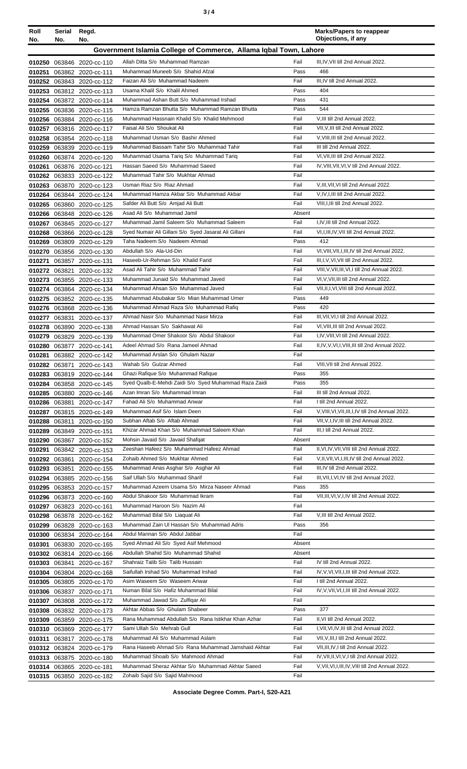| ×<br>٠<br>٦<br>×<br>۰, |  |  |
|------------------------|--|--|
|------------------------|--|--|

| Roll<br>No.      | Serial<br>No. | Regd.<br>No.                                           |                                                                                               |              | <b>Marks/Papers to reappear</b><br>Objections, if any                                             |
|------------------|---------------|--------------------------------------------------------|-----------------------------------------------------------------------------------------------|--------------|---------------------------------------------------------------------------------------------------|
|                  |               |                                                        | Government Islamia College of Commerce, Allama Iqbal Town, Lahore                             |              |                                                                                                   |
|                  |               | 010250 063846 2020-cc-110                              | Allah Ditta S/o Muhammad Ramzan                                                               | Fail         | III, IV, VII till 2nd Annual 2022.                                                                |
| 010251           |               | 063862 2020-cc-111                                     | Muhammad Muneeb S/o Shahid Afzal                                                              | Pass         | 466                                                                                               |
|                  |               | 010252 063843 2020-cc-112                              | Faizan Ali S/o Muhammad Nadeem                                                                | Fail         | III, IV till 2nd Annual 2022.                                                                     |
|                  |               | 010253 063812 2020-cc-113                              | Usama Khalil S/o Khalil Ahmed                                                                 | Pass         | 404                                                                                               |
|                  |               | 010254 063872 2020-cc-114                              | Muhammad Ashan Butt S/o Muhammad Irshad                                                       | Pass         | 431                                                                                               |
|                  |               | 010255 063836 2020-cc-115<br>010256 063884 2020-cc-116 | Hamza Ramzan Bhutta S/o Muhammad Ramzan Bhutta<br>Muhammad Hassnain Khalid S/o Khalid Mehmood | Pass<br>Fail | 544<br>V, III till 2nd Annual 2022.                                                               |
| 010257           |               | 063816 2020-cc-117                                     | Faisal Ali S/o Shoukat Ali                                                                    | Fail         | VII, V, III till 2nd Annual 2022.                                                                 |
| 010258           |               | 063854 2020-cc-118                                     | Muhammad Usman S/o Bashir Ahmed                                                               | Fail         | V, VIII, III till 2nd Annual 2022.                                                                |
| 010259           |               | 063839 2020-cc-119                                     | Muhammad Bassam Tahir S/o Muhammad Tahir                                                      | Fail         | III till 2nd Annual 2022.                                                                         |
| 010260           |               | 063874 2020-cc-120                                     | Muhammad Usama Tariq S/o Muhammad Tariq                                                       | Fail         | VI, VII, III till 2nd Annual 2022.                                                                |
| 010261           |               | 063876 2020-cc-121                                     | Hassan Saeed S/o Muhammad Saeed                                                               | Fail         | IV, VIII, VII, VI, V till 2nd Annual 2022.                                                        |
|                  |               | 010262 063833 2020-cc-122                              | Muhammad Tahir S/o Mukhtar Ahmad<br>Usman Riaz S/o Riaz Ahmad                                 | Fail<br>Fail | V, III, VII, VI till 2nd Annual 2022.                                                             |
| 010263<br>010264 |               | 063870 2020-cc-123<br>063844 2020-cc-124               | Muhammad Hamza Akbar S/o Muhammad Akbar                                                       | Fail         | V,IV,I,III till 2nd Annual 2022.                                                                  |
|                  |               | 010265 063860 2020-cc-125                              | Safder Ali Butt S/o Amjad Ali Butt                                                            | Fail         | VIII, I, III till 2nd Annual 2022.                                                                |
|                  |               | 010266 063848 2020-cc-126                              | Asad Ali S/o Muhammad Jamil                                                                   | Absent       |                                                                                                   |
|                  |               | 010267 063845 2020-cc-127                              | Muhammad Jamil Saleem S/o Muhammad Saleem                                                     | Fail         | I,IV,III till 2nd Annual 2022.                                                                    |
|                  |               | 010268 063866 2020-cc-128                              | Syed Numair Ali Gillani S/o Syed Jasarat Ali Gillani                                          | Fail         | VI, I, III, IV, VII till 2nd Annual 2022.                                                         |
| 010269           |               | 063809 2020-cc-129                                     | Taha Nadeem S/o Nadeem Ahmad                                                                  | Pass         | 412                                                                                               |
|                  |               | 010270 063856 2020-cc-130                              | Abdullah S/o Ala-Ud-Din<br>Haseeb-Ur-Rehman S/o Khalid Farid                                  | Fail<br>Fail | VI, VIII, VII, I, III, IV till 2nd Annual 2022.                                                   |
| 010271           |               | 063857 2020-cc-131<br>010272 063821 2020-cc-132        | Asad Ali Tahir S/o Muhammad Tahir                                                             | Fail         | III, I, V, VI, VII till 2nd Annual 2022.<br>VIII, V, VII, III, VI, I till 2nd Annual 2022.        |
| 010273           |               | 063855 2020-cc-133                                     | Muhammad Junaid S/o Muhammad Javed                                                            | Fail         | VI, V, VII, III till 2nd Annual 2022.                                                             |
| 010274           |               | 063864 2020-cc-134                                     | Muhammad Ahsan S/o Muhammad Javed                                                             | Fail         | VII, II, I, VI, VIII till 2nd Annual 2022.                                                        |
| 010275           |               | 063852 2020-cc-135                                     | Muhammad Abubakar S/o Mian Muhammad Umer                                                      | Pass         | 449                                                                                               |
|                  |               | 010276 063868 2020-cc-136                              | Muhammad Ahmad Raza S/o Muhammad Rafiq                                                        | Pass         | 420                                                                                               |
| 010277           |               | 063831 2020-cc-137                                     | Ahmad Nasir S/o Muhammad Nasir Mirza                                                          | Fail         | III, VII, VI, I till 2nd Annual 2022.                                                             |
|                  |               | 010278 063890 2020-cc-138                              | Ahmad Hassan S/o Sakhawat Ali                                                                 | Fail         | VI, VIII, III till 2nd Annual 2022.                                                               |
| 010279           |               | 063829 2020-cc-139                                     | Muhammad Omer Shakoor S/o Abdul Shakoor<br>Adeel Ahmad S/o Rana Jameel Ahmad                  | Fail<br>Fail | I,IV, VIII, VI till 2nd Annual 2022.                                                              |
| 010281           |               | 010280 063877 2020-cc-141<br>063882 2020-cc-142        | Muhammad Arslan S/o Ghulam Nazar                                                              | Fail         | II, IV, V, VI, I, VIII, III till 2nd Annual 2022.                                                 |
|                  |               | 010282 063871 2020-cc-143                              | Wahab S/o Gulzar Ahmed                                                                        | Fail         | VIII. VII till 2nd Annual 2022.                                                                   |
|                  |               | 010283 063819 2020-cc-144                              | Ghazi Rafique S/o Muhammad Rafique                                                            | Pass         | 355                                                                                               |
|                  |               | 010284 063858 2020-cc-145                              | Syed Qualb-E-Mehdi Zaidi S/o Syed Muhammad Raza Zaidi                                         | Pass         | 355                                                                                               |
|                  |               | 010285 063880 2020-cc-146                              | Azan Imran S/o Muhammad Imran                                                                 | Fail         | III till 2nd Annual 2022.                                                                         |
|                  |               | 010286 063881 2020-cc-147                              | Fahad Ali S/o Muhammad Anwar                                                                  | Fail         | I till 2nd Annual 2022.                                                                           |
|                  |               | 010287 063815 2020-cc-149                              | Muhammad Asif S/o Islam Deen<br>Subhan Aftab S/o Aftab Ahmad                                  | Fail<br>Fail | V, VIII, VI, VII, III, I, IV till 2nd Annual 2022.                                                |
| 010289           |               | 010288 063811 2020-cc-150<br>063849 2020-cc-151        | Khizar Ahmad Khan S/o Muhammad Saleem Khan                                                    | Fail         | VII, V, I, IV, III till 2nd Annual 2022.<br>III.I till 2nd Annual 2022.                           |
|                  |               | 010290 063867 2020-cc-152                              | Mohsin Javaid S/o Javaid Shafqat                                                              | Absent       |                                                                                                   |
| 010291           |               | 063842 2020-cc-153                                     | Zeeshan Hafeez S/o Muhammad Hafeez Ahmad                                                      | Fail         | II, VI, IV, VII, VIII till 2nd Annual 2022.                                                       |
|                  |               | 010292 063861 2020-cc-154                              | Zohaib Ahmed S/o Mukhtar Ahmed                                                                | Fail         | V, II, VII, VI, I, III, IV till 2nd Annual 2022.                                                  |
| 010293           |               | 063851 2020-cc-155                                     | Muhammad Anas Asghar S/o Asghar Ali                                                           | Fail         | III, IV till 2nd Annual 2022.                                                                     |
| 010294           |               | 063885 2020-cc-156                                     | Saif Ullah S/o Muhammad Sharif                                                                | Fail         | III, VII, I, VI, IV till 2nd Annual 2022.                                                         |
|                  |               | 010295 063853 2020-cc-157                              | Muhammad Azeem Usama S/o Mirza Naseer Ahmad<br>Abdul Shakoor S/o Muhammad Ikram               | Pass         | 355                                                                                               |
|                  |               | 010296 063873 2020-cc-160                              | Muhammad Haroon S/o Nazim Ali                                                                 | Fail<br>Fail | VII, III, VI, V, I, IV till 2nd Annual 2022.                                                      |
| 010297<br>010298 |               | 063823 2020-cc-161<br>063878 2020-cc-162               | Muhammad Bilal S/o Liaquat Ali                                                                | Fail         | V, III till 2nd Annual 2022.                                                                      |
|                  |               | 010299 063828 2020-cc-163                              | Muhammad Zain UI Hassan S/o Muhammad Adris                                                    | Pass         | 356                                                                                               |
|                  |               | 010300 063834 2020-cc-164                              | Abdul Mannan S/o Abdul Jabbar                                                                 | Fail         |                                                                                                   |
| 010301           |               | 063830 2020-cc-165                                     | Syed Ahmad Ali S/o Syed Asif Mehmood                                                          | Absent       |                                                                                                   |
|                  |               | 010302 063814 2020-cc-166                              | Abdullah Shahid S/o Muhammad Shahid                                                           | Absent       |                                                                                                   |
|                  |               | 010303 063841 2020-cc-167                              | Shahraiz Talib S/o Talib Hussain                                                              | Fail         | IV till 2nd Annual 2022.                                                                          |
|                  |               | 010304 063804 2020-cc-168                              | Saifullah Irshad S/o Muhammad Irshad                                                          | Fail         | IV, V, VI, VII, I, III till 2nd Annual 2022.                                                      |
|                  |               | 010305 063805 2020-cc-170<br>010306 063837 2020-cc-171 | Asim Waseem S/o Waseem Anwar<br>Numan Bilal S/o Hafiz Muhammad Bilal                          | Fail<br>Fail | I till 2nd Annual 2022.<br>IV, V, VII, VI, I, III till 2nd Annual 2022.                           |
| 010307           |               | 063808 2020-cc-172                                     | Muhammad Jawad S/o Zulfigar Ali                                                               | Fail         |                                                                                                   |
|                  |               | 010308 063832 2020-cc-173                              | Akhtar Abbas S/o Ghulam Shabeer                                                               | Pass         | 377                                                                                               |
| 010309           |               | 063859 2020-cc-175                                     | Rana Muhammad Abdullah S/o Rana Istikhar Khan Azhar                                           | Fail         | II, VI till 2nd Annual 2022.                                                                      |
|                  |               | 010310 063869 2020-cc-177                              | Sami Ullah S/o Mehrab Gull                                                                    | Fail         | I, VII, VI, IV, III till 2nd Annual 2022.                                                         |
| 010311           |               | 063817 2020-cc-178                                     | Muhammad Ali S/o Muhammad Aslam                                                               | Fail         | VII, V, III, I till 2nd Annual 2022.                                                              |
|                  |               | 010312 063824 2020-cc-179                              | Rana Haseeb Ahmad S/o Rana Muhammad Jamshaid Akhtar                                           | Fail         | VII, III, IV, I till 2nd Annual 2022.                                                             |
|                  |               | 010313 063875 2020-cc-180                              | Muhammad Shoaib S/o Mahmood Ahmad<br>Muhammad Sheraz Akhtar S/o Muhammad Akhtar Saeed         | Fail<br>Fail | IV, VII, II, VI, V, I till 2nd Annual 2022.<br>V, VII, VI, I, III, IV, VIII till 2nd Annual 2022. |
|                  |               | 010314 063865 2020-cc-181<br>010315 063850 2020-cc-182 | Zohaib Sajid S/o Sajid Mahmood                                                                | Fail         |                                                                                                   |
|                  |               |                                                        |                                                                                               |              |                                                                                                   |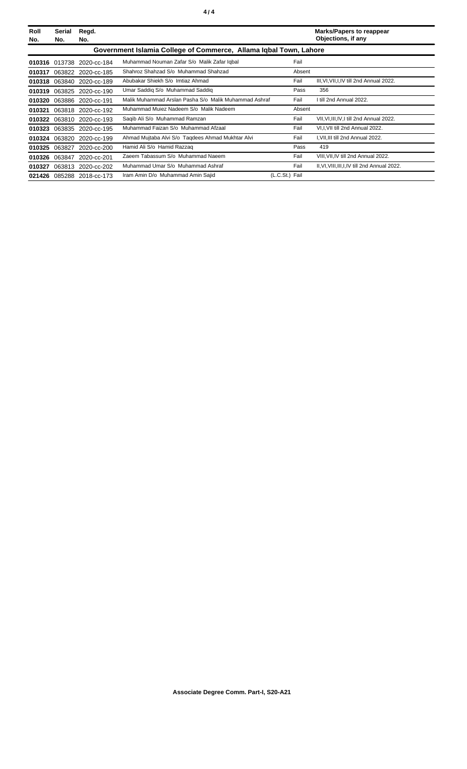| Roll<br>No. | Serial<br>No.                                                     | Regd.<br>No.              |                                                       |                | <b>Marks/Papers to reappear</b><br>Objections, if any |  |  |
|-------------|-------------------------------------------------------------------|---------------------------|-------------------------------------------------------|----------------|-------------------------------------------------------|--|--|
|             | Government Islamia College of Commerce, Allama Igbal Town, Lahore |                           |                                                       |                |                                                       |  |  |
|             |                                                                   | 010316 013738 2020-cc-184 | Muhammad Nouman Zafar S/o Malik Zafar Iqbal           | Fail           |                                                       |  |  |
| 010317      |                                                                   | 063822 2020-cc-185        | Shahroz Shahzad S/o Muhammad Shahzad                  | Absent         |                                                       |  |  |
| 010318      |                                                                   | 063840 2020-cc-189        | Abubakar Shiekh S/o Imtiaz Ahmad                      | Fail           | III, VI, VII, I, IV till 2nd Annual 2022.             |  |  |
| 010319      |                                                                   | 063825 2020-cc-190        | Umar Saddig S/o Muhammad Saddig                       | Pass           | 356                                                   |  |  |
| 010320      |                                                                   | 063886 2020-cc-191        | Malik Muhammad Arslan Pasha S/o Malik Muhammad Ashraf | Fail           | I till 2nd Annual 2022.                               |  |  |
| 010321      | 063818                                                            | 2020-cc-192               | Muhammad Mujez Nadeem S/o Malik Nadeem                | Absent         |                                                       |  |  |
| 010322      |                                                                   | 063810 2020-cc-193        | Saqib Ali S/o Muhammad Ramzan                         | Fail           | VII, VI, III, IV, I till 2nd Annual 2022.             |  |  |
| 010323      |                                                                   | 063835 2020-cc-195        | Muhammad Faizan S/o Muhammad Afzaal                   | Fail           | VI, I, VII till 2nd Annual 2022.                      |  |  |
| 010324      |                                                                   | 063820 2020-cc-199        | Ahmad Mujtaba Alvi S/o Tagdees Ahmad Mukhtar Alvi     | Fail           | I, VII, III till 2nd Annual 2022.                     |  |  |
| 010325      |                                                                   | 063827 2020-cc-200        | Hamid Ali S/o Hamid Razzag                            | Pass           | 419                                                   |  |  |
| 010326      | 063847                                                            | 2020-cc-201               | Zaeem Tabassum S/o Muhammad Naeem                     | Fail           | VIII, VII, IV till 2nd Annual 2022.                   |  |  |
| 010327      |                                                                   | 063813 2020-cc-202        | Muhammad Umar S/o Muhammad Ashraf                     | Fail           | II, VI, VIII, III, I, IV till 2nd Annual 2022.        |  |  |
|             |                                                                   | 021426 085288 2018-cc-173 | Iram Amin D/o Muhammad Amin Sajid                     | (L.C.St.) Fail |                                                       |  |  |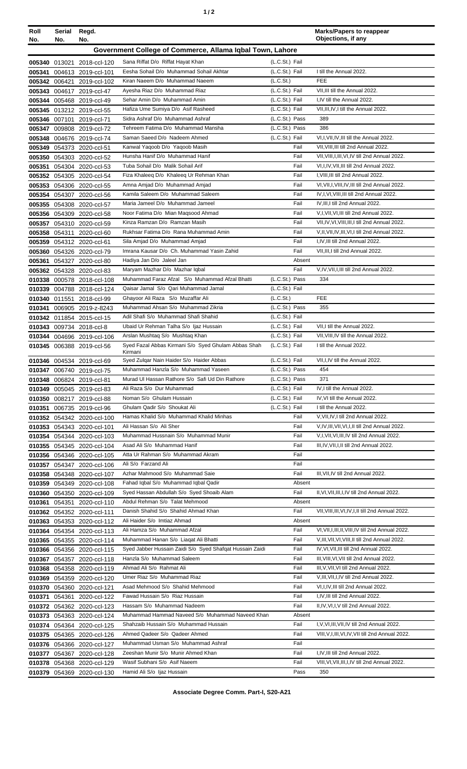|--|

| Roll<br>No.                                               | Serial<br>No. | Regd.<br>No.                                            |                                                                                        |                                  | <b>Marks/Papers to reappear</b><br>Objections, if any                             |
|-----------------------------------------------------------|---------------|---------------------------------------------------------|----------------------------------------------------------------------------------------|----------------------------------|-----------------------------------------------------------------------------------|
| Government College of Commerce, Allama Iqbal Town, Lahore |               |                                                         |                                                                                        |                                  |                                                                                   |
|                                                           |               | 005340 013021 2018-ccl-120                              | Sana Riffat D/o Riffat Hayat Khan                                                      | (L.C.St.) Fail                   |                                                                                   |
| 005341                                                    |               | 004613 2019-ccl-101                                     | Eesha Sohail D/o Muhammad Sohail Akhtar                                                | (L.C.St.) Fail                   | I till the Annual 2022.                                                           |
|                                                           | 005342 006421 | 2019-ccl-102                                            | Kiran Naeem D/o Muhammad Naeem                                                         | (L.C.St.)                        | <b>FEE</b>                                                                        |
|                                                           |               | 005343 004617 2019-ccl-47                               | Ayesha Riaz D/o Muhammad Riaz                                                          | (L.C.St.) Fail                   | VII, III till the Annual 2022.                                                    |
|                                                           |               | 005344 005468 2019-ccl-49                               | Sehar Amin D/o Muhammad Amin                                                           | (L.C.St.) Fail                   | I,IV till the Annual 2022.                                                        |
|                                                           |               | 005345 013212 2019-ccl-55                               | Hafiza Ume Sumiya D/o Asif Rasheed                                                     | (L.C.St.) Fail                   | VII, III, IV, I till the Annual 2022.                                             |
|                                                           |               | 005346 007101 2019-ccl-71                               | Sidra Ashraf D/o Muhammad Ashraf                                                       | (L.C.St.) Pass                   | 389                                                                               |
|                                                           |               | 005347 009808 2019-ccl-72                               | Tehreem Fatima D/o Muhammad Mansha                                                     | (L.C.St.) Pass                   | 386                                                                               |
|                                                           |               | 005348 004676 2019-ccl-74                               | Saman Saeed D/o Nadeem Ahmed                                                           | (L.C.St.) Fail<br>Fail           | VI, I, VII, IV, III till the Annual 2022.<br>VII, VIII, III till 2nd Annual 2022. |
| 005349                                                    |               | 054373 2020-ccl-51<br>005350 054303 2020-ccl-52         | Kanwal Yaqoob D/o Yaqoob Masih<br>Hunsha Hanif D/o Muhammad Hanif                      | Fail                             | VII, VIII, I, III, VI, IV till 2nd Annual 2022.                                   |
|                                                           |               | 005351 054304 2020-ccl-53                               | Tuba Sohail D/o Malik Sohail Arif                                                      | Fail                             | VI, I, IV, VII, III till 2nd Annual 2022.                                         |
|                                                           |               | 005352 054305 2020-ccl-54                               | Fiza Khaleeg D/o Khaleeg Ur Rehman Khan                                                | Fail                             | I, VIII, III till 2nd Annual 2022.                                                |
|                                                           |               | 005353 054306 2020-ccl-55                               | Amna Amjad D/o Muhammad Amjad                                                          | Fail                             | VI, VII, I, VIII, IV, III till 2nd Annual 2022.                                   |
|                                                           |               | 005354 054307 2020-ccl-56                               | Kamila Saleem D/o Muhammad Saleem                                                      | Fail                             | IV, I, VI, VIII, III till 2nd Annual 2022.                                        |
|                                                           |               | 005355 054308 2020-ccl-57                               | Maria Jameel D/o Muhammad Jameel                                                       | Fail                             | IV.III.I till 2nd Annual 2022.                                                    |
|                                                           |               | 005356 054309 2020-ccl-58                               | Noor Fatima D/o Mian Magsood Ahmad                                                     | Fail                             | V,I, VII, VI, III till 2nd Annual 2022.                                           |
|                                                           |               | 005357 054310 2020-ccl-59                               | Kinza Ramzan D/o Ramzan Masih                                                          | Fail                             | VII, IV, VI, VIII, III, I till 2nd Annual 2022.                                   |
|                                                           |               | 005358 054311 2020-ccl-60                               | Rukhsar Fatima D/o Rana Muhammad Amin                                                  | Fail                             | V,II, VII, IV, III, VI, I till 2nd Annual 2022.                                   |
|                                                           |               | 005359 054312 2020-ccl-61                               | Sila Amjad D/o Muhammad Amjad<br>Imrana Kausar D/o Ch. Muhammad Yasin Zahid            | Fail<br>Fail                     | I, IV, III till 2nd Annual 2022.<br>VII, III, I till 2nd Annual 2022.             |
|                                                           |               | 005360 054326 2020-ccl-79<br>005361 054327 2020-ccl-80  | Hadiya Jan D/o Jaleel Jan                                                              | Absent                           |                                                                                   |
|                                                           |               | 005362 054328 2020-ccl-83                               | Maryam Mazhar D/o Mazhar Iqbal                                                         | Fail                             | V, IV, VII, I, III till 2nd Annual 2022.                                          |
|                                                           |               | 010338 000578 2018-ccl-108                              | Muhammad Faraz Afzal S/o Muhammad Afzal Bhatti                                         | (L.C.St.) Pass                   | 334                                                                               |
|                                                           |               | 010339 004788 2018-ccl-124                              | Qaisar Jamal S/o Qari Muhammad Jamal                                                   | (L.C.St.) Fail                   |                                                                                   |
| 010340                                                    |               | 011551 2018-ccl-99                                      | Ghayoor Ali Raza S/o Muzaffar Ali                                                      | (L.C.St.)                        | <b>FEE</b>                                                                        |
| 010341                                                    |               | 006905 2019-z-8243                                      | Muhammad Ahsan S/o Muhammad Zikria                                                     | (L.C.St.) Pass                   | 355                                                                               |
|                                                           |               | 010342 011854 2015-ccl-15                               | Adil Shafi S/o Muhammad Shafi Shahid                                                   | (L.C.St.) Fail                   |                                                                                   |
|                                                           |               | 010343 009734 2018-ccl-8                                | Ubaid Ur Rehman Talha S/o Ijaz Hussain                                                 | (L.C.St.) Fail                   | VII.I till the Annual 2022.                                                       |
|                                                           |               | 010344 004696 2019-ccl-106<br>010345 006388 2019-ccl-56 | Arslan Mushtaq S/o Mushtaq Khan<br>Syed Fazal Abbas Kirmani S/o Syed Ghulam Abbas Shah | (L.C.St.) Fail<br>(L.C.St.) Fail | VII, VIII, IV till the Annual 2022.<br>I till the Annual 2022.                    |
|                                                           |               |                                                         | Kirmani                                                                                |                                  |                                                                                   |
|                                                           |               | 010346 004534 2019-ccl-69                               | Syed Zulgar Nain Haider S/o Haider Abbas                                               | (L.C.St.) Fail                   | VII, I, IV till the Annual 2022.                                                  |
|                                                           |               | 010347 006740 2019-ccl-75                               | Muhammad Hanzla S/o Muhammad Yaseen                                                    | (L.C.St.) Pass                   | 454                                                                               |
|                                                           |               | 010348 006824 2019-ccl-81                               | Murad UI Hassan Rathore S/o Safi Ud Din Rathore<br>Ali Raza S/o Dur Muhammad           | (L.C.St.) Pass                   | 371<br>IV, I till the Annual 2022.                                                |
|                                                           |               | 010349 005045 2019-ccl-83<br>010350 008217 2019-ccl-88  | Noman S/o Ghulam Hussain                                                               | (L.C.St.) Fail<br>(L.C.St.) Fail | IV, VI till the Annual 2022.                                                      |
| 010351                                                    |               | 006735 2019-ccl-96                                      | Ghulam Qadir S/o Shoukat Ali                                                           | (L.C.St.) Fail                   | I till the Annual 2022.                                                           |
|                                                           |               | 010352 054342 2020-ccl-100                              | Hamas Khalid S/o Muhammad Khalid Minhas                                                | Fail                             | V, VII, IV, I till 2nd Annual 2022.                                               |
| 010353                                                    |               | 054343 2020-ccl-101                                     | Ali Hassan S/o Ali Sher                                                                | Fail                             | V, IV, III, VII, VI, I, II till 2nd Annual 2022.                                  |
|                                                           |               | 010354 054344 2020-ccl-103                              | Muhammad Hussnain S/o Muhammad Munir                                                   | Fail                             | V, I, VII, VI, III, IV till 2nd Annual 2022.                                      |
|                                                           |               | 010355 054345 2020-ccl-104                              | Asad Ali S/o Muhammad Hanif                                                            | Fail                             | III, IV, VII, I, II till 2nd Annual 2022.                                         |
|                                                           |               | 010356 054346 2020-ccl-105                              | Atta Ur Rahman S/o Muhammad Akram                                                      | Fail                             |                                                                                   |
|                                                           |               | 010357 054347 2020-ccl-106                              | Ali S/o Farzand Ali                                                                    | Fail                             |                                                                                   |
|                                                           |               | 010358 054348 2020-ccl-107                              | Azhar Mahmood S/o Muhammad Saie<br>Fahad Iqbal S/o Muhammad Iqbal Qadir                | Fail<br>Absent                   | III, VII, IV till 2nd Annual 2022.                                                |
| 010360                                                    | 054350        | 010359 054349 2020-ccl-108<br>2020-ccl-109              | Syed Hassan Abdullah S/o Syed Shoaib Alam                                              | Fail                             | II, VI, VII, III, I, IV till 2nd Annual 2022.                                     |
| 010361                                                    | 054351        | 2020-ccl-110                                            | Abdul Rehman S/o Talat Mehmood                                                         | Absent                           |                                                                                   |
|                                                           |               | 010362 054352 2020-ccl-111                              | Danish Shahid S/o Shahid Ahmad Khan                                                    | Fail                             | VII, VIII, III, VI, IV, I, II till 2nd Annual 2022.                               |
|                                                           |               | 010363 054353 2020-ccl-112                              | Ali Haider S/o Imtiaz Ahmad                                                            | Absent                           |                                                                                   |
|                                                           |               | 010364 054354 2020-ccl-113                              | Ali Hamza S/o Muhammad Afzal                                                           | Fail                             | VI, VII, I, III, II, VIII, IV till 2nd Annual 2022.                               |
|                                                           |               | 010365 054355 2020-ccl-114                              | Muhammad Hanan S/o Liagat Ali Bhatti                                                   | Fail                             | V, III, VII, VI, VIII, II till 2nd Annual 2022.                                   |
|                                                           |               | 010366 054356 2020-ccl-115                              | Syed Jabber Hussain Zaidi S/o Syed Shafqat Hussain Zaidi                               | Fail                             | IV, VI, VII, III till 2nd Annual 2022.                                            |
|                                                           |               | 010367 054357 2020-ccl-118                              | Hanzla S/o Muhammad Saleem                                                             | Fail                             | III, VIII, VI, VII till 2nd Annual 2022.                                          |
| 010368                                                    |               | 054358 2020-ccl-119                                     | Ahmad Ali S/o Rahmat Ali<br>Umer Riaz S/o Muhammad Riaz                                | Fail<br>Fail                     | III, V, VII, VI till 2nd Annual 2022.<br>V, III, VII, I, IV till 2nd Annual 2022. |
| 010369                                                    |               | 054359 2020-ccl-120<br>010370 054360 2020-ccl-121       | Asad Mehmood S/o Shahid Mehmood                                                        | Fail                             | VI, I, IV, III till 2nd Annual 2022.                                              |
| 010371                                                    | 054361        | 2020-ccl-122                                            | Fawad Hussain S/o Riaz Hussain                                                         | Fail                             | I,IV,III till 2nd Annual 2022.                                                    |
|                                                           |               | 010372 054362 2020-ccl-123                              | Hassam S/o Muhammad Nadeem                                                             | Fail                             | II, IV, VI, I, V till 2nd Annual 2022.                                            |
|                                                           |               | 010373 054363 2020-ccl-124                              | Muhammad Hammad Naveed S/o Muhammad Naveed Khan                                        | Absent                           |                                                                                   |
|                                                           |               | 010374 054364 2020-ccl-125                              | Shahzaib Hussain S/o Muhammad Hussain                                                  | Fail                             | I, V, VI, III, VII, IV till 2nd Annual 2022.                                      |
|                                                           |               | 010375 054365 2020-ccl-126                              | Ahmed Qadeer S/o Qadeer Ahmed                                                          | Fail                             | VIII, V, I, III, VI, IV, VII till 2nd Annual 2022.                                |
|                                                           |               | 010376 054366 2020-ccl-127                              | Muhammad Usman S/o Muhammad Ashraf                                                     | Fail                             |                                                                                   |
| 010377                                                    |               | 054367 2020-ccl-128                                     | Zeeshan Munir S/o Munir Ahmed Khan                                                     | Fail                             | I,IV,III till 2nd Annual 2022.                                                    |
|                                                           | 010378 054368 | 2020-ccl-129                                            | Wasif Subhani S/o Asif Naeem<br>Hamid Ali S/o Ijaz Hussain                             | Fail<br>Pass                     | VIII, VI, VII, III, I, IV till 2nd Annual 2022.<br>350                            |
|                                                           |               | 010379 054369 2020-ccl-130                              |                                                                                        |                                  |                                                                                   |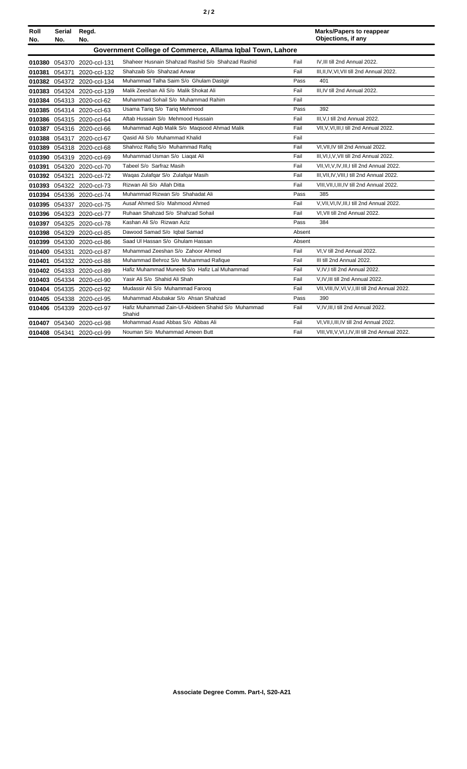| Roll<br>No. | Serial<br>No.                                             | Regd.<br>No.               |                                                              |        | <b>Marks/Papers to reappear</b><br>Objections, if any |  |  |  |
|-------------|-----------------------------------------------------------|----------------------------|--------------------------------------------------------------|--------|-------------------------------------------------------|--|--|--|
|             | Government College of Commerce, Allama Igbal Town, Lahore |                            |                                                              |        |                                                       |  |  |  |
|             |                                                           | 010380 054370 2020-ccl-131 | Shaheer Husnain Shahzad Rashid S/o Shahzad Rashid            | Fail   | IV, III till 2nd Annual 2022.                         |  |  |  |
|             | 010381 054371                                             | 2020-ccl-132               | Shahzaib S/o Shahzad Anwar                                   | Fail   | III.II.IV.VI.VII till 2nd Annual 2022.                |  |  |  |
|             |                                                           | 010382 054372 2020-ccl-134 | Muhammad Talha Saim S/o Ghulam Dastgir                       | Pass   | 401                                                   |  |  |  |
|             |                                                           | 010383 054324 2020-ccl-139 | Malik Zeeshan Ali S/o Malik Shokat Ali                       | Fail   | III, IV till 2nd Annual 2022.                         |  |  |  |
|             |                                                           | 010384 054313 2020-ccl-62  | Muhammad Sohail S/o Muhammad Rahim                           | Fail   |                                                       |  |  |  |
|             |                                                           | 010385 054314 2020-ccl-63  | Usama Tariq S/o Tariq Mehmood                                | Pass   | 392                                                   |  |  |  |
|             |                                                           | 010386 054315 2020-ccl-64  | Aftab Hussain S/o Mehmood Hussain                            | Fail   | III.V.I till 2nd Annual 2022.                         |  |  |  |
|             |                                                           | 010387 054316 2020-ccl-66  | Muhammad Agib Malik S/o Magsood Ahmad Malik                  | Fail   | VII, V, VI, III, I till 2nd Annual 2022.              |  |  |  |
|             |                                                           | 010388 054317 2020-ccl-67  | Qasid Ali S/o Muhammad Khalid                                | Fail   |                                                       |  |  |  |
|             |                                                           | 010389 054318 2020-ccl-68  | Shahroz Rafiq S/o Muhammad Rafiq                             | Fail   | VI.VII.IV till 2nd Annual 2022.                       |  |  |  |
|             |                                                           | 010390 054319 2020-ccl-69  | Muhammad Usman S/o Liaqat Ali                                | Fail   | III, VI, I, V, VII till 2nd Annual 2022.              |  |  |  |
|             |                                                           | 010391 054320 2020-ccl-70  | Tabeel S/o Sarfraz Masih                                     | Fail   | VII, VI, V, IV, III, I till 2nd Annual 2022.          |  |  |  |
|             |                                                           | 010392 054321 2020-ccl-72  | Waqas Zulafqar S/o Zulafqar Masih                            | Fail   | III, VII, IV, VIII, I till 2nd Annual 2022.           |  |  |  |
|             |                                                           | 010393 054322 2020-ccl-73  | Rizwan Ali S/o Allah Ditta                                   | Fail   | VIII, VII, I, III, IV till 2nd Annual 2022.           |  |  |  |
|             |                                                           | 010394 054336 2020-ccl-74  | Muhammad Rizwan S/o Shahadat Ali                             | Pass   | 385                                                   |  |  |  |
|             |                                                           | 010395 054337 2020-ccl-75  | Ausaf Ahmed S/o Mahmood Ahmed                                | Fail   | V, VII, VI, IV, III, I till 2nd Annual 2022.          |  |  |  |
|             |                                                           | 010396 054323 2020-ccl-77  | Ruhaan Shahzad S/o Shahzad Sohail                            | Fail   | VI.VII till 2nd Annual 2022.                          |  |  |  |
| 010397      |                                                           | 054325 2020-ccl-78         | Kashan Ali S/o Rizwan Aziz                                   | Pass   | 384                                                   |  |  |  |
|             |                                                           | 010398 054329 2020-ccl-85  | Dawood Samad S/o Iqbal Samad                                 | Absent |                                                       |  |  |  |
|             |                                                           | 010399 054330 2020-ccl-86  | Saad UI Hassan S/o Ghulam Hassan                             | Absent |                                                       |  |  |  |
|             |                                                           | 010400 054331 2020-ccl-87  | Muhammad Zeeshan S/o Zahoor Ahmed                            | Fail   | VI, V till 2nd Annual 2022.                           |  |  |  |
| 010401      |                                                           | 054332 2020-ccl-88         | Muhammad Behroz S/o Muhammad Rafique                         | Fail   | III till 2nd Annual 2022.                             |  |  |  |
|             |                                                           | 010402 054333 2020-ccl-89  | Hafiz Muhammad Muneeb S/o Hafiz Lal Muhammad                 | Fail   | V.IV.I till 2nd Annual 2022.                          |  |  |  |
|             |                                                           | 010403 054334 2020-ccl-90  | Yasir Ali S/o Shahid Ali Shah                                | Fail   | V,IV,III till 2nd Annual 2022.                        |  |  |  |
|             |                                                           | 010404 054335 2020-ccl-92  | Mudassir Ali S/o Muhammad Farooq                             | Fail   | VII, VIII, IV, VI, V, I, III till 2nd Annual 2022.    |  |  |  |
|             |                                                           | 010405 054338 2020-ccl-95  | Muhammad Abubakar S/o Ahsan Shahzad                          | Pass   | 390                                                   |  |  |  |
|             |                                                           | 010406 054339 2020-ccl-97  | Hafiz Muhammad Zain-Ul-Abideen Shahid S/o Muhammad<br>Shahid | Fail   | V,IV,III,I till 2nd Annual 2022.                      |  |  |  |
|             |                                                           | 010407 054340 2020-ccl-98  | Mohammad Asad Abbas S/o Abbas Ali                            | Fail   | VI.VII.I.III.IV till 2nd Annual 2022.                 |  |  |  |
|             |                                                           | 010408 054341 2020-ccl-99  | Nouman S/o Muhammad Ameen Butt                               | Fail   | VIII, VII, V, VI, I, IV, III till 2nd Annual 2022.    |  |  |  |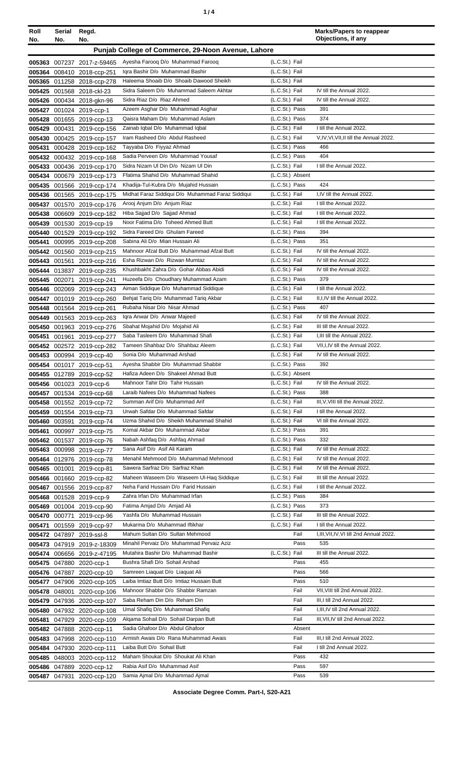| ٠ |  |
|---|--|
|   |  |

| Roll             | Serial        | Regd.                                                 |                                                                      |                                  | <b>Marks/Papers to reappear</b><br>Objections, if any |
|------------------|---------------|-------------------------------------------------------|----------------------------------------------------------------------|----------------------------------|-------------------------------------------------------|
| No.              | No.           | No.                                                   |                                                                      |                                  |                                                       |
|                  |               |                                                       | Punjab College of Commerce, 29-Noon Avenue, Lahore                   |                                  |                                                       |
| 005363           | 007237        | 2017-z-59465                                          | Ayesha Farooq D/o Muhammad Farooq                                    | (L.C.St.) Fail                   |                                                       |
| 005364           |               | 008410 2018-ccp-251                                   | Igra Bashir D/o Muhammad Bashir                                      | (L.C.St.) Fail                   |                                                       |
|                  |               | 005365 011258 2018-ccp-278                            | Haleema Shoaib D/o Shoaib Dawood Sheikh                              | (L.C.St.) Fail                   |                                                       |
| 005425           | 001568        | 2018-ckl-23                                           | Sidra Saleem D/o Muhammad Saleem Akhtar                              | (L.C.St.) Fail                   | IV till the Annual 2022.                              |
| 005426           |               | 000434 2018-gkn-96                                    | Sidra Riaz D/o Riaz Ahmed                                            | (L.C.St.) Fail                   | IV till the Annual 2022.                              |
| 005427           |               | 001024 2019-ccp-1                                     | Azeem Asghar D/o Muhammad Asghar                                     | (L.C.St.) Pass                   | 391                                                   |
| 005428           |               | 001655 2019-ccp-13                                    | Qaisra Maham D/o Muhammad Aslam                                      | (L.C.St.) Pass                   | 374                                                   |
| 005429           |               | 000431 2019-ccp-156                                   | Zainab Iqbal D/o Muhammad Iqbal                                      | (L.C.St.) Fail                   | I till the Annual 2022.                               |
| 005430           |               | 000425 2019-ccp-157                                   | Iram Rasheed D/o Abdul Rasheed                                       | (L.C.St.) Fail<br>(L.C.St.) Pass | V,IV,VI,VII,II till the Annual 2022.<br>466           |
| 005431           |               | 000428 2019-ccp-162                                   | Tayyaba D/o Fiyyaz Ahmad<br>Sadia Perveen D/o Muhammad Yousaf        | (L.C.St.) Pass                   | 404                                                   |
|                  |               | 005432 000432 2019-ccp-168                            | Sidra Nizam Ul Din D/o Nizam Ul Din                                  | (L.C.St.) Fail                   | I till the Annual 2022.                               |
| 005433<br>005434 |               | 000436 2019-ccp-170<br>000679 2019-ccp-173            | Ffatima Shahid D/o Muhammad Shahid                                   | (L.C.St.) Absent                 |                                                       |
| 005435           |               | 001566 2019-ccp-174                                   | Khadija-Tul-Kubra D/o Mujahid Hussain                                | (L.C.St.) Pass                   | 424                                                   |
| 005436           |               | 001565 2019-ccp-175                                   | Midhat Faraz Siddiqui D/o Muhammad Faraz Siddiqui                    | (L.C.St.) Fail                   | I,IV till the Annual 2022.                            |
| 005437           |               | 001570 2019-ccp-176                                   | Arooj Anjum D/o Anjum Riaz                                           | (L.C.St.) Fail                   | I till the Annual 2022.                               |
| 005438           | 006609        | 2019-ccp-182                                          | Hiba Sajjad D/o Sajjad Ahmad                                         | (L.C.St.) Fail                   | I till the Annual 2022.                               |
|                  |               | 005439 001530 2019-ccp-19                             | Noor Fatima D/o Toheed Ahmed Butt                                    | (L.C.St.) Fail                   | I till the Annual 2022.                               |
|                  | 005440 001529 | 2019-ccp-192                                          | Sidra Fareed D/o Ghulam Fareed                                       | (L.C.St.) Pass                   | 394                                                   |
| 005441           | 000995        | 2019-ccp-208                                          | Sabina Ali D/o Mian Hussain Ali                                      | (L.C.St.) Pass                   | 351                                                   |
| 005442           | 001560        | 2019-ccp-215                                          | Mahnoor Afzal Butt D/o Muhammad Afzal Butt                           | (L.C.St.) Fail                   | IV till the Annual 2022.                              |
| 005443           | 001561        | 2019-ccp-216                                          | Esha Rizwan D/o Rizwan Mumtaz                                        | (L.C.St.) Fail                   | IV till the Annual 2022.                              |
| 005444           | 013837        | 2019-ccp-235                                          | Khushbakht Zahra D/o Gohar Abbas Abidi                               | (L.C.St.) Fail                   | IV till the Annual 2022.                              |
| 005445           | 002071        | 2019-ccp-241                                          | Huzeefa D/o Choudhary Muhammad Azam                                  | (L.C.St.) Pass                   | 379                                                   |
| 005446           |               | 002069 2019-ccp-243                                   | Aiman Siddique D/o Muhammad Siddique                                 | (L.C.St.) Fail                   | I till the Annual 2022.                               |
| 005447           |               | 001019 2019-ccp-260                                   | Behjat Tariq D/o Muhammad Tariq Akbar                                | (L.C.St.) Fail                   | II, I, IV till the Annual 2022.                       |
| 005448           |               | 001564 2019-ccp-261                                   | Rubaha Nisar D/o Nisar Ahmad                                         | (L.C.St.) Pass                   | 407                                                   |
| 005449           |               | 001563 2019-ccp-263                                   | Igra Anwar D/o Anwar Majeed                                          | (L.C.St.) Fail                   | IV till the Annual 2022.                              |
| 005450           |               | 001963 2019-ccp-276                                   | Sbahat Mojahid D/o Mojahid Ali                                       | (L.C.St.) Fail                   | III till the Annual 2022.                             |
| 005451           | 001961        | 2019-ccp-277                                          | Saba Tasleem D/o Muhammad Shafi                                      | (L.C.St.) Fail                   | I, III till the Annual 2022.                          |
|                  |               | 005452 002572 2019-ccp-282                            | Tameen Shahbaz D/o Shahbaz Aleem                                     | (L.C.St.) Fail                   | VII, I, IV till the Annual 2022.                      |
| 005453           |               | 000994 2019-ccp-40                                    | Sonia D/o Muhammad Arshad                                            | (L.C.St.) Fail                   | IV till the Annual 2022.                              |
|                  |               | 005454 001017 2019-ccp-51                             | Ayesha Shabbir D/o Muhammad Shabbir                                  | (L.C.St.) Pass                   | 392                                                   |
|                  |               | 005455 012789 2019-ccp-52                             | Hafiza Adeen D/o Shakeel Ahmad Butt                                  | (L.C.St.) Absent                 |                                                       |
|                  |               | 005456 001023 2019-ccp-6                              | Mahnoor Tahir D/o Tahir Hussain                                      | (L.C.St.) Fail                   | IV till the Annual 2022.                              |
| 005457           |               | 001534 2019-ccp-68                                    | Laraib Nafees D/o Muhammad Nafees                                    | (L.C.St.) Pass                   | 388                                                   |
|                  |               | 005458 001552 2019-ccp-72                             | Summan Arif D/o Muhammad Arif                                        | (L.C.St.) Fail                   | III, V, VIII till the Annual 2022.                    |
|                  |               | 005459 001554 2019-ccp-73                             | Urwah Safdar D/o Muhammad Safdar                                     | (L.C.St.) Fail                   | I till the Annual 2022.                               |
|                  | 005460 003591 | 2019-ccp-74                                           | Uzma Shahid D/o Sheikh Muhammad Shahid                               | (L.C.St.) Fail                   | VI till the Annual 2022.                              |
| 005461           |               | 000997 2019-ccp-75                                    | Komal Akbar D/o Muhammad Akbar                                       | (L.C.St.) Pass                   | 391                                                   |
|                  |               | 005462 001537 2019-ccp-76                             | Nabah Ashfaq D/o Ashfaq Ahmad                                        | (L.C.St.) Pass<br>(L.C.St.) Fail | 332                                                   |
|                  |               | 005463 000998 2019-ccp-77                             | Sana Asif D/o Asif Ali Karam<br>Menahil Mehmood D/o Muhammad Mehmood | (L.C.St.) Fail                   | IV till the Annual 2022.<br>IV till the Annual 2022.  |
|                  |               | 005464 012976 2019-ccp-78                             | Sawera Sarfraz D/o Sarfraz Khan                                      | (L.C.St.) Fail                   | IV till the Annual 2022.                              |
|                  |               | 005465 001001 2019-ccp-81                             | Maheen Waseem D/o Waseem UI-Hag Siddique                             | (L.C.St.) Fail                   | III till the Annual 2022.                             |
|                  |               | 005466 001660 2019-ccp-82                             | Neha Farid Hussain D/o Farid Hussain                                 | (L.C.St.) Fail                   | I till the Annual 2022.                               |
|                  |               | 005467 001556 2019-ccp-87<br>005468 001528 2019-ccp-9 | Zahra Irfan D/o Muhammad Irfan                                       | (L.C.St.) Pass                   | 384                                                   |
|                  |               | 005469 001004 2019-ccp-90                             | Fatima Amjad D/o Amjad Ali                                           | (L.C.St.) Pass                   | 373                                                   |
|                  | 005470 000771 | 2019-ccp-96                                           | Yashfa D/o Muhammad Hussain                                          | (L.C.St.) Fail                   | III till the Annual 2022.                             |
| 005471           |               | 001559 2019-ccp-97                                    | Mukarma D/o Muhammad Iftikhar                                        | (L.C.St.) Fail                   | I till the Annual 2022.                               |
|                  |               | 005472 047897 2019-ssl-8                              | Mahum Sultan D/o Sultan Mehmood                                      | Fail                             | I, III, VII, IV, VI till 2nd Annual 2022.             |
|                  |               | 005473 047919 2019-z-18309                            | Minahil Pervaiz D/o Muhammad Pervaiz Aziz                            | Pass                             | 535                                                   |
|                  |               | 005474 006656 2019-z-47195                            | Mutahira Bashir D/o Muhammad Bashir                                  | (L.C.St.) Fail                   | III till the Annual 2022.                             |
|                  |               | 005475 047880 2020-ccp-1                              | Bushra Shafi D/o Sohail Arshad                                       | Pass                             | 455                                                   |
|                  |               | 005476 047887 2020-ccp-10                             | Samreen Liaquat D/o Liaquat Ali                                      | Pass                             | 566                                                   |
|                  |               | 005477 047906 2020-ccp-105                            | Laiba Imtiaz Butt D/o Imtiaz Hussain Butt                            | Pass                             | 510                                                   |
|                  |               | 005478 048001 2020-ccp-106                            | Mahnoor Shabbir D/o Shabbir Ramzan                                   | Fail                             | VII, VIII till 2nd Annual 2022.                       |
|                  |               | 005479 047936 2020-ccp-107                            | Saba Reham Din D/o Reham Din                                         | Fail                             | III, I till 2nd Annual 2022.                          |
|                  |               | 005480 047932 2020-ccp-108                            | Umal Shafiq D/o Muhammad Shafiq                                      | Fail                             | I, III, IV till 2nd Annual 2022.                      |
| 005481           |               | 047929 2020-ccp-109                                   | Algama Sohail D/o Sohail Darpan Butt                                 | Fail                             | III, VII, IV till 2nd Annual 2022.                    |
|                  |               | 005482 047888 2020-ccp-11                             | Sadia Ghafoor D/o Abdul Ghafoor                                      | Absent                           |                                                       |
|                  |               | 005483 047998 2020-ccp-110                            | Armish Awais D/o Rana Muhammad Awais                                 | Fail                             | III, I till 2nd Annual 2022.                          |
|                  |               | 005484 047930 2020-ccp-111                            | Laiba Butt D/o Sohail Butt                                           | Fail                             | I till 2nd Annual 2022.                               |
|                  |               | 005485 048003 2020-ccp-112                            | Maham Shoukat D/o Shoukat Ali Khan                                   | Pass                             | 432                                                   |
|                  |               | 005486 047889 2020-ccp-12                             | Rabia Asif D/o Muhammad Asif                                         | Pass                             | 597                                                   |
|                  |               | 005487 047931 2020-ccp-120                            | Samia Ajmal D/o Muhammad Ajmal                                       | Pass                             | 539                                                   |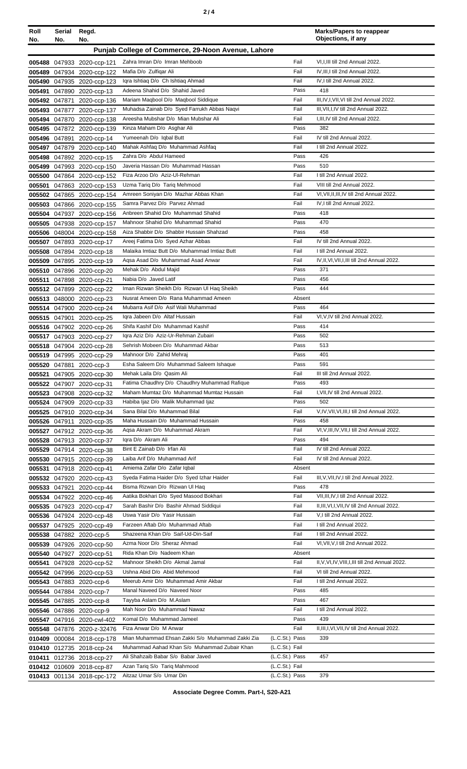|--|--|--|

| Roll   | Serial        | Regd.                                                    |                                                              |                | <b>Marks/Papers to reappear</b><br>Objections, if any |
|--------|---------------|----------------------------------------------------------|--------------------------------------------------------------|----------------|-------------------------------------------------------|
| No.    | No.           | No.                                                      |                                                              |                |                                                       |
|        |               |                                                          | Punjab College of Commerce, 29-Noon Avenue, Lahore           |                |                                                       |
|        |               | 005488 047933 2020-ccp-121                               | Zahra Imran D/o Imran Mehboob                                | Fail           | VI, I, III till 2nd Annual 2022.                      |
|        |               | 005489 047934 2020-ccp-122                               | Mafia D/o Zulfigar Ali                                       | Fail           | IV, III, I till 2nd Annual 2022.                      |
|        |               | 005490 047935 2020-ccp-123                               | Iqra Ishtiaq D/o Ch Ishtiaq Ahmad                            | Fail           | IV, I till 2nd Annual 2022.                           |
| 005491 |               | 047890 2020-ccp-13                                       | Adeena Shahid D/o Shahid Javed                               | Pass           | 418                                                   |
|        | 005492 047871 | 2020-ccp-136                                             | Mariam Maqbool D/o Maqbool Siddique                          | Fail           | III, IV, I, VII, VI till 2nd Annual 2022.             |
|        |               | 005493 047877 2020-ccp-137                               | Muhadsa Zainab D/o Syed Farrukh Abbas Nagvi                  | Fail           | III, VII, I, IV till 2nd Annual 2022.                 |
|        |               | 005494 047870 2020-ccp-138                               | Areesha Mubshar D/o Mian Mubshar Ali                         | Fail           | I, III, IV till 2nd Annual 2022.                      |
|        |               | 005495 047872 2020-ccp-139                               | Kinza Maham D/o Asghar Ali                                   | Pass           | 382                                                   |
|        |               | 005496 047891 2020-ccp-14                                | Yumeenah D/o Iqbal Butt                                      | Fail           | IV till 2nd Annual 2022.                              |
|        |               | 005497 047879 2020-ccp-140                               | Mahak Ashfaq D/o Muhammad Ashfaq                             | Fail           | I till 2nd Annual 2022.                               |
|        |               | 005498 047892 2020-ccp-15                                | Zahra D/o Abdul Hameed<br>Javeria Hassan D/o Muhammad Hassan | Pass           | 426<br>510                                            |
|        |               | 005499 047993 2020-ccp-150                               | Fiza Arzoo D/o Aziz-Ul-Rehman                                | Pass<br>Fail   | I till 2nd Annual 2022.                               |
|        |               | 005500 047864 2020-ccp-152                               | Uzma Tariq D/o Tariq Mehmood                                 | Fail           | VIII till 2nd Annual 2022.                            |
| 005501 |               | 047863 2020-ccp-153<br>005502 047865 2020-ccp-154        | Amreen Soniyan D/o Mazhar Abbas Khan                         | Fail           | VI, VII, II, III, IV till 2nd Annual 2022.            |
|        |               |                                                          | Samra Parvez D/o Parvez Ahmad                                | Fail           | IV, I till 2nd Annual 2022.                           |
|        |               | 005503 047866 2020-ccp-155<br>005504 047937 2020-ccp-156 | Anbreen Shahid D/o Muhammad Shahid                           | Pass           | 418                                                   |
|        |               | 005505 047938 2020-ccp-157                               | Mahnoor Shahid D/o Muhammad Shahid                           | Pass           | 470                                                   |
|        |               | 005506 048004 2020-ccp-158                               | Aiza Shabbir D/o Shabbir Hussain Shahzad                     | Pass           | 458                                                   |
|        |               | 005507 047893 2020-ccp-17                                | Areej Fatima D/o Syed Azhar Abbas                            | Fail           | IV till 2nd Annual 2022.                              |
|        |               | 005508 047894 2020-ccp-18                                | Malaika Imtiaz Butt D/o Muhammad Imtiaz Butt                 | Fail           | I till 2nd Annual 2022.                               |
|        |               | 005509 047895 2020-ccp-19                                | Aqsa Asad D/o Muhammad Asad Anwar                            | Fail           | IV, II, VI, VII, I, III till 2nd Annual 2022.         |
|        |               | 005510 047896 2020-ccp-20                                | Mehak D/o Abdul Majid                                        | Pass           | 371                                                   |
|        |               | 005511 047898 2020-ccp-21                                | Nabia D/o Javed Latif                                        | Pass           | 456                                                   |
|        |               | 005512 047899 2020-ccp-22                                | Iman Rizwan Sheikh D/o Rizwan UI Haq Sheikh                  | Pass           | 444                                                   |
|        |               | 005513 048000 2020-ccp-23                                | Nusrat Ameen D/o Rana Muhammad Ameen                         | Absent         |                                                       |
|        |               | 005514 047900 2020-ccp-24                                | Mubarra Asif D/o Asif Wali Muhammad                          | Pass           | 464                                                   |
|        |               | 005515 047901 2020-ccp-25                                | Igra Jabeen D/o Altaf Hussain                                | Fail           | VI, V, IV till 2nd Annual 2022.                       |
|        |               | 005516 047902 2020-ccp-26                                | Shifa Kashif D/o Muhammad Kashif                             | Pass           | 414                                                   |
|        |               | 005517 047903 2020-ccp-27                                | Iqra Aziz D/o Aziz-Ur-Rehman Zubairi                         | Pass           | 502                                                   |
|        |               | 005518 047904 2020-ccp-28                                | Sehrish Mobeen D/o Muhammad Akbar                            | Pass           | 513                                                   |
|        |               | 005519 047995 2020-ccp-29                                | Mahnoor D/o Zahid Mehraj                                     | Pass           | 401                                                   |
|        |               | 005520 047881 2020-ccp-3                                 | Esha Saleem D/o Muhammad Saleem Ishaque                      | Pass           | 591                                                   |
|        |               | 005521 047905 2020-ccp-30                                | Mehak Laila D/o Qasim Ali                                    | Fail           | III till 2nd Annual 2022.                             |
|        |               | 005522 047907 2020-ccp-31                                | Fatima Chaudhry D/o Chaudhry Muhammad Rafique                | Pass           | 493                                                   |
|        |               | 005523 047908 2020-ccp-32                                | Maham Mumtaz D/o Muhammad Mumtaz Hussain                     | Fail           | I, VII, IV till 2nd Annual 2022.                      |
|        |               | 005524 047909 2020-ccp-33                                | Habiba Ijaz D/o Malik Muhammad Ijaz                          | Pass           | 502                                                   |
|        |               | 005525 047910 2020-ccp-34                                | Sana Bilal D/o Muhammad Bilal                                | Fail           | V, IV, VII, VI, III, I till 2nd Annual 2022.          |
|        |               | 005526 047911 2020-ccp-35                                | Maha Hussain D/o Muhammad Hussain                            | Pass           | 458                                                   |
|        |               | 005527 047912 2020-ccp-36                                | Aqsa Akram D/o Muhammad Akram                                | Fail           | VI, V, III, IV, VII, I till 2nd Annual 2022.          |
|        |               | 005528 047913 2020-ccp-37                                | Igra D/o Akram Ali                                           | Pass           | 494                                                   |
|        |               | 005529 047914 2020-ccp-38                                | Bint E Zainab D/o Irfan Ali                                  | Fail           | IV till 2nd Annual 2022.                              |
|        |               | 005530 047915 2020-ccp-39                                | Laiba Arif D/o Muhammad Arif                                 | Fail           | IV till 2nd Annual 2022.                              |
|        |               | 005531 047918 2020-ccp-41                                | Amiema Zafar D/o Zafar Igbal                                 | Absent         |                                                       |
|        |               | 005532 047920 2020-ccp-43                                | Syeda Fatima Haider D/o Syed Izhar Haider                    | Fail           | III, V, VII, IV, I till 2nd Annual 2022.              |
|        |               | 005533 047921 2020-ccp-44                                | Bisma Rizwan D/o Rizwan Ul Haq                               | Pass           | 478                                                   |
|        |               | 005534 047922 2020-ccp-46                                | Aatika Bokhari D/o Syed Masood Bokhari                       | Fail           | VII, III, IV, I till 2nd Annual 2022.                 |
|        |               | 005535 047923 2020-ccp-47                                | Sarah Bashir D/o Bashir Ahmad Siddiqui                       | Fail           | II, III, VI, I, VII, IV till 2nd Annual 2022.         |
|        |               | 005536 047924 2020-ccp-48                                | Uswa Yasir D/o Yasir Hussain                                 | Fail           | V,I till 2nd Annual 2022.                             |
|        |               | 005537 047925 2020-ccp-49                                | Farzeen Aftab D/o Muhammad Aftab                             | Fail           | I till 2nd Annual 2022.                               |
|        |               | 005538 047882 2020-ccp-5                                 | Shazeena Khan D/o Saif-Ud-Din-Saif                           | Fail           | I till 2nd Annual 2022.                               |
|        |               | 005539 047926 2020-ccp-50                                | Azma Noor D/o Sheraz Ahmad                                   | Fail           | VI, VII, V, I till 2nd Annual 2022.                   |
|        |               | 005540 047927 2020-ccp-51                                | Rida Khan D/o Nadeem Khan                                    | Absent         |                                                       |
|        |               | 005541 047928 2020-ccp-52                                | Mahnoor Sheikh D/o Akmal Jamal                               | Fail           | II, V, VI, IV, VIII, I, III till 2nd Annual 2022.     |
|        |               | 005542 047996 2020-ccp-53                                | Ushna Abid D/o Abid Mehmood                                  | Fail           | VI till 2nd Annual 2022.                              |
|        |               | 005543 047883 2020-ccp-6                                 | Meerub Amir D/o Muhammad Amir Akbar                          | Fail           | I till 2nd Annual 2022.                               |
|        |               | 005544 047884 2020-ccp-7                                 | Manal Naveed D/o Naveed Noor                                 | Pass           | 485                                                   |
|        |               | 005545 047885 2020-ccp-8                                 | Tayyba Aslam D/o M.Aslam                                     | Pass           | 467                                                   |
|        |               | 005546 047886 2020-ccp-9                                 | Mah Noor D/o Muhammad Nawaz                                  | Fail           | I till 2nd Annual 2022.                               |
|        |               | 005547 047916 2020-cwl-402                               | Komal D/o Muhammad Jameel                                    | Pass           | 439                                                   |
|        |               | 005548 047876 2020-z-32476                               | Fiza Anwar D/o M Anwar                                       | Fail           | II, III, I, VI, VII, IV till 2nd Annual 2022.         |
|        |               | 010409 000084 2018-ccp-178                               | Mian Muhammad Ehsan Zakki S/o Muhammad Zakki Zia             | (L.C.St.) Pass | 339                                                   |
|        |               | 010410 012735 2018-ccp-24                                | Muhammad Aahad Khan S/o Muhammad Zubair Khan                 | (L.C.St.) Fail |                                                       |
|        |               | 010411 012736 2018-ccp-27                                | Ali Shahzaib Babar S/o Babar Javed                           | (L.C.St.) Pass | 457                                                   |
|        |               | 010412 010609 2018-ccp-87                                | Azan Tariq S/o Tariq Mahmood                                 | (L.C.St.) Fail |                                                       |
|        |               | 010413 001134 2018-cpc-172                               | Aitzaz Umar S/o Umar Din                                     | (L.C.St.) Pass | 379                                                   |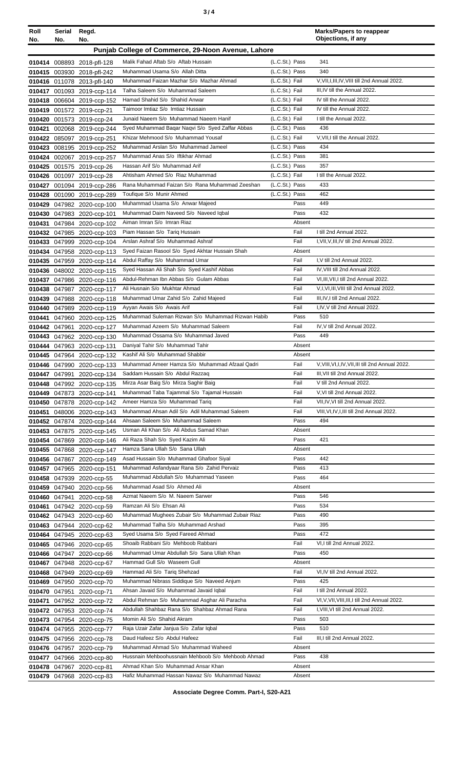| Roll<br>No. | Serial<br>No. | Regd.<br>No.                                             |                                                                                      |                | <b>Marks/Papers to reappear</b><br>Objections, if any |
|-------------|---------------|----------------------------------------------------------|--------------------------------------------------------------------------------------|----------------|-------------------------------------------------------|
|             |               |                                                          | Punjab College of Commerce, 29-Noon Avenue, Lahore                                   |                |                                                       |
|             |               | 010414 008893 2018-pfl-128                               | Malik Fahad Aftab S/o Aftab Hussain                                                  | (L.C.St.) Pass | 341                                                   |
|             |               | 010415 003930 2018-pfl-242                               | Muhammad Usama S/o Allah Ditta                                                       | (L.C.St.) Pass | 340                                                   |
|             |               | 010416 011078 2013-pfl-140                               | Muhammad Faizan Mazhar S/o Mazhar Ahmad                                              | (L.C.St.) Fail | V, VII, I, III, IV, VIII till 2nd Annual 2022.        |
|             |               | 010417 001093 2019-ccp-114                               | Talha Saleem S/o Muhammad Saleem                                                     | (L.C.St.) Fail | III, IV till the Annual 2022.                         |
|             |               | 010418 006604 2019-ccp-152                               | Hamad Shahid S/o Shahid Anwar                                                        | (L.C.St.) Fail | IV till the Annual 2022.                              |
|             |               | 010419 001572 2019-ccp-21                                | Taimoor Imtiaz S/o Imtiaz Hussain                                                    | (L.C.St.) Fail | IV till the Annual 2022.                              |
|             |               | 010420 001573 2019-ccp-24                                | Junaid Naeem S/o Muhammad Naeem Hanif                                                | (L.C.St.) Fail | I till the Annual 2022.                               |
|             |               | 010421 002068 2019-ccp-244                               | Syed Muhammad Baqar Naqvi S/o Syed Zaffar Abbas                                      | (L.C.St.) Pass | 436                                                   |
|             |               | 010422 085097 2019-ccp-251                               | Khizar Mehmood S/o Muhammad Yousaf                                                   | (L.C.St.) Fail | V.VII.I till the Annual 2022.                         |
|             |               | 010423 008195 2019-ccp-252                               | Muhammad Arslan S/o Muhammad Jameel                                                  | (L.C.St.) Pass | 434                                                   |
|             |               | 010424 002067 2019-ccp-257                               | Muhammad Anas S/o Iftikhar Ahmad                                                     | (L.C.St.) Pass | 381                                                   |
|             |               | 010425 001575 2019-ccp-26                                | Hassan Arif S/o Muhammad Arif                                                        | (L.C.St.) Pass | 357                                                   |
|             |               | 010426 001097 2019-ccp-28                                | Ahtisham Ahmed S/o Riaz Muhammad                                                     | (L.C.St.) Fail | I till the Annual 2022.                               |
|             |               | 010427 001094 2019-ccp-286                               | Rana Muhammad Faizan S/o Rana Muhammad Zeeshan                                       | (L.C.St.) Pass | 433                                                   |
|             |               | 010428 001090 2019-ccp-289                               | Toufique S/o Munir Ahmed                                                             | (L.C.St.) Pass | 462                                                   |
|             |               | 010429 047982 2020-ccp-100                               | Muhammad Usama S/o Anwar Majeed                                                      | Pass           | 449                                                   |
|             |               | 010430 047983 2020-ccp-101                               | Muhammad Daim Naveed S/o Naveed lobal                                                | Pass           | 432                                                   |
|             |               | 010431 047984 2020-ccp-102                               | Aiman Imran S/o Imran Riaz                                                           | Absent         |                                                       |
|             |               | 010432 047985 2020-ccp-103                               | Piam Hassan S/o Tariq Hussain                                                        | Fail           | I till 2nd Annual 2022.                               |
|             |               | 010433 047999 2020-ccp-104                               | Arslan Ashraf S/o Muhammad Ashraf<br>Syed Faizan Rasool S/o Syed Akhtar Hussain Shah | Fail<br>Absent | I, VII, V, III, IV till 2nd Annual 2022.              |
|             |               | 010434 047958 2020-ccp-113                               | Abdul Raffay S/o Muhammad Umar                                                       | Fail           | I.V till 2nd Annual 2022.                             |
|             |               | 010435 047959 2020-ccp-114<br>010436 048002 2020-ccp-115 | Syed Hassan Ali Shah S/o Syed Kashif Abbas                                           | Fail           | IV, VIII till 2nd Annual 2022.                        |
|             |               | 010437 047986 2020-ccp-116                               | Abdul-Rehman Ibn Abbas S/o Gulam Abbas                                               | Fail           | VI, III, VII, I till 2nd Annual 2022.                 |
|             |               | 010438 047987 2020-ccp-117                               | Ali Husnain S/o Mukhtar Ahmad                                                        | Fail           | V,I, VI, III, VIII till 2nd Annual 2022.              |
|             |               | 010439 047988 2020-ccp-118                               | Muhammad Umar Zahid S/o Zahid Majeed                                                 | Fail           | III, IV, I till 2nd Annual 2022.                      |
|             |               | 010440 047989 2020-ccp-119                               | Ayyan Awais S/o Awais Arif                                                           | Fail           | I,IV, V till 2nd Annual 2022.                         |
|             |               | 010441 047960 2020-ccp-125                               | Muhammad Suleman Rizwan S/o Muhammad Rizwan Habib                                    | Pass           | 510                                                   |
|             |               | 010442 047961 2020-ccp-127                               | Muhammad Azeem S/o Muhammad Saleem                                                   | Fail           | IV, V till 2nd Annual 2022.                           |
|             |               | 010443 047962 2020-ccp-130                               | Muhammad Ossama S/o Muhammad Javed                                                   | Pass           | 449                                                   |
|             |               | 010444 047963 2020-ccp-131                               | Daniyal Tahir S/o Muhammad Tahir                                                     | Absent         |                                                       |
|             |               | 010445 047964 2020-ccp-132                               | Kashif Ali S/o Muhammad Shabbir                                                      | Absent         |                                                       |
|             |               | 010446 047990 2020-ccp-133                               | Muhammad Ameer Hamza S/o Muhammad Afzaal Qadri                                       | Fail           | V.VIII.VI.I.IV.VII.III till 2nd Annual 2022.          |
|             |               | 010447 047991 2020-ccp-134                               | Saddam Hussain S/o Abdul Razzaq                                                      | Fail           | III, VII till 2nd Annual 2022.                        |
|             |               | 010448 047992 2020-ccp-135                               | Mirza Asar Baig S/o Mirza Saghir Baig                                                | Fail           | V till 2nd Annual 2022.                               |
|             |               | 010449 047873 2020-ccp-141                               | Muhammad Taba Tajammal S/o Tajamal Hussain                                           | Fail           | V, VI till 2nd Annual 2022.                           |
|             |               | 010450 047878 2020-ccp-142                               | Ameer Hamza S/o Muhammad Tariq                                                       | Fail           | VII, IV, VI till 2nd Annual 2022.                     |
|             |               | 010451 048006 2020-ccp-143                               | Muhammad Ahsan Adil S/o Adil Muhammad Saleem                                         | Fail           | VIII, VI, IV, I, III till 2nd Annual 2022.            |
|             |               | 010452 047874 2020-ccp-144                               | Ahsaan Saleem S/o Muhammad Saleem                                                    | Pass           | 494                                                   |
|             |               | 010453 047875 2020-ccp-145                               | Usman Ali Khan S/o Ali Abdus Samad Khan                                              | Absent         |                                                       |
|             |               | 010454 047869 2020-ccp-146                               | Ali Raza Shah S/o Syed Kazim Ali                                                     | Pass           | 421                                                   |
|             |               | 010455 047868 2020-ccp-147                               | Hamza Sana Ullah S/o Sana Ullah                                                      | Absent         |                                                       |
|             |               | 010456 047867 2020-ccp-149                               | Asad Hussain S/o Muhammad Ghafoor Siyal                                              | Pass           | 442                                                   |
|             |               | 010457 047965 2020-ccp-151                               | Muhammad Asfandyaar Rana S/o Zahid Pervaiz                                           | Pass           | 413                                                   |
|             |               | 010458 047939 2020-ccp-55                                | Muhammad Abdullah S/o Muhammad Yaseen<br>Muhammad Asad S/o Ahmed Ali                 | Pass<br>Absent | 464                                                   |
|             |               | 010459 047940 2020-ccp-56                                | Azmat Naeem S/o M. Naeem Sarwer                                                      | Pass           | 546                                                   |
|             |               | 010460 047941 2020-ccp-58                                | Ramzan Ali S/o Ehsan Ali                                                             | Pass           | 534                                                   |
|             |               | 010461 047942 2020-ccp-59<br>010462 047943 2020-ccp-60   | Muhammad Mughees Zubair S/o Muhammad Zubair Riaz                                     | Pass           | 490                                                   |
|             |               | 010463 047944 2020-ccp-62                                | Muhammad Talha S/o Muhammad Arshad                                                   | Pass           | 395                                                   |
|             |               | 010464 047945 2020-ccp-63                                | Syed Usama S/o Syed Fareed Ahmad                                                     | Pass           | 472                                                   |
|             |               | 010465 047946 2020-ccp-65                                | Shoaib Rabbani S/o Mehboob Rabbani                                                   | Fail           | VI, I till 2nd Annual 2022.                           |
|             |               | 010466 047947 2020-ccp-66                                | Muhammad Umar Abdullah S/o Sana Ullah Khan                                           | Pass           | 450                                                   |
|             |               | 010467 047948 2020-ccp-67                                | Hammad Gull S/o Waseem Gull                                                          | Absent         |                                                       |
|             |               | 010468 047949 2020-ccp-69                                | Hammad Ali S/o Tariq Shehzad                                                         | Fail           | VI, IV till 2nd Annual 2022.                          |
|             |               | 010469 047950 2020-ccp-70                                | Muhammad Nibrass Siddique S/o Naveed Anjum                                           | Pass           | 425                                                   |
|             |               | 010470 047951 2020-ccp-71                                | Ahsan Javaid S/o Muhammad Javaid Iqbal                                               | Fail           | I till 2nd Annual 2022.                               |
|             |               | 010471 047952 2020-ccp-72                                | Abdul Rehman S/o Muhammad Asghar Ali Paracha                                         | Fail           | VI, V, VII, VIII, III, I till 2nd Annual 2022.        |
|             |               | 010472 047953 2020-ccp-74                                | Abdullah Shahbaz Rana S/o Shahbaz Ahmad Rana                                         | Fail           | I, VIII, VI till 2nd Annual 2022.                     |
|             |               | 010473 047954 2020-ccp-75                                | Momin Ali S/o Shahid Akram                                                           | Pass           | 503                                                   |
|             |               | 010474 047955 2020-ccp-77                                | Raja Uzair Zafar Janjua S/o Zafar Igbal                                              | Pass           | 510                                                   |
|             |               | 010475 047956 2020-ccp-78                                | Daud Hafeez S/o Abdul Hafeez                                                         | Fail           | III,I till 2nd Annual 2022.                           |
|             |               | 010476 047957 2020-ccp-79                                | Muhammad Ahmad S/o Muhammad Waheed                                                   | Absent         |                                                       |
|             |               | 010477 047966 2020-ccp-80                                | Hussnain Mehboohussnain Mehboob S/o Mehboob Ahmad                                    | Pass           | 438                                                   |
|             |               | 010478 047967 2020-ccp-81                                | Ahmad Khan S/o Muhammad Ansar Khan                                                   | Absent         |                                                       |
|             |               | 010479 047968 2020-ccp-83                                | Hafiz Muhammad Hassan Nawaz S/o Muhammad Nawaz                                       | Absent         |                                                       |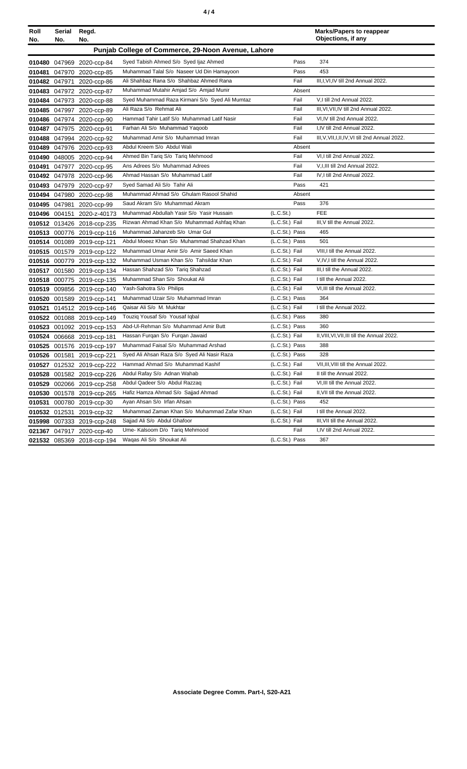|--|--|--|

| III, I, VI, IV till 2nd Annual 2022.<br>V,I till 2nd Annual 2022.<br>III.VI.VII.IV till 2nd Annual 2022.<br>VI, IV till 2nd Annual 2022. |
|------------------------------------------------------------------------------------------------------------------------------------------|
|                                                                                                                                          |
|                                                                                                                                          |
|                                                                                                                                          |
|                                                                                                                                          |
|                                                                                                                                          |
|                                                                                                                                          |
|                                                                                                                                          |
|                                                                                                                                          |
| I,IV till 2nd Annual 2022.                                                                                                               |
| III, V, VII, I, II, IV, VI till 2nd Annual 2022.                                                                                         |
|                                                                                                                                          |
| VI,I till 2nd Annual 2022.                                                                                                               |
| V, I, III till 2nd Annual 2022.                                                                                                          |
| IV, I till 2nd Annual 2022.                                                                                                              |
|                                                                                                                                          |
|                                                                                                                                          |
|                                                                                                                                          |
|                                                                                                                                          |
| III, V till the Annual 2022.                                                                                                             |
|                                                                                                                                          |
|                                                                                                                                          |
| VIII, I till the Annual 2022.                                                                                                            |
| V, IV, I till the Annual 2022.                                                                                                           |
| III, I till the Annual 2022.                                                                                                             |
| I till the Annual 2022.                                                                                                                  |
| VI, III till the Annual 2022.                                                                                                            |
|                                                                                                                                          |
| I till the Annual 2022.                                                                                                                  |
|                                                                                                                                          |
|                                                                                                                                          |
| II, VIII, VI, VII, III till the Annual 2022.                                                                                             |
|                                                                                                                                          |
|                                                                                                                                          |
| VII, III, VIII till the Annual 2022.                                                                                                     |
| II till the Annual 2022.                                                                                                                 |
| VI, III till the Annual 2022.                                                                                                            |
| II, VII till the Annual 2022.                                                                                                            |
|                                                                                                                                          |
| I till the Annual 2022.                                                                                                                  |
| III, VII till the Annual 2022.                                                                                                           |
| I,IV till 2nd Annual 2022.                                                                                                               |
|                                                                                                                                          |
|                                                                                                                                          |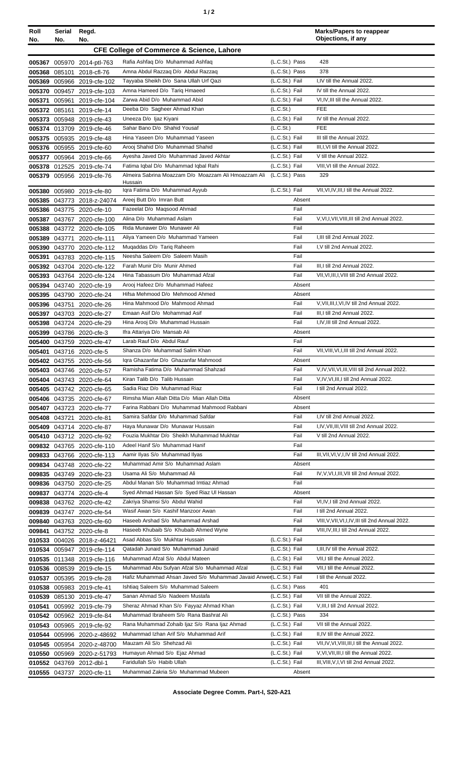| ٠ |  |  |
|---|--|--|
|---|--|--|

| Roll<br>No. | Serial Regd.<br>No.                                  | No.                                                      |                                                                                 |                                  | <b>Marks/Papers to reappear</b><br>Objections, if any        |  |
|-------------|------------------------------------------------------|----------------------------------------------------------|---------------------------------------------------------------------------------|----------------------------------|--------------------------------------------------------------|--|
|             | <b>CFE College of Commerce &amp; Science, Lahore</b> |                                                          |                                                                                 |                                  |                                                              |  |
|             |                                                      |                                                          | Rafia Ashfaq D/o Muhammad Ashfaq                                                | (L.C.St.) Pass                   | 428                                                          |  |
| 005368      |                                                      | 005367 005970 2014-ptl-763<br>085101 2018-cfl-76         | Amna Abdul Razzaq D/o Abdul Razzaq                                              | (L.C.St.) Pass                   | 378                                                          |  |
| 005369      |                                                      | 005966 2019-cfe-102                                      | Tayyaba Sheikh D/o Sana Ullah Urf Qazi                                          | (L.C.St.) Fail                   | I,IV till the Annual 2022.                                   |  |
| 005370      |                                                      | 009457 2019-cfe-103                                      | Amna Hameed D/o Tariq Hmaeed                                                    | (L.C.St.) Fail                   | IV till the Annual 2022.                                     |  |
| 005371      |                                                      | 005961 2019-cfe-104                                      | Zarwa Abid D/o Muhammad Abid                                                    | (L.C.St.) Fail                   | VI, IV, III till the Annual 2022.                            |  |
|             |                                                      | 005372 085161 2019-cfe-14                                | Deeba D/o Sagheer Ahmad Khan                                                    | (L.C.S <sub>t</sub> )            | <b>FEE</b>                                                   |  |
|             |                                                      | 005373 005948 2019-cfe-43                                | Uneeza D/o Ijaz Kiyani                                                          | (L.C.St.) Fail                   | IV till the Annual 2022.                                     |  |
|             |                                                      | 005374 013709 2019-cfe-46                                | Sahar Bano D/o Shahid Yousaf                                                    | (L.C.St.)                        | <b>FEE</b>                                                   |  |
|             |                                                      | 005375 005935 2019-cfe-48                                | Hina Yaseen D/o Muhammad Yaseen                                                 | (L.C.St.) Fail                   | III till the Annual 2022.                                    |  |
|             |                                                      | 005376 005955 2019-cfe-60                                | Arooj Shahid D/o Muhammad Shahid                                                | (L.C.St.) Fail                   | III, I, VI till the Annual 2022.                             |  |
|             |                                                      | 005377 005964 2019-cfe-66                                | Ayesha Javed D/o Muhammad Javed Akhtar<br>Fatima Iqbal D/o Muhammad Iqbal Rahi  | (L.C.St.) Fail                   | V till the Annual 2022.<br>VIII, VI till the Annual 2022.    |  |
|             |                                                      | 005378 012525 2019-cfe-74<br>005379 005956 2019-cfe-76   | Almeira Sabrina Moazzam D/o Moazzam Ali Hmoazzam Ali (L.C.St.) Pass             | (L.C.St.) Fail                   | 329                                                          |  |
|             |                                                      |                                                          | Hussain                                                                         |                                  |                                                              |  |
| 005380      |                                                      | 005980 2019-cfe-80                                       | Iqra Fatima D/o Muhammad Ayyub                                                  | (L.C.St.) Fail                   | VII, VI, IV, III, I till the Annual 2022.                    |  |
| 005385      |                                                      | 043773 2018-z-24074                                      | Areej Butt D/o Imran Butt                                                       | Absent                           |                                                              |  |
|             |                                                      | 005386 043775 2020-cfe-10                                | Fazeelat D/o Magsood Ahmad                                                      | Fail                             |                                                              |  |
| 005387      |                                                      | 043767 2020-cfe-100                                      | Alina D/o Muhammad Aslam                                                        | Fail                             | V, VI, I, VII, VIII, III till 2nd Annual 2022.               |  |
|             |                                                      | 005388 043772 2020-cfe-105                               | Rida Munawer D/o Munawer Ali<br>Aliya Yameen D/o Muhammad Yameen                | Fail<br>Fail                     | I.III till 2nd Annual 2022.                                  |  |
|             |                                                      | 005389 043771 2020-cfe-111<br>005390 043770 2020-cfe-112 | Muqaddas D/o Tariq Raheem                                                       | Fail                             | I.V till 2nd Annual 2022.                                    |  |
| 005391      |                                                      | 043783 2020-cfe-115                                      | Neesha Saleem D/o Saleem Masih                                                  | Fail                             |                                                              |  |
|             |                                                      | 005392 043704 2020-cfe-122                               | Farah Munir D/o Munir Ahmed                                                     | Fail                             | III, I till 2nd Annual 2022.                                 |  |
|             |                                                      | 005393 043764 2020-cfe-124                               | Hina Tabassum D/o Muhammad Afzal                                                | Fail                             | VII, VI, III, I, VIII till 2nd Annual 2022.                  |  |
|             |                                                      | 005394 043740 2020-cfe-19                                | Arooj Hafeez D/o Muhammad Hafeez                                                | Absent                           |                                                              |  |
|             |                                                      | 005395 043790 2020-cfe-24                                | Hifsa Mehmood D/o Mehmood Ahmed                                                 | Absent                           |                                                              |  |
|             |                                                      | 005396 043751 2020-cfe-26                                | Hina Mahmood D/o Mahmood Ahmad                                                  | Fail                             | V, VII, III, I, VI, IV till 2nd Annual 2022.                 |  |
|             |                                                      | 005397 043703 2020-cfe-27                                | Emaan Asif D/o Mohammad Asif                                                    | Fail                             | III,I till 2nd Annual 2022.                                  |  |
| 005398      |                                                      | 043724 2020-cfe-29                                       | Hina Arooj D/o Muhammad Hussain                                                 | Fail                             | I, IV, III till 2nd Annual 2022.                             |  |
| 005399      |                                                      | 043786 2020-cfe-3                                        | Ifra Attariya D/o Mansab Ali                                                    | Absent                           |                                                              |  |
| 005400      |                                                      | 043759 2020-cfe-47                                       | Larab Rauf D/o Abdul Rauf<br>Shanza D/o Muhammad Salim Khan                     | Fail<br>Fail                     | VII, VIII, VI, I, III till 2nd Annual 2022.                  |  |
|             |                                                      | 005401 043716 2020-cfe-5<br>005402 043755 2020-cfe-56    | Iqra Ghazanfar D/o Ghazanfar Mahmood                                            | Absent                           |                                                              |  |
|             |                                                      | 005403 043746 2020-cfe-57                                | Ramisha Fatima D/o Muhammad Shahzad                                             | Fail                             | V, IV, VII, VI, III, VIII till 2nd Annual 2022.              |  |
|             |                                                      | 005404 043743 2020-cfe-64                                | Kiran Talib D/o Talib Hussain                                                   | Fail                             | V,IV,VI,III,I till 2nd Annual 2022.                          |  |
|             |                                                      | 005405 043742 2020-cfe-65                                | Sadia Riaz D/o Muhammad Riaz                                                    | Fail                             | I till 2nd Annual 2022.                                      |  |
|             |                                                      | 005406 043735 2020-cfe-67                                | Rimsha Mian Allah Ditta D/o Mian Allah Ditta                                    | Absent                           |                                                              |  |
|             |                                                      | 005407 043723 2020-cfe-77                                | Farina Rabbani D/o Muhammad Mahmood Rabbani                                     | Absent                           |                                                              |  |
|             |                                                      | 005408 043721 2020-cfe-81                                | Samira Safdar D/o Muhammad Safdar                                               | Fail                             | I,IV till 2nd Annual 2022.                                   |  |
|             |                                                      | 005409 043714 2020-cfe-87                                | Haya Munawar D/o Munawar Hussain                                                | Fail                             | I,IV, VII, III, VIII till 2nd Annual 2022.                   |  |
|             |                                                      | 005410 043712 2020-cfe-92                                | Fouzia Mukhtar D/o Sheikh Muhammad Mukhtar                                      | Fail                             | V till 2nd Annual 2022.                                      |  |
|             |                                                      | 009832 043765 2020-cfe-110                               | Adeel Hanif S/o Muhammad Hanif<br>Aamir Ilyas S/o Muhammad Ilyas                | Fail<br>Fail                     | III, VII, VI, V, I, IV till 2nd Annual 2022.                 |  |
|             |                                                      | 009833 043766 2020-cfe-113<br>009834 043748 2020-cfe-22  | Muhammad Amir S/o Muhammad Aslam                                                | Absent                           |                                                              |  |
|             |                                                      | 009835 043749 2020-cfe-23                                | Usama Ali S/o Muhammad Ali                                                      | Fail                             | IV, V, VI, I, III, VII till 2nd Annual 2022.                 |  |
|             |                                                      | 009836 043750 2020-cfe-25                                | Abdul Manan S/o Muhammad Imtiaz Ahmad                                           | Fail                             |                                                              |  |
|             |                                                      | 009837 043774 2020-cfe-4                                 | Syed Ahmad Hassan S/o Syed Riaz Ul Hassan                                       | Absent                           |                                                              |  |
|             |                                                      | 009838 043762 2020-cfe-42                                | Zakriya Shamsi S/o Abdul Wahid                                                  | Fail                             | VI, IV, I till 2nd Annual 2022.                              |  |
|             |                                                      | 009839 043747 2020-cfe-54                                | Wasif Awan S/o Kashif Manzoor Awan                                              | Fail                             | I till 2nd Annual 2022.                                      |  |
|             |                                                      | 009840 043763 2020-cfe-60                                | Haseeb Arshad S/o Muhammad Arshad                                               | Fail                             | VIII, V, VII, VI, I, IV, III till 2nd Annual 2022.           |  |
|             |                                                      | 009841 043752 2020-cfe-8                                 | Haseeb Khubaib S/o Khubaib Ahmed Wyne                                           | Fail                             | VIII, IV, III, I till 2nd Annual 2022.                       |  |
|             |                                                      | 010533 004026 2018-z-46421                               | Asad Abbas S/o Mukhtar Hussain                                                  | (L.C.St.) Fail                   |                                                              |  |
|             |                                                      | 010534 005947 2019-cfe-114                               | Qatadah Junaid S/o Muhammad Junaid                                              | (L.C.St.) Fail                   | I, III, IV till the Annual 2022.                             |  |
|             |                                                      | 010535 011348 2019-cfe-116                               | Muhammad Afzal S/o Abdul Mateen<br>Muhammad Abu Sufyan Afzal S/o Muhammad Afzal | (L.C.St.) Fail<br>(L.C.St.) Fail | VII, I till the Annual 2022.<br>VII, I till the Annual 2022. |  |
|             |                                                      | 010536 008539 2019-cfe-15<br>010537 005395 2019-cfe-28   | Hafiz Muhammad Ahsan Javed S/o Muhammad Javaid Anwer(L.C.St.) Fail              |                                  | I till the Annual 2022.                                      |  |
|             |                                                      | 010538 005983 2019-cfe-41                                | Ishtiaq Saleem S/o Muhammad Saleem                                              | (L.C.St.) Pass                   | 401                                                          |  |
|             |                                                      | 010539 085130 2019-cfe-47                                | Sanan Ahmad S/o Nadeem Mustafa                                                  | (L.C.St.) Fail                   | VII till the Annual 2022.                                    |  |
| 010541      |                                                      | 005992 2019-cfe-79                                       | Sheraz Ahmad Khan S/o Fayyaz Ahmad Khan                                         | (L.C.St.) Fail                   | V, III, I till 2nd Annual 2022.                              |  |
|             |                                                      | 010542 005962 2019-cfe-84                                | Muhammad Ibraheem S/o Rana Bashrat Ali                                          | (L.C.St.) Pass                   | 334                                                          |  |
|             |                                                      | 010543 005965 2019-cfe-92                                | Rana Muhammad Zohaib Ijaz S/o Rana Ijaz Ahmad                                   | (L.C.St.) Fail                   | VII till the Annual 2022.                                    |  |
|             |                                                      | 010544 005996 2020-z-48692                               | Muhammad Izhan Arif S/o Muhammad Arif                                           | (L.C.St.) Fail                   | II,IV till the Annual 2022.                                  |  |
|             |                                                      | 010545 005954 2020-z-48700                               | Mauzam Ali S/o Shehzad Ali                                                      | (L.C.St.) Fail                   | VII, IV, VI, VIII, III, I till the Annual 2022.              |  |
|             |                                                      | 010550 005969 2020-z-51793                               | Humayun Ahmad S/o Ejaz Ahmad                                                    | (L.C.St.) Fail                   | V, VI, VII, III, I till the Annual 2022.                     |  |
|             |                                                      | 010552 043769 2012-dbl-1                                 | Faridullah S/o Habib Ullah                                                      | (L.C.St.) Fail                   | III, VIII, V, I, VI till 2nd Annual 2022.                    |  |
|             |                                                      | 010555 043737 2020-cfe-11                                | Muhammad Zakria S/o Muhammad Mubeen                                             | Absent                           |                                                              |  |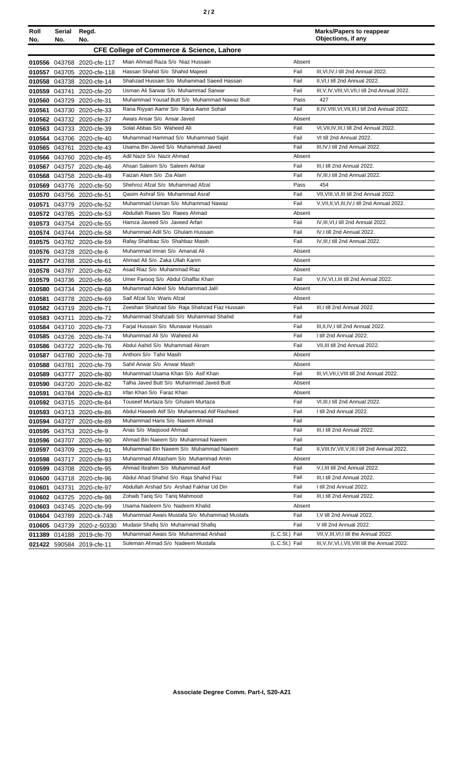| Roll<br>No. | Serial<br>No.                                        | Regd.<br>No.               |                                               |                |        | <b>Marks/Papers to reappear</b><br>Objections, if any |  |
|-------------|------------------------------------------------------|----------------------------|-----------------------------------------------|----------------|--------|-------------------------------------------------------|--|
|             | <b>CFE College of Commerce &amp; Science, Lahore</b> |                            |                                               |                |        |                                                       |  |
|             |                                                      | 010556 043768 2020-cfe-117 | Mian Ahmad Raza S/o Niaz Hussain              |                | Absent |                                                       |  |
|             |                                                      | 010557 043705 2020-cfe-118 | Hassan Shahid S/o Shahid Majeed               | Fail           |        | III, VI, IV, I till 2nd Annual 2022.                  |  |
|             |                                                      | 010558 043738 2020-cfe-14  | Shahzad Hussain S/o Muhammad Saeed Hassan     | Fail           |        | II, VI, I till 2nd Annual 2022.                       |  |
|             |                                                      | 010559 043741 2020-cfe-20  | Usman Ali Sarwar S/o Muhammad Sarwar          | Fail           |        | III, V, IV, VIII, VI, VII, I till 2nd Annual 2022.    |  |
|             |                                                      | 010560 043729 2020-cfe-31  | Muhammad Yousaf Butt S/o Muhammad Nawaz Butt  |                | Pass   | 427                                                   |  |
|             |                                                      | 010561 043730 2020-cfe-33  | Rana Riyyan Aamir S/o Rana Aamir Sohail       | Fail           |        | II,IV, VIII, VI, VII, III, I till 2nd Annual 2022.    |  |
|             |                                                      | 010562 043732 2020-cfe-37  | Awais Ansar S/o Ansar Javed                   |                | Absent |                                                       |  |
|             |                                                      | 010563 043733 2020-cfe-39  | Solat Abbas S/o Waheed Ali                    | Fail           |        | VI, VII, IV, III, I till 2nd Annual 2022.             |  |
| 010564      |                                                      | 043706 2020-cfe-40         | Muhammad Hammad S/o Muhammad Sajid            | Fail           |        | VI till 2nd Annual 2022.                              |  |
|             |                                                      | 010565 043761 2020-cfe-43  | Usama Bin Javed S/o Muhammad Javed            | Fail           |        | III, IV, I till 2nd Annual 2022.                      |  |
|             |                                                      | 010566 043760 2020-cfe-45  | Adil Nazir S/o Nazir Ahmad                    |                | Absent |                                                       |  |
|             |                                                      | 010567 043757 2020-cfe-46  | Ahsan Saleem S/o Saleem Akhtar                | Fail           |        | III, I till 2nd Annual 2022.                          |  |
|             |                                                      | 010568 043758 2020-cfe-49  | Faizan Alam S/o Zia Alam                      | Fail           |        | IV, III, I till 2nd Annual 2022.                      |  |
|             |                                                      | 010569 043776 2020-cfe-50  | Shehroz Afzal S/o Muhammad Afzal              |                | Pass   | 454                                                   |  |
|             |                                                      | 010570 043756 2020-cfe-51  | Qasim Ashraf S/o Muhammad Asraf               | Fail           |        | VII, VIII, VI, III till 2nd Annual 2022.              |  |
|             |                                                      | 010571 043779 2020-cfe-52  | Muhammad Usman S/o Muhammad Nawaz             | Fail           |        | V, VII, II, VI, III, IV, I till 2nd Annual 2022.      |  |
|             |                                                      | 010572 043785 2020-cfe-53  | Abdullah Raees S/o Raees Ahmad                |                | Absent |                                                       |  |
|             |                                                      | 010573 043754 2020-cfe-55  | Hamza Javeed S/o Javeed Arfan                 | Fail           |        | IV, III, VI, I till 2nd Annual 2022.                  |  |
|             |                                                      | 010574 043744 2020-cfe-58  | Muhammad Adil S/o Ghulam Hussain              | Fail           |        | IV, I till 2nd Annual 2022.                           |  |
|             |                                                      | 010575 043782 2020-cfe-59  | Rafay Shahbaz S/o Shahbaz Masih               | Fail           |        | IV, III, I till 2nd Annual 2022.                      |  |
|             |                                                      | 010576 043728 2020-cfe-6   | Muhammad Imran S/o Amanat Ali                 |                | Absent |                                                       |  |
|             |                                                      | 010577 043788 2020-cfe-61  | Ahmad Ali S/o Zaka Ullah Karim                |                | Absent |                                                       |  |
|             |                                                      | 010578 043787 2020-cfe-62  | Asad Riaz S/o Muhammad Riaz                   |                | Absent |                                                       |  |
|             |                                                      | 010579 043736 2020-cfe-66  | Umer Farooq S/o Abdul Ghaffar Khan            | Fail           |        | V, IV, VI, I, III till 2nd Annual 2022.               |  |
|             |                                                      | 010580 043734 2020-cfe-68  | Muhammad Adeel S/o Muhammad Jalil             |                | Absent |                                                       |  |
|             |                                                      | 010581 043778 2020-cfe-69  | Saif Afzal S/o Waris Afzal                    |                | Absent |                                                       |  |
|             |                                                      | 010582 043719 2020-cfe-71  | Zeeshan Shahzad S/o Raja Shahzad Fiaz Hussain | Fail           |        | III, I till 2nd Annual 2022.                          |  |
|             |                                                      | 010583 043711 2020-cfe-72  | Muhammad Shahzaib S/o Muhammad Shahid         | Fail           |        |                                                       |  |
|             |                                                      | 010584 043710 2020-cfe-73  | Farjal Hussain S/o Munawar Hussain            | Fail           |        | III, II, IV, I till 2nd Annual 2022.                  |  |
|             |                                                      | 010585 043726 2020-cfe-74  | Muhammad Ali S/o Waheed Ali                   | Fail           |        | I till 2nd Annual 2022.                               |  |
|             |                                                      | 010586 043722 2020-cfe-76  | Abdul Aahid S/o Muhammad Akram                | Fail           |        | VII.III till 2nd Annual 2022.                         |  |
|             |                                                      | 010587 043780 2020-cfe-78  | Anthoni S/o Tahir Masih                       |                | Absent |                                                       |  |
|             |                                                      | 010588 043781 2020-cfe-79  | Sahil Anwar S/o Anwar Masih                   |                | Absent |                                                       |  |
|             |                                                      | 010589 043777 2020-cfe-80  | Muhammad Usama Khan S/o Asif Khan             | Fail           |        | III, VI, VII, I, VIII till 2nd Annual 2022.           |  |
|             |                                                      | 010590 043720 2020-cfe-82  | Talha Javed Butt S/o Muhammad Javed Butt      |                | Absent |                                                       |  |
|             |                                                      | 010591 043784 2020-cfe-83  | Irfan Khan S/o Faraz Khan                     |                | Absent |                                                       |  |
|             |                                                      | 010592 043715 2020-cfe-84  | Touseef Murtaza S/o Ghulam Murtaza            | Fail           |        | VI, III, I till 2nd Annual 2022.                      |  |
|             |                                                      | 010593 043713 2020-cfe-86  | Abdul Haseeb Atif S/o Muhammad Atif Rasheed   | Fail           |        | I till 2nd Annual 2022.                               |  |
|             |                                                      | 010594 043727 2020-cfe-89  | Muhammad Haris S/o Naeem Ahmad                | Fail           |        |                                                       |  |
|             |                                                      | 010595 043753 2020-cfe-9   | Anas S/o Magsood Ahmad                        | Fail           |        | III,I till 2nd Annual 2022.                           |  |
|             |                                                      | 010596 043707 2020-cfe-90  | Ahmad Bin Naeem S/o Muhammad Naeem            | Fail           |        |                                                       |  |
|             |                                                      | 010597 043709 2020-cfe-91  | Muhammad Bin Naeem S/o Muhammad Naeem         | Fail           |        | II, VIII, IV, VII, V, III, I till 2nd Annual 2022.    |  |
|             |                                                      | 010598 043717 2020-cfe-93  | Muhammad Ahtasham S/o Muhammad Amin           |                | Absent |                                                       |  |
|             |                                                      | 010599 043708 2020-cfe-95  | Ahmad Ibrahim S/o Muhammad Asif               | Fail           |        | V, I, III till 2nd Annual 2022.                       |  |
|             |                                                      | 010600 043718 2020-cfe-96  | Abdul Ahad Shahid S/o Raja Shahid Fiaz        | Fail           |        | III,I till 2nd Annual 2022.                           |  |
|             | 010601 043731                                        | 2020-cfe-97                | Abdullah Arshad S/o Arshad Fakhar Ud Din      | Fail           |        | I till 2nd Annual 2022.                               |  |
|             |                                                      | 010602 043725 2020-cfe-98  | Zohaib Tariq S/o Tariq Mahmood                | Fail           |        | III,I till 2nd Annual 2022.                           |  |
|             |                                                      | 010603 043745 2020-cfe-99  | Usama Nadeem S/o Nadeem Khalid                |                | Absent |                                                       |  |
|             |                                                      | 010604 043789 2020-ck-748  | Muhammad Awais Mustafa S/o Muhammad Mustafa   | Fail           |        | I, V till 2nd Annual 2022.                            |  |
|             |                                                      | 010605 043739 2020-z-50330 | Mudasir Shafiq S/o Muhammad Shafiq            | Fail           |        | V till 2nd Annual 2022.                               |  |
|             |                                                      | 011389 014188 2019-cfe-70  | Muhammad Awais S/o Muhammad Arshad            | (L.C.St.) Fail |        | VII, V, III, VI, I till the Annual 2022.              |  |
|             |                                                      | 021422 590584 2019-cfe-11  | Suleman Ahmad S/o Nadeem Mustafa              | (L.C.St.) Fail |        | III, V, IV, VI, I, VII, VIII till the Annual 2022.    |  |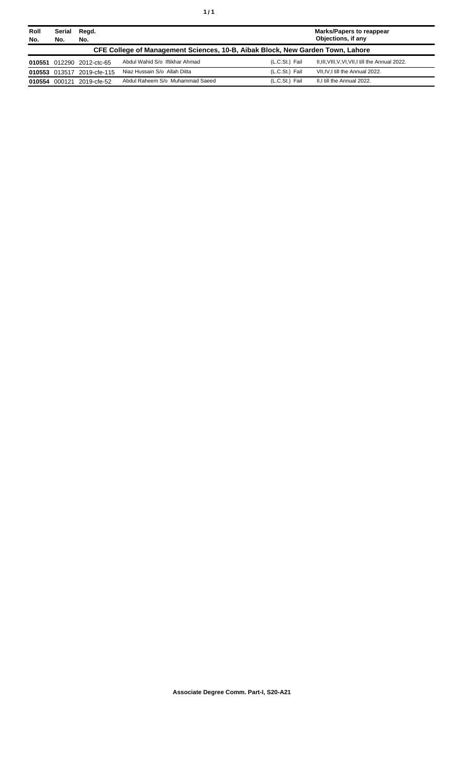| Roll<br>No. | Serial<br>No. | Regd.<br>No.               |                                                                                |                | Marks/Papers to reappear<br>Objections, if any     |
|-------------|---------------|----------------------------|--------------------------------------------------------------------------------|----------------|----------------------------------------------------|
|             |               |                            | CFE College of Management Sciences, 10-B, Aibak Block, New Garden Town, Lahore |                |                                                    |
|             |               | 010551 012290 2012-ctc-65  | Abdul Wahid S/o Iftikhar Ahmad                                                 | (L.C.St.) Fail | II, III, VIII, V, VI, VII, I till the Annual 2022. |
|             |               | 010553 013517 2019-cfe-115 | Niaz Hussain S/o Allah Ditta                                                   | (L.C.St.) Fail | VII.IV.I till the Annual 2022.                     |
| 010554      | 000121        | 2019-cfe-52                | Abdul Raheem S/o Muhammad Saeed                                                | (L.C.St.) Fail | II.I till the Annual 2022.                         |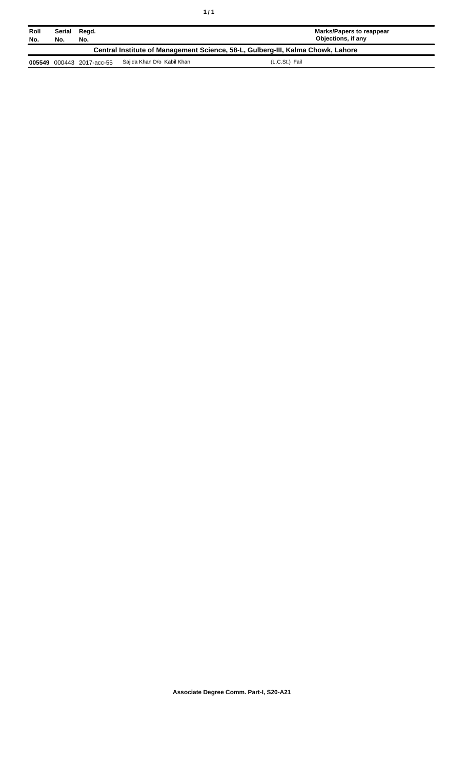| Roll<br>No.                                                                     | Serial<br>No. | Regd.<br>No.       |                            | <b>Marks/Papers to reappear</b><br>Objections, if any |  |
|---------------------------------------------------------------------------------|---------------|--------------------|----------------------------|-------------------------------------------------------|--|
| Central Institute of Management Science, 58-L, Gulberg-III, Kalma Chowk, Lahore |               |                    |                            |                                                       |  |
| 005549                                                                          |               | 000443 2017-acc-55 | Sajida Khan D/o Kabil Khan | (L.C.St.) Fail                                        |  |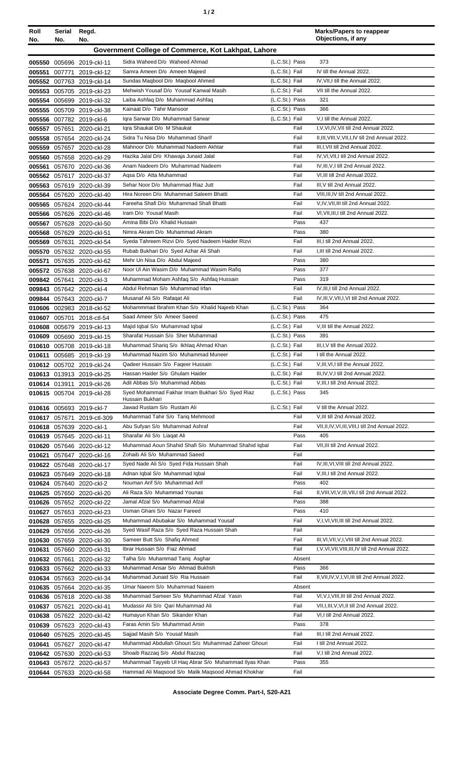| Roll<br>No. | Serial<br>No.                                       | Regd.<br>No.                                           |                                                                                     |                                  | <b>Marks/Papers to reappear</b><br>Objections, if any                               |  |  |
|-------------|-----------------------------------------------------|--------------------------------------------------------|-------------------------------------------------------------------------------------|----------------------------------|-------------------------------------------------------------------------------------|--|--|
|             | Government College of Commerce, Kot Lakhpat, Lahore |                                                        |                                                                                     |                                  |                                                                                     |  |  |
|             |                                                     |                                                        |                                                                                     |                                  |                                                                                     |  |  |
|             | 007771                                              | 005550 005696 2019-ckl-11                              | Sidra Waheed D/o Waheed Ahmad<br>Samra Ameen D/o Ameen Majeed                       | (L.C.St.) Pass<br>(L.C.St.) Fail | 373<br>IV till the Annual 2022.                                                     |  |  |
| 005551      |                                                     | 2019-ckl-12<br>005552 007763 2019-ckl-14               | Sundas Maqbool D/o Maqbool Ahmed                                                    | (L.C.St.) Fail                   | IV, VII, I till the Annual 2022.                                                    |  |  |
| 005553      |                                                     | 005705 2019-ckl-23                                     | Mehwish Yousaf D/o Yousaf Kanwal Masih                                              | (L.C.St.) Fail                   | VII till the Annual 2022.                                                           |  |  |
|             |                                                     | 005554 005699 2019-ckl-32                              | Laiba Ashfaq D/o Muhammad Ashfaq                                                    | (L.C.St.) Pass                   | 321                                                                                 |  |  |
|             |                                                     | 005555 005709 2019-ckl-38                              | Kainaat D/o Tahir Mansoor                                                           | (L.C.St.) Pass                   | 366                                                                                 |  |  |
|             |                                                     | 005556 007782 2019-ckl-6                               | Igra Sarwar D/o Muhammad Sarwar                                                     | (L.C.St.) Fail                   | V,I till the Annual 2022.                                                           |  |  |
| 005557      |                                                     | 057651 2020-ckl-21                                     | Igra Shaukat D/o M Shaukat                                                          | Fail                             | I, V, VI, IV, VII till 2nd Annual 2022.                                             |  |  |
|             |                                                     | 005558 057654 2020-ckl-24                              | Sidra Tu Nisa D/o Muhammad Sharif                                                   | Fail                             | II, III, VIII, V, VII, I, IV till 2nd Annual 2022.                                  |  |  |
|             |                                                     | 005559 057657 2020-ckl-28                              | Mahnoor D/o Muhammad Nadeem Akhtar                                                  | Fail                             | III, I, VII till 2nd Annual 2022.                                                   |  |  |
| 005560      |                                                     | 057658 2020-ckl-29                                     | Hazika Jalal D/o Khawaja Junaid Jalal                                               | Fail                             | IV, VI, VII, I till 2nd Annual 2022.                                                |  |  |
| 005561      |                                                     | 057670 2020-ckl-36                                     | Anam Nadeem D/o Muhammad Nadeem<br>Agsa D/o Atta Muhammad                           | Fail<br>Fail                     | IV, III, V, I till 2nd Annual 2022.<br>VI, III till 2nd Annual 2022.                |  |  |
|             |                                                     | 005562 057617 2020-ckl-37<br>005563 057619 2020-ckl-39 | Sehar Noor D/o Muhammad Riaz Jutt                                                   | Fail                             | III, V till 2nd Annual 2022.                                                        |  |  |
|             |                                                     | 005564 057620 2020-ckl-40                              | Hira Noreen D/o Muhammad Saleem Bhatti                                              | Fail                             | VIII, III, IV till 2nd Annual 2022.                                                 |  |  |
|             |                                                     | 005565 057624 2020-ckl-44                              | Fareeha Shafi D/o Muhammad Shafi Bhatti                                             | Fail                             | V,IV, VII, III till 2nd Annual 2022.                                                |  |  |
|             |                                                     | 005566 057626 2020-ckl-46                              | Iram D/o Yousaf Masih                                                               | Fail                             | VI, VII, III, I till 2nd Annual 2022.                                               |  |  |
|             |                                                     | 005567 057628 2020-ckl-50                              | Amina Bibi D/o Khalid Hussain                                                       | Pass                             | 437                                                                                 |  |  |
|             |                                                     | 005568 057629 2020-ckl-51                              | Nimra Akram D/o Muhammad Akram                                                      | Pass                             | 380                                                                                 |  |  |
| 005569      |                                                     | 057631 2020-ckl-54                                     | Syeda Tahreem Rizvi D/o Syed Nadeem Haider Rizvi                                    | Fail                             | III, I till 2nd Annual 2022.                                                        |  |  |
| 005570      |                                                     | 057632 2020-ckl-55                                     | Rubab Bukhari D/o Syed Azhar Ali Shah                                               | Fail                             | I, III till 2nd Annual 2022.                                                        |  |  |
| 005571      |                                                     | 057635 2020-ckl-62                                     | Mehr Un Nisa D/o Abdul Majeed<br>Noor UI Ain Wasim D/o Muhammad Wasim Rafiq         | Pass<br>Pass                     | 380<br>377                                                                          |  |  |
|             |                                                     | 005572 057638 2020-ckl-67                              | Muhammad Moham Ashfaq S/o Ashfaq Hussain                                            | Pass                             | 319                                                                                 |  |  |
|             |                                                     | 009842 057641 2020-ckl-3<br>009843 057642 2020-ckl-4   | Abdul Rehman S/o Muhammad Irfan                                                     | Fail                             | IV, III, I till 2nd Annual 2022.                                                    |  |  |
|             |                                                     | 009844 057643 2020-ckl-7                               | Musanaf Ali S/o Rafaqat Ali                                                         | Fail                             | IV, III, V, VII, I, VI till 2nd Annual 2022.                                        |  |  |
|             |                                                     | 010606 002983 2018-ckl-52                              | Mohammmad Ibrahim Khan S/o Khalid Najeeb Khan                                       | (L.C.St.) Pass                   | 364                                                                                 |  |  |
| 010607      |                                                     | 005701 2018-ctl-54                                     | Saad Ameer S/o Ameer Saeed                                                          | (L.C.St.) Pass                   | 475                                                                                 |  |  |
| 010608      |                                                     | 005679 2019-ckl-13                                     | Majid Iqbal S/o Muhammad Iqbal                                                      | (L.C.St.) Fail                   | V, III till the Annual 2022.                                                        |  |  |
|             |                                                     | 010609 005690 2019-ckl-15                              | Sharafat Hussain S/o Sher Muhammad                                                  | (L.C.St.) Pass                   | 391                                                                                 |  |  |
|             |                                                     | 010610 005708 2019-ckl-18                              | Muhammad Shariq S/o Ikhlaq Ahmad Khan                                               | (L.C.St.) Fail                   | III, I, V till the Annual 2022.                                                     |  |  |
| 010611      |                                                     | 005685 2019-ckl-19                                     | Muhammad Nazim S/o Muhammad Muneer                                                  | (L.C.St.) Fail                   | I till the Annual 2022.                                                             |  |  |
|             |                                                     | 010612 005702 2019-ckl-24                              | Qadeer Hussain S/o Faqeer Hussain<br>Hassan Haider S/o Ghulam Haider                | (L.C.St.) Fail<br>(L.C.St.) Fail | V, III, VI, I till the Annual 2022.<br>III, IV, V, I till 2nd Annual 2022.          |  |  |
|             |                                                     | 010613 013913 2019-ckl-25<br>010614 013911 2019-ckl-26 | Adil Abbas S/o Muhammad Abbas                                                       | (L.C.St.) Fail                   | V, III, I till 2nd Annual 2022.                                                     |  |  |
|             |                                                     | 010615 005704 2019-ckl-28                              | Syed Mohammad Fakhar Imam Bukhari S/o Syed Riaz                                     | (L.C.St.) Pass                   | 345                                                                                 |  |  |
|             |                                                     |                                                        | Hussain Bukhari                                                                     |                                  |                                                                                     |  |  |
|             |                                                     | 010616 005693 2019-ckl-7                               | Jawad Rustam S/o Rustam Ali                                                         | (L.C.St.) Fail                   | V till the Annual 2022.                                                             |  |  |
|             | 010617 057671                                       | 2019-ctl-309                                           | Muhammad Tahir S/o Tariq Mehmood<br>Abu Sufyan S/o Muhammad Ashraf                  | Fail<br>Fail                     | V, III till 2nd Annual 2022.<br>VII, II, IV, VI, III, VIII, I till 2nd Annual 2022. |  |  |
|             |                                                     | 010618 057639 2020-ckl-1<br>010619 057645 2020-ckl-11  | Sharafar Ali S/o Liagat Ali                                                         | Pass                             | 405                                                                                 |  |  |
|             |                                                     | 010620 057646 2020-ckl-12                              | Muhammad Aoun Shahid Shafi S/o Muhammad Shahid Iqbal                                | Fail                             | VII, III till 2nd Annual 2022.                                                      |  |  |
|             |                                                     | 010621 057647 2020-ckl-16                              | Zohaib Ali S/o Muhammad Saeed                                                       | Fail                             |                                                                                     |  |  |
|             |                                                     | 010622 057648 2020-ckl-17                              | Syed Nade Ali S/o Syed Fida Hussain Shah                                            | Fail                             | IV, III, VI, VIII till 2nd Annual 2022.                                             |  |  |
|             |                                                     | 010623 057649 2020-ckl-18                              | Adnan Iqbal S/o Muhammad Iqbal                                                      | Fail                             | V, III, I till 2nd Annual 2022.                                                     |  |  |
|             |                                                     | 010624 057640 2020-ckl-2                               | Nouman Arif S/o Muhammad Arif                                                       | Pass                             | 402                                                                                 |  |  |
|             |                                                     | 010625 057650 2020-ckl-20                              | Ali Raza S/o Muhammad Younas                                                        | Fail                             | II, VIII, VI, V, III, VII, I till 2nd Annual 2022.                                  |  |  |
|             |                                                     | 010626 057652 2020-ckl-22                              | Jamal Afzal S/o Muhammad Afzal                                                      | Pass                             | 388                                                                                 |  |  |
|             |                                                     | 010627 057653 2020-ckl-23                              | Usman Ghani S/o Nazar Fareed                                                        | Pass                             | 410                                                                                 |  |  |
|             |                                                     | 010628 057655 2020-ckl-25<br>010629 057656 2020-ckl-26 | Muhammad Abubakar S/o Muhammad Yousaf<br>Syed Wasif Raza S/o Syed Raza Hussain Shah | Fail<br>Fail                     | V,I, VI, VII, III till 2nd Annual 2022.                                             |  |  |
|             |                                                     | 010630 057659 2020-ckl-30                              | Sameer Butt S/o Shafiq Ahmed                                                        | Fail                             | III, VI, VII, V, I, VIII till 2nd Annual 2022.                                      |  |  |
|             |                                                     | 010631 057660 2020-ckl-31                              | Ibrar Hussain S/o Fiaz Ahmad                                                        | Fail                             | I, V, VI, VII, VIII, III, IV till 2nd Annual 2022.                                  |  |  |
|             |                                                     | 010632 057661 2020-ckl-32                              | Talha S/o Muhammad Tariq Asghar                                                     | Absent                           |                                                                                     |  |  |
|             |                                                     | 010633 057662 2020-ckl-33                              | Muhammad Ansar S/o Ahmad Bukhsh                                                     | Pass                             | 366                                                                                 |  |  |
|             |                                                     | 010634 057663 2020-ckl-34                              | Muhammad Junaid S/o Ria Hussain                                                     | Fail                             | II, VII, IV, V, I, VI, III till 2nd Annual 2022.                                    |  |  |
|             |                                                     | 010635 057664 2020-ckl-35                              | Umar Naeem S/o Muhammad Naeem                                                       | Absent                           |                                                                                     |  |  |
|             |                                                     | 010636 057618 2020-ckl-38                              | Muhammad Sameer S/o Muhammad Afzal Yasin                                            | Fail                             | VI, V, I, VIII, III till 2nd Annual 2022.                                           |  |  |
|             |                                                     | 010637 057621 2020-ckl-41                              | Mudassir Ali S/o Qari Muhammad Ali                                                  | Fail                             | VII, I, III, V, VI, II till 2nd Annual 2022.                                        |  |  |
|             |                                                     | 010638 057622 2020-ckl-42                              | Humayun Khan S/o Sikander Khan                                                      | Fail                             | VI, I till 2nd Annual 2022.                                                         |  |  |
|             |                                                     | 010639 057623 2020-ckl-43                              | Faras Amin S/o Muhammad Amin<br>Sajjad Masih S/o Yousaf Masih                       | Pass<br>Fail                     | 378<br>III,I till 2nd Annual 2022.                                                  |  |  |
|             |                                                     | 010640 057625 2020-ckl-45<br>010641 057627 2020-ckl-47 | Muhammad Abdullah Ghouri S/o Muhammad Zaheer Ghouri                                 | Fail                             | I till 2nd Annual 2022.                                                             |  |  |
|             |                                                     | 010642 057630 2020-ckl-53                              | Shoaib Razzaq S/o Abdul Razzaq                                                      | Fail                             | V,I till 2nd Annual 2022.                                                           |  |  |
|             |                                                     | 010643 057672 2020-ckl-57                              | Muhammad Tayyeb UI Haq Abrar S/o Muhammad Ilyas Khan                                | Pass                             | 355                                                                                 |  |  |
|             |                                                     | 010644 057633 2020-ckl-58                              | Hammad Ali Maqsood S/o Malik Maqsood Ahmad Khokhar                                  | Fail                             |                                                                                     |  |  |
|             |                                                     |                                                        |                                                                                     |                                  |                                                                                     |  |  |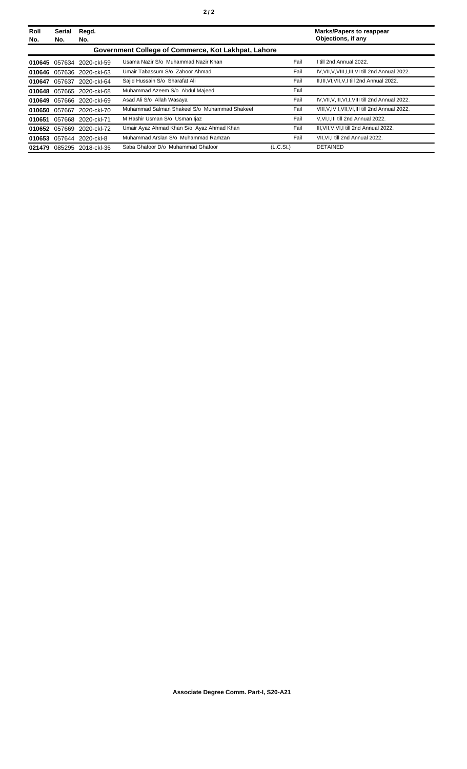| Roll<br>No. | <b>Serial</b><br>No. | Regd.<br>No.              |                                                     |                       | <b>Marks/Papers to reappear</b><br>Objections, if any |
|-------------|----------------------|---------------------------|-----------------------------------------------------|-----------------------|-------------------------------------------------------|
|             |                      |                           | Government College of Commerce, Kot Lakhpat, Lahore |                       |                                                       |
|             |                      | 010645 057634 2020-ckl-59 | Usama Nazir S/o Muhammad Nazir Khan                 | Fail                  | I till 2nd Annual 2022.                               |
| 010646      |                      | 057636 2020-ckl-63        | Umair Tabassum S/o Zahoor Ahmad                     | Fail                  | IV, VII, V, VIII, I, III, VI till 2nd Annual 2022.    |
| 010647      | 057637               | 2020-ckl-64               | Sajid Hussain S/o Sharafat Ali                      | Fail                  | II, III, VI, VII, V, I till 2nd Annual 2022.          |
| 010648      |                      | 057665 2020-ckl-68        | Muhammad Azeem S/o Abdul Majeed                     | Fail                  |                                                       |
| 010649      |                      | 057666 2020-ckl-69        | Asad Ali S/o Allah Wasaya                           | Fail                  | IV, VII, V, III, VI, I, VIII till 2nd Annual 2022.    |
|             |                      | 010650 057667 2020-ckl-70 | Muhammad Salman Shakeel S/o Muhammad Shakeel        | Fail                  | VIII, V, IV, I, VII, VI, III till 2nd Annual 2022.    |
| 010651      |                      | 057668 2020-ckl-71        | M Hashir Usman S/o Usman Ijaz                       | Fail                  | V, VI, I, III till 2nd Annual 2022.                   |
| 010652      | 057669               | 2020-ckl-72               | Umair Ayaz Ahmad Khan S/o Ayaz Ahmad Khan           | Fail                  | III, VII, V, VI, I till 2nd Annual 2022.              |
| 010653      |                      | 057644 2020-ckl-8         | Muhammad Arslan S/o Muhammad Ramzan                 | Fail                  | VII, VI, I till 2nd Annual 2022.                      |
| 021479      |                      | 085295 2018-ckl-36        | Saba Ghafoor D/o Muhammad Ghafoor                   | (L.C.S <sub>t</sub> ) | <b>DETAINED</b>                                       |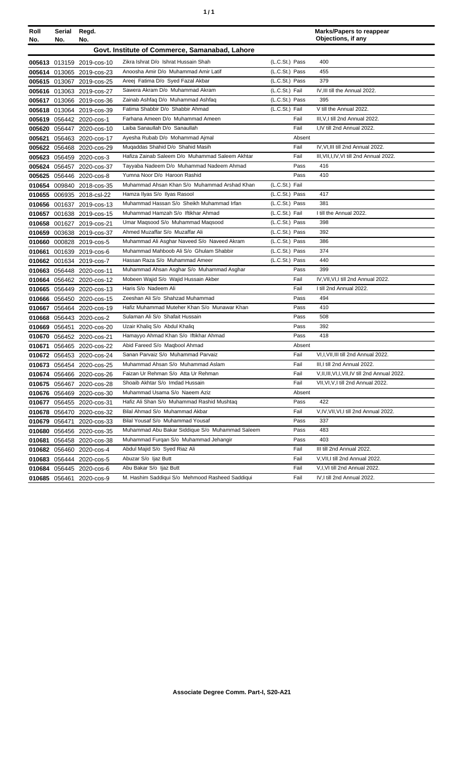| Roll<br>No. | Serial<br>No. | Regd.<br>No.              |                                                 |                | <b>Marks/Papers to reappear</b><br>Objections, if any |
|-------------|---------------|---------------------------|-------------------------------------------------|----------------|-------------------------------------------------------|
|             |               |                           | Govt. Institute of Commerce, Samanabad, Lahore  |                |                                                       |
|             |               | 005613 013159 2019-cos-10 | Zikra Ishrat D/o Ishrat Hussain Shah            | (L.C.St.) Pass | 400                                                   |
|             |               | 005614 013065 2019-cos-23 | Anoosha Amir D/o Muhammad Amir Latif            | (L.C.St.) Pass | 455                                                   |
|             |               | 005615 013067 2019-cos-25 | Areej Fatima D/o Syed Fazal Akbar               | (L.C.St.) Pass | 379                                                   |
|             |               | 005616 013063 2019-cos-27 | Sawera Akram D/o Muhammad Akram                 | (L.C.St.) Fail | IV, III till the Annual 2022.                         |
|             |               | 005617 013066 2019-cos-36 | Zainab Ashfaq D/o Muhammad Ashfaq               | (L.C.St.) Pass | 395                                                   |
|             |               | 005618 013064 2019-cos-39 | Fatima Shabbir D/o Shabbir Ahmad                | (L.C.St.) Fail | V till the Annual 2022.                               |
|             |               | 005619 056442 2020-cos-1  | Farhana Ameen D/o Muhammad Ameen                | Fail           | III, V, I till 2nd Annual 2022.                       |
|             |               | 005620 056447 2020-cos-10 | Laiba Sanaullah D/o Sanaullah                   | Fail           | I,IV till 2nd Annual 2022.                            |
|             |               | 005621 056463 2020-cos-17 | Ayesha Rubab D/o Mohammad Ajmal                 | Absent         |                                                       |
|             |               | 005622 056468 2020-cos-29 | Mugaddas Shahid D/o Shahid Masih                | Fail           | IV, VI, III till 2nd Annual 2022.                     |
|             |               | 005623 056459 2020-cos-3  | Hafiza Zainab Saleem D/o Muhammad Saleem Akhtar | Fail           | III, VII, I, IV, VI till 2nd Annual 2022.             |
|             |               | 005624 056457 2020-cos-37 | Tayyaba Nadeem D/o Muhammad Nadeem Ahmad        | Pass           | 416                                                   |
|             |               | 005625 056446 2020-cos-8  | Yumna Noor D/o Haroon Rashid                    | Pass           | 410                                                   |
|             |               | 010654 009840 2018-cos-35 | Muhammad Ahsan Khan S/o Muhammad Arshad Khan    | (L.C.St.) Fail |                                                       |
|             |               | 010655 006935 2018-csl-22 | Hamza Ilyas S/o Ilyas Rasool                    | (L.C.St.) Pass | 417                                                   |
|             |               | 010656 001637 2019-cos-13 | Muhammad Hassan S/o Sheikh Muhammad Irfan       | (L.C.St.) Pass | 381                                                   |
|             |               | 010657 001638 2019-cos-15 | Muhammad Hamzah S/o Iftikhar Ahmad              | (L.C.St.) Fail | I till the Annual 2022.                               |
|             |               | 010658 001627 2019-cos-21 | Umar Maqsood S/o Muhammad Maqsood               | (L.C.St.) Pass | 398                                                   |
|             |               | 010659 003638 2019-cos-37 | Ahmed Muzaffar S/o Muzaffar Ali                 | (L.C.St.) Pass | 392                                                   |
|             |               | 010660 000828 2019-cos-5  | Muhammad Ali Asghar Naveed S/o Naveed Akram     | (L.C.St.) Pass | 386                                                   |
|             |               | 010661 001639 2019-cos-6  | Muhammad Mahboob Ali S/o Ghulam Shabbir         | (L.C.St.) Pass | 374                                                   |
|             |               | 010662 001634 2019-cos-7  | Hassan Raza S/o Muhammad Ameer                  | (L.C.St.) Pass | 440                                                   |
|             |               | 010663 056448 2020-cos-11 | Muhammad Ahsan Asghar S/o Muhammad Asghar       | Pass           | 399                                                   |
|             |               | 010664 056462 2020-cos-12 | Mobeen Wajid S/o Wajid Hussain Akber            | Fail           | IV, VII, VI, I till 2nd Annual 2022.                  |
|             |               | 010665 056449 2020-cos-13 | Haris S/o Nadeem Ali                            | Fail           | I till 2nd Annual 2022.                               |
|             |               | 010666 056450 2020-cos-15 | Zeeshan Ali S/o Shahzad Muhammad                | Pass           | 494                                                   |
| 010667      |               | 056464 2020-cos-19        | Hafiz Muhammad Muteher Khan S/o Munawar Khan    | Pass           | 410                                                   |
|             |               | 010668 056443 2020-cos-2  | Sulaman Ali S/o Shafait Hussain                 | Pass           | 508                                                   |
|             |               | 010669 056451 2020-cos-20 | Uzair Khaliq S/o Abdul Khaliq                   | Pass           | 392                                                   |
|             |               | 010670 056452 2020-cos-21 | Hamayyo Ahmad Khan S/o Iftikhar Ahmad           | Pass           | 418                                                   |
|             |               | 010671 056465 2020-cos-22 | Abid Fareed S/o Magbool Ahmad                   | Absent         |                                                       |
|             |               | 010672 056453 2020-cos-24 | Sanan Parvaiz S/o Muhammad Parvaiz              | Fail           | VI, I, VII, III till 2nd Annual 2022.                 |
|             |               | 010673 056454 2020-cos-25 | Muhammad Ahsan S/o Muhammad Aslam               | Fail           | III,I till 2nd Annual 2022.                           |
|             |               | 010674 056466 2020-cos-26 | Faizan Ur Rehman S/o Atta Ur Rehman             | Fail           | V, II, III, VI, I, VII, IV till 2nd Annual 2022.      |
|             |               | 010675 056467 2020-cos-28 | Shoaib Akhtar S/o Imdad Hussain                 | Fail           | VII, VI, V, I till 2nd Annual 2022.                   |
|             |               | 010676 056469 2020-cos-30 | Muhammad Usama S/o Naeem Aziz                   | Absent         |                                                       |
|             |               | 010677 056455 2020-cos-31 | Hafiz Ali Shan S/o Muhammad Rashid Mushtaq      | Pass           | 422                                                   |
|             |               | 010678 056470 2020-cos-32 | Bilal Ahmad S/o Muhammad Akbar                  | Fail           | V, IV, VII, VI, I till 2nd Annual 2022.               |
|             | 010679 056471 | 2020-cos-33               | Bilal Yousaf S/o Muhammad Yousaf                | Pass           | 337                                                   |
|             |               | 010680 056456 2020-cos-35 | Muhammad Abu Bakar Siddique S/o Muhammad Saleem | Pass           | 483                                                   |
| 010681      |               | 056458 2020-cos-38        | Muhammad Furgan S/o Muhammad Jehangir           | Pass           | 403                                                   |
|             | 010682 056460 | 2020-cos-4                | Abdul Majid S/o Syed Riaz Ali                   | Fail           | III till 2nd Annual 2022.                             |
|             |               | 010683 056444 2020-cos-5  | Abuzar S/o Ijaz Butt                            | Fail           | V, VII, I till 2nd Annual 2022.                       |
|             |               | 010684 056445 2020-cos-6  | Abu Bakar S/o Ijaz Butt                         | Fail           | V,I, VI till 2nd Annual 2022.                         |
|             |               | 010685 056461 2020-cos-9  | M. Hashim Saddiqui S/o Mehmood Rasheed Saddiqui | Fail           | IV, I till 2nd Annual 2022.                           |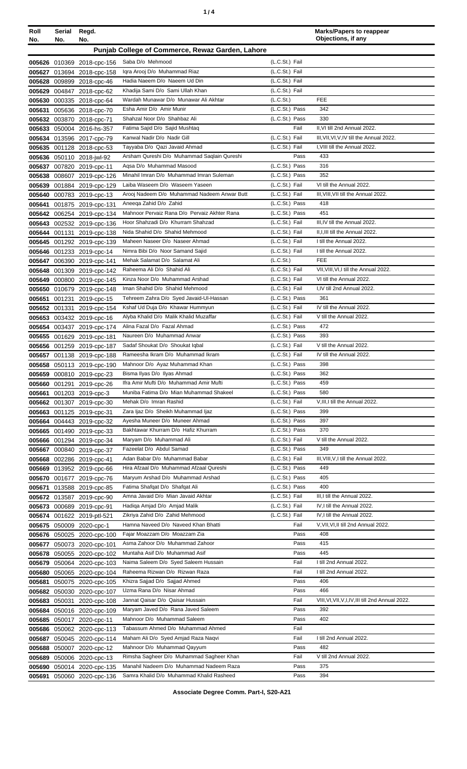| ٠ |  |
|---|--|
|   |  |

| Roll<br>No. | Serial<br>No. | Regd.<br>No.                                             |                                                                              |                                  | <b>Marks/Papers to reappear</b><br>Objections, if any |
|-------------|---------------|----------------------------------------------------------|------------------------------------------------------------------------------|----------------------------------|-------------------------------------------------------|
|             |               |                                                          | Punjab College of Commerce, Rewaz Garden, Lahore                             |                                  |                                                       |
|             |               |                                                          | Saba D/o Mehmood                                                             | (L.C.St.) Fail                   |                                                       |
|             |               | 005626 010369 2018-cpc-156<br>005627 013694 2018-cpc-158 | Igra Arooj D/o Muhammad Riaz                                                 | (L.C.St.) Fail                   |                                                       |
|             |               | 005628 009899 2018-cpc-46                                | Hadia Naeem D/o Naeem Ud Din                                                 | (L.C.St.) Fail                   |                                                       |
|             |               | 005629 004847 2018-cpc-62                                | Khadija Sami D/o Sami Ullah Khan                                             | (L.C.St.) Fail                   |                                                       |
|             |               | 005630 000335 2018-cpc-64                                | Wardah Munawar D/o Munawar Ali Akhtar                                        | (L.C.St.)                        | <b>FEE</b>                                            |
| 005631      |               | 005636 2018-cpc-70                                       | Esha Amir D/o Amir Munir                                                     | (L.C.St.) Pass                   | 342                                                   |
|             |               | 005632 003870 2018-cpc-71                                | Shahzal Noor D/o Shahbaz Ali                                                 | (L.C.St.) Pass                   | 330                                                   |
| 005633      |               | 050004 2016-hs-357                                       | Fatima Sajid D/o Sajid Mushtaq                                               | Fail                             | II, VI till 2nd Annual 2022.                          |
|             |               | 005634 013596 2017-cpc-79                                | Kanwal Nadir D/o Nadir Gill                                                  | (L.C.St.) Fail                   | III, VII, VI, V, IV till the Annual 2022.             |
|             |               | 005635 001128 2018-cpc-53                                | Tayyaba D/o Qazi Javaid Ahmad<br>Arsham Qureshi D/o Muhammad Saqlain Qureshi | (L.C.St.) Fail<br>Pass           | I, VIII till the Annual 2022.<br>433                  |
| 005637      |               | 005636 050110 2018-jwl-92<br>007820 2019-cpc-11          | Agsa D/o Muhammad Masood                                                     | (L.C.St.) Pass                   | 316                                                   |
|             |               | 005638 008607 2019-cpc-126                               | Minahil Imran D/o Muhammad Imran Suleman                                     | (L.C.St.) Pass                   | 352                                                   |
| 005639      |               | 001884 2019-cpc-129                                      | Laiba Waseem D/o Waseem Yaseen                                               | (L.C.St.) Fail                   | VI till the Annual 2022.                              |
| 005640      |               | 000783 2019-cpc-13                                       | Arooj Nadeem D/o Muhammad Nadeem Anwar Butt                                  | (L.C.St.) Fail                   | III. VIII. VII till the Annual 2022.                  |
| 005641      |               | 001875 2019-cpc-131                                      | Aneega Zahid D/o Zahid                                                       | (L.C.St.) Pass                   | 418                                                   |
|             |               | 005642 006254 2019-cpc-134                               | Mahnoor Pervaiz Rana D/o Pervaiz Akhter Rana                                 | (L.C.St.) Pass                   | 451                                                   |
|             |               | 005643 002532 2019-cpc-136                               | Hoor Shahzadi D/o Khurram Shahzad                                            | (L.C.St.) Fail                   | III, IV till the Annual 2022.                         |
|             |               | 005644 001131 2019-cpc-138                               | Nida Shahid D/o Shahid Mehmood                                               | (L.C.St.) Fail                   | II, I, III till the Annual 2022.                      |
|             |               | 005645 001292 2019-cpc-139                               | Maheen Naseer D/o Naseer Ahmad                                               | (L.C.St.) Fail                   | I till the Annual 2022.                               |
|             |               | 005646 001233 2019-cpc-14                                | Nimra Bibi D/o Noor Samand Sajid<br>Mehak Salamat D/o Salamat Ali            | (L.C.St.) Fail                   | I till the Annual 2022.<br><b>FEE</b>                 |
|             |               | 005647 006390 2019-cpc-141                               | Raheema Ali D/o Shahid Ali                                                   | (L.C.St.)<br>(L.C.St.) Fail      | VII, VIII, VI, I till the Annual 2022.                |
| 005649      |               | 005648 001309 2019-cpc-142<br>000800 2019-cpc-145        | Kinza Noor D/o Muhammad Arshad                                               | (L.C.St.) Fail                   | VI till the Annual 2022.                              |
| 005650      |               | 010679 2019-cpc-148                                      | Iman Shahid D/o Shahid Mehmood                                               | (L.C.St.) Fail                   | I,IV till 2nd Annual 2022.                            |
| 005651      |               | 001231 2019-cpc-15                                       | Tehreem Zahra D/o Syed Javaid-Ul-Hassan                                      | (L.C.St.) Pass                   | 361                                                   |
|             |               | 005652 001331 2019-cpc-154                               | Kshaf Ud Duja D/o Khawar Hummyun                                             | (L.C.St.) Fail                   | IV till the Annual 2022.                              |
| 005653      |               | 003432 2019-cpc-16                                       | Alyba Khalid D/o Malik Khalid Muzaffar                                       | (L.C.St.) Fail                   | V till the Annual 2022.                               |
|             |               | 005654 003437 2019-cpc-174                               | Alina Fazal D/o Fazal Ahmad                                                  | (L.C.St.) Pass                   | 472                                                   |
|             |               | 005655 001629 2019-cpc-181                               | Naureen D/o Muhammad Anwar                                                   | (L.C.St.) Pass                   | 393                                                   |
|             |               | 005656 001259 2019-cpc-187                               | Sadaf Shoukat D/o Shoukat Iqbal                                              | (L.C.St.) Fail                   | V till the Annual 2022.                               |
|             |               | 005657 001138 2019-cpc-188                               | Rameesha Ikram D/o Muhammad Ikram                                            | (L.C.St.) Fail                   | IV till the Annual 2022.                              |
|             |               | 005658 050113 2019-cpc-190                               | Mahnoor D/o Ayaz Muhammad Khan<br>Bisma Ilyas D/o Ilyas Ahmad                | (L.C.St.) Pass<br>(L.C.St.) Pass | 398<br>362                                            |
|             |               | 005659 000810 2019-cpc-23<br>005660 001291 2019-cpc-26   | Ifra Amir Mufti D/o Muhammad Amir Mufti                                      | (L.C.St.) Pass                   | 459                                                   |
|             |               | 005661 001203 2019-cpc-3                                 | Muniba Fatima D/o Mian Muhammad Shakeel                                      | (L.C.St.) Pass                   | 580                                                   |
|             |               | 005662 001307 2019-cpc-30                                | Mehak D/o Imran Rashid                                                       | (L.C.St.) Fail                   | V, III, I till the Annual 2022.                       |
|             |               | 005663 001125 2019-cpc-31                                | Zara Ijaz D/o Sheikh Muhammad Ijaz                                           | (L.C.St.) Pass                   | 399                                                   |
|             |               | 005664 004443 2019-cpc-32                                | Ayesha Muneer D/o Muneer Ahmad                                               | (L.C.St.) Pass                   | 397                                                   |
|             |               | 005665 001490 2019-cpc-33                                | Bakhtawar Khurram D/o Hafiz Khurram                                          | (L.C.St.) Pass                   | 370                                                   |
|             |               | 005666 001294 2019-cpc-34                                | Maryam D/o Muhammad Ali                                                      | (L.C.St.) Fail                   | V till the Annual 2022.                               |
|             |               | 005667 000840 2019-cpc-37                                | Fazeelat D/o Abdul Samad                                                     | (L.C.St.) Pass                   | 349                                                   |
|             |               | 005668 002286 2019-cpc-41                                | Adan Babar D/o Muhammad Babar<br>Hira Afzaal D/o Muhammad Afzaal Qureshi     | (L.C.St.) Fail<br>(L.C.St.) Pass | III, VIII, V, I till the Annual 2022.<br>449          |
|             |               | 005669 013952 2019-cpc-66<br>005670 001677 2019-cpc-76   | Maryum Arshad D/o Muhammad Arshad                                            | (L.C.St.) Pass                   | 405                                                   |
| 005671      |               | 013588 2019-cpc-85                                       | Fatima Shafqat D/o Shafqat Ali                                               | (L.C.St.) Pass                   | 400                                                   |
|             |               | 005672 013587 2019-cpc-90                                | Amna Javaid D/o Mian Javaid Akhtar                                           | (L.C.St.) Fail                   | III,I till the Annual 2022.                           |
|             |               | 005673 000689 2019-cpc-91                                | Hadiga Amjad D/o Amjad Malik                                                 | (L.C.St.) Fail                   | IV, I till the Annual 2022.                           |
|             |               | 005674 001622 2019-ptl-521                               | Zikriya Zahid D/o Zahid Mehmood                                              | (L.C.St.) Fail                   | IV, I till the Annual 2022.                           |
|             |               | 005675 050009 2020-cpc-1                                 | Hamna Naveed D/o Naveed Khan Bhatti                                          | Fail                             | V, VII, VI, II till 2nd Annual 2022.                  |
|             |               | 005676 050025 2020-cpc-100                               | Fajar Moazzam D/o Moazzam Zia                                                | Pass                             | 408                                                   |
|             |               | 005677 050073 2020-cpc-101                               | Asma Zahoor D/o Muhammad Zahoor                                              | Pass                             | 415                                                   |
|             |               | 005678 050055 2020-cpc-102                               | Muntaha Asif D/o Muhammad Asif                                               | Pass                             | 445                                                   |
|             |               | 005679 050064 2020-cpc-103                               | Naima Saleem D/o Syed Saleem Hussain<br>Raheema Rizwan D/o Rizwan Raza       | Fail<br>Fail                     | I till 2nd Annual 2022.<br>I till 2nd Annual 2022.    |
| 005681      |               | 005680 050065 2020-cpc-104<br>050075 2020-cpc-105        | Khizra Sajjad D/o Sajjad Ahmed                                               | Pass                             | 406                                                   |
|             |               | 005682 050030 2020-cpc-107                               | Uzma Rana D/o Nisar Ahmad                                                    | Pass                             | 466                                                   |
|             | 005683 050031 | 2020-cpc-108                                             | Jannat Qaisar D/o Qaisar Hussain                                             | Fail                             | VIII, VI, VII, V, I, IV, III till 2nd Annual 2022.    |
|             |               | 005684 050016 2020-cpc-109                               | Maryam Javed D/o Rana Javed Saleem                                           | Pass                             | 392                                                   |
|             |               | 005685 050017 2020-cpc-11                                | Mahnoor D/o Muhammad Saleem                                                  | Pass                             | 402                                                   |
|             |               | 005686 050062 2020-cpc-113                               | Tabassum Ahmed D/o Muhammad Ahmed                                            | Fail                             |                                                       |
| 005687      |               | 050045 2020-cpc-114                                      | Maham Ali D/o Syed Amjad Raza Naqvi                                          | Fail                             | I till 2nd Annual 2022.                               |
|             |               | 005688 050007 2020-cpc-12                                | Mahnoor D/o Muhammad Qayyum                                                  | Pass                             | 482                                                   |
|             |               | 005689 050006 2020-cpc-13                                | Rimsha Sagheer D/o Muhammad Sagheer Khan                                     | Fail                             | V till 2nd Annual 2022.                               |
| 005690      |               | 050014 2020-cpc-135                                      | Manahil Nadeem D/o Muhammad Nadeem Raza                                      | Pass                             | 375                                                   |
|             |               | 005691 050060 2020-cpc-136                               | Samra Khalid D/o Muhammad Khalid Rasheed                                     | Pass                             | 394                                                   |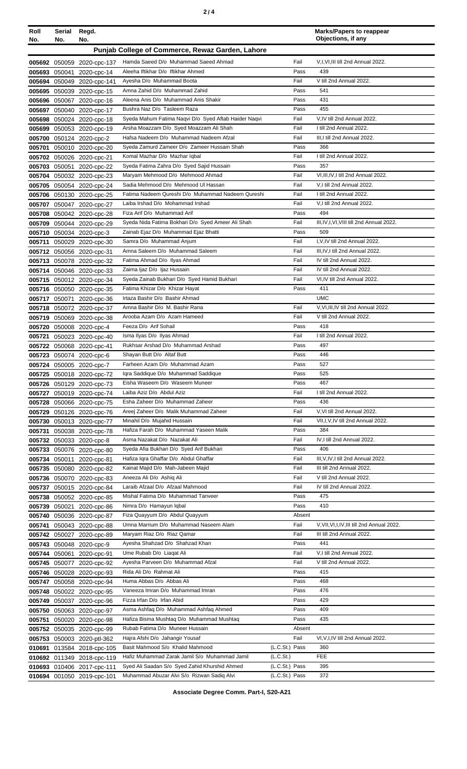| Roll<br>No.   | Serial<br>No. | Regd.<br>No.                                           |                                                                                             |                                  | <b>Marks/Papers to reappear</b><br>Objections, if any |
|---------------|---------------|--------------------------------------------------------|---------------------------------------------------------------------------------------------|----------------------------------|-------------------------------------------------------|
|               |               |                                                        | Punjab College of Commerce, Rewaz Garden, Lahore                                            |                                  |                                                       |
|               |               | 005692 050059 2020-cpc-137                             | Hamda Saeed D/o Muhammad Saeed Ahmad                                                        | Fail                             | V,I, VI, III till 2nd Annual 2022.                    |
|               |               | 005693 050041 2020-cpc-14                              | Aleeha Iftikhar D/o Iftikhar Ahmed                                                          | Pass                             | 439                                                   |
|               |               | 005694 050049 2020-cpc-141                             | Ayesha D/o Muhammad Boota                                                                   | Fail                             | V till 2nd Annual 2022.                               |
|               |               | 005695 050039 2020-cpc-15                              | Amna Zahid D/o Muhammad Zahid                                                               | Pass                             | 541                                                   |
|               |               | 005696 050067 2020-cpc-16                              | Aleena Anis D/o Muhammad Anis Shakir                                                        | Pass                             | 431                                                   |
|               |               | 005697 050040 2020-cpc-17                              | Bushra Naz D/o Tasleem Raza                                                                 | Pass                             | 455                                                   |
|               |               | 005698 050024 2020-cpc-18                              | Syeda Mahum Fatima Naqvi D/o Syed Aftab Haider Naqvi                                        | Fail                             | V,IV till 2nd Annual 2022.                            |
|               |               | 005699 050053 2020-cpc-19                              | Arsha Moazzam D/o Syed Moazzam Ali Shah                                                     | Fail                             | I till 2nd Annual 2022.                               |
|               |               | 005700 050124 2020-cpc-2                               | Hafsa Nadeem D/o Muhammad Nadeem Afzal                                                      | Fail                             | III, I till 2nd Annual 2022.                          |
|               |               | 005701 050010 2020-cpc-20                              | Syeda Zamurd Zameer D/o Zameer Hussain Shah                                                 | Pass                             | 366                                                   |
|               |               | 005702 050026 2020-cpc-21                              | Komal Mazhar D/o Mazhar Iqbal                                                               | Fail                             | I till 2nd Annual 2022.                               |
|               |               | 005703 050051 2020-cpc-22                              | Syeda Fatima Zahra D/o Syed Sajid Hussain                                                   | Pass                             | 357<br>VI.III.IV.I till 2nd Annual 2022.              |
|               |               | 005704 050032 2020-cpc-23                              | Maryam Mehmood D/o Mehmood Ahmad<br>Sadia Mehmood D/o Mehmood UI Hassan                     | Fail<br>Fail                     | V,I till 2nd Annual 2022.                             |
|               |               | 005705 050054 2020-cpc-24<br>005706 050130 2020-cpc-25 | Fatima Nadeem Qureshi D/o Muhammad Nadeem Qureshi                                           | Fail                             | I till 2nd Annual 2022.                               |
|               |               | 005707 050047 2020-cpc-27                              | Laiba Irshad D/o Mohammad Irshad                                                            | Fail                             | V,I till 2nd Annual 2022.                             |
|               |               | 005708 050042 2020-cpc-28                              | Fiza Arif D/o Muhammad Arif                                                                 | Pass                             | 494                                                   |
|               |               | 005709 050044 2020-cpc-29                              | Syeda Nida Fatima Bokhari D/o Syed Ameer Ali Shah                                           | Fail                             | III, IV, I, VI, VIII till 2nd Annual 2022.            |
|               |               | 005710 050034 2020-cpc-3                               | Zainab Ejaz D/o Muhammad Ejaz Bhatti                                                        | Pass                             | 509                                                   |
|               |               | 005711 050029 2020-cpc-30                              | Samra D/o Muhammad Anjum                                                                    | Fail                             | I, V, IV till 2nd Annual 2022.                        |
|               |               | 005712 050056 2020-cpc-31                              | Amna Saleem D/o Muhammad Saleem                                                             | Fail                             | III, IV, I till 2nd Annual 2022.                      |
|               |               | 005713 050078 2020-cpc-32                              | Fatima Ahmad D/o Ilyas Ahmad                                                                | Fail                             | IV till 2nd Annual 2022.                              |
|               |               | 005714 050046 2020-cpc-33                              | Zaima Ijaz D/o Ijaz Hussain                                                                 | Fail                             | IV till 2nd Annual 2022.                              |
|               |               | 005715 050012 2020-cpc-34                              | Syeda Zainab Bukhari D/o Syed Hamid Bukhari                                                 | Fail                             | VI, IV till 2nd Annual 2022.                          |
|               |               | 005716 050050 2020-cpc-35                              | Fatima Khizar D/o Khizar Hayat                                                              | Pass                             | 411                                                   |
|               |               | 005717 050071 2020-cpc-36                              | Irtaza Bashir D/o Bashir Ahmad                                                              |                                  | <b>UMC</b>                                            |
|               |               | 005718 050072 2020-cpc-37                              | Amna Bashir D/o M. Bashir Rana                                                              | Fail                             | V.VI.III, IV till 2nd Annual 2022.                    |
|               |               | 005719 050069 2020-cpc-38                              | Arooba Azam D/o Azam Hameed                                                                 | Fail                             | V till 2nd Annual 2022.                               |
|               |               | 005720 050008 2020-cpc-4                               | Feeza D/o Arif Sohail                                                                       | Pass                             | 418                                                   |
|               |               | 005721 050023 2020-cpc-40                              | Isma Ilyas D/o Ilyas Ahmad                                                                  | Fail                             | I till 2nd Annual 2022.                               |
|               |               | 005722 050068 2020-cpc-41                              | Rukhsar Arshad D/o Muhammad Arshad                                                          | Pass                             | 497                                                   |
|               |               | 005723 050074 2020-cpc-6                               | Shayan Butt D/o Altaf Butt                                                                  | Pass                             | 446                                                   |
|               |               | 005724 050005 2020-cpc-7                               | Farheen Azam D/o Muhammad Azam<br>Igra Saddique D/o Muhammad Saddique                       | Pass<br>Pass                     | 527<br>525                                            |
|               |               | 005725 050018 2020-cpc-72<br>005726 050129 2020-cpc-73 | Eisha Waseem D/o Waseem Muneer                                                              | Pass                             | 467                                                   |
|               |               | 005727 050019 2020-cpc-74                              | Laiba Aziz D/o Abdul Aziz                                                                   | Fail                             | I till 2nd Annual 2022.                               |
|               |               | 005728 050066 2020-cpc-75                              | Esha Zaheer D/o Muhammad Zaheer                                                             | Pass                             | 436                                                   |
|               |               | 005729 050126 2020-cpc-76                              | Areej Zaheer D/o Malik Muhammad Zaheer                                                      | Fail                             | V, VI till 2nd Annual 2022.                           |
|               |               | 005730 050013 2020-cpc-77                              | Minahil D/o Mujahid Hussain                                                                 | Fail                             | VII, I, V, IV till 2nd Annual 2022.                   |
| 005731        |               | 050038 2020-cpc-78                                     | Hafiza Farah D/o Muhammad Yaseen Malik                                                      | Pass                             | 384                                                   |
|               |               | 005732 050033 2020-cpc-8                               | Asma Nazakat D/o Nazakat Ali                                                                | Fail                             | IV,I till 2nd Annual 2022.                            |
|               |               | 005733 050076 2020-cpc-80                              | Syeda Afia Bukhari D/o Syed Arif Bukhari                                                    | Pass                             | 406                                                   |
|               |               | 005734 050011 2020-cpc-81                              | Hafiza Iqra Ghaffar D/o Abdul Ghaffar                                                       | Fail                             | III, V, IV, I till 2nd Annual 2022.                   |
|               |               | 005735 050080 2020-cpc-82                              | Kainat Majid D/o Mah-Jabeen Majid                                                           | Fail                             | III till 2nd Annual 2022.                             |
|               |               | 005736 050070 2020-cpc-83                              | Aneeza Ali D/o Ashiq Ali                                                                    | Fail                             | V till 2nd Annual 2022.                               |
|               |               | 005737 050015 2020-cpc-84                              | Laraib Afzaal D/o Afzaal Mahmood                                                            | Fail                             | IV till 2nd Annual 2022.                              |
|               |               | 005738 050052 2020-cpc-85                              | Mishal Fatima D/o Muhammad Tanveer                                                          | Pass                             | 475                                                   |
| 005739 050021 |               | 2020-cpc-86                                            | Nimra D/o Hamayun Iqbal                                                                     | Pass                             | 410                                                   |
|               |               | 005740 050036 2020-cpc-87                              | Fiza Quayyum D/o Abdul Quayyum<br>Umna Marrium D/o Muhammad Naseem Alam                     | Absent<br>Fail                   | V, VII, VI, I, IV, III till 2nd Annual 2022.          |
|               |               | 005741 050043 2020-cpc-88<br>005742 050027 2020-cpc-89 | Maryam Riaz D/o Riaz Qamar                                                                  | Fail                             | III till 2nd Annual 2022.                             |
|               |               | 005743 050048 2020-cpc-9                               | Ayesha Shahzad D/o Shahzad Khan                                                             | Pass                             | 441                                                   |
|               |               | 005744 050061 2020-cpc-91                              | Ume Rubab D/o Liagat Ali                                                                    | Fail                             | V,I till 2nd Annual 2022.                             |
|               |               | 005745 050077 2020-cpc-92                              | Ayesha Parveen D/o Muhammad Afzal                                                           | Fail                             | V till 2nd Annual 2022.                               |
|               |               | 005746 050028 2020-cpc-93                              | Rida Ali D/o Rahmat Ali                                                                     | Pass                             | 415                                                   |
|               |               | 005747 050058 2020-cpc-94                              | Huma Abbas D/o Abbas Ali                                                                    | Pass                             | 468                                                   |
|               |               | 005748 050022 2020-cpc-95                              | Vaneeza Imran D/o Muhammad Imran                                                            | Pass                             | 476                                                   |
|               |               | 005749 050037 2020-cpc-96                              | Fizza Irfan D/o Irfan Abid                                                                  | Pass                             | 429                                                   |
|               |               | 005750 050063 2020-cpc-97                              | Asma Ashfaq D/o Muhammad Ashfaq Ahmed                                                       | Pass                             | 409                                                   |
|               |               | 005751 050020 2020-cpc-98                              | Hafiza Bisma Mushtaq D/o Muhammad Mushtaq                                                   | Pass                             | 435                                                   |
|               |               | 005752 050035 2020-cpc-99                              | Rubab Fatima D/o Muneer Hussain                                                             | Absent                           |                                                       |
|               |               | 005753 050003 2020-ptl-362                             | Hajra Afshi D/o Jahangir Yousaf                                                             | Fail                             | VI, V, I, IV till 2nd Annual 2022.                    |
|               |               | 010691 013584 2018-cpc-105                             | Basit Mahmood S/o Khalid Mahmood                                                            | (L.C.St.) Pass                   | 360                                                   |
|               |               | 010692 011349 2018-cpc-119                             | Hafiz Muhammad Zarak Jamil S/o Muhammad Jamil                                               | (L.C.St.)                        | <b>FEE</b>                                            |
|               |               | 010693 010406 2017-cpc-111                             | Syed Ali Saadan S/o Syed Zahid Khurshid Ahmed<br>Muhammad Abuzar Alvi S/o Rizwan Sadiq Alvi | (L.C.St.) Pass<br>(L.C.St.) Pass | 395<br>372                                            |
|               |               | 010694 001050 2019-cpc-101                             |                                                                                             |                                  |                                                       |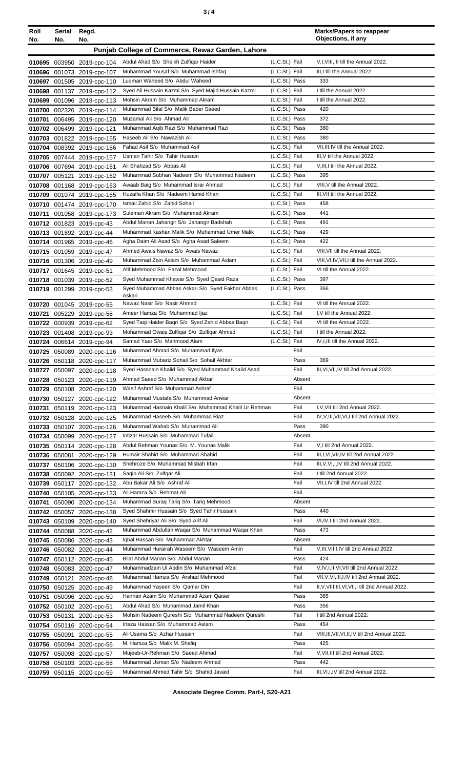| Roll<br>No. | Serial Regd.<br>No.                              | No.                                                      |                                                                                              |                                  | <b>Marks/Papers to reappear</b><br>Objections, if any |  |
|-------------|--------------------------------------------------|----------------------------------------------------------|----------------------------------------------------------------------------------------------|----------------------------------|-------------------------------------------------------|--|
|             | Punjab College of Commerce, Rewaz Garden, Lahore |                                                          |                                                                                              |                                  |                                                       |  |
|             |                                                  |                                                          | Abdul Ahad S/o Sheikh Zulfiqar Haider                                                        | $(L.C.St.)$ Fail                 | V, I, VIII, III till the Annual 2022.                 |  |
|             |                                                  | 010695 003950 2019-cpc-104<br>010696 001073 2019-cpc-107 | Muhammad Yousaf S/o Muhammad Ishfaq                                                          | (L.C.St.) Fail                   | III, I till the Annual 2022.                          |  |
|             |                                                  | 010697 001505 2019-cpc-110                               | Lugman Waheed S/o Abdul Waheed                                                               | (L.C.St.) Pass                   | 333                                                   |  |
|             |                                                  | 010698 001137 2019-cpc-112                               | Syed Ali Hussain Kazmi S/o Syed Majid Hussain Kazmi                                          | (L.C.St.) Fail                   | I till the Annual 2022.                               |  |
|             |                                                  | 010699 001096 2019-cpc-113                               | Mohsin Akram S/o Muhammad Akram                                                              | (L.C.St.) Fail                   | I till the Annual 2022.                               |  |
|             |                                                  | 010700 002326 2019-cpc-114                               | Muhammad Bilal S/o Malik Baber Saeed                                                         | (L.C.St.) Pass                   | 420                                                   |  |
|             |                                                  | 010701 006495 2019-cpc-120                               | Muzamal Ali S/o Ahmad Ali                                                                    | (L.C.St.) Pass                   | 372                                                   |  |
|             |                                                  | 010702 006499 2019-cpc-121                               | Muhammad Aqib Razi S/o Muhammad Razi                                                         | (L.C.St.) Pass                   | 380                                                   |  |
|             |                                                  | 010703 001822 2019-cpc-155                               | Haseeb Ali S/o Nawazish Ali<br>Fahad Asif S/o Muhammad Asif                                  | (L.C.St.) Pass<br>(L.C.St.) Fail | 380<br>VII, III, IV till the Annual 2022.             |  |
|             |                                                  | 010704 008392 2019-cpc-156<br>010705 007444 2019-cpc-157 | Usman Tahir S/o Tahir Hussain                                                                | (L.C.St.) Fail                   | III, V till the Annual 2022.                          |  |
|             |                                                  | 010706 007694 2019-cpc-161                               | Ali Shahzad S/o Abbas Ali                                                                    | (L.C.St.) Fail                   | V, III, I till the Annual 2022.                       |  |
|             |                                                  | 010707 005121 2019-cpc-162                               | Muhammad Subhan Nadeem S/o Muhammad Nadeem                                                   | (L.C.St.) Pass                   | 395                                                   |  |
|             |                                                  | 010708 001168 2019-cpc-163                               | Awaab Baig S/o Muhammad Israr Ahmad                                                          | (L.C.St.) Fail                   | VIII, V till the Annual 2022.                         |  |
|             |                                                  | 010709 001074 2019-cpc-165                               | Huzaifa Khan S/o Nadeem Hamid Khan                                                           | (L.C.St.) Fail                   | III, VII till the Annual 2022.                        |  |
|             |                                                  | 010710 001474 2019-cpc-170                               | Ismail Zahid S/o Zahid Sohail                                                                | (L.C.St.) Pass                   | 458                                                   |  |
|             |                                                  | 010711 001058 2019-cpc-173                               | Suleman Akram S/o Muhammad Akram                                                             | (L.C.St.) Pass                   | 441                                                   |  |
|             |                                                  | 010712 001823 2019-cpc-43                                | Abdul Manan Jahangir S/o Jahangir Badshah                                                    | (L.C.St.) Pass                   | 491                                                   |  |
|             |                                                  | 010713 001892 2019-cpc-44                                | Muhammad Kashan Malik S/o Muhammad Umer Malik                                                | (L.C.St.) Pass                   | 429                                                   |  |
|             |                                                  | 010714 001965 2019-cpc-46                                | Agha Daim Ali Asad S/o Agha Asad Saleem<br>Ahmed Awais Nawaz S/o Awais Nawaz                 | (L.C.St.) Pass                   | 422<br>VIII, VII till the Annual 2022.                |  |
|             |                                                  | 010715 001059 2019-cpc-47<br>010716 001306 2019-cpc-49   | Muhammad Zain Aslam S/o Muhammad Aslam                                                       | (L.C.St.) Fail<br>(L.C.St.) Fail | VIII, VI, IV, VII, I till the Annual 2022.            |  |
|             |                                                  | 010717 001645 2019-cpc-51                                | Atif Mehmood S/o Fazal Mehmood                                                               | (L.C.St.) Fail                   | VI till the Annual 2022.                              |  |
|             |                                                  | 010718 001039 2019-cpc-52                                | Syed Muhammad Khawar S/o Syed Qasid Raza                                                     | (L.C.St.) Pass                   | 397                                                   |  |
|             |                                                  | 010719 001299 2019-cpc-53                                | Syed Muhammad Abbas Askari S/o Syed Fakhar Abbas                                             | (L.C.St.) Pass                   | 366                                                   |  |
|             |                                                  |                                                          | Askari                                                                                       |                                  |                                                       |  |
|             |                                                  | 010720 001045 2019-cpc-55                                | Nawaz Nasir S/o Nasir Ahmed<br>Ameer Hamza S/o Muhammad Ijaz                                 | (L.C.St.) Fail<br>(L.C.St.) Fail | VI till the Annual 2022.<br>I.V till the Annual 2022. |  |
|             |                                                  | 010721 005229 2019-cpc-58<br>010722 000939 2019-cpc-62   | Syed Taqi Haider Baqri S/o Syed Zahid Abbas Baqri                                            | (L.C.St.) Fail                   | VI till the Annual 2022.                              |  |
|             |                                                  | 010723 001408 2019-cpc-93                                | Mohammad Owais Zulfigar S/o Zulfigar Ahmed                                                   | (L.C.St.) Fail                   | I till the Annual 2022.                               |  |
|             |                                                  | 010724 006614 2019-cpc-94                                | Samad Yaar S/o Mahmood Alam                                                                  | (L.C.St.) Fail                   | IV, I, III till the Annual 2022.                      |  |
|             |                                                  | 010725 050089 2020-cpc-116                               | Muhammad Ahmad S/o Muhammad Ilyas                                                            | Fail                             |                                                       |  |
|             |                                                  | 010726 050118 2020-cpc-117                               | Muhammad Mubariz Sohail S/o Sohail Akhtar                                                    | Pass                             | 369                                                   |  |
|             |                                                  | 010727 050097 2020-cpc-118                               | Syed Hassnain Khalid S/o Syed Muhammad Khalid Asad                                           | Fail                             | III, VI, VII, IV till 2nd Annual 2022.                |  |
|             |                                                  | 010728 050123 2020-cpc-119                               | Ahmad Saeed S/o Muhammad Akbar                                                               | Absent                           |                                                       |  |
|             |                                                  | 010729 050108 2020-cpc-120                               | Wasif Ashraf S/o Muhammad Ashraf                                                             | Fail                             |                                                       |  |
|             |                                                  | 010730 050127 2020-cpc-122                               | Muhammad Mustafa S/o Muhammad Anwar<br>Muhammad Hasnain Khalil S/o Muhammad Khalil Ur Rehman | Absent<br>Fail                   | I, V, VII till 2nd Annual 2022.                       |  |
|             |                                                  | 010731 050119 2020-cpc-123<br>010732 050128 2020-cpc-125 | Muhammad Haseeb S/o Muhammad Riaz                                                            | Fail                             | IV, V, III, VII, VI, I till 2nd Annual 2022.          |  |
|             |                                                  | 010733 050107 2020-cpc-126                               | Muhammad Wahab S/o Muhammad Ali                                                              | Pass                             | 390                                                   |  |
|             |                                                  | 010734 050099 2020-cpc-127                               | Intizar Hussain S/o Muhammad Tufail                                                          | Absent                           |                                                       |  |
|             |                                                  | 010735 050114 2020-cpc-128                               | Abdul Rehman Younas S/o M. Younas Malik                                                      | Fail                             | V,I till 2nd Annual 2022.                             |  |
|             |                                                  | 010736 050081 2020-cpc-129                               | Humair Shahid S/o Muhammad Shahid                                                            | Fail                             | III, I, VI, VII, IV till 2nd Annual 2022.             |  |
|             |                                                  | 010737 050106 2020-cpc-130                               | Shehroze S/o Muhammad Misbah Irfan                                                           | Fail                             | III, V, VI, I, IV till 2nd Annual 2022.               |  |
|             |                                                  | 010738 050092 2020-cpc-131                               | Saqib Ali S/o Zulfqar Ali                                                                    | Fail                             | I till 2nd Annual 2022.                               |  |
|             |                                                  | 010739 050117 2020-cpc-132                               | Abu Bakar Ali S/o Ashraf Ali                                                                 | Fail                             | VII, I, IV till 2nd Annual 2022.                      |  |
|             |                                                  | 010740 050105 2020-cpc-133                               | Ali Hamza S/o Rehmat Ali<br>Muhammad Buraq Tariq S/o Tariq Mehmood                           | Fail<br>Absent                   |                                                       |  |
|             |                                                  | 010741 050090 2020-cpc-134<br>010742 050057 2020-cpc-138 | Syed Shahmir Hussain S/o Syed Tahir Hussain                                                  | Pass                             | 440                                                   |  |
|             |                                                  | 010743 050109 2020-cpc-140                               | Syed Shehriyar Ali S/o Syed Arif Ali                                                         | Fail                             | VI, IV, I till 2nd Annual 2022.                       |  |
|             |                                                  | 010744 050088 2020-cpc-42                                | Muhammad Abdullah Waqar S/o Muhammad Waqar Khan                                              | Pass                             | 473                                                   |  |
|             |                                                  | 010745 050086 2020-cpc-43                                | Iqbal Hassan S/o Muhammad Akhtar                                                             | Absent                           |                                                       |  |
|             |                                                  | 010746 050082 2020-cpc-44                                | Muhammad Hurairah Waseem S/o Waseem Amin                                                     | Fail                             | V, III, VII, I, IV till 2nd Annual 2022.              |  |
|             |                                                  | 010747 050112 2020-cpc-45                                | Bilal Abdul Manan S/o Abdul Manan                                                            | Pass                             | 424                                                   |  |
|             |                                                  | 010748 050083 2020-cpc-47                                | Muhammadzain UI Abdin S/o Muhammad Afzal                                                     | Fail                             | V, IV, I, II, VI, VII till 2nd Annual 2022.           |  |
|             |                                                  | 010749 050121 2020-cpc-48                                | Muhammad Hamza S/o Arshad Mehmood                                                            | Fail                             | VII, V, VI, III, I, IV till 2nd Annual 2022.          |  |
|             |                                                  | 010750 050125 2020-cpc-49                                | Muhammad Yaseen S/o Qamar Din                                                                | Fail                             | II, V, VIII, III, VI, VII, I till 2nd Annual 2022.    |  |
|             |                                                  | 010751 050096 2020-cpc-50                                | Hannan Azam S/o Muhammad Azam Qaiser<br>Abdul Ahad S/o Muhammad Jamil Khan                   | Pass<br>Pass                     | 365<br>356                                            |  |
|             |                                                  | 010752 050102 2020-cpc-51<br>010753 050131 2020-cpc-53   | Mohsin Nadeem Qureshi S/o Muhammad Nadeem Qureshi                                            | Fail                             | I till 2nd Annual 2022.                               |  |
|             |                                                  | 010754 050116 2020-cpc-54                                | Irtaza Hassan S/o Muhammad Aslam                                                             | Pass                             | 454                                                   |  |
|             |                                                  | 010755 050091 2020-cpc-55                                | Ali Usama S/o Azhar Hussain                                                                  | Fail                             | VIII, III, VII, VI, II, IV till 2nd Annual 2022.      |  |
|             |                                                  | 010756 050094 2020-cpc-56                                | M. Hamza S/o Malik M. Shafiq                                                                 | Pass                             | 425                                                   |  |
|             |                                                  | 010757 050098 2020-cpc-57                                | Mujeeb-Ur-Rehman S/o Saeed Ahmad                                                             | Fail                             | V, VII, III till 2nd Annual 2022.                     |  |
|             |                                                  | 010758 050103 2020-cpc-58                                | Muhammad Usman S/o Nadeem Ahmad                                                              | Pass                             | 442                                                   |  |
|             |                                                  | 010759 050115 2020-cpc-59                                | Muhammad Ahmed Tahir S/o Shahid Javaid                                                       | Fail                             | III, VI, I, IV till 2nd Annual 2022.                  |  |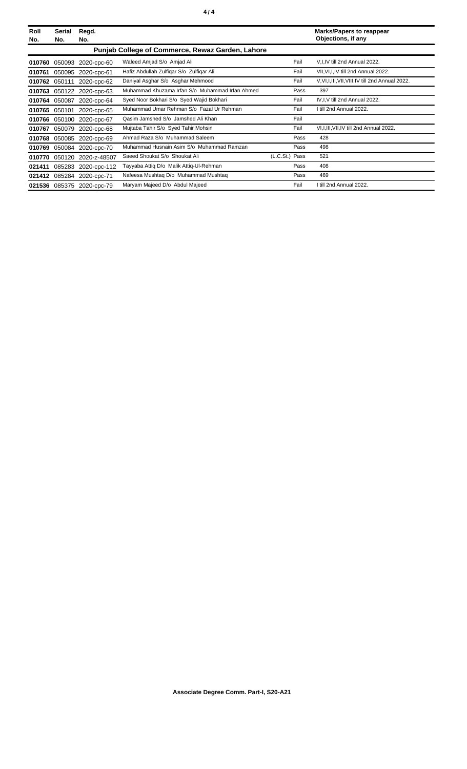| Roll<br>No. | Serial<br>No. | Regd.<br>No.              |                                                  |                |      | <b>Marks/Papers to reappear</b><br>Objections, if any |
|-------------|---------------|---------------------------|--------------------------------------------------|----------------|------|-------------------------------------------------------|
|             |               |                           | Punjab College of Commerce, Rewaz Garden, Lahore |                |      |                                                       |
| 010760      | 050093        | 2020-cpc-60               | Waleed Amjad S/o Amjad Ali                       |                | Fail | V, I, IV till 2nd Annual 2022.                        |
| 010761      | 050095        | 2020-cpc-61               | Hafiz Abdullah Zulfigar S/o Zulfigar Ali         |                | Fail | VII, VI, I, IV till 2nd Annual 2022.                  |
| 010762      | 050111        | 2020-cpc-62               | Daniyal Asghar S/o Asghar Mehmood                |                | Fail | V, VI, I, III, VII, VIII, IV till 2nd Annual 2022.    |
| 010763      | 050122        | 2020-cpc-63               | Muhammad Khuzama Irfan S/o Muhammad Irfan Ahmed  |                | Pass | 397                                                   |
| 010764      | 050087        | 2020-cpc-64               | Syed Noor Bokhari S/o Syed Wajid Bokhari         |                | Fail | IV, I, V till 2nd Annual 2022.                        |
| 010765      | 050101        | 2020-cpc-65               | Muhammad Umar Rehman S/o Fazal Ur Rehman         |                | Fail | I till 2nd Annual 2022.                               |
| 010766      | 050100        | 2020-cpc-67               | Qasim Jamshed S/o Jamshed Ali Khan               |                | Fail |                                                       |
| 010767      | 050079        | 2020-cpc-68               | Mujtaba Tahir S/o Syed Tahir Mohsin              |                | Fail | VI, I, III, VII, IV till 2nd Annual 2022.             |
| 010768      | 050085        | 2020-cpc-69               | Ahmad Raza S/o Muhammad Saleem                   |                | Pass | 428                                                   |
| 010769      | 050084        | 2020-cpc-70               | Muhammad Husnain Asim S/o Muhammad Ramzan        |                | Pass | 498                                                   |
| 010770      | 050120        | 2020-z-48507              | Saeed Shoukat S/o Shoukat Ali                    | (L.C.St.) Pass |      | 521                                                   |
| 021411      | 085283        | 2020-cpc-112              | Tayyaba Attiq D/o Malik Attiq-Ul-Rehman          |                | Pass | 408                                                   |
| 021412      | 085284        | 2020-cpc-71               | Nafeesa Mushtaq D/o Muhammad Mushtaq             |                | Pass | 469                                                   |
|             |               | 021536 085375 2020-cpc-79 | Maryam Majeed D/o Abdul Majeed                   |                | Fail | I till 2nd Annual 2022.                               |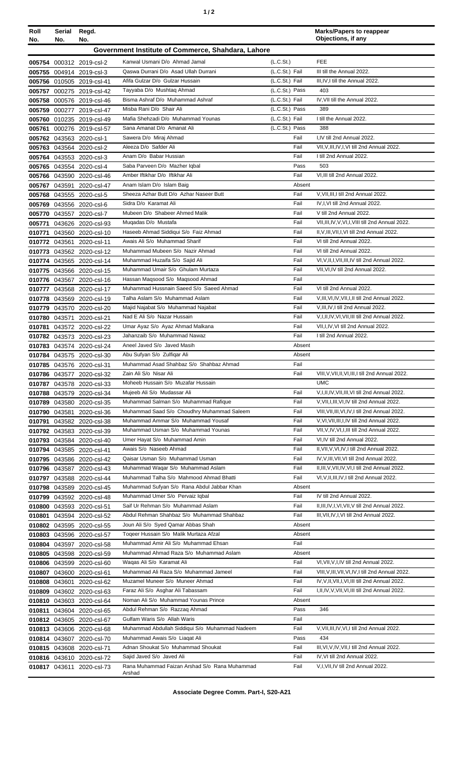| ٠ |  |
|---|--|
|---|--|

| Roll<br>No.      | Serial<br>No. | Regd.<br>No.                                           |                                                                               |                                  | <b>Marks/Papers to reappear</b><br>Objections, if any                                                  |
|------------------|---------------|--------------------------------------------------------|-------------------------------------------------------------------------------|----------------------------------|--------------------------------------------------------------------------------------------------------|
|                  |               |                                                        | Government Institute of Commerce, Shahdara, Lahore                            |                                  |                                                                                                        |
|                  |               | 005754 000312 2019-csl-2                               | Kanwal Usmani D/o Ahmad Jamal                                                 | (L.C.St.)                        | <b>FEE</b>                                                                                             |
|                  |               | 005755 004914 2019-csl-3                               | Qaswa Durrani D/o Asad Ullah Durrani                                          | (L.C.St.) Fail                   | III till the Annual 2022.                                                                              |
|                  |               | 005756 010505 2019-csl-41                              | Afifa Gulzar D/o Gulzar Hussain                                               | (L.C.St.) Fail                   | III, IV, I till the Annual 2022.                                                                       |
|                  |               | 005757 000275 2019-csl-42                              | Tayyaba D/o Mushtaq Ahmad                                                     | (L.C.St.) Pass                   | 403                                                                                                    |
| 005758<br>005759 |               | 000576 2019-csl-46                                     | Bisma Ashraf D/o Muhammad Ashraf<br>Misba Rani D/o Shair Ali                  | (L.C.St.) Fail<br>(L.C.St.) Pass | IV, VII till the Annual 2022.<br>389                                                                   |
|                  |               | 000277 2019-csl-47<br>005760 010235 2019-csl-49        | Mafia Shehzadi D/o Muhammad Younas                                            | (L.C.St.) Fail                   | I till the Annual 2022.                                                                                |
| 005761           |               | 000276 2019-csl-57                                     | Sana Amanat D/o Amanat Ali                                                    | (L.C.St.) Pass                   | 388                                                                                                    |
|                  |               | 005762 043563 2020-csl-1                               | Sawera D/o Miraj Ahmad                                                        | Fail                             | I,IV till 2nd Annual 2022.                                                                             |
|                  |               | 005763 043564 2020-csl-2                               | Aleeza D/o Safder Ali                                                         | Fail                             | VII, V, III, IV, I, VI till 2nd Annual 2022.                                                           |
|                  |               | 005764 043553 2020-csl-3                               | Anam D/o Babar Hussian                                                        | Fail                             | I till 2nd Annual 2022.                                                                                |
|                  |               | 005765 043554 2020-csl-4                               | Saba Parveen D/o Mazher Iqbal                                                 | Pass                             | 503                                                                                                    |
|                  |               | 005766 043590 2020-csl-46<br>005767 043591 2020-csl-47 | Amber Iftikhar D/o Iftikhar Ali<br>Anam Islam D/o Islam Baig                  | Fail<br>Absent                   | VI, III till 2nd Annual 2022.                                                                          |
|                  |               | 005768 043555 2020-csl-5                               | Sheeza Azhar Butt D/o Azhar Naseer Butt                                       | Fail                             | V, VII, III, I till 2nd Annual 2022.                                                                   |
|                  |               | 005769 043556 2020-csl-6                               | Sidra D/o Karamat Ali                                                         | Fail                             | IV, I, VI till 2nd Annual 2022.                                                                        |
|                  |               | 005770 043557 2020-csl-7                               | Mubeen D/o Shabeer Ahmed Malik                                                | Fail                             | V till 2nd Annual 2022.                                                                                |
|                  |               | 005771 043626 2020-csl-93                              | Mugadas D/o Mustafa                                                           | Fail                             | VII, III, IV, V, VI, I, VIII till 2nd Annual 2022.                                                     |
|                  |               | 010771 043560 2020-csl-10                              | Haseeb Ahmad Siddiqui S/o Faiz Ahmad                                          | Fail                             | II, V, III, VII, I, VI till 2nd Annual 2022.                                                           |
|                  |               | 010772 043561 2020-csl-11                              | Awais Ali S/o Muhammad Sharif                                                 | Fail                             | VI till 2nd Annual 2022.                                                                               |
| 010773           |               | 043562 2020-csl-12                                     | Muhammad Mubeen S/o Nazir Ahmad                                               | Fail                             | VI till 2nd Annual 2022.                                                                               |
|                  |               | 010774 043565 2020-csl-14                              | Muhammad Huzaifa S/o Sajid Ali<br>Muhammad Umair S/o Ghulam Murtaza           | Fail<br>Fail                     | VI, V, II, I, VII, III, IV till 2nd Annual 2022.<br>VII, VI, IV till 2nd Annual 2022.                  |
|                  |               | 010775 043566 2020-csl-15<br>010776 043567 2020-csl-16 | Hassan Magsood S/o Magsood Ahmad                                              | Fail                             |                                                                                                        |
|                  |               | 010777 043568 2020-csl-17                              | Muhammad Hussnain Saeed S/o Saeed Ahmad                                       | Fail                             | VI till 2nd Annual 2022.                                                                               |
|                  |               | 010778 043569 2020-csl-19                              | Talha Aslam S/o Muhammad Aslam                                                | Fail                             | V, III, VI, IV, VII, I, II till 2nd Annual 2022.                                                       |
|                  |               | 010779 043570 2020-csl-20                              | Majid Najabat S/o Muhammad Najabat                                            | Fail                             | V, III, IV, I till 2nd Annual 2022.                                                                    |
| 010780           | 043571        | 2020-csl-21                                            | Nad E Ali S/o Nazar Hussain                                                   | Fail                             | V, I, II, IV, VI, VII, III till 2nd Annual 2022.                                                       |
| 010781           |               | 043572 2020-csl-22                                     | Umar Ayaz S/o Ayaz Ahmad Malkana                                              | Fail                             | VII, I, IV, VI till 2nd Annual 2022.                                                                   |
|                  |               | 010782 043573 2020-csl-23                              | Jahanzaib S/o Muhammad Nawaz                                                  | Fail                             | I till 2nd Annual 2022.                                                                                |
|                  |               | 010783 043574 2020-csl-24                              | Aneel Javed S/o Javed Masih<br>Abu Sufyan S/o Zulfiqar Ali                    | Absent<br>Absent                 |                                                                                                        |
|                  |               | 010784 043575 2020-csl-30<br>010785 043576 2020-csl-31 | Muhammad Asad Shahbaz S/o Shahbaz Ahmad                                       | Fail                             |                                                                                                        |
|                  |               | 010786 043577 2020-csl-32                              | Zain Ali S/o Nisar Ali                                                        | Fail                             | VIII, V, VII, II, VI, III, I till 2nd Annual 2022.                                                     |
|                  |               | 010787 043578 2020-csl-33                              | Moheeb Hussain S/o Muzafar Hussain                                            |                                  | <b>UMC</b>                                                                                             |
|                  |               | 010788 043579 2020-csl-34                              | Mujeeb Ali S/o Mudassar Ali                                                   | Fail                             | V,I,II,IV,VII,III,VI till 2nd Annual 2022.                                                             |
| 010789           |               | 043580 2020-csl-35                                     | Muhammad Salman S/o Muhammad Rafique                                          | Fail                             | V, VII, I, III, VI, IV till 2nd Annual 2022.                                                           |
|                  |               | 010790 043581 2020-csl-36                              | Muhammad Saad S/o Choudhry Muhammad Saleem                                    | Fail                             | VIII, VII, III, VI, IV, I till 2nd Annual 2022.                                                        |
| 010791           |               | 043582 2020-csl-38<br>010792 043583 2020-csl-39        | Muhammad Ammar S/o Muhammad Yousaf<br>Muhammad Usman S/o Muhammad Younas      | Fail<br>Fail                     | V, VI, VII, III, I, IV till 2nd Annual 2022.<br>VII, V, IV, VI, I, III till 2nd Annual 2022.           |
|                  |               | 010793 043584 2020-csl-40                              | Umer Hayat S/o Muhammad Amin                                                  | Fail                             | VI, IV till 2nd Annual 2022.                                                                           |
|                  |               | 010794 043585 2020-csl-41                              | Awais S/o Naseeb Ahmad                                                        | Fail                             | II, VII, V, VI, IV, I till 2nd Annual 2022.                                                            |
|                  |               | 010795 043586 2020-csl-42                              | Qaisar Usman S/o Muhammad Usman                                               | Fail                             | IV, V, III, VII, VI till 2nd Annual 2022.                                                              |
|                  |               | 010796 043587 2020-csl-43                              | Muhammad Waqar S/o Muhammad Aslam                                             | Fail                             | II, III, V, VII, IV, VI, I till 2nd Annual 2022.                                                       |
| 010797           | 043588        | 2020-csl-44                                            | Muhammad Talha S/o Mahmood Ahmad Bhatti                                       | Fail                             | VI, V, II, III, IV, I till 2nd Annual 2022.                                                            |
|                  |               | 010798 043589 2020-csl-45                              | Muhammad Sufyan S/o Rana Abdul Jabbar Khan<br>Muhammad Umer S/o Pervaiz Iqbal | Absent<br>Fail                   | IV till 2nd Annual 2022.                                                                               |
|                  |               | 010799 043592 2020-csl-48<br>010800 043593 2020-csl-51 | Saif Ur Rehman S/o Muhammad Aslam                                             | Fail                             | II, III, IV, I, VI, VII, V till 2nd Annual 2022.                                                       |
| 010801           |               | 043594 2020-csl-52                                     | Abdul Rehman Shahbaz S/o Muhammad Shahbaz                                     | Fail                             | III, VII, IV, I, VI till 2nd Annual 2022.                                                              |
|                  |               | 010802 043595 2020-csl-55                              | Joun Ali S/o Syed Qamar Abbas Shah                                            | Absent                           |                                                                                                        |
|                  |               | 010803 043596 2020-csl-57                              | Togeer Hussain S/o Malik Murtaza Afzal                                        | Absent                           |                                                                                                        |
|                  |               | 010804 043597 2020-csl-58                              | Muhammad Amir Ali S/o Muhammad Ehsan                                          | Fail                             |                                                                                                        |
|                  |               | 010805 043598 2020-csl-59                              | Muhammad Ahmad Raza S/o Muhammad Aslam                                        | Absent                           |                                                                                                        |
|                  |               | 010806 043599 2020-csl-60                              | Waqas Ali S/o Karamat Ali                                                     | Fail                             | VI, VII, V, I, IV till 2nd Annual 2022.                                                                |
|                  |               | 010807 043600 2020-csl-61                              | Muhammad Ali Raza S/o Muhammad Jameel<br>Muzamel Muneer S/o Muneer Ahmad      | Fail<br>Fail                     | VIII, V, III, VII, VI, IV, I till 2nd Annual 2022.<br>IV, V, II, VII, I, VI, III till 2nd Annual 2022. |
|                  | 010808 043601 | 2020-csl-62<br>010809 043602 2020-csl-63               | Faraz Ali S/o Asghar Ali Tabassam                                             | Fail                             | I, II, IV, V, VII, VI, III till 2nd Annual 2022.                                                       |
|                  |               | 010810 043603 2020-csl-64                              | Noman Ali S/o Muhammad Younas Prince                                          | Absent                           |                                                                                                        |
| 010811           |               | 043604 2020-csl-65                                     | Abdul Rehman S/o Razzaq Ahmad                                                 | Pass                             | 346                                                                                                    |
|                  |               | 010812 043605 2020-csl-67                              | Gulfam Waris S/o Allah Waris                                                  | Fail                             |                                                                                                        |
|                  |               | 010813 043606 2020-csl-68                              | Muhammad Abdullah Siddiqui S/o Muhammad Nadeem                                | Fail                             | V, VII, III, IV, VI, I till 2nd Annual 2022.                                                           |
|                  |               | 010814 043607 2020-csl-70                              | Muhammad Awais S/o Liagat Ali                                                 | Pass                             | 434                                                                                                    |
|                  |               | 010815 043608 2020-csl-71                              | Adnan Shoukat S/o Muhammad Shoukat<br>Saiid Javed S/o Javed Ali               | Fail                             | III, VI, V, IV, VII, I till 2nd Annual 2022.                                                           |
|                  |               | 010816 043610 2020-csl-72<br>010817 043611 2020-csl-73 | Rana Muhammad Faizan Arshad S/o Rana Muhammad                                 | Fail<br>Fail                     | IV, VI till 2nd Annual 2022.<br>V, I, VII, IV till 2nd Annual 2022.                                    |
|                  |               |                                                        | Arshad                                                                        |                                  |                                                                                                        |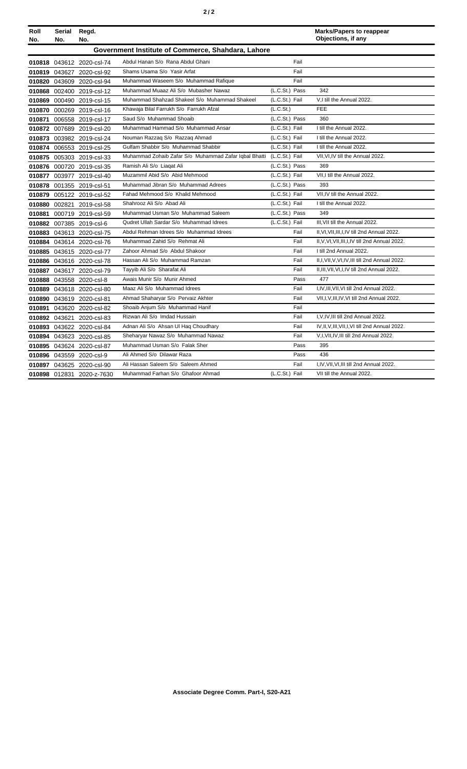| Roll<br>No. | Serial<br>No.                                      | Regd.<br>No.              |                                                       |                | <b>Marks/Papers to reappear</b><br>Objections, if any |  |  |
|-------------|----------------------------------------------------|---------------------------|-------------------------------------------------------|----------------|-------------------------------------------------------|--|--|
|             | Government Institute of Commerce, Shahdara, Lahore |                           |                                                       |                |                                                       |  |  |
|             |                                                    | 010818 043612 2020-csl-74 | Abdul Hanan S/o Rana Abdul Ghani                      | Fail           |                                                       |  |  |
|             |                                                    | 010819 043627 2020-csl-92 | Shams Usama S/o Yasir Arfat                           | Fail           |                                                       |  |  |
|             |                                                    | 010820 043609 2020-csl-94 | Muhammad Waseem S/o Muhammad Rafique                  | Fail           |                                                       |  |  |
|             |                                                    | 010868 002400 2019-csl-12 | Muhammad Muaaz Ali S/o Mubasher Nawaz                 | (L.C.St.) Pass | 342                                                   |  |  |
| 010869      |                                                    | 000490 2019-csl-15        | Muhammad Shahzad Shakeel S/o Muhammad Shakeel         | (L.C.St.) Fail | V.I till the Annual 2022.                             |  |  |
| 010870      |                                                    | 000269 2019-csl-16        | Khawaja Bilal Farrukh S/o Farrukh Afzal               | (L.C.St.)      | <b>FEE</b>                                            |  |  |
| 010871      |                                                    | 006558 2019-csl-17        | Saud S/o Muhammad Shoaib                              | (L.C.St.) Pass | 360                                                   |  |  |
| 010872      |                                                    | 007689 2019-csl-20        | Muhammad Hammad S/o Muhammad Ansar                    | (L.C.St.) Fail | I till the Annual 2022.                               |  |  |
|             |                                                    | 010873 003982 2019-csl-24 | Nouman Razzaq S/o Razzaq Ahmad                        | (L.C.St.) Fail | I till the Annual 2022.                               |  |  |
| 010874      |                                                    | 006553 2019-csl-25        | Gulfam Shabbir S/o Muhammad Shabbir                   | (L.C.St.) Fail | I till the Annual 2022.                               |  |  |
|             |                                                    | 010875 005303 2019-csl-33 | Muhammad Zohaib Zafar S/o Muhammad Zafar Iqbal Bhatti | (L.C.St.) Fail | VII, VI, IV till the Annual 2022.                     |  |  |
|             |                                                    | 010876 000720 2019-csl-35 | Ramish Ali S/o Liagat Ali                             | (L.C.St.) Pass | 369                                                   |  |  |
| 010877      |                                                    | 003977 2019-csl-40        | Muzammil Abid S/o Abid Mehmood                        | (L.C.St.) Fail | VII.I till the Annual 2022.                           |  |  |
| 010878      |                                                    | 001355 2019-csl-51        | Muhammad Jibran S/o Muhammad Adrees                   | (L.C.St.) Pass | 393                                                   |  |  |
| 010879      |                                                    | 005122 2019-csl-52        | Fahad Mehmood S/o Khalid Mehmood                      | (L.C.St.) Fail | VII.IV till the Annual 2022.                          |  |  |
| 010880      |                                                    | 002821 2019-csl-58        | Shahrooz Ali S/o Abad Ali                             | (L.C.St.) Fail | I till the Annual 2022.                               |  |  |
| 010881      |                                                    | 000719 2019-csl-59        | Muhammad Usman S/o Muhammad Saleem                    | (L.C.St.) Pass | 349                                                   |  |  |
|             |                                                    | 010882 007385 2019-csl-6  | Qudret Ullah Sardar S/o Muhammad Idrees               | (L.C.St.) Fail | III. VII till the Annual 2022.                        |  |  |
|             |                                                    | 010883 043613 2020-csl-75 | Abdul Rehman Idrees S/o Muhammad Idrees               | Fail           | II, VI, VII, III, I, IV till 2nd Annual 2022.         |  |  |
|             |                                                    | 010884 043614 2020-csl-76 | Muhammad Zahid S/o Rehmat Ali                         | Fail           | II, V, VI, VII, III, I, IV till 2nd Annual 2022.      |  |  |
|             |                                                    | 010885 043615 2020-csl-77 | Zahoor Ahmad S/o Abdul Shakoor                        | Fail           | I till 2nd Annual 2022.                               |  |  |
|             |                                                    | 010886 043616 2020-csl-78 | Hassan Ali S/o Muhammad Ramzan                        | Fail           | II,I, VII, V, VI, IV, III till 2nd Annual 2022.       |  |  |
|             |                                                    | 010887 043617 2020-csl-79 | Tayyib Ali S/o Sharafat Ali                           | Fail           | II, III, VII, VI, I, IV till 2nd Annual 2022.         |  |  |
|             |                                                    | 010888 043558 2020-csl-8  | Awais Munir S/o Munir Ahmed                           | Pass           | 477                                                   |  |  |
| 010889      |                                                    | 043618 2020-csl-80        | Maaz Ali S/o Muhammad Idrees                          | Fail           | I, IV, III, VII, VI till 2nd Annual 2022.             |  |  |
| 010890      |                                                    | 043619 2020-csl-81        | Ahmad Shaharyar S/o Pervaiz Akhter                    | Fail           | VII, I, V, III, IV, VI till 2nd Annual 2022.          |  |  |
| 010891      |                                                    | 043620 2020-csl-82        | Shoaib Anjum S/o Muhammad Hanif                       | Fail           |                                                       |  |  |
|             |                                                    | 010892 043621 2020-csl-83 | Rizwan Ali S/o Imdad Hussain                          | Fail           | I, V, IV, III till 2nd Annual 2022.                   |  |  |
|             |                                                    | 010893 043622 2020-csl-84 | Adnan Ali S/o Ahsan Ul Hag Choudhary                  | Fail           | IV, II, V, III, VII, I, VI till 2nd Annual 2022.      |  |  |
|             |                                                    | 010894 043623 2020-csl-85 | Sheharyar Nawaz S/o Muhammad Nawaz                    | Fail           | V,I, VII, IV, III till 2nd Annual 2022.               |  |  |
|             |                                                    | 010895 043624 2020-csl-87 | Muhammad Usman S/o Falak Sher                         | Pass           | 395                                                   |  |  |
|             |                                                    | 010896 043559 2020-csl-9  | Ali Ahmed S/o Dilawar Raza                            | Pass           | 436                                                   |  |  |
|             |                                                    | 010897 043625 2020-csl-90 | Ali Hassan Saleem S/o Saleem Ahmed                    | Fail           | I,IV, VII, VI, III till 2nd Annual 2022.              |  |  |
|             |                                                    | 010898 012831 2020-z-7630 | Muhammad Farhan S/o Ghafoor Ahmad                     | (L.C.St.) Fail | VII till the Annual 2022.                             |  |  |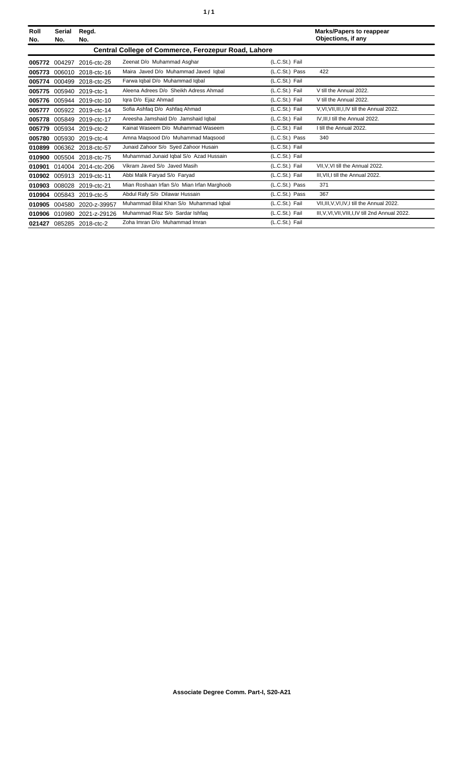| ٠ |  | ٠ |
|---|--|---|
|---|--|---|

| Roll<br>No. | Serial<br>No. | Regd.<br>No.       |                                                     |                | <b>Marks/Papers to reappear</b><br>Objections, if any |
|-------------|---------------|--------------------|-----------------------------------------------------|----------------|-------------------------------------------------------|
|             |               |                    | Central College of Commerce, Ferozepur Road, Lahore |                |                                                       |
| 005772      | 004297        | 2016-ctc-28        | Zeenat D/o Muhammad Asghar                          | (L.C.St.) Fail |                                                       |
| 005773      | 006010        | 2018-ctc-16        | Maira Javed D/o Muhammad Javed Iqbal                | (L.C.St.) Pass | 422                                                   |
| 005774      | 000499        | 2018-ctc-25        | Farwa Iqbal D/o Muhammad Iqbal                      | (L.C.St.) Fail |                                                       |
| 005775      | 005940        | 2019-ctc-1         | Aleena Adrees D/o Sheikh Adress Ahmad               | (L.C.St.) Fail | V till the Annual 2022.                               |
| 005776      |               | 005944 2019-ctc-10 | Igra D/o Ejaz Ahmad                                 | (L.C.St.) Fail | V till the Annual 2022.                               |
| 005777      |               | 005922 2019-ctc-14 | Sofia Ashfaq D/o Ashfaq Ahmad                       | (L.C.St.) Fail | V, VI, VII, III, I, IV till the Annual 2022.          |
| 005778      |               | 005849 2019-ctc-17 | Areesha Jamshaid D/o Jamshaid Iqbal                 | (L.C.St.) Fail | IV, III, I till the Annual 2022.                      |
| 005779      |               | 005934 2019-ctc-2  | Kainat Waseem D/o Muhammad Waseem                   | (L.C.St.) Fail | I till the Annual 2022.                               |
| 005780      | 005930        | 2019-ctc-4         | Amna Maqsood D/o Muhammad Maqsood                   | (L.C.St.) Pass | 340                                                   |
| 010899      |               | 006362 2018-ctc-57 | Junaid Zahoor S/o Syed Zahoor Husain                | (L.C.St.) Fail |                                                       |
| 010900      |               | 005504 2018-ctc-75 | Muhammad Junaid Iqbal S/o Azad Hussain              | (L.C.St.) Fail |                                                       |
| 010901      | 014004        | 2014-ctc-206       | Vikram Javed S/o Javed Masih                        | (L.C.St.) Fail | VII.V.VI till the Annual 2022.                        |
| 010902      | 005913        | 2019-ctc-11        | Abbi Malik Faryad S/o Faryad                        | (L.C.St.) Fail | III. VII. I till the Annual 2022.                     |
| 010903      | 008028        | 2019-ctc-21        | Mian Roshaan Irfan S/o Mian Irfan Marghoob          | (L.C.St.) Pass | 371                                                   |
| 010904      | 005843        | 2019-ctc-5         | Abdul Rafy S/o Dilawar Hussain                      | (L.C.St.) Pass | 367                                                   |
| 010905      | 004580        | 2020-z-39957       | Muhammad Bilal Khan S/o Muhammad Iqbal              | (L.C.St.) Fail | VII, III, V, VI, IV, I till the Annual 2022.          |
| 010906      | 010980        | 2021-z-29126       | Muhammad Riaz S/o Sardar Ishfaq                     | (L.C.St.) Fail | III, V, VI, VII, VIII, I, IV till 2nd Annual 2022.    |
| 021427      |               | 085285 2018-ctc-2  | Zoha Imran D/o Muhammad Imran                       | (L.C.St.) Fail |                                                       |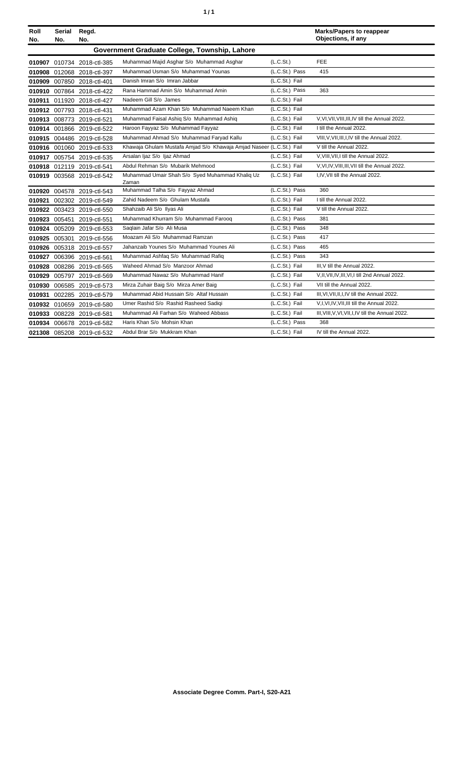| ٠ | ٠ |
|---|---|
|   |   |

| Roll<br>No. | Serial<br>No. | Regd.<br>No.               |                                                                      |                | <b>Marks/Papers to reappear</b><br>Objections, if any |
|-------------|---------------|----------------------------|----------------------------------------------------------------------|----------------|-------------------------------------------------------|
|             |               |                            | Government Graduate College, Township, Lahore                        |                |                                                       |
|             |               | 010907 010734 2018-ctl-385 | Muhammad Majid Asghar S/o Muhammad Asghar                            | (L.C.St.)      | FEE                                                   |
|             |               | 010908 012068 2018-ctl-397 | Muhammad Usman S/o Muhammad Younas                                   | (L.C.St.) Pass | 415                                                   |
|             |               | 010909 007850 2018-ctl-401 | Danish Imran S/o Imran Jabbar                                        | (L.C.St.) Fail |                                                       |
|             |               | 010910 007864 2018-ctl-422 | Rana Hammad Amin S/o Muhammad Amin                                   | (L.C.St.) Pass | 363                                                   |
|             |               | 010911 011920 2018-ctl-427 | Nadeem Gill S/o James                                                | (L.C.St.) Fail |                                                       |
|             |               | 010912 007793 2018-ctl-431 | Muhammad Azam Khan S/o Muhammad Naeem Khan                           | (L.C.St.) Fail |                                                       |
|             |               | 010913 008773 2019-ctl-521 | Muhammad Faisal Ashiq S/o Muhammad Ashiq                             | (L.C.St.) Fail | V, VI, VII, VIII, III, IV till the Annual 2022.       |
|             |               | 010914 001866 2019-ctl-522 | Haroon Fayyaz S/o Muhammad Fayyaz                                    | (L.C.St.) Fail | I till the Annual 2022.                               |
|             |               | 010915 004486 2019-ctl-528 | Muhammad Ahmad S/o Muhammad Faryad Kallu                             | (L.C.St.) Fail | VIII, V, VII, III, I, IV till the Annual 2022.        |
|             |               | 010916 001060 2019-ctl-533 | Khawaja Ghulam Mustafa Amjad S/o Khawaja Amjad Naseer (L.C.St.) Fail |                | V till the Annual 2022.                               |
|             |               | 010917 005754 2019-ctl-535 | Arsalan Ijaz S/o Ijaz Ahmad                                          | (L.C.St.) Fail | V. VIII. VII. I till the Annual 2022.                 |
|             |               | 010918 012119 2019-ctl-541 | Abdul Rehman S/o Mubarik Mehmood                                     | (L.C.St.) Fail | V, VI, IV, VIII, III, VII till the Annual 2022.       |
|             |               | 010919 003568 2019-ctl-542 | Muhammad Umair Shah S/o Syed Muhammad Khaliq Uz<br>Zaman             | (L.C.St.) Fail | I, IV, VII till the Annual 2022.                      |
|             |               | 010920 004578 2019-ctl-543 | Muhammad Talha S/o Fayyaz Ahmad                                      | (L.C.St.) Pass | 360                                                   |
|             |               | 010921 002302 2019-ctl-549 | Zahid Nadeem S/o Ghulam Mustafa                                      | (L.C.St.) Fail | I till the Annual 2022.                               |
|             |               | 010922 003423 2019-ctl-550 | Shahzaib Ali S/o Ilyas Ali                                           | (L.C.St.) Fail | V till the Annual 2022.                               |
|             |               | 010923 005451 2019-ctl-551 | Muhammad Khurram S/o Muhammad Farooq                                 | (L.C.St.) Pass | 381                                                   |
|             |               | 010924 005209 2019-ctl-553 | Saqlain Jafar S/o Ali Musa                                           | (L.C.St.) Pass | 348                                                   |
|             |               | 010925 005301 2019-ctl-556 | Moazam Ali S/o Muhammad Ramzan                                       | (L.C.St.) Pass | 417                                                   |
|             |               | 010926 005318 2019-ctl-557 | Jahanzaib Younes S/o Muhammad Younes Ali                             | (L.C.St.) Pass | 465                                                   |
|             |               | 010927 006396 2019-ctl-561 | Muhammad Ashfaq S/o Muhammad Rafiq                                   | (L.C.St.) Pass | 343                                                   |
|             |               | 010928 008286 2019-ctl-565 | Waheed Ahmad S/o Manzoor Ahmad                                       | (L.C.St.) Fail | III, V till the Annual 2022.                          |
|             |               | 010929 005797 2019-ctl-569 | Muhammad Nawaz S/o Muhammad Hanif                                    | (L.C.St.) Fail | V.II, VII, IV, III, VI, I till 2nd Annual 2022.       |
|             |               | 010930 006585 2019-ctl-573 | Mirza Zuhair Baig S/o Mirza Amer Baig                                | (L.C.St.) Fail | VII till the Annual 2022.                             |
|             |               | 010931 002285 2019-ctl-579 | Muhammad Abid Hussain S/o Altaf Hussain                              | (L.C.St.) Fail | III, VI, VII, II, I, IV till the Annual 2022.         |
|             |               | 010932 010659 2019-ctl-580 | Umer Rashid S/o Rashid Rasheed Sadigi                                | (L.C.St.) Fail | V, I, VI, IV, VII, III till the Annual 2022.          |
|             |               | 010933 008228 2019-ctl-581 | Muhammad Ali Farhan S/o Waheed Abbass                                | (L.C.St.) Fail | III, VIII, V, VI, VII, I, IV till the Annual 2022.    |
|             |               | 010934 006678 2019-ctl-582 | Haris Khan S/o Mohsin Khan                                           | (L.C.St.) Pass | 368                                                   |
|             |               | 021308 085208 2019-ctl-532 | Abdul Brar S/o Mukkram Khan                                          | (L.C.St.) Fail | IV till the Annual 2022.                              |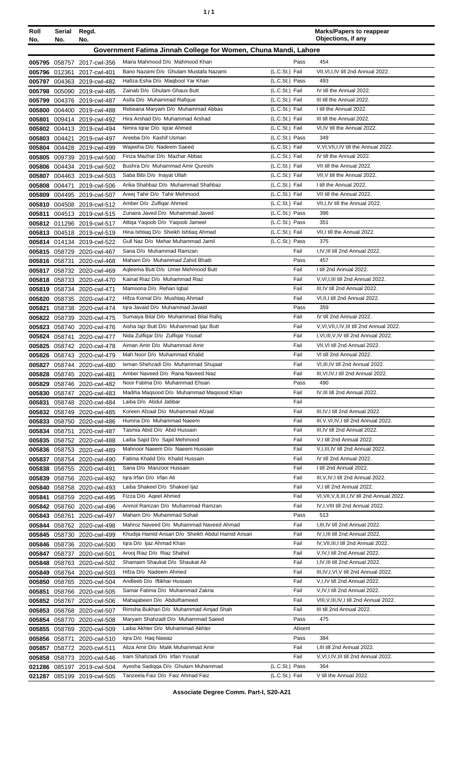|--|

| Roll<br>No. | Serial<br>No. | Regd.<br>No.                                             |                                                                          |                                  | <b>Marks/Papers to reappear</b><br>Objections, if any                     |
|-------------|---------------|----------------------------------------------------------|--------------------------------------------------------------------------|----------------------------------|---------------------------------------------------------------------------|
|             |               |                                                          | Government Fatima Jinnah College for Women, Chuna Mandi, Lahore          |                                  |                                                                           |
|             |               | 005795 058757 2017-cwl-356                               | Maira Mahmood D/o Mahmood Khan                                           | Pass                             | 454                                                                       |
|             | 005796 012361 | 2017-cwl-401                                             | Bano Nazami D/o Ghulam Mustafa Nazami                                    | (L.C.St.) Fail                   | VII, VI, I, IV till 2nd Annual 2022.                                      |
|             |               | 005797 004363 2019-cwl-482                               | Hafiza Esha D/o Maqbool Yar Khan                                         | (L.C.St.) Pass                   | 493                                                                       |
|             |               | 005798 005090 2019-cwl-485                               | Zainab D/o Ghulam Ghaus Butt                                             | (L.C.St.) Fail                   | IV till the Annual 2022.                                                  |
|             |               | 005799 004376 2019-cwl-487                               | Asifa D/o Muhammad Rafique                                               | (L.C.St.) Fail                   | III till the Annual 2022.                                                 |
|             |               | 005800 004400 2019-cwl-488                               | Rebeana Maryam D/o Muhammad Abbas                                        | (L.C.St.) Fail                   | I till the Annual 2022.                                                   |
| 005801      |               | 009414 2019-cwl-492                                      | Hira Arshad D/o Muhammad Arshad                                          | (L.C.St.) Fail                   | III till the Annual 2022.                                                 |
|             |               | 005802 004413 2019-cwl-494                               | Nimra Igrar D/o Igrar Ahmed<br>Areeba D/o Kashif Usman                   | (L.C.St.) Fail<br>(L.C.St.) Pass | VI,IV till the Annual 2022.<br>349                                        |
|             | 005803 004421 | 2019-cwl-497<br>005804 004428 2019-cwl-499               | Wajeeha D/o Nadeem Saeed                                                 | (L.C.St.) Fail                   | V, VI, VII, I, IV till the Annual 2022.                                   |
|             |               | 005805 009739 2019-cwl-500                               | Finza Mazhar D/o Mazhar Abbas                                            | (L.C.St.) Fail                   | IV till the Annual 2022.                                                  |
|             |               | 005806 004434 2019-cwl-502                               | Bushra D/o Muhammad Amir Qureshi                                         | (L.C.St.) Fail                   | VII till the Annual 2022.                                                 |
|             |               | 005807 004463 2019-cwl-503                               | Saba Bibi D/o Inayat Ullah                                               | (L.C.St.) Fail                   | VII, V till the Annual 2022.                                              |
|             |               | 005808 004471 2019-cwl-506                               | Arika Shahbaz D/o Muhammad Shahbaz                                       | (L.C.St.) Fail                   | I till the Annual 2022.                                                   |
|             |               | 005809 004495 2019-cwl-507                               | Areej Tahir D/o Tahir Mehmood                                            | (L.C.St.) Fail                   | VII till the Annual 2022.                                                 |
| 005810      |               | 004508 2019-cwl-512                                      | Amber D/o Zulfigar Ahmed                                                 | (L.C.St.) Fail                   | VII, I, IV till the Annual 2022.                                          |
| 005811      |               | 004513 2019-cwl-515                                      | Zunaira Javed D/o Muhammad Javed                                         | (L.C.St.) Pass                   | 396                                                                       |
|             |               | 005812 011296 2019-cwl-517                               | Attiqa Yaqoob D/o Yaqoob Jameel                                          | (L.C.St.) Pass                   | 351                                                                       |
|             |               | 005813 004518 2019-cwl-519                               | Hina Ishtiaq D/o Sheikh Ishtiaq Ahmad                                    | (L.C.St.) Fail                   | VII,I till the Annual 2022.                                               |
|             |               | 005814 014134 2019-cwl-522                               | Gull Naz D/o Mehar Muhammad Jamil<br>Sana D/o Muhammad Ramzan            | (L.C.St.) Pass<br>Fail           | 375<br>I,IV,III till 2nd Annual 2022.                                     |
|             | 005816 058731 | 005815 058729 2020-cwl-467<br>2020-cwl-468               | Maham D/o Muhammad Zahid Bhatti                                          | Pass                             | 457                                                                       |
| 005817      |               | 058732 2020-cwl-469                                      | Agleema Butt D/o Umer Mehmood Butt                                       | Fail                             | I till 2nd Annual 2022.                                                   |
|             |               | 005818 058733 2020-cwl-470                               | Kainat Riaz D/o Muhammad Riaz                                            | Fail                             | V, VI, I, III till 2nd Annual 2022.                                       |
|             |               | 005819 058734 2020-cwl-471                               | Mamoona D/o Rehan Iqbal                                                  | Fail                             | III, IV till 2nd Annual 2022.                                             |
|             |               | 005820 058735 2020-cwl-472                               | Hifza Komal D/o Mushtaq Ahmad                                            | Fail                             | VI, II, I till 2nd Annual 2022.                                           |
| 005821      |               | 058738 2020-cwl-474                                      | Igra Javaid D/o Muhammad Javaid                                          | Pass                             | 359                                                                       |
|             |               | 005822 058739 2020-cwl-475                               | Sumaiya Bilal D/o Muhammad Bilal Rafiq                                   | Fail                             | IV till 2nd Annual 2022.                                                  |
|             |               | 005823 058740 2020-cwl-476                               | Aisha lajz Butt D/o Muhammad ljaz Butt                                   | Fail                             | V, VI, VII, I, IV, III till 2nd Annual 2022.                              |
|             |               | 005824 058741 2020-cwl-477                               | Nida Zulfiqar D/o Zulfiqar Yousaf                                        | Fail                             | I, VI, III, V, IV till 2nd Annual 2022.                                   |
|             |               | 005825 058742 2020-cwl-478                               | Aiman Amir D/o Muhammad Amir                                             | Fail                             | VII, VI till 2nd Annual 2022.                                             |
|             |               | 005826 058743 2020-cwl-479                               | Mah Noor D/o Muhammad Khalid                                             | Fail                             | VI till 2nd Annual 2022.                                                  |
|             |               | 005827 058744 2020-cwl-480                               | Ieman Shehzadi D/o Muhammad Shujaat<br>Amber Naveed D/o Rana Naveed Niaz | Fail<br>Fail                     | VI, III, IV till 2nd Annual 2022.<br>III, VI, IV, I till 2nd Annual 2022. |
|             |               | 005828 058745 2020-cwl-481<br>005829 058746 2020-cwl-482 | Noor Fatima D/o Muhammad Ehsan                                           | Pass                             | 490                                                                       |
|             |               | 005830 058747 2020-cwl-483                               | Madiha Magsood D/o Muhammad Magsood Khan                                 | Fail                             | IV, III till 2nd Annual 2022.                                             |
|             |               | 005831 058748 2020-cwl-484                               | Laiba D/o Abdul Jabbar                                                   | Fail                             |                                                                           |
|             |               | 005832 058749 2020-cwl-485                               | Koreen Afzaal D/o Muhammad Afzaal                                        | Fail                             | III, IV, I till 2nd Annual 2022.                                          |
|             |               | 005833 058750 2020-cwl-486                               | Humna D/o Muhammad Naeem                                                 | Fail                             | III, V, VI, IV, I till 2nd Annual 2022.                                   |
|             | 005834 058751 | 2020-cwl-487                                             | Tasmia Abid D/o Abid Hussain                                             | Fail                             | III, IV till 2nd Annual 2022.                                             |
|             |               | 005835 058752 2020-cwl-488                               | Laiba Sajid D/o Sajid Mehmood                                            | Fail                             | V,I till 2nd Annual 2022.                                                 |
|             |               | 005836 058753 2020-cwl-489                               | Mahnoor Naeem D/o Naeem Hussain                                          | Fail                             | V, I, III, IV till 2nd Annual 2022.                                       |
|             |               | 005837 058754 2020-cwl-490                               | Fatima Khalid D/o Khalid Hussain                                         | Fail                             | IV till 2nd Annual 2022.                                                  |
|             |               | 005838 058755 2020-cwl-491                               | Sana D/o Manzoor Hussain<br>Igra Irfan D/o Irfan Ali                     | Fail<br>Fail                     | I till 2nd Annual 2022.<br>III, V, IV, I till 2nd Annual 2022.            |
|             |               | 005839 058756 2020-cwl-492<br>005840 058758 2020-cwl-493 | Laiba Shakeel D/o Shakeel Ijaz                                           | Fail                             | V,I till 2nd Annual 2022.                                                 |
|             |               | 005841 058759 2020-cwl-495                               | Fizza D/o Ageel Ahmed                                                    | Fail                             | VI, VII, V, II, III, I, IV till 2nd Annual 2022.                          |
|             |               | 005842 058760 2020-cwl-496                               | Anmol Ramzan D/o Muhammad Ramzan                                         | Fail                             | IV, I, VIII till 2nd Annual 2022.                                         |
|             |               | 005843 058761 2020-cwl-497                               | Maham D/o Muhammad Sohail                                                | Pass                             | 513                                                                       |
|             |               | 005844 058762 2020-cwl-498                               | Mahroz Naveed D/o Muhammad Naveed Ahmad                                  | Fail                             | I, III, IV till 2nd Annual 2022.                                          |
|             |               | 005845 058730 2020-cwl-499                               | Khudija Hamid Ansari D/o Sheikh Abdul Hamid Ansari                       | Fail                             | IV, I, III till 2nd Annual 2022.                                          |
|             |               | 005846 058736 2020-cwl-500                               | Igra D/o Ijaz Ahmad Khan                                                 | Fail                             | IV, VII, III, I till 2nd Annual 2022.                                     |
|             |               | 005847 058737 2020-cwl-501                               | Arooj Riaz D/o Riaz Shahid                                               | Fail                             | V,IV,I till 2nd Annual 2022.                                              |
|             |               | 005848 058763 2020-cwl-502                               | Shamaim Shaukat D/o Shaukat Ali                                          | Fail                             | I, IV, III till 2nd Annual 2022.                                          |
|             |               | 005849 058764 2020-cwl-503                               | Hifza D/o Nadeem Ahmed                                                   | Fail                             | III, IV, I, VI, V till 2nd Annual 2022.                                   |
|             |               | 005850 058765 2020-cwl-504                               | Andleeb D/o Iftikhar Hussain<br>Samar Fatima D/o Muhammad Zakria         | Fail<br>Fail                     | V,I,IV till 2nd Annual 2022.<br>V,IV,I till 2nd Annual 2022.              |
|             |               | 005851 058766 2020-cwl-505<br>005852 058767 2020-cwl-506 | Mahajabeen D/o Abdulhameed                                               | Fail                             | VIII, V, III, IV, I till 2nd Annual 2022.                                 |
|             |               | 005853 058768 2020-cwl-507                               | Rimsha Bukhari D/o Muhammad Amjad Shah                                   | Fail                             | III till 2nd Annual 2022.                                                 |
|             |               | 005854 058770 2020-cwl-508                               | Maryam Shahzadi D/o Muhammad Saeed                                       | Pass                             | 475                                                                       |
|             |               | 005855 058769 2020-cwl-509                               | Laiba Akhter D/o Muhammad Akhter                                         | Absent                           |                                                                           |
|             | 005856 058771 | 2020-cwl-510                                             | Igra D/o Hag Nawaz                                                       | Pass                             | 384                                                                       |
|             |               | 005857 058772 2020-cwl-511                               | Aliza Amir D/o Malik Muhammad Amir                                       | Fail                             | I.III till 2nd Annual 2022.                                               |
|             |               | 005858 058773 2020-cwl-546                               | Iram Shahzadi D/o Irfan Yousaf                                           | Fail                             | V, VI, I, IV, III till 2nd Annual 2022.                                   |
|             |               | 021286 085197 2019-cwl-504                               | Ayesha Sadiqqa D/o Ghulam Muhammad                                       | (L.C.St.) Pass                   | 364                                                                       |
|             |               | 021287 085199 2019-cwl-505                               | Tanzeela Faiz D/o Faiz Ahmad Faiz                                        | (L.C.St.) Fail                   | V till the Annual 2022.                                                   |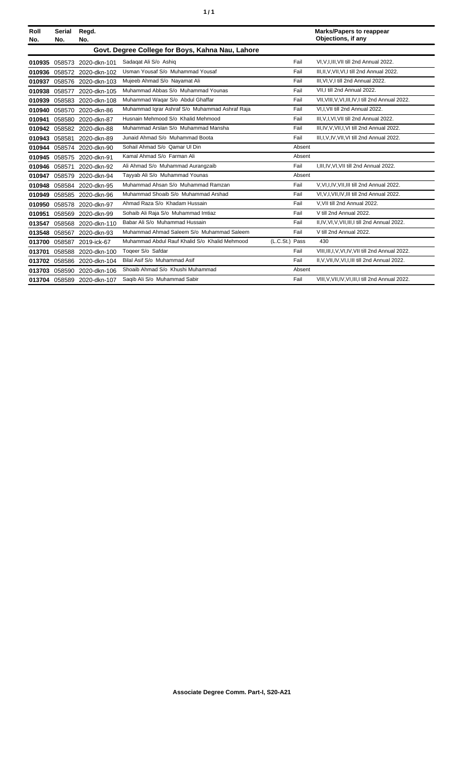| Roll<br>No. | Serial<br>No. | Regd.<br>No.               |                                                  |                | <b>Marks/Papers to reappear</b><br>Objections, if any |
|-------------|---------------|----------------------------|--------------------------------------------------|----------------|-------------------------------------------------------|
|             |               |                            | Govt. Degree College for Boys, Kahna Nau, Lahore |                |                                                       |
| 010935      | 058573        | 2020-dkn-101               | Sadagat Ali S/o Ashig                            | Fail           | VI.V.I.III.VII till 2nd Annual 2022.                  |
| 010936      |               | 058572 2020-dkn-102        | Usman Yousaf S/o Muhammad Yousaf                 | Fail           | III, II, V, VII, VI, I till 2nd Annual 2022.          |
| 010937      |               | 058576 2020-dkn-103        | Mujeeb Ahmad S/o Nayamat Ali                     | Fail           | III, VI, V, I till 2nd Annual 2022.                   |
| 010938      | 058577        | 2020-dkn-105               | Muhammad Abbas S/o Muhammad Younas               | Fail           | VII.I till 2nd Annual 2022.                           |
| 010939      |               | 058583 2020-dkn-108        | Muhammad Waqar S/o Abdul Ghaffar                 | Fail           | VII, VIII, V, VI, III, IV, I till 2nd Annual 2022.    |
| 010940      | 058570        | 2020-dkn-86                | Muhammad Iqrar Ashraf S/o Muhammad Ashraf Raja   | Fail           | VI,I, VII till 2nd Annual 2022.                       |
| 010941      |               | 058580 2020-dkn-87         | Husnain Mehmood S/o Khalid Mehmood               | Fail           | III, V, I, VI, VII till 2nd Annual 2022.              |
| 010942      |               | 058582 2020-dkn-88         | Muhammad Arslan S/o Muhammad Mansha              | Fail           | III, IV, V, VII, I, VI till 2nd Annual 2022.          |
| 010943      | 058581        | 2020-dkn-89                | Junaid Ahmad S/o Muhammad Boota                  | Fail           | III, I, V, IV, VII, VI till 2nd Annual 2022.          |
| 010944      | 058574        | 2020-dkn-90                | Sohail Ahmad S/o Qamar Ul Din                    | Absent         |                                                       |
| 010945      |               | 058575 2020-dkn-91         | Kamal Ahmad S/o Farman Ali                       | Absent         |                                                       |
| 010946      | 058571        | 2020-dkn-92                | Ali Ahmad S/o Muhammad Aurangzaib                | Fail           | I, III, IV, VI, VII till 2nd Annual 2022.             |
| 010947      | 058579        | 2020-dkn-94                | Tayyab Ali S/o Muhammad Younas                   | Absent         |                                                       |
| 010948      | 058584        | 2020-dkn-95                | Muhammad Ahsan S/o Muhammad Ramzan               | Fail           | V.VI.I.IV.VII.III till 2nd Annual 2022.               |
| 010949      |               | 058585 2020-dkn-96         | Muhammad Shoaib S/o Muhammad Arshad              | Fail           | VI, V, I, VII, IV, III till 2nd Annual 2022.          |
| 010950      | 058578        | 2020-dkn-97                | Ahmad Raza S/o Khadam Hussain                    | Fail           | V, VII till 2nd Annual 2022.                          |
| 010951      |               | 058569 2020-dkn-99         | Sohaib Ali Raja S/o Muhammad Imtiaz              | Fail           | V till 2nd Annual 2022.                               |
| 013547      |               | 058568 2020-dkn-110        | Babar Ali S/o Muhammad Hussain                   | Fail           | II, IV, VI, V, VII, III, I till 2nd Annual 2022.      |
| 013548      | 058567        | 2020-dkn-93                | Muhammad Ahmad Saleem S/o Muhammad Saleem        | Fail           | V till 2nd Annual 2022.                               |
| 013700      | 058587        | 2019-ick-67                | Muhammad Abdul Rauf Khalid S/o Khalid Mehmood    | (L.C.St.) Pass | 430                                                   |
| 013701      | 058588        | 2020-dkn-100               | Togeer S/o Safdar                                | Fail           | VIII, III, I, V, VI, IV, VII till 2nd Annual 2022.    |
| 013702      |               | 058586 2020-dkn-104        | Bilal Asif S/o Muhammad Asif                     | Fail           | II, V, VII, IV, VI, I, III till 2nd Annual 2022.      |
| 013703      |               | 058590 2020-dkn-106        | Shoaib Ahmad S/o Khushi Muhammad                 | Absent         |                                                       |
|             |               | 013704 058589 2020-dkn-107 | Saqib Ali S/o Muhammad Sabir                     | Fail           | VIII, V, VII, IV, VI, III, I till 2nd Annual 2022.    |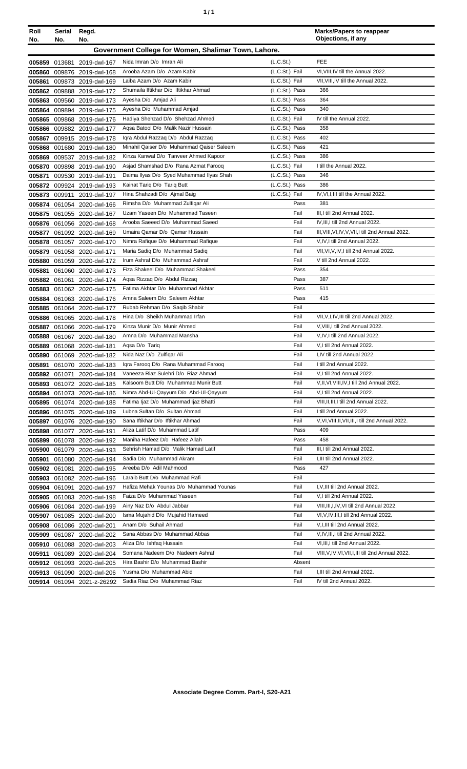| ٠ | ٠ |
|---|---|
|   |   |

| Roll<br>No. | Serial<br>No. | Regd.<br>No.                                             |                                                                       |                                  | <b>Marks/Papers to reappear</b><br>Objections, if any          |
|-------------|---------------|----------------------------------------------------------|-----------------------------------------------------------------------|----------------------------------|----------------------------------------------------------------|
|             |               |                                                          | Government College for Women, Shalimar Town, Lahore.                  |                                  |                                                                |
|             |               | 005859 013681 2019-dwl-167                               | Nida Imran D/o Imran Ali                                              | (L.C.St.)                        | <b>FEE</b>                                                     |
|             |               | 005860 009876 2019-dwl-168                               | Arooba Azam D/o Azam Kabir                                            | (L.C.St.) Fail                   | VI, VIII, IV till the Annual 2022.                             |
| 005861      |               | 009873 2019-dwl-169                                      | Laiba Azam D/o Azam Kabir                                             | (L.C.St.) Fail                   | VII, VIII, IV till the Annual 2022.                            |
|             |               | 005862 009888 2019-dwl-172                               | Shumaila Iftikhar D/o Iftikhar Ahmad                                  | (L.C.St.) Pass                   | 366                                                            |
| 005863      |               | 009560 2019-dwl-173                                      | Ayesha D/o Amjad Ali                                                  | (L.C.St.) Pass                   | 364                                                            |
|             |               | 005864 009894 2019-dwl-175                               | Ayesha D/o Muhammad Amjad                                             | (L.C.St.) Pass                   | 340                                                            |
|             |               | 005865 009868 2019-dwl-176                               | Hadiya Shehzad D/o Shehzad Ahmed                                      | (L.C.St.) Fail                   | IV till the Annual 2022.                                       |
|             |               | 005866 009882 2019-dwl-177                               | Aqsa Batool D/o Malik Nazir Hussain                                   | (L.C.St.) Pass                   | 358                                                            |
|             |               | 005867 009915 2019-dwl-178                               | Igra Abdul Razzag D/o Abdul Razzag                                    | (L.C.St.) Pass                   | 402                                                            |
|             |               | 005868 001680 2019-dwl-180                               | Minahil Qaiser D/o Muhammad Qaiser Saleem                             | (L.C.St.) Pass                   | 421                                                            |
|             |               | 005869 009537 2019-dwl-182                               | Kinza Kanwal D/o Tanveer Ahmed Kapoor                                 | (L.C.St.) Pass                   | 386                                                            |
|             |               | 005870 009898 2019-dwl-190                               | Asjad Shamshad D/o Rana Azmat Faroog                                  | (L.C.St.) Fail                   | I till the Annual 2022.                                        |
| 005871      |               | 009530 2019-dwl-191                                      | Daima Ilyas D/o Syed Muhammad Ilyas Shah                              | (L.C.St.) Pass<br>(L.C.St.) Pass | 346<br>386                                                     |
|             |               | 005872 009924 2019-dwl-193                               | Kainat Tariq D/o Tariq Butt<br>Hina Shahzadi D/o Ajmal Baig           | (L.C.St.) Fail                   | IV, VI, I, III till the Annual 2022.                           |
|             | 005873 009911 | 2019-dwl-197                                             | Rimsha D/o Muhammad Zulfiqar Ali                                      | Pass                             | 381                                                            |
|             |               | 005874 061054 2020-dwl-166<br>005875 061055 2020-dwl-167 | Uzam Yaseen D/o Muhammad Taseen                                       | Fail                             | III, I till 2nd Annual 2022.                                   |
|             |               | 005876 061056 2020-dwl-168                               | Arooba Saeeed D/o Muhammad Saeed                                      | Fail                             | IV, III, I till 2nd Annual 2022.                               |
|             |               | 005877 061092 2020-dwl-169                               | Umaira Qamar D/o Qamar Hussain                                        | Fail                             | III, VIII, VI, IV, V, VII, I till 2nd Annual 2022.             |
|             |               | 005878 061057 2020-dwl-170                               | Nimra Rafique D/o Muhammad Rafique                                    | Fail                             | V,IV,I till 2nd Annual 2022.                                   |
|             |               | 005879 061058 2020-dwl-171                               | Maria Sadiq D/o Muhammad Sadiq                                        | Fail                             | VII, VI, V, IV, I till 2nd Annual 2022.                        |
|             |               | 005880 061059 2020-dwl-172                               | Irum Ashraf D/o Muhammad Ashraf                                       | Fail                             | V till 2nd Annual 2022.                                        |
| 005881      |               | 061060 2020-dwl-173                                      | Fiza Shakeel D/o Muhammad Shakeel                                     | Pass                             | 354                                                            |
|             |               | 005882 061061 2020-dwl-174                               | Agsa Rizzag D/o Abdul Rizzag                                          | Pass                             | 387                                                            |
| 005883      |               | 061062 2020-dwl-175                                      | Fatima Akhtar D/o Muhammad Akhtar                                     | Pass                             | 511                                                            |
|             |               | 005884 061063 2020-dwl-176                               | Amna Saleem D/o Saleem Akhtar                                         | Pass                             | 415                                                            |
|             |               | 005885 061064 2020-dwl-177                               | Rubab Rehman D/o Saqib Shabir                                         | Fail                             |                                                                |
| 005886      |               | 061065 2020-dwl-178                                      | Hina D/o Sheikh Muhammad Irfan                                        | Fail                             | VII, V, I, IV, III till 2nd Annual 2022.                       |
| 005887      |               | 061066 2020-dwl-179                                      | Kinza Munir D/o Munir Ahmed                                           | Fail                             | V, VIII, I till 2nd Annual 2022.                               |
| 005888      |               | 061067 2020-dwl-180                                      | Amna D/o Muhammad Mansha                                              | Fail                             | V, IV, I till 2nd Annual 2022.                                 |
| 005889      |               | 061068 2020-dwl-181                                      | Aqsa D/o Tariq                                                        | Fail                             | V,I till 2nd Annual 2022.                                      |
|             |               | 005890 061069 2020-dwl-182                               | Nida Naz D/o Zulfigar Ali                                             | Fail                             | I,IV till 2nd Annual 2022.                                     |
|             |               | 005891 061070 2020-dwl-183                               | Igra Faroog D/o Rana Muhammad Faroog                                  | Fail                             | I till 2nd Annual 2022.                                        |
|             |               | 005892 061071 2020-dwl-184                               | Vaneeza Riaz Sulehri D/o Riaz Ahmad                                   | Fail                             | V,I till 2nd Annual 2022.                                      |
|             |               | 005893 061072 2020-dwl-185                               | Kalsoom Butt D/o Muhammad Munir Butt                                  | Fail                             | V, II, VI, VIII, IV, I till 2nd Annual 2022.                   |
|             |               | 005894 061073 2020-dwl-186                               | Nimra Abd-UI-Qayyum D/o Abd-UI-Qayyum                                 | Fail                             | V,I till 2nd Annual 2022.                                      |
|             |               | 005895 061074 2020-dwl-188                               | Fatima Ijaz D/o Muhammad Ijaz Bhatti<br>Lubna Sultan D/o Sultan Ahmad | Fail<br>Fail                     | VIII.II.III.I till 2nd Annual 2022.<br>I till 2nd Annual 2022. |
|             |               | 005896 061075 2020-dwl-189                               | Sana Iftikhar D/o Iftikhar Ahmad                                      | Fail                             | V, VI, VIII, II, VII, III, I till 2nd Annual 2022.             |
|             |               | 005897 061076 2020-dwl-190                               | Aliza Latif D/o Muhammad Latif                                        | Pass                             | 409                                                            |
|             |               | 005898 061077 2020-dwl-191<br>005899 061078 2020-dwl-192 | Maniha Hafeez D/o Hafeez Allah                                        | Pass                             | 458                                                            |
|             |               | 005900 061079 2020-dwl-193                               | Sehrish Hamad D/o Malik Hamad Latif                                   | Fail                             | III,I till 2nd Annual 2022.                                    |
|             |               | 005901 061080 2020-dwl-194                               | Sadia D/o Muhammad Akram                                              | Fail                             | I, III till 2nd Annual 2022.                                   |
|             | 005902 061081 | 2020-dwl-195                                             | Areeba D/o Adil Mahmood                                               | Pass                             | 427                                                            |
|             |               | 005903 061082 2020-dwl-196                               | Laraib Butt D/o Muhammad Rafi                                         | Fail                             |                                                                |
|             | 005904 061091 | 2020-dwl-197                                             | Hafiza Mehak Younas D/o Muhammad Younas                               | Fail                             | I, V, III till 2nd Annual 2022.                                |
|             |               | 005905 061083 2020-dwl-198                               | Faiza D/o Muhammad Yaseen                                             | Fail                             | V,I till 2nd Annual 2022.                                      |
|             |               | 005906 061084 2020-dwl-199                               | Ainy Naz D/o Abdul Jabbar                                             | Fail                             | VIII, III, I, IV, VI till 2nd Annual 2022.                     |
|             |               | 005907 061085 2020-dwl-200                               | Isma Mujahid D/o Mujahid Hameed                                       | Fail                             | VI, V, IV, III, I till 2nd Annual 2022.                        |
|             |               | 005908 061086 2020-dwl-201                               | Anam D/o Suhail Ahmad                                                 | Fail                             | V, I, III till 2nd Annual 2022.                                |
|             |               | 005909 061087 2020-dwl-202                               | Sana Abbas D/o Muhammad Abbas                                         | Fail                             | V,IV,III,I till 2nd Annual 2022.                               |
|             |               | 005910 061088 2020-dwl-203                               | Aliza D/o Ishfaq Hussain                                              | Fail                             | VI, III, I till 2nd Annual 2022.                               |
|             |               | 005911 061089 2020-dwl-204                               | Somana Nadeem D/o Nadeem Ashraf                                       | Fail                             | VIII, V, IV, VI, VII, I, III till 2nd Annual 2022.             |
|             |               | 005912 061093 2020-dwl-205                               | Hira Bashir D/o Muhammad Bashir                                       | Absent                           |                                                                |
|             |               | 005913 061090 2020-dwl-206                               | Yusma D/o Muhammad Abid                                               | Fail                             | I, III till 2nd Annual 2022.                                   |
|             |               | 005914 061094 2021-z-26292                               | Sadia Riaz D/o Muhammad Riaz                                          | Fail                             | IV till 2nd Annual 2022.                                       |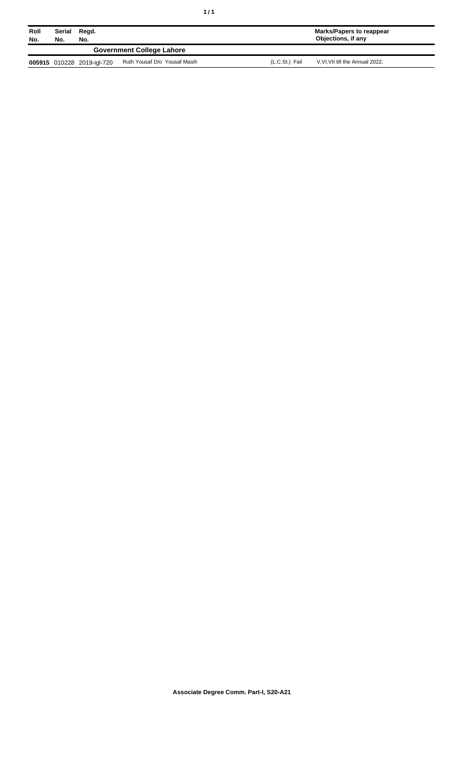| Roll<br>No. | Serial<br>No.                    | Regd.<br>No.               |                              |                | Marks/Papers to reappear<br>Objections, if any |  |
|-------------|----------------------------------|----------------------------|------------------------------|----------------|------------------------------------------------|--|
|             | <b>Government College Lahore</b> |                            |                              |                |                                                |  |
|             |                                  | 005915 010228 2019-igl-720 | Ruth Yousaf D/o Yousaf Masih | (L.C.St.) Fail | V.VI.VII till the Annual 2022.                 |  |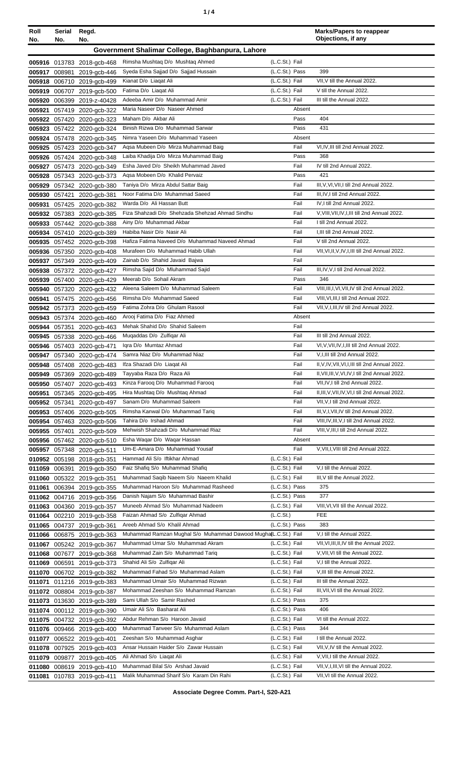| Roll<br>No.      | Serial<br>No. | Regd.<br>No.                                             |                                                                      |                                  | <b>Marks/Papers to reappear</b><br>Objections, if any                                 |
|------------------|---------------|----------------------------------------------------------|----------------------------------------------------------------------|----------------------------------|---------------------------------------------------------------------------------------|
|                  |               |                                                          | Government Shalimar College, Baghbanpura, Lahore                     |                                  |                                                                                       |
|                  |               | 005916 013783 2018-gcb-468                               | Rimsha Mushtaq D/o Mushtaq Ahmed                                     | (L.C.St.) Fail                   |                                                                                       |
|                  |               | 005917 008981 2019-gcb-446                               | Syeda Esha Sajjad D/o Sajjad Hussain                                 | (L.C.St.) Pass                   | 399                                                                                   |
|                  |               | 005918 006710 2019-gcb-499                               | Kianat D/o Liagat Ali                                                | (L.C.St.) Fail                   | VII, V till the Annual 2022.                                                          |
|                  |               | 005919 006707 2019-gcb-500                               | Fatima D/o Liagat Ali                                                | (L.C.St.) Fail                   | V till the Annual 2022.                                                               |
| 005920           |               | 006399 2019-z-40428                                      | Adeeba Amir D/o Muhammad Amir                                        | (L.C.St.) Fail                   | III till the Annual 2022.                                                             |
| 005921           |               | 057419 2020-gcb-322                                      | Maria Naseer D/o Naseer Ahmed                                        | Absent                           |                                                                                       |
| 005922           |               | 057420 2020-gcb-323                                      | Maham D/o Akbar Ali                                                  | Pass                             | 404                                                                                   |
| 005923           |               | 057422 2020-gcb-324                                      | Binish Rizwa D/o Muhammad Sarwar<br>Nimra Yaseen D/o Muhammad Yaseen | Pass<br>Absent                   | 431                                                                                   |
|                  |               | 005924 057478 2020-gcb-345<br>005925 057423 2020-gcb-347 | Agsa Mubeen D/o Mirza Muhammad Baig                                  | Fail                             | VI, IV, III till 2nd Annual 2022.                                                     |
|                  |               | 005926 057424 2020-gcb-348                               | Laiba Khadija D/o Mirza Muhammad Baig                                | Pass                             | 368                                                                                   |
|                  |               | 005927 057473 2020-gcb-349                               | Esha Javed D/o Sheikh Muhammad Javed                                 | Fail                             | IV till 2nd Annual 2022.                                                              |
| 005928           |               | 057343 2020-gcb-373                                      | Aqsa Mobeen D/o Khalid Pervaiz                                       | Pass                             | 421                                                                                   |
| 005929           |               | 057342 2020-gcb-380                                      | Taniya D/o Mirza Abdul Sattar Baig                                   | Fail                             | III, V, VI, VII, I till 2nd Annual 2022.                                              |
| 005930           |               | 057421 2020-gcb-381                                      | Noor Fatima D/o Muhammad Saeed                                       | Fail                             | III.IV.I till 2nd Annual 2022.                                                        |
| 005931           |               | 057425 2020-gcb-382                                      | Warda D/o Ali Hassan Butt                                            | Fail                             | IV, I till 2nd Annual 2022.                                                           |
|                  |               | 005932 057383 2020-gcb-385                               | Fiza Shahzadi D/o Shehzada Shehzad Ahmad Sindhu                      | Fail                             | V, VIII, VII, IV, I, III till 2nd Annual 2022.                                        |
|                  |               | 005933 057442 2020-gcb-388                               | Ainy D/o Muhammad Akbar                                              | Fail                             | I till 2nd Annual 2022.                                                               |
|                  |               | 005934 057410 2020-gcb-389                               | Habiba Nasir D/o Nasir Ali                                           | Fail                             | I.III till 2nd Annual 2022.                                                           |
|                  |               | 005935 057452 2020-gcb-398                               | Hafiza Fatima Naveed D/o Muhammad Naveed Ahmad                       | Fail                             | V till 2nd Annual 2022.                                                               |
|                  |               | 005936 057350 2020-gcb-408                               | Murafeen D/o Muhammad Habib Ullah                                    | Fail                             | VII, VI, II, V, IV, I, III till 2nd Annual 2022.                                      |
|                  |               | 005937 057349 2020-gcb-409                               | Zainab D/o Shahid Javaid Bajwa                                       | Fail                             |                                                                                       |
| 005938           |               | 057372 2020-gcb-427                                      | Rimsha Sajid D/o Mluhammad Sajid<br>Meerab D/o Sohail Akram          | Fail<br>Pass                     | III, IV, V, I till 2nd Annual 2022.<br>346                                            |
| 005939           |               | 057400 2020-gcb-429                                      | Aleena Saleem D/o Muhammad Saleem                                    | Fail                             | VIII, III, I, VI, VII, IV till 2nd Annual 2022.                                       |
| 005940<br>005941 |               | 057320 2020-gcb-432<br>057475 2020-gcb-456               | Rimsha D/o Muhammad Saeed                                            | Fail                             | VIII, VI, III, I till 2nd Annual 2022.                                                |
|                  |               | 005942 057373 2020-gcb-459                               | Fatima Zohra D/o Ghulam Rasool                                       | Fail                             | VII, V, I, III, IV till 2nd Annual 2022.                                              |
| 005943           |               | 057374 2020-gcb-460                                      | Arooj Fatima D/o Fiaz Ahmed                                          | Absent                           |                                                                                       |
| 005944           |               | 057351 2020-gcb-463                                      | Mehak Shahid D/o Shahid Saleem                                       | Fail                             |                                                                                       |
| 005945           |               | 057338 2020-gcb-466                                      | Mugaddas D/o Zulfigar Ali                                            | Fail                             | III till 2nd Annual 2022.                                                             |
| 005946           |               | 057403 2020-gcb-471                                      | Igra D/o Mumtaz Ahmad                                                | Fail                             | VI, V, VII, IV, I, III till 2nd Annual 2022.                                          |
|                  |               | 005947 057340 2020-gcb-474                               | Samra Niaz D/o Muhammad Niaz                                         | Fail                             | V, I, III till 2nd Annual 2022.                                                       |
|                  |               | 005948 057408 2020-gcb-483                               | Ifza Shazadi D/o Liagat Ali                                          | Fail                             | II, V, IV, VII, VI, I, III till 2nd Annual 2022.                                      |
|                  |               | 005949 057369 2020-gcb-489                               | Tayyaba Raza D/o Raza Ali                                            | Fail                             | II, VII, III, V, VI, IV, I till 2nd Annual 2022.                                      |
| 005950           |               | 057407 2020-gcb-493                                      | Kinza Farooq D/o Muhammad Farooq                                     | Fail                             | VII, IV, I till 2nd Annual 2022.                                                      |
| 005951           |               | 057345 2020-gcb-495                                      | Hira Mushtaq D/o Mushtaq Ahmad                                       | Fail                             | II, III, V, VII, IV, VI, I till 2nd Annual 2022.                                      |
| 005952           |               | 057341 2020-gcb-497                                      | Sanam D/o Muhammad Saleem                                            | Fail                             | VII, V, I till 2nd Annual 2022.                                                       |
| 005953           |               | 057406 2020-gcb-505                                      | Rimsha Kanwal D/o Muhammad Tariq<br>Tahira D/o Irshad Ahmad          | Fail<br>Fail                     | III, V, I, VII, IV till 2nd Annual 2022.<br>VIII, IV, III, V, I till 2nd Annual 2022. |
| 005954           |               | 057463 2020-gcb-506                                      | Mehwish Shahzadi D/o Muhammad Riaz                                   | Fail                             | VIII, V, III, I till 2nd Annual 2022.                                                 |
| 005955<br>005956 | 057401        | 2020-gcb-509<br>057462 2020-gcb-510                      | Esha Wagar D/o Wagar Hassan                                          | Absent                           |                                                                                       |
| 005957           |               | 057348 2020-gcb-511                                      | Um-E-Amara D/o Muhammad Yousaf                                       | Fail                             | V, VII, I, VIII till 2nd Annual 2022.                                                 |
|                  |               | 010952 005198 2018-gcb-351                               | Hammad Ali S/o Iftikhar Ahmad                                        | (L.C.St.) Fail                   |                                                                                       |
| 011059           | 006391        | 2019-gcb-350                                             | Faiz Shafiq S/o Muhammad Shafiq                                      | (L.C.St.) Fail                   | V,I till the Annual 2022.                                                             |
| 011060           |               | 005322 2019-gcb-351                                      | Muhammad Saqib Naeem S/o Naeem Khalid                                | (L.C.St.) Fail                   | III, V till the Annual 2022.                                                          |
| 011061           |               | 006394 2019-gcb-355                                      | Muhammad Haroon S/o Muhammad Rasheed                                 | (L.C.St.) Pass                   | 375                                                                                   |
|                  |               | 011062 004716 2019-gcb-356                               | Danish Najam S/o Muhammad Bashir                                     | (L.C.St.) Pass                   | 377                                                                                   |
| 011063           |               | 004360 2019-gcb-357                                      | Muneeb Ahmad S/o Muhammad Nadeem                                     | (L.C.St.) Fail                   | VIII, VI, VII till the Annual 2022.                                                   |
| 011064           |               | 002210 2019-gcb-358                                      | Faizan Ahmad S/o Zulfigar Ahmad                                      | (L.C.S <sub>t</sub> )            | FEE                                                                                   |
|                  |               | 011065 004737 2019-gcb-361                               | Areeb Ahmad S/o Khalil Ahmad                                         | (L.C.St.) Pass                   | 383                                                                                   |
| 011066           |               | 006875 2019-gcb-363                                      | Muhammad Ramzan Mughal S/o Muhammad Dawood Mugha(L.C.St.) Fail       |                                  | V,I till the Annual 2022.                                                             |
|                  |               | 011067 005242 2019-gcb-367                               | Muhammad Umar S/o Muhammad Akram<br>Muhammad Zain S/o Muhammad Tariq | (L.C.St.) Fail<br>(L.C.St.) Fail | VII, VI, III, II, IV till the Annual 2022.<br>V, VII, VI till the Annual 2022.        |
| 011068<br>011069 | 006591        | 007677 2019-gcb-368<br>2019-gcb-373                      | Shahid Ali S/o Zulfiqar Ali                                          | (L.C.St.) Fail                   | V,I till the Annual 2022.                                                             |
| 011070           |               | 006702 2019-gcb-382                                      | Muhammad Fahad S/o Muhammad Aslam                                    | (L.C.St.) Fail                   | V, III till the Annual 2022.                                                          |
| 011071           |               | 011216 2019-gcb-383                                      | Muhammad Umair S/o Muhammad Rizwan                                   | (L.C.St.) Fail                   | III till the Annual 2022.                                                             |
|                  |               | 011072 008804 2019-gcb-387                               | Mohammad Zeeshan S/o Muhammad Ramzan                                 | (L.C.St.) Fail                   | III, VII, VI till the Annual 2022.                                                    |
|                  |               | 011073 013630 2019-gcb-389                               | Sami Ullah S/o Samir Rashed                                          | (L.C.St.) Pass                   | 375                                                                                   |
|                  |               | 011074 000112 2019-gcb-390                               | Umair Ali S/o Basharat Ali                                           | (L.C.St.) Pass                   | 406                                                                                   |
|                  |               | 011075 004732 2019-gcb-392                               | Abdur Rehman S/o Haroon Javaid                                       | (L.C.St.) Fail                   | VI till the Annual 2022.                                                              |
|                  |               | 011076 009466 2019-gcb-400                               | Muhammad Tanveer S/o Muhammad Aslam                                  | (L.C.St.) Pass                   | 344                                                                                   |
| 011077           |               | 006522 2019-gcb-401                                      | Zeeshan S/o Muhammad Asghar                                          | (L.C.St.) Fail                   | I till the Annual 2022.                                                               |
| 011078           |               | 007925 2019-gcb-403                                      | Ansar Hussain Haider S/o Zawar Hussain                               | (L.C.St.) Fail                   | VII, V, IV till the Annual 2022.                                                      |
| 011079           |               | 009877 2019-gcb-405                                      | Ali Ahmad S/o Liagat Ali                                             | (L.C.St.) Fail                   | V, VII, I till the Annual 2022.                                                       |
|                  |               | 011080 008619 2019-gcb-410                               | Muhammad Bilal S/o Arshad Javaid                                     | (L.C.St.) Fail                   | VII, V, I, III, VI till the Annual 2022.                                              |
|                  |               | 011081 010783 2019-gcb-411                               | Malik Muhammad Sharif S/o Karam Din Rahi                             | (L.C.St.) Fail                   | VII, VI till the Annual 2022.                                                         |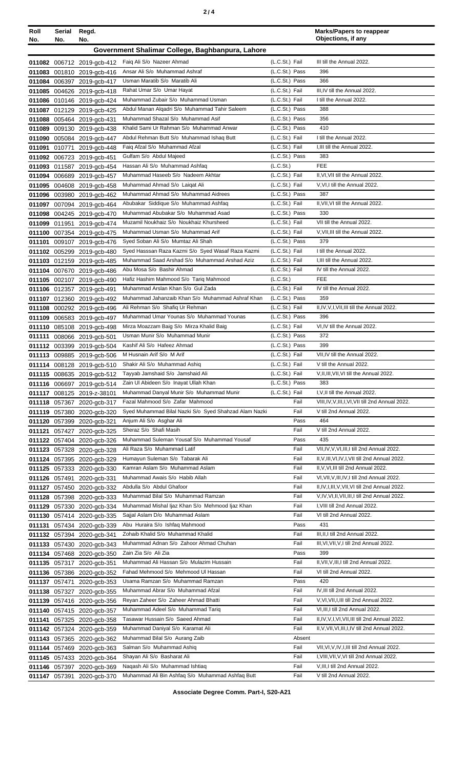| Roll<br>No.   | Serial<br>No. | Regd.<br>No.                                             |                                                                                         |                                  | <b>Marks/Papers to reappear</b><br>Objections, if any                                            |
|---------------|---------------|----------------------------------------------------------|-----------------------------------------------------------------------------------------|----------------------------------|--------------------------------------------------------------------------------------------------|
|               |               |                                                          | Government Shalimar College, Baghbanpura, Lahore                                        |                                  |                                                                                                  |
|               |               | 011082 006712 2019-gcb-412                               | Faig Ali S/o Nazeer Ahmad                                                               | (L.C.St.) Fail                   | III till the Annual 2022.                                                                        |
|               |               | 011083 001810 2019-gcb-416                               | Ansar Ali S/o Muhammad Ashraf                                                           | (L.C.St.) Pass                   | 396                                                                                              |
|               |               | 011084 006397 2019-gcb-417                               | Usman Maratib S/o Maratib Ali                                                           | (L.C.St.) Pass                   | 366                                                                                              |
| 011085        |               | 004626 2019-gcb-418                                      | Rahat Umar S/o Umar Hayat                                                               | (L.C.St.) Fail                   | III, IV till the Annual 2022.                                                                    |
|               |               | 011086 010146 2019-gcb-424                               | Muhammad Zubair S/o Muhammad Usman                                                      | (L.C.St.) Fail                   | I till the Annual 2022.                                                                          |
|               |               | 011087 012129 2019-gcb-425                               | Abdul Manan Algadri S/o Muhammad Tahir Saleem                                           | (L.C.St.) Pass                   | 388                                                                                              |
| 011088        |               | 005464 2019-gcb-431                                      | Muhammad Shazal S/o Muhammad Asif                                                       | (L.C.St.) Pass                   | 356                                                                                              |
| 011089        |               | 009130 2019-gcb-438                                      | Khalid Sami Ur Rahman S/o Muhammad Anwar                                                | (L.C.St.) Pass                   | 410                                                                                              |
| 011090        |               | 005084 2019-gcb-447                                      | Abdul Rehman Butt S/o Muhammad Ishaq Butt<br>Faig Afzal S/o Muhammad Afzal              | (L.C.St.) Fail<br>(L.C.St.) Fail | I till the Annual 2022.<br>I, III till the Annual 2022.                                          |
| 011091        | 010771        | 2019-gcb-448<br>011092 006723 2019-gcb-451               | Gulfam S/o Abdul Majeed                                                                 | (L.C.St.) Pass                   | 383                                                                                              |
| 011093        |               | 011587 2019-gcb-454                                      | Hassan Ali S/o Muhammad Ashfaq                                                          | (L.C.St.)                        | FEE                                                                                              |
| 011094        | 006689        | 2019-gcb-457                                             | Muhammad Haseeb S/o Nadeem Akhtar                                                       | (L.C.St.) Fail                   | II, VI, VII till the Annual 2022.                                                                |
| 011095        |               | 004608 2019-gcb-458                                      | Muhammad Ahmad S/o Laigat Ali                                                           | (L.C.St.) Fail                   | V, VI, I till the Annual 2022.                                                                   |
|               |               | 011096 003980 2019-gcb-462                               | Muhammad Ahmad S/o Muhammad Aidrees                                                     | (L.C.St.) Pass                   | 387                                                                                              |
| 011097        |               | 007094 2019-gcb-464                                      | Abubakar Siddique S/o Muhammad Ashfaq                                                   | (L.C.St.) Fail                   | II, VII, VI till the Annual 2022.                                                                |
|               |               | 011098 004245 2019-acb-470                               | Muhammad Abubakar S/o Muhammad Asad                                                     | (L.C.St.) Pass                   | 330                                                                                              |
| 011099 011951 |               | 2019-gcb-474                                             | Muzamil Noukhaiz S/o Noukhaiz Khursheed                                                 | (L.C.St.) Fail                   | VII till the Annual 2022.                                                                        |
|               |               | 011100 007354 2019-gcb-475                               | Muhammad Usman S/o Muhammad Arif                                                        | (L.C.St.) Fail                   | V, VII, III till the Annual 2022.                                                                |
| 011101        |               | 009107 2019-gcb-476                                      | Syed Soban Ali S/o Mumtaz Ali Shah<br>Syed Hasssan Raza Kazmi S/o Syed Wasaf Raza Kazmi | (L.C.St.) Pass<br>(L.C.St.) Fail | 379<br>I till the Annual 2022.                                                                   |
| 011102        |               | 005299 2019-gcb-480                                      | Muhammad Saad Arshad S/o Muhammad Arshad Aziz                                           | (L.C.St.) Fail                   | I, III till the Annual 2022.                                                                     |
|               |               | 011103 012159 2019-gcb-485<br>011104 007670 2019-gcb-486 | Abu Mosa S/o Bashir Ahmad                                                               | (L.C.St.) Fail                   | IV till the Annual 2022.                                                                         |
|               |               | 011105 002107 2019-gcb-490                               | Hafiz Hashim Mahmood S/o Tariq Mahmood                                                  | (L.C.S <sub>t</sub> )            | <b>FEE</b>                                                                                       |
|               |               | 011106 012357 2019-gcb-491                               | Muhammad Arslan Khan S/o Gul Zada                                                       | (L.C.St.) Fail                   | IV till the Annual 2022.                                                                         |
|               |               | 011107 012360 2019-gcb-492                               | Muhammad Jahanzaib Khan S/o Muhammad Ashraf Khan                                        | (L.C.St.) Pass                   | 359                                                                                              |
|               |               | 011108 000292 2019-gcb-496                               | Ali Rehman S/o Shafiq Ur Rehman                                                         | (L.C.St.) Fail                   | II, IV, V, I, VII, III till the Annual 2022.                                                     |
| 011109        |               | 006583 2019-gcb-497                                      | Muhammad Umar Younas S/o Muhammad Younas                                                | (L.C.St.) Pass                   | 396                                                                                              |
| 011110        |               | 085108 2019-gcb-498                                      | Mirza Moazzam Baig S/o Mirza Khalid Baig                                                | (L.C.St.) Fail                   | VI, IV till the Annual 2022.                                                                     |
| 011111        |               | 008066 2019-gcb-501                                      | Usman Munir S/o Muhammad Munir                                                          | (L.C.St.) Pass                   | 372                                                                                              |
|               |               | 011112 003399 2019-gcb-504                               | Kashif Ali S/o Hafeez Ahmad                                                             | (L.C.St.) Pass                   | 399                                                                                              |
|               |               | 011113 009885 2019-gcb-506                               | M Husnain Arif S/o M Arif<br>Shakir Ali S/o Muhammad Ashiq                              | (L.C.St.) Fail<br>(L.C.St.) Fail | VII, IV till the Annual 2022.<br>V till the Annual 2022.                                         |
|               |               | 011114 008128 2019-gcb-510<br>011115 008635 2019-gcb-512 | Tayyab Jamshaid S/o Jamshaid Ali                                                        | (L.C.St.) Fail                   | V, II, III, VII, VI till the Annual 2022.                                                        |
|               |               | 011116 006697 2019-gcb-514                               | Zain UI Abideen S/o Inayat Ullah Khan                                                   | (L.C.St.) Pass                   | 383                                                                                              |
|               |               | 011117 008125 2019-z-38101                               | Muhammad Danyal Munir S/o Muhammad Munir                                                | (L.C.St.) Fail                   | I, V, II till the Annual 2022.                                                                   |
|               |               | 011118 057367 2020-gcb-317                               | Fazal Mahmood S/o Zafar Mahmood                                                         | Fail                             | VIII, IV, V, III, I, VI, VII till 2nd Annual 2022.                                               |
| 011119        | 057380        | 2020-gcb-320                                             | Syed Muhammad Bilal Nazki S/o Syed Shahzad Alam Nazki                                   | Fail                             | V till 2nd Annual 2022.                                                                          |
|               |               | 011120 057399 2020-gcb-321                               | Anjum Ali S/o Asghar Ali                                                                | Pass                             | 464                                                                                              |
| 011121        |               | 057427 2020-gcb-325                                      | Sheraz S/o Shafi Masih                                                                  | Fail                             | V till 2nd Annual 2022.                                                                          |
|               |               | 011122 057404 2020-gcb-326                               | Muhammad Suleman Yousaf S/o Muhammad Yousaf                                             | Pass                             | 435                                                                                              |
| 011123        | 057328        | 2020-gcb-328                                             | Ali Raza S/o Muhammad Latif<br>Humayun Suleman S/o Tabarak Ali                          | Fail<br>Fail                     | VII, IV, V, VI, III, I till 2nd Annual 2022.<br>II, V, III, VI, IV, I, VII till 2nd Annual 2022. |
| 011125        | 057333        | 011124 057395 2020-gcb-329                               | Kamran Aslam S/o Muhammad Aslam                                                         | Fail                             | II, V, VI, III till 2nd Annual 2022.                                                             |
| 011126        | 057491        | 2020-gcb-330<br>2020-gcb-331                             | Muhammad Awais S/o Habib Allah                                                          | Fail                             | VI, VII, V, III, IV, I till 2nd Annual 2022.                                                     |
| 011127        | 057450        | 2020-gcb-332                                             | Abdulla S/o Abdul Ghafoor                                                               | Fail                             | II, IV, I, III, V, VII, VI till 2nd Annual 2022.                                                 |
| 011128        |               | 057398 2020-gcb-333                                      | Muhammad Bilal S/o Muhammad Ramzan                                                      | Fail                             | V, IV, VI, II, VII, III, I till 2nd Annual 2022.                                                 |
|               |               | 011129 057330 2020-gcb-334                               | Muhammad Mishal Ijaz Khan S/o Mehmood Ijaz Khan                                         | Fail                             | I, VIII till 2nd Annual 2022.                                                                    |
|               |               | 011130 057414 2020-gcb-335                               | Sajjal Aslam D/o Muhammad Aslam                                                         | Fail                             | VI till 2nd Annual 2022.                                                                         |
| 011131        |               | 057434 2020-gcb-339                                      | Abu Huraira S/o Ishfaq Mahmood                                                          | Pass                             | 431                                                                                              |
|               |               | 011132 057394 2020-gcb-341                               | Zohaib Khalid S/o Muhammad Khalid                                                       | Fail                             | III, II, I till 2nd Annual 2022.                                                                 |
| 011133        |               | 057430 2020-gcb-343                                      | Muhammad Adnan S/o Zahoor Ahmad Chuhan                                                  | Fail                             | III, VI, VII, V, I till 2nd Annual 2022.                                                         |
| 011134        |               | 057468 2020-gcb-350                                      | Zain Zia S/o Ali Zia                                                                    | Pass                             | 399                                                                                              |
| 011136        |               | 011135 057317 2020-gcb-351<br>057386 2020-gcb-352        | Muhammad Ali Hassan S/o Mulazim Hussain<br>Fahad Mehmood S/o Mehmood UI Hassan          | Fail<br>Fail                     | II, VII, V, III, I till 2nd Annual 2022.<br>VI till 2nd Annual 2022.                             |
| 011137        | 057471        | 2020-gcb-353                                             | Usama Ramzan S/o Muhammad Ramzan                                                        | Pass                             | 420                                                                                              |
| 011138        | 057327        | 2020-gcb-355                                             | Muhammad Abrar S/o Muhammad Afzal                                                       | Fail                             | IV, III till 2nd Annual 2022.                                                                    |
| 011139        |               | 057416 2020-gcb-356                                      | Reyan Zaheer S/o Zaheer Ahmad Bhatti                                                    | Fail                             | V, VI, VII, I, III till 2nd Annual 2022.                                                         |
| 011140        |               | 057415 2020-gcb-357                                      | Muhammad Adeel S/o Muhammad Tariq                                                       | Fail                             | VI, III, I till 2nd Annual 2022.                                                                 |
| 011141        |               | 057325 2020-gcb-358                                      | Tasawar Hussain S/o Saeed Ahmad                                                         | Fail                             | II,IV,V,I,VI,VII,III till 2nd Annual 2022.                                                       |
| 011142        |               | 057324 2020-gcb-359                                      | Muhammad Daniyal S/o Karamat Ali                                                        | Fail                             | II, V, VII, VI, III, I, IV till 2nd Annual 2022.                                                 |
| 011143        |               | 057365 2020-gcb-362                                      | Muhammad Bilal S/o Aurang Zaib                                                          | Absent                           |                                                                                                  |
| 011144        |               | 057469 2020-gcb-363                                      | Salman S/o Muhammad Ashiq                                                               | Fail                             | VII, VI, V, IV, I, III till 2nd Annual 2022.                                                     |
|               |               | 011145 057433 2020-gcb-364                               | Shayan Ali S/o Basharat Ali                                                             | Fail                             | I, VIII, VII, V, VI till 2nd Annual 2022.                                                        |
|               | 011146 057397 | 2020-gcb-369                                             | Nagash Ali S/o Muhammad Ishtiag<br>Muhammad Ali Bin Ashfaq S/o Muhammad Ashfaq Butt     | Fail<br>Fail                     | V, III, I till 2nd Annual 2022.<br>V till 2nd Annual 2022.                                       |
|               | 011147 057391 | 2020-gcb-370                                             |                                                                                         |                                  |                                                                                                  |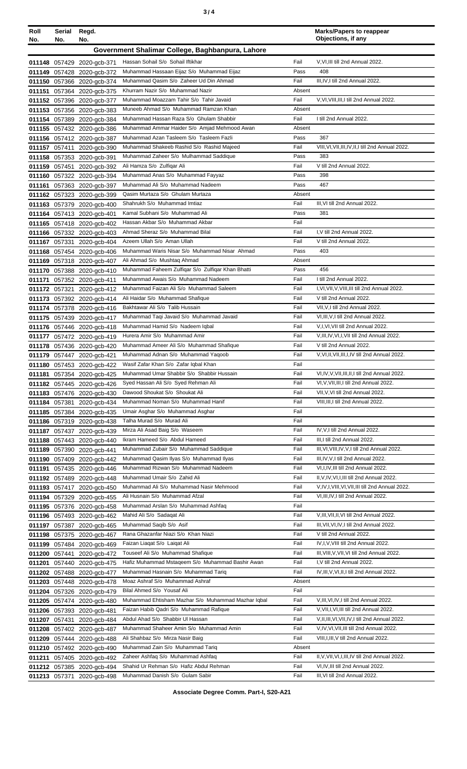| Roll<br>No.   | Serial<br>No. | Regd.<br>No.                                             |                                                                                         |              | <b>Marks/Papers to reappear</b><br>Objections, if any                              |
|---------------|---------------|----------------------------------------------------------|-----------------------------------------------------------------------------------------|--------------|------------------------------------------------------------------------------------|
|               |               |                                                          | Government Shalimar College, Baghbanpura, Lahore                                        |              |                                                                                    |
|               |               |                                                          |                                                                                         |              |                                                                                    |
|               |               | 011148 057429 2020-gcb-371                               | Hassan Sohail S/o Sohail Iftikhar<br>Muhammad Hassaan Eijaz S/o Muhammad Eijaz          | Fail<br>Pass | V.VI.III till 2nd Annual 2022.<br>408                                              |
|               |               | 011149 057428 2020-gcb-372<br>011150 057366 2020-gcb-374 | Muhammad Qasim S/o Zaheer Ud Din Ahmad                                                  | Fail         | III, IV, I till 2nd Annual 2022.                                                   |
| 011151        |               | 057364 2020-gcb-375                                      | Khurram Nazir S/o Muhammad Nazir                                                        | Absent       |                                                                                    |
|               |               | 011152 057396 2020-gcb-377                               | Muhammad Moazzam Tahir S/o Tahir Javaid                                                 | Fail         | V, VI, VIII, III, I till 2nd Annual 2022.                                          |
|               |               | 011153 057356 2020-gcb-383                               | Muneeb Ahmad S/o Muhammad Ramzan Khan                                                   | Absent       |                                                                                    |
|               |               | 011154 057389 2020-gcb-384                               | Muhammad Hassan Raza S/o Ghulam Shabbir                                                 | Fail         | I till 2nd Annual 2022.                                                            |
|               |               | 011155 057432 2020-gcb-386                               | Muhammad Ammar Haider S/o Amjad Mehmood Awan                                            | Absent       |                                                                                    |
|               |               | 011156 057412 2020-gcb-387                               | Muhammad Azan Tasleem S/o Tasleem Fazli                                                 | Pass         | 367                                                                                |
|               |               | 011157 057411 2020-gcb-390                               | Muhammad Shakeeb Rashid S/o Rashid Majeed                                               | Fail         | VIII, VI, VII, III, IV, II, I till 2nd Annual 2022.                                |
|               |               | 011158 057353 2020-gcb-391                               | Muhammad Zaheer S/o Mulhammad Saddique                                                  | Pass         | 383                                                                                |
|               | 011159 057451 | 2020-gcb-392                                             | Ali Hamza S/o Zulfiqar Ali<br>Muhammad Anas S/o Muhammad Fayyaz                         | Fail<br>Pass | V till 2nd Annual 2022.<br>398                                                     |
|               |               | 011160 057322 2020-gcb-394<br>011161 057363 2020-gcb-397 | Muhammad Ali S/o Muhammad Nadeem                                                        | Pass         | 467                                                                                |
|               |               | 011162 057323 2020-gcb-399                               | Qasim Murtaza S/o Ghulam Murtaza                                                        | Absent       |                                                                                    |
|               |               | 011163 057379 2020-gcb-400                               | Shahrukh S/o Muhammad Imtiaz                                                            | Fail         | III, VI till 2nd Annual 2022.                                                      |
|               |               | 011164 057413 2020-gcb-401                               | Kamal Subhani S/o Muhammad Ali                                                          | Pass         | 381                                                                                |
|               |               | 011165 057418 2020-gcb-402                               | Hassan Akbar S/o Muhammad Akbar                                                         | Fail         |                                                                                    |
|               |               | 011166 057332 2020-gcb-403                               | Ahmad Sheraz S/o Muhammad Bilal                                                         | Fail         | I, V till 2nd Annual 2022.                                                         |
|               | 011167 057331 | 2020-gcb-404                                             | Azeem Ullah S/o Aman Ullah                                                              | Fail         | V till 2nd Annual 2022.                                                            |
|               |               | 011168 057454 2020-gcb-406                               | Muhammad Waris Nisar S/o Muhammad Nisar Ahmad                                           | Pass         | 403                                                                                |
| 011169        |               | 057318 2020-gcb-407                                      | Ali Ahmad S/o Mushtaq Ahmad                                                             | Absent       |                                                                                    |
|               |               | 011170 057388 2020-gcb-410                               | Muhammad Faheem Zulfiqar S/o Zulfiqar Khan Bhatti<br>Muhammad Awais S/o Muhammad Nadeem | Pass         | 456                                                                                |
| 011171        |               | 057352 2020-gcb-411                                      | Muhammad Faizan Ali S/o Muhammad Saleem                                                 | Fail<br>Fail | I till 2nd Annual 2022.<br>I, VI, VII, V, VIII, III till 2nd Annual 2022.          |
| 011173        | 011172 057321 | 2020-gcb-412<br>057392 2020-gcb-414                      | Ali Haidar S/o Muhammad Shafique                                                        | Fail         | V till 2nd Annual 2022.                                                            |
|               |               | 011174 057378 2020-gcb-416                               | Bakhtawar Ali S/o Talib Hussain                                                         | Fail         | VII, V, I till 2nd Annual 2022.                                                    |
|               |               | 011175 057439 2020-gcb-417                               | Muhammad Taqi Javaid S/o Muhammad Javaid                                                | Fail         | VI, III, V, I till 2nd Annual 2022.                                                |
|               |               | 011176 057446 2020-gcb-418                               | Muhammad Hamid S/o Nadeem Iqbal                                                         | Fail         | V,I, VI, VII till 2nd Annual 2022.                                                 |
|               |               | 011177 057472 2020-gcb-419                               | Hurera Amir S/o Muhammad Amir                                                           | Fail         | V, III, IV, VI, I, VII till 2nd Annual 2022.                                       |
|               |               | 011178 057436 2020-gcb-420                               | Muhammad Ameer Ali S/o Muhammad Shafique                                                | Fail         | V till 2nd Annual 2022.                                                            |
|               |               | 011179 057447 2020-gcb-421                               | Muhammad Adnan S/o Muhammad Yaqoob                                                      | Fail         | V, VI, II, VII, III, I, IV till 2nd Annual 2022.                                   |
|               |               | 011180 057453 2020-gcb-422                               | Wasif Zafar Khan S/o Zafar Iqbal Khan                                                   | Fail         |                                                                                    |
|               |               | 011181 057354 2020-gcb-425                               | Muhammad Umar Shabbir S/o Shabbir Hussain                                               | Fail         | VI,IV,V,VII,III,II,I till 2nd Annual 2022.                                         |
|               |               | 011182 057445 2020-gcb-426                               | Syed Hassan Ali S/o Syed Rehman Ali                                                     | Fail         | VI, V, VII, III, I till 2nd Annual 2022.<br>VII, V, VI till 2nd Annual 2022.       |
|               |               | 011183 057476 2020-gcb-430                               | Dawood Shoukat S/o Shoukat Ali<br>Muhammad Noman S/o Muhammad Hanif                     | Fail<br>Fail | VIII, III, I till 2nd Annual 2022.                                                 |
|               | 011184 057381 | 2020-gcb-434<br>011185 057384 2020-gcb-435               | Umair Asghar S/o Muhammad Asghar                                                        | Fail         |                                                                                    |
|               |               | 011186 057319 2020-gcb-438                               | Talha Murad S/o Murad Ali                                                               | Fail         |                                                                                    |
|               |               | 011187 057437 2020-gcb-439                               | Mirza Ali Asad Baig S/o Waseem                                                          | Fail         | IV, V, I till 2nd Annual 2022.                                                     |
|               |               | 011188 057443 2020-gcb-440                               | Ikram Hameed S/o Abdul Hameed                                                           | Fail         | III, I till 2nd Annual 2022.                                                       |
|               |               | 011189 057390 2020-gcb-441                               | Muhammad Zubair S/o Muhammad Saddique                                                   | Fail         | III, VI, VIII, IV, V, I till 2nd Annual 2022.                                      |
|               |               | 011190 057409 2020-gcb-442                               | Muhammad Qasim Ilyas S/o Muhammad Ilyas                                                 | Fail         | III, IV, V, I till 2nd Annual 2022.                                                |
|               |               | 011191 057435 2020-gcb-446                               | Muhammad Rizwan S/o Muhammad Nadeem                                                     | Fail         | VI,I,IV,III till 2nd Annual 2022.                                                  |
|               |               | 011192 057489 2020-gcb-448                               | Muhammad Umair S/o Zahid Ali                                                            | Fail         | II, V, IV, VI, I, III till 2nd Annual 2022.                                        |
|               |               | 011193 057417 2020-gcb-450                               | Muhammad Ali S/o Muhammad Nasir Mehmood<br>Ali Husnain S/o Muhammad Afzal               | Fail<br>Fail | V, IV, I, VIII, VI, VII, III till 2nd Annual 2022.                                 |
|               |               | 011194 057329 2020-gcb-455                               | Muhammad Arslan S/o Muhammad Ashfaq                                                     | Fail         | VI, III, IV, I till 2nd Annual 2022.                                               |
|               |               | 011195 057376 2020-gcb-458<br>011196 057493 2020-gcb-462 | Mahid Ali S/o Sadaqat Ali                                                               | Fail         | V, III, VII, II, VI till 2nd Annual 2022.                                          |
|               |               | 011197 057387 2020-gcb-465                               | Muhammad Saqib S/o Asif                                                                 | Fail         | III, VII, VI, IV, I till 2nd Annual 2022.                                          |
|               |               | 011198 057375 2020-gcb-467                               | Rana Ghazanfar Niazi S/o Khan Niazi                                                     | Fail         | V till 2nd Annual 2022.                                                            |
|               |               | 011199 057484 2020-gcb-469                               | Faizan Liagat S/o Laigat Ali                                                            | Fail         | IV, I, V, VIII till 2nd Annual 2022.                                               |
|               | 011200 057441 | 2020-gcb-472                                             | Touseef Ali S/o Muhammad Shafique                                                       | Fail         | III, VIII, V, VII, VI till 2nd Annual 2022.                                        |
| 011201        |               | 057440 2020-gcb-475                                      | Hafiz Muhammad Mstageem S/o Muhammad Bashir Awan                                        | Fail         | I, V till 2nd Annual 2022.                                                         |
|               |               | 011202 057488 2020-gcb-477                               | Muhammad Hasnain S/o Muhammad Tariq                                                     | Fail         | IV, III, V, VI, II, I till 2nd Annual 2022.                                        |
|               |               | 011203 057448 2020-gcb-478                               | Moaz Ashraf S/o Muhammad Ashraf                                                         | Absent       |                                                                                    |
|               |               | 011204 057326 2020-gcb-479                               | Bilal Ahmed S/o Yousaf Ali                                                              | Fail         |                                                                                    |
|               |               | 011205 057474 2020-gcb-480                               | Muhammad Ehtisham Mazhar S/o Muhammad Mazhar Iqbal                                      | Fail         | V, III, VI, IV, I till 2nd Annual 2022.                                            |
|               |               | 011206 057393 2020-gcb-481                               | Faizan Habib Qadri S/o Muhammad Rafique                                                 | Fail         | V, VII, I, VI, III till 2nd Annual 2022.                                           |
|               | 011207 057431 | 2020-gcb-484                                             | Abdul Ahad S/o Shabbir UI Hassan                                                        | Fail         | V.II, III, VI, VII, IV, I till 2nd Annual 2022.                                    |
|               |               | 011208 057402 2020-gcb-487<br>011209 057444 2020-gcb-488 | Muhammad Shaheer Amin S/o Muhammad Amin<br>Ali Shahbaz S/o Mirza Nasir Baig             | Fail<br>Fail | V, IV, VI, VII, III till 2nd Annual 2022.<br>VIII, I, III, V till 2nd Annual 2022. |
|               |               | 011210 057492 2020-gcb-490                               | Muhammad Zain S/o Muhammad Tariq                                                        | Absent       |                                                                                    |
|               |               | 011211 057405 2020-gcb-492                               | Zaheer Ashfaq S/o Muhammad Ashfaq                                                       | Fail         | II, V, VII, VI, I, III, IV till 2nd Annual 2022.                                   |
|               |               | 011212 057385 2020-gcb-494                               | Shahid Ur Rehman S/o Hafiz Abdul Rehman                                                 | Fail         | VI,IV,III till 2nd Annual 2022.                                                    |
| 011213 057371 |               | 2020-gcb-498                                             | Muhammad Danish S/o Gulam Sabir                                                         | Fail         | III, VI till 2nd Annual 2022.                                                      |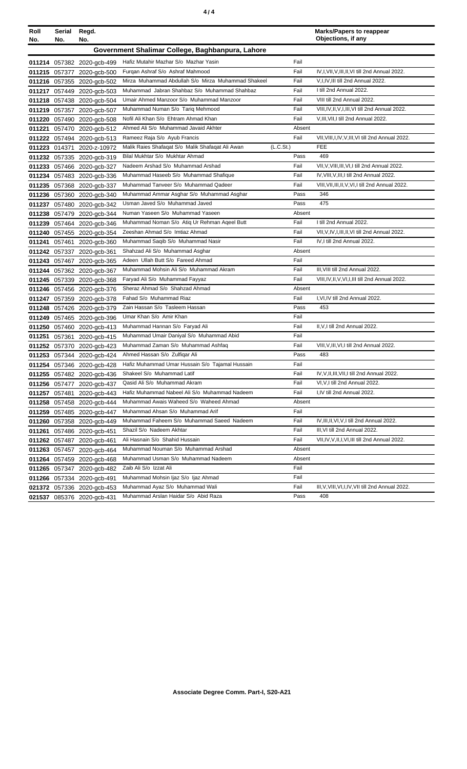| Roll<br>No. | Serial<br>No. | Regd.<br>No.                                             |                                                                                        |              | <b>Marks/Papers to reappear</b><br>Objections, if any |
|-------------|---------------|----------------------------------------------------------|----------------------------------------------------------------------------------------|--------------|-------------------------------------------------------|
|             |               |                                                          | Government Shalimar College, Baghbanpura, Lahore                                       |              |                                                       |
|             |               |                                                          |                                                                                        |              |                                                       |
|             |               | 011214 057382 2020-gcb-499                               | Hafiz Mutahir Mazhar S/o Mazhar Yasin                                                  | Fail         | IV,I,VII,V,III,II,VI till 2nd Annual 2022.            |
|             |               | 011215 057377 2020-gcb-500                               | Furgan Ashraf S/o Ashraf Mahmood<br>Mirza Muhammad Abdullah S/o Mirza Muhammad Shakeel | Fail<br>Fail |                                                       |
|             |               | 011216 057355 2020-gcb-502                               | Muhammad Jabran Shahbaz S/o Muhammad Shahbaz                                           | Fail         | V,I,IV,III till 2nd Annual 2022.                      |
|             |               | 011217 057449 2020-gcb-503                               | Umair Ahmed Manzoor S/o Muhammad Manzoor                                               | Fail         | I till 2nd Annual 2022.<br>VIII till 2nd Annual 2022. |
|             |               | 011218 057438 2020-gcb-504                               | Muhammad Numan S/o Tariq Mehmood                                                       | Fail         | VIII, IV, II, V, I, III, VI till 2nd Annual 2022.     |
|             |               | 011219 057357 2020-gcb-507                               | Nofil Ali Khan S/o Ehtram Ahmad Khan                                                   | Fail         | V, III, VII, I till 2nd Annual 2022.                  |
|             |               | 011220 057490 2020-gcb-508                               | Ahmed Ali S/o Muhammad Javaid Akhter                                                   | Absent       |                                                       |
| 011221      |               | 057470 2020-gcb-512                                      | Rameez Raja S/o Ayub Francis                                                           | Fail         | VII, VIII, I, IV, V, III, VI till 2nd Annual 2022.    |
|             |               | 011222 057494 2020-gcb-513                               | Malik Raies Shafaqat S/o Malik Shafaqat Ali Awan                                       | (L.C.St.)    | <b>FEE</b>                                            |
|             | 011223 014371 | 2020-z-10972<br>011232 057335 2020-gcb-319               | Bilal Mukhtar S/o Mukhtar Ahmad                                                        | Pass         | 469                                                   |
|             |               |                                                          | Nadeem Arshad S/o Muhammad Arshad                                                      | Fail         | VII, V, VIII, III, VI, I till 2nd Annual 2022.        |
|             |               | 011233 057466 2020-gcb-327                               | Muhammad Haseeb S/o Muhammad Shafique                                                  | Fail         | IV, VIII, V, III, I till 2nd Annual 2022.             |
|             |               | 011234 057483 2020-gcb-336                               | Muhammad Tanveer S/o Muhammad Qadeer                                                   | Fail         | VIII, VII, III, II, V, VI, I till 2nd Annual 2022.    |
|             |               | 011235 057368 2020-gcb-337<br>011236 057360 2020-gcb-340 | Muhammad Ammar Asghar S/o Muhammad Asghar                                              | Pass         | 346                                                   |
|             |               |                                                          | Usman Javed S/o Muhammad Javed                                                         | Pass         | 475                                                   |
|             |               | 011237 057480 2020-gcb-342                               | Numan Yaseen S/o Muhammad Yaseen                                                       | Absent       |                                                       |
|             |               | 011238 057479 2020-gcb-344<br>011239 057464 2020-gcb-346 | Muhammad Noman S/o Atiq Ur Rehman Aqeel Butt                                           | Fail         | I till 2nd Annual 2022.                               |
|             |               | 011240 057455 2020-gcb-354                               | Zeeshan Ahmad S/o Imtiaz Ahmad                                                         | Fail         | VII, V, IV, I, III, II, VI till 2nd Annual 2022.      |
|             |               | 011241 057461 2020-gcb-360                               | Muhammad Saqib S/o Muhammad Nasir                                                      | Fail         | IV.I till 2nd Annual 2022.                            |
|             |               | 011242 057337 2020-gcb-361                               | Shahzad Ali S/o Muhammad Asghar                                                        | Absent       |                                                       |
|             |               | 011243 057467 2020-gcb-365                               | Adeen Ullah Butt S/o Fareed Ahmad                                                      | Fail         |                                                       |
|             |               | 011244 057362 2020-gcb-367                               | Muhammad Mohsin Ali S/o Muhammad Akram                                                 | Fail         | III, VIII till 2nd Annual 2022.                       |
|             |               | 011245 057339 2020-gcb-368                               | Faryad Ali S/o Muhammad Fayyaz                                                         | Fail         | VIII, IV, II, V, VI, I, III till 2nd Annual 2022.     |
|             |               | 011246 057456 2020-gcb-376                               | Sheraz Ahmad S/o Shahzad Ahmad                                                         | Absent       |                                                       |
|             |               | 011247 057359 2020-gcb-378                               | Fahad S/o Muhammad Riaz                                                                | Fail         | I, VI, IV till 2nd Annual 2022.                       |
|             |               | 011248 057426 2020-gcb-379                               | Zain Hassan S/o Tasleem Hassan                                                         | Pass         | 453                                                   |
|             |               | 011249 057465 2020-gcb-396                               | Umar Khan S/o Amir Khan                                                                | Fail         |                                                       |
|             |               | 011250 057460 2020-gcb-413                               | Muhammad Hannan S/o Faryad Ali                                                         | Fail         | II, V, I till 2nd Annual 2022.                        |
|             |               | 011251 057361 2020-gcb-415                               | Muhammad Umair Daniyal S/o Muhammad Abid                                               | Fail         |                                                       |
|             |               | 011252 057370 2020-gcb-423                               | Muhammad Zaman S/o Muhammad Ashfaq                                                     | Fail         | VIII, V, III, VI, I till 2nd Annual 2022.             |
|             |               | 011253 057344 2020-gcb-424                               | Ahmed Hassan S/o Zulfigar Ali                                                          | Pass         | 483                                                   |
|             |               | 011254 057346 2020-gcb-428                               | Hafiz Muhammad Umar Hussain S/o Tajamal Hussain                                        | Fail         |                                                       |
|             |               | 011255 057482 2020-gcb-436                               | Shakeel S/o Muhammad Latif                                                             | Fail         | IV, V, II, III, VII, I till 2nd Annual 2022.          |
|             |               | 011256 057477 2020-gcb-437                               | Qasid Ali S/o Muhammad Akram                                                           | Fail         | VI, V, I till 2nd Annual 2022.                        |
|             |               | 011257 057481 2020-gcb-443                               | Hafiz Muhammad Nabeel Ali S/o Muhammad Nadeem                                          | Fail         | I,IV till 2nd Annual 2022.                            |
|             |               | 011258 057458 2020-gcb-444                               | Muhammad Awais Waheed S/o Waheed Ahmad                                                 | Absent       |                                                       |
|             |               | 011259 057485 2020-gcb-447                               | Muhammad Ahsan S/o Muhammad Arif                                                       | Fail         |                                                       |
|             |               | 011260 057358 2020-gcb-449                               | Muhammad Faheem S/o Muhammad Saeed Nadeem                                              | Fail         | IV, III, II, VI, V, I till 2nd Annual 2022.           |
|             |               | 011261 057486 2020-gcb-451                               | Shazil S/o Nadeem Akhtar                                                               | Fail         | III, VI till 2nd Annual 2022.                         |
|             |               | 011262 057487 2020-gcb-461                               | Ali Hasnain S/o Shahid Hussain                                                         | Fail         | VII, IV, V, II, I, VI, III till 2nd Annual 2022.      |
|             |               | 011263 057457 2020-gcb-464                               | Muhammad Nouman S/o Muhammad Arshad                                                    | Absent       |                                                       |
|             |               | 011264 057459 2020-gcb-468                               | Muhammad Usman S/o Muhammad Nadeem                                                     | Absent       |                                                       |
|             |               | 011265 057347 2020-gcb-482                               | Zaib Ali S/o Izzat Ali                                                                 | Fail         |                                                       |
|             |               | 011266 057334 2020-gcb-491                               | Muhammad Mohsin Ijaz S/o Ijaz Ahmad                                                    | Fail         |                                                       |
|             |               | 021372 057336 2020-gcb-453                               | Muhammad Ayaz S/o Muhammad Wali                                                        | Fail         | III, V, VIII, VI, I, IV, VII till 2nd Annual 2022.    |
|             |               | 021537 085376 2020-gcb-431                               | Muhammad Arslan Haidar S/o Abid Raza                                                   | Pass         | 408                                                   |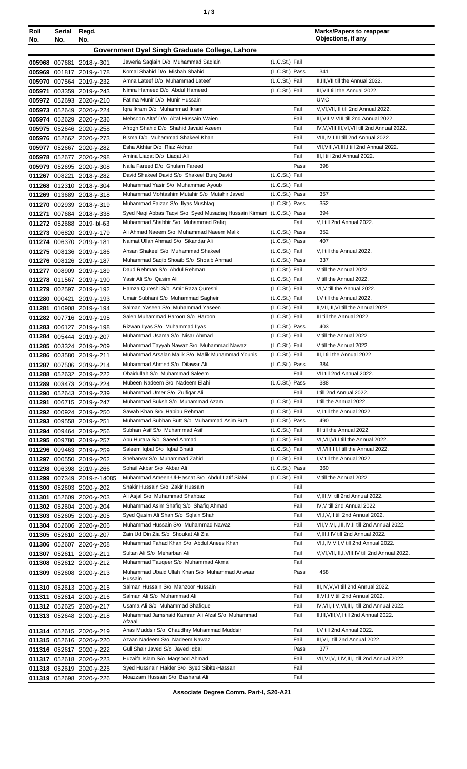| Roll<br>No. | Serial<br>No. | Regd.<br>No.                                           |                                                                                      |                                  | <b>Marks/Papers to reappear</b><br>Objections, if any |
|-------------|---------------|--------------------------------------------------------|--------------------------------------------------------------------------------------|----------------------------------|-------------------------------------------------------|
|             |               |                                                        |                                                                                      |                                  |                                                       |
|             |               |                                                        | Government Dyal Singh Graduate College, Lahore                                       |                                  |                                                       |
|             |               | 005968 007681 2018-y-301                               | Jaweria Saqlain D/o Muhammad Saqlain<br>Komal Shahid D/o Misbah Shahid               | (L.C.St.) Fail<br>(L.C.St.) Pass | 341                                                   |
|             |               | 005969 001817 2019-y-178<br>005970 007564 2019-y-232   | Amna Lateef D/o Muhammad Lateef                                                      | (L.C.St.) Fail                   | II, III, VII till the Annual 2022.                    |
|             |               | 005971 003359 2019-y-243                               | Nimra Hameed D/o Abdul Hameed                                                        | (L.C.St.) Fail                   | III, VII till the Annual 2022.                        |
|             |               | 005972 052693 2020-y-210                               | Fatima Munir D/o Munir Hussain                                                       |                                  | <b>UMC</b>                                            |
|             |               | 005973 052649 2020-y-224                               | Igra Ikram D/o Muhammad Ikram                                                        | Fail                             | V, VI, VII, III till 2nd Annual 2022.                 |
|             |               | 005974 052629 2020-y-236                               | Mehsoon Altaf D/o Altaf Hussain Waien                                                | Fail                             | III, VII, V, VIII till 2nd Annual 2022.               |
|             |               | 005975 052646 2020-y-258                               | Afrogh Shahid D/o Shahid Javaid Azeem                                                | Fail                             | IV, V, VIII, III, VI, VII till 2nd Annual 2022.       |
|             |               | 005976 052662 2020-y-273                               | Bisma D/o Muhammad Shakeel Khan                                                      | Fail                             | VIII, IV, I, III till 2nd Annual 2022.                |
|             |               | 005977 052667 2020-y-282                               | Esha Akhtar D/o Riaz Akhtar                                                          | Fail                             | VII, VIII, VI, III, I till 2nd Annual 2022.           |
|             |               | 005978 052677 2020-y-298                               | Amina Liagat D/o Liagat Ali                                                          | Fail                             | III, I till 2nd Annual 2022.                          |
|             |               | 005979 052695 2020-y-308                               | Naila Fareed D/o Ghulam Fareed<br>David Shakeel David S/o Shakeel Burg David         | Pass<br>(L.C.St.) Fail           | 398                                                   |
|             |               | 011267 008221 2018-y-282<br>011268 012310 2018-y-304   | Muhammad Yasir S/o Muhammad Ayoub                                                    | (L.C.St.) Fail                   |                                                       |
|             |               | 011269 013689 2018-y-318                               | Muhammad Mohtashim Mutahir S/o Mutahir Javed                                         | (L.C.St.) Pass                   | 357                                                   |
|             |               | 011270 002939 2018-y-319                               | Muhammad Faizan S/o Ilyas Mushtaq                                                    | (L.C.St.) Pass                   | 352                                                   |
|             |               | 011271 007684 2018-y-338                               | Syed Naqi Abbas Taqvi S/o Syed Musadaq Hussain Kirmani (L.C.St.) Pass                |                                  | 394                                                   |
|             |               | 011272 052688 2019-ibl-63                              | Muhammad Shabbir S/o Muhammad Rafiq                                                  | Fail                             | V,I till 2nd Annual 2022.                             |
|             |               | 011273 006820 2019-y-179                               | Ali Ahmad Naeem S/o Muhammad Naeem Malik                                             | (L.C.St.) Pass                   | 352                                                   |
|             |               | 011274 006370 2019-y-181                               | Naimat Ullah Ahmad S/o Sikandar Ali                                                  | (L.C.St.) Pass                   | 407                                                   |
|             |               | 011275 008136 2019-y-186                               | Ahsan Shakeel S/o Muhammad Shakeel                                                   | (L.C.St.) Fail                   | V,I till the Annual 2022.                             |
|             |               | 011276 008126 2019-y-187                               | Muhammad Saqib Shoaib S/o Shoaib Ahmad                                               | (L.C.St.) Pass                   | 337                                                   |
|             |               | 011277 008909 2019-y-189                               | Daud Rehman S/o Abdul Rehman<br>Yasir Ali S/o Qasim Ali                              | (L.C.St.) Fail<br>(L.C.St.) Fail | V till the Annual 2022.<br>V till the Annual 2022.    |
|             |               | 011278 011567 2019-y-190                               | Hamza Qureshi S/o Amir Raza Qureshi                                                  | (L.C.St.) Fail                   | VI, V till the Annual 2022.                           |
|             |               | 011279 002597 2019-y-192<br>011280 000421 2019-y-193   | Umair Subhani S/o Muhammad Sagheir                                                   | (L.C.St.) Fail                   | I, V till the Annual 2022.                            |
|             |               | 011281 010908 2019-y-194                               | Salman Yaseen S/o Muhammad Yaseen                                                    | (L.C.St.) Fail                   | II, VII, III, VI till the Annual 2022.                |
|             |               | 011282 007716 2019-y-195                               | Saleh Muhammad Haroon S/o Haroon                                                     | (L.C.St.) Fail                   | III till the Annual 2022.                             |
|             |               | 011283 006127 2019-y-198                               | Rizwan Ilyas S/o Muhammad Ilyas                                                      | (L.C.St.) Pass                   | 403                                                   |
|             |               | 011284 005444 2019-y-207                               | Muhammad Usama S/o Nisar Ahmad                                                       | (L.C.St.) Fail                   | V till the Annual 2022.                               |
|             |               | 011285 003324 2019-y-209                               | Muhammad Tayyab Nawaz S/o Muhammad Nawaz                                             | (L.C.St.) Fail                   | V till the Annual 2022.                               |
|             |               | 011286 003580 2019-y-211                               | Muhammad Arsalan Malik S/o Malik Muhammad Younis                                     | (L.C.St.) Fail                   | III,I till the Annual 2022.                           |
|             |               | 011287 007506 2019-y-214                               | Muhammad Ahmed S/o Dilawar Ali                                                       | (L.C.St.) Pass                   | 384                                                   |
|             |               | 011288 052632 2019-y-222                               | Obaidullah S/o Muhammad Saleem<br>Mubeen Nadeem S/o Nadeem Elahi                     | Fail<br>(L.C.St.) Pass           | VII till 2nd Annual 2022.<br>388                      |
|             |               | 011289 003473 2019-y-224<br>011290 052643 2019-y-239   | Muhammad Umer S/o Zulfiqar Ali                                                       | Fail                             | I till 2nd Annual 2022.                               |
|             |               | 011291 006715 2019-y-247                               | Muhammad Buksh S/o Muhammad Azam                                                     | (L.C.St.) Fail                   | I till the Annual 2022.                               |
|             |               | 011292 000924 2019-y-250                               | Sawab Khan S/o Habibu Rehman                                                         | (L.C.St.) Fail                   | V,I till the Annual 2022.                             |
|             |               | 011293 009558 2019-y-251                               | Muhammad Subhan Butt S/o Muhammad Asim Butt                                          | (L.C.St.) Pass                   | 490                                                   |
|             |               | 011294 009464 2019-y-256                               | Subhan Asif S/o Muhammad Asif                                                        | (L.C.St.) Fail                   | III till the Annual 2022.                             |
|             |               | 011295 009780 2019-y-257                               | Abu Hurara S/o Saeed Ahmad                                                           | (L.C.St.) Fail                   | VI, VII, VIII till the Annual 2022.                   |
|             |               | 011296 009463 2019-y-259                               | Saleem Iqbal S/o Iqbal Bhatti                                                        | (L.C.St.) Fail                   | VI, VIII, III, I till the Annual 2022.                |
|             |               | 011297 000550 2019-y-262                               | Sheharyar S/o Muhammad Zahid                                                         | (L.C.St.) Fail                   | I, V till the Annual 2022.                            |
|             |               | 011298 006398 2019-y-266                               | Sohail Akbar S/o Akbar Ali<br>Muhammad Ameen-UI-Hasnat S/o Abdul Latif Sialvi        | (L.C.St.) Pass<br>(L.C.St.) Fail | 360<br>V till the Annual 2022.                        |
|             |               | 011299 007349 2019-z-14085<br>011300 052603 2020-y-202 | Shakir Hussain S/o Zakir Hussain                                                     | Fail                             |                                                       |
|             |               | 011301 052609 2020-y-203                               | Ali Asjal S/o Muhammad Shahbaz                                                       | Fail                             | V, III, VI till 2nd Annual 2022.                      |
|             |               | 011302 052604 2020-y-204                               | Muhammad Asim Shafiq S/o Shafiq Ahmad                                                | Fail                             | IV, V till 2nd Annual 2022.                           |
|             |               | 011303 052605 2020-y-205                               | Syed Qasim Ali Shah S/o Sqlain Shah                                                  | Fail                             | VI,I, V, II till 2nd Annual 2022.                     |
|             |               | 011304 052606 2020-y-206                               | Muhammad Hussain S/o Muhammad Nawaz                                                  | Fail                             | VII, V, VI, I, III, IV, II till 2nd Annual 2022.      |
|             |               | 011305 052610 2020-y-207                               | Zain Ud Din Zia S/o Shoukat Ali Zia                                                  | Fail                             | V, III, I, IV till 2nd Annual 2022.                   |
|             |               | 011306 052607 2020-y-208                               | Muhammad Fahad Khan S/o Abdul Anees Khan                                             | Fail                             | VI, I, IV, VII, V till 2nd Annual 2022.               |
|             |               | 011307 052611 2020-y-211                               | Sultan Ali S/o Meharban Ali                                                          | Fail                             | V, VI, VII, III, I, VIII, IV till 2nd Annual 2022.    |
|             |               | 011308 052612 2020-y-212                               | Muhammad Tauqeer S/o Muhammad Akmal<br>Muhammad Ubaid Ullah Khan S/o Muhammad Anwaar | Fail<br>Pass                     | 458                                                   |
|             |               | 011309 052608 2020-y-213                               | Hussain                                                                              |                                  |                                                       |
|             |               | 011310 052613 2020-y-215                               | Salman Hussain S/o Manzoor Hussain                                                   | Fail                             | III, IV, V, VI till 2nd Annual 2022.                  |
|             |               | 011311 052614 2020-y-216                               | Salman Ali S/o Muhammad Ali                                                          | Fail                             | II, VI, I, V till 2nd Annual 2022.                    |
|             |               | 011312 052625 2020-y-217                               | Usama Ali S/o Muhammad Shafique                                                      | Fail                             | IV, VII, II, V, VI, III, I till 2nd Annual 2022.      |
|             |               | 011313 052648 2020-y-218                               | Muhammad Jamshaid Kamran Ali Afzal S/o Muhammad<br>Afzaal                            | Fail                             | II, III, VIII, V, I till 2nd Annual 2022.             |
|             |               | 011314 052615 2020-y-219                               | Anas Muddsir S/o Chaudhry Muhammad Muddsir                                           | Fail                             | I, V till 2nd Annual 2022.                            |
|             |               | 011315 052616 2020-y-220                               | Azaan Nadeem S/o Nadeem Nawaz                                                        | Fail                             | III, VI, I till 2nd Annual 2022.                      |
|             |               | 011316 052617 2020-y-222                               | Gull Shair Javed S/o Javed Iqbal                                                     | Pass                             | 377                                                   |
|             |               | 011317 052618 2020-y-223                               | Huzaifa Islam S/o Maqsood Ahmad                                                      | Fail                             | VII, VI, V, II, IV, III, I till 2nd Annual 2022.      |
|             |               | 011318 052619 2020-y-225                               | Syed Hussnain Haider S/o Syed Sibite-Hassan                                          | Fail                             |                                                       |
|             |               | 011319 052698 2020-y-226                               | Moazzam Hussain S/o Basharat Ali                                                     | Fail                             |                                                       |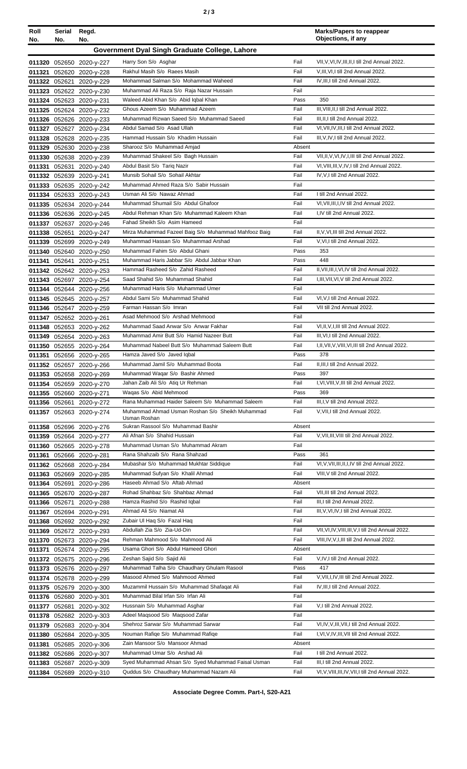|  |  | ×<br>٦<br>۰.<br>× |
|--|--|-------------------|
|--|--|-------------------|

**Serial**

| Roll             | Serial | Regd.                                                |                                                                            |              | <b>Marks/Papers to reappear</b><br>Objections, if any                            |
|------------------|--------|------------------------------------------------------|----------------------------------------------------------------------------|--------------|----------------------------------------------------------------------------------|
| No.              | No.    | No.                                                  |                                                                            |              |                                                                                  |
|                  |        |                                                      | Government Dyal Singh Graduate College, Lahore                             |              |                                                                                  |
|                  |        | 011320 052650 2020-y-227                             | Harry Son S/o Asghar                                                       | Fail         | VII, V, VI, IV, III, II, I till 2nd Annual 2022.                                 |
|                  |        | 011321 052620 2020-y-228                             | Rakhul Masih S/o Raees Masih                                               | Fail         | V, III, VI, I till 2nd Annual 2022.                                              |
|                  |        | 011322 052621 2020-y-229                             | Mohammad Salman S/o Mohammad Waheed                                        | Fail         | IV.III.I till 2nd Annual 2022.                                                   |
|                  |        | 011323 052622 2020-y-230                             | Muhammad Ali Raza S/o Raja Nazar Hussain                                   | Fail         |                                                                                  |
|                  |        | 011324 052623 2020-y-231                             | Waleed Abid Khan S/o Abid Iqbal Khan                                       | Pass         | 350                                                                              |
|                  |        | 011325 052624 2020-y-232                             | Ghous Azeem S/o Muhammad Azeem<br>Muhammad Rizwan Saeed S/o Muhammad Saeed | Fail<br>Fail | III, VIII, II, I till 2nd Annual 2022.<br>III, II, I till 2nd Annual 2022.       |
|                  |        | 011326 052626 2020-y-233                             | Abdul Samad S/o Asad Ullah                                                 | Fail         |                                                                                  |
|                  |        | 011327 052627 2020-y-234                             | Hammad Hussain S/o Khadim Hussain                                          | Fail         | VI, VII, IV, III, I till 2nd Annual 2022.<br>III, V, IV, I till 2nd Annual 2022. |
|                  |        | 011328 052628 2020-y-235                             | Sharooz S/o Muhammad Amjad                                                 | Absent       |                                                                                  |
|                  |        | 011329 052630 2020-y-238<br>011330 052638 2020-y-239 | Muhammad Shakeel S/o Bagh Hussain                                          | Fail         | VII, II, V, VI, IV, I, III till 2nd Annual 2022.                                 |
| 011331           |        | 052631 2020-y-240                                    | Abdul Basit S/o Tariq Nazir                                                | Fail         | VI, VIII, III, V, IV, I till 2nd Annual 2022.                                    |
|                  |        | 011332 052639 2020-y-241                             | Munsib Sohail S/o Sohail Akhtar                                            | Fail         | IV, V, I till 2nd Annual 2022.                                                   |
|                  |        | 011333 052635 2020-y-242                             | Muhammad Ahmed Raza S/o Sabir Hussain                                      | Fail         |                                                                                  |
|                  |        | 011334 052633 2020-y-243                             | Usman Ali S/o Nawaz Ahmad                                                  | Fail         | I till 2nd Annual 2022.                                                          |
|                  |        | 011335 052634 2020-y-244                             | Muhammad Shumail S/o Abdul Ghafoor                                         | Fail         | VI, VII, III, I, IV till 2nd Annual 2022.                                        |
|                  |        | 011336 052636 2020-y-245                             | Abdul Rehman Khan S/o Muhammad Kaleem Khan                                 | Fail         | I,IV till 2nd Annual 2022.                                                       |
|                  |        | 011337 052637 2020-y-246                             | Fahad Sheikh S/o Asim Hameed                                               | Fail         |                                                                                  |
|                  |        | 011338 052651 2020-y-247                             | Mirza Muhammad Fazeel Baig S/o Muhammad Mahfooz Baig                       | Fail         | II, V, VI, III till 2nd Annual 2022.                                             |
|                  |        | 011339 052699 2020-y-249                             | Muhammad Hassan S/o Muhammad Arshad                                        | Fail         | V, VI, I till 2nd Annual 2022.                                                   |
| 011340           |        | 052640 2020-y-250                                    | Muhammad Fahim S/o Abdul Ghani                                             | Pass         | 353                                                                              |
| 011341           |        | 052641 2020-y-251                                    | Muhammad Haris Jabbar S/o Abdul Jabbar Khan                                | Pass         | 448                                                                              |
|                  |        | 011342 052642 2020-y-253                             | Hammad Rasheed S/o Zahid Rasheed                                           | Fail         | II, VII, III, I, VI, IV till 2nd Annual 2022.                                    |
|                  |        | 011343 052697 2020-y-254                             | Saad Shahid S/o Muhammad Shahid                                            | Fail         | I, III, VII, VI, V till 2nd Annual 2022.                                         |
|                  |        | 011344 052644 2020-y-256                             | Muhammad Haris S/o Muhammad Umer                                           | Fail         |                                                                                  |
|                  |        | 011345 052645 2020-y-257                             | Abdul Sami S/o Muhammad Shahid                                             | Fail         | VI, V, I till 2nd Annual 2022.                                                   |
|                  |        | 011346 052647 2020-y-259                             | Farman Hassan S/o Imran                                                    | Fail         | VII till 2nd Annual 2022.                                                        |
|                  |        | 011347 052652 2020-y-261                             | Asad Mehmood S/o Arshad Mehmood                                            | Fail         |                                                                                  |
| 011348           |        | 052653 2020-y-262                                    | Muhammad Saad Anwar S/o Anwar Fakhar                                       | Fail         | VI, II, V, I, III till 2nd Annual 2022.                                          |
|                  |        | 011349 052654 2020-y-263                             | Muhammad Amir Butt S/o Hamid Nazeer Butt                                   | Fail         | III.VI.I till 2nd Annual 2022.                                                   |
|                  |        | 011350 052655 2020-y-264                             | Muhammad Nabeel Butt S/o Muhammad Saleem Butt                              | Fail         | I, II, VII, V, VIII, VI, III till 2nd Annual 2022.                               |
| 011351           |        | 052656 2020-y-265                                    | Hamza Javed S/o Javed Iqbal                                                | Pass         | 378                                                                              |
|                  |        | 011352 052657 2020-y-266                             | Muhammad Jamil S/o Muhammad Boota                                          | Fail         | II, III, I till 2nd Annual 2022.                                                 |
|                  |        | 011353 052658 2020-y-269                             | Muhammad Waqar S/o Bashir Ahmed<br>Jahan Zaib Ali S/o Atiq Ur Rehman       | Pass<br>Fail | 397<br>I, VI, VIII, V, III till 2nd Annual 2022.                                 |
|                  |        | 011354 052659 2020-y-270                             | Wagas S/o Abid Mehmood                                                     | Pass         | 369                                                                              |
|                  |        | 011355 052660 2020-y-271                             | Rana Muhammad Haider Saleem S/o Muhammad Saleem                            | Fail         | III, I, V till 2nd Annual 2022.                                                  |
|                  |        | 011356 052661 2020-y-272<br>011357 052663 2020-y-274 | Muhammad Ahmad Usman Roshan S/o Sheikh Muhammad                            | Fail         | V, VII, I till 2nd Annual 2022.                                                  |
|                  |        |                                                      | Usman Roshan                                                               |              |                                                                                  |
|                  |        | 011358 052696 2020-y-276                             | Sukran Rassool S/o Muhammad Bashir                                         | Absent       |                                                                                  |
|                  |        | 011359 052664 2020-y-277                             | Ali Afnan S/o Shahid Hussain                                               | Fail         | V, VII, III, VIII till 2nd Annual 2022.                                          |
|                  |        | 011360 052665 2020-y-278                             | Muhammad Usman S/o Muhammad Akram                                          | Fail         |                                                                                  |
| 011361           |        | 052666 2020-y-281                                    | Rana Shahzaib S/o Rana Shahzad                                             | Pass         | 361                                                                              |
|                  |        | 011362 052668 2020-y-284                             | Mubashar S/o Muhammad Mukhtar Siddique                                     | Fail         | VI, V, VII, III, II, I, IV till 2nd Annual 2022.                                 |
|                  |        | 011363 052669 2020-y-285                             | Muhammad Sufyan S/o Khalil Ahmad                                           | Fail         | VIII, V till 2nd Annual 2022.                                                    |
|                  |        | 011364 052691 2020-y-286                             | Haseeb Ahmad S/o Aftab Ahmad                                               | Absent       |                                                                                  |
|                  |        | 011365 052670 2020-y-287                             | Rohad Shahbaz S/o Shahbaz Ahmad                                            | Fail         | VII, III till 2nd Annual 2022.                                                   |
|                  |        | 011366 052671 2020-y-288                             | Hamza Rashid S/o Rashid Iqbal<br>Ahmad Ali S/o Niamat Ali                  | Fail<br>Fail | III,I till 2nd Annual 2022.<br>III, V, VI, IV, I till 2nd Annual 2022.           |
|                  |        | 011367 052694 2020-y-291                             | Zubair UI Haq S/o Fazal Haq                                                | Fail         |                                                                                  |
| 011368<br>011369 |        | 052692 2020-y-292                                    | Abdullah Zia S/o Zia-Ud-Din                                                | Fail         | VII, VI, IV, VIII, III, V, I till 2nd Annual 2022.                               |
| 011370           |        | 052672 2020-y-293<br>052673 2020-y-294               | Rehman Mahmood S/o Mahmood Ali                                             | Fail         | VIII, IV, V, I, III till 2nd Annual 2022.                                        |
| 011371           |        | 052674 2020-y-295                                    | Usama Ghori S/o Abdul Hameed Ghori                                         | Absent       |                                                                                  |
|                  |        | 011372 052675 2020-y-296                             | Zeshan Sajid S/o Sajid Ali                                                 | Fail         | V,IV,I till 2nd Annual 2022.                                                     |
|                  |        | 011373 052676 2020-y-297                             | Muhammad Talha S/o Chaudhary Ghulam Rasool                                 | Pass         | 417                                                                              |
|                  |        | 011374 052678 2020-y-299                             | Masood Ahmed S/o Mahmood Ahmed                                             | Fail         | V, VII, I, IV, III till 2nd Annual 2022.                                         |
|                  |        | 011375 052679 2020-y-300                             | Muzammil Hussain S/o Muhammad Shafaqat Ali                                 | Fail         | IV, III, I till 2nd Annual 2022.                                                 |
|                  |        | 011376 052680 2020-y-301                             | Muhammad Bilal Irfan S/o Irfan Ali                                         | Fail         |                                                                                  |
| 011377           |        | 052681 2020-y-302                                    | Hussnain S/o Muhammad Asghar                                               | Fail         | V,I till 2nd Annual 2022.                                                        |
| 011378           |        | 052682 2020-y-303                                    | Adeel Magsood S/o Magsood Zafar                                            | Fail         |                                                                                  |
| 011379           |        | 052683 2020-y-304                                    | Shehroz Sarwar S/o Muhammad Sarwar                                         | Fail         | VI, IV, V, III, VII, I till 2nd Annual 2022.                                     |
| 011380           |        | 052684 2020-y-305                                    | Nouman Rafiqe S/o Muhammad Rafiqe                                          | Fail         | I, VI, V, IV, III, VII till 2nd Annual 2022.                                     |
| 011381           |        | 052685 2020-y-306                                    | Zain Mansoor S/o Mansoor Ahmad                                             | Absent       |                                                                                  |
|                  |        | 011382 052686 2020-y-307                             | Muhammad Umar S/o Arshad Ali                                               | Fail         | I till 2nd Annual 2022.                                                          |
|                  |        | 011383 052687 2020-y-309                             | Syed Muhammad Ahsan S/o Syed Muhammad Faisal Usman                         | Fail         | III, I till 2nd Annual 2022.                                                     |
|                  |        | 011384 052689 2020-y-310                             | Quddus S/o Chaudhary Muhammad Nazam Ali                                    | Fail         | VI, V, VIII, III, IV, VII, I till 2nd Annual 2022.                               |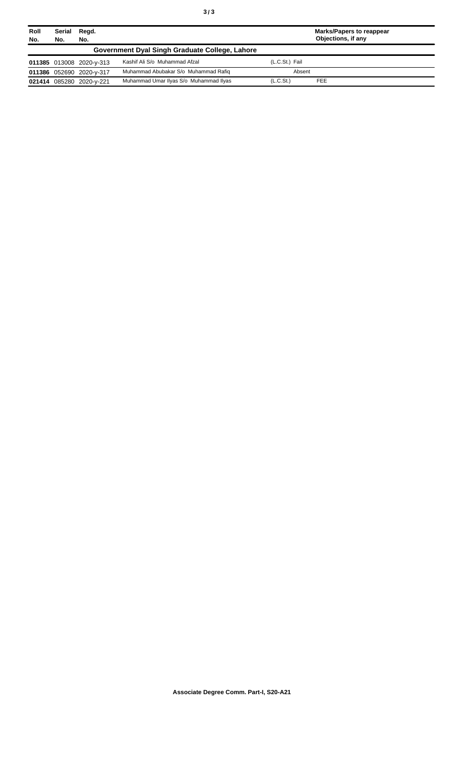| Roll<br>No. | Serial<br>No.                                  | Regd.<br>No.             |                                        |                       | <b>Marks/Papers to reappear</b><br>Objections, if any |  |
|-------------|------------------------------------------------|--------------------------|----------------------------------------|-----------------------|-------------------------------------------------------|--|
|             |                                                |                          |                                        |                       |                                                       |  |
|             | Government Dyal Singh Graduate College, Lahore |                          |                                        |                       |                                                       |  |
|             |                                                | 011385 013008 2020-y-313 | Kashif Ali S/o Muhammad Afzal          | (L.C.St.) Fail        |                                                       |  |
|             |                                                | 011386 052690 2020-y-317 | Muhammad Abubakar S/o Muhammad Rafig   | Absent                |                                                       |  |
|             |                                                | 021414 085280 2020-y-221 | Muhammad Umar Ilyas S/o Muhammad Ilyas | (L.C.S <sub>t</sub> ) | <b>FEE</b>                                            |  |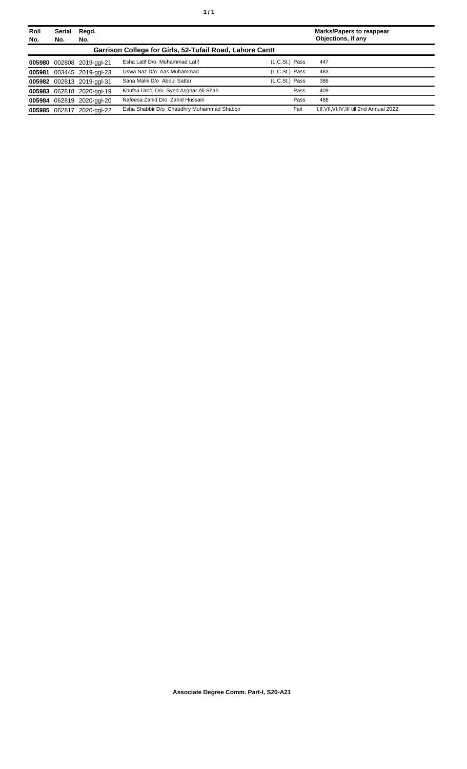| Roll<br>No. | <b>Serial</b><br>No.                                     | Regd.<br>No.              |                                            |                |      | <b>Marks/Papers to reappear</b><br>Objections, if any |  |
|-------------|----------------------------------------------------------|---------------------------|--------------------------------------------|----------------|------|-------------------------------------------------------|--|
|             | Garrison College for Girls, 52-Tufail Road, Lahore Cantt |                           |                                            |                |      |                                                       |  |
|             |                                                          | 005980 002808 2019-ggl-21 | Esha Latif D/o Muhammad Latif              | (L.C.St.) Pass |      | 447                                                   |  |
|             |                                                          | 005981 003445 2019-ggl-23 | Uswa Naz D/o Aas Muhammad                  | (L.C.St.) Pass |      | 483                                                   |  |
|             |                                                          | 005982 002813 2019-ggl-31 | Sana Malik D/o Abdul Sattar                | (L.C.St.) Pass |      | 386                                                   |  |
|             |                                                          | 005983 062818 2020-ggl-19 | Khufsa Urooj D/o Syed Asghar Ali Shah      |                | Pass | 409                                                   |  |
|             |                                                          | 005984 062819 2020-ggl-20 | Nafeesa Zahid D/o Zahid Hussain            |                | Pass | 488                                                   |  |
|             | 005985 062817                                            | 2020-aal-22               | Esha Shabbir D/o Chaudhry Muhammad Shabbir |                | Fail | I, II, VII, VI, IV, III till 2nd Annual 2022.         |  |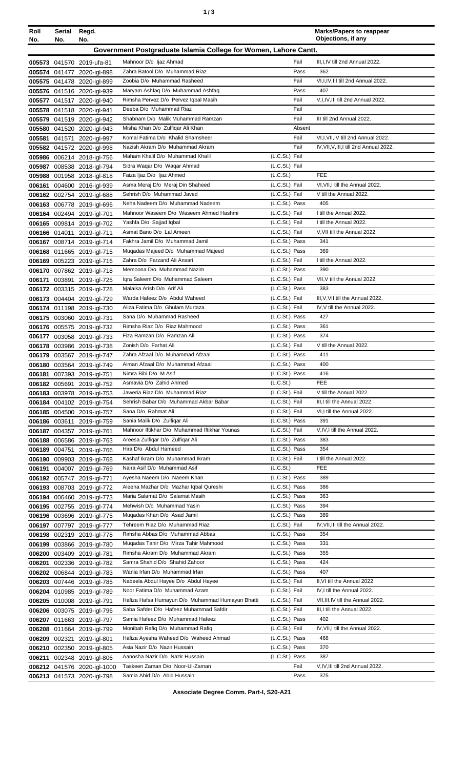| ٠ |  | ×<br>٠<br>٦<br>۰.<br>× |
|---|--|------------------------|
|---|--|------------------------|

| Roll   | Serial        | Regd.                                                    |                                                                           |                                  | <b>Marks/Papers to reappear</b><br>Objections, if any       |
|--------|---------------|----------------------------------------------------------|---------------------------------------------------------------------------|----------------------------------|-------------------------------------------------------------|
| No.    | No.           | No.                                                      |                                                                           |                                  |                                                             |
|        |               |                                                          | Government Postgraduate Islamia College for Women, Lahore Cantt.          |                                  |                                                             |
|        |               | 005573 041570 2019-ufa-81                                | Mahnoor D/o Ijaz Ahmad                                                    | Fail                             | III, I, IV till 2nd Annual 2022.                            |
|        |               | 005574 041477 2020-igl-898                               | Zahra Batool D/o Muhammad Riaz                                            | Pass                             | 362                                                         |
|        |               | 005575 041478 2020-igl-899                               | Zoobia D/o Muhammad Rasheed                                               | Fail                             | VI, I, IV, III till 2nd Annual 2022.                        |
|        |               | 005576 041516 2020-igl-939                               | Maryam Ashfaq D/o Muhammad Ashfaq<br>Rimsha Pervez D/o Pervez Iqbal Masih | Pass<br>Fail                     | 407<br>V, I, IV, III till 2nd Annual 2022.                  |
|        |               | 005577 041517 2020-igl-940<br>005578 041518 2020-igl-941 | Deeba D/o Muhammad Riaz                                                   | Fail                             |                                                             |
|        |               | 005579 041519 2020-igl-942                               | Shabnam D/o Malik Muhammad Ramzan                                         | Fail                             | III till 2nd Annual 2022.                                   |
|        |               | 005580 041520 2020-igl-943                               | Misha Khan D/o Zulfigar Ali Khan                                          | Absent                           |                                                             |
| 005581 |               | 041571 2020-igl-997                                      | Komal Fatima D/o Khalid Shamsheer                                         | Fail                             | VI, I, VII, IV till 2nd Annual 2022.                        |
|        |               | 005582 041572 2020-igl-998                               | Nazish Akram D/o Muhammad Akram                                           | Fail                             | IV, VII, V, III, I till 2nd Annual 2022.                    |
|        |               | 005986 006214 2018-igl-756                               | Maham Khalil D/o Muhammad Khalil                                          | (L.C.St.) Fail                   |                                                             |
| 005987 |               | 008538 2018-igl-794                                      | Sidra Waqar D/o Waqar Ahmad                                               | (L.C.St.) Fail                   |                                                             |
| 005988 |               | 001958 2018-igl-818                                      | Faiza Ijaz D/o Ijaz Ahmed                                                 | (L.C.St.)                        | <b>FEE</b>                                                  |
| 006161 |               | 004600 2016-igl-939                                      | Asma Meraj D/o Meraj Din Shaheed                                          | (L.C.St.) Fail                   | VI, VII, I till the Annual 2022.                            |
|        |               | 006162 002754 2019-igl-688                               | Sehrish D/o Muhammad Javed                                                | (L.C.St.) Fail                   | V till the Annual 2022.                                     |
| 006163 |               | 006778 2019-igl-696                                      | Neha Nadeem D/o Muhammad Nadeem                                           | (L.C.St.) Pass                   | 405                                                         |
|        |               | 006164 002494 2019-igl-701                               | Mahnoor Waseem D/o Waseem Ahmed Hashmi                                    | (L.C.St.) Fail<br>(L.C.St.) Fail | I till the Annual 2022.<br>I till the Annual 2022.          |
|        |               | 006165 009814 2019-igl-702<br>006166 014011 2019-igl-711 | Yashfa D/o Sajjad Iqbal<br>Asmat Bano D/o Lal Ameen                       | (L.C.St.) Fail                   | V, VII till the Annual 2022.                                |
|        |               | 006167 008714 2019-igl-714                               | Fakhra Jamil D/o Muhammad Jamil                                           | (L.C.St.) Pass                   | 341                                                         |
|        |               | 006168 011665 2019-igl-715                               | Mugadas Majeed D/o Muhammad Majeed                                        | (L.C.St.) Pass                   | 369                                                         |
|        |               | 006169 005223 2019-igl-716                               | Zahra D/o Farzand Ali Ansari                                              | (L.C.St.) Fail                   | I till the Annual 2022.                                     |
|        |               | 006170 007862 2019-igl-718                               | Memoona D/o Muhammad Nazim                                                | (L.C.St.) Pass                   | 390                                                         |
| 006171 |               | 003891 2019-igl-725                                      | Igra Saleem D/o Muhammad Saleem                                           | (L.C.St.) Fail                   | VII, V till the Annual 2022.                                |
|        |               | 006172 003315 2019-igl-728                               | Malaika Arish D/o Arif Ali                                                | (L.C.St.) Pass                   | 383                                                         |
|        |               | 006173 004404 2019-igl-729                               | Warda Hafeez D/o Abdul Waheed                                             | (L.C.St.) Fail                   | III, V, VII till the Annual 2022.                           |
|        |               | 006174 011198 2019-igl-730                               | Aliza Fatima D/o Ghulam Murtaza                                           | (L.C.St.) Fail                   | IV, V till the Annual 2022.                                 |
|        |               | 006175 003060 2019-igl-731                               | Sana D/o Muhammad Rasheed                                                 | (L.C.St.) Pass                   | 427                                                         |
| 006176 |               | 005575 2019-igl-732                                      | Rimsha Riaz D/o Riaz Mahmood                                              | (L.C.St.) Pass                   | 361                                                         |
| 006177 |               | 003058 2019-igl-733                                      | Fiza Ramzan D/o Ramzan Ali<br>Zonish D/o Farhat Ali                       | (L.C.St.) Pass<br>(L.C.St.) Fail | 374<br>V till the Annual 2022.                              |
| 006178 |               | 003986 2019-igl-738                                      | Zahra Afzaal D/o Muhammad Afzaal                                          | (L.C.St.) Pass                   | 411                                                         |
| 006179 |               | 003567 2019-igl-747<br>006180 003564 2019-igl-749        | Aiman Afzaal D/o Muhammad Afzaal                                          | (L.C.St.) Pass                   | 400                                                         |
|        |               | 006181 007393 2019-igl-751                               | Nimra Bibi D/o M Asif                                                     | (L.C.St.) Pass                   | 416                                                         |
|        | 006182 005691 | 2019-igl-752                                             | Asmavia D/o Zahid Ahmed                                                   | (L.C.S <sub>t</sub> )            | FEE                                                         |
|        |               | 006183 003978 2019-igl-753                               | Jaweria Riaz D/o Muhammad Riaz                                            | (L.C.St.) Fail                   | V till the Annual 2022.                                     |
|        |               | 006184 004102 2019-igl-754                               | Sehrish Babar D/o Muhammad Akbar Babar                                    | (L.C.St.) Fail                   | III,I till the Annual 2022.                                 |
|        |               | 006185 004500 2019-igl-757                               | Sana D/o Rahmat Ali                                                       | (L.C.St.) Fail                   | VI, I till the Annual 2022.                                 |
|        |               | 006186 003611 2019-igl-759                               | Sania Malik D/o Zulfigar Ali                                              | (L.C.St.) Pass                   | 391                                                         |
|        |               | 006187 004357 2019-igl-761                               | Mahnoor Iftikhar D/o Muhammad Iftikhar Younas                             | (L.C.St.) Fail                   | V, IV, I till the Annual 2022.                              |
|        |               | 006188 006586 2019-igl-763                               | Areesa Zulfigar D/o Zulfigar Ali                                          | (L.C.St.) Pass                   | 383                                                         |
|        |               | 006189 004751 2019-igl-766                               | Hira D/o Abdul Hameed<br>Kashaf Ikram D/o Muhammad Ikram                  | (L.C.St.) Pass<br>(L.C.St.) Fail | 354<br>I till the Annual 2022.                              |
|        |               | 006190 009903 2019-igl-768                               | Naira Asif D/o Muhammad Asif                                              | (L.C.St.)                        | <b>FEE</b>                                                  |
| 006191 |               | 004007 2019-igl-769<br>006192 005747 2019-igl-771        | Ayesha Naeem D/o Naeem Khan                                               | (L.C.St.) Pass                   | 389                                                         |
|        |               | 006193 008703 2019-igl-772                               | Aleena Mazhar D/o Mazhar Iqbal Qureshi                                    | (L.C.St.) Pass                   | 386                                                         |
|        |               | 006194 006460 2019-igl-773                               | Maria Salamat D/o Salamat Masih                                           | (L.C.St.) Pass                   | 363                                                         |
|        |               | 006195 002755 2019-igl-774                               | Mehwish D/o Muhammad Yasin                                                | (L.C.St.) Pass                   | 394                                                         |
|        |               | 006196 003696 2019-igl-775                               | Muqadas Khan D/o Asad Jamil                                               | (L.C.St.) Pass                   | 389                                                         |
|        |               | 006197 007797 2019-igl-777                               | Tehreem Riaz D/o Muhammad Riaz                                            | (L.C.St.) Fail                   | IV, VII, III till the Annual 2022.                          |
|        |               | 006198 002319 2019-igl-778                               | Rimsha Abbas D/o Muhammad Abbas                                           | (L.C.St.) Pass                   | 354                                                         |
|        |               | 006199 003866 2019-igl-780                               | Mugadas Tahir D/o Mirza Tahir Mahmood                                     | (L.C.St.) Pass                   | 331                                                         |
|        |               | 006200 003409 2019-igl-781                               | Rimsha Akram D/o Muhammad Akram                                           | (L.C.St.) Pass                   | 355                                                         |
|        |               | 006201 002336 2019-igl-782                               | Samra Shahid D/o Shahid Zahoor                                            | (L.C.St.) Pass                   | 424                                                         |
|        |               | 006202 006844 2019-igl-783                               | Wania Irfan D/o Muhammad Irfan                                            | (L.C.St.) Pass                   | 407                                                         |
|        |               | 006203 007446 2019-igl-785<br>006204 010985 2019-igl-789 | Nabeela Abdul Hayee D/o Abdul Hayee<br>Noor Fatima D/o Muhammad Azam      | (L.C.St.) Fail<br>(L.C.St.) Fail | II, VI till the Annual 2022.<br>IV, I till the Annual 2022. |
|        |               | 006205 010008 2019-igl-791                               | Hafiza Hafsa Humayun D/o Muhammad Humayun Bhatti                          | (L.C.St.) Fail                   | VII, III, IV till the Annual 2022.                          |
|        |               | 006206 003075 2019-igl-796                               | Saba Safder D/o Hafeez Muhammad Safdir                                    | (L.C.St.) Fail                   | III,I till the Annual 2022.                                 |
|        |               | 006207 011663 2019-igl-797                               | Samia Hafeez D/o Muhammad Hafeez                                          | (L.C.St.) Pass                   | 402                                                         |
|        |               | 006208 011664 2019-igl-799                               | Monibah Rafiq D/o Muhammad Rafiq                                          | (L.C.St.) Fail                   | IV, VII, I till the Annual 2022.                            |
|        |               | 006209 002321 2019-igl-801                               | Hafiza Ayesha Waheed D/o Waheed Ahmad                                     | (L.C.St.) Pass                   | 468                                                         |
|        |               | 006210 002350 2019-igl-805                               | Asia Nazir D/o Nazir Hussain                                              | (L.C.St.) Pass                   | 370                                                         |
|        |               | 006211 002348 2019-igl-806                               | Aanosha Nazir D/o Nazir Hussain                                           | (L.C.St.) Pass                   | 387                                                         |
|        |               | 006212 041576 2020-igl-1000                              | Taskeen Zaman D/o Noor-UI-Zaman                                           | Fail                             | V,IV,III till 2nd Annual 2022.                              |
|        |               | 006213 041573 2020-igl-798                               | Samia Abid D/o Abid Hussain                                               | Pass                             | 375                                                         |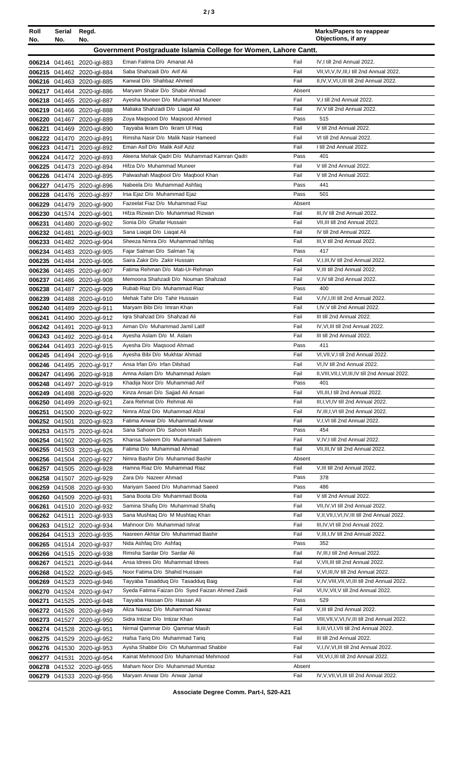| I |  | ×<br>٦<br>×<br>۰, |
|---|--|-------------------|
|---|--|-------------------|

| Roll   | Serial<br>No. | Regd.<br>No.                                             |                                                                              |              | <b>Marks/Papers to reappear</b><br>Objections, if any                                 |
|--------|---------------|----------------------------------------------------------|------------------------------------------------------------------------------|--------------|---------------------------------------------------------------------------------------|
| No.    |               |                                                          | Government Postgraduate Islamia College for Women, Lahore Cantt.             |              |                                                                                       |
|        |               |                                                          | Eman Fatima D/o Amanat Ali                                                   | Fail         |                                                                                       |
|        |               | 006214 041461 2020-igl-883<br>006215 041462 2020-igl-884 | Saba Shahzadi D/o Arif Ali                                                   | Fail         | IV, I till 2nd Annual 2022.<br>VII, VI, V, IV, III, I till 2nd Annual 2022.           |
|        |               | 006216 041463 2020-igl-885                               | Kanwal D/o Shahbaz Ahmed                                                     | Fail         | II, IV, V, VI, I, III till 2nd Annual 2022.                                           |
|        |               | 006217 041464 2020-igl-886                               | Maryam Shabir D/o Shabir Ahmad                                               | Absent       |                                                                                       |
|        |               | 006218 041465 2020-igl-887                               | Ayesha Muneer D/o Muhammad Muneer                                            | Fail         | V,I till 2nd Annual 2022.                                                             |
|        |               | 006219 041466 2020-igl-888                               | Maliaka Shahzadi D/o Liagat Ali                                              | Fail         | IV, V till 2nd Annual 2022.                                                           |
|        |               | 006220 041467 2020-igl-889                               | Zoya Maqsood D/o Maqsood Ahmed                                               | Pass         | 515                                                                                   |
| 006221 |               | 041469 2020-igl-890                                      | Tayyaba Ikram D/o Ikram UI Haq                                               | Fail         | V till 2nd Annual 2022.                                                               |
|        |               | 006222 041470 2020-igl-891                               | Rimsha Nasir D/o Malik Nasir Hameed                                          | Fail         | VI till 2nd Annual 2022.                                                              |
|        |               | 006223 041471 2020-igl-892                               | Eman Asif D/o Malik Asif Aziz                                                | Fail         | I till 2nd Annual 2022.                                                               |
|        |               | 006224 041472 2020-igl-893                               | Aleena Mehak Qadri D/o Muhammad Kamran Qadri                                 | Pass         | 401                                                                                   |
|        |               | 006225 041473 2020-igl-894                               | Hifza D/o Muhammad Muneer<br>Palwashah Maqbool D/o Maqbool Khan              | Fail<br>Fail | V till 2nd Annual 2022.<br>V till 2nd Annual 2022.                                    |
|        |               | 006226 041474 2020-igl-895<br>006227 041475 2020-igl-896 | Nabeela D/o Muhammad Ashfaq                                                  | Pass         | 441                                                                                   |
|        |               | 006228 041476 2020-igl-897                               | Irsa Ejaz D/o Muhammad Ejaz                                                  | Pass         | 501                                                                                   |
|        |               | 006229 041479 2020-igl-900                               | Fazeelat Fiaz D/o Muhammad Fiaz                                              | Absent       |                                                                                       |
|        |               | 006230 041574 2020-igl-901                               | Hifza Rizwan D/o Muhammad Rizwan                                             | Fail         | III, IV till 2nd Annual 2022.                                                         |
| 006231 |               | 041480 2020-igl-902                                      | Sonia D/o Ghafar Hussain                                                     | Fail         | VII, III till 2nd Annual 2022.                                                        |
|        |               | 006232 041481 2020-igl-903                               | Sana Liaqat D/o Liaqat Ali                                                   | Fail         | IV till 2nd Annual 2022.                                                              |
|        |               | 006233 041482 2020-igl-904                               | Sheeza Nimra D/o Muhammad Ishfaq                                             | Fail         | III, V till 2nd Annual 2022.                                                          |
|        |               | 006234 041483 2020-igl-905                               | Fajar Salman D/o Salman Taj                                                  | Pass         | 417                                                                                   |
|        |               | 006235 041484 2020-igl-906                               | Saira Zakir D/o Zakir Hussain                                                | Fail         | V, I, III, IV till 2nd Annual 2022.                                                   |
|        |               | 006236 041485 2020-igl-907                               | Fatima Rehman D/o Mati-Ur-Rehman                                             | Fail         | V, III till 2nd Annual 2022.                                                          |
|        |               | 006237 041486 2020-igl-908                               | Memoona Shahzadi D/o Nouman Shahzad                                          | Fail         | V,IV till 2nd Annual 2022.                                                            |
|        |               | 006238 041487 2020-igl-909                               | Rubab Riaz D/o Muhammad Riaz<br>Mehak Tahir D/o Tahir Hussain                | Pass<br>Fail | 400<br>V,IV,I,III till 2nd Annual 2022.                                               |
| 006239 |               | 041488 2020-igl-910<br>006240 041489 2020-igl-911        | Maryam Bibi D/o Imran Khan                                                   | Fail         | I, IV, V till 2nd Annual 2022.                                                        |
| 006241 |               | 041490 2020-igl-912                                      | Iqra Shahzad D/o Shahzad Ali                                                 | Fail         | III till 2nd Annual 2022.                                                             |
|        |               | 006242 041491 2020-igl-913                               | Aiman D/o Muhammad Jamil Latif                                               | Fail         | IV, VI, III till 2nd Annual 2022.                                                     |
|        |               | 006243 041492 2020-igl-914                               | Ayesha Aslam D/o M. Aslam                                                    | Fail         | III till 2nd Annual 2022.                                                             |
|        |               | 006244 041493 2020-igl-915                               | Ayesha D/o Maqsood Ahmad                                                     | Pass         | 411                                                                                   |
|        |               | 006245 041494 2020-igl-916                               | Avesha Bibi D/o Mukhtar Ahmad                                                | Fail         | VI, VII, V, I till 2nd Annual 2022.                                                   |
|        |               | 006246 041495 2020-igl-917                               | Ansa Irfan D/o Irfan Dilshad                                                 | Fail         | VI.IV till 2nd Annual 2022.                                                           |
|        |               | 006247 041496 2020-igl-918                               | Amna Aslam D/o Muhammad Aslam                                                | Fail         | II, VIII, VII, I, VI, III, IV till 2nd Annual 2022.                                   |
|        |               | 006248 041497 2020-igl-919                               | Khadija Noor D/o Muhammad Arif                                               | Pass         | 401                                                                                   |
|        |               | 006249 041498 2020-igl-920                               | Kinza Ansari D/o Sajjad Ali Ansari                                           | Fail         | VII, III, I till 2nd Annual 2022.                                                     |
|        |               | 006250 041499 2020-igl-921                               | Zara Rehmat D/o Rehmat Ali<br>Nimra Afzal D/o Muhammad Afzal                 | Fail<br>Fail | III, I, VI, IV till 2nd Annual 2022.<br>IV, III, I, VI till 2nd Annual 2022.          |
| 006251 |               | 041500 2020-igl-922<br>006252 041501 2020-igl-923        | Fatima Anwar D/o Muhammad Anwar                                              | Fail         | V,I,VI till 2nd Annual 2022.                                                          |
| 006253 |               | 041575 2020-igl-924                                      | Sana Sahoon D/o Sahoon Masih                                                 | Pass         | 454                                                                                   |
|        |               | 006254 041502 2020-igl-925                               | Khansa Saleem D/o Muhammad Saleem                                            | Fail         | V, IV, I till 2nd Annual 2022.                                                        |
|        |               | 006255 041503 2020-igl-926                               | Fatima D/o Muhammad Ahmad                                                    | Fail         | VII, III, IV till 2nd Annual 2022.                                                    |
|        |               | 006256 041504 2020-igl-927                               | Nimra Bashir D/o Muhammad Bashir                                             | Absent       |                                                                                       |
|        |               | 006257 041505 2020-igl-928                               | Hamna Riaz D/o Muhammad Riaz                                                 | Fail         | V, III till 2nd Annual 2022.                                                          |
|        |               | 006258 041507 2020-igl-929                               | Zara D/o Nazeer Ahmad                                                        | Pass         | 378                                                                                   |
|        |               | 006259 041508 2020-igl-930                               | Mariyam Saeed D/o Muhammad Saeed                                             | Pass         | 486                                                                                   |
|        |               | 006260 041509 2020-igl-931                               | Sana Boota D/o Muhammad Boota                                                | Fail         | V till 2nd Annual 2022.                                                               |
| 006261 |               | 041510 2020-igl-932                                      | Samina Shafiq D/o Muhammad Shafiq                                            | Fail         | VII, IV, VI till 2nd Annual 2022.                                                     |
|        |               | 006262 041511 2020-igl-933                               | Sana Mushtaq D/o M Mushtaq Khan<br>Mahnoor D/o Muhammad Ishrat               | Fail<br>Fail | V, II, VII, I, VI, IV, III till 2nd Annual 2022.<br>III, IV, VI till 2nd Annual 2022. |
|        |               | 006263 041512 2020-igl-934                               | Nasreen Akhtar D/o Muhammad Bashir                                           | Fail         | V, III, I, IV till 2nd Annual 2022.                                                   |
|        |               | 006264 041513 2020-igl-935<br>006265 041514 2020-igl-937 | Nida Ashfaq D/o Ashfaq                                                       | Pass         | 352                                                                                   |
|        |               | 006266 041515 2020-igl-938                               | Rimsha Sardar D/o Sardar Ali                                                 | Fail         | IV, III, I till 2nd Annual 2022.                                                      |
|        |               | 006267 041521 2020-igl-944                               | Ansa Idrees D/o Muhammad Idrees                                              | Fail         | V, VII, III till 2nd Annual 2022.                                                     |
|        |               | 006268 041522 2020-igl-945                               | Noor Fatima D/o Shahid Hussain                                               | Fail         | V, VI, III, IV till 2nd Annual 2022.                                                  |
|        |               | 006269 041523 2020-igl-946                               | Tayyaba Tasadduq D/o Tasadduq Baig                                           | Fail         | V, IV, VIII, VII, VI, III till 2nd Annual 2022.                                       |
|        |               | 006270 041524 2020-igl-947                               | Syeda Fatima Faizan D/o Syed Faizan Ahmed Zaidi                              | Fail         | VI, IV, VII, V till 2nd Annual 2022.                                                  |
| 006271 |               | 041525 2020-igl-948                                      | Tayyaba Hassan D/o Hassan Ali                                                | Pass         | 529                                                                                   |
|        |               | 006272 041526 2020-igl-949                               | Aliza Nawaz D/o Muhammad Nawaz                                               | Fail         | V, III till 2nd Annual 2022.                                                          |
|        |               | 006273 041527 2020-igl-950                               | Sidra Intizar D/o Intizar Khan                                               | Fail         | VIII, VII, V, VI, IV, III till 2nd Annual 2022.                                       |
| 006274 |               | 041528 2020-igl-951                                      | Nirmal Qammar D/o Qammar Masih                                               | Fail         | II, III, VI, I, VII till 2nd Annual 2022.                                             |
| 006275 |               | 041529 2020-igl-952                                      | Hafsa Tariq D/o Muhammad Tariq                                               | Fail         | III till 2nd Annual 2022.                                                             |
|        |               | 006276 041530 2020-igl-953                               | Aysha Shabbir D/o Ch Muhammad Shabbir<br>Kainat Mehmood D/o Muhammad Mehmood | Fail<br>Fail | V, I, IV, VI, III till 2nd Annual 2022.<br>VII, VI, I, III till 2nd Annual 2022.      |
|        |               | 006277 041531 2020-igl-954<br>006278 041532 2020-igl-955 | Maham Noor D/o Muhammad Mumtaz                                               | Absent       |                                                                                       |
|        |               | 006279 041533 2020-igl-956                               | Maryam Anwar D/o Anwar Jamal                                                 | Fail         | IV, V, VII, VI, III till 2nd Annual 2022.                                             |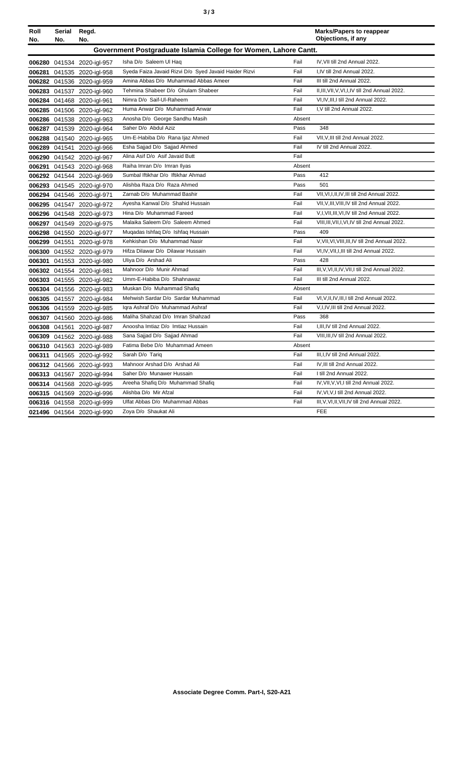| ×<br>٠<br>٦<br>۰.<br>× |  | ×<br>٠<br>٦<br>۰.<br>× |
|------------------------|--|------------------------|
|------------------------|--|------------------------|

| Roll<br>No. | Serial<br>No. | Regd.<br>No.               |                                                                  |        | <b>Marks/Papers to reappear</b><br>Objections, if any |
|-------------|---------------|----------------------------|------------------------------------------------------------------|--------|-------------------------------------------------------|
|             |               |                            | Government Postgraduate Islamia College for Women, Lahore Cantt. |        |                                                       |
|             |               | 006280 041534 2020-igl-957 | Isha D/o Saleem Ul Haq                                           | Fail   | IV. VII till 2nd Annual 2022.                         |
|             |               | 006281 041535 2020-igl-958 | Syeda Faiza Javaid Rizvi D/o Syed Javaid Haider Rizvi            | Fail   | I.IV till 2nd Annual 2022.                            |
|             |               | 006282 041536 2020-igl-959 | Amina Abbas D/o Muhammad Abbas Ameer                             | Fail   | III till 2nd Annual 2022.                             |
|             |               | 006283 041537 2020-igl-960 | Tehmina Shabeer D/o Ghulam Shabeer                               | Fail   | II, III, VII, V, VI, I, IV till 2nd Annual 2022.      |
|             |               | 006284 041468 2020-igl-961 | Nimra D/o Saif-Ul-Raheem                                         | Fail   | VI, IV, III, I till 2nd Annual 2022.                  |
|             |               | 006285 041506 2020-igl-962 | Huma Anwar D/o Muhammad Anwar                                    | Fail   | I, V till 2nd Annual 2022.                            |
|             |               | 006286 041538 2020-igl-963 | Anosha D/o George Sandhu Masih                                   | Absent |                                                       |
|             |               | 006287 041539 2020-igl-964 | Saher D/o Abdul Aziz                                             | Pass   | 348                                                   |
|             |               | 006288 041540 2020-igl-965 | Um-E-Habiba D/o Rana Ijaz Ahmed                                  | Fail   | VII, V, III till 2nd Annual 2022.                     |
|             |               | 006289 041541 2020-igl-966 | Esha Sajjad D/o Sajjad Ahmed                                     | Fail   | IV till 2nd Annual 2022.                              |
|             |               | 006290 041542 2020-igl-967 | Alina Asif D/o Asif Javaid Butt                                  | Fail   |                                                       |
|             |               | 006291 041543 2020-igl-968 | Raiha Imran D/o Imran Ilyas                                      | Absent |                                                       |
|             |               | 006292 041544 2020-igl-969 | Sumbal Iftikhar D/o Iftikhar Ahmad                               | Pass   | 412                                                   |
|             |               | 006293 041545 2020-igl-970 | Alishba Raza D/o Raza Ahmed                                      | Pass   | 501                                                   |
|             |               | 006294 041546 2020-igl-971 | Zarnab D/o Muhammad Bashir                                       | Fail   | VII, VI, I, II, IV, III till 2nd Annual 2022.         |
|             |               | 006295 041547 2020-igl-972 | Ayesha Kanwal D/o Shahid Hussain                                 | Fail   | VII, V, III, VIII, IV till 2nd Annual 2022.           |
|             |               | 006296 041548 2020-igl-973 | Hina D/o Muhammad Fareed                                         | Fail   | V,I, VII, III, VI, IV till 2nd Annual 2022.           |
|             |               | 006297 041549 2020-igl-975 | Malaika Saleem D/o Saleem Ahmed                                  | Fail   | VIII, III, VII, I, VI, IV till 2nd Annual 2022.       |
|             |               | 006298 041550 2020-igl-977 | Mugadas Ishfaq D/o Ishfaq Hussain                                | Pass   | 409                                                   |
|             |               | 006299 041551 2020-igl-978 | Kehkishan D/o Muhammad Nasir                                     | Fail   | V, VII, VI, VIII, III, IV till 2nd Annual 2022.       |
|             |               | 006300 041552 2020-igl-979 | Hifza Dilawar D/o Dilawar Hussain                                | Fail   | VI, IV, VII, I, III till 2nd Annual 2022.             |
|             |               | 006301 041553 2020-igl-980 | Uliya D/o Arshad Ali                                             | Pass   | 428                                                   |
|             |               | 006302 041554 2020-igl-981 | Mahnoor D/o Munir Ahmad                                          | Fail   | III, V, VI, II, IV, VII, I till 2nd Annual 2022.      |
|             |               | 006303 041555 2020-igl-982 | Umm-E-Habiba D/o Shahnawaz                                       | Fail   | III till 2nd Annual 2022.                             |
|             |               | 006304 041556 2020-igl-983 | Muskan D/o Muhammad Shafiq                                       | Absent |                                                       |
|             |               | 006305 041557 2020-igl-984 | Mehwish Sardar D/o Sardar Muhammad                               | Fail   | VI, V, II, IV, III, I till 2nd Annual 2022.           |
|             |               | 006306 041559 2020-igl-985 | Iqra Ashraf D/o Muhammad Ashraf                                  | Fail   | V,I,IV,III till 2nd Annual 2022.                      |
|             |               | 006307 041560 2020-igl-986 | Maliha Shahzad D/o Imran Shahzad                                 | Pass   | 368                                                   |
|             |               | 006308 041561 2020-igl-987 | Anoosha Imtiaz D/o Imtiaz Hussain                                | Fail   | I, III, IV till 2nd Annual 2022.                      |
| 006309      |               | 041562 2020-igl-988        | Sana Sajjad D/o Sajjad Ahmad                                     | Fail   | VIII, III, IV till 2nd Annual 2022.                   |
|             |               | 006310 041563 2020-igl-989 | Fatima Bebe D/o Muhammad Ameen                                   | Absent |                                                       |
|             |               | 006311 041565 2020-igl-992 | Sarah D/o Tariq                                                  | Fail   | III, I, IV till 2nd Annual 2022.                      |
|             |               | 006312 041566 2020-igl-993 | Mahnoor Arshad D/o Arshad Ali                                    | Fail   | IV, III till 2nd Annual 2022.                         |
|             |               | 006313 041567 2020-igl-994 | Saher D/o Munawer Hussain                                        | Fail   | I till 2nd Annual 2022.                               |
|             |               | 006314 041568 2020-igl-995 | Areeha Shafiq D/o Muhammad Shafiq                                | Fail   | IV, VII, V, VI, I till 2nd Annual 2022.               |
|             |               | 006315 041569 2020-igl-996 | Alishba D/o Mir Afzal                                            | Fail   | IV, VI, V, I till 2nd Annual 2022.                    |
|             |               | 006316 041558 2020-igl-999 | Ulfat Abbas D/o Muhammad Abbas                                   | Fail   | III, V, VI, II, VII, IV till 2nd Annual 2022.         |
|             |               | 021496 041564 2020-igl-990 | Zoya D/o Shaukat Ali                                             |        | <b>FEE</b>                                            |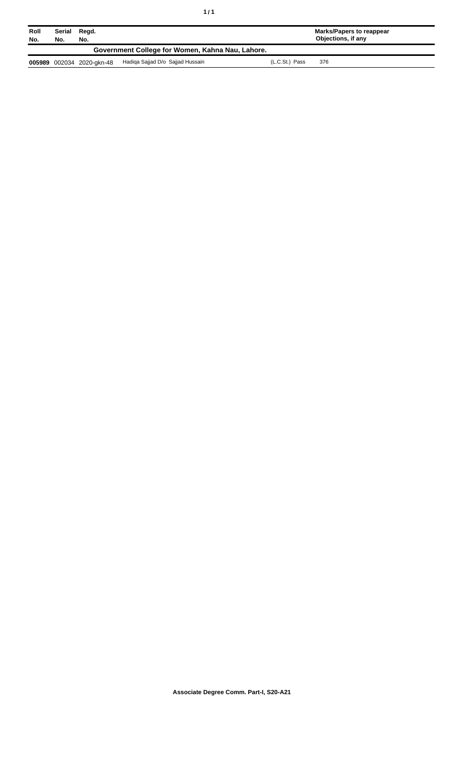| Roll<br>No. | Serial<br>No.                                    | Regd.<br>No.              |                                  |                | Marks/Papers to reappear<br>Objections, if any |  |  |
|-------------|--------------------------------------------------|---------------------------|----------------------------------|----------------|------------------------------------------------|--|--|
|             | Government College for Women, Kahna Nau, Lahore. |                           |                                  |                |                                                |  |  |
|             |                                                  | 005989 002034 2020-gkn-48 | Hadiga Sajjad D/o Sajjad Hussain | (L.C.St.) Pass | 376                                            |  |  |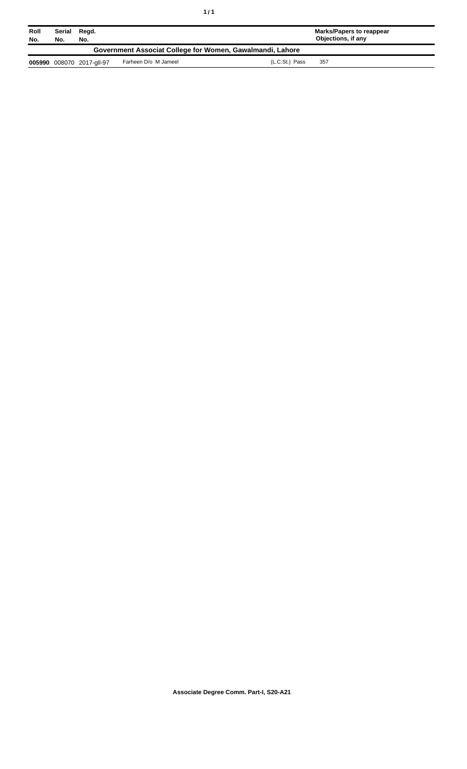| Roll<br>No.                                               | Serial<br>No. | Regd.<br>No.              |                      |                | Marks/Papers to reappear<br>Objections, if any |  |
|-----------------------------------------------------------|---------------|---------------------------|----------------------|----------------|------------------------------------------------|--|
| Government Associat College for Women, Gawalmandi, Lahore |               |                           |                      |                |                                                |  |
|                                                           |               | 005990 008070 2017-gll-97 | Farheen D/o M Jameel | (L.C.St.) Pass | 357                                            |  |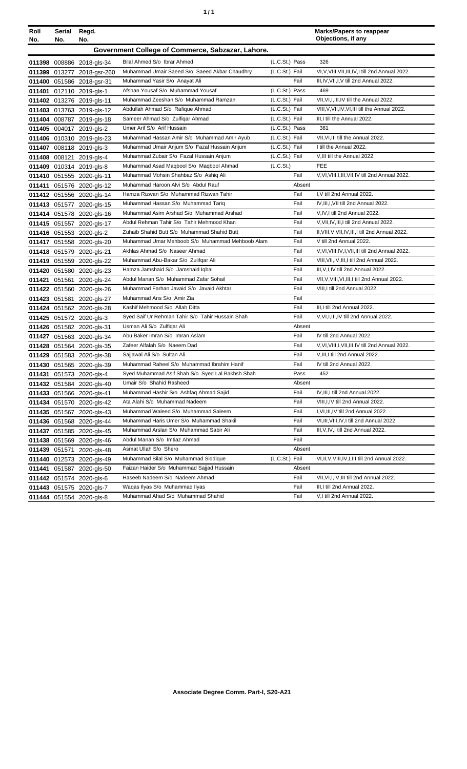| ٠ | ٠ |
|---|---|
|   |   |

| Roll   | <b>Serial</b> | Regd.                      |                                                                              |                |              | <b>Marks/Papers to reappear</b>                                       |
|--------|---------------|----------------------------|------------------------------------------------------------------------------|----------------|--------------|-----------------------------------------------------------------------|
| No.    | No.           | No.                        |                                                                              |                |              | Objections, if any                                                    |
|        |               |                            | Government College of Commerce, Sabzazar, Lahore.                            |                |              |                                                                       |
|        |               | 011398 008886 2018-gls-34  | Bilal Ahmed S/o Ibrar Ahmed                                                  | (L.C.St.) Pass |              | 326                                                                   |
|        |               | 011399 013277 2018-gsr-260 | Muhammad Umair Saeed S/o Saeed Akbar Chaudhry                                | (L.C.St.) Fail |              | VI, V, VIII, VII, III, IV, I till 2nd Annual 2022.                    |
|        |               | 011400 051586 2018-gsr-31  | Muhammad Yasir S/o Anayat Ali                                                |                | Fail         | III, IV, VII, I, V till 2nd Annual 2022.                              |
| 011401 |               | 012110 2019-gls-1          | Afshan Yousaf S/o Muhammad Yousaf                                            | (L.C.St.) Pass |              | 469                                                                   |
|        |               | 011402 013276 2019-gls-11  | Muhammad Zeeshan S/o Muhammad Ramzan                                         | (L.C.St.) Fail |              | VII, VI, I, III, IV till the Annual 2022.                             |
|        |               | 011403 013763 2019-gls-12  | Abdullah Ahmad S/o Rafique Ahmad                                             | (L.C.St.) Fail |              | VIII, V, VII, IV, VI, III till the Annual 2022.                       |
|        |               | 011404 008787 2019-gls-18  | Sameer Ahmad S/o Zulfigar Ahmad                                              | (L.C.St.) Fail |              | III, I till the Annual 2022.                                          |
|        |               | 011405 004017 2019-gls-2   | Umer Arif S/o Arif Hussain                                                   | (L.C.St.) Pass |              | 381                                                                   |
|        |               | 011406 010310 2019-gls-23  | Muhammad Hassan Amir S/o Muhammad Amir Ayub                                  | (L.C.St.) Fail |              | VII, VI, III till the Annual 2022.                                    |
|        |               | 011407 008118 2019-gls-3   | Muhammad Umair Anjum S/o Fazal Hussain Anjum                                 | (L.C.St.) Fail |              | I till the Annual 2022.                                               |
|        |               | 011408 008121 2019-gls-4   | Muhammad Zubair S/o Fazal Hussain Anjum                                      | (L.C.St.) Fail |              | V, III till the Annual 2022.                                          |
|        |               | 011409 010314 2019-gls-8   | Muhammad Asad Maqbool S/o Maqbool Ahmad                                      | (L.C.St.)      |              | <b>FEE</b>                                                            |
|        |               | 011410 051555 2020-gls-11  | Muhammad Mohsin Shahbaz S/o Ashiq Ali                                        |                | Fail         | V, VI, VIII, I, III, VII, IV till 2nd Annual 2022.                    |
|        |               | 011411 051576 2020-gls-12  | Muhammad Haroon Alvi S/o Abdul Rauf                                          |                | Absent       |                                                                       |
|        |               | 011412 051556 2020-gls-14  | Hamza Rizwan S/o Muhammad Rizwan Tahir                                       |                | Fail         | I, V till 2nd Annual 2022.                                            |
|        |               | 011413 051577 2020-gls-15  | Muhammad Hassan S/o Muhammad Tariq                                           |                | Fail         | IV, III, I, VII till 2nd Annual 2022.                                 |
|        |               | 011414 051578 2020-gls-16  | Muhammad Asim Arshad S/o Muhammad Arshad                                     |                | Fail         | V, IV, I till 2nd Annual 2022.                                        |
|        |               | 011415 051557 2020-gls-17  | Abdul Rehman Tahir S/o Tahir Mehmood Khan                                    |                | Fail         | V, VII, IV, III, I till 2nd Annual 2022.                              |
|        |               | 011416 051553 2020-gls-2   | Zuhaib Shahid Butt S/o Muhammad Shahid Butt                                  |                | Fail         | II, VIII, V, VII, IV, III, I till 2nd Annual 2022.                    |
|        |               | 011417 051558 2020-gls-20  | Muhammad Umar Mehboob S/o Muhammad Mehboob Alam                              |                | Fail         | V till 2nd Annual 2022.                                               |
|        |               | 011418 051579 2020-gls-21  | Akhlas Ahmad S/o Naseer Ahmad                                                |                | Fail         | V, VI, VIII, IV, I, VII, III till 2nd Annual 2022.                    |
|        |               | 011419 051559 2020-gls-22  | Muhammad Abu-Bakar S/o Zulifqar Ali                                          |                | Fail         | VIII, VII, IV, III, I till 2nd Annual 2022.                           |
|        |               | 011420 051580 2020-gls-23  | Hamza Jamshaid S/o Jamshaid Iqbal                                            |                | Fail         | III, V, I, IV till 2nd Annual 2022.                                   |
| 011421 |               | 051561 2020-gls-24         | Abdul Manan S/o Muhammad Zafar Sohail                                        |                | Fail         | VII, V, VIII, VI, III, I till 2nd Annual 2022.                        |
|        |               | 011422 051560 2020-gls-26  | Muhammad Farhan Javaid S/o Javaid Akhtar                                     |                | Fail         | VIII, I till 2nd Annual 2022.                                         |
|        |               | 011423 051581 2020-gls-27  | Muhammad Ans S/o Amir Zia                                                    |                | Fail         |                                                                       |
|        |               | 011424 051562 2020-gls-28  | Kashif Mehmood S/o Allah Ditta                                               |                | Fail         | III, I till 2nd Annual 2022.                                          |
|        |               | 011425 051572 2020-gls-3   | Syed Saif Ur Rehman Tahir S/o Tahir Hussain Shah                             |                | Fail         | V, VI, I, III, IV till 2nd Annual 2022.                               |
|        |               | 011426 051582 2020-gls-31  | Usman Ali S/o Zulfigar Ali                                                   |                | Absent       |                                                                       |
|        |               | 011427 051563 2020-gls-34  | Abu Baker Imran S/o Imran Aslam                                              |                | Fail         | IV till 2nd Annual 2022.                                              |
|        |               | 011428 051564 2020-gls-35  | Zafeer Alfalah S/o Naeem Dad                                                 |                | Fail         | V, VI, VIII, I, VII, III, IV till 2nd Annual 2022.                    |
|        |               | 011429 051583 2020-gls-38  | Sajjawal Ali S/o Sultan Ali                                                  |                | Fail         | V, III, I till 2nd Annual 2022.                                       |
|        |               | 011430 051565 2020-gls-39  | Muhammad Raheel S/o Muhammad Ibrahim Hanif                                   |                | Fail         | IV till 2nd Annual 2022.                                              |
|        |               | 011431 051573 2020-gls-4   | Syed Muhammad Asif Shah S/o Syed Lal Bakhsh Shah<br>Umair S/o Shahid Rasheed |                | Pass         | 452                                                                   |
|        |               | 011432 051584 2020-gls-40  |                                                                              |                | Absent       |                                                                       |
|        |               | 011433 051566 2020-gls-41  | Muhammad Hashir S/o Ashfaq Ahmad Sajid                                       |                | Fail         | IV, III, I till 2nd Annual 2022.<br>VIII, I, IV till 2nd Annual 2022. |
|        |               | 011434 051570 2020-gls-42  | Ata Alahi S/o Muhammad Nadeem<br>Muhammad Waleed S/o Muhammad Saleem         |                | Fail<br>Fail | I, VI, III, IV till 2nd Annual 2022.                                  |
|        |               | 011435 051567 2020-gls-43  | Muhammad Haris Umer S/o Muhammad Shakil                                      |                | Fail         | VI, III, VIII, IV, I till 2nd Annual 2022.                            |
|        |               | 011436 051568 2020-gls-44  | Muhammad Arslan S/o Muhammad Sabir Ali                                       |                | Fail         |                                                                       |
| 011437 |               | 051585 2020-gls-45         | Abdul Manan S/o Imtiaz Ahmad                                                 |                | Fail         | III, V, IV, I till 2nd Annual 2022.                                   |
| 011438 |               | 051569 2020-gls-46         | Asmat Ullah S/o Shero                                                        |                | Absent       |                                                                       |
| 011439 |               | 051571 2020-gls-48         | Muhammad Bilal S/o Muhammad Siddique                                         | (L.C.St.) Fail |              | VI, II, V, VIII, IV, I, III till 2nd Annual 2022.                     |
|        |               | 011440 012573 2020-gls-49  | Faizan Haider S/o Muhammad Sajjad Hussain                                    |                | Absent       |                                                                       |
| 011441 |               | 051587 2020-gls-50         | Haseeb Nadeem S/o Nadeem Ahmad                                               |                | Fail         | VII, VI, I, IV, III till 2nd Annual 2022.                             |
|        |               | 011442 051574 2020-gls-6   | Waqas Ilyas S/o Muhammad Ilyas                                               |                | Fail         | III,I till 2nd Annual 2022.                                           |
|        |               | 011443 051575 2020-gls-7   | Muhammad Ahad S/o Muhammad Shahid                                            |                | Fail         | V,I till 2nd Annual 2022.                                             |
|        |               | 011444 051554 2020-gls-8   |                                                                              |                |              |                                                                       |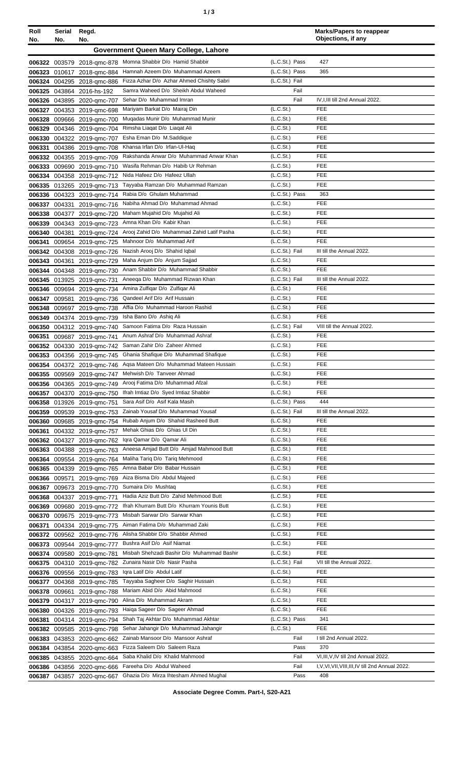| Roll             | <b>Serial</b>    | Regd.                               |                                                                                        |                                                | <b>Marks/Papers to reappear</b><br>Objections, if any |
|------------------|------------------|-------------------------------------|----------------------------------------------------------------------------------------|------------------------------------------------|-------------------------------------------------------|
| No.              | No.              | No.                                 | Government Queen Mary College, Lahore                                                  |                                                |                                                       |
|                  |                  |                                     |                                                                                        |                                                |                                                       |
| 006322           |                  |                                     | 003579 2018-qmc-878 Momna Shabbir D/o Hamid Shabbir<br>Hamnah Azeem D/o Muhammad Azeem | (L.C.St.) Pass<br>(L.C.St.) Pass               | 427<br>365                                            |
| 006323<br>006324 | 010617           | 2018-amc-884<br>004295 2018-qmc-886 | Fizza Azhar D/o Azhar Ahmed Chishty Sabri                                              | (L.C.St.) Fail                                 |                                                       |
| 006325           | 043864           | 2016-hs-192                         | Samra Waheed D/o Sheikh Abdul Waheed                                                   | Fail                                           |                                                       |
| 006326           |                  | 043895 2020-gmc-707                 | Sehar D/o Muhammad Imran                                                               | Fail                                           | IV, I, III till 2nd Annual 2022.                      |
| 006327           |                  | 004353 2019-amc-698                 | Mariyam Barkat D/o Mairaj Din                                                          | (L.C.St.)                                      | FEE                                                   |
| 006328           |                  | 009666 2019-qmc-700                 | Mugadas Munir D/o Muhammad Munir                                                       | (L.C.St.)                                      | FEE                                                   |
| 006329           |                  | 004346 2019-qmc-704                 | Rimsha Liagat D/o Liagat Ali                                                           | (L.C.St.)                                      | <b>FEE</b>                                            |
| 006330           |                  | 004322 2019-amc-707                 | Esha Eman D/o M.Saddique                                                               | (L.C.S <sub>t</sub> )                          | FEE                                                   |
| 006331           |                  | 004386 2019-gmc-708                 | Khansa Irfan D/o Irfan-UI-Haq                                                          | (L.C.S <sub>t</sub> )                          | FEE<br>FEE                                            |
| 006332<br>006333 | 009690           | 004355 2019-qmc-709                 | Rakshanda Anwar D/o Muhammad Anwar Khan<br>Wasifa Rehman D/o Habib Ur Rehman           | (L.C.St.)<br>(L.C.St.)                         | <b>FEE</b>                                            |
| 006334           |                  | 2019-gmc-710<br>004358 2019-gmc-712 | Nida Hafeez D/o Hafeez Ullah                                                           | (L.C.S <sub>t</sub> )                          | FEE                                                   |
| 006335           |                  | 013265 2019-qmc-713                 | Tayyaba Ramzan D/o Muhammad Ramzan                                                     | (L.C.St.)                                      | FEE                                                   |
| 006336           | 004323           | 2019-gmc-714                        | Rabia D/o Ghulam Muhammad                                                              | (L.C.St.) Pass                                 | 363                                                   |
| 006337           | 004331           | 2019-qmc-716                        | Nabiha Ahmad D/o Muhammad Ahmad                                                        | (L.C.S <sub>t</sub> )                          | FEE                                                   |
| 006338           | 004377           | 2019-gmc-720                        | Maham Mujahid D/o Mujahid Ali                                                          | (L.C.S <sub>t</sub> )                          | FEE                                                   |
| 006339           |                  | 004343 2019-gmc-723                 | Amna Khan D/o Kabir Khan                                                               | (L.C.St.)                                      | FEE                                                   |
| 006340           | 004381           | 2019-gmc-724                        | Arooj Zahid D/o Muhammad Zahid Latif Pasha                                             | (L.C.S <sub>t</sub> )                          | FEE                                                   |
| 006341           |                  | 009654 2019-gmc-725                 | Mahnoor D/o Muhammad Arif<br>Nazish Arooj D/o Shahid Iqbal                             | (L.C.S <sub>t</sub> )<br>(L.C.St.) Fail        | <b>FEE</b><br>III till the Annual 2022.               |
| 006342<br>006343 | 004361           | 004308 2019-gmc-726<br>2019-gmc-729 | Maha Anjum D/o Anjum Sajjad                                                            | (L.C.S <sub>t</sub> )                          | <b>FEE</b>                                            |
| 006344           |                  | 004348 2019-qmc-730                 | Anam Shabbir D/o Muhammad Shabbir                                                      | (L.C.S <sub>t</sub> )                          | <b>FEE</b>                                            |
| 006345           |                  | 013925 2019-gmc-731                 | Aneega D/o Muhammad Rizwan Khan                                                        | (L.C.St.) Fail                                 | III till the Annual 2022.                             |
| 006346           |                  | 009694 2019-qmc-734                 | Amina Zulfigar D/o Zulfigar Ali                                                        | (L.C.S <sub>t</sub> )                          | FEE                                                   |
| 006347           | 009581           | 2019-gmc-736                        | Qandeel Arif D/o Arif Hussain                                                          | (L.C.S <sub>t</sub> )                          | FEE                                                   |
| 006348           | 009697           | 2019-gmc-738                        | Affia D/o Muhammad Haroon Rashid                                                       | (L.C.St.)                                      | FEE                                                   |
| 006349           | 004374           | 2019-gmc-739                        | Isha Bano D/o Ashiq Ali                                                                | (L.C.St.)                                      | <b>FEE</b>                                            |
| 006350           |                  | 004312 2019-gmc-740                 | Samoon Fatima D/o Raza Hussain                                                         | (L.C.St.) Fail                                 | VIII till the Annual 2022.                            |
| 006351           | 009687           | 2019-gmc-741                        | Anum Ashraf D/o Muhammad Ashraf<br>Saman Zahir D/o Zaheer Ahmed                        | (L.C.St.)<br>(L.C.St.)                         | FEE<br>FEE                                            |
| 006353           | 006352 004330    | 2019-gmc-742<br>004356 2019-qmc-745 | Ghania Shafique D/o Muhammad Shafique                                                  | (L.C.St.)                                      | <b>FEE</b>                                            |
|                  |                  | 006354 004372 2019-qmc-746          | Agsa Mateen D/o Muhammad Mateen Hussain                                                | (L.C.S <sub>t</sub> )                          | FEE                                                   |
| 006355           |                  | 009569 2019-gmc-747                 | Mehwish D/o Tanveer Ahmad                                                              | (L.C.St.)                                      | FEE                                                   |
| 006356           | 004365           | 2019-gmc-749                        | Arooj Fatima D/o Muhammad Afzal                                                        | (L.C.S <sub>t</sub> )                          | FEE                                                   |
| 006357           | 004370           | 2019-gmc-750                        | Ifrah Imtiaz D/o Syed Imtiaz Shabbir                                                   | (L.C.S <sub>t</sub> )                          | <b>FEE</b>                                            |
| 006358           |                  | 013926 2019-amc-751                 | Sara Asif D/o Asif Kala Masih                                                          | (L.C.St.) Pass                                 | 444                                                   |
| 006359           |                  | 009539 2019-gmc-753                 | Zainab Yousaf D/o Muhammad Yousaf<br>Rubab Anjum D/o Shahid Rasheed Butt               | (L.C.St.) Fail                                 | III till the Annual 2022.<br>FEE                      |
| 006360<br>006361 | 009685           | 2019-gmc-754                        | Mehak Ghias D/o Ghias Ul Din                                                           | (L.C.S <sub>t</sub> )<br>(L.C.S <sub>t</sub> ) | FEE                                                   |
| 006362           | 004327           | 004332 2019-gmc-757<br>2019-amc-762 | Igra Qamar D/o Qamar Ali                                                               | (L.C.S <sub>t</sub> )                          | FEE                                                   |
| 006363           | 004388           | 2019-amc-763                        | Aneesa Amjad Butt D/o Amjad Mahmood Butt                                               | (L.C.St.)                                      | FEE                                                   |
| 006364           | 009554           | 2019-gmc-764                        | Maliha Tariq D/o Tariq Mehmood                                                         | (L.C.St.)                                      | FEE                                                   |
| 006365           |                  | 004339 2019-amc-765                 | Amna Babar D/o Babar Hussain                                                           | (L.C.St.)                                      | FEE                                                   |
| 006366           | 009571           | 2019-gmc-769                        | Aiza Bisma D/o Abdul Majeed                                                            | (L.C.St.)                                      | FEE                                                   |
| 006367           |                  | 009673 2019-gmc-770                 | Sumaira D/o Mushtaq                                                                    | (L.C.St.)                                      | FEE                                                   |
| 006368           | 004337           | 2019-gmc-771                        | Hadia Aziz Butt D/o Zahid Mehmood Butt<br>Ifrah Khurram Butt D/o Khurram Younis Butt   | (L.C.St.)<br>(L.C.St.)                         | FEE<br><b>FEE</b>                                     |
| 006369<br>006370 | 009680<br>009675 | 2019-gmc-772<br>2019-gmc-773        | Misbah Sarwar D/o Sarwar Khan                                                          | (L.C.S <sub>t</sub> )                          | FEE                                                   |
| 006371           | 004334           | 2019-gmc-775                        | Aiman Fatima D/o Muhammad Zaki                                                         | (L.C.St.)                                      | FEE                                                   |
| 006372           |                  | 009562 2019-gmc-776                 | Alisha Shabbir D/o Shabbir Ahmed                                                       | (L.C.S <sub>t</sub> )                          | FEE                                                   |
| 006373           | 009544           | 2019-gmc-777                        | Bushra Asif D/o Asif Niamat                                                            | (L.C.St.)                                      | FEE                                                   |
| 006374           |                  | 009580 2019-gmc-781                 | Misbah Shehzadi Bashir D/o Muhammad Bashir                                             | (L.C.S <sub>t</sub> )                          | FEE                                                   |
| 006375           |                  | 004310 2019-gmc-782                 | Zunaira Nasir D/o Nasir Pasha                                                          | (L.C.St.) Fail                                 | VII till the Annual 2022.                             |
| 006376           |                  | 009556 2019-qmc-783                 | Iqra Latif D/o Abdul Latif                                                             | (L.C.St.)                                      | FEE                                                   |
| 006377           |                  | 004368 2019-gmc-785                 | Tayyaba Sagheer D/o Saghir Hussain                                                     | (L.C.S <sub>t</sub> )                          | FEE                                                   |
| 006378           | 009661           | 2019-gmc-788                        | Mariam Abid D/o Abid Mahmood<br>Alina D/o Muhammad Akram                               | (L.C.S <sub>t</sub> )<br>(L.C.St.)             | FEE<br>FEE                                            |
| 006379<br>006380 | 004317           | 2019-gmc-790<br>004326 2019-gmc-793 | Haiqa Sageer D/o Sageer Ahmad                                                          | (L.C.St.)                                      | FEE                                                   |
| 006381           | 004314           | 2019-gmc-794                        | Shah Taj Akhtar D/o Muhammad Akhtar                                                    | (L.C.St.) Pass                                 | 341                                                   |
| 006382           |                  | 009585 2019-gmc-798                 | Sehar Jahangir D/o Muhammad Jahangir                                                   | (L.C.St.)                                      | <b>FEE</b>                                            |
| 006383           | 043853           | 2020-gmc-662                        | Zainab Mansoor D/o Mansoor Ashraf                                                      | Fail                                           | I till 2nd Annual 2022.                               |
| 006384           | 043854           | 2020-gmc-663                        | Fizza Saleem D/o Saleem Raza                                                           | Pass                                           | 370                                                   |
| 006385           |                  | 043855 2020-gmc-664                 | Saba Khalid D/o Khalid Mahmood                                                         | Fail                                           | VI, III, V, IV till 2nd Annual 2022.                  |
| 006386           | 043856           | 2020-gmc-666                        | Fareeha D/o Abdul Waheed                                                               | Fail                                           | I, V, VI, VII, VIII, III, IV till 2nd Annual 2022.    |
| 006387           | 043857           | 2020-gmc-667                        | Ghazia D/o Mirza Ihtesham Ahmed Mughal                                                 | Pass                                           | 408                                                   |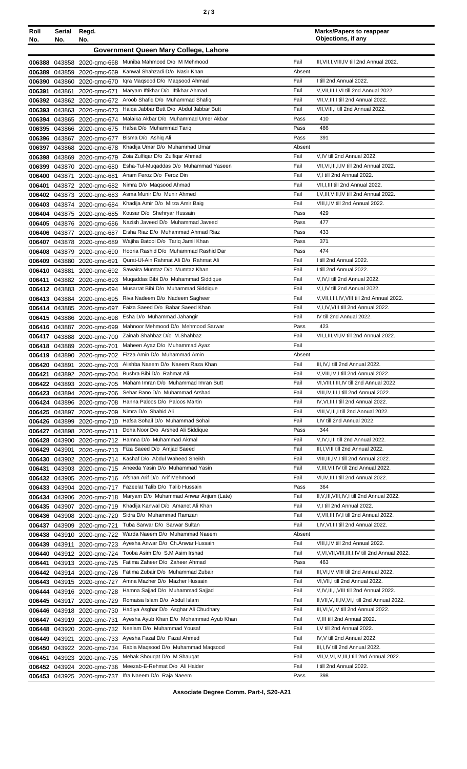| ×<br>I<br>× | ٦<br>۰, |
|-------------|---------|
|-------------|---------|

| Roll             | Serial           | Regd.                               |                                                                                 |                | <b>Marks/Papers to reappear</b><br>Objections, if any                                   |
|------------------|------------------|-------------------------------------|---------------------------------------------------------------------------------|----------------|-----------------------------------------------------------------------------------------|
| No.              | No.              | No.                                 | Government Queen Mary College, Lahore                                           |                |                                                                                         |
|                  |                  |                                     |                                                                                 |                |                                                                                         |
| 006388           |                  | 043858 2020-gmc-668                 | Muniba Mahmood D/o M Mehmood<br>Kanwal Shahzadi D/o Nasir Khan                  | Fail<br>Absent | III, VII, I, VIII, IV till 2nd Annual 2022.                                             |
| 006389<br>006390 | 043859<br>043860 | 2020-gmc-669<br>2020-amc-670        | Igra Magsood D/o Magsood Ahmad                                                  | Fail           | I till 2nd Annual 2022.                                                                 |
| 006391           | 043861           | 2020-gmc-671                        | Maryam Iftikhar D/o Iftikhar Ahmad                                              | Fail           | V, VII, III, I, VI till 2nd Annual 2022.                                                |
| 006392           | 043862           | 2020-gmc-672                        | Aroob Shafiq D/o Muhammad Shafiq                                                | Fail           | VII, V, III, I till 2nd Annual 2022.                                                    |
| 006393           | 043863           | 2020-gmc-673                        | Haiga Jabbar Butt D/o Abdul Jabbar Butt                                         | Fail           | VII, VIII, I till 2nd Annual 2022.                                                      |
| 006394           | 043865           | 2020-gmc-674                        | Malaika Akbar D/o Muhammad Umer Akbar                                           | Pass           | 410                                                                                     |
| 006395           |                  | 043866 2020-gmc-675                 | Hafsa D/o Muhammad Tariq                                                        | Pass           | 486                                                                                     |
| 006396           | 043867           | 2020-amc-677                        | Bisma D/o Ashig Ali                                                             | Pass           | 391                                                                                     |
| 006397           | 043868           | 2020-gmc-678                        | Khadija Umar D/o Muhammad Umar                                                  | Absent         |                                                                                         |
| 006398           | 043869           | 2020-gmc-679                        | Zoia Zulfiqar D/o Zulfiqar Ahmad                                                | Fail<br>Fail   | V,IV till 2nd Annual 2022.                                                              |
| 006399<br>006400 | 043870<br>043871 | 2020-gmc-680<br>2020-gmc-681        | Esha-Tul-Muqaddas D/o Muhammad Yaseen<br>Anam Feroz D/o Feroz Din               | Fail           | VII, VI, III, I, IV till 2nd Annual 2022.<br>V,I till 2nd Annual 2022.                  |
| 006401           |                  | 043872 2020-qmc-682                 | Nimra D/o Maqsood Ahmad                                                         | Fail           | VII, I, III till 2nd Annual 2022.                                                       |
| 006402           | 043873           | 2020-gmc-683                        | Asma Munir D/o Munir Ahmed                                                      | Fail           | I, V, III, VIII, IV till 2nd Annual 2022.                                               |
| 006403           | 043874           | 2020-gmc-684                        | Khadija Amir D/o Mirza Amir Baig                                                | Fail           | VIII, I, IV till 2nd Annual 2022.                                                       |
| 006404           | 043875           | 2020-qmc-685                        | Kousar D/o Shehryar Hussain                                                     | Pass           | 429                                                                                     |
| 006405           | 043876           | 2020-gmc-686                        | Nazish Javeed D/o Muhammad Javeed                                               | Pass           | 477                                                                                     |
| 006406           | 043877           | 2020-gmc-687                        | Eisha Riaz D/o Muhammad Ahmad Riaz                                              | Pass           | 433                                                                                     |
| 006407           | 043878           | 2020-gmc-689                        | Wajiha Batool D/o Tariq Jamil Khan                                              | Pass           | 371                                                                                     |
| 006408           | 043879           | 2020-gmc-690                        | Hooria Rashid D/o Muhammad Rashid Dar<br>Qurat-Ul-Ain Rahmat Ali D/o Rahmat Ali | Pass<br>Fail   | 474<br>I till 2nd Annual 2022.                                                          |
| 006409           | 043880           | 2020-gmc-691                        | Sawaira Mumtaz D/o Mumtaz Khan                                                  | Fail           | I till 2nd Annual 2022.                                                                 |
| 006410<br>006411 | 043881           | 2020-gmc-692<br>043882 2020-gmc-693 | Muqaddas Bibi D/o Muhammad Siddique                                             | Fail           | V,IV,I till 2nd Annual 2022.                                                            |
|                  |                  | 006412 043883 2020-qmc-694          | Musarrat Bibi D/o Muhammad Siddique                                             | Fail           | V,I,IV till 2nd Annual 2022.                                                            |
| 006413           | 043884           | 2020-gmc-695                        | Riva Nadeem D/o Nadeem Sagheer                                                  | Fail           | V, VII, I, III, IV, VIII till 2nd Annual 2022.                                          |
| 006414           | 043885           | 2020-gmc-697                        | Faiza Saeed D/o Babar Saeed Khan                                                | Fail           | V, I, IV, VIII till 2nd Annual 2022.                                                    |
| 006415           | 043886           | 2020-gmc-698                        | Esha D/o Muhammad Jahangir                                                      | Fail           | IV till 2nd Annual 2022.                                                                |
|                  | 006416 043887    | 2020-gmc-699                        | Mahnoor Mehmood D/o Mehmood Sarwar                                              | Pass           | 423                                                                                     |
| 006417           | 043888           | 2020-gmc-700                        | Zainab Shahbaz D/o M.Shahbaz                                                    | Fail           | VII, I, III, VI, IV till 2nd Annual 2022.                                               |
|                  |                  | 006418 043889 2020-qmc-701          | Maheen Ayaz D/o Muhammad Ayaz                                                   | Fail           |                                                                                         |
| 006419           | 043890           | 2020-gmc-702                        | Fizza Amin D/o Muhammad Amin<br>Alishba Naeem D/o Naeem Raza Khan               | Absent<br>Fail | III, IV, I till 2nd Annual 2022.                                                        |
| 006421           | 006420 043891    | 2020-gmc-703<br>043892 2020-gmc-704 | Bushra Bibi D/o Rahmat Ali                                                      | Fail           | V, VIII, IV, I till 2nd Annual 2022.                                                    |
| 006422           | 043893           | 2020-gmc-705                        | Maham Imran D/o Muhammad Imran Butt                                             | Fail           | VI, VIII, I, III, IV till 2nd Annual 2022.                                              |
|                  | 006423 043894    | 2020-gmc-706                        | Sehar Bano D/o Muhammad Arshad                                                  | Fail           | VIII, IV, III, I till 2nd Annual 2022.                                                  |
|                  | 006424 043896    | 2020-gmc-708                        | Hanna Paloos D/o Paloos Martin                                                  | Fail           | IV, VI, III, I till 2nd Annual 2022.                                                    |
| 006425           | 043897           | 2020-gmc-709                        | Nimra D/o Shahid Ali                                                            | Fail           | VIII, V, III, I till 2nd Annual 2022.                                                   |
|                  | 006426 043899    | 2020-gmc-710                        | Hafsa Sohail D/o Muhammad Sohail                                                | Fail           | I,IV till 2nd Annual 2022.                                                              |
| 006427           | 043898           | 2020-gmc-711                        | Doha Noor D/o Arshed Ali Siddique                                               | Pass           | 344                                                                                     |
| 006428           | 043900           | 2020-gmc-712                        | Hamna D/o Muhammad Akmal                                                        | Fail           | V, IV, I, III till 2nd Annual 2022.<br>III, I, VIII till 2nd Annual 2022.               |
| 006429<br>006430 | 043901           | 2020-gmc-713                        | Fiza Saeed D/o Amjad Saeed<br>Kashaf D/o Abdul Waheed Sheikh                    | Fail<br>Fail   | VIII, III, IV, I till 2nd Annual 2022.                                                  |
| 006431           | 043902<br>043903 | 2020-gmc-714<br>2020-gmc-715        | Aneeda Yasin D/o Muhammad Yasin                                                 | Fail           | V, III, VII, IV till 2nd Annual 2022.                                                   |
| 006432           | 043905           | 2020-gmc-716                        | Afshan Arif D/o Arif Mehmood                                                    | Fail           | VI,IV,III,I till 2nd Annual 2022.                                                       |
| 006433           | 043904           | 2020-gmc-717                        | Fazeelat Talib D/o Talib Hussain                                                | Pass           | 364                                                                                     |
| 006434           | 043906           | 2020-gmc-718                        | Maryam D/o Muhammad Anwar Anjum (Late)                                          | Fail           | II, V, III, VIII, IV, I till 2nd Annual 2022.                                           |
| 006435           | 043907           | 2020-gmc-719                        | Khadija Kanwal D/o Amanet Ali Khan                                              | Fail           | V,I till 2nd Annual 2022.                                                               |
| 006436           | 043908           | 2020-gmc-720                        | Sidra D/o Muhammad Ramzan                                                       | Fail           | V, VII, III, IV, I till 2nd Annual 2022.                                                |
| 006437           | 043909           | 2020-gmc-721                        | Tuba Sarwar D/o Sarwar Sultan                                                   | Fail           | I,IV, VI, III till 2nd Annual 2022.                                                     |
| 006438           | 043910           | 2020-gmc-722                        | Warda Naeem D/o Muhammad Naeem                                                  | Absent         |                                                                                         |
| 006439           | 043911           | 2020-gmc-723                        | Ayesha Anwar D/o Ch.Anwar Hussain<br>Tooba Asim D/o S.M Asim Irshad             | Fail           | VIII, I, IV till 2nd Annual 2022.<br>V, VI, VII, VIII, III, I, IV till 2nd Annual 2022. |
| 006440<br>006441 | 043912           | 2020-gmc-724<br>043913 2020-gmc-725 | Fatima Zaheer D/o Zaheer Ahmad                                                  | Fail<br>Pass   | 463                                                                                     |
|                  | 006442 043914    | 2020-gmc-726                        | Fatima Zubair D/o Muhammad Zubair                                               | Fail           | III, VI, IV, VIII till 2nd Annual 2022.                                                 |
| 006443           |                  | 043915 2020-gmc-727                 | Amna Mazher D/o Mazher Hussain                                                  | Fail           | VI, VII, I till 2nd Annual 2022.                                                        |
| 006444           |                  | 043916 2020-gmc-728                 | Hamna Sajjad D/o Muhammad Sajjad                                                | Fail           | V, IV, III, I, VIII till 2nd Annual 2022.                                               |
| 006445           | 043917           | 2020-gmc-729                        | Romaisa Islam D/o Abdul Islam                                                   | Fail           | II, VII, V, III, IV, VI, I till 2nd Annual 2022.                                        |
| 006446           | 043918           | 2020-gmc-730                        | Hadiya Asghar D/o Asghar Ali Chudhary                                           | Fail           | III, VI, V, IV till 2nd Annual 2022.                                                    |
| 006447           | 043919           | 2020-gmc-731                        | Ayesha Ayub Khan D/o Mohammad Ayub Khan                                         | Fail           | V, III till 2nd Annual 2022.                                                            |
| 006448           | 043920           | 2020-gmc-732                        | Neelam D/o Muhammad Yousaf                                                      | Fail           | I, V till 2nd Annual 2022.                                                              |
| 006449           | 043921           | 2020-gmc-733                        | Ayesha Fazal D/o Fazal Ahmed                                                    | Fail           | IV, V till 2nd Annual 2022.                                                             |
| 006450           | 043922           | 2020-gmc-734                        | Rabia Magsood D/o Muhammad Magsood<br>Mehak Shougat D/o M.Shaugat               | Fail<br>Fail   | III, I, IV till 2nd Annual 2022.<br>VII, V, VI, IV, III, I till 2nd Annual 2022.        |
| 006451<br>006452 | 043923<br>043924 | 2020-gmc-735<br>2020-gmc-736        | Meezab-E-Rehmat D/o Ali Haider                                                  | Fail           | I till 2nd Annual 2022.                                                                 |
| 006453           |                  | 043925 2020-gmc-737                 | Ifra Naeem D/o Raja Naeem                                                       | Pass           | 398                                                                                     |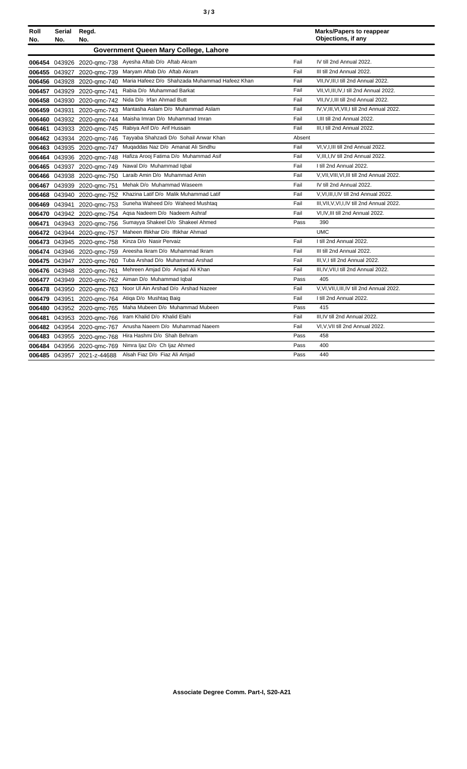| ×<br>٦<br>٠<br>۰,<br>× |  | ×<br>٦<br>٠<br>×<br>۰. |
|------------------------|--|------------------------|
|------------------------|--|------------------------|

| Roll<br>No. | <b>Serial</b><br>No. | Regd.<br>No.               |                                                |        | <b>Marks/Papers to reappear</b><br>Objections, if any |
|-------------|----------------------|----------------------------|------------------------------------------------|--------|-------------------------------------------------------|
|             |                      |                            | Government Queen Mary College, Lahore          |        |                                                       |
|             |                      | 006454 043926 2020-amc-738 | Ayesha Aftab D/o Aftab Akram                   | Fail   | IV till 2nd Annual 2022.                              |
| 006455      |                      | 043927 2020-qmc-739        | Maryam Aftab D/o Aftab Akram                   | Fail   | III till 2nd Annual 2022.                             |
| 006456      | 043928               | 2020-gmc-740               | Maria Hafeez D/o Shahzada Muhammad Hafeez Khan | Fail   | VII, IV, III, I till 2nd Annual 2022.                 |
| 006457      |                      | 043929 2020-gmc-741        | Rabia D/o Muhammad Barkat                      | Fail   | VII, VI, III, IV, I till 2nd Annual 2022.             |
| 006458      | 043930               | 2020-amc-742               | Nida D/o Irfan Ahmad Butt                      | Fail   | VII.IV.I.III till 2nd Annual 2022.                    |
| 006459      | 043931               | 2020-amc-743               | Mantasha Aslam D/o Muhammad Aslam              | Fail   | IV, V, III, VI, VII, I till 2nd Annual 2022.          |
| 006460      |                      | 043932 2020-gmc-744        | Maisha Imran D/o Muhammad Imran                | Fail   | I.III till 2nd Annual 2022.                           |
| 006461      |                      | 043933 2020-gmc-745        | Rabiya Arif D/o Arif Hussain                   | Fail   | III, I till 2nd Annual 2022.                          |
| 006462      |                      | 043934 2020-qmc-746        | Tayyaba Shahzadi D/o Sohail Anwar Khan         | Absent |                                                       |
| 006463      |                      | 043935 2020-gmc-747        | Muqaddas Naz D/o Amanat Ali Sindhu             | Fail   | VI, V, I, III till 2nd Annual 2022.                   |
| 006464      |                      | 043936 2020-gmc-748        | Hafiza Arooj Fatima D/o Muhammad Asif          | Fail   | V, III, I, IV till 2nd Annual 2022.                   |
| 006465      | 043937               | 2020-qmc-749               | Nawal D/o Muhammad Iqbal                       | Fail   | I till 2nd Annual 2022.                               |
| 006466      | 043938               | 2020-amc-750               | Laraib Amin D/o Muhammad Amin                  | Fail   | V, VII, VIII, VI, III till 2nd Annual 2022.           |
| 006467      | 043939               | 2020-gmc-751               | Mehak D/o Muhammad Waseem                      | Fail   | IV till 2nd Annual 2022.                              |
| 006468      | 043940               | 2020-qmc-752               | Khazina Latif D/o Malik Muhammad Latif         | Fail   | V, VI, III, I, IV till 2nd Annual 2022.               |
| 006469      | 043941               | 2020-gmc-753               | Suneha Waheed D/o Waheed Mushtaq               | Fail   | III, VII, V, VI, I, IV till 2nd Annual 2022.          |
| 006470      |                      | 043942 2020-gmc-754        | Agsa Nadeem D/o Nadeem Ashraf                  | Fail   | VI,IV,III till 2nd Annual 2022.                       |
| 006471      | 043943               | 2020-gmc-756               | Sumayya Shakeel D/o Shakeel Ahmed              | Pass   | 390                                                   |
| 006472      | 043944               | 2020-gmc-757               | Maheen Iftikhar D/o Iftikhar Ahmad             |        | <b>UMC</b>                                            |
| 006473      |                      | 043945 2020-gmc-758        | Kinza D/o Nasir Pervaiz                        | Fail   | I till 2nd Annual 2022.                               |
| 006474      |                      | 043946 2020-gmc-759        | Areesha Ikram D/o Muhammad Ikram               | Fail   | III till 2nd Annual 2022.                             |
| 006475      | 043947               | 2020-gmc-760               | Tuba Arshad D/o Muhammad Arshad                | Fail   | III, V, I till 2nd Annual 2022.                       |
| 006476      |                      | 043948 2020-gmc-761        | Mehreen Amjad D/o Amjad Ali Khan               | Fail   | III, IV, VII, I till 2nd Annual 2022.                 |
| 006477      |                      | 043949 2020-qmc-762        | Aiman D/o Muhammad Iqbal                       | Pass   | 405                                                   |
| 006478      | 043950               | 2020-gmc-763               | Noor UI Ain Arshad D/o Arshad Nazeer           | Fail   | V, VI, VII, I, III, IV till 2nd Annual 2022.          |
| 006479      | 043951               | 2020-gmc-764               | Atiga D/o Mushtag Baig                         | Fail   | I till 2nd Annual 2022.                               |
| 006480      |                      | 043952 2020-gmc-765        | Maha Mubeen D/o Muhammad Mubeen                | Pass   | 415                                                   |
| 006481      | 043953               | 2020-gmc-766               | Iram Khalid D/o Khalid Elahi                   | Fail   | III.IV till 2nd Annual 2022.                          |
| 006482      | 043954               | 2020-gmc-767               | Anusha Naeem D/o Muhammad Naeem                | Fail   | VI, V, VII till 2nd Annual 2022.                      |
| 006483      |                      | 043955 2020-gmc-768        | Hira Hashmi D/o Shah Behram                    | Pass   | 458                                                   |
| 006484      |                      | 043956 2020-gmc-769        | Nimra Ijaz D/o Ch Ijaz Ahmed                   | Pass   | 400                                                   |
|             |                      | 006485 043957 2021-z-44688 | Alsah Fiaz D/o Fiaz Ali Amjad                  | Pass   | 440                                                   |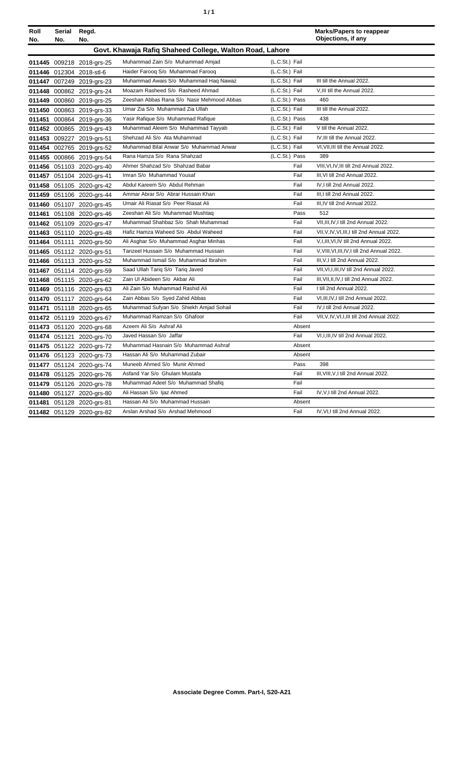| ٠ | ٠ |
|---|---|
|   |   |

| Roll | Serial                                                   | Regd.                     |                                            |                | <b>Marks/Papers to reappear</b>               |  |
|------|----------------------------------------------------------|---------------------------|--------------------------------------------|----------------|-----------------------------------------------|--|
| No.  | No.                                                      | No.                       |                                            |                | Objections, if any                            |  |
|      | Govt. Khawaja Rafiq Shaheed College, Walton Road, Lahore |                           |                                            |                |                                               |  |
|      |                                                          | 011445 009218 2018-grs-25 | Muhammad Zain S/o Muhammad Amjad           | (L.C.St.) Fail |                                               |  |
|      |                                                          | 011446 012304 2018-stl-6  | Haider Farooq S/o Muhammad Farooq          | (L.C.St.) Fail |                                               |  |
|      |                                                          | 011447 007249 2019-grs-23 | Muhammad Awais S/o Muhammad Haq Nawaz      | (L.C.St.) Fail | III till the Annual 2022.                     |  |
|      |                                                          | 011448 000862 2019-grs-24 | Moazam Rasheed S/o Rasheed Ahmad           | (L.C.St.) Fail | V, III till the Annual 2022.                  |  |
|      |                                                          | 011449 000860 2019-grs-25 | Zeeshan Abbas Rana S/o Nasir Mehmood Abbas | (L.C.St.) Pass | 460                                           |  |
|      |                                                          | 011450 000863 2019-grs-33 | Umar Zia S/o Muhammad Zia Ullah            | (L.C.St.) Fail | III till the Annual 2022.                     |  |
|      |                                                          | 011451 000864 2019-grs-36 | Yasir Rafique S/o Muhammad Rafique         | (L.C.St.) Pass | 438                                           |  |
|      |                                                          | 011452 000865 2019-grs-43 | Muhammad Aleem S/o Muhammad Tayyab         | (L.C.St.) Fail | V till the Annual 2022.                       |  |
|      |                                                          | 011453 009227 2019-grs-51 | Shehzad Ali S/o Ata Muhammad               | (L.C.St.) Fail | IV, III till the Annual 2022.                 |  |
|      |                                                          | 011454 002765 2019-grs-52 | Muhammad Bilal Anwar S/o Muhammad Anwar    | (L.C.St.) Fail | VI, VII, III till the Annual 2022.            |  |
|      |                                                          | 011455 000866 2019-grs-54 | Rana Hamza S/o Rana Shahzad                | (L.C.St.) Pass | 389                                           |  |
|      |                                                          | 011456 051103 2020-grs-40 | Ahmer Shahzad S/o Shahzad Babar            | Fail           | VIII, VI, IV, III till 2nd Annual 2022.       |  |
|      |                                                          | 011457 051104 2020-grs-41 | Imran S/o Muhammad Yousaf                  | Fail           | III, VI till 2nd Annual 2022.                 |  |
|      |                                                          | 011458 051105 2020-grs-42 | Abdul Kareem S/o Abdul Rehman              | Fail           | IV.I till 2nd Annual 2022.                    |  |
|      |                                                          | 011459 051106 2020-grs-44 | Ammar Abrar S/o Abrar Hussain Khan         | Fail           | III,I till 2nd Annual 2022.                   |  |
|      |                                                          | 011460 051107 2020-grs-45 | Umair Ali Riasat S/o Peer Riasat Ali       | Fail           | III, IV till 2nd Annual 2022.                 |  |
|      |                                                          | 011461 051108 2020-grs-46 | Zeeshan Ali S/o Muhammad Mushtaq           | Pass           | 512                                           |  |
|      |                                                          | 011462 051109 2020-grs-47 | Muhammad Shahbaz S/o Shah Muhammad         | Fail           | VII, III, IV, I till 2nd Annual 2022.         |  |
|      |                                                          | 011463 051110 2020-grs-48 | Hafiz Hamza Waheed S/o Abdul Waheed        | Fail           | VII, V, IV, VI, III, I till 2nd Annual 2022.  |  |
|      |                                                          | 011464 051111 2020-grs-50 | Ali Asghar S/o Muhammad Asghar Minhas      | Fail           | V, I, III, VI, IV till 2nd Annual 2022.       |  |
|      |                                                          | 011465 051112 2020-grs-51 | Tanzeel Hussain S/o Muhammad Hussain       | Fail           | V, VIII, VI, III, IV, I till 2nd Annual 2022. |  |
|      |                                                          | 011466 051113 2020-grs-52 | Muhammad Ismail S/o Muhammad Ibrahim       | Fail           | III, V, I till 2nd Annual 2022.               |  |
|      |                                                          | 011467 051114 2020-grs-59 | Saad Ullah Tariq S/o Tariq Javed           | Fail           | VII, VI, I, III, IV till 2nd Annual 2022.     |  |
|      |                                                          | 011468 051115 2020-grs-62 | Zain Ul Abideen S/o Akbar Ali              | Fail           | III, VII, II, IV, I till 2nd Annual 2022.     |  |
|      |                                                          | 011469 051116 2020-grs-63 | Ali Zain S/o Muhammad Rashid Ali           | Fail           | I till 2nd Annual 2022.                       |  |
|      |                                                          | 011470 051117 2020-grs-64 | Zain Abbas S/o Syed Zahid Abbas            | Fail           | VI, III, IV, I till 2nd Annual 2022.          |  |
|      |                                                          | 011471 051118 2020-grs-65 | Muhammad Sufyan S/o Shiekh Amjad Sohail    | Fail           | IV, I till 2nd Annual 2022.                   |  |
|      |                                                          | 011472 051119 2020-grs-67 | Muhammad Ramzan S/o Ghafoor                | Fail           | VII, V, IV, VI, I, III till 2nd Annual 2022.  |  |
|      |                                                          | 011473 051120 2020-grs-68 | Azeem Ali S/o Ashraf Ali                   | Absent         |                                               |  |
|      |                                                          | 011474 051121 2020-grs-70 | Javed Hassan S/o Jaffar                    | Fail           | VI, I, III, IV till 2nd Annual 2022.          |  |
|      |                                                          | 011475 051122 2020-grs-72 | Muhammad Hasnain S/o Muhammad Ashraf       | Absent         |                                               |  |
|      |                                                          | 011476 051123 2020-grs-73 | Hassan Ali S/o Muhammad Zubair             | Absent         |                                               |  |
|      |                                                          | 011477 051124 2020-grs-74 | Muneeb Ahmed S/o Munir Ahmed               | Pass           | 398                                           |  |
|      |                                                          | 011478 051125 2020-grs-76 | Asfand Yar S/o Ghulam Mustafa              | Fail           | III, VIII, V, I till 2nd Annual 2022.         |  |
|      |                                                          | 011479 051126 2020-grs-78 | Muhammad Adeel S/o Muhammad Shafiq         | Fail           |                                               |  |
|      |                                                          | 011480 051127 2020-grs-80 | Ali Hassan S/o Ijaz Ahmed                  | Fail           | IV, V, I till 2nd Annual 2022.                |  |
|      |                                                          | 011481 051128 2020-grs-81 | Hassan Ali S/o Muhammad Hussain            | Absent         |                                               |  |
|      |                                                          | 011482 051129 2020-grs-82 | Arslan Arshad S/o Arshad Mehmood           | Fail           | IV, VI, I till 2nd Annual 2022.               |  |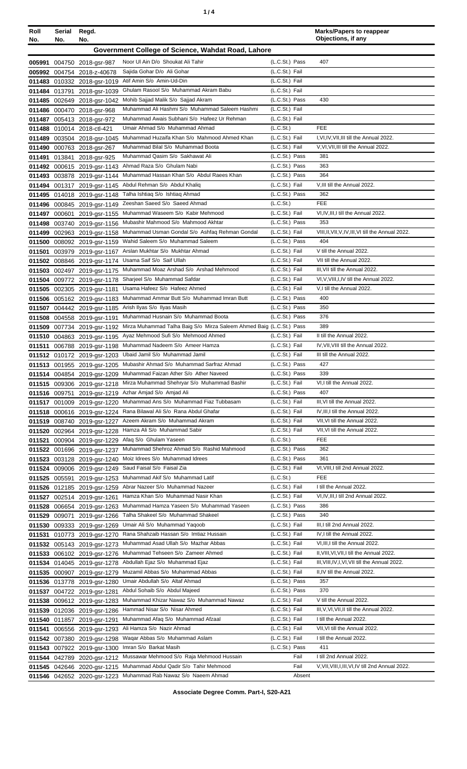| ٠ |  |  |
|---|--|--|
|---|--|--|

| Roll   | Serial        | Regd.                                                      |                                                                      |                                         | <b>Marks/Papers to reappear</b><br>Objections, if any |
|--------|---------------|------------------------------------------------------------|----------------------------------------------------------------------|-----------------------------------------|-------------------------------------------------------|
| No.    | No.           | No.                                                        |                                                                      |                                         |                                                       |
|        |               |                                                            | Government College of Science, Wahdat Road, Lahore                   |                                         |                                                       |
|        |               | 005991 004750 2018-gsr-987                                 | Noor UI Ain D/o Shoukat Ali Tahir                                    | (L.C.St.) Pass                          | 407                                                   |
|        |               | 005992 004754 2018-z-40678                                 | Sajida Gohar D/o Ali Gohar                                           | (L.C.St.) Fail                          |                                                       |
|        |               | 011483 010332 2018-gsr-1019                                | Atif Amin S/o Amin-Ud-Din                                            | (L.C.St.) Fail                          |                                                       |
|        |               | 011484 013791 2018-gsr-1039                                | Ghulam Rasool S/o Muhammad Akram Babu                                | (L.C.St.) Fail                          |                                                       |
|        |               | 011485 002649 2018-gsr-1042                                | Mohib Sajjad Malik S/o Sajjad Akram                                  | (L.C.St.) Pass                          | 430                                                   |
|        |               | 011486 000470 2018-gsr-968                                 | Muhammad Ali Hashmi S/o Muhammad Saleem Hashmi                       | (L.C.St.) Fail                          |                                                       |
|        |               | 011487 005413 2018-gsr-972                                 | Muhammad Awais Subhani S/o Hafeez Ur Rehman                          | (L.C.St.) Fail                          |                                                       |
|        |               | 011488 010014 2018-ctl-421                                 | Umair Ahmad S/o Muhammad Ahmad                                       | (L.C.St.)                               | FEE                                                   |
|        |               | 011489 003504 2018-gsr-1045                                | Muhammad Huzaifa Khan S/o Mahmood Ahmed Khan                         | (L.C.St.) Fail                          | I, VI, IV, VII, III till the Annual 2022.             |
|        |               | 011490 000763 2018-gsr-267                                 | Muhammad Bilal S/o Muhammad Boota<br>Muhammad Qasim S/o Sakhawat Ali | (L.C.St.) Fail                          | V, VI, VII, III till the Annual 2022.                 |
|        |               | 011491 013841 2018-gsr-925                                 | Ahmad Raza S/o Ghulam Nabi                                           | (L.C.St.) Pass<br>(L.C.St.) Pass        | 381<br>363                                            |
|        |               | 011492 000615 2019-gsr-1143                                | Muhammad Hassan Khan S/o Abdul Raees Khan                            | (L.C.St.) Pass                          | 364                                                   |
|        |               | 011493 003878 2019-gsr-1144                                | Abdul Rehman S/o Abdul Khaliq                                        | (L.C.St.) Fail                          | V, III till the Annual 2022.                          |
|        |               | 011494 001317 2019-gsr-1145<br>011495 014018 2019-gsr-1148 | Talha Ishtiaq S/o Ishtiaq Ahmad                                      | (L.C.St.) Pass                          | 362                                                   |
|        |               | 011496 000845 2019-gsr-1149                                | Zeeshan Saeed S/o Saeed Ahmad                                        | (L.C.S <sub>t</sub> )                   | FEE                                                   |
|        |               | 011497 000601 2019-gsr-1155                                | Muhammad Waseem S/o Kabir Mehmood                                    | (L.C.St.) Fail                          | VI, IV, III, I till the Annual 2022.                  |
|        |               | 011498 003740 2019-gsr-1156                                | Mubashir Mahmood S/o Mahmood Akhtar                                  | (L.C.St.) Pass                          | 353                                                   |
|        |               | 011499 002963 2019-gsr-1158                                | Muhammad Usman Gondal S/o Ashfaq Rehman Gondal                       | (L.C.St.) Fail                          | VIII, II, VII, V, IV, III, VI till the Annual 2022.   |
|        |               | 011500 008092 2019-gsr-1159                                | Wahid Saleem S/o Muhammad Saleem                                     | (L.C.St.) Pass                          | 404                                                   |
| 011501 |               | 003979 2019-gsr-1167                                       | Arslan Mukhtar S/o Mukhtar Ahmad                                     | (L.C.St.) Fail                          | V till the Annual 2022.                               |
|        |               | 011502 008846 2019-gsr-1174                                | Usama Saif S/o Saif Ullah                                            | (L.C.St.) Fail                          | VII till the Annual 2022.                             |
|        |               | 011503 002497 2019-gsr-1175                                | Muhammad Moaz Arshad S/o Arshad Mehmood                              | (L.C.St.) Fail                          | III, VII till the Annual 2022.                        |
|        |               | 011504 009772 2019-gsr-1178                                | Sharjeel S/o Muhammad Safdar                                         | (L.C.St.) Fail                          | VI, V, VIII, I, IV till the Annual 2022.              |
|        |               | 011505 002305 2019-gsr-1181                                | Usama Hafeez S/o Hafeez Ahmed                                        | (L.C.St.) Fail                          | V,I till the Annual 2022.                             |
|        |               | 011506 005162 2019-gsr-1183                                | Muhammad Ammar Butt S/o Muhammad Imran Butt                          | (L.C.St.) Pass                          | 400                                                   |
|        |               | 011507 004442 2019-gsr-1185                                | Arish Ilyas S/o Ilyas Masih                                          | (L.C.St.) Pass                          | 350                                                   |
|        |               | 011508 004558 2019-gsr-1191                                | Muhammad Husnain S/o Muhammad Boota                                  | (L.C.St.) Pass                          | 376                                                   |
|        |               | 011509 007734 2019-gsr-1192                                | Mirza Muhammad Talha Baig S/o Mirza Saleem Ahmed Baig (L.C.St.) Pass |                                         | 389                                                   |
|        |               | 011510 004863 2019-gsr-1195                                | Ayaz Mehmood Sufi S/o Mehmood Ahmed                                  | (L.C.St.) Fail                          | II till the Annual 2022.                              |
|        |               | 011511 006788 2019-gsr-1198                                | Muhammad Nadeem S/o Ameer Hamza                                      | (L.C.St.) Fail                          | IV, VII, VIII till the Annual 2022.                   |
|        |               | 011512 010172 2019-gsr-1203                                | Ubaid Jamil S/o Muhammad Jamil                                       | (L.C.St.) Fail                          | III till the Annual 2022.                             |
|        |               | 011513 001955 2019-gsr-1205                                | Mubashir Ahmad S/o Muhammad Sarfraz Ahmad                            | (L.C.St.) Pass                          | 427                                                   |
|        |               | 011514 004854 2019-gsr-1209                                | Muhammad Faizan Ather S/o Ather Naveed                               | (L.C.St.) Pass                          | 339                                                   |
|        |               | 011515 009306 2019-gsr-1218                                | Mirza Muhammad Shehryar S/o Muhammad Bashir                          | (L.C.St.) Fail                          | VI,I till the Annual 2022.                            |
|        | 011516 009751 | 2019-gsr-1219                                              | Azhar Amjad S/o Amjad Ali                                            | (L.C.St.) Pass                          | 407                                                   |
|        |               | 011517 001009 2019-gsr-1220                                | Muhammad Ans S/o Muhammad Fiaz Tubbasam                              | (L.C.St.) Fail                          | III, VI till the Annual 2022.                         |
|        |               | 011518 000616 2019-gsr-1224                                | Rana Bilawal Ali S/o Rana Abdul Ghafar                               | (L.C.St.) Fail                          | IV, III, I till the Annual 2022.                      |
|        |               | 011519 008740 2019-gsr-1227                                | Azeem Akram S/o Muhammad Akram<br>Hamza Ali S/o Muhammad Sabir       | (L.C.St.) Fail                          | VII, VI till the Annual 2022.                         |
|        |               | 011520 002964 2019-gsr-1228                                | Afaq S/o Ghulam Yaseen                                               | (L.C.St.) Fail<br>(L.C.S <sub>t</sub> ) | VII, VI till the Annual 2022.<br>FEE                  |
|        |               | 011521 000904 2019-gsr-1229                                | Muhammad Shehroz Ahmad S/o Rashid Mahmood                            | (L.C.St.) Pass                          | 362                                                   |
|        |               | 011522 001696 2019-gsr-1237<br>011523 003128 2019-gsr-1240 | Moiz Idrees S/o Muhammad Idrees                                      | (L.C.St.) Pass                          | 361                                                   |
|        |               | 011524 009006 2019-gsr-1249                                | Saud Faisal S/o Faisal Zia                                           | (L.C.St.) Fail                          | VI, VIII, I till 2nd Annual 2022.                     |
|        |               | 011525 005591 2019-gsr-1253                                | Muhammad Akif S/o Muhammad Latif                                     | (L.C.St.)                               | <b>FEE</b>                                            |
|        |               | 011526 012185 2019-gsr-1259                                | Abrar Nazeer S/o Muhammad Nazeer                                     | (L.C.St.) Fail                          | I till the Annual 2022.                               |
|        |               | 011527 002514 2019-gsr-1261                                | Hamza Khan S/o Muhammad Nasir Khan                                   | (L.C.St.) Fail                          | VI,IV,III,I till 2nd Annual 2022.                     |
|        |               | 011528 006654 2019-gsr-1263                                | Muhammad Hamza Yaseen S/o Muhammad Yaseen                            | (L.C.St.) Pass                          | 386                                                   |
|        | 011529 009071 | 2019-gsr-1266                                              | Talha Shakeel S/o Muhammad Shakeel                                   | (L.C.St.) Pass                          | 340                                                   |
|        |               | 011530 009333 2019-gsr-1269                                | Umair Ali S/o Muhammad Yaqoob                                        | (L.C.St.) Fail                          | III, I till 2nd Annual 2022.                          |
|        |               | 011531 010773 2019-gsr-1270                                | Rana Shahzaib Hassan S/o Imtiaz Hussain                              | (L.C.St.) Fail                          | IV,I till the Annual 2022.                            |
|        |               | 011532 005143 2019-gsr-1273                                | Muhammad Asad Ullah S/o Mazhar Abbas                                 | (L.C.St.) Fail                          | VI,III,I till the Annual 2022.                        |
|        |               | 011533 006102 2019-gsr-1276                                | Muhammad Tehseen S/o Zameer Ahmed                                    | (L.C.St.) Fail                          | II, VIII, VI, VII, I till the Annual 2022.            |
|        |               | 011534 014045 2019-gsr-1278                                | Abdullah Ejaz S/o Muhammad Ejaz                                      | (L.C.St.) Fail                          | III, VIII, IV, I, VI, VII till the Annual 2022.       |
|        |               | 011535 000907 2019-gsr-1279                                | Muzamil Abbas S/o Muhammad Abbas                                     | (L.C.St.) Fail                          | II,IV till the Annual 2022.                           |
|        |               | 011536 013778 2019-gsr-1280                                | Umair Abdullah S/o Altaf Ahmad                                       | (L.C.St.) Pass                          | 357                                                   |
|        |               | 011537 004722 2019-gsr-1281                                | Abdul Sohaib S/o Abdul Majeed                                        | (L.C.St.) Pass                          | 370                                                   |
|        |               | 011538 009612 2019-gsr-1283                                | Muhammad Khizar Nawaz S/o Muhammad Nawaz                             | (L.C.St.) Fail                          | V till the Annual 2022.                               |
|        |               | 011539 012036 2019-gsr-1286                                | Hammad Nisar S/o Nisar Ahmed                                         | (L.C.St.) Fail                          | III, V, VI, VII, II till the Annual 2022.             |
|        |               | 011540 011857 2019-gsr-1291                                | Muhammad Afaq S/o Muhammad Afzaal                                    | (L.C.St.) Fail                          | I till the Annual 2022.                               |
| 011541 |               | 006556 2019-gsr-1293                                       | Ali Hamza S/o Nazir Ahmad                                            | (L.C.St.) Fail                          | VII, VI till the Annual 2022.                         |
|        |               | 011542 007380 2019-gsr-1298                                | Waqar Abbas S/o Muhammad Aslam                                       | (L.C.St.) Fail                          | I till the Annual 2022.                               |
|        |               | 011543 007922 2019-gsr-1300                                | Imran S/o Barkat Masih                                               | (L.C.St.) Pass                          | 411                                                   |
|        |               | 011544 042789 2020-gsr-1212                                | Mussawar Mehmood S/o Raja Mehmood Hussain                            | Fail                                    | I till 2nd Annual 2022.                               |
|        |               | 011545 042646 2020-gsr-1215                                | Muhammad Abdul Qadir S/o Tahir Mehmood                               | Fail                                    | V, VII, VIII, I, III, VI, IV till 2nd Annual 2022.    |
|        |               |                                                            | 011546 042652 2020-gsr-1223 Muhammad Rab Nawaz S/o Naeem Ahmad       | Absent                                  |                                                       |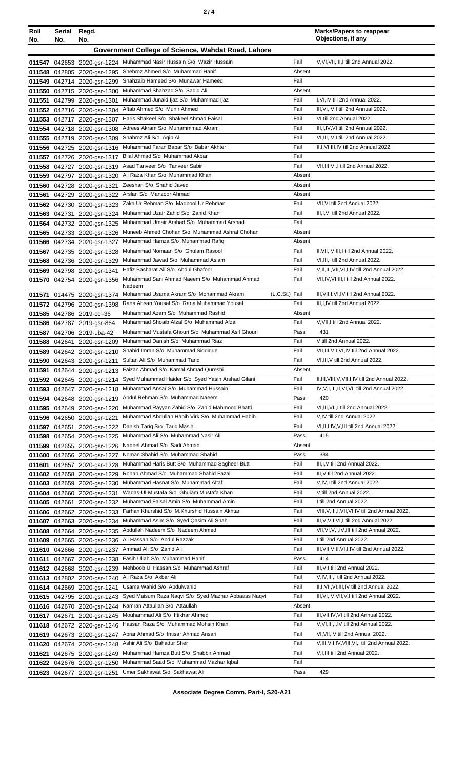| Roll<br>No. | Serial<br>No. | Regd.<br>No.                                               |                                                                                        |                | <b>Marks/Papers to reappear</b><br>Objections, if any                         |
|-------------|---------------|------------------------------------------------------------|----------------------------------------------------------------------------------------|----------------|-------------------------------------------------------------------------------|
|             |               |                                                            | Government College of Science, Wahdat Road, Lahore                                     |                |                                                                               |
|             |               |                                                            | 011547 042653 2020-gsr-1224 Muhammad Nasir Hussain S/o Wazir Hussain                   | Fail           | V.VI.VII.III.I till 2nd Annual 2022.                                          |
|             |               | 011548 042805 2020-gsr-1295                                | Shehroz Ahmed S/o Muhammad Hanif                                                       | Absent         |                                                                               |
|             |               | 011549 042714 2020-gsr-1299                                | Shahzaib Hameed S/o Munawar Hameed                                                     | Fail           |                                                                               |
|             |               | 011550 042715 2020-gsr-1300                                | Muhammad Shahzad S/o Sadiq Ali                                                         | Absent         |                                                                               |
|             |               | 011551 042799 2020-gsr-1301                                | Muhammad Junaid Ijaz S/o Muhammad Ijaz                                                 | Fail           | I, VI, IV till 2nd Annual 2022.                                               |
|             |               | 011552 042716 2020-gsr-1304<br>011553 042717 2020-gsr-1307 | Aftab Ahmed S/o Munir Ahmed<br>Haris Shakeel S/o Shakeel Ahmad Faisal                  | Fail<br>Fail   | III, VI, IV, I till 2nd Annual 2022.<br>VI till 2nd Annual 2022.              |
|             |               | 011554 042718 2020-gsr-1308                                | Adrees Akram S/o Muhammmad Akram                                                       | Fail           | III, I, IV, VI till 2nd Annual 2022.                                          |
|             |               | 011555 042719 2020-gsr-1309                                | Shahroz Ali S/o Aqib Ali                                                               | Fail           | VI, III, IV, I till 2nd Annual 2022.                                          |
|             |               | 011556 042725 2020-gsr-1316                                | Muhammad Faran Babar S/o Babar Akhter                                                  | Fail           | II, I, VI, III, IV till 2nd Annual 2022.                                      |
|             |               | 011557 042726 2020-gsr-1317                                | Bilal Ahmad S/o Muhammad Akbar                                                         | Fail           |                                                                               |
|             |               | 011558 042727 2020-gsr-1319                                | Asad Tanveer S/o Tanveer Sabir                                                         | Fail           | VII, III, VI, I till 2nd Annual 2022.                                         |
|             |               | 011559 042797 2020-gsr-1320                                | Ali Raza Khan S/o Muhammad Khan                                                        | Absent         |                                                                               |
|             |               | 011560 042728 2020-gsr-1321                                | Zeeshan S/o Shahid Javed                                                               | Absent         |                                                                               |
|             |               | 011561 042729 2020-gsr-1322                                | Arslan S/o Manzoor Ahmad                                                               | Absent         |                                                                               |
|             |               | 011562 042730 2020-gsr-1323                                | Zaka Ur Rehman S/o Maqbool Ur Rehman                                                   | Fail           | VII, VI till 2nd Annual 2022.                                                 |
|             | 011563 042731 | 2020-gsr-1324                                              | Muhammad Uzair Zahid S/o Zahid Khan                                                    | Fail           | III, I, VI till 2nd Annual 2022.                                              |
|             |               | 011564 042732 2020-gsr-1325                                | Muhammad Umair Arshad S/o Muhammad Arshad                                              | Fail           |                                                                               |
|             |               | 011565 042733 2020-gsr-1326                                | Muneeb Ahmed Chohan S/o Muhammad Ashraf Chohan                                         | Absent         |                                                                               |
|             |               | 011566 042734 2020-gsr-1327                                | Muhammad Hamza S/o Muhammad Rafiq                                                      | Absent         |                                                                               |
|             |               | 011567 042735 2020-gsr-1328                                | Muhammad Nomaan S/o Ghulam Rasool<br>Muhammad Jawad S/o Muhammad Aslam                 | Fail<br>Fail   | II, VII, IV, III, I till 2nd Annual 2022.<br>VI, III, I till 2nd Annual 2022. |
|             |               | 011568 042736 2020-gsr-1329<br>011569 042798 2020-gsr-1341 | Hafiz Basharat Ali S/o Abdul Ghafoor                                                   | Fail           | V, II, III, VII, VI, I, IV till 2nd Annual 2022.                              |
|             |               | 011570 042754 2020-gsr-1356                                | Muhammad Sani Ahmad Naeem S/o Muhammad Ahmad                                           | Fail           | VII, IV, VI, III, I till 2nd Annual 2022.                                     |
|             |               |                                                            | Nadeem                                                                                 |                |                                                                               |
|             |               | 011571 014475 2020-gsr-1374                                | Mohammad Usama Akram S/o Mohammad Akram<br>(L.C.St.) Fail                              |                | III, VII, I, VI, IV till 2nd Annual 2022.                                     |
|             |               | 011572 042796 2020-gsr-1398                                | Rana Ahsan Yousaf S/o Rana Muhammad Yousaf                                             | Fail           | III, I, IV till 2nd Annual 2022.                                              |
|             |               | 011585 042786 2019-ccl-36                                  | Muhammad Azam S/o Muhammad Rashid                                                      | Absent         |                                                                               |
|             |               | 011586 042787 2019-gsr-864                                 | Muhammad Shoaib Afzal S/o Muhammad Afzal                                               | Fail           | V, VII, I till 2nd Annual 2022.                                               |
|             |               | 011587 042706 2019-uba-42                                  | Muhammad Mustafa Ghouri S/o Muhammad Asif Ghouri                                       | Pass           | 431                                                                           |
|             | 011588 042641 | 2020-gsr-1209                                              | Muhammad Danish S/o Muhammad Riaz<br>Shahid Imran S/o Muhammad Siddique                | Fail<br>Fail   | V till 2nd Annual 2022.<br>VII, III, V, I, VI, IV till 2nd Annual 2022.       |
|             |               | 011589 042642 2020-gsr-1210                                | 011590 042643 2020-gsr-1211 Sultan Ali S/o Muhammad Tariq                              | Fail           | VI, III, V till 2nd Annual 2022.                                              |
|             |               | 011591 042644 2020-gsr-1213                                | Faizan Ahmad S/o Kamal Ahmad Qureshi                                                   | Absent         |                                                                               |
|             |               | 011592 042645 2020-gsr-1214                                | Syed Muhammad Haider S/o Syed Yasin Arshad Gilani                                      | Fail           | II, III, VIII, V, VII, I, IV till 2nd Annual 2022.                            |
|             |               | 011593 042647 2020-gsr-1218                                | Muhammad Ansar S/o Muhammad Hussain                                                    | Fail           | IV, V, I, III, II, VI, VII till 2nd Annual 2022.                              |
|             |               | 011594 042648 2020-gsr-1219                                | Abdul Rehman S/o Muhammad Naeem                                                        | Pass           | 420                                                                           |
|             |               | 011595 042649 2020-gsr-1220                                | Muhammad Rayyan Zahid S/o Zahid Mahmood Bhatti                                         | Fail           | VI, III, VII, I till 2nd Annual 2022.                                         |
|             | 011596 042650 | 2020-gsr-1221                                              | Muhammad Abdullah Habib Virk S/o Muhammad Habib                                        | Fail           | V, IV till 2nd Annual 2022.                                                   |
| 011597      | 042651        | 2020-gsr-1222                                              | Danish Tariq S/o Tariq Masih                                                           | Fail           | VI, II, I, IV, V, III till 2nd Annual 2022.                                   |
|             | 011598 042654 | 2020-gsr-1225                                              | Muhammad Ali S/o Muhammad Nasir Ali                                                    | Pass           | 415                                                                           |
|             |               | 011599 042655 2020-gsr-1226                                | Nabeel Ahmad S/o Sadi Ahmad                                                            | Absent         |                                                                               |
|             |               | 011600 042656 2020-gsr-1227                                | Noman Shahid S/o Muhammad Shahid                                                       | Pass           | 384                                                                           |
|             |               | 011601 042657 2020-gsr-1228                                | Muhammad Haris Butt S/o Muhammad Sagheer Butt<br>Rohab Ahmad S/o Muhammad Shahid Fazal | Fail<br>Fail   | III, I, V till 2nd Annual 2022.<br>III, V till 2nd Annual 2022.               |
|             |               | 011602 042658 2020-gsr-1229<br>011603 042659 2020-gsr-1230 | Muhammad Hasnat S/o Muhammad Altaf                                                     | Fail           | V, IV, I till 2nd Annual 2022.                                                |
|             |               | 011604 042660 2020-gsr-1231                                | Waqas-Ul-Mustafa S/o Ghulam Mustafa Khan                                               | Fail           | V till 2nd Annual 2022.                                                       |
|             | 011605 042661 | 2020-gsr-1232                                              | Muhammad Faisal Amin S/o Muhammad Amin                                                 | Fail           | I till 2nd Annual 2022.                                                       |
|             | 011606 042662 | 2020-gsr-1233                                              | Farhan Khurshid S/o M.Khurshid Hussain Akhtar                                          | Fail           | VIII, V, III, I, VII, VI, IV till 2nd Annual 2022.                            |
|             | 011607 042663 | 2020-gsr-1234                                              | Muhammad Asim S/o Syed Qasim Ali Shah                                                  | Fail           | III, V, VII, VI, I till 2nd Annual 2022.                                      |
|             | 011608 042664 | 2020-gsr-1235                                              | Abdullah Nadeem S/o Nadeem Ahmed                                                       | Fail           | VII, VI, V, I, IV, III till 2nd Annual 2022.                                  |
|             |               | 011609 042665 2020-gsr-1236                                | Ali Hassan S/o Abdul Razzak                                                            | Fail           | I till 2nd Annual 2022.                                                       |
|             |               | 011610 042666 2020-gsr-1237                                | Ammad Ali S/o Zahid Ali                                                                | Fail           | III, VII, VIII, VI, I, IV till 2nd Annual 2022.                               |
| 011611      | 042667        | 2020-gsr-1238                                              | Fasih Ullah S/o Muhammad Hanif                                                         | Pass           | 414                                                                           |
|             |               | 011612 042668 2020-gsr-1239                                | Mehboob UI Hassan S/o Muhammad Ashraf                                                  | Fail           | III, V, I till 2nd Annual 2022.                                               |
|             |               | 011613 042802 2020-gsr-1240                                | Ali Raza S/o Akbar Ali                                                                 | Fail           | V,IV,III,I till 2nd Annual 2022.                                              |
|             |               | 011614 042669 2020-gsr-1241                                | Usama Wahid S/o Abdulwahid                                                             | Fail           | II, I, VII, VI, III, IV till 2nd Annual 2022.                                 |
|             |               | 011615 042795 2020-gsr-1243                                | Syed Maisum Raza Naqvi S/o Syed Mazhar Abbaass Naqvi                                   | Fail           | III, VI, IV, VII, V, I till 2nd Annual 2022.                                  |
|             |               | 011616 042670 2020-gsr-1244                                | Kamran Attaullah S/o Attaullah<br>Mouhammad Ali S/o Iftikhar Ahmed                     | Absent<br>Fail | III, VII, IV, VI till 2nd Annual 2022.                                        |
|             | 011617 042671 | 2020-gsr-1245                                              | Hassan Raza S/o Muhammad Mohsin Khan                                                   | Fail           | V, VI, III, I, IV till 2nd Annual 2022.                                       |
|             |               | 011618 042672 2020-gsr-1246<br>011619 042673 2020-gsr-1247 | Abrar Ahmad S/o Intisar Ahmad Ansari                                                   | Fail           | VI, VII, IV till 2nd Annual 2022.                                             |
|             |               | 011620 042674 2020-gsr-1248                                | Ashir Ali S/o Bahadur Sher                                                             | Fail           | V, III, VII, IV, VIII, VI, I till 2nd Annual 2022.                            |
| 011621      |               | 042675 2020-gsr-1249                                       | Muhammad Hamza Butt S/o Shabbir Ahmad                                                  | Fail           | V, I, III till 2nd Annual 2022.                                               |
|             |               | 011622 042676 2020-gsr-1250                                | Muhammad Saad S/o Muhammad Mazhar Iqbal                                                | Fail           |                                                                               |
|             |               | 011623 042677 2020-gsr-1251                                | Umer Sakhawat S/o Sakhawat Ali                                                         | Pass           | 429                                                                           |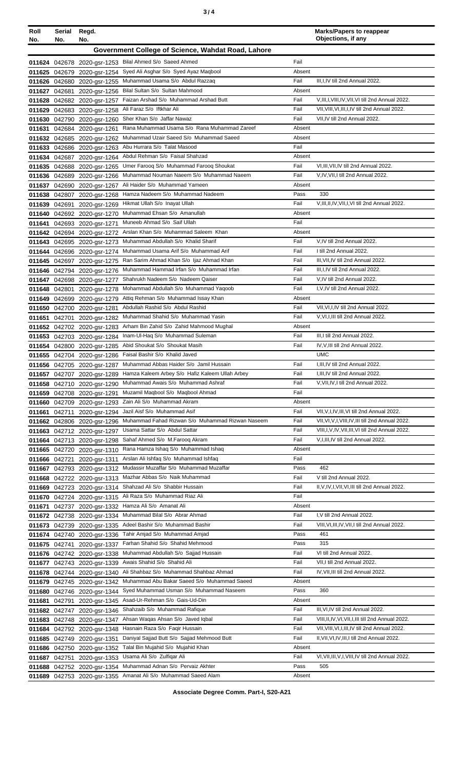| ×<br>٠<br>٦<br>×<br>۰. |  |  |
|------------------------|--|--|
|------------------------|--|--|

| Roll<br>No. | Serial<br>No. | Regd.<br>No.                                                                                 |                                                                                                       | <b>Marks/Papers to reappear</b><br>Objections, if any                            |
|-------------|---------------|----------------------------------------------------------------------------------------------|-------------------------------------------------------------------------------------------------------|----------------------------------------------------------------------------------|
|             |               |                                                                                              | Government College of Science, Wahdat Road, Lahore                                                    |                                                                                  |
|             |               | Bilal Ahmed S/o Saeed Ahmed<br>011624 042678 2020-gsr-1253                                   | Fail                                                                                                  |                                                                                  |
|             |               | 011625 042679 2020-gsr-1254                                                                  | Syed Ali Asghar S/o Syed Ayaz Maqbool<br>Absent                                                       |                                                                                  |
|             |               | Muhammad Usama S/o Abdul Razzaq<br>011626 042680 2020-gsr-1255                               | Fail                                                                                                  | III, I, IV till 2nd Annual 2022.                                                 |
| 011627      | 042681        | Bilal Sultan S/o Sultan Mahmood<br>2020-gsr-1256                                             | Absent                                                                                                |                                                                                  |
| 011628      |               | 042682 2020-gsr-1257                                                                         | Faizan Arshad S/o Muhammad Arshad Butt<br>Fail<br>Fail                                                | V, III, I, VIII, IV, VII, VI till 2nd Annual 2022.                               |
| 011629      |               | Ali Faraz S/o Iftkhar Ali<br>042683 2020-gsr-1258<br>Sher Khan S/o Jaffar Nawaz              | Fail                                                                                                  | VII, VIII, VI, III, I, IV till 2nd Annual 2022.<br>VII, IV till 2nd Annual 2022. |
| 011631      | 042684        | 011630 042790 2020-gsr-1260<br>2020-gsr-1261                                                 | Rana Muhammad Usama S/o Rana Muhammad Zareef<br>Absent                                                |                                                                                  |
|             |               | 011632 042685 2020-gsr-1262                                                                  | Muhammad Uzair Saeed S/o Muhammad Saeed<br>Absent                                                     |                                                                                  |
|             |               | Abu Hurrara S/o Talat Masood<br>011633 042686 2020-gsr-1263                                  | Fail                                                                                                  |                                                                                  |
|             | 011634 042687 | Abdul Rehman S/o Faisal Shahzad<br>2020-gsr-1264                                             | Absent                                                                                                |                                                                                  |
| 011635      |               | 042688 2020-gsr-1265                                                                         | Fail<br>Umer Farooq S/o Muhammad Farooq Shoukat                                                       | VI, III, VII, IV till 2nd Annual 2022.                                           |
| 011636      |               | 042689 2020-gsr-1266                                                                         | Muhammad Nouman Naeem S/o Muhammad Naeem<br>Fail                                                      | V, IV, VII, I till 2nd Annual 2022.                                              |
|             |               | Ali Haider S/o Muhammad Yameen<br>011637 042690 2020-gsr-1267                                | Absent<br>Hamza Nadeem S/o Muhammad Nadeem                                                            | 330                                                                              |
|             |               | 011638 042807 2020-gsr-1268<br>Hikmat Ullah S/o Inayat Ullah                                 | Pass<br>Fail                                                                                          | V, III, II, IV, VII, I, VI till 2nd Annual 2022.                                 |
|             | 011639 042691 | 2020-gsr-1269<br>Muhammad Ehsan S/o Amanullah<br>011640 042692 2020-gsr-1270                 | Absent                                                                                                |                                                                                  |
|             |               | Muneeb Ahmad S/o Saif Ullah<br>011641 042693 2020-gsr-1271                                   | Fail                                                                                                  |                                                                                  |
|             |               | 011642 042694 2020-gsr-1272                                                                  | Arslan Khan S/o Muhammad Saleem Khan<br>Absent                                                        |                                                                                  |
|             |               | Muhammad Abdullah S/o Khalid Sharif<br>011643 042695 2020-gsr-1273                           | Fail                                                                                                  | V,IV till 2nd Annual 2022.                                                       |
|             |               | 011644 042696 2020-gsr-1274                                                                  | Fail<br>Muhammad Usama Arif S/o Muhammad Arif                                                         | I till 2nd Annual 2022.                                                          |
|             |               | 011645 042697 2020-gsr-1275                                                                  | Ran Sarim Ahmad Khan S/o Ijaz Ahmad Khan<br>Fail                                                      | III, VII, IV till 2nd Annual 2022.                                               |
|             |               | 011646 042794 2020-gsr-1276                                                                  | Muhammad Hammad Irfan S/o Muhammad Irfan<br>Fail                                                      | III, I, IV till 2nd Annual 2022.                                                 |
|             |               | Shahrukh Nadeem S/o Nadeem Qaiser<br>011647 042698 2020-gsr-1277                             | Fail<br>Mohammad Abdullah S/o Muhammad Yaqoob<br>Fail                                                 | V, IV till 2nd Annual 2022.<br>I, V, IV till 2nd Annual 2022.                    |
| 011649      | 011648 042801 | 2020-gsr-1278<br>042699 2020-gsr-1279                                                        | Attiq Rehman S/o Muhammad Issay Khan<br>Absent                                                        |                                                                                  |
|             |               | Abdullah Rashid S/o Abdul Rashid<br>011650 042700 2020-gsr-1281                              | Fail                                                                                                  | VII, VI, I, IV till 2nd Annual 2022.                                             |
| 011651      | 042701        | 2020-gsr-1282                                                                                | Fail<br>Muhammad Shahid S/o Muhammad Yasin                                                            | V, VI, I, III till 2nd Annual 2022.                                              |
|             |               | 011652 042702 2020-gsr-1283                                                                  | Arham Bin Zahid S/o Zahid Mahmood Mughal<br>Absent                                                    |                                                                                  |
|             |               | Inam-UI-Haq S/o Muhammad Suleman<br>011653 042703 2020-gsr-1284                              | Fail                                                                                                  | III,I till 2nd Annual 2022.                                                      |
|             |               | Abid Shoukat S/o Shoukat Masih<br>011654 042800 2020-gsr-1285                                | Fail                                                                                                  | IV, V, III till 2nd Annual 2022.                                                 |
|             |               | Faisal Bashir S/o Khalid Javed<br>011655 042704 2020-gsr-1286                                |                                                                                                       | <b>UMC</b>                                                                       |
|             |               | 011656 042705 2020-gsr-1287                                                                  | Muhammad Abbas Haider S/o Jamil Hussain<br>Fail                                                       | I, III, IV till 2nd Annual 2022.                                                 |
|             |               | 011657 042707 2020-gsr-1289                                                                  | Hamza Kaleem Arbey S/o Hafiz Kaleem Ullah Arbey<br>Fail<br>Muhammad Awais S/o Muhammad Ashraf<br>Fail | I, III, IV till 2nd Annual 2022.<br>V, VII, IV, I till 2nd Annual 2022.          |
| 011658      |               | 042710 2020-gsr-1290<br>Muzamil Magbool S/o Magbool Ahmad<br>011659 042708 2020-gsr-1291     | Fail                                                                                                  |                                                                                  |
|             |               | Zain Ali S/o Muhammad Akram<br>011660 042709 2020-gsr-1293                                   | Absent                                                                                                |                                                                                  |
| 011661      | 042711        | Jazil Aisf S/o Muhammad Asif<br>2020-gsr-1294                                                | Fail                                                                                                  | VII, V, I, IV, III, VI till 2nd Annual 2022.                                     |
|             |               | 011662 042806 2020-gsr-1296                                                                  | Muhammad Fahad Rizwan S/o Muhammad Rizwan Naseem<br>Fail                                              | VII, VI, V, I, VIII, IV, III till 2nd Annual 2022.                               |
|             |               | Usama Sattar S/o Abdul Sattar<br>011663 042712 2020-gsr-1297                                 | Fail                                                                                                  | VIII, I, V, IV, VII, III, VI till 2nd Annual 2022.                               |
|             |               | Sahaf Ahmed S/o M.Faroog Akram<br>011664 042713 2020-gsr-1298                                | Fail                                                                                                  | V, I, III, IV till 2nd Annual 2022.                                              |
|             |               | 011665 042720 2020-gsr-1310                                                                  | Rana Hamza Ishaq S/o Muhammad Ishaq<br>Absent                                                         |                                                                                  |
|             | 011666 042721 | Arslan Ali Ishfaq S/o Muhammad Ishfaq<br>2020-gsr-1311                                       | Fail<br>Mudassir Muzaffar S/o Muhammad Muzaffar<br>Pass                                               | 462                                                                              |
|             |               | 011667 042793 2020-gsr-1312<br>Mazhar Abbas S/o Naik Muhammad<br>011668 042722 2020-gsr-1313 | Fail                                                                                                  | V till 2nd Annual 2022.                                                          |
|             |               | Shahzad Ali S/o Shabbir Hussain<br>011669 042723 2020-gsr-1314                               | Fail                                                                                                  | II, V, IV, I, VII, VI, III till 2nd Annual 2022.                                 |
|             |               | Ali Raza S/o Muhammad Riaz Ali<br>011670 042724 2020-gsr-1315                                | Fail                                                                                                  |                                                                                  |
| 011671      |               | Hamza Ali S/o Amanat Ali<br>042737 2020-gsr-1332                                             | Absent                                                                                                |                                                                                  |
|             |               | Muhammad Bilal S/o Abrar Ahmad<br>011672 042738 2020-gsr-1334                                | Fail                                                                                                  | I, V till 2nd Annual 2022.                                                       |
|             |               | Adeel Bashir S/o Muhammad Bashir<br>011673 042739 2020-gsr-1335                              | Fail                                                                                                  | VIII, VI, III, IV, VII, I till 2nd Annual 2022.                                  |
|             |               | Tahir Amjad S/o Muhammad Amjad<br>011674 042740 2020-gsr-1336                                | Pass                                                                                                  | 461                                                                              |
|             |               | Farhan Shahid S/o Shahid Mehmood<br>011675 042741 2020-gsr-1337                              | Pass<br>Fail                                                                                          | 315<br>VI till 2nd Annual 2022.                                                  |
|             |               | 011676 042742 2020-gsr-1338<br>Awais Shahid S/o Shahid Ali                                   | Muhammad Abdullah S/o Sajjad Hussain<br>Fail                                                          | VII, I till 2nd Annual 2022.                                                     |
| 011677      |               | 042743 2020-gsr-1339<br>011678 042744 2020-gsr-1340                                          | Ali Shahbaz S/o Muhammad Shahbaz Ahmad<br>Fail                                                        | IV, VII, III till 2nd Annual 2022.                                               |
|             |               | 011679 042745 2020-gsr-1342                                                                  | Muhammad Abu Bakar Saeed S/o Muhammad Saeed<br>Absent                                                 |                                                                                  |
|             |               | 011680 042746 2020-gsr-1344                                                                  | Syed Muhammad Usman S/o Muhammad Naseem<br>Pass                                                       | 360                                                                              |
| 011681      | 042791        | Asad-Ur-Rehman S/o Gais-Ud-Din<br>2020-gsr-1345                                              | Absent                                                                                                |                                                                                  |
|             |               | Shahzaib S/o Muhammad Rafique<br>011682 042747 2020-gsr-1346                                 | Fail                                                                                                  | III, VI, IV till 2nd Annual 2022.                                                |
| 011683      |               | Ahsan Waqas Ahsan S/o Javed Iqbal<br>042748 2020-gsr-1347                                    | Fail                                                                                                  | VIII, II, IV, VI, VII, I, III till 2nd Annual 2022.                              |
| 011684      |               | Hasnain Raza S/o Faqir Hussain<br>042792 2020-gsr-1348                                       | Fail                                                                                                  | VII, VIII, VI, I, III, IV till 2nd Annual 2022.                                  |
|             |               | 011685 042749 2020-gsr-1351<br>Talal Bin Mujahid S/o Mujahid Khan                            | Daniyal Sajjad Butt S/o Sajjad Mehmood Butt<br>Fail<br>Absent                                         | II, VII, VI, IV, III, I till 2nd Annual 2022.                                    |
|             |               | 011686 042750 2020-gsr-1352<br>Usama Ali S/o Zulfigar Ali<br>011687 042751 2020-gsr-1353     | Fail                                                                                                  | VI, VII, III, V, I, VIII, IV till 2nd Annual 2022.                               |
|             |               | Muhammad Adnan S/o Pervaiz Akhter<br>011688 042752 2020-gsr-1354                             | Pass                                                                                                  | 505                                                                              |
|             |               | 011689 042753 2020-gsr-1355 Amanat Ali S/o Muhammad Saeed Alam                               | Absent                                                                                                |                                                                                  |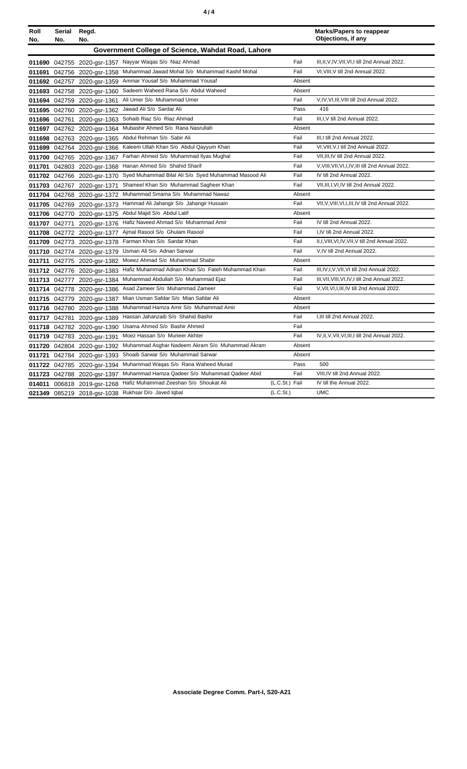|--|

| Roll<br>No. | Serial<br>No.                                      | Regd.<br>No.                |                                                         |                | <b>Marks/Papers to reappear</b><br>Objections, if any |  |  |  |
|-------------|----------------------------------------------------|-----------------------------|---------------------------------------------------------|----------------|-------------------------------------------------------|--|--|--|
|             | Government College of Science, Wahdat Road, Lahore |                             |                                                         |                |                                                       |  |  |  |
|             |                                                    |                             | 011690 042755 2020-gsr-1357 Nayyar Waqas S/o Niaz Ahmad | Fail           | III, II, V, IV, VII, VI, I till 2nd Annual 2022.      |  |  |  |
|             |                                                    | 011691 042756 2020-gsr-1358 | Muhammad Jawad Mohal S/o Muhammad Kashif Mohal          | Fail           | VI, VIII, V till 2nd Annual 2022.                     |  |  |  |
|             |                                                    | 011692 042757 2020-gsr-1359 | Ammar Yousaf S/o Muhammad Yousaf                        | Absent         |                                                       |  |  |  |
|             |                                                    | 011693 042758 2020-gsr-1360 | Sadeem Waheed Rana S/o Abdul Waheed                     | Absent         |                                                       |  |  |  |
|             |                                                    | 011694 042759 2020-gsr-1361 | Ali Umer S/o Muhammad Umer                              | Fail           | V, IV, VI, III, VIII till 2nd Annual 2022.            |  |  |  |
|             | 011695 042760                                      | 2020-gsr-1362               | Jawad Ali S/o Sardar Ali                                | Pass           | 416                                                   |  |  |  |
|             | 011696 042761                                      | 2020-gsr-1363               | Sohaib Riaz S/o Riaz Ahmad                              | Fail           | III.I.V till 2nd Annual 2022.                         |  |  |  |
| 011697      |                                                    | 042762 2020-gsr-1364        | Mubashir Ahmed S/o Rana Nasrullah                       | Absent         |                                                       |  |  |  |
|             |                                                    | 011698 042763 2020-gsr-1365 | Abdul Rehman S/o Sabir Ali                              | Fail           | III, I till 2nd Annual 2022.                          |  |  |  |
|             |                                                    | 011699 042764 2020-gsr-1366 | Kaleem Ullah Khan S/o Abdul Qayyum Khan                 | Fail           | VI, VIII, V, I till 2nd Annual 2022.                  |  |  |  |
|             |                                                    | 011700 042765 2020-gsr-1367 | Farhan Ahmed S/o Muhammad Ilyas Mughal                  | Fail           | VII, III, IV till 2nd Annual 2022.                    |  |  |  |
|             |                                                    | 011701 042803 2020-gsr-1368 | Hanan Ahmed S/o Shahid Sharif                           | Fail           | V, VIII, VII, VI, I, IV, III till 2nd Annual 2022.    |  |  |  |
|             |                                                    | 011702 042766 2020-gsr-1370 | Syed Muhammad Bilal Ali S/o Syed Muhammad Masood Ali    | Fail           | IV till 2nd Annual 2022.                              |  |  |  |
|             |                                                    | 011703 042767 2020-gsr-1371 | Shameel Khan S/o Muhammad Sagheer Khan                  | Fail           | VII, III, I, VI, IV till 2nd Annual 2022.             |  |  |  |
|             |                                                    | 011704 042768 2020-gsr-1372 | Muhammad Smama S/o Muhammad Nawaz                       | Absent         |                                                       |  |  |  |
|             |                                                    | 011705 042769 2020-gsr-1373 | Hammad Ali Jahangir S/o Jahangir Hussain                | Fail           | VII, V, VIII, VI, I, III, IV till 2nd Annual 2022.    |  |  |  |
|             |                                                    | 011706 042770 2020-gsr-1375 | Abdul Majid S/o Abdul Latif                             | Absent         |                                                       |  |  |  |
|             | 011707 042771                                      | 2020-gsr-1376               | Hafiz Naveed Ahmad S/o Muhammad Amir                    | Fail           | IV till 2nd Annual 2022.                              |  |  |  |
|             | 011708 042772                                      | 2020-gsr-1377               | Aimal Rasool S/o Ghulam Rasool                          | Fail           | I,IV till 2nd Annual 2022.                            |  |  |  |
| 011709      | 042773                                             | 2020-gsr-1378               | Farman Khan S/o Sardar Khan                             | Fail           | II, I, VIII, VI, IV, VII, V till 2nd Annual 2022.     |  |  |  |
|             |                                                    | 011710 042774 2020-gsr-1379 | Usman Ali S/o Adnan Sarwar                              | Fail           | V, IV till 2nd Annual 2022.                           |  |  |  |
| 011711      |                                                    | 042775 2020-gsr-1382        | Moeez Ahmad S/o Muhammad Shabir                         | Absent         |                                                       |  |  |  |
|             |                                                    | 011712 042776 2020-gsr-1383 | Hafiz Muhammad Adnan Khan S/o Fateh Muhammad Khan       | Fail           | III, IV, I, V, VII, VI till 2nd Annual 2022.          |  |  |  |
|             |                                                    | 011713 042777 2020-gsr-1384 | Muhammad Abdullah S/o Muhammad Ejaz                     | Fail           | III, VII, VIII, VI, IV, I till 2nd Annual 2022.       |  |  |  |
|             |                                                    | 011714 042778 2020-gsr-1386 | Asad Zameer S/o Muhammad Zameer                         | Fail           | V, VII, VI, I, III, IV till 2nd Annual 2022.          |  |  |  |
|             |                                                    | 011715 042779 2020-gsr-1387 | Mian Usman Safdar S/o Mian Safdar Ali                   | Absent         |                                                       |  |  |  |
|             |                                                    | 011716 042780 2020-gsr-1388 | Muhammad Hamza Amir S/o Muhammad Amir                   | Absent         |                                                       |  |  |  |
|             |                                                    | 011717 042781 2020-gsr-1389 | Hassan Jahanzaib S/o Shahid Bashir                      | Fail           | I, III till 2nd Annual 2022.                          |  |  |  |
|             |                                                    | 011718 042782 2020-gsr-1390 | Usama Ahmed S/o Bashir Ahmed                            | Fail           |                                                       |  |  |  |
|             |                                                    | 011719 042783 2020-gsr-1391 | Moez Hassan S/o Muneer Akhter                           | Fail           | IV, II, V, VII, VI, III, I till 2nd Annual 2022.      |  |  |  |
|             | 011720 042804                                      | 2020-gsr-1392               | Muhammad Asghar Nadeem Akram S/o Muhammad Akram         | Absent         |                                                       |  |  |  |
| 011721      | 042784                                             | 2020-gsr-1393               | Shoaib Sarwar S/o Muhammad Sarwar                       | Absent         |                                                       |  |  |  |
|             |                                                    | 011722 042785 2020-gsr-1394 | Muhammad Waqas S/o Rana Waheed Murad                    | Pass           | 500                                                   |  |  |  |
| 011723      |                                                    | 042788 2020-gsr-1397        | Muhammad Hamza Qadeer S/o Muhammad Qadeer Abid          | Fail           | VIII, IV till 2nd Annual 2022.                        |  |  |  |
| 014011      |                                                    | 006818 2019-gsr-1268        | Hafiz Muhammad Zeeshan S/o Shoukat Ali                  | (L.C.St.) Fail | IV till the Annual 2022.                              |  |  |  |
|             |                                                    |                             | 021349 085219 2018-gsr-1038 Rukhsar D/o Javed Iqbal     | (L.C.St.)      | <b>UMC</b>                                            |  |  |  |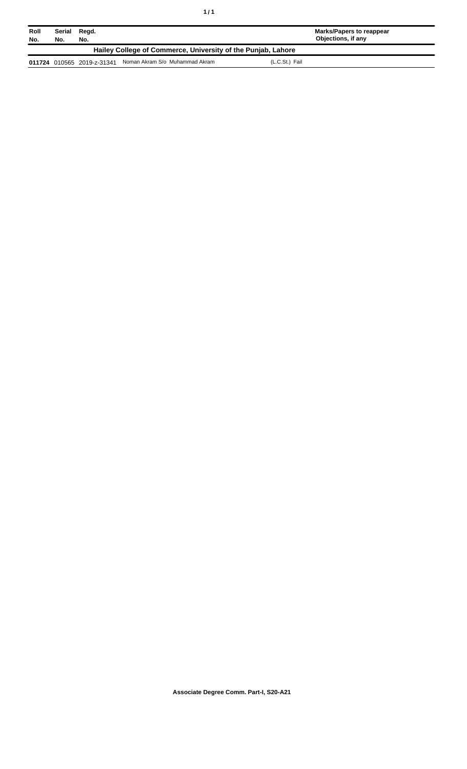| Roll<br>No.                                                  | Serial<br>No. | Regd.<br>No.               |                                | Marks/Papers to reappear<br>Objections, if any |  |  |
|--------------------------------------------------------------|---------------|----------------------------|--------------------------------|------------------------------------------------|--|--|
| Hailey College of Commerce, University of the Punjab, Lahore |               |                            |                                |                                                |  |  |
|                                                              |               | 011724 010565 2019-z-31341 | Noman Akram S/o Muhammad Akram | (L.C.St.) Fail                                 |  |  |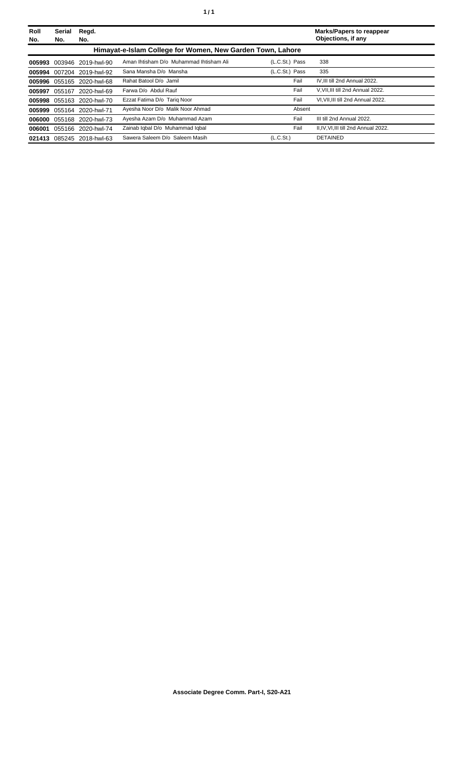| Roll<br>No. | Serial<br>No. | Regd.<br>No.              |                                                            |                       | <b>Marks/Papers to reappear</b><br>Objections, if any |
|-------------|---------------|---------------------------|------------------------------------------------------------|-----------------------|-------------------------------------------------------|
|             |               |                           | Himayat-e-Islam College for Women, New Garden Town, Lahore |                       |                                                       |
| 005993      |               | 003946 2019-hwl-90        | Aman Ihtisham D/o Muhammad Ihtisham Ali                    | (L.C.St.) Pass        | 338                                                   |
|             |               | 005994 007204 2019-hwl-92 | Sana Mansha D/o Mansha                                     | (L.C.St.) Pass        | 335                                                   |
|             |               | 005996 055165 2020-hwl-68 | Rahat Batool D/o Jamil                                     | Fail                  | IV.III till 2nd Annual 2022.                          |
| 005997      | 055167        | 2020-hwl-69               | Farwa D/o Abdul Rauf                                       | Fail                  | V.VII.III till 2nd Annual 2022.                       |
| 005998      |               | 055163 2020-hwl-70        | Ezzat Fatima D/o Tarig Noor                                | Fail                  | VI.VII.III till 2nd Annual 2022.                      |
| 005999      |               | 055164 2020-hwl-71        | Ayesha Noor D/o Malik Noor Ahmad                           | Absent                |                                                       |
| 006000      |               | 055168 2020-hwl-73        | Ayesha Azam D/o Muhammad Azam                              | Fail                  | III till 2nd Annual 2022.                             |
| 006001      |               | 055166 2020-hwl-74        | Zainab Iqbal D/o Muhammad Iqbal                            | Fail                  | II.IV.VI.III till 2nd Annual 2022.                    |
| 021413      |               | 085245 2018-hwl-63        | Sawera Saleem D/o Saleem Masih                             | (L.C.S <sub>t</sub> ) | <b>DETAINED</b>                                       |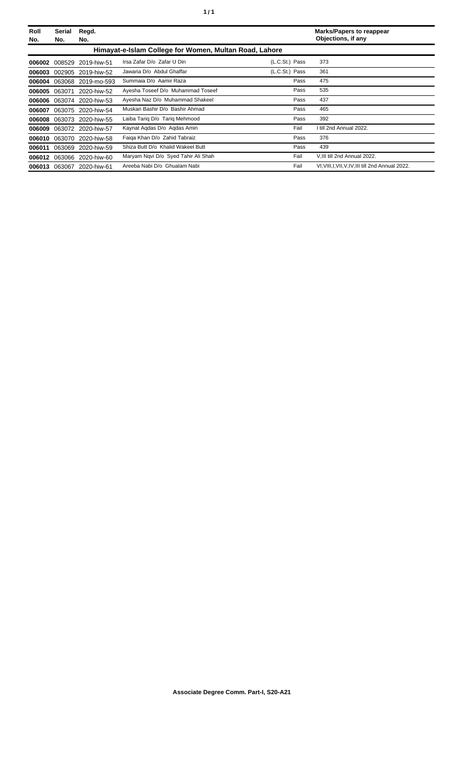| ٠ |  | ٠ |
|---|--|---|
|---|--|---|

| Roll<br>No. | Serial<br>No. | Regd.<br>No.       |                                                        |                | <b>Marks/Papers to reappear</b><br>Objections, if any |
|-------------|---------------|--------------------|--------------------------------------------------------|----------------|-------------------------------------------------------|
|             |               |                    | Himayat-e-Islam College for Women, Multan Road, Lahore |                |                                                       |
| 006002      | 008529        | 2019-hiw-51        | Irsa Zafar D/o Zafar U Din                             | (L.C.St.) Pass | 373                                                   |
| 006003      |               | 002905 2019-hiw-52 | Jawaria D/o Abdul Ghaffar                              | (L.C.St.) Pass | 361                                                   |
| 006004      | 063068        | 2019-mo-593        | Summaia D/o Aamir Raza                                 | Pass           | 475                                                   |
| 006005      | 063071        | 2020-hiw-52        | Ayesha Toseef D/o Muhammad Toseef                      | Pass           | 535                                                   |
| 006006      | 063074        | 2020-hiw-53        | Ayesha Naz D/o Muhammad Shakeel                        | Pass           | 437                                                   |
| 006007      |               | 063075 2020-hiw-54 | Muskan Bashir D/o Bashir Ahmad                         | Pass           | 465                                                   |
| 006008      | 063073        | 2020-hiw-55        | Laiba Tariq D/o Tariq Mehmood                          | Pass           | 392                                                   |
| 006009      |               | 063072 2020-hiw-57 | Kaynat Agdas D/o Agdas Amin                            | Fail           | I till 2nd Annual 2022.                               |
| 006010      | 063070        | 2020-hiw-58        | Faiga Khan D/o Zahid Tabraiz                           | Pass           | 376                                                   |
| 006011      | 063069        | 2020-hiw-59        | Shiza Butt D/o Khalid Wakeel Butt                      | Pass           | 439                                                   |
| 006012      | 063066        | 2020-hiw-60        | Maryam Ngvi D/o Syed Tahir Ali Shah                    | Fail           | V.III till 2nd Annual 2022.                           |
| 006013      |               | 063067 2020-hiw-61 | Areeba Nabi D/o Ghualam Nabi                           | Fail           | VI, VIII, I, VII, V, IV, III till 2nd Annual 2022.    |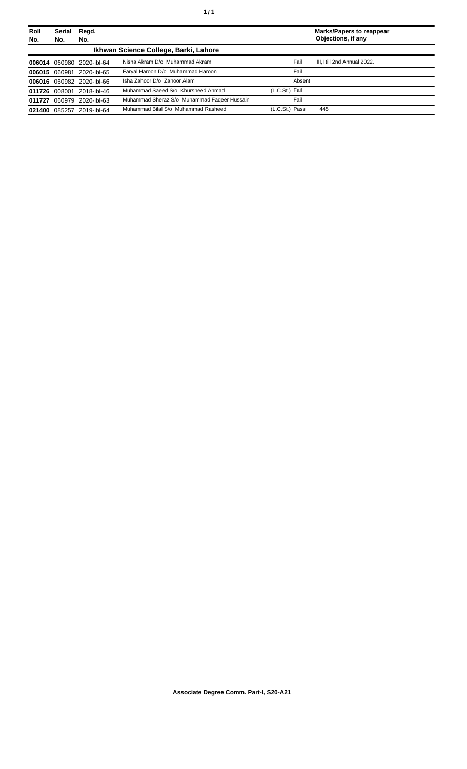| Roll   | Serial        | Regd.                     |                                             |                |        | <b>Marks/Papers to reappear</b><br>Objections, if any |
|--------|---------------|---------------------------|---------------------------------------------|----------------|--------|-------------------------------------------------------|
| No.    | No.           | No.                       |                                             |                |        |                                                       |
|        |               |                           | Ikhwan Science College, Barki, Lahore       |                |        |                                                       |
|        |               | 006014 060980 2020-ibl-64 | Nisha Akram D/o Muhammad Akram              |                | Fail   | III.I till 2nd Annual 2022.                           |
|        | 006015 060981 | 2020-ibl-65               | Faryal Haroon D/o Muhammad Haroon           |                | Fail   |                                                       |
|        |               | 006016 060982 2020-ibl-66 | Isha Zahoor D/o Zahoor Alam                 |                | Absent |                                                       |
|        | 011726 008001 | 2018-ibl-46               | Muhammad Saeed S/o Khursheed Ahmad          | (L.C.St.) Fail |        |                                                       |
| 011727 | 060979        | 2020-ibl-63               | Muhammad Sheraz S/o Muhammad Fageer Hussain |                | Fail   |                                                       |
| 021400 | 085257        | 2019-ibl-64               | Muhammad Bilal S/o Muhammad Rasheed         | (L.C.St.) Pass |        | 445                                                   |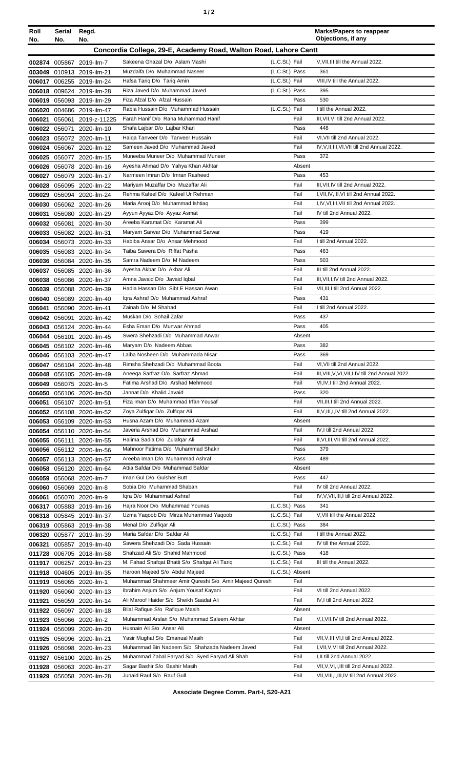| Roll<br>No. | Serial<br>No. | Regd.<br>No.                                           |                                                                               |                                  | <b>Marks/Papers to reappear</b><br>Objections, if any |
|-------------|---------------|--------------------------------------------------------|-------------------------------------------------------------------------------|----------------------------------|-------------------------------------------------------|
|             |               |                                                        | Concordia College, 29-E, Academy Road, Walton Road, Lahore Cantt              |                                  |                                                       |
|             |               |                                                        | Sakeena Ghazal D/o Aslam Mashi                                                | (L.C.St.) Fail                   | V, VII, III till the Annual 2022.                     |
|             |               | 002874 005867 2019-ilm-7<br>003049 010913 2019-ilm-21  | Muzdalfa D/o Muhammad Naseer                                                  | (L.C.St.) Pass                   | 361                                                   |
|             |               | 006017 006255 2019-ilm-24                              | Hafsa Tarig D/o Tarig Amin                                                    | (L.C.St.) Fail                   | VIII, IV till the Annual 2022.                        |
|             |               | 006018 009624 2019-ilm-28                              | Riza Javed D/o Muhammad Javed                                                 | (L.C.St.) Pass                   | 395                                                   |
| 006019      |               | 056093 2019-ilm-29                                     | Fiza Afzal D/o Afzal Hussain                                                  | Pass                             | 530                                                   |
| 006020      |               | 004686 2019-ilm-47                                     | Rabia Hussain D/o Muhammad Hussain                                            | (L.C.St.) Fail                   | I till the Annual 2022.                               |
| 006021      |               | 056061 2019-z-11225                                    | Farah Hanif D/o Rana Muhammad Hanif                                           | Fail                             | III, VII, VI till 2nd Annual 2022.                    |
|             |               | 006022 056071 2020-ilm-10                              | Shafa Lajbar D/o Lajbar Khan                                                  | Pass                             | 448                                                   |
|             |               | 006023 056072 2020-ilm-11                              | Haiga Tanveer D/o Tanveer Hussain<br>Sameen Javed D/o Muhammad Javed          | Fail                             | VI, VII till 2nd Annual 2022.                         |
|             |               | 006024 056067 2020-ilm-12<br>006025 056077 2020-ilm-15 | Muneeba Muneer D/o Muhammad Muneer                                            | Fail<br>Pass                     | IV, V, II, III, VI, VII till 2nd Annual 2022.<br>372  |
|             |               | 006026 056078 2020-ilm-16                              | Ayesha Ahmad D/o Yahya Khan Akhtar                                            | Absent                           |                                                       |
| 006027      |               | 056079 2020-ilm-17                                     | Narmeen Imran D/o Imran Rasheed                                               | Pass                             | 453                                                   |
| 006028      |               | 056095 2020-ilm-22                                     | Mariyam Muzaffar D/o Muzaffar Ali                                             | Fail                             | III, VII, IV till 2nd Annual 2022.                    |
| 006029      |               | 056094 2020-ilm-24                                     | Rehma Kafeel D/o Kafeel Ur Rehman                                             | Fail                             | I, VII, IV, III, VI till 2nd Annual 2022.             |
|             |               | 006030 056062 2020-ilm-26                              | Maria Arooj D/o Muhammad Ishtiaq                                              | Fail                             | I, IV, VI, III, VII till 2nd Annual 2022.             |
|             |               | 006031 056080 2020-ilm-29                              | Ayyun Ayyaz D/o Ayyaz Asmat                                                   | Fail                             | IV till 2nd Annual 2022.                              |
|             |               | 006032 056081 2020-ilm-30                              | Areeba Karamat D/o Karamat Ali                                                | Pass                             | 399                                                   |
|             |               | 006033 056082 2020-ilm-31                              | Maryam Sarwar D/o Muhammad Sarwar                                             | Pass                             | 419                                                   |
|             |               | 006034 056073 2020-ilm-33                              | Habiba Ansar D/o Ansar Mehmood<br>Taiba Sawera D/o Riffat Pasha               | Fail<br>Pass                     | I till 2nd Annual 2022.<br>463                        |
|             |               | 006035 056083 2020-ilm-34<br>006036 056084 2020-ilm-35 | Samra Nadeem D/o M Nadeem                                                     | Pass                             | 503                                                   |
|             |               | 006037 056085 2020-ilm-36                              | Ayesha Akbar D/o Akbar Ali                                                    | Fail                             | III till 2nd Annual 2022.                             |
|             |               | 006038 056086 2020-ilm-37                              | Amna Javaid D/o Javaid Iqbal                                                  | Fail                             | III, VII, I, IV till 2nd Annual 2022.                 |
|             |               | 006039 056088 2020-ilm-39                              | Hadia Hassan D/o Sibt E Hassan Awan                                           | Fail                             | VII, III, I till 2nd Annual 2022.                     |
|             |               | 006040 056089 2020-ilm-40                              | Igra Ashraf D/o Muhammad Ashraf                                               | Pass                             | 431                                                   |
| 006041      |               | 056090 2020-ilm-41                                     | Zainab D/o M Shahad                                                           | Fail                             | I till 2nd Annual 2022.                               |
|             | 006042 056091 | 2020-ilm-42                                            | Muskan D/o Sohail Zafar                                                       | Pass                             | 437                                                   |
|             |               | 006043 056124 2020-ilm-44                              | Esha Eman D/o Munwar Ahmad                                                    | Pass                             | 405                                                   |
| 006044      | 056101        | 2020-ilm-45                                            | Swera Shehzadi D/o Muhammad Anwar<br>Maryam D/o Nadeem Abbas                  | Absent<br>Pass                   | 382                                                   |
|             |               | 006045 056102 2020-ilm-46<br>006046 056103 2020-ilm-47 | Laiba Nosheen D/o Muhammada Nisar                                             | Pass                             | 369                                                   |
|             |               | 006047 056104 2020-ilm-48                              | Rimsha Shehzadi D/o Muhammad Boota                                            | Fail                             | VI, VII till 2nd Annual 2022.                         |
|             |               | 006048 056105 2020-ilm-49                              | Aneega Sarfraz D/o Sarfraz Ahmad                                              | Fail                             | III, VIII, V, VI, VII, I, IV till 2nd Annual 2022.    |
|             |               | 006049 056075 2020-ilm-5                               | Fatima Arshad D/o Arshad Mehmood                                              | Fail                             | VI, IV, I till 2nd Annual 2022.                       |
|             |               | 006050 056106 2020-ilm-50                              | Jannat D/o Khalid Javaid                                                      | Pass                             | 320                                                   |
| 006051      |               | 056107 2020-ilm-51                                     | Fiza Iman D/o Muhammad Irfan Yousaf                                           | Fail                             | VII, III, I till 2nd Annual 2022.                     |
|             |               | 006052 056108 2020-ilm-52                              | Zoya Zulfiqar D/o Zulfiqar Ali                                                | Fail                             | II, V, III, I, IV till 2nd Annual 2022.               |
|             |               | 006053 056109 2020-ilm-53                              | Husna Azam D/o Muhammad Azam<br>Javeria Arshad D/o Muhammad Arshad            | Absent<br>Fail                   | IV, I till 2nd Annual 2022.                           |
|             |               | 006054 056110 2020-ilm-54<br>006055 056111 2020-ilm-55 | Halima Sadia D/o Zulafqar Ali                                                 | Fail                             | II, VI, III, VII till 2nd Annual 2022.                |
|             |               | 006056 056112 2020-ilm-56                              | Mahnoor Fatima D/o Muhammad Shakir                                            | Pass                             | 379                                                   |
|             |               | 006057 056113 2020-ilm-57                              | Areeba Iman D/o Muhammad Ashraf                                               | Pass                             | 489                                                   |
|             |               | 006058 056120 2020-ilm-64                              | Attia Safdar D/o Muhammad Safdar                                              | Absent                           |                                                       |
| 006059      |               | 056068 2020-ilm-7                                      | Iman Gul D/o Gulsher Butt                                                     | Pass                             | 447                                                   |
|             |               | 006060 056069 2020-ilm-8                               | Sobia D/o Muhammad Shaban                                                     | Fail                             | IV till 2nd Annual 2022.                              |
|             |               | 006061 056070 2020-ilm-9                               | Iqra D/o Muhammad Ashraf                                                      | Fail                             | IV, V, VII, III, I till 2nd Annual 2022.              |
|             |               | 006317 005883 2019-ilm-16                              | Hajra Noor D/o Muhammad Younas                                                | (L.C.St.) Pass                   | 341                                                   |
|             |               | 006318 005845 2019-ilm-37                              | Uzma Yaqoob D/o Mirza Muhammad Yaqoob<br>Menal D/o Zulfiqar Ali               | (L.C.St.) Fail<br>(L.C.St.) Pass | V, VII till the Annual 2022.<br>384                   |
|             |               | 006319 005863 2019-ilm-38<br>006320 005877 2019-ilm-39 | Maria Safdar D/o Safdar Ali                                                   | (L.C.St.) Fail                   | I till the Annual 2022.                               |
| 006321      |               | 005857 2019-ilm-40                                     | Sawera Shehzadi D/o Sada Hussain                                              | (L.C.St.) Fail                   | IV till the Annual 2022.                              |
|             |               | 011728 006705 2018-ilm-58                              | Shahzad Ali S/o Shahid Mahmood                                                | (L.C.St.) Pass                   | 418                                                   |
| 011917      |               | 006257 2019-ilm-23                                     | M. Fahad Shafqat Bhatti S/o Shafqat Ali Tariq                                 | (L.C.St.) Fail                   | III till the Annual 2022.                             |
|             |               | 011918 004605 2019-ilm-35                              | Haroon Majeed S/o Abdul Majeed                                                | (L.C.St.) Absent                 |                                                       |
|             |               | 011919 056065 2020-ilm-1                               | Muhammad Shahmeer Amir Qureshi S/o Amir Majeed Qureshi                        | Fail                             |                                                       |
|             |               | 011920 056060 2020-ilm-13                              | Ibrahim Anjum S/o Anjum Yousaf Kayani                                         | Fail                             | VI till 2nd Annual 2022.                              |
|             |               | 011921 056059 2020-ilm-14                              | Ali Maroof Haider S/o Sheikh Saadat Ali                                       | Fail                             | IV, I till 2nd Annual 2022.                           |
|             |               | 011922 056097 2020-ilm-18                              | Bilal Rafique S/o Rafique Masih<br>Muhammad Arslan S/o Muhammad Saleem Akhtar | Absent                           |                                                       |
|             |               | 011923 056066 2020-ilm-2<br>2020-ilm-20                | Husnain Ali S/o Ansar Ali                                                     | Fail<br>Absent                   | V,I, VII, IV till 2nd Annual 2022.                    |
| 011924      | 056099        | 011925 056096 2020-ilm-21                              | Yasir Mughal S/o Emanual Masih                                                | Fail                             | VII, V, III, VI, I till 2nd Annual 2022.              |
|             |               | 011926 056098 2020-ilm-23                              | Muhammad Bin Nadeem S/o Shahzada Nadeem Javed                                 | Fail                             | I, VII, V, VI till 2nd Annual 2022.                   |
|             |               | 011927 056100 2020-ilm-25                              | Muhammad Zabal Faryad S/o Syed Faryad Ali Shah                                | Fail                             | I, II till 2nd Annual 2022.                           |
|             |               | 011928 056063 2020-ilm-27                              | Sagar Bashir S/o Bashir Masih                                                 | Fail                             | VII, V, VI, I, III till 2nd Annual 2022.              |
|             |               | 011929 056058 2020-ilm-28                              | Junaid Rauf S/o Rauf Gull                                                     | Fail                             | VII, VIII, I, III, IV till 2nd Annual 2022.           |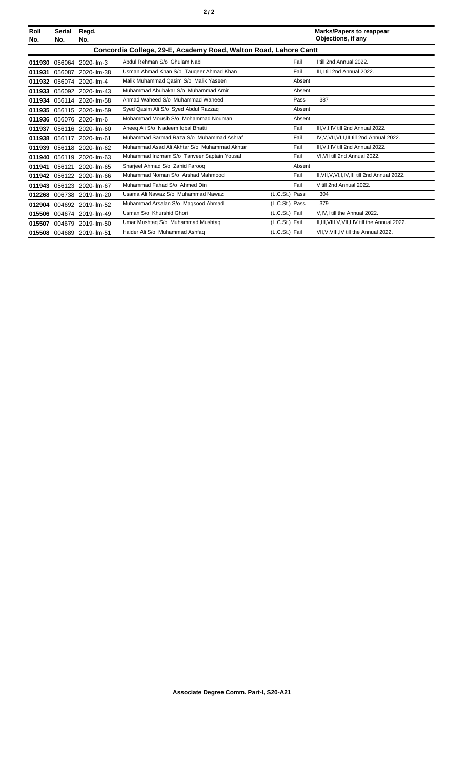| Roll<br>No. | <b>Serial</b><br>No.                                             | Regd.<br>No.              |                                              |                | <b>Marks/Papers to reappear</b><br>Objections, if any |  |
|-------------|------------------------------------------------------------------|---------------------------|----------------------------------------------|----------------|-------------------------------------------------------|--|
|             | Concordia College, 29-E, Academy Road, Walton Road, Lahore Cantt |                           |                                              |                |                                                       |  |
| 011930      |                                                                  | 056064 2020-ilm-3         | Abdul Rehman S/o Ghulam Nabi                 | Fail           | I till 2nd Annual 2022.                               |  |
| 011931      | 056087                                                           | 2020-ilm-38               | Usman Ahmad Khan S/o Taugeer Ahmad Khan      | Fail           | III.I till 2nd Annual 2022.                           |  |
| 011932      |                                                                  | 056074 2020-ilm-4         | Malik Muhammad Qasim S/o Malik Yaseen        | Absent         |                                                       |  |
| 011933      |                                                                  | 056092 2020-ilm-43        | Muhammad Abubakar S/o Muhammad Amir          | Absent         |                                                       |  |
| 011934      |                                                                  | 056114 2020-ilm-58        | Ahmad Waheed S/o Muhammad Waheed             | Pass           | 387                                                   |  |
| 011935      |                                                                  | 056115 2020-ilm-59        | Syed Qasim Ali S/o Syed Abdul Razzaq         | Absent         |                                                       |  |
|             |                                                                  | 011936 056076 2020-ilm-6  | Mohammad Mousib S/o Mohammad Nouman          | Absent         |                                                       |  |
| 011937      |                                                                  | 056116 2020-ilm-60        | Aneeg Ali S/o Nadeem Igbal Bhatti            | Fail           | III, V, I, IV till 2nd Annual 2022.                   |  |
| 011938      |                                                                  | 056117 2020-ilm-61        | Muhammad Sarmad Raza S/o Muhammad Ashraf     | Fail           | IV, V, VII, VI, I, III till 2nd Annual 2022.          |  |
| 011939      |                                                                  | 056118 2020-ilm-62        | Muhammad Asad Ali Akhtar S/o Muhammad Akhtar | Fail           | III, V, I, IV till 2nd Annual 2022.                   |  |
| 011940      |                                                                  | 056119 2020-ilm-63        | Muhammad Inzmam S/o Tanveer Saptain Yousaf   | Fail           | VI, VII till 2nd Annual 2022.                         |  |
| 011941      | 056121                                                           | 2020-ilm-65               | Sharjeel Ahmad S/o Zahid Faroog              | Absent         |                                                       |  |
| 011942      |                                                                  | 056122 2020-ilm-66        | Muhammad Noman S/o Arshad Mahmood            | Fail           | II, VII, V, VI, I, IV, III till 2nd Annual 2022.      |  |
| 011943      |                                                                  | 056123 2020-ilm-67        | Muhammad Fahad S/o Ahmed Din                 | Fail           | V till 2nd Annual 2022.                               |  |
| 012268      |                                                                  | 006738 2019-ilm-20        | Usama Ali Nawaz S/o Muhammad Nawaz           | (L.C.St.) Pass | 304                                                   |  |
|             |                                                                  | 012904 004692 2019-ilm-52 | Muhammad Arsalan S/o Maqsood Ahmad           | (L.C.St.) Pass | 379                                                   |  |
| 015506      |                                                                  | 004674 2019-ilm-49        | Usman S/o Khurshid Ghori                     | (L.C.St.) Fail | V.IV.I till the Annual 2022.                          |  |
| 015507      | 004679                                                           | 2019-ilm-50               | Umar Mushtag S/o Muhammad Mushtag            | (L.C.St.) Fail | II, III, VIII, V, VII, I, IV till the Annual 2022.    |  |
|             |                                                                  | 015508 004689 2019-ilm-51 | Haider Ali S/o Muhammad Ashfaq               | (L.C.St.) Fail | VII, V, VIII, IV till the Annual 2022.                |  |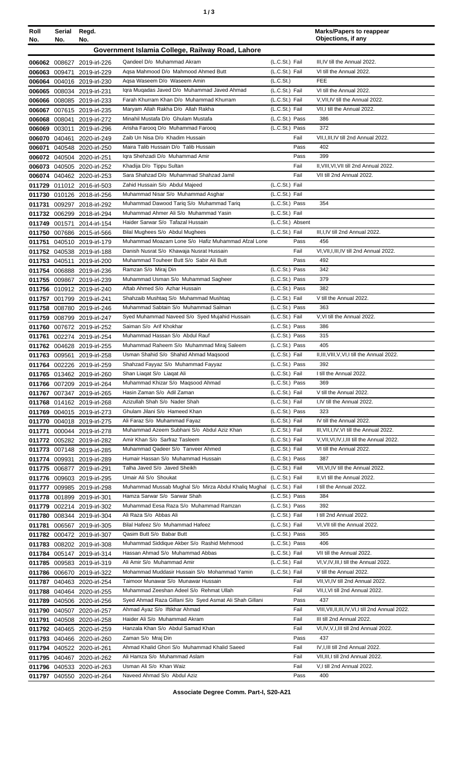| Roll<br>No. | Serial<br>No. | Regd.<br>No.                                             |                                                                                                     |                                    | <b>Marks/Papers to reappear</b><br>Objections, if any                 |
|-------------|---------------|----------------------------------------------------------|-----------------------------------------------------------------------------------------------------|------------------------------------|-----------------------------------------------------------------------|
|             |               |                                                          | Government Islamia College, Railway Road, Lahore                                                    |                                    |                                                                       |
|             |               | 006062 008627 2019-irl-226                               | Qandeel D/o Muhammad Akram                                                                          | (L.C.St.) Fail                     | III, IV till the Annual 2022.                                         |
|             |               | 006063 009471 2019-irl-229                               | Agsa Mahmood D/o Mahmood Ahmed Butt                                                                 | (L.C.St.) Fail                     | VI till the Annual 2022.                                              |
|             |               | 006064 004016 2019-irl-230                               | Agsa Waseem D/o Waseem Amin                                                                         | (L.C.St.)                          | <b>FEE</b>                                                            |
|             |               | 006065 008034 2019-irl-231                               | Igra Mugadas Javed D/o Muhammad Javed Ahmad                                                         | (L.C.St.) Fail                     | VI till the Annual 2022.                                              |
|             |               | 006066 008085 2019-irl-233                               | Farah Khurram Khan D/o Muhammad Khurram                                                             | (L.C.St.) Fail                     | V, VII, IV till the Annual 2022.                                      |
|             |               | 006067 007615 2019-irl-235                               | Maryam Allah Rakha D/o Allah Rakha                                                                  | (L.C.St.) Fail                     | VII, I till the Annual 2022.                                          |
|             |               | 006068 008041 2019-irl-272                               | Minahil Mustafa D/o Ghulam Mustafa                                                                  | (L.C.St.) Pass                     | 386                                                                   |
|             |               | 006069 003011 2019-irl-296                               | Arisha Farooq D/o Muhammad Farooq                                                                   | (L.C.St.) Pass                     | 372                                                                   |
|             |               | 006070 040461 2020-irl-249<br>006071 040548 2020-irl-250 | Zaib Un Nisa D/o Khadim Hussain<br>Maira Talib Hussain D/o Talib Hussain                            | Fail<br>Pass                       | VII, I, III, IV till 2nd Annual 2022.<br>402                          |
|             |               | 006072 040504 2020-irl-251                               | Igra Shehzadi D/o Muhammad Amir                                                                     | Pass                               | 399                                                                   |
|             |               | 006073 040505 2020-irl-252                               | Khadija D/o Tippu Sultan                                                                            | Fail                               | II, VIII, VI, VII till 2nd Annual 2022.                               |
|             |               | 006074 040462 2020-irl-253                               | Sara Shahzad D/o Muhammad Shahzad Jamil                                                             | Fail                               | VII till 2nd Annual 2022.                                             |
|             |               | 011729 011012 2016-irl-503                               | Zahid Hussain S/o Abdul Majeed                                                                      | (L.C.St.) Fail                     |                                                                       |
|             |               | 011730 010126 2018-irl-256                               | Muhammad Nisar S/o Muhammad Asghar                                                                  | (L.C.St.) Fail                     |                                                                       |
|             |               | 011731 009297 2018-irl-292                               | Muhammad Dawood Tariq S/o Muhammad Tariq                                                            | (L.C.St.) Pass                     | 354                                                                   |
|             |               | 011732 006299 2018-irl-294                               | Muhammad Ahmer Ali S/o Muhammad Yasin                                                               | (L.C.St.) Fail                     |                                                                       |
|             |               | 011749 001571 2014-irl-154                               | Haider Sarwar S/o Tafazal Hussain<br>Bilal Mughees S/o Abdul Mughees                                | (L.C.St.) Absent<br>(L.C.St.) Fail | III, I, IV till 2nd Annual 2022.                                      |
|             |               | 011750 007686 2015-irl-566<br>011751 040510 2019-irl-179 | Muhammad Moazam Lone S/o Hafiz Muhammad Afzal Lone                                                  | Pass                               | 456                                                                   |
|             |               | 011752 040538 2019-irl-188                               | Danish Nusrat S/o Khawaja Nusrat Hussain                                                            | Fail                               | VI, VII, I, III, IV till 2nd Annual 2022.                             |
|             |               | 011753 040511 2019-irl-200                               | Muhammad Touheer Butt S/o Sabir Ali Butt                                                            | Pass                               | 492                                                                   |
|             |               | 011754 006888 2019-irl-236                               | Ramzan S/o Miraj Din                                                                                | (L.C.St.) Pass                     | 342                                                                   |
|             |               | 011755 009867 2019-irl-239                               | Muhammad Usman S/o Muhammad Sagheer                                                                 | (L.C.St.) Pass                     | 379                                                                   |
|             |               | 011756 010912 2019-irl-240                               | Aftab Ahmed S/o Azhar Hussain                                                                       | (L.C.St.) Pass                     | 382                                                                   |
|             |               | 011757 001799 2019-irl-241                               | Shahzaib Mushtaq S/o Muhammad Mushtaq                                                               | (L.C.St.) Fail                     | V till the Annual 2022.                                               |
|             |               | 011758 008780 2019-irl-246                               | Muhammad Sabtain S/o Muhammad Salman                                                                | (L.C.St.) Pass                     | 363                                                                   |
|             |               | 011759 008799 2019-irl-247                               | Syed Muhammad Naveed S/o Syed Mujahid Hussain<br>Saiman S/o Arif Khokhar                            | (L.C.St.) Fail                     | V, VI till the Annual 2022.<br>386                                    |
|             |               | 011760 007672 2019-irl-252<br>011761 002274 2019-irl-254 | Muhammad Hassan S/o Abdul Rauf                                                                      | (L.C.St.) Pass<br>(L.C.St.) Pass   | 315                                                                   |
|             |               | 011762 004628 2019-irl-255                               | Muhammad Raheem S/o Muhammad Miraj Saleem                                                           | (L.C.St.) Pass                     | 405                                                                   |
|             |               | 011763 009561 2019-irl-258                               | Usman Shahid S/o Shahid Ahmad Maqsood                                                               | (L.C.St.) Fail                     | II, III, VIII, V, VI, I till the Annual 2022.                         |
|             |               | 011764 002226 2019-irl-259                               | Shahzad Fayyaz S/o Muhammad Fayyaz                                                                  | (L.C.St.) Pass                     | 392                                                                   |
|             |               | 011765 013462 2019-irl-260                               | Shan Liaqat S/o Liaqat Ali                                                                          | (L.C.St.) Fail                     | I till the Annual 2022.                                               |
|             |               | 011766 007209 2019-irl-264                               | Muhammad Khizar S/o Maqsood Ahmad                                                                   | (L.C.St.) Pass                     | 369                                                                   |
|             |               | 011767 007347 2019-irl-265                               | Hasin Zaman S/o Adil Zaman                                                                          | (L.C.St.) Fail                     | V till the Annual 2022.                                               |
|             |               | 011768 014162 2019-irl-268                               | Azizullah Shah S/o Nader Shah<br>Ghulam Jilani S/o Hameed Khan                                      | (L.C.St.) Fail<br>(L.C.St.) Pass   | I,IV till the Annual 2022.<br>323                                     |
|             |               | 011769 004015 2019-irl-273<br>011770 004018 2019-irl-275 | Ali Faraz S/o Muhammad Fayaz                                                                        | (L.C.St.) Fail                     | IV till the Annual 2022.                                              |
|             |               | 011771 000044 2019-irl-278                               | Muhammad Azeem Subhani S/o Abdul Aziz Khan                                                          | (L.C.St.) Fail                     | III, VII, I, IV, VI till the Annual 2022.                             |
|             |               | 011772 005282 2019-irl-282                               | Amir Khan S/o Sarfraz Tasleem                                                                       | (L.C.St.) Fail                     | V, VII, VI, IV, I, III till the Annual 2022.                          |
|             |               | 011773 007148 2019-irl-285                               | Muhammad Qadeer S/o Tanveer Ahmed                                                                   | (L.C.St.) Fail                     | VI till the Annual 2022.                                              |
|             |               | 011774 009931 2019-irl-289                               | Humair Hassan S/o Muhammad Hussain                                                                  | (L.C.St.) Pass                     | 387                                                                   |
|             |               | 011775 006877 2019-irl-291                               | Talha Javed S/o Javed Sheikh                                                                        | (L.C.St.) Fail                     | VII, VI, IV till the Annual 2022.                                     |
|             |               | 011776 009603 2019-irl-295                               | Umair Ali S/o Shoukat                                                                               | (L.C.St.) Fail                     | II, VI till the Annual 2022.                                          |
|             |               | 011777 009985 2019-irl-298                               | Muhammad Mussab Mughal S/o Mirza Abdul Khaliq Mughal (L.C.St.) Fail<br>Hamza Sarwar S/o Sarwar Shah | (L.C.St.) Pass                     | I till the Annual 2022.<br>384                                        |
|             |               | 011778 001899 2019-irl-301<br>011779 002214 2019-irl-302 | Muhammad Eesa Raza S/o Muhammad Ramzan                                                              | (L.C.St.) Pass                     | 392                                                                   |
|             |               | 011780 008344 2019-irl-304                               | Ali Raza S/o Abbas Ali                                                                              | (L.C.St.) Fail                     | I till 2nd Annual 2022.                                               |
|             |               | 011781 006567 2019-irl-305                               | Bilal Hafeez S/o Muhammad Hafeez                                                                    | (L.C.St.) Fail                     | VI, VII till the Annual 2022.                                         |
|             |               | 011782 000472 2019-irl-307                               | Qasim Butt S/o Babar Butt                                                                           | (L.C.St.) Pass                     | 365                                                                   |
|             |               | 011783 008202 2019-irl-308                               | Muhammad Siddique Akber S/o Rashid Mehmood                                                          | (L.C.St.) Pass                     | 406                                                                   |
|             |               | 011784 005147 2019-irl-314                               | Hassan Ahmad S/o Muhammad Abbas                                                                     | (L.C.St.) Fail                     | VII till the Annual 2022.                                             |
|             |               | 011785 009583 2019-irl-319                               | Ali Amir S/o Muhammad Amir                                                                          | (L.C.St.) Fail                     | VI, V, IV, III, I till the Annual 2022.                               |
|             |               | 011786 006670 2019-irl-322                               | Mohammad Muddasir Hussain S/o Mohammad Yamin                                                        | (L.C.St.) Fail                     | V till the Annual 2022.                                               |
|             |               | 011787 040463 2020-irl-254                               | Taimoor Munawar S/o Munawar Hussain<br>Muhammad Zeeshan Adeel S/o Rehmat Ullah                      | Fail<br>Fail                       | VII, VI, IV till 2nd Annual 2022.<br>VII, I, VI till 2nd Annual 2022. |
|             |               | 011788 040464 2020-irl-255<br>011789 040506 2020-irl-256 | Syed Ahmad Raza Gillani S/o Syed Asmat Ali Shah Gillani                                             | Pass                               | 437                                                                   |
|             |               | 011790 040507 2020-irl-257                               | Ahmad Ayaz S/o Iftikhar Ahmad                                                                       | Fail                               | VIII, VII, II, III, IV, VI, I till 2nd Annual 2022.                   |
|             |               | 011791 040508 2020-irl-258                               | Haider Ali S/o Muhammad Akram                                                                       | Fail                               | III till 2nd Annual 2022.                                             |
|             |               | 011792 040465 2020-irl-259                               | Hanzala Khan S/o Abdul Samad Khan                                                                   | Fail                               | VI, IV, V, I, III till 2nd Annual 2022.                               |
|             |               | 011793 040466 2020-irl-260                               | Zaman S/o Mraj Din                                                                                  | Pass                               | 437                                                                   |
|             |               | 011794 040522 2020-irl-261                               | Ahmad Khalid Ghori S/o Muhammad Khalid Saeed                                                        | Fail                               | IV, I, III till 2nd Annual 2022.                                      |
|             |               | 011795 040467 2020-irl-262                               | Ali Hamza S/o Muhammad Aslam                                                                        | Fail                               | VII, III, I till 2nd Annual 2022.                                     |
|             |               | 011796 040533 2020-irl-263                               | Usman Ali S/o Khan Waiz                                                                             | Fail                               | V,I till 2nd Annual 2022.                                             |
|             |               | 011797 040550 2020-irl-264                               | Naveed Ahmad S/o Abdul Aziz                                                                         | Pass                               | 400                                                                   |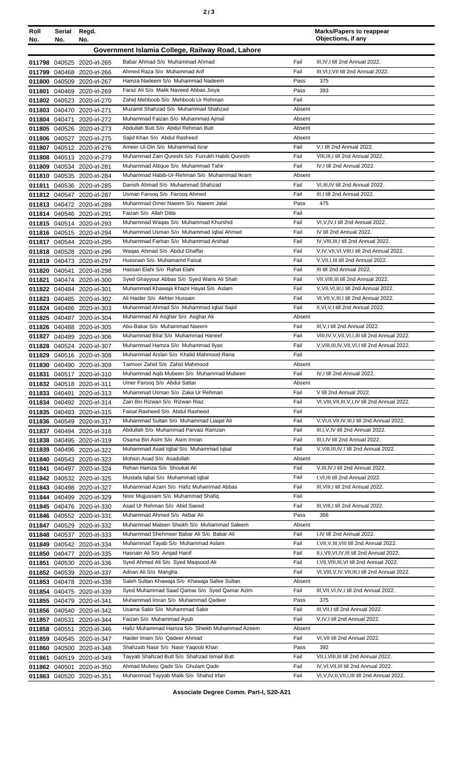| Roll<br>No. | Serial<br>No. | Regd.<br>No.                                             |                                                                                |                  | <b>Marks/Papers to reappear</b><br>Objections, if any                   |
|-------------|---------------|----------------------------------------------------------|--------------------------------------------------------------------------------|------------------|-------------------------------------------------------------------------|
|             |               |                                                          | Government Islamia College, Railway Road, Lahore                               |                  |                                                                         |
|             |               | 011798 040525 2020-irl-265                               | Babar Ahmad S/o Muhammad Ahmad                                                 | Fail             | III, IV, I till 2nd Annual 2022.                                        |
|             |               | 011799 040468 2020-irl-266                               | Ahmed Raza S/o Muhammad Arif                                                   | Fail             | III, VI, I, VII till 2nd Annual 2022.                                   |
|             |               | 011800 040509 2020-irl-267                               | Hamza Nadeem S/o Muhammad Nadeem                                               | Pass             | 375                                                                     |
|             |               | 011801 040469 2020-irl-269                               | Faraz Ali S/o Malik Naveed Abbas Joiya                                         | Pass             | 393                                                                     |
|             |               | 011802 040523 2020-irl-270                               | Zahid Mehboob S/o Mehboob Ur Rehman                                            | Fail             |                                                                         |
|             |               | 011803 040470 2020-irl-271                               | Muzamil Shahzad S/o Muhammad Shahzad                                           | Absent           |                                                                         |
|             |               | 011804 040471 2020-irl-272                               | Muhammad Faizan S/o Muhammad Ajmal<br>Abdullah Butt S/o Abdul Rehman Butt      | Absent           |                                                                         |
|             |               | 011805 040526 2020-irl-273<br>011806 040527 2020-irl-275 | Sajid Khan S/o Abdul Rasheed                                                   | Absent<br>Absent |                                                                         |
|             |               | 011807 040512 2020-irl-276                               | Ameer-UI-Din S/o Muhammad Israr                                                | Fail             | V,I till 2nd Annual 2022.                                               |
|             |               | 011808 040513 2020-irl-279                               | Muhammad Zain Qureshi S/o Furrukh Habib Qureshi                                | Fail             | VIII, III, I till 2nd Annual 2022.                                      |
|             |               | 011809 040534 2020-irl-281                               | Muhammad Attique S/o Muhammad Tahir                                            | Fail             | IV, I till 2nd Annual 2022.                                             |
|             |               | 011810 040535 2020-irl-284                               | Muhammad Habib-Ur-Rehman S/o Muhammad Ikram                                    | Absent           |                                                                         |
|             |               | 011811 040536 2020-irl-285                               | Danish Ahmad S/o Muhammad Shahzad                                              | Fail             | VI, III, IV till 2nd Annual 2022.                                       |
|             |               | 011812 040547 2020-irl-287                               | Usman Farooq S/o Farooq Ahmed                                                  | Fail             | III, I till 2nd Annual 2022.                                            |
|             |               | 011813 040472 2020-irl-289                               | Muhammad Omer Naeem S/o Naeem Jalal                                            | Pass             | 475                                                                     |
|             |               | 011814 040546 2020-irl-291                               | Faizan S/o Allah Ditta                                                         | Fail             |                                                                         |
|             |               | 011815 040514 2020-irl-293                               | Muhammad Waqas S/o Muhammad Khurshid                                           | Fail             | VI, V, IV, I till 2nd Annual 2022.                                      |
|             |               | 011816 040515 2020-irl-294                               | Muhammad Usman S/o Muhammad Iqbal Ahmad<br>Muhammad Farhan S/o Muhammad Arshad | Fail<br>Fail     | IV till 2nd Annual 2022.<br>IV. VIII. III. I till 2nd Annual 2022.      |
|             |               | 011817 040544 2020-irl-295                               | Waqas Ahmad S/o Abdul Ghaffar                                                  | Fail             | V, IV, VII, VI, VIII, I till 2nd Annual 2022.                           |
|             |               | 011818 040528 2020-irl-296<br>011819 040473 2020-irl-297 | Hussnain S/o Muhamamd Faisal                                                   | Fail             | V, VII, I, III till 2nd Annual 2022.                                    |
|             |               | 011820 040541 2020-irl-298                               | Hassan Elahi S/o Rahat Elahi                                                   | Fail             | III till 2nd Annual 2022.                                               |
|             |               | 011821 040474 2020-irl-300                               | Syed Ghayyour Abbas S/o Syed Waris Ali Shah                                    | Fail             | VII, VIII, III till 2nd Annual 2022.                                    |
|             |               | 011822 040484 2020-irl-301                               | Muhammad Khawaja Khazir Hayat S/o Aslam                                        | Fail             | V, VII, VI, III, I till 2nd Annual 2022.                                |
|             |               | 011823 040485 2020-irl-302                               | Ali Haider S/o Akhter Hussain                                                  | Fail             | VI, VII, V, III, I till 2nd Annual 2022.                                |
|             |               | 011824 040486 2020-irl-303                               | Muhammad Ahmad S/o Muhammad Iqbal Sajid                                        | Fail             | II, VI, V, I till 2nd Annual 2022.                                      |
|             |               | 011825 040487 2020-irl-304                               | Muhammad Ali Asghar S/o Asghar Ali                                             | Absent           |                                                                         |
|             |               | 011826 040488 2020-irl-305                               | Abu-Bakar S/o Muhammad Naeem                                                   | Fail             | III, V, I till 2nd Annual 2022.                                         |
|             |               | 011827 040489 2020-irl-306                               | Muhammad Bilal S/o Muhammad Haneef                                             | Fail             | VIII, IV, V, VII, VI, I, III till 2nd Annual 2022.                      |
|             |               | 011828 040524 2020-irl-307                               | Muhammad Hamza S/o Muhammad Ilyas                                              | Fail             | V, VIII, III, IV, VII, VI, I till 2nd Annual 2022.                      |
|             |               | 011829 040516 2020-irl-308                               | Muhammad Arslan S/o Khalid Mahmood Rana<br>Taimoor Zahid S/o Zahid Mahmood     | Fail<br>Absent   |                                                                         |
|             |               | 011830 040490 2020-irl-309                               | Muhammad Aqib Mubeen S/o Muhammad Mubeen                                       | Fail             | IV, I till 2nd Annual 2022.                                             |
|             |               | 011831 040517 2020-irl-310<br>011832 040518 2020-irl-311 | Umer Faroog S/o Abdul Sattar                                                   | Absent           |                                                                         |
|             |               | 011833 040491 2020-irl-313                               | Muhammad Usman S/o Zaka Ur Rehman                                              | Fail             | V till 2nd Annual 2022.                                                 |
|             |               | 011834 040492 2020-irl-314                               | Zain Bin Rizwan S/o Rizwan Riaz                                                | Fail             | VI, VIII, VII, III, V, I, IV till 2nd Annual 2022.                      |
|             |               | 011835 040493 2020-irl-315                               | Faisal Rasheed S/o Abdul Rasheed                                               | Fail             |                                                                         |
|             |               | 011836 040549 2020-irl-317                               | Muhammad Sultan S/o Muhammad Liagat Ali                                        | Fail             | V, VI, II, VII, IV, III, I till 2nd Annual 2022.                        |
|             |               | 011837 040494 2020-irl-318                               | Abdullah S/o Muhammad Parvaiz Ramzan                                           | Fail             | III, I, V, IV till 2nd Annual 2022.                                     |
|             |               | 011838 040495 2020-irl-319                               | Osama Bin Asim S/o Asim Imran                                                  | Fail             | III, I, IV till 2nd Annual 2022.                                        |
|             |               | 011839 040496 2020-irl-322                               | Muhammad Asad Iqbal S/o Muhammad Iqbal                                         | Fail             | V, VIII, III, IV, I till 2nd Annual 2022.                               |
|             |               | 011840 040543 2020-irl-323                               | Mohsin Asad S/o Asadullah                                                      | Absent           |                                                                         |
|             |               | 011841 040497 2020-irl-324                               | Rehan Hamza S/o Shoukat Ali                                                    | Fail             | V, III, IV, I till 2nd Annual 2022.<br>I, VI, III till 2nd Annual 2022. |
|             |               | 011842 040532 2020-irl-325                               | Mustafa Iqbal S/o Muhammad Iqbal<br>Muhammad Azam S/o Hafiz Muhammad Abbas     | Fail<br>Fail     | III, VIII, I till 2nd Annual 2022.                                      |
|             |               | 011843 040498 2020-irl-327<br>011844 040499 2020-irl-329 | Noor Mujjussam S/o Muhammad Shafiq                                             | Fail             |                                                                         |
|             |               | 011845 040476 2020-irl-330                               | Asad Ur Rehman S/o Abid Saeed                                                  | Fail             | III, VIII, I till 2nd Annual 2022.                                      |
|             |               | 011846 040552 2020-irl-331                               | Muhammad Ahmed S/o Akbar Ali                                                   | Pass             | 356                                                                     |
|             |               | 011847 040529 2020-irl-332                               | Muhammad Mateen Sheikh S/o Muhammad Saleem                                     | Absent           |                                                                         |
|             |               | 011848 040537 2020-irl-333                               | Muhammad Shehmeer Babar Ali S/o Babar Ali                                      | Fail             | I,IV till 2nd Annual 2022.                                              |
|             |               | 011849 040542 2020-irl-334                               | Muhammad Tayab S/o Muhammad Aslam                                              | Fail             | I, VII, V, III, VIII till 2nd Annual 2022.                              |
|             |               | 011850 040477 2020-irl-335                               | Hasnain Ali S/o Amjad Hanif                                                    | Fail             | II, I, VII, VI, IV, III till 2nd Annual 2022.                           |
|             |               | 011851 040530 2020-irl-336                               | Syed Ahmed Ali S/o Syed Maqsood Ali                                            | Fail             | I, VII, VIII, III, VI till 2nd Annual 2022.                             |
|             |               | 011852 040539 2020-irl-337                               | Adnan Ali S/o Mangha                                                           | Fail             | VI, VIII, V, IV, VII, III, I till 2nd Annual 2022.                      |
|             |               | 011853 040478 2020-irl-338                               | Saleh Sultan Khawaja S/o Khawaja Safee Sultan                                  | Absent           |                                                                         |
|             |               | 011854 040475 2020-irl-339                               | Syed Muhammad Saad Qamar S/o Syed Qamar Azim                                   | Fail             | III, VII, VI, IV, I till 2nd Annual 2022.                               |
|             |               | 011855 040479 2020-irl-341                               | Muhammad Imran S/o Muhammad Qadeer<br>Usama Sabir S/o Muhammad Sabir           | Pass<br>Fail     | 375<br>III, VII, I till 2nd Annual 2022.                                |
|             |               | 011856 040540 2020-irl-342<br>011857 040531 2020-irl-344 | Faizan S/o Muhammad Ayub                                                       | Fail             | V, IV, I till 2nd Annual 2022.                                          |
|             |               | 011858 040551 2020-irl-346                               | Hafiz Muhammad Hamza S/o Shiekh Muhammad Azeem                                 | Absent           |                                                                         |
|             |               | 011859 040545 2020-irl-347                               | Haider Imam S/o Qadeer Ahmad                                                   | Fail             | VI, VII till 2nd Annual 2022.                                           |
|             |               | 011860 040500 2020-irl-348                               | Shahzaib Nasir S/o Nasir Yaqoob Khan                                           | Pass             | 392                                                                     |
|             |               | 011861 040519 2020-irl-349                               | Tayyab Shahzad Butt S/o Shahzad Ismail Butt                                    | Fail             | VII, I, VIII, III till 2nd Annual 2022.                                 |
|             |               | 011862 040501 2020-irl-350                               | Ahmad Mufeez Qadir S/o Ghulam Qadir                                            | Fail             | IV, VI, VII, III till 2nd Annual 2022.                                  |
|             |               | 011863 040520 2020-irl-351                               | Muhammad Tayyab Malik S/o Shahid Irfan                                         | Fail             | VI, V, IV, II, VII, I, III till 2nd Annual 2022.                        |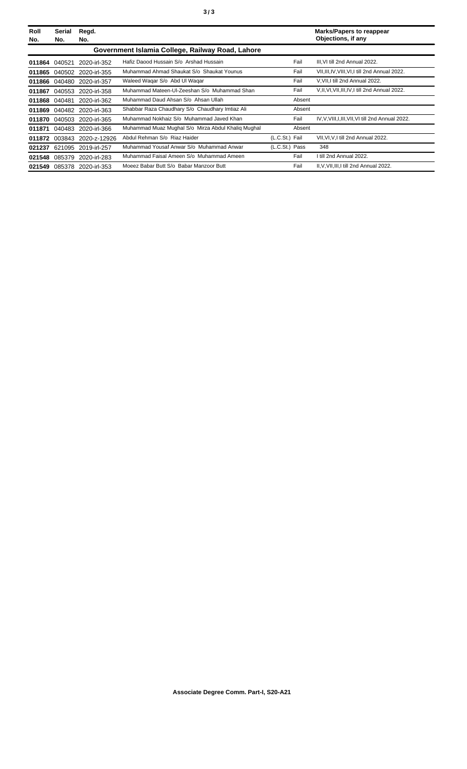| Roll<br>No. | Serial<br>No. | Regd.<br>No.               |                                                    |                | <b>Marks/Papers to reappear</b><br>Objections, if any |
|-------------|---------------|----------------------------|----------------------------------------------------|----------------|-------------------------------------------------------|
|             |               |                            | Government Islamia College, Railway Road, Lahore   |                |                                                       |
| 011864      | 040521        | 2020-irl-352               | Hafiz Daood Hussain S/o Arshad Hussain             | Fail           | III.VI till 2nd Annual 2022.                          |
| 011865      |               | 040502 2020-irl-355        | Muhammad Ahmad Shaukat S/o Shaukat Younus          | Fail           | VII, III, IV, VIII, VI, I till 2nd Annual 2022.       |
| 011866      | 040480        | 2020-irl-357               | Waleed Wagar S/o Abd UI Wagar                      | Fail           | V.VII.I till 2nd Annual 2022.                         |
| 011867      |               | 040553 2020-irl-358        | Muhammad Mateen-UI-Zeeshan S/o Muhammad Shan       | Fail           | V.II, VI, VII, III, IV, I till 2nd Annual 2022.       |
| 011868      | 040481        | 2020-irl-362               | Muhammad Daud Ahsan S/o Ahsan Ullah                | Absent         |                                                       |
| 011869      |               | 040482 2020-irl-363        | Shabbar Raza Chaudhary S/o Chaudhary Imtiaz Ali    | Absent         |                                                       |
| 011870      | 040503        | 2020-irl-365               | Muhammad Nokhaiz S/o Muhammad Javed Khan           | Fail           | IV, V, VIII, I, III, VII, VI till 2nd Annual 2022.    |
| 011871      |               | 040483 2020-irl-366        | Muhammad Muaz Mughal S/o Mirza Abdul Khalig Mughal | Absent         |                                                       |
| 011872      | 003843        | 2020-z-12926               | Abdul Rehman S/o Riaz Haider                       | (L.C.St.) Fail | VII, VI, V, I till 2nd Annual 2022.                   |
| 021237      |               | 621095 2019-irl-257        | Muhammad Yousaf Anwar S/o Muhammad Anwar           | (L.C.St.) Pass | 348                                                   |
| 021548      | 085379        | 2020-irl-283               | Muhammad Faisal Ameen S/o Muhammad Ameen           | Fail           | till 2nd Annual 2022.                                 |
|             |               | 021549 085378 2020-irl-353 | Moeez Babar Butt S/o Babar Manzoor Butt            | Fail           | II, V, VII, III, I till 2nd Annual 2022.              |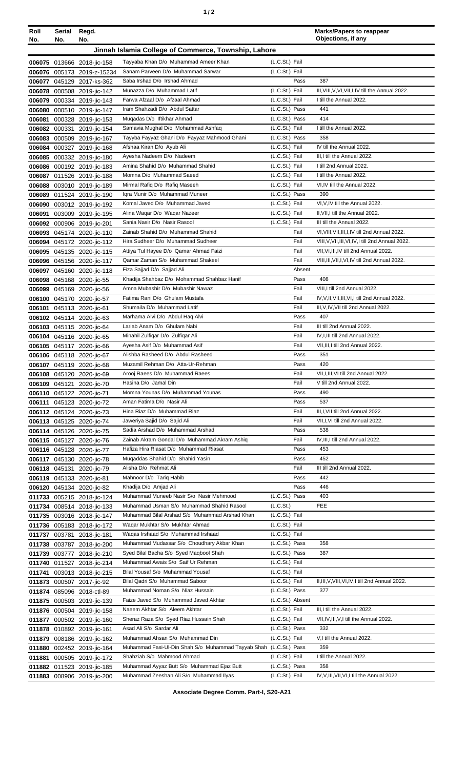| Roll<br>No. | Serial<br>No. | Regd.<br>No.                                             |                                                                                    |                                    | <b>Marks/Papers to reappear</b><br>Objections, if any                                     |
|-------------|---------------|----------------------------------------------------------|------------------------------------------------------------------------------------|------------------------------------|-------------------------------------------------------------------------------------------|
|             |               |                                                          | Jinnah Islamia College of Commerce, Township, Lahore                               |                                    |                                                                                           |
|             |               | 006075 013666 2018-jic-158                               | Tayyaba Khan D/o Muhammad Ameer Khan                                               | (L.C.St.) Fail                     |                                                                                           |
|             |               | 006076 005173 2019-z-15234                               | Sanam Parveen D/o Muhammad Sarwar                                                  | (L.C.St.) Fail                     |                                                                                           |
|             |               | 006077 045129 2017-ks-362                                | Saba Irshad D/o Irshad Ahmad                                                       | Pass                               | 387                                                                                       |
|             |               | 006078 000508 2019-jic-142                               | Munazza D/o Muhammad Latif                                                         | (L.C.St.) Fail                     | III, VIII, V, VI, VII, I, IV till the Annual 2022.                                        |
|             |               | 006079 000334 2019-jic-143                               | Farwa Afzaal D/o Afzaal Ahmad                                                      | (L.C.St.) Fail                     | I till the Annual 2022.                                                                   |
|             |               | 006080 000510 2019-jic-147                               | Iram Shahzadi D/o Abdul Sattar                                                     | (L.C.St.) Pass                     | 441                                                                                       |
|             |               | 006081 000328 2019-jic-153                               | Muqadas D/o Iftikhar Ahmad                                                         | (L.C.St.) Pass                     | 414                                                                                       |
|             |               | 006082 000331 2019-jic-154                               | Samavia Mughal D/o Mohammad Ashfaq<br>Tayyba Fayyaz Ghani D/o Fayyaz Mahmood Ghani | (L.C.St.) Fail<br>(L.C.St.) Pass   | I till the Annual 2022.<br>358                                                            |
|             |               | 006083 000509 2019-jic-167                               | Afshaa Kiran D/o Ayub Ali                                                          | (L.C.St.) Fail                     | IV till the Annual 2022.                                                                  |
|             |               | 006084 000327 2019-jic-168<br>006085 000332 2019-jic-180 | Ayesha Nadeem D/o Nadeem                                                           | (L.C.St.) Fail                     | III, I till the Annual 2022.                                                              |
|             |               | 006086 000192 2019-jic-183                               | Amina Shahid D/o Muhammad Shahid                                                   | (L.C.St.) Fail                     | I till 2nd Annual 2022.                                                                   |
|             |               | 006087 011526 2019-jic-188                               | Momna D/o Muhammad Saeed                                                           | (L.C.St.) Fail                     | I till the Annual 2022.                                                                   |
|             |               | 006088 003010 2019-jic-189                               | Mirmal Rafiq D/o Rafiq Maseeh                                                      | (L.C.St.) Fail                     | VI, IV till the Annual 2022.                                                              |
|             |               | 006089 011524 2019-jic-190                               | Igra Munir D/o Muhammad Muneer                                                     | (L.C.St.) Pass                     | 390                                                                                       |
|             |               | 006090 003012 2019-jic-192                               | Komal Javed D/o Muhammad Javed                                                     | (L.C.St.) Fail                     | VI, VIV till the Annual 2022.                                                             |
|             |               | 006091 003009 2019-jic-195                               | Alina Waqar D/o Waqar Nazeer                                                       | (L.C.St.) Fail                     | II, VII, I till the Annual 2022.                                                          |
|             |               | 006092 000906 2019-jic-201                               | Sania Nasir D/o Nasir Rasool                                                       | (L.C.St.) Fail                     | III till the Annual 2022.                                                                 |
|             |               | 006093 045174 2020-jic-110                               | Zainab Shahid D/o Muhammad Shahid                                                  | Fail                               | VI, VIII, VII, III, I, IV till 2nd Annual 2022.                                           |
|             |               | 006094 045172 2020-jic-112                               | Hira Sudheer D/o Muhammad Sudheer                                                  | Fail                               | VIII, V, VII, III, VI, IV, I till 2nd Annual 2022.                                        |
|             |               | 006095 045135 2020-jic-115                               | Attiya Tul Hayee D/o Qamar Ahmad Faizi<br>Qamar Zaman S/o Muhammad Shakeel         | Fail<br>Fail                       | VII, VI, III, IV till 2nd Annual 2022.<br>VIII, III, VII, I, VI, IV till 2nd Annual 2022. |
|             |               | 006096 045156 2020-jic-117<br>006097 045160 2020-jic-118 | Fiza Sajjad D/o Sajjad Ali                                                         | Absent                             |                                                                                           |
|             |               | 006098 045168 2020-jic-55                                | Khadija Shahbaz D/o Mohammad Shahbaz Hanif                                         | Pass                               | 408                                                                                       |
|             |               | 006099 045169 2020-jic-56                                | Amna Mubashir D/o Mubashir Nawaz                                                   | Fail                               | VIII, I till 2nd Annual 2022.                                                             |
|             |               | 006100 045170 2020-jic-57                                | Fatima Rani D/o Ghulam Mustafa                                                     | Fail                               | IV, V, II, VII, III, VI, I till 2nd Annual 2022.                                          |
|             |               | 006101 045113 2020-jic-61                                | Shumaila D/o Muhammad Latif                                                        | Fail                               | III, V, IV, VII till 2nd Annual 2022.                                                     |
|             |               | 006102 045114 2020-jic-63                                | Marhama Alvi D/o Abdul Haq Alvi                                                    | Pass                               | 407                                                                                       |
|             |               | 006103 045115 2020-jic-64                                | Lariab Anam D/o Ghulam Nabi                                                        | Fail                               | III till 2nd Annual 2022.                                                                 |
|             |               | 006104 045116 2020-jic-65                                | Minahil Zulfiqar D/o Zulfiqar Ali                                                  | Fail                               | IV, I, III till 2nd Annual 2022.                                                          |
|             |               | 006105 045117 2020-jic-66                                | Ayesha Asif D/o Muhammad Asif                                                      | Fail                               | VII, III, I till 2nd Annual 2022.                                                         |
|             |               | 006106 045118 2020-jic-67                                | Alishba Rasheed D/o Abdul Rasheed                                                  | Pass                               | 351                                                                                       |
|             |               | 006107 045119 2020-jic-68                                | Muzamil Rehman D/o Atta-Ur-Rehman<br>Arooj Raees D/o Muhammad Raees                | Pass<br>Fail                       | 420<br>VII, I, III, VI till 2nd Annual 2022.                                              |
|             |               | 006108 045120 2020-jic-69<br>006109 045121 2020-jic-70   | Hasina D/o Jamal Din                                                               | Fail                               | V till 2nd Annual 2022.                                                                   |
|             |               | 006110 045122 2020-jic-71                                | Momna Younas D/o Muhammad Younas                                                   | Pass                               | 490                                                                                       |
|             |               | 006111 045123 2020-jic-72                                | Aman Fatima D/o Nasir Ali                                                          | Pass                               | 537                                                                                       |
|             |               | 006112 045124 2020-jic-73                                | Hina Riaz D/o Muhammad Riaz                                                        | Fail                               | III, I, VII till 2nd Annual 2022.                                                         |
|             |               | 006113 045125 2020-jic-74                                | Jaweriya Sajid D/o Sajid Ali                                                       | Fail                               | VII, I, VI till 2nd Annual 2022.                                                          |
|             |               | 006114 045126 2020-jic-75                                | Sadia Arshad D/o Muhammad Arshad                                                   | Pass                               | 538                                                                                       |
|             |               | 006115 045127 2020-jic-76                                | Zainab Akram Gondal D/o Muhammad Akram Ashiq                                       | Fail                               | IV, III, I till 2nd Annual 2022.                                                          |
|             |               | 006116 045128 2020-jic-77                                | Hafiza Hira Riasat D/o Muhammad Riasat                                             | Pass                               | 453                                                                                       |
|             |               | 006117 045130 2020-jic-78                                | Mugaddas Shahid D/o Shahid Yasin                                                   | Pass                               | 452                                                                                       |
|             |               | 006118 045131 2020-jic-79                                | Alisha D/o Rehmat Ali                                                              | Fail                               | III till 2nd Annual 2022.                                                                 |
|             |               | 006119 045133 2020-jic-81                                | Mahnoor D/o Tariq Habib<br>Khadija D/o Amjad Ali                                   | Pass<br>Pass                       | 442<br>446                                                                                |
|             |               | 006120 045134 2020-jic-82<br>011733 005215 2018-jic-124  | Muhammad Muneeb Nasir S/o Nasir Mehmood                                            | (L.C.St.) Pass                     | 403                                                                                       |
|             |               | 011734 008514 2018-jic-133                               | Muhammad Usman S/o Muhammad Shahid Rasool                                          | (L.C.St.)                          | <b>FEE</b>                                                                                |
|             |               | 011735 003016 2018-jic-147                               | Muhammad Bilal Arshad S/o Muhammad Arshad Khan                                     | (L.C.St.) Fail                     |                                                                                           |
|             |               | 011736 005183 2018-jic-172                               | Waqar Mukhtar S/o Mukhtar Ahmad                                                    | (L.C.St.) Fail                     |                                                                                           |
|             |               | 011737 003781 2018-jic-181                               | Wagas Irshaad S/o Muhammad Irshaad                                                 | (L.C.St.) Fail                     |                                                                                           |
|             |               | 011738 003787 2018-jic-200                               | Muhammad Mudassar S/o Choudhary Akbar Khan                                         | (L.C.St.) Pass                     | 358                                                                                       |
|             |               | 011739 003777 2018-jic-210                               | Syed Bilal Bacha S/o Syed Maqbool Shah                                             | (L.C.St.) Pass                     | 387                                                                                       |
|             |               | 011740 011527 2018-jic-214                               | Muhammad Awais S/o Saif Ur Rehman                                                  | (L.C.St.) Fail                     |                                                                                           |
|             |               | 011741 003013 2018-jic-215                               | Bilal Yousaf S/o Muhammad Yousaf                                                   | (L.C.St.) Fail                     |                                                                                           |
|             |               | 011873 000507 2017-jic-92                                | Bilal Qadri S/o Muhammad Saboor                                                    | (L.C.St.) Fail                     | II, III, V, VIII, VI, IV, I till 2nd Annual 2022.                                         |
|             |               | 011874 085096 2018-ctl-89                                | Muhammad Noman S/o Niaz Hussain<br>Faize Javed S/o Muhammad Javed Akhtar           | (L.C.St.) Pass                     | 377                                                                                       |
|             |               | 011875 000503 2019-jic-139                               | Naeem Akhtar S/o Aleem Akhtar                                                      | (L.C.St.) Absent<br>(L.C.St.) Fail | III,I till the Annual 2022.                                                               |
|             |               | 011876 000504 2019-jic-158                               | Sheraz Raza S/o Syed Riaz Hussain Shah                                             | (L.C.St.) Fail                     | VII, IV, III, V, I till the Annual 2022.                                                  |
|             |               | 011877 000502 2019-jic-160<br>011878 010892 2019-jic-161 | Asad Ali S/o Sardar Ali                                                            | (L.C.St.) Pass                     | 332                                                                                       |
|             |               | 011879 008186 2019-jic-162                               | Muhammad Ahsan S/o Muhammad Din                                                    | (L.C.St.) Fail                     | V,I till the Annual 2022.                                                                 |
|             |               | 011880 002452 2019-jic-164                               | Muhammad Fasi-Ul-Din Shah S/o Muhammad Tayyab Shah (L.C.St.) Pass                  |                                    | 359                                                                                       |
|             |               | 011881 000505 2019-jic-172                               | Shahziab S/o Mahmood Ahmad                                                         | (L.C.St.) Fail                     | I till the Annual 2022.                                                                   |
|             |               | 011882 011523 2019-jic-185                               | Muhammad Ayyaz Butt S/o Muhammad Ejaz Butt                                         | (L.C.St.) Pass                     | 358                                                                                       |
|             |               | 011883 008906 2019-jic-200                               | Muhammad Zeeshan Ali S/o Muhammad Ilyas                                            | (L.C.St.) Fail                     | IV, V, III, VII, VI, I till the Annual 2022.                                              |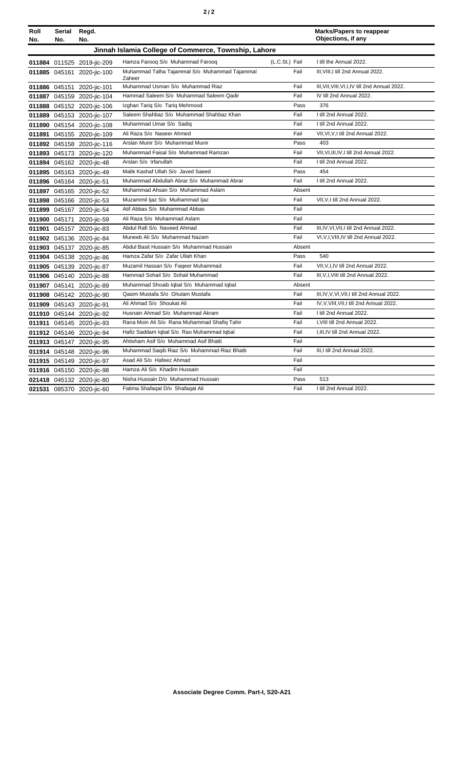|--|--|--|--|

| Roll   | Serial | Regd.                      |                                                         |                | <b>Marks/Papers to reappear</b><br>Objections, if any |
|--------|--------|----------------------------|---------------------------------------------------------|----------------|-------------------------------------------------------|
| No.    | No.    | No.                        |                                                         |                |                                                       |
|        |        |                            | Jinnah Islamia College of Commerce, Township, Lahore    |                |                                                       |
|        |        | 011884 011525 2019-jic-209 | Hamza Faroog S/o Muhammad Faroog                        | (L.C.St.) Fail | I till the Annual 2022.                               |
|        |        | 011885 045161 2020-jic-100 | Muhammad Talha Tajammal S/o Muhammad Tajammal<br>Zaheer | Fail           | III. VIII. I till 2nd Annual 2022.                    |
|        |        | 011886 045151 2020-jic-101 | Muhammad Usman S/o Muhammad Riaz                        | Fail           | III, VII, VIII, VI, I, IV till 2nd Annual 2022.       |
|        |        | 011887 045159 2020-jic-104 | Hammad Saleem S/o Muhammad Saleem Qadir                 | Fail           | IV till 2nd Annual 2022.                              |
|        |        | 011888 045152 2020-jic-106 | Izghan Tariq S/o Tariq Mehmood                          | Pass           | 376                                                   |
|        |        | 011889 045153 2020-jic-107 | Saleem Shahbaz S/o Muhammad Shahbaz Khan                | Fail           | I till 2nd Annual 2022.                               |
|        |        | 011890 045154 2020-jic-108 | Muhammad Umar S/o Sadiq                                 | Fail           | I till 2nd Annual 2022.                               |
|        |        | 011891 045155 2020-jic-109 | Ali Raza S/o Naseer Ahmed                               | Fail           | VII, VI, V, I till 2nd Annual 2022.                   |
|        |        | 011892 045158 2020-jic-116 | Arslan Munir S/o Muhammad Munir                         | Pass           | 403                                                   |
|        |        | 011893 045173 2020-jic-120 | Muhammad Faisal S/o Muhammad Ramzan                     | Fail           | VII, VI, III, IV, I till 2nd Annual 2022.             |
|        |        | 011894 045162 2020-jic-48  | Arslan S/o Irfanullah                                   | Fail           | I till 2nd Annual 2022.                               |
|        |        | 011895 045163 2020-jic-49  | Malik Kashaf Ullah S/o Javed Saeed                      | Pass           | 454                                                   |
|        |        | 011896 045164 2020-jic-51  | Muhammad Abdullah Abrar S/o Muhammad Abrar              | Fail           | I till 2nd Annual 2022.                               |
|        |        | 011897 045165 2020-jic-52  | Muhammad Ahsan S/o Muhammad Aslam                       | Absent         |                                                       |
|        |        | 011898 045166 2020-jic-53  | Muzammil Ijaz S/o Muihammad Ijaz                        | Fail           | VII, V, I till 2nd Annual 2022.                       |
|        |        | 011899 045167 2020-jic-54  | Atif Abbas S/o Muhammad Abbas                           | Fail           |                                                       |
|        |        | 011900 045171 2020-jic-59  | Ali Raza S/o Muhammad Aslam                             | Fail           |                                                       |
|        |        | 011901 045157 2020-jic-83  | Abdul Rafi S/o Naveed Ahmad                             | Fail           | III, IV, VI, VII, I till 2nd Annual 2022.             |
|        |        | 011902 045136 2020-jic-84  | Muneeb Ali S/o Muhammad Nazam                           | Fail           | VI, V, I, VIII, IV till 2nd Annual 2022.              |
|        |        | 011903 045137 2020-jic-85  | Abdul Basit Hussain S/o Muhammad Hussain                | Absent         |                                                       |
|        |        | 011904 045138 2020-jic-86  | Hamza Zafar S/o Zafar Ullah Khan                        | Pass           | 540                                                   |
|        |        | 011905 045139 2020-jic-87  | Muzamil Hassan S/o Fageer Muhammad                      | Fail           | VII, V, I, IV till 2nd Annual 2022.                   |
|        |        | 011906 045140 2020-jic-88  | Hammad Sohail S/o Sohail Muhammad                       | Fail           | III, V, I, VIII till 2nd Annual 2022.                 |
|        |        | 011907 045141 2020-jic-89  | Muhammad Shoaib Iqbal S/o Muhammad Iqbal                | Absent         |                                                       |
|        |        | 011908 045142 2020-jic-90  | Qasim Mustafa S/o Ghulam Mustafa                        | Fail           | III, IV, V, VI, VII, I till 2nd Annual 2022.          |
|        |        | 011909 045143 2020-jic-91  | Ali Ahmad S/o Shoukat Ali                               | Fail           | IV, V, VIII, VII, I till 2nd Annual 2022.             |
|        |        | 011910 045144 2020-jic-92  | Husnain Ahmad S/o Muhammad Akram                        | Fail           | I till 2nd Annual 2022.                               |
| 011911 |        | 045145 2020-jic-93         | Rana Moin Ali S/o Rana Muhammad Shafiq Tahir            | Fail           | I, VIII till 2nd Annual 2022.                         |
|        |        | 011912 045146 2020-jic-94  | Hafiz Saddam Iqbal S/o Rao Muhammad Iqbal               | Fail           | I, III, IV till 2nd Annual 2022.                      |
|        |        | 011913 045147 2020-jic-95  | Ahtisham Asif S/o Muhammad Asif Bhatti                  | Fail           |                                                       |
|        |        | 011914 045148 2020-jic-96  | Muhammad Saqib Riaz S/o Muhammad Riaz Bhatti            | Fail           | III, I till 2nd Annual 2022.                          |
|        |        | 011915 045149 2020-jic-97  | Asad Ali S/o Hafeez Ahmad                               | Fail           |                                                       |
|        |        | 011916 045150 2020-jic-98  | Hamza Ali S/o Khadim Hussain                            | Fail           |                                                       |
|        |        | 021418 045132 2020-jic-80  | Nisha Hussain D/o Muhammad Hussain                      | Pass           | 513                                                   |
|        |        | 021531 085370 2020-jic-60  | Fatima Shafaqat D/o Shafaqat Ali                        | Fail           | I till 2nd Annual 2022.                               |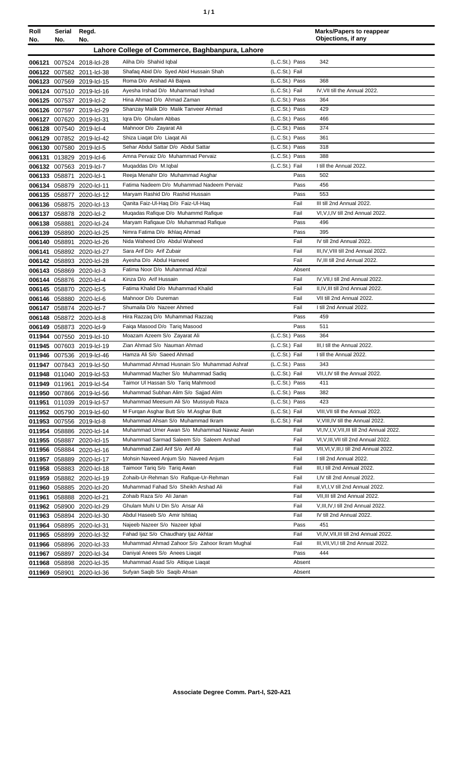| ٦ | ٠ |
|---|---|
|   |   |

| Roll<br>No. | Serial<br>No. | Regd.<br>No.              |                                                 |                | <b>Marks/Papers to reappear</b><br>Objections, if any |
|-------------|---------------|---------------------------|-------------------------------------------------|----------------|-------------------------------------------------------|
|             |               |                           | Lahore College of Commerce, Baghbanpura, Lahore |                |                                                       |
|             |               | 006121 007524 2018-lcl-28 | Aliha D/o Shahid Iqbal                          | (L.C.St.) Pass | 342                                                   |
|             |               | 006122 007582 2011-Icl-38 | Shafaq Abid D/o Syed Abid Hussain Shah          | (L.C.St.) Fail |                                                       |
|             |               | 006123 007569 2019-lcl-15 | Roma D/o Arshad Ali Bajwa                       | (L.C.St.) Pass | 368                                                   |
|             |               | 006124 007510 2019-lcl-16 | Ayesha Irshad D/o Muhammad Irshad               | (L.C.St.) Fail | IV, VII till the Annual 2022.                         |
|             |               | 006125 007537 2019-lcl-2  | Hina Ahmad D/o Ahmad Zaman                      | (L.C.St.) Pass | 364                                                   |
|             |               | 006126 007597 2019-lcl-29 | Shanzay Malik D/o Malik Tanveer Ahmad           | (L.C.St.) Pass | 429                                                   |
|             |               | 006127 007620 2019-lcl-31 | Igra D/o Ghulam Abbas                           | (L.C.St.) Pass | 466                                                   |
|             |               | 006128 007540 2019-lcl-4  | Mahnoor D/o Zayarat Ali                         | (L.C.St.) Pass | 374                                                   |
|             |               | 006129 007852 2019-lcl-42 | Shiza Liagat D/o Liagat Ali                     | (L.C.St.) Pass | 361                                                   |
|             |               | 006130 007580 2019-lcl-5  | Sehar Abdul Sattar D/o Abdul Sattar             | (L.C.St.) Pass | 318                                                   |
|             |               | 006131 013829 2019-lcl-6  | Amna Pervaiz D/o Muhammad Pervaiz               | (L.C.St.) Pass | 388                                                   |
|             |               | 006132 007563 2019-lcl-7  | Muqaddas D/o M.Iqbal                            | (L.C.St.) Fail | I till the Annual 2022.                               |
|             | 006133 058871 | 2020-lcl-1                | Reeja Menahir D/o Muhammad Asghar               | Pass           | 502                                                   |
|             |               | 006134 058879 2020-lcl-11 | Fatima Nadeem D/o Muhammad Nadeem Pervaiz       | Pass           | 456                                                   |
|             |               | 006135 058877 2020-lcl-12 | Maryam Rashid D/o Rashid Hussain                | Pass           | 553                                                   |
|             |               | 006136 058875 2020-lcl-13 | Qanita Faiz-Ul-Haq D/o Faiz-Ul-Haq              | Fail           | III till 2nd Annual 2022.                             |
|             |               | 006137 058878 2020-lcl-2  | Mugadas Rafique D/o Muhammd Rafique             | Fail           | VI, V, I, IV till 2nd Annual 2022.                    |
|             |               | 006138 058881 2020-lcl-24 | Maryam Rafiqaue D/o Muhammad Rafique            | Pass           | 496                                                   |
|             |               | 006139 058890 2020-lcl-25 | Nimra Fatima D/o Ikhlaq Ahmad                   | Pass           | 395                                                   |
|             |               | 006140 058891 2020-lcl-26 | Nida Waheed D/o Abdul Waheed                    | Fail           | IV till 2nd Annual 2022.                              |
|             |               | 006141 058892 2020-lcl-27 | Sara Arif D/o Arif Zubair                       | Fail           | III, IV, VIII till 2nd Annual 2022.                   |
|             |               | 006142 058893 2020-lcl-28 | Ayesha D/o Abdul Hameed                         | Fail           | IV, III till 2nd Annual 2022.                         |
|             |               | 006143 058869 2020-lcl-3  | Fatima Noor D/o Muhammad Afzal                  | Absent         |                                                       |
|             |               | 006144 058876 2020-lcl-4  | Kinza D/o Arif Hussain                          | Fail           | IV, VII, I till 2nd Annual 2022.                      |
|             |               | 006145 058870 2020-lcl-5  | Fatima Khalid D/o Muhammad Khalid               | Fail           | II, IV, III till 2nd Annual 2022.                     |
|             |               | 006146 058880 2020-lcl-6  | Mahnoor D/o Dureman                             | Fail           | VII till 2nd Annual 2022.                             |
|             |               | 006147 058874 2020-lcl-7  | Shumaila D/o Nazeer Ahmed                       | Fail           | I till 2nd Annual 2022.                               |
|             |               | 006148 058872 2020-lcl-8  | Hira Razzaq D/o Muhammad Razzaq                 | Pass           | 459                                                   |
|             |               | 006149 058873 2020-lcl-9  | Faiga Masood D/o Tariq Masood                   | Pass           | 511                                                   |
|             |               | 011944 007550 2019-lcl-10 | Moazam Azeem S/o Zayarat Ali                    | (L.C.St.) Pass | 364                                                   |
|             |               | 011945 007603 2019-lcl-19 | Zian Ahmad S/o Nauman Ahmad                     | (L.C.St.) Fail | III,I till the Annual 2022.                           |
|             |               | 011946 007536 2019-lcl-46 | Hamza Ali S/o Saeed Ahmad                       | (L.C.St.) Fail | I till the Annual 2022.                               |
|             |               | 011947 007843 2019-Icl-50 | Muhammad Ahmad Husnain S/o Muhammad Ashraf      | (L.C.St.) Pass | 343                                                   |
|             |               | 011948 011040 2019-Icl-53 | Muhammad Mazher S/o Muhammad Sadiq              | (L.C.St.) Fail | VII, I, IV till the Annual 2022.                      |
|             |               | 011949 011961 2019-Icl-54 | Taimor UI Hassan S/o Tariq Mahmood              | (L.C.St.) Pass | 411                                                   |
|             |               | 011950 007866 2019-Icl-56 | Muhammad Subhan Alim S/o Sajjad Alim            | (L.C.St.) Pass | 382                                                   |
| 011951      |               | 011039 2019-Icl-57        | Muhammad Meesum Ali S/o Mussyub Raza            | (L.C.St.) Pass | 423                                                   |
|             |               | 011952 005790 2019-lcl-60 | M Furgan Asghar Butt S/o M.Asghar Butt          | (L.C.St.) Fail | VIII, VII till the Annual 2022.                       |
|             |               | 011953 007556 2019-lcl-8  | Muhammad Ahsan S/o Muhammad Ikram               | (L.C.St.) Fail | V, VIII, IV till the Annual 2022.                     |
|             |               | 011954 058886 2020-lcl-14 | Muhammad Umer Awan S/o Muhammad Nawaz Awan      | Fail           | VI, IV, I, V, VII, III till 2nd Annual 2022.          |
|             |               | 011955 058887 2020-lcl-15 | Muhammad Sarmad Saleem S/o Saleem Arshad        | Fail           | VI, V, III, VII till 2nd Annual 2022.                 |
|             |               | 011956 058884 2020-lcl-16 | Muhammad Zaid Arif S/o Arif Ali                 | Fail           | VII, VI, V, III, I till 2nd Annual 2022.              |
|             |               | 011957 058889 2020-lcl-17 | Mohsin Naveed Anjum S/o Naveed Anjum            | Fail           | I till 2nd Annual 2022.                               |
|             |               | 011958 058883 2020-lcl-18 | Taimoor Tariq S/o Tariq Awan                    | Fail           | III,I till 2nd Annual 2022.                           |
|             |               | 011959 058882 2020-lcl-19 | Zohaib-Ur-Rehman S/o Rafique-Ur-Rehman          | Fail           | I,IV till 2nd Annual 2022.                            |
|             |               | 011960 058885 2020-lcl-20 | Muhammad Fahad S/o Sheikh Arshad Ali            | Fail           | II, VI, I, V till 2nd Annual 2022.                    |
|             |               | 011961 058888 2020-lcl-21 | Zohaib Raza S/o Ali Janan                       | Fail           | VII, III till 2nd Annual 2022.                        |
|             |               | 011962 058900 2020-lcl-29 | Ghulam Muhi U Din S/o Ansar Ali                 | Fail           | V, III, IV, I till 2nd Annual 2022.                   |
|             |               | 011963 058894 2020-lcl-30 | Abdul Haseeb S/o Amir Ishtiaq                   | Fail           | IV till 2nd Annual 2022.                              |
|             |               | 011964 058895 2020-lcl-31 | Najeeb Nazeer S/o Nazeer Iqbal                  | Pass           | 451                                                   |
|             |               | 011965 058899 2020-lcl-32 | Fahad Ijaz S/o Chaudhary Ijaz Akhtar            | Fail           | VI,IV, VII, III till 2nd Annual 2022.                 |
|             |               | 011966 058896 2020-lcl-33 | Muhammad Ahmad Zahoor S/o Zahoor Ikram Mughal   | Fail           | III, VII, VI, I till 2nd Annual 2022.                 |
|             |               | 011967 058897 2020-lcl-34 | Daniyal Anees S/o Anees Liagat                  | Pass           | 444                                                   |
|             |               | 011968 058898 2020-lcl-35 | Muhammad Asad S/o Attique Liagat                | Absent         |                                                       |
|             |               | 011969 058901 2020-lcl-36 | Sufyan Saqib S/o Saqib Ahsan                    | Absent         |                                                       |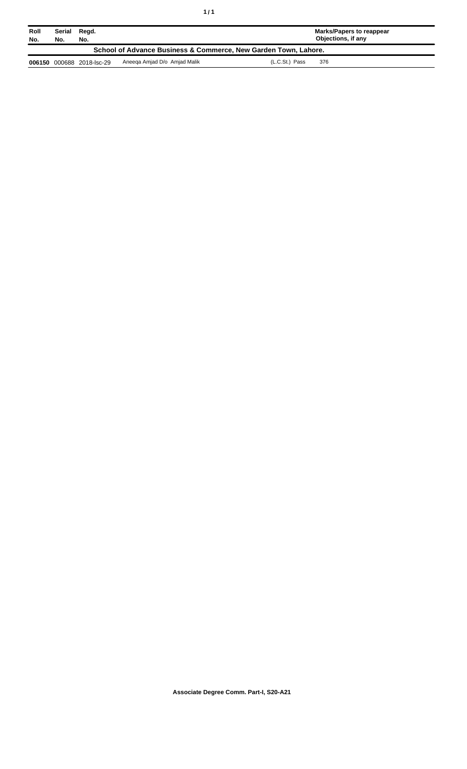| Roll<br>No.                                                     | Serial<br>No. | Read.<br>No.              |                              | Marks/Papers to reappear<br>Objections, if any |  |  |
|-----------------------------------------------------------------|---------------|---------------------------|------------------------------|------------------------------------------------|--|--|
| School of Advance Business & Commerce, New Garden Town, Lahore. |               |                           |                              |                                                |  |  |
|                                                                 |               | 006150 000688 2018-lsc-29 | Aneega Amjad D/o Amjad Malik | (L.C.St.) Pass<br>376                          |  |  |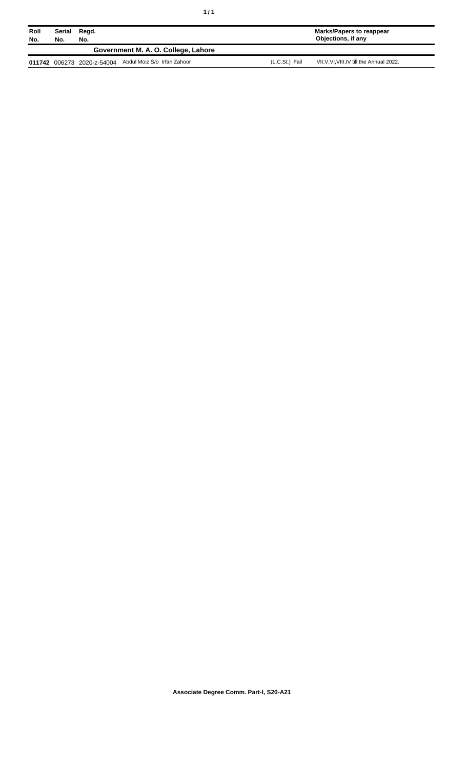| Roll<br>No. | Serial<br>No. | Regd.<br>No.               |                                     |                | Marks/Papers to reappear<br>Objections, if any |
|-------------|---------------|----------------------------|-------------------------------------|----------------|------------------------------------------------|
|             |               |                            | Government M. A. O. College, Lahore |                |                                                |
|             |               | 011742 006273 2020-z-54004 | Abdul Moiz S/o Irfan Zahoor         | (L.C.St.) Fail | VII, V, VI, VIII, IV till the Annual 2022.     |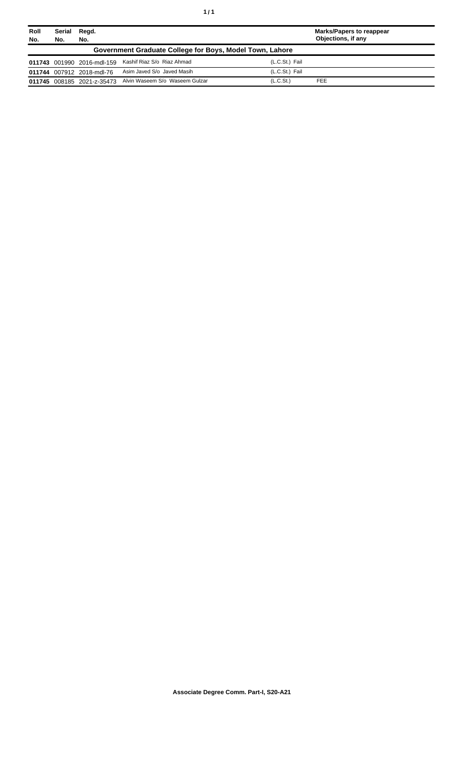| Roll<br>No. | Serial<br>No.                                            | Regd.<br>No.               |                                                           |                       | <b>Marks/Papers to reappear</b><br>Objections, if any |  |
|-------------|----------------------------------------------------------|----------------------------|-----------------------------------------------------------|-----------------------|-------------------------------------------------------|--|
|             | Government Graduate College for Boys, Model Town, Lahore |                            |                                                           |                       |                                                       |  |
|             |                                                          | 011743 001990 2016-mdl-159 | Kashif Riaz S/o Riaz Ahmad                                | (L.C.St.) Fail        |                                                       |  |
|             |                                                          | 011744 007912 2018-mdl-76  | Asim Javed S/o Javed Masih                                | (L.C.St.) Fail        |                                                       |  |
|             |                                                          |                            | 011745 008185 2021-z-35473 Alvin Waseem S/o Waseem Gulzar | (L.C.S <sub>t</sub> ) | <b>FEE</b>                                            |  |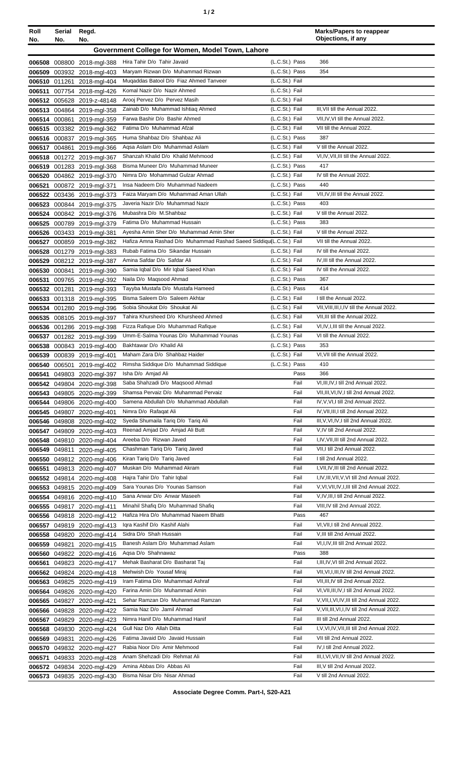|--|

| Roll<br>No.      | Serial<br>No.                                    | Regd.<br>No.                                      |                                                                                                         |                                  | <b>Marks/Papers to reappear</b><br>Objections, if any                     |  |
|------------------|--------------------------------------------------|---------------------------------------------------|---------------------------------------------------------------------------------------------------------|----------------------------------|---------------------------------------------------------------------------|--|
|                  | Government College for Women, Model Town, Lahore |                                                   |                                                                                                         |                                  |                                                                           |  |
|                  |                                                  |                                                   | Hira Tahir D/o Tahir Javaid                                                                             | (L.C.St.) Pass                   | 366                                                                       |  |
| 006509           |                                                  | 006508 008800 2018-mgl-388<br>003932 2018-mgl-403 | Maryam Rizwan D/o Muhammad Rizwan                                                                       | (L.C.St.) Pass                   | 354                                                                       |  |
|                  |                                                  | 006510 011261 2018-mgl-404                        | Mugaddas Batool D/o Fiaz Ahmed Tanveer                                                                  | (L.C.St.) Fail                   |                                                                           |  |
| 006511           |                                                  | 007754 2018-mgl-426                               | Komal Nazir D/o Nazir Ahmed                                                                             | (L.C.St.) Fail                   |                                                                           |  |
|                  |                                                  | 006512 005628 2019-z-48148                        | Arooj Pervez D/o Pervez Masih                                                                           | (L.C.St.) Fail                   |                                                                           |  |
|                  |                                                  | 006513 004864 2019-mgl-358                        | Zainab D/o Muhammad Ishtiag Ahmed                                                                       | (L.C.St.) Fail                   | III, VII till the Annual 2022.                                            |  |
|                  |                                                  | 006514 000861 2019-mgl-359                        | Farwa Bashir D/o Bashir Ahmed                                                                           | (L.C.St.) Fail                   | VII, IV, VI till the Annual 2022.                                         |  |
|                  |                                                  | 006515 003382 2019-mgl-362                        | Fatima D/o Muhammad Afzal                                                                               | (L.C.St.) Fail                   | VII till the Annual 2022.                                                 |  |
| 006516           |                                                  | 000837 2019-mgl-365                               | Huma Shahbaz D/o Shahbaz Ali                                                                            | (L.C.St.) Pass                   | 387                                                                       |  |
| 006517           |                                                  | 004861 2019-mgl-366                               | Agsa Aslam D/o Muhammad Aslam<br>Shanzah Khalid D/o Khalid Mehmood                                      | (L.C.St.) Fail<br>(L.C.St.) Fail | V till the Annual 2022.<br>VI, IV, VII, III till the Annual 2022.         |  |
| 006519           |                                                  | 006518 001272 2019-mgl-367<br>001283 2019-mgl-368 | Bisma Muneer D/o Muhammad Muneer                                                                        | (L.C.St.) Pass                   | 417                                                                       |  |
| 006520           |                                                  | 004862 2019-mgl-370                               | Nimra D/o Mohammad Gulzar Ahmad                                                                         | (L.C.St.) Fail                   | IV till the Annual 2022.                                                  |  |
| 006521           |                                                  | 000872 2019-mgl-371                               | Insa Nadeem D/o Muhammad Nadeem                                                                         | (L.C.St.) Pass                   | 440                                                                       |  |
| 006522           |                                                  | 003436 2019-mgl-373                               | Faiza Maryam D/o Muhammad Aman Ullah                                                                    | (L.C.St.) Fail                   | VII, IV, III till the Annual 2022.                                        |  |
| 006523           |                                                  | 000844 2019-mgl-375                               | Javeria Nazir D/o Muhammad Nazir                                                                        | (L.C.St.) Pass                   | 403                                                                       |  |
| 006524           |                                                  | 000842 2019-mgl-376                               | Mubashra D/o M.Shahbaz                                                                                  | (L.C.St.) Fail                   | V till the Annual 2022.                                                   |  |
| 006525           |                                                  | 000789 2019-mgl-379                               | Fatima D/o Muhammad Hussain                                                                             | (L.C.St.) Pass                   | 383                                                                       |  |
| 006526           |                                                  | 003433 2019-mgl-381                               | Ayesha Amin Sher D/o Muhammad Amin Sher                                                                 | (L.C.St.) Fail                   | V till the Annual 2022.                                                   |  |
| 006527           |                                                  | 000859 2019-mgl-382                               | Hafiza Amna Rashad D/o Muhammad Rashad Saeed Siddiqu(L.C.St.) Fail<br>Rubab Fatima D/o Sikandar Hussain | (L.C.St.) Fail                   | VII till the Annual 2022.<br>IV till the Annual 2022.                     |  |
| 006529           |                                                  | 006528 001279 2019-mgl-383<br>008212 2019-mgl-387 | Amina Safdar D/o Safdar Ali                                                                             | (L.C.St.) Fail                   | IV, III till the Annual 2022.                                             |  |
| 006530           |                                                  | 000841 2019-mgl-390                               | Samia Iqbal D/o Mir Iqbal Saeed Khan                                                                    | (L.C.St.) Fail                   | IV till the Annual 2022.                                                  |  |
| 006531           |                                                  | 009765 2019-mgl-392                               | Naila D/o Magsood Ahmad                                                                                 | (L.C.St.) Pass                   | 367                                                                       |  |
| 006532           |                                                  | 001281 2019-mgl-393                               | Tayyba Mustafa D/o Mustafa Hameed                                                                       | (L.C.St.) Pass                   | 414                                                                       |  |
| 006533           |                                                  | 001318 2019-mgl-395                               | Bisma Saleem D/o Saleem Akhtar                                                                          | (L.C.St.) Fail                   | I till the Annual 2022.                                                   |  |
| 006534           |                                                  | 001280 2019-mgl-396                               | Sobia Shoukat D/o Shoukat Ali                                                                           | (L.C.St.) Fail                   | VII, VIII, III, I, IV till the Annual 2022.                               |  |
| 006535           |                                                  | 008105 2019-mgl-397                               | Tahira Khursheed D/o Khursheed Ahmed                                                                    | (L.C.St.) Fail                   | VII, III till the Annual 2022.                                            |  |
| 006536           |                                                  | 001286 2019-mgl-398                               | Fizza Rafique D/o Muhammad Rafique                                                                      | (L.C.St.) Fail                   | VI, IV, I, III till the Annual 2022.                                      |  |
| 006537           |                                                  | 001282 2019-mgl-399                               | Umm-E-Salma Younas D/o Muhammad Younas<br>Bakhtawar D/o Khalid Ali                                      | (L.C.St.) Fail<br>(L.C.St.) Pass | VI till the Annual 2022.<br>353                                           |  |
| 006538<br>006539 |                                                  | 000843 2019-mgl-400<br>000839 2019-mgl-401        | Maham Zara D/o Shahbaz Haider                                                                           | (L.C.St.) Fail                   | VI, VII till the Annual 2022.                                             |  |
|                  |                                                  | 006540 006501 2019-mgl-402                        | Rimsha Siddique D/o Muhammad Siddique                                                                   | (L.C.St.) Pass                   | 410                                                                       |  |
| 006541           |                                                  | 049803 2020-mgl-397                               | Isha D/o Amjad Ali                                                                                      | Pass                             | 366                                                                       |  |
|                  |                                                  | 006542 049804 2020-mgl-398                        | Saba Shahzadi D/o Magsood Ahmad                                                                         | Fail                             | VI, III, IV, I till 2nd Annual 2022.                                      |  |
|                  |                                                  | 006543 049805 2020-mgl-399                        | Shamsa Pervaiz D/o Muhammad Pervaiz                                                                     | Fail                             | VII, III, VI, IV, I till 2nd Annual 2022.                                 |  |
| 006544           |                                                  | 049806 2020-mgl-400                               | Samena Abdullah D/o Muhammad Abdullah                                                                   | Fail                             | IV, V, VI, I till 2nd Annual 2022.                                        |  |
|                  |                                                  | 006545 049807 2020-mgl-401                        | Nimra D/o Rafaqat Ali                                                                                   | Fail                             | IV, VII, III, I till 2nd Annual 2022.                                     |  |
| 006546           |                                                  | 049808 2020-mgl-402                               | Syeda Shumaila Tariq D/o Tariq Ali                                                                      | Fail                             | III, V, VI, IV, I till 2nd Annual 2022.                                   |  |
| 006547           |                                                  | 049809 2020-mgl-403                               | Reenad Amjad D/o Amjad Ali Butt<br>Areeba D/o Rizwan Javed                                              | Fail<br>Fail                     | V, IV till 2nd Annual 2022.<br>I, IV, VII, III till 2nd Annual 2022.      |  |
| 006548<br>006549 | 049811                                           | 049810 2020-mgl-404<br>2020-mgl-405               | Chashman Tariq D/o Tariq Javed                                                                          | Fail                             | VII, I till 2nd Annual 2022.                                              |  |
|                  |                                                  | 006550 049812 2020-mgl-406                        | Kiran Tariq D/o Tariq Javed                                                                             | Fail                             | I till 2nd Annual 2022.                                                   |  |
| 006551           |                                                  | 049813 2020-mgl-407                               | Muskan D/o Muhammad Akram                                                                               | Fail                             | I, VII, IV, III till 2nd Annual 2022.                                     |  |
|                  |                                                  | 006552 049814 2020-mgl-408                        | Hajra Tahir D/o Tahir Iqbal                                                                             | Fail                             | I, IV, III, VII, V, VI till 2nd Annual 2022.                              |  |
| 006553           |                                                  | 049815 2020-mgl-409                               | Sara Younas D/o Younas Samson                                                                           | Fail                             | V, VI, VII, IV, I, III till 2nd Annual 2022.                              |  |
|                  |                                                  | 006554 049816 2020-mgl-410                        | Sana Anwar D/o Anwar Maseeh                                                                             | Fail                             | V,IV,III,I till 2nd Annual 2022.                                          |  |
| 006555           |                                                  | 049817 2020-mgl-411                               | Minahil Shafiq D/o Muhammad Shafiq                                                                      | Fail                             | VIII, IV till 2nd Annual 2022.                                            |  |
| 006556           |                                                  | 049818 2020-mgl-412                               | Hafiza Hira D/o Muhammad Naeem Bhatti<br>Igra Kashif D/o Kashif Alahi                                   | Pass<br>Fail                     | 467<br>VI, VII, I till 2nd Annual 2022.                                   |  |
| 006557<br>006558 |                                                  | 049819 2020-mgl-413<br>049820 2020-mgl-414        | Sidra D/o Shah Hussain                                                                                  | Fail                             | V, III till 2nd Annual 2022.                                              |  |
| 006559           |                                                  | 049821 2020-mgl-415                               | Banesh Aslam D/o Muhammad Aslam                                                                         | Fail                             | VI, I, IV, III till 2nd Annual 2022.                                      |  |
| 006560           |                                                  | 049822 2020-mgl-416                               | Aqsa D/o Shahnawaz                                                                                      | Pass                             | 388                                                                       |  |
| 006561           |                                                  | 049823 2020-mgl-417                               | Mehak Basharat D/o Basharat Taj                                                                         | Fail                             | I, III, IV, VI till 2nd Annual 2022.                                      |  |
|                  |                                                  | 006562 049824 2020-mgl-418                        | Mehwish D/o Yousaf Miraj                                                                                | Fail                             | VII, VI, I, III, IV till 2nd Annual 2022.                                 |  |
| 006563           |                                                  | 049825 2020-mgl-419                               | Iram Fatima D/o Muhammad Ashraf                                                                         | Fail                             | VII, III, IV till 2nd Annual 2022.                                        |  |
| 006564           |                                                  | 049826 2020-mgl-420                               | Farina Amin D/o Muhammad Amin                                                                           | Fail                             | VI, VII, III, IV, I till 2nd Annual 2022.                                 |  |
| 006565           |                                                  | 049827 2020-mgl-421                               | Sehar Ramzan D/o Muhammad Ramzan                                                                        | Fail                             | V, VII, I, VI, IV, III till 2nd Annual 2022.                              |  |
| 006566           |                                                  | 049828 2020-mgl-422                               | Samia Naz D/o Jamil Ahmad<br>Nimra Hanif D/o Muhammad Hanif                                             | Fail                             | V, VII, III, VI, I, IV till 2nd Annual 2022.                              |  |
| 006567<br>006568 | 049829                                           | 2020-mgl-423<br>049830 2020-mgl-424               | Gull Naz D/o Allah Ditta                                                                                | Fail<br>Fail                     | III till 2nd Annual 2022.<br>I, V, VI, IV, VII, III till 2nd Annual 2022. |  |
| 006569           | 049831                                           | 2020-mgl-426                                      | Fatima Javaid D/o Javaid Hussain                                                                        | Fail                             | VII till 2nd Annual 2022.                                                 |  |
| 006570           |                                                  | 049832 2020-mgl-427                               | Rabia Noor D/o Amir Mehmood                                                                             | Fail                             | IV, I till 2nd Annual 2022.                                               |  |
| 006571           |                                                  | 049833 2020-mgl-428                               | Anam Shehzadi D/o Rehmat Ali                                                                            | Fail                             | III.I.VI.VII.IV till 2nd Annual 2022.                                     |  |
| 006572           |                                                  | 049834 2020-mgl-429                               | Amina Abbas D/o Abbas Ali                                                                               | Fail                             | III, V till 2nd Annual 2022.                                              |  |
|                  |                                                  | 006573 049835 2020-mgl-430                        | Bisma Nisar D/o Nisar Ahmad                                                                             | Fail                             | V till 2nd Annual 2022.                                                   |  |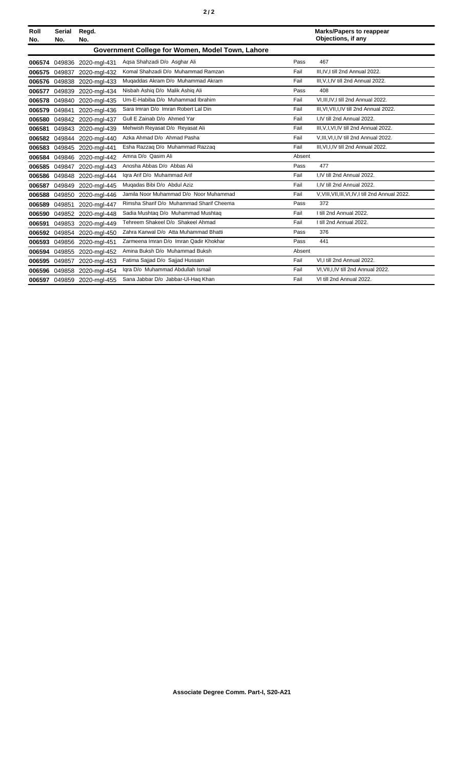| Roll<br>No. | <b>Serial</b><br>No. | Regd.<br>No.               |                                                  |        | <b>Marks/Papers to reappear</b><br>Objections, if any |
|-------------|----------------------|----------------------------|--------------------------------------------------|--------|-------------------------------------------------------|
|             |                      |                            | Government College for Women, Model Town, Lahore |        |                                                       |
| 006574      |                      | 049836 2020-mgl-431        | Agsa Shahzadi D/o Asghar Ali                     | Pass   | 467                                                   |
| 006575      | 049837               | 2020-mgl-432               | Komal Shahzadi D/o Muhammad Ramzan               | Fail   | III.IV.I till 2nd Annual 2022.                        |
| 006576      | 049838               | 2020-mgl-433               | Mugaddas Akram D/o Muhammad Akram                | Fail   | III, V, I, IV till 2nd Annual 2022.                   |
| 006577      | 049839               | 2020-mgl-434               | Nisbah Ashiq D/o Malik Ashiq Ali                 | Pass   | 408                                                   |
| 006578      | 049840               | 2020-mgl-435               | Um-E-Habiba D/o Muhammad Ibrahim                 | Fail   | VI.III.IV.I till 2nd Annual 2022.                     |
| 006579      | 049841               | 2020-mgl-436               | Sara Imran D/o Imran Robert Lal Din              | Fail   | III, VI, VII, I, IV till 2nd Annual 2022.             |
| 006580      |                      | 049842 2020-mgl-437        | Gull E Zainab D/o Ahmed Yar                      | Fail   | I.IV till 2nd Annual 2022.                            |
| 006581      |                      | 049843 2020-mgl-439        | Mehwish Reyasat D/o Reyasat Ali                  | Fail   | III.V.I.VI.IV till 2nd Annual 2022.                   |
| 006582      |                      | 049844 2020-mgl-440        | Azka Ahmad D/o Ahmad Pasha                       | Fail   | V, III, VI, I, IV till 2nd Annual 2022.               |
| 006583      |                      | 049845 2020-mgl-441        | Esha Razzaq D/o Muhammad Razzaq                  | Fail   | III, VI, I, IV till 2nd Annual 2022.                  |
| 006584      | 049846               | 2020-mgl-442               | Amna D/o Qasim Ali                               | Absent |                                                       |
| 006585      | 049847               | 2020-mgl-443               | Anosha Abbas D/o Abbas Ali                       | Pass   | 477                                                   |
| 006586      | 049848               | 2020-mgl-444               | Igra Arif D/o Muhammad Arif                      | Fail   | I.IV till 2nd Annual 2022.                            |
| 006587      | 049849               | 2020-mgl-445               | Mugadas Bibi D/o Abdul Aziz                      | Fail   | I.IV till 2nd Annual 2022.                            |
| 006588      | 049850               | 2020-mgl-446               | Jamila Noor Muhammad D/o Noor Muhammad           | Fail   | V, VIII, VII, III, VI, IV, I till 2nd Annual 2022.    |
| 006589      | 049851               | 2020-mgl-447               | Rimsha Sharif D/o Muhammad Sharif Cheema         | Pass   | 372                                                   |
| 006590      | 049852               | 2020-mgl-448               | Sadia Mushtaq D/o Muhammad Mushtaq               | Fail   | I till 2nd Annual 2022.                               |
| 006591      | 049853               | 2020-mgl-449               | Tehreem Shakeel D/o Shakeel Ahmad                | Fail   | I till 2nd Annual 2022.                               |
| 006592      | 049854               | 2020-mgl-450               | Zahra Kanwal D/o Atta Muhammad Bhatti            | Pass   | 376                                                   |
| 006593      | 049856               | 2020-mgl-451               | Zarmeena Imran D/o Imran Qadir Khokhar           | Pass   | 441                                                   |
| 006594      | 049855               | 2020-mgl-452               | Amina Buksh D/o Muhammad Buksh                   | Absent |                                                       |
| 006595      | 049857               | 2020-mgl-453               | Fatima Sajjad D/o Sajjad Hussain                 | Fail   | VI.I till 2nd Annual 2022.                            |
| 006596      | 049858               | 2020-mgl-454               | Igra D/o Muhammad Abdullah Ismail                | Fail   | VI, VII, I, IV till 2nd Annual 2022.                  |
|             |                      | 006597 049859 2020-mgl-455 | Sana Jabbar D/o Jabbar-Ul-Haq Khan               | Fail   | VI till 2nd Annual 2022.                              |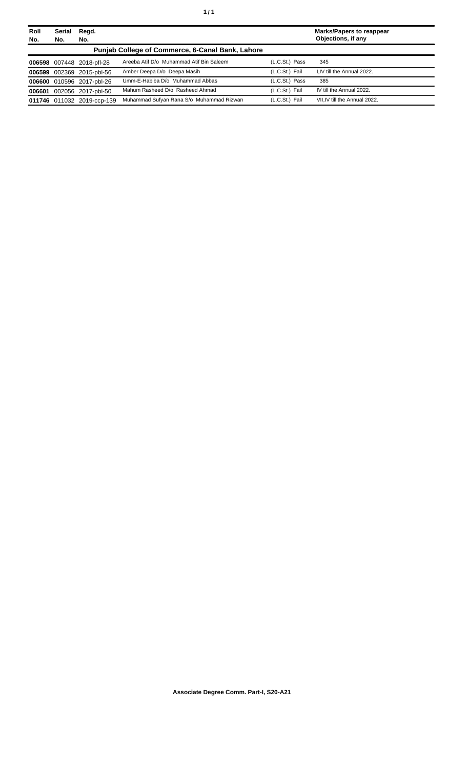| Roll<br>No. | Serial<br>No. | Regd.<br>No.               |                                                         |                | <b>Marks/Papers to reappear</b><br>Objections, if any |
|-------------|---------------|----------------------------|---------------------------------------------------------|----------------|-------------------------------------------------------|
|             |               |                            | <b>Punjab College of Commerce, 6-Canal Bank, Lahore</b> |                |                                                       |
|             |               | 006598 007448 2018-pfl-28  | Areeba Atif D/o Muhammad Atif Bin Saleem                | (L.C.St.) Pass | 345                                                   |
|             |               | 006599 002369 2015-pbl-56  | Amber Deepa D/o Deepa Masih                             | (L.C.St.) Fail | I.IV till the Annual 2022.                            |
|             |               | 006600 010596 2017-pbl-26  | Umm-E-Habiba D/o Muhammad Abbas                         | (L.C.St.) Pass | 385                                                   |
|             |               | 006601 002056 2017-pbl-50  | Mahum Rasheed D/o Rasheed Ahmad                         | (L.C.St.) Fail | IV till the Annual 2022.                              |
|             |               | 011746 011032 2019-ccp-139 | Muhammad Sufyan Rana S/o Muhammad Rizwan                | (L.C.St.) Fail | VII.IV till the Annual 2022.                          |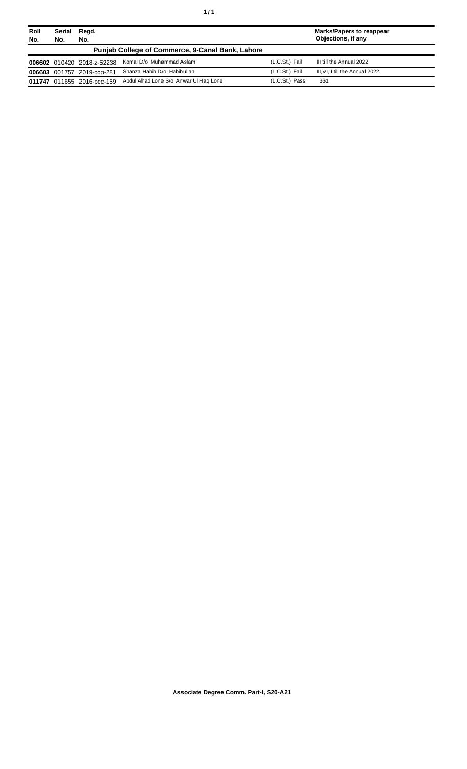| Roll<br>No. | Serial<br>Regd.<br>No.<br>No. |                            | Marks/Papers to reappear<br>Objections, if any          |                |                                 |
|-------------|-------------------------------|----------------------------|---------------------------------------------------------|----------------|---------------------------------|
|             |                               |                            | <b>Punjab College of Commerce, 9-Canal Bank, Lahore</b> |                |                                 |
|             |                               | 006602 010420 2018-z-52238 | Komal D/o Muhammad Aslam                                | (L.C.St.) Fail | III till the Annual 2022.       |
|             |                               | 006603 001757 2019-ccp-281 | Shanza Habib D/o Habibullah                             | (L.C.St.) Fail | III.VI.II till the Annual 2022. |
|             |                               | 011747 011655 2016-pcc-159 | Abdul Ahad Lone S/o Anwar UI Hag Lone                   | (L.C.St.) Pass | 361                             |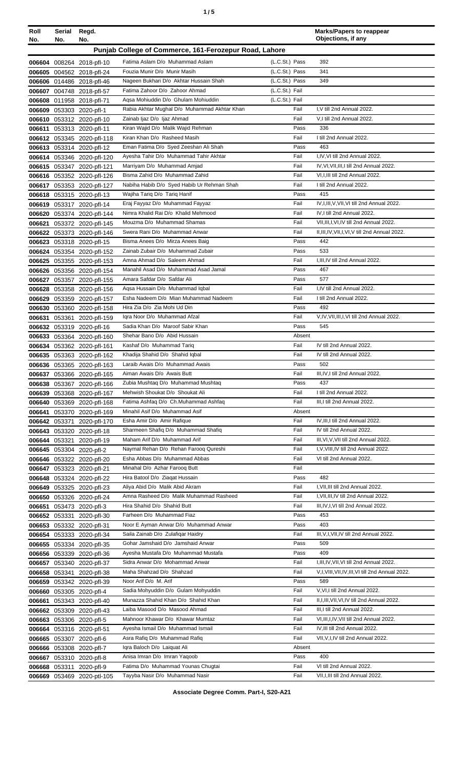| ×<br>۰, | ٠ |  | ٠<br>I<br>٠ |
|---------|---|--|-------------|
|---------|---|--|-------------|

| Roll             | Serial<br>No. | Regd.                                                    |                                                                            |                | <b>Marks/Papers to reappear</b><br>Objections, if any                        |
|------------------|---------------|----------------------------------------------------------|----------------------------------------------------------------------------|----------------|------------------------------------------------------------------------------|
| No.              |               | No.                                                      | Punjab College of Commerce, 161-Ferozepur Road, Lahore                     |                |                                                                              |
|                  |               |                                                          | Fatima Aslam D/o Muhammad Aslam                                            | (L.C.St.) Pass | 392                                                                          |
|                  |               | 006604 008264 2018-pfl-10<br>006605 004562 2018-pfl-24   | Fouzia Munir D/o Munir Masih                                               | (L.C.St.) Pass | 341                                                                          |
|                  |               | 006606 014486 2018-pfl-46                                | Nageen Bukhari D/o Akhtar Hussain Shah                                     | (L.C.St.) Pass | 349                                                                          |
|                  |               | 006607 004748 2018-pfl-57                                | Fatima Zahoor D/o Zahoor Ahmad                                             | (L.C.St.) Fail |                                                                              |
| 006608           |               | 011958 2018-pfl-71                                       | Aqsa Mohiuddin D/o Ghulam Mohiuddin                                        | (L.C.St.) Fail |                                                                              |
|                  |               | 006609 053303 2020-pfl-1                                 | Rabia Akhtar Mughal D/o Muhammad Akhtar Khan                               | Fail           | I, V till 2nd Annual 2022.                                                   |
|                  |               | 006610 053312 2020-pfl-10                                | Zainab Ijaz D/o Ijaz Ahmad<br>Kiran Wajid D/o Malik Wajid Rehman           | Fail<br>Pass   | V,I till 2nd Annual 2022.<br>336                                             |
| 006611           |               | 053313 2020-pfl-11<br>006612 053345 2020-pfl-118         | Kiran Khan D/o Rasheed Masih                                               | Fail           | I till 2nd Annual 2022.                                                      |
|                  |               | 006613 053314 2020-pfl-12                                | Eman Fatima D/o Syed Zeeshan Ali Shah                                      | Pass           | 463                                                                          |
|                  |               | 006614 053346 2020-pfl-120                               | Ayesha Tahir D/o Muhammad Tahir Akhtar                                     | Fail           | I,IV, VI till 2nd Annual 2022.                                               |
|                  |               | 006615 053347 2020-pfl-121                               | Marriyam D/o Muhammad Amjad                                                | Fail           | IV, VI, VII, III, I till 2nd Annual 2022.                                    |
|                  |               | 006616 053352 2020-pfl-126                               | Bisma Zahid D/o Muhammad Zahid                                             | Fail           | VI, I, III till 2nd Annual 2022.                                             |
|                  |               | 006617 053353 2020-pfl-127                               | Nabiha Habib D/o Syed Habib Ur Rehman Shah<br>Wajiha Tariq D/o Tariq Hanif | Fail<br>Pass   | I till 2nd Annual 2022.<br>415                                               |
|                  |               | 006618 053315 2020-pfl-13<br>006619 053317 2020-pfl-14   | Eraj Fayyaz D/o Muhammad Fayyaz                                            | Fail           | IV, I, III, V, VII, VI till 2nd Annual 2022.                                 |
|                  |               | 006620 053374 2020-pfl-144                               | Nimra Khalid Rai D/o Khalid Mehmood                                        | Fail           | IV, I till 2nd Annual 2022.                                                  |
| 006621           |               | 053372 2020-pfl-145                                      | Mouzma D/o Muhammad Shamas                                                 | Fail           | VII, III, I, VI, IV till 2nd Annual 2022.                                    |
|                  |               | 006622 053373 2020-pfl-146                               | Swera Rani D/o Muhammad Anwar                                              | Fail           | II, III, IV, VII, I, VI, V till 2nd Annual 2022.                             |
|                  |               | 006623 053318 2020-pfl-15                                | Bisma Anees D/o Mirza Anees Baig                                           | Pass           | 442                                                                          |
|                  |               | 006624 053354 2020-pfl-152                               | Zainab Zubair D/o Muhammad Zubair<br>Amna Ahmad D/o Saleem Ahmad           | Pass<br>Fail   | 533<br>I, III, IV till 2nd Annual 2022.                                      |
|                  |               | 006625 053355 2020-pfl-153<br>006626 053356 2020-pfl-154 | Manahil Asad D/o Muhammad Asad Jamal                                       | Pass           | 467                                                                          |
|                  |               | 006627 053357 2020-pfl-155                               | Amara Safdar D/o Safdar Ali                                                | Pass           | 577                                                                          |
|                  |               | 006628 053358 2020-pfl-156                               | Agsa Hussain D/o Muhammad Iqbal                                            | Fail           | I,IV till 2nd Annual 2022.                                                   |
|                  |               | 006629 053359 2020-pfl-157                               | Esha Nadeem D/o Mian Muhammad Nadeem                                       | Fail           | I till 2nd Annual 2022.                                                      |
|                  |               | 006630 053360 2020-pfl-158                               | Hira Zia D/o Zia Mohi Ud Din                                               | Pass           | 492                                                                          |
| 006631           |               | 053361 2020-pfl-159                                      | Igra Noor D/o Muhammad Afzal                                               | Fail           | V, IV, VII, III, I, VI till 2nd Annual 2022.                                 |
|                  |               | 006632 053319 2020-pfl-16                                | Sadia Khan D/o Maroof Sabir Khan<br>Shehar Bano D/o Abid Hussain           | Pass<br>Absent | 545                                                                          |
|                  |               | 006633 053364 2020-pfl-160<br>006634 053362 2020-pfl-161 | Kashaf D/o Muhammad Tariq                                                  | Fail           | IV till 2nd Annual 2022.                                                     |
|                  |               | 006635 053363 2020-pfl-162                               | Khadija Shahid D/o Shahid Iqbal                                            | Fail           | IV till 2nd Annual 2022.                                                     |
|                  |               | 006636 053365 2020-pfl-163                               | Laraib Awais D/o Muhammad Awais                                            | Pass           | 502                                                                          |
|                  |               | 006637 053366 2020-pfl-165                               | Aiman Awais D/o Awais Butt                                                 | Fail           | III, IV, I till 2nd Annual 2022.                                             |
|                  |               | 006638 053367 2020-pfl-166                               | Zubia Mushtaq D/o Muhammad Mushtaq                                         | Pass           | 437                                                                          |
| 006639           |               | 053368 2020-pfl-167                                      | Mehwish Shoukat D/o Shoukat Ali<br>Fatima Ashfaq D/o Ch.Muhammad Ashfaq    | Fail<br>Fail   | I till 2nd Annual 2022.<br>III, I till 2nd Annual 2022.                      |
| 006640<br>006641 |               | 053369 2020-pfl-168<br>053370 2020-pfl-169               | Minahil Asif D/o Muhammad Asif                                             | Absent         |                                                                              |
|                  | 006642 053371 | 2020-pfl-170                                             | Esha Amir D/o Amir Rafique                                                 | Fail           | IV, III, I till 2nd Annual 2022.                                             |
| 006643           |               | 053320 2020-pfl-18                                       | Sharmeen Shafiq D/o Muhammad Shafiq                                        | Fail           | IV till 2nd Annual 2022.                                                     |
|                  |               | 006644 053321 2020-pfl-19                                | Maham Arif D/o Muhammad Arif                                               | Fail           | III, VI, V, VII till 2nd Annual 2022.                                        |
|                  |               | 006645 053304 2020-pfl-2                                 | Naymal Rehan D/o Rehan Farooq Qureshi                                      | Fail           | I, V, VIII, IV till 2nd Annual 2022.                                         |
|                  |               | 006646 053322 2020-pfl-20                                | Esha Abbas D/o Muhammad Abbas<br>Minahal D/o Azhar Faroog Butt             | Fail<br>Fail   | VI till 2nd Annual 2022.                                                     |
| 006647<br>006648 |               | 053323 2020-pfl-21<br>053324 2020-pfl-22                 | Hira Batool D/o Ziagat Hussain                                             | Pass           | 482                                                                          |
| 006649           |               | 053325 2020-pfl-23                                       | Aliya Abid D/o Malik Abid Akram                                            | Fail           | I, VII, III till 2nd Annual 2022.                                            |
|                  |               | 006650 053326 2020-pfl-24                                | Amna Rasheed D/o Malik Muhammad Rasheed                                    | Fail           | I, VII, III, IV till 2nd Annual 2022.                                        |
| 006651           |               | 053473 2020-pfl-3                                        | Hira Shahid D/o Shahid Butt                                                | Fail           | III, IV, I, VI till 2nd Annual 2022.                                         |
|                  |               | 006652 053331 2020-pfl-30                                | Farheen D/o Muhammad Fiaz                                                  | Pass           | 453                                                                          |
|                  |               | 006653 053332 2020-pfl-31                                | Noor E Ayman Anwar D/o Muhammad Anwar<br>Saila Zainab D/o Zulafigar Haidry | Pass<br>Fail   | 403<br>III, V, I, VII, IV till 2nd Annual 2022.                              |
| 006655           |               | 006654 053333 2020-pfl-34<br>053334 2020-pfl-35          | Gohar Jamshaid D/o Jamshaid Anwar                                          | Pass           | 509                                                                          |
| 006656           |               | 053339 2020-pfl-36                                       | Ayesha Mustafa D/o Muhammad Mustafa                                        | Pass           | 409                                                                          |
| 006657           |               | 053340 2020-pfl-37                                       | Sidra Anwar D/o Mohammad Anwar                                             | Fail           | I, III, IV, VII, VI till 2nd Annual 2022.                                    |
|                  |               | 006658 053341 2020-pfl-38                                | Maha Shahzad D/o Shahzad                                                   | Fail           | V,I, VIII, VII, IV, III, VI till 2nd Annual 2022.                            |
| 006659           |               | 053342 2020-pfl-39                                       | Noor Arif D/o M. Arif                                                      | Pass           | 589                                                                          |
| 006660           |               | 053305 2020-pfl-4                                        | Sadia Mohyuddin D/o Gulam Mohyuddin                                        | Fail           | V, VI, I till 2nd Annual 2022.                                               |
| 006661           |               | 053343 2020-pfl-40<br>006662 053309 2020-pfl-43          | Munazza Shahid Khan D/o Shahid Khan<br>Laiba Masood D/o Masood Ahmad       | Fail<br>Fail   | II, I, III, VII, VI, IV till 2nd Annual 2022.<br>III,I till 2nd Annual 2022. |
| 006663           |               | 053306 2020-pfl-5                                        | Mahnoor Khawar D/o Khawar Mumtaz                                           | Fail           | VI, III, I, IV, VII till 2nd Annual 2022.                                    |
| 006664           |               | 053316 2020-pfl-51                                       | Ayesha Ismail D/o Muhammad Ismail                                          | Fail           | IV, III till 2nd Annual 2022.                                                |
| 006665           |               | 053307 2020-pfl-6                                        | Asra Rafiq D/o Muhammad Rafiq                                              | Fail           | VII, V, I, IV till 2nd Annual 2022.                                          |
| 006666           |               | 053308 2020-pfl-7                                        | Igra Baloch D/o Laiguat Ali                                                | Absent         |                                                                              |
| 006667           |               | 053310 2020-pfl-8                                        | Anisa Imran D/o Imran Yaqoob                                               | Pass           | 400                                                                          |
| 006668           |               | 053311 2020-pfl-9                                        | Fatima D/o Muhammad Younas Chugtai                                         | Fail           | VI till 2nd Annual 2022.                                                     |
|                  |               | 006669 053469 2020-ptl-105                               | Tayyba Nasir D/o Muhammad Nasir                                            | Fail           | VII, I, III till 2nd Annual 2022.                                            |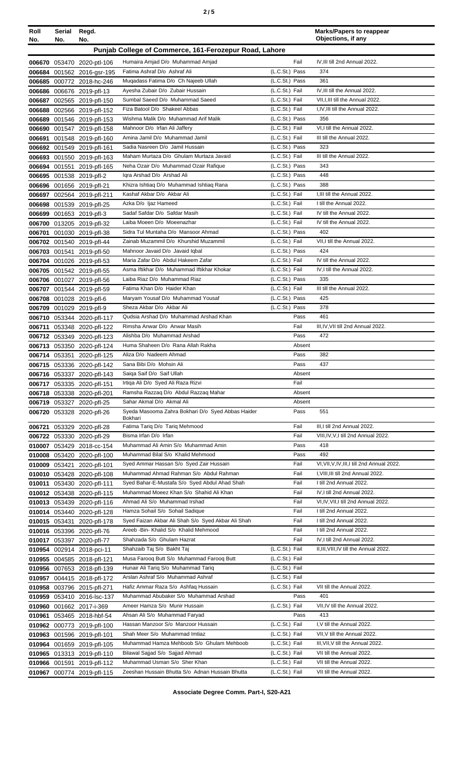|  | ×<br>۰, |
|--|---------|
|--|---------|

| Roll   | Serial | Regd.                                                    |                                                                          |                                  | <b>Marks/Papers to reappear</b><br>Objections, if any                 |
|--------|--------|----------------------------------------------------------|--------------------------------------------------------------------------|----------------------------------|-----------------------------------------------------------------------|
| No.    | No.    | No.                                                      |                                                                          |                                  |                                                                       |
|        |        |                                                          | Punjab College of Commerce, 161-Ferozepur Road, Lahore                   |                                  |                                                                       |
|        |        | 006670 053470 2020-ptl-106                               | Humaira Amjad D/o Muhammad Amjad                                         | Fail                             | IV, III till 2nd Annual 2022.                                         |
|        |        | 006684 001562 2016-gsr-195                               | Fatima Ashraf D/o Ashraf Ali                                             | $(L.C.St.)$ Pass                 | 374                                                                   |
|        |        | 006685 000772 2018-hc-246                                | Mugadass Fatima D/o Ch Najeeb Ullah                                      | (L.C.St.) Pass                   | 361                                                                   |
|        |        | 006686 006676 2019-pfl-13                                | Ayesha Zubair D/o Zubair Hussain<br>Sumbal Saeed D/o Muhammad Saeed      | (L.C.St.) Fail                   | IV, III till the Annual 2022.                                         |
|        |        | 006687 002565 2019-pfl-150                               | Fiza Batool D/o Shakeel Abbas                                            | (L.C.St.) Fail<br>(L.C.St.) Fail | VII, I, III till the Annual 2022.<br>I, IV, III till the Annual 2022. |
|        |        | 006688 002566 2019-pfl-152<br>006689 001546 2019-pfl-153 | Wishma Malik D/o Muhammad Arif Malik                                     | (L.C.St.) Pass                   | 356                                                                   |
|        |        | 006690 001547 2019-pfl-158                               | Mahnoor D/o Irfan Ali Jaffery                                            | (L.C.St.) Fail                   | VI,I till the Annual 2022.                                            |
|        |        | 006691 001548 2019-pfl-160                               | Amina Jamil D/o Muhammad Jamil                                           | (L.C.St.) Fail                   | III till the Annual 2022.                                             |
|        |        | 006692 001549 2019-pfl-161                               | Sadia Nasreen D/o Jamil Hussain                                          | (L.C.St.) Pass                   | 323                                                                   |
|        |        | 006693 001550 2019-pfl-163                               | Maham Murtaza D/o Ghulam Murtaza Javaid                                  | (L.C.St.) Fail                   | III till the Annual 2022.                                             |
|        |        | 006694 001551 2019-pfl-165                               | Neha Ozair D/o Muhammad Ozair Rafique                                    | (L.C.St.) Pass                   | 343                                                                   |
|        |        | 006695 001538 2019-pfl-2                                 | Igra Arshad D/o Arshad Ali                                               | (L.C.St.) Pass                   | 448                                                                   |
|        |        | 006696 001656 2019-pfl-21                                | Khizra Ishtiaq D/o Muhammad Ishtiaq Rana                                 | (L.C.St.) Pass                   | 388                                                                   |
|        |        | 006697 002564 2019-pfl-211                               | Kashaf Akbar D/o Akbar Ali                                               | (L.C.St.) Fail                   | I, III till the Annual 2022.                                          |
|        |        | 006698 001539 2019-pfl-25                                | Azka D/o Ijaz Hameed                                                     | (L.C.St.) Fail                   | I till the Annual 2022.                                               |
|        |        | 006699 001653 2019-pfl-3                                 | Sadaf Safdar D/o Safdar Masih<br>Laiba Moeen D/o Moeenazhar              | (L.C.St.) Fail<br>(L.C.St.) Fail | IV till the Annual 2022.<br>IV till the Annual 2022.                  |
|        |        | 006700 013205 2019-pfl-32<br>006701 001030 2019-pfl-38   | Sidra Tul Muntaha D/o Mansoor Ahmad                                      | (L.C.St.) Pass                   | 402                                                                   |
|        |        | 006702 001540 2019-pfl-44                                | Zainab Muzammil D/o Khurshid Muzammil                                    | (L.C.St.) Fail                   | VII.I till the Annual 2022.                                           |
|        |        | 006703 001541 2019-pfl-50                                | Mahnoor Javaid D/o Javaid Iqbal                                          | (L.C.St.) Pass                   | 424                                                                   |
|        |        | 006704 001026 2019-pfl-53                                | Maria Zafar D/o Abdul Hakeem Zafar                                       | (L.C.St.) Fail                   | IV till the Annual 2022.                                              |
|        |        | 006705 001542 2019-pfl-55                                | Asma Iftikhar D/o Muhammad Iftikhar Khokar                               | (L.C.St.) Fail                   | IV, I till the Annual 2022.                                           |
|        |        | 006706 001027 2019-pfl-56                                | Laiba Riaz D/o Muhammad Riaz                                             | (L.C.St.) Pass                   | 335                                                                   |
|        |        | 006707 001544 2019-pfl-59                                | Fatima Khan D/o Haider Khan                                              | (L.C.St.) Fail                   | III till the Annual 2022.                                             |
|        |        | 006708 001028 2019-pfl-6                                 | Maryam Yousaf D/o Muhammad Yousaf                                        | (L.C.St.) Pass                   | 425                                                                   |
|        |        | 006709 001029 2019-pfl-9                                 | Sheza Akbar D/o Akbar Ali                                                | (L.C.St.) Pass                   | 378                                                                   |
|        |        | 006710 053344 2020-pfl-117                               | Qudsia Arshad D/o Muhammad Arshad Khan                                   | Pass                             | 461                                                                   |
| 006711 |        | 053348 2020-pfl-122                                      | Rimsha Anwar D/o Anwar Masih                                             | Fail                             | III, IV, VII till 2nd Annual 2022.                                    |
|        |        | 006712 053349 2020-pfl-123                               | Alishba D/o Muhammad Arshad                                              | Pass                             | 472                                                                   |
|        |        | 006713 053350 2020-pfl-124                               | Huma Shaheen D/o Rana Allah Rakha                                        | Absent                           |                                                                       |
|        |        | 006714 053351 2020-pfl-125                               | Aliza D/o Nadeem Ahmad                                                   | Pass                             | 382                                                                   |
|        |        | 006715 053336 2020-pfl-142                               | Sana Bibi D/o Mohsin Ali<br>Saiga Saif D/o Saif Ullah                    | Pass<br>Absent                   | 437                                                                   |
|        |        | 006716 053337 2020-pfl-143<br>006717 053335 2020-pfl-151 | Irtiga Ali D/o Syed Ali Raza Rizvi                                       | Fail                             |                                                                       |
|        |        | 006718 053338 2020-pfl-201                               | Ramsha Razzaq D/o Abdul Razzaq Mahar                                     | Absent                           |                                                                       |
|        |        | 006719 053327 2020-pfl-25                                | Sahar Akmal D/o Akmal Ali                                                | Absent                           |                                                                       |
|        |        | 006720 053328 2020-pfl-26                                | Syeda Masooma Zahra Bokhari D/o Syed Abbas Haider                        | Pass                             | 551                                                                   |
|        |        |                                                          | Bokhari                                                                  |                                  |                                                                       |
|        |        | 006721 053329 2020-pfl-28                                | Fatima Tariq D/o Tariq Mehmood<br>Bisma Irfan D/o Irfan                  | Fail                             | III, I till 2nd Annual 2022.<br>VIII, IV, V, I till 2nd Annual 2022.  |
|        |        | 006722 053330 2020-pfl-29<br>010007 053429 2018-cc-154   | Muhammad Ali Amin S/o Muhammad Amin                                      | Fail<br>Pass                     | 418                                                                   |
|        |        | 010008 053420 2020-pfl-100                               | Muhammad Bilal S/o Khalid Mehmood                                        | Pass                             | 492                                                                   |
|        |        | 010009 053421 2020-pfl-101                               | Syed Ammar Hassan S/o Syed Zair Hussain                                  | Fail                             | VI, VII, V, IV, III, I till 2nd Annual 2022.                          |
|        |        | 010010 053428 2020-pfl-108                               | Muhammad Ahmad Rahman S/o Abdul Rahman                                   | Fail                             | I, VIII, III till 2nd Annual 2022.                                    |
|        |        | 010011 053430 2020-pfl-111                               | Syed Bahar-E-Mustafa S/o Syed Abdul Ahad Shah                            | Fail                             | I till 2nd Annual 2022.                                               |
|        |        | 010012 053438 2020-pfl-115                               | Muhammad Moeez Khan S/o Shahid Ali Khan                                  | Fail                             | IV, I till 2nd Annual 2022.                                           |
|        |        | 010013 053439 2020-pfl-116                               | Ahmad Ali S/o Muhammad Irshad                                            | Fail                             | VI, IV, VII, I till 2nd Annual 2022.                                  |
|        |        | 010014 053440 2020-pfl-128                               | Hamza Sohail S/o Sohail Sadique                                          | Fail                             | I till 2nd Annual 2022.                                               |
|        |        | 010015 053431 2020-pfl-178                               | Syed Faizan Akbar Ali Shah S/o Syed Akbar Ali Shah                       | Fail                             | I till 2nd Annual 2022.                                               |
|        |        | 010016 053396 2020-pfl-76                                | Areeb - Bin- Khalid S/o Khalid Mehmood                                   | Fail                             | I till 2nd Annual 2022.                                               |
|        |        | 010017 053397 2020-pfl-77                                | Shahzada S/o Ghulam Hazrat                                               | Fail                             | IV, I till 2nd Annual 2022.                                           |
|        |        | 010954 002914 2018-pci-11                                | Shahzaib Taj S/o Bakht Taj                                               | (L.C.St.) Fail                   | II, III, VIII, IV till the Annual 2022.                               |
|        |        | 010955 004585 2018-pfl-121                               | Musa Farooq Butt S/o Muhammad Farooq Butt                                | (L.C.St.) Fail                   |                                                                       |
|        |        | 010956 007653 2018-pfl-139                               | Hunair Ali Tariq S/o Muhammad Tariq<br>Arslan Ashraf S/o Muhammad Ashraf | (L.C.St.) Fail<br>(L.C.St.) Fail |                                                                       |
|        |        | 010957 004415 2018-pfl-172<br>010958 003796 2015-pfl-271 | Hafiz Ammar Raza S/o Ashfaq Hussain                                      | (L.C.St.) Fail                   | VII till the Annual 2022.                                             |
|        |        | 010959 053410 2016-lsc-137                               | Muhammad Abubaker S/o Muhammad Arshad                                    | Pass                             | 401                                                                   |
|        |        | 010960 001662 2017-i-369                                 | Ameer Hamza S/o Munir Hussain                                            | (L.C.St.) Fail                   | VII, IV till the Annual 2022.                                         |
| 010961 |        | 053465 2018-hbf-54                                       | Ahsan Ali S/o Muhammad Faryad                                            | Pass                             | 413                                                                   |
|        |        | 010962 000773 2019-pfl-100                               | Hassan Manzoor S/o Manzoor Hussain                                       | (L.C.St.) Fail                   | I, V till the Annual 2022.                                            |
|        |        | 010963 001596 2019-pfl-101                               | Shah Meer S/o Muhammad Imtiaz                                            | (L.C.St.) Fail                   | VII, V till the Annual 2022.                                          |
|        |        | 010964 001659 2019-pfl-105                               | Muhammad Hamza Mehboob S/o Ghulam Mehboob                                | (L.C.St.) Fail                   | III, VII, V till the Annual 2022.                                     |
|        |        | 010965 013313 2019-pfl-110                               | Bilawal Sajjad S/o Sajjad Ahmad                                          | (L.C.St.) Fail                   | VII till the Annual 2022.                                             |
|        |        | 010966 001591 2019-pfl-112                               | Muhammad Usman S/o Sher Khan                                             | (L.C.St.) Fail                   | VII till the Annual 2022.                                             |
|        |        | 010967 000774 2019-pfl-115                               | Zeeshan Hussain Bhutta S/o Adnan Hussain Bhutta                          | (L.C.St.) Fail                   | VII till the Annual 2022.                                             |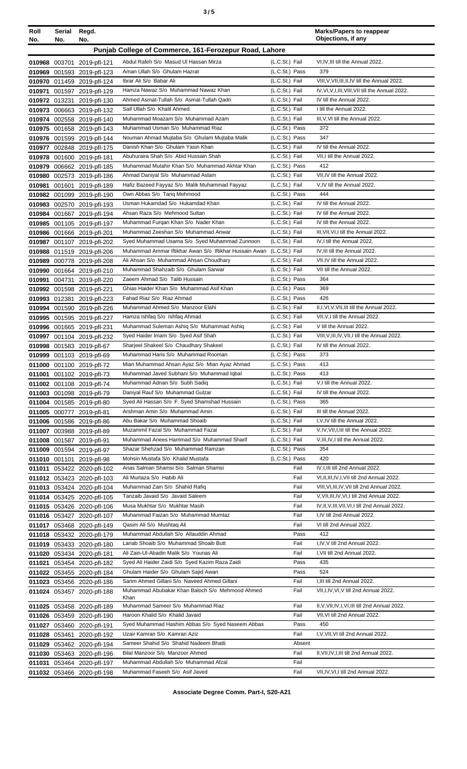| ×<br>٠<br>I<br>×<br>۰, |  | ٠<br>I<br>٠<br>×<br>۰, |
|------------------------|--|------------------------|
|------------------------|--|------------------------|

| Roll | Serial<br>No. | Regd.<br>No.                                             |                                                                                                         |                                  | <b>Marks/Papers to reappear</b><br>Objections, if any                                                 |
|------|---------------|----------------------------------------------------------|---------------------------------------------------------------------------------------------------------|----------------------------------|-------------------------------------------------------------------------------------------------------|
| No.  |               |                                                          |                                                                                                         |                                  |                                                                                                       |
|      |               |                                                          | Punjab College of Commerce, 161-Ferozepur Road, Lahore                                                  |                                  |                                                                                                       |
|      |               | 010968 003701 2019-pfl-121                               | Abdul Rafeh S/o Masud UI Hassan Mirza                                                                   | (L.C.St.) Fail                   | VI,IV,III till the Annual 2022.                                                                       |
|      |               | 010969 001593 2019-pfl-123                               | Aman Ullah S/o Ghulam Hazrat<br>Ibrar Ali S/o Babar Ali                                                 | (L.C.St.) Pass                   | 379                                                                                                   |
|      |               | 010970 011459 2019-pfl-124                               | Hamza Nawaz S/o Muhammad Nawaz Khan                                                                     | (L.C.St.) Fail<br>(L.C.St.) Fail | VIII, V, VII, III, II, IV till the Annual 2022.<br>IV, VI, V, I, III, VIII, VII till the Annual 2022. |
|      |               | 010971 001597 2019-pfl-129                               | Ahmed Asmat-Tullah S/o Asmat-Tullah Qadri                                                               | (L.C.St.) Fail                   | IV till the Annual 2022.                                                                              |
|      |               | 010972 013231 2019-pfl-130<br>010973 006663 2019-pfl-132 | Saif Ullah S/o Khalil Ahmed                                                                             | (L.C.St.) Fail                   | I till the Annual 2022.                                                                               |
|      |               | 010974 002558 2019-pfl-140                               | Muhammad Moazam S/o Muhammad Azam                                                                       | (L.C.St.) Fail                   | III, V, VI till the Annual 2022.                                                                      |
|      |               | 010975 001658 2019-pfl-143                               | Muhammad Usman S/o Muhammad Riaz                                                                        | (L.C.St.) Pass                   | 372                                                                                                   |
|      |               | 010976 001599 2019-pfl-144                               | Nouman Ahmad Mujtaba S/o Ghulam Mujtaba Malik                                                           | (L.C.St.) Pass                   | 347                                                                                                   |
|      |               | 010977 002848 2019-pfl-175                               | Danish Khan S/o Ghulam Yasin Khan                                                                       | (L.C.St.) Fail                   | IV till the Annual 2022.                                                                              |
|      |               | 010978 001600 2019-pfl-181                               | Abuhuraira Shah S/o Abid Hussain Shah                                                                   | (L.C.St.) Fail                   | VII, I till the Annual 2022.                                                                          |
|      |               | 010979 006662 2019-pfl-185                               | Muhammad Mutahir Khan S/o Muhammad Akhtar Khan                                                          | (L.C.St.) Pass                   | 412                                                                                                   |
|      |               | 010980 002573 2019-pfl-186                               | Ahmad Daniyal S/o Muhammad Aslam                                                                        | (L.C.St.) Fail                   | VII,IV till the Annual 2022.                                                                          |
|      |               | 010981 001601 2019-pfl-189                               | Hafiz Bazeed Fayyaz S/o Malik Muhammad Fayyaz                                                           | (L.C.St.) Fail                   | V, IV till the Annual 2022.                                                                           |
|      |               | 010982 001099 2019-pfl-190                               | Own Abbas S/o Tarig Mehmood                                                                             | (L.C.St.) Pass                   | 444                                                                                                   |
|      |               | 010983 002570 2019-pfl-193                               | Usman Hukamdad S/o Hukamdad Khan                                                                        | (L.C.St.) Fail                   | IV till the Annual 2022.                                                                              |
|      |               | 010984 001667 2019-pfl-194                               | Ahsan Raza S/o Mehmood Sultan                                                                           | (L.C.St.) Fail                   | IV till the Annual 2022.                                                                              |
|      |               | 010985 001105 2019-pfl-197                               | Muhammad Furgan Khan S/o Nader Khan                                                                     | (L.C.St.) Fail                   | IV till the Annual 2022.                                                                              |
|      |               | 010986 001666 2019-pfl-201                               | Muhammad Zeeshan S/o Muhammad Anwar                                                                     | (L.C.St.) Fail<br>(L.C.St.) Fail | III, VII, VI, I till the Annual 2022.<br>IV, I till the Annual 2022.                                  |
|      |               | 010987 001107 2019-pfl-202                               | Syed Muhammad Usama S/o Syed Muhammad Zunnoon<br>Muhammad Ammar Iftikhar Awan S/o Iftikhar Hussain Awan | (L.C.St.) Fail                   | IV, III till the Annual 2022.                                                                         |
|      |               | 010988 011519 2019-pfl-206<br>010989 000778 2019-pfl-208 | Ali Ahsan S/o Muhammad Ahsan Choudhary                                                                  | (L.C.St.) Fail                   | VII, IV till the Annual 2022.                                                                         |
|      |               | 010990 001664 2019-pfl-210                               | Muhammad Shahzaib S/o Ghulam Sarwar                                                                     | (L.C.St.) Fail                   | VII till the Annual 2022.                                                                             |
|      |               | 010991 004731 2019-pfl-220                               | Zaeem Ahmad S/o Talib Hussain                                                                           | (L.C.St.) Pass                   | 364                                                                                                   |
|      |               | 010992 001598 2019-pfl-221                               | Ghias Haider Khan S/o Muhammad Asif Khan                                                                | (L.C.St.) Pass                   | 369                                                                                                   |
|      |               | 010993 012381 2019-pfl-223                               | Fahad Riaz S/o Riaz Ahmad                                                                               | (L.C.St.) Pass                   | 426                                                                                                   |
|      |               | 010994 001590 2019-pfl-226                               | Muhammad Ahmed S/o Manzoor Elahi                                                                        | (L.C.St.) Fail                   | II, I, VI, V, VII, III till the Annual 2022.                                                          |
|      |               | 010995 001595 2019-pfl-227                               | Hamza Ishfaq S/o Ishfaq Ahmad                                                                           | (L.C.St.) Fail                   | VII, V, I till the Annual 2022.                                                                       |
|      |               | 010996 001665 2019-pfl-231                               | Muhammad Suleman Ashiq S/o Muhammad Ashiq                                                               | (L.C.St.) Fail                   | V till the Annual 2022.                                                                               |
|      |               | 010997 001104 2019-pfl-232                               | Syed Haider Imam S/o Syed Asif Shah                                                                     | (L.C.St.) Fail                   | VIII, V, III, IV, VII, I till the Annual 2022.                                                        |
|      |               | 010998 001583 2019-pfl-67                                | Sharjeel Shakeel S/o Chaudhary Shakeel                                                                  | (L.C.St.) Fail                   | IV till the Annual 2022.                                                                              |
|      |               | 010999 001103 2019-pfl-69                                | Muhammad Haris S/o Muhammad Rooman                                                                      | (L.C.St.) Pass                   | 373                                                                                                   |
|      |               | 011000 001100 2019-pfl-72                                | Mian Muhammad Ahsan Ayaz S/o Mian Ayaz Ahmad                                                            | (L.C.St.) Pass                   | 413                                                                                                   |
|      |               | 011001 001102 2019-pfl-73                                | Muhammad Javed Subhani S/o Muhammad Iqbal<br>Muhammad Adnan S/o Subh Sadiq                              | (L.C.St.) Pass<br>(L.C.St.) Fail | 413<br>V,I till the Annual 2022.                                                                      |
|      |               | 011002 001108 2019-pfl-74<br>011003 001098 2019-pfl-79   | Daniyal Rauf S/o Muhammad Gulzar                                                                        | (L.C.St.) Fail                   | IV till the Annual 2022.                                                                              |
|      |               | 011004 001585 2019-pfl-80                                | Syed Ali Hassan S/o F. Syed Shamshad Hussain                                                            | (L.C.St.) Pass                   | 365                                                                                                   |
|      |               | 011005 000777 2019-pfl-81                                | Arshman Amin S/o Muhammad Amin                                                                          | (L.C.St.) Fail                   | III till the Annual 2022.                                                                             |
|      |               | 011006 001586 2019-pfl-86                                | Abu Bakar S/o Muhammad Shoaib                                                                           | (L.C.St.) Fail                   | I, V, IV till the Annual 2022.                                                                        |
|      |               | 011007 003988 2019-pfl-89                                | Muzammil Fazal S/o Muhammad Fazal                                                                       | (L.C.St.) Fail                   | V,IV, VII, I, III till the Annual 2022.                                                               |
|      |               | 011008 001587 2019-pfl-91                                | Muhammad Anees Hammad S/o Muhammad Sharif                                                               | (L.C.St.) Fail                   | V, III, IV, I till the Annual 2022.                                                                   |
|      |               | 011009 001594 2019-pfl-97                                | Shazar Shehzad S/o Muhammad Ramzan                                                                      | (L.C.St.) Pass                   | 354                                                                                                   |
|      |               | 011010 001101 2019-pfl-98                                | Mohsin Mustafa S/o Khalid Mustafa                                                                       | (L.C.St.) Pass                   | 420                                                                                                   |
|      |               | 011011 053422 2020-pfl-102                               | Anas Salman Shamsi S/o Salman Shamsi                                                                    | Fail                             | IV, I, III till 2nd Annual 2022.                                                                      |
|      |               | 011012 053423 2020-pfl-103                               | Ali Murtaza S/o Habib Ali                                                                               | Fail                             | VI, II, III, IV, I, VII till 2nd Annual 2022.                                                         |
|      |               | 011013 053424 2020-pfl-104                               | Muhammad Zain S/o Shahid Rafiq                                                                          | Fail                             | VIII, VI, III, IV, VII till 2nd Annual 2022.                                                          |
|      |               | 011014 053425 2020-pfl-105                               | Tanzaib Javaid S/o Javaid Saleem                                                                        | Fail                             | V, VII, III, IV, VI, I till 2nd Annual 2022.                                                          |
|      |               | 011015 053426 2020-pfl-106                               | Musa Mukhtar S/o Mukhtar Masih<br>Muhammad Faizan S/o Muhammad Mumtaz                                   | Fail<br>Fail                     | IV, II, V, III, VII, VI, I till 2nd Annual 2022.                                                      |
|      |               | 011016 053427 2020-pfl-107                               | Qasim Ali S/o Mushtaq Ali                                                                               | Fail                             | I, IV till 2nd Annual 2022.<br>VI till 2nd Annual 2022.                                               |
|      |               | 011017 053468 2020-pfl-149<br>011018 053432 2020-pfl-179 | Muhammad Abdullah S/o Allauddin Ahmad                                                                   | Pass                             | 412                                                                                                   |
|      |               | 011019 053433 2020-pfl-180                               | Lariab Shoaib S/o Muhammad Shoaib Butt                                                                  | Fail                             | I,IV, V till 2nd Annual 2022.                                                                         |
|      |               | 011020 053434 2020-pfl-181                               | Ali Zain-Ul-Abadin Malik S/o Younas Ali                                                                 | Fail                             | I, VII till 2nd Annual 2022.                                                                          |
|      |               | 011021 053454 2020-pfl-182                               | Syed Ali Haider Zaidi S/o Syed Kazim Raza Zaidi                                                         | Pass                             | 435                                                                                                   |
|      |               | 011022 053455 2020-pfl-184                               | Ghulam Haider S/o Ghulam Sajid Awan                                                                     | Pass                             | 524                                                                                                   |
|      |               | 011023 053456 2020-pfl-186                               | Sarim Ahmed Gillani S/o Naveed Ahmed Gillani                                                            | Fail                             | I, III till 2nd Annual 2022.                                                                          |
|      |               | 011024 053457 2020-pfl-188                               | Muhammad Abubakar Khan Baloch S/o Mehmood Ahmed                                                         | Fail                             | VII, I, IV, VI, V till 2nd Annual 2022.                                                               |
|      |               |                                                          | Khan<br>Muhammad Sameer S/o Muhammad Riaz                                                               | Fail                             | II, V, VII, IV, I, VI, III till 2nd Annual 2022.                                                      |
|      |               | 011025 053458 2020-pfl-189                               | Haroon Khalid S/o Khalid Javaid                                                                         | Fail                             | VII, VI till 2nd Annual 2022.                                                                         |
|      |               | 011026 053459 2020-pfl-190<br>011027 053460 2020-pfl-191 | Syed Muhammad Hashim Abbas S/o Syed Naseem Abbas                                                        | Pass                             | 450                                                                                                   |
|      |               | 011028 053461 2020-pfl-192                               | Uzair Kamran S/o Kamran Aziz                                                                            | Fail                             | I, V, VII, VI till 2nd Annual 2022.                                                                   |
|      |               | 011029 053462 2020-pfl-194                               | Sameer Shahid S/o Shahid Nadeem Bhatti                                                                  | Absent                           |                                                                                                       |
|      |               | 011030 053463 2020-pfl-196                               | Bilal Manzoor S/o Manzoor Ahmed                                                                         | Fail                             | II, VII, IV, I, III till 2nd Annual 2022.                                                             |
|      |               | 011031 053464 2020-pfl-197                               | Muhammad Abdullah S/o Muhammad Afzal                                                                    | Fail                             |                                                                                                       |
|      |               | 011032 053466 2020-pfl-198                               | Muhammad Faseeh S/o Asif Javed                                                                          | Fail                             | VII, IV, VI, I till 2nd Annual 2022.                                                                  |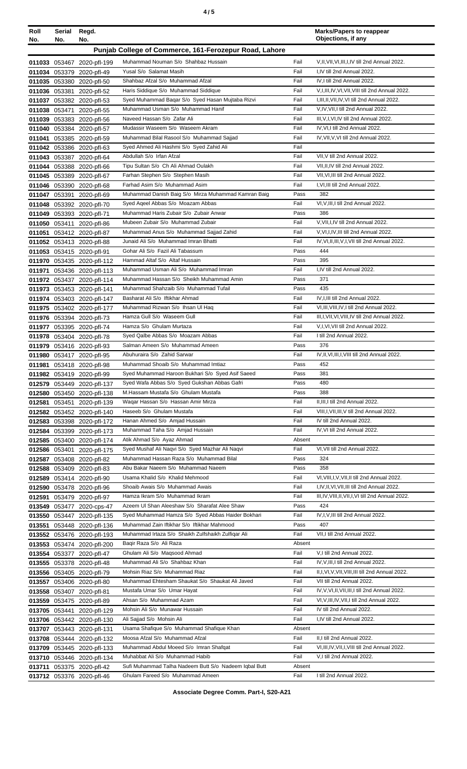| ٠<br>٠<br>I<br>×<br>۰, |
|------------------------|
|------------------------|

| Roll   | Serial<br>No. | Regd.<br>No.                                             |                                                                    |              | <b>Marks/Papers to reappear</b><br>Objections, if any                                            |
|--------|---------------|----------------------------------------------------------|--------------------------------------------------------------------|--------------|--------------------------------------------------------------------------------------------------|
| No.    |               |                                                          |                                                                    |              |                                                                                                  |
|        |               |                                                          | Punjab College of Commerce, 161-Ferozepur Road, Lahore             |              |                                                                                                  |
|        |               | 011033 053467 2020-pfl-199                               | Muhammad Nouman S/o Shahbaz Hussain                                | Fail         | V, II, VII, VI, III, I, IV till 2nd Annual 2022.                                                 |
|        | 011034 053379 | 2020-pfl-49                                              | Yusal S/o Salamat Masih<br>Shahbaz Afzal S/o Muhammad Afzal        | Fail<br>Fail | I,IV till 2nd Annual 2022.<br>IV, I till 2nd Annual 2022.                                        |
|        |               | 011035 053380 2020-pfl-50                                | Haris Siddique S/o Muhammad Siddique                               | Fail         | V, I, III, IV, VI, VII, VIII till 2nd Annual 2022.                                               |
|        |               | 011036 053381 2020-pfl-52<br>011037 053382 2020-pfl-53   | Syed Muhammad Bagar S/o Syed Hasan Mujtaba Rizvi                   | Fail         | I, III, II, VII, IV, VI till 2nd Annual 2022.                                                    |
|        |               | 011038 053471 2020-pfl-55                                | Muhammad Usman S/o Muhammad Hanif                                  | Fail         | V,IV, VII, I till 2nd Annual 2022.                                                               |
|        |               | 011039 053383 2020-pfl-56                                | Naveed Hassan S/o Zafar Ali                                        | Fail         | III, V, I, VI, IV till 2nd Annual 2022.                                                          |
|        |               | 011040 053384 2020-pfl-57                                | Mudassir Waseem S/o Waseem Akram                                   | Fail         | IV, VI, I till 2nd Annual 2022.                                                                  |
| 011041 |               | 053385 2020-pfl-59                                       | Muhammad Bilal Rasool S/o Muhammad Sajjad                          | Fail         | IV, VII, V, VI till 2nd Annual 2022.                                                             |
|        |               | 011042 053386 2020-pfl-63                                | Syed Ahmed Ali Hashmi S/o Syed Zahid Ali                           | Fail         |                                                                                                  |
|        |               | 011043 053387 2020-pfl-64                                | Abdullah S/o Irfan Afzal                                           | Fail         | VII, V till 2nd Annual 2022.                                                                     |
|        |               | 011044 053388 2020-pfl-66                                | Tipu Sultan S/o Ch Ali Ahmad Oulakh                                | Fail         | VII, II, IV till 2nd Annual 2022.                                                                |
|        |               | 011045 053389 2020-pfl-67                                | Farhan Stephen S/o Stephen Masih                                   | Fail         | VII, VI, III till 2nd Annual 2022.                                                               |
|        |               | 011046 053390 2020-pfl-68                                | Farhad Asim S/o Muhammad Asim                                      | Fail         | I.VI.III till 2nd Annual 2022.                                                                   |
|        |               | 011047 053391 2020-pfl-69                                | Muhammad Danish Baig S/o Mirza Muhammad Kamran Baig                | Pass         | 382                                                                                              |
|        |               | 011048 053392 2020-pfl-70                                | Syed Ageel Abbas S/o Moazam Abbas                                  | Fail         | VI, V, III, I till 2nd Annual 2022.                                                              |
|        |               | 011049 053393 2020-pfl-71                                | Muhammad Haris Zubair S/o Zubair Anwar                             | Pass         | 386                                                                                              |
|        | 011050 053411 | 2020-pfl-86                                              | Mubeen Zubair S/o Muhammad Zubair                                  | Fail         | V, VII, I, IV till 2nd Annual 2022.                                                              |
| 011051 |               | 053412 2020-pfl-87                                       | Muhammad Anus S/o Muhammad Sajjad Zahid                            | Fail         | V.VI.I.IV.III till 2nd Annual 2022.                                                              |
|        |               | 011052 053413 2020-pfl-88                                | Junaid Ali S/o Muhammad Imran Bhatti                               | Fail         | IV, VI, II, III, V, I, VII till 2nd Annual 2022.                                                 |
|        |               | 011053 053415 2020-pfl-91                                | Gohar Ali S/o Fazil Ali Tabassum<br>Hammad Altaf S/o Altaf Hussain | Pass<br>Pass | 444<br>395                                                                                       |
|        |               | 011970 053435 2020-pfl-112                               | Muhammad Usman Ali S/o Muhammad Imran                              | Fail         | I,IV till 2nd Annual 2022.                                                                       |
| 011971 |               | 053436 2020-pfl-113<br>011972 053437 2020-pfl-114        | Muhammad Hassan S/o Sheikh Muhammad Amin                           | Pass         | 371                                                                                              |
|        |               | 011973 053453 2020-pfl-141                               | Muhammad Shahzaib S/o Muhammad Tufail                              | Pass         | 435                                                                                              |
|        |               | 011974 053403 2020-pfl-147                               | Basharat Ali S/o Iftikhar Ahmad                                    | Fail         | IV, I, III till 2nd Annual 2022.                                                                 |
| 011975 |               | 053402 2020-pfl-177                                      | Muhammad Rizwan S/o Ihsan UI Haq                                   | Fail         | VI, III, VIII, IV, I till 2nd Annual 2022.                                                       |
|        |               | 011976 053394 2020-pfl-73                                | Hamza Gull S/o Waseem Gull                                         | Fail         | III, I, VII, VI, VIII, IV till 2nd Annual 2022.                                                  |
|        |               | 011977 053395 2020-pfl-74                                | Hamza S/o Ghulam Murtaza                                           | Fail         | V,I, VI, VII till 2nd Annual 2022.                                                               |
|        |               | 011978 053404 2020-pfl-78                                | Syed Qalbe Abbas S/o Moazam Abbas                                  | Fail         | I till 2nd Annual 2022.                                                                          |
|        |               | 011979 053416 2020-pfl-93                                | Salman Ameen S/o Muhammad Ameen                                    | Pass         | 376                                                                                              |
|        |               | 011980 053417 2020-pfl-95                                | Abuhuraira S/o Zahid Sarwar                                        | Fail         | IV, II, VI, III, I, VIII till 2nd Annual 2022.                                                   |
|        |               | 011981 053418 2020-pfl-98                                | Muhammad Shoaib S/o Muhammad Imtiaz                                | Pass         | 452                                                                                              |
|        |               | 011982 053419 2020-pfl-99                                | Syed Muhammad Haroon Bukhari S/o Syed Asif Saeed                   | Pass         | 381                                                                                              |
|        |               | 012579 053449 2020-pfl-137                               | Syed Wafa Abbas S/o Syed Gukshan Abbas Gafri                       | Pass         | 480                                                                                              |
|        |               | 012580 053450 2020-pfl-138                               | M.Hassam Mustafa S/o Ghulam Mustafa                                | Pass         | 388                                                                                              |
|        |               | 012581 053451 2020-pfl-139                               | Waqar Hassan S/o Hassan Amir Mirza                                 | Fail         | II, III, I till 2nd Annual 2022.                                                                 |
|        |               | 012582 053452 2020-pfl-140                               | Haseeb S/o Ghulam Mustafa                                          | Fail         | VIII, I, VII, III, V till 2nd Annual 2022.                                                       |
|        |               | 012583 053398 2020-pfl-172                               | Hanan Ahmed S/o Amjad Hussain<br>Muhammad Taha S/o Amjad Hussain   | Fail<br>Fail | IV till 2nd Annual 2022.<br>IV, VI till 2nd Annual 2022.                                         |
|        |               | 012584 053399 2020-pfl-173<br>012585 053400 2020-pfl-174 | Atik Ahmad S/o Ayaz Ahmad                                          | Absent       |                                                                                                  |
|        |               | 012586 053401 2020-pfl-175                               | Syed Mushaf Ali Naqvi S/o Syed Mazhar Ali Naqvi                    | Fail         | VI, VII till 2nd Annual 2022.                                                                    |
|        |               | 012587 053408 2020-pfl-82                                | Muhammad Hassan Raza S/o Muhammad Bilal                            | Pass         | 324                                                                                              |
|        |               | 012588 053409 2020-pfl-83                                | Abu Bakar Naeem S/o Muhammad Naeem                                 | Pass         | 358                                                                                              |
| 012589 |               | 053414 2020-pfl-90                                       | Usama Khalid S/o Khalid Mehmood                                    | Fail         | VI, VIII, I, V, VII, II till 2nd Annual 2022.                                                    |
|        |               | 012590 053478 2020-pfl-96                                | Shoaib Awais S/o Muhammad Awais                                    | Fail         | I,IV,II,VI,VII,III till 2nd Annual 2022.                                                         |
| 012591 |               | 053479 2020-pfl-97                                       | Hamza Ikram S/o Muhammad Ikram                                     | Fail         | III, IV, VIII, II, VII, I, VI till 2nd Annual 2022.                                              |
|        |               | 013549 053477 2020-cps-47                                | Azeem UI Shan Aleeshaw S/o Sharafat Alee Shaw                      | Pass         | 424                                                                                              |
|        | 013550 053447 | 2020-pfl-135                                             | Syed Muhammad Hamza S/o Syed Abbas Haider Bokhari                  | Fail         | IV, I, V, III till 2nd Annual 2022.                                                              |
| 013551 |               | 053448 2020-pfl-136                                      | Muhammad Zain Iftikhar S/o Iftikhar Mahmood                        | Pass         | 407                                                                                              |
|        |               | 013552 053476 2020-pfl-193                               | Muhammad Irtaza S/o Shaikh Zulfshaikh Zulfiqar Ali                 | Fail         | VII, I till 2nd Annual 2022.                                                                     |
|        |               | 013553 053474 2020-pfl-200                               | Bagir Raza S/o Ali Raza                                            | Absent       |                                                                                                  |
|        |               | 013554 053377 2020-pfl-47                                | Ghulam Ali S/o Magsood Ahmad                                       | Fail         | V,I till 2nd Annual 2022.                                                                        |
|        |               | 013555 053378 2020-pfl-48                                | Muhammad Ali S/o Shahbaz Khan                                      | Fail         | IV, V, III, I till 2nd Annual 2022.                                                              |
|        |               | 013556 053405 2020-pfl-79                                | Mohsin Riaz S/o Muhammad Riaz                                      | Fail         | II,I, VI, V, VII, VIII, III till 2nd Annual 2022.                                                |
|        |               | 013557 053406 2020-pfl-80                                | Muhammad Ehtesham Shaukat S/o Shaukat Ali Javed                    | Fail<br>Fail | VII till 2nd Annual 2022.                                                                        |
|        |               | 013558 053407 2020-pfl-81                                | Mustafa Umar S/o Umar Hayat<br>Ahsan S/o Muhammad Azam             | Fail         | IV, V, VI, II, VII, III, I till 2nd Annual 2022.<br>VI, V, III, IV, VII, I till 2nd Annual 2022. |
|        |               | 013559 053475 2020-pfl-89                                | Mohsin Ali S/o Munawar Hussain                                     | Fail         | IV till 2nd Annual 2022.                                                                         |
|        | 013705 053441 | 2020-pfl-129<br>013706 053442 2020-pfl-130               | Ali Sajjad S/o Mohsin Ali                                          | Fail         | I,IV till 2nd Annual 2022.                                                                       |
|        |               | 013707 053443 2020-pfl-131                               | Usama Shafique S/o Muhammad Shafique Khan                          | Absent       |                                                                                                  |
|        |               | 013708 053444 2020-pfl-132                               | Moosa Afzal S/o Muhammad Afzal                                     | Fail         | II,I till 2nd Annual 2022.                                                                       |
|        |               | 013709 053445 2020-pfl-133                               | Muhammad Abdul Moeed S/o Imran Shafqat                             | Fail         | VI, III, IV, VII, I, VIII till 2nd Annual 2022.                                                  |
|        |               | 013710 053446 2020-pfl-134                               | Muhabbat Ali S/o Muhammad Habib                                    | Fail         | V,I till 2nd Annual 2022.                                                                        |
| 013711 |               | 053375 2020-pfl-42                                       | Sufi Muhammad Talha Nadeem Butt S/o Nadeem Iqbal Butt              | Absent       |                                                                                                  |
|        |               | 013712 053376 2020-pfl-46                                | Ghulam Fareed S/o Muhammad Ameen                                   | Fail         | I till 2nd Annual 2022.                                                                          |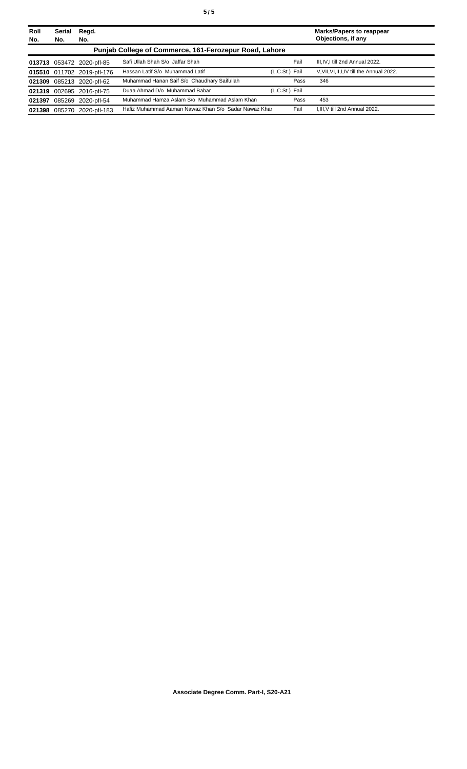| Roll | Serial | Regd.                      |                                                        |                |      | <b>Marks/Papers to reappear</b>             |
|------|--------|----------------------------|--------------------------------------------------------|----------------|------|---------------------------------------------|
| No.  | No.    | No.                        |                                                        |                |      | Objections, if any                          |
|      |        |                            | Punjab College of Commerce, 161-Ferozepur Road, Lahore |                |      |                                             |
|      |        | 013713 053472 2020-pfl-85  | Safi Ullah Shah S/o Jaffar Shah                        |                | Fail | III.IV.I till 2nd Annual 2022.              |
|      |        | 015510 011702 2019-pfl-176 | Hassan Latif S/o Muhammad Latif                        | (L.C.St.) Fail |      | V, VII, VI, II, I, IV till the Annual 2022. |
|      |        | 021309 085213 2020-pfl-62  | Muhammad Hanan Saif S/o Chaudhary Saifullah            |                | Pass | 346                                         |
|      |        | 021319 002695 2016-pfl-75  | Duaa Ahmad D/o Muhammad Babar                          | (L.C.St.) Fail |      |                                             |
|      |        | 021397 085269 2020-pfl-54  | Muhammad Hamza Aslam S/o Muhammad Aslam Khan           |                | Pass | 453                                         |
|      |        | 021398 085270 2020-pfl-183 | Hafiz Muhammad Aaman Nawaz Khan S/o Sadar Nawaz Khar   |                | Fail | I.III.V till 2nd Annual 2022.               |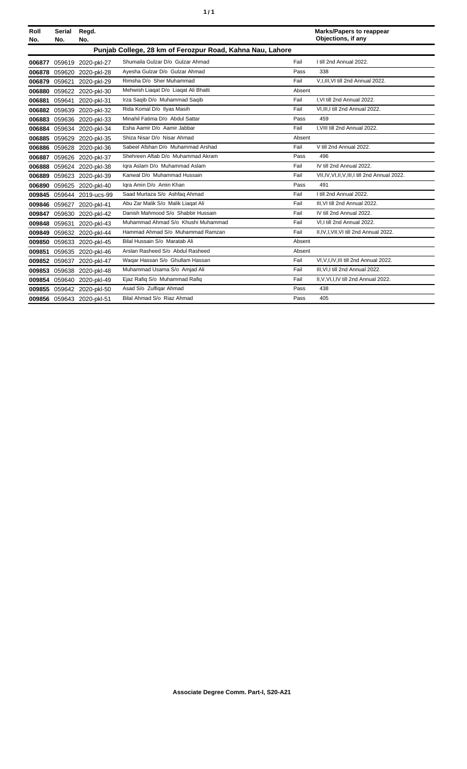| Roll<br>No. | <b>Serial</b><br>No.                                      | Regd.<br>No.              |                                      |        | <b>Marks/Papers to reappear</b><br>Objections, if any |  |
|-------------|-----------------------------------------------------------|---------------------------|--------------------------------------|--------|-------------------------------------------------------|--|
|             | Punjab College, 28 km of Ferozpur Road, Kahna Nau, Lahore |                           |                                      |        |                                                       |  |
| 006877      |                                                           | 059619 2020-pkl-27        | Shumaila Gulzar D/o Gulzar Ahmad     | Fail   | I till 2nd Annual 2022.                               |  |
| 006878      |                                                           | 059620 2020-pkl-28        | Ayesha Gulzar D/o Gulzar Ahmad       | Pass   | 338                                                   |  |
| 006879      | 059621                                                    | 2020-pkl-29               | Rimsha D/o Sher Muhammad             | Fail   | V, I, III, VI till 2nd Annual 2022.                   |  |
| 006880      |                                                           | 059622 2020-pkl-30        | Mehwish Liagat D/o Liagat Ali Bhatti | Absent |                                                       |  |
| 006881      |                                                           | 059641 2020-pkl-31        | Irza Saqib D/o Muhammad Saqib        | Fail   | I.VI till 2nd Annual 2022.                            |  |
|             |                                                           | 006882 059639 2020-pkl-32 | Rida Komal D/o Ilyas Masih           | Fail   | VI, III, I till 2nd Annual 2022.                      |  |
| 006883      | 059636                                                    | 2020-pkl-33               | Minahil Fatima D/o Abdul Sattar      | Pass   | 459                                                   |  |
| 006884      |                                                           | 059634 2020-pkl-34        | Esha Aamir D/o Aamir Jabbar          | Fail   | I.VIII till 2nd Annual 2022.                          |  |
| 006885      |                                                           | 059629 2020-pkl-35        | Shiza Nisar D/o Nisar Ahmad          | Absent |                                                       |  |
|             |                                                           | 006886 059628 2020-pkl-36 | Sabeel Afshan D/o Muhammad Arshad    | Fail   | V till 2nd Annual 2022.                               |  |
| 006887      |                                                           | 059626 2020-pkl-37        | Shehreen Aftab D/o Muhammad Akram    | Pass   | 496                                                   |  |
| 006888      |                                                           | 059624 2020-pkl-38        | Igra Aslam D/o Muhammad Aslam        | Fail   | IV till 2nd Annual 2022.                              |  |
| 006889      |                                                           | 059623 2020-pkl-39        | Kanwal D/o Muhammad Hussain          | Fail   | VII, IV, VI, II, V, III, I till 2nd Annual 2022.      |  |
| 006890      |                                                           | 059625 2020-pkl-40        | Iqra Amin D/o Amin Khan              | Pass   | 491                                                   |  |
| 009845      |                                                           | 059644 2019-ucs-99        | Saad Murtaza S/o Ashfaq Ahmad        | Fail   | I till 2nd Annual 2022.                               |  |
| 009846      |                                                           | 059627 2020-pkl-41        | Abu Zar Malik S/o Malik Liagat Ali   | Fail   | III.VI till 2nd Annual 2022.                          |  |
| 009847      |                                                           | 059630 2020-pkl-42        | Danish Mahmood S/o Shabbir Hussain   | Fail   | IV till 2nd Annual 2022.                              |  |
| 009848      | 059631                                                    | 2020-pkl-43               | Muhammad Ahmad S/o Khushi Muhammad   | Fail   | VI.I till 2nd Annual 2022.                            |  |
| 009849      |                                                           | 059632 2020-pkl-44        | Hammad Ahmad S/o Muhammad Ramzan     | Fail   | II, IV, I, VII, VI till 2nd Annual 2022.              |  |
| 009850      |                                                           | 059633 2020-pkl-45        | Bilal Hussain S/o Maratab Ali        | Absent |                                                       |  |
| 009851      |                                                           | 059635 2020-pkl-46        | Arslan Rasheed S/o Abdul Rasheed     | Absent |                                                       |  |
| 009852      |                                                           | 059637 2020-pkl-47        | Wagar Hassan S/o Ghullam Hassan      | Fail   | VI, V, I, IV, III till 2nd Annual 2022.               |  |
| 009853      |                                                           | 059638 2020-pkl-48        | Muhammad Usama S/o Amjad Ali         | Fail   | III, VI, I till 2nd Annual 2022.                      |  |
|             |                                                           | 009854 059640 2020-pkl-49 | Ejaz Rafiq S/o Muhammad Rafiq        | Fail   | II, V, VI, I, IV till 2nd Annual 2022.                |  |
|             |                                                           | 009855 059642 2020-pkl-50 | Asad S/o Zulfigar Ahmad              | Pass   | 438                                                   |  |
|             |                                                           | 009856 059643 2020-pkl-51 | Bilal Ahmad S/o Riaz Ahmad           | Pass   | 405                                                   |  |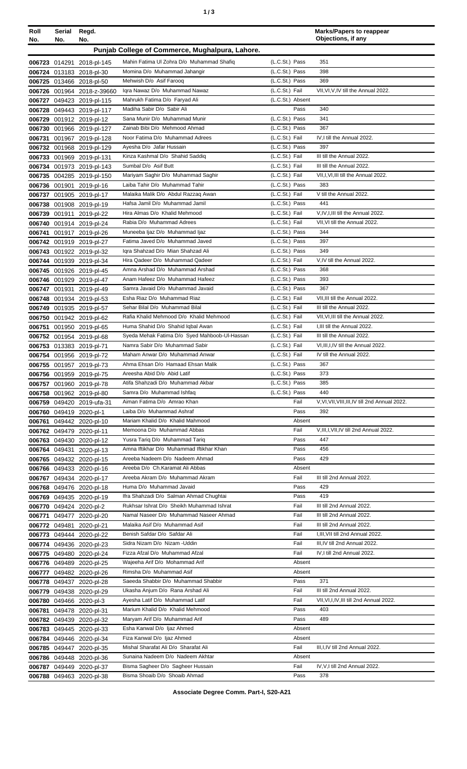| ٠ | ×<br>٠<br>I<br>×<br>۰. |
|---|------------------------|
|   |                        |

| Roll<br>No. | Serial<br>No. | Regd.<br>No.                                          |                                                                            |                                  | <b>Marks/Papers to reappear</b><br>Objections, if any  |
|-------------|---------------|-------------------------------------------------------|----------------------------------------------------------------------------|----------------------------------|--------------------------------------------------------|
|             |               |                                                       | Punjab College of Commerce, Mughalpura, Lahore.                            |                                  |                                                        |
|             |               | 006723 014291 2018-pl-145                             | Mahin Fatima Ul Zohra D/o Muhammad Shafiq                                  | (L.C.St.) Pass                   | 351                                                    |
|             |               | 006724 013183 2018-pl-30                              | Momina D/o Muhammad Jahangir                                               | (L.C.St.) Pass                   | 398                                                    |
|             |               | 006725 013466 2018-pl-50                              | Mehwish D/o Asif Farooq                                                    | (L.C.St.) Pass                   | 369                                                    |
|             |               | 006726 001964 2018-z-39660                            | Igra Nawaz D/o Muhammad Nawaz                                              | (L.C.St.) Fail                   | VII, VI, V, IV till the Annual 2022.                   |
|             |               | 006727 049423 2019-pl-115                             | Mahrukh Fatima D/o Faryad Ali                                              | (L.C.St.) Absent                 |                                                        |
|             |               | 006728 049443 2019-pl-117                             | Madiha Sabir D/o Sabir Ali<br>Sana Munir D/o Muhammad Munir                | Pass<br>(L.C.St.) Pass           | 340<br>341                                             |
|             |               | 006729 001912 2019-pl-12<br>006730 001966 2019-pl-127 | Zainab Bibi D/o Mehmood Ahmad                                              | (L.C.St.) Pass                   | 367                                                    |
|             |               | 006731 001967 2019-pl-128                             | Noor Fatima D/o Muhammad Adrees                                            | (L.C.St.) Fail                   | IV,I till the Annual 2022.                             |
|             |               | 006732 001968 2019-pl-129                             | Ayesha D/o Jafar Hussain                                                   | (L.C.St.) Pass                   | 397                                                    |
|             |               | 006733 001969 2019-pl-131                             | Kinza Kashmal D/o Shahid Saddig                                            | (L.C.St.) Fail                   | III till the Annual 2022.                              |
|             |               | 006734 001973 2019-pl-143                             | Sumbal D/o Asif Butt                                                       | (L.C.St.) Fail                   | III till the Annual 2022.                              |
|             |               | 006735 004285 2019-pl-150                             | Mariyam Saghir D/o Muhammad Saghir<br>Laiba Tahir D/o Muhammad Tahir       | (L.C.St.) Fail<br>(L.C.St.) Pass | VII, I, VI, III till the Annual 2022.<br>383           |
|             |               | 006736 001901 2019-pl-16<br>006737 001905 2019-pl-17  | Malaika Malik D/o Abdul Razzaq Awan                                        | (L.C.St.) Fail                   | V till the Annual 2022.                                |
|             |               | 006738 001908 2019-pl-19                              | Hafsa Jamil D/o Muhammad Jamil                                             | (L.C.St.) Pass                   | 441                                                    |
|             |               | 006739 001911 2019-pl-22                              | Hira Almas D/o Khalid Mehmood                                              | (L.C.St.) Fail                   | V.IV, I, III till the Annual 2022.                     |
|             |               | 006740 001914 2019-pl-24                              | Rabia D/o Muhammad Adrees                                                  | (L.C.St.) Fail                   | VII, VI till the Annual 2022.                          |
|             |               | 006741 001917 2019-pl-26                              | Muneeba Ijaz D/o Muhammad Ijaz                                             | (L.C.St.) Pass                   | 344                                                    |
|             |               | 006742 001919 2019-pl-27                              | Fatima Javed D/o Muhammad Javed                                            | (L.C.St.) Pass                   | 397                                                    |
|             |               | 006743 001922 2019-pl-32                              | Igra Shahzad D/o Mian Shahzad Ali                                          | (L.C.St.) Pass                   | 349                                                    |
|             |               | 006744 001939 2019-pl-34                              | Hira Qadeer D/o Muhammad Qadeer<br>Amna Arshad D/o Muhammad Arshad         | (L.C.St.) Fail                   | V,IV till the Annual 2022.                             |
|             |               | 006745 001926 2019-pl-45                              | Anam Hafeez D/o Muhammad Hafeez                                            | (L.C.St.) Pass<br>(L.C.St.) Pass | 368<br>393                                             |
|             |               | 006746 001929 2019-pl-47<br>006747 001931 2019-pl-49  | Samra Javaid D/o Muhammad Javaid                                           | (L.C.St.) Pass                   | 367                                                    |
|             |               | 006748 001934 2019-pl-53                              | Esha Riaz D/o Muhammad Riaz                                                | (L.C.St.) Fail                   | VII, III till the Annual 2022.                         |
|             |               | 006749 001935 2019-pl-57                              | Sehar Bilal D/o Muhammad Bilal                                             | (L.C.St.) Fail                   | III till the Annual 2022.                              |
|             |               | 006750 001942 2019-pl-62                              | Rafia Khalid Mehmood D/o Khalid Mehmood                                    | (L.C.St.) Fail                   | VII, VI, III till the Annual 2022.                     |
|             |               | 006751 001950 2019-pl-65                              | Huma Shahid D/o Shahid Iqbal Awan                                          | (L.C.St.) Fail                   | I, III till the Annual 2022.                           |
|             |               | 006752 001954 2019-pl-68                              | Syeda Mehak Fatima D/o Syed Mahboob-Ul-Hassan                              | (L.C.St.) Fail                   | III till the Annual 2022.                              |
|             |               | 006753 013383 2019-pl-71                              | Namra Sabir D/o Muhammad Sabir                                             | (L.C.St.) Fail                   | VI, III, I, IV till the Annual 2022.                   |
|             |               | 006754 001956 2019-pl-72<br>006755 001957 2019-pl-73  | Maham Anwar D/o Muhammad Anwar<br>Ahma Ehsan D/o Hamaad Ehsan Malik        | (L.C.St.) Fail<br>(L.C.St.) Pass | IV till the Annual 2022.<br>367                        |
|             |               | 006756 001959 2019-pl-75                              | Areesha Abid D/o Abid Latif                                                | (L.C.St.) Pass                   | 373                                                    |
|             |               | 006757 001960 2019-pl-78                              | Atifa Shahzadi D/o Muhammad Akbar                                          | (L.C.St.) Pass                   | 385                                                    |
|             |               | 006758 001962 2019-pl-80                              | Samra D/o Muhammad Ishfaq                                                  | (L.C.St.) Pass                   | 440                                                    |
|             |               | 006759 049420 2019-ufa-31                             | Aiman Fatima D/o Amrao Khan                                                | Fail                             | V.VI.VII.VIII.III.IV till 2nd Annual 2022.             |
|             |               | 006760 049419 2020-pl-1                               | Laiba D/o Muhammad Ashraf                                                  | Pass                             | 392                                                    |
|             |               | 006761 049442 2020-pl-10                              | Mariam Khalid D/o Khalid Mahmood                                           | Absent                           |                                                        |
|             |               | 006762 049479 2020-pl-11                              | Memoona D/o Muhammad Abbas                                                 | Fail                             | V, III, I, VII, IV till 2nd Annual 2022.<br>447        |
|             |               | 006763 049430 2020-pl-12<br>006764 049431 2020-pl-13  | Yusra Tariq D/o Muhammad Tariq<br>Amna Iftikhar D/o Muhammad Iftikhar Khan | Pass<br>Pass                     | 456                                                    |
|             |               | 006765 049432 2020-pl-15                              | Areeba Nadeem D/o Nadeem Ahmad                                             | Pass                             | 429                                                    |
|             |               | 006766 049433 2020-pl-16                              | Areeba D/o Ch.Karamat Ali Abbas                                            | Absent                           |                                                        |
|             |               | 006767 049434 2020-pl-17                              | Areeba Akram D/o Muhammad Akram                                            | Fail                             | III till 2nd Annual 2022.                              |
|             |               | 006768 049476 2020-pl-18                              | Huma D/o Muhammad Javaid                                                   | Pass                             | 429                                                    |
|             |               | 006769 049435 2020-pl-19                              | Ifra Shahzadi D/o Salman Ahmad Chughtai                                    | Pass                             | 419                                                    |
|             |               | 006770 049424 2020-pl-2                               | Rukhsar Ishrat D/o Sheikh Muhammad Ishrat                                  | Fail                             | III till 2nd Annual 2022.                              |
|             |               | 006771 049477 2020-pl-20                              | Namal Naseer D/o Muhammad Naseer Ahmad<br>Malaika Asif D/o Muhammad Asif   | Fail<br>Fail                     | III till 2nd Annual 2022.<br>III till 2nd Annual 2022. |
|             |               | 006772 049481 2020-pl-21<br>006773 049444 2020-pl-22  | Benish Safdar D/o Safdar Ali                                               | Fail                             | I, III, VII till 2nd Annual 2022.                      |
|             |               | 006774 049436 2020-pl-23                              | Sidra Nizam D/o Nizam - Uddin                                              | Fail                             | III, IV till 2nd Annual 2022.                          |
|             |               | 006775 049480 2020-pl-24                              | Fizza Afzal D/o Muhammad Afzal                                             | Fail                             | IV, I till 2nd Annual 2022.                            |
|             |               | 006776 049489 2020-pl-25                              | Wajeeha Arif D/o Mohammad Arif                                             | Absent                           |                                                        |
|             |               | 006777 049482 2020-pl-26                              | Rimsha D/o Muhammad Asif                                                   | Absent                           |                                                        |
|             |               | 006778 049437 2020-pl-28                              | Saeeda Shabbir D/o Muhammad Shabbir                                        | Pass                             | 371                                                    |
|             |               | 006779 049438 2020-pl-29                              | Ukasha Anjum D/o Rana Arshad Ali                                           | Fail                             | III till 2nd Annual 2022.                              |
|             |               | 006780 049466 2020-pl-3                               | Ayesha Latif D/o Muhammad Latif<br>Marium Khalid D/o Khalid Mehmood        | Fail                             | VII, VI, I, IV, III till 2nd Annual 2022.<br>403       |
|             |               | 006781 049478 2020-pl-31<br>006782 049439 2020-pl-32  | Maryam Arif D/o Muhammad Arif                                              | Pass<br>Pass                     | 489                                                    |
|             |               | 006783 049445 2020-pl-33                              | Esha Kanwal D/o Ijaz Ahmed                                                 | Absent                           |                                                        |
|             |               | 006784 049446 2020-pl-34                              | Fiza Kanwal D/o Ijaz Ahmed                                                 | Absent                           |                                                        |
|             |               | 006785 049447 2020-pl-35                              | Mishal Sharafat Ali D/o Sharafat Ali                                       | Fail                             | III, I, IV till 2nd Annual 2022.                       |
|             |               | 006786 049448 2020-pl-36                              | Sunaina Nadeem D/o Nadeem Akhtar                                           | Absent                           |                                                        |
|             |               | 006787 049449 2020-pl-37                              | Bisma Sagheer D/o Sagheer Hussain                                          | Fail                             | IV, V, I till 2nd Annual 2022.                         |
|             |               | 006788 049463 2020-pl-38                              | Bisma Shoaib D/o Shoaib Ahmad                                              | Pass                             | 378                                                    |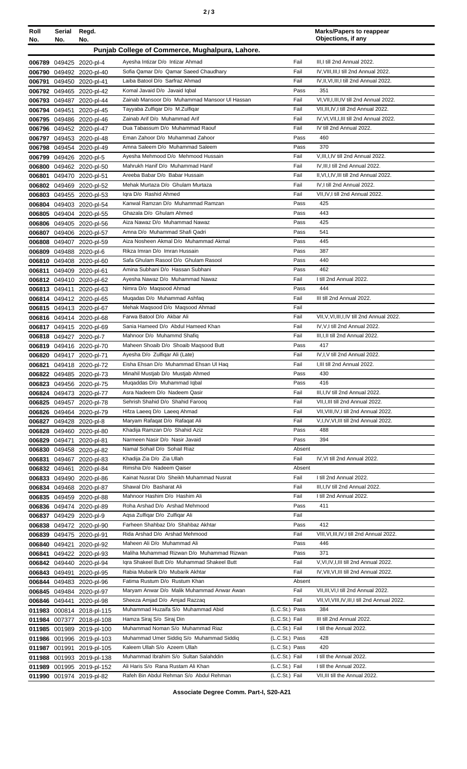| Roll<br>No. | Serial<br>No. | Regd.<br>No.                                          |                                                                             |                | <b>Marks/Papers to reappear</b><br>Objections, if any                                    |
|-------------|---------------|-------------------------------------------------------|-----------------------------------------------------------------------------|----------------|------------------------------------------------------------------------------------------|
|             |               |                                                       | Punjab College of Commerce, Mughalpura, Lahore.                             |                |                                                                                          |
|             |               | 006789 049425 2020-pl-4                               | Ayesha Intizar D/o Intizar Ahmad                                            | Fail           | III, I till 2nd Annual 2022.                                                             |
|             |               | 006790 049492 2020-pl-40                              | Sofia Qamar D/o Qamar Saeed Chaudhary                                       | Fail           | IV, VIII, III, I till 2nd Annual 2022.                                                   |
|             |               | 006791 049450 2020-pl-41                              | Laiba Batool D/o Sarfraz Ahmad                                              | Fail           | IV, II, VI, III, I till 2nd Annual 2022.                                                 |
|             |               | 006792 049465 2020-pl-42                              | Komal Javaid D/o Javaid Iqbal                                               | Pass           | 351                                                                                      |
|             |               | 006793 049487 2020-pl-44                              | Zainab Mansoor D/o Muhammad Mansoor UI Hassan                               | Fail           | VI, VII, I, III, IV till 2nd Annual 2022.                                                |
|             |               | 006794 049451 2020-pl-45                              | Tayyaba Zulfiqar D/o M.Zulfiqar                                             | Fail           | VII, III, IV, I till 2nd Annual 2022.                                                    |
|             |               | 006795 049486 2020-pl-46                              | Zainab Arif D/o Muhammad Arif                                               | Fail           | IV, VI, VII, I, III till 2nd Annual 2022.                                                |
|             |               | 006796 049452 2020-pl-47                              | Dua Tabassum D/o Muhammad Raouf<br>Eman Zahoor D/o Muhammad Zahoor          | Fail<br>Pass   | IV till 2nd Annual 2022.<br>460                                                          |
|             |               | 006797 049453 2020-pl-48<br>006798 049454 2020-pl-49  | Amna Saleem D/o Muhammad Saleem                                             | Pass           | 370                                                                                      |
|             |               | 006799 049426 2020-pl-5                               | Ayesha Mehmood D/o Mehmood Hussain                                          | Fail           | V, III, I, IV till 2nd Annual 2022.                                                      |
|             |               | 006800 049462 2020-pl-50                              | Mahrukh Hanif D/o Muhammad Hanif                                            | Fail           | IV, III, I till 2nd Annual 2022.                                                         |
|             |               | 006801 049470 2020-pl-51                              | Areeba Babar D/o Babar Hussain                                              | Fail           | II, VI, I, IV, III till 2nd Annual 2022.                                                 |
|             |               | 006802 049469 2020-pl-52                              | Mehak Murtaza D/o Ghulam Murtaza                                            | Fail           | IV.I till 2nd Annual 2022.                                                               |
|             |               | 006803 049455 2020-pl-53                              | Igra D/o Rashid Ahmed                                                       | Fail           | VII, IV, I till 2nd Annual 2022.                                                         |
|             |               | 006804 049403 2020-pl-54                              | Kanwal Ramzan D/o Muhammad Ramzan                                           | Pass           | 425                                                                                      |
|             |               | 006805 049404 2020-pl-55                              | Ghazala D/o Ghulam Ahmed                                                    | Pass           | 443                                                                                      |
|             |               | 006806 049405 2020-pl-56                              | Aiza Nawaz D/o Muhammad Nawaz                                               | Pass           | 425                                                                                      |
|             |               | 006807 049406 2020-pl-57                              | Amna D/o Muhammad Shafi Qadri<br>Aiza Nosheen Akmal D/o Muhammad Akmal      | Pass<br>Pass   | 541<br>445                                                                               |
|             |               | 006808 049407 2020-pl-59                              | Rikza Imran D/o Imran Hussain                                               | Pass           | 387                                                                                      |
|             |               | 006809 049488 2020-pl-6<br>006810 049408 2020-pl-60   | Safa Ghulam Rasool D/o Ghulam Rasool                                        | Pass           | 440                                                                                      |
|             |               | 006811 049409 2020-pl-61                              | Amina Subhani D/o Hassan Subhani                                            | Pass           | 462                                                                                      |
|             |               | 006812 049410 2020-pl-62                              | Ayesha Nawaz D/o Muhammad Nawaz                                             | Fail           | I till 2nd Annual 2022.                                                                  |
|             | 006813 049411 | 2020-pl-63                                            | Nimra D/o Magsood Ahmad                                                     | Pass           | 444                                                                                      |
|             |               | 006814 049412 2020-pl-65                              | Muqadas D/o Muhammad Ashfaq                                                 | Fail           | III till 2nd Annual 2022.                                                                |
|             |               | 006815 049413 2020-pl-67                              | Mehak Maqsood D/o Maqsood Ahmad                                             | Fail           |                                                                                          |
|             |               | 006816 049414 2020-pl-68                              | Farwa Batool D/o Akbar Ali                                                  | Fail           | VII, V, VI, III, I, IV till 2nd Annual 2022.                                             |
|             |               | 006817 049415 2020-pl-69                              | Sania Hameed D/o Abdul Hameed Khan                                          | Fail           | IV, V, I till 2nd Annual 2022.                                                           |
|             |               | 006818 049427 2020-pl-7                               | Mahnoor D/o Muhammd Shafiq                                                  | Fail           | III, I, II till 2nd Annual 2022.                                                         |
|             |               | 006819 049416 2020-pl-70                              | Maheen Shoaib D/o Shoaib Magsood Butt                                       | Pass           | 417                                                                                      |
|             |               | 006820 049417 2020-pl-71                              | Ayesha D/o Zulfiqar Ali (Late)                                              | Fail           | IV,I, V till 2nd Annual 2022.<br>I.III till 2nd Annual 2022.                             |
|             |               | 006821 049418 2020-pl-72                              | Eisha Ehsan D/o Muhammad Ehsan Ul Haq<br>Minahil Mustjab D/o Mustjab Ahmed  | Fail<br>Pass   | 430                                                                                      |
|             |               | 006822 049485 2020-pl-73<br>006823 049456 2020-pl-75  | Mugaddas D/o Muhammad Iqbal                                                 | Pass           | 416                                                                                      |
|             |               | 006824 049473 2020-pl-77                              | Asra Nadeem D/o Nadeem Qasir                                                | Fail           | III, I, IV till 2nd Annual 2022.                                                         |
|             |               | 006825 049457 2020-pl-78                              | Sehrish Shahid D/o Shahid Farooq                                            | Fail           | VII, I, III till 2nd Annual 2022.                                                        |
|             |               | 006826 049464 2020-pl-79                              | Hifza Laeeq D/o Laeeq Ahmad                                                 | Fail           | VII, VIII, IV, I till 2nd Annual 2022.                                                   |
|             |               | 006827 049428 2020-pl-8                               | Maryam Rafaqat D/o Rafaqat Ali                                              | Fail           | V,I,IV,VI,III till 2nd Annual 2022.                                                      |
|             |               | 006828 049460 2020-pl-80                              | Khadija Ramzan D/o Shahid Aziz                                              | Pass           | 488                                                                                      |
|             |               | 006829 049471 2020-pl-81                              | Narmeen Nasir D/o Nasir Javaid                                              | Pass           | 394                                                                                      |
|             |               | 006830 049458 2020-pl-82                              | Namal Sohail D/o Sohail Riaz                                                | Absent         |                                                                                          |
|             |               | 006831 049467 2020-pl-83                              | Khadija Zia D/o Zia Ullah                                                   | Fail           | IV, VI till 2nd Annual 2022.                                                             |
|             |               | 006832 049461 2020-pl-84                              | Rimsha D/o Nadeem Qaiser<br>Kainat Nusrat D/o Sheikh Muhammad Nusrat        | Absent<br>Fail | I till 2nd Annual 2022.                                                                  |
|             |               | 006833 049490 2020-pl-86<br>006834 049468 2020-pl-87  | Shawal D/o Basharat Ali                                                     | Fail           | III, I, IV till 2nd Annual 2022.                                                         |
|             |               | 006835 049459 2020-pl-88                              | Mahnoor Hashim D/o Hashim Ali                                               | Fail           | I till 2nd Annual 2022.                                                                  |
|             |               | 006836 049474 2020-pl-89                              | Roha Arshad D/o Arshad Mehmood                                              | Pass           | 411                                                                                      |
|             |               | 006837 049429 2020-pl-9                               | Agsa Zulfigar D/o Zulfigar Ali                                              | Fail           |                                                                                          |
|             |               | 006838 049472 2020-pl-90                              | Farheen Shahbaz D/o Shahbaz Akhtar                                          | Pass           | 412                                                                                      |
|             |               | 006839 049475 2020-pl-91                              | Rida Arshad D/o Arshad Mehmood                                              | Fail           | VIII, VI, III, IV, I till 2nd Annual 2022.                                               |
|             |               | 006840 049421 2020-pl-92                              | Maheen Ali D/o Muhammad Ali                                                 | Pass           | 446                                                                                      |
|             |               | 006841 049422 2020-pl-93                              | Maliha Muhammad Rizwan D/o Muhammad Rizwan                                  | Pass           | 371                                                                                      |
|             |               | 006842 049440 2020-pl-94                              | Igra Shakeel Butt D/o Muhammad Shakeel Butt                                 | Fail           | V, VI, IV, I, III till 2nd Annual 2022.                                                  |
|             |               | 006843 049491 2020-pl-95                              | Rabia Mubarik D/o Mubarik Akhtar                                            | Fail           | IV, VII, VI, III till 2nd Annual 2022.                                                   |
|             |               | 006844 049483 2020-pl-96                              | Fatima Rustum D/o Rustum Khan                                               | Absent         |                                                                                          |
|             |               | 006845 049484 2020-pl-97                              | Maryam Anwar D/o Malik Muhammad Anwar Awan<br>Sheeza Amjad D/o Amjad Razzaq | Fail<br>Fail   | VII, III, VI, I till 2nd Annual 2022.<br>VII, VI, VIII, IV, III, I till 2nd Annual 2022. |
|             |               | 006846 049441 2020-pl-98<br>011983 000814 2018-pl-115 | Muhammad Huzaifa S/o Muhammad Abid                                          | (L.C.St.) Pass | 384                                                                                      |
|             |               | 011984 007377 2018-pl-108                             | Hamza Siraj S/o Siraj Din                                                   | (L.C.St.) Fail | III till 2nd Annual 2022.                                                                |
|             |               | 011985 001989 2019-pl-100                             | Muhammad Noman S/o Muhammad Riaz                                            | (L.C.St.) Fail | I till the Annual 2022.                                                                  |
|             |               | 011986 001996 2019-pl-103                             | Muhammad Umer Siddig S/o Muhammad Siddig                                    | (L.C.St.) Pass | 428                                                                                      |
|             |               | 011987 001991 2019-pl-105                             | Kaleem Ullah S/o Azeem Ullah                                                | (L.C.St.) Pass | 420                                                                                      |
|             |               | 011988 001993 2019-pl-138                             | Muhammad Ibrahim S/o Sultan Salahddin                                       | (L.C.St.) Fail | I till the Annual 2022.                                                                  |
|             |               | 011989 001995 2019-pl-152                             | Ali Haris S/o Rana Rustam Ali Khan                                          | (L.C.St.) Fail | I till the Annual 2022.                                                                  |
|             |               | 011990 001974 2019-pl-82                              | Rafeh Bin Abdul Rehman S/o Abdul Rehman                                     | (L.C.St.) Fail | VII, III till the Annual 2022.                                                           |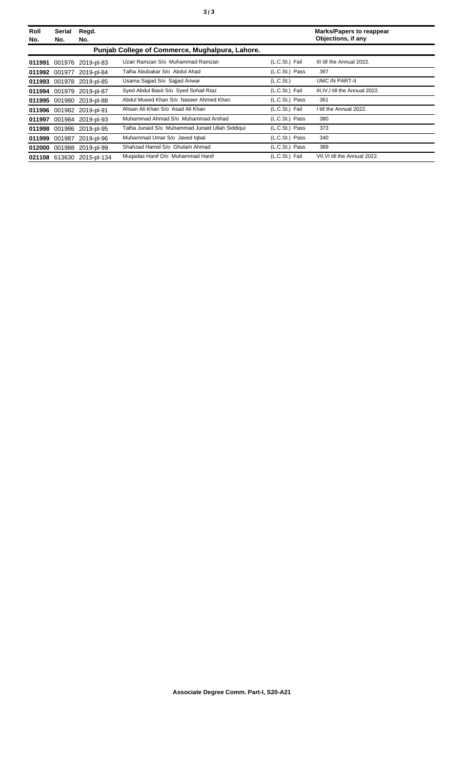| Roll<br>No. | Serial<br>No. | Regd.<br>No.              |                                                 |                | <b>Marks/Papers to reappear</b><br>Objections, if any |
|-------------|---------------|---------------------------|-------------------------------------------------|----------------|-------------------------------------------------------|
|             |               |                           | Punjab College of Commerce, Mughalpura, Lahore. |                |                                                       |
|             |               | 011991 001976 2019-pl-83  | Uzair Ramzan S/o Muhammad Ramzan                | (L.C.St.) Fail | III till the Annual 2022.                             |
|             |               | 011992 001977 2019-pl-84  | Talha Abubakar S/o Abdul Ahad                   | (L.C.St.) Pass | 367                                                   |
|             |               | 011993 001978 2019-pl-85  | Usama Sajjad S/o Sajjad Anwar                   | (L.C.St.)      | UMC IN PART-II                                        |
|             |               | 011994 001979 2019-pl-87  | Syed Abdul Basit S/o Syed Sohail Riaz           | (L.C.St.) Fail | III, IV, I till the Annual 2022.                      |
|             |               | 011995 001980 2019-pl-88  | Abdul Mueed Khan S/o Naseer Ahmed Khan          | (L.C.St.) Pass | 361                                                   |
|             |               | 011996 001982 2019-pl-91  | Ahsan Ali Khan S/o Asad Ali Khan                | (L.C.St.) Fail | I till the Annual 2022.                               |
|             |               | 011997 001984 2019-pl-93  | Muhammad Ahmad S/o Muhammad Arshad              | (L.C.St.) Pass | 380                                                   |
|             |               | 011998 001986 2019-pl-95  | Talha Junaid S/o Muhammad Junaid Ullah Siddiqui | (L.C.St.) Pass | 373                                                   |
|             |               | 011999 001987 2019-pl-96  | Muhammad Umar S/o Javed Iqbal                   | (L.C.St.) Pass | 340                                                   |
|             |               | 012000 001988 2019-pl-99  | Shahzad Hamid S/o Ghulam Ahmad                  | (L.C.St.) Pass | 389                                                   |
|             |               | 021108 613630 2015-pl-134 | Mugadas Hanif D/o Muhammad Hanif                | (L.C.St.) Fail | VII. VI till the Annual 2022.                         |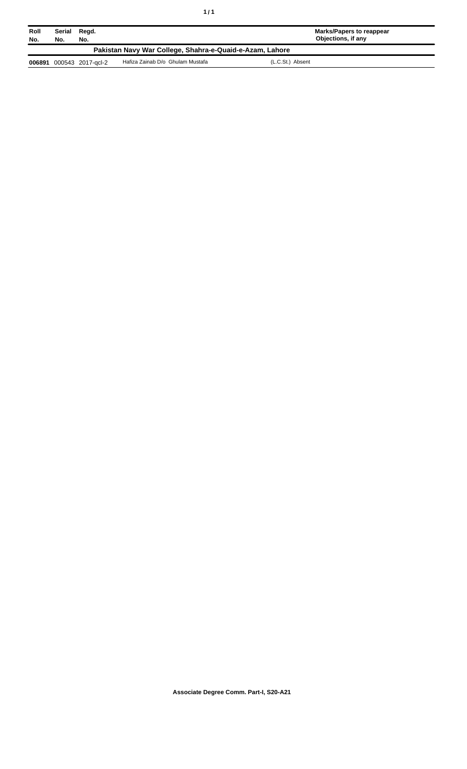| Roll<br>No.                                              | Serial<br>No. | Regd.<br>No.      |                                  | <b>Marks/Papers to reappear</b><br>Objections, if any |  |  |
|----------------------------------------------------------|---------------|-------------------|----------------------------------|-------------------------------------------------------|--|--|
| Pakistan Navy War College, Shahra-e-Quaid-e-Azam, Lahore |               |                   |                                  |                                                       |  |  |
| 006891                                                   |               | 000543 2017-gcl-2 | Hafiza Zainab D/o Ghulam Mustafa | (L.C.St.) Absent                                      |  |  |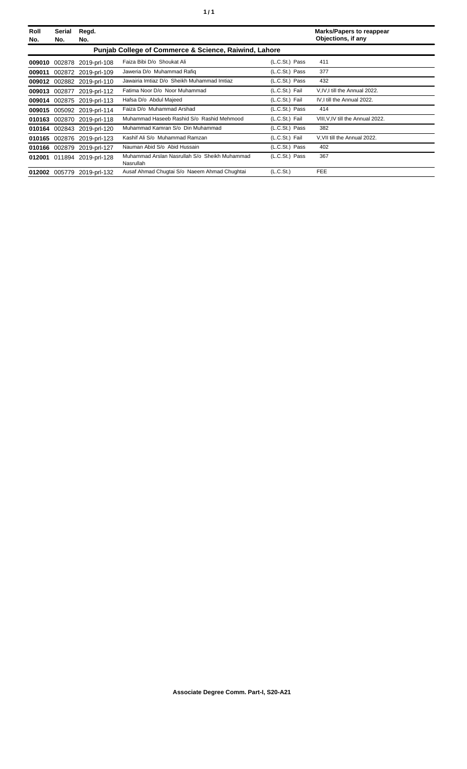| Roll<br>No. | Serial<br>No.                                                    | Regd.<br>No.               |                                                            |                | <b>Marks/Papers to reappear</b><br>Objections, if any |  |
|-------------|------------------------------------------------------------------|----------------------------|------------------------------------------------------------|----------------|-------------------------------------------------------|--|
|             | <b>Punjab College of Commerce &amp; Science, Raiwind, Lahore</b> |                            |                                                            |                |                                                       |  |
| 009010      |                                                                  | 002878 2019-prl-108        | Faiza Bibi D/o Shoukat Ali                                 | (L.C.St.) Pass | 411                                                   |  |
| 009011      |                                                                  | 002872 2019-prl-109        | Jaweria D/o Muhammad Rafiq                                 | (L.C.St.) Pass | 377                                                   |  |
| 009012      |                                                                  | 002882 2019-prl-110        | Jawairia Imtiaz D/o Sheikh Muhammad Imtiaz                 | (L.C.St.) Pass | 432                                                   |  |
| 009013      |                                                                  | 002877 2019-prl-112        | Fatima Noor D/o Noor Muhammad                              | (L.C.St.) Fail | V, IV, I till the Annual 2022.                        |  |
| 009014      |                                                                  | 002875 2019-prl-113        | Hafsa D/o Abdul Majeed                                     | (L.C.St.) Fail | IV, I till the Annual 2022.                           |  |
| 009015      |                                                                  | 005092 2019-prl-114        | Faiza D/o Muhammad Arshad                                  | (L.C.St.) Pass | 414                                                   |  |
| 010163      |                                                                  | 002870 2019-prl-118        | Muhammad Haseeb Rashid S/o Rashid Mehmood                  | (L.C.St.) Fail | VIII, V, IV till the Annual 2022.                     |  |
| 010164      |                                                                  | 002843 2019-prl-120        | Muhammad Kamran S/o Din Muhammad                           | (L.C.St.) Pass | 382                                                   |  |
| 010165      |                                                                  | 002876 2019-prl-123        | Kashif Ali S/o Muhammad Ramzan                             | (L.C.St.) Fail | V.VII till the Annual 2022.                           |  |
|             |                                                                  | 010166 002879 2019-prl-127 | Nauman Abid S/o Abid Hussain                               | (L.C.St.) Pass | 402                                                   |  |
|             |                                                                  | 012001 011894 2019-prl-128 | Muhammad Arslan Nasrullah S/o Sheikh Muhammad<br>Nasrullah | (L.C.St.) Pass | 367                                                   |  |
| 012002      | 005779                                                           | 2019-prl-132               | Ausaf Ahmad Chugtai S/o Naeem Ahmad Chughtai               | (L.C.St.)      | <b>FEE</b>                                            |  |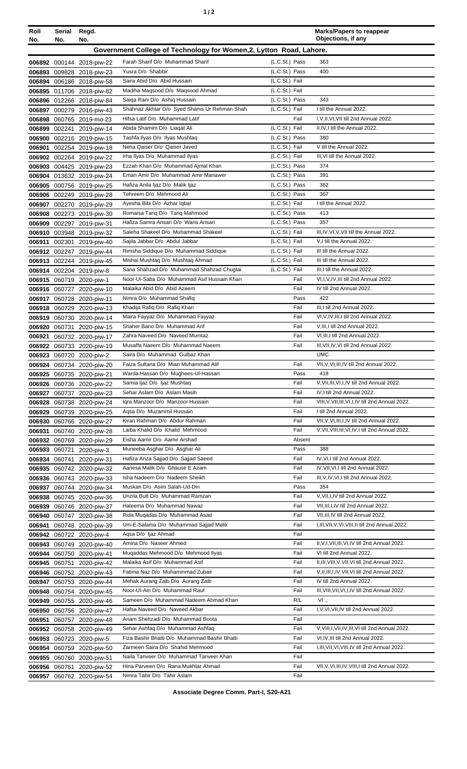|--|

| Roll<br>No.      | Serial<br>No. | Regd.<br>No.                                           |                                                                                |                                  | <b>Marks/Papers to reappear</b><br>Objections, if any                                               |
|------------------|---------------|--------------------------------------------------------|--------------------------------------------------------------------------------|----------------------------------|-----------------------------------------------------------------------------------------------------|
|                  |               |                                                        | Government College of Technology for Women, 2, Lytton Road, Lahore.            |                                  |                                                                                                     |
|                  |               | 006892 000144 2018-piw-22                              | Farah Sharif D/o Muhammad Sharif                                               | (L.C.St.) Pass                   | 363                                                                                                 |
| 006893           |               | 009828 2018-piw-23                                     | Yusra D/o Shabbir                                                              | (L.C.St.) Pass                   | 400                                                                                                 |
|                  |               | 006894 006186 2018-piw-58                              | Saira Abid D/o Abid Hussain                                                    | (L.C.St.) Fail                   |                                                                                                     |
| 006895           |               | 011706 2018-piw-82                                     | Madiha Maqsood D/o Maqsood Ahmad                                               | (L.C.St.) Fail                   |                                                                                                     |
| 006896           |               | 012266 2018-piw-84                                     | Saiga Rani D/o Ashig Hussain                                                   | (L.C.St.) Pass                   | 343                                                                                                 |
| 006897           |               | 000279 2016-piw-43                                     | Shahnaz Akhtar D/o Syed Shams Ur Rehman Shah<br>Hifsa Latif D/o Muhammad Latif | (L.C.St.) Fail<br>Fail           | I till the Annual 2022.<br>I, V, II, VI, VII till 2nd Annual 2022.                                  |
| 006898<br>006899 |               | 060765 2019-mo-23<br>002241 2019-piw-14                | Abida Shamim D/o Liagat Ali                                                    | (L.C.St.) Fail                   | II, IV, I till the Annual 2022.                                                                     |
| 006900           |               | 002216 2019-piw-15                                     | Tashfa Ilyas D/o Ilyas Mushtaq                                                 | (L.C.St.) Pass                   | 380                                                                                                 |
| 006901           |               | 002254 2019-piw-18                                     | Neha Qaiser D/o Qaiser Javed                                                   | (L.C.St.) Fail                   | V till the Annual 2022.                                                                             |
| 006902           |               | 002264 2019-piw-22                                     | Irha Ilyas D/o Muhammad Ilyas                                                  | (L.C.St.) Fail                   | III, VI till the Annual 2022.                                                                       |
| 006903           |               | 004425 2019-piw-23                                     | Ezzah Khan D/o Muhammad Ajmal Khan                                             | (L.C.St.) Pass                   | 374                                                                                                 |
|                  |               | 006904 013632 2019-piw-24                              | Eman Amir D/o Muhammad Amir Manawer                                            | (L.C.St.) Pass                   | 391                                                                                                 |
| 006905           |               | 000756 2019-piw-25                                     | Hafiza Anila Ijaz D/o Malik Ijaz                                               | (L.C.St.) Pass                   | 362                                                                                                 |
|                  |               | 006906 002249 2019-piw-28                              | Tehreem D/o Mehmood Ali                                                        | (L.C.St.) Pass                   | 367                                                                                                 |
|                  |               | 006907 002270 2019-piw-29                              | Ayesha Bibi D/o Azhar Iqbal<br>Romaisa Tariq D/o Tariq Mahmood                 | (L.C.St.) Fail<br>(L.C.St.) Pass | I till the Annual 2022.<br>413                                                                      |
| 006909           |               | 006908 002273 2019-piw-30<br>002297 2019-piw-31        | Hafiza Samra Ansari D/o Waris Ansari                                           | (L.C.St.) Pass                   | 357                                                                                                 |
| 006910           |               | 003948 2019-piw-32                                     | Saleha Shakeel D/o Muhammad Shakeel                                            | (L.C.St.) Fail                   | III, IV, VI, V, VII till the Annual 2022.                                                           |
| 006911           |               | 002301 2019-piw-40                                     | Sajila Jabbar D/o Abdul Jabbar                                                 | (L.C.St.) Fail                   | V,I till the Annual 2022.                                                                           |
|                  |               | 006912 002247 2019-piw-44                              | Rimsha Siddique D/o Muhammad Siddique                                          | (L.C.St.) Fail                   | III till the Annual 2022.                                                                           |
|                  |               | 006913 002244 2019-piw-45                              | Mishal Mushtaq D/o Mushtaq Ahmad                                               | (L.C.St.) Fail                   | III till the Annual 2022.                                                                           |
|                  |               | 006914 002204 2019-piw-8                               | Sana Shahzad D/o Muhammad Shahzad Chugtai                                      | (L.C.St.) Fail                   | III, I till the Annual 2022.                                                                        |
|                  |               | 006915 060719 2020-piw-1                               | Noor-Ul-Saba D/o Muhammad Asif Hussain Khan                                    | Fail                             | VI, I, V, IV, III till 2nd Annual 2022.                                                             |
|                  |               | 006916 060727 2020-piw-10                              | Malaika Abid D/o Abid Azeem                                                    | Fail<br>Pass                     | IV till 2nd Annual 2022.<br>422                                                                     |
|                  |               | 006917 060728 2020-piw-11<br>006918 060729 2020-piw-13 | Nimra D/o Muhammad Shafiq<br>Khadija Rafiq D/o Rafiq Khan                      | Fail                             | III, I till 2nd Annual 2022.                                                                        |
| 006919           | 060730        | 2020-piw-14                                            | Maira Fayyaz D/o Muhammad Fayyaz                                               | Fail                             | VI, V, IV, III, I till 2nd Annual 2022.                                                             |
| 006920           |               | 060731 2020-piw-15                                     | Shaher Bano D/o Muhammad Arif                                                  | Fail                             | V, III, I till 2nd Annual 2022.                                                                     |
| 006921           |               | 060732 2020-piw-17                                     | Zahra Naveed D/o Naveed Mumtaz                                                 | Fail                             | VI, III, I till 2nd Annual 2022.                                                                    |
|                  |               | 006922 060733 2020-piw-19                              | Musaffa Naeem D/o Muhammad Naeem                                               | Fail                             | III, VII, IV, VI till 2nd Annual 2022.                                                              |
|                  |               | 006923 060720 2020-piw-2                               | Saira D/o Muhammad Gulbaz Khan                                                 |                                  | <b>UMC</b>                                                                                          |
|                  |               | 006924 060734 2020-piw-20                              | Faiza Sultana D/o Mian Muhammad Atif                                           | Fail                             | VII, V, VI, III, IV till 2nd Annual 2022.                                                           |
|                  |               | 006925 060735 2020-piw-21                              | Warda Hassan D/o Mughees-Ul-Hassan                                             | Pass                             | 418                                                                                                 |
| 006926           |               | 060736 2020-piw-22                                     | Samia Ijaz D/o Ijaz Mushtaq<br>Sehar Aslam D/o Aslam Masih                     | Fail<br>Fail                     | V, VII, III, VI, I, IV till 2nd Annual 2022.<br>IV, I till 2nd Annual 2022.                         |
| 006928           |               | 006927 060737 2020-piw-23<br>060738 2020-piw-24        | Igra Manzoor D/o Manzoor Hussain                                               | Fail                             | VIII, V, VII, III, VI, I, IV till 2nd Annual 2022.                                                  |
| 006929           |               | 060739 2020-piw-25                                     | Agsa D/o Muzammil Hussain                                                      | Fail                             | I till 2nd Annual 2022.                                                                             |
|                  |               | 006930 060766 2020-piw-27                              | Kiran Rahman D/o Abdur Rahman                                                  | Fail                             | VII, V, VI, III, I, IV till 2nd Annual 2022.                                                        |
| 006931           |               | 060740 2020-piw-28                                     | Laiba Khalid D/o Khalid Mehmood                                                | Fail                             | V, VII, VIII, III, VI, IV, I till 2nd Annual 2022.                                                  |
|                  |               | 006932 060769 2020-piw-29                              | Eisha Aamir D/o Aamir Arshad                                                   | Absent                           |                                                                                                     |
| 006933           | 060721        | 2020-piw-3                                             | Muneeba Asghar D/o Asghar Ali                                                  | Pass                             | 388                                                                                                 |
|                  | 006934 060741 | 2020-piw-31                                            | Hafiza Anza Sajjad D/o Sajjad Saeed                                            | Fail                             | IV, VI, I till 2nd Annual 2022.                                                                     |
| 006935           |               | 060742 2020-piw-32                                     | Aanesa Malik D/o Ghause E Azam<br>Isha Nadeem D/o Nadeem Sheikh                | Fail<br>Fail                     | IV, VII, VI, I till 2nd Annual 2022.<br>III, V, IV, VI, I till 2nd Annual 2022.                     |
|                  |               | 006936 060743 2020-piw-33<br>006937 060744 2020-piw-34 | Muskan D/o Asim Salah-Ud-Din                                                   | Pass                             | 354                                                                                                 |
|                  |               | 006938 060745 2020-piw-36                              | Unzila Butt D/o Muhammad Ramzan                                                | Fail                             | V, VII, I, IV till 2nd Annual 2022.                                                                 |
| 006939           |               | 060746 2020-piw-37                                     | Haleema D/o Muhammad Nawaz                                                     | Fail                             | VII, III, I, IV till 2nd Annual 2022.                                                               |
| 006940           |               | 060747 2020-piw-38                                     | Rida Muqadas D/o Muhammad Asad                                                 | Fail                             | VII, III, IV till 2nd Annual 2022.                                                                  |
| 006941           |               | 060748 2020-piw-39                                     | Um-E-Salama D/o Muhammad Sajjad Malik                                          | Fail                             | I, III, VII, V, VI, VIII, II till 2nd Annual 2022.                                                  |
|                  |               | 006942 060722 2020-piw-4                               | Aqsa D/o Ijaz Ahmad                                                            | Fail                             |                                                                                                     |
| 006943           |               | 060749 2020-piw-40                                     | Amina D/o Naseer Ahmed                                                         | Fail                             | II, V, I, VII, III, VI, IV till 2nd Annual 2022.                                                    |
| 006944           |               | 060750 2020-piw-41                                     | Mugaddas Mehmood D/o Mehmood Ilyas                                             | Fail                             | VI till 2nd Annual 2022.                                                                            |
| 006945           | 060751        | 2020-piw-42                                            | Malaika Asif D/o Muhammad Asif<br>Fatima Naz D/o Muhammmad Zubair              | Fail<br>Fail                     | II, III, VIII, V, VII, VI till 2nd Annual 2022.<br>V, II, III, I, IV, VII, VI till 2nd Annual 2022. |
| 006947           |               | 006946 060752 2020-piw-43<br>060753 2020-piw-44        | Mehak Aurang Zaib D/o Aurang Zaib                                              | Fail                             | IV till 2nd Annual 2022.                                                                            |
| 006948           |               | 060754 2020-piw-45                                     | Noor-UI-Ain D/o Muhammad Rauf                                                  | Fail                             | III, VIII, VII, VI, I, IV till 2nd Annual 2022.                                                     |
| 006949           |               | 060755 2020-piw-46                                     | Sameen D/o Muhammad Nadeem Ahmad Khan                                          | R/L                              | $VI$ .,                                                                                             |
| 006950           |               | 060756 2020-piw-47                                     | Hafsa Naveed D/o Naveed Akbar                                                  | Fail                             | I, V, VI, VII, IV till 2nd Annual 2022.                                                             |
| 006951           |               | 060757 2020-piw-48                                     | Anam Shehzadi D/o Muhammad Boota                                               | Fail                             |                                                                                                     |
| 006952           |               | 060758 2020-piw-49                                     | Sehar Ashfaq D/o Muhammad Ashfaq                                               | Fail                             | V, VIII, I, VII, IV, III, VI till 2nd Annual 2022.                                                  |
| 006953           |               | 060723 2020-piw-5                                      | Fiza Bashir Bhatti D/o Muhammad Bashir Bhatti                                  | Fail                             | VI, IV, III till 2nd Annual 2022.                                                                   |
|                  |               | 006954 060759 2020-piw-50                              | Zarmeen Saira D/o Shahid Mehmood                                               | Fail                             | I, III, VII, VI, VIII, IV till 2nd Annual 2022.                                                     |
|                  |               | 006955 060760 2020-piw-51                              | Naila Tanveer D/o Muhammad Tanveer Khan<br>Hina Parveen D/o Rana Mukhtar Ahmad | Fail<br>Fail                     | VII, V, VI, III, IV, VIII, I till 2nd Annual 2022.                                                  |
|                  | 006956 060761 | 2020-piw-52<br>006957 060762 2020-piw-54               | Nimra Tahir D/o Tahir Aslam                                                    | Fail                             |                                                                                                     |
|                  |               |                                                        |                                                                                |                                  |                                                                                                     |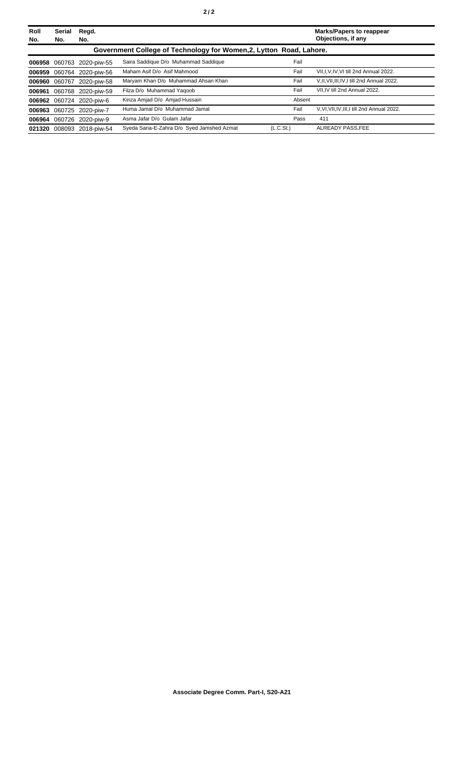| Roll<br>No. | Serial<br>No. | Regd.<br>No.             |                                                                     |           | <b>Marks/Papers to reappear</b><br>Objections, if any |
|-------------|---------------|--------------------------|---------------------------------------------------------------------|-----------|-------------------------------------------------------|
|             |               |                          | Government College of Technology for Women, 2, Lytton Road, Lahore. |           |                                                       |
| 006958      |               | 060763 2020-piw-55       | Saira Saddique D/o Muhammad Saddique                                | Fail      |                                                       |
| 006959      |               | 060764 2020-piw-56       | Maham Asif D/o Asif Mahmood                                         | Fail      | VII.I.V.IV.VI till 2nd Annual 2022.                   |
| 006960      | 060767        | 2020-piw-58              | Maryam Khan D/o Muhammad Ahsan Khan                                 | Fail      | V.II, VII, III, IV, I till 2nd Annual 2022.           |
| 006961      |               | 060768 2020-piw-59       | Filza D/o Muhammad Yaqoob                                           | Fail      | VII.IV till 2nd Annual 2022.                          |
|             |               | 006962 060724 2020-piw-6 | Kinza Amjad D/o Amjad Hussain                                       | Absent    |                                                       |
| 006963      |               | 060725 2020-piw-7        | Huma Jamal D/o Muhammad Jamal                                       | Fail      | V.VI.VII.IV.III.I till 2nd Annual 2022.               |
|             |               | 006964 060726 2020-piw-9 | Asma Jafar D/o Gulam Jafar                                          | Pass      | 411                                                   |
| 021320      |               | 008093 2018-piw-54       | Syeda Sana-E-Zahra D/o Syed Jamshed Azmat                           | (L.C.St.) | ALREADY PASS.FEE                                      |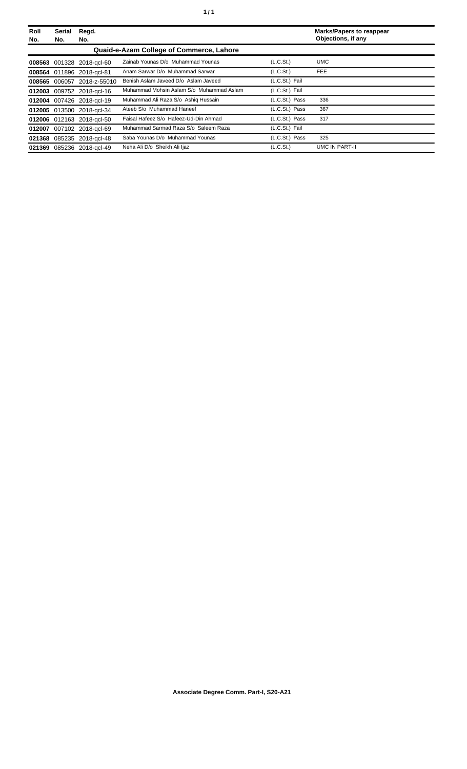| Roll<br>No. | Serial<br>No. | Regd.<br>No.              |                                          |                       | <b>Marks/Papers to reappear</b><br>Objections, if any |
|-------------|---------------|---------------------------|------------------------------------------|-----------------------|-------------------------------------------------------|
|             |               |                           | Quaid-e-Azam College of Commerce, Lahore |                       |                                                       |
|             |               | 008563 001328 2018-gcl-60 | Zainab Younas D/o Muhammad Younas        | (L.C.S <sub>t</sub> ) | <b>UMC</b>                                            |
|             |               | 008564 011896 2018-acl-81 | Anam Sarwar D/o Muhammad Sarwar          | (L.C.S <sub>t</sub> ) | FEE.                                                  |
| 008565      |               | 006057 2018-z-55010       | Benish Aslam Javeed D/o Aslam Javeed     | (L.C.St.) Fail        |                                                       |
|             |               | 012003 009752 2018-gcl-16 | Muhammad Mohsin Aslam S/o Muhammad Aslam | (L.C.St.) Fail        |                                                       |
|             |               | 012004 007426 2018-acl-19 | Muhammad Ali Raza S/o Ashig Hussain      | (L.C.St.) Pass        | 336                                                   |
|             |               | 012005 013500 2018-gcl-34 | Ateeb S/o Muhammad Haneef                | (L.C.St.) Pass        | 367                                                   |
|             |               | 012006 012163 2018-acl-50 | Faisal Hafeez S/o Hafeez-Ud-Din Ahmad    | (L.C.St.) Pass        | 317                                                   |
| 012007      |               | 007102 2018-gcl-69        | Muhammad Sarmad Raza S/o Saleem Raza     | (L.C.St.) Fail        |                                                       |
| 021368      |               | 085235 2018-gcl-48        | Saba Younas D/o Muhammad Younas          | (L.C.St.) Pass        | 325                                                   |
| 021369      |               | 085236 2018-gcl-49        | Neha Ali D/o Sheikh Ali Ijaz             | (L.C.St.)             | UMC IN PART-II                                        |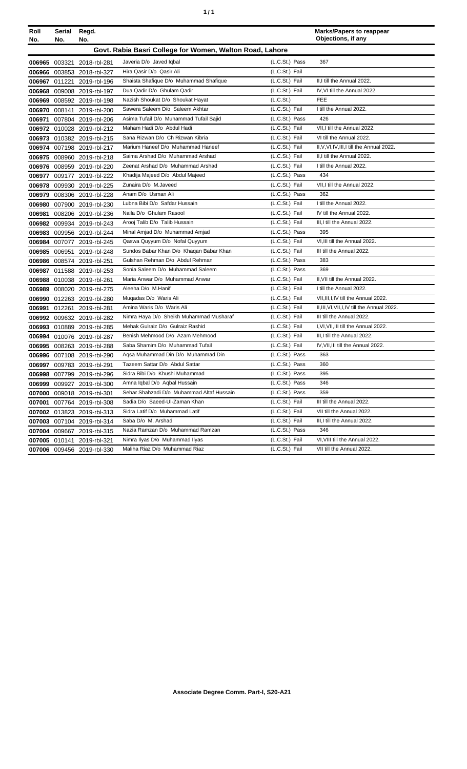|  | ٠ |
|--|---|
|  |   |

| Roll<br>No. | Serial<br>No. | Regd.<br>No.               |                                                          |                | <b>Marks/Papers to reappear</b><br>Objections, if any |
|-------------|---------------|----------------------------|----------------------------------------------------------|----------------|-------------------------------------------------------|
|             |               |                            | Govt. Rabia Basri College for Women, Walton Road, Lahore |                |                                                       |
|             |               | 006965 003321 2018-rbl-281 | Javeria D/o Javed Iqbal                                  | (L.C.St.) Pass | 367                                                   |
| 006966      |               | 003853 2018-rbl-327        | Hira Qasir D/o Qasir Ali                                 | (L.C.St.) Fail |                                                       |
|             |               | 006967 011221 2019-rbl-196 | Shaista Shafique D/o Muhammad Shafique                   | (L.C.St.) Fail | II,I till the Annual 2022.                            |
| 006968      |               | 009008 2019-rbl-197        | Dua Qadir D/o Ghulam Qadir                               | (L.C.St.) Fail | IV, VI till the Annual 2022.                          |
| 006969      |               | 008592 2019-rbl-198        | Nazish Shoukat D/o Shoukat Hayat                         | (L.C.St.)      | <b>FEE</b>                                            |
| 006970      |               | 008141 2019-rbl-200        | Sawera Saleem D/o Saleem Akhtar                          | (L.C.St.) Fail | I till the Annual 2022.                               |
| 006971      |               | 007804 2019-rbl-206        | Asima Tufail D/o Muhammad Tufail Sajid                   | (L.C.St.) Pass | 426                                                   |
| 006972      |               | 010028 2019-rbl-212        | Maham Hadi D/o Abdul Hadi                                | (L.C.St.) Fail | VII.I till the Annual 2022.                           |
| 006973      |               | 010382 2019-rbl-215        | Sana Rizwan D/o Ch Rizwan Kibria                         | (L.C.St.) Fail | VI till the Annual 2022.                              |
|             |               | 006974 007198 2019-rbl-217 | Marium Haneef D/o Muhammad Haneef                        | (L.C.St.) Fail | II, V, VI, IV, III, I till the Annual 2022.           |
|             |               | 006975 008960 2019-rbl-218 | Saima Arshad D/o Muhammad Arshad                         | (L.C.St.) Fail | II,I till the Annual 2022.                            |
|             |               | 006976 008959 2019-rbl-220 | Zeenat Arshad D/o Muhammad Arshad                        | (L.C.St.) Fail | I till the Annual 2022.                               |
| 006977      |               | 009177 2019-rbl-222        | Khadija Majeed D/o Abdul Majeed                          | (L.C.St.) Pass | 434                                                   |
| 006978      |               | 009930 2019-rbl-225        | Zunaira D/o M.Javeed                                     | (L.C.St.) Fail | VII.I till the Annual 2022.                           |
| 006979      |               | 008306 2019-rbl-228        | Anam D/o Usman Ali                                       | (L.C.St.) Pass | 362                                                   |
| 006980      |               | 007900 2019-rbl-230        | Lubna Bibi D/o Safdar Hussain                            | (L.C.St.) Fail | I till the Annual 2022.                               |
| 006981      |               | 008206 2019-rbl-236        | Naila D/o Ghulam Rasool                                  | (L.C.St.) Fail | IV till the Annual 2022.                              |
|             |               | 006982 009934 2019-rbl-243 | Arooj Talib D/o Talib Hussain                            | (L.C.St.) Fail | III.I till the Annual 2022.                           |
| 006983      |               | 009956 2019-rbl-244        | Minal Amjad D/o Muhammad Amjad                           | (L.C.St.) Pass | 395                                                   |
| 006984      |               | 007077 2019-rbl-245        | Qaswa Quyyum D/o Nofal Quyyum                            | (L.C.St.) Fail | VI, III till the Annual 2022.                         |
| 006985      |               | 006951 2019-rbl-248        | Sundos Babar Khan D/o Khaqan Babar Khan                  | (L.C.St.) Fail | III till the Annual 2022.                             |
| 006986      |               | 008574 2019-rbl-251        | Gulshan Rehman D/o Abdul Rehman                          | (L.C.St.) Pass | 383                                                   |
| 006987      |               | 011588 2019-rbl-253        | Sonia Saleem D/o Muhammad Saleem                         | (L.C.St.) Pass | 369                                                   |
| 006988      |               | 010038 2019-rbl-261        | Maria Anwar D/o Muhammad Anwar                           | (L.C.St.) Fail | II, VII till the Annual 2022.                         |
| 006989      |               | 008020 2019-rbl-275        | Aleeha D/o M.Hanif                                       | (L.C.St.) Fail | I till the Annual 2022.                               |
| 006990      |               | 012263 2019-rbl-280        | Mugadas D/o Waris Ali                                    | (L.C.St.) Fail | VII, III, I, IV till the Annual 2022.                 |
| 006991      |               | 012261 2019-rbl-281        | Amina Waris D/o Waris Ali                                | (L.C.St.) Fail | II, III, VI, VII, I, IV till the Annual 2022.         |
|             |               | 006992 009632 2019-rbl-282 | Nimra Haya D/o Sheikh Muhammad Musharaf                  | (L.C.St.) Fail | III till the Annual 2022.                             |
| 006993      |               | 010889 2019-rbl-285        | Mehak Gulraiz D/o Gulraiz Rashid                         | (L.C.St.) Fail | I, VI, VII, III till the Annual 2022.                 |
| 006994      |               | 010076 2019-rbl-287        | Benish Mehmood D/o Azam Mehmood                          | (L.C.St.) Fail | III, I till the Annual 2022.                          |
| 006995      |               | 008263 2019-rbl-288        | Saba Shamim D/o Muhammad Tufail                          | (L.C.St.) Fail | IV, VII, III till the Annual 2022.                    |
| 006996      |               | 007108 2019-rbl-290        | Agsa Muhammad Din D/o Muhammad Din                       | (L.C.St.) Pass | 363                                                   |
|             |               | 006997 009783 2019-rbl-291 | Tazeem Sattar D/o Abdul Sattar                           | (L.C.St.) Pass | 360                                                   |
|             |               | 006998 007799 2019-rbl-296 | Sidra Bibi D/o Khushi Muhammad                           | (L.C.St.) Pass | 395                                                   |
| 006999      | 009927        | 2019-rbl-300               | Amna Iqbal D/o Aqbal Hussain                             | (L.C.St.) Pass | 346                                                   |
| 007000      |               | 009018 2019-rbl-301        | Sehar Shahzadi D/o Muhammad Altaf Hussain                | (L.C.St.) Pass | 359                                                   |
| 007001      |               | 007764 2019-rbl-308        | Sadia D/o Saeed-UI-Zaman Khan                            | (L.C.St.) Fail | III till the Annual 2022.                             |
|             |               | 007002 013823 2019-rbl-313 | Sidra Latif D/o Muhammad Latif                           | (L.C.St.) Fail | VII till the Annual 2022.                             |
| 007003      |               | 007104 2019-rbl-314        | Saba D/o M. Arshad                                       | (L.C.St.) Fail | III, I till the Annual 2022.                          |
| 007004      |               | 009667 2019-rbl-315        | Nazia Ramzan D/o Muhammad Ramzan                         | (L.C.St.) Pass | 346                                                   |
| 007005      |               | 010141 2019-rbl-321        | Nimra Ilyas D/o Muhammad Ilyas                           | (L.C.St.) Fail | VI, VIII till the Annual 2022.                        |
|             |               | 007006 009456 2019-rbl-330 | Maliha Riaz D/o Muhammad Riaz                            | (L.C.St.) Fail | VII till the Annual 2022.                             |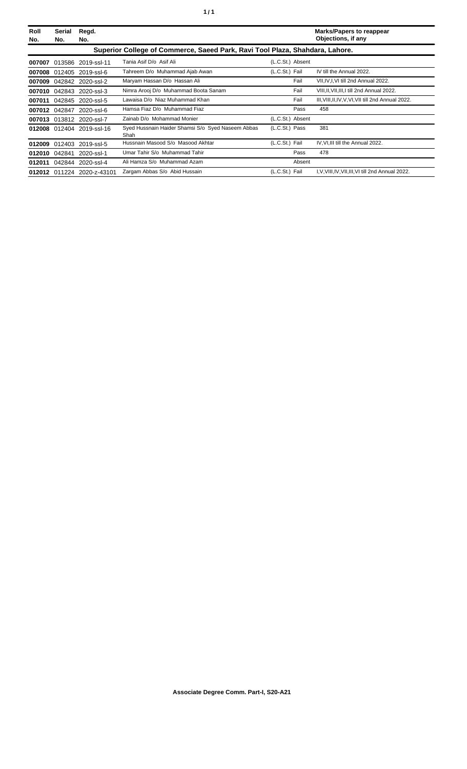| Roll<br>No. | Serial<br>No. | Regd.<br>No.               |                                                                              |                  | <b>Marks/Papers to reappear</b><br>Objections, if any |
|-------------|---------------|----------------------------|------------------------------------------------------------------------------|------------------|-------------------------------------------------------|
|             |               |                            | Superior College of Commerce, Saeed Park, Ravi Tool Plaza, Shahdara, Lahore. |                  |                                                       |
| 007007      |               | 013586 2019-ssl-11         | Tania Asif D/o Asif Ali                                                      | (L.C.St.) Absent |                                                       |
| 007008      |               | 012405 2019-ssl-6          | Tahreem D/o Muhammad Ajab Awan                                               | (L.C.St.) Fail   | IV till the Annual 2022.                              |
|             |               | 007009 042842 2020-ssl-2   | Maryam Hassan D/o Hassan Ali                                                 | Fail             | VII, IV, I, VI till 2nd Annual 2022.                  |
|             |               | 007010 042843 2020-ssl-3   | Nimra Arooj D/o Muhammad Boota Sanam                                         | Fail             | VIII, II, VII, III, I till 2nd Annual 2022.           |
| 007011      |               | 042845 2020-ssl-5          | Lawaisa D/o Niaz Muhammad Khan                                               | Fail             | III, VIII, II, IV, V, VI, VII till 2nd Annual 2022.   |
|             | 007012 042847 | 2020-ssl-6                 | Hamsa Fiaz D/o Muhammad Fiaz                                                 | Pass             | 458                                                   |
|             |               | 007013 013812 2020-ssl-7   | Zainab D/o Mohammad Monier                                                   | (L.C.St.) Absent |                                                       |
|             |               | 012008 012404 2019-ssl-16  | Syed Hussnain Haider Shamsi S/o Syed Naseem Abbas<br>Shah                    | (L.C.St.) Pass   | 381                                                   |
|             | 012009 012403 | 2019-ssl-5                 | Hussnain Masood S/o Masood Akhtar                                            | (L.C.St.) Fail   | IV, VI, III till the Annual 2022.                     |
| 012010      | 042841        | 2020-ssl-1                 | Umar Tahir S/o Muhammad Tahir                                                | Pass             | 478                                                   |
| 012011      |               | 042844 2020-ssl-4          | Ali Hamza S/o Muhammad Azam                                                  | Absent           |                                                       |
|             |               | 012012 011224 2020-z-43101 | Zargam Abbas S/o Abid Hussain                                                | (L.C.St.) Fail   | I, V, VIII, IV, VII, III, VI till 2nd Annual 2022.    |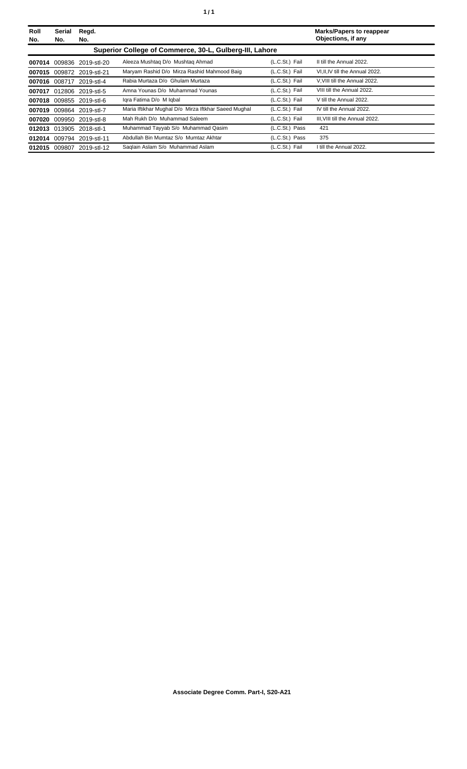| Roll<br>No. | Serial<br>No.                                           | Regd.<br>No.              |                                                      |                | <b>Marks/Papers to reappear</b><br>Objections, if any |  |
|-------------|---------------------------------------------------------|---------------------------|------------------------------------------------------|----------------|-------------------------------------------------------|--|
|             | Superior College of Commerce, 30-L, Gulberg-III, Lahore |                           |                                                      |                |                                                       |  |
|             |                                                         | 007014 009836 2019-stl-20 | Aleeza Mushtag D/o Mushtag Ahmad                     | (L.C.St.) Fail | II till the Annual 2022.                              |  |
|             |                                                         | 007015 009872 2019-stl-21 | Maryam Rashid D/o Mirza Rashid Mahmood Baig          | (L.C.St.) Fail | VI, II, IV till the Annual 2022.                      |  |
|             |                                                         | 007016 008717 2019-stl-4  | Rabia Murtaza D/o Ghulam Murtaza                     | (L.C.St.) Fail | V. VIII till the Annual 2022.                         |  |
|             |                                                         | 007017 012806 2019-stl-5  | Amna Younas D/o Muhammad Younas                      | (L.C.St.) Fail | VIII till the Annual 2022.                            |  |
|             |                                                         | 007018 009855 2019-stl-6  | Igra Fatima D/o M Igbal                              | (L.C.St.) Fail | V till the Annual 2022.                               |  |
|             |                                                         | 007019 009864 2019-stl-7  | Maria Iftikhar Mughal D/o Mirza Iftkhar Saeed Mughal | (L.C.St.) Fail | IV till the Annual 2022.                              |  |
|             |                                                         | 007020 009950 2019-stl-8  | Mah Rukh D/o Muhammad Saleem                         | (L.C.St.) Fail | III. VIII till the Annual 2022.                       |  |
|             |                                                         | 012013 013905 2018-stl-1  | Muhammad Tayyab S/o Muhammad Qasim                   | (L.C.St.) Pass | 421                                                   |  |
|             |                                                         | 012014 009794 2019-stl-11 | Abdullah Bin Mumtaz S/o Mumtaz Akhtar                | (L.C.St.) Pass | 375                                                   |  |
| 012015      | 009807                                                  | 2019-stl-12               | Saglain Aslam S/o Muhammad Aslam                     | (L.C.St.) Fail | I till the Annual 2022.                               |  |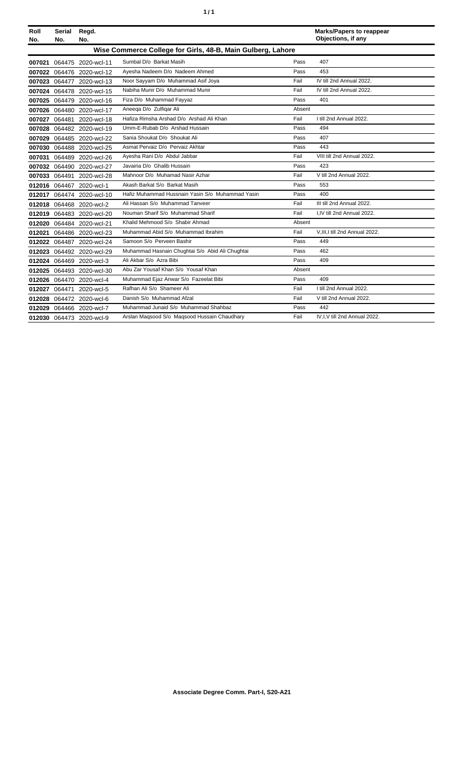| ٠ | ٠ |
|---|---|
|   |   |

| Roll<br>No. | Serial<br>No. | Regd.<br>No.              |                                                             |        | <b>Marks/Papers to reappear</b><br>Objections, if any |
|-------------|---------------|---------------------------|-------------------------------------------------------------|--------|-------------------------------------------------------|
|             |               |                           | Wise Commerce College for Girls, 48-B, Main Gulberg, Lahore |        |                                                       |
|             |               | 007021 064475 2020-wcl-11 | Sumbal D/o Barkat Masih                                     | Pass   | 407                                                   |
|             |               | 007022 064476 2020-wcl-12 | Ayesha Nadeem D/o Nadeem Ahmed                              | Pass   | 453                                                   |
|             |               | 007023 064477 2020-wcl-13 | Noor Sayyam D/o Muhammad Asif Joya                          | Fail   | IV till 2nd Annual 2022.                              |
|             |               | 007024 064478 2020-wcl-15 | Nabiha Munir D/o Muhammad Munir                             | Fail   | IV till 2nd Annual 2022.                              |
|             |               | 007025 064479 2020-wcl-16 | Fiza D/o Muhammad Fayyaz                                    | Pass   | 401                                                   |
|             |               | 007026 064480 2020-wcl-17 | Aneega D/o Zulfigar Ali                                     | Absent |                                                       |
|             |               | 007027 064481 2020-wcl-18 | Hafiza Rimsha Arshad D/o Arshad Ali Khan                    | Fail   | I till 2nd Annual 2022.                               |
|             |               | 007028 064482 2020-wcl-19 | Umm-E-Rubab D/o Arshad Hussain                              | Pass   | 494                                                   |
|             |               | 007029 064485 2020-wcl-22 | Sania Shoukat D/o Shoukat Ali                               | Pass   | 407                                                   |
|             |               | 007030 064488 2020-wcl-25 | Asmat Pervaiz D/o Pervaiz Akhtar                            | Pass   | 443                                                   |
|             |               | 007031 064489 2020-wcl-26 | Ayesha Rani D/o Abdul Jabbar                                | Fail   | VIII till 2nd Annual 2022.                            |
|             |               | 007032 064490 2020-wcl-27 | Javairia D/o Ghalib Hussain                                 | Pass   | 423                                                   |
|             |               | 007033 064491 2020-wcl-28 | Mahnoor D/o Muhamad Nasir Azhar                             | Fail   | V till 2nd Annual 2022.                               |
|             |               | 012016 064467 2020-wcl-1  | Akash Barkat S/o Barkat Masih                               | Pass   | 553                                                   |
|             |               | 012017 064474 2020-wcl-10 | Hafiz Muhammad Hussnain Yasin S/o Muhammad Yasin            | Pass   | 400                                                   |
|             |               | 012018 064468 2020-wcl-2  | Ali Hassan S/o Muhammad Tanveer                             | Fail   | III till 2nd Annual 2022.                             |
|             |               | 012019 064483 2020-wcl-20 | Nouman Sharif S/o Muhammad Sharif                           | Fail   | I.IV till 2nd Annual 2022.                            |
|             |               | 012020 064484 2020-wcl-21 | Khalid Mehmood S/o Shabir Ahmad                             | Absent |                                                       |
|             |               | 012021 064486 2020-wcl-23 | Muhammad Abid S/o Muhammad Ibrahim                          | Fail   | V, III, I till 2nd Annual 2022.                       |
|             |               | 012022 064487 2020-wcl-24 | Samoon S/o Perveen Bashir                                   | Pass   | 449                                                   |
|             |               | 012023 064492 2020-wcl-29 | Muhammad Hasnain Chughtai S/o Abid Ali Chughtai             | Pass   | 462                                                   |
|             |               | 012024 064469 2020-wcl-3  | Ali Akbar S/o Azra Bibi                                     | Pass   | 409                                                   |
|             |               | 012025 064493 2020-wcl-30 | Abu Zar Yousaf Khan S/o Yousaf Khan                         | Absent |                                                       |
|             |               | 012026 064470 2020-wcl-4  | Muhammad Ejaz Anwar S/o Fazeelat Bibi                       | Pass   | 409                                                   |
|             |               | 012027 064471 2020-wcl-5  | Rafhan Ali S/o Shameer Ali                                  | Fail   | I till 2nd Annual 2022.                               |
|             |               | 012028 064472 2020-wcl-6  | Danish S/o Muhammad Afzal                                   | Fail   | V till 2nd Annual 2022.                               |
|             |               | 012029 064466 2020-wcl-7  | Muhammad Junaid S/o Muhammad Shahbaz                        | Pass   | 442                                                   |
|             |               | 012030 064473 2020-wcl-9  | Arslan Magsood S/o Magsood Hussain Chaudhary                | Fail   | IV, I, V till 2nd Annual 2022.                        |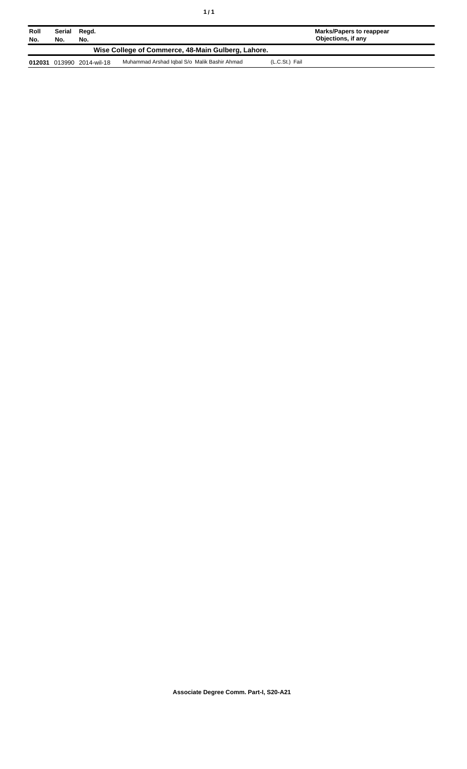| Roll   | Serial | Regd.              |                                                    |                | Marks/Papers to reappear<br>Objections, if any |
|--------|--------|--------------------|----------------------------------------------------|----------------|------------------------------------------------|
| No.    | No.    | No.                | Wise College of Commerce, 48-Main Gulberg, Lahore. |                |                                                |
| 012031 |        | 013990 2014-wil-18 | Muhammad Arshad Iqbal S/o Malik Bashir Ahmad       | (L.C.St.) Fail |                                                |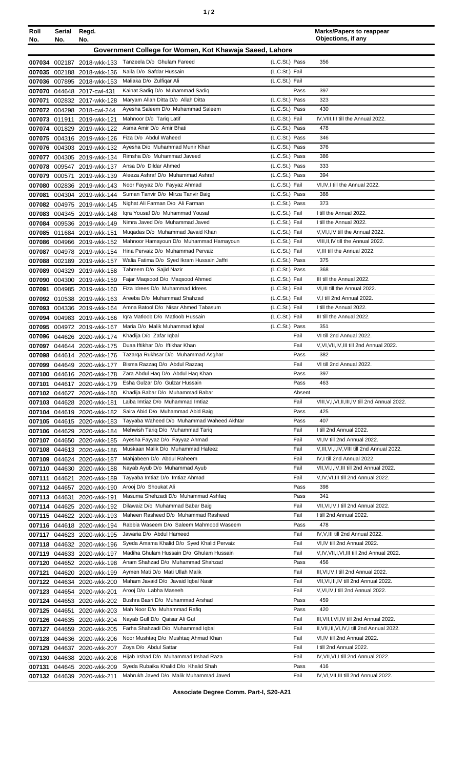|--|

| Roll<br>No. | Serial<br>No. | Regd.<br>No.                                             |                                                                               |                                  | <b>Marks/Papers to reappear</b><br>Objections, if any            |
|-------------|---------------|----------------------------------------------------------|-------------------------------------------------------------------------------|----------------------------------|------------------------------------------------------------------|
|             |               |                                                          | Government College for Women, Kot Khawaja Saeed, Lahore                       |                                  |                                                                  |
|             |               |                                                          | Tanzeela D/o Ghulam Fareed                                                    | (L.C.St.) Pass                   | 356                                                              |
|             |               | 007034 002187 2018-wkk-133<br>007035 002188 2018-wkk-136 | Naila D/o Safdar Hussain                                                      | (L.C.St.) Fail                   |                                                                  |
|             |               | 007036 007895 2018-wkk-153                               | Maliaka D/o Zulfigar Ali                                                      | (L.C.St.) Fail                   |                                                                  |
|             |               | 007070 044648 2017-cwl-431                               | Kainat Sadiq D/o Muhammad Sadiq                                               | Pass                             | 397                                                              |
| 007071      |               | 002832 2017-wkk-128                                      | Maryam Allah Ditta D/o Allah Ditta                                            | (L.C.St.) Pass                   | 323                                                              |
|             |               | 007072 004298 2018-cwl-244                               | Ayesha Saleem D/o Muhammad Saleem                                             | (L.C.St.) Pass                   | 430                                                              |
| 007073      | 011911        | 2019-wkk-121                                             | Mahnoor D/o Tariq Latif                                                       | (L.C.St.) Fail                   | IV, VIII, III till the Annual 2022.                              |
| 007074      |               | 001829 2019-wkk-122                                      | Asma Amir D/o Amir Bhati                                                      | (L.C.St.) Pass                   | 478                                                              |
| 007075      |               | 004316 2019-wkk-126                                      | Fiza D/o Abdul Waheed                                                         | (L.C.St.) Pass                   | 346                                                              |
|             |               | 007076 004303 2019-wkk-132                               | Ayesha D/o Muhammad Munir Khan                                                | (L.C.St.) Pass                   | 376                                                              |
| 007077      |               | 004305 2019-wkk-134                                      | Rimsha D/o Muhammad Javeed                                                    | (L.C.St.) Pass                   | 386                                                              |
| 007079      |               | 007078 009547 2019-wkk-137<br>2019-wkk-139               | Ansa D/o Dildar Ahmed<br>Aleeza Ashraf D/o Muhammad Ashraf                    | (L.C.St.) Pass<br>(L.C.St.) Pass | 333<br>394                                                       |
| 007080      | 000571        | 002836 2019-wkk-143                                      | Noor Fayyaz D/o Fayyaz Ahmad                                                  | (L.C.St.) Fail                   | VI.IV.I till the Annual 2022.                                    |
| 007081      |               | 004304 2019-wkk-144                                      | Suman Tanvir D/o Mirza Tanvir Baig                                            | (L.C.St.) Pass                   | 388                                                              |
|             |               | 007082 004975 2019-wkk-145                               | Nighat Ali Farman D/o Ali Farman                                              | (L.C.St.) Pass                   | 373                                                              |
|             |               | 007083 004345 2019-wkk-148                               | Igra Yousaf D/o Muhammad Yousaf                                               | (L.C.St.) Fail                   | I till the Annual 2022.                                          |
| 007084      |               | 009536 2019-wkk-149                                      | Nimra Javed D/o Muhammad Javed                                                | (L.C.St.) Fail                   | I till the Annual 2022.                                          |
|             |               | 007085 011684 2019-wkk-151                               | Muqadas D/o Muhammad Javaid Khan                                              | (L.C.St.) Fail                   | V, VI, I, IV till the Annual 2022.                               |
| 007086      |               | 004966 2019-wkk-152                                      | Mahnoor Hamayoun D/o Muhammad Hamayoun                                        | (L.C.St.) Fail                   | VIII, II, IV till the Annual 2022.                               |
| 007087      |               | 004978 2019-wkk-154                                      | Hina Pervaiz D/o Muhammad Pervaiz                                             | (L.C.St.) Fail                   | V, III till the Annual 2022.                                     |
| 007088      |               | 002189 2019-wkk-157                                      | Walia Fatima D/o Syed Ikram Hussain Jaffri                                    | (L.C.St.) Pass                   | 375                                                              |
| 007089      |               | 004329 2019-wkk-158                                      | Tahreem D/o Sajid Nazir                                                       | (L.C.St.) Pass                   | 368                                                              |
| 007090      |               | 004300 2019-wkk-159                                      | Fajar Magsood D/o Magsood Ahmed                                               | (L.C.St.) Fail                   | III till the Annual 2022.                                        |
| 007091      |               | 004985 2019-wkk-160                                      | Fiza Idrees D/o Muhammad Idrees<br>Areeba D/o Muhammad Shahzad                | (L.C.St.) Fail<br>(L.C.St.) Fail | VI, III till the Annual 2022.<br>V,I till 2nd Annual 2022.       |
|             |               | 007092 010538 2019-wkk-163                               | Amna Batool D/o Nisar Ahmed Tabasum                                           | (L.C.St.) Fail                   | I till the Annual 2022.                                          |
| 007093      |               | 004336 2019-wkk-164<br>007094 004983 2019-wkk-166        | Igra Matloob D/o Matloob Hussain                                              | (L.C.St.) Fail                   | III till the Annual 2022.                                        |
|             |               | 007095 004972 2019-wkk-167                               | Maria D/o Malik Muhammad Iqbal                                                | (L.C.St.) Pass                   | 351                                                              |
| 007096      |               | 044626 2020-wkk-174                                      | Khadija D/o Zafar Iqbal                                                       | Fail                             | VI till 2nd Annual 2022.                                         |
|             |               | 007097 044644 2020-wkk-175                               | Duaa Iftikhar D/o Iftikhar Khan                                               | Fail                             | V, VI, VII, IV, III till 2nd Annual 2022.                        |
|             |               | 007098 044614 2020-wkk-176                               | Tazarga Rukhsar D/o Muhammad Asghar                                           | Pass                             | 382                                                              |
|             |               | 007099 044649 2020-wkk-177                               | Bisma Razzaq D/o Abdul Razzaq                                                 | Fail                             | VI till 2nd Annual 2022.                                         |
|             |               | 007100 044616 2020-wkk-178                               | Zara Abdul Haq D/o Abdul Haq Khan                                             | Pass                             | 397                                                              |
|             |               | 007101 044617 2020-wkk-179                               | Esha Gulzar D/o Gulzar Hussain                                                | Pass                             | 463                                                              |
|             |               | 007102 044627 2020-wkk-180                               | Khadiia Babar D/o Muhammad Babar                                              | Absent                           |                                                                  |
|             |               | 007103 044628 2020-wkk-181                               | Laiba Imtiaz D/o Muhammad Imtiaz<br>Saira Abid D/o Muhammad Abid Baig         | Fail<br>Pass                     | VIII, V, I, VI, II, III, IV till 2nd Annual 2022.<br>425         |
|             |               | 007104 044619 2020-wkk-182<br>007105 044615 2020-wkk-183 | Tayyaba Waheed D/o Muhammad Waheed Akhtar                                     | Pass                             | 407                                                              |
|             |               | 007106 044629 2020-wkk-184                               | Mehwish Tariq D/o Muhammad Tariq                                              | Fail                             | I till 2nd Annual 2022.                                          |
| 007107      |               | 044650 2020-wkk-185                                      | Ayesha Fayyaz D/o Fayyaz Ahmad                                                | Fail                             | VI, IV till 2nd Annual 2022.                                     |
|             |               | 007108 044613 2020-wkk-186                               | Muskaan Malik D/o Muhammad Hafeez                                             | Fail                             | V, III, VI, I, IV, VIII till 2nd Annual 2022.                    |
|             |               | 007109 044624 2020-wkk-187                               | Mahjabeen D/o Abdul Raheem                                                    | Fail                             | IV, I till 2nd Annual 2022.                                      |
|             |               | 007110 044630 2020-wkk-188                               | Nayab Ayub D/o Muhammad Ayub                                                  | Fail                             | VII, VI, I, IV, III till 2nd Annual 2022.                        |
| 007111      | 044621        | 2020-wkk-189                                             | Tayyaba Imtiaz D/o Imtiaz Ahmad                                               | Fail                             | V,IV, VI, III till 2nd Annual 2022.                              |
|             |               | 007112 044657 2020-wkk-190                               | Arooj D/o Shoukat Ali                                                         | Pass                             | 398                                                              |
|             | 007113 044631 | 2020-wkk-191                                             | Masuma Shehzadi D/o Muhammad Ashfaq                                           | Pass                             | 341                                                              |
|             |               | 007114 044625 2020-wkk-192                               | Dilawaiz D/o Muhammad Babar Baig                                              | Fail                             | VII, VI, IV, I till 2nd Annual 2022.                             |
|             |               | 007115 044622 2020-wkk-193                               | Maheen Rasheed D/o Muhammad Rasheed                                           | Fail                             | I till 2nd Annual 2022.                                          |
|             |               | 007116 044618 2020-wkk-194                               | Rabbia Waseem D/o Saleem Mahmood Waseem                                       | Pass<br>Fail                     | 478                                                              |
|             |               | 007117 044623 2020-wkk-195                               | Jawaria D/o Abdul Hameed<br>Syeda Amama Khalid D/o Syed Khalid Pervaiz        | Fail                             | IV, V, III till 2nd Annual 2022.<br>VI, IV till 2nd Annual 2022. |
|             |               | 007118 044632 2020-wkk-196<br>007119 044633 2020-wkk-197 | Madiha Ghulam Hussain D/o Ghulam Hussain                                      | Fail                             | V, IV, VII, I, VI, III till 2nd Annual 2022.                     |
|             |               | 007120 044652 2020-wkk-198                               | Anam Shahzad D/o Muhammad Shahzad                                             | Pass                             | 456                                                              |
| 007121      |               | 044620 2020-wkk-199                                      | Aymen Mati D/o Mati Ullah Malik                                               | Fail                             | III, VI, IV, I till 2nd Annual 2022.                             |
|             |               | 007122 044634 2020-wkk-200                               | Maham Javaid D/o Javaid Iqbal Nasir                                           | Fail                             | VII, VI, III, IV till 2nd Annual 2022.                           |
|             |               | 007123 044654 2020-wkk-201                               | Arooj D/o Labha Maseeh                                                        | Fail                             | V, VI, IV, I till 2nd Annual 2022.                               |
|             |               | 007124 044653 2020-wkk-202                               | Bushra Basri D/o Muhammad Arshad                                              | Pass                             | 459                                                              |
|             | 007125 044651 | 2020-wkk-203                                             | Mah Noor D/o Muhammad Rafiq                                                   | Pass                             | 420                                                              |
|             |               | 007126 044635 2020-wkk-204                               | Nayab Gull D/o Qaisar Ali Gul                                                 | Fail                             | III, VII, I, VI, IV till 2nd Annual 2022.                        |
| 007127      |               | 044659 2020-wkk-205                                      | Farha Shahzadi D/o Muhammad Iqbal                                             | Fail                             | II, VII, III, VI, IV, I till 2nd Annual 2022.                    |
|             |               | 007128 044636 2020-wkk-206                               | Noor Mushtaq D/o Mushtaq Ahmad Khan                                           | Fail                             | VI, IV till 2nd Annual 2022.                                     |
| 007129      |               | 044637 2020-wkk-207                                      | Zoya D/o Abdul Sattar                                                         | Fail                             | I till 2nd Annual 2022.                                          |
|             |               | 007130 044638 2020-wkk-208                               | Hijab Irshad D/o Muhammad Irshad Raza<br>Syeda Rubaika Khalid D/o Khalid Shah | Fail                             | IV, VII, VI, I till 2nd Annual 2022.<br>416                      |
|             |               | 007131 044645 2020-wkk-209<br>007132 044639 2020-wkk-211 | Mahrukh Javed D/o Malik Muhammad Javed                                        | Pass<br>Fail                     | IV, VI, VII, III till 2nd Annual 2022.                           |
|             |               |                                                          |                                                                               |                                  |                                                                  |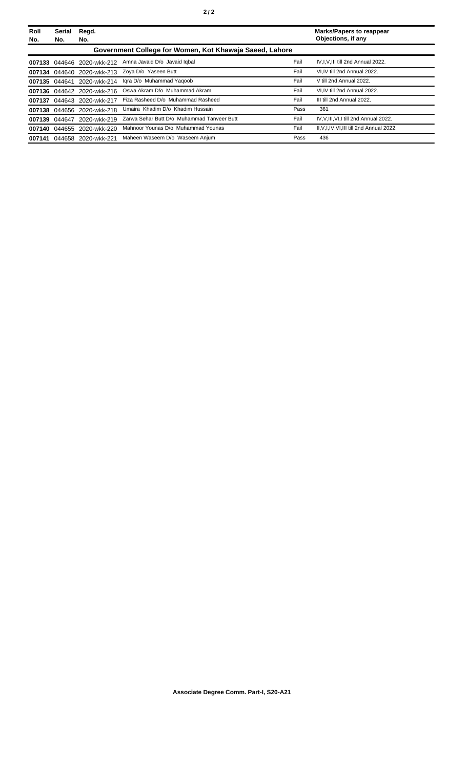| Roll<br>No. | Serial<br>No. | Regd.<br>No.               |                                                         |      | <b>Marks/Papers to reappear</b><br>Objections, if any |
|-------------|---------------|----------------------------|---------------------------------------------------------|------|-------------------------------------------------------|
|             |               |                            | Government College for Women, Kot Khawaja Saeed, Lahore |      |                                                       |
|             |               | 007133 044646 2020-wkk-212 | Amna Javaid D/o Javaid Igbal                            | Fail | IV.I.V.III till 2nd Annual 2022.                      |
|             |               | 007134 044640 2020-wkk-213 | Zoya D/o Yaseen Butt                                    | Fail | VI.IV till 2nd Annual 2022.                           |
|             | 007135 044641 | 2020-wkk-214               | Igra D/o Muhammad Yagoob                                | Fail | V till 2nd Annual 2022.                               |
|             |               | 007136 044642 2020-wkk-216 | Oswa Akram D/o Muhammad Akram                           | Fail | VI.IV till 2nd Annual 2022.                           |
| 007137      | 044643        | 2020-wkk-217               | Fiza Rasheed D/o Muhammad Rasheed                       | Fail | III till 2nd Annual 2022.                             |
| 007138      |               | 044656 2020-wkk-218        | Umaira Khadim D/o Khadim Hussain                        | Pass | 361                                                   |
| 007139      | 044647        | 2020-wkk-219               | Zarwa Sehar Butt D/o Muhammad Tanveer Butt              | Fail | IV, V, III, VI, I till 2nd Annual 2022.               |
| 007140      | 044655        | 2020-wkk-220               | Mahnoor Younas D/o Muhammad Younas                      | Fail | II, V, I, IV, VI, III till 2nd Annual 2022.           |
| 007141      | 044658        | 2020-wkk-221               | Maheen Waseem D/o Waseem Anjum                          | Pass | 436                                                   |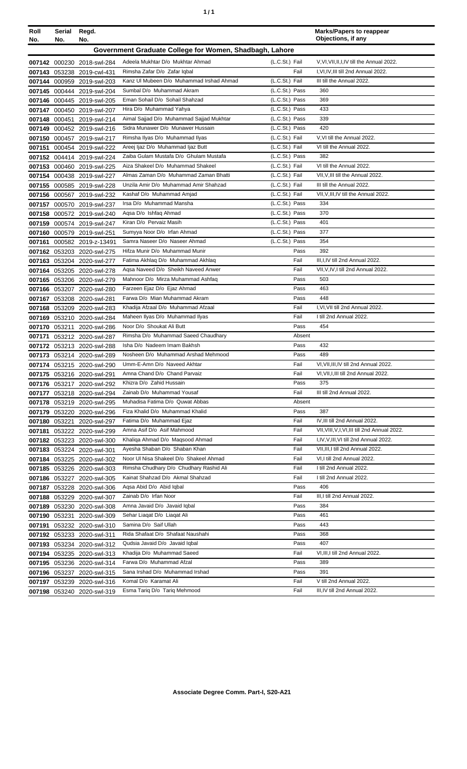| ٠ | ٠ |
|---|---|
|   |   |

| Roll             | Serial        | Regd.                                                    |                                                                             |                                  | <b>Marks/Papers to reappear</b><br>Objections, if any          |
|------------------|---------------|----------------------------------------------------------|-----------------------------------------------------------------------------|----------------------------------|----------------------------------------------------------------|
| No.              | No.           | No.                                                      |                                                                             |                                  |                                                                |
|                  |               |                                                          | Government Graduate College for Women, Shadbagh, Lahore                     |                                  |                                                                |
|                  |               | 007142 000230 2018-swl-284                               | Adeela Mukhtar D/o Mukhtar Ahmad                                            | (L.C.St.) Fail                   | V, VI, VII, II, I, IV till the Annual 2022.                    |
|                  |               | 007143 053238 2019-cwl-431                               | Rimsha Zafar D/o Zafar Iqbal                                                | Fail                             | I, VI, IV, III till 2nd Annual 2022.                           |
|                  |               | 007144 000959 2019-swl-203                               | Kanz UI Mubeen D/o Muhammad Irshad Ahmad                                    | (L.C.St.) Fail                   | III till the Annual 2022.                                      |
| 007145           |               | 000444 2019-swl-204                                      | Sumbal D/o Muhammad Akram                                                   | (L.C.St.) Pass                   | 360                                                            |
| 007146           |               | 000445 2019-swl-205                                      | Eman Sohail D/o Sohail Shahzad                                              | (L.C.St.) Pass                   | 369                                                            |
|                  | 007147 000450 | 2019-swl-207                                             | Hira D/o Muhammad Yahya                                                     | (L.C.St.) Pass                   | 433                                                            |
|                  |               | 007148 000451 2019-swl-214                               | Aimal Sajjad D/o Muhammad Sajjad Mukhtar                                    | (L.C.St.) Pass                   | 339                                                            |
|                  |               | 007149 000452 2019-swl-216                               | Sidra Munawer D/o Munawer Hussain                                           | (L.C.St.) Pass                   | 420                                                            |
|                  |               | 007150 000457 2019-swl-217                               | Rimsha Ilyas D/o Muhammad Ilyas                                             | (L.C.St.) Fail                   | V, VI till the Annual 2022.                                    |
| 007151           |               | 000454 2019-swl-222                                      | Areej Ijaz D/o Muhammad Ijaz Butt                                           | (L.C.St.) Fail                   | VI till the Annual 2022.                                       |
|                  |               | 007152 004414 2019-swl-224                               | Zaiba Gulam Mustafa D/o Ghulam Mustafa                                      | (L.C.St.) Pass                   | 382<br>VI till the Annual 2022.                                |
| 007153           |               | 000460 2019-swl-225                                      | Aiza Shakeel D/o Muhammad Shakeel<br>Almas Zaman D/o Muhammad Zaman Bhatti  | (L.C.St.) Fail<br>(L.C.St.) Fail |                                                                |
| 007154           |               | 000438 2019-swl-227                                      | Unzila Amir D/o Muhammad Amir Shahzad                                       | (L.C.St.) Fail                   | VII, V, III till the Annual 2022.<br>III till the Annual 2022. |
| 007155<br>007156 |               | 000585 2019-swl-228                                      | Kashaf D/o Muhammad Amjad                                                   | (L.C.St.) Fail                   | VII, V, III, IV till the Annual 2022.                          |
| 007157           |               | 000567 2019-swl-232<br>000570 2019-swl-237               | Irsa D/o Muhammad Mansha                                                    | (L.C.St.) Pass                   | 334                                                            |
| 007158           |               | 000572 2019-swl-240                                      | Agsa D/o Ishfag Ahmad                                                       | (L.C.St.) Pass                   | 370                                                            |
| 007159           |               | 000574 2019-swl-247                                      | Kiran D/o Pervaiz Masih                                                     | (L.C.St.) Pass                   | 401                                                            |
| 007160           |               | 000579 2019-swl-251                                      | Sumyya Noor D/o Irfan Ahmad                                                 | (L.C.St.) Pass                   | 377                                                            |
| 007161           |               | 000582 2019-z-13491                                      | Samra Naseer D/o Naseer Ahmad                                               | (L.C.St.) Pass                   | 354                                                            |
| 007162           |               | 053203 2020-swl-275                                      | Hifza Munir D/o Muhammad Munir                                              | Pass                             | 392                                                            |
| 007163           |               | 053204 2020-swl-277                                      | Fatima Akhlaq D/o Muhammad Akhlaq                                           | Fail                             | III, I, IV till 2nd Annual 2022.                               |
|                  |               | 007164 053205 2020-swl-278                               | Aqsa Naveed D/o Sheikh Naveed Anwer                                         | Fail                             | VII, V, IV, I till 2nd Annual 2022.                            |
| 007165           |               | 053206 2020-swl-279                                      | Mahnoor D/o Mirza Muhammad Ashfaq                                           | Pass                             | 503                                                            |
|                  |               | 007166 053207 2020-swl-280                               | Farzeen Ejaz D/o Ejaz Ahmad                                                 | Pass                             | 463                                                            |
| 007167           |               | 053208 2020-swl-281                                      | Farwa D/o Mian Muhammad Akram                                               | Pass                             | 448                                                            |
| 007168           |               | 053209 2020-swl-283                                      | Khadija Afzaal D/o Muhammad Afzaal                                          | Fail                             | I, VI, VII till 2nd Annual 2022.                               |
| 007169           |               | 053210 2020-swl-284                                      | Maheen Ilyas D/o Muhammad Ilyas                                             | Fail                             | I till 2nd Annual 2022.                                        |
| 007170           |               | 053211 2020-swl-286                                      | Noor D/o Shoukat Ali Butt                                                   | Pass                             | 454                                                            |
| 007171           |               | 053212 2020-swl-287                                      | Rimsha D/o Muhammad Saeed Chaudhary                                         | Absent                           |                                                                |
|                  |               | 007172 053213 2020-swl-288                               | Isha D/o Nadeem Imam Bakhsh                                                 | Pass                             | 432                                                            |
|                  |               | 007173 053214 2020-swl-289                               | Nosheen D/o Muhammad Arshad Mehmood                                         | Pass                             | 489                                                            |
|                  |               | 007174 053215 2020-swl-290                               | Umm-E-Amn D/o Naveed Akhtar                                                 | Fail                             | VI, VII, III, IV till 2nd Annual 2022.                         |
|                  |               | 007175 053216 2020-swl-291                               | Amna Chand D/o Chand Parvaiz                                                | Fail                             | VI, VII, I, III till 2nd Annual 2022.                          |
|                  |               | 007176 053217 2020-swl-292                               | Khizra D/o Zahid Hussain                                                    | Pass                             | 375                                                            |
|                  |               | 007177 053218 2020-swl-294                               | Zainab D/o Muhammad Yousaf                                                  | Fail                             | III till 2nd Annual 2022.                                      |
|                  |               | 007178 053219 2020-swl-295                               | Muhadisa Fatima D/o Quwat Abbas                                             | Absent                           |                                                                |
|                  |               | 007179 053220 2020-swl-296                               | Fiza Khalid D/o Muhammad Khalid                                             | Pass                             | 387                                                            |
|                  | 007180 053221 | 2020-swl-297                                             | Fatima D/o Muhammad Ejaz                                                    | Fail                             | IV, III till 2nd Annual 2022.                                  |
|                  |               | 007181 053222 2020-swl-299                               | Amna Asif D/o Asif Mahmood                                                  | Fail                             | VII, VIII, V, I, VI, III till 2nd Annual 2022.                 |
|                  |               | 007182 053223 2020-swl-300                               | Khaliga Ahmad D/o Magsood Ahmad                                             | Fail                             | I,IV, V, III, VI till 2nd Annual 2022.                         |
|                  |               | 007183 053224 2020-swl-301                               | Ayesha Shaban D/o Shaban Khan<br>Noor UI Nisa Shakeel D/o Shakeel Ahmad     | Fail                             | VII, III, I till 2nd Annual 2022.                              |
|                  |               | 007184 053225 2020-swl-302                               |                                                                             | Fail<br>Fail                     | VI, I till 2nd Annual 2022.<br>I till 2nd Annual 2022.         |
|                  |               | 007185 053226 2020-swl-303                               | Rimsha Chudhary D/o Chudhary Rashid Ali<br>Kainat Shahzad D/o Akmal Shahzad | Fail                             | I till 2nd Annual 2022.                                        |
|                  |               | 007186 053227 2020-swl-305                               | Agsa Abid D/o Abid Igbal                                                    | Pass                             | 406                                                            |
|                  |               | 007187 053228 2020-swl-306                               | Zainab D/o Irfan Noor                                                       | Fail                             | III,I till 2nd Annual 2022.                                    |
|                  |               | 007188 053229 2020-swl-307                               | Amna Javaid D/o Javaid Iqbal                                                | Pass                             | 384                                                            |
|                  |               | 007189 053230 2020-swl-308<br>007190 053231 2020-swl-309 | Sehar Liagat D/o Liagat Ali                                                 | Pass                             | 461                                                            |
| 007191           |               | 053232 2020-swl-310                                      | Samina D/o Saif Ullah                                                       | Pass                             | 443                                                            |
|                  |               | 007192 053233 2020-swl-311                               | Rida Shafaat D/o Shafaat Naushahi                                           | Pass                             | 368                                                            |
| 007193           | 053234        | 2020-swl-312                                             | Qudsia Javaid D/o Javaid Iqbal                                              | Pass                             | 407                                                            |
|                  |               | 007194 053235 2020-swl-313                               | Khadija D/o Muhammad Saeed                                                  | Fail                             | VI, III, I till 2nd Annual 2022.                               |
|                  |               | 007195 053236 2020-swl-314                               | Farwa D/o Muhammad Afzal                                                    | Pass                             | 389                                                            |
|                  |               | 007196 053237 2020-swl-315                               | Sana Irshad D/o Muhammad Irshad                                             | Pass                             | 391                                                            |
|                  |               | 007197 053239 2020-swl-316                               | Komal D/o Karamat Ali                                                       | Fail                             | V till 2nd Annual 2022.                                        |
|                  |               | 007198 053240 2020-swl-319                               | Esma Tariq D/o Tariq Mehmood                                                | Fail                             | III, IV till 2nd Annual 2022.                                  |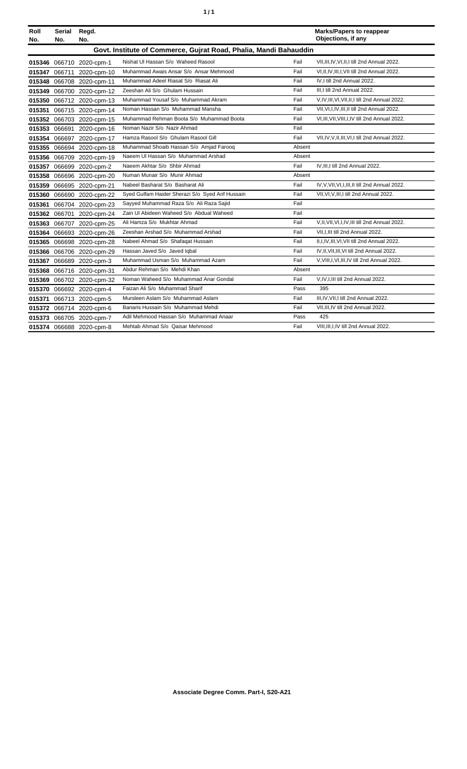| í<br>٠ |
|--------|
|--------|

| Roll<br>No. | Serial<br>No. | Regd.<br>No.              |                                                                   |        | <b>Marks/Papers to reappear</b><br>Objections, if any |
|-------------|---------------|---------------------------|-------------------------------------------------------------------|--------|-------------------------------------------------------|
|             |               |                           | Govt. Institute of Commerce, Gujrat Road, Phalia, Mandi Bahauddin |        |                                                       |
|             |               |                           |                                                                   |        |                                                       |
| 015346      |               | 066710 2020-cpm-1         | Nishat UI Hassan S/o Waheed Rasool                                | Fail   | VII, III, IV, VI, II, I till 2nd Annual 2022.         |
| 015347      | 066711        | 2020-cpm-10               | Muhammad Awais Ansar S/o Ansar Mehmood                            | Fail   | VI, II, IV, III, I, VII till 2nd Annual 2022.         |
| 015348      |               | 066708 2020-cpm-11        | Muhammad Adeel Riasat S/o Riasat Ali                              | Fail   | IV.I till 2nd Annual 2022.                            |
| 015349      |               | 066700 2020-cpm-12        | Zeeshan Ali S/o Ghulam Hussain                                    | Fail   | III.I till 2nd Annual 2022.                           |
| 015350      |               | 066712 2020-cpm-13        | Muhammad Yousaf S/o Muhammad Akram                                | Fail   | V, IV, III, VI, VII, II, I till 2nd Annual 2022.      |
| 015351      |               | 066715 2020-cpm-14        | Noman Hassan S/o Muhammad Mansha                                  | Fail   | VII, VI, I, IV, III, II till 2nd Annual 2022.         |
| 015352      |               | 066703 2020-cpm-15        | Muhammad Rehman Boota S/o Muhammad Boota                          | Fail   | VI, III, VII, VIII, I, IV till 2nd Annual 2022.       |
| 015353      |               | 066691 2020-cpm-16        | Noman Nazir S/o Nazir Ahmad                                       | Fail   |                                                       |
| 015354      |               | 066697 2020-cpm-17        | Hamza Rasool S/o Ghulam Rasool Gill                               | Fail   | VII, IV, V, II, III, VI, I till 2nd Annual 2022.      |
| 015355      |               | 066694 2020-cpm-18        | Muhammad Shoaib Hassan S/o Amjad Farooq                           | Absent |                                                       |
| 015356      |               | 066709 2020-cpm-19        | Naeem UI Hassan S/o Muhammad Arshad                               | Absent |                                                       |
| 015357      |               | 066699 2020-cpm-2         | Naeem Akhtar S/o Shbir Ahmad                                      | Fail   | IV, III, I till 2nd Annual 2022.                      |
| 015358      |               | 066696 2020-cpm-20        | Numan Munair S/o Munir Ahmad                                      | Absent |                                                       |
| 015359      |               | 066695 2020-cpm-21        | Nabeel Basharat S/o Basharat Ali                                  | Fail   | IV, V, VII, VI, I, III, II till 2nd Annual 2022.      |
| 015360      |               | 066690 2020-cpm-22        | Syed Gulfam Haider Sherazi S/o Syed Arif Hussain                  | Fail   | VII, VI, V, III, I till 2nd Annual 2022.              |
| 015361      |               | 066704 2020-cpm-23        | Sayyed Muhammad Raza S/o Ali Raza Sajid                           | Fail   |                                                       |
| 015362      |               | 066701 2020-cpm-24        | Zain UI Abideen Waheed S/o Abdual Waheed                          | Fail   |                                                       |
| 015363      |               | 066707 2020-cpm-25        | Ali Hamza S/o Mukhtar Ahmad                                       | Fail   | V,II, VII, VI, I, IV, III till 2nd Annual 2022.       |
| 015364      |               | 066693 2020-cpm-26        | Zeeshan Arshad S/o Muhammad Arshad                                | Fail   | VII.I.III till 2nd Annual 2022.                       |
| 015365      |               | 066698 2020-cpm-28        | Nabeel Ahmad S/o Shafaqat Hussain                                 | Fail   | II, I, IV, III, VI, VII till 2nd Annual 2022.         |
|             |               | 015366 066706 2020-cpm-29 | Hassan Javed S/o Javed Iqbal                                      | Fail   | IV, II, VII, III, VI till 2nd Annual 2022.            |
| 015367      |               | 066689 2020-cpm-3         | Muhammad Usman S/o Muhammad Azam                                  | Fail   | V, VIII, I, VI, III, IV till 2nd Annual 2022.         |
| 015368      |               | 066716 2020-cpm-31        | Abdur Rehman S/o Mehdi Khan                                       | Absent |                                                       |
| 015369      |               | 066702 2020-cpm-32        | Noman Waheed S/o Muhammad Anar Gondal                             | Fail   | V,IV,I,III till 2nd Annual 2022.                      |
| 015370      |               | 066692 2020-cpm-4         | Faizan Ali S/o Muhammad Sharif                                    | Pass   | 395                                                   |
| 015371      |               | 066713 2020-cpm-5         | Mursleen Aslam S/o Muhammad Aslam                                 | Fail   | III, IV, VII, I till 2nd Annual 2022.                 |
| 015372      |               | 066714 2020-cpm-6         | Banaris Hussain S/o Muhammad Mehdi                                | Fail   | VII, III, IV till 2nd Annual 2022.                    |
| 015373      |               | 066705 2020-cpm-7         | Adil Mehmood Hassan S/o Muhammad Anaar                            | Pass   | 425                                                   |
|             |               | 015374 066688 2020-cpm-8  | Mehtab Ahmad S/o Qaisar Mehmood                                   | Fail   | VIII.III.I.IV till 2nd Annual 2022.                   |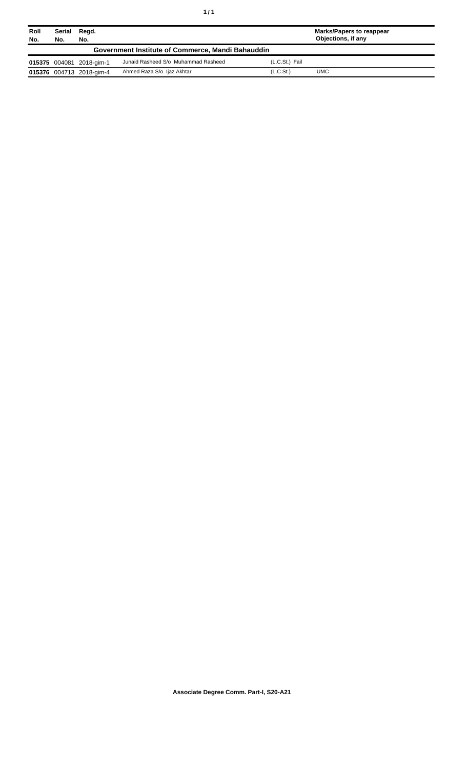| Roll<br>No. | Serial<br>No.                                     | Regd.<br>No.             |                                     |                       | Marks/Papers to reappear<br>Objections, if any |
|-------------|---------------------------------------------------|--------------------------|-------------------------------------|-----------------------|------------------------------------------------|
|             | Government Institute of Commerce, Mandi Bahauddin |                          |                                     |                       |                                                |
|             |                                                   | 015375 004081 2018-gim-1 | Junaid Rasheed S/o Muhammad Rasheed | (L.C.St.) Fail        |                                                |
|             |                                                   | 015376 004713 2018-gim-4 | Ahmed Raza S/o Ijaz Akhtar          | (L.C.S <sub>t</sub> ) | <b>UMC</b>                                     |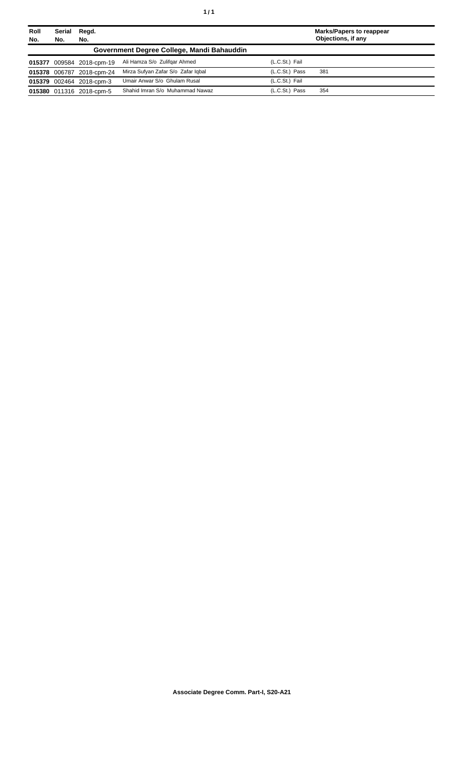| Roll                                       | <b>Serial</b> | Regd.                     |                                    |                | <b>Marks/Papers to reappear</b> |  |  |  |
|--------------------------------------------|---------------|---------------------------|------------------------------------|----------------|---------------------------------|--|--|--|
| No.                                        | No.           | No.                       |                                    |                | Objections, if any              |  |  |  |
| Government Degree College, Mandi Bahauddin |               |                           |                                    |                |                                 |  |  |  |
|                                            |               | 015377 009584 2018-cpm-19 | Ali Hamza S/o Zulifgar Ahmed       | (L.C.St.) Fail |                                 |  |  |  |
|                                            |               | 015378 006787 2018-cpm-24 | Mirza Sufyan Zafar S/o Zafar Igbal | (L.C.St.) Pass | 381                             |  |  |  |
|                                            |               | 015379 002464 2018-cpm-3  | Umair Anwar S/o Ghulam Rusal       | (L.C.St.) Fail |                                 |  |  |  |
|                                            |               | 015380 011316 2018-cpm-5  | Shahid Imran S/o Muhammad Nawaz    | (L.C.St.) Pass | 354                             |  |  |  |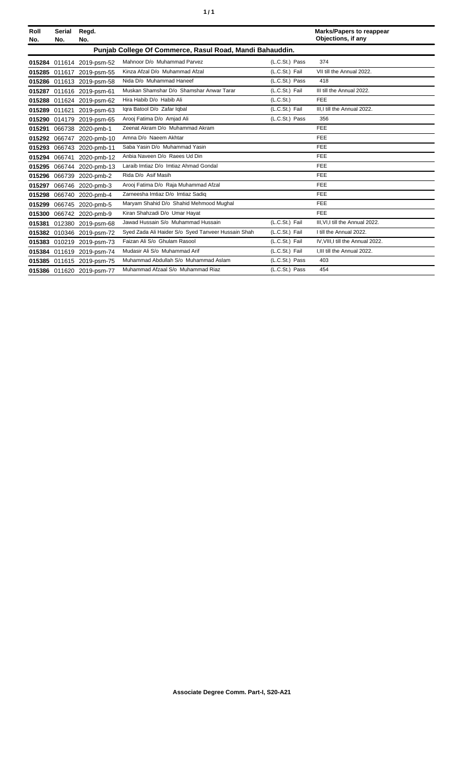| í<br>٠ |
|--------|
|--------|

| Roll<br>No.                                              | <b>Serial</b><br>No. | Regd.<br>No.              |                                                    |                | <b>Marks/Papers to reappear</b><br>Objections, if any |  |  |  |  |
|----------------------------------------------------------|----------------------|---------------------------|----------------------------------------------------|----------------|-------------------------------------------------------|--|--|--|--|
| Punjab College Of Commerce, Rasul Road, Mandi Bahauddin. |                      |                           |                                                    |                |                                                       |  |  |  |  |
|                                                          |                      | 015284 011614 2019-psm-52 | Mahnoor D/o Muhammad Parvez                        | (L.C.St.) Pass | 374                                                   |  |  |  |  |
|                                                          |                      | 015285 011617 2019-psm-55 | Kinza Afzal D/o Muhammad Afzal                     | (L.C.St.) Fail | VII till the Annual 2022.                             |  |  |  |  |
|                                                          |                      | 015286 011613 2019-psm-58 | Nida D/o Muhammad Haneef                           | (L.C.St.) Pass | 418                                                   |  |  |  |  |
| 015287                                                   |                      | 011616 2019-psm-61        | Muskan Shamshar D/o Shamshar Anwar Tarar           | (L.C.St.) Fail | III till the Annual 2022.                             |  |  |  |  |
| 015288                                                   |                      | 011624 2019-psm-62        | Hira Habib D/o Habib Ali                           | (L.C.St.)      | FEE                                                   |  |  |  |  |
|                                                          | 015289 011621        | 2019-psm-63               | Igra Batool D/o Zafar Igbal                        | (L.C.St.) Fail | III.I till the Annual 2022.                           |  |  |  |  |
| 015290                                                   | 014179               | 2019-psm-65               | Arooj Fatima D/o Amjad Ali                         | (L.C.St.) Pass | 356                                                   |  |  |  |  |
| 015291                                                   |                      | 066738 2020-pmb-1         | Zeenat Akram D/o Muhammad Akram                    |                | FEE                                                   |  |  |  |  |
| 015292                                                   | 066747               | 2020-pmb-10               | Amna D/o Naeem Akhtar                              |                | FEE                                                   |  |  |  |  |
| 015293                                                   | 066743               | 2020-pmb-11               | Saba Yasin D/o Muhammad Yasin                      |                | FEE                                                   |  |  |  |  |
| 015294                                                   | 066741               | 2020-pmb-12               | Anbia Naveen D/o Raees Ud Din                      |                | FEE                                                   |  |  |  |  |
| 015295                                                   |                      | 066744 2020-pmb-13        | Laraib Imtiaz D/o Imtiaz Ahmad Gondal              |                | FEE                                                   |  |  |  |  |
| 015296                                                   |                      | 066739 2020-pmb-2         | Rida D/o Asif Masih                                |                | FEE                                                   |  |  |  |  |
| 015297                                                   |                      | 066746 2020-pmb-3         | Arooj Fatima D/o Raja Muhammad Afzal               |                | FEE                                                   |  |  |  |  |
| 015298                                                   |                      | 066740 2020-pmb-4         | Zarneesha Imtiaz D/o Imtiaz Sadig                  |                | <b>FEE</b>                                            |  |  |  |  |
| 015299                                                   |                      | 066745 2020-pmb-5         | Maryam Shahid D/o Shahid Mehmood Mughal            |                | FEE                                                   |  |  |  |  |
| 015300                                                   |                      | 066742 2020-pmb-9         | Kiran Shahzadi D/o Umar Hayat                      |                | FEE                                                   |  |  |  |  |
| 015381                                                   |                      | 012380 2019-psm-68        | Jawad Hussain S/o Muhammad Hussain                 | (L.C.St.) Fail | III.VI.I till the Annual 2022.                        |  |  |  |  |
| 015382                                                   |                      | 010346 2019-psm-72        | Syed Zada Ali Haider S/o Syed Tanveer Hussain Shah | (L.C.St.) Fail | I till the Annual 2022.                               |  |  |  |  |
|                                                          |                      | 015383 010219 2019-psm-73 | Faizan Ali S/o Ghulam Rasool                       | (L.C.St.) Fail | IV, VIII, I till the Annual 2022.                     |  |  |  |  |
| 015384                                                   |                      | 011619 2019-psm-74        | Mudasir Ali S/o Muhammad Arif                      | (L.C.St.) Fail | I.III till the Annual 2022.                           |  |  |  |  |
|                                                          |                      | 015385 011615 2019-psm-75 | Muhammad Abdullah S/o Muhammad Aslam               | (L.C.St.) Pass | 403                                                   |  |  |  |  |
|                                                          |                      | 015386 011620 2019-psm-77 | Muhammad Afzaal S/o Muhammad Riaz                  | (L.C.St.) Pass | 454                                                   |  |  |  |  |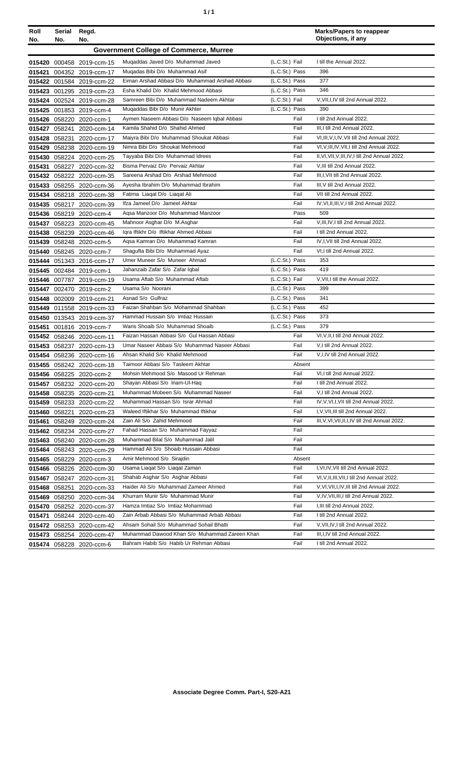| ٠ | ٠ |
|---|---|
|   |   |

| Roll<br>No. | Serial<br>No. | Regd.<br>No.              |                                                                           |                | <b>Marks/Papers to reappear</b><br>Objections, if any                                |
|-------------|---------------|---------------------------|---------------------------------------------------------------------------|----------------|--------------------------------------------------------------------------------------|
|             |               |                           | <b>Government College of Commerce, Murree</b>                             |                |                                                                                      |
|             |               | 015420 000458 2019-ccm-15 | Mugaddas Javed D/o Muhammad Javed                                         | (L.C.St.) Fail | I till the Annual 2022.                                                              |
| 015421      |               | 004352 2019-ccm-17        | Mugadas Bibi D/o Muhammad Asif                                            | (L.C.St.) Pass | 396                                                                                  |
|             |               | 015422 001584 2019-ccm-22 | Eiman Arshad Abbasi D/o Muhammad Arshad Abbasi                            | (L.C.St.) Pass | 377                                                                                  |
|             |               | 015423 001295 2019-ccm-23 | Esha Khalid D/o Khalid Mehmood Abbasi                                     | (L.C.St.) Pass | 346                                                                                  |
|             |               | 015424 002524 2019-ccm-28 | Samreen Bibi D/o Muhammad Nadeem Akhtar                                   | (L.C.St.) Fail | V, VII, I, IV till 2nd Annual 2022.                                                  |
|             |               | 015425 001853 2019-ccm-4  | Mugaddas Bibi D/o Munir Akhter                                            | (L.C.St.) Pass | 390                                                                                  |
|             |               | 015426 058220 2020-ccm-1  | Aymen Naseem Abbasi D/o Naseem Iqbal Abbasi                               | Fail           | I till 2nd Annual 2022.                                                              |
|             |               | 015427 058241 2020-ccm-14 | Kamila Shahid D/o Shahid Ahmed                                            | Fail           | III.I till 2nd Annual 2022.                                                          |
|             |               | 015428 058231 2020-ccm-17 | Maiyra Bibi D/o Muhammad Shoukat Abbasi                                   | Fail           | VI, III, V, I, IV, VII till 2nd Annual 2022.                                         |
|             |               | 015429 058238 2020-ccm-19 | Nimra Bibi D/o Shoukat Mehmood                                            | Fail           | VI, V, III, IV, VII, I till 2nd Annual 2022.                                         |
|             |               | 015430 058224 2020-ccm-25 | Tayyaba Bibi D/o Muhammad Idrees                                          | Fail           | II, VI, VII, V, III, IV, I till 2nd Annual 2022.                                     |
|             |               | 015431 058227 2020-ccm-32 | Bisma Pervaiz D/o Pervaiz Akhtar                                          | Fail           | V, III till 2nd Annual 2022.                                                         |
|             |               | 015432 058222 2020-ccm-35 | Sareena Arshad D/o Arshad Mehmood                                         | Fail           | III, I, VII till 2nd Annual 2022.                                                    |
|             |               | 015433 058255 2020-ccm-36 | Ayesha Ibrahim D/o Muhammad Ibrahim                                       | Fail           | III, V till 2nd Annual 2022.                                                         |
|             |               | 015434 058218 2020-ccm-38 | Fatima Liagat D/o Liagat Ali                                              | Fail           | VII till 2nd Annual 2022.                                                            |
|             |               | 015435 058217 2020-ccm-39 | Ifza Jameel D/o Jameel Akhtar                                             | Fail           | IV, VI, II, III, V, I till 2nd Annual 2022.                                          |
|             |               | 015436 058219 2020-ccm-4  | Agsa Manzoor D/o Muhammad Manzoor                                         | Pass           | 509                                                                                  |
|             |               | 015437 058223 2020-ccm-45 | Mahnoor Asghar D/o M.Asghar                                               | Fail           | V, III, IV, I till 2nd Annual 2022.                                                  |
|             |               | 015438 058239 2020-ccm-46 | Iqra Iftikhr D/o Iftikhar Ahmed Abbasi                                    | Fail           | I till 2nd Annual 2022.                                                              |
|             |               | 015439 058248 2020-ccm-5  | Agsa Kamran D/o Muhammad Kamran                                           | Fail           | IV,I, VII till 2nd Annual 2022.                                                      |
|             |               | 015440 058245 2020-ccm-7  | Shagufta Bibi D/o Muhammad Ayaz                                           | Fail           | VI,I till 2nd Annual 2022.                                                           |
|             |               | 015444 051343 2016-ccm-17 | Umer Muneer S/o Muneer Ahmad                                              | (L.C.St.) Pass | 353                                                                                  |
|             |               | 015445 002484 2019-ccm-1  | Jahanzaib Zafar S/o Zafar Iqbal                                           | (L.C.St.) Pass | 419                                                                                  |
|             |               | 015446 007787 2019-ccm-19 | Usama Aftab S/o Muhammad Aftab                                            | (L.C.St.) Fail | V, VII, I till the Annual 2022.                                                      |
|             |               | 015447 002470 2019-ccm-2  | Usama S/o Noorani                                                         | (L.C.St.) Pass | 399                                                                                  |
|             |               | 015448 002009 2019-ccm-21 | Asnad S/o Gulfraz                                                         | (L.C.St.) Pass | 341                                                                                  |
|             |               | 015449 011558 2019-ccm-33 | Faizan Shahban S/o Mohammad Shahban                                       | (L.C.St.) Pass | 452                                                                                  |
|             |               | 015450 013543 2019-ccm-37 | Hammad Hussain S/o Imtiaz Hussain                                         | (L.C.St.) Pass | 373                                                                                  |
|             |               | 015451 001816 2019-ccm-7  | Waris Shoaib S/o Muhammad Shoaib                                          | (L.C.St.) Pass | 379                                                                                  |
|             |               | 015452 058246 2020-ccm-11 | Faizan Hassan Abbasi S/o Gul Hassan Abbasi                                | Fail           | VI, V, II, I till 2nd Annual 2022.                                                   |
|             |               | 015453 058237 2020-ccm-13 | Umar Naseer Abbasi S/o Muhammad Naseer Abbasi                             | Fail           | V,I till 2nd Annual 2022.                                                            |
|             |               | 015454 058236 2020-ccm-16 | Ahsan Khalid S/o Khalid Mehmood                                           | Fail           | V,I,IV till 2nd Annual 2022.                                                         |
|             |               | 015455 058242 2020-ccm-18 | Taimoor Abbasi S/o Tasleem Akhtar                                         | Absent         |                                                                                      |
|             |               | 015456 058225 2020-ccm-2  | Mohsin Mehmood S/o Masood Ur Rehman                                       | Fail           | VI,I till 2nd Annual 2022.                                                           |
|             |               | 015457 058232 2020-ccm-20 | Shayan Abbasi S/o Inam-Ul-Haq                                             | Fail           | I till 2nd Annual 2022.                                                              |
|             |               | 015458 058235 2020-ccm-21 | Muhammad Mobeen S/o Muhammad Naseer                                       | Fail           | V,I till 2nd Annual 2022.                                                            |
|             |               | 015459 058233 2020-ccm-22 | Muhammad Hassan S/o Israr Ahmad                                           | Fail           | IV, V, VI, I, VII till 2nd Annual 2022.                                              |
| 015460      |               | 058221 2020-ccm-23        | Waleed Iftikhar S/o Muhammad Iftikhar                                     | Fail           | I, V, VII, III till 2nd Annual 2022.                                                 |
| 015461      |               | 058249 2020-ccm-24        | Zain Ali S/o Zahid Mehmood                                                | Fail           | III, V, VI, VII, II, I, IV till 2nd Annual 2022.                                     |
|             |               | 015462 058234 2020-ccm-27 | Fahad Hassan S/o Muhammad Fayyaz                                          | Fail           |                                                                                      |
|             |               | 015463 058240 2020-ccm-28 | Muhammad Bilal S/o Muhammad Jalil<br>Hammad Ali S/o Shoaib Hussain Abbasi | Fail<br>Fail   |                                                                                      |
|             |               | 015464 058243 2020-ccm-29 | Amir Mehmood S/o Sirajdin                                                 | Absent         |                                                                                      |
|             |               | 015465 058229 2020-ccm-3  |                                                                           |                |                                                                                      |
|             |               | 015466 058226 2020-ccm-30 | Usama Liagat S/o Liagat Zaman<br>Shahab Asghar S/o Asghar Abbasi          | Fail<br>Fail   | I, VI, IV, VII till 2nd Annual 2022.<br>VI, V, II, III, VII, I till 2nd Annual 2022. |
|             |               | 015467 058247 2020-ccm-31 | Haider Ali S/o Muhammad Zameer Ahmed                                      | Fail           | V, VI, VII, I, IV, III till 2nd Annual 2022.                                         |
|             |               | 015468 058251 2020-ccm-33 | Khurram Munir S/o Muhammad Munir                                          | Fail           | V,IV, VII, III, I till 2nd Annual 2022.                                              |
|             |               | 015469 058250 2020-ccm-34 | Hamza Imtiaz S/o Imtiaz Mohammad                                          | Fail           | I, III till 2nd Annual 2022.                                                         |
|             |               | 015470 058252 2020-ccm-37 | Zain Arbab Abbasi S/o Muhammad Arbab Abbasi                               | Fail           | I till 2nd Annual 2022.                                                              |
| 015471      |               | 058244 2020-ccm-40        | Ahsam Sohail S/o Muhammad Sohail Bhatti                                   | Fail           | V, VII, IV, I till 2nd Annual 2022.                                                  |
|             |               | 015472 058253 2020-ccm-42 | Muhammad Dawood Khan S/o Muhammad Zareen Khan                             | Fail           | III, I, IV till 2nd Annual 2022.                                                     |
|             |               | 015473 058254 2020-ccm-47 | Bahram Habib S/o Habib Ur Rehman Abbasi                                   | Fail           | I till 2nd Annual 2022.                                                              |
|             |               | 015474 058228 2020-ccm-6  |                                                                           |                |                                                                                      |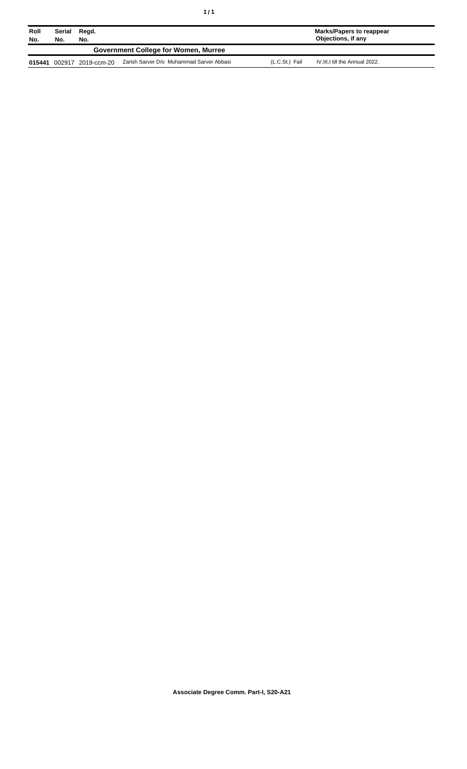| ٠<br>٠ |  |
|--------|--|
|--------|--|

| Roll<br>No. | Serial<br>Regd.<br>No.<br>No.        |             |                                          | Marks/Papers to reappear<br>Objections, if any     |  |
|-------------|--------------------------------------|-------------|------------------------------------------|----------------------------------------------------|--|
|             | Government College for Women, Murree |             |                                          |                                                    |  |
| 015441      | 002917                               | 2019-ccm-20 | Zarish Sarver D/o Muhammad Sarver Abbasi | IV, III, I till the Annual 2022.<br>(L.C.St.) Fail |  |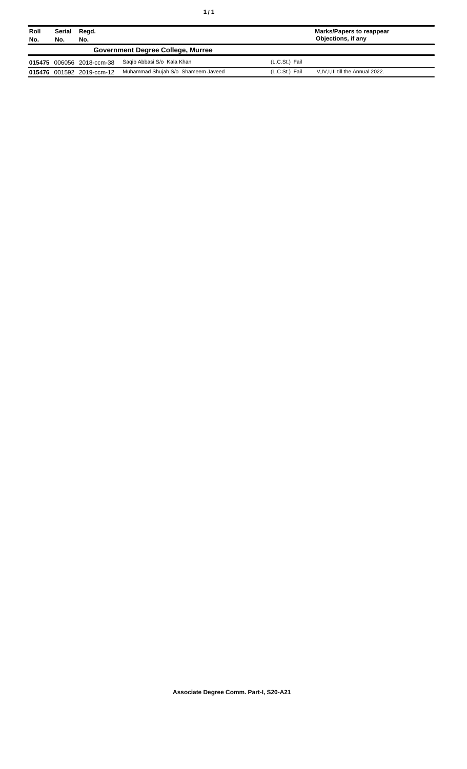| Roll<br>No. | Serial<br>Regd.<br>No.<br>No.            |                           |                                    | <b>Marks/Papers to reappear</b><br>Objections, if any |                                     |
|-------------|------------------------------------------|---------------------------|------------------------------------|-------------------------------------------------------|-------------------------------------|
|             | <b>Government Degree College, Murree</b> |                           |                                    |                                                       |                                     |
|             |                                          | 015475 006056 2018-ccm-38 | Saqib Abbasi S/o Kala Khan         | (L.C.St.) Fail                                        |                                     |
|             |                                          | 015476 001592 2019-ccm-12 | Muhammad Shujah S/o Shameem Javeed | (L.C.St.) Fail                                        | V, IV, I, III till the Annual 2022. |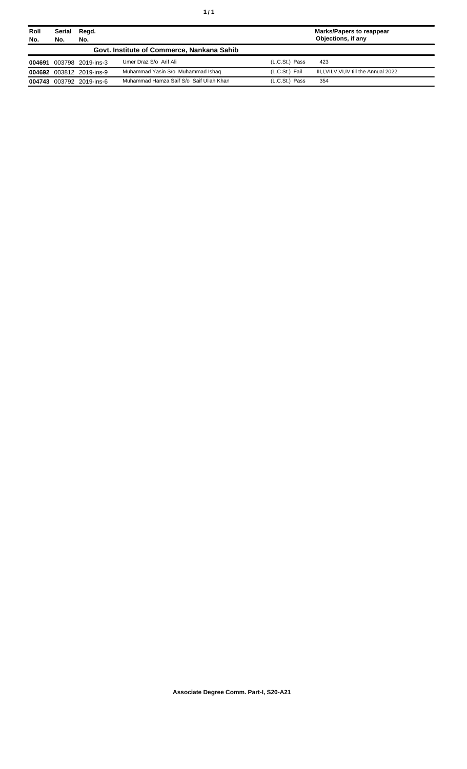| Roll<br>No. | Serial<br>Regd.<br>No.<br>No. |                          |                                            | Marks/Papers to reappear<br>Objections, if any |                                              |  |
|-------------|-------------------------------|--------------------------|--------------------------------------------|------------------------------------------------|----------------------------------------------|--|
|             |                               |                          | Govt. Institute of Commerce, Nankana Sahib |                                                |                                              |  |
|             |                               | 004691 003798 2019-ins-3 | Umer Draz S/o Arif Ali                     | (L.C.St.) Pass                                 | 423                                          |  |
|             |                               | 004692 003812 2019-ins-9 | Muhammad Yasin S/o Muhammad Ishaq          | (L.C.St.) Fail                                 | III, I, VII, V, VI, IV till the Annual 2022. |  |
|             |                               | 004743 003792 2019-ins-6 | Muhammad Hamza Saif S/o Saif Ullah Khan    | (L.C.St.) Pass                                 | 354                                          |  |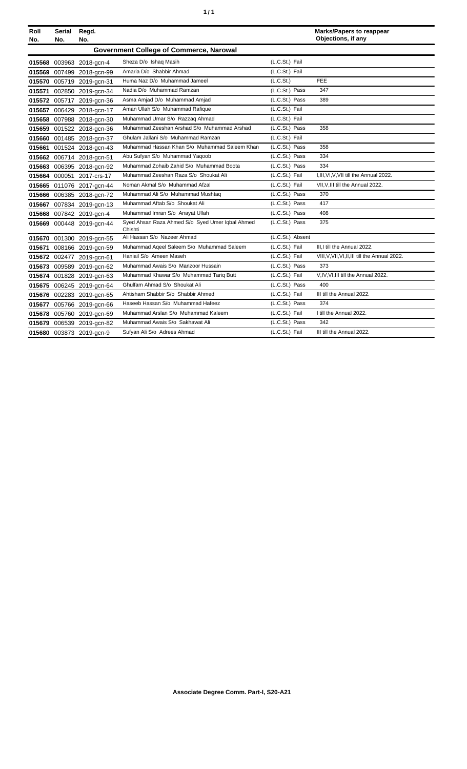|  | ٠ |
|--|---|
|  |   |

| Roll | Serial | Regd.                     |                                                            |                  | <b>Marks/Papers to reappear</b>                 |
|------|--------|---------------------------|------------------------------------------------------------|------------------|-------------------------------------------------|
| No.  | No.    | No.                       |                                                            |                  | Objections, if any                              |
|      |        |                           | <b>Government College of Commerce, Narowal</b>             |                  |                                                 |
|      |        | 015568 003963 2018-gcn-4  | Sheza D/o Ishaq Masih                                      | (L.C.St.) Fail   |                                                 |
|      |        | 015569 007499 2018-gcn-99 | Amaria D/o Shabbir Ahmad                                   | (L.C.St.) Fail   |                                                 |
|      |        | 015570 005719 2019-gcn-31 | Huma Naz D/o Muhammad Jameel                               | (L.C.St.)        | <b>FEE</b>                                      |
|      |        | 015571 002850 2019-gcn-34 | Nadia D/o Muhammad Ramzan                                  | (L.C.St.) Pass   | 347                                             |
|      |        | 015572 005717 2019-gcn-36 | Asma Amjad D/o Muhammad Amjad                              | (L.C.St.) Pass   | 389                                             |
|      |        | 015657 006429 2018-gcn-17 | Aman Ullah S/o Muhammad Rafique                            | (L.C.St.) Fail   |                                                 |
|      |        | 015658 007988 2018-gcn-30 | Muhammad Umar S/o Razzaq Ahmad                             | (L.C.St.) Fail   |                                                 |
|      |        | 015659 001522 2018-gcn-36 | Muhammad Zeeshan Arshad S/o Muhammad Arshad                | (L.C.St.) Pass   | 358                                             |
|      |        | 015660 001485 2018-gcn-37 | Ghulam Jallani S/o Muhammad Ramzan                         | (L.C.St.) Fail   |                                                 |
|      |        | 015661 001524 2018-gcn-43 | Muhammad Hassan Khan S/o Muhammad Saleem Khan              | (L.C.St.) Pass   | 358                                             |
|      |        | 015662 006714 2018-gcn-51 | Abu Sufyan S/o Muhammad Yaqoob                             | (L.C.St.) Pass   | 334                                             |
|      |        | 015663 006395 2018-gcn-92 | Muhammad Zohaib Zahid S/o Muhammad Boota                   | (L.C.St.) Pass   | 334                                             |
|      |        | 015664 000051 2017-crs-17 | Muhammad Zeeshan Raza S/o Shoukat Ali                      | (L.C.St.) Fail   | I, III, VI, V, VII till the Annual 2022.        |
|      |        | 015665 011076 2017-gcn-44 | Noman Akmal S/o Muhammad Afzal                             | (L.C.St.) Fail   | VII, V, III till the Annual 2022.               |
|      |        | 015666 006385 2018-gcn-72 | Muhammad Ali S/o Muhammad Mushtaq                          | (L.C.St.) Pass   | 370                                             |
|      |        | 015667 007834 2019-gcn-13 | Muhammad Aftab S/o Shoukat Ali                             | (L.C.St.) Pass   | 417                                             |
|      |        | 015668 007842 2019-gcn-4  | Muhammad Imran S/o Anayat Ullah                            | (L.C.St.) Pass   | 408                                             |
|      |        | 015669 000448 2019-gcn-44 | Syed Ahsan Raza Ahmed S/o Syed Umer Igbal Ahmed<br>Chishti | (L.C.St.) Pass   | 375                                             |
|      |        | 015670 001300 2019-gcn-55 | Ali Hassan S/o Nazeer Ahmad                                | (L.C.St.) Absent |                                                 |
|      |        | 015671 008166 2019-gcn-59 | Muhammad Ageel Saleem S/o Muhammad Saleem                  | (L.C.St.) Fail   | III.I till the Annual 2022.                     |
|      |        | 015672 002477 2019-gcn-61 | Haniail S/o Ameen Maseh                                    | (L.C.St.) Fail   | VIII, V, VII, VI, II, III till the Annual 2022. |
|      |        | 015673 009589 2019-gcn-62 | Muhammad Awais S/o Manzoor Hussain                         | (L.C.St.) Pass   | 373                                             |
|      |        | 015674 001828 2019-gcn-63 | Muhammad Khawar S/o Muhammad Tariq Butt                    | (L.C.St.) Fail   | V, IV, VI, III till the Annual 2022.            |
|      |        | 015675 006245 2019-gcn-64 | Ghulfam Ahmad S/o Shoukat Ali                              | (L.C.St.) Pass   | 400                                             |
|      |        | 015676 002283 2019-gcn-65 | Ahtisham Shabbir S/o Shabbir Ahmed                         | (L.C.St.) Fail   | III till the Annual 2022.                       |
|      |        | 015677 005766 2019-gcn-66 | Haseeb Hassan S/o Muhammad Hafeez                          | (L.C.St.) Pass   | 374                                             |
|      |        | 015678 005760 2019-gcn-69 | Muhammad Arslan S/o Muhammad Kaleem                        | (L.C.St.) Fail   | I till the Annual 2022.                         |
|      |        | 015679 006539 2019-gcn-82 | Muhammad Awais S/o Sakhawat Ali                            | (L.C.St.) Pass   | 342                                             |
|      |        | 015680 003873 2019-gcn-9  | Sufyan Ali S/o Adrees Ahmad                                | (L.C.St.) Fail   | III till the Annual 2022.                       |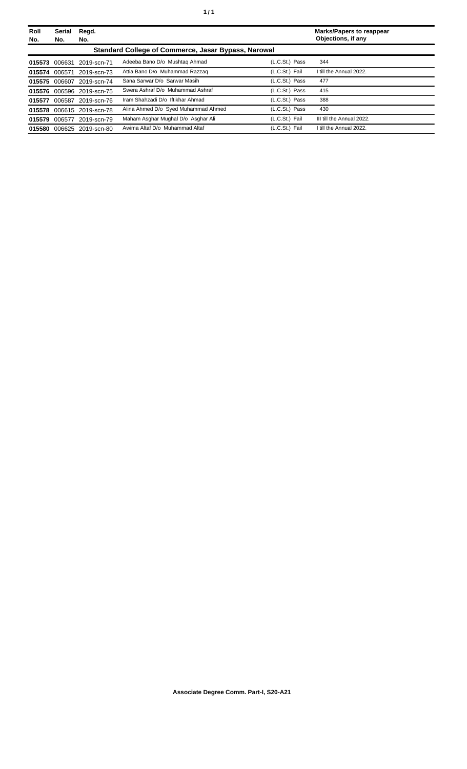| Roll<br>No. | <b>Serial</b><br>No. | Regd.<br>No.              |                                                     |                | <b>Marks/Papers to reappear</b><br>Objections, if any |
|-------------|----------------------|---------------------------|-----------------------------------------------------|----------------|-------------------------------------------------------|
|             |                      |                           | Standard College of Commerce, Jasar Bypass, Narowal |                |                                                       |
| 015573      | 006631               | 2019-scn-71               | Adeeba Bano D/o Mushtag Ahmad                       | (L.C.St.) Pass | 344                                                   |
| 015574      | 006571               | 2019-scn-73               | Attia Bano D/o Muhammad Razzag                      | (L.C.St.) Fail | I till the Annual 2022.                               |
| 015575      | 006607               | 2019-scn-74               | Sana Sarwar D/o Sarwar Masih                        | (L.C.St.) Pass | 477                                                   |
|             |                      | 015576 006596 2019-scn-75 | Swera Ashraf D/o Muhammad Ashraf                    | (L.C.St.) Pass | 415                                                   |
| 015577      | 006587               | 2019-scn-76               | Iram Shahzadi D/o Iftikhar Ahmad                    | (L.C.St.) Pass | 388                                                   |
| 015578      |                      | 006615 2019-scn-78        | Alina Ahmed D/o Syed Muhammad Ahmed                 | (L.C.St.) Pass | 430                                                   |
| 015579      | 006577               | 2019-scn-79               | Maham Asghar Mughal D/o Asghar Ali                  | (L.C.St.) Fail | III till the Annual 2022.                             |
| 015580      | 006625               | 2019-scn-80               | Awima Altaf D/o Muhammad Altaf                      | (L.C.St.) Fail | I till the Annual 2022.                               |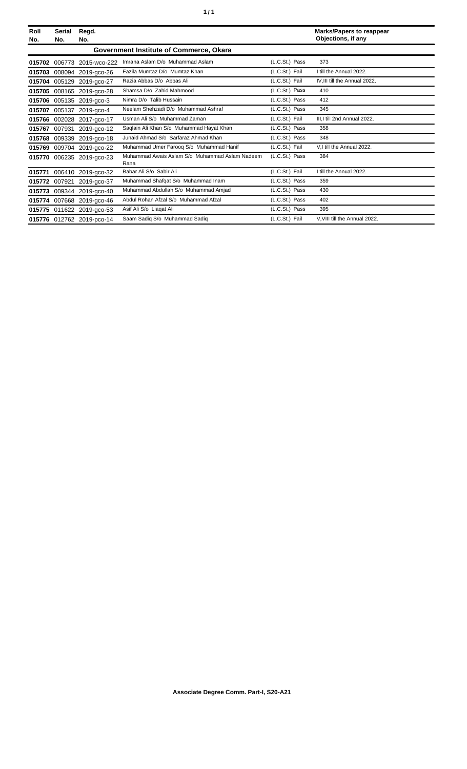| Roll<br>No. | Serial<br>No.                           | Regd.<br>No.              |                                                        |                | <b>Marks/Papers to reappear</b><br>Objections, if any |  |  |
|-------------|-----------------------------------------|---------------------------|--------------------------------------------------------|----------------|-------------------------------------------------------|--|--|
|             | Government Institute of Commerce, Okara |                           |                                                        |                |                                                       |  |  |
| 015702      | 006773                                  | 2015-wco-222              | Imrana Aslam D/o Muhammad Aslam                        | (L.C.St.) Pass | 373                                                   |  |  |
| 015703      |                                         | 008094 2019-gco-26        | Fazila Mumtaz D/o Mumtaz Khan                          | (L.C.St.) Fail | I till the Annual 2022.                               |  |  |
| 015704      |                                         | 005129 2019-gco-27        | Razia Abbas D/o Abbas Ali                              | (L.C.St.) Fail | IV, III till the Annual 2022.                         |  |  |
| 015705      |                                         | 008165 2019-gco-28        | Shamsa D/o Zahid Mahmood                               | (L.C.St.) Pass | 410                                                   |  |  |
| 015706      |                                         | 005135 2019-gco-3         | Nimra D/o Talib Hussain                                | (L.C.St.) Pass | 412                                                   |  |  |
| 015707      |                                         | 005137 2019-aco-4         | Neelam Shehzadi D/o Muhammad Ashraf                    | (L.C.St.) Pass | 345                                                   |  |  |
| 015766      |                                         | 002028 2017-gco-17        | Usman Ali S/o Muhammad Zaman                           | (L.C.St.) Fail | III, I till 2nd Annual 2022.                          |  |  |
| 015767      | 007931                                  | 2019-gco-12               | Saglain Ali Khan S/o Muhammad Hayat Khan               | (L.C.St.) Pass | 358                                                   |  |  |
| 015768      | 009339                                  | 2019-gco-18               | Junaid Ahmad S/o Sarfaraz Ahmad Khan                   | (L.C.St.) Pass | 348                                                   |  |  |
| 015769      | 009704                                  | 2019-gco-22               | Muhammad Umer Faroog S/o Muhammad Hanif                | (L.C.St.) Fail | V.I till the Annual 2022.                             |  |  |
| 015770      |                                         | 006235 2019-gco-23        | Muhammad Awais Aslam S/o Muhammad Aslam Nadeem<br>Rana | (L.C.St.) Pass | 384                                                   |  |  |
| 015771      |                                         | 006410 2019-gco-32        | Babar Ali S/o Sabir Ali                                | (L.C.St.) Fail | I till the Annual 2022.                               |  |  |
| 015772      | 007921                                  | 2019-gco-37               | Muhammad Shafqat S/o Muhammad Inam                     | (L.C.St.) Pass | 359                                                   |  |  |
| 015773      |                                         | 009344 2019-gco-40        | Muhammad Abdullah S/o Muhammad Amjad                   | (L.C.St.) Pass | 430                                                   |  |  |
| 015774      |                                         | 007668 2019-gco-46        | Abdul Rohan Afzal S/o Muhammad Afzal                   | (L.C.St.) Pass | 402                                                   |  |  |
| 015775      |                                         | 011622 2019-gco-53        | Asif Ali S/o Liagat Ali                                | (L.C.St.) Pass | 395                                                   |  |  |
|             |                                         | 015776 012762 2019-pco-14 | Saam Sadiq S/o Muhammad Sadiq                          | (L.C.St.) Fail | V, VIII till the Annual 2022.                         |  |  |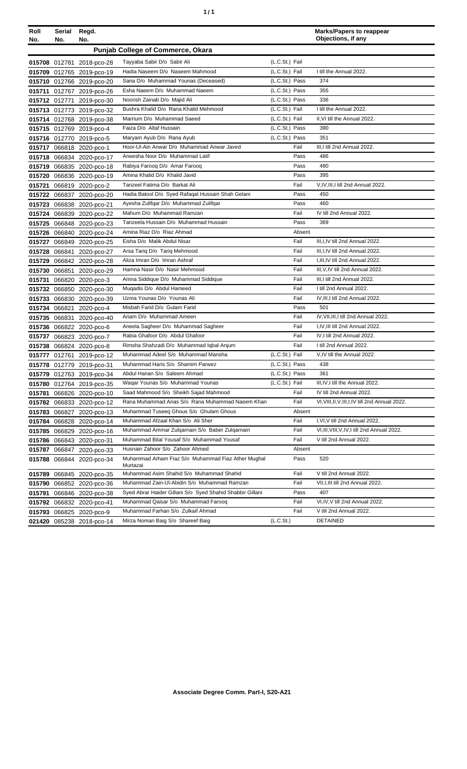| ٠ | ٠ |
|---|---|
|   |   |

| Roll<br>No. | Serial<br>No. | Regd.<br>No.              |                                                                |                | <b>Marks/Papers to reappear</b><br>Objections, if any |
|-------------|---------------|---------------------------|----------------------------------------------------------------|----------------|-------------------------------------------------------|
|             |               |                           | <b>Punjab College of Commerce, Okara</b>                       |                |                                                       |
|             |               | 015708 012781 2018-pco-28 | Tayyaba Sabir D/o Sabir Ali                                    | (L.C.St.) Fail |                                                       |
|             |               | 015709 012765 2019-pco-19 | Hadia Naseem D/o Naseem Mahmood                                | (L.C.St.) Fail | I till the Annual 2022.                               |
|             |               | 015710 012766 2019-pco-20 | Sana D/o Muhammad Younas (Deceased)                            | (L.C.St.) Pass | 374                                                   |
|             |               | 015711 012767 2019-pco-26 | Esha Naeem D/o Muhammad Naeem                                  | (L.C.St.) Pass | 355                                                   |
|             |               | 015712 012771 2019-pco-30 | Noorish Zainab D/o Majid Ali                                   | (L.C.St.) Pass | 336                                                   |
|             |               | 015713 012773 2019-pco-32 | Bushra Khalid D/o Rana Khalid Mehmood                          | (L.C.St.) Fail | I till the Annual 2022.                               |
|             |               | 015714 012768 2019-pco-38 | Marrium D/o Muhammad Saeed                                     | (L.C.St.) Fail | II, VI till the Annual 2022.                          |
|             |               | 015715 012769 2019-pco-4  | Faiza D/o Altaf Hussain                                        | (L.C.St.) Pass | 390                                                   |
|             |               | 015716 012770 2019-pco-5  | Maryam Ayub D/o Rana Ayub                                      | (L.C.St.) Pass | 351                                                   |
|             |               | 015717 066818 2020-pco-1  | Hoor-UI-Ain Anwar D/o Muhammad Anwar Javed                     | Fail           | III, I till 2nd Annual 2022.                          |
|             |               | 015718 066834 2020-pco-17 | Aneesha Noor D/o Muhammad Latif                                | Pass           | 486                                                   |
|             |               | 015719 066835 2020-pco-18 | Rabiya Farooq D/o Amar Farooq                                  | Pass           | 480                                                   |
|             |               | 015720 066836 2020-pco-19 | Amina Khalid D/o Khalid Javid                                  | Pass           | 395                                                   |
|             |               | 015721 066819 2020-pco-2  | Tanzeel Fatima D/o Barkat Ali                                  | Fail           | V,IV,III,I till 2nd Annual 2022.                      |
|             |               | 015722 066837 2020-pco-20 | Hadia Batool D/o Syed Rafaqat Hussain Shah Gelani              | Pass           | 450                                                   |
|             |               | 015723 066838 2020-pco-21 | Ayesha Zulifqar D/o Muhammad Zulifqar                          | Pass           | 460                                                   |
|             |               | 015724 066839 2020-pco-22 | Mahum D/o Muhammad Ramzan                                      | Fail           | IV till 2nd Annual 2022.                              |
|             |               | 015725 066848 2020-pco-23 | Tanzeela Hussain D/o Muhammad Hussain                          | Pass           | 369                                                   |
|             |               | 015726 066840 2020-pco-24 | Amina Riaz D/o Riaz Ahmad                                      | Absent         |                                                       |
|             |               | 015727 066849 2020-pco-25 | Eisha D/o Malik Abdul Nisar                                    | Fail           | III.I.IV till 2nd Annual 2022.                        |
|             |               | 015728 066841 2020-pco-27 | Arsa Tariq D/o Tariq Mehmood                                   | Fail           | III, I, IV till 2nd Annual 2022.                      |
|             |               | 015729 066842 2020-pco-28 | Aliza Imran D/o Imran Ashraf                                   | Fail           | I, III, IV till 2nd Annual 2022.                      |
|             |               | 015730 066851 2020-pco-29 | Hamna Nasir D/o Nasir Mehmood                                  | Fail           | III, V, IV till 2nd Annual 2022.                      |
|             |               | 015731 066820 2020-pco-3  | Amna Siddique D/o Muhammad Siddique                            | Fail           | III, I till 2nd Annual 2022.                          |
|             |               | 015732 066850 2020-pco-30 | Muqadis D/o Abdul Hameed                                       | Fail           | I till 2nd Annual 2022.                               |
|             |               | 015733 066830 2020-pco-39 | Uzma Younas D/o Younas Ali                                     | Fail           | IV, III, I till 2nd Annual 2022.                      |
|             |               | 015734 066821 2020-pco-4  | Misbah Farid D/o Gulam Farid                                   | Pass           | 501                                                   |
|             |               | 015735 066831 2020-pco-40 | Anam D/o Muhammad Ameen                                        | Fail           | IV, VII, III, I till 2nd Annual 2022.                 |
|             |               | 015736 066822 2020-pco-6  | Aneela Sagheer D/o Muhammad Sagheer                            | Fail           | I.IV.III till 2nd Annual 2022.                        |
|             |               | 015737 066823 2020-pco-7  | Rabia Ghafoor D/o Abdul Ghafoor                                | Fail           | IV.I till 2nd Annual 2022.                            |
|             |               | 015738 066824 2020-pco-8  | Rimsha Shahzadi D/o Muhammad Iqbal Anjum                       | Fail           | I till 2nd Annual 2022.                               |
|             |               | 015777 012761 2019-pco-12 | Muhammad Adeel S/o Muhammad Mansha                             | (L.C.St.) Fail | V,IV till the Annual 2022.                            |
|             |               | 015778 012779 2019-pco-31 | Muhammad Haris S/o Shamim Parwez                               | (L.C.St.) Pass | 438                                                   |
|             |               | 015779 012763 2019-pco-34 | Abdul Hanan S/o Saleem Ahmad                                   | (L.C.St.) Pass | 361                                                   |
|             |               | 015780 012764 2019-pco-35 | Wagar Younas S/o Muhammad Younas                               | (L.C.St.) Fail | III, IV, I till the Annual 2022.                      |
|             |               | 015781 066826 2020-pco-10 | Saad Mahmood S/o Sheikh Sajad Mahmood                          | Fail           | IV till 2nd Annual 2022.                              |
|             |               | 015782 066833 2020-pco-12 | Rana Muhammad Anas S/o Rana Muhammad Naeem Khan                | Fail           | VI, VIII, II, V, III, I, IV till 2nd Annual 2022.     |
|             |               | 015783 066827 2020-pco-13 | Muhammad Tuseeq Ghous S/o Ghulam Ghous                         | Absent         |                                                       |
|             |               | 015784 066828 2020-pco-14 | Muhammad Afzaal Khan S/o Ali Sher                              | Fail           | I, VI, V till 2nd Annual 2022.                        |
|             |               | 015785 066829 2020-pco-16 | Muhammad Ammar Zulgarnain S/o Baber Zulgarnain                 | Fail           | VI, III, VIII, V, IV, I till 2nd Annual 2022.         |
|             |               | 015786 066843 2020-pco-31 | Muhammad Bilal Yousaf S/o Muhammad Yousaf                      | Fail           | V till 2nd Annual 2022.                               |
|             |               | 015787 066847 2020-pco-33 | Husnain Zahoor S/o Zahoor Ahmed                                | Absent         |                                                       |
|             |               | 015788 066844 2020-pco-34 | Muhammad Arham Fiaz S/o Muhammad Fiaz Ather Mughal<br>Murtazai | Pass           | 520                                                   |
|             |               | 015789 066845 2020-pco-35 | Muhammad Asim Shahid S/o Muhammad Shahid                       | Fail           | V till 2nd Annual 2022.                               |
|             |               | 015790 066852 2020-pco-36 | Muhammad Zain-Ul-Abidin S/o Muhammad Ramzan                    | Fail           | VII, I, III till 2nd Annual 2022.                     |
|             |               | 015791 066846 2020-pco-38 | Syed Abrar Haider Gillani S/o Syed Shahid Shabbir Gillani      | Pass           | 407                                                   |
|             |               | 015792 066832 2020-pco-41 | Muhammad Qaisar S/o Muhammad Farooq                            | Fail           | VI, IV, V till 2nd Annual 2022.                       |
|             |               | 015793 066825 2020-pco-9  | Muhammad Farhan S/o Zulkaif Ahmad                              | Fail           | V till 2nd Annual 2022.                               |
|             |               | 021420 085238 2018-pco-14 | Mirza Noman Baig S/o Shareef Baig                              | (L.C.St.)      | <b>DETAINED</b>                                       |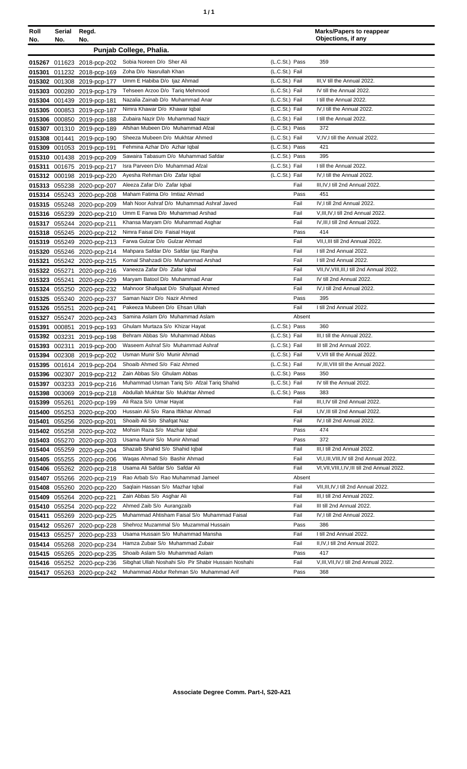| ٠ | ٠ |
|---|---|
|   |   |

| Roll          | Serial | Regd.                      |                                                      |                | <b>Marks/Papers to reappear</b>                 |
|---------------|--------|----------------------------|------------------------------------------------------|----------------|-------------------------------------------------|
| No.           | No.    | No.                        |                                                      |                | Objections, if any                              |
|               |        |                            | Punjab College, Phalia.                              |                |                                                 |
|               |        | 015267 011623 2018-pcp-202 | Sobia Noreen D/o Sher Ali                            | (L.C.St.) Pass | 359                                             |
| 015301        |        | 011232 2018-pcp-169        | Zoha D/o Nasrullah Khan                              | (L.C.St.) Fail |                                                 |
|               |        | 015302 001308 2019-pcp-177 | Umm E Habiba D/o Ijaz Ahmad                          | (L.C.St.) Fail | III.V till the Annual 2022.                     |
|               |        | 015303 000280 2019-pcp-179 | Tehseen Arzoo D/o Tariq Mehmood                      | (L.C.St.) Fail | IV till the Annual 2022.                        |
| 015304        |        | 001439 2019-pcp-181        | Nazalia Zainab D/o Muhammad Anar                     | (L.C.St.) Fail | I till the Annual 2022.                         |
|               |        | 015305 000853 2019-pcp-187 | Nimra Khawar D/o Khawar Iqbal                        | (L.C.St.) Fail | IV,I till the Annual 2022.                      |
|               |        | 015306 000850 2019-pcp-188 | Zubaira Nazir D/o Muhammad Nazir                     | (L.C.St.) Fail | I till the Annual 2022.                         |
|               |        | 015307 001310 2019-pcp-189 | Afshan Mubeen D/o Muhammad Afzal                     | (L.C.St.) Pass | 372                                             |
|               |        | 015308 001441 2019-pcp-190 | Sheeza Mubeen D/o Mukhtar Ahmed                      | (L.C.St.) Fail | V,IV,I till the Annual 2022.                    |
|               |        | 015309 001053 2019-pcp-191 | Fehmina Azhar D/o Azhar Iqbal                        | (L.C.St.) Pass | 421                                             |
|               |        | 015310 001438 2019-pcp-209 | Sawaira Tabasum D/o Muhammad Safdar                  | (L.C.St.) Pass | 395                                             |
| 015311        |        | 001675 2019-pcp-217        | Isra Parveen D/o Muhammad Afzal                      | (L.C.St.) Fail | I till the Annual 2022.                         |
|               |        | 015312 000198 2019-pcp-220 | Ayesha Rehman D/o Zafar Iqbal                        | (L.C.St.) Fail | IV, I till the Annual 2022.                     |
|               |        | 015313 055238 2020-pcp-207 | Aleeza Zafar D/o Zafar Iqbal                         | Fail           | III, IV, I till 2nd Annual 2022.                |
|               |        | 015314 055243 2020-pcp-208 | Maham Fatima D/o Imtiaz Ahmad                        | Pass           | 451                                             |
|               |        | 015315 055248 2020-pcp-209 | Mah Noor Ashraf D/o Muhammad Ashraf Javed            | Fail           | IV,I till 2nd Annual 2022.                      |
|               |        | 015316 055239 2020-pcp-210 | Umm E Farwa D/o Muhammad Arshad                      | Fail           | V, III, IV, I till 2nd Annual 2022.             |
|               |        | 015317 055244 2020-pcp-211 | Khansa Maryam D/o Muhammad Asghar                    | Fail           | IV, III, I till 2nd Annual 2022.                |
|               |        | 015318 055245 2020-pcp-212 | Nimra Faisal D/o Faisal Hayat                        | Pass           | 414                                             |
|               |        | 015319 055249 2020-pcp-213 | Farwa Gulzar D/o Gulzar Ahmad                        | Fail           | VII, I, III till 2nd Annual 2022.               |
| 015320        |        | 055246 2020-pcp-214        | Mahpara Safdar D/o Safdar Ijaz Ranjha                | Fail           | I till 2nd Annual 2022.                         |
| 015321        |        | 055242 2020-pcp-215        | Komal Shahzadi D/o Muhammad Arshad                   | Fail           | I till 2nd Annual 2022.                         |
| 015322        | 055271 | 2020-pcp-216               | Vaneeza Zafar D/o Zafar Iqbal                        | Fail           | VII, IV, VIII, III, I till 2nd Annual 2022.     |
| 015323        |        | 055241 2020-pcp-229        | Maryam Batool D/o Muhammad Anar                      | Fail           | IV till 2nd Annual 2022.                        |
| 015324        |        | 055250 2020-pcp-232        | Mahnoor Shafqaat D/o Shafqaat Ahmed                  | Fail           | IV, I till 2nd Annual 2022.                     |
|               |        | 015325 055240 2020-pcp-237 | Saman Nazir D/o Nazir Ahmed                          | Pass           | 395                                             |
| 015326 055251 |        | 2020-pcp-241               | Pakeeza Mubeen D/o Ehsan Ullah                       | Fail           | I till 2nd Annual 2022.                         |
| 015327        |        | 055247 2020-pcp-243        | Samina Aslam D/o Muhammad Aslam                      | Absent         |                                                 |
| 015391        | 000851 | 2019-pcp-193               | Ghulam Murtaza S/o Khizar Hayat                      | (L.C.St.) Pass | 360                                             |
|               |        | 015392 003231 2019-pcp-198 | Behram Abbas S/o Muhammad Abbas                      | (L.C.St.) Fail | III, I till the Annual 2022.                    |
|               |        | 015393 002311 2019-pcp-200 | Waseem Ashraf S/o Muhammad Ashraf                    | (L.C.St.) Fail | III till 2nd Annual 2022.                       |
|               |        | 015394 002308 2019-pcp-202 | Usman Munir S/o Munir Ahmad                          | (L.C.St.) Fail | V, VII till the Annual 2022.                    |
|               |        | 015395 001614 2019-pcp-204 | Shoaib Ahmed S/o Faiz Ahmed                          | (L.C.St.) Fail | IV, III, VIII till the Annual 2022.             |
|               |        | 015396 002307 2019-pcp-212 | Zain Abbas S/o Ghulam Abbas                          | (L.C.St.) Pass | 350                                             |
|               |        | 015397 003233 2019-pcp-216 | Muhammad Usman Tariq S/o Afzal Tariq Shahid          | (L.C.St.) Fail | IV till the Annual 2022.                        |
|               |        | 015398 003069 2019-pcp-218 | Abdullah Mukhtar S/o Mukhtar Ahmed                   | (L.C.St.) Pass | 383                                             |
| 015399 055261 |        | 2020-pcp-199               | Ali Raza S/o Umar Hayat                              | Fail           | III, I, IV till 2nd Annual 2022.                |
| 015400        |        | 055253 2020-pcp-200        | Hussain Ali S/o Rana Iftikhar Ahmad                  | Fail           | I,IV,III till 2nd Annual 2022.                  |
| 015401        |        | 055256 2020-pcp-201        | Shoaib Ali S/o Shafqat Naz                           | Fail           | IV, I till 2nd Annual 2022.                     |
|               |        | 015402 055258 2020-pcp-202 | Mohsin Raza S/o Mazhar Iqbal                         | Pass           | 474                                             |
| 015403        |        | 055270 2020-pcp-203        | Usama Munir S/o Munir Ahmad                          | Pass           | 372                                             |
|               |        | 015404 055259 2020-pcp-204 | Shazaib Shahid S/o Shahid Iqbal                      | Fail           | III, I till 2nd Annual 2022.                    |
|               |        | 015405 055255 2020-pcp-206 | Waqas Ahmad S/o Bashir Ahmad                         | Fail           | VI, I, III, VIII, IV till 2nd Annual 2022.      |
|               |        | 015406 055262 2020-pcp-218 | Usama Ali Safdar S/o Safdar Ali                      | Fail           | VI, VII, VIII, I, IV, III till 2nd Annual 2022. |
| 015407        |        | 055266 2020-pcp-219        | Rao Arbab S/o Rao Muhammad Jameel                    | Absent         |                                                 |
|               |        | 015408 055260 2020-pcp-220 | Saqlain Hassan S/o Mazhar Iqbal                      | Fail           | VII, III, IV, I till 2nd Annual 2022.           |
|               |        | 015409 055264 2020-pcp-221 | Zain Abbas S/o Asghar Ali                            | Fail           | III, I till 2nd Annual 2022.                    |
|               |        | 015410 055254 2020-pcp-222 | Ahmed Zaib S/o Aurangzaib                            | Fail           | III till 2nd Annual 2022.                       |
| 015411        |        | 055269 2020-pcp-225        | Muhammad Ahtisham Faisal S/o Muhammad Faisal         | Fail           | IV, I till 2nd Annual 2022.                     |
|               |        | 015412 055267 2020-pcp-228 | Shehroz Muzammal S/o Muzammal Hussain                | Pass           | 386                                             |
|               |        | 015413 055257 2020-pcp-233 | Usama Hussain S/o Muhammad Mansha                    | Fail           | I till 2nd Annual 2022.                         |
|               |        | 015414 055268 2020-pcp-234 | Hamza Zubair S/o Muhammad Zubair                     | Fail           | II, IV, I till 2nd Annual 2022.                 |
|               |        | 015415 055265 2020-pcp-235 | Shoaib Aslam S/o Muhammad Aslam                      | Pass<br>Fail   | 417                                             |
|               |        | 015416 055252 2020-pcp-236 | Sibghat Ullah Noshahi S/o Pir Shabir Hussain Noshahi |                | V, III, VII, IV, I till 2nd Annual 2022.        |
|               |        | 015417 055263 2020-pcp-242 | Muhammad Abdur Rehman S/o Muhammad Arif              | Pass           | 368                                             |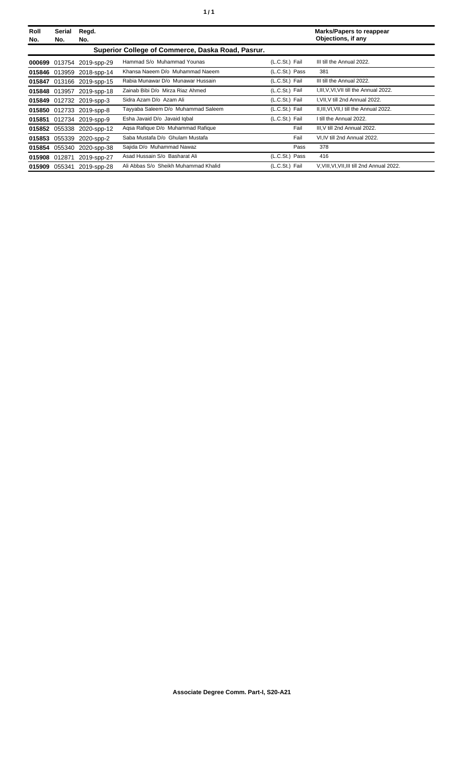| Roll<br>No.   | Serial<br>No. | Regd.<br>No.              |                                                   |                | <b>Marks/Papers to reappear</b><br>Objections, if any |
|---------------|---------------|---------------------------|---------------------------------------------------|----------------|-------------------------------------------------------|
|               |               |                           | Superior College of Commerce, Daska Road, Pasrur. |                |                                                       |
| 000699        |               | 013754 2019-spp-29        | Hammad S/o Muhammad Younas                        | (L.C.St.) Fail | III till the Annual 2022.                             |
|               |               | 015846 013959 2018-spp-14 | Khansa Naeem D/o Muhammad Naeem                   | (L.C.St.) Pass | 381                                                   |
| 015847        |               | 013166 2019-spp-15        | Rabia Munawar D/o Munawar Hussain                 | (L.C.St.) Fail | III till the Annual 2022.                             |
|               |               | 015848 013957 2019-spp-18 | Zainab Bibi D/o Mirza Riaz Ahmed                  | (L.C.St.) Fail | I, III, V, VI, VII till the Annual 2022.              |
| 015849        |               | 012732 2019-spp-3         | Sidra Azam D/o Azam Ali                           | (L.C.St.) Fail | I, VII, V till 2nd Annual 2022.                       |
|               |               | 015850 012733 2019-spp-8  | Tayyaba Saleem D/o Muhammad Saleem                | (L.C.St.) Fail | II, III, VI, VII, I till the Annual 2022.             |
|               |               | 015851 012734 2019-spp-9  | Esha Javaid D/o Javaid Igbal                      | (L.C.St.) Fail | I till the Annual 2022.                               |
|               |               | 015852 055338 2020-spp-12 | Agsa Rafique D/o Muhammad Rafique                 | Fail           | III, V till 2nd Annual 2022.                          |
| 015853        | 055339        | 2020-spp-2                | Saba Mustafa D/o Ghulam Mustafa                   | Fail           | VI, IV till 2nd Annual 2022.                          |
|               |               | 015854 055340 2020-spp-38 | Sajida D/o Muhammad Nawaz                         | Pass           | 378                                                   |
| 015908 012871 |               | 2019-spp-27               | Asad Hussain S/o Basharat Ali                     | (L.C.St.) Pass | 416                                                   |
| 015909        | 055341        | 2019-spp-28               | Ali Abbas S/o Sheikh Muhammad Khalid              | (L.C.St.) Fail | V, VIII, VI, VII, III till 2nd Annual 2022.           |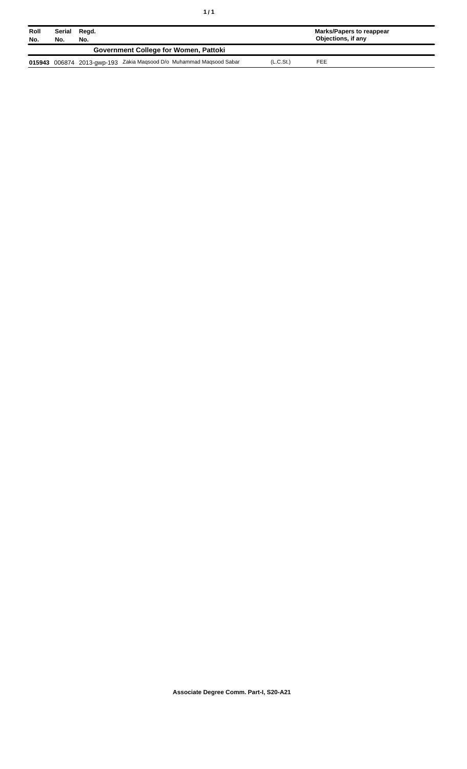| Roll<br>No. | Serial<br>No. | Regd.<br>No. |                                                                     |                       | Marks/Papers to reappear<br>Objections, if any |
|-------------|---------------|--------------|---------------------------------------------------------------------|-----------------------|------------------------------------------------|
|             |               |              | <b>Government College for Women, Pattoki</b>                        |                       |                                                |
|             |               |              | 015943 006874 2013-gwp-193 Zakia Maqsood D/o Muhammad Maqsood Sabar | (L.C.S <sub>t</sub> ) | FEE                                            |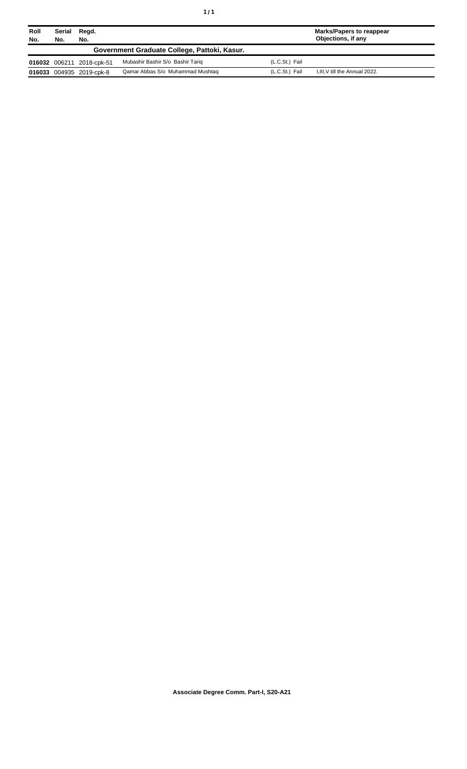| Roll<br>No. | Serial<br>No. | Regd.<br>No.              |                                              |                | <b>Marks/Papers to reappear</b><br>Objections, if any |
|-------------|---------------|---------------------------|----------------------------------------------|----------------|-------------------------------------------------------|
|             |               |                           | Government Graduate College, Pattoki, Kasur. |                |                                                       |
|             |               | 016032 006211 2018-cpk-51 | Mubashir Bashir S/o Bashir Tariq             | (L.C.St.) Fail |                                                       |
|             |               | 016033 004935 2019-cpk-8  | Qamar Abbas S/o Muhammad Mushtag             | (L.C.St.) Fail | I, III, V till the Annual 2022.                       |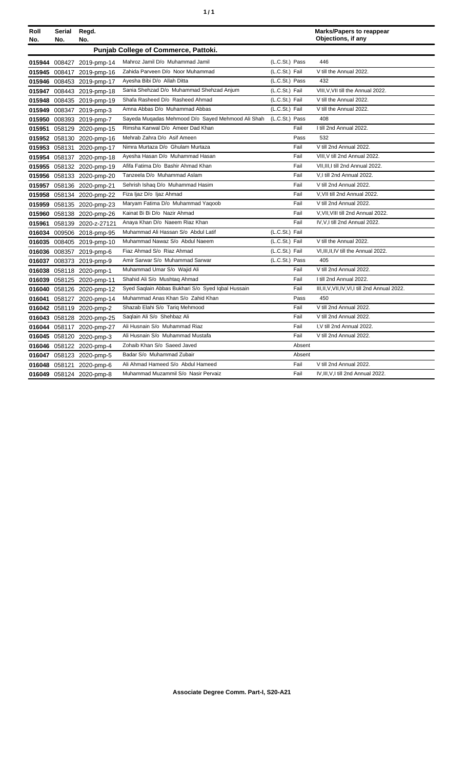| Roll<br>No. | Serial<br>No. | Regd.<br>No.              |                                                   |                | <b>Marks/Papers to reappear</b><br>Objections, if any |
|-------------|---------------|---------------------------|---------------------------------------------------|----------------|-------------------------------------------------------|
|             |               |                           | Punjab College of Commerce, Pattoki.              |                |                                                       |
| 015944      |               | 008427 2019-pmp-14        | Mahroz Jamil D/o Muhammad Jamil                   | (L.C.St.) Pass | 446                                                   |
| 015945      |               | 008417 2019-pmp-16        | Zahida Parveen D/o Noor Muhammad                  | (L.C.St.) Fail | V till the Annual 2022.                               |
|             |               | 015946 008453 2019-pmp-17 | Ayesha Bibi D/o Allah Ditta                       | (L.C.St.) Pass | 432                                                   |
| 015947      |               | 008443 2019-pmp-18        | Sania Shehzad D/o Muhammad Shehzad Anjum          | (L.C.St.) Fail | VIII, V, VII till the Annual 2022.                    |
| 015948      |               | 008435 2019-pmp-19        | Shafa Rasheed D/o Rasheed Ahmad                   | (L.C.St.) Fail | V till the Annual 2022.                               |
| 015949      |               | 008347 2019-pmp-3         | Amna Abbas D/o Muhammad Abbas                     | (L.C.St.) Fail | V till the Annual 2022.                               |
| 015950      |               | 008393 2019-pmp-7         | Sayeda Muqadas Mehmood D/o Sayed Mehmood Ali Shah | (L.C.St.) Pass | 408                                                   |
| 015951      |               | 058129 2020-pmp-15        | Rimsha Kanwal D/o Ameer Dad Khan                  | Fail           | I till 2nd Annual 2022.                               |
| 015952      |               | 058130 2020-pmp-16        | Mehrab Zahra D/o Asif Ameen                       | Pass           | 532                                                   |
| 015953      | 058131        | 2020-pmp-17               | Nimra Murtaza D/o Ghulam Murtaza                  | Fail           | V till 2nd Annual 2022.                               |
| 015954      |               | 058137 2020-pmp-18        | Ayesha Hasan D/o Muhammad Hasan                   | Fail           | VIII, V till 2nd Annual 2022.                         |
| 015955      |               | 058132 2020-pmp-19        | Afifa Fatima D/o Bashir Ahmad Khan                | Fail           | VII, III, I till 2nd Annual 2022.                     |
| 015956      |               | 058133 2020-pmp-20        | Tanzeela D/o Muhammad Aslam                       | Fail           | V.I till 2nd Annual 2022.                             |
| 015957      |               | 058136 2020-pmp-21        | Sehrish Ishaq D/o Muhammad Hasim                  | Fail           | V till 2nd Annual 2022.                               |
| 015958      |               | 058134 2020-pmp-22        | Fiza Ijaz D/o Ijaz Ahmad                          | Fail           | V, VII till 2nd Annual 2022.                          |
| 015959      |               | 058135 2020-pmp-23        | Maryam Fatima D/o Muhammad Yaqoob                 | Fail           | V till 2nd Annual 2022.                               |
|             |               | 015960 058138 2020-pmp-26 | Kainat Bi Bi D/o Nazir Ahmad                      | Fail           | V, VII, VIII till 2nd Annual 2022.                    |
| 015961      |               | 058139 2020-z-27121       | Anaya Khan D/o Naeem Riaz Khan                    | Fail           | IV, V, I till 2nd Annual 2022.                        |
|             |               | 016034 009506 2018-pmp-95 | Muhammad Ali Hassan S/o Abdul Latif               | (L.C.St.) Fail |                                                       |
|             |               | 016035 008405 2019-pmp-10 | Muhammad Nawaz S/o Abdul Naeem                    | (L.C.St.) Fail | V till the Annual 2022.                               |
|             |               | 016036 008357 2019-pmp-6  | Fiaz Ahmad S/o Riaz Ahmad                         | (L.C.St.) Fail | VI, III, II, IV till the Annual 2022.                 |
| 016037      |               | 008373 2019-pmp-9         | Amir Sarwar S/o Muhammad Sarwar                   | (L.C.St.) Pass | 405                                                   |
| 016038      |               | 058118 2020-pmp-1         | Muhammad Umar S/o Wajid Ali                       | Fail           | V till 2nd Annual 2022.                               |
| 016039      |               | 058125 2020-pmp-11        | Shahid Ali S/o Mushtaq Ahmad                      | Fail           | I till 2nd Annual 2022.                               |
| 016040      |               | 058126 2020-pmp-12        | Syed Saqlain Abbas Bukhari S/o Syed Iqbal Hussain | Fail           | III, II, V, VII, IV, VI, I till 2nd Annual 2022.      |
| 016041      |               | 058127 2020-pmp-14        | Muhammad Anas Khan S/o Zahid Khan                 | Pass           | 450                                                   |
|             |               | 016042 058119 2020-pmp-2  | Shazab Elahi S/o Tariq Mehmood                    | Fail           | V till 2nd Annual 2022.                               |
| 016043      |               | 058128 2020-pmp-25        | Saqlain Ali S/o Shehbaz Ali                       | Fail           | V till 2nd Annual 2022.                               |
| 016044      |               | 058117 2020-pmp-27        | Ali Husnain S/o Muhammad Riaz                     | Fail           | I, V till 2nd Annual 2022.                            |
|             |               | 016045 058120 2020-pmp-3  | Ali Husnain S/o Muhammad Mustafa                  | Fail           | V till 2nd Annual 2022.                               |
|             |               | 016046 058122 2020-pmp-4  | Zohaib Khan S/o Saeed Javed                       | Absent         |                                                       |
|             |               | 016047 058123 2020-pmp-5  | Badar S/o Muhammad Zubair                         | Absent         |                                                       |
|             |               | 016048 058121 2020-pmp-6  | Ali Ahmad Hameed S/o Abdul Hameed                 | Fail           | V till 2nd Annual 2022.                               |
|             |               | 016049 058124 2020-pmp-8  | Muhammad Muzammil S/o Nasir Pervaiz               | Fail           | IV, III, V, I till 2nd Annual 2022.                   |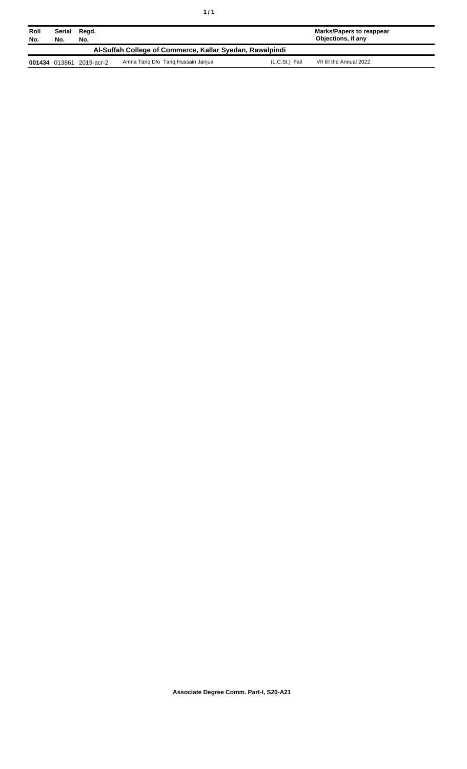| Roll<br>No. | Serial<br>No. | Regd.<br>No. |                                                          |                | <b>Marks/Papers to reappear</b><br>Objections, if any |
|-------------|---------------|--------------|----------------------------------------------------------|----------------|-------------------------------------------------------|
|             |               |              | Al-Suffah College of Commerce, Kallar Syedan, Rawalpindi |                |                                                       |
|             | 001434 013861 | 2019-acr-2   | Amna Tariq D/o Tariq Hussain Janjua                      | (L.C.St.) Fail | VII till the Annual 2022.                             |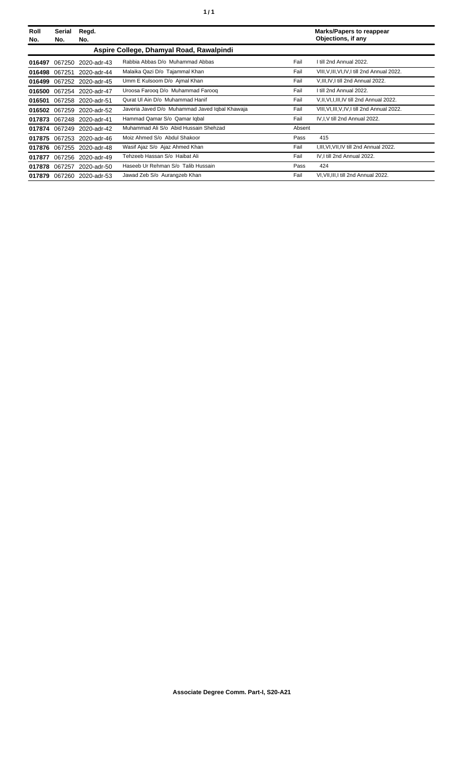| Roll<br>No. | Serial<br>No. | Regd.<br>No.              |                                                |        | <b>Marks/Papers to reappear</b><br>Objections, if any |
|-------------|---------------|---------------------------|------------------------------------------------|--------|-------------------------------------------------------|
|             |               |                           | Aspire College, Dhamyal Road, Rawalpindi       |        |                                                       |
| 016497      | 067250        | 2020-adr-43               | Rabbia Abbas D/o Muhammad Abbas                | Fail   | I till 2nd Annual 2022.                               |
| 016498      | 067251        | 2020-adr-44               | Malaika Qazi D/o Tajammal Khan                 | Fail   | VIII, V, III, VI, IV, I till 2nd Annual 2022.         |
| 016499      |               | 067252 2020-adr-45        | Umm E Kulsoom D/o Ajmal Khan                   | Fail   | V, III, IV, I till 2nd Annual 2022.                   |
| 016500      | 067254        | 2020-adr-47               | Uroosa Faroog D/o Muhammad Faroog              | Fail   | I till 2nd Annual 2022.                               |
| 016501      | 067258        | 2020-adr-51               | Qurat UI Ain D/o Muhammad Hanif                | Fail   | V.II, VI, I, III, IV till 2nd Annual 2022.            |
| 016502      | 067259        | 2020-adr-52               | Javeria Javed D/o Muhammad Javed Iqbal Khawaja | Fail   | VIII, VI, III, V, IV, I till 2nd Annual 2022.         |
|             |               | 017873 067248 2020-adr-41 | Hammad Qamar S/o Qamar Iqbal                   | Fail   | IV, I, V till 2nd Annual 2022.                        |
| 017874      | 067249        | 2020-adr-42               | Muhammad Ali S/o Abid Hussain Shehzad          | Absent |                                                       |
| 017875      | 067253        | 2020-adr-46               | Moiz Ahmed S/o Abdul Shakoor                   | Pass   | 415                                                   |
| 017876      |               | 067255 2020-adr-48        | Wasif Ajaz S/o Ajaz Ahmed Khan                 | Fail   | I,III,VI,VII,IV till 2nd Annual 2022.                 |
| 017877      | 067256        | 2020-adr-49               | Tehzeeb Hassan S/o Haibat Ali                  | Fail   | IV, I till 2nd Annual 2022.                           |
| 017878      | 067257        | 2020-adr-50               | Haseeb Ur Rehman S/o Talib Hussain             | Pass   | 424                                                   |
|             |               | 017879 067260 2020-adr-53 | Jawad Zeb S/o Aurangzeb Khan                   | Fail   | VI, VII, III, I till 2nd Annual 2022.                 |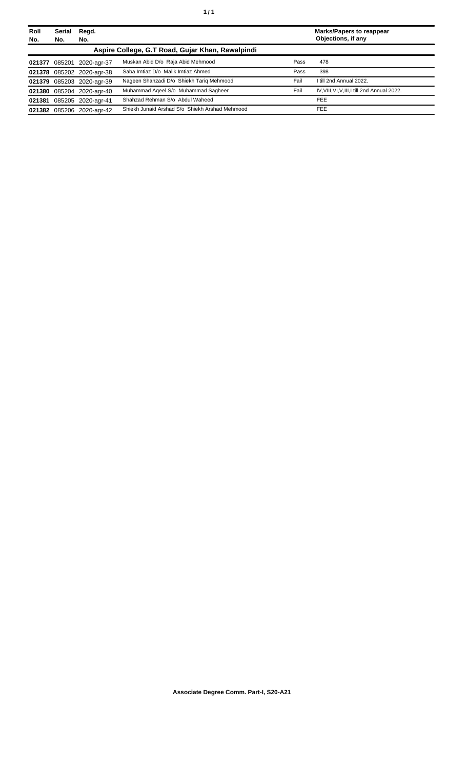| Roll | Serial | Regd.                     |                                                  |      | <b>Marks/Papers to reappear</b>               |
|------|--------|---------------------------|--------------------------------------------------|------|-----------------------------------------------|
| No.  | No.    | No.                       |                                                  |      | Objections, if any                            |
|      |        |                           | Aspire College, G.T Road, Gujar Khan, Rawalpindi |      |                                               |
|      |        | 021377 085201 2020-agr-37 | Muskan Abid D/o Raja Abid Mehmood                | Pass | 478                                           |
|      |        | 021378 085202 2020-agr-38 | Saba Imtiaz D/o Malik Imtiaz Ahmed               | Pass | 398                                           |
|      |        | 021379 085203 2020-agr-39 | Nageen Shahzadi D/o Shiekh Tarig Mehmood         | Fail | I till 2nd Annual 2022.                       |
|      |        | 021380 085204 2020-agr-40 | Muhammad Ageel S/o Muhammad Sagheer              | Fail | IV, VIII, VI, V, III, I till 2nd Annual 2022. |
|      |        | 021381 085205 2020-agr-41 | Shahzad Rehman S/o Abdul Waheed                  |      | <b>FEE</b>                                    |
|      |        | 021382 085206 2020-agr-42 | Shiekh Junaid Arshad S/o Shiekh Arshad Mehmood   |      | <b>FEE</b>                                    |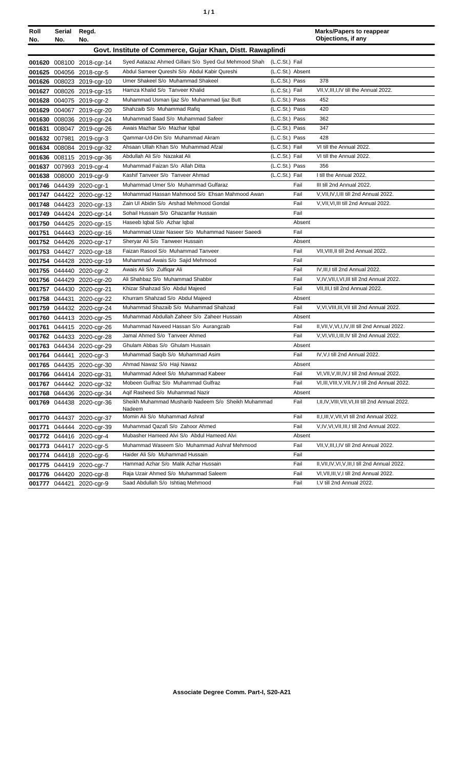| ٠ | ٠ |
|---|---|
|   |   |

| Roll<br>No. | Serial<br>No. | Regd.<br>No.              |                                                                     |                  |        | <b>Marks/Papers to reappear</b><br>Objections, if any |
|-------------|---------------|---------------------------|---------------------------------------------------------------------|------------------|--------|-------------------------------------------------------|
|             |               |                           | Govt. Institute of Commerce, Gujar Khan, Distt. Rawaplindi          |                  |        |                                                       |
|             |               | 001620 008100 2018-cgr-14 | Syed Aatazaz Ahmed Gillani S/o Syed Gul Mehmood Shah (L.C.St.) Fail |                  |        |                                                       |
|             |               | 001625 004056 2018-cgr-5  | Abdul Sameer Qureshi S/o Abdul Kabir Qureshi                        | (L.C.St.) Absent |        |                                                       |
|             |               | 001626 008023 2019-cgr-10 | Umer Shakeel S/o Muhammad Shakeel                                   | (L.C.St.) Pass   |        | 378                                                   |
|             |               | 001627 008026 2019-cgr-15 | Hamza Khalid S/o Tanveer Khalid                                     | (L.C.St.) Fail   |        | VII, V, III, I, IV till the Annual 2022.              |
|             |               | 001628 004075 2019-cgr-2  | Muhammad Usman Ijaz S/o Muhammad Ijaz Butt                          | (L.C.St.) Pass   |        | 452                                                   |
|             |               | 001629 004067 2019-cgr-20 | Shahzaib S/o Muhammad Rafiq                                         | (L.C.St.) Pass   |        | 420                                                   |
|             |               | 001630 008036 2019-cgr-24 | Muhammad Saad S/o Muhammad Safeer                                   | (L.C.St.) Pass   |        | 362                                                   |
|             |               | 001631 008047 2019-cgr-26 | Awais Mazhar S/o Mazhar Iqbal                                       | (L.C.St.) Pass   |        | 347                                                   |
|             |               | 001632 007981 2019-cgr-3  | Qammar-Ud-Din S/o Muhammad Akram                                    | (L.C.St.) Pass   |        | 428                                                   |
|             |               | 001634 008084 2019-cgr-32 | Ahsaan Ullah Khan S/o Muhammad Afzal                                | (L.C.St.) Fail   |        | VI till the Annual 2022.                              |
|             |               | 001636 008115 2019-cgr-36 | Abdullah Ali S/o Nazakat Ali                                        | (L.C.St.) Fail   |        | VI till the Annual 2022.                              |
|             |               | 001637 007993 2019-cgr-4  | Muhammad Faizan S/o Allah Ditta                                     | (L.C.St.) Pass   |        | 356                                                   |
|             |               | 001638 008000 2019-cgr-9  | Kashif Tanveer S/o Tanveer Ahmad                                    | (L.C.St.) Fail   |        | I till the Annual 2022.                               |
|             |               | 001746 044439 2020-cgr-1  | Muhammad Umer S/o Muhammad Gulfaraz                                 |                  | Fail   | III till 2nd Annual 2022.                             |
|             |               | 001747 044422 2020-cgr-12 | Mohammad Hassan Mahmood S/o Ehsan Mahmood Awan                      |                  | Fail   | V, VII, IV, I, III till 2nd Annual 2022.              |
|             |               | 001748 044423 2020-cgr-13 | Zain UI Abidin S/o Arshad Mehmood Gondal                            |                  | Fail   | V, VII, VI, III till 2nd Annual 2022.                 |
|             |               | 001749 044424 2020-cgr-14 | Sohail Hussain S/o Ghazanfar Hussain                                |                  | Fail   |                                                       |
|             |               | 001750 044425 2020-cgr-15 | Haseeb Iqbal S/o Azhar Iqbal                                        |                  | Absent |                                                       |
|             |               | 001751 044443 2020-cgr-16 | Muhammad Uzair Naseer S/o Muhammad Naseer Saeedi                    |                  | Fail   |                                                       |
|             |               | 001752 044426 2020-cgr-17 | Sheryar Ali S/o Tanweer Hussain                                     |                  | Absent |                                                       |
|             |               | 001753 044427 2020-cgr-18 | Faizan Rasool S/o Muhammad Tanveer                                  |                  | Fail   | VII, VIII, II till 2nd Annual 2022.                   |
|             |               | 001754 044428 2020-cgr-19 | Muhammad Awais S/o Sajid Mehmood                                    |                  | Fail   |                                                       |
|             |               | 001755 044440 2020-cgr-2  | Awais Ali S/o Zulfigar Ali                                          |                  | Fail   | IV, III, I till 2nd Annual 2022.                      |
|             |               | 001756 044429 2020-cgr-20 | Ali Shahbaz S/o Muhammad Shabbir                                    |                  | Fail   | V, IV, VII, I, VI, III till 2nd Annual 2022.          |
|             |               | 001757 044430 2020-cgr-21 | Khizar Shahzad S/o Abdul Majeed                                     |                  | Fail   | VII, III, I till 2nd Annual 2022.                     |
|             |               | 001758 044431 2020-cgr-22 | Khurram Shahzad S/o Abdul Majeed                                    |                  | Absent |                                                       |
|             |               | 001759 044432 2020-cgr-24 | Muhammad Shazaib S/o Muhammad Shahzad                               |                  | Fail   | V, VI, VIII, III, VII till 2nd Annual 2022.           |
|             |               | 001760 044413 2020-cgr-25 | Muhammad Abdullah Zaheer S/o Zaheer Hussain                         |                  | Absent |                                                       |
|             |               | 001761 044415 2020-cgr-26 | Muhammad Naveed Hassan S/o Aurangzaib                               |                  | Fail   | II, VII, V, VI, I, IV, III till 2nd Annual 2022.      |
|             |               | 001762 044433 2020-cgr-28 | Jamal Ahmed S/o Tanveer Ahmed                                       |                  | Fail   | V, VI, VII, I, III, IV till 2nd Annual 2022.          |
|             |               | 001763 044434 2020-cgr-29 | Ghulam Abbas S/o Ghulam Hussain                                     |                  | Absent |                                                       |
|             |               | 001764 044441 2020-cgr-3  | Muhammad Saqib S/o Muhammad Asim                                    |                  | Fail   | IV, V, I till 2nd Annual 2022.                        |
|             |               | 001765 044435 2020-cgr-30 | Ahmad Nawaz S/o Haji Nawaz                                          |                  | Absent |                                                       |
|             |               | 001766 044414 2020-cgr-31 | Muhammad Adeel S/o Muhammad Kabeer                                  |                  | Fail   | VI, VII, V, III, IV, I till 2nd Annual 2022.          |
|             |               | 001767 044442 2020-cgr-32 | Mobeen Gulfraz S/o Muhammad Gulfraz                                 |                  | Fail   | VI, III, VIII, V, VII, IV, I till 2nd Annual 2022.    |
|             |               | 001768 044436 2020-cgr-34 | Agif Rasheed S/o Muhammad Nazir                                     |                  | Absent |                                                       |
|             |               | 001769 044438 2020-cgr-36 | Sheikh Muhammad Musharib Nadeem S/o Sheikh Muhammad<br>Nadeem       |                  | Fail   | I, II, IV, VIII, VII, VI, III till 2nd Annual 2022.   |
|             |               | 001770 044437 2020-cgr-37 | Momin Ali S/o Muhammad Ashraf                                       |                  | Fail   | II, I, III, V, VII, VI till 2nd Annual 2022.          |
|             |               | 001771 044444 2020-cgr-39 | Muhammad Qazafi S/o Zahoor Ahmed                                    |                  | Fail   | V, IV, VI, VII, III, I till 2nd Annual 2022.          |
|             |               | 001772 044416 2020-cgr-4  | Mubasher Hameed Alvi S/o Abdul Hameed Alvi                          |                  | Absent |                                                       |
|             |               | 001773 044417 2020-cgr-5  | Muhammad Waseem S/o Muhammad Ashraf Mehmood                         |                  | Fail   | VII, V, III, I, IV till 2nd Annual 2022.              |
|             |               | 001774 044418 2020-cgr-6  | Haider Ali S/o Muhammad Hussain                                     |                  | Fail   |                                                       |
|             |               | 001775 044419 2020-cgr-7  | Hammad Azhar S/o Malik Azhar Hussain                                |                  | Fail   | II, VII, IV, VI, V, III, I till 2nd Annual 2022.      |
|             |               | 001776 044420 2020-cgr-8  | Raja Uzair Ahmed S/o Muhammad Saleem                                |                  | Fail   | VI, VII, III, V, I till 2nd Annual 2022.              |
|             |               | 001777 044421 2020-cgr-9  | Saad Abdullah S/o Ishtiag Mehmood                                   |                  | Fail   | I, V till 2nd Annual 2022.                            |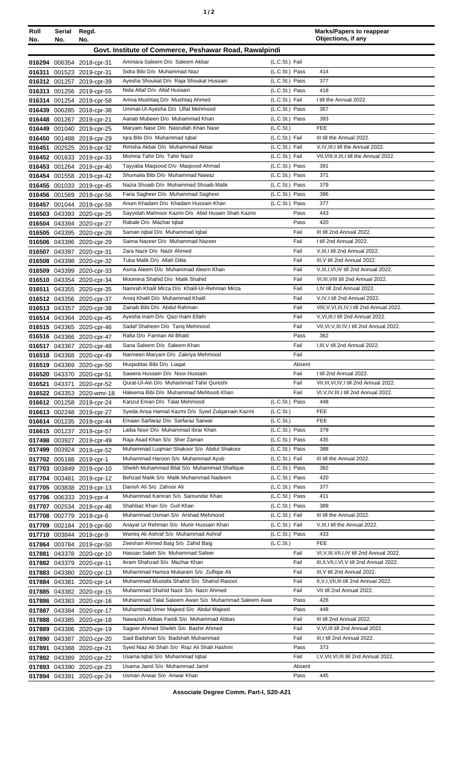|--|

| Roll<br>No. | Serial<br>No. | Regd.<br>No.                                           |                                                                                  |                                  | <b>Marks/Papers to reappear</b><br>Objections, if any         |
|-------------|---------------|--------------------------------------------------------|----------------------------------------------------------------------------------|----------------------------------|---------------------------------------------------------------|
|             |               |                                                        | Govt. Institute of Commerce, Peshawar Road, Rawalpindi                           |                                  |                                                               |
|             |               |                                                        | Ammara Saleem D/o Saleem Akbar                                                   | (L.C.St.) Fail                   |                                                               |
|             |               | 016294 006354 2018-cpr-31<br>016311 001523 2019-cpr-31 | Sidra Bibi D/o Muhammad Niaz                                                     | (L.C.St.) Pass                   | 414                                                           |
|             |               | 016312 001257 2019-cpr-39                              | Ayesha Shoukat D/o Raja Shoukat Hussain                                          | (L.C.St.) Pass                   | 377                                                           |
|             |               | 016313 001256 2019-cpr-55                              | Nida Altaf D/o Altaf Hussain                                                     | (L.C.St.) Pass                   | 418                                                           |
|             |               | 016314 001254 2019-cpr-58                              | Amna Mushtaq D/o Mushtaq Ahmed                                                   | (L.C.St.) Fail                   | I till the Annual 2022.                                       |
|             |               | 016439 006285 2018-cpr-38                              | Ummat-Ul-Ayesha D/o Ulfat Mehmood                                                | (L.C.St.) Pass                   | 367                                                           |
|             |               | 016448 001267 2019-cpr-21                              | Aanab Mubeen D/o Muhammad Khan                                                   | (L.C.St.) Pass                   | 393                                                           |
|             |               | 016449 001040 2019-cpr-25                              | Maryam Nasir D/o Nasrullah Khan Nasir                                            | (L.C.St.)                        | <b>FEE</b>                                                    |
|             |               | 016450 001488 2019-cpr-29                              | Igra Bibi D/o Muhammad Igbal<br>Rimsha Akbar D/o Muhammad Akbar                  | (L.C.St.) Fail                   | III till the Annual 2022.<br>V,IV,III,I till the Annual 2022. |
|             |               | 016451 002525 2019-cpr-32<br>016452 001633 2019-cpr-33 | Momna Tahir D/o Tahir Nazir                                                      | (L.C.St.) Fail<br>(L.C.St.) Fail | VII, VIII, II, III, I till the Annual 2022.                   |
|             |               | 016453 001264 2019-cpr-40                              | Tayyaba Maqsood D/o Maqsood Ahmad                                                | (L.C.St.) Pass                   | 391                                                           |
|             |               | 016454 001558 2019-cpr-42                              | Shumaila Bibi D/o Muhammad Nawaz                                                 | (L.C.St.) Pass                   | 371                                                           |
|             |               | 016455 001033 2019-cpr-45                              | Nazia Shoaib D/o Muhammad Shoaib Malik                                           | (L.C.St.) Pass                   | 379                                                           |
|             |               | 016456 001569 2019-cpr-56                              | Faria Sagheer D/o Muhammad Sagheer                                               | (L.C.St.) Pass                   | 396                                                           |
|             |               | 016457 001044 2019-cpr-59                              | Anum Khadam D/o Khadam Hussain Khan                                              | (L.C.St.) Pass                   | 377                                                           |
|             |               | 016503 043393 2020-cpr-25                              | Savvidah Mahnoor Kazmi D/o Abid Husain Shah Kazmi                                | Pass                             | 443                                                           |
|             |               | 016504 043394 2020-cpr-27                              | Rabale D/o Mazhar Iqbal                                                          | Pass                             | 420                                                           |
|             |               | 016505 043395 2020-cpr-28                              | Saman Iqbal D/o Muhammad Iqbal                                                   | Fail                             | III till 2nd Annual 2022.                                     |
|             |               | 016506 043396 2020-cpr-29                              | Saima Nazeer D/o Muhammad Nazeer<br>Zara Nazir D/o Nazir Ahmed                   | Fail<br>Fail                     | I till 2nd Annual 2022.<br>V, III, I till 2nd Annual 2022.    |
|             |               | 016507 043397 2020-cpr-31<br>016508 043398 2020-cpr-32 | Tuba Malik D/o Allah Ditta                                                       | Fail                             | III, V till 2nd Annual 2022.                                  |
|             |               | 016509 043399 2020-cpr-33                              | Asma Aleem D/o Muhammad Aleem Khan                                               | Fail                             | V, III, I, VI, IV till 2nd Annual 2022.                       |
|             |               | 016510 043354 2020-cpr-34                              | Moomina Shahid D/o Malik Shahid                                                  | Fail                             | VI, III, VIII till 2nd Annual 2022.                           |
|             |               | 016511 043355 2020-cpr-35                              | Namrah Khalil Mirza D/o Khalil-Ur-Rehman Mirza                                   | Fail                             | I,IV till 2nd Annual 2022.                                    |
|             |               | 016512 043356 2020-cpr-37                              | Arooj Khalil D/o Muhammad Khalil                                                 | Fail                             | V,IV,I till 2nd Annual 2022.                                  |
|             |               | 016513 043357 2020-cpr-38                              | Zainab Bibi D/o Abdul Rahman                                                     | Fail                             | VIII, V, VI, III, IV, I till 2nd Annual 2022.                 |
|             |               | 016514 043364 2020-cpr-45                              | Ayesha Inam D/o Qazi Inam Ellahi                                                 | Fail                             | V, VI, III, I till 2nd Annual 2022.                           |
|             |               | 016515 043365 2020-cpr-46                              | Sadaf Shaheen D/o Tariq Mehmood                                                  | Fail                             | VII, VI, V, III, IV, I till 2nd Annual 2022.                  |
|             |               | 016516 043366 2020-cpr-47                              | Rafia D/o Farman Ali Bhatti<br>Sana Saleem D/o Saleem Khan                       | Pass<br>Fail                     | 362<br>I, III, V till 2nd Annual 2022.                        |
|             |               | 016517 043367 2020-cpr-48<br>016518 043368 2020-cpr-49 | Narmeen Maryam D/o Zakriya Mehmood                                               | Fail                             |                                                               |
|             |               | 016519 043369 2020-cpr-50                              | Mugaddas Bibi D/o Liagat                                                         | Absent                           |                                                               |
|             |               | 016520 043370 2020-cpr-51                              | Sawera Hussain D/o Noor Hussain                                                  | Fail                             | I till 2nd Annual 2022.                                       |
|             |               | 016521 043371 2020-cpr-52                              | Qurat-Ul-Ain D/o Muhammad Tahir Qureshi                                          | Fail                             | VII, III, VI, IV, I till 2nd Annual 2022.                     |
|             |               | 016522 043353 2020-wmr-18                              | Haleema Bibi D/o Muhammad Mehboob Khan                                           | Fail                             | VI, V, IV, III, I till 2nd Annual 2022.                       |
|             |               | 016612 001258 2019-cpr-24                              | Kanzul Eman D/o Talat Mehmood                                                    | (L.C.St.) Pass                   | 448                                                           |
|             |               | 016613 002248 2019-cpr-27                              | Syeda Ansa Hamail Kazmi D/o Syed Zulgarnain Kazmi                                | (L.C.St.)                        | <b>FEE</b>                                                    |
|             |               | 016614 001235 2019-cpr-44                              | Emaan Sarfaraz D/o Sarfaraz Sarwar<br>Laiba Noor D/o Muhammad Ibrar Khan         | (L.C.St.)                        | <b>FEE</b><br>379                                             |
|             |               | 016615 001237 2019-cpr-57<br>017498 003927 2019-cpr-49 | Raja Asad Khan S/o Sher Zaman                                                    | (L.C.St.) Pass<br>(L.C.St.) Pass | 435                                                           |
|             |               | 017499 003924 2019-cpr-52                              | Muhammad Luqman Shakoor S/o Abdul Shakoor                                        | (L.C.St.) Pass                   | 388                                                           |
|             |               | 017702 005188 2019-cpr-1                               | Muhammad Haroon S/o Muhammad Ayub                                                | (L.C.St.) Fail                   | III till the Annual 2022.                                     |
|             |               | 017703 003849 2019-cpr-10                              | Sheikh Muhammad Bilal S/o Muhammad Shafique                                      | (L.C.St.) Pass                   | 382                                                           |
|             |               | 017704 003481 2019-cpr-12                              | Behzad Malik S/o Malik Muhammad Nadeem                                           | (L.C.St.) Pass                   | 420                                                           |
|             |               | 017705 003838 2019-cpr-13                              | Danish Ali S/o Zahoor Ali                                                        | (L.C.St.) Pass                   | 377                                                           |
|             |               | 017706 006333 2019-cpr-4                               | Muhammad Kamran S/o Samundar Khan                                                | (L.C.St.) Pass                   | 411                                                           |
|             |               | 017707 002534 2019-cpr-48                              | Shahbaz Khan S/o Gull Khan                                                       | (L.C.St.) Pass                   | 389                                                           |
|             |               | 017708 002779 2019-cpr-6                               | Muhammad Usman S/o Arshad Mehmood<br>Anayat Ur Rehman S/o Munir Hussain Khan     | (L.C.St.) Fail<br>(L.C.St.) Fail | III till the Annual 2022.<br>V, III, I till the Annual 2022.  |
|             |               | 017709 002184 2019-cpr-60<br>017710 003844 2019-cpr-9  | Wamiq Ali Ashraf S/o Muhammad Ashraf                                             | (L.C.St.) Pass                   | 433                                                           |
|             |               | 017864 003784 2019-cpr-50                              | Zeeshan Ahmed Baig S/o Zahid Baig                                                | (L.C.St.)                        | <b>FEE</b>                                                    |
| 017881      |               | 043378 2020-cpr-10                                     | Hassan Saleh S/o Muhammad Safeer                                                 | Fail                             | VI, V, III, VII, I, IV till 2nd Annual 2022.                  |
|             |               | 017882 043379 2020-cpr-11                              | Ikram Shahzad S/o Mazhar Khan                                                    | Fail                             | III, II, VII, I, VI, V till 2nd Annual 2022.                  |
|             |               | 017883 043380 2020-cpr-13                              | Muhammad Hamza Mukaram S/o Zulfiqar Ali                                          | Fail                             | III, V till 2nd Annual 2022.                                  |
|             |               | 017884 043381 2020-cpr-14                              | Muhammad Mustafa Shahid S/o Shahid Rasool                                        | Fail                             | II, V, I, VII, III till 2nd Annual 2022.                      |
|             |               | 017885 043382 2020-cpr-15                              | Muhammad Shahid Nazir S/o Nazir Ahmed                                            | Fail                             | VII till 2nd Annual 2022.                                     |
|             |               | 017886 043383 2020-cpr-16                              | Muhammad Talal Saleem Awan S/o Muhammad Saleem Awar                              | Pass                             | 426                                                           |
|             |               | 017887 043384 2020-cpr-17                              | Muhammad Umer Majeed S/o Abdul Majeed                                            | Pass                             | 448                                                           |
|             |               | 017888 043385 2020-cpr-18                              | Nawazish Abbas Faridi S/o Mohammad Abbas<br>Sageer Ahmed Sheikh S/o Bashir Ahmed | Fail<br>Fail                     | III till 2nd Annual 2022.<br>V, VI, III till 2nd Annual 2022. |
|             |               | 017889 043386 2020-cpr-19<br>017890 043387 2020-cpr-20 | Said Badshah S/o Badshah Muhammad                                                | Fail                             | III,I till 2nd Annual 2022.                                   |
|             |               | 017891 043388 2020-cpr-21                              | Syed Niaz Ali Shah S/o Riaz Ali Shah Hashmi                                      | Pass                             | 373                                                           |
|             |               | 017892 043389 2020-cpr-22                              | Usama Iqbal S/o Muhammad Iqbal                                                   | Fail                             | I, V, VII, VI, III till 2nd Annual 2022.                      |
|             |               | 017893 043390 2020-cpr-23                              | Usama Jamil S/o Muhammad Jamil                                                   | Absent                           |                                                               |
|             |               | 017894 043391 2020-cpr-24                              | Usman Anwar S/o Anwar Khan                                                       | Pass                             | 445                                                           |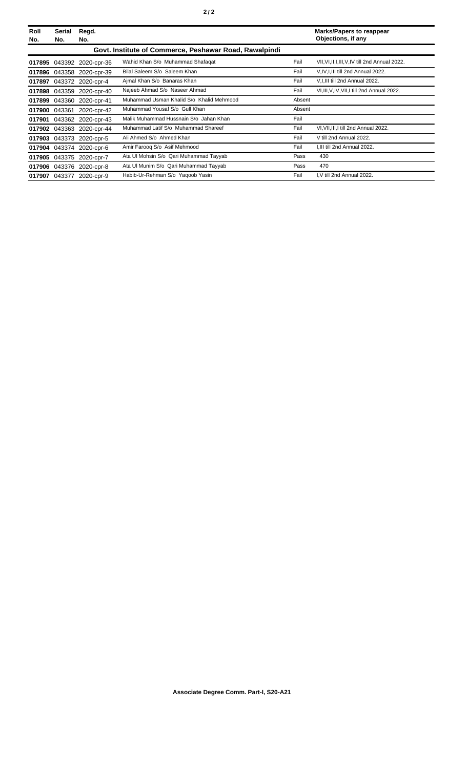| Roll<br>No. | Serial<br>No. | Regd.<br>No.             |                                                        |        | <b>Marks/Papers to reappear</b><br>Objections, if any |
|-------------|---------------|--------------------------|--------------------------------------------------------|--------|-------------------------------------------------------|
|             |               |                          | Govt. Institute of Commerce, Peshawar Road, Rawalpindi |        |                                                       |
| 017895      | 043392        | 2020-cpr-36              | Wahid Khan S/o Muhammad Shafaqat                       | Fail   | VII, VI, II, I, III, V, IV till 2nd Annual 2022.      |
| 017896      | 043358        | 2020-cpr-39              | Bilal Saleem S/o Saleem Khan                           | Fail   | V, IV, I, III till 2nd Annual 2022.                   |
| 017897      |               | 043372 2020-cpr-4        | Ajmal Khan S/o Banaras Khan                            | Fail   | V.I.III till 2nd Annual 2022.                         |
|             | 017898 043359 | 2020-cpr-40              | Najeeb Ahmad S/o Naseer Ahmad                          | Fail   | VI, III, V, IV, VII, I till 2nd Annual 2022.          |
| 017899      | 043360        | 2020-cpr-41              | Muhammad Usman Khalid S/o Khalid Mehmood               | Absent |                                                       |
| 017900      | 043361        | 2020-cpr-42              | Muhammad Yousaf S/o Gull Khan                          | Absent |                                                       |
| 017901      |               | 043362 2020-cpr-43       | Malik Muhammad Hussnain S/o Jahan Khan                 | Fail   |                                                       |
| 017902      | 043363        | 2020-cpr-44              | Muhammad Latif S/o Muhammad Shareef                    | Fail   | VI, VII, III, I till 2nd Annual 2022.                 |
| 017903      | 043373        | 2020-cpr-5               | Ali Ahmed S/o Ahmed Khan                               | Fail   | V till 2nd Annual 2022.                               |
| 017904      |               | 043374 2020-cpr-6        | Amir Farooq S/o Asif Mehmood                           | Fail   | I, III till 2nd Annual 2022.                          |
| 017905      | 043375        | 2020-cpr-7               | Ata Ul Mohsin S/o Qari Muhammad Tayyab                 | Pass   | 430                                                   |
| 017906      |               | 043376 2020-cpr-8        | Ata UI Munim S/o Qari Muhammad Tayyab                  | Pass   | 470                                                   |
|             |               | 017907 043377 2020-cpr-9 | Habib-Ur-Rehman S/o Yagoob Yasin                       | Fail   | I, V till 2nd Annual 2022.                            |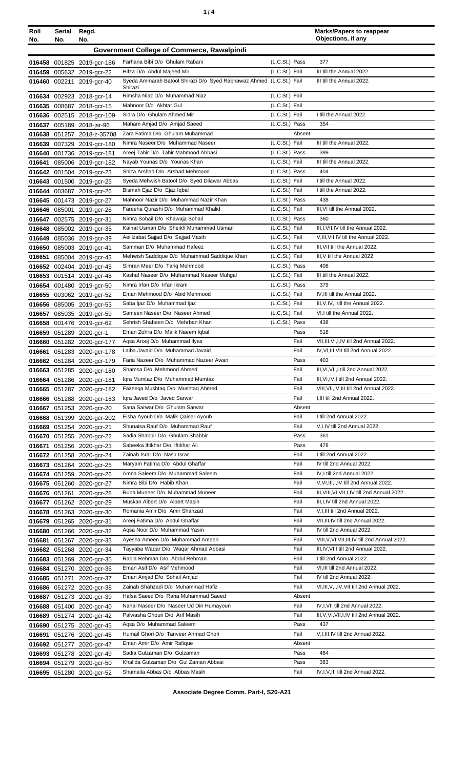| ٠ |  |
|---|--|
|   |  |

| Roll<br>No. | Serial<br>No. | Regd.<br>No.                                             |                                                                                |                                  | <b>Marks/Papers to reappear</b><br>Objections, if any                       |
|-------------|---------------|----------------------------------------------------------|--------------------------------------------------------------------------------|----------------------------------|-----------------------------------------------------------------------------|
|             |               |                                                          | Government College of Commerce, Rawalpindi                                     |                                  |                                                                             |
|             |               | 016458 001825 2019-gcr-186                               | Farhana Bibi D/o Ghulam Rabani                                                 | (L.C.St.) Pass                   | 377                                                                         |
|             |               | 016459 005632 2019-gcr-22                                | Hifza D/o Abdul Majeed Mir                                                     | (L.C.St.) Fail                   | III till the Annual 2022.                                                   |
|             |               | 016460 002211 2019-gcr-40                                | Syeda Ammarah Batool Shirazi D/o Syed Rabnawaz Ahmed (L.C.St.) Fail            |                                  | III till the Annual 2022.                                                   |
|             |               |                                                          | Shirazi<br>Rimsha Niaz D/o Muhammad Niaz                                       | (L.C.St.) Fail                   |                                                                             |
|             |               | 016634 002923 2018-gcr-14<br>016635 008687 2018-gcr-15   | Mahnoor D/o Akhtar Gul                                                         | (L.C.St.) Fail                   |                                                                             |
|             |               | 016636 002515 2018-gcr-109                               | Sidra D/o Ghulam Ahmed Mir                                                     | (L.C.St.) Fail                   | I till the Annual 2022.                                                     |
|             |               | 016637 005189 2018-jsr-96                                | Maham Amjad D/o Amjad Saeed                                                    | (L.C.St.) Pass                   | 354                                                                         |
|             |               | 016638 051257 2018-z-35708                               | Zara Fatima D/o Ghulam Muhammad                                                | Absent                           |                                                                             |
|             |               | 016639 007329 2019-gcr-180                               | Nimra Naseer D/o Muhammad Naseer                                               | (L.C.St.) Fail                   | III till the Annual 2022.                                                   |
|             |               | 016640 001736 2019-gcr-181                               | Areej Tahir D/o Tahir Mahmood Abbasi                                           | (L.C.St.) Pass                   | 399                                                                         |
|             |               | 016641 085006 2019-gcr-182                               | Nayab Younas D/o Younas Khan                                                   | (L.C.St.) Fail                   | III till the Annual 2022.                                                   |
|             |               | 016642 001504 2019-gcr-23                                | Shiza Arshad D/o Arshad Mehmood<br>Syeda Mehwish Batool D/o Syed Dilawar Abbas | (L.C.St.) Pass<br>(L.C.St.) Fail | 404<br>I till the Annual 2022.                                              |
|             |               | 016643 001500 2019-gcr-25<br>016644 003687 2019-gcr-26   | Bismah Ejaz D/o Ejaz Iqbal                                                     | (L.C.St.) Fail                   | I till the Annual 2022.                                                     |
|             |               | 016645 001473 2019-gcr-27                                | Mahnoor Nazir D/o Muhammad Nazir Khan                                          | (L.C.St.) Pass                   | 438                                                                         |
|             |               | 016646 085001 2019-gcr-28                                | Fareeha Qurashi D/o Muhammad Khalid                                            | (L.C.St.) Fail                   | III, VI till the Annual 2022.                                               |
|             |               | 016647 002575 2019-gcr-31                                | Nimra Sohail D/o Khawaja Sohail                                                | (L.C.St.) Pass                   | 360                                                                         |
|             |               | 016648 085002 2019-gcr-35                                | Kainat Usman D/o Sheikh Muhammad Usman                                         | (L.C.St.) Fail                   | III, I, VII, IV till the Annual 2022.                                       |
|             |               | 016649 085036 2019-gcr-39                                | Aeillzabat Sajjad D/o Sajjad Masih                                             | (L.C.St.) Fail                   | V, III, VII, IV till the Annual 2022.                                       |
|             |               | 016650 085003 2019-gcr-41                                | Samman D/o Muhammad Hafeez                                                     | (L.C.St.) Fail                   | III, VII till the Annual 2022.                                              |
|             |               | 016651 085004 2019-gcr-43                                | Mehwish Saddique D/o Muhammad Saddique Khan                                    | (L.C.St.) Fail                   | III, V till the Annual 2022.                                                |
|             |               | 016652 002404 2019-gcr-45                                | Simran Meer D/o Tariq Mehmood<br>Kashaf Naseer D/o Muhammad Naseer Muhgal      | (L.C.St.) Pass<br>(L.C.St.) Fail | 408<br>III till the Annual 2022.                                            |
|             |               | 016653 001514 2019-gcr-48<br>016654 001480 2019-gcr-50   | Nimra Irfan D/o Irfan Ikram                                                    | (L.C.St.) Pass                   | 379                                                                         |
|             |               | 016655 003062 2019-gcr-52                                | Eman Mehmood D/o Abid Mehmood                                                  | (L.C.St.) Fail                   | IV, III till the Annual 2022.                                               |
|             |               | 016656 085005 2019-gcr-53                                | Saba Ijaz D/o Muhammad Ijaz                                                    | (L.C.St.) Fail                   | III, V, IV, I till the Annual 2022.                                         |
|             |               | 016657 085035 2019-gcr-59                                | Sameen Naseer D/o Naseer Ahmed                                                 | (L.C.St.) Fail                   | VI, I till the Annual 2022.                                                 |
|             |               | 016658 001476 2019-gcr-62                                | Sehrish Shaheen D/o Mehrban Khan                                               | (L.C.St.) Pass                   | 438                                                                         |
|             |               | 016659 051289 2020-gcr-1                                 | Eman Zohra D/o Malik Naeem Iqbal                                               | Pass                             | 518                                                                         |
|             |               | 016660 051282 2020-gcr-177                               | Aqsa Arooj D/o Muhammad Ilyas                                                  | Fail                             | VII, III, VI, I, IV till 2nd Annual 2022.                                   |
|             |               | 016661 051283 2020-gcr-178                               | Laiba Javaid D/o Muhammad Javaid                                               | Fail                             | IV, VI, III, VII till 2nd Annual 2022.                                      |
|             |               | 016662 051284 2020-gcr-179<br>016663 051285 2020-gcr-180 | Faria Nazeer D/o Muhammad Nazeer Awan<br>Shamsa D/o Mehmood Ahmed              | Pass<br>Fail                     | 403<br>III, VI, VII, I till 2nd Annual 2022.                                |
|             |               | 016664 051286 2020-gcr-181                               | Igra Mumtaz D/o Muhammad Mumtaz                                                | Fail                             | III, VI, IV, I till 2nd Annual 2022.                                        |
|             |               | 016665 051287 2020-gcr-182                               | Fazeega Mushtag D/o Mushtag Ahmed                                              | Fail                             | VIII, VII, IV, III till 2nd Annual 2022.                                    |
|             |               | 016666 051288 2020-gcr-183                               | Igra Javed D/o Javed Sarwar                                                    | Fail                             | I, III till 2nd Annual 2022.                                                |
|             |               | 016667 051253 2020-gcr-20                                | Sana Sarwar D/o Ghulam Sarwar                                                  | Absent                           |                                                                             |
|             |               | 016668 051399 2020-gcr-202                               | Eisha Ayoub D/o Malik Qaiser Ayoub                                             | Fail                             | I till 2nd Annual 2022.                                                     |
|             |               | 016669 051254 2020-gcr-21                                | Shunaisa Rauf D/o Muhammad Rauf                                                | Fail                             | V, I, IV till 2nd Annual 2022.                                              |
|             |               | 016670 051255 2020-gcr-22                                | Sadia Shabbir D/o Ghulam Shabbir                                               | Pass                             | 361<br>478                                                                  |
|             |               | 016671 051256 2020-gcr-23                                | Sabeeka Iftikhar D/o Iftikhar Ali<br>Zainab Israr D/o Nasir Israr              | Pass<br>Fail                     | I till 2nd Annual 2022.                                                     |
|             |               | 016672 051258 2020-gcr-24<br>016673 051264 2020-gcr-25   | Maryam Fatima D/o Abdul Ghaffar                                                | Fail                             | IV till 2nd Annual 2022.                                                    |
|             |               | 016674 051259 2020-gcr-26                                | Amna Saleem D/o Muhammad Saleem                                                | Fail                             | IV, I till 2nd Annual 2022.                                                 |
|             |               | 016675 051260 2020-gcr-27                                | Nimra Bibi D/o Habib Khan                                                      | Fail                             | V, VI, III, I, IV till 2nd Annual 2022.                                     |
|             |               | 016676 051261 2020-gcr-28                                | Ruba Muneer D/o Muhammad Muneer                                                | Fail                             | III, VIII, VI, VII, I, IV till 2nd Annual 2022.                             |
|             |               | 016677 051262 2020-gcr-29                                | Muskan Albert D/o Albert Masih                                                 | Fail                             | III, I, IV till 2nd Annual 2022.                                            |
|             |               | 016678 051263 2020-gcr-30                                | Romania Amir D/o Amir Shahzad                                                  | Fail                             | V, I, III till 2nd Annual 2022.                                             |
|             |               | 016679 051265 2020-gcr-31                                | Areej Fatima D/o Abdul Ghaffar                                                 | Fail                             | VII, III, IV till 2nd Annual 2022.                                          |
|             |               | 016680 051266 2020-gcr-32                                | Aqsa Noor D/o Muhammad Yasin<br>Ayesha Ameen D/o Muhammad Ameen                | Fail<br>Fail                     | IV till 2nd Annual 2022.<br>VIII, V, VI, VII, III, IV till 2nd Annual 2022. |
|             |               | 016681 051267 2020-gcr-33<br>016682 051268 2020-gcr-34   | Tayyaba Waqar D/o Waqar Ahmad Abbasi                                           | Fail                             | III, IV, VI, I till 2nd Annual 2022.                                        |
|             |               | 016683 051269 2020-gcr-35                                | Rabia Rehman D/o Abdul Rehman                                                  | Fail                             | I till 2nd Annual 2022.                                                     |
|             |               | 016684 051270 2020-gcr-36                                | Eman Asif D/o Asif Mehmood                                                     | Fail                             | VI, III till 2nd Annual 2022.                                               |
|             |               | 016685 051271 2020-gcr-37                                | Eman Amjad D/o Sohail Amjad                                                    | Fail                             | IV till 2nd Annual 2022.                                                    |
|             |               | 016686 051272 2020-gcr-38                                | Zainab Shahzadi D/o Muhammad Hafiz                                             | Fail                             | VI, III, V, I, IV, VII till 2nd Annual 2022.                                |
|             |               | 016687 051273 2020-gcr-39                                | Hafsa Saeed D/o Rana Muhammad Saeed                                            | Absent                           |                                                                             |
|             |               | 016688 051400 2020-gcr-40                                | Nahal Naseer D/o Naseer Ud Din Humayoun                                        | Fail                             | IV, I, VII till 2nd Annual 2022.                                            |
|             |               | 016689 051274 2020-gcr-42                                | Palwasha Ghouri D/o Arif Masih                                                 | Fail                             | III, V, VI, VII, I, IV till 2nd Annual 2022.                                |
|             |               | 016690 051275 2020-gcr-45                                | Agsa D/o Muhammad Saleem<br>Humail Ghori D/o Tanveer Ahmad Ghori               | Pass<br>Fail                     | 437<br>V, I, III, IV till 2nd Annual 2022.                                  |
|             |               | 016691 051276 2020-gcr-46<br>016692 051277 2020-gcr-47   | Eman Amir D/o Amir Rafique                                                     | Absent                           |                                                                             |
|             |               | 016693 051278 2020-gcr-49                                | Sadia Gulzaman D/o Gulzaman                                                    | Pass                             | 484                                                                         |
|             |               | 016694 051279 2020-gcr-50                                | Khalida Gulzaman D/o Gul Zaman Abbasi                                          | Pass                             | 383                                                                         |
|             |               | 016695 051280 2020-gcr-52                                | Shumaila Abbas D/o Abbas Masih                                                 | Fail                             | IV, I, V, III till 2nd Annual 2022.                                         |
|             |               |                                                          |                                                                                |                                  |                                                                             |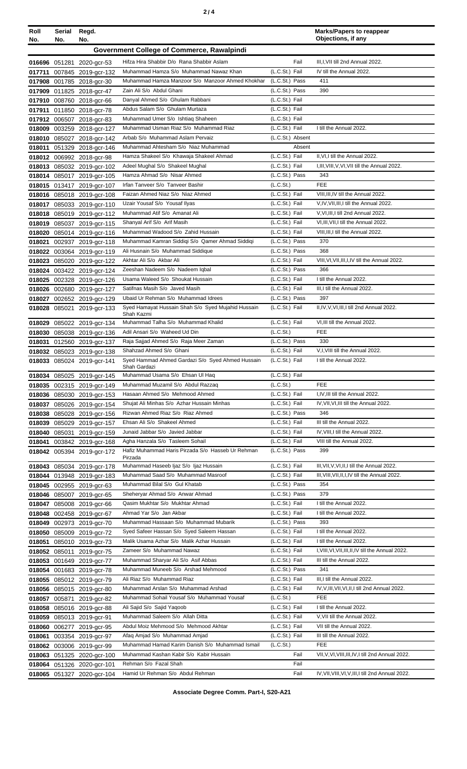| Roll<br>No. | Serial<br>No.                              | Regd.<br>No.                                             |                                                                                        |                                  | <b>Marks/Papers to reappear</b><br>Objections, if any |
|-------------|--------------------------------------------|----------------------------------------------------------|----------------------------------------------------------------------------------------|----------------------------------|-------------------------------------------------------|
|             | Government College of Commerce, Rawalpindi |                                                          |                                                                                        |                                  |                                                       |
|             |                                            |                                                          | Hifza Hira Shabbir D/o Rana Shabbir Aslam                                              | Fail                             | III, I, VII till 2nd Annual 2022.                     |
|             |                                            | 016696 051281 2020-gcr-53<br>017711 007845 2019-gcr-132  | Muhammad Hamza S/o Muhammad Nawaz Khan                                                 | (L.C.St.) Fail                   | IV till the Annual 2022.                              |
|             |                                            | 017908 001785 2018-gcr-30                                | Muhammad Hamza Manzoor S/o Manzoor Ahmed Khokhar                                       | (L.C.St.) Pass                   | 411                                                   |
|             |                                            | 017909 011825 2018-gcr-47                                | Zain Ali S/o Abdul Ghani                                                               | (L.C.St.) Pass                   | 390                                                   |
|             |                                            | 017910 008760 2018-gcr-66                                | Danyal Ahmed S/o Ghulam Rabbani                                                        | (L.C.St.) Fail                   |                                                       |
|             |                                            | 017911 011850 2018-gcr-78                                | Abdus Salam S/o Ghulam Murtaza                                                         | (L.C.St.) Fail                   |                                                       |
|             |                                            | 017912 006507 2018-gcr-83                                | Muhammad Umer S/o Ishtiaq Shaheen                                                      | (L.C.St.) Fail                   |                                                       |
|             |                                            | 018009 003259 2018-gcr-127                               | Muhammad Usman Riaz S/o Muhammad Riaz                                                  | (L.C.St.) Fail                   | I till the Annual 2022.                               |
|             |                                            | 018010 085027 2018-gcr-142                               | Arbab S/o Muhammad Aslam Pervaiz                                                       | (L.C.St.) Absent                 |                                                       |
|             |                                            | 018011 051329 2018-gcr-146                               | Muhammad Ahtesham S/o Niaz Muhammad                                                    | Absent                           |                                                       |
|             |                                            | 018012 006992 2018-gcr-98                                | Hamza Shakeel S/o Khawaja Shakeel Ahmad                                                | (L.C.St.) Fail                   | II, VI, I till the Annual 2022.                       |
|             |                                            | 018013 085032 2019-gcr-102                               | Adeel Mughal S/o Shakeel Mughal                                                        | (L.C.St.) Fail                   | I, III, VIII, V, VI, VII till the Annual 2022.        |
|             |                                            | 018014 085017 2019-gcr-105                               | Hamza Ahmad S/o Nisar Ahmed<br>Irfan Tanveer S/o Tanveer Bashir                        | (L.C.St.) Pass<br>(L.C.St.)      | 343<br><b>FEE</b>                                     |
|             |                                            | 018015 013417 2019-gcr-107                               | Faizan Ahmed Niaz S/o Niaz Ahmed                                                       | (L.C.St.) Fail                   | VIII, III, IV till the Annual 2022.                   |
|             |                                            | 018016 085018 2019-gcr-108                               | Uzair Yousaf S/o Yousaf Ilyas                                                          | (L.C.St.) Fail                   | V,IV, VII, III, I till the Annual 2022.               |
|             |                                            | 018017 085033 2019-gcr-110<br>018018 085019 2019-gcr-112 | Muhammad Atif S/o Amanat Ali                                                           | (L.C.St.) Fail                   | V, VI, III, I till 2nd Annual 2022.                   |
|             |                                            | 018019 085037 2019-gcr-115                               | Shanyal Arif S/o Arif Masih                                                            | (L.C.St.) Fail                   | VI, III, VII, I till the Annual 2022.                 |
|             |                                            | 018020 085014 2019-gcr-116                               | Muhammad Wadood S/o Zahid Hussain                                                      | (L.C.St.) Fail                   | VIII, III, I till the Annual 2022.                    |
|             |                                            | 018021 002937 2019-gcr-118                               | Muhammad Kamran Siddiqi S/o Qamer Ahmad Siddiqi                                        | (L.C.St.) Pass                   | 370                                                   |
|             |                                            | 018022 003064 2019-gcr-119                               | Ali Husnain S/o Muhammad Siddique                                                      | (L.C.St.) Pass                   | 368                                                   |
|             |                                            | 018023 085020 2019-gcr-122                               | Akhtar Ali S/o Akbar Ali                                                               | (L.C.St.) Fail                   | VIII, VI, VII, III, I, IV till the Annual 2022.       |
|             |                                            | 018024 003422 2019-gcr-124                               | Zeeshan Nadeem S/o Nadeem Iqbal                                                        | (L.C.St.) Pass                   | 366                                                   |
|             |                                            | 018025 002328 2019-gcr-126                               | Usama Waleed S/o Shoukat Hussain                                                       | (L.C.St.) Fail                   | I till the Annual 2022.                               |
|             |                                            | 018026 002680 2019-gcr-127                               | Satifnas Masih S/o Javed Masih                                                         | (L.C.St.) Fail                   | III,I till the Annual 2022.                           |
|             |                                            | 018027 002652 2019-gcr-129                               | Ubaid Ur Rehman S/o Muhammad Idrees                                                    | (L.C.St.) Pass                   | 397                                                   |
|             |                                            | 018028 085021 2019-gcr-133                               | Syed Hamayat Hussain Shah S/o Syed Mujahid Hussain<br>Shah Kazmi                       | (L.C.St.) Fail                   | II,IV,V,VI,III,I till 2nd Annual 2022.                |
|             |                                            | 018029 085022 2019-gcr-134                               | Muhammad Talha S/o Muhammad Khalid                                                     | (L.C.St.) Fail                   | VI, III till the Annual 2022.                         |
|             |                                            | 018030 085038 2019-gcr-136                               | Adil Ansari S/o Waheed Ud Din                                                          | (L.C.St.)                        | <b>FEE</b>                                            |
|             |                                            | 018031 012560 2019-gcr-137                               | Raja Sajjad Ahmed S/o Raja Meer Zaman                                                  | (L.C.St.) Pass                   | 330                                                   |
|             |                                            | 018032 085023 2019-gcr-138                               | Shahzad Ahmed S/o Ghani                                                                | (L.C.St.) Fail                   | V, I, VIII till the Annual 2022.                      |
|             |                                            | 018033 085024 2019-gcr-141                               | Syed Hammad Ahmed Gardazi S/o Syed Ahmed Hussain<br>Shah Gardazi                       | (L.C.St.) Fail                   | I till the Annual 2022.                               |
|             |                                            | 018034 085025 2019-gcr-145                               | Muhammad Usama S/o Ehsan Ul Haq                                                        | (L.C.St.) Fail                   | <b>FEE</b>                                            |
|             |                                            | 018035 002315 2019-gcr-149                               | Muhammad Muzamil S/o Abdul Razzaq<br>Hasaan Ahmed S/o Mehmood Ahmed                    | (L.C.St.)<br>(L.C.St.) Fail      | I, IV, III till the Annual 2022.                      |
|             |                                            | 018036 085030 2019-gcr-153<br>018037 085026 2019-gcr-154 | Shujat Ali Minhas S/o Azhar Hussain Minhas                                             | (L.C.St.) Fail                   | IV, VII, VI, III till the Annual 2022.                |
|             |                                            | 018038 085028 2019-gcr-156                               | Rizwan Ahmed Riaz S/o Riaz Ahmed                                                       | (L.C.St.) Pass                   | 346                                                   |
|             |                                            | 018039 085029 2019-gcr-157                               | Ehsan Ali S/o Shakeel Ahmed                                                            | (L.C.St.) Fail                   | III till the Annual 2022.                             |
|             |                                            | 018040 085031 2019-gcr-159                               | Junaid Jabbar S/o Javied Jabbar                                                        | (L.C.St.) Fail                   | IV, VIII, I till the Annual 2022.                     |
|             |                                            | 018041 003842 2019-gcr-168                               | Agha Hanzala S/o Tasleem Sohail                                                        | (L.C.St.) Fail                   | VIII till the Annual 2022.                            |
|             |                                            | 018042 005394 2019-gcr-172                               | Hafiz Muhammad Haris Pirzada S/o Hasseb Ur Rehman<br>Pirzada                           | (L.C.St.) Pass                   | 399                                                   |
|             |                                            | 018043 085034 2019-gcr-178                               | Muhammad Haseeb Ijaz S/o Ijaz Hussain                                                  | (L.C.St.) Fail                   | III, VII, V, VI, II, I till the Annual 2022.          |
|             |                                            | 018044 013948 2019-gcr-183                               | Muhammad Saad S/o Muhammad Masroof                                                     | (L.C.St.) Fail                   | III, VIII, VII, II, I, IV till the Annual 2022.       |
|             |                                            | 018045 002955 2019-gcr-63                                | Muhammad Bilal S/o Gul Khatab                                                          | (L.C.St.) Pass                   | 354                                                   |
|             |                                            | 018046 085007 2019-gcr-65                                | Sheheryar Ahmad S/o Anwar Ahmad                                                        | (L.C.St.) Pass                   | 379                                                   |
|             |                                            | 018047 085008 2019-gcr-66                                | Qasim Mukhtar S/o Mukhtar Ahmad                                                        | (L.C.St.) Fail                   | I till the Annual 2022.                               |
|             |                                            | 018048 002458 2019-gcr-67                                | Ahmad Yar S/o Jan Akbar                                                                | (L.C.St.) Fail                   | I till the Annual 2022.                               |
|             |                                            | 018049 002973 2019-gcr-70                                | Muhammad Hassaan S/o Muhammad Mubarik                                                  | $(L.C.St.)$ Pass                 | 393                                                   |
|             |                                            | 018050 085009 2019-gcr-72                                | Syed Safeer Hassan S/o Syed Saleem Hassan<br>Malik Usama Azhar S/o Malik Azhar Hussain | (L.C.St.) Fail<br>(L.C.St.) Fail | I till the Annual 2022.<br>I till the Annual 2022.    |
|             |                                            | 018051 085010 2019-gcr-73<br>018052 085011 2019-gcr-75   | Zameer S/o Muhammad Nawaz                                                              | (L.C.St.) Fail                   | I, VIII, VI, VII, III, II, IV till the Annual 2022.   |
|             |                                            | 018053 001649 2019-gcr-77                                | Muhammad Sharyar Ali S/o Asif Abbas                                                    | (L.C.St.) Fail                   | III till the Annual 2022.                             |
|             |                                            | 018054 001683 2019-gcr-78                                | Muhammad Muneeb S/o Arshad Mehmood                                                     | (L.C.St.) Pass                   | 341                                                   |
|             |                                            | 018055 085012 2019-gcr-79                                | Ali Riaz S/o Muhammad Riaz                                                             | (L.C.St.) Fail                   | III, I till the Annual 2022.                          |
|             |                                            | 018056 085015 2019-gcr-80                                | Muhammad Arslan S/o Muhammad Arshad                                                    | (L.C.St.) Fail                   | IV, V, III, VII, VI, II, I till 2nd Annual 2022.      |
|             |                                            | 018057 005871 2019-gcr-82                                | Muhammad Sohail Yousaf S/o Muhammad Yousaf                                             | (L.C.St.)                        | <b>FEE</b>                                            |
|             |                                            | 018058 085016 2019-gcr-88                                | Ali Sajid S/o Sajid Yaqoob                                                             | (L.C.St.) Fail                   | I till the Annual 2022.                               |
|             |                                            | 018059 085013 2019-gcr-91                                | Muhammad Saleem S/o Allah Ditta                                                        | (L.C.St.) Fail                   | V, VII till the Annual 2022.                          |
|             |                                            | 018060 006277 2019-gcr-95                                | Abdul Moiz Mehmood S/o Mehmood Akhtar                                                  | (L.C.St.) Fail                   | VII till the Annual 2022.                             |
|             |                                            | 018061 003354 2019-gcr-97                                | Afaq Amjad S/o Muhammad Amjad                                                          | (L.C.St.) Fail                   | III till the Annual 2022.                             |
|             |                                            | 018062 003006 2019-gcr-99                                | Muhammad Hamad Karim Danish S/o Muhammad Ismail                                        | (L.C.St.)                        | FEE                                                   |
|             |                                            | 018063 051325 2020-gcr-100                               | Muhammad Kashan Kabir S/o Kabir Hussain                                                | Fail                             | VII, V, VI, VIII, III, IV, I till 2nd Annual 2022.    |
|             |                                            | 018064 051326 2020-gcr-101                               | Rehman S/o Fazal Shah                                                                  | Fail                             |                                                       |
|             |                                            | 018065 051327 2020-gcr-104                               | Hamid Ur Rehman S/o Abdul Rehman                                                       | Fail                             | IV, VII, VIII, VI, V, III, I till 2nd Annual 2022.    |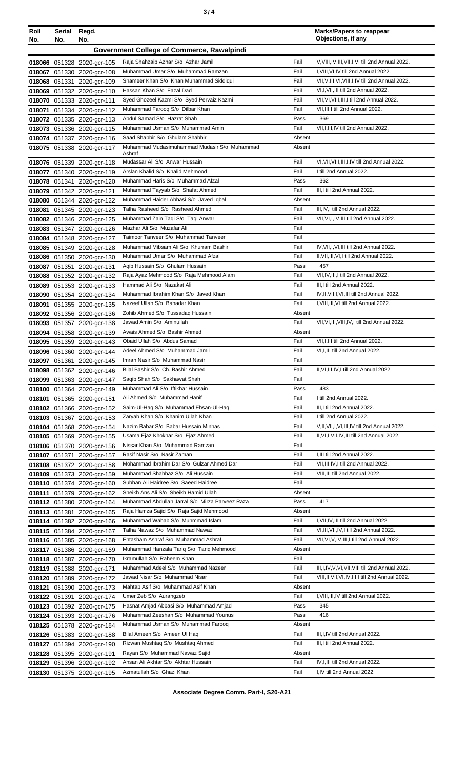| ×<br>٠<br>٦<br>۰.<br>× |  |  |
|------------------------|--|--|
|------------------------|--|--|

| Roll<br>No. | Serial<br>No. | Regd.<br>No.                                             |                                                                            |                | <b>Marks/Papers to reappear</b><br>Objections, if any                              |
|-------------|---------------|----------------------------------------------------------|----------------------------------------------------------------------------|----------------|------------------------------------------------------------------------------------|
|             |               |                                                          | <b>Government College of Commerce, Rawalpindi</b>                          |                |                                                                                    |
|             |               | 018066 051328 2020-gcr-105                               | Raja Shahzaib Azhar S/o Azhar Jamil                                        | Fail           | V, VIII, IV, III, VII, I, VI till 2nd Annual 2022.                                 |
|             |               | 018067 051330 2020-gcr-108                               | Muhammad Umar S/o Muhammad Ramzan                                          | Fail           | I, VIII, VI, IV till 2nd Annual 2022.                                              |
|             |               | 018068 051331 2020-gcr-109                               | Shameer Khan S/o Khan Muhammad Siddiqui                                    | Fail           | VII, V, III, VI, VIII, I, IV till 2nd Annual 2022.                                 |
|             |               | 018069 051332 2020-gcr-110                               | Hassan Khan S/o Fazal Dad                                                  | Fail           | VI, I, VII, III till 2nd Annual 2022.                                              |
|             |               | 018070 051333 2020-gcr-111                               | Syed Ghozeel Kazmi S/o Syed Pervaiz Kazmi                                  | Fail           | VII, VI, VIII, III, I till 2nd Annual 2022.                                        |
|             |               | 018071 051334 2020-gcr-112                               | Muhammad Farooq S/o Dilbar Khan<br>Abdul Samad S/o Hazrat Shah             | Fail<br>Pass   | VII, III, I till 2nd Annual 2022.<br>369                                           |
|             |               | 018072 051335 2020-gcr-113<br>018073 051336 2020-gcr-115 | Muhammad Usman S/o Muhammad Amin                                           | Fail           | VII, I, III, IV till 2nd Annual 2022.                                              |
|             |               | 018074 051337 2020-gcr-116                               | Saad Shabbir S/o Ghulam Shabbir                                            | Absent         |                                                                                    |
|             |               | 018075 051338 2020-gcr-117                               | Muhammad Mudasimuhammad Mudasir S/o Muhammad                               | Absent         |                                                                                    |
|             |               |                                                          | Ashraf<br>Mudassar Ali S/o Anwar Hussain                                   | Fail           | VI, VII, VIII, III, I, IV till 2nd Annual 2022.                                    |
|             |               | 018076 051339 2020-gcr-118<br>018077 051340 2020-gcr-119 | Arslan Khalid S/o Khalid Mehmood                                           | Fail           | I till 2nd Annual 2022.                                                            |
|             |               | 018078 051341 2020-gcr-120                               | Muhammad Haris S/o Muhammad Afzal                                          | Pass           | 362                                                                                |
|             |               | 018079 051342 2020-gcr-121                               | Muhammad Tayyab S/o Shafat Ahmed                                           | Fail           | III,I till 2nd Annual 2022.                                                        |
|             |               | 018080 051344 2020-gcr-122                               | Muhammad Haider Abbasi S/o Javed Iqbal                                     | Absent         |                                                                                    |
|             |               | 018081 051345 2020-gcr-123                               | Talha Rasheed S/o Rasheed Ahmed                                            | Fail           | III.IV.I till 2nd Annual 2022.                                                     |
|             |               | 018082 051346 2020-gcr-125                               | Muhammad Zain Taqi S/o Taqi Anwar                                          | Fail           | VII, VI, I, IV, III till 2nd Annual 2022.                                          |
|             |               | 018083 051347 2020-gcr-126                               | Mazhar Ali S/o Muzafar Ali                                                 | Fail           |                                                                                    |
|             |               | 018084 051348 2020-gcr-127                               | Taimoor Tanveer S/o Muhammad Tanveer                                       | Fail           |                                                                                    |
|             |               | 018085 051349 2020-gcr-128                               | Muhammad Mibsam Ali S/o Khurram Bashir<br>Muhammad Umar S/o Muhammad Afzal | Fail<br>Fail   | IV, VII, I, VI, III till 2nd Annual 2022.                                          |
|             |               | 018086 051350 2020-gcr-130<br>018087 051351 2020-gcr-131 | Aqib Hussain S/o Ghulam Hussain                                            | Pass           | II, VII, III, VI, I till 2nd Annual 2022.<br>457                                   |
|             |               | 018088 051352 2020-gcr-132                               | Raja Ayaz Mehmood S/o Raja Mehmood Alam                                    | Fail           | VII, IV, III, I till 2nd Annual 2022.                                              |
|             |               | 018089 051353 2020-gcr-133                               | Hammad Ali S/o Nazakat Ali                                                 | Fail           | III, I till 2nd Annual 2022.                                                       |
|             |               | 018090 051354 2020-gcr-134                               | Muhammad Ibrahim Khan S/o Javed Khan                                       | Fail           | IV, II, VII, I, VI, III till 2nd Annual 2022.                                      |
|             |               | 018091 051355 2020-gcr-135                               | Nazeef Ullah S/o Bahadar Khan                                              | Fail           | I, VIII, III, VI till 2nd Annual 2022.                                             |
|             |               | 018092 051356 2020-gcr-136                               | Zohib Ahmed S/o Tussadaq Hussain                                           | Absent         |                                                                                    |
|             |               | 018093 051357 2020-gcr-138                               | Jawad Amin S/o Aminullah                                                   | Fail           | VII, VI, III, VIII, IV, I till 2nd Annual 2022.                                    |
|             |               | 018094 051358 2020-gcr-139                               | Awais Ahmed S/o Bashir Ahmed                                               | Absent         |                                                                                    |
|             |               | 018095 051359 2020-gcr-143                               | Obaid Ullah S/o Abdus Samad                                                | Fail           | VII, I, III till 2nd Annual 2022.                                                  |
|             |               | 018096 051360 2020-gcr-144                               | Adeel Ahmed S/o Muhammad Jamil<br>Imran Nasir S/o Muhammad Nasir           | Fail<br>Fail   | VI, I, III till 2nd Annual 2022.                                                   |
|             |               | 018097 051361 2020-gcr-145<br>018098 051362 2020-gcr-146 | Bilal Bashir S/o Ch. Bashir Ahmed                                          | Fail           | II, VI, III, IV, I till 2nd Annual 2022.                                           |
|             |               | 018099 051363 2020-gcr-147                               | Saqib Shah S/o Sakhawat Shah                                               | Fail           |                                                                                    |
|             |               | 018100 051364 2020-gcr-149                               | Muhammad Ali S/o Iftikhar Hussain                                          | Pass           | 483                                                                                |
|             |               | 018101 051365 2020-gcr-151                               | Ali Ahmed S/o Muhammad Hanif                                               | Fail           | I till 2nd Annual 2022.                                                            |
|             |               | 018102 051366 2020-gcr-152                               | Saim-Ul-Haq S/o Muhammad Ehsan-Ul-Haq                                      | Fail           | III,I till 2nd Annual 2022.                                                        |
|             |               | 018103 051367 2020-gcr-153                               | Zaryab Khan S/o Khanim Ullah Khan                                          | Fail           | I till 2nd Annual 2022.                                                            |
|             |               | 018104 051368 2020-gcr-154                               | Nazim Babar S/o Babar Hussain Minhas                                       | Fail           | V, II, VII, I, VI, III, IV till 2nd Annual 2022.                                   |
|             |               | 018105 051369 2020-gcr-155                               | Usama Ejaz Khokhar S/o Ejaz Ahmed<br>Nissar Khan S/o Muhammad Ramzan       | Fail<br>Fail   | II, VI, I, VII, IV, III till 2nd Annual 2022.                                      |
|             |               | 018106 051370 2020-gcr-156<br>018107 051371 2020-gcr-157 | Rasif Nasir S/o Nasir Zaman                                                | Fail           | I, III till 2nd Annual 2022.                                                       |
|             |               | 018108 051372 2020-gcr-158                               | Mohammad Ibrahim Dar S/o Gulzar Ahmed Dar                                  | Fail           | VII, III, IV, I till 2nd Annual 2022.                                              |
|             |               | 018109 051373 2020-gcr-159                               | Muhammad Shahbaz S/o Ali Hussain                                           | Fail           | VIII, III till 2nd Annual 2022.                                                    |
|             |               | 018110 051374 2020-gcr-160                               | Subhan Ali Haidree S/o Saeed Haidree                                       | Fail           |                                                                                    |
|             |               | 018111 051379 2020-gcr-162                               | Sheikh Ans Ali S/o Sheikh Hamid Ullah                                      | Absent         |                                                                                    |
|             |               | 018112 051380 2020-gcr-164                               | Muhammad Abdullah Jarral S/o Mirza Parveez Raza                            | Pass           | 417                                                                                |
|             |               | 018113 051381 2020-gcr-165                               | Raja Hamza Sajid S/o Raja Sajid Mehmood                                    | Absent         |                                                                                    |
|             |               | 018114 051382 2020-gcr-166                               | Muhammad Wahab S/o Muhmmad Islam<br>Talha Nawaz S/o Muhammad Nawaz         | Fail<br>Fail   | I, VII, IV, III till 2nd Annual 2022.<br>VI, III, VII, IV, I till 2nd Annual 2022. |
|             |               | 018115 051384 2020-gcr-167<br>018116 051385 2020-gcr-168 | Ehtasham Ashraf S/o Muhammad Ashraf                                        | Fail           | VII, VI, V, IV, III, I till 2nd Annual 2022.                                       |
|             |               | 018117 051386 2020-gcr-169                               | Muhammad Hanzala Tariq S/o Tariq Mehmood                                   | Absent         |                                                                                    |
|             |               | 018118 051387 2020-gcr-170                               | Ikramullah S/o Raheem Khan                                                 | Fail           |                                                                                    |
|             |               | 018119 051388 2020-gcr-171                               | Muhammad Adeel S/o Muhammad Nazeer                                         | Fail           | III, I, IV, V, VI, VII, VIII till 2nd Annual 2022.                                 |
|             |               | 018120 051389 2020-gcr-172                               | Jawad Nisar S/o Muhammad Nisar                                             | Fail           | VIII, II, VII, VI, IV, III, I till 2nd Annual 2022.                                |
|             |               | 018121 051390 2020-gcr-173                               | Mahtab Asif S/o Muhammad Asif Khan                                         | Absent         |                                                                                    |
|             |               | 018122 051391 2020-gcr-174                               | Umer Zeb S/o Aurangzeb                                                     | Fail           | I, VIII, III, IV till 2nd Annual 2022.                                             |
|             |               | 018123 051392 2020-gcr-175                               | Hasnat Amjad Abbasi S/o Muhammad Amjad                                     | Pass           | 345                                                                                |
|             |               | 018124 051393 2020-gcr-176                               | Muhammad Zeeshan S/o Muhammad Younus                                       | Pass           | 416                                                                                |
|             |               | 018125 051378 2020-gcr-184                               | Muhammad Usman S/o Muhammad Farooq<br>Bilal Ameen S/o Ameen Ul Haq         | Absent<br>Fail | III, I, IV till 2nd Annual 2022.                                                   |
|             |               | 018126 051383 2020-gcr-188<br>018127 051394 2020-gcr-190 | Rizwan Mushtaq S/o Mushtaq Ahmed                                           | Fail           | III,I till 2nd Annual 2022.                                                        |
|             |               | 018128 051395 2020-gcr-191                               | Rayan S/o Muhammad Nawaz Sajid                                             | Absent         |                                                                                    |
|             |               | 018129 051396 2020-gcr-192                               | Ahsan Ali Akhtar S/o Akhtar Hussain                                        | Fail           | IV, I, III till 2nd Annual 2022.                                                   |
|             |               | 018130 051375 2020-gcr-195                               | Azmatullah S/o Ghazi Khan                                                  | Fail           | I,IV till 2nd Annual 2022.                                                         |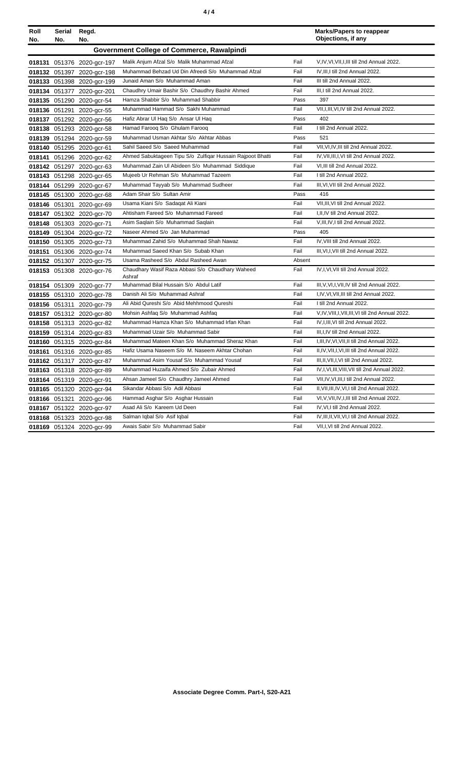| Roll<br>No. | Serial<br>No. | Regd.<br>No.               |                                                            |        | <b>Marks/Papers to reappear</b><br>Objections, if any |
|-------------|---------------|----------------------------|------------------------------------------------------------|--------|-------------------------------------------------------|
|             |               |                            | Government College of Commerce, Rawalpindi                 |        |                                                       |
|             |               | 018131 051376 2020-gcr-197 | Malik Anjum Afzal S/o Malik Muhammad Afzal                 | Fail   | V, IV, VI, VII, I, III till 2nd Annual 2022.          |
|             |               | 018132 051397 2020-gcr-198 | Muhammad Behzad Ud Din Afreedi S/o Muhammad Afzal          | Fail   | IV, III, I till 2nd Annual 2022.                      |
|             |               | 018133 051398 2020-gcr-199 | Junaid Aman S/o Muhammad Aman                              | Fail   | III till 2nd Annual 2022.                             |
|             |               | 018134 051377 2020-gcr-201 | Chaudhry Umair Bashir S/o Chaudhry Bashir Ahmed            | Fail   | III,I till 2nd Annual 2022.                           |
|             |               | 018135 051290 2020-gcr-54  | Hamza Shabbir S/o Muhammad Shabbir                         | Pass   | 397                                                   |
|             |               | 018136 051291 2020-gcr-55  | Muhammad Hammad S/o Sakhi Muhammad                         | Fail   | VII, I, III, VI, IV till 2nd Annual 2022.             |
|             |               | 018137 051292 2020-gcr-56  | Hafiz Abrar UI Haq S/o Ansar UI Haq                        | Pass   | 402                                                   |
|             |               | 018138 051293 2020-gcr-58  | Hamad Farooq S/o Ghulam Farooq                             | Fail   | I till 2nd Annual 2022.                               |
|             |               | 018139 051294 2020-gcr-59  | Muhammad Usman Akhtar S/o Akhtar Abbas                     | Pass   | 521                                                   |
|             |               | 018140 051295 2020-gcr-61  | Sahil Saeed S/o Saeed Muhammad                             | Fail   | VII, VI, IV, III till 2nd Annual 2022.                |
|             |               | 018141 051296 2020-gcr-62  | Ahmed Sabuktageen Tipu S/o Zulfiqar Hussain Rajpoot Bhatti | Fail   | IV, VII, III, I, VI till 2nd Annual 2022.             |
|             |               | 018142 051297 2020-gcr-63  | Muhammad Zain UI Abideen S/o Muhammad Siddique             | Fail   | VI, III till 2nd Annual 2022.                         |
|             |               | 018143 051298 2020-gcr-65  | Mujeeb Ur Rehman S/o Muhammad Tazeem                       | Fail   | I till 2nd Annual 2022.                               |
|             |               | 018144 051299 2020-gcr-67  | Muhammad Tayyab S/o Muhammad Sudheer                       | Fail   | III, VI, VII till 2nd Annual 2022.                    |
|             |               | 018145 051300 2020-gcr-68  | Adam Shair S/o Sultan Amir                                 | Pass   | 416                                                   |
|             |               | 018146 051301 2020-gcr-69  | Usama Kiani S/o Sadagat Ali Kiani                          | Fail   | VII, III, VI till 2nd Annual 2022.                    |
|             |               | 018147 051302 2020-gcr-70  | Ahtisham Fareed S/o Muhammad Fareed                        | Fail   | I, II, IV till 2nd Annual 2022.                       |
|             |               | 018148 051303 2020-gcr-71  | Asim Saqlain S/o Muhammad Saqlain                          | Fail   | V, III, IV, I till 2nd Annual 2022.                   |
|             |               | 018149 051304 2020-gcr-72  | Naseer Ahmed S/o Jan Muhammad                              | Pass   | 405                                                   |
|             |               | 018150 051305 2020-gcr-73  | Muhammad Zahid S/o Muhammad Shah Nawaz                     | Fail   | IV, VIII till 2nd Annual 2022.                        |
|             |               | 018151 051306 2020-gcr-74  | Muhammad Saeed Khan S/o Subab Khan                         | Fail   | III, VI, I, VII till 2nd Annual 2022.                 |
|             |               | 018152 051307 2020-gcr-75  | Usama Rasheed S/o Abdul Rasheed Awan                       | Absent |                                                       |
|             |               | 018153 051308 2020-gcr-76  | Chaudhary Wasif Raza Abbasi S/o Chaudhary Waheed<br>Ashraf | Fail   | IV, I, VI, VII till 2nd Annual 2022.                  |
|             |               | 018154 051309 2020-gcr-77  | Muhammad Bilal Hussain S/o Abdul Latif                     | Fail   | III, V, VI, I, VII, IV till 2nd Annual 2022.          |
|             |               | 018155 051310 2020-gcr-78  | Danish Ali S/o Muhammad Ashraf                             | Fail   | I, IV, VI, VII, III till 2nd Annual 2022.             |
|             |               | 018156 051311 2020-gcr-79  | Ali Abid Qureshi S/o Abid Mehhmood Qureshi                 | Fail   | I till 2nd Annual 2022.                               |
|             |               | 018157 051312 2020-gcr-80  | Mohsin Ashfaq S/o Muhammad Ashfaq                          | Fail   | V, IV, VIII, I, VII, III, VI till 2nd Annual 2022.    |
|             |               | 018158 051313 2020-gcr-82  | Muhammad Hamza Khan S/o Muhammad Irfan Khan                | Fail   | IV, I, III, VI till 2nd Annual 2022.                  |
|             |               | 018159 051314 2020-gcr-83  | Muhammad Uzair S/o Muhammad Sabir                          | Fail   | III, I, IV till 2nd Annual 2022.                      |
|             |               | 018160 051315 2020-gcr-84  | Muhammad Mateen Khan S/o Muhammad Sheraz Khan              | Fail   | I, III, IV, VI, VII, II till 2nd Annual 2022.         |
|             |               | 018161 051316 2020-gcr-85  | Hafiz Usama Naseem S/o M. Naseem Akhtar Chohan             | Fail   | II, IV, VII, I, VI, III till 2nd Annual 2022.         |
|             |               | 018162 051317 2020-gcr-87  | Muhammad Asim Yousaf S/o Muhammad Yousaf                   | Fail   | III, II, VII, I, VI till 2nd Annual 2022.             |
|             |               | 018163 051318 2020-gcr-89  | Muhammad Huzaifa Ahmed S/o Zubair Ahmed                    | Fail   | IV,I,VI,III,VIII,VII till 2nd Annual 2022.            |
|             |               | 018164 051319 2020-gcr-91  | Ahsan Jameel S/o Chaudhry Jameel Ahmed                     | Fail   | VII, IV, VI, III, I till 2nd Annual 2022.             |
|             |               | 018165 051320 2020-gcr-94  | Sikandar Abbasi S/o Adil Abbasi                            | Fail   | II, VII, III, IV, VI, I till 2nd Annual 2022.         |
|             |               | 018166 051321 2020-gcr-96  | Hammad Asghar S/o Asghar Hussain                           | Fail   | VI, V, VII, IV, I, III till 2nd Annual 2022.          |
|             |               | 018167 051322 2020-gcr-97  | Asad Ali S/o Kareem Ud Deen                                | Fail   | IV, VI, I till 2nd Annual 2022.                       |
|             |               | 018168 051323 2020-gcr-98  | Salman Iqbal S/o Asif Iqbal                                | Fail   | IV, III, II, VII, VI, I till 2nd Annual 2022.         |
|             |               | 018169 051324 2020-gcr-99  | Awais Sabir S/o Muhammad Sabir                             | Fail   | VII, I, VI till 2nd Annual 2022.                      |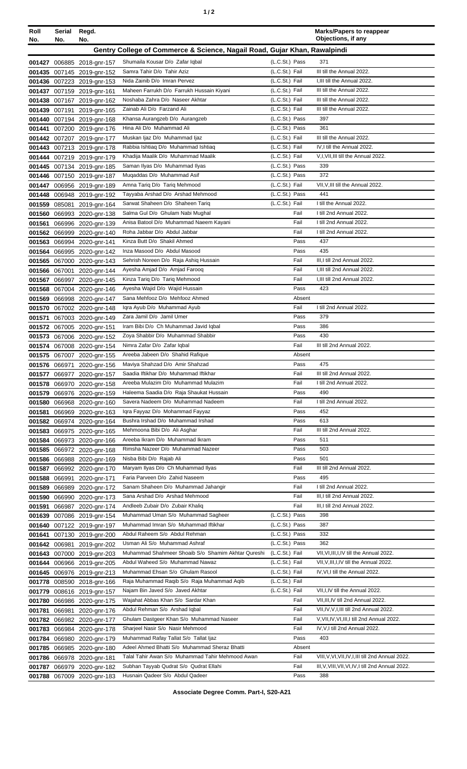|--|

| Roll<br>No.                                                               | Serial<br>No. | Regd.<br>No.                                             |                                                                              |                                  | <b>Marks/Papers to reappear</b><br>Objections, if any                          |
|---------------------------------------------------------------------------|---------------|----------------------------------------------------------|------------------------------------------------------------------------------|----------------------------------|--------------------------------------------------------------------------------|
| Gentry College of Commerce & Science, Nagail Road, Gujar Khan, Rawalpindi |               |                                                          |                                                                              |                                  |                                                                                |
|                                                                           |               |                                                          | Shumaila Kousar D/o Zafar Iqbal                                              | (L.C.St.) Pass                   | 371                                                                            |
| 001435                                                                    |               | 001427 006885 2018-gnr-157<br>007145 2019-gnr-152        | Samra Tahir D/o Tahir Aziz                                                   | (L.C.St.) Fail                   | III till the Annual 2022.                                                      |
|                                                                           |               | 001436 007223 2019-gnr-153                               | Nida Zainib D/o Imran Pervez                                                 | (L.C.St.) Fail                   | I, III till the Annual 2022.                                                   |
|                                                                           |               | 001437 007159 2019-gnr-161                               | Maheen Farrukh D/o Farrukh Hussain Kiyani                                    | (L.C.St.) Fail                   | III till the Annual 2022.                                                      |
|                                                                           |               | 001438 007167 2019-gnr-162                               | Noshaba Zahra D/o Naseer Akhtar                                              | (L.C.St.) Fail                   | III till the Annual 2022.                                                      |
| 001439                                                                    |               | 007191 2019-gnr-165                                      | Zainab Ali D/o Farzand Ali                                                   | (L.C.St.) Fail                   | III till the Annual 2022.                                                      |
| 001440                                                                    |               | 007194 2019-gnr-168                                      | Khansa Aurangzeb D/o Aurangzeb                                               | (L.C.St.) Pass                   | 397                                                                            |
| 001441                                                                    |               | 007200 2019-gnr-176                                      | Hina Ali D/o Muhammad Ali                                                    | (L.C.St.) Pass                   | 361                                                                            |
|                                                                           |               | 001442 007207 2019-gnr-177                               | Muskan Ijaz D/o Muhammad Ijaz                                                | (L.C.St.) Fail                   | III till the Annual 2022.                                                      |
| 001443<br>001444                                                          |               | 007213 2019-gnr-178                                      | Rabbia Ishtiaq D/o Muhammad Ishtiaq<br>Khadija Maalik D/o Muhammad Maalik    | (L.C.St.) Fail<br>(L.C.St.) Fail | IV, I till the Annual 2022.<br>V,I, VII, III till the Annual 2022.             |
|                                                                           |               | 007219 2019-gnr-179<br>001445 007134 2019-gnr-185        | Saman Ilyas D/o Muhammad Ilyas                                               | (L.C.St.) Pass                   | 339                                                                            |
|                                                                           |               | 001446 007150 2019-gnr-187                               | Mugaddas D/o Muhammad Asif                                                   | (L.C.St.) Pass                   | 372                                                                            |
|                                                                           |               | 001447 006956 2019-gnr-189                               | Amna Tariq D/o Tariq Mehmood                                                 | (L.C.St.) Fail                   | VII, V, III till the Annual 2022.                                              |
|                                                                           |               | 001448 006948 2019-gnr-192                               | Tayyaba Arshad D/o Arshad Mehmood                                            | (L.C.St.) Pass                   | 441                                                                            |
| 001559                                                                    | 085081        | 2019-gnr-164                                             | Sarwat Shaheen D/o Shaheen Tariq                                             | (L.C.St.) Fail                   | I till the Annual 2022.                                                        |
| 001560                                                                    |               | 066993 2020-gnr-138                                      | Salma Gul D/o Ghulam Nabi Mughal                                             | Fail                             | I till 2nd Annual 2022.                                                        |
| 001561                                                                    |               | 066996 2020-gnr-139                                      | Anisa Batool D/o Muhammad Naeem Kayani                                       | Fail                             | I till 2nd Annual 2022.                                                        |
|                                                                           |               | 001562 066999 2020-gnr-140                               | Roha Jabbar D/o Abdul Jabbar                                                 | Fail                             | I till 2nd Annual 2022.                                                        |
| 001563                                                                    |               | 066994 2020-gnr-141                                      | Kinza Butt D/o Shakil Ahmed<br>Inza Masood D/o Abdul Masood                  | Pass<br>Pass                     | 437<br>435                                                                     |
|                                                                           |               | 001564 066995 2020-gnr-142<br>001565 067000 2020-gnr-143 | Sehrish Noreen D/o Raja Ashiq Hussain                                        | Fail                             | III, I till 2nd Annual 2022.                                                   |
|                                                                           | 001566 067001 | 2020-gnr-144                                             | Ayesha Amjad D/o Amjad Farooq                                                | Fail                             | I, III till 2nd Annual 2022.                                                   |
| 001567                                                                    |               | 066997 2020-gnr-145                                      | Kinza Tariq D/o Tariq Mehmood                                                | Fail                             | I, III till 2nd Annual 2022.                                                   |
| 001568                                                                    |               | 067004 2020-gnr-146                                      | Ayesha Wajid D/o Wajid Hussain                                               | Pass                             | 423                                                                            |
| 001569                                                                    |               | 066998 2020-gnr-147                                      | Sana Mehfooz D/o Mehfooz Ahmed                                               | Absent                           |                                                                                |
| 001570                                                                    |               | 067002 2020-gnr-148                                      | Iqra Ayub D/o Muhammad Ayub                                                  | Fail                             | I till 2nd Annual 2022.                                                        |
| 001571                                                                    |               | 067003 2020-gnr-149                                      | Zara Jamil D/o Jamil Umer                                                    | Pass                             | 379                                                                            |
|                                                                           |               | 001572 067005 2020-gnr-151                               | Iram Bibi D/o Ch Muhammad Javid Iqbal                                        | Pass                             | 386                                                                            |
|                                                                           |               | 001573 067006 2020-gnr-152                               | Zoya Shabbir D/o Muhammad Shabbir<br>Nimra Zafar D/o Zafar Iqbal             | Pass<br>Fail                     | 430<br>III till 2nd Annual 2022.                                               |
|                                                                           |               | 001574 067008 2020-gnr-154<br>001575 067007 2020-gnr-155 | Areeba Jabeen D/o Shahid Rafique                                             | Absent                           |                                                                                |
|                                                                           | 001576 066971 | 2020-gnr-156                                             | Maviya Shahzad D/o Amir Shahzad                                              | Pass                             | 475                                                                            |
|                                                                           |               | 001577 066977 2020-gnr-157                               | Saadia Iftikhar D/o Muhammad Iftikhar                                        | Fail                             | III till 2nd Annual 2022.                                                      |
|                                                                           |               | 001578 066970 2020-gnr-158                               | Areeba Mulazim D/o Muhammad Mulazim                                          | Fail                             | I till 2nd Annual 2022.                                                        |
|                                                                           |               | 001579 066976 2020-gnr-159                               | Haleema Saadia D/o Raja Shaukat Hussain                                      | Pass                             | 490                                                                            |
|                                                                           |               | 001580 066968 2020-gnr-160                               | Savera Nadeem D/o Muhammad Nadeem                                            | Fail                             | I till 2nd Annual 2022.                                                        |
| 001581                                                                    |               | 066969 2020-gnr-163                                      | Iqra Fayyaz D/o Mohammad Fayyaz                                              | Pass                             | 452                                                                            |
|                                                                           |               | 001582 066974 2020-gnr-164                               | Bushra Irshad D/o Muhammad Irshad                                            | Pass<br>Fail                     | 613                                                                            |
| 001583                                                                    |               | 066975 2020-gnr-165                                      | Mehmoona Bibi D/o Ali Asghar<br>Areeba Ikram D/o Muhammad Ikram              | Pass                             | III till 2nd Annual 2022.<br>511                                               |
| 001584                                                                    |               | 066973 2020-gnr-166<br>001585 066972 2020-gnr-168        | Rimsha Nazeer D/o Muhammad Nazeer                                            | Pass                             | 503                                                                            |
|                                                                           | 001586 066988 | 2020-gnr-169                                             | Nisba Bibi D/o Rajab Ali                                                     | Pass                             | 501                                                                            |
|                                                                           |               | 001587 066992 2020-gnr-170                               | Maryam Ilyas D/o Ch Muhammad Ilyas                                           | Fail                             | III till 2nd Annual 2022.                                                      |
|                                                                           | 001588 066991 | 2020-gnr-171                                             | Faria Parveen D/o Zahid Naseem                                               | Pass                             | 495                                                                            |
| 001589                                                                    |               | 066989 2020-gnr-172                                      | Sanam Shaheen D/o Muhammad Jahangir                                          | Fail                             | I till 2nd Annual 2022.                                                        |
|                                                                           | 001590 066990 | 2020-gnr-173                                             | Sana Arshad D/o Arshad Mehmood                                               | Fail                             | III,I till 2nd Annual 2022.                                                    |
| 001591                                                                    | 066987        | 2020-gnr-174                                             | Andleeb Zubair D/o Zubair Khaliq                                             | Fail                             | III, I till 2nd Annual 2022.                                                   |
| 001639                                                                    |               | 007086 2019-gnr-154                                      | Muhammad Uman S/o Muhammad Sagheer<br>Muhammad Imran S/o Muhammad Iftikhar   | (L.C.St.) Pass<br>(L.C.St.) Pass | 398<br>387                                                                     |
| 001640<br>001641                                                          |               | 007122 2019-gnr-197<br>007130 2019-gnr-200               | Abdul Raheem S/o Abdul Rehman                                                | (L.C.St.) Pass                   | 332                                                                            |
|                                                                           | 001642 006981 | 2019-gnr-202                                             | Usman Ali S/o Muhammad Ashraf                                                | (L.C.St.) Pass                   | 362                                                                            |
|                                                                           |               | 001643 007000 2019-gnr-203                               | Muhammad Shahmeer Shoaib S/o Shamim Akhtar Qureshi                           | (L.C.St.) Fail                   | VII, VI, III, I, IV till the Annual 2022.                                      |
|                                                                           |               | 001644 006966 2019-gnr-205                               | Abdul Waheed S/o Muhammad Nawaz                                              | (L.C.St.) Fail                   | VII, V, III, I, IV till the Annual 2022.                                       |
|                                                                           |               | 001645 006976 2019-gnr-213                               | Muhammad Ehsan S/o Ghulam Rasool                                             | (L.C.St.) Fail                   | IV, VI, I till the Annual 2022.                                                |
| 001778                                                                    |               | 008590 2018-gnr-166                                      | Raja Muhammad Raqib S/o Raja Muhammad Aqib                                   | (L.C.St.) Fail                   |                                                                                |
| 001779                                                                    |               | 008616 2019-gnr-157                                      | Najam Bin Javed S/o Javed Akhtar                                             | (L.C.St.) Fail                   | VII, I, IV till the Annual 2022.                                               |
| 001780                                                                    | 066986        | 2020-gnr-175                                             | Wajahat Abbas Khan S/o Sardar Khan                                           | Fail                             | VII, III, IV till 2nd Annual 2022.                                             |
| 001781                                                                    | 066981        | 2020-gnr-176                                             | Abdul Rehman S/o Arshad Iqbal                                                | Fail                             | VII, IV, V, I, III till 2nd Annual 2022.                                       |
|                                                                           | 001782 066982 | 2020-gnr-177                                             | Ghulam Dastgeer Khan S/o Muhammad Naseer<br>Sharjeel Nasir S/o Nasir Mehmood | Fail<br>Fail                     | V, VII, IV, VI, III, I till 2nd Annual 2022.<br>IV, V, I till 2nd Annual 2022. |
| 001784                                                                    | 066980        | 001783 066984 2020-gnr-178<br>2020-gnr-179               | Muhammad Rafay Tallat S/o Tallat Ijaz                                        | Pass                             | 403                                                                            |
| 001785 066985                                                             |               | 2020-gnr-180                                             | Adeel Ahmed Bhatti S/o Muhammad Sheraz Bhatti                                | Absent                           |                                                                                |
|                                                                           |               | 001786 066978 2020-gnr-181                               | Talal Tahir Awan S/o Muhammad Tahir Mehmood Awan                             | Fail                             | VIII, V, VI, VII, IV, I, III till 2nd Annual 2022.                             |
| 001787 066979                                                             |               | 2020-gnr-182                                             | Subhan Tayyab Qudrat S/o Qudrat Ellahi                                       | Fail                             | III, V, VIII, VII, VI, IV, I till 2nd Annual 2022.                             |
|                                                                           |               | 001788 067009 2020-gnr-183                               | Husnain Qadeer S/o Abdul Qadeer                                              | Pass                             | 388                                                                            |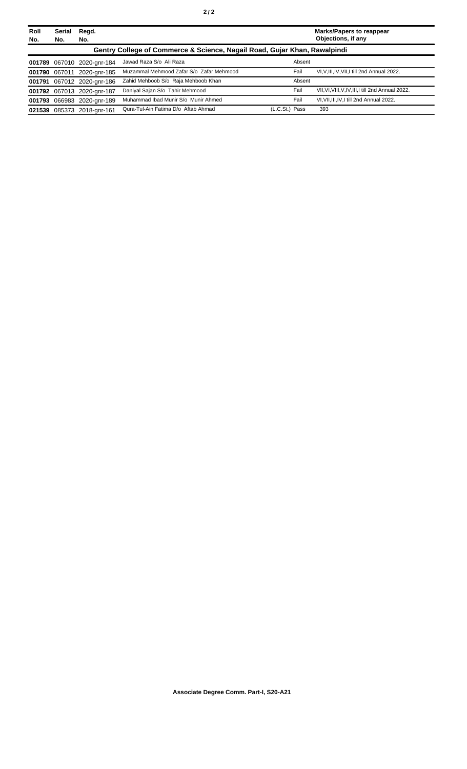| Roll<br>No. | Serial<br>No. | Regd.<br>No.               |                                                                           |                | <b>Marks/Papers to reappear</b><br>Objections, if any |
|-------------|---------------|----------------------------|---------------------------------------------------------------------------|----------------|-------------------------------------------------------|
|             |               |                            | Gentry College of Commerce & Science, Nagail Road, Gujar Khan, Rawalpindi |                |                                                       |
|             |               | 001789 067010 2020-gnr-184 | Jawad Raza S/o Ali Raza                                                   | Absent         |                                                       |
|             |               | 001790 067011 2020-gnr-185 | Muzammal Mehmood Zafar S/o Zafar Mehmood                                  | Fail           | VI, V, III, IV, VII, I till 2nd Annual 2022.          |
|             |               | 001791 067012 2020-gnr-186 | Zahid Mehboob S/o Raja Mehboob Khan                                       | Absent         |                                                       |
|             |               | 001792 067013 2020-gnr-187 | Daniyal Sajan S/o Tahir Mehmood                                           | Fail           | VII, VI, VIII, V, IV, III, I till 2nd Annual 2022.    |
|             |               | 001793 066983 2020-gnr-189 | Muhammad Ibad Munir S/o Munir Ahmed                                       | Fail           | VI, VII, III, IV, I till 2nd Annual 2022.             |
| 021539      |               | 085373 2018-gnr-161        | Qura-Tul-Ain Fatima D/o Aftab Ahmad                                       | (L.C.St.) Pass | 393                                                   |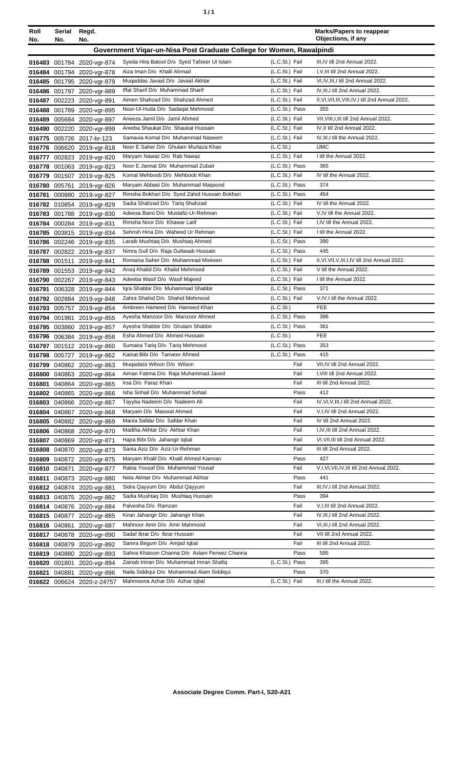| ٠ | ٠ |
|---|---|
|   |   |

| Government Vigar-un-Nisa Post Graduate College for Women, Rawalpindi<br>Syeda Hira Batool D/o Syed Tafseer UI Islam<br>(L.C.St.) Fail<br>III, IV till 2nd Annual 2022.<br>016483 001784 2020-vgr-874<br>I, V, III till 2nd Annual 2022.<br>Aiza Iman D/o Khalil Ahmad<br>(L.C.St.) Fail<br>016484 001794 2020-ygr-878<br>Mugaddas Javaid D/o Javaid Akhtar<br>(L.C.St.) Fail<br>VI, IV, III, I till 2nd Annual 2022.<br>016485 001795 2020-vgr-879<br>IV, III, I till 2nd Annual 2022.<br>Iffat Sharif D/o Muhammad Sharif<br>(L.C.St.) Fail<br>016486 001797 2020-vgr-889<br>Aimen Shahzad D/o Shahzad Ahmed<br>(L.C.St.) Fail<br>II, VI, VII, III, VIII, IV, I till 2nd Annual 2022.<br>016487 002223 2020-vgr-891<br>Noor-Ul-Huda D/o Sadaqat Mehmood<br>(L.C.St.) Pass<br>355<br>016488 001789 2020-vgr-895<br>Aneeza Jamil D/o Jamil Ahmed<br>(L.C.St.) Fail<br>VII, VIII, I, III till 2nd Annual 2022.<br>016489 005684 2020-vgr-897<br>IV, II till 2nd Annual 2022.<br>Areeba Shaukat D/o Shaukat Hussain<br>(L.C.St.) Fail<br>016490 002220 2020-vgr-899<br>Samavia Komal D/o Muhammad Naseem<br>(L.C.St.) Fail<br>IV, III, I till the Annual 2022.<br>016775 005726 2017-br-123<br>Noor E Saher D/o Ghulam Murtaza Khan<br>(L.C.S <sub>t</sub> )<br><b>UMC</b><br>016776 006620 2019-vgr-818<br>(L.C.St.) Fail<br>Maryam Nawaz D/o Rab Nawaz<br>I till the Annual 2022.<br>016777 002823 2019-vgr-820<br>Noor E Jannat D/o Muhammad Zubair<br>(L.C.St.) Pass<br>365<br>016778 001063 2019-vgr-823<br>IV till the Annual 2022.<br>Komal Mehboob D/o Mehboob Khan<br>(L.C.St.) Fail<br>016779 001507 2019-vgr-825<br>Maryam Abbasi D/o Muhammad Maqsood<br>(L.C.St.) Pass<br>374<br>016780<br>005761 2019-vgr-826<br>454<br>Rimsha Bokhari D/o Syed Zahid Hussain Bokhari<br>(L.C.St.) Pass<br>016781<br>000880 2019-vgr-827<br>IV till the Annual 2022.<br>Sadia Shahzad D/o Tariq Shahzad<br>(L.C.St.) Fail<br>016782 010854 2019-vgr-829<br>Adeesa Bano D/o Mustafiz-Ur-Rehman<br>(L.C.St.) Fail<br>V, IV till the Annual 2022.<br>016783 001788 2019-vgr-830<br>I,IV till the Annual 2022.<br>Rimsha Noor D/o Khawar Latif<br>(L.C.St.) Fail<br>016784 000284 2019-vgr-831<br>Sehrish Hina D/o Waheed Ur Rehman<br>(L.C.St.) Fail<br>I till the Annual 2022.<br>016785 003815 2019-vgr-834<br>390<br>Laraib Mushtaq D/o Mushtaq Ahmed<br>(L.C.St.) Pass<br>016786 002246 2019-vgr-835<br>445<br>Nimra Gull D/o Raja Gultasab Hussain<br>(L.C.St.) Pass<br>016787 002822 2019-vgr-837<br>II, VI, VII, V, III, I, IV till 2nd Annual 2022.<br>Romaisa Saher D/o Muhammad Miskeen<br>(L.C.St.) Fail<br>016788 001511 2019-vgr-841<br>Arooj Khalid D/o Khalid Mehmood<br>(L.C.St.) Fail<br>V till the Annual 2022.<br>016789 001553 2019-vgr-842<br>(L.C.St.) Fail<br>Adeeba Wasif D/o Wasif Majeed<br>I till the Annual 2022.<br>016790 002267 2019-vgr-843<br>(L.C.St.) Pass<br>371<br>Igra Shabbir D/o Muhammad Shabbir<br>016791 006328 2019-vgr-844<br>(L.C.St.) Fail<br>Zahra Shahid D/o Shahid Mehmood<br>V, IV, I till the Annual 2022.<br>016792 002884 2019-vgr-848<br>Ambreen Hameed D/o Hameed Khan<br>(L.C.St.)<br><b>FEE</b><br>016793 005757 2019-vgr-854<br>Ayesha Manzoor D/o Manzoor Ahmed<br>(L.C.St.) Pass<br>396<br>016794 001981 2019-vgr-855<br>(L.C.St.) Pass<br>Ayesha Shabbir D/o Ghulam Shabbir<br>361<br>016795 003860 2019-vgr-857<br><b>FEE</b><br>Esha Ahmed D/o Ahmed Hussain<br>(L.C.St.)<br>016796 006384 2019-vgr-858<br>(L.C.St.) Pass<br>353<br>Sumaira Tariq D/o Tariq Mehmood<br>016797 001512 2019-vgr-860<br>(L.C.St.) Pass<br>Kainat Bibi D/o Tanveer Ahmed<br>415<br>016798 005727 2019-vgr-862<br>Mugadass Wilson D/o Wilson<br>Fail<br>VII, IV till 2nd Annual 2022.<br>016799 040862 2020-vgr-863<br>Aiman Fatima D/o Raja Muhammad Javed<br>Fail<br>I, VIII till 2nd Annual 2022.<br>016800 040863 2020-vgr-864<br>Irsa D/o Faraz Khan<br>III till 2nd Annual 2022.<br>Fail<br>016801 040864 2020-vgr-865<br>412<br>Isha Sohail D/o Muhammad Sohail<br>Pass<br>016802 040865 2020-vgr-866<br>Tayyba Nadeem D/o Nadeem Ali<br>Fail<br>IV, VI, V, III, I till 2nd Annual 2022.<br>016803 040866 2020-vgr-867<br>Maryam D/o Masood Ahmed<br>Fail<br>V,I,IV till 2nd Annual 2022.<br>016804 040867 2020-vgr-868<br>Mania Safdar D/o Safdar Khan<br>IV till 2nd Annual 2022.<br>Fail<br>016805 040882 2020-vgr-869<br>Madiha Akhtar D/o Akhtar Khan<br>Fail<br>I,IV,III till 2nd Annual 2022.<br>016806 040868 2020-vgr-870<br>Hajra Bibi D/o Jahangir Igbal<br>Fail<br>VI, VII, III till 2nd Annual 2022.<br>016807 040869 2020-vgr-871<br>Sania Aziz D/o Aziz-Ur-Rehman<br>Fail<br>III till 2nd Annual 2022.<br>016808 040870 2020-vgr-873<br>Maryam Khalil D/o Khalil Ahmed Kamran<br>427<br>Pass<br>016809 040872 2020-vgr-875<br>Rabia Yousaf D/o Muhammad Yousaf<br>Fail<br>V,I, VI, VII, IV, III till 2nd Annual 2022.<br>016810 040871 2020-vgr-877<br>Nida Akhtar D/o Muhammad Akhtar<br>Pass<br>441<br>016811 040873 2020-vgr-880<br>Sidra Qayyum D/o Abdul Qayyum<br>Fail<br>III, IV, I till 2nd Annual 2022.<br>016812 040874 2020-vgr-881<br>Sadia Mushtaq D/o Mushtaq Hussain<br>394<br>Pass<br>016813 040875 2020-vgr-882<br>Palvesha D/o Ramzan<br>Fail<br>V, I, III till 2nd Annual 2022.<br>016814 040876 2020-vgr-884<br>Kiran Jahangir D/o Jahangir Khan<br>Fail<br>IV, III, I till 2nd Annual 2022.<br>016815 040877 2020-vgr-885<br>Mahnoor Amir D/o Amir Mahmood<br>Fail<br>VI, III, I till 2nd Annual 2022.<br>016816 040861 2020-vgr-887<br>Sadaf Ibrar D/o Ibrar Hussain<br>VII till 2nd Annual 2022.<br>Fail<br>016817 040878 2020-vgr-890<br>Samra Begum D/o Amjad Iqbal<br>Fail<br>III till 2nd Annual 2022.<br>016818 040879 2020-vgr-892<br>Sahira Khatoon Channa D/o Aslam Perwez Channa<br>Pass<br>595<br>016819 040880 2020-vgr-893<br>Zainab Imran D/o Muhammad Imran Shafiq<br>(L.C.St.) Pass<br>395<br>016820 001801<br>2020-vgr-894<br>Naila Siddiqui D/o Muhammad Alam Siddiqui<br>Pass<br>370<br>016821 040881<br>2020-vgr-896<br>(L.C.St.) Fail<br>Mahmoona Azhar D/o Azhar Iqbal<br>III, I till the Annual 2022.<br>016822 006624 2020-z-24757 | Roll<br>No. | Serial Regd.<br>No. | No. |  | <b>Marks/Papers to reappear</b><br>Objections, if any |
|-------------------------------------------------------------------------------------------------------------------------------------------------------------------------------------------------------------------------------------------------------------------------------------------------------------------------------------------------------------------------------------------------------------------------------------------------------------------------------------------------------------------------------------------------------------------------------------------------------------------------------------------------------------------------------------------------------------------------------------------------------------------------------------------------------------------------------------------------------------------------------------------------------------------------------------------------------------------------------------------------------------------------------------------------------------------------------------------------------------------------------------------------------------------------------------------------------------------------------------------------------------------------------------------------------------------------------------------------------------------------------------------------------------------------------------------------------------------------------------------------------------------------------------------------------------------------------------------------------------------------------------------------------------------------------------------------------------------------------------------------------------------------------------------------------------------------------------------------------------------------------------------------------------------------------------------------------------------------------------------------------------------------------------------------------------------------------------------------------------------------------------------------------------------------------------------------------------------------------------------------------------------------------------------------------------------------------------------------------------------------------------------------------------------------------------------------------------------------------------------------------------------------------------------------------------------------------------------------------------------------------------------------------------------------------------------------------------------------------------------------------------------------------------------------------------------------------------------------------------------------------------------------------------------------------------------------------------------------------------------------------------------------------------------------------------------------------------------------------------------------------------------------------------------------------------------------------------------------------------------------------------------------------------------------------------------------------------------------------------------------------------------------------------------------------------------------------------------------------------------------------------------------------------------------------------------------------------------------------------------------------------------------------------------------------------------------------------------------------------------------------------------------------------------------------------------------------------------------------------------------------------------------------------------------------------------------------------------------------------------------------------------------------------------------------------------------------------------------------------------------------------------------------------------------------------------------------------------------------------------------------------------------------------------------------------------------------------------------------------------------------------------------------------------------------------------------------------------------------------------------------------------------------------------------------------------------------------------------------------------------------------------------------------------------------------------------------------------------------------------------------------------------------------------------------------------------------------------------------------------------------------------------------------------------------------------------------------------------------------------------------------------------------------------------------------------------------------------------------------------------------------------------------------------------------------------------------------------------------------------------------------------------------------------------------------------------------------------------------------------------------------------------------------------------------------------------------------------------------------------------------------------------------------------------------------------------------------------------------------------------------------------------------------------------------------------------------------------------------------------------------------------------------------------------------------------------------------------------------------------------------------------------------------------------------------------------------------------------------------------------------------------------------------------------------------------------------------------------------------------------------------------|-------------|---------------------|-----|--|-------------------------------------------------------|
|                                                                                                                                                                                                                                                                                                                                                                                                                                                                                                                                                                                                                                                                                                                                                                                                                                                                                                                                                                                                                                                                                                                                                                                                                                                                                                                                                                                                                                                                                                                                                                                                                                                                                                                                                                                                                                                                                                                                                                                                                                                                                                                                                                                                                                                                                                                                                                                                                                                                                                                                                                                                                                                                                                                                                                                                                                                                                                                                                                                                                                                                                                                                                                                                                                                                                                                                                                                                                                                                                                                                                                                                                                                                                                                                                                                                                                                                                                                                                                                                                                                                                                                                                                                                                                                                                                                                                                                                                                                                                                                                                                                                                                                                                                                                                                                                                                                                                                                                                                                                                                                                                                                                                                                                                                                                                                                                                                                                                                                                                                                                                                                                                                                                                                                                                                                                                                                                                                                                                                                                                                                                                                                                           |             |                     |     |  |                                                       |
|                                                                                                                                                                                                                                                                                                                                                                                                                                                                                                                                                                                                                                                                                                                                                                                                                                                                                                                                                                                                                                                                                                                                                                                                                                                                                                                                                                                                                                                                                                                                                                                                                                                                                                                                                                                                                                                                                                                                                                                                                                                                                                                                                                                                                                                                                                                                                                                                                                                                                                                                                                                                                                                                                                                                                                                                                                                                                                                                                                                                                                                                                                                                                                                                                                                                                                                                                                                                                                                                                                                                                                                                                                                                                                                                                                                                                                                                                                                                                                                                                                                                                                                                                                                                                                                                                                                                                                                                                                                                                                                                                                                                                                                                                                                                                                                                                                                                                                                                                                                                                                                                                                                                                                                                                                                                                                                                                                                                                                                                                                                                                                                                                                                                                                                                                                                                                                                                                                                                                                                                                                                                                                                                           |             |                     |     |  |                                                       |
|                                                                                                                                                                                                                                                                                                                                                                                                                                                                                                                                                                                                                                                                                                                                                                                                                                                                                                                                                                                                                                                                                                                                                                                                                                                                                                                                                                                                                                                                                                                                                                                                                                                                                                                                                                                                                                                                                                                                                                                                                                                                                                                                                                                                                                                                                                                                                                                                                                                                                                                                                                                                                                                                                                                                                                                                                                                                                                                                                                                                                                                                                                                                                                                                                                                                                                                                                                                                                                                                                                                                                                                                                                                                                                                                                                                                                                                                                                                                                                                                                                                                                                                                                                                                                                                                                                                                                                                                                                                                                                                                                                                                                                                                                                                                                                                                                                                                                                                                                                                                                                                                                                                                                                                                                                                                                                                                                                                                                                                                                                                                                                                                                                                                                                                                                                                                                                                                                                                                                                                                                                                                                                                                           |             |                     |     |  |                                                       |
|                                                                                                                                                                                                                                                                                                                                                                                                                                                                                                                                                                                                                                                                                                                                                                                                                                                                                                                                                                                                                                                                                                                                                                                                                                                                                                                                                                                                                                                                                                                                                                                                                                                                                                                                                                                                                                                                                                                                                                                                                                                                                                                                                                                                                                                                                                                                                                                                                                                                                                                                                                                                                                                                                                                                                                                                                                                                                                                                                                                                                                                                                                                                                                                                                                                                                                                                                                                                                                                                                                                                                                                                                                                                                                                                                                                                                                                                                                                                                                                                                                                                                                                                                                                                                                                                                                                                                                                                                                                                                                                                                                                                                                                                                                                                                                                                                                                                                                                                                                                                                                                                                                                                                                                                                                                                                                                                                                                                                                                                                                                                                                                                                                                                                                                                                                                                                                                                                                                                                                                                                                                                                                                                           |             |                     |     |  |                                                       |
|                                                                                                                                                                                                                                                                                                                                                                                                                                                                                                                                                                                                                                                                                                                                                                                                                                                                                                                                                                                                                                                                                                                                                                                                                                                                                                                                                                                                                                                                                                                                                                                                                                                                                                                                                                                                                                                                                                                                                                                                                                                                                                                                                                                                                                                                                                                                                                                                                                                                                                                                                                                                                                                                                                                                                                                                                                                                                                                                                                                                                                                                                                                                                                                                                                                                                                                                                                                                                                                                                                                                                                                                                                                                                                                                                                                                                                                                                                                                                                                                                                                                                                                                                                                                                                                                                                                                                                                                                                                                                                                                                                                                                                                                                                                                                                                                                                                                                                                                                                                                                                                                                                                                                                                                                                                                                                                                                                                                                                                                                                                                                                                                                                                                                                                                                                                                                                                                                                                                                                                                                                                                                                                                           |             |                     |     |  |                                                       |
|                                                                                                                                                                                                                                                                                                                                                                                                                                                                                                                                                                                                                                                                                                                                                                                                                                                                                                                                                                                                                                                                                                                                                                                                                                                                                                                                                                                                                                                                                                                                                                                                                                                                                                                                                                                                                                                                                                                                                                                                                                                                                                                                                                                                                                                                                                                                                                                                                                                                                                                                                                                                                                                                                                                                                                                                                                                                                                                                                                                                                                                                                                                                                                                                                                                                                                                                                                                                                                                                                                                                                                                                                                                                                                                                                                                                                                                                                                                                                                                                                                                                                                                                                                                                                                                                                                                                                                                                                                                                                                                                                                                                                                                                                                                                                                                                                                                                                                                                                                                                                                                                                                                                                                                                                                                                                                                                                                                                                                                                                                                                                                                                                                                                                                                                                                                                                                                                                                                                                                                                                                                                                                                                           |             |                     |     |  |                                                       |
|                                                                                                                                                                                                                                                                                                                                                                                                                                                                                                                                                                                                                                                                                                                                                                                                                                                                                                                                                                                                                                                                                                                                                                                                                                                                                                                                                                                                                                                                                                                                                                                                                                                                                                                                                                                                                                                                                                                                                                                                                                                                                                                                                                                                                                                                                                                                                                                                                                                                                                                                                                                                                                                                                                                                                                                                                                                                                                                                                                                                                                                                                                                                                                                                                                                                                                                                                                                                                                                                                                                                                                                                                                                                                                                                                                                                                                                                                                                                                                                                                                                                                                                                                                                                                                                                                                                                                                                                                                                                                                                                                                                                                                                                                                                                                                                                                                                                                                                                                                                                                                                                                                                                                                                                                                                                                                                                                                                                                                                                                                                                                                                                                                                                                                                                                                                                                                                                                                                                                                                                                                                                                                                                           |             |                     |     |  |                                                       |
|                                                                                                                                                                                                                                                                                                                                                                                                                                                                                                                                                                                                                                                                                                                                                                                                                                                                                                                                                                                                                                                                                                                                                                                                                                                                                                                                                                                                                                                                                                                                                                                                                                                                                                                                                                                                                                                                                                                                                                                                                                                                                                                                                                                                                                                                                                                                                                                                                                                                                                                                                                                                                                                                                                                                                                                                                                                                                                                                                                                                                                                                                                                                                                                                                                                                                                                                                                                                                                                                                                                                                                                                                                                                                                                                                                                                                                                                                                                                                                                                                                                                                                                                                                                                                                                                                                                                                                                                                                                                                                                                                                                                                                                                                                                                                                                                                                                                                                                                                                                                                                                                                                                                                                                                                                                                                                                                                                                                                                                                                                                                                                                                                                                                                                                                                                                                                                                                                                                                                                                                                                                                                                                                           |             |                     |     |  |                                                       |
|                                                                                                                                                                                                                                                                                                                                                                                                                                                                                                                                                                                                                                                                                                                                                                                                                                                                                                                                                                                                                                                                                                                                                                                                                                                                                                                                                                                                                                                                                                                                                                                                                                                                                                                                                                                                                                                                                                                                                                                                                                                                                                                                                                                                                                                                                                                                                                                                                                                                                                                                                                                                                                                                                                                                                                                                                                                                                                                                                                                                                                                                                                                                                                                                                                                                                                                                                                                                                                                                                                                                                                                                                                                                                                                                                                                                                                                                                                                                                                                                                                                                                                                                                                                                                                                                                                                                                                                                                                                                                                                                                                                                                                                                                                                                                                                                                                                                                                                                                                                                                                                                                                                                                                                                                                                                                                                                                                                                                                                                                                                                                                                                                                                                                                                                                                                                                                                                                                                                                                                                                                                                                                                                           |             |                     |     |  |                                                       |
|                                                                                                                                                                                                                                                                                                                                                                                                                                                                                                                                                                                                                                                                                                                                                                                                                                                                                                                                                                                                                                                                                                                                                                                                                                                                                                                                                                                                                                                                                                                                                                                                                                                                                                                                                                                                                                                                                                                                                                                                                                                                                                                                                                                                                                                                                                                                                                                                                                                                                                                                                                                                                                                                                                                                                                                                                                                                                                                                                                                                                                                                                                                                                                                                                                                                                                                                                                                                                                                                                                                                                                                                                                                                                                                                                                                                                                                                                                                                                                                                                                                                                                                                                                                                                                                                                                                                                                                                                                                                                                                                                                                                                                                                                                                                                                                                                                                                                                                                                                                                                                                                                                                                                                                                                                                                                                                                                                                                                                                                                                                                                                                                                                                                                                                                                                                                                                                                                                                                                                                                                                                                                                                                           |             |                     |     |  |                                                       |
|                                                                                                                                                                                                                                                                                                                                                                                                                                                                                                                                                                                                                                                                                                                                                                                                                                                                                                                                                                                                                                                                                                                                                                                                                                                                                                                                                                                                                                                                                                                                                                                                                                                                                                                                                                                                                                                                                                                                                                                                                                                                                                                                                                                                                                                                                                                                                                                                                                                                                                                                                                                                                                                                                                                                                                                                                                                                                                                                                                                                                                                                                                                                                                                                                                                                                                                                                                                                                                                                                                                                                                                                                                                                                                                                                                                                                                                                                                                                                                                                                                                                                                                                                                                                                                                                                                                                                                                                                                                                                                                                                                                                                                                                                                                                                                                                                                                                                                                                                                                                                                                                                                                                                                                                                                                                                                                                                                                                                                                                                                                                                                                                                                                                                                                                                                                                                                                                                                                                                                                                                                                                                                                                           |             |                     |     |  |                                                       |
|                                                                                                                                                                                                                                                                                                                                                                                                                                                                                                                                                                                                                                                                                                                                                                                                                                                                                                                                                                                                                                                                                                                                                                                                                                                                                                                                                                                                                                                                                                                                                                                                                                                                                                                                                                                                                                                                                                                                                                                                                                                                                                                                                                                                                                                                                                                                                                                                                                                                                                                                                                                                                                                                                                                                                                                                                                                                                                                                                                                                                                                                                                                                                                                                                                                                                                                                                                                                                                                                                                                                                                                                                                                                                                                                                                                                                                                                                                                                                                                                                                                                                                                                                                                                                                                                                                                                                                                                                                                                                                                                                                                                                                                                                                                                                                                                                                                                                                                                                                                                                                                                                                                                                                                                                                                                                                                                                                                                                                                                                                                                                                                                                                                                                                                                                                                                                                                                                                                                                                                                                                                                                                                                           |             |                     |     |  |                                                       |
|                                                                                                                                                                                                                                                                                                                                                                                                                                                                                                                                                                                                                                                                                                                                                                                                                                                                                                                                                                                                                                                                                                                                                                                                                                                                                                                                                                                                                                                                                                                                                                                                                                                                                                                                                                                                                                                                                                                                                                                                                                                                                                                                                                                                                                                                                                                                                                                                                                                                                                                                                                                                                                                                                                                                                                                                                                                                                                                                                                                                                                                                                                                                                                                                                                                                                                                                                                                                                                                                                                                                                                                                                                                                                                                                                                                                                                                                                                                                                                                                                                                                                                                                                                                                                                                                                                                                                                                                                                                                                                                                                                                                                                                                                                                                                                                                                                                                                                                                                                                                                                                                                                                                                                                                                                                                                                                                                                                                                                                                                                                                                                                                                                                                                                                                                                                                                                                                                                                                                                                                                                                                                                                                           |             |                     |     |  |                                                       |
|                                                                                                                                                                                                                                                                                                                                                                                                                                                                                                                                                                                                                                                                                                                                                                                                                                                                                                                                                                                                                                                                                                                                                                                                                                                                                                                                                                                                                                                                                                                                                                                                                                                                                                                                                                                                                                                                                                                                                                                                                                                                                                                                                                                                                                                                                                                                                                                                                                                                                                                                                                                                                                                                                                                                                                                                                                                                                                                                                                                                                                                                                                                                                                                                                                                                                                                                                                                                                                                                                                                                                                                                                                                                                                                                                                                                                                                                                                                                                                                                                                                                                                                                                                                                                                                                                                                                                                                                                                                                                                                                                                                                                                                                                                                                                                                                                                                                                                                                                                                                                                                                                                                                                                                                                                                                                                                                                                                                                                                                                                                                                                                                                                                                                                                                                                                                                                                                                                                                                                                                                                                                                                                                           |             |                     |     |  |                                                       |
|                                                                                                                                                                                                                                                                                                                                                                                                                                                                                                                                                                                                                                                                                                                                                                                                                                                                                                                                                                                                                                                                                                                                                                                                                                                                                                                                                                                                                                                                                                                                                                                                                                                                                                                                                                                                                                                                                                                                                                                                                                                                                                                                                                                                                                                                                                                                                                                                                                                                                                                                                                                                                                                                                                                                                                                                                                                                                                                                                                                                                                                                                                                                                                                                                                                                                                                                                                                                                                                                                                                                                                                                                                                                                                                                                                                                                                                                                                                                                                                                                                                                                                                                                                                                                                                                                                                                                                                                                                                                                                                                                                                                                                                                                                                                                                                                                                                                                                                                                                                                                                                                                                                                                                                                                                                                                                                                                                                                                                                                                                                                                                                                                                                                                                                                                                                                                                                                                                                                                                                                                                                                                                                                           |             |                     |     |  |                                                       |
|                                                                                                                                                                                                                                                                                                                                                                                                                                                                                                                                                                                                                                                                                                                                                                                                                                                                                                                                                                                                                                                                                                                                                                                                                                                                                                                                                                                                                                                                                                                                                                                                                                                                                                                                                                                                                                                                                                                                                                                                                                                                                                                                                                                                                                                                                                                                                                                                                                                                                                                                                                                                                                                                                                                                                                                                                                                                                                                                                                                                                                                                                                                                                                                                                                                                                                                                                                                                                                                                                                                                                                                                                                                                                                                                                                                                                                                                                                                                                                                                                                                                                                                                                                                                                                                                                                                                                                                                                                                                                                                                                                                                                                                                                                                                                                                                                                                                                                                                                                                                                                                                                                                                                                                                                                                                                                                                                                                                                                                                                                                                                                                                                                                                                                                                                                                                                                                                                                                                                                                                                                                                                                                                           |             |                     |     |  |                                                       |
|                                                                                                                                                                                                                                                                                                                                                                                                                                                                                                                                                                                                                                                                                                                                                                                                                                                                                                                                                                                                                                                                                                                                                                                                                                                                                                                                                                                                                                                                                                                                                                                                                                                                                                                                                                                                                                                                                                                                                                                                                                                                                                                                                                                                                                                                                                                                                                                                                                                                                                                                                                                                                                                                                                                                                                                                                                                                                                                                                                                                                                                                                                                                                                                                                                                                                                                                                                                                                                                                                                                                                                                                                                                                                                                                                                                                                                                                                                                                                                                                                                                                                                                                                                                                                                                                                                                                                                                                                                                                                                                                                                                                                                                                                                                                                                                                                                                                                                                                                                                                                                                                                                                                                                                                                                                                                                                                                                                                                                                                                                                                                                                                                                                                                                                                                                                                                                                                                                                                                                                                                                                                                                                                           |             |                     |     |  |                                                       |
|                                                                                                                                                                                                                                                                                                                                                                                                                                                                                                                                                                                                                                                                                                                                                                                                                                                                                                                                                                                                                                                                                                                                                                                                                                                                                                                                                                                                                                                                                                                                                                                                                                                                                                                                                                                                                                                                                                                                                                                                                                                                                                                                                                                                                                                                                                                                                                                                                                                                                                                                                                                                                                                                                                                                                                                                                                                                                                                                                                                                                                                                                                                                                                                                                                                                                                                                                                                                                                                                                                                                                                                                                                                                                                                                                                                                                                                                                                                                                                                                                                                                                                                                                                                                                                                                                                                                                                                                                                                                                                                                                                                                                                                                                                                                                                                                                                                                                                                                                                                                                                                                                                                                                                                                                                                                                                                                                                                                                                                                                                                                                                                                                                                                                                                                                                                                                                                                                                                                                                                                                                                                                                                                           |             |                     |     |  |                                                       |
|                                                                                                                                                                                                                                                                                                                                                                                                                                                                                                                                                                                                                                                                                                                                                                                                                                                                                                                                                                                                                                                                                                                                                                                                                                                                                                                                                                                                                                                                                                                                                                                                                                                                                                                                                                                                                                                                                                                                                                                                                                                                                                                                                                                                                                                                                                                                                                                                                                                                                                                                                                                                                                                                                                                                                                                                                                                                                                                                                                                                                                                                                                                                                                                                                                                                                                                                                                                                                                                                                                                                                                                                                                                                                                                                                                                                                                                                                                                                                                                                                                                                                                                                                                                                                                                                                                                                                                                                                                                                                                                                                                                                                                                                                                                                                                                                                                                                                                                                                                                                                                                                                                                                                                                                                                                                                                                                                                                                                                                                                                                                                                                                                                                                                                                                                                                                                                                                                                                                                                                                                                                                                                                                           |             |                     |     |  |                                                       |
|                                                                                                                                                                                                                                                                                                                                                                                                                                                                                                                                                                                                                                                                                                                                                                                                                                                                                                                                                                                                                                                                                                                                                                                                                                                                                                                                                                                                                                                                                                                                                                                                                                                                                                                                                                                                                                                                                                                                                                                                                                                                                                                                                                                                                                                                                                                                                                                                                                                                                                                                                                                                                                                                                                                                                                                                                                                                                                                                                                                                                                                                                                                                                                                                                                                                                                                                                                                                                                                                                                                                                                                                                                                                                                                                                                                                                                                                                                                                                                                                                                                                                                                                                                                                                                                                                                                                                                                                                                                                                                                                                                                                                                                                                                                                                                                                                                                                                                                                                                                                                                                                                                                                                                                                                                                                                                                                                                                                                                                                                                                                                                                                                                                                                                                                                                                                                                                                                                                                                                                                                                                                                                                                           |             |                     |     |  |                                                       |
|                                                                                                                                                                                                                                                                                                                                                                                                                                                                                                                                                                                                                                                                                                                                                                                                                                                                                                                                                                                                                                                                                                                                                                                                                                                                                                                                                                                                                                                                                                                                                                                                                                                                                                                                                                                                                                                                                                                                                                                                                                                                                                                                                                                                                                                                                                                                                                                                                                                                                                                                                                                                                                                                                                                                                                                                                                                                                                                                                                                                                                                                                                                                                                                                                                                                                                                                                                                                                                                                                                                                                                                                                                                                                                                                                                                                                                                                                                                                                                                                                                                                                                                                                                                                                                                                                                                                                                                                                                                                                                                                                                                                                                                                                                                                                                                                                                                                                                                                                                                                                                                                                                                                                                                                                                                                                                                                                                                                                                                                                                                                                                                                                                                                                                                                                                                                                                                                                                                                                                                                                                                                                                                                           |             |                     |     |  |                                                       |
|                                                                                                                                                                                                                                                                                                                                                                                                                                                                                                                                                                                                                                                                                                                                                                                                                                                                                                                                                                                                                                                                                                                                                                                                                                                                                                                                                                                                                                                                                                                                                                                                                                                                                                                                                                                                                                                                                                                                                                                                                                                                                                                                                                                                                                                                                                                                                                                                                                                                                                                                                                                                                                                                                                                                                                                                                                                                                                                                                                                                                                                                                                                                                                                                                                                                                                                                                                                                                                                                                                                                                                                                                                                                                                                                                                                                                                                                                                                                                                                                                                                                                                                                                                                                                                                                                                                                                                                                                                                                                                                                                                                                                                                                                                                                                                                                                                                                                                                                                                                                                                                                                                                                                                                                                                                                                                                                                                                                                                                                                                                                                                                                                                                                                                                                                                                                                                                                                                                                                                                                                                                                                                                                           |             |                     |     |  |                                                       |
|                                                                                                                                                                                                                                                                                                                                                                                                                                                                                                                                                                                                                                                                                                                                                                                                                                                                                                                                                                                                                                                                                                                                                                                                                                                                                                                                                                                                                                                                                                                                                                                                                                                                                                                                                                                                                                                                                                                                                                                                                                                                                                                                                                                                                                                                                                                                                                                                                                                                                                                                                                                                                                                                                                                                                                                                                                                                                                                                                                                                                                                                                                                                                                                                                                                                                                                                                                                                                                                                                                                                                                                                                                                                                                                                                                                                                                                                                                                                                                                                                                                                                                                                                                                                                                                                                                                                                                                                                                                                                                                                                                                                                                                                                                                                                                                                                                                                                                                                                                                                                                                                                                                                                                                                                                                                                                                                                                                                                                                                                                                                                                                                                                                                                                                                                                                                                                                                                                                                                                                                                                                                                                                                           |             |                     |     |  |                                                       |
|                                                                                                                                                                                                                                                                                                                                                                                                                                                                                                                                                                                                                                                                                                                                                                                                                                                                                                                                                                                                                                                                                                                                                                                                                                                                                                                                                                                                                                                                                                                                                                                                                                                                                                                                                                                                                                                                                                                                                                                                                                                                                                                                                                                                                                                                                                                                                                                                                                                                                                                                                                                                                                                                                                                                                                                                                                                                                                                                                                                                                                                                                                                                                                                                                                                                                                                                                                                                                                                                                                                                                                                                                                                                                                                                                                                                                                                                                                                                                                                                                                                                                                                                                                                                                                                                                                                                                                                                                                                                                                                                                                                                                                                                                                                                                                                                                                                                                                                                                                                                                                                                                                                                                                                                                                                                                                                                                                                                                                                                                                                                                                                                                                                                                                                                                                                                                                                                                                                                                                                                                                                                                                                                           |             |                     |     |  |                                                       |
|                                                                                                                                                                                                                                                                                                                                                                                                                                                                                                                                                                                                                                                                                                                                                                                                                                                                                                                                                                                                                                                                                                                                                                                                                                                                                                                                                                                                                                                                                                                                                                                                                                                                                                                                                                                                                                                                                                                                                                                                                                                                                                                                                                                                                                                                                                                                                                                                                                                                                                                                                                                                                                                                                                                                                                                                                                                                                                                                                                                                                                                                                                                                                                                                                                                                                                                                                                                                                                                                                                                                                                                                                                                                                                                                                                                                                                                                                                                                                                                                                                                                                                                                                                                                                                                                                                                                                                                                                                                                                                                                                                                                                                                                                                                                                                                                                                                                                                                                                                                                                                                                                                                                                                                                                                                                                                                                                                                                                                                                                                                                                                                                                                                                                                                                                                                                                                                                                                                                                                                                                                                                                                                                           |             |                     |     |  |                                                       |
|                                                                                                                                                                                                                                                                                                                                                                                                                                                                                                                                                                                                                                                                                                                                                                                                                                                                                                                                                                                                                                                                                                                                                                                                                                                                                                                                                                                                                                                                                                                                                                                                                                                                                                                                                                                                                                                                                                                                                                                                                                                                                                                                                                                                                                                                                                                                                                                                                                                                                                                                                                                                                                                                                                                                                                                                                                                                                                                                                                                                                                                                                                                                                                                                                                                                                                                                                                                                                                                                                                                                                                                                                                                                                                                                                                                                                                                                                                                                                                                                                                                                                                                                                                                                                                                                                                                                                                                                                                                                                                                                                                                                                                                                                                                                                                                                                                                                                                                                                                                                                                                                                                                                                                                                                                                                                                                                                                                                                                                                                                                                                                                                                                                                                                                                                                                                                                                                                                                                                                                                                                                                                                                                           |             |                     |     |  |                                                       |
|                                                                                                                                                                                                                                                                                                                                                                                                                                                                                                                                                                                                                                                                                                                                                                                                                                                                                                                                                                                                                                                                                                                                                                                                                                                                                                                                                                                                                                                                                                                                                                                                                                                                                                                                                                                                                                                                                                                                                                                                                                                                                                                                                                                                                                                                                                                                                                                                                                                                                                                                                                                                                                                                                                                                                                                                                                                                                                                                                                                                                                                                                                                                                                                                                                                                                                                                                                                                                                                                                                                                                                                                                                                                                                                                                                                                                                                                                                                                                                                                                                                                                                                                                                                                                                                                                                                                                                                                                                                                                                                                                                                                                                                                                                                                                                                                                                                                                                                                                                                                                                                                                                                                                                                                                                                                                                                                                                                                                                                                                                                                                                                                                                                                                                                                                                                                                                                                                                                                                                                                                                                                                                                                           |             |                     |     |  |                                                       |
|                                                                                                                                                                                                                                                                                                                                                                                                                                                                                                                                                                                                                                                                                                                                                                                                                                                                                                                                                                                                                                                                                                                                                                                                                                                                                                                                                                                                                                                                                                                                                                                                                                                                                                                                                                                                                                                                                                                                                                                                                                                                                                                                                                                                                                                                                                                                                                                                                                                                                                                                                                                                                                                                                                                                                                                                                                                                                                                                                                                                                                                                                                                                                                                                                                                                                                                                                                                                                                                                                                                                                                                                                                                                                                                                                                                                                                                                                                                                                                                                                                                                                                                                                                                                                                                                                                                                                                                                                                                                                                                                                                                                                                                                                                                                                                                                                                                                                                                                                                                                                                                                                                                                                                                                                                                                                                                                                                                                                                                                                                                                                                                                                                                                                                                                                                                                                                                                                                                                                                                                                                                                                                                                           |             |                     |     |  |                                                       |
|                                                                                                                                                                                                                                                                                                                                                                                                                                                                                                                                                                                                                                                                                                                                                                                                                                                                                                                                                                                                                                                                                                                                                                                                                                                                                                                                                                                                                                                                                                                                                                                                                                                                                                                                                                                                                                                                                                                                                                                                                                                                                                                                                                                                                                                                                                                                                                                                                                                                                                                                                                                                                                                                                                                                                                                                                                                                                                                                                                                                                                                                                                                                                                                                                                                                                                                                                                                                                                                                                                                                                                                                                                                                                                                                                                                                                                                                                                                                                                                                                                                                                                                                                                                                                                                                                                                                                                                                                                                                                                                                                                                                                                                                                                                                                                                                                                                                                                                                                                                                                                                                                                                                                                                                                                                                                                                                                                                                                                                                                                                                                                                                                                                                                                                                                                                                                                                                                                                                                                                                                                                                                                                                           |             |                     |     |  |                                                       |
|                                                                                                                                                                                                                                                                                                                                                                                                                                                                                                                                                                                                                                                                                                                                                                                                                                                                                                                                                                                                                                                                                                                                                                                                                                                                                                                                                                                                                                                                                                                                                                                                                                                                                                                                                                                                                                                                                                                                                                                                                                                                                                                                                                                                                                                                                                                                                                                                                                                                                                                                                                                                                                                                                                                                                                                                                                                                                                                                                                                                                                                                                                                                                                                                                                                                                                                                                                                                                                                                                                                                                                                                                                                                                                                                                                                                                                                                                                                                                                                                                                                                                                                                                                                                                                                                                                                                                                                                                                                                                                                                                                                                                                                                                                                                                                                                                                                                                                                                                                                                                                                                                                                                                                                                                                                                                                                                                                                                                                                                                                                                                                                                                                                                                                                                                                                                                                                                                                                                                                                                                                                                                                                                           |             |                     |     |  |                                                       |
|                                                                                                                                                                                                                                                                                                                                                                                                                                                                                                                                                                                                                                                                                                                                                                                                                                                                                                                                                                                                                                                                                                                                                                                                                                                                                                                                                                                                                                                                                                                                                                                                                                                                                                                                                                                                                                                                                                                                                                                                                                                                                                                                                                                                                                                                                                                                                                                                                                                                                                                                                                                                                                                                                                                                                                                                                                                                                                                                                                                                                                                                                                                                                                                                                                                                                                                                                                                                                                                                                                                                                                                                                                                                                                                                                                                                                                                                                                                                                                                                                                                                                                                                                                                                                                                                                                                                                                                                                                                                                                                                                                                                                                                                                                                                                                                                                                                                                                                                                                                                                                                                                                                                                                                                                                                                                                                                                                                                                                                                                                                                                                                                                                                                                                                                                                                                                                                                                                                                                                                                                                                                                                                                           |             |                     |     |  |                                                       |
|                                                                                                                                                                                                                                                                                                                                                                                                                                                                                                                                                                                                                                                                                                                                                                                                                                                                                                                                                                                                                                                                                                                                                                                                                                                                                                                                                                                                                                                                                                                                                                                                                                                                                                                                                                                                                                                                                                                                                                                                                                                                                                                                                                                                                                                                                                                                                                                                                                                                                                                                                                                                                                                                                                                                                                                                                                                                                                                                                                                                                                                                                                                                                                                                                                                                                                                                                                                                                                                                                                                                                                                                                                                                                                                                                                                                                                                                                                                                                                                                                                                                                                                                                                                                                                                                                                                                                                                                                                                                                                                                                                                                                                                                                                                                                                                                                                                                                                                                                                                                                                                                                                                                                                                                                                                                                                                                                                                                                                                                                                                                                                                                                                                                                                                                                                                                                                                                                                                                                                                                                                                                                                                                           |             |                     |     |  |                                                       |
|                                                                                                                                                                                                                                                                                                                                                                                                                                                                                                                                                                                                                                                                                                                                                                                                                                                                                                                                                                                                                                                                                                                                                                                                                                                                                                                                                                                                                                                                                                                                                                                                                                                                                                                                                                                                                                                                                                                                                                                                                                                                                                                                                                                                                                                                                                                                                                                                                                                                                                                                                                                                                                                                                                                                                                                                                                                                                                                                                                                                                                                                                                                                                                                                                                                                                                                                                                                                                                                                                                                                                                                                                                                                                                                                                                                                                                                                                                                                                                                                                                                                                                                                                                                                                                                                                                                                                                                                                                                                                                                                                                                                                                                                                                                                                                                                                                                                                                                                                                                                                                                                                                                                                                                                                                                                                                                                                                                                                                                                                                                                                                                                                                                                                                                                                                                                                                                                                                                                                                                                                                                                                                                                           |             |                     |     |  |                                                       |
|                                                                                                                                                                                                                                                                                                                                                                                                                                                                                                                                                                                                                                                                                                                                                                                                                                                                                                                                                                                                                                                                                                                                                                                                                                                                                                                                                                                                                                                                                                                                                                                                                                                                                                                                                                                                                                                                                                                                                                                                                                                                                                                                                                                                                                                                                                                                                                                                                                                                                                                                                                                                                                                                                                                                                                                                                                                                                                                                                                                                                                                                                                                                                                                                                                                                                                                                                                                                                                                                                                                                                                                                                                                                                                                                                                                                                                                                                                                                                                                                                                                                                                                                                                                                                                                                                                                                                                                                                                                                                                                                                                                                                                                                                                                                                                                                                                                                                                                                                                                                                                                                                                                                                                                                                                                                                                                                                                                                                                                                                                                                                                                                                                                                                                                                                                                                                                                                                                                                                                                                                                                                                                                                           |             |                     |     |  |                                                       |
|                                                                                                                                                                                                                                                                                                                                                                                                                                                                                                                                                                                                                                                                                                                                                                                                                                                                                                                                                                                                                                                                                                                                                                                                                                                                                                                                                                                                                                                                                                                                                                                                                                                                                                                                                                                                                                                                                                                                                                                                                                                                                                                                                                                                                                                                                                                                                                                                                                                                                                                                                                                                                                                                                                                                                                                                                                                                                                                                                                                                                                                                                                                                                                                                                                                                                                                                                                                                                                                                                                                                                                                                                                                                                                                                                                                                                                                                                                                                                                                                                                                                                                                                                                                                                                                                                                                                                                                                                                                                                                                                                                                                                                                                                                                                                                                                                                                                                                                                                                                                                                                                                                                                                                                                                                                                                                                                                                                                                                                                                                                                                                                                                                                                                                                                                                                                                                                                                                                                                                                                                                                                                                                                           |             |                     |     |  |                                                       |
|                                                                                                                                                                                                                                                                                                                                                                                                                                                                                                                                                                                                                                                                                                                                                                                                                                                                                                                                                                                                                                                                                                                                                                                                                                                                                                                                                                                                                                                                                                                                                                                                                                                                                                                                                                                                                                                                                                                                                                                                                                                                                                                                                                                                                                                                                                                                                                                                                                                                                                                                                                                                                                                                                                                                                                                                                                                                                                                                                                                                                                                                                                                                                                                                                                                                                                                                                                                                                                                                                                                                                                                                                                                                                                                                                                                                                                                                                                                                                                                                                                                                                                                                                                                                                                                                                                                                                                                                                                                                                                                                                                                                                                                                                                                                                                                                                                                                                                                                                                                                                                                                                                                                                                                                                                                                                                                                                                                                                                                                                                                                                                                                                                                                                                                                                                                                                                                                                                                                                                                                                                                                                                                                           |             |                     |     |  |                                                       |
|                                                                                                                                                                                                                                                                                                                                                                                                                                                                                                                                                                                                                                                                                                                                                                                                                                                                                                                                                                                                                                                                                                                                                                                                                                                                                                                                                                                                                                                                                                                                                                                                                                                                                                                                                                                                                                                                                                                                                                                                                                                                                                                                                                                                                                                                                                                                                                                                                                                                                                                                                                                                                                                                                                                                                                                                                                                                                                                                                                                                                                                                                                                                                                                                                                                                                                                                                                                                                                                                                                                                                                                                                                                                                                                                                                                                                                                                                                                                                                                                                                                                                                                                                                                                                                                                                                                                                                                                                                                                                                                                                                                                                                                                                                                                                                                                                                                                                                                                                                                                                                                                                                                                                                                                                                                                                                                                                                                                                                                                                                                                                                                                                                                                                                                                                                                                                                                                                                                                                                                                                                                                                                                                           |             |                     |     |  |                                                       |
|                                                                                                                                                                                                                                                                                                                                                                                                                                                                                                                                                                                                                                                                                                                                                                                                                                                                                                                                                                                                                                                                                                                                                                                                                                                                                                                                                                                                                                                                                                                                                                                                                                                                                                                                                                                                                                                                                                                                                                                                                                                                                                                                                                                                                                                                                                                                                                                                                                                                                                                                                                                                                                                                                                                                                                                                                                                                                                                                                                                                                                                                                                                                                                                                                                                                                                                                                                                                                                                                                                                                                                                                                                                                                                                                                                                                                                                                                                                                                                                                                                                                                                                                                                                                                                                                                                                                                                                                                                                                                                                                                                                                                                                                                                                                                                                                                                                                                                                                                                                                                                                                                                                                                                                                                                                                                                                                                                                                                                                                                                                                                                                                                                                                                                                                                                                                                                                                                                                                                                                                                                                                                                                                           |             |                     |     |  |                                                       |
|                                                                                                                                                                                                                                                                                                                                                                                                                                                                                                                                                                                                                                                                                                                                                                                                                                                                                                                                                                                                                                                                                                                                                                                                                                                                                                                                                                                                                                                                                                                                                                                                                                                                                                                                                                                                                                                                                                                                                                                                                                                                                                                                                                                                                                                                                                                                                                                                                                                                                                                                                                                                                                                                                                                                                                                                                                                                                                                                                                                                                                                                                                                                                                                                                                                                                                                                                                                                                                                                                                                                                                                                                                                                                                                                                                                                                                                                                                                                                                                                                                                                                                                                                                                                                                                                                                                                                                                                                                                                                                                                                                                                                                                                                                                                                                                                                                                                                                                                                                                                                                                                                                                                                                                                                                                                                                                                                                                                                                                                                                                                                                                                                                                                                                                                                                                                                                                                                                                                                                                                                                                                                                                                           |             |                     |     |  |                                                       |
|                                                                                                                                                                                                                                                                                                                                                                                                                                                                                                                                                                                                                                                                                                                                                                                                                                                                                                                                                                                                                                                                                                                                                                                                                                                                                                                                                                                                                                                                                                                                                                                                                                                                                                                                                                                                                                                                                                                                                                                                                                                                                                                                                                                                                                                                                                                                                                                                                                                                                                                                                                                                                                                                                                                                                                                                                                                                                                                                                                                                                                                                                                                                                                                                                                                                                                                                                                                                                                                                                                                                                                                                                                                                                                                                                                                                                                                                                                                                                                                                                                                                                                                                                                                                                                                                                                                                                                                                                                                                                                                                                                                                                                                                                                                                                                                                                                                                                                                                                                                                                                                                                                                                                                                                                                                                                                                                                                                                                                                                                                                                                                                                                                                                                                                                                                                                                                                                                                                                                                                                                                                                                                                                           |             |                     |     |  |                                                       |
|                                                                                                                                                                                                                                                                                                                                                                                                                                                                                                                                                                                                                                                                                                                                                                                                                                                                                                                                                                                                                                                                                                                                                                                                                                                                                                                                                                                                                                                                                                                                                                                                                                                                                                                                                                                                                                                                                                                                                                                                                                                                                                                                                                                                                                                                                                                                                                                                                                                                                                                                                                                                                                                                                                                                                                                                                                                                                                                                                                                                                                                                                                                                                                                                                                                                                                                                                                                                                                                                                                                                                                                                                                                                                                                                                                                                                                                                                                                                                                                                                                                                                                                                                                                                                                                                                                                                                                                                                                                                                                                                                                                                                                                                                                                                                                                                                                                                                                                                                                                                                                                                                                                                                                                                                                                                                                                                                                                                                                                                                                                                                                                                                                                                                                                                                                                                                                                                                                                                                                                                                                                                                                                                           |             |                     |     |  |                                                       |
|                                                                                                                                                                                                                                                                                                                                                                                                                                                                                                                                                                                                                                                                                                                                                                                                                                                                                                                                                                                                                                                                                                                                                                                                                                                                                                                                                                                                                                                                                                                                                                                                                                                                                                                                                                                                                                                                                                                                                                                                                                                                                                                                                                                                                                                                                                                                                                                                                                                                                                                                                                                                                                                                                                                                                                                                                                                                                                                                                                                                                                                                                                                                                                                                                                                                                                                                                                                                                                                                                                                                                                                                                                                                                                                                                                                                                                                                                                                                                                                                                                                                                                                                                                                                                                                                                                                                                                                                                                                                                                                                                                                                                                                                                                                                                                                                                                                                                                                                                                                                                                                                                                                                                                                                                                                                                                                                                                                                                                                                                                                                                                                                                                                                                                                                                                                                                                                                                                                                                                                                                                                                                                                                           |             |                     |     |  |                                                       |
|                                                                                                                                                                                                                                                                                                                                                                                                                                                                                                                                                                                                                                                                                                                                                                                                                                                                                                                                                                                                                                                                                                                                                                                                                                                                                                                                                                                                                                                                                                                                                                                                                                                                                                                                                                                                                                                                                                                                                                                                                                                                                                                                                                                                                                                                                                                                                                                                                                                                                                                                                                                                                                                                                                                                                                                                                                                                                                                                                                                                                                                                                                                                                                                                                                                                                                                                                                                                                                                                                                                                                                                                                                                                                                                                                                                                                                                                                                                                                                                                                                                                                                                                                                                                                                                                                                                                                                                                                                                                                                                                                                                                                                                                                                                                                                                                                                                                                                                                                                                                                                                                                                                                                                                                                                                                                                                                                                                                                                                                                                                                                                                                                                                                                                                                                                                                                                                                                                                                                                                                                                                                                                                                           |             |                     |     |  |                                                       |
|                                                                                                                                                                                                                                                                                                                                                                                                                                                                                                                                                                                                                                                                                                                                                                                                                                                                                                                                                                                                                                                                                                                                                                                                                                                                                                                                                                                                                                                                                                                                                                                                                                                                                                                                                                                                                                                                                                                                                                                                                                                                                                                                                                                                                                                                                                                                                                                                                                                                                                                                                                                                                                                                                                                                                                                                                                                                                                                                                                                                                                                                                                                                                                                                                                                                                                                                                                                                                                                                                                                                                                                                                                                                                                                                                                                                                                                                                                                                                                                                                                                                                                                                                                                                                                                                                                                                                                                                                                                                                                                                                                                                                                                                                                                                                                                                                                                                                                                                                                                                                                                                                                                                                                                                                                                                                                                                                                                                                                                                                                                                                                                                                                                                                                                                                                                                                                                                                                                                                                                                                                                                                                                                           |             |                     |     |  |                                                       |
|                                                                                                                                                                                                                                                                                                                                                                                                                                                                                                                                                                                                                                                                                                                                                                                                                                                                                                                                                                                                                                                                                                                                                                                                                                                                                                                                                                                                                                                                                                                                                                                                                                                                                                                                                                                                                                                                                                                                                                                                                                                                                                                                                                                                                                                                                                                                                                                                                                                                                                                                                                                                                                                                                                                                                                                                                                                                                                                                                                                                                                                                                                                                                                                                                                                                                                                                                                                                                                                                                                                                                                                                                                                                                                                                                                                                                                                                                                                                                                                                                                                                                                                                                                                                                                                                                                                                                                                                                                                                                                                                                                                                                                                                                                                                                                                                                                                                                                                                                                                                                                                                                                                                                                                                                                                                                                                                                                                                                                                                                                                                                                                                                                                                                                                                                                                                                                                                                                                                                                                                                                                                                                                                           |             |                     |     |  |                                                       |
|                                                                                                                                                                                                                                                                                                                                                                                                                                                                                                                                                                                                                                                                                                                                                                                                                                                                                                                                                                                                                                                                                                                                                                                                                                                                                                                                                                                                                                                                                                                                                                                                                                                                                                                                                                                                                                                                                                                                                                                                                                                                                                                                                                                                                                                                                                                                                                                                                                                                                                                                                                                                                                                                                                                                                                                                                                                                                                                                                                                                                                                                                                                                                                                                                                                                                                                                                                                                                                                                                                                                                                                                                                                                                                                                                                                                                                                                                                                                                                                                                                                                                                                                                                                                                                                                                                                                                                                                                                                                                                                                                                                                                                                                                                                                                                                                                                                                                                                                                                                                                                                                                                                                                                                                                                                                                                                                                                                                                                                                                                                                                                                                                                                                                                                                                                                                                                                                                                                                                                                                                                                                                                                                           |             |                     |     |  |                                                       |
|                                                                                                                                                                                                                                                                                                                                                                                                                                                                                                                                                                                                                                                                                                                                                                                                                                                                                                                                                                                                                                                                                                                                                                                                                                                                                                                                                                                                                                                                                                                                                                                                                                                                                                                                                                                                                                                                                                                                                                                                                                                                                                                                                                                                                                                                                                                                                                                                                                                                                                                                                                                                                                                                                                                                                                                                                                                                                                                                                                                                                                                                                                                                                                                                                                                                                                                                                                                                                                                                                                                                                                                                                                                                                                                                                                                                                                                                                                                                                                                                                                                                                                                                                                                                                                                                                                                                                                                                                                                                                                                                                                                                                                                                                                                                                                                                                                                                                                                                                                                                                                                                                                                                                                                                                                                                                                                                                                                                                                                                                                                                                                                                                                                                                                                                                                                                                                                                                                                                                                                                                                                                                                                                           |             |                     |     |  |                                                       |
|                                                                                                                                                                                                                                                                                                                                                                                                                                                                                                                                                                                                                                                                                                                                                                                                                                                                                                                                                                                                                                                                                                                                                                                                                                                                                                                                                                                                                                                                                                                                                                                                                                                                                                                                                                                                                                                                                                                                                                                                                                                                                                                                                                                                                                                                                                                                                                                                                                                                                                                                                                                                                                                                                                                                                                                                                                                                                                                                                                                                                                                                                                                                                                                                                                                                                                                                                                                                                                                                                                                                                                                                                                                                                                                                                                                                                                                                                                                                                                                                                                                                                                                                                                                                                                                                                                                                                                                                                                                                                                                                                                                                                                                                                                                                                                                                                                                                                                                                                                                                                                                                                                                                                                                                                                                                                                                                                                                                                                                                                                                                                                                                                                                                                                                                                                                                                                                                                                                                                                                                                                                                                                                                           |             |                     |     |  |                                                       |
|                                                                                                                                                                                                                                                                                                                                                                                                                                                                                                                                                                                                                                                                                                                                                                                                                                                                                                                                                                                                                                                                                                                                                                                                                                                                                                                                                                                                                                                                                                                                                                                                                                                                                                                                                                                                                                                                                                                                                                                                                                                                                                                                                                                                                                                                                                                                                                                                                                                                                                                                                                                                                                                                                                                                                                                                                                                                                                                                                                                                                                                                                                                                                                                                                                                                                                                                                                                                                                                                                                                                                                                                                                                                                                                                                                                                                                                                                                                                                                                                                                                                                                                                                                                                                                                                                                                                                                                                                                                                                                                                                                                                                                                                                                                                                                                                                                                                                                                                                                                                                                                                                                                                                                                                                                                                                                                                                                                                                                                                                                                                                                                                                                                                                                                                                                                                                                                                                                                                                                                                                                                                                                                                           |             |                     |     |  |                                                       |
|                                                                                                                                                                                                                                                                                                                                                                                                                                                                                                                                                                                                                                                                                                                                                                                                                                                                                                                                                                                                                                                                                                                                                                                                                                                                                                                                                                                                                                                                                                                                                                                                                                                                                                                                                                                                                                                                                                                                                                                                                                                                                                                                                                                                                                                                                                                                                                                                                                                                                                                                                                                                                                                                                                                                                                                                                                                                                                                                                                                                                                                                                                                                                                                                                                                                                                                                                                                                                                                                                                                                                                                                                                                                                                                                                                                                                                                                                                                                                                                                                                                                                                                                                                                                                                                                                                                                                                                                                                                                                                                                                                                                                                                                                                                                                                                                                                                                                                                                                                                                                                                                                                                                                                                                                                                                                                                                                                                                                                                                                                                                                                                                                                                                                                                                                                                                                                                                                                                                                                                                                                                                                                                                           |             |                     |     |  |                                                       |
|                                                                                                                                                                                                                                                                                                                                                                                                                                                                                                                                                                                                                                                                                                                                                                                                                                                                                                                                                                                                                                                                                                                                                                                                                                                                                                                                                                                                                                                                                                                                                                                                                                                                                                                                                                                                                                                                                                                                                                                                                                                                                                                                                                                                                                                                                                                                                                                                                                                                                                                                                                                                                                                                                                                                                                                                                                                                                                                                                                                                                                                                                                                                                                                                                                                                                                                                                                                                                                                                                                                                                                                                                                                                                                                                                                                                                                                                                                                                                                                                                                                                                                                                                                                                                                                                                                                                                                                                                                                                                                                                                                                                                                                                                                                                                                                                                                                                                                                                                                                                                                                                                                                                                                                                                                                                                                                                                                                                                                                                                                                                                                                                                                                                                                                                                                                                                                                                                                                                                                                                                                                                                                                                           |             |                     |     |  |                                                       |
|                                                                                                                                                                                                                                                                                                                                                                                                                                                                                                                                                                                                                                                                                                                                                                                                                                                                                                                                                                                                                                                                                                                                                                                                                                                                                                                                                                                                                                                                                                                                                                                                                                                                                                                                                                                                                                                                                                                                                                                                                                                                                                                                                                                                                                                                                                                                                                                                                                                                                                                                                                                                                                                                                                                                                                                                                                                                                                                                                                                                                                                                                                                                                                                                                                                                                                                                                                                                                                                                                                                                                                                                                                                                                                                                                                                                                                                                                                                                                                                                                                                                                                                                                                                                                                                                                                                                                                                                                                                                                                                                                                                                                                                                                                                                                                                                                                                                                                                                                                                                                                                                                                                                                                                                                                                                                                                                                                                                                                                                                                                                                                                                                                                                                                                                                                                                                                                                                                                                                                                                                                                                                                                                           |             |                     |     |  |                                                       |
|                                                                                                                                                                                                                                                                                                                                                                                                                                                                                                                                                                                                                                                                                                                                                                                                                                                                                                                                                                                                                                                                                                                                                                                                                                                                                                                                                                                                                                                                                                                                                                                                                                                                                                                                                                                                                                                                                                                                                                                                                                                                                                                                                                                                                                                                                                                                                                                                                                                                                                                                                                                                                                                                                                                                                                                                                                                                                                                                                                                                                                                                                                                                                                                                                                                                                                                                                                                                                                                                                                                                                                                                                                                                                                                                                                                                                                                                                                                                                                                                                                                                                                                                                                                                                                                                                                                                                                                                                                                                                                                                                                                                                                                                                                                                                                                                                                                                                                                                                                                                                                                                                                                                                                                                                                                                                                                                                                                                                                                                                                                                                                                                                                                                                                                                                                                                                                                                                                                                                                                                                                                                                                                                           |             |                     |     |  |                                                       |
|                                                                                                                                                                                                                                                                                                                                                                                                                                                                                                                                                                                                                                                                                                                                                                                                                                                                                                                                                                                                                                                                                                                                                                                                                                                                                                                                                                                                                                                                                                                                                                                                                                                                                                                                                                                                                                                                                                                                                                                                                                                                                                                                                                                                                                                                                                                                                                                                                                                                                                                                                                                                                                                                                                                                                                                                                                                                                                                                                                                                                                                                                                                                                                                                                                                                                                                                                                                                                                                                                                                                                                                                                                                                                                                                                                                                                                                                                                                                                                                                                                                                                                                                                                                                                                                                                                                                                                                                                                                                                                                                                                                                                                                                                                                                                                                                                                                                                                                                                                                                                                                                                                                                                                                                                                                                                                                                                                                                                                                                                                                                                                                                                                                                                                                                                                                                                                                                                                                                                                                                                                                                                                                                           |             |                     |     |  |                                                       |
|                                                                                                                                                                                                                                                                                                                                                                                                                                                                                                                                                                                                                                                                                                                                                                                                                                                                                                                                                                                                                                                                                                                                                                                                                                                                                                                                                                                                                                                                                                                                                                                                                                                                                                                                                                                                                                                                                                                                                                                                                                                                                                                                                                                                                                                                                                                                                                                                                                                                                                                                                                                                                                                                                                                                                                                                                                                                                                                                                                                                                                                                                                                                                                                                                                                                                                                                                                                                                                                                                                                                                                                                                                                                                                                                                                                                                                                                                                                                                                                                                                                                                                                                                                                                                                                                                                                                                                                                                                                                                                                                                                                                                                                                                                                                                                                                                                                                                                                                                                                                                                                                                                                                                                                                                                                                                                                                                                                                                                                                                                                                                                                                                                                                                                                                                                                                                                                                                                                                                                                                                                                                                                                                           |             |                     |     |  |                                                       |
|                                                                                                                                                                                                                                                                                                                                                                                                                                                                                                                                                                                                                                                                                                                                                                                                                                                                                                                                                                                                                                                                                                                                                                                                                                                                                                                                                                                                                                                                                                                                                                                                                                                                                                                                                                                                                                                                                                                                                                                                                                                                                                                                                                                                                                                                                                                                                                                                                                                                                                                                                                                                                                                                                                                                                                                                                                                                                                                                                                                                                                                                                                                                                                                                                                                                                                                                                                                                                                                                                                                                                                                                                                                                                                                                                                                                                                                                                                                                                                                                                                                                                                                                                                                                                                                                                                                                                                                                                                                                                                                                                                                                                                                                                                                                                                                                                                                                                                                                                                                                                                                                                                                                                                                                                                                                                                                                                                                                                                                                                                                                                                                                                                                                                                                                                                                                                                                                                                                                                                                                                                                                                                                                           |             |                     |     |  |                                                       |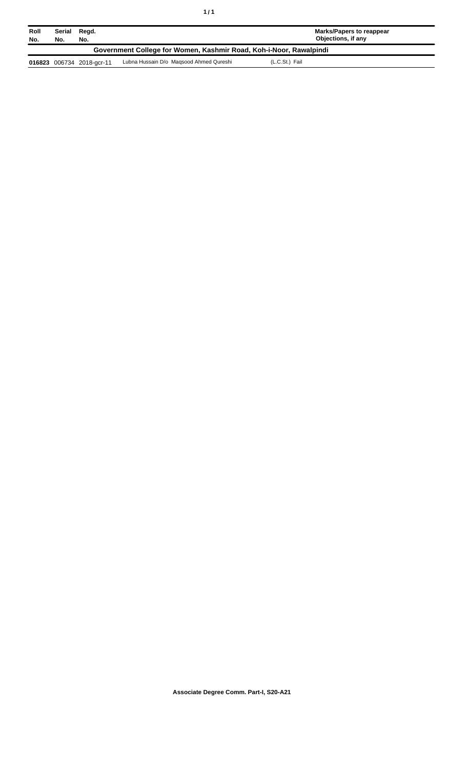| Roll<br>No.                                                        | Serial<br>No. | Regd.<br>No.              |                                         | Marks/Papers to reappear<br>Objections, if any |  |
|--------------------------------------------------------------------|---------------|---------------------------|-----------------------------------------|------------------------------------------------|--|
| Government College for Women, Kashmir Road, Koh-i-Noor, Rawalpindi |               |                           |                                         |                                                |  |
|                                                                    |               | 016823 006734 2018-gcr-11 | Lubna Hussain D/o Magsood Ahmed Qureshi | (L.C.St.) Fail                                 |  |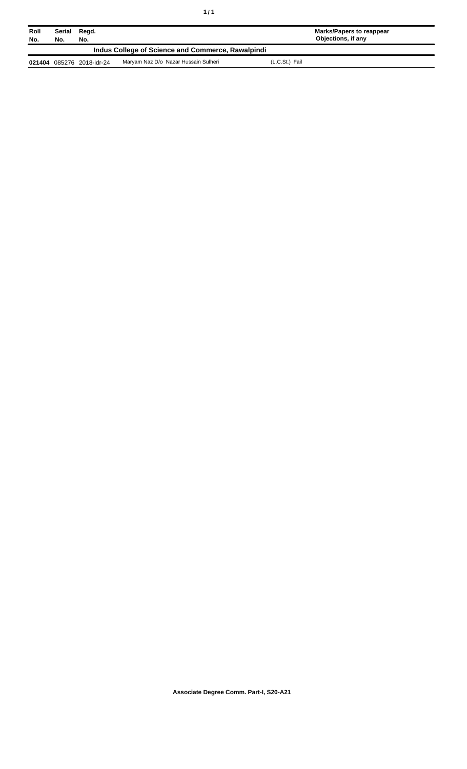| Roll<br>No. | Serial<br>Regd.<br>No.<br>No.                     |                    |                                      |                | Marks/Papers to reappear<br>Objections, if any |  |
|-------------|---------------------------------------------------|--------------------|--------------------------------------|----------------|------------------------------------------------|--|
|             | Indus College of Science and Commerce, Rawalpindi |                    |                                      |                |                                                |  |
| 021404      |                                                   | 085276 2018-idr-24 | Maryam Naz D/o Nazar Hussain Sulheri | (L.C.St.) Fail |                                                |  |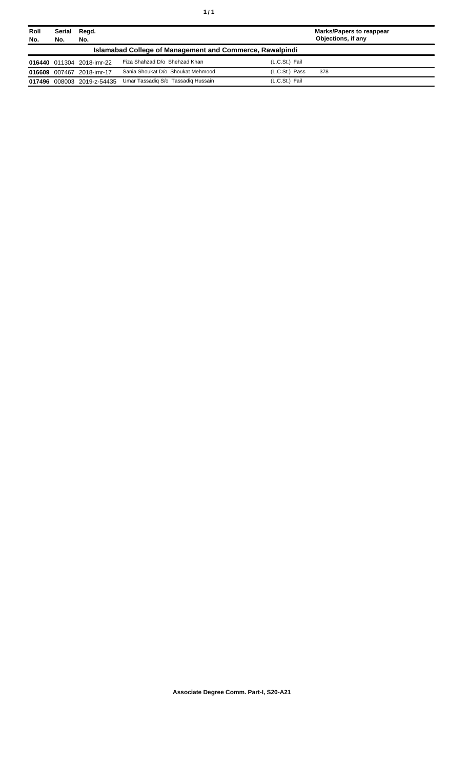| Roll<br>No. | Serial<br>No.                                                   | Regd.<br>No.               |                                    |                | Marks/Papers to reappear<br>Objections, if any |  |  |
|-------------|-----------------------------------------------------------------|----------------------------|------------------------------------|----------------|------------------------------------------------|--|--|
|             | <b>Islamabad College of Management and Commerce, Rawalpindi</b> |                            |                                    |                |                                                |  |  |
|             |                                                                 | 016440 011304 2018-imr-22  | Fiza Shahzad D/o Shehzad Khan      | (L.C.St.) Fail |                                                |  |  |
|             |                                                                 | 016609 007467 2018-imr-17  | Sania Shoukat D/o Shoukat Mehmood  | (L.C.St.) Pass | 378                                            |  |  |
|             |                                                                 | 017496 008003 2019-z-54435 | Umar Tassadig S/o Tassadig Hussain | (L.C.St.) Fail |                                                |  |  |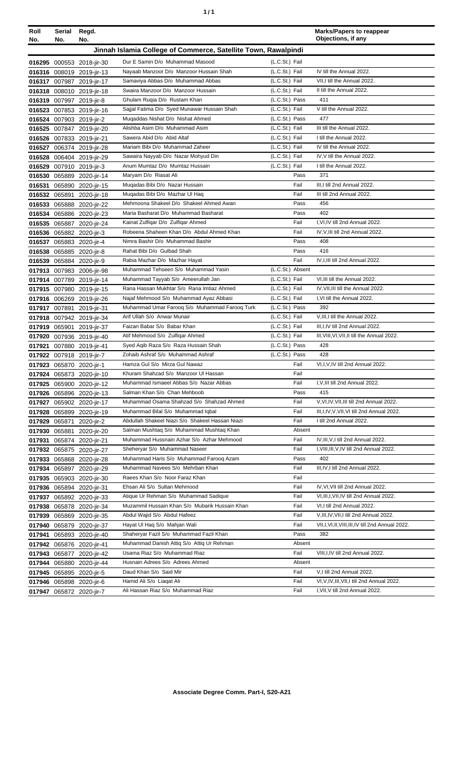| ٠ | ٠ |
|---|---|
|   |   |

| Roll | Serial        | Regd.                     |                                                                |                  |        | <b>Marks/Papers to reappear</b><br>Objections, if any |
|------|---------------|---------------------------|----------------------------------------------------------------|------------------|--------|-------------------------------------------------------|
| No.  | No.           | No.                       |                                                                |                  |        |                                                       |
|      |               |                           | Jinnah Islamia College of Commerce, Satellite Town, Rawalpindi |                  |        |                                                       |
|      |               | 016295 000553 2018-jir-30 | Dur E Samin D/o Muhammad Masood                                | (L.C.St.) Fail   |        |                                                       |
|      |               | 016316 008019 2019-jir-13 | Nayaab Manzoor D/o Manzoor Hussain Shah                        | (L.C.St.) Fail   |        | IV till the Annual 2022.                              |
|      |               | 016317 007987 2019-jir-17 | Samaviya Abbas D/o Muhammad Abbas                              | (L.C.St.) Fail   |        | VII.I till the Annual 2022.                           |
|      |               | 016318 008010 2019-jir-18 | Swaira Manzoor D/o Manzoor Hussain                             | (L.C.St.) Fail   |        | II till the Annual 2022.                              |
|      |               | 016319 007997 2019-jir-8  | Ghulam Ruqia D/o Rustam Khan                                   | (L.C.St.) Pass   |        | 411                                                   |
|      |               | 016523 007853 2019-jir-16 | Sajjal Fatima D/o Syed Munawar Hussain Shah                    | (L.C.St.) Fail   |        | V till the Annual 2022.                               |
|      |               | 016524 007903 2019-jir-2  | Mugaddas Nishat D/o Nishat Ahmed                               | (L.C.St.) Pass   |        | 477                                                   |
|      |               | 016525 007847 2019-jir-20 | Alishba Asim D/o Muhammad Asim                                 | (L.C.St.) Fail   |        | III till the Annual 2022.                             |
|      |               | 016526 007833 2019-jir-21 | Sawera Abid D/o Abid Altaf                                     | (L.C.St.) Fail   |        | I till the Annual 2022.                               |
|      |               | 016527 006374 2019-jir-28 | Mariam Bibi D/o Muhammad Zaheer                                | (L.C.St.) Fail   |        | IV till the Annual 2022.                              |
|      |               | 016528 006404 2019-jir-29 | Sawaira Nayyab D/o Nazar Mohyud Din                            | (L.C.St.) Fail   |        | IV, V till the Annual 2022.                           |
|      |               | 016529 007910 2019-jir-3  | Anum Mumtaz D/o Mumtaz Hussain                                 | (L.C.St.) Fail   |        | I till the Annual 2022.                               |
|      |               | 016530 065889 2020-jir-14 | Maryam D/o Riasat Ali                                          |                  | Pass   | 371                                                   |
|      |               | 016531 065890 2020-jir-15 | Mugadas Bibi D/o Nazar Hussain                                 |                  | Fail   | III, I till 2nd Annual 2022.                          |
|      |               | 016532 065891 2020-jir-18 | Muqadas Bibi D/o Mazhar Ul Haq                                 |                  | Fail   | III till 2nd Annual 2022.                             |
|      |               | 016533 065888 2020-jir-22 | Mehmoona Shakeel D/o Shakeel Ahmed Awan                        |                  | Pass   | 456                                                   |
|      |               | 016534 065886 2020-jir-23 | Maria Basharat D/o Muhammad Basharat                           |                  | Pass   | 402                                                   |
|      |               | 016535 065887 2020-jir-24 | Kainat Zulfiqar D/o Zulfiqar Ahmed                             |                  | Fail   | I.VI.IV till 2nd Annual 2022.                         |
|      |               | 016536 065882 2020-jir-3  | Robeena Shaheen Khan D/o Abdul Ahmed Khan                      |                  | Fail   | IV, V, III till 2nd Annual 2022.                      |
|      |               | 016537 065883 2020-jir-4  | Nimra Bashir D/o Muhammad Bashir                               |                  | Pass   | 408                                                   |
|      |               | 016538 065885 2020-jir-8  | Rahat Bibi D/o Gulbad Shah                                     |                  | Pass   | 416                                                   |
|      |               | 016539 065884 2020-jir-9  | Rabia Mazhar D/o Mazhar Hayat                                  |                  | Fail   | IV, I, III till 2nd Annual 2022.                      |
|      |               | 017913 007983 2006-jir-98 | Muhammad Tehseen S/o Muhammad Yasin                            | (L.C.St.) Absent |        |                                                       |
|      |               | 017914 007789 2019-jir-14 | Muhammad Tayyab S/o Ameerullah Jan                             | (L.C.St.) Fail   |        | VI, III till the Annual 2022.                         |
|      |               | 017915 007980 2019-jir-15 | Rana Hassan Mukhtar S/o Rana Imtiaz Ahmed                      | (L.C.St.) Fail   |        | IV, VII, III till the Annual 2022.                    |
|      |               | 017916 006269 2019-jir-26 | Najaf Mehmood S/o Muhammad Ayaz Abbasi                         | (L.C.St.) Fail   |        | I.VI till the Annual 2022.                            |
|      |               | 017917 007891 2019-jir-31 | Muhammad Umar Faroog S/o Muhammad Faroog Turk                  | (L.C.St.) Pass   |        | 392                                                   |
|      |               | 017918 007942 2019-jir-34 | Arif Ullah S/o Anwar Munair                                    | (L.C.St.) Fail   |        | V, III, I till the Annual 2022.                       |
|      |               | 017919 065901 2019-jir-37 | Faizan Babar S/o Babar Khan                                    | (L.C.St.) Fail   |        | III, I, IV till 2nd Annual 2022.                      |
|      |               | 017920 007936 2019-jir-40 | Atif Mehmood S/o Zulfiqar Ahmed                                | (L.C.St.) Fail   |        | III, VIII, VI, VII, II till the Annual 2022.          |
|      |               | 017921 007880 2019-jir-41 | Syed Agib Raza S/o Raza Hussain Shah                           | (L.C.St.) Pass   |        | 428                                                   |
|      |               | 017922 007918 2019-jir-7  | Zohaib Ashraf S/o Muhammad Ashraf                              | (L.C.St.) Pass   |        | 428                                                   |
|      |               | 017923 065870 2020-jir-1  | Hamza Gul S/o Mirza Gul Nawaz                                  |                  | Fail   | VI, I, V, IV till 2nd Annual 2022.                    |
|      |               | 017924 065873 2020-jir-10 | Khuram Shahzad S/o Manzoor UI Hassan                           |                  | Fail   |                                                       |
|      |               | 017925 065900 2020-jir-12 | Muhammad Ismaeel Abbas S/o Nazar Abbas                         |                  | Fail   | I, V, III till 2nd Annual 2022.                       |
|      |               | 017926 065896 2020-jir-13 | Salman Khan S/o Chan Mehboob                                   |                  | Pass   | 415                                                   |
|      |               | 017927 065902 2020-jir-17 | Muhammad Osama Shahzad S/o Shahzad Ahmed                       |                  | Fail   | V, VI, IV, VII, III till 2nd Annual 2022.             |
|      |               | 017928 065899 2020-jir-19 | Muhammad Bilal S/o Muhammad Iqbal                              |                  | Fail   | III, I, IV, V, VII, VI till 2nd Annual 2022.          |
|      | 017929 065871 | 2020-jir-2                | Abdullah Shakeel Niazi S/o Shakeel Hassan Niazi                |                  | Fail   | I till 2nd Annual 2022.                               |
|      | 017930 065881 | 2020-jir-20               | Salman Mushtag S/o Muhammad Mushtag Khan                       |                  | Absent |                                                       |
|      |               | 017931 065874 2020-jir-21 | Muhammad Hussnain Azhar S/o Azhar Mehmood                      |                  | Fail   | IV, III, V, I till 2nd Annual 2022.                   |
|      |               | 017932 065875 2020-jir-27 | Sheheryar S/o Muhammad Naseer                                  |                  | Fail   | I, VIII, III, V, IV till 2nd Annual 2022.             |
|      |               | 017933 065868 2020-jir-28 | Muhammad Haris S/o Muhammad Farooq Azam                        |                  | Pass   | 402                                                   |
|      |               | 017934 065897 2020-jir-29 | Muhammad Navees S/o Mehrban Khan                               |                  | Fail   | III, IV, I till 2nd Annual 2022.                      |
|      |               | 017935 065903 2020-jir-30 | Raees Khan S/o Noor Faraz Khan                                 |                  | Fail   |                                                       |
|      |               | 017936 065894 2020-jir-31 | Ehsan Ali S/o Sultan Mehmood                                   |                  | Fail   | IV, VI, VII till 2nd Annual 2022.                     |
|      |               | 017937 065892 2020-jir-33 | Atique Ur Rehman S/o Muhammad Sadique                          |                  | Fail   | VI, III, I, VII, IV till 2nd Annual 2022.             |
|      |               | 017938 065878 2020-jir-34 | Muzammil Hussain Khan S/o Mubarik Hussain Khan                 |                  | Fail   | VI, I till 2nd Annual 2022.                           |
|      |               | 017939 065869 2020-jir-35 | Abdul Wajid S/o Abdul Hafeez                                   |                  | Fail   | V, III, IV, VII, I till 2nd Annual 2022.              |
|      |               | 017940 065879 2020-jir-37 | Hayat UI Haq S/o Mahjan Wali                                   |                  | Fail   | VII, I, VI, II, VIII, III, IV till 2nd Annual 2022.   |
|      |               | 017941 065893 2020-jir-40 | Shaheryar Fazil S/o Muhammad Fazil Khan                        |                  | Pass   | 382                                                   |
|      |               | 017942 065876 2020-jir-41 | Muhammad Danish Attiq S/o Attiq Ur Rehman                      |                  | Absent |                                                       |
|      |               | 017943 065877 2020-jir-42 | Usama Riaz S/o Muhammad Riaz                                   |                  | Fail   | VIII, I, IV till 2nd Annual 2022.                     |
|      |               | 017944 065880 2020-jir-44 | Husnain Adrees S/o Adrees Ahmed                                |                  | Absent |                                                       |
|      |               | 017945 065895 2020-jir-5  | Daud Khan S/o Said Mir                                         |                  | Fail   | V,I till 2nd Annual 2022.                             |
|      |               | 017946 065898 2020-jir-6  | Hamid Ali S/o Liagat Ali                                       |                  | Fail   | VI, V, IV, III, VII, I till 2nd Annual 2022.          |
|      |               | 017947 065872 2020-jir-7  | Ali Hassan Riaz S/o Muhammad Riaz                              |                  | Fail   | I, VII, V till 2nd Annual 2022.                       |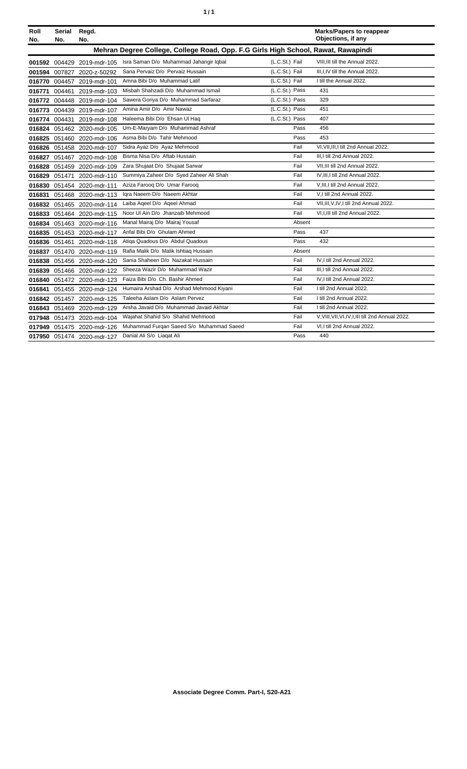| ٠ | ٠ |
|---|---|
|   |   |

| Roll<br>No. | Serial<br>No.                                                                     | Regd.<br>No.               |                                          |                | <b>Marks/Papers to reappear</b><br>Objections, if any |  |  |
|-------------|-----------------------------------------------------------------------------------|----------------------------|------------------------------------------|----------------|-------------------------------------------------------|--|--|
|             | Mehran Degree College, College Road, Opp. F.G Girls High School, Rawat, Rawapindi |                            |                                          |                |                                                       |  |  |
|             |                                                                                   | 001592 004429 2019-mdr-105 | Isra Saman D/o Muhammad Jahangir Igbal   | (L.C.St.) Fail | VIII.III till the Annual 2022.                        |  |  |
|             |                                                                                   | 001594 007827 2020-z-50292 | Sana Pervaiz D/o Pervaiz Hussain         | (L.C.St.) Fail | III, I, IV till the Annual 2022.                      |  |  |
|             |                                                                                   | 016770 004457 2019-mdr-101 | Amna Bibi D/o Muhammad Latif             | (L.C.St.) Fail | I till the Annual 2022.                               |  |  |
| 016771      |                                                                                   | 004461 2019-mdr-103        | Misbah Shahzadi D/o Muhammad Ismail      | (L.C.St.) Pass | 431                                                   |  |  |
|             |                                                                                   | 016772 004448 2019-mdr-104 | Sawera Goriya D/o Muhammad Sarfaraz      | (L.C.St.) Pass | 329                                                   |  |  |
|             |                                                                                   | 016773 004439 2019-mdr-107 | Amina Amir D/o Amir Nawaz                | (L.C.St.) Pass | 451                                                   |  |  |
|             |                                                                                   | 016774 004431 2019-mdr-108 | Haleema Bibi D/o Ehsan Ul Haq            | (L.C.St.) Pass | 407                                                   |  |  |
|             |                                                                                   | 016824 051462 2020-mdr-105 | Um-E-Maryam D/o Muhammad Ashraf          | Pass           | 456                                                   |  |  |
|             |                                                                                   | 016825 051460 2020-mdr-106 | Asma Bibi D/o Tahir Mehmood              | Pass           | 453                                                   |  |  |
|             |                                                                                   | 016826 051458 2020-mdr-107 | Sidra Ayaz D/o Ayaz Mehmood              | Fail           | VI, VII, III, I till 2nd Annual 2022.                 |  |  |
|             |                                                                                   | 016827 051467 2020-mdr-108 | Bisma Nisa D/o Aftab Hussain             | Fail           | III, I till 2nd Annual 2022.                          |  |  |
|             |                                                                                   | 016828 051459 2020-mdr-109 | Zara Shujaat D/o Shujaat Sarwar          | Fail           | VII.III till 2nd Annual 2022.                         |  |  |
| 016829      |                                                                                   | 051471 2020-mdr-110        | Summiya Zaheer D/o Syed Zaheer Ali Shah  | Fail           | IV, III, I till 2nd Annual 2022.                      |  |  |
|             |                                                                                   | 016830 051454 2020-mdr-111 | Aziza Farooq D/o Umar Farooq             | Fail           | V, III, I till 2nd Annual 2022.                       |  |  |
| 016831      |                                                                                   | 051468 2020-mdr-113        | Igra Naeem D/o Naeem Akhtar              | Fail           | V.I till 2nd Annual 2022.                             |  |  |
|             |                                                                                   | 016832 051465 2020-mdr-114 | Laiba Ageel D/o Ageel Ahmad              | Fail           | VII, III, V, IV, I till 2nd Annual 2022.              |  |  |
|             |                                                                                   | 016833 051464 2020-mdr-115 | Noor UI Ain D/o Jhanzaib Mehmood         | Fail           | VI, I, III till 2nd Annual 2022.                      |  |  |
|             |                                                                                   | 016834 051463 2020-mdr-116 | Manal Mairaj D/o Mairaj Yousaf           | Absent         |                                                       |  |  |
|             |                                                                                   | 016835 051453 2020-mdr-117 | Anfal Bibi D/o Ghulam Ahmed              | Pass           | 437                                                   |  |  |
|             |                                                                                   | 016836 051461 2020-mdr-118 | Atiqa Quadous D/o Abdul Quadous          | Pass           | 432                                                   |  |  |
| 016837      |                                                                                   | 051470 2020-mdr-119        | Rafia Malik D/o Malik Ishtiag Hussain    | Absent         |                                                       |  |  |
| 016838      |                                                                                   | 051456 2020-mdr-120        | Sania Shaheen D/o Nazakat Hussain        | Fail           | IV, I till 2nd Annual 2022.                           |  |  |
|             |                                                                                   | 016839 051466 2020-mdr-122 | Sheeza Wazir D/o Muhammad Wazir          | Fail           | III.I till 2nd Annual 2022.                           |  |  |
|             |                                                                                   | 016840 051472 2020-mdr-123 | Faiza Bibi D/o Ch. Bashir Ahmed          | Fail           | IV.I till 2nd Annual 2022.                            |  |  |
| 016841      |                                                                                   | 051455 2020-mdr-124        | Humaira Arshad D/o Arshad Mehmood Kiyani | Fail           | I till 2nd Annual 2022.                               |  |  |
|             |                                                                                   | 016842 051457 2020-mdr-125 | Taleeha Aslam D/o Aslam Pervez           | Fail           | I till 2nd Annual 2022.                               |  |  |
|             |                                                                                   | 016843 051469 2020-mdr-129 | Arsha Javaid D/o Muhammad Javaid Akhtar  | Fail           | I till 2nd Annual 2022.                               |  |  |
| 017948      |                                                                                   | 051473 2020-mdr-104        | Wajahat Shahid S/o Shahid Mehmood        | Fail           | V, VIII, VII, VI, IV, I, III till 2nd Annual 2022.    |  |  |
|             |                                                                                   | 017949 051475 2020-mdr-126 | Muhammad Furqan Saeed S/o Muhammad Saeed | Fail           | VI,I till 2nd Annual 2022.                            |  |  |
|             |                                                                                   | 017950 051474 2020-mdr-127 | Danial Ali S/o Liagat Ali                | Pass           | 440                                                   |  |  |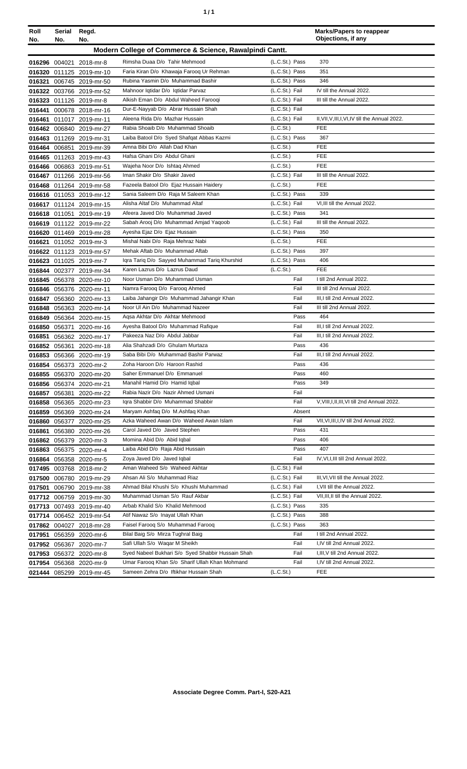| ٠ | ٠ |
|---|---|
|   |   |

| Roll   | Serial        | Regd.                                                |                                                                  |                                  | <b>Marks/Papers to reappear</b><br>Objections, if any |
|--------|---------------|------------------------------------------------------|------------------------------------------------------------------|----------------------------------|-------------------------------------------------------|
| No.    | No.           | No.                                                  |                                                                  |                                  |                                                       |
|        |               |                                                      | Modern College of Commerce & Science, Rawalpindi Cantt.          |                                  |                                                       |
|        |               | 016296 004021 2018-mr-8                              | Rimsha Duaa D/o Tahir Mehmood                                    | (L.C.St.) Pass                   | 370                                                   |
|        |               | 016320 011125 2019-mr-10                             | Faria Kiran D/o Khawaja Faroog Ur Rehman                         | (L.C.St.) Pass                   | 351                                                   |
|        |               | 016321 006745 2019-mr-50                             | Rubina Yasmin D/o Muhammad Bashir                                | (L.C.St.) Pass                   | 346                                                   |
|        |               | 016322 003766 2019-mr-52                             | Mahnoor Iqtidar D/o Iqtidar Parvaz                               | (L.C.St.) Fail                   | IV till the Annual 2022.                              |
|        |               | 016323 011126 2019-mr-8                              | Alkish Eman D/o Abdul Waheed Farooqi                             | (L.C.St.) Fail                   | III till the Annual 2022.                             |
|        |               | 016441 000678 2018-mr-16                             | Dur-E-Nayyab D/o Abrar Hussain Shah                              | (L.C.St.) Fail                   |                                                       |
|        |               | 016461 011017 2019-mr-11                             | Aleena Rida D/o Mazhar Hussain                                   | (L.C.St.) Fail                   | II, VII, V, III, I, VI, IV till the Annual 2022.      |
|        |               | 016462 006840 2019-mr-27                             | Rabia Shoaib D/o Muhammad Shoaib                                 | (L.C.St.)                        | <b>FEE</b>                                            |
|        |               | 016463 011269 2019-mr-31                             | Laiba Batool D/o Syed Shafqat Abbas Kazmi                        | (L.C.St.) Pass                   | 367                                                   |
|        |               | 016464 006851 2019-mr-39                             | Amna Bibi D/o Allah Dad Khan                                     | (L.C.S <sub>t</sub> )            | <b>FEE</b>                                            |
|        |               | 016465 011263 2019-mr-43                             | Hafsa Ghani D/o Abdul Ghani                                      | (L.C.St.)                        | <b>FEE</b>                                            |
|        |               | 016466 006863 2019-mr-51                             | Wajeha Noor D/o Ishtaq Ahmed                                     | (L.C.St.)                        | <b>FEE</b>                                            |
|        |               | 016467 011266 2019-mr-56                             | Iman Shakir D/o Shakir Javed                                     | (L.C.St.) Fail                   | III till the Annual 2022.                             |
|        |               | 016468 011264 2019-mr-58                             | Fazeela Batool D/o Ejaz Hussain Haidery                          | (L.C.St.)                        | <b>FEE</b>                                            |
|        |               | 016616 011053 2019-mr-12                             | Sania Saleem D/o Raja M Saleem Khan                              | (L.C.St.) Pass                   | 339                                                   |
|        |               | 016617 011124 2019-mr-15                             | Alisha Altaf D/o Muhammad Altaf                                  | (L.C.St.) Fail                   | VI, III till the Annual 2022.                         |
|        |               | 016618 011051 2019-mr-19                             | Afeera Javed D/o Muhammad Javed                                  | (L.C.St.) Pass                   | 341<br>III till the Annual 2022.                      |
|        |               | 016619 011122 2019-mr-22                             | Sabah Arooj D/o Muhammad Amjad Yaqoob                            | (L.C.St.) Fail<br>(L.C.St.) Pass |                                                       |
|        |               | 016620 011469 2019-mr-28                             | Ayesha Ejaz D/o Ejaz Hussain<br>Mishal Nabi D/o Raja Mehraz Nabi | (L.C.St.)                        | 350<br>FEE                                            |
|        |               | 016621 011052 2019-mr-3                              | Mehak Aftab D/o Muhammad Aftab                                   | (L.C.St.) Pass                   | 397                                                   |
|        |               | 016622 011123 2019-mr-57                             | Iqra Tariq D/o Sayyed Muhammad Tariq Khurshid                    | (L.C.St.) Pass                   | 406                                                   |
|        |               | 016623 011025 2019-mr-7                              | Karen Lazrus D/o Lazrus Daud                                     | (L.C.St.)                        | <b>FEE</b>                                            |
|        |               | 016844 002377 2019-mr-34                             | Noor Usman D/o Muhammad Usman                                    | Fail                             | I till 2nd Annual 2022.                               |
|        |               | 016845 056378 2020-mr-10<br>016846 056376 2020-mr-11 | Namra Farooq D/o Farooq Ahmed                                    | Fail                             | III till 2nd Annual 2022.                             |
|        |               | 016847 056360 2020-mr-13                             | Laiba Jahangir D/o Muhammad Jahangir Khan                        | Fail                             | III, I till 2nd Annual 2022.                          |
|        |               | 016848 056363 2020-mr-14                             | Noor UI Ain D/o Muhammad Nazeer                                  | Fail                             | III till 2nd Annual 2022.                             |
|        |               | 016849 056364 2020-mr-15                             | Agsa Akhtar D/o Akhtar Mehmood                                   | Pass                             | 464                                                   |
|        |               | 016850 056371 2020-mr-16                             | Ayesha Batool D/o Muhammad Rafique                               | Fail                             | III, I till 2nd Annual 2022.                          |
| 016851 |               | 056362 2020-mr-17                                    | Pakeeza Naz D/o Abdul Jabbar                                     | Fail                             | III, I till 2nd Annual 2022.                          |
|        |               | 016852 056361 2020-mr-18                             | Alia Shahzadi D/o Ghulam Murtaza                                 | Pass                             | 436                                                   |
|        |               | 016853 056366 2020-mr-19                             | Saba Bibi D/o Muhammad Bashir Parwaz                             | Fail                             | III, I till 2nd Annual 2022.                          |
|        |               | 016854 056373 2020-mr-2                              | Zoha Haroon D/o Haroon Rashid                                    | Pass                             | 436                                                   |
|        |               | 016855 056370 2020-mr-20                             | Saher Emmanuel D/o Emmanuel                                      | Pass                             | 460                                                   |
|        |               | 016856 056374 2020-mr-21                             | Manahil Hamid D/o Hamid Iqbal                                    | Pass                             | 349                                                   |
| 016857 | 056381        | 2020-mr-22                                           | Rabia Nazir D/o Nazir Ahmed Usmani                               | Fail                             |                                                       |
|        |               | 016858 056365 2020-mr-23                             | Iqra Shabbir D/o Muhammad Shabbir                                | Fail                             | V, VIII, I, II, III, VI till 2nd Annual 2022.         |
|        |               | 016859 056369 2020-mr-24                             | Maryam Ashfaq D/o M.Ashfaq Khan                                  | Absent                           |                                                       |
|        | 016860 056377 | 2020-mr-25                                           | Azka Waheed Awan D/o Waheed Awan Islam                           | Fail                             | VII, VI, III, I, IV till 2nd Annual 2022.             |
| 016861 |               | 056380 2020-mr-26                                    | Carol Javed D/o Javed Stephen                                    | Pass                             | 431                                                   |
|        |               | 016862 056379 2020-mr-3                              | Momina Abid D/o Abid Iqbal                                       | Pass                             | 406                                                   |
|        |               | 016863 056375 2020-mr-4                              | Laiba Abid D/o Raja Abid Hussain                                 | Pass                             | 407                                                   |
|        |               | 016864 056358 2020-mr-5                              | Zoya Javed D/o Javed Iqbal                                       | Fail                             | IV, VI, I, III till 2nd Annual 2022.                  |
|        |               | 017495 003768 2018-mr-2                              | Aman Waheed S/o Waheed Akhtar                                    | (L.C.St.) Fail                   |                                                       |
|        |               | 017500 006780 2019-mr-29                             | Ahsan Ali S/o Muhammad Riaz                                      | (L.C.St.) Fail                   | III, VI, VII till the Annual 2022.                    |
| 017501 |               | 006790 2019-mr-38                                    | Ahmad Bilal Khushi S/o Khushi Muhammad                           | (L.C.St.) Fail                   | I, VII till the Annual 2022.                          |
|        |               | 017712 006759 2019-mr-30                             | Muhammad Usman S/o Rauf Akbar                                    | (L.C.St.) Fail                   | VII, III, II till the Annual 2022.                    |
|        |               | 017713 007493 2019-mr-40                             | Arbab Khalid S/o Khalid Mehmood                                  | (L.C.St.) Pass                   | 335                                                   |
|        |               | 017714 006452 2019-mr-54                             | Atif Nawaz S/o Inayat Ullah Khan                                 | (L.C.St.) Pass                   | 388                                                   |
|        |               | 017862 004027 2018-mr-28                             | Faisel Farooq S/o Muhammad Farooq                                | (L.C.St.) Pass                   | 363                                                   |
|        |               | 017951 056359 2020-mr-6                              | Bilal Baig S/o Mirza Tughral Baig                                | Fail                             | I till 2nd Annual 2022.                               |
|        |               | 017952 056367 2020-mr-7                              | Safi Ullah S/o Waqar M Sheikh                                    | Fail                             | I,IV till 2nd Annual 2022.                            |
|        |               | 017953 056372 2020-mr-8                              | Syed Nabeel Bukhari S/o Syed Shabbir Hussain Shah                | Fail                             | I, III, V till 2nd Annual 2022.                       |
|        |               | 017954 056368 2020-mr-9                              | Umar Farooq Khan S/o Sharif Ullah Khan Mohmand                   | Fail                             | I,IV till 2nd Annual 2022.                            |
|        |               | 021444 085299 2019-mr-45                             | Sameen Zehra D/o Iftikhar Hussain Shah                           | (L.C.St.)                        | FEE                                                   |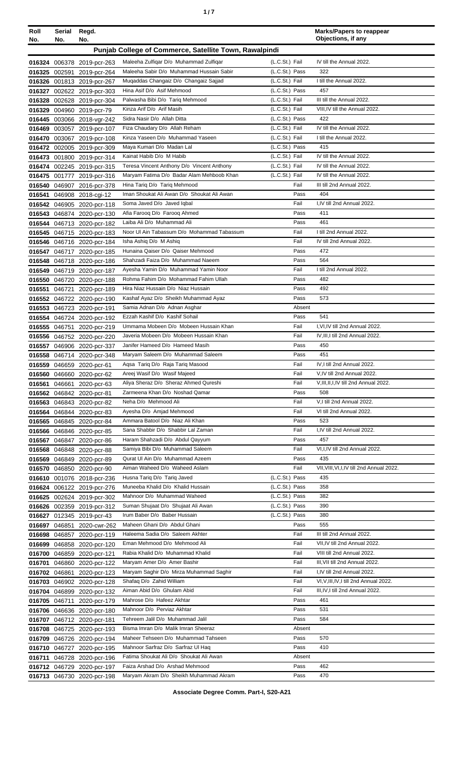| ٠ |  |
|---|--|
|   |  |

| Roll<br>No. | Serial<br>No. | Regd.<br>No.                                             |                                                                           |                                  | <b>Marks/Papers to reappear</b><br>Objections, if any      |
|-------------|---------------|----------------------------------------------------------|---------------------------------------------------------------------------|----------------------------------|------------------------------------------------------------|
|             |               |                                                          | Punjab College of Commerce, Satellite Town, Rawalpindi                    |                                  |                                                            |
|             |               |                                                          | Maleeha Zulfiqar D/o Muhammad Zulfiqar                                    | (L.C.St.) Fail                   | IV till the Annual 2022.                                   |
|             |               | 016324 006378 2019-pcr-263<br>016325 002591 2019-pcr-264 | Maleeha Sabir D/o Muhammad Hussain Sabir                                  | (L.C.St.) Pass                   | 322                                                        |
|             |               | 016326 001813 2019-pcr-267                               | Muqaddas Changaiz D/o Changaiz Sajjad                                     | (L.C.St.) Fail                   | I till the Annual 2022.                                    |
|             |               | 016327 002622 2019-pcr-303                               | Hina Asif D/o Asif Mehmood                                                | (L.C.St.) Pass                   | 457                                                        |
| 016328      |               | 002628 2019-pcr-304                                      | Palwasha Bibi D/o Tariq Mehmood                                           | (L.C.St.) Fail                   | III till the Annual 2022.                                  |
| 016329      |               | 004960 2019-pcr-79                                       | Kinza Arif D/o Arif Masih                                                 | (L.C.St.) Fail                   | VIII, IV till the Annual 2022.                             |
|             |               | 016445 003066 2018-vgr-242                               | Sidra Nasir D/o Allah Ditta                                               | (L.C.St.) Pass                   | 422                                                        |
|             |               | 016469 003057 2019-pcr-107                               | Fiza Chaudary D/o Allah Reham                                             | (L.C.St.) Fail                   | IV till the Annual 2022.                                   |
|             |               | 016470 003067 2019-pcr-108                               | Kinza Yaseen D/o Muhammad Yaseen                                          | (L.C.St.) Fail                   | I till the Annual 2022.                                    |
|             |               | 016472 002005 2019-pcr-309                               | Maya Kumari D/o Madan Lal                                                 | (L.C.St.) Pass                   | 415                                                        |
|             |               | 016473 001800 2019-pcr-314                               | Kainat Habib D/o M Habib<br>Teresa Vincent Anthony D/o Vincent Anthony    | (L.C.St.) Fail<br>(L.C.St.) Fail | IV till the Annual 2022.<br>IV till the Annual 2022.       |
|             |               | 016474 002245 2019-pcr-315<br>016475 001777 2019-pcr-316 | Maryam Fatima D/o Badar Alam Mehboob Khan                                 | (L.C.St.) Fail                   | IV till the Annual 2022.                                   |
| 016540      |               | 046907 2016-pcr-378                                      | Hina Tariq D/o Tariq Mehmood                                              | Fail                             | III till 2nd Annual 2022.                                  |
| 016541      |               | 046908 2018-cgi-12                                       | Iman Shoukat Ali Awan D/o Shoukat Ali Awan                                | Pass                             | 404                                                        |
|             |               | 016542 046905 2020-pcr-118                               | Soma Javed D/o Javed Iqbal                                                | Fail                             | I,IV till 2nd Annual 2022.                                 |
|             |               | 016543 046874 2020-pcr-130                               | Afia Farooq D/o Farooq Ahmed                                              | Pass                             | 411                                                        |
|             |               | 016544 046713 2020-pcr-182                               | Laiba Ali D/o Muhammad Ali                                                | Pass                             | 461                                                        |
|             |               | 016545 046715 2020-pcr-183                               | Noor UI Ain Tabassum D/o Mohammad Tabassum                                | Fail                             | I till 2nd Annual 2022.                                    |
|             |               | 016546 046716 2020-pcr-184                               | Isha Ashig D/o M Ashig                                                    | Fail                             | IV till 2nd Annual 2022.                                   |
|             |               | 016547 046717 2020-pcr-185                               | Hunaina Qaiser D/o Qaiser Mehmood                                         | Pass                             | 472                                                        |
|             |               | 016548 046718 2020-pcr-186                               | Shahzadi Faiza D/o Muhammad Naeem                                         | Pass                             | 564                                                        |
|             |               | 016549 046719 2020-pcr-187                               | Ayesha Yamin D/o Muhammad Yamin Noor                                      | Fail                             | I till 2nd Annual 2022.                                    |
|             |               | 016550 046720 2020-pcr-188                               | Rohma Fahim D/o Mohammad Fahim Ullah                                      | Pass                             | 482                                                        |
| 016551      |               | 046721 2020-pcr-189                                      | Hira Niaz Hussain D/o Niaz Hussain                                        | Pass<br>Pass                     | 492<br>573                                                 |
|             |               | 016552 046722 2020-pcr-190<br>016553 046723 2020-pcr-191 | Kashaf Ayaz D/o Sheikh Muhammad Ayaz<br>Samia Adnan D/o Adnan Asghar      | Absent                           |                                                            |
|             |               | 016554 046724 2020-pcr-192                               | Ezzah Kashif D/o Kashif Sohail                                            | Pass                             | 541                                                        |
| 016555      | 046751        | 2020-pcr-219                                             | Ummama Mobeen D/o Mobeen Hussain Khan                                     | Fail                             | I, VI, IV till 2nd Annual 2022.                            |
|             |               | 016556 046752 2020-pcr-220                               | Javeria Mobeen D/o Mobeen Hussain Khan                                    | Fail                             | IV, III, I till 2nd Annual 2022.                           |
|             |               | 016557 046906 2020-pcr-337                               | Janifer Hameed D/o Hameed Masih                                           | Pass                             | 450                                                        |
|             |               | 016558 046714 2020-pcr-348                               | Maryam Saleem D/o Muhammad Saleem                                         | Pass                             | 451                                                        |
|             |               | 016559 046659 2020-pcr-61                                | Agsa Tarig D/o Raja Tarig Masood                                          | Fail                             | IV, I till 2nd Annual 2022.                                |
|             |               | 016560 046660 2020-pcr-62                                | Areej Wasif D/o Wasif Majeed                                              | Fail                             | V, IV till 2nd Annual 2022.                                |
|             |               | 016561 046661 2020-pcr-63                                | Aliya Sheraz D/o Sheraz Ahmed Qureshi                                     | Fail                             | V, III, II, I, IV till 2nd Annual 2022.                    |
|             |               | 016562 046842 2020-pcr-81                                | Zarmeena Khan D/o Noshad Qamar                                            | Pass                             | 508                                                        |
|             |               | 016563 046843 2020-pcr-82                                | Neha D/o Mehmood Ali                                                      | Fail                             | V,I till 2nd Annual 2022.                                  |
|             |               | 016564 046844 2020-pcr-83                                | Ayesha D/o Amjad Mehmood<br>Ammara Batool D/o Niaz Ali Khan               | Fail<br>Pass                     | VI till 2nd Annual 2022.<br>523                            |
|             |               | 016565 046845 2020-pcr-84                                | Sana Shabbir D/o Shabbir Lal Zaman                                        | Fail                             | I,IV till 2nd Annual 2022.                                 |
|             |               | 016566 046846 2020-pcr-85<br>016567 046847 2020-pcr-86   | Haram Shahzadi D/o Abdul Qayyum                                           | Pass                             | 457                                                        |
|             |               | 016568 046848 2020-pcr-88                                | Samiya Bibi D/o Muhammad Saleem                                           | Fail                             | VI,I,IV till 2nd Annual 2022.                              |
|             |               | 016569 046849 2020-pcr-89                                | Qurat Ul Ain D/o Muhammad Azeem                                           | Pass                             | 435                                                        |
|             |               | 016570 046850 2020-pcr-90                                | Aiman Waheed D/o Waheed Aslam                                             | Fail                             | VII, VIII, VI, I, IV till 2nd Annual 2022.                 |
| 016610      |               | 001076 2018-pcr-236                                      | Husna Tariq D/o Tariq Javed                                               | (L.C.St.) Pass                   | 435                                                        |
|             |               | 016624 006122 2019-pcr-276                               | Muneeba Khalid D/o Khalid Hussain                                         | (L.C.St.) Pass                   | 358                                                        |
|             |               | 016625 002624 2019-pcr-302                               | Mahnoor D/o Muhammad Waheed                                               | (L.C.St.) Pass                   | 382                                                        |
|             |               | 016626 002359 2019-pcr-312                               | Suman Shujaat D/o Shujaat Ali Awan                                        | (L.C.St.) Pass                   | 390                                                        |
|             |               | 016627 012345 2019-pcr-43                                | Irum Baber D/o Baber Hussain                                              | (L.C.St.) Pass                   | 380                                                        |
|             | 016697 046851 | 2020-cwr-262                                             | Maheen Ghani D/o Abdul Ghani                                              | Pass                             | 555                                                        |
|             |               | 016698 046857 2020-pcr-119                               | Haleema Sadia D/o Saleem Akhter<br>Eman Mehmood D/o Mehmood Ali           | Fail<br>Fail                     | III till 2nd Annual 2022.<br>VII, IV till 2nd Annual 2022. |
|             |               | 016699 046858 2020-pcr-120<br>016700 046859 2020-pcr-121 | Rabia Khalid D/o Muhammad Khalid                                          | Fail                             | VIII till 2nd Annual 2022.                                 |
| 016701      |               | 046860 2020-pcr-122                                      | Maryam Amer D/o Amer Bashir                                               | Fail                             | III, VII till 2nd Annual 2022.                             |
|             | 016702 046861 | 2020-pcr-123                                             | Maryam Saghir D/o Mirza Muhammad Saghir                                   | Fail                             | I,IV till 2nd Annual 2022.                                 |
|             |               | 016703 046902 2020-pcr-128                               | Shafaq D/o Zahid William                                                  | Fail                             | VI, V, III, IV, I till 2nd Annual 2022.                    |
|             |               | 016704 046899 2020-pcr-132                               | Aiman Abid D/o Ghulam Abid                                                | Fail                             | III, IV, I till 2nd Annual 2022.                           |
|             | 016705 046711 | 2020-pcr-179                                             | Mahrose D/o Hafeez Akhtar                                                 | Pass                             | 461                                                        |
|             |               | 016706 046636 2020-pcr-180                               | Mahnoor D/o Perviaz Akhtar                                                | Pass                             | 531                                                        |
|             |               | 016707 046712 2020-pcr-181                               | Tehreem Jalil D/o Muhammad Jalil                                          | Pass                             | 584                                                        |
| 016708      |               | 046725 2020-pcr-193                                      | Bisma Imran D/o Malik Imran Sheeraz                                       | Absent                           |                                                            |
| 016709      |               | 046726 2020-pcr-194                                      | Maheer Tehseen D/o Muhammad Tahseen                                       | Pass                             | 570                                                        |
|             |               | 016710 046727 2020-pcr-195                               | Mahnoor Sarfraz D/o Sarfraz UI Haq                                        | Pass                             | 410                                                        |
|             |               | 016711 046728 2020-pcr-196                               | Fatima Shoukat Ali D/o Shoukat Ali Awan                                   | Absent                           |                                                            |
|             |               | 016712 046729 2020-pcr-197                               | Faiza Arshad D/o Arshad Mehmood<br>Maryam Akram D/o Sheikh Muhammad Akram | Pass                             | 462                                                        |
|             |               | 016713 046730 2020-pcr-198                               |                                                                           | Pass                             | 470                                                        |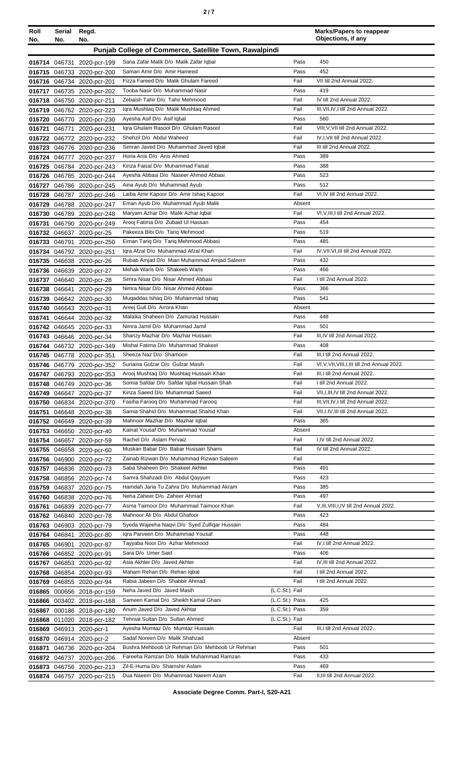|  | I |  |  |
|--|---|--|--|
|--|---|--|--|

| Roll   | Serial        | Regd.                                                  |                                                                             |                | <b>Marks/Papers to reappear</b><br>Objections, if any |
|--------|---------------|--------------------------------------------------------|-----------------------------------------------------------------------------|----------------|-------------------------------------------------------|
| No.    | No.<br>No.    |                                                        |                                                                             |                |                                                       |
|        |               |                                                        | Punjab College of Commerce, Satellite Town, Rawalpindi                      |                |                                                       |
|        |               | 016714 046731 2020-pcr-199                             | Sana Zafar Malik D/o Malik Zafar Iqbal                                      | Pass           | 450                                                   |
|        |               | 016715 046733 2020-pcr-200                             | Saman Amir D/o Amir Hameed                                                  | Pass           | 452                                                   |
|        |               | 016716 046734 2020-pcr-201                             | Fizza Fareed D/o Malik Ghulam Fareed                                        | Fail           | VII till 2nd Annual 2022.                             |
|        |               | 016717 046735 2020-pcr-202                             | Tooba Nasir D/o Muhammad Nasir                                              | Pass           | 419                                                   |
|        |               | 016718 046750 2020-pcr-211                             | Zebaish Tahir D/o Tahir Mehmood                                             | Fail           | IV till 2nd Annual 2022.                              |
|        |               | 016719 046762 2020-pcr-223                             | Igra Mushtag D/o Malik Mushtag Ahmed<br>Ayesha Asif D/o Asif Iqbal          | Fail<br>Pass   | III, VII, IV, I till 2nd Annual 2022.<br>560          |
|        |               | 016720 046770 2020-pcr-230                             | Igra Ghulam Rasool D/o Ghulam Rasool                                        | Fail           | VIII, V, VII till 2nd Annual 2022.                    |
| 016721 |               | 046771 2020-pcr-231<br>016722 046772 2020-pcr-232      | Shehzil D/o Abdul Waheed                                                    | Fail           | IV, I, VII till 2nd Annual 2022.                      |
|        |               | 016723 046776 2020-pcr-236                             | Simran Javed D/o Muhammad Javed Iqbal                                       | Fail           | III till 2nd Annual 2022.                             |
|        |               | 016724 046777 2020-pcr-237                             | Horia Anis D/o Anis Ahmed                                                   | Pass           | 389                                                   |
| 016725 |               | 046784 2020-pcr-243                                    | Kinza Faisal D/o Muhammad Faisal                                            | Pass           | 388                                                   |
|        |               | 016726 046785 2020-pcr-244                             | Ayesha Abbasi D/o Naseer Ahmed Abbasi                                       | Pass           | 523                                                   |
|        |               | 016727 046786 2020-pcr-245                             | Aina Ayub D/o Muhammad Ayub                                                 | Pass           | 512                                                   |
|        |               | 016728 046787 2020-pcr-246                             | Laiba Amir Kapoor D/o Amir Ishaq Kapoor                                     | Fail           | VI,IV till 2nd Annual 2022.                           |
|        |               | 016729 046788 2020-pcr-247                             | Eman Ayub D/o Muhammad Ayub Malik                                           | Absent         |                                                       |
|        |               | 016730 046789 2020-pcr-248                             | Maryam Azhar D/o Malik Azhar Iqbal                                          | Fail           | VI, V, III, I till 2nd Annual 2022.                   |
| 016731 |               | 046790 2020-pcr-249                                    | Arooj Fatima D/o Zubaid UI Hassan                                           | Pass           | 454                                                   |
|        |               | 016732 046637 2020-pcr-25                              | Pakeeza Bibi D/o Tariq Mehmood                                              | Pass           | 519                                                   |
| 016733 |               | 046791 2020-pcr-250                                    | Eiman Tariq D/o Tariq Mehmood Abbasi                                        | Pass           | 485                                                   |
|        |               | 016734 046792 2020-pcr-251                             | Igra Afzal D/o Muhammad Afzal Khan                                          | Fail           | IV, VII, VI, III till 2nd Annual 2022.                |
|        |               | 016735 046638 2020-pcr-26                              | Rubab Amjad D/o Mian Muhammad Amjad Saleem                                  | Pass           | 432                                                   |
|        |               | 016736 046639 2020-pcr-27                              | Mehak Waris D/o Shakeeb Waris                                               | Pass           | 466                                                   |
| 016737 |               | 046640 2020-pcr-28                                     | Simra Nisar D/o Nisar Ahmed Abbasi                                          | Fail           | I till 2nd Annual 2022.                               |
| 016738 |               | 046641 2020-pcr-29                                     | Nimra Nisar D/o Nisar Ahmed Abbasi                                          | Pass           | 366                                                   |
| 016739 |               | 046642 2020-pcr-30                                     | Muqaddas Ishaq D/o Muhammad Ishaq                                           | Pass           | 541                                                   |
| 016740 |               | 046643 2020-pcr-31                                     | Areej Gull D/o Arrora Khan<br>Malaika Shaheen D/o Zamurad Hussain           | Absent<br>Pass | 448                                                   |
| 016741 |               | 046644 2020-pcr-32                                     | Nimra Jamil D/o Muhammad Jamil                                              | Pass           | 501                                                   |
|        |               | 016742 046645 2020-pcr-33<br>016743 046646 2020-pcr-34 | Shanzy Mazhar D/o Mazhar Hussain                                            | Fail           | III, IV till 2nd Annual 2022.                         |
|        |               | 016744 046732 2020-pcr-349                             | Mishal Fatima D/o Muhammad Shakeel                                          | Pass           | 408                                                   |
|        |               | 016745 046778 2020-pcr-351                             | Sheeza Naz D/o Shamoon                                                      | Fail           | III, I till 2nd Annual 2022.                          |
|        |               | 016746 046779 2020-pcr-352                             | Sunaina Gulzar D/o Gulzar Masih                                             | Fail           | VI, V, VII, VIII, I, III till 2nd Annual 2022.        |
|        |               | 016747 046793 2020-pcr-353                             | Arooj Mushtaq D/o Mushtaq Hussain Khan                                      | Fail           | III, I till 2nd Annual 2022.                          |
|        |               | 016748 046749 2020-pcr-36                              | Somia Safdar D/o Safdar Iqbal Hussain Shah                                  | Fail           | I till 2nd Annual 2022.                               |
|        |               | 016749 046647 2020-pcr-37                              | Kinza Saeed D/o Muhammad Saeed                                              | Fail           | VII.I.III, IV till 2nd Annual 2022.                   |
|        |               | 016750 046834 2020-pcr-370                             | Fasiha Farooq D/o Muhammad Farooq                                           | Fail           | III, VII, IV, I till 2nd Annual 2022.                 |
|        |               | 016751 046648 2020-pcr-38                              | Samia Shahid D/o Muhammad Shahid Khan                                       | Fail           | VII, I, IV, III till 2nd Annual 2022.                 |
|        |               | 016752 046649 2020-pcr-39                              | Mahnoor Mazhar D/o Mazhar Iqbal                                             | Pass           | 365                                                   |
|        |               | 016753 046650 2020-pcr-40                              | Kainat Yousaf D/o Muhammad Yousaf                                           | Absent         |                                                       |
|        |               | 016754 046657 2020-pcr-59                              | Rachel D/o Aslam Pervaiz                                                    | Fail           | I,IV till 2nd Annual 2022.                            |
|        |               | 016755 046658 2020-pcr-60                              | Muskan Babar D/o Babar Hussain Shami                                        | Fail           | IV till 2nd Annual 2022.                              |
|        |               | 016756 046900 2020-pcr-72                              | Zainab Rizwan D/o Muhammad Rizwan Saleem                                    | Fail           |                                                       |
|        |               | 016757 046836 2020-pcr-73                              | Saba Shaheen D/o Shakeel Akhter                                             | Pass           | 491<br>423                                            |
| 016758 |               | 046856 2020-pcr-74                                     | Samra Shahzadi D/o Abdul Qayyum<br>Hamdah Jaria Tu Zahra D/o Muhammad Akram | Pass<br>Pass   | 385                                                   |
|        |               | 016759 046837 2020-pcr-75<br>016760 046838 2020-pcr-76 | Neha Zaheer D/o Zaheer Ahmad                                                | Pass           | 497                                                   |
| 016761 |               | 046839 2020-pcr-77                                     | Asma Taimoor D/o Muhammad Taimoor Khan                                      | Fail           | V, III, VIII, I, IV till 2nd Annual 2022.             |
|        |               | 016762 046840 2020-pcr-78                              | Mahnoor Ali D/o Abdul Ghafoor                                               | Pass           | 423                                                   |
|        |               | 016763 046903 2020-pcr-79                              | Syeda Wajeeha Naqvi D/o Syed Zulfigar Hussain                               | Pass           | 484                                                   |
|        | 016764 046841 | 2020-pcr-80                                            | Igra Parveen D/o Muhammad Yousaf                                            | Pass           | 448                                                   |
|        | 016765 046901 | 2020-pcr-87                                            | Tayyaba Noor D/o Azhar Mehmood                                              | Fail           | IV, I till 2nd Annual 2022.                           |
|        |               | 016766 046852 2020-pcr-91                              | Sara D/o Umer Said                                                          | Pass           | 406                                                   |
|        |               | 016767 046853 2020-pcr-92                              | Asia Akhter D/o Javed Akhter                                                | Fail           | IV, III till 2nd Annual 2022.                         |
|        |               | 016768 046854 2020-pcr-93                              | Maham Rehan D/o Rehan Iqbal                                                 | Fail           | I till 2nd Annual 2022.                               |
| 016769 |               | 046855 2020-pcr-94                                     | Rabia Jabeen D/o Shabbir Ahmad                                              | Fail           | I till 2nd Annual 2022.                               |
|        |               | 016865 000656 2018-pcr-159                             | Neha Javed D/o Javed Masih                                                  | (L.C.St.) Fail |                                                       |
|        |               | 016866 003402 2018-pcr-168                             | Sameen Kamal D/o Sheikh Kamal Ghani                                         | (L.C.St.) Pass | 425                                                   |
|        |               | 016867 000186 2018-pcr-180                             | Anum Javed D/o Javed Akhtar                                                 | (L.C.St.) Pass | 359                                                   |
| 016868 |               | 011020 2018-pcr-182                                    | Tehniat Sultan D/o Sultan Ahmed                                             | (L.C.St.) Fail |                                                       |
| 016869 |               | 046913 2020-pcr-1                                      | Ayesha Mumtaz D/o Mumtaz Hussain                                            | Fail           | III, I till 2nd Annual 2022.                          |
|        |               | 016870 046914 2020-pcr-2                               | Sadaf Noreen D/o Malik Shahzad                                              | Absent         |                                                       |
| 016871 |               | 046736 2020-pcr-204                                    | Bushra Mehboob Ur Rehman D/o Mehboob Ur Rehman                              | Pass           | 501                                                   |
|        |               | 016872 046737 2020-pcr-206                             | Fareeha Ramzan D/o Malik Muhammad Ramzan                                    | Pass           | 433                                                   |
|        |               | 016873 046756 2020-pcr-213                             | Zil-E-Huma D/o Shamshir Aslam<br>Dua Naeem D/o Muhammad Naeem Azam          | Pass<br>Fail   | 469<br>II, III till 2nd Annual 2022.                  |
|        |               | 016874 046757 2020-pcr-215                             |                                                                             |                |                                                       |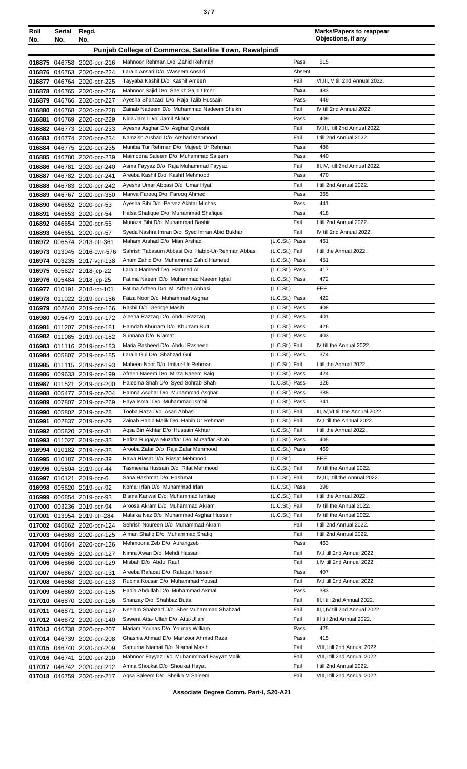| ×<br>٠<br>٦<br>۰.<br>× |  |  |  |
|------------------------|--|--|--|
|------------------------|--|--|--|

| Roll   | Serial | Regd.                                                    |                                                                        |                                  | <b>Marks/Papers to reappear</b><br>Objections, if any |
|--------|--------|----------------------------------------------------------|------------------------------------------------------------------------|----------------------------------|-------------------------------------------------------|
| No.    | No.    | No.                                                      |                                                                        |                                  |                                                       |
|        |        |                                                          | Punjab College of Commerce, Satellite Town, Rawalpindi                 |                                  |                                                       |
|        |        | 016875 046758 2020-pcr-216                               | Mahnoor Rehman D/o Zahid Rehman                                        | Pass                             | 515                                                   |
|        |        | 016876 046763 2020-pcr-224                               | Laraib Ansari D/o Waseem Ansari                                        | Absent                           |                                                       |
|        |        | 016877 046764 2020-pcr-225                               | Tayyaba Kashif D/o Kashif Ameen                                        | Fail                             | VI, III, IV till 2nd Annual 2022.                     |
|        |        | 016878 046765 2020-pcr-226                               | Mahnoor Sajid D/o Sheikh Sajid Umer                                    | Pass                             | 483                                                   |
|        |        | 016879 046766 2020-pcr-227                               | Ayesha Shahzadi D/o Raja Talib Hussain                                 | Pass                             | 449                                                   |
|        |        | 016880 046768 2020-pcr-228                               | Zainab Nadeem D/o Muhammad Nadeem Sheikh                               | Fail                             | IV till 2nd Annual 2022.                              |
|        |        | 016881 046769 2020-pcr-229                               | Nida Jamil D/o Jamil Akhtar                                            | Pass                             | 409                                                   |
|        |        | 016882 046773 2020-pcr-233                               | Ayesha Asghar D/o Asghar Qureshi                                       | Fail                             | IV, III, I till 2nd Annual 2022.                      |
|        |        | 016883 046774 2020-pcr-234                               | Namzish Arshad D/o Arshad Mehmood                                      | Fail                             | I till 2nd Annual 2022.                               |
|        |        | 016884 046775 2020-pcr-235                               | Muniba Tur Rehman D/o Mujeeb Ur Rehman                                 | Pass                             | 486                                                   |
|        |        | 016885 046780 2020-pcr-239                               | Maimoona Saleem D/o Muhammad Saleem                                    | Pass                             | 440                                                   |
|        |        | 016886 046781 2020-pcr-240                               | Asma Fayyaz D/o Raja Muhammad Fayyaz                                   | Fail                             | III, IV, I till 2nd Annual 2022.                      |
|        |        | 016887 046782 2020-pcr-241                               | Areeba Kashif D/o Kashif Mehmood                                       | Pass                             | 470                                                   |
|        |        | 016888 046783 2020-pcr-242                               | Ayesha Umar Abbasi D/o Umar Hyat                                       | Fail                             | I till 2nd Annual 2022.                               |
|        |        | 016889 046767 2020-pcr-350                               | Marwa Faroog D/o Faroog Ahmed                                          | Pass                             | 365                                                   |
|        |        | 016890 046652 2020-pcr-53                                | Ayesha Bibi D/o Pervez Akhtar Minhas                                   | Pass                             | 441                                                   |
|        |        | 016891 046653 2020-pcr-54                                | Hafsa Shafique D/o Muhammad Shafique                                   | Pass                             | 418                                                   |
|        |        | 016892 046654 2020-pcr-55                                | Munaza Bibi D/o Muhammad Bashir                                        | Fail                             | I till 2nd Annual 2022.                               |
|        |        | 016893 046651 2020-pcr-57                                | Syeda Nashra Imran D/o Syed Imran Abid Bukhari                         | Fail                             | IV till 2nd Annual 2022.                              |
|        |        | 016972 006574 2013-ptr-361                               | Maham Arshad D/o Mian Arshad                                           | (L.C.St.) Pass                   | 461                                                   |
|        |        | 016973 013045 2016-cwr-576                               | Sahrish Tabasum Abbasi D/o Habib-Ur-Rehman Abbasi                      | (L.C.St.) Fail                   | I till the Annual 2022.                               |
|        |        | 016974 003235 2017-vgr-138                               | Anum Zahid D/o Muhammad Zahid Hameed                                   | (L.C.St.) Pass                   | 451                                                   |
|        |        | 016975 005627 2018-jcp-22                                | Laraib Hameed D/o Hameed Ali                                           | (L.C.St.) Pass                   | 417                                                   |
|        |        | 016976 005484 2018-jcp-25                                | Fatima Naeem D/o Muhammad Naeem Iqbal                                  | (L.C.St.) Pass                   | 472                                                   |
|        |        | 016977 010191 2018-rcr-101                               | Fatima Arfeen D/o M. Arfeen Abbasi                                     | (L.C.S <sub>t</sub> )            | <b>FEE</b>                                            |
|        |        | 016978 011022 2019-pcr-156                               | Faiza Noor D/o Muhammad Asghar                                         | (L.C.St.) Pass                   | 422                                                   |
|        |        | 016979 002640 2019-pcr-166                               | Rakhil D/o George Masih                                                | (L.C.St.) Pass                   | 408                                                   |
|        |        | 016980 005479 2019-pcr-172                               | Aleena Razzaq D/o Abdul Razzaq                                         | (L.C.St.) Pass                   | 401                                                   |
| 016981 |        | 011207 2019-pcr-181                                      | Hamdah Khurram D/o Khurram Butt                                        | (L.C.St.) Pass                   | 426                                                   |
|        |        | 016982 011085 2019-pcr-182                               | Sunnana D/o Niamat                                                     | (L.C.St.) Pass                   | 403                                                   |
|        |        | 016983 011116 2019-pcr-183                               | Maria Rasheed D/o Abdul Rasheed                                        | (L.C.St.) Fail                   | IV till the Annual 2022.                              |
|        |        | 016984 005807 2019-pcr-185                               | Laraib Gul D/o Shahzad Gul                                             | (L.C.St.) Pass                   | 374                                                   |
|        |        | 016985 011115 2019-pcr-193                               | Maheen Noor D/o Imtiaz-Ur-Rehman                                       | (L.C.St.) Fail                   | I till the Annual 2022.<br>424                        |
|        |        | 016986 009633 2019-pcr-199                               | Afreen Naeem D/o Mirza Naeem Baig<br>Haleema Shah D/o Syed Sohrab Shah | (L.C.St.) Pass<br>(L.C.St.) Pass | 326                                                   |
|        |        | 016987 011521 2019-pcr-200                               | Hamna Asghar D/o Muhammad Asghar                                       | (L.C.St.) Pass                   | 388                                                   |
|        |        | 016988 005477 2019-pcr-204<br>016989 007807 2019-pcr-269 | Haya Ismail D/o Muhammad Ismail                                        | (L.C.St.) Pass                   | 341                                                   |
|        |        |                                                          | Tooba Raza D/o Asad Abbasi                                             | (L.C.St.) Fail                   | III, IV, VI till the Annual 2022.                     |
|        |        | 016990 005802 2019-pcr-28<br>016991 002837 2019-pcr-29   | Zainab Habib Malik D/o Habib Ur Rehman                                 | (L.C.St.) Fail                   | IV, I till the Annual 2022.                           |
|        |        |                                                          | Agsa Bin Akhtar D/o Hussain Akhtar                                     | (L.C.St.) Fail                   | I till the Annual 2022.                               |
|        |        | 016992 005820 2019-pcr-31<br>016993 011027 2019-pcr-33   | Hafiza Rugaiya Muzaffar D/o Muzaffar Shah                              | (L.C.St.) Pass                   | 405                                                   |
|        |        | 016994 010182 2019-pcr-38                                | Arooba Zafar D/o Raja Zafar Mehmood                                    | (L.C.St.) Pass                   | 469                                                   |
|        |        | 016995 010187 2019-pcr-39                                | Rawa Riasat D/o Riasat Mehmood                                         | (L.C.St.)                        | <b>FEE</b>                                            |
|        |        | 016996 005804 2019-pcr-44                                | Tasmeena Hussain D/o Rifat Mehmood                                     | (L.C.St.) Fail                   | IV till the Annual 2022.                              |
|        |        | 016997 010121 2019-pcr-6                                 | Sana Hashmat D/o Hashmat                                               | (L.C.St.) Fail                   | IV, III, I till the Annual 2022.                      |
|        |        | 016998 005620 2019-pcr-92                                | Komal Irfan D/o Muhammad Irfan                                         | (L.C.St.) Pass                   | 398                                                   |
|        |        | 016999 006854 2019-pcr-93                                | Bisma Kanwal D/o Muhammad Ishtiaq                                      | (L.C.St.) Fail                   | I till the Annual 2022.                               |
|        |        | 017000 003236 2019-pcr-94                                | Aroosa Akram D/o Muhammad Akram                                        | (L.C.St.) Fail                   | IV till the Annual 2022.                              |
|        |        | 017001 013954 2019-ptr-284                               | Malaika Naz D/o Muhammad Asghar Hussain                                | (L.C.St.) Fail                   | IV till the Annual 2022.                              |
|        |        | 017002 046862 2020-pcr-124                               | Sehrish Noureen D/o Muhammad Akram                                     | Fail                             | I till 2nd Annual 2022.                               |
|        |        | 017003 046863 2020-pcr-125                               | Aiman Shafiq D/o Muhammad Shafiq                                       | Fail                             | I till 2nd Annual 2022.                               |
|        |        | 017004 046864 2020-pcr-126                               | Mehmoona Zeb D/o Aurangzeb                                             | Pass                             | 463                                                   |
|        |        | 017005 046865 2020-pcr-127                               | Nimra Awan D/o Mehdi Hassan                                            | Fail                             | IV, I till 2nd Annual 2022.                           |
|        |        | 017006 046866 2020-pcr-129                               | Misbah D/o Abdul Rauf                                                  | Fail                             | I, IV till 2nd Annual 2022.                           |
|        |        | 017007 046867 2020-pcr-131                               | Areeba Rafaqat D/o Rafaqat Hussain                                     | Pass                             | 407                                                   |
|        |        | 017008 046868 2020-pcr-133                               | Rubina Kousar D/o Muhammad Yousaf                                      | Fail                             | IV, I till 2nd Annual 2022.                           |
|        |        | 017009 046869 2020-pcr-135                               | Hadia Abdullah D/o Muhammad Akmal                                      | Pass                             | 383                                                   |
|        |        | 017010 046870 2020-pcr-136                               | Shanzay D/o Shahbaz Butta                                              | Fail                             | III,I till 2nd Annual 2022.                           |
|        |        | 017011 046871 2020-pcr-137                               | Neelam Shahzad D/o Sher Muhammad Shahzad                               | Fail                             | III, I, IV till 2nd Annual 2022.                      |
|        |        | 017012 046872 2020-pcr-140                               | Sawera Atta- Ullah D/o Atta-Ullah                                      | Fail                             | III till 2nd Annual 2022.                             |
|        |        | 017013 046738 2020-pcr-207                               | Mariam Younas D/o Younas William                                       | Pass                             | 425                                                   |
|        |        | 017014 046739 2020-pcr-208                               | Ghashia Ahmad D/o Manzoor Ahmad Raza                                   | Pass                             | 415                                                   |
|        |        | 017015 046740 2020-pcr-209                               | Samurna Niamat D/o Niamat Masih                                        | Fail                             | VIII, I till 2nd Annual 2022.                         |
|        |        | 017016 046741 2020-pcr-210                               | Mahnoor Fayyaz D/o Muhammmad Fayyaz Malik                              | Fail                             | VIII, I till 2nd Annual 2022.                         |
|        |        | 017017 046742 2020-pcr-212                               | Amna Shoukat D/o Shoukat Hayat                                         | Fail                             | I till 2nd Annual 2022.                               |
|        |        | 017018 046759 2020-pcr-217                               | Aqsa Saleem D/o Sheikh M Saleem                                        | Fail                             | VIII, I till 2nd Annual 2022.                         |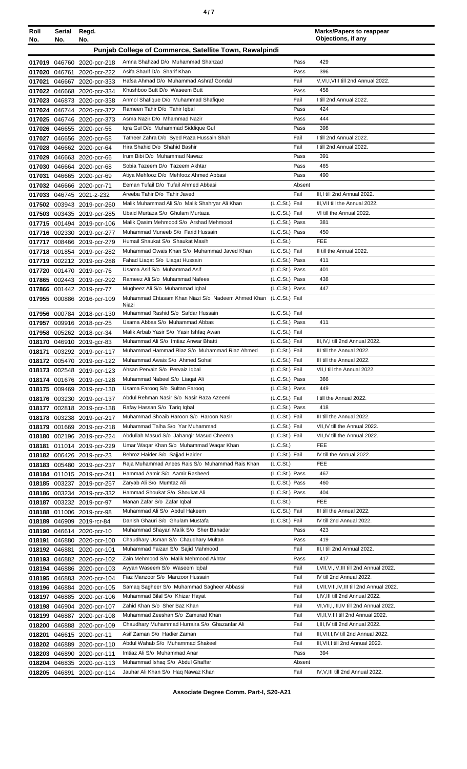|--|--|--|

| Roll              | Serial | Regd.                      |                                                                  |                | <b>Marks/Papers to reappear</b><br>Objections, if any |
|-------------------|--------|----------------------------|------------------------------------------------------------------|----------------|-------------------------------------------------------|
| No.<br>No.<br>No. |        |                            |                                                                  |                |                                                       |
|                   |        |                            | Punjab College of Commerce, Satellite Town, Rawalpindi           |                |                                                       |
|                   |        | 017019 046760 2020-pcr-218 | Amna Shahzad D/o Muhammad Shahzad                                | Pass           | 429                                                   |
|                   |        | 017020 046761 2020-pcr-222 | Asifa Sharif D/o Sharif Khan                                     | Pass           | 396                                                   |
|                   |        | 017021 046667 2020-pcr-333 | Hafsa Ahmad D/o Muhammad Ashraf Gondal                           | Fail           | V, VI, I, VIII till 2nd Annual 2022.                  |
|                   |        | 017022 046668 2020-pcr-334 | Khushboo Butt D/o Waseem Butt                                    | Pass           | 458                                                   |
|                   |        | 017023 046873 2020-pcr-338 | Anmol Shafique D/o Muhammad Shafique                             | Fail           | I till 2nd Annual 2022.                               |
|                   |        | 017024 046744 2020-pcr-372 | Rameen Tahir D/o Tahir Iqbal                                     | Pass           | 424                                                   |
|                   |        | 017025 046746 2020-pcr-373 | Asma Nazir D/o Mhammad Nazir                                     | Pass           | 444                                                   |
|                   |        | 017026 046655 2020-pcr-56  | Igra Gul D/o Muhammad Siddique Gul                               | Pass           | 398                                                   |
|                   |        | 017027 046656 2020-pcr-58  | Tatheer Zahra D/o Syed Raza Hussain Shah                         | Fail           | I till 2nd Annual 2022.                               |
|                   |        | 017028 046662 2020-pcr-64  | Hira Shahid D/o Shahid Bashir                                    | Fail           | I till 2nd Annual 2022.                               |
|                   |        | 017029 046663 2020-pcr-66  | Irum Bibi D/o Muhammad Nawaz                                     | Pass           | 391                                                   |
|                   |        | 017030 046664 2020-pcr-68  | Sobia Tazeem D/o Tazeem Akhtar                                   | Pass           | 465                                                   |
| 017031            |        | 046665 2020-pcr-69         | Atiya Mehfooz D/o Mehfooz Ahmed Abbasi                           | Pass           | 490                                                   |
|                   |        | 017032 046666 2020-pcr-71  | Eeman Tufail D/o Tufail Ahmed Abbasi                             | Absent         |                                                       |
|                   |        | 017033 046745 2021-z-232   | Areeba Tahir D/o Tahir Javed                                     | Fail           | III, I till 2nd Annual 2022.                          |
|                   |        | 017502 003943 2019-pcr-260 | Malik Muhammad Ali S/o Malik Shahryar Ali Khan                   | (L.C.St.) Fail | III, VII till the Annual 2022.                        |
|                   |        | 017503 003435 2019-pcr-285 | Ubaid Murtaza S/o Ghulam Murtaza                                 | (L.C.St.) Fail | VI till the Annual 2022.                              |
|                   |        | 017715 001494 2019-pcr-106 | Malik Qasim Mehmood S/o Arshad Mehmood                           | (L.C.St.) Pass | 381                                                   |
|                   |        | 017716 002330 2019-pcr-277 | Muhammad Muneeb S/o Farid Hussain                                | (L.C.St.) Pass | 450                                                   |
|                   |        | 017717 008466 2019-pcr-279 | Humail Shaukat S/o Shaukat Masih                                 | (L.C.St.)      | <b>FEE</b>                                            |
|                   |        | 017718 001854 2019-pcr-282 | Muhammad Owais Khan S/o Muhammad Javed Khan                      | (L.C.St.) Fail | II till the Annual 2022.                              |
|                   |        | 017719 002212 2019-pcr-288 | Fahad Liaqat S/o Liaqat Hussain                                  | (L.C.St.) Pass | 411                                                   |
|                   |        | 017720 001470 2019-pcr-76  | Usama Asif S/o Muhammad Asif                                     | (L.C.St.) Pass | 401                                                   |
|                   |        | 017865 002443 2019-pcr-292 | Rameez Ali S/o Muhammad Nafees                                   | (L.C.St.) Pass | 438                                                   |
|                   |        | 017866 001442 2019-pcr-77  | Mugheez Ali S/o Muhammad Iqbal                                   | (L.C.St.) Pass | 447                                                   |
|                   |        | 017955 000886 2016-pcr-109 | Muhammad Ehtasam Khan Niazi S/o Nadeem Ahmed Khan (L.C.St.) Fail |                |                                                       |
|                   |        |                            | Niazi<br>Muhammad Rashid S/o Safdar Hussain                      | (L.C.St.) Fail |                                                       |
|                   |        | 017956 000784 2018-pcr-130 | Usama Abbas S/o Muhammad Abbas                                   | (L.C.St.) Pass | 411                                                   |
|                   |        | 017957 009916 2018-pcr-25  | Malik Arbab Yasir S/o Yasir Ishfaq Awan                          |                |                                                       |
| 017958            |        | 005262 2018-pcr-34         |                                                                  | (L.C.St.) Fail |                                                       |
|                   |        | 018170 046910 2019-gcr-83  | Muhammad Ali S/o Imtiaz Anwar Bhatti                             | (L.C.St.) Fail | III, IV, I till 2nd Annual 2022.                      |
|                   |        | 018171 003292 2019-pcr-117 | Muhammad Hammad Riaz S/o Muhammad Riaz Ahmed                     | (L.C.St.) Fail | III till the Annual 2022.                             |
|                   |        | 018172 005470 2019-pcr-122 | Muhammad Awais S/o Ahmed Sohail                                  | (L.C.St.) Fail | III till the Annual 2022.                             |
|                   |        | 018173 002548 2019-pcr-123 | Ahsan Pervaiz S/o Pervaiz Iqbal                                  | (L.C.St.) Fail | VII, I till the Annual 2022.                          |
|                   |        | 018174 001676 2019-pcr-128 | Muhammad Nabeel S/o Liagat Ali                                   | (L.C.St.) Pass | 366                                                   |
|                   |        | 018175 009469 2019-pcr-130 | Usama Farooq S/o Sultan Farooq                                   | (L.C.St.) Pass | 449                                                   |
|                   |        | 018176 003230 2019-pcr-137 | Abdul Rehman Nasir S/o Nasir Raza Azeemi                         | (L.C.St.) Fail | I till the Annual 2022.                               |
|                   |        | 018177 002818 2019-pcr-138 | Rafay Hassan S/o Tariq Iqbal                                     | (L.C.St.) Pass | 418                                                   |
|                   |        | 018178 003238 2019-pcr-217 | Muhammad Shoaib Haroon S/o Haroon Nasir                          | (L.C.St.) Fail | III till the Annual 2022.                             |
|                   |        | 018179 001669 2019-pcr-218 | Muhammad Talha S/o Yar Muhammad                                  | (L.C.St.) Fail | VII, IV till the Annual 2022.                         |
|                   |        | 018180 002196 2019-pcr-224 | Abdullah Masud S/o Jahangir Masud Cheema                         | (L.C.St.) Fail | VII, IV till the Annual 2022.                         |
| 018181            |        | 011014 2019-pcr-229        | Umar Waqar Khan S/o Muhammad Waqar Khan                          | (L.C.St.)      | FEE                                                   |
|                   |        | 018182 006426 2019-pcr-23  | Behroz Haider S/o Sajjad Haider                                  | (L.C.St.) Fail | IV till the Annual 2022.                              |
|                   |        | 018183 005480 2019-pcr-237 | Raja Muhammad Anees Rais S/o Muhammad Rais Khan                  | (L.C.St.)      | FEE                                                   |
|                   |        | 018184 011015 2019-pcr-241 | Hammad Aamir S/o Aamir Rasheed                                   | (L.C.St.) Pass | 467                                                   |
|                   |        | 018185 003237 2019-pcr-257 | Zaryab Ali S/o Mumtaz Ali                                        | (L.C.St.) Pass | 460                                                   |
|                   |        | 018186 003234 2019-pcr-332 | Hammad Shoukat S/o Shoukat Ali                                   | (L.C.St.) Pass | 404                                                   |
|                   |        | 018187 003232 2019-pcr-97  | Manan Zafar S/o Zafar Iqbal                                      | (L.C.St.)      | <b>FEE</b>                                            |
|                   |        | 018188 011006 2019-pcr-98  | Muhammad Ali S/o Abdul Hakeem                                    | (L.C.St.) Fail | III till the Annual 2022.                             |
| 018189            |        | 046909 2019-rcr-84         | Danish Ghauri S/o Ghulam Mustafa                                 | (L.C.St.) Fail | IV till 2nd Annual 2022.                              |
|                   |        | 018190 046614 2020-pcr-10  | Muhammad Shayan Malik S/o Sher Bahadar                           | Pass           | 423                                                   |
|                   |        | 018191 046880 2020-pcr-100 | Chaudhary Usman S/o Chaudhary Multan                             | Pass           | 419                                                   |
|                   |        | 018192 046881 2020-pcr-101 | Muhammad Faizan S/o Sajid Mahmood                                | Fail           | III, I till 2nd Annual 2022.                          |
|                   |        | 018193 046882 2020-pcr-102 | Zain Mehmood S/o Malik Mehmood Akhtar                            | Pass           | 417                                                   |
|                   |        | 018194 046886 2020-pcr-103 | Ayyan Waseem S/o Waseem Iqbal                                    | Fail           | I, VII, VI, IV, III till 2nd Annual 2022.             |
|                   |        | 018195 046883 2020-pcr-104 | Fiaz Manzoor S/o Manzoor Hussain                                 | Fail           | IV till 2nd Annual 2022.                              |
|                   |        | 018196 046884 2020-pcr-105 | Samaq Sagheer S/o Muhammad Sagheer Abbassi                       | Fail           | I, VII, VIII, IV, III till 2nd Annual 2022.           |
|                   |        | 018197 046885 2020-pcr-106 | Muhammad Bilal S/o Khizar Hayat                                  | Fail           | I,IV,III till 2nd Annual 2022.                        |
|                   |        | 018198 046904 2020-pcr-107 | Zahid Khan S/o Sher Baz Khan                                     | Fail           | VI, VII, I, III, IV till 2nd Annual 2022.             |
|                   |        | 018199 046887 2020-pcr-108 | Muhammad Zeeshan S/o Zamurad Khan                                | Fail           | VI, II, V, III till 2nd Annual 2022.                  |
| 018200            |        | 046888 2020-pcr-109        | Chaudhary Muhammad Hurraira S/o Ghazanfar Ali                    | Fail           | I, III, IV till 2nd Annual 2022.                      |
| 018201            |        | 046615 2020-pcr-11         | Asif Zaman S/o Hadier Zaman                                      | Fail           | III, VII, I, IV till 2nd Annual 2022.                 |
|                   |        | 018202 046889 2020-pcr-110 | Abdul Wahab S/o Muhammad Shakeel                                 | Fail           | III, VII, I till 2nd Annual 2022.                     |
|                   |        | 018203 046890 2020-pcr-111 | Imtiaz Ali S/o Muhammad Anar                                     | Pass           | 394                                                   |
|                   |        | 018204 046835 2020-pcr-113 | Muhammad Ishaq S/o Abdul Ghaffar                                 | Absent         |                                                       |
|                   |        | 018205 046891 2020-pcr-114 | Jauhar Ali Khan S/o Haq Nawaz Khan                               | Fail           | IV, V, III till 2nd Annual 2022.                      |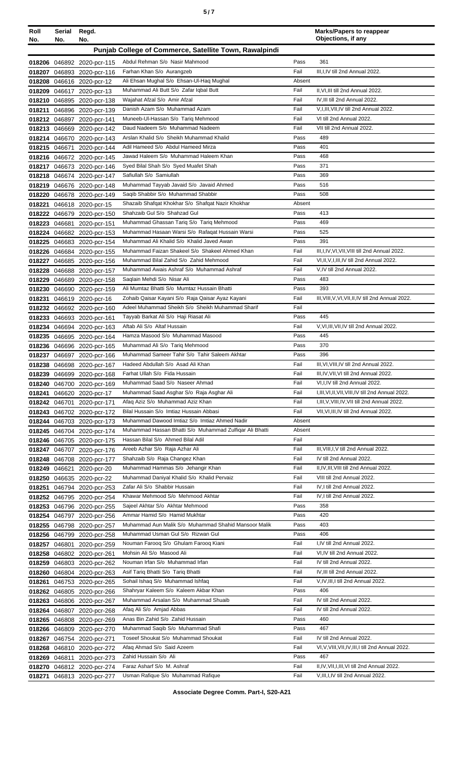| ٠<br>٠<br>I<br>×<br>۰, |  |  |
|------------------------|--|--|
|------------------------|--|--|

| Roll             | Serial<br>No. | Regd.<br>No.                                            |                                                                               |              | <b>Marks/Papers to reappear</b><br>Objections, if any     |
|------------------|---------------|---------------------------------------------------------|-------------------------------------------------------------------------------|--------------|-----------------------------------------------------------|
| No.              |               |                                                         | Punjab College of Commerce, Satellite Town, Rawalpindi                        |              |                                                           |
|                  |               |                                                         |                                                                               |              |                                                           |
|                  |               | 018206 046892 2020-pcr-115                              | Abdul Rehman S/o Nasir Mahmood<br>Farhan Khan S/o Aurangzeb                   | Pass<br>Fail | 361<br>III, I, IV till 2nd Annual 2022.                   |
|                  |               | 018207 046893 2020-pcr-116<br>018208 046616 2020-pcr-12 | Ali Ehsan Mughal S/o Ehsan-Ul-Haq Mughal                                      | Absent       |                                                           |
|                  |               | 018209 046617 2020-pcr-13                               | Muhammad Ali Butt S/o Zafar Iqbal Butt                                        | Fail         | II, VI, III till 2nd Annual 2022.                         |
|                  |               | 018210 046895 2020-pcr-138                              | Wajahat Afzal S/o Amir Afzal                                                  | Fail         | IV, III till 2nd Annual 2022.                             |
|                  |               | 018211 046896 2020-pcr-139                              | Danish Azam S/o Muhammad Azam                                                 | Fail         | V,I,III,VII,IV till 2nd Annual 2022.                      |
|                  |               | 018212 046897 2020-pcr-141                              | Muneeb-Ul-Hassan S/o Tariq Mehmood                                            | Fail         | VI till 2nd Annual 2022.                                  |
|                  |               | 018213 046669 2020-pcr-142                              | Daud Nadeem S/o Muhammad Nadeem                                               | Fail         | VII till 2nd Annual 2022.                                 |
|                  |               | 018214 046670 2020-pcr-143                              | Arslan Khalid S/o Sheikh Muhammad Khalid                                      | Pass         | 489                                                       |
|                  |               | 018215 046671 2020-pcr-144                              | Adil Hameed S/o Abdul Hameed Mirza                                            | Pass         | 401                                                       |
|                  |               | 018216 046672 2020-pcr-145                              | Jawad Haleem S/o Muhammad Haleem Khan                                         | Pass         | 468                                                       |
|                  |               | 018217 046673 2020-pcr-146                              | Syed Bilal Shah S/o Syed Muafet Shah                                          | Pass         | 371                                                       |
|                  |               | 018218 046674 2020-pcr-147                              | Safiullah S/o Samiullah                                                       | Pass         | 369                                                       |
|                  |               | 018219 046676 2020-pcr-148                              | Muhammad Tayyab Javaid S/o Javaid Ahmed<br>Saqib Shabbir S/o Muhammad Shabbir | Pass<br>Pass | 516<br>508                                                |
|                  |               | 018220 046678 2020-pcr-149                              | Shazaib Shafqat Khokhar S/o Shafqat Nazir Khokhar                             | Absent       |                                                           |
| 018221           |               | 046618 2020-pcr-15<br>018222 046679 2020-pcr-150        | Shahzaib Gul S/o Shahzad Gul                                                  | Pass         | 413                                                       |
|                  |               | 018223 046681 2020-pcr-151                              | Muhammad Ghassan Tariq S/o Tariq Mehmood                                      | Pass         | 469                                                       |
|                  |               | 018224 046682 2020-pcr-153                              | Muhammad Hasaan Warsi S/o Rafaqat Hussain Warsi                               | Pass         | 525                                                       |
|                  |               | 018225 046683 2020-pcr-154                              | Muhammad Ali Khalid S/o Khalid Javed Awan                                     | Pass         | 391                                                       |
|                  |               | 018226 046684 2020-pcr-155                              | Muhammad Faizan Shakeel S/o Shakeel Ahmed Khan                                | Fail         | III, I, IV, VI, VII, VIII till 2nd Annual 2022.           |
| 018227           |               | 046685 2020-pcr-156                                     | Muhammad Bilal Zahid S/o Zahid Mehmood                                        | Fail         | VI, II, V, I, III, IV till 2nd Annual 2022.               |
|                  |               | 018228 046688 2020-pcr-157                              | Muhammad Awais Ashraf S/o Muhammad Ashraf                                     | Fail         | V,IV till 2nd Annual 2022.                                |
| 018229           |               | 046689 2020-pcr-158                                     | Saglain Mehdi S/o Nisar Ali                                                   | Pass         | 483                                                       |
| 018230           |               | 046690 2020-pcr-159                                     | Ali Mumtaz Bhatti S/o Mumtaz Hussain Bhatti                                   | Pass         | 393                                                       |
| 018231           |               | 046619 2020-pcr-16                                      | Zohaib Qaisar Kayani S/o Raja Qaisar Ayaz Kayani                              | Fail         | III, VIII, V, VI, VII, II, IV till 2nd Annual 2022.       |
|                  |               | 018232 046692 2020-pcr-160                              | Adeel Muhammad Sheikh S/o Sheikh Muhammad Sharif                              | Fail         |                                                           |
| 018233           |               | 046693 2020-pcr-161                                     | Tayyab Barkat Ali S/o Haji Riasat Ali                                         | Pass         | 445                                                       |
|                  |               | 018234 046694 2020-pcr-163                              | Aftab Ali S/o Altaf Hussain                                                   | Fail         | V, VI, III, VII, IV till 2nd Annual 2022.                 |
|                  |               | 018235 046695 2020-pcr-164                              | Hamza Masood S/o Muhammad Masood<br>Muhammad Ali S/o Tariq Mehmood            | Pass<br>Pass | 445<br>370                                                |
|                  |               | 018236 046696 2020-pcr-165                              | Muhammad Sameer Tahir S/o Tahir Saleem Akhtar                                 | Pass         | 396                                                       |
| 018237           |               | 046697 2020-pcr-166<br>018238 046698 2020-pcr-167       | Hadeed Abdullah S/o Asad Ali Khan                                             | Fail         | III, VI, VIII, IV till 2nd Annual 2022.                   |
|                  |               | 018239 046699 2020-pcr-168                              | Farhat Ullah S/o Fida Hussain                                                 | Fail         | III, IV, VII, VI till 2nd Annual 2022.                    |
| 018240           | 046700        | 2020-pcr-169                                            | Muhammad Saad S/o Naseer Ahmad                                                | Fail         | VI, I, IV till 2nd Annual 2022.                           |
|                  |               | 018241 046620 2020-pcr-17                               | Muhammad Saad Asghar S/o Raja Asghar Ali                                      | Fail         | I, III, VI, II, VII, VIII, IV till 2nd Annual 2022.       |
|                  |               | 018242 046701 2020-pcr-171                              | Afaq Aziz S/o Muhammad Aziz Khan                                              | Fail         | I, III, V, VIII, IV, VII till 2nd Annual 2022.            |
|                  |               | 018243 046702 2020-pcr-172                              | Bilal Hussain S/o Imtiaz Hussain Abbasi                                       | Fail         | VII, VI, III, IV till 2nd Annual 2022.                    |
|                  |               | 018244 046703 2020-pcr-173                              | Muhammad Dawood Imtiaz S/o Imtiaz Ahmed Nadir                                 | Absent       |                                                           |
|                  |               | 018245 046704 2020-pcr-174                              | Muhammad Hassan Bhatti S/o Muhammad Zulfigar Ali Bhatti                       | Absent       |                                                           |
|                  |               | 018246 046705 2020-pcr-175                              | Hassan Bilal S/o Ahmed Bilal Adil                                             | Fail         |                                                           |
|                  |               | 018247 046707 2020-pcr-176                              | Areeb Azhar S/o Raja Azhar Ali                                                | Fail         | III, VIII, I, V till 2nd Annual 2022.                     |
|                  |               | 018248 046708 2020-pcr-177                              | Shahzaib S/o Raja Changez Khan                                                | Fail         | IV till 2nd Annual 2022.                                  |
| 018249           | 046621        | 2020-pcr-20                                             | Muhammad Hammas S/o Jehangir Khan                                             | Fail         | II, IV, III, VIII till 2nd Annual 2022.                   |
| 018250           |               | 046635 2020-pcr-22                                      | Muhammad Daniyal Khalid S/o Khalid Pervaiz<br>Zafar Ali S/o Shabbir Hussain   | Fail<br>Fail | VIII till 2nd Annual 2022.<br>IV, I till 2nd Annual 2022. |
| 018251           |               | 046794 2020-pcr-253<br>018252 046795 2020-pcr-254       | Khawar Mehmood S/o Mehmood Akhtar                                             | Fail         | IV, I till 2nd Annual 2022.                               |
| 018253           |               | 046796 2020-pcr-255                                     | Sajeel Akhtar S/o Akhtar Mehmood                                              | Pass         | 358                                                       |
|                  |               | 018254 046797 2020-pcr-256                              | Ammar Hamid S/o Hamid Mukhtar                                                 | Pass         | 420                                                       |
|                  |               | 018255 046798 2020-pcr-257                              | Muhammad Aun Malik S/o Muhammad Shahid Mansoor Malik                          | Pass         | 403                                                       |
|                  |               | 018256 046799 2020-pcr-258                              | Muhammad Usman Gul S/o Rizwan Gul                                             | Pass         | 406                                                       |
| 018257           |               | 046801 2020-pcr-259                                     | Nouman Faroog S/o Ghulam Faroog Kiani                                         | Fail         | I,IV till 2nd Annual 2022.                                |
| 018258           |               | 046802 2020-pcr-261                                     | Mohsin Ali S/o Masood Ali                                                     | Fail         | VI, IV till 2nd Annual 2022.                              |
|                  |               | 018259 046803 2020-pcr-262                              | Nouman Irfan S/o Muhammad Irfan                                               | Fail         | IV till 2nd Annual 2022.                                  |
|                  |               | 018260 046804 2020-pcr-263                              | Asif Tariq Bhatti S/o Tariq Bhatti                                            | Fail         | IV, III till 2nd Annual 2022.                             |
| 018261           |               | 046753 2020-pcr-265                                     | Sohail Ishaq S/o Muhammad Ishfaq                                              | Fail         | V,IV,III,I till 2nd Annual 2022.                          |
| 018262           |               | 046805 2020-pcr-266                                     | Shahryar Kaleem S/o Kaleem Akbar Khan                                         | Pass         | 406                                                       |
| 018263           |               | 046806 2020-pcr-267                                     | Muhammad Arsalan S/o Muhammad Shuaib                                          | Fail         | IV till 2nd Annual 2022.                                  |
|                  |               | 018264 046807 2020-pcr-268                              | Afaq Ali S/o Amjad Abbas                                                      | Fail         | IV till 2nd Annual 2022.                                  |
| 018265           |               | 046808 2020-pcr-269                                     | Anas Bin Zahid S/o Zahid Hussain<br>Muhammad Saqib S/o Muhammad Shafi         | Pass<br>Pass | 460<br>467                                                |
|                  |               | 018266 046809 2020-pcr-270                              | Toseef Shoukat S/o Muhammad Shoukat                                           | Fail         | IV till 2nd Annual 2022.                                  |
| 018267<br>018268 |               | 046754 2020-pcr-271<br>046810 2020-pcr-272              | Afaq Ahmad S/o Said Azeem                                                     | Fail         | VI, V, VIII, VII, IV, III, I till 2nd Annual 2022.        |
| 018269           | 046811        | 2020-pcr-273                                            | Zahid Hussain S/o Ali                                                         | Pass         | 467                                                       |
| 018270           |               | 046812 2020-pcr-274                                     | Faraz Asharf S/o M. Ashraf                                                    | Fail         | II,IV, VII, I, III, VI till 2nd Annual 2022.              |
| 018271           |               | 046813 2020-pcr-277                                     | Usman Rafique S/o Muhammad Rafique                                            | Fail         | V, III, I, IV till 2nd Annual 2022.                       |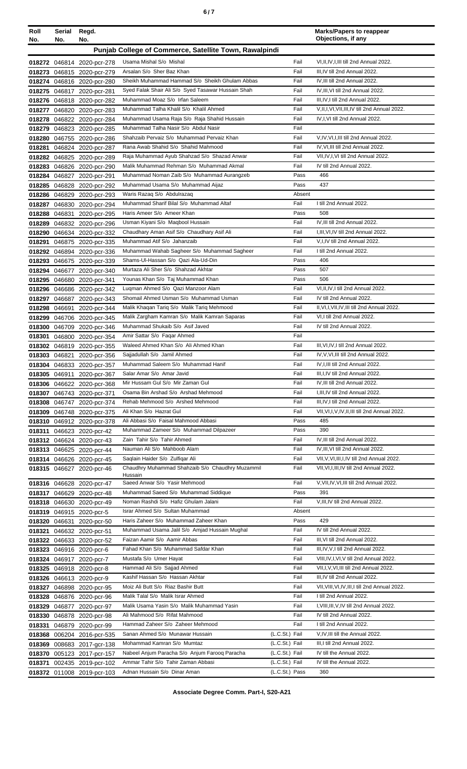| i<br>×<br>۰.<br>× |  |
|-------------------|--|
|-------------------|--|

| Roll   | Serial        | Regd.                                                    |                                                                            |                | <b>Marks/Papers to reappear</b><br>Objections, if any                                |
|--------|---------------|----------------------------------------------------------|----------------------------------------------------------------------------|----------------|--------------------------------------------------------------------------------------|
| No.    | No.           | No.                                                      |                                                                            |                |                                                                                      |
|        |               |                                                          | Punjab College of Commerce, Satellite Town, Rawalpindi                     |                |                                                                                      |
|        |               | 018272 046814 2020-pcr-278                               | Usama Mishal S/o Mishal                                                    | Fail           | VI, II, IV, I, III till 2nd Annual 2022.                                             |
|        |               | 018273 046815 2020-pcr-279                               | Arsalan S/o Sher Baz Khan                                                  | Fail           | III, IV till 2nd Annual 2022.                                                        |
|        |               | 018274 046816 2020-pcr-280                               | Sheikh Muhammad Hammad S/o Sheikh Ghulam Abbas                             | Fail           | IV.III till 2nd Annual 2022.                                                         |
|        |               | 018275 046817 2020-pcr-281                               | Syed Falak Shair Ali S/o Syed Tasawar Hussain Shah                         | Fail           | IV, III, VI till 2nd Annual 2022.                                                    |
|        |               | 018276 046818 2020-pcr-282                               | Muhammad Moaz S/o Irfan Saleem<br>Muhammad Talha Khalil S/o Khalil Ahmed   | Fail<br>Fail   | III, IV, I till 2nd Annual 2022.<br>V, II, I, VI, VII, III, IV till 2nd Annual 2022. |
|        |               | 018277 046820 2020-pcr-283<br>018278 046822 2020-pcr-284 | Muhammad Usama Raja S/o Raja Shahid Hussain                                | Fail           | IV, I, VI till 2nd Annual 2022.                                                      |
|        |               | 018279 046823 2020-pcr-285                               | Muhammad Talha Nasir S/o Abdul Nasir                                       | Fail           |                                                                                      |
|        |               | 018280 046755 2020-pcr-286                               | Shahzaib Pervaiz S/o Muhammad Pervaiz Khan                                 | Fail           | V, IV, VI, I, III till 2nd Annual 2022.                                              |
| 018281 |               | 046824 2020-pcr-287                                      | Rana Awab Shahid S/o Shahid Mahmood                                        | Fail           | IV, VI, III till 2nd Annual 2022.                                                    |
|        |               | 018282 046825 2020-pcr-289                               | Raja Muhammad Ayub Shahzad S/o Shazad Anwar                                | Fail           | VII, IV, I, VI till 2nd Annual 2022.                                                 |
|        |               | 018283 046826 2020-pcr-290                               | Malik Muhammad Rehman S/o Muhammad Akmal                                   | Fail           | IV till 2nd Annual 2022.                                                             |
| 018284 |               | 046827 2020-pcr-291                                      | Muhammad Noman Zaib S/o Muhammad Aurangzeb                                 | Pass           | 466                                                                                  |
|        |               | 018285 046828 2020-pcr-292                               | Muhammad Usama S/o Muhammad Aijaz                                          | Pass           | 437                                                                                  |
|        |               | 018286 046829 2020-pcr-293                               | Waris Razag S/o Abdulrazag                                                 | Absent         |                                                                                      |
| 018287 |               | 046830 2020-pcr-294                                      | Muhammad Sharif Bilal S/o Muhammad Altaf                                   | Fail           | I till 2nd Annual 2022.                                                              |
|        |               | 018288 046831 2020-pcr-295                               | Haris Ameer S/o Ameer Khan                                                 | Pass           | 508                                                                                  |
| 018289 |               | 046832 2020-pcr-296                                      | Usman Kiyani S/o Maqbool Hussain                                           | Fail           | IV, III till 2nd Annual 2022.                                                        |
| 018290 |               | 046634 2020-pcr-332                                      | Chaudhary Aman Asif S/o Chaudhary Asif Ali                                 | Fail           | I, III, VI, IV till 2nd Annual 2022.                                                 |
| 018291 |               | 046875 2020-pcr-335                                      | Muhammad Atif S/o Jahanzaib<br>Muhammad Wahab Sagheer S/o Muhammad Sagheer | Fail<br>Fail   | V,I,IV till 2nd Annual 2022.<br>I till 2nd Annual 2022.                              |
|        |               | 018292 046894 2020-pcr-336<br>018293 046675 2020-pcr-339 | Shams-Ul-Hassan S/o Qazi Ala-Ud-Din                                        | Pass           | 406                                                                                  |
|        |               | 018294 046677 2020-pcr-340                               | Murtaza Ali Sher S/o Shahzad Akhtar                                        | Pass           | 507                                                                                  |
|        |               | 018295 046680 2020-pcr-341                               | Younas Khan S/o Taj Muhammad Khan                                          | Pass           | 506                                                                                  |
|        |               | 018296 046686 2020-pcr-342                               | Lugman Ahmed S/o Qazi Manzoor Alam                                         | Fail           | VI, II, IV, I till 2nd Annual 2022.                                                  |
| 018297 |               | 046687 2020-pcr-343                                      | Shomail Ahmed Usman S/o Muhammad Usman                                     | Fail           | IV till 2nd Annual 2022.                                                             |
| 018298 |               | 046691 2020-pcr-344                                      | Malik Khaqan Tariq S/o Malik Tariq Mehmood                                 | Fail           | II, VI, I, VII, IV, III till 2nd Annual 2022.                                        |
| 018299 |               | 046706 2020-pcr-345                                      | Malik Zargham Kamran S/o Malik Kamran Saparas                              | Fail           | VI, I till 2nd Annual 2022.                                                          |
| 018300 |               | 046709 2020-pcr-346                                      | Muhammad Shukaib S/o Asif Javed                                            | Fail           | IV till 2nd Annual 2022.                                                             |
| 018301 |               | 046800 2020-pcr-354                                      | Amir Sattar S/o Fagar Ahmed                                                | Fail           |                                                                                      |
|        |               | 018302 046819 2020-pcr-355                               | Waleed Ahmed Khan S/o Ali Ahmed Khan                                       | Fail           | III, VI, IV, I till 2nd Annual 2022.                                                 |
| 018303 |               | 046821 2020-pcr-356                                      | Sajjadullah S/o Jamil Ahmed                                                | Fail           | IV, V, VI, III till 2nd Annual 2022.                                                 |
|        |               | 018304 046833 2020-pcr-357                               | Muhammad Saleem S/o Muhammad Hanif                                         | Fail           | IV, I, III till 2nd Annual 2022.<br>III, I, IV till 2nd Annual 2022.                 |
|        |               | 018305 046911 2020-pcr-367                               | Salar Amar S/o Amar Javid<br>Mir Hussam Gul S/o Mir Zaman Gul              | Fail<br>Fail   | IV, III till 2nd Annual 2022.                                                        |
|        |               | 018306 046622 2020-pcr-368<br>018307 046743 2020-pcr-371 | Osama Bin Arshad S/o Arshad Mehmood                                        | Fail           | I, III, IV till 2nd Annual 2022.                                                     |
|        |               | 018308 046747 2020-pcr-374                               | Rehab Mehmood S/o Arshed Mehmood                                           | Fail           | III, IV, I till 2nd Annual 2022.                                                     |
|        |               | 018309 046748 2020-pcr-375                               | Ali Khan S/o Hazrat Gul                                                    | Fail           | VII, VI, I, V, IV, II, III till 2nd Annual 2022.                                     |
|        |               | 018310 046912 2020-pcr-378                               | Ali Abbasi S/o Faisal Mahmood Abbasi                                       | Pass           | 485                                                                                  |
| 018311 |               | 046623 2020-pcr-42                                       | Muhammad Zameer S/o Muhammad Dilpazeer                                     | Pass           | 390                                                                                  |
|        |               | 018312 046624 2020-pcr-43                                | Zain Tahir S/o Tahir Ahmed                                                 | Fail           | IV, III till 2nd Annual 2022.                                                        |
|        |               | 018313 046625 2020-pcr-44                                | Nauman Ali S/o Mahboob Alam                                                | Fail           | IV, III, VI till 2nd Annual 2022.                                                    |
|        |               | 018314 046626 2020-pcr-45                                | Saqlain Haider S/o Zulfigar Ali                                            | Fail           | VII, V, VI, III, I, IV till 2nd Annual 2022.                                         |
|        |               | 018315 046627 2020-pcr-46                                | Chaudhry Muhammad Shahzaib S/o Chaudhry Muzammil<br>Hussain                | Fail           | VII, VI, I, III, IV till 2nd Annual 2022.                                            |
|        |               | 018316 046628 2020-pcr-47                                | Saeed Anwar S/o Yasir Mehmood                                              | Fail           | V, VII, IV, VI, III till 2nd Annual 2022.                                            |
|        |               | 018317 046629 2020-pcr-48                                | Muhammad Saeed S/o Muhammad Siddique                                       | Pass           | 391                                                                                  |
|        |               | 018318 046630 2020-pcr-49                                | Noman Rashdi S/o Hafiz Ghulam Jalani                                       | Fail           | V, III, IV till 2nd Annual 2022.                                                     |
|        |               | 018319 046915 2020-pcr-5                                 | Israr Ahmed S/o Sultan Muhammad                                            | Absent         |                                                                                      |
|        | 018320 046631 | 2020-pcr-50                                              | Haris Zaheer S/o Muhammad Zaheer Khan                                      | Pass           | 429                                                                                  |
| 018321 |               | 046632 2020-pcr-51                                       | Muhammad Usama Jalil S/o Amjad Hussain Mughal                              | Fail           | IV till 2nd Annual 2022.                                                             |
|        |               | 018322 046633 2020-pcr-52                                | Faizan Aamir S/o Aamir Abbas                                               | Fail           | III, VI till 2nd Annual 2022.                                                        |
|        |               | 018323 046916 2020-pcr-6                                 | Fahad Khan S/o Muhammad Safdar Khan                                        | Fail           | III, IV, V, I till 2nd Annual 2022.                                                  |
|        |               | 018324 046917 2020-pcr-7                                 | Mustafa S/o Umer Hayat<br>Hammad Ali S/o Sajjad Ahmed                      | Fail<br>Fail   | VIII, IV, I, VI, V till 2nd Annual 2022.<br>VII, I, V, VI, III till 2nd Annual 2022. |
|        |               | 018325 046918 2020-pcr-8                                 | Kashif Hassan S/o Hassan Akhtar                                            | Fail           | III, IV till 2nd Annual 2022.                                                        |
| 018327 |               | 018326 046613 2020-pcr-9<br>046898 2020-pcr-95           | Moiz Ali Butt S/o Riaz Bashir Butt                                         | Fail           | VII, VIII, VI, IV, III, I till 2nd Annual 2022.                                      |
| 018328 |               | 046876 2020-pcr-96                                       | Malik Talal S/o Malik Israr Ahmed                                          | Fail           | I till 2nd Annual 2022.                                                              |
| 018329 |               | 046877 2020-pcr-97                                       | Malik Usama Yasin S/o Malik Muhammad Yasin                                 | Fail           | I, VIII, III, V, IV till 2nd Annual 2022.                                            |
|        |               | 018330 046878 2020-pcr-98                                | Ali Mahmood S/o Rifat Mahmood                                              | Fail           | IV till 2nd Annual 2022.                                                             |
| 018331 |               | 046879 2020-pcr-99                                       | Hammad Zaheer S/o Zaheer Mehmood                                           | Fail           | I till 2nd Annual 2022.                                                              |
|        |               | 018368 006204 2016-pcr-535                               | Sanan Ahmed S/o Munawar Hussain                                            | (L.C.St.) Fail | V, IV, III till the Annual 2022.                                                     |
|        |               | 018369 008683 2017-gcr-138                               | Mohammad Kamran S/o Mumtaz                                                 | (L.C.St.) Fail | III,I till 2nd Annual 2022.                                                          |
|        |               | 018370 005123 2017-pcr-157                               | Nabeel Anjum Paracha S/o Anjum Farooq Paracha                              | (L.C.St.) Fail | IV till the Annual 2022.                                                             |
| 018371 |               | 002435 2019-pcr-102                                      | Ammar Tahir S/o Tahir Zaman Abbasi                                         | (L.C.St.) Fail | IV till the Annual 2022.                                                             |
|        |               | 018372 011008 2019-pcr-103                               | Adnan Hussain S/o Dinar Aman                                               | (L.C.St.) Pass | 360                                                                                  |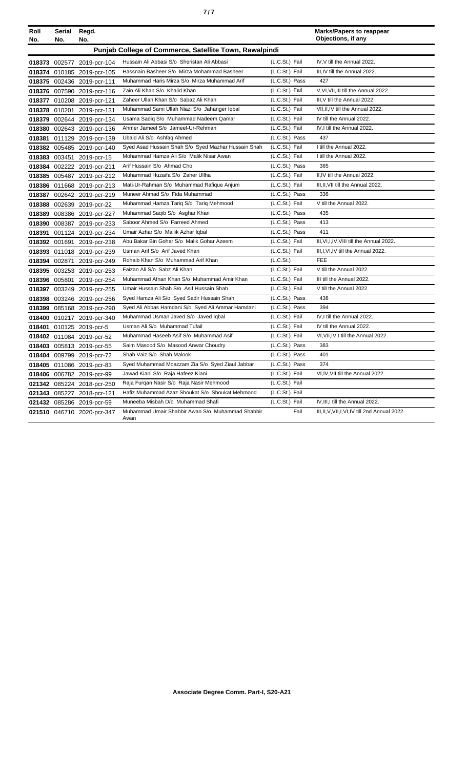|--|--|

| Roll<br>No. | Serial<br>No. | Regd.<br>No.               |                                                          |                | <b>Marks/Papers to reappear</b><br>Objections, if any |
|-------------|---------------|----------------------------|----------------------------------------------------------|----------------|-------------------------------------------------------|
|             |               |                            | Punjab College of Commerce, Satellite Town, Rawalpindi   |                |                                                       |
|             |               | 018373 002577 2019-pcr-104 | Hussain Ali Abbasi S/o Sheristan Ali Abbasi              | (L.C.St.) Fail | IV, V till the Annual 2022.                           |
|             |               | 018374 010185 2019-pcr-105 | Hassnain Basheer S/o Mirza Mohammad Basheer              | (L.C.St.) Fail | III, IV till the Annual 2022.                         |
|             |               | 018375 002436 2019-pcr-111 | Muhammad Haris Mirza S/o Mirza Muhammad Arif             | (L.C.St.) Pass | 427                                                   |
|             |               | 018376 007590 2019-pcr-116 | Zain Ali Khan S/o Khalid Khan                            | (L.C.St.) Fail | V.VI.VII.III till the Annual 2022.                    |
|             |               | 018377 010208 2019-pcr-121 | Zaheer Ullah Khan S/o Sabaz Ali Khan                     | (L.C.St.) Fail | III.V till the Annual 2022.                           |
|             |               | 018378 010201 2019-pcr-131 | Muhammad Sami Ullah Niazi S/o Jahanger Iqbal             | (L.C.St.) Fail | VII.II.IV till the Annual 2022.                       |
|             |               | 018379 002644 2019-pcr-134 | Usama Sadiq S/o Muhammad Nadeem Qamar                    | (L.C.St.) Fail | IV till the Annual 2022.                              |
|             |               | 018380 002643 2019-pcr-136 | Ahmer Jameel S/o Jameel-Ur-Rehman                        | (L.C.St.) Fail | IV,I till the Annual 2022.                            |
| 018381      |               | 011129 2019-pcr-139        | Ubaid Ali S/o Ashfaq Ahmed                               | (L.C.St.) Pass | 437                                                   |
|             |               | 018382 005485 2019-pcr-140 | Syed Asad Hussain Shah S/o Syed Mazhar Hussain Shah      | (L.C.St.) Fail | I till the Annual 2022.                               |
|             |               | 018383 003451 2019-pcr-15  | Mohammad Hamza Ali S/o Malik Nisar Awan                  | (L.C.St.) Fail | I till the Annual 2022.                               |
|             |               | 018384 002222 2019-pcr-211 | Arif Hussain S/o Ahmad Cho                               | (L.C.St.) Pass | 365                                                   |
|             | 018385 005487 | 2019-pcr-212               | Muhammad Huzaifa S/o Zaher Ullha                         | (L.C.St.) Fail | II,IV till the Annual 2022.                           |
|             |               | 018386 011668 2019-pcr-213 | Mati-Ur-Rahman S/o Muhammad Rafique Anjum                | (L.C.St.) Fail | III, II, VII till the Annual 2022.                    |
|             |               | 018387 002642 2019-pcr-219 | Muneer Ahmad S/o Fida Muhammad                           | (L.C.St.) Pass | 336                                                   |
|             |               | 018388 002639 2019-pcr-22  | Muhammad Hamza Tariq S/o Tariq Mehmood                   | (L.C.St.) Fail | V till the Annual 2022.                               |
|             |               | 018389 008386 2019-pcr-227 | Muhammad Saqib S/o Asghar Khan                           | (L.C.St.) Pass | 435                                                   |
|             | 018390 008387 | 2019-pcr-233               | Saboor Ahmed S/o Farreed Ahmed                           | (L.C.St.) Pass | 413                                                   |
| 018391      |               | 001124 2019-pcr-234        | Umair Azhar S/o Maliik Azhar Iqbal                       | (L.C.St.) Pass | 411                                                   |
|             |               | 018392 001691 2019-pcr-238 | Abu Bakar Bin Gohar S/o Malik Gohar Azeem                | (L.C.St.) Fail | III, VI, I, IV, VIII till the Annual 2022.            |
|             |               | 018393 011018 2019-pcr-239 | Usman Arif S/o Arif Javed Khan                           | (L.C.St.) Fail | III, I, VI, IV till the Annual 2022.                  |
|             | 018394 002871 | 2019-pcr-249               | Rohaib Khan S/o Muhammad Arif Khan                       | (L.C.St.)      | <b>FEE</b>                                            |
|             |               | 018395 003253 2019-pcr-253 | Faizan Ali S/o Sabz Ali Khan                             | (L.C.St.) Fail | V till the Annual 2022.                               |
|             |               | 018396 005801 2019-pcr-254 | Muhammad Afnan Khan S/o Muhammad Amir Khan               | (L.C.St.) Fail | III till the Annual 2022.                             |
|             |               | 018397 003249 2019-pcr-255 | Umair Hussain Shah S/o Asif Hussain Shah                 | (L.C.St.) Fail | V till the Annual 2022.                               |
|             |               | 018398 003246 2019-pcr-256 | Syed Hamza Ali S/o Syed Sadir Hussain Shah               | (L.C.St.) Pass | 438                                                   |
|             |               | 018399 085168 2019-pcr-290 | Syed Ali Abbas Hamdani S/o Syed Ali Ammar Hamdani        | (L.C.St.) Pass | 394                                                   |
|             |               | 018400 010217 2019-pcr-340 | Muhammad Usman Javed S/o Javed Iqbal                     | (L.C.St.) Fail | IV,I till the Annual 2022.                            |
|             |               | 018401 010125 2019-pcr-5   | Usman Ali S/o Muhammad Tufail                            | (L.C.St.) Fail | IV till the Annual 2022.                              |
|             |               | 018402 011084 2019-pcr-52  | Muhammad Haseeb Asif S/o Muhammad Asif                   | (L.C.St.) Fail | VI, VII, IV, I till the Annual 2022.                  |
|             |               | 018403 005813 2019-pcr-55  | Saim Masood S/o Masood Anwar Choudry                     | (L.C.St.) Pass | 383                                                   |
|             |               | 018404 009799 2019-pcr-72  | Shah Vaiz S/o Shah Malook                                | (L.C.St.) Pass | 401                                                   |
|             |               | 018405 011086 2019-pcr-83  | Syed Muhammad Moazzam Zia S/o Syed Ziaul Jabbar          | (L.C.St.) Pass | 374                                                   |
|             |               | 018406 006782 2019-pcr-99  | Jawad Kiani S/o Raja Hafeez Kiani                        | (L.C.St.) Fail | VI,IV, VII till the Annual 2022.                      |
|             |               | 021342 085224 2018-pcr-250 | Raja Furqan Nasir S/o Raja Nasir Mehmood                 | (L.C.St.) Fail |                                                       |
|             |               | 021343 085227 2018-pcr-121 | Hafiz Muhammad Azaz Shoukat S/o Shoukat Mehmood          | (L.C.St.) Fail |                                                       |
|             |               | 021432 085286 2019-pcr-59  | Muneeba Misbah D/o Muhammad Shafi                        | (L.C.St.) Fail | IV, III, I till the Annual 2022.                      |
|             |               | 021510 046710 2020-pcr-347 | Muhammad Umair Shabbir Awan S/o Muhammad Shabbir<br>Awan | Fail           | III, II, V, VII, I, VI, IV till 2nd Annual 2022.      |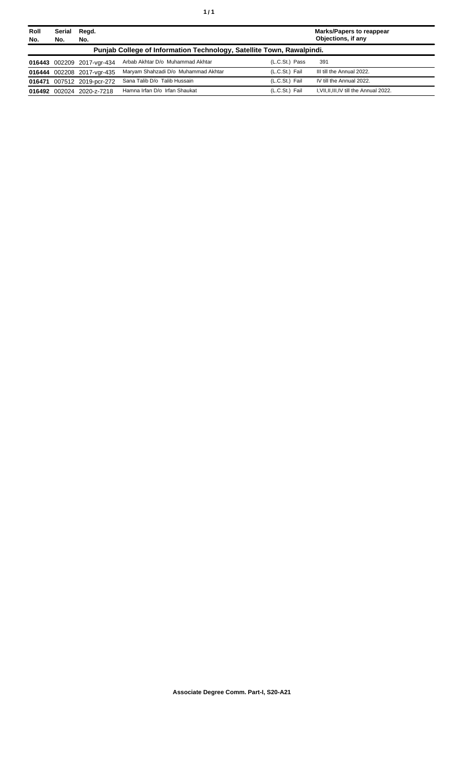| Roll<br>No. | <b>Serial</b><br>No. | Regd.<br>No.               |                                                                       |                | <b>Marks/Papers to reappear</b><br>Objections, if any |
|-------------|----------------------|----------------------------|-----------------------------------------------------------------------|----------------|-------------------------------------------------------|
|             |                      |                            | Punjab College of Information Technology, Satellite Town, Rawalpindi. |                |                                                       |
|             |                      | 016443 002209 2017-vgr-434 | Arbab Akhtar D/o Muhammad Akhtar                                      | (L.C.St.) Pass | 391                                                   |
|             |                      | 016444 002208 2017-vgr-435 | Maryam Shahzadi D/o Muhammad Akhtar                                   | (L.C.St.) Fail | III till the Annual 2022.                             |
|             |                      | 016471 007512 2019-pcr-272 | Sana Talib D/o Talib Hussain                                          | (L.C.St.) Fail | IV till the Annual 2022.                              |
|             |                      | 016492 002024 2020-z-7218  | Hamna Irfan D/o Irfan Shaukat                                         | (L.C.St.) Fail | I, VII, II, III, IV till the Annual 2022.             |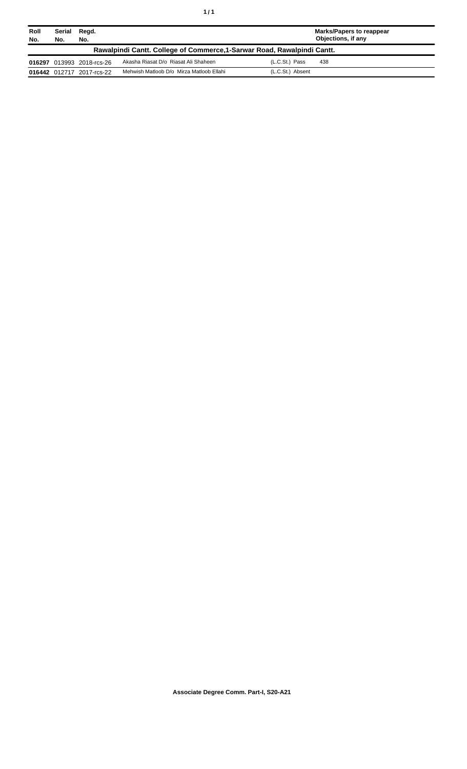| ٠ | ٠ |
|---|---|
|   |   |

| Roll<br>No. | Serial<br>No. | Regd.<br>No.              |                                                                         |                  | <b>Marks/Papers to reappear</b><br>Objections, if any |
|-------------|---------------|---------------------------|-------------------------------------------------------------------------|------------------|-------------------------------------------------------|
|             |               |                           | Rawalpindi Cantt. College of Commerce, 1-Sarwar Road, Rawalpindi Cantt. |                  |                                                       |
|             |               | 016297 013993 2018-rcs-26 | Akasha Riasat D/o Riasat Ali Shaheen                                    | (L.C.St.) Pass   | 438                                                   |
|             |               | 016442 012717 2017-rcs-22 | Mehwish Matloob D/o Mirza Matloob Ellahi                                | (L.C.St.) Absent |                                                       |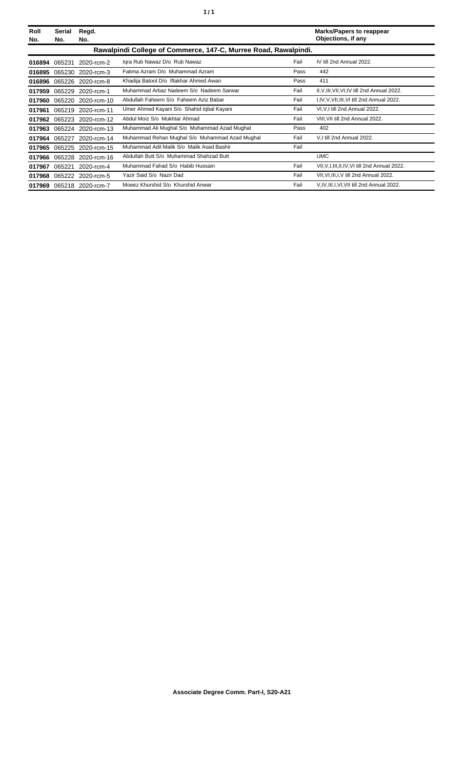| Roll<br>No. | Serial<br>No. | Regd.<br>No.              |                                                                 |      | <b>Marks/Papers to reappear</b><br>Objections, if any |
|-------------|---------------|---------------------------|-----------------------------------------------------------------|------|-------------------------------------------------------|
|             |               |                           | Rawalpindi College of Commerce, 147-C, Murree Road, Rawalpindi. |      |                                                       |
| 016894      | 065231        | 2020-rcm-2                | Igra Rub Nawaz D/o Rub Nawaz                                    | Fail | IV till 2nd Annual 2022.                              |
| 016895      | 065230        | 2020-rcm-3                | Fatima Azram D/o Muhammad Azram                                 | Pass | 442                                                   |
| 016896      |               | 065226 2020-rcm-8         | Khadija Batool D/o Iftakhar Ahmed Awan                          | Pass | 411                                                   |
| 017959      | 065229        | 2020-rcm-1                | Muhammad Arbaz Nadeem S/o Nadeem Sarwar                         | Fail | II, V, III, VII, VI, IV till 2nd Annual 2022.         |
| 017960      | 065220        | 2020-rcm-10               | Abdullah Faheem S/o Faheem Aziz Babar                           | Fail | I, IV, V, VII, III, VI till 2nd Annual 2022.          |
| 017961      | 065219        | 2020-rcm-11               | Umer Ahmed Kayani S/o Shahid Iqbal Kayani                       | Fail | VI, V, I till 2nd Annual 2022.                        |
|             |               | 017962 065223 2020-rcm-12 | Abdul Moiz S/o Mukhtar Ahmad                                    | Fail | VIII, VII till 2nd Annual 2022.                       |
| 017963      |               | 065224 2020-rcm-13        | Muhammad Ali Mughal S/o Muhammad Azad Mughal                    | Pass | 402                                                   |
| 017964      | 065227        | 2020-rcm-14               | Muhammad Rehan Mughal S/o Muhammad Azad Mughal                  | Fail | V,I till 2nd Annual 2022.                             |
| 017965      | 065225        | 2020-rcm-15               | Muhammad Adil Malik S/o Malik Asad Bashir                       | Fail |                                                       |
| 017966      | 065228        | 2020-rcm-16               | Abdullah Butt S/o Muhammad Shahzad Butt                         |      | <b>UMC</b>                                            |
| 017967      | 065221        | 2020-rcm-4                | Muhammad Fahad S/o Habib Hussain                                | Fail | VII, V, I, III, II, IV, VI till 2nd Annual 2022.      |
| 017968      |               | 065222 2020-rcm-5         | Yazir Said S/o Nazir Dad                                        | Fail | VII, VI, III, I, V till 2nd Annual 2022.              |
|             |               | 017969 065218 2020-rcm-7  | Moeez Khurshid S/o Khurshid Anwar                               | Fail | V, IV, III, I, VI, VII till 2nd Annual 2022.          |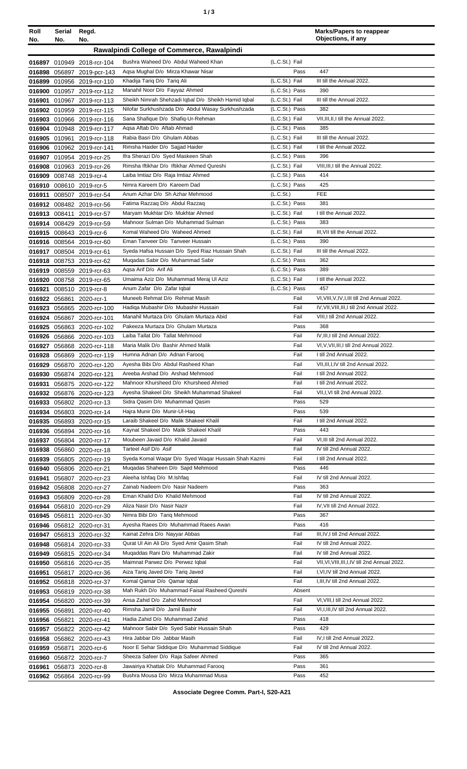| Roll<br>No.   | Serial<br>No. | Regd.<br>No.                                             |                                                                                  |                                  | <b>Marks/Papers to reappear</b><br>Objections, if any   |
|---------------|---------------|----------------------------------------------------------|----------------------------------------------------------------------------------|----------------------------------|---------------------------------------------------------|
|               |               |                                                          | Rawalpindi College of Commerce, Rawalpindi                                       |                                  |                                                         |
|               |               |                                                          |                                                                                  |                                  |                                                         |
|               |               | 016897 010949 2018-rcr-104<br>016898 056897 2019-pcr-143 | Bushra Waheed D/o Abdul Waheed Khan<br>Agsa Mughal D/o Mirza Khawar Nisar        | (L.C.St.) Fail<br>Pass           | 447                                                     |
|               |               | 016899 010956 2019-rcr-110                               | Khadija Tariq D/o Tariq Ali                                                      | (L.C.St.) Fail                   | III till the Annual 2022.                               |
|               |               | 016900 010957 2019-rcr-112                               | Manahil Noor D/o Fayyaz Ahmed                                                    | (L.C.St.) Pass                   | 390                                                     |
| 016901        |               | 010967 2019-rcr-113                                      | Sheikh Nimrah Shehzadi Iqbal D/o Sheikh Hamid Iqbal                              | (L.C.St.) Fail                   | III till the Annual 2022.                               |
|               |               | 016902 010959 2019-rcr-115                               | Nilofar Surkhushzada D/o Abdul Wasay Surkhushzada                                | (L.C.St.) Pass                   | 382                                                     |
|               |               | 016903 010966 2019-rcr-116                               | Sana Shafique D/o Shafiq-Ur-Rehman                                               | (L.C.St.) Fail                   | VII, III, II, I till the Annual 2022.                   |
|               |               | 016904 010948 2019-rcr-117                               | Agsa Aftab D/o Aftab Ahmad                                                       | (L.C.St.) Pass                   | 385                                                     |
|               |               | 016905 010961 2019-rcr-118                               | Rabia Basri D/o Ghulam Abbas                                                     | (L.C.St.) Fail                   | III till the Annual 2022.                               |
|               |               | 016906 010962 2019-rcr-141                               | Rimsha Haider D/o Sajjad Haider                                                  | (L.C.St.) Fail                   | I till the Annual 2022.                                 |
|               |               | 016907 010954 2019-rcr-25                                | Ifra Sherazi D/o Syed Maskeen Shah                                               | (L.C.St.) Pass                   | 396                                                     |
| 016909        |               | 016908 010963 2019-rcr-26                                | Rimsha Iftikhar D/o Iftikhar Ahmed Qureshi<br>Laiba Imtiaz D/o Raja Imtiaz Ahmed | (L.C.St.) Fail<br>(L.C.St.) Pass | VIII, III, I till the Annual 2022.<br>414               |
| 016910        |               | 008748 2019-rcr-4<br>008610 2019-rcr-5                   | Nimra Kareem D/o Kareem Dad                                                      | (L.C.St.) Pass                   | 425                                                     |
| 016911        |               | 008507 2019-rcr-54                                       | Anum Azhar D/o Sh Azhar Mehmood                                                  | (L.C.S <sub>t</sub> )            | <b>FEE</b>                                              |
|               |               | 016912 008482 2019-rcr-56                                | Fatima Razzaq D/o Abdul Razzaq                                                   | (L.C.St.) Pass                   | 381                                                     |
|               |               | 016913 008411 2019-rcr-57                                | Maryam Mukhtar D/o Mukhtar Ahmed                                                 | (L.C.St.) Fail                   | I till the Annual 2022.                                 |
|               |               | 016914 008429 2019-rcr-59                                | Mahnoor Sulman D/o Muhammad Sulman                                               | (L.C.St.) Pass                   | 383                                                     |
|               |               | 016915 008643 2019-rcr-6                                 | Komal Waheed D/o Waheed Ahmed                                                    | (L.C.St.) Fail                   | III, VII till the Annual 2022.                          |
|               |               | 016916 008564 2019-rcr-60                                | Eman Tanveer D/o Tanveer Hussain                                                 | (L.C.St.) Pass                   | 390                                                     |
|               |               | 016917 008504 2019-rcr-61                                | Syeda Hafsa Hussain D/o Syed Riaz Hussain Shah                                   | (L.C.St.) Fail                   | III till the Annual 2022.                               |
|               |               | 016918 008753 2019-rcr-62                                | Muqadas Sabir D/o Muhammad Sabir                                                 | (L.C.St.) Pass                   | 362                                                     |
|               |               | 016919 008559 2019-rcr-63                                | Agsa Arif D/o Arif Ali                                                           | (L.C.St.) Pass                   | 389                                                     |
| 016920        |               | 008758 2019-rcr-65                                       | Umaima Aziz D/o Muhammad Meraj Ul Aziz                                           | (L.C.St.) Fail                   | I till the Annual 2022.<br>457                          |
| 016921        |               | 008510 2019-rcr-8<br>016922 056861 2020-rcr-1            | Anum Zafar D/o Zafar Iqbal<br>Muneeb Rehmat D/o Rehmat Masih                     | (L.C.St.) Pass<br>Fail           | VI, VIII, V, IV, I, III till 2nd Annual 2022.           |
|               |               | 016923 056865 2020-rcr-100                               | Hadiga Mubashir D/o Mubashir Hussain                                             | Fail                             | IV, VII, VIII, III, I till 2nd Annual 2022.             |
|               |               | 016924 056867 2020-rcr-101                               | Manahil Murtaza D/o Ghulam Murtaza Abid                                          | Fail                             | VIII, I till 2nd Annual 2022.                           |
| 016925        |               | 056863 2020-rcr-102                                      | Pakeeza Murtaza D/o Ghulam Murtaza                                               | Pass                             | 368                                                     |
| 016926        |               | 056866 2020-rcr-103                                      | Laiba Tallat D/o Tallat Mehmood                                                  | Fail                             | IV, III, I till 2nd Annual 2022.                        |
| 016927        |               | 056868 2020-rcr-118                                      | Maria Malik D/o Bashir Ahmed Malik                                               | Fail                             | VI, V, VII, III, I till 2nd Annual 2022.                |
| 016928        |               | 056869 2020-rcr-119                                      | Humna Adnan D/o Adnan Farooq                                                     | Fail                             | I till 2nd Annual 2022.                                 |
|               |               | 016929 056870 2020-rcr-120                               | Ayesha Bibi D/o Abdul Rasheed Khan                                               | Fail                             | VII, III, I, IV till 2nd Annual 2022.                   |
|               |               | 016930 056874 2020-rcr-121                               | Areeba Arshad D/o Arshad Mehmood                                                 | Fail                             | I till 2nd Annual 2022.                                 |
|               |               | 016931 056875 2020-rcr-122                               | Mahnoor Khursheed D/o Khursheed Ahmed                                            | Fail                             | I till 2nd Annual 2022.                                 |
|               |               | 016932 056876 2020-rcr-123                               | Ayesha Shakeel D/o Sheikh Muhammad Shakeel                                       | Fail                             | VII, I, VI till 2nd Annual 2022.<br>529                 |
|               |               | 016933 056802 2020-rcr-13<br>016934 056803 2020-rcr-14   | Sidra Qasim D/o Muhammad Qasim<br>Hajra Munir D/o Munir-UI-Haq                   | Pass<br>Pass                     | 539                                                     |
|               |               | 016935 056893 2020-rcr-15                                | Laraib Shakeel D/o Malik Shakeel Khalil                                          | Fail                             | I till 2nd Annual 2022.                                 |
|               |               | 016936 056894 2020-rcr-16                                | Kaynat Shakeel D/o Malik Shakeel Khalil                                          | Pass                             | 443                                                     |
|               |               | 016937 056804 2020-rcr-17                                | Moubeen Javaid D/o Khalid Javaid                                                 | Fail                             | VI, III till 2nd Annual 2022.                           |
|               |               | 016938 056860 2020-rcr-18                                | Tarteel Asif D/o Asif                                                            | Fail                             | IV till 2nd Annual 2022.                                |
|               |               | 016939 056805 2020-rcr-19                                | Syeda Komal Waqar D/o Syed Waqar Hussain Shah Kazmi                              | Fail                             | I till 2nd Annual 2022.                                 |
|               |               | 016940 056806 2020-rcr-21                                | Mugadas Shaheen D/o Sajid Mehmood                                                | Pass                             | 446                                                     |
| 016941        |               | 056807 2020-rcr-23                                       | Aleeha Ishfaq D/o M.Ishfaq                                                       | Fail                             | IV till 2nd Annual 2022.                                |
|               |               | 016942 056808 2020-rcr-27                                | Zainab Nadeem D/o Nasir Nadeem                                                   | Pass                             | 363                                                     |
|               |               | 016943 056809 2020-rcr-28                                | Eman Khalid D/o Khalid Mehmood                                                   | Fail                             | IV till 2nd Annual 2022.                                |
|               |               | 016944 056810 2020-rcr-29                                | Aliza Nasir D/o Nasir Nazir                                                      | Fail                             | IV, VII till 2nd Annual 2022.<br>367                    |
|               |               | 016945 056811 2020-rcr-30                                | Nimra Bibi D/o Tariq Mehmood<br>Ayesha Raees D/o Muhammad Raees Awan             | Pass<br>Pass                     | 416                                                     |
|               |               | 016946 056812 2020-rcr-31<br>016947 056813 2020-rcr-32   | Kainat Zehra D/o Nayyar Abbas                                                    | Fail                             | III, IV, I till 2nd Annual 2022.                        |
|               |               | 016948 056814 2020-rcr-33                                | Qurat UI Ain Ali D/o Syed Amir Qasim Shah                                        | Fail                             | IV till 2nd Annual 2022.                                |
|               |               | 016949 056815 2020-rcr-34                                | Muqaddas Rani D/o Muhammad Zakir                                                 | Fail                             | IV till 2nd Annual 2022.                                |
|               |               | 016950 056816 2020-rcr-35                                | Maimnat Parwez D/o Perwez Iqbal                                                  | Fail                             | VII, VI, VIII, III, I, IV till 2nd Annual 2022.         |
|               |               | 016951 056817 2020-rcr-36                                | Aiza Tariq Javed D/o Tariq Javed                                                 | Fail                             | I, VI, IV till 2nd Annual 2022.                         |
|               |               | 016952 056818 2020-rcr-37                                | Komal Qamar D/o Qamar Iqbal                                                      | Fail                             | I, III, IV till 2nd Annual 2022.                        |
|               |               | 016953 056819 2020-rcr-38                                | Mah Rukh D/o Muhammad Faisal Rasheed Qureshi                                     | Absent                           |                                                         |
|               |               | 016954 056820 2020-rcr-39                                | Ansa Zahid D/o Zahid Mehmood                                                     | Fail                             | VI, VIII, I till 2nd Annual 2022.                       |
|               | 016955 056891 | 2020-rcr-40                                              | Rimsha Jamil D/o Jamil Bashir                                                    | Fail                             | VI, I, III, IV till 2nd Annual 2022.                    |
| 016956 056821 |               | 2020-rcr-41                                              | Hadia Zahid D/o Muhammad Zahid                                                   | Pass                             | 418                                                     |
| 016957        | 056822        | 2020-rcr-42                                              | Mahnoor Sabir D/o Syed Sabir Hussain Shah                                        | Pass                             | 429                                                     |
| 016958        |               | 056862 2020-rcr-43                                       | Hira Jabbar D/o Jabbar Masih<br>Noor E Sehar Siddique D/o Muhammad Siddique      | Fail<br>Fail                     | IV, I till 2nd Annual 2022.<br>IV till 2nd Annual 2022. |
| 016959        | 056871        | 2020-rcr-6                                               | Sheeza Safeer D/o Raja Safeer Ahmed                                              | Pass                             | 365                                                     |
| 016961        |               | 016960 056872 2020-rcr-7<br>056873 2020-rcr-8            | Jawairiya Khattak D/o Muhammad Farooq                                            | Pass                             | 361                                                     |
|               |               | 016962 056864 2020-rcr-99                                | Bushra Mousa D/o Mirza Muhammad Musa                                             | Pass                             | 452                                                     |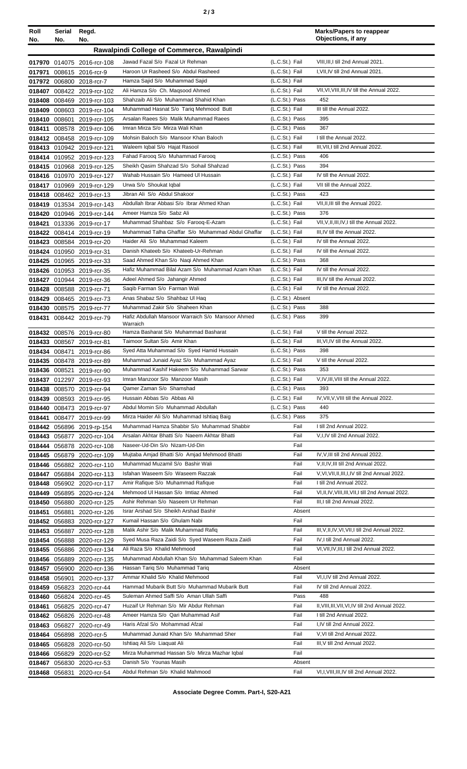| ۰.<br>× | I |  | ×<br>I |
|---------|---|--|--------|
|---------|---|--|--------|

| Roll<br>No. | Serial<br>No. | Regd.<br>No.                                             |                                                                                              |                                    | <b>Marks/Papers to reappear</b><br>Objections, if any     |
|-------------|---------------|----------------------------------------------------------|----------------------------------------------------------------------------------------------|------------------------------------|-----------------------------------------------------------|
|             |               |                                                          | Rawalpindi College of Commerce, Rawalpindi                                                   |                                    |                                                           |
|             |               |                                                          | Jawad Fazal S/o Fazal Ur Rehman                                                              | (L.C.St.) Fail                     | VIII, III, I till 2nd Annual 2021.                        |
|             |               | 017970 014075 2016-rcr-108<br>017971 008615 2016-rcr-9   | Haroon Ur Rasheed S/o Abdul Rasheed                                                          | (L.C.St.) Fail                     | I, VII, IV till 2nd Annual 2021.                          |
|             |               | 017972 006800 2018-rcr-7                                 | Hamza Sajid S/o Muhammad Sajid                                                               | (L.C.St.) Fail                     |                                                           |
|             |               | 018407 008422 2019-rcr-102                               | Ali Hamza S/o Ch. Magsood Ahmed                                                              | (L.C.St.) Fail                     | VII, VI, VIII, III, IV till the Annual 2022.              |
|             |               | 018408 008469 2019-rcr-103                               | Shahzaib Ali S/o Muhammad Shahid Khan                                                        | (L.C.St.) Pass                     | 452                                                       |
|             |               | 018409 008603 2019-rcr-104                               | Muhammad Hasnat S/o Tariq Mehmood Butt                                                       | (L.C.St.) Fail                     | III till the Annual 2022.                                 |
|             |               | 018410 008601 2019-rcr-105                               | Arsalan Raees S/o Malik Muhammad Raees                                                       | (L.C.St.) Pass                     | 395<br>367                                                |
|             |               | 018411 008578 2019-rcr-106<br>018412 008458 2019-rcr-109 | Imran Mirza S/o Mirza Wali Khan<br>Mohsin Baloch S/o Mansoor Khan Baloch                     | (L.C.St.) Pass<br>(L.C.St.) Fail   | I till the Annual 2022.                                   |
|             |               | 018413 010942 2019-rcr-121                               | Waleem Iqbal S/o Hajat Rasool                                                                | (L.C.St.) Fail                     | III, VII, I till 2nd Annual 2022.                         |
|             |               | 018414 010952 2019-rcr-123                               | Fahad Farooq S/o Muhammad Farooq                                                             | (L.C.St.) Pass                     | 406                                                       |
|             |               | 018415 010968 2019-rcr-125                               | Sheikh Qasim Shahzad S/o Sohail Shahzad                                                      | (L.C.St.) Pass                     | 394                                                       |
|             |               | 018416 010970 2019-rcr-127                               | Wahab Hussain S/o Hameed UI Hussain                                                          | (L.C.St.) Fail                     | IV till the Annual 2022.                                  |
|             |               | 018417 010969 2019-rcr-129                               | Urwa S/o Shoukat Iqbal                                                                       | (L.C.St.) Fail                     | VII till the Annual 2022.                                 |
|             |               | 018418 008462 2019-rcr-13                                | Jibran Ali S/o Abdul Shakoor                                                                 | (L.C.St.) Pass                     | 423                                                       |
|             |               | 018419 013534 2019-rcr-143                               | Abdullah Ibrar Abbasi S/o Ibrar Ahmed Khan<br>Ameer Hamza S/o Sabz Ali                       | (L.C.St.) Fail<br>(L.C.St.) Pass   | VII, II, III till the Annual 2022.<br>376                 |
|             |               | 018420 010946 2019-rcr-144<br>018421 013336 2019-rcr-17  | Muhammad Shahbaz S/o Farooq-E-Azam                                                           | (L.C.St.) Fail                     | VII, V, II, III, IV, I till the Annual 2022.              |
|             |               | 018422 008414 2019-rcr-19                                | Muhammad Talha Ghaffar S/o Muhammad Abdul Ghaffar                                            | (L.C.St.) Fail                     | III, IV till the Annual 2022.                             |
|             |               | 018423 008584 2019-rcr-20                                | Haider Ali S/o Muhammad Kaleem                                                               | (L.C.St.) Fail                     | IV till the Annual 2022.                                  |
|             |               | 018424 010950 2019-rcr-31                                | Danish Khateeb S/o Khateeb-Ur-Rehman                                                         | (L.C.St.) Fail                     | IV till the Annual 2022.                                  |
|             |               | 018425 010965 2019-rcr-33                                | Saad Ahmed Khan S/o Nagi Ahmed Khan                                                          | (L.C.St.) Pass                     | 368                                                       |
|             |               | 018426 010953 2019-rcr-35                                | Hafiz Muhammad Bilal Azam S/o Muhammad Azam Khan                                             | (L.C.St.) Fail                     | IV till the Annual 2022.                                  |
|             |               | 018427 010944 2019-rcr-36                                | Adeel Ahmed S/o Jahangir Ahmed                                                               | (L.C.St.) Fail                     | III, IV till the Annual 2022.                             |
|             |               | 018428 008588 2019-rcr-71                                | Saqib Farman S/o Farman Wali<br>Anas Shabaz S/o Shahbaz Ul Haq                               | (L.C.St.) Fail                     | IV till the Annual 2022.                                  |
|             |               | 018429 008465 2019-rcr-73<br>018430 008575 2019-rcr-77   | Muhammad Zakir S/o Shaheen Khan                                                              | (L.C.St.) Absent<br>(L.C.St.) Pass | 388                                                       |
|             |               | 018431 008442 2019-rcr-79                                | Hafiz Abdullah Mansoor Warraich S/o Mansoor Ahmed                                            | (L.C.St.) Pass                     | 399                                                       |
|             |               |                                                          | Warraich                                                                                     |                                    |                                                           |
|             |               | 018432 008576 2019-rcr-80                                | Hamza Basharat S/o Muhammad Basharat                                                         | (L.C.St.) Fail                     | V till the Annual 2022.                                   |
|             |               | 018433 008567 2019-rcr-81                                | Taimoor Sultan S/o Amir Khan                                                                 | (L.C.St.) Fail                     | III, VI, IV till the Annual 2022.<br>398                  |
|             |               | 018434 008471 2019-rcr-86<br>018435 008478 2019-rcr-89   | Syed Atta Muhammad S/o Syed Hamid Hussain<br>Muhammad Junaid Ayaz S/o Muhammad Ayaz          | (L.C.St.) Pass<br>(L.C.St.) Fail   | V till the Annual 2022.                                   |
|             |               | 018436 008521 2019-rcr-90                                | Muhammad Kashif Hakeem S/o Muhammad Sarwar                                                   | (L.C.St.) Pass                     | 353                                                       |
|             |               | 018437 012297 2019-rcr-93                                | Imran Manzoor S/o Manzoor Masih                                                              | (L.C.St.) Fail                     | V, IV, III, VIII till the Annual 2022.                    |
|             |               | 018438 008570 2019-rcr-94                                | Qamer Zaman S/o Shamshad                                                                     | (L.C.St.) Pass                     | 393                                                       |
|             |               | 018439 008593 2019-rcr-95                                | Hussain Abbas S/o Abbas Ali                                                                  | (L.C.St.) Fail                     | IV, VII, V, VIII till the Annual 2022.                    |
|             |               | 018440 008473 2019-rcr-97                                | Abdul Momin S/o Muhammad Abdullah                                                            | (L.C.St.) Pass                     | 440                                                       |
| 018441      |               | 008477 2019-rcr-99                                       | Mirza Haider Ali S/o Muhammad Ishtiaq Baig                                                   | (L.C.St.) Pass                     | 375                                                       |
|             |               | 018442 056896 2019-rp-154                                | Muhammad Hamza Shabbir S/o Muhammad Shabbir<br>Arsalan Akhtar Bhatti S/o Naeem Akhtar Bhatti | Fail<br>Fail                       | I till 2nd Annual 2022.<br>V, I, IV till 2nd Annual 2022. |
|             |               | 018443 056877 2020-rcr-104<br>018444 056878 2020-rcr-108 | Naseer-Ud-Din S/o Nizam-Ud-Din                                                               | Fail                               |                                                           |
|             |               | 018445 056879 2020-rcr-109                               | Mujtaba Amjad Bhatti S/o Amjad Mehmood Bhatti                                                | Fail                               | IV, V, III till 2nd Annual 2022.                          |
|             |               | 018446 056882 2020-rcr-110                               | Muhammad Muzamil S/o Bashir Wali                                                             | Fail                               | V, II, IV, III till 2nd Annual 2022.                      |
|             |               | 018447 056884 2020-rcr-113                               | Isfahan Waseem S/o Waseem Razzak                                                             | Fail                               | V, VI, VII, II, III, I, IV till 2nd Annual 2022.          |
|             |               | 018448 056902 2020-rcr-117                               | Amir Rafique S/o Muhammad Rafique                                                            | Fail                               | I till 2nd Annual 2022.                                   |
|             |               | 018449 056895 2020-rcr-124                               | Mehmood UI Hassan S/o Imtiaz Ahmed                                                           | Fail                               | VI, II, IV, VIII, III, VII, I till 2nd Annual 2022.       |
|             |               | 018450 056880 2020-rcr-125                               | Ashir Rehman S/o Naseem Ur Rehman                                                            | Fail                               | III, I till 2nd Annual 2022.                              |
|             |               | 018451 056881 2020-rcr-126                               | Israr Arshad S/o Sheikh Arshad Bashir<br>Kumail Hassan S/o Ghulam Nabi                       | Absent<br>Fail                     |                                                           |
|             |               | 018452 056883 2020-rcr-127<br>018453 056887 2020-rcr-128 | Malik Ashir S/o Malik Muhammad Rafiq                                                         | Fail                               | III, V, II, IV, VI, VII, I till 2nd Annual 2022.          |
|             |               | 018454 056888 2020-rcr-129                               | Syed Musa Raza Zaidi S/o Syed Waseem Raza Zaidi                                              | Fail                               | IV, I till 2nd Annual 2022.                               |
|             |               | 018455 056886 2020-rcr-134                               | Ali Raza S/o Khalid Mehmood                                                                  | Fail                               | VI, VII, IV, III, I till 2nd Annual 2022.                 |
|             |               | 018456 056889 2020-rcr-135                               | Muhammad Abdullah Khan S/o Muhammad Saleem Khan                                              | Fail                               |                                                           |
|             |               | 018457 056900 2020-rcr-136                               | Hassan Tariq S/o Muhammad Tariq                                                              | Absent                             |                                                           |
|             |               | 018458 056901 2020-rcr-137                               | Ammar Khalid S/o Khalid Mehmood                                                              | Fail                               | VI, I, IV till 2nd Annual 2022.                           |
|             |               | 018459 056823 2020-rcr-44                                | Hammad Mubarik Butt S/o Muhammad Mubarik Butt                                                | Fail                               | IV till 2nd Annual 2022.                                  |
|             |               | 018460 056824 2020-rcr-45                                | Suleman Ahmed Saffi S/o Aman Ullah Saffi<br>Huzaif Ur Rehman S/o Mir Abdur Rehman            | Pass<br>Fail                       | 488<br>II, VIII, III, VII, VI, IV till 2nd Annual 2022.   |
| 018461      |               | 056825 2020-rcr-47<br>018462 056826 2020-rcr-48          | Ameer Hamza S/o Qari Muhammad Asif                                                           | Fail                               | I till 2nd Annual 2022.                                   |
|             |               | 018463 056827 2020-rcr-49                                | Haris Afzal S/o Mohammad Afzal                                                               | Fail                               | I,IV till 2nd Annual 2022.                                |
|             |               | 018464 056898 2020-rcr-5                                 | Muhammad Junaid Khan S/o Muhammad Sher                                                       | Fail                               | V, VI till 2nd Annual 2022.                               |
|             |               | 018465 056828 2020-rcr-50                                | Ishtiaq Ali S/o Liaquat Ali                                                                  | Fail                               | III, V till 2nd Annual 2022.                              |
|             |               | 018466 056829 2020-rcr-52                                | Mirza Muhammad Hassan S/o Mirza Mazhar Iqbal                                                 | Fail                               |                                                           |
|             |               | 018467 056830 2020-rcr-53                                | Danish S/o Younas Masih                                                                      | Absent                             |                                                           |
|             |               | 018468 056831 2020-rcr-54                                | Abdul Rehman S/o Khalid Mahmood                                                              | Fail                               | VI, I, VIII, III, IV till 2nd Annual 2022.                |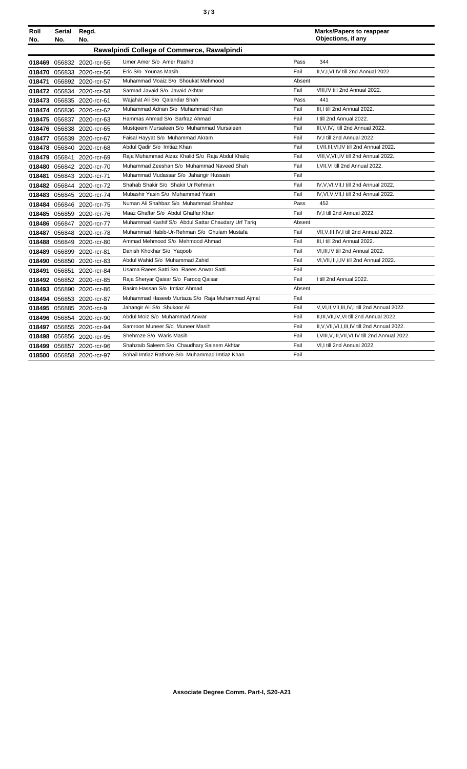**Roll** 

**Serial Regd.**

| Marks/Papers to reappear |  |
|--------------------------|--|
| Objections, if any       |  |

| No.    | No. | No.                       |                                                     |        | Objections, if any                                 |
|--------|-----|---------------------------|-----------------------------------------------------|--------|----------------------------------------------------|
|        |     |                           | Rawalpindi College of Commerce, Rawalpindi          |        |                                                    |
| 018469 |     | 056832 2020-rcr-55        | Umer Amer S/o Amer Rashid                           | Pass   | 344                                                |
|        |     | 018470 056833 2020-rcr-56 | Eric S/o Younas Masih                               | Fail   | II, V, I, VI, IV till 2nd Annual 2022.             |
| 018471 |     | 056892 2020-rcr-57        | Muhammad Moaiz S/o Shoukat Mehmood                  | Absent |                                                    |
|        |     | 018472 056834 2020-rcr-58 | Sarmad Javaid S/o Javaid Akhtar                     | Fail   | VIII.IV till 2nd Annual 2022.                      |
| 018473 |     | 056835 2020-rcr-61        | Wajahat Ali S/o Qalandar Shah                       | Pass   | 441                                                |
|        |     | 018474 056836 2020-rcr-62 | Muhammad Adnan S/o Muhammad Khan                    | Fail   | III.I till 2nd Annual 2022.                        |
|        |     | 018475 056837 2020-rcr-63 | Hammas Ahmad S/o Sarfraz Ahmad                      | Fail   | I till 2nd Annual 2022.                            |
|        |     | 018476 056838 2020-rcr-65 | Mustgeem Mursaleen S/o Muhammad Mursaleen           | Fail   | III.V.IV.I till 2nd Annual 2022.                   |
|        |     | 018477 056839 2020-rcr-67 | Faisal Hayyat S/o Muhammad Akram                    | Fail   | IV.I till 2nd Annual 2022.                         |
|        |     | 018478 056840 2020-rcr-68 | Abdul Qadir S/o Imtiaz Khan                         | Fail   | I, VII, III, VI, IV till 2nd Annual 2022.          |
|        |     | 018479 056841 2020-rcr-69 | Raja Muhammad Aizaz Khalid S/o Raja Abdul Khaliq    | Fail   | VIII, V, VII, IV till 2nd Annual 2022.             |
|        |     | 018480 056842 2020-rcr-70 | Muhammad Zeeshan S/o Muhammad Naveed Shah           | Fail   | I, VII, VI till 2nd Annual 2022.                   |
| 018481 |     | 056843 2020-rcr-71        | Muhammad Mudassar S/o Jahangir Hussain              | Fail   |                                                    |
|        |     | 018482 056844 2020-rcr-72 | Shahab Shakir S/o Shakir Ur Rehman                  | Fail   | IV.V.VI.VII.I till 2nd Annual 2022.                |
| 018483 |     | 056845 2020-rcr-74        | Mubashir Yasin S/o Muhammad Yasin                   | Fail   | IV, VI, V, VII, I till 2nd Annual 2022.            |
|        |     | 018484 056846 2020-rcr-75 | Numan Ali Shahbaz S/o Muhammad Shahbaz              | Pass   | 452                                                |
|        |     | 018485 056859 2020-rcr-76 | Maaz Ghaffar S/o Abdul Ghaffar Khan                 | Fail   | IV, I till 2nd Annual 2022.                        |
|        |     | 018486 056847 2020-rcr-77 | Muhammad Kashif S/o Abdul Sattar Chaudary Urf Tariq | Absent |                                                    |
|        |     | 018487 056848 2020-rcr-78 | Muhammad Habib-Ur-Rehman S/o Ghulam Mustafa         | Fail   | VII, V, III, IV, I till 2nd Annual 2022.           |
|        |     | 018488 056849 2020-rcr-80 | Ammad Mehmood S/o Mehmood Ahmad                     | Fail   | III.I till 2nd Annual 2022.                        |
| 018489 |     | 056899 2020-rcr-81        | Danish Khokhar S/o Yaqoob                           | Fail   | VI.III.IV till 2nd Annual 2022.                    |
| 018490 |     | 056850 2020-rcr-83        | Abdul Wahid S/o Muhammad Zahid                      | Fail   | VI, VII, III, I, IV till 2nd Annual 2022.          |
| 018491 |     | 056851 2020-rcr-84        | Usama Raees Satti S/o Raees Anwar Satti             | Fail   |                                                    |
|        |     | 018492 056852 2020-rcr-85 | Raja Sheryar Qaisar S/o Farooq Qaisar               | Fail   | I till 2nd Annual 2022.                            |
|        |     | 018493 056890 2020-rcr-86 | Basim Hassan S/o Imtiaz Ahmad                       | Absent |                                                    |
|        |     | 018494 056853 2020-rcr-87 | Muhammad Haseeb Murtaza S/o Raja Muhammad Ajmal     | Fail   |                                                    |
|        |     | 018495 056885 2020-rcr-9  | Jahangir Ali S/o Shukoor Ali                        | Fail   | V, VI, II, VII, III, IV, I till 2nd Annual 2022.   |
|        |     | 018496 056854 2020-rcr-90 | Abdul Moiz S/o Muhammad Anwar                       | Fail   | II, III, VII, IV, VI till 2nd Annual 2022.         |
|        |     | 018497 056855 2020-rcr-94 | Samroon Muneer S/o Muneer Masih                     | Fail   | II, V, VII, VI, I, III, IV till 2nd Annual 2022.   |
|        |     | 018498 056856 2020-rcr-95 | Shehroze S/o Waris Masih                            | Fail   | I, VIII, V, III, VII, VI, IV till 2nd Annual 2022. |
|        |     | 018499 056857 2020-rcr-96 | Shahzaib Saleem S/o Chaudhary Saleem Akhtar         | Fail   | VI, I till 2nd Annual 2022.                        |
|        |     | 018500 056858 2020-rcr-97 | Sohail Imtiaz Rathore S/o Muhammad Imtiaz Khan      | Fail   |                                                    |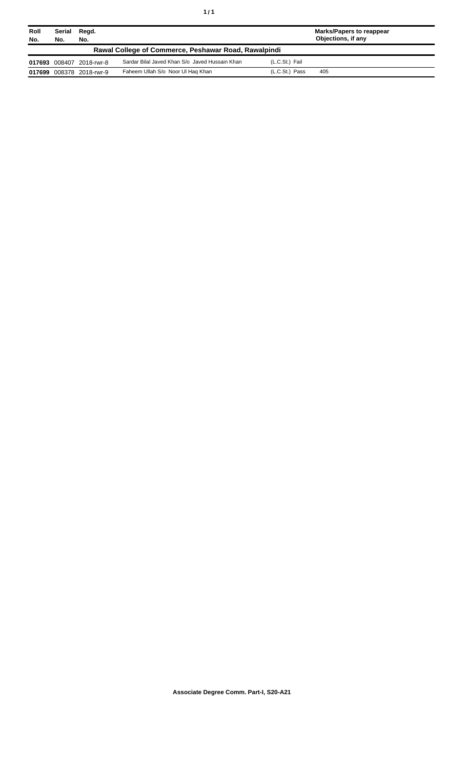| Roll<br>No.                                          | Serial<br>No. | Regd.<br>No.             |                                                |                | <b>Marks/Papers to reappear</b><br>Objections, if any |
|------------------------------------------------------|---------------|--------------------------|------------------------------------------------|----------------|-------------------------------------------------------|
| Rawal College of Commerce, Peshawar Road, Rawalpindi |               |                          |                                                |                |                                                       |
|                                                      |               | 017693 008407 2018-rwr-8 | Sardar Bilal Javed Khan S/o Javed Hussain Khan | (L.C.St.) Fail |                                                       |
| 017699                                               |               | 008378 2018-rwr-9        | Faheem Ullah S/o Noor Ul Hag Khan              | (L.C.St.) Pass | 405                                                   |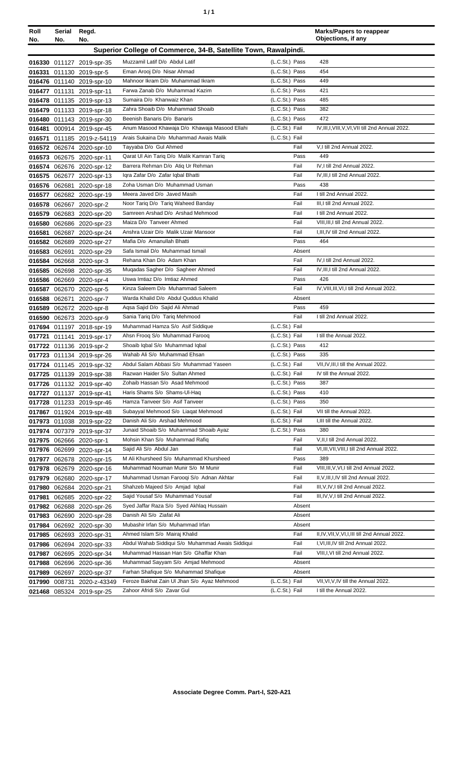| ٠ | ٠ |
|---|---|
|   |   |

| Roll | Serial        | Regd.                                                  |                                                                                          |                  | <b>Marks/Papers to reappear</b><br>Objections, if any           |
|------|---------------|--------------------------------------------------------|------------------------------------------------------------------------------------------|------------------|-----------------------------------------------------------------|
| No.  | No.           | No.                                                    |                                                                                          |                  |                                                                 |
|      |               |                                                        | Superior College of Commerce, 34-B, Satellite Town, Rawalpindi.                          |                  |                                                                 |
|      |               | 016330 011127 2019-spr-35                              | Muzzamil Latif D/o Abdul Latif                                                           | (L.C.St.) Pass   | 428                                                             |
|      |               | 016331 011130 2019-spr-5                               | Eman Arooj D/o Nisar Ahmad                                                               | (L.C.St.) Pass   | 454                                                             |
|      |               | 016476 011140 2019-spr-10                              | Mahnoor Ikram D/o Muhammad Ikram                                                         | (L.C.St.) Pass   | 449                                                             |
|      |               | 016477 011131 2019-spr-11                              | Farwa Zanab D/o Muhammad Kazim                                                           | (L.C.St.) Pass   | 421                                                             |
|      |               | 016478 011135 2019-spr-13                              | Sumaira D/o Khanwaiz Khan                                                                | (L.C.St.) Pass   | 485                                                             |
|      |               | 016479 011133 2019-spr-18                              | Zahra Shoaib D/o Muhammad Shoaib                                                         | (L.C.St.) Pass   | 382                                                             |
|      |               | 016480 011143 2019-spr-30                              | Beenish Banaris D/o Banaris                                                              | (L.C.St.) Pass   | 472                                                             |
|      |               | 016481 000914 2019-spr-45                              | Anum Masood Khawaja D/o Khawaja Masood Ellahi                                            | (L.C.St.) Fail   | IV, III, I, VIII, V, VI, VII till 2nd Annual 2022.              |
|      |               | 016571 011185 2019-z-54119                             | Arais Sukaina D/o Muhammad Awais Malik                                                   | (L.C.St.) Fail   |                                                                 |
|      |               | 016572 062674 2020-spr-10                              | Tayyaba D/o Gul Ahmed                                                                    | Fail             | V,I till 2nd Annual 2022.                                       |
|      |               | 016573 062675 2020-spr-11                              | Qarat Ul Ain Tariq D/o Malik Kamran Tariq                                                | Pass             | 449                                                             |
|      |               | 016574 062676 2020-spr-12                              | Barrera Rehman D/o Atiq Ur Rehman                                                        | Fail<br>Fail     | IV, I till 2nd Annual 2022.<br>IV, III, I till 2nd Annual 2022. |
|      |               | 016575 062677 2020-spr-13                              | Igra Zafar D/o Zafar Igbal Bhatti<br>Zoha Usman D/o Muhammad Usman                       | Pass             | 438                                                             |
|      |               | 016576 062681 2020-spr-18                              | Meera Javed D/o Javed Masih                                                              | Fail             | I till 2nd Annual 2022.                                         |
|      |               | 016577 062682 2020-spr-19                              | Noor Tariq D/o Tariq Waheed Banday                                                       | Fail             | III, I till 2nd Annual 2022.                                    |
|      |               | 016578 062667 2020-spr-2                               | Samreen Arshad D/o Arshad Mehmood                                                        | Fail             | I till 2nd Annual 2022.                                         |
|      |               | 016579 062683 2020-spr-20<br>016580 062686 2020-spr-23 | Maiza D/o Tanveer Ahmed                                                                  | Fail             | VIII, III, I till 2nd Annual 2022.                              |
|      |               | 016581 062687 2020-spr-24                              | Anshra Uzair D/o Malik Uzair Mansoor                                                     | Fail             | I.III.IV till 2nd Annual 2022.                                  |
|      |               | 016582 062689 2020-spr-27                              | Mafia D/o Amanullah Bhatti                                                               | Pass             | 464                                                             |
|      | 016583 062691 | 2020-spr-29                                            | Safa Ismail D/o Muhammad Ismail                                                          | Absent           |                                                                 |
|      |               | 016584 062668 2020-spr-3                               | Rehana Khan D/o Adam Khan                                                                | Fail             | IV, I till 2nd Annual 2022.                                     |
|      |               | 016585 062698 2020-spr-35                              | Mugadas Sagher D/o Sagheer Ahmed                                                         | Fail             | IV, III, I till 2nd Annual 2022.                                |
|      |               | 016586 062669 2020-spr-4                               | Uswa Imtiaz D/o Imtiaz Ahmed                                                             | Pass             | 426                                                             |
|      |               | 016587 062670 2020-spr-5                               | Kinza Saleem D/o Muhammad Saleem                                                         | Fail             | IV, VIII, III, VI, I till 2nd Annual 2022.                      |
|      |               | 016588 062671 2020-spr-7                               | Warda Khalid D/o Abdul Quddus Khalid                                                     | Absent           |                                                                 |
|      |               | 016589 062672 2020-spr-8                               | Aqsa Sajid D/o Sajid Ali Ahmad                                                           | Pass             | 459                                                             |
|      |               | 016590 062673 2020-spr-9                               | Sania Tariq D/o Tariq Mehmood                                                            | Fail             | I till 2nd Annual 2022.                                         |
|      |               | 017694 011197 2018-spr-19                              | Muhammad Hamza S/o Asif Siddique                                                         | (L.C.St.) Fail   |                                                                 |
|      |               | 017721 011141 2019-spr-17                              | Ahsn Froog S/o Muhammad Faroog                                                           | (L.C.St.) Fail   | I till the Annual 2022.                                         |
|      |               | 017722 011136 2019-spr-2                               | Shoaib Iqbal S/o Muhammad Iqbal                                                          | (L.C.St.) Pass   | 412                                                             |
|      |               | 017723 011134 2019-spr-26                              | Wahab Ali S/o Muhammad Ehsan                                                             | (L.C.St.) Pass   | 335                                                             |
|      |               | 017724 011145 2019-spr-32                              | Abdul Salam Abbasi S/o Muhammad Yaseen                                                   | (L.C.St.) Fail   | VII, IV, III, I till the Annual 2022.                           |
|      |               | 017725 011139 2019-spr-38                              | Razwan Haider S/o Sultan Ahmed                                                           | (L.C.St.) Fail   | IV till the Annual 2022.                                        |
|      |               | 017726 011132 2019-spr-40                              | Zohaib Hassan S/o Asad Mehmood                                                           | (L.C.St.) Pass   | 387                                                             |
|      |               | 017727 011137 2019-spr-41                              | Haris Shams S/o Shams-Ul-Haq                                                             | (L.C.St.) Pass   | 410                                                             |
|      |               | 017728 011233 2019-spr-46                              | Hamza Tanveer S/o Asif Tanveer                                                           | (L.C.St.) Pass   | 350                                                             |
|      |               | 017867 011924 2019-spr-48                              | Subayyal Mehmood S/o Liaqat Mehmood                                                      | (L.C.St.) Fail   | VII till the Annual 2022.                                       |
|      |               | 017973 011038 2019-spr-22                              | Danish Ali S/o Arshad Mehmood                                                            | (L.C.St.) Fail   | I, III till the Annual 2022.                                    |
|      |               | 017974 007379 2019-spr-37                              | Junaid Shoaib S/o Muhammad Shoaib Ayaz                                                   | (L.C.St.) Pass   | 380                                                             |
|      |               | 017975 062666 2020-spr-1                               | Mohsin Khan S/o Muhammad Rafiq                                                           | Fail             | V, II, I till 2nd Annual 2022.                                  |
|      |               | 017976 062699 2020-spr-14                              | Sajid Ali S/o Abdul Jan                                                                  | Fail             | VI, III, VII, VIII, I till 2nd Annual 2022.                     |
|      |               | 017977 062678 2020-spr-15                              | M Ali Khursheed S/o Muhammad Khursheed                                                   | Pass             | 389                                                             |
|      |               | 017978 062679 2020-spr-16                              | Muhammad Nouman Munir S/o M Munir                                                        | Fail             | VIII, III, V, VI, I till 2nd Annual 2022.                       |
|      |               | 017979 062680 2020-spr-17                              | Muhammad Usman Farooqi S/o Adnan Akhtar                                                  | Fail             | II, V, III, I, IV till 2nd Annual 2022.                         |
|      |               | 017980 062684 2020-spr-21                              | Shahzeb Majeed S/o Amjad Iqbal                                                           | Fail             | III, V, IV, I till 2nd Annual 2022.                             |
|      |               | 017981 062685 2020-spr-22                              | Sajid Yousaf S/o Muhammad Yousaf                                                         | Fail             | III, IV, V, I till 2nd Annual 2022.                             |
|      |               | 017982 062688 2020-spr-26                              | Syed Jaffar Raza S/o Syed Akhlag Hussain                                                 | Absent           |                                                                 |
|      |               | 017983 062690 2020-spr-28                              | Danish Ali S/o Ziafat Ali                                                                | Absent           |                                                                 |
|      |               | 017984 062692 2020-spr-30                              | Mubashir Irfan S/o Muhammad Irfan                                                        | Absent           |                                                                 |
|      |               | 017985 062693 2020-spr-31                              | Ahmed Islam S/o Mairaj Khalid                                                            | Fail             | II, IV, VII, V, VI, I, III till 2nd Annual 2022.                |
|      |               | 017986 062694 2020-spr-33                              | Abdul Wahab Siddiqui S/o Muhammad Awais Siddiqui<br>Muhammad Hassan Han S/o Ghaffar Khan | Fail             | I, VI, III, IV till 2nd Annual 2022.                            |
|      |               | 017987 062695 2020-spr-34                              | Muhammad Sayyam S/o Amjad Mehmood                                                        | Fail             | VIII, I, VI till 2nd Annual 2022.                               |
|      |               | 017988 062696 2020-spr-36                              | Farhan Shafique S/o Muhammad Shafique                                                    | Absent<br>Absent |                                                                 |
|      |               | 017989 062697 2020-spr-37                              | Feroze Bakhat Zain Ul Jhan S/o Ayaz Mehmood                                              | (L.C.St.) Fail   | VII, VI, V, IV till the Annual 2022.                            |
|      | 017990 008731 | 2020-z-43349                                           | Zahoor Afridi S/o Zavar Gul                                                              | (L.C.St.) Fail   | I till the Annual 2022.                                         |
|      |               | 021468 085324 2019-spr-25                              |                                                                                          |                  |                                                                 |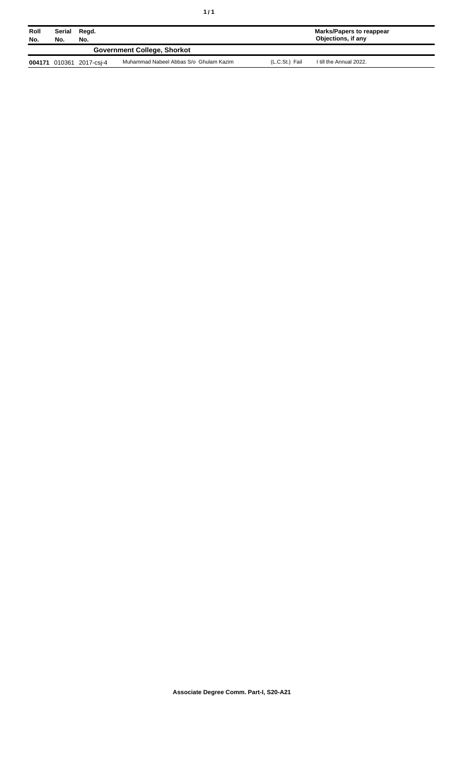| Roll<br>No. | Serial<br>Regd.<br>No.<br>No.      |                   |                                        |                | <b>Marks/Papers to reappear</b><br>Objections, if any |  |
|-------------|------------------------------------|-------------------|----------------------------------------|----------------|-------------------------------------------------------|--|
|             | <b>Government College, Shorkot</b> |                   |                                        |                |                                                       |  |
| 004171      |                                    | 010361 2017-csi-4 | Muhammad Nabeel Abbas S/o Ghulam Kazim | (L.C.St.) Fail | I till the Annual 2022.                               |  |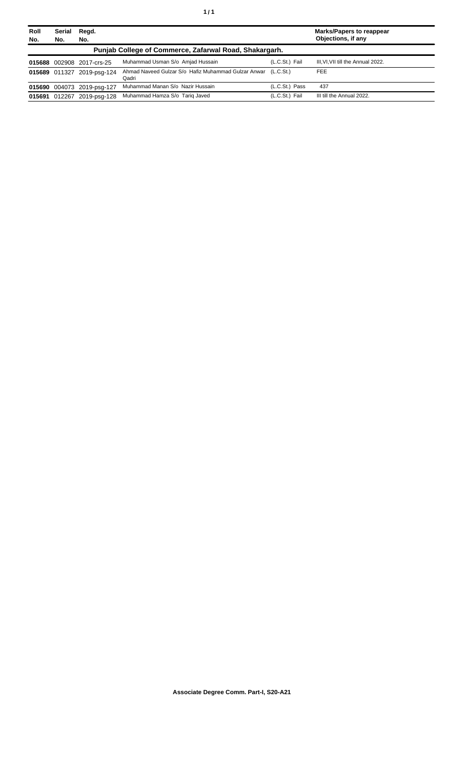| <b>Roll</b><br>No. | Serial<br>No. | Regd.<br>No.               |                                                              |                | <b>Marks/Papers to reappear</b><br>Objections, if any |
|--------------------|---------------|----------------------------|--------------------------------------------------------------|----------------|-------------------------------------------------------|
|                    |               |                            | Punjab College of Commerce, Zafarwal Road, Shakargarh.       |                |                                                       |
|                    |               | 015688 002908 2017-crs-25  | Muhammad Usman S/o Amjad Hussain                             | (L.C.St.) Fail | III, VI, VII till the Annual 2022.                    |
|                    |               | 015689 011327 2019-psg-124 | Ahmad Naveed Gulzar S/o Hafiz Muhammad Gulzar Anwar<br>Qadri | (L.C.St.)      | <b>FEE</b>                                            |
|                    |               | 015690 004073 2019-psg-127 | Muhammad Manan S/o Nazir Hussain                             | (L.C.St.) Pass | 437                                                   |
|                    |               | 015691 012267 2019-psg-128 | Muhammad Hamza S/o Tarig Javed                               | (L.C.St.) Fail | III till the Annual 2022.                             |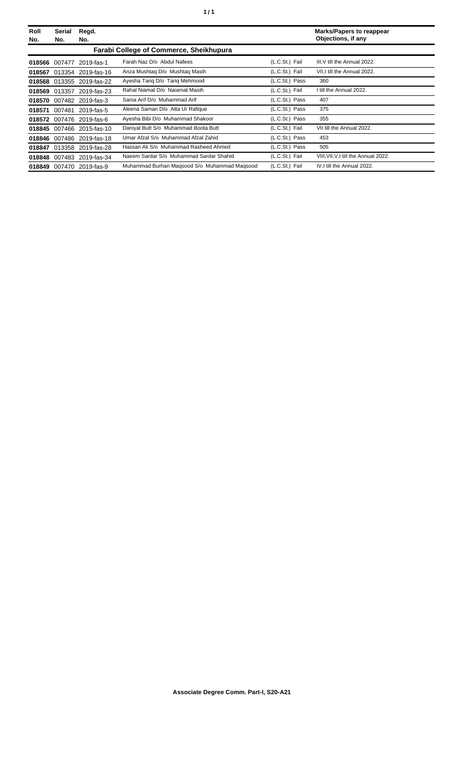| Roll<br>No. | Serial<br>No. | Regd.<br>No.              |                                                |                | <b>Marks/Papers to reappear</b><br>Objections, if any |
|-------------|---------------|---------------------------|------------------------------------------------|----------------|-------------------------------------------------------|
|             |               |                           | <b>Farabi College of Commerce, Sheikhupura</b> |                |                                                       |
|             | 018566 007477 | 2019-fas-1                | Farah Naz D/o Abdul Nafees                     | (L.C.St.) Fail | III, V till the Annual 2022.                          |
| 018567      |               | 013354 2019-fas-16        | Anza Mushtag D/o Mushtag Masih                 | (L.C.St.) Fail | VII, I till the Annual 2022.                          |
|             |               | 018568 013355 2019-fas-22 | Ayesha Tariq D/o Tariq Mehmood                 | (L.C.St.) Pass | 360                                                   |
| 018569      | 013357        | 2019-fas-23               | Rahal Niamat D/o Naiamat Masih                 | (L.C.St.) Fail | I till the Annual 2022.                               |
|             |               | 018570 007482 2019-fas-3  | Sania Arif D/o Muhammad Arif                   | (L.C.St.) Pass | 407                                                   |
|             | 018571 007481 | 2019-fas-5                | Aleena Saman D/o Atta Ur Rafique               | (L.C.St.) Pass | 375                                                   |
|             |               | 018572 007476 2019-fas-6  | Ayesha Bibi D/o Muhammad Shakoor               | (L.C.St.) Pass | 355                                                   |
|             |               | 018845 007466 2015-fas-10 | Daniyal Butt S/o Muhammad Boota Butt           | (L.C.St.) Fail | VII till the Annual 2022.                             |
|             |               | 018846 007486 2019-fas-18 | Umar Afzal S/o Muhammad Afzal Zahid            | (L.C.St.) Pass | 453                                                   |
|             |               | 018847 013358 2019-fas-28 | Hassan Ali S/o Muhammad Rasheed Ahmed          | (L.C.St.) Pass | 505                                                   |
|             |               | 018848 007483 2019-fas-34 | Naeem Sardar S/o Muhammad Sardar Shahid        | (L.C.St.) Fail | VIII, VII, V, I till the Annual 2022.                 |
|             |               | 018849 007470 2019-fas-9  | Muhammad Burhan Magsood S/o Muhammad Magsood   | (L.C.St.) Fail | IV.I till the Annual 2022.                            |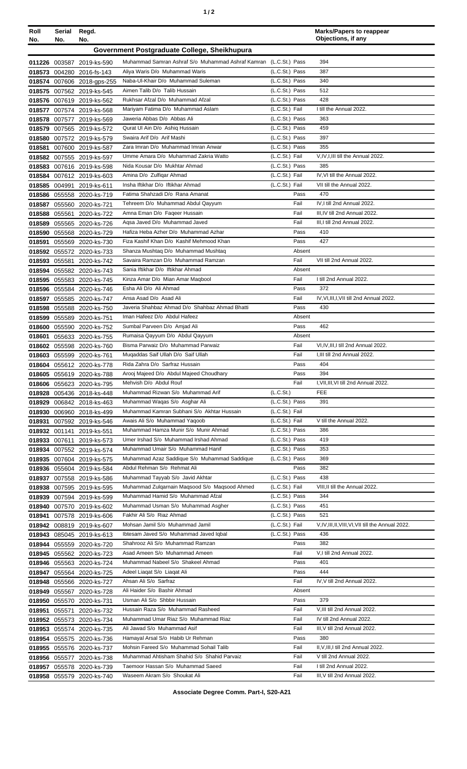| ٠ |  |  |
|---|--|--|
|---|--|--|

| Roll   | Serial        | Regd.                                                  |                                                                          |                                  | <b>Marks/Papers to reappear</b><br>Objections, if any             |
|--------|---------------|--------------------------------------------------------|--------------------------------------------------------------------------|----------------------------------|-------------------------------------------------------------------|
| No.    | No.           | No.                                                    |                                                                          |                                  |                                                                   |
|        |               |                                                        | Government Postgraduate College, Sheikhupura                             |                                  |                                                                   |
|        |               | 011226 003587 2019-ks-590                              | Muhammad Samran Ashraf S/o Muhammad Ashraf Kamran (L.C.St.) Pass         |                                  | 394                                                               |
|        |               | 018573 004280 2016-fs-143                              | Aliya Waris D/o Muhammad Waris                                           | (L.C.St.) Pass                   | 387                                                               |
|        |               | 018574 007606 2018-gps-255                             | Naba-Ul-Khair D/o Muhammad Suleman                                       | (L.C.St.) Pass                   | 340                                                               |
|        |               | 018575 007562 2019-ks-545                              | Aimen Talib D/o Talib Hussain                                            | (L.C.St.) Pass                   | 512                                                               |
|        |               | 018576 007619 2019-ks-562                              | Rukhsar Afzal D/o Muhammad Afzal<br>Mariyam Fatima D/o Muhammad Aslam    | (L.C.St.) Pass<br>(L.C.St.) Fail | 428<br>I till the Annual 2022.                                    |
|        |               | 018577 007574 2019-ks-568                              | Jaweria Abbas D/o Abbas Ali                                              | (L.C.St.) Pass                   | 363                                                               |
|        |               | 018578 007577 2019-ks-569                              | Qurat UI Ain D/o Ashiq Hussain                                           | (L.C.St.) Pass                   | 459                                                               |
|        |               | 018579 007565 2019-ks-572<br>018580 007572 2019-ks-579 | Swaira Arif D/o Arif Mashi                                               | (L.C.St.) Pass                   | 397                                                               |
|        |               | 018581 007600 2019-ks-587                              | Zara Imran D/o Muhammad Imran Anwar                                      | (L.C.St.) Pass                   | 355                                                               |
|        |               | 018582 007555 2019-ks-597                              | Umme Amara D/o Muhammad Zakria Watto                                     | (L.C.St.) Fail                   | V, IV, I, III till the Annual 2022.                               |
|        |               | 018583 007616 2019-ks-598                              | Nida Kousar D/o Mukhtar Ahmad                                            | (L.C.St.) Pass                   | 385                                                               |
|        |               | 018584 007612 2019-ks-603                              | Amina D/o Zulfigar Ahmad                                                 | (L.C.St.) Fail                   | IV, VI till the Annual 2022.                                      |
|        |               | 018585 004991 2019-ks-611                              | Insha Iftikhar D/o Iftikhar Ahmad                                        | (L.C.St.) Fail                   | VII till the Annual 2022.                                         |
|        |               | 018586 055558 2020-ks-719                              | Fatima Shahzadi D/o Rana Amanat                                          | Pass                             | 470                                                               |
|        |               | 018587 055560 2020-ks-721                              | Tehreem D/o Muhammad Abdul Qayyum                                        | Fail                             | IV, I till 2nd Annual 2022.                                       |
|        |               | 018588 055561 2020-ks-722                              | Amna Eman D/o Fageer Hussain                                             | Fail                             | III, IV till 2nd Annual 2022.                                     |
|        |               | 018589 055565 2020-ks-726                              | Aqsa Javed D/o Muhammad Javed                                            | Fail                             | III.I till 2nd Annual 2022.                                       |
|        |               | 018590 055568 2020-ks-729                              | Hafiza Heba Azher D/o Muhammad Azhar                                     | Pass                             | 410                                                               |
| 018591 |               | 055569 2020-ks-730                                     | Fiza Kashif Khan D/o Kashif Mehmood Khan                                 | Pass                             | 427                                                               |
|        |               | 018592 055572 2020-ks-733                              | Shanza Mushtaq D/o Muhammad Mushtaq                                      | Absent                           |                                                                   |
|        | 018593 055581 | 2020-ks-742                                            | Savaira Ramzan D/o Muhammad Ramzan                                       | Fail                             | VII till 2nd Annual 2022.                                         |
|        |               | 018594 055582 2020-ks-743                              | Sania Iftikhar D/o Iftikhar Ahmad                                        | Absent                           |                                                                   |
|        |               | 018595 055583 2020-ks-745                              | Kinza Amar D/o Mian Amar Magbool                                         | Fail                             | I till 2nd Annual 2022.                                           |
|        |               | 018596 055584 2020-ks-746                              | Esha Ali D/o Ali Ahmad                                                   | Pass                             | 372                                                               |
|        |               | 018597 055585 2020-ks-747                              | Ansa Asad D/o Asad Ali                                                   | Fail                             | IV, VI, III, I, VII till 2nd Annual 2022.                         |
|        |               | 018598 055588 2020-ks-750                              | Javeria Shahbaz Ahmad D/o Shahbaz Ahmad Bhatti                           | Pass                             | 430                                                               |
|        |               | 018599 055589 2020-ks-751                              | Iman Hafeez D/o Abdul Hafeez                                             | Absent                           |                                                                   |
|        |               | 018600 055590 2020-ks-752                              | Sumbal Parveen D/o Amjad Ali                                             | Pass                             | 462                                                               |
| 018601 |               | 055633 2020-ks-755                                     | Rumaisa Qayyum D/o Abdul Qayyum                                          | Absent<br>Fail                   |                                                                   |
|        |               | 018602 055598 2020-ks-760                              | Bisma Parwaiz D/o Muhammad Parwaiz<br>Mugaddas Saif Ullah D/o Saif Ullah | Fail                             | VI,IV,III,I till 2nd Annual 2022.<br>I, III till 2nd Annual 2022. |
|        |               | 018603 055599 2020-ks-761                              | Rida Zahra D/o Sarfraz Hussain                                           | Pass                             | 404                                                               |
|        |               | 018604 055612 2020-ks-778<br>018605 055619 2020-ks-788 | Arooj Majeed D/o Abdul Majeed Choudhary                                  | Pass                             | 394                                                               |
|        |               | 018606 055623 2020-ks-795                              | Mehvish D/o Abdul Rouf                                                   | Fail                             | I, VII, III, VI till 2nd Annual 2022.                             |
|        |               | 018928 005436 2018-ks-448                              | Muhammad Rizwan S/o Muhammad Arif                                        | (L.C.St.)                        | <b>FEE</b>                                                        |
|        |               | 018929 006842 2018-ks-463                              | Muhammad Waqas S/o Asghar Ali                                            | (L.C.St.) Pass                   | 391                                                               |
|        |               | 018930 006960 2018-ks-499                              | Muhammad Kamran Subhani S/o Akhtar Hussain                               | (L.C.St.) Fail                   |                                                                   |
|        |               | 018931 007592 2019-ks-546                              | Awais Ali S/o Muhammad Yaqoob                                            | (L.C.St.) Fail                   | V till the Annual 2022.                                           |
|        |               | 018932 001141 2019-ks-551                              | Muhammad Hamza Munir S/o Munir Ahmad                                     | (L.C.St.) Pass                   | 386                                                               |
|        |               | 018933 007611 2019-ks-573                              | Umer Irshad S/o Muhammad Irshad Ahmad                                    | (L.C.St.) Pass                   | 419                                                               |
|        |               | 018934 007552 2019-ks-574                              | Muhammad Umair S/o Muhammad Hanif                                        | (L.C.St.) Pass                   | 353                                                               |
|        |               | 018935 007604 2019-ks-575                              | Muhammad Azaz Saddique S/o Muhammad Saddique                             | (L.C.St.) Pass                   | 369                                                               |
|        |               | 018936 055604 2019-ks-584                              | Abdul Rehman S/o Rehmat Ali                                              | Pass                             | 382                                                               |
|        |               | 018937 007558 2019-ks-586                              | Muhammad Tayyab S/o Javid Akhtar                                         | (L.C.St.) Pass                   | 438                                                               |
|        |               | 018938 007595 2019-ks-595                              | Muhammad Zulqarnain Maqsood S/o Maqsood Ahmed                            | (L.C.St.) Fail                   | VIII, II till the Annual 2022.                                    |
|        |               | 018939 007594 2019-ks-599                              | Muhammad Hamid S/o Muhammad Afzal                                        | (L.C.St.) Pass                   | 344                                                               |
|        |               | 018940 007570 2019-ks-602                              | Muhammad Usman S/o Muhammad Asgher                                       | (L.C.St.) Pass                   | 451                                                               |
|        |               | 018941 007578 2019-ks-606                              | Fakhir Ali S/o Riaz Ahmad<br>Mohsan Jamil S/o Muhammad Jamil             | (L.C.St.) Pass<br>(L.C.St.) Fail | 521<br>V, IV, III, II, VIII, VI, VII till the Annual 2022.        |
|        |               | 018942 008819 2019-ks-607                              | Ibtesam Javed S/o Muhammad Javed Iqbal                                   | (L.C.St.) Pass                   | 436                                                               |
|        |               | 018943 085045 2019-ks-613                              | Shahrooz Ali S/o Muhammad Ramzan                                         | Pass                             | 382                                                               |
|        |               | 018944 055559 2020-ks-720<br>018945 055562 2020-ks-723 | Asad Ameen S/o Muhammad Ameen                                            | Fail                             | V,I till 2nd Annual 2022.                                         |
|        |               | 018946 055563 2020-ks-724                              | Muhammad Nabeel S/o Shakeel Ahmad                                        | Pass                             | 401                                                               |
|        |               | 018947 055564 2020-ks-725                              | Adeel Liaqat S/o Liaqat Ali                                              | Pass                             | 444                                                               |
|        |               | 018948 055566 2020-ks-727                              | Ahsan Ali S/o Sarfraz                                                    | Fail                             | IV, V till 2nd Annual 2022.                                       |
|        |               | 018949 055567 2020-ks-728                              | Ali Haider S/o Bashir Ahmad                                              | Absent                           |                                                                   |
|        |               | 018950 055570 2020-ks-731                              | Usman Ali S/o Shbbir Hussain                                             | Pass                             | 379                                                               |
|        |               | 018951 055571 2020-ks-732                              | Hussain Raza S/o Muhammad Rasheed                                        | Fail                             | V, III till 2nd Annual 2022.                                      |
|        |               | 018952 055573 2020-ks-734                              | Muhammad Umar Riaz S/o Muhammad Riaz                                     | Fail                             | IV till 2nd Annual 2022.                                          |
|        |               | 018953 055574 2020-ks-735                              | Ali Jawad S/o Muhammad Asif                                              | Fail                             | III.V till 2nd Annual 2022.                                       |
|        |               | 018954 055575 2020-ks-736                              | Hamayal Arsal S/o Habib Ur Rehman                                        | Pass                             | 380                                                               |
|        |               | 018955 055576 2020-ks-737                              | Mohsin Fareed S/o Muhammad Sohail Talib                                  | Fail                             | II, V, III, I till 2nd Annual 2022.                               |
|        |               | 018956 055577 2020-ks-738                              | Muhammad Ahtisham Shahid S/o Shahid Parvaiz                              | Fail                             | V till 2nd Annual 2022.                                           |
|        |               | 018957 055578 2020-ks-739                              | Taemoor Hassan S/o Muhammad Saeed                                        | Fail                             | I till 2nd Annual 2022.                                           |
|        |               | 018958 055579 2020-ks-740                              | Waseem Akram S/o Shoukat Ali                                             | Fail                             | III, V till 2nd Annual 2022.                                      |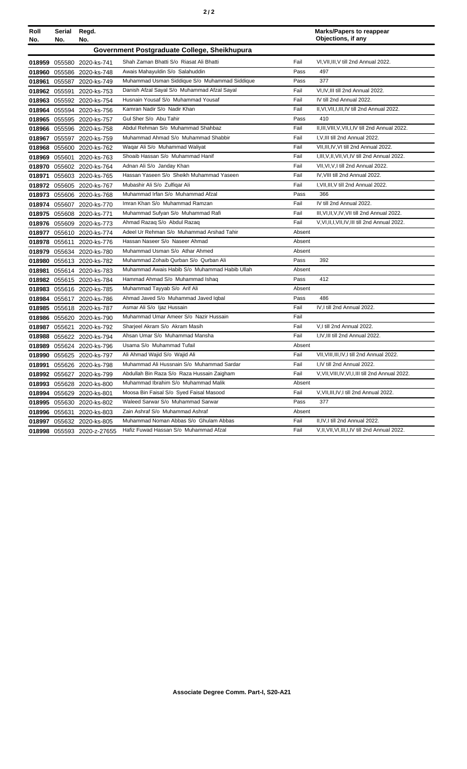|--|--|--|

| Roll   | Serial        | Regd.                     |                                               |        | <b>Marks/Papers to reappear</b>                    |
|--------|---------------|---------------------------|-----------------------------------------------|--------|----------------------------------------------------|
| No.    | No.           | No.                       |                                               |        | Objections, if any                                 |
|        |               |                           | Government Postgraduate College, Sheikhupura  |        |                                                    |
|        |               | 018959 055580 2020-ks-741 | Shah Zaman Bhatti S/o Riasat Ali Bhatti       | Fail   | VI, VII, III, V till 2nd Annual 2022.              |
|        |               | 018960 055586 2020-ks-748 | Awais Mahayuldin S/o Salahuddin               | Pass   | 497                                                |
|        |               | 018961 055587 2020-ks-749 | Muhammad Usman Siddique S/o Muhammad Siddique | Pass   | 377                                                |
|        |               | 018962 055591 2020-ks-753 | Danish Afzal Sayal S/o Muhammad Afzal Sayal   | Fail   | VI,IV,III till 2nd Annual 2022.                    |
|        |               | 018963 055592 2020-ks-754 | Husnain Yousaf S/o Muhammad Yousaf            | Fail   | IV till 2nd Annual 2022.                           |
|        |               | 018964 055594 2020-ks-756 | Kamran Nadir S/o Nadir Khan                   | Fail   | II, VI, VII, I, III, IV till 2nd Annual 2022.      |
|        |               | 018965 055595 2020-ks-757 | Gul Sher S/o Abu Tahir                        | Pass   | 410                                                |
|        |               | 018966 055596 2020-ks-758 | Abdul Rehman S/o Muhammad Shahbaz             | Fail   | II, III, VIII, V, VII, I, IV till 2nd Annual 2022. |
|        |               | 018967 055597 2020-ks-759 | Muhammad Ahmad S/o Muhammad Shabbir           | Fail   | I, V, III till 2nd Annual 2022.                    |
|        |               | 018968 055600 2020-ks-762 | Waqar Ali S/o Muhammad Waliyat                | Fail   | VII, III, IV, VI till 2nd Annual 2022.             |
|        |               | 018969 055601 2020-ks-763 | Shoaib Hassan S/o Muhammad Hanif              | Fail   | I, III, V, II, VII, VI, IV till 2nd Annual 2022.   |
|        |               | 018970 055602 2020-ks-764 | Adnan Ali S/o Janday Khan                     | Fail   | VII, VI, V, I till 2nd Annual 2022.                |
| 018971 |               | 055603 2020-ks-765        | Hassan Yaseen S/o Sheikh Muhammad Yaseen      | Fail   | IV, VIII till 2nd Annual 2022.                     |
|        |               | 018972 055605 2020-ks-767 | Mubashir Ali S/o Zulfigar Ali                 | Fail   | I.VII.III.V till 2nd Annual 2022.                  |
|        |               | 018973 055606 2020-ks-768 | Muhammad Irfan S/o Muhammad Afzal             | Pass   | 366                                                |
|        |               | 018974 055607 2020-ks-770 | Imran Khan S/o Muhammad Ramzan                | Fail   | IV till 2nd Annual 2022.                           |
|        |               | 018975 055608 2020-ks-771 | Muhammad Sufyan S/o Muhammad Rafi             | Fail   | III, VI, II, V, IV, VII till 2nd Annual 2022.      |
|        |               | 018976 055609 2020-ks-773 | Ahmad Razaq S/o Abdul Razaq                   | Fail   | V, VI, II, I, VII, IV, III till 2nd Annual 2022.   |
|        |               | 018977 055610 2020-ks-774 | Adeel Ur Rehman S/o Muhammad Arshad Tahir     | Absent |                                                    |
|        |               | 018978 055611 2020-ks-776 | Hassan Naseer S/o Naseer Ahmad                | Absent |                                                    |
|        |               | 018979 055634 2020-ks-780 | Muhammad Usman S/o Athar Ahmed                | Absent |                                                    |
|        |               | 018980 055613 2020-ks-782 | Muhammad Zohaib Qurban S/o Qurban Ali         | Pass   | 392                                                |
| 018981 |               | 055614 2020-ks-783        | Muhammad Awais Habib S/o Muhammad Habib Ullah | Absent |                                                    |
|        |               | 018982 055615 2020-ks-784 | Hammad Ahmad S/o Muhammad Ishaq               | Pass   | 412                                                |
|        |               | 018983 055616 2020-ks-785 | Muhammad Tayyab S/o Arif Ali                  | Absent |                                                    |
|        |               | 018984 055617 2020-ks-786 | Ahmad Javed S/o Muhammad Javed Iqbal          | Pass   | 486                                                |
|        |               | 018985 055618 2020-ks-787 | Asmar Ali S/o Ijaz Hussain                    | Fail   | IV, I till 2nd Annual 2022.                        |
|        |               | 018986 055620 2020-ks-790 | Muhammad Umar Ameer S/o Nazir Hussain         | Fail   |                                                    |
|        |               | 018987 055621 2020-ks-792 | Sharjeel Akram S/o Akram Masih                | Fail   | V.I till 2nd Annual 2022.                          |
|        |               | 018988 055622 2020-ks-794 | Ahsan Umar S/o Muhammad Mansha                | Fail   | I,IV,III till 2nd Annual 2022.                     |
|        |               | 018989 055624 2020-ks-796 | Usama S/o Muhammad Tufail                     | Absent |                                                    |
|        |               | 018990 055625 2020-ks-797 | Ali Ahmad Wajid S/o Wajid Ali                 | Fail   | VII, VIII, III, IV, I till 2nd Annual 2022.        |
|        |               | 018991 055626 2020-ks-798 | Muhammad Ali Hussnain S/o Muhammad Sardar     | Fail   | I,IV till 2nd Annual 2022.                         |
|        |               | 018992 055627 2020-ks-799 | Abdullah Bin Raza S/o Raza Hussain Zaigham    | Fail   | V, VII, VIII, IV, VI, I, III till 2nd Annual 2022. |
| 018993 |               | 055628 2020-ks-800        | Muhammad Ibrahim S/o Muhammad Malik           | Absent |                                                    |
|        |               | 018994 055629 2020-ks-801 | Moosa Bin Faisal S/o Syed Faisal Masood       | Fail   | V, VII, III, IV, I till 2nd Annual 2022.           |
|        |               | 018995 055630 2020-ks-802 | Waleed Sarwar S/o Muhammad Sarwar             | Pass   | 377                                                |
|        | 018996 055631 | 2020-ks-803               | Zain Ashraf S/o Muhammad Ashraf               | Absent |                                                    |
| 018997 |               | 055632 2020-ks-805        | Muhammad Noman Abbas S/o Ghulam Abbas         | Fail   | II, IV, I till 2nd Annual 2022.                    |
| 018998 |               | 055593 2020-z-27655       | Hafiz Fuwad Hassan S/o Muhammad Afzal         | Fail   | V, II, VII, VI, III, I, IV till 2nd Annual 2022.   |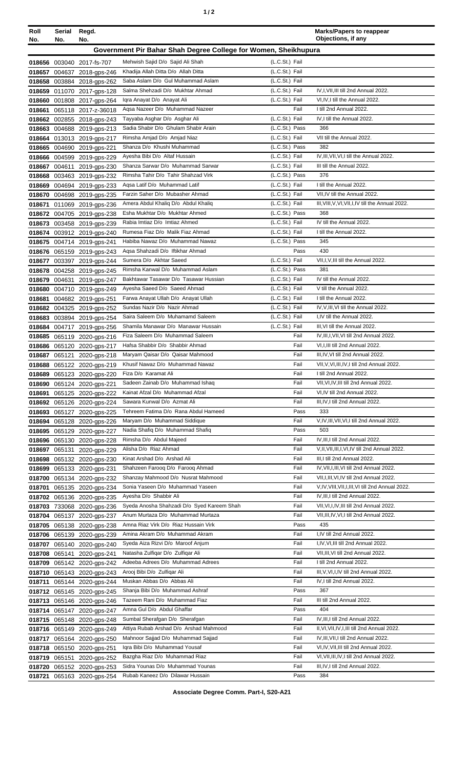| ٠ |  |
|---|--|
|---|--|

| Roll<br>No.      | Serial<br>No. | Regd.<br>No.                                             |                                                                          |                                  | <b>Marks/Papers to reappear</b><br>Objections, if any |
|------------------|---------------|----------------------------------------------------------|--------------------------------------------------------------------------|----------------------------------|-------------------------------------------------------|
|                  |               |                                                          | Government Pir Bahar Shah Degree College for Women, Sheikhupura          |                                  |                                                       |
|                  |               |                                                          |                                                                          |                                  |                                                       |
|                  |               | 018656 003040 2017-fs-707                                | Mehwish Sajid D/o Sajid Ali Shah                                         | (L.C.St.) Fail                   |                                                       |
| 018657           |               | 004637 2018-gps-246                                      | Khadija Allah Ditta D/o Allah Ditta<br>Saba Aslam D/o Gul Muhammad Aslam | (L.C.St.) Fail<br>(L.C.St.) Fail |                                                       |
|                  |               | 018658 003884 2018-gps-262                               | Salma Shehzadi D/o Mukhtar Ahmad                                         | (L.C.St.) Fail                   | IV, I, VII, III till 2nd Annual 2022.                 |
| 018659<br>018660 |               | 011070 2017-gps-128                                      | Igra Anayat D/o Anayat Ali                                               | (L.C.St.) Fail                   | VI, IV, I till the Annual 2022.                       |
| 018661           | 065118        | 001808 2017-gps-264<br>2017-z-36018                      | Aqsa Nazeer D/o Muhammad Nazeer                                          | Fail                             | I till 2nd Annual 2022.                               |
|                  |               | 018662 002855 2018-gps-243                               | Tayyaba Asghar D/o Asghar Ali                                            | (L.C.St.) Fail                   | IV, I till the Annual 2022.                           |
| 018663           |               | 004688 2019-gps-213                                      | Sadia Shabir D/o Ghulam Shabir Arain                                     | (L.C.St.) Pass                   | 366                                                   |
|                  |               | 018664 013013 2019-gps-217                               | Rimsha Amjad D/o Amjad Niaz                                              | (L.C.St.) Fail                   | VII till the Annual 2022.                             |
|                  |               | 018665 004690 2019-gps-221                               | Shanza D/o Khushi Muhammad                                               | (L.C.St.) Pass                   | 382                                                   |
|                  | 018666 004599 | 2019-gps-229                                             | Ayesha Bibi D/o Altaf Hussain                                            | (L.C.St.) Fail                   | IV, III, VII, VI, I till the Annual 2022.             |
| 018667           | 004611        | 2019-gps-230                                             | Shanza Sarwar D/o Muhammad Sarwar                                        | (L.C.St.) Fail                   | III till the Annual 2022.                             |
| 018668           |               | 003463 2019-gps-232                                      | Rimsha Tahir D/o Tahir Shahzad Virk                                      | (L.C.St.) Pass                   | 376                                                   |
| 018669           |               | 004694 2019-gps-233                                      | Agsa Latif D/o Muhammad Latif                                            | (L.C.St.) Fail                   | I till the Annual 2022.                               |
|                  | 018670 004698 | 2019-gps-235                                             | Farzin Saher D/o Mubasher Ahmad                                          | (L.C.St.) Fail                   | VII, IV till the Annual 2022.                         |
| 018671           |               | 011069 2019-gps-236                                      | Amera Abdul Khaliq D/o Abdul Khaliq                                      | (L.C.St.) Fail                   | III, VIII, V, VI, VII, I, IV till the Annual 2022.    |
|                  |               | 018672 004705 2019-gps-238                               | Esha Mukhtar D/o Mukhtar Ahmed                                           | (L.C.St.) Pass                   | 368                                                   |
|                  |               | 018673 003458 2019-gps-239                               | Rabia Imtiaz D/o Imtiaz Ahmed                                            | (L.C.St.) Fail                   | IV till the Annual 2022.                              |
|                  |               | 018674 003912 2019-gps-240                               | Rumesa Fiaz D/o Malik Fiaz Ahmad                                         | (L.C.St.) Fail                   | I till the Annual 2022.                               |
| 018675           |               | 004714 2019-gps-241                                      | Habiba Nawaz D/o Muhammad Nawaz                                          | (L.C.St.) Pass                   | 345                                                   |
| 018676           |               | 065159 2019-gps-243                                      | Aqsa Shahzadi D/o Iftikhar Ahmad<br>Sumera D/o Akhtar Saeed              | Pass<br>(L.C.St.) Fail           | 430<br>VII,I,V,III till the Annual 2022.              |
| 018677           |               | 003397 2019-gps-244                                      | Rimsha Kanwal D/o Muhammad Aslam                                         | (L.C.St.) Pass                   | 381                                                   |
|                  |               | 018678 004258 2019-gps-245                               | Bakhtawar Tasawar D/o Tasawar Hussian                                    | (L.C.St.) Fail                   | IV till the Annual 2022.                              |
| 018680           | 018679 004631 | 2019-gps-247<br>004710 2019-gps-249                      | Ayesha Saeed D/o Saeed Ahmad                                             | (L.C.St.) Fail                   | V till the Annual 2022.                               |
| 018681           |               | 004682 2019-gps-251                                      | Farwa Anayat Ullah D/o Anayat Ullah                                      | (L.C.St.) Fail                   | I till the Annual 2022.                               |
|                  |               | 018682 004325 2019-gps-252                               | Sundas Nazir D/o Nazir Ahmad                                             | (L.C.St.) Fail                   | IV, V, III, VI till the Annual 2022.                  |
| 018683           |               | 003894 2019-gps-254                                      | Saira Saleem D/o Muhamamd Saleem                                         | (L.C.St.) Fail                   | I,IV till the Annual 2022.                            |
| 018684           |               | 004717 2019-gps-256                                      | Shamila Manawar D/o Manawar Hussain                                      | (L.C.St.) Fail                   | III, VI till the Annual 2022.                         |
|                  |               | 018685 065119 2020-gps-216                               | Fiza Saleem D/o Muhammad Saleem                                          | Fail                             | IV, III, I, VII, VI till 2nd Annual 2022.             |
|                  |               | 018686 065120 2020-gps-217                               | Hafsa Shabbir D/o Shabbir Ahmad                                          | Fail                             | VI, I, III till 2nd Annual 2022.                      |
| 018687           |               | 065121 2020-gps-218                                      | Maryam Qaisar D/o Qaisar Mahmood                                         | Fail                             | III, IV, VI till 2nd Annual 2022.                     |
|                  |               | 018688 065122 2020-gps-219                               | Khusif Nawaz D/o Muhammad Nawaz                                          | Fail                             | VII, V, VI, III, IV, I till 2nd Annual 2022.          |
| 018689           |               | 065123 2020-gps-220                                      | Fiza D/o Karamat Ali                                                     | Fail                             | I till 2nd Annual 2022.                               |
|                  |               | 018690 065124 2020-gps-221                               | Sadeen Zainab D/o Muhammad Ishaq                                         | Fail                             | VII, VI, IV, III till 2nd Annual 2022.                |
| 018691           |               | 065125 2020-gps-222                                      | Kainat Afzal D/o Muhammad Afzal                                          | Fail                             | VI, IV till 2nd Annual 2022.                          |
|                  |               | 018692 065126 2020-gps-224                               | Sawara Kunwal D/o Azmat Ali                                              | Fail                             | III,IV,I till 2nd Annual 2022.                        |
| 018693           |               | 065127 2020-gps-225                                      | Tehreem Fatima D/o Rana Abdul Hameed                                     | Pass                             | 333                                                   |
| 018694           |               | 065128 2020-gps-226                                      | Maryam D/o Muhammad Siddique<br>Nadia Shafiq D/o Muhammad Shafiq         | Fail                             | V, IV, III, VII, VI, I till 2nd Annual 2022.<br>503   |
|                  |               | 018695 065129 2020-gps-227                               | Rimsha D/o Abdul Majeed                                                  | Pass<br>Fail                     | IV, III, I till 2nd Annual 2022.                      |
|                  |               | 018696 065130 2020-gps-228                               | Alisha D/o Riaz Ahmad                                                    | Fail                             | V, II, VII, III, I, VI, IV till 2nd Annual 2022.      |
| 018697           |               | 065131 2020-gps-229<br>018698 065132 2020-gps-230        | Kinat Arshad D/o Arshad Ali                                              | Fail                             | III, I till 2nd Annual 2022.                          |
| 018699           |               | 065133 2020-gps-231                                      | Shahzeen Faroog D/o Faroog Ahmad                                         | Fail                             | IV, VII, I, III, VI till 2nd Annual 2022.             |
| 018700           |               | 065134 2020-gps-232                                      | Shanzay Mahmood D/o Nusrat Mahmood                                       | Fail                             | VII, I, III, VI, IV till 2nd Annual 2022.             |
| 018701           |               | 065135 2020-gps-234                                      | Sonia Yaseen D/o Muhammad Yaseen                                         | Fail                             | V, IV, VIII, VII, I, III, VI till 2nd Annual 2022.    |
|                  |               | 018702 065136 2020-gps-235                               | Ayesha D/o Shabbir Ali                                                   | Fail                             | IV, III, I till 2nd Annual 2022.                      |
|                  |               | 018703 733068 2020-gps-236                               | Syeda Anosha Shahzadi D/o Syed Kareem Shah                               | Fail                             | VII, VI, I, IV, III till 2nd Annual 2022.             |
|                  |               | 018704 065137 2020-gps-237                               | Anum Murtaza D/o Muhammad Murtaza                                        | Fail                             | VII, III, IV, VI, I till 2nd Annual 2022.             |
|                  |               | 018705 065138 2020-gps-238                               | Amna Riaz Virk D/o Riaz Hussain Virk                                     | Pass                             | 435                                                   |
|                  |               | 018706 065139 2020-gps-239                               | Amina Akram D/o Muhammad Akram                                           | Fail                             | I,IV till 2nd Annual 2022.                            |
| 018707           |               | 065140 2020-gps-240                                      | Syeda Aiza Rizvi D/o Maroof Anjum                                        | Fail                             | I,IV, VI, III till 2nd Annual 2022.                   |
|                  |               | 018708 065141 2020-gps-241                               | Natasha Zulfigar D/o Zulfigar Ali                                        | Fail                             | VII, III, VI till 2nd Annual 2022.                    |
| 018709           |               | 065142 2020-gps-242                                      | Adeeba Adrees D/o Muhammad Adrees                                        | Fail                             | I till 2nd Annual 2022.                               |
|                  |               | 018710 065143 2020-gps-243                               | Arooj Bibi D/o Zulfigar Ali                                              | Fail                             | III, V, VI, I, IV till 2nd Annual 2022.               |
| 018711           |               | 065144 2020-gps-244                                      | Muskan Abbas D/o Abbas Ali                                               | Fail                             | IV, I till 2nd Annual 2022.                           |
|                  |               | 018712 065145 2020-gps-245                               | Shanja Bibi D/o Muhammad Ashraf                                          | Pass                             | 367                                                   |
|                  |               | 018713 065146 2020-gps-246                               | Tazeem Rani D/o Muhammad Fiaz                                            | Fail                             | III till 2nd Annual 2022.                             |
|                  |               | 018714 065147 2020-gps-247                               | Amna Gul D/o Abdul Ghaffar                                               | Pass                             | 404<br>IV, III, I till 2nd Annual 2022.               |
|                  |               | 018715 065148 2020-gps-248                               | Sumbal Sherafgan D/o Sherafgan<br>Attiya Rubab Arshad D/o Arshad Mahmood | Fail<br>Fail                     | II, VI, VII, IV, I, III till 2nd Annual 2022.         |
|                  |               | 018716 065149 2020-gps-249                               | Mahnoor Sajjad D/o Muhammad Sajjad                                       | Fail                             | IV, III, VII, I till 2nd Annual 2022.                 |
|                  |               | 018717 065164 2020-gps-250<br>018718 065150 2020-gps-251 | Igra Bibi D/o Muhammad Yousaf                                            | Fail                             | VI,IV, VII, III till 2nd Annual 2022.                 |
|                  |               | 018719 065151 2020-gps-252                               | Bazgha Riaz D/o Muhammad Riaz                                            | Fail                             | VI, VII, III, IV, I till 2nd Annual 2022.             |
|                  |               | 018720 065152 2020-gps-253                               | Sidra Younas D/o Muhammad Younas                                         | Fail                             | III, IV, I till 2nd Annual 2022.                      |
|                  |               | 018721 065163 2020-gps-254                               | Rubab Kaneez D/o Dilawar Hussain                                         | Pass                             | 384                                                   |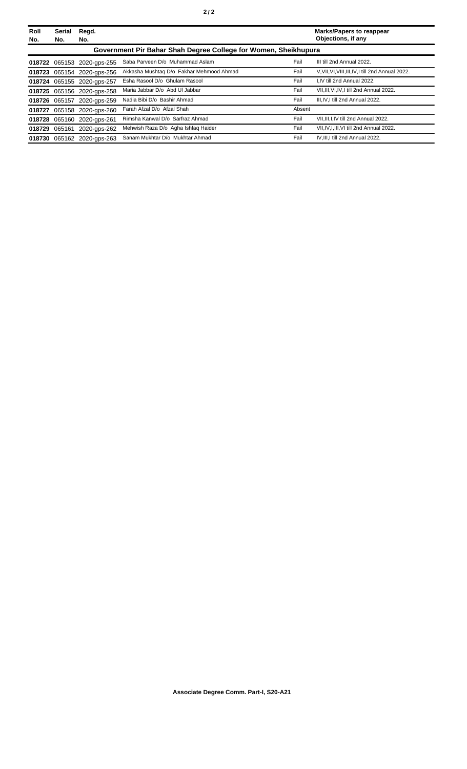| Roll<br>No. | <b>Serial</b><br>No.                                            | Regd.<br>No.               |                                          |        | <b>Marks/Papers to reappear</b><br>Objections, if any |  |  |
|-------------|-----------------------------------------------------------------|----------------------------|------------------------------------------|--------|-------------------------------------------------------|--|--|
|             | Government Pir Bahar Shah Degree College for Women, Sheikhupura |                            |                                          |        |                                                       |  |  |
|             |                                                                 | 018722 065153 2020-gps-255 | Saba Parveen D/o Muhammad Aslam          | Fail   | III till 2nd Annual 2022.                             |  |  |
|             |                                                                 | 018723 065154 2020-gps-256 | Akkasha Mushtaq D/o Fakhar Mehmood Ahmad | Fail   | V.VII.VI.VIII.III.IV.I till 2nd Annual 2022.          |  |  |
|             |                                                                 | 018724 065155 2020-gps-257 | Esha Rasool D/o Ghulam Rasool            | Fail   | I.IV till 2nd Annual 2022.                            |  |  |
|             |                                                                 | 018725 065156 2020-gps-258 | Maria Jabbar D/o Abd UI Jabbar           | Fail   | VII, III, VI, IV, I till 2nd Annual 2022.             |  |  |
|             |                                                                 | 018726 065157 2020-gps-259 | Nadia Bibi D/o Bashir Ahmad              | Fail   | III.IV.I till 2nd Annual 2022.                        |  |  |
|             |                                                                 | 018727 065158 2020-gps-260 | Farah Afzal D/o Afzal Shah               | Absent |                                                       |  |  |
|             |                                                                 | 018728 065160 2020-gps-261 | Rimsha Kanwal D/o Sarfraz Ahmad          | Fail   | VII, III, I, IV till 2nd Annual 2022.                 |  |  |
|             | 018729 065161                                                   | 2020-aps-262               | Mehwish Raza D/o Agha Ishfaq Haider      | Fail   | VII, IV, I, III, VI till 2nd Annual 2022.             |  |  |
|             |                                                                 | 018730 065162 2020-gps-263 | Sanam Mukhtar D/o Mukhtar Ahmad          | Fail   | IV.III.I till 2nd Annual 2022.                        |  |  |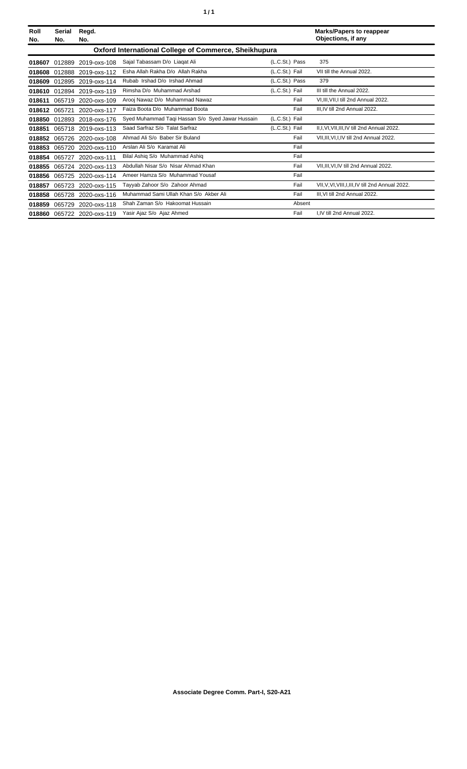| Roll<br>No.                                           | <b>Serial</b><br>No. | Regd.<br>No.        |                                                  |                | <b>Marks/Papers to reappear</b><br>Objections, if any |  |
|-------------------------------------------------------|----------------------|---------------------|--------------------------------------------------|----------------|-------------------------------------------------------|--|
| Oxford International College of Commerce, Sheikhupura |                      |                     |                                                  |                |                                                       |  |
| 018607                                                | 012889               | 2019-oxs-108        | Sajal Tabassam D/o Liagat Ali                    | (L.C.St.) Pass | 375                                                   |  |
| 018608                                                |                      | 012888 2019-oxs-112 | Esha Allah Rakha D/o Allah Rakha                 | (L.C.St.) Fail | VII till the Annual 2022.                             |  |
| 018609                                                | 012895               | 2019-oxs-114        | Rubab Irshad D/o Irshad Ahmad                    | (L.C.St.) Pass | 379                                                   |  |
| 018610                                                | 012894               | 2019-oxs-119        | Rimsha D/o Muhammad Arshad                       | (L.C.St.) Fail | III till the Annual 2022.                             |  |
| 018611                                                | 065719               | 2020-oxs-109        | Arooi Nawaz D/o Muhammad Nawaz                   | Fail           | VI.III.VII.I till 2nd Annual 2022.                    |  |
| 018612                                                | 065721               | 2020-oxs-117        | Faiza Boota D/o Muhammad Boota                   | Fail           | III.IV till 2nd Annual 2022.                          |  |
| 018850                                                |                      | 012893 2018-oxs-176 | Syed Muhammad Taqi Hassan S/o Syed Jawar Hussain | (L.C.St.) Fail |                                                       |  |
| 018851                                                |                      | 065718 2019-oxs-113 | Saad Sarfraz S/o Talat Sarfraz                   | (L.C.St.) Fail | II, I, VI, VII, III, IV till 2nd Annual 2022.         |  |
| 018852                                                |                      | 065726 2020-oxs-108 | Ahmad Ali S/o Baber Sir Buland                   | Fail           | VII, III, VI, I, IV till 2nd Annual 2022.             |  |
| 018853                                                |                      | 065720 2020-oxs-110 | Arslan Ali S/o Karamat Ali                       | Fail           |                                                       |  |
| 018854                                                | 065727               | 2020-oxs-111        | Bilal Ashiq S/o Muhammad Ashiq                   | Fail           |                                                       |  |
| 018855                                                |                      | 065724 2020-oxs-113 | Abdullah Nisar S/o Nisar Ahmad Khan              | Fail           | VII, III, VI, IV till 2nd Annual 2022.                |  |
| 018856                                                |                      | 065725 2020-oxs-114 | Ameer Hamza S/o Muhammad Yousaf                  | Fail           |                                                       |  |
| 018857                                                | 065723               | 2020-oxs-115        | Tayyab Zahoor S/o Zahoor Ahmad                   | Fail           | VII, V, VI, VIII, I, III, IV till 2nd Annual 2022.    |  |
| 018858                                                |                      | 065728 2020-oxs-116 | Muhammad Sami Ullah Khan S/o Akber Ali           | Fail           | III.VI till 2nd Annual 2022.                          |  |
| 018859                                                | 065729               | 2020-oxs-118        | Shah Zaman S/o Hakoomat Hussain                  | Absent         |                                                       |  |
| 018860                                                |                      | 065722 2020-oxs-119 | Yasir Ajaz S/o Ajaz Ahmed                        | Fail           | I.IV till 2nd Annual 2022.                            |  |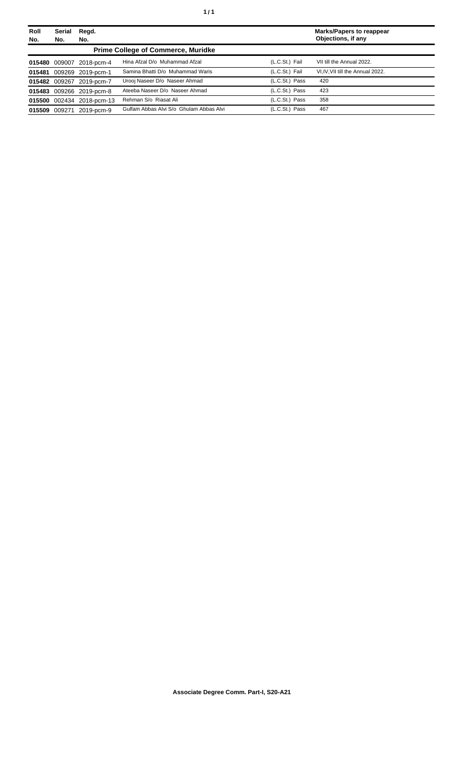| Roll<br>No. | <b>Serial</b><br>No. | Regd.<br>No.              |                                           |                | <b>Marks/Papers to reappear</b><br>Objections, if any |  |
|-------------|----------------------|---------------------------|-------------------------------------------|----------------|-------------------------------------------------------|--|
|             |                      |                           | <b>Prime College of Commerce, Muridke</b> |                |                                                       |  |
|             |                      | 015480 009007 2018-pcm-4  | Hina Afzal D/o Muhammad Afzal             | (L.C.St.) Fail | VII till the Annual 2022.                             |  |
|             |                      | 015481 009269 2019-pcm-1  | Samina Bhatti D/o Muhammad Waris          | (L.C.St.) Fail | VI, IV, VII till the Annual 2022.                     |  |
|             |                      | 015482 009267 2019-pcm-7  | Urooj Naseer D/o Naseer Ahmad             | (L.C.St.) Pass | 420                                                   |  |
|             |                      | 015483 009266 2019-pcm-8  | Ateeba Naseer D/o Naseer Ahmad            | (L.C.St.) Pass | 423                                                   |  |
|             |                      | 015500 002434 2018-pcm-13 | Rehman S/o Riasat Ali                     | (L.C.St.) Pass | 358                                                   |  |
|             | 015509 009271        | 2019-pcm-9                | Gulfam Abbas Alvi S/o Ghulam Abbas Alvi   | (L.C.St.) Pass | 467                                                   |  |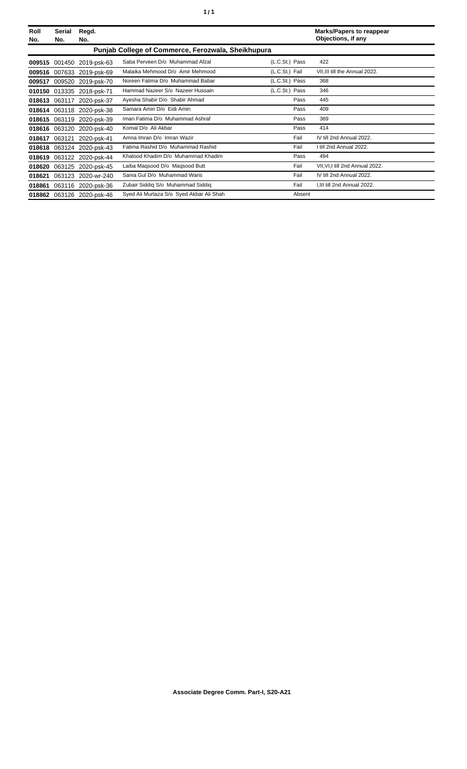| Roll<br>No. | Serial<br>No. | Regd.<br>No.              |                                                    |                | <b>Marks/Papers to reappear</b><br>Objections, if any |
|-------------|---------------|---------------------------|----------------------------------------------------|----------------|-------------------------------------------------------|
|             |               |                           | Punjab College of Commerce, Ferozwala, Sheikhupura |                |                                                       |
|             |               | 009515 001450 2019-psk-63 | Saba Perveen D/o Muhammad Afzal                    | (L.C.St.) Pass | 422                                                   |
|             |               | 009516 007633 2019-psk-69 | Malaika Mehmood D/o Amir Mehmood                   | (L.C.St.) Fail | VII.III till the Annual 2022.                         |
| 009517      |               | 009520 2019-psk-70        | Noreen Fatima D/o Muhammad Babar                   | (L.C.St.) Pass | 368                                                   |
| 010150      |               | 013335 2018-psk-71        | Hammad Nazeer S/o Nazeer Hussain                   | (L.C.St.) Pass | 346                                                   |
| 018613      | 063117        | 2020-psk-37               | Ayesha Shabir D/o Shabir Ahmad                     | Pass           | 445                                                   |
|             |               | 018614 063118 2020-psk-38 | Samara Amin D/o Eidi Amin                          | Pass           | 409                                                   |
| 018615      |               | 063119 2020-psk-39        | Iman Fatima D/o Muhammad Ashraf                    | Pass           | 369                                                   |
| 018616      |               | 063120 2020-psk-40        | Komal D/o Ali Akbar                                | Pass           | 414                                                   |
| 018617      | 063121        | 2020-psk-41               | Amna Imran D/o Imran Wazir                         | Fail           | IV till 2nd Annual 2022.                              |
|             |               | 018618 063124 2020-psk-43 | Fatima Rashid D/o Muhammad Rashid                  | Fail           | I till 2nd Annual 2022.                               |
| 018619      |               | 063122 2020-psk-44        | Khalood Khadim D/o Muhammad Khadim                 | Pass           | 494                                                   |
| 018620      |               | 063125 2020-psk-45        | Laiba Magsood D/o Magsood Butt                     | Fail           | VII, VI, I till 2nd Annual 2022.                      |
| 018621      |               | 063123 2020-wr-240        | Sania Gul D/o Muhammad Waris                       | Fail           | IV till 2nd Annual 2022.                              |
| 018861      |               | 063116 2020-psk-36        | Zubair Siddig S/o Muhammad Siddig                  | Fail           | I, III till 2nd Annual 2022.                          |
|             |               | 018862 063126 2020-psk-46 | Syed Ali Murtaza S/o Syed Akbar Ali Shah           | Absent         |                                                       |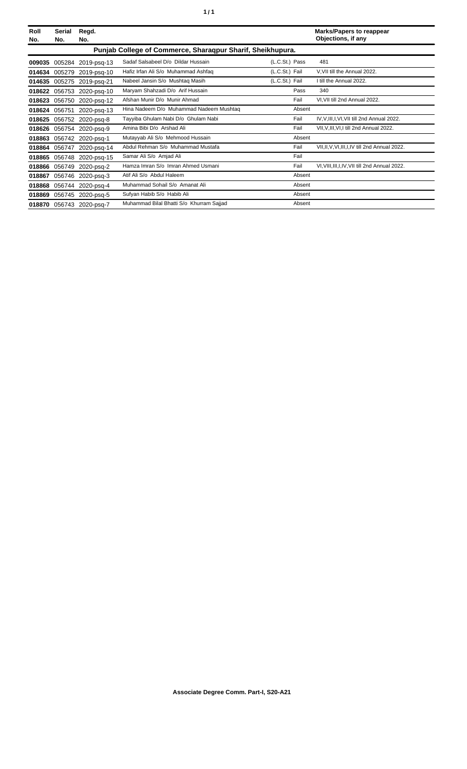| Roll<br>No. | Serial<br>No.                                              | Regd.<br>No.             |                                          |                | <b>Marks/Papers to reappear</b><br>Objections, if any |  |  |
|-------------|------------------------------------------------------------|--------------------------|------------------------------------------|----------------|-------------------------------------------------------|--|--|
|             | Punjab College of Commerce, Sharaqpur Sharif, Sheikhupura. |                          |                                          |                |                                                       |  |  |
| 009035      | 005284                                                     | 2019-psq-13              | Sadaf Salsabeel D/o Dildar Hussain       | (L.C.St.) Pass | 481                                                   |  |  |
| 014634      | 005279                                                     | 2019-psq-10              | Hafiz Irfan Ali S/o Muhammad Ashfaq      | (L.C.St.) Fail | V, VII till the Annual 2022.                          |  |  |
| 014635      |                                                            | 005275 2019-psq-21       | Nabeel Jansin S/o Mushtaq Masih          | (L.C.St.) Fail | I till the Annual 2022.                               |  |  |
| 018622      |                                                            | 056753 2020-psq-10       | Maryam Shahzadi D/o Arif Hussain         | Pass           | 340                                                   |  |  |
| 018623      |                                                            | 056750 2020-psq-12       | Afshan Munir D/o Munir Ahmad             | Fail           | VI. VII till 2nd Annual 2022.                         |  |  |
| 018624      | 056751                                                     | 2020-psq-13              | Hina Nadeem D/o Muhammad Nadeem Mushtag  | Absent         |                                                       |  |  |
| 018625      |                                                            | 056752 2020-psq-8        | Tayyiba Ghulam Nabi D/o Ghulam Nabi      | Fail           | IV, V, III, I, VI, VII till 2nd Annual 2022.          |  |  |
| 018626      |                                                            | 056754 2020-psq-9        | Amina Bibi D/o Arshad Ali                | Fail           | VII, V, III, VI, I till 2nd Annual 2022.              |  |  |
| 018863      |                                                            | 056742 2020-psq-1        | Mutayyab Ali S/o Mehmood Hussain         | Absent         |                                                       |  |  |
| 018864      | 056747                                                     | 2020-psg-14              | Abdul Rehman S/o Muhammad Mustafa        | Fail           | VII, II, V, VI, III, I, IV till 2nd Annual 2022.      |  |  |
| 018865      | 056748                                                     | 2020-psq-15              | Samar Ali S/o Amjad Ali                  | Fail           |                                                       |  |  |
| 018866      | 056749                                                     | 2020-psg-2               | Hamza Imran S/o Imran Ahmed Usmani       | Fail           | VI, VIII, III, I, IV, VII till 2nd Annual 2022.       |  |  |
| 018867      | 056746                                                     | 2020-psq-3               | Atif Ali S/o Abdul Haleem                | Absent         |                                                       |  |  |
| 018868      | 056744                                                     | 2020-psq-4               | Muhammad Sohail S/o Amanat Ali           | Absent         |                                                       |  |  |
| 018869      |                                                            | 056745 2020-psg-5        | Sufyan Habib S/o Habib Ali               | Absent         |                                                       |  |  |
|             |                                                            | 018870 056743 2020-psq-7 | Muhammad Bilal Bhatti S/o Khurram Sajjad | Absent         |                                                       |  |  |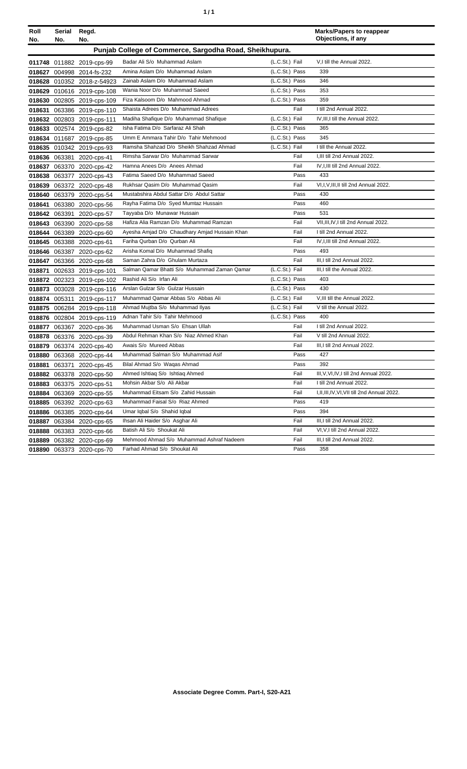| ٠ | ٠ |
|---|---|
|   |   |

| Roll<br>No. | Serial<br>No. | Regd.<br>No.               |                                                         |                  | <b>Marks/Papers to reappear</b><br>Objections, if any |
|-------------|---------------|----------------------------|---------------------------------------------------------|------------------|-------------------------------------------------------|
|             |               |                            | Punjab College of Commerce, Sargodha Road, Sheikhupura. |                  |                                                       |
|             |               | 011748 011882 2019-cps-99  | Badar Ali S/o Muhammad Aslam                            | (L.C.St.) Fail   | V,I till the Annual 2022.                             |
|             |               | 018627 004998 2014-fs-232  | Amina Aslam D/o Muhammad Aslam                          | (L.C.St.) Pass   | 339                                                   |
|             |               | 018628 010352 2018-z-54923 | Zainab Aslam D/o Muhammad Aslam                         | (L.C.St.) Pass   | 346                                                   |
|             |               | 018629 010616 2019-cps-108 | Wania Noor D/o Muhammad Saeed                           | (L.C.St.) Pass   | 353                                                   |
|             |               | 018630 002805 2019-cps-109 | Fiza Kalsoom D/o Mahmood Ahmad                          | (L.C.St.) Pass   | 359                                                   |
| 018631      |               | 063386 2019-cps-110        | Shaista Adrees D/o Muhammad Adrees                      | Fail             | I till 2nd Annual 2022.                               |
|             |               | 018632 002803 2019-cps-111 | Madiha Shafique D/o Muhammad Shafique                   | (L.C.St.) Fail   | IV, III, I till the Annual 2022.                      |
|             |               | 018633 002574 2019-cps-82  | Isha Fatima D/o Sarfaraz Ali Shah                       | (L.C.St.) Pass   | 365                                                   |
|             |               | 018634 011687 2019-cps-85  | Umm E Ammara Tahir D/o Tahir Mehmood                    | (L.C.St.) Pass   | 345                                                   |
|             |               | 018635 010342 2019-cps-93  | Ramsha Shahzad D/o Sheikh Shahzad Ahmad                 | (L.C.St.) Fail   | I till the Annual 2022.                               |
|             |               | 018636 063381 2020-cps-41  | Rimsha Sarwar D/o Muhammad Sarwar                       | Fail             | I, III till 2nd Annual 2022.                          |
|             |               | 018637 063370 2020-cps-42  | Hamna Anees D/o Anees Ahmad                             | Fail             | IV, I, III till 2nd Annual 2022.                      |
|             |               | 018638 063377 2020-cps-43  | Fatima Saeed D/o Muhammad Saeed                         | Pass             | 433                                                   |
| 018639      |               | 063372 2020-cps-48         | Rukhsar Qasim D/o Muhammad Qasim                        | Fail             | VI, I, V, III, II till 2nd Annual 2022.               |
| 018640      |               | 063379 2020-cps-54         | Mustabshira Abdul Sattar D/o Abdul Sattar               | Pass             | 430                                                   |
|             |               | 018641 063380 2020-cps-56  | Rayha Fatima D/o Syed Mumtaz Hussain                    | Pass             | 460                                                   |
|             |               | 018642 063391 2020-cps-57  | Tayyaba D/o Munawar Hussain                             | Pass             | 531                                                   |
|             |               | 018643 063390 2020-cps-58  | Hafiza Alia Ramzan D/o Muhammad Ramzan                  | Fail             | VII.III.IV.I till 2nd Annual 2022.                    |
|             |               | 018644 063389 2020-cps-60  | Ayesha Amjad D/o Chaudhary Amjad Hussain Khan           | Fail             | I till 2nd Annual 2022.                               |
|             |               | 018645 063388 2020-cps-61  | Fariha Qurban D/o Qurban Ali                            | Fail             | IV, I, III till 2nd Annual 2022.                      |
|             |               | 018646 063387 2020-cps-62  | Arisha Komal D/o Muhammad Shafiq                        | Pass             | 493                                                   |
|             |               | 018647 063366 2020-cps-68  | Saman Zahra D/o Ghulam Murtaza                          | Fail             | III, I till 2nd Annual 2022.                          |
|             |               | 018871 002633 2019-cps-101 | Salman Qamar Bhatti S/o Muhammad Zaman Qamar            | (L.C.St.) Fail   | III,I till the Annual 2022.                           |
|             |               | 018872 002323 2019-cps-102 | Rashid Ali S/o Irfan Ali                                | (L.C.St.) Pass   | 403                                                   |
|             |               | 018873 003028 2019-cps-116 | Arslan Gulzar S/o Gulzar Hussain                        | (L.C.St.) Pass   | 430                                                   |
|             |               | 018874 005311 2019-cps-117 | Muhammad Qamar Abbas S/o Abbas Ali                      | $(L.C.St.)$ Fail | V, III till the Annual 2022.                          |
|             |               | 018875 006284 2019-cps-118 | Ahmad Mujtba S/o Muhammad Ilyas                         | (L.C.St.) Fail   | V till the Annual 2022.                               |
|             |               | 018876 002804 2019-cps-119 | Adnan Tahir S/o Tahir Mehmood                           | (L.C.St.) Pass   | 400                                                   |
| 018877      |               | 063367 2020-cps-36         | Muhammad Usman S/o Ehsan Ullah                          | Fail             | I till 2nd Annual 2022.                               |
|             |               | 018878 063376 2020-cps-39  | Abdul Rehman Khan S/o Niaz Ahmed Khan                   | Fail             | V till 2nd Annual 2022.                               |
|             |               | 018879 063374 2020-cps-40  | Awais S/o Mureed Abbas                                  | Fail             | III, I till 2nd Annual 2022.                          |
|             |               | 018880 063368 2020-cps-44  | Muhammad Salman S/o Muhammad Asif                       | Pass             | 427                                                   |
|             |               | 018881 063371 2020-cps-45  | Bilal Ahmad S/o Waqas Ahmad                             | Pass             | 392                                                   |
|             |               | 018882 063378 2020-cps-50  | Ahmed Ishtiaq S/o Ishtiaq Ahmed                         | Fail             | III, V, VI, IV, I till 2nd Annual 2022.               |
|             |               | 018883 063375 2020-cps-51  | Mohsin Akbar S/o Ali Akbar                              | Fail             | I till 2nd Annual 2022.                               |
|             |               | 018884 063369 2020-cps-55  | Muhammad Eitsam S/o Zahid Hussain                       | Fail             | I, II, III, IV, VI, VII till 2nd Annual 2022.         |
|             |               | 018885 063392 2020-cps-63  | Muhammad Faisal S/o Riaz Ahmed                          | Pass             | 419                                                   |
|             |               | 018886 063385 2020-cps-64  | Umar Iqbal S/o Shahid Iqbal                             | Pass             | 394                                                   |
|             |               | 018887 063384 2020-cps-65  | Ihsan Ali Haider S/o Asghar Ali                         | Fail             | III,I till 2nd Annual 2022.                           |
|             |               | 018888 063383 2020-cps-66  | Batish Ali S/o Shoukat Ali                              | Fail             | VI, V, I till 2nd Annual 2022.                        |
|             |               | 018889 063382 2020-cps-69  | Mehmood Ahmad S/o Muhammad Ashraf Nadeem                | Fail             | III, I till 2nd Annual 2022.                          |
|             |               | 018890 063373 2020-cps-70  | Farhad Ahmad S/o Shoukat Ali                            | Pass             | 358                                                   |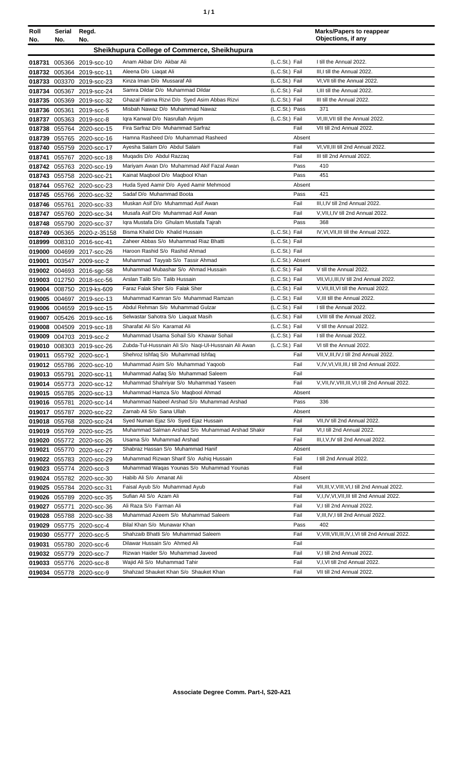| ٠ | ٠ |
|---|---|
|   |   |

| Roll<br>No.   | Serial<br>No. | Regd.<br>No.                                           |                                                                           |                  |              | <b>Marks/Papers to reappear</b><br>Objections, if any                                    |
|---------------|---------------|--------------------------------------------------------|---------------------------------------------------------------------------|------------------|--------------|------------------------------------------------------------------------------------------|
|               |               |                                                        | Sheikhupura College of Commerce, Sheikhupura                              |                  |              |                                                                                          |
|               |               | 018731 005366 2019-scc-10                              | Anam Akbar D/o Akbar Ali                                                  | (L.C.St.) Fail   |              | I till the Annual 2022.                                                                  |
|               | 018732 005364 | 2019-scc-11                                            | Aleena D/o Liagat Ali                                                     | (L.C.St.) Fail   |              | III.I till the Annual 2022.                                                              |
|               |               | 018733 003370 2019-scc-23                              | Kinza Iman D/o Mussaraf Ali                                               | (L.C.St.) Fail   |              | VI, VII till the Annual 2022.                                                            |
|               |               | 018734 005367 2019-scc-24                              | Samra Dildar D/o Muhammad Dildar                                          | (L.C.St.) Fail   |              | I.III till the Annual 2022.                                                              |
|               |               | 018735 005369 2019-scc-32                              | Ghazal Fatima Rizvi D/o Syed Asim Abbas Rizvi                             | (L.C.St.) Fail   |              | III till the Annual 2022.                                                                |
|               |               | 018736 005361 2019-scc-5                               | Misbah Nawaz D/o Muhammad Nawaz                                           | (L.C.St.) Pass   |              | 371                                                                                      |
|               |               | 018737 005363 2019-scc-8                               | Igra Kanwal D/o Nasrullah Anjum                                           | (L.C.St.) Fail   |              | VI, III, VII till the Annual 2022.                                                       |
|               |               | 018738 055764 2020-scc-15                              | Fira Sarfraz D/o Muhammad Sarfraz                                         |                  | Fail         | VII till 2nd Annual 2022.                                                                |
|               |               | 018739 055765 2020-scc-16                              | Hamna Rasheed D/o Muhammad Rasheed                                        |                  | Absent       |                                                                                          |
|               |               | 018740 055759 2020-scc-17                              | Ayesha Salam D/o Abdul Salam                                              |                  | Fail         | VI, VII, III till 2nd Annual 2022.                                                       |
|               |               | 018741 055767 2020-scc-18                              | Muqadis D/o Abdul Razzaq                                                  |                  | Fail         | III till 2nd Annual 2022.                                                                |
|               |               | 018742 055763 2020-scc-19                              | Mariyam Awan D/o Muhammad Akif Fazal Awan                                 |                  | Pass<br>Pass | 410<br>451                                                                               |
|               |               | 018743 055758 2020-scc-21                              | Kainat Maqbool D/o Maqbool Khan<br>Huda Syed Aamir D/o Ayed Aamir Mehmood |                  | Absent       |                                                                                          |
|               |               | 018744 055762 2020-scc-23<br>018745 055766 2020-scc-32 | Sadaf D/o Muhammad Boota                                                  |                  | Pass         | 421                                                                                      |
|               |               | 018746 055761 2020-scc-33                              | Muskan Asif D/o Muhammad Asif Awan                                        |                  | Fail         | III, I, IV till 2nd Annual 2022.                                                         |
|               |               | 018747 055760 2020-scc-34                              | Musafa Asif D/o Muhammad Asif Awan                                        |                  | Fail         | V, VII, I, IV till 2nd Annual 2022.                                                      |
| 018748        |               | 055790 2020-scc-37                                     | Igra Mustafa D/o Ghulam Mustafa Tajrah                                    |                  | Pass         | 368                                                                                      |
|               |               | 018749 005365 2020-z-35158                             | Bisma Khalid D/o Khalid Hussain                                           | (L.C.St.) Fail   |              | IV, VI, VII, III till the Annual 2022.                                                   |
|               |               | 018999 008310 2016-scc-41                              | Zaheer Abbas S/o Muhammad Riaz Bhatti                                     | (L.C.St.) Fail   |              |                                                                                          |
|               |               | 019000 004699 2017-scc-26                              | Haroon Rashid S/o Rashid Ahmad                                            | (L.C.St.) Fail   |              |                                                                                          |
| 019001        |               | 003547 2009-scc-2                                      | Muhammad Tayyab S/o Tassir Ahmad                                          | (L.C.St.) Absent |              |                                                                                          |
|               |               | 019002 004693 2016-sgc-58                              | Muhammad Mubashar S/o Ahmad Hussain                                       | (L.C.St.) Fail   |              | V till the Annual 2022.                                                                  |
|               |               | 019003 012750 2018-scc-56                              | Arslan Talib S/o Talib Hussain                                            | (L.C.St.) Fail   |              | VII, VI, I, III, IV till 2nd Annual 2022.                                                |
|               |               | 019004 008750 2019-ks-609                              | Faraz Falak Sher S/o Falak Sher                                           | (L.C.St.) Fail   |              | V, VII, III, VI till the Annual 2022.                                                    |
|               |               | 019005 004697 2019-scc-13                              | Muhammad Kamran S/o Muhammad Ramzan                                       | (L.C.St.) Fail   |              | V, III till the Annual 2022.                                                             |
|               |               | 019006 004659 2019-scc-15                              | Abdul Rehman S/o Muhammad Gulzar                                          | (L.C.St.) Fail   |              | I till the Annual 2022.                                                                  |
|               |               | 019007 005426 2019-scc-16                              | Selwastar Sahotra S/o Liaquat Masih                                       | (L.C.St.) Fail   |              | I, VIII till the Annual 2022.                                                            |
|               |               | 019008 004509 2019-scc-18                              | Sharafat Ali S/o Karamat Ali                                              | (L.C.St.) Fail   |              | V till the Annual 2022.                                                                  |
|               |               | 019009 004703 2019-scc-2                               | Muhammad Usama Sohail S/o Khawar Sohail                                   | (L.C.St.) Fail   |              | I till the Annual 2022.                                                                  |
|               |               | 019010 008303 2019-scc-26                              | Zubda-Tul-Hussnain Ali S/o Naqi-Ul-Hussnain Ali Awan                      | (L.C.St.) Fail   |              | VI till the Annual 2022.                                                                 |
| 019011        |               | 055792 2020-scc-1                                      | Shehroz Ishfaq S/o Muhammad Ishfaq<br>Muhammad Asim S/o Muhammad Yaqoob   |                  | Fail<br>Fail | VII, V, III, IV, I till 2nd Annual 2022.<br>V, IV, VI, VII, III, I till 2nd Annual 2022. |
|               |               | 019012 055786 2020-scc-10<br>019013 055791 2020-scc-11 | Muhammad Aafaq S/o Muhammad Saleem                                        |                  | Fail         |                                                                                          |
|               |               | 019014 055773 2020-scc-12                              | Muhammad Shahriyar S/o Muhammad Yaseen                                    |                  | Fail         | V, VII, IV, VIII, III, VI, I till 2nd Annual 2022.                                       |
|               |               | 019015 055785 2020-scc-13                              | Muhammad Hamza S/o Magbool Ahmad                                          |                  | Absent       |                                                                                          |
|               |               | 019016 055781 2020-scc-14                              | Muhammad Nabeel Arshad S/o Muhammad Arshad                                |                  | Pass         | 336                                                                                      |
|               |               | 019017 055787 2020-scc-22                              | Zarnab Ali S/o Sana Ullah                                                 |                  | Absent       |                                                                                          |
|               |               | 019018 055768 2020-scc-24                              | Syed Numan Ejaz S/o Syed Ejaz Hussain                                     |                  | Fail         | VII, IV till 2nd Annual 2022.                                                            |
|               |               | 019019 055769 2020-scc-25                              | Muhammad Salman Arshad S/o Muhammad Arshad Shakir                         |                  | Fail         | VI.I till 2nd Annual 2022.                                                               |
|               |               | 019020 055772 2020-scc-26                              | Usama S/o Muhammad Arshad                                                 |                  | Fail         | III, I, V, IV till 2nd Annual 2022.                                                      |
|               |               | 019021 055770 2020-scc-27                              | Shabraz Hassan S/o Muhammad Hanif                                         |                  | Absent       |                                                                                          |
|               |               | 019022 055783 2020-scc-29                              | Muhammad Rizwan Sharif S/o Ashig Hussain                                  |                  | Fail         | I till 2nd Annual 2022.                                                                  |
|               |               | 019023 055774 2020-scc-3                               | Muhammad Waqas Younas S/o Muhammad Younas                                 |                  | Fail         |                                                                                          |
|               |               | 019024 055782 2020-scc-30                              | Habib Ali S/o Amanat Ali                                                  |                  | Absent       |                                                                                          |
|               |               | 019025 055784 2020-scc-31                              | Faisal Ayub S/o Muhammad Ayub                                             |                  | Fail         | VII, III, V, VIII, VI, I till 2nd Annual 2022.                                           |
|               |               | 019026 055789 2020-scc-35                              | Sufian Ali S/o Azam Ali                                                   |                  | Fail         | V,I,IV,VI,VII,III till 2nd Annual 2022.                                                  |
| 019027 055771 |               | 2020-scc-36                                            | Ali Raza S/o Farman Ali                                                   |                  | Fail         | V,I till 2nd Annual 2022.                                                                |
|               |               | 019028 055788 2020-scc-38                              | Muhammad Azeem S/o Muhammad Saleem                                        |                  | Fail         | V, III, IV, I till 2nd Annual 2022.                                                      |
|               |               | 019029 055775 2020-scc-4                               | Bilal Khan S/o Munawar Khan                                               |                  | Pass         | 402                                                                                      |
|               |               | 019030 055777 2020-scc-5                               | Shahzaib Bhatti S/o Muhammad Saleem                                       |                  | Fail         | V, VIII, VII, III, IV, I, VI till 2nd Annual 2022.                                       |
|               |               | 019031 055780 2020-scc-6                               | Dilawar Hussain S/o Ahmed Ali<br>Rizwan Haider S/o Muhammad Javeed        |                  | Fail<br>Fail | V,I till 2nd Annual 2022.                                                                |
|               |               | 019032 055779 2020-scc-7                               | Wajid Ali S/o Muhammad Tahir                                              |                  | Fail         | V,I, VI till 2nd Annual 2022.                                                            |
|               |               | 019033 055776 2020-scc-8<br>019034 055778 2020-scc-9   | Shahzad Shauket Khan S/o Shauket Khan                                     |                  | Fail         | VII till 2nd Annual 2022.                                                                |
|               |               |                                                        |                                                                           |                  |              |                                                                                          |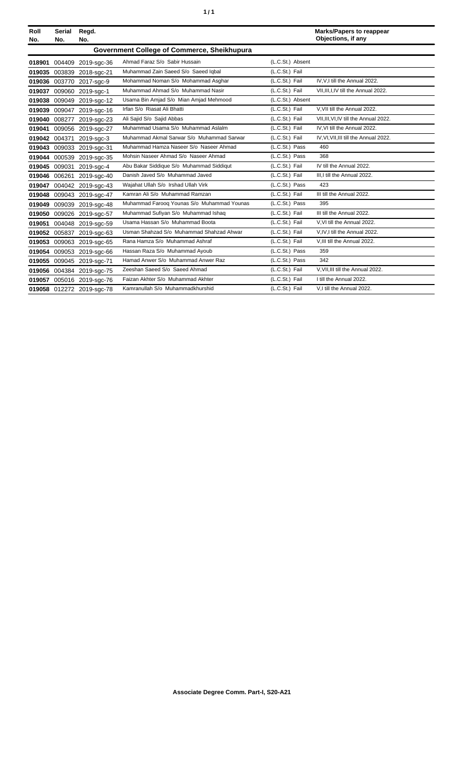| Roll<br>No. | <b>Serial</b><br>No. | Regd.<br>No.              |                                             |                  | <b>Marks/Papers to reappear</b><br>Objections, if any |
|-------------|----------------------|---------------------------|---------------------------------------------|------------------|-------------------------------------------------------|
|             |                      |                           | Government College of Commerce, Sheikhupura |                  |                                                       |
| 018901      |                      | 004409 2019-sgc-36        | Ahmad Faraz S/o Sabir Hussain               | (L.C.St.) Absent |                                                       |
| 019035      | 003839               | 2018-sgc-21               | Muhammad Zain Saeed S/o Saeed Igbal         | (L.C.St.) Fail   |                                                       |
| 019036      | 003770               | 2017-sgc-9                | Mohammad Noman S/o Mohammad Asghar          | (L.C.St.) Fail   | IV, V, I till the Annual 2022.                        |
| 019037      |                      | 009060 2019-sgc-1         | Muhammad Ahmad S/o Muhammad Nasir           | (L.C.St.) Fail   | VII, III, I, IV till the Annual 2022.                 |
| 019038      | 009049               | 2019-sgc-12               | Usama Bin Amjad S/o Mian Amjad Mehmood      | (L.C.St.) Absent |                                                       |
| 019039      |                      | 009047 2019-sgc-16        | Irfan S/o Riasat Ali Bhatti                 | (L.C.St.) Fail   | V.VII till the Annual 2022.                           |
| 019040      | 008277               | 2019-sgc-23               | Ali Sajid S/o Sajid Abbas                   | (L.C.St.) Fail   | VII.III.VI.IV till the Annual 2022.                   |
| 019041      |                      | 009056 2019-sgc-27        | Muhammad Usama S/o Muhammad Aslalm          | (L.C.St.) Fail   | IV, VI till the Annual 2022.                          |
| 019042      | 004371               | 2019-sgc-3                | Muhammad Akmal Sarwar S/o Muhammad Sarwar   | (L.C.St.) Fail   | IV, VI, VII, III till the Annual 2022.                |
| 019043      | 009033               | 2019-sgc-31               | Muhammad Hamza Naseer S/o Naseer Ahmad      | (L.C.St.) Pass   | 460                                                   |
| 019044      |                      | 000539 2019-sgc-35        | Mohsin Naseer Ahmad S/o Naseer Ahmad        | (L.C.St.) Pass   | 368                                                   |
| 019045      | 009031               | 2019-sgc-4                | Abu Bakar Siddique S/o Muhammad Siddiqut    | (L.C.St.) Fail   | IV till the Annual 2022.                              |
| 019046      | 006261               | 2019-sgc-40               | Danish Javed S/o Muhammad Javed             | (L.C.St.) Fail   | III, I till the Annual 2022.                          |
| 019047      |                      | 004042 2019-sgc-43        | Waiahat Ullah S/o Irshad Ullah Virk         | (L.C.St.) Pass   | 423                                                   |
|             |                      | 019048 009043 2019-sgc-47 | Kamran Ali S/o Muhammad Ramzan              | (L.C.St.) Fail   | III till the Annual 2022.                             |
| 019049      | 009039               | 2019-sgc-48               | Muhammad Farooq Younas S/o Muhammad Younas  | (L.C.St.) Pass   | 395                                                   |
| 019050      |                      | 009026 2019-sgc-57        | Muhammad Sufiyan S/o Muhammad Ishaq         | (L.C.St.) Fail   | III till the Annual 2022.                             |
| 019051      |                      | 004048 2019-sgc-59        | Usama Hassan S/o Muhammad Boota             | (L.C.St.) Fail   | V, VI till the Annual 2022.                           |
| 019052      |                      | 005837 2019-sgc-63        | Usman Shahzad S/o Muhammad Shahzad Ahwar    | (L.C.St.) Fail   | V.IV.I till the Annual 2022.                          |
| 019053      |                      | 009063 2019-sgc-65        | Rana Hamza S/o Muhammad Ashraf              | (L.C.St.) Fail   | V.III till the Annual 2022.                           |
| 019054      |                      | 009053 2019-sgc-66        | Hassan Raza S/o Muhammad Ayoub              | (L.C.St.) Pass   | 359                                                   |
| 019055      |                      | 009045 2019-sgc-71        | Hamad Anwer S/o Muhammad Anwer Raz          | (L.C.St.) Pass   | 342                                                   |
| 019056      |                      | 004384 2019-sgc-75        | Zeeshan Saeed S/o Saeed Ahmad               | (L.C.St.) Fail   | V.VII.III till the Annual 2022.                       |
| 019057      |                      | 005016 2019-sgc-76        | Faizan Akhter S/o Muhammad Akhter           | (L.C.St.) Fail   | I till the Annual 2022.                               |
|             |                      | 019058 012272 2019-sqc-78 | Kamranullah S/o Muhammadkhurshid            | (L.C.St.) Fail   | V,I till the Annual 2022.                             |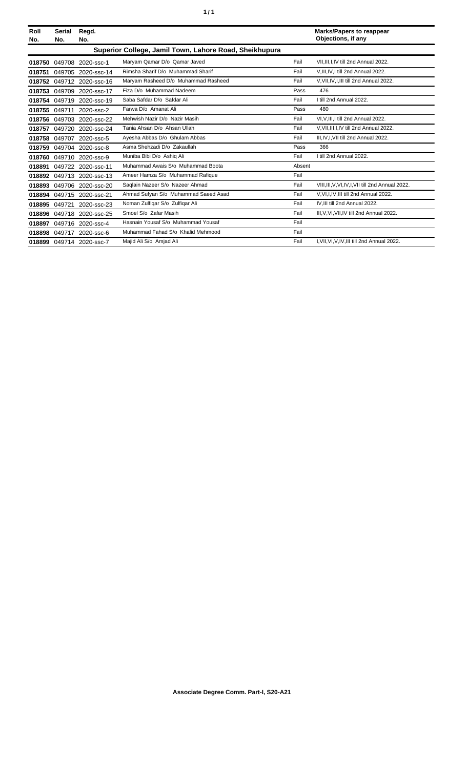| Roll<br>No. | <b>Serial</b><br>No. | Regd.<br>No.             |                                                        |        | <b>Marks/Papers to reappear</b><br>Objections, if any |
|-------------|----------------------|--------------------------|--------------------------------------------------------|--------|-------------------------------------------------------|
|             |                      |                          | Superior College, Jamil Town, Lahore Road, Sheikhupura |        |                                                       |
| 018750      | 049708               | 2020-ssc-1               | Maryam Qamar D/o Qamar Javed                           | Fail   | VII.III.I.IV till 2nd Annual 2022.                    |
| 018751      | 049705               | 2020-ssc-14              | Rimsha Sharif D/o Muhammad Sharif                      | Fail   | V, III, IV, I till 2nd Annual 2022.                   |
| 018752      | 049712               | 2020-ssc-16              | Maryam Rasheed D/o Muhammad Rasheed                    | Fail   | V, VII, IV, I, III till 2nd Annual 2022.              |
| 018753      | 049709               | 2020-ssc-17              | Fiza D/o Muhammad Nadeem                               | Pass   | 476                                                   |
| 018754      | 049719               | 2020-ssc-19              | Saba Safdar D/o Safdar Ali                             | Fail   | I till 2nd Annual 2022.                               |
| 018755      | 049711               | 2020-ssc-2               | Farwa D/o Amanat Ali                                   | Pass   | 480                                                   |
| 018756      | 049703               | 2020-ssc-22              | Mehwish Nazir D/o Nazir Masih                          | Fail   | VI, V, III, I till 2nd Annual 2022.                   |
| 018757      | 049720               | 2020-ssc-24              | Tania Ahsan D/o Ahsan Ullah                            | Fail   | V, VII, III, I, IV till 2nd Annual 2022.              |
| 018758      | 049707               | 2020-ssc-5               | Ayesha Abbas D/o Ghulam Abbas                          | Fail   | III, IV, I, VII till 2nd Annual 2022.                 |
| 018759      | 049704               | 2020-ssc-8               | Asma Shehzadi D/o Zakaullah                            | Pass   | 366                                                   |
| 018760      | 049710               | 2020-ssc-9               | Muniba Bibi D/o Ashiq Ali                              | Fail   | I till 2nd Annual 2022.                               |
| 018891      |                      | 049722 2020-ssc-11       | Muhammad Awais S/o Muhammad Boota                      | Absent |                                                       |
|             | 018892 049713        | 2020-ssc-13              | Ameer Hamza S/o Muhammad Rafique                       | Fail   |                                                       |
| 018893      | 049706               | 2020-ssc-20              | Saglain Nazeer S/o Nazeer Ahmad                        | Fail   | VIII.III.V.VI.IV.I.VII till 2nd Annual 2022.          |
| 018894      | 049715               | 2020-ssc-21              | Ahmad Sufyan S/o Muhammad Saeed Asad                   | Fail   | V, VI, I, IV, III till 2nd Annual 2022.               |
| 018895      | 049721               | 2020-ssc-23              | Noman Zulfigar S/o Zulfigar Ali                        | Fail   | IV, III till 2nd Annual 2022.                         |
| 018896      | 049718               | 2020-ssc-25              | Smoel S/o Zafar Masih                                  | Fail   | III, V, VI, VII, IV till 2nd Annual 2022.             |
| 018897      | 049716               | 2020-ssc-4               | Hasnain Yousaf S/o Muhammad Yousaf                     | Fail   |                                                       |
| 018898      | 049717               | 2020-ssc-6               | Muhammad Fahad S/o Khalid Mehmood                      | Fail   |                                                       |
|             |                      | 018899 049714 2020-ssc-7 | Majid Ali S/o Amjad Ali                                | Fail   | I, VII, VI, V, IV, III till 2nd Annual 2022.          |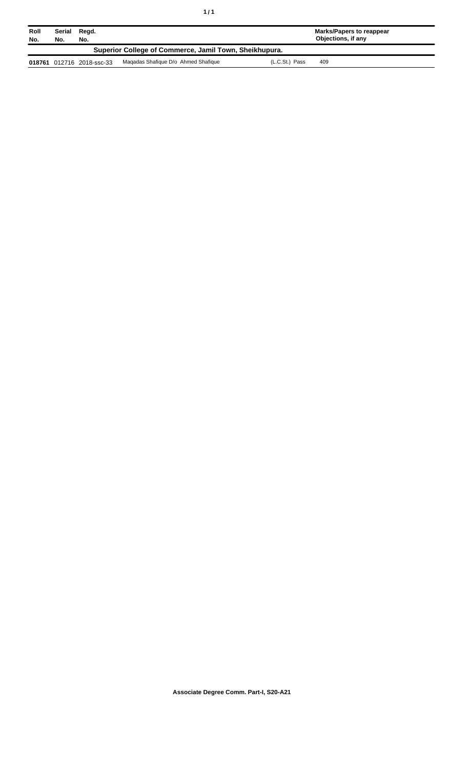| Roll<br>No.                                            | Serial<br>No. | Regd.<br>No.              |                                     |                | <b>Marks/Papers to reappear</b><br>Objections, if any |
|--------------------------------------------------------|---------------|---------------------------|-------------------------------------|----------------|-------------------------------------------------------|
| Superior College of Commerce, Jamil Town, Sheikhupura. |               |                           |                                     |                |                                                       |
|                                                        |               | 018761 012716 2018-ssc-33 | Magadas Shafique D/o Ahmed Shafique | (L.C.St.) Pass | 409                                                   |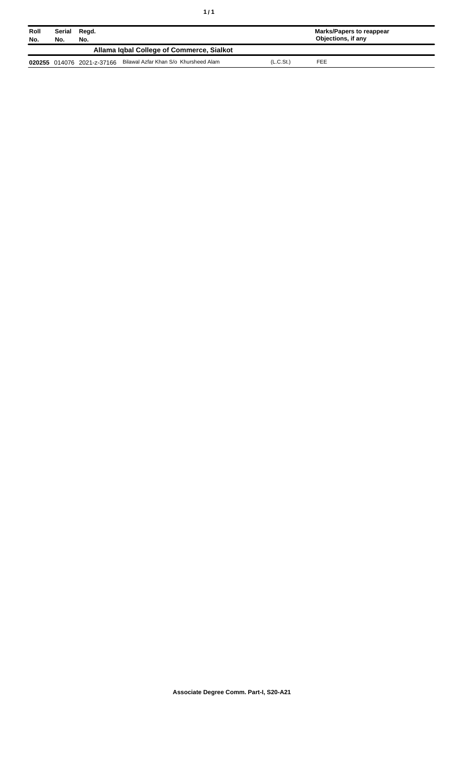| Roll<br>No. | Serial<br>No.                             | Regd.<br>No.               |                                       |                       | Marks/Papers to reappear<br>Objections, if any |  |  |
|-------------|-------------------------------------------|----------------------------|---------------------------------------|-----------------------|------------------------------------------------|--|--|
|             | Allama Igbal College of Commerce, Sialkot |                            |                                       |                       |                                                |  |  |
|             |                                           | 020255 014076 2021-z-37166 | Bilawal Azfar Khan S/o Khursheed Alam | (L.C.S <sub>t</sub> ) | FEE                                            |  |  |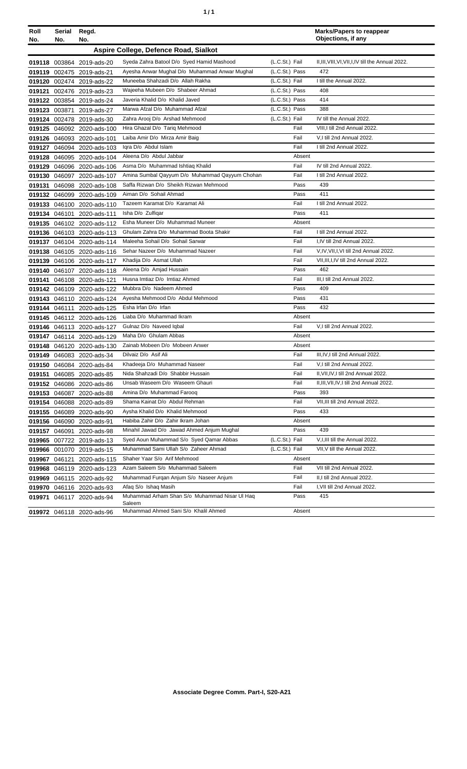| ٠ | ٠ |
|---|---|
|   |   |

| Roll<br>No. | Serial<br>No. | Regd.<br>No.                                             |                                                                                   |                                  | <b>Marks/Papers to reappear</b><br>Objections, if any |
|-------------|---------------|----------------------------------------------------------|-----------------------------------------------------------------------------------|----------------------------------|-------------------------------------------------------|
|             |               |                                                          | Aspire College, Defence Road, Sialkot                                             |                                  |                                                       |
|             |               |                                                          |                                                                                   |                                  |                                                       |
|             |               | 019118 003864 2019-ads-20                                | Syeda Zahra Batool D/o Syed Hamid Mashood                                         | (L.C.St.) Fail                   | II, III, VIII, VI, VII, I, IV till the Annual 2022.   |
|             |               | 019119 002475 2019-ads-21                                | Ayesha Anwar Mughal D/o Muhammad Anwar Mughal<br>Muneeba Shahzadi D/o Allah Rakha | (L.C.St.) Pass                   | 472<br>I till the Annual 2022.                        |
|             |               | 019120 002474 2019-ads-22                                |                                                                                   | (L.C.St.) Fail                   | 408                                                   |
|             |               | 019121 002476 2019-ads-23                                | Wajeeha Mubeen D/o Shabeer Ahmad<br>Javeria Khalid D/o Khalid Javed               | (L.C.St.) Pass<br>(L.C.St.) Pass | 414                                                   |
|             |               | 019122 003854 2019-ads-24                                | Marwa Afzal D/o Muhammad Afzal                                                    | (L.C.St.) Pass                   | 388                                                   |
| 019123      | 003871        | 2019-ads-27                                              | Zahra Arooj D/o Arshad Mehmood                                                    | (L.C.St.) Fail                   | IV till the Annual 2022.                              |
|             |               | 019124 002478 2019-ads-30                                | Hira Ghazal D/o Tariq Mehmood                                                     | Fail                             | VIII, I till 2nd Annual 2022.                         |
|             |               | 019125 046092 2020-ads-100                               | Laiba Amir D/o Mirza Amir Baig                                                    | Fail                             | V,I till 2nd Annual 2022.                             |
|             |               | 019126 046093 2020-ads-101                               | Igra D/o Abdul Islam                                                              | Fail                             | I till 2nd Annual 2022.                               |
|             |               | 019127 046094 2020-ads-103                               | Aleena D/o Abdul Jabbar                                                           | Absent                           |                                                       |
|             |               | 019128 046095 2020-ads-104                               | Asma D/o Muhammad Ishtiaq Khalid                                                  | Fail                             | IV till 2nd Annual 2022.                              |
|             |               | 019129 046096 2020-ads-106                               | Amina Sumbal Qayyum D/o Muhammad Qayyum Chohan                                    | Fail                             | I till 2nd Annual 2022.                               |
|             |               | 019130 046097 2020-ads-107                               | Saffa Rizwan D/o Sheikh Rizwan Mehmood                                            | Pass                             | 439                                                   |
| 019131      |               | 046098 2020-ads-108                                      | Aiman D/o Sohail Ahmad                                                            | Pass                             | 411                                                   |
|             |               | 019132 046099 2020-ads-109                               | Tazeem Karamat D/o Karamat Ali                                                    | Fail                             | I till 2nd Annual 2022.                               |
|             |               | 019133 046100 2020-ads-110                               | Isha D/o Zulfigar                                                                 | Pass                             | 411                                                   |
|             |               | 019134 046101 2020-ads-111<br>019135 046102 2020-ads-112 | Esha Muneer D/o Muhammad Muneer                                                   | Absent                           |                                                       |
|             |               | 019136 046103 2020-ads-113                               | Ghulam Zahra D/o Muhammad Boota Shakir                                            | Fail                             | I till 2nd Annual 2022.                               |
|             |               |                                                          | Maleeha Sohail D/o Sohail Sarwar                                                  | Fail                             | I,IV till 2nd Annual 2022.                            |
|             |               | 019137 046104 2020-ads-114<br>019138 046105 2020-ads-116 | Sehar Nazeer D/o Muhammad Nazeer                                                  | Fail                             | V,IV,VII,I,VI till 2nd Annual 2022.                   |
| 019139      |               | 046106 2020-ads-117                                      | Khadija D/o Asmat Ullah                                                           | Fail                             | VII, III, I, IV till 2nd Annual 2022.                 |
| 019140      |               | 046107 2020-ads-118                                      | Aleena D/o Amjad Hussain                                                          | Pass                             | 462                                                   |
|             |               | 019141 046108 2020-ads-121                               | Husna Imtiaz D/o Imtiaz Ahmed                                                     | Fail                             | III, I till 2nd Annual 2022.                          |
|             |               | 019142 046109 2020-ads-122                               | Mubbra D/o Nadeem Ahmed                                                           | Pass                             | 409                                                   |
|             |               | 019143 046110 2020-ads-124                               | Ayesha Mehmood D/o Abdul Mehmood                                                  | Pass                             | 431                                                   |
|             |               | 019144 046111 2020-ads-125                               | Esha Irfan D/o Irfan                                                              | Pass                             | 432                                                   |
|             |               | 019145 046112 2020-ads-126                               | Liaba D/o Muhammad Ikram                                                          | Absent                           |                                                       |
|             |               | 019146 046113 2020-ads-127                               | Gulnaz D/o Naveed Iqbal                                                           | Fail                             | V,I till 2nd Annual 2022.                             |
|             |               | 019147 046114 2020-ads-129                               | Maha D/o Ghulam Abbas                                                             | Absent                           |                                                       |
|             |               | 019148 046120 2020-ads-130                               | Zainab Mobeen D/o Mobeen Anwer                                                    | Absent                           |                                                       |
|             |               | 019149 046083 2020-ads-34                                | Dilvaiz D/o Asif Ali                                                              | Fail                             | III, IV, I till 2nd Annual 2022.                      |
|             |               | 019150 046084 2020-ads-84                                | Khadeeja D/o Muhammad Naseer                                                      | Fail                             | V,I till 2nd Annual 2022.                             |
|             |               | 019151 046085 2020-ads-85                                | Nida Shahzadi D/o Shabbir Hussain                                                 | Fail                             | II, VII, IV, I till 2nd Annual 2022.                  |
|             |               | 019152 046086 2020-ads-86                                | Unsab Waseem D/o Waseem Ghauri                                                    | Fail                             | II, III, VII, IV, I till 2nd Annual 2022.             |
|             |               | 019153 046087 2020-ads-88                                | Amina D/o Muhammad Faroog                                                         | Pass                             | 393                                                   |
|             |               | 019154 046088 2020-ads-89                                | Shama Kainat D/o Abdul Rehman                                                     | Fail                             | VII, III till 2nd Annual 2022.                        |
|             |               | 019155 046089 2020-ads-90                                | Aysha Khalid D/o Khalid Mehmood                                                   | Pass                             | 433                                                   |
|             | 019156 046090 | 2020-ads-91                                              | Habiba Zahir D/o Zahir Ikram Johan                                                | Absent                           |                                                       |
|             |               | 019157 046091 2020-ads-98                                | Minahil Jawad D/o Jawad Ahmed Anjum Mughal                                        | Pass                             | 439                                                   |
|             |               | 019965 007722 2019-ads-13                                | Syed Aoun Muhammad S/o Syed Qamar Abbas                                           | (L.C.St.) Fail                   | V, I, III till the Annual 2022.                       |
|             |               | 019966 001070 2019-ads-15                                | Muhammad Sami Ullah S/o Zaheer Ahmad                                              | (L.C.St.) Fail                   | VII, V till the Annual 2022.                          |
|             |               | 019967 046121 2020-ads-115                               | Shaher Yaar S/o Arif Mehmood                                                      | Absent                           |                                                       |
|             |               | 019968 046119 2020-ads-123                               | Azam Saleem S/o Muhammad Saleem                                                   | Fail                             | VII till 2nd Annual 2022.                             |
|             |               | 019969 046115 2020-ads-92                                | Muhammad Furgan Anjum S/o Naseer Anjum                                            | Fail                             | II,I till 2nd Annual 2022.                            |
|             |               | 019970 046116 2020-ads-93                                | Afaq S/o Ishaq Masih                                                              | Fail                             | I, VII till 2nd Annual 2022.                          |
|             |               | 019971 046117 2020-ads-94                                | Muhammad Arham Shan S/o Muhammad Nisar UI Haq<br>Saleem                           | Pass                             | 415                                                   |
|             |               | 019972 046118 2020-ads-96                                | Muhammad Ahmed Sani S/o Khalil Ahmed                                              | Absent                           |                                                       |
|             |               |                                                          |                                                                                   |                                  |                                                       |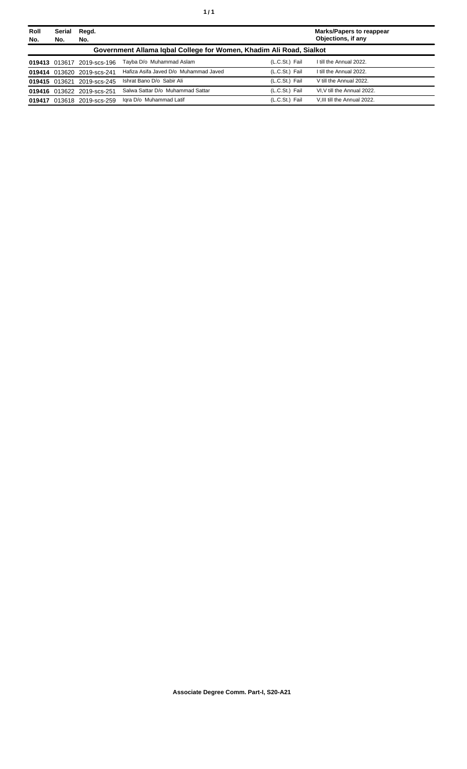| Roll<br>No. | Serial<br>No.                                                       | Regd.<br>No.               |                                       |                | <b>Marks/Papers to reappear</b><br>Objections, if any |  |
|-------------|---------------------------------------------------------------------|----------------------------|---------------------------------------|----------------|-------------------------------------------------------|--|
|             | Government Allama Igbal College for Women, Khadim Ali Road, Sialkot |                            |                                       |                |                                                       |  |
|             | 019413 013617                                                       | 2019-scs-196               | Tayba D/o Muhammad Aslam              | (L.C.St.) Fail | I till the Annual 2022.                               |  |
|             |                                                                     | 019414 013620 2019-scs-241 | Hafiza Asifa Javed D/o Muhammad Javed | (L.C.St.) Fail | I till the Annual 2022.                               |  |
|             | 019415 013621                                                       | 2019-scs-245               | Ishrat Bano D/o Sabir Ali             | (L.C.St.) Fail | V till the Annual 2022.                               |  |
|             |                                                                     | 019416 013622 2019-scs-251 | Salwa Sattar D/o Muhammad Sattar      | (L.C.St.) Fail | VI.V till the Annual 2022.                            |  |
| 019417      |                                                                     | 013618 2019-scs-259        | Igra D/o Muhammad Latif               | (L.C.St.) Fail | V.III till the Annual 2022.                           |  |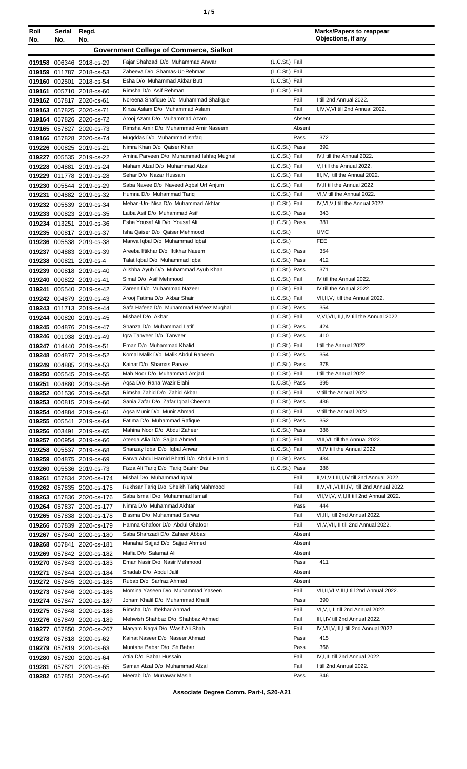| Roll<br>No. | Serial<br>No. | Regd.<br>No.                                           |                                                                            |                                  | <b>Marks/Papers to reappear</b><br>Objections, if any           |
|-------------|---------------|--------------------------------------------------------|----------------------------------------------------------------------------|----------------------------------|-----------------------------------------------------------------|
|             |               |                                                        | <b>Government College of Commerce, Sialkot</b>                             |                                  |                                                                 |
|             |               | 019158 006346 2018-cs-29                               | Fajar Shahzadi D/o Muhammad Anwar                                          | (L.C.St.) Fail                   |                                                                 |
|             |               | 019159 011787 2018-cs-53                               | Zaheeva D/o Shamas-Ur-Rehman                                               | (L.C.St.) Fail                   |                                                                 |
|             |               | 019160 002501 2018-cs-54                               | Esha D/o Muhammad Akbar Butt                                               | (L.C.St.) Fail                   |                                                                 |
|             |               | 019161 005710 2018-cs-60                               | Rimsha D/o Asif Rehman                                                     | (L.C.St.) Fail                   |                                                                 |
|             |               | 019162 057817 2020-cs-61                               | Noreena Shafique D/o Muhammad Shafique                                     | Fail                             | I till 2nd Annual 2022.                                         |
|             |               | 019163 057825 2020-cs-71                               | Kinza Aslam D/o Muhammad Aslam                                             | Fail                             | I, IV, V, VI till 2nd Annual 2022.                              |
|             |               | 019164 057826 2020-cs-72                               | Arooj Azam D/o Muhammad Azam                                               | Absent                           |                                                                 |
|             |               | 019165 057827 2020-cs-73                               | Rimsha Amir D/o Muhammad Amir Naseem                                       | Absent                           |                                                                 |
|             |               | 019166 057828 2020-cs-74                               | Muqddas D/o Muhammad Ishfaq                                                | Pass                             | 372                                                             |
|             |               | 019226 000825 2019-cs-21                               | Nimra Khan D/o Qaiser Khan                                                 | (L.C.St.) Pass                   | 392                                                             |
|             |               | 019227 005535 2019-cs-22                               | Amina Parveen D/o Muhammad Ishfaq Mughal<br>Maham Afzal D/o Muhammad Afzal | (L.C.St.) Fail                   | IV, I till the Annual 2022.                                     |
|             |               | 019228 004881 2019-cs-24                               | Sehar D/o Nazar Hussain                                                    | (L.C.St.) Fail<br>(L.C.St.) Fail | V,I till the Annual 2022.<br>III, IV, I till the Annual 2022.   |
|             |               | 019229 011778 2019-cs-28<br>019230 005544 2019-cs-29   | Saba Navee D/o Naveed Agbal Urf Anjum                                      | (L.C.St.) Fail                   | IV, II till the Annual 2022.                                    |
|             |               | 019231 004882 2019-cs-32                               | Humna D/o Muhammad Tariq                                                   | (L.C.St.) Fail                   | VI, V till the Annual 2022.                                     |
|             |               | 019232 005539 2019-cs-34                               | Mehar - Un- Nisa D/o Muhammad Akhtar                                       | (L.C.St.) Fail                   | IV, VI, V, I till the Annual 2022.                              |
|             |               | 019233 000823 2019-cs-35                               | Laiba Asif D/o Muhammad Asif                                               | (L.C.St.) Pass                   | 343                                                             |
|             |               | 019234 013251 2019-cs-36                               | Esha Yousaf Ali D/o Yousaf Ali                                             | (L.C.St.) Pass                   | 381                                                             |
|             |               | 019235 000817 2019-cs-37                               | Isha Qaiser D/o Qaiser Mehmood                                             | (L.C.St.)                        | <b>UMC</b>                                                      |
|             |               | 019236 005538 2019-cs-38                               | Marwa Iqbal D/o Muhammad Iqbal                                             | (L.C.S <sub>t</sub> )            | <b>FEE</b>                                                      |
|             |               | 019237 004883 2019-cs-39                               | Areeba Iftikhar D/o Iftikhar Naeem                                         | (L.C.St.) Pass                   | 354                                                             |
|             |               | 019238 000821 2019-cs-4                                | Talat Iqbal D/o Muhammad Iqbal                                             | (L.C.St.) Pass                   | 412                                                             |
|             |               | 019239 000818 2019-cs-40                               | Alishba Ayub D/o Muhammad Ayub Khan                                        | (L.C.St.) Pass                   | 371                                                             |
|             |               | 019240 000822 2019-cs-41                               | Simal D/o Asif Mehmood                                                     | (L.C.St.) Fail                   | IV till the Annual 2022.                                        |
|             |               | 019241 005540 2019-cs-42                               | Zareen D/o Muhammad Nazeer                                                 | (L.C.St.) Fail                   | IV till the Annual 2022.                                        |
|             |               | 019242 004879 2019-cs-43                               | Arooj Fatima D/o Akbar Shair                                               | (L.C.St.) Fail                   | VII, II, V, I till the Annual 2022.                             |
|             |               | 019243 011713 2019-cs-44                               | Safa Hafeez D/o Muhammad Hafeez Mughal                                     | (L.C.St.) Pass                   | 354                                                             |
|             |               | 019244 000820 2019-cs-45                               | Mishael D/o Akbar<br>Shanza D/o Muhammad Latif                             | (L.C.St.) Fail<br>(L.C.St.) Pass | V.VI.VII.III.I.IV till the Annual 2022.<br>424                  |
|             |               | 019245 004876 2019-cs-47<br>019246 001038 2019-cs-49   | Iqra Tanveer D/o Tanveer                                                   | (L.C.St.) Pass                   | 410                                                             |
|             |               | 019247 014440 2019-cs-51                               | Eman D/o Muhammad Khalid                                                   | (L.C.St.) Fail                   | I till the Annual 2022.                                         |
|             |               | 019248 004877 2019-cs-52                               | Komal Malik D/o Malik Abdul Raheem                                         | (L.C.St.) Pass                   | 354                                                             |
|             |               | 019249 004885 2019-cs-53                               | Kainat D/o Shamas Parvez                                                   | (L.C.St.) Pass                   | 378                                                             |
|             |               | 019250 005545 2019-cs-55                               | Mah Noor D/o Muhammad Amjad                                                | (L.C.St.) Fail                   | I till the Annual 2022.                                         |
|             |               | 019251 004880 2019-cs-56                               | Agsa D/o Rana Wazir Elahi                                                  | (L.C.St.) Pass                   | 395                                                             |
|             |               | 019252 001536 2019-cs-58                               | Rimsha Zahid D/o Zahid Akbar                                               | (L.C.St.) Fail                   | V till the Annual 2022.                                         |
|             |               | 019253 000815 2019-cs-60                               | Sania Zafar D/o Zafar Igbal Cheema                                         | (L.C.St.) Pass                   | 436                                                             |
|             |               | 019254 004884 2019-cs-61                               | Aqsa Munir D/o Munir Ahmad                                                 | (L.C.St.) Fail                   | V till the Annual 2022.                                         |
|             |               | 019255 005541 2019-cs-64                               | Fatima D/o Muhammad Rafique                                                | (L.C.St.) Pass                   | 352                                                             |
|             |               | 019256 003491 2019-cs-65                               | Mahina Noor D/o Abdul Zaheer                                               | (L.C.St.) Pass                   | 386                                                             |
|             |               | 019257 000954 2019-cs-66                               | Ateega Alia D/o Sajjad Ahmed<br>Shanzay Iqbal D/o Iqbal Anwar              | (L.C.St.) Fail                   | VIII, VII till the Annual 2022.<br>VI, IV till the Annual 2022. |
|             |               | 019258 005537 2019-cs-68                               | Farwa Abdul Hamid Bhatti D/o Abdul Hamid                                   | (L.C.St.) Fail<br>(L.C.St.) Pass | 434                                                             |
|             |               | 019259 004875 2019-cs-69<br>019260 005536 2019-cs-73   | Fizza Ali Tariq D/o Tariq Bashir Dar                                       | (L.C.St.) Pass                   | 386                                                             |
|             |               | 019261 057834 2020-cs-174                              | Mishal D/o Muhammad Iqbal                                                  | Fail                             | II, VI, VII, III, I, IV till 2nd Annual 2022.                   |
|             |               | 019262 057835 2020-cs-175                              | Rukhsar Tariq D/o Sheikh Tariq Mahmood                                     | Fail                             | II, V, VII, VI, III, IV, I till 2nd Annual 2022.                |
|             |               | 019263 057836 2020-cs-176                              | Saba Ismail D/o Muhammad Ismail                                            | Fail                             | VII, VI, V, IV, I, III till 2nd Annual 2022.                    |
|             |               | 019264 057837 2020-cs-177                              | Nimra D/o Muhammad Akhtar                                                  | Pass                             | 444                                                             |
|             |               | 019265 057838 2020-cs-178                              | Bissma D/o Muhammad Sarwar                                                 | Fail                             | VI, III, I till 2nd Annual 2022.                                |
|             |               | 019266 057839 2020-cs-179                              | Hamna Ghafoor D/o Abdul Ghafoor                                            | Fail                             | VI, V, VII, III till 2nd Annual 2022.                           |
|             |               | 019267 057840 2020-cs-180                              | Saba Shahzadi D/o Zaheer Abbas                                             | Absent                           |                                                                 |
|             |               | 019268 057841 2020-cs-181                              | Manahal Sajjad D/o Sajjad Ahmed                                            | Absent                           |                                                                 |
|             |               | 019269 057842 2020-cs-182                              | Mafia D/o Salamat Ali                                                      | Absent                           |                                                                 |
|             |               | 019270 057843 2020-cs-183                              | Eman Nasir D/o Nasir Mehmood                                               | Pass                             | 411                                                             |
|             |               | 019271 057844 2020-cs-184                              | Shadab D/o Abdul Jalil<br>Rubab D/o Sarfraz Ahmed                          | Absent<br>Absent                 |                                                                 |
|             |               | 019272 057845 2020-cs-185                              | Momina Yaseen D/o Muhammad Yaseen                                          | Fail                             | VII, II, VI, V, III, I till 2nd Annual 2022.                    |
|             |               | 019273 057846 2020-cs-186<br>019274 057847 2020-cs-187 | Joham Khalil D/o Muhammad Khalil                                           | Pass                             | 390                                                             |
|             |               | 019275 057848 2020-cs-188                              | Rimsha D/o Iftekhar Ahmad                                                  | Fail                             | VI, V, I, III till 2nd Annual 2022.                             |
|             |               | 019276 057849 2020-cs-189                              | Mehwish Shahbaz D/o Shahbaz Ahmed                                          | Fail                             | III, I, IV till 2nd Annual 2022.                                |
|             |               | 019277 057850 2020-cs-267                              | Maryam Naqvi D/o Wasif Ali Shah                                            | Fail                             | IV, VII, V, III, I till 2nd Annual 2022.                        |
|             |               | 019278 057818 2020-cs-62                               | Kainat Naseer D/o Naseer Ahmad                                             | Pass                             | 415                                                             |
|             |               | 019279 057819 2020-cs-63                               | Muntaha Babar D/o Sh Babar                                                 | Pass                             | 366                                                             |
|             |               | 019280 057820 2020-cs-64                               | Attia D/o Babar Hussain                                                    | Fail                             | IV, I, III till 2nd Annual 2022.                                |
|             |               | 019281 057821 2020-cs-65                               | Saman Afzal D/o Muhammad Afzal                                             | Fail                             | I till 2nd Annual 2022.                                         |
|             |               | 019282 057851 2020-cs-66                               | Meerab D/o Munawar Masih                                                   | Pass                             | 346                                                             |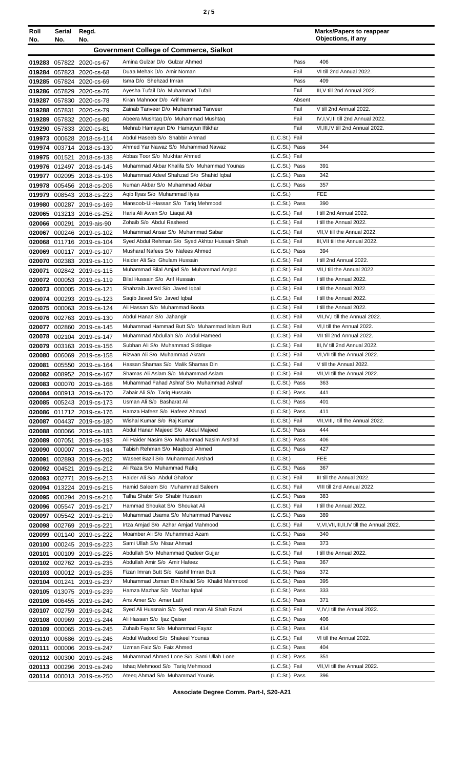| Roll<br>No. | Serial<br>No. | Regd.<br>No.                                           |                                                                                     |                                  | <b>Marks/Papers to reappear</b><br>Objections, if any          |
|-------------|---------------|--------------------------------------------------------|-------------------------------------------------------------------------------------|----------------------------------|----------------------------------------------------------------|
|             |               |                                                        | <b>Government College of Commerce, Sialkot</b>                                      |                                  |                                                                |
|             |               |                                                        | Amina Gulzar D/o Gulzar Ahmed                                                       | Pass                             | 406                                                            |
|             |               | 019283 057822 2020-cs-67<br>019284 057823 2020-cs-68   | Duaa Mehak D/o Amir Noman                                                           | Fail                             | VI till 2nd Annual 2022.                                       |
|             |               | 019285 057824 2020-cs-69                               | Isma D/o Shehzad Imran                                                              | Pass                             | 409                                                            |
|             |               | 019286 057829 2020-cs-76                               | Ayesha Tufail D/o Muhammad Tufail                                                   | Fail                             | III, V till 2nd Annual 2022.                                   |
|             |               | 019287 057830 2020-cs-78                               | Kiran Mahnoor D/o Arif Ikram                                                        | Absent                           |                                                                |
|             |               | 019288 057831 2020-cs-79                               | Zainab Tanveer D/o Muhammad Tanveer                                                 | Fail                             | V till 2nd Annual 2022.                                        |
|             |               | 019289 057832 2020-cs-80                               | Abeera Mushtag D/o Muhammad Mushtag                                                 | Fail                             | IV, I, V, III till 2nd Annual 2022.                            |
|             |               | 019290 057833 2020-cs-81                               | Mehrab Hamayun D/o Hamayun Iftikhar                                                 | Fail                             | VI, III, IV till 2nd Annual 2022.                              |
|             |               | 019973 000628 2018-cs-114                              | Abdul Haseeb S/o Shabbir Ahmad<br>Ahmed Yar Nawaz S/o Muhammad Nawaz                | (L.C.St.) Fail<br>(L.C.St.) Pass | 344                                                            |
|             |               | 019974 003714 2018-cs-130<br>019975 001521 2018-cs-138 | Abbas Toor S/o Mukhtar Ahmed                                                        | (L.C.St.) Fail                   |                                                                |
|             |               | 019976 012497 2018-cs-145                              | Muhammad Akbar Khalifa S/o Muhammad Younas                                          | (L.C.St.) Pass                   | 391                                                            |
|             |               | 019977 002095 2018-cs-196                              | Muhammad Adeel Shahzad S/o Shahid Iqbal                                             | (L.C.St.) Pass                   | 342                                                            |
|             |               | 019978 005456 2018-cs-206                              | Numan Akbar S/o Muhammad Akbar                                                      | (L.C.St.) Pass                   | 357                                                            |
| 019979      |               | 008543 2018-cs-223                                     | Agib Ilyas S/o Muhammad Ilyas                                                       | (L.C.St.)                        | <b>FEE</b>                                                     |
|             |               | 019980 000287 2019-cs-169                              | Mansoob-UI-Hassan S/o Tariq Mehmood                                                 | (L.C.St.) Pass                   | 390                                                            |
|             |               | 020065 013213 2016-cs-252                              | Haris Ali Awan S/o Liagat Ali                                                       | (L.C.St.) Fail                   | I till 2nd Annual 2022.                                        |
|             |               | 020066 000291 2019-ais-90                              | Zohaib S/o Abdul Rasheed                                                            | (L.C.St.) Fail                   | I till the Annual 2022.<br>VII.V till the Annual 2022.         |
|             |               | 020067 000246 2019-cs-102                              | Muhammad Ansar S/o Muhammad Sabar<br>Syed Abdul Rehman S/o Syed Akhtar Hussain Shah | (L.C.St.) Fail<br>(L.C.St.) Fail | III, VII till the Annual 2022.                                 |
|             |               | 020068 011716 2019-cs-104<br>020069 000117 2019-cs-107 | Musharaf Nafees S/o Nafees Ahmed                                                    | (L.C.St.) Pass                   | 394                                                            |
|             |               | 020070 002383 2019-cs-110                              | Haider Ali S/o Ghulam Hussain                                                       | (L.C.St.) Fail                   | I till 2nd Annual 2022.                                        |
| 020071      |               | 002842 2019-cs-115                                     | Muhammad Bilal Amjad S/o Muhammad Amjad                                             | (L.C.St.) Fail                   | VII, I till the Annual 2022.                                   |
|             |               | 020072 000053 2019-cs-119                              | Bilal Hussain S/o Arif Hussain                                                      | (L.C.St.) Fail                   | I till the Annual 2022.                                        |
|             |               | 020073 000005 2019-cs-121                              | Shahzaib Javed S/o Javed Iqbal                                                      | (L.C.St.) Fail                   | I till the Annual 2022.                                        |
|             |               | 020074 000293 2019-cs-123                              | Saqib Javed S/o Javed Iqbal                                                         | (L.C.St.) Fail                   | I till the Annual 2022.                                        |
|             |               | 020075 000063 2019-cs-124                              | Ali Hassan S/o Muhammad Boota                                                       | (L.C.St.) Fail                   | I till the Annual 2022.                                        |
|             |               | 020076 002763 2019-cs-130                              | Abdul Hanan S/o Jahangir<br>Muhammad Hammad Butt S/o Muhammad Islam Butt            | (L.C.St.) Fail                   | VII, IV, I till the Annual 2022.<br>VI.I till the Annual 2022. |
|             |               | 020077 002860 2019-cs-145                              | Muhammad Abdullah S/o Abdul Hameed                                                  | (L.C.St.) Fail<br>(L.C.St.) Fail | VII till 2nd Annual 2022.                                      |
|             |               | 020078 002104 2019-cs-147<br>020079 003163 2019-cs-156 | Subhan Ali S/o Muhammad Siddique                                                    | (L.C.St.) Fail                   | III, IV till 2nd Annual 2022.                                  |
|             |               | 020080 006069 2019-cs-158                              | Rizwan Ali S/o Muhammad Akram                                                       | (L.C.St.) Fail                   | VI. VII till the Annual 2022.                                  |
|             |               | 020081 005550 2019-cs-164                              | Hassan Shamas S/o Malik Shamas Din                                                  | (L.C.St.) Fail                   | V till the Annual 2022.                                        |
|             |               | 020082 008952 2019-cs-167                              | Shamas Ali Aslam S/o Muhammad Aslam                                                 | (L.C.St.) Fail                   | VII, VI till the Annual 2022.                                  |
|             |               | 020083 000070 2019-cs-168                              | Muhammad Fahad Ashraf S/o Muhammad Ashraf                                           | (L.C.St.) Pass                   | 363                                                            |
|             |               | 020084 000913 2019-cs-170                              | Zabair Ali S/o Tariq Hussain                                                        | (L.C.St.) Pass                   | 441                                                            |
|             |               | 020085 005243 2019-cs-173                              | Usman Ali S/o Basharat Ali<br>Hamza Hafeez S/o Hafeez Ahmad                         | (L.C.St.) Pass<br>(L.C.St.) Pass | 401<br>411                                                     |
|             |               | 020086 011712 2019-cs-176<br>020087 004437 2019-cs-180 | Wishal Kumar S/o Raj Kumar                                                          | (L.C.St.) Fail                   | VII, VIII, I till the Annual 2022.                             |
|             |               | 020088 000066 2019-cs-183                              | Abdul Hanan Majeed S/o Abdul Majeed                                                 | (L.C.St.) Pass                   | 444                                                            |
|             |               | 020089 007051 2019-cs-193                              | Ali Haider Nasim S/o Muhammad Nasim Arshad                                          | (L.C.St.) Pass                   | 406                                                            |
|             |               | 020090 000007 2019-cs-194                              | Tabish Rehman S/o Maqbool Ahmed                                                     | (L.C.St.) Pass                   | 427                                                            |
|             |               | 020091 002893 2019-cs-202                              | Waseet Bazil S/o Muhammad Arshad                                                    | (L.C.S <sub>t</sub> )            | <b>FEE</b>                                                     |
|             |               | 020092 004521 2019-cs-212                              | Ali Raza S/o Muhammad Rafiq                                                         | (L.C.St.) Pass                   | 367                                                            |
|             |               | 020093 002771 2019-cs-213                              | Haider Ali S/o Abdul Ghafoor                                                        | (L.C.St.) Fail                   | III till the Annual 2022.                                      |
|             |               | 020094 013224 2019-cs-215<br>020095 000294 2019-cs-216 | Hamid Saleem S/o Muhammad Saleem<br>Talha Shabir S/o Shabir Hussain                 | (L.C.St.) Fail<br>(L.C.St.) Pass | VIII till 2nd Annual 2022.<br>383                              |
|             |               | 020096 005547 2019-cs-217                              | Hammad Shoukat S/o Shoukat Ali                                                      | (L.C.St.) Fail                   | I till the Annual 2022.                                        |
|             |               | 020097 005542 2019-cs-219                              | Muhammad Usama S/o Muhammad Parveez                                                 | (L.C.St.) Pass                   | 389                                                            |
|             |               | 020098 002769 2019-cs-221                              | Irtza Amjad S/o Azhar Amjad Mahmood                                                 | (L.C.St.) Fail                   | V, VI, VII, III, II, IV till the Annual 2022.                  |
|             |               | 020099 001140 2019-cs-222                              | Moamber Ali S/o Muhammad Azam                                                       | (L.C.St.) Pass                   | 340                                                            |
|             |               | 020100 000245 2019-cs-223                              | Sami Ullah S/o Nisar Ahmad                                                          | (L.C.St.) Pass                   | 373                                                            |
|             |               | 020101 000109 2019-cs-225                              | Abdullah S/o Muhammad Qadeer Gujjar                                                 | (L.C.St.) Fail                   | I till the Annual 2022.                                        |
|             |               | 020102 002762 2019-cs-235                              | Abdullah Amir S/o Amir Hafeez                                                       | (L.C.St.) Pass                   | 367                                                            |
|             |               | 020103 000012 2019-cs-236                              | Fizan Imran Butt S/o Kashif Imran Butt                                              | (L.C.St.) Pass                   | 372                                                            |
|             |               | 020104 001241 2019-cs-237                              | Muhammad Usman Bin Khalid S/o Khalid Mahmood<br>Hamza Mazhar S/o Mazhar Iqbal       | (L.C.St.) Pass<br>(L.C.St.) Pass | 395<br>333                                                     |
|             |               | 020105 013075 2019-cs-239<br>020106 006455 2019-cs-240 | Ans Amer S/o Amer Latif                                                             | (L.C.St.) Pass                   | 371                                                            |
|             |               | 020107 002759 2019-cs-242                              | Syed Ali Hussnain S/o Syed Imran Ali Shah Razvi                                     | (L.C.St.) Fail                   | V,IV,I till the Annual 2022.                                   |
|             |               | 020108 000969 2019-cs-244                              | Ali Hassan S/o Ijaz Qaiser                                                          | (L.C.St.) Pass                   | 406                                                            |
|             |               | 020109 000065 2019-cs-245                              | Zuhaib Fayaz S/o Muhammad Fayaz                                                     | (L.C.St.) Pass                   | 414                                                            |
|             |               | 020110 000686 2019-cs-246                              | Abdul Wadood S/o Shakeel Younas                                                     | (L.C.St.) Fail                   | VI till the Annual 2022.                                       |
|             |               | 020111 000006 2019-cs-247                              | Uzman Faiz S/o Faiz Ahmed                                                           | (L.C.St.) Pass                   | 404                                                            |
|             |               | 020112 000300 2019-cs-248                              | Muhammad Ahmed Lone S/o Sami Ullah Lone                                             | (L.C.St.) Pass                   | 351                                                            |
|             |               | 020113 000296 2019-cs-249                              | Ishaq Mehmood S/o Tariq Mehmood                                                     | (L.C.St.) Fail                   | VII, VI till the Annual 2022.                                  |
|             |               | 020114 000013 2019-cs-250                              | Ateeq Ahmad S/o Muhammad Younis                                                     | (L.C.St.) Pass                   | 396                                                            |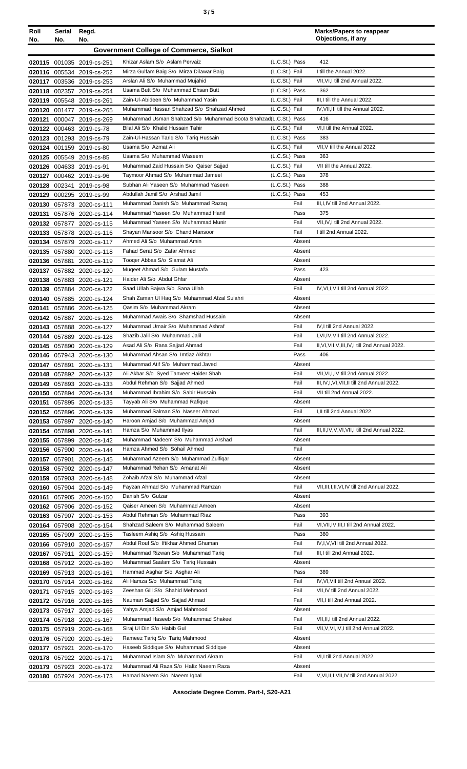| Roll<br>No. | Serial<br>No. | Regd.<br>No.                                           |                                                                             |                                  | <b>Marks/Papers to reappear</b><br>Objections, if any                                 |
|-------------|---------------|--------------------------------------------------------|-----------------------------------------------------------------------------|----------------------------------|---------------------------------------------------------------------------------------|
|             |               |                                                        | <b>Government College of Commerce, Sialkot</b>                              |                                  |                                                                                       |
|             |               |                                                        |                                                                             |                                  | 412                                                                                   |
|             |               | 020115 001035 2019-cs-251                              | Khizar Aslam S/o Aslam Pervaiz<br>Mirza Gulfam Baig S/o Mirza Dilawar Baig  | (L.C.St.) Pass<br>(L.C.St.) Fail | I till the Annual 2022.                                                               |
|             |               | 020116 005534 2019-cs-252<br>020117 003536 2019-cs-253 | Arslan Ali S/o Muhammad Mujahid                                             | (L.C.St.) Fail                   | VII, VI, I till 2nd Annual 2022.                                                      |
|             |               | 020118 002357 2019-cs-254                              | Usama Butt S/o Muhammad Ehsan Butt                                          | (L.C.St.) Pass                   | 362                                                                                   |
|             |               | 020119 005548 2019-cs-261                              | Zain-UI-Abideen S/o Muhammad Yasin                                          | (L.C.St.) Fail                   | III,I till the Annual 2022.                                                           |
|             |               | 020120 001477 2019-cs-265                              | Muhammad Hassan Shahzad S/o Shahzad Ahmed                                   | (L.C.St.) Fail                   | IV, VII, III till the Annual 2022.                                                    |
|             |               | 020121 000047 2019-cs-269                              | Muhammad Usman Shahzad S/o Muhammad Boota Shahzad(L.C.St.) Pass             |                                  | 416                                                                                   |
|             |               | 020122 000463 2019-cs-78                               | Bilal Ali S/o Khalid Hussain Tahir                                          | (L.C.St.) Fail                   | VI,I till the Annual 2022.                                                            |
|             |               | 020123 001293 2019-cs-79                               | Zain-Ul-Hassan Tariq S/o Tariq Hussain                                      | (L.C.St.) Pass                   | 383                                                                                   |
|             |               | 020124 001159 2019-cs-80                               | Usama S/o Azmat Ali                                                         | (L.C.St.) Fail                   | VII, V till the Annual 2022.                                                          |
|             |               | 020125 005549 2019-cs-85                               | Usama S/o Muhammad Waseem                                                   | (L.C.St.) Pass                   | 363                                                                                   |
|             |               | 020126 004633 2019-cs-91                               | Muhammad Zaid Hussain S/o Qaiser Sajjad                                     | (L.C.St.) Fail                   | VII till the Annual 2022.                                                             |
|             |               | 020127 000462 2019-cs-96                               | Taymoor Ahmad S/o Muhammad Jameel                                           | (L.C.St.) Pass                   | 378                                                                                   |
|             |               | 020128 002341 2019-cs-98                               | Subhan Ali Yaseen S/o Muhammad Yaseen                                       | (L.C.St.) Pass                   | 388                                                                                   |
|             |               | 020129 000295 2019-cs-99                               | Abdullah Jamil S/o Arshad Jamil                                             | (L.C.St.) Pass                   | 453                                                                                   |
|             |               | 020130 057873 2020-cs-111                              | Muhammad Danish S/o Muhammad Razaq                                          | Fail                             | III, I, IV till 2nd Annual 2022.                                                      |
|             |               | 020131 057876 2020-cs-114                              | Muhammad Yaseen S/o Muhammad Hanif                                          | Pass                             | 375                                                                                   |
|             |               | 020132 057877 2020-cs-115                              | Muhammad Yaseen S/o Muhammad Munir<br>Shayan Mansoor S/o Chand Mansoor      | Fail<br>Fail                     | VII, IV, I till 2nd Annual 2022.<br>I till 2nd Annual 2022.                           |
|             |               | 020133 057878 2020-cs-116                              | Ahmed Ali S/o Muhammad Amin                                                 | Absent                           |                                                                                       |
|             |               | 020134 057879 2020-cs-117<br>020135 057880 2020-cs-118 | Fahad Serat S/o Zafar Ahmed                                                 | Absent                           |                                                                                       |
|             |               | 020136 057881 2020-cs-119                              | Tooger Abbas S/o Slamat Ali                                                 | Absent                           |                                                                                       |
|             |               | 020137 057882 2020-cs-120                              | Mugeet Ahmad S/o Gulam Mustafa                                              | Pass                             | 423                                                                                   |
|             |               | 020138 057883 2020-cs-121                              | Haider Ali S/o Abdul Ghfar                                                  | Absent                           |                                                                                       |
|             |               | 020139 057884 2020-cs-122                              | Saad Ullah Bajwa S/o Sana Ullah                                             | Fail                             | IV, VI, I, VII till 2nd Annual 2022.                                                  |
|             |               | 020140 057885 2020-cs-124                              | Shah Zaman Ul Haq S/o Muhammad Afzal Sulahri                                | Absent                           |                                                                                       |
|             |               | 020141 057886 2020-cs-125                              | Qasim S/o Muhammad Akram                                                    | Absent                           |                                                                                       |
|             |               | 020142 057887 2020-cs-126                              | Muhammad Awais S/o Shamshad Hussain                                         | Absent                           |                                                                                       |
|             |               | 020143 057888 2020-cs-127                              | Muhammad Umair S/o Muhammad Ashraf                                          | Fail                             | IV, I till 2nd Annual 2022.                                                           |
|             |               | 020144 057889 2020-cs-128                              | Shazib Jalil S/o Muhammad Jalil                                             | Fail                             | I, VI, IV, VII till 2nd Annual 2022.                                                  |
|             |               | 020145 057890 2020-cs-129                              | Asad Ali S/o Rana Sajjad Ahmad                                              | Fail                             | II, VI, VII, V, III, IV, I till 2nd Annual 2022.                                      |
|             |               | 020146 057943 2020-cs-130                              | Muhammad Ahsan S/o Imtiaz Akhtar                                            | Pass                             | 406                                                                                   |
|             |               | 020147 057891 2020-cs-131                              | Muhammad Atif S/o Muhammad Javed                                            | Absent                           |                                                                                       |
|             |               | 020148 057892 2020-cs-132                              | Ali Akbar S/o Syed Tanveer Haider Shah<br>Abdul Rehman S/o Sajjad Ahmed     | Fail                             | VII, VI, I, IV till 2nd Annual 2022.<br>III, IV, I, VI, VII, II till 2nd Annual 2022. |
|             |               | 020149 057893 2020-cs-133<br>020150 057894 2020-cs-134 | Muhammad Ibrahim S/o Sabir Hussain                                          | Fail<br>Fail                     | VII till 2nd Annual 2022.                                                             |
| 020151      |               | 057895 2020-cs-135                                     | Tayyab Ali S/o Muhammad Rafique                                             | Absent                           |                                                                                       |
|             |               | 020152 057896 2020-cs-139                              | Muhammad Salman S/o Naseer Ahmad                                            | Fail                             | I, II till 2nd Annual 2022.                                                           |
|             |               | 020153 057897 2020-cs-140                              | Haroon Amjad S/o Muhammad Amjad                                             | Absent                           |                                                                                       |
|             |               | 020154 057898 2020-cs-141                              | Hamza S/o Muhammad Ilyas                                                    | Fail                             | III, II, IV, V, VI, VII, I till 2nd Annual 2022.                                      |
|             |               | 020155 057899 2020-cs-142                              | Muhammad Nadeem S/o Muhammad Arshad                                         | Absent                           |                                                                                       |
|             |               | 020156 057900 2020-cs-144                              | Hamza Ahmed S/o Sohail Ahmed                                                | Fail                             |                                                                                       |
|             |               | 020157 057901 2020-cs-145                              | Muhammad Azeem S/o Muhammad Zulfiqar                                        | Absent                           |                                                                                       |
|             |               | 020158 057902 2020-cs-147                              | Muhammad Rehan S/o Amanat Ali                                               | Absent                           |                                                                                       |
|             |               | 020159 057903 2020-cs-148                              | Zohaib Afzal S/o Muhammad Afzal                                             | Absent                           |                                                                                       |
|             |               | 020160 057904 2020-cs-149                              | Fayzan Ahmad S/o Muhammad Ramzan                                            | Fail                             | VII, III, I, II, VI, IV till 2nd Annual 2022.                                         |
|             |               | 020161 057905 2020-cs-150                              | Danish S/o Gulzar                                                           | Absent                           |                                                                                       |
|             |               | 020162 057906 2020-cs-152                              | Qaiser Ameen S/o Muhammad Ameen<br>Abdul Rehman S/o Muhammad Riaz           | Absent<br>Pass                   | 393                                                                                   |
|             |               | 020163 057907 2020-cs-153                              | Shahzad Saleem S/o Muhammad Saleem                                          | Fail                             | VI, VII, IV, III, I till 2nd Annual 2022.                                             |
|             |               | 020164 057908 2020-cs-154<br>020165 057909 2020-cs-155 | Tasleem Ashiq S/o Ashiq Hussain                                             | Pass                             | 380                                                                                   |
|             |               | 020166 057910 2020-cs-157                              | Abdul Rouf S/o Iftikhar Ahmed Ghuman                                        | Fail                             | IV, I, V, VII till 2nd Annual 2022.                                                   |
|             |               | 020167 057911 2020-cs-159                              | Muhammad Rizwan S/o Muhammad Tariq                                          | Fail                             | III, I till 2nd Annual 2022.                                                          |
|             |               | 020168 057912 2020-cs-160                              | Muhammad Saalam S/o Tariq Hussain                                           | Absent                           |                                                                                       |
|             |               | 020169 057913 2020-cs-161                              | Hammad Asghar S/o Asghar Ali                                                | Pass                             | 389                                                                                   |
|             |               | 020170 057914 2020-cs-162                              | Ali Hamza S/o Muhammad Tariq                                                | Fail                             | IV, VI, VII till 2nd Annual 2022.                                                     |
|             |               | 020171 057915 2020-cs-163                              | Zeeshan Gill S/o Shahid Mehmood                                             | Fail                             | VII, IV till 2nd Annual 2022.                                                         |
|             |               | 020172 057916 2020-cs-165                              | Nauman Sajjad S/o Sajjad Ahmad                                              | Fail                             | VII, I till 2nd Annual 2022.                                                          |
|             |               | 020173 057917 2020-cs-166                              | Yahya Amjad S/o Amjad Mahmood                                               | Absent                           |                                                                                       |
|             |               | 020174 057918 2020-cs-167                              | Muhammad Haseeb S/o Muhammad Shakeel                                        | Fail                             | VII, II, I till 2nd Annual 2022.                                                      |
|             |               | 020175 057919 2020-cs-168                              | Siraj Ul Din S/o Habib Gul                                                  | Fail                             | VII, V, VI, IV, I till 2nd Annual 2022.                                               |
|             |               | 020176 057920 2020-cs-169                              | Rameez Tariq S/o Tariq Mahmood                                              | Absent                           |                                                                                       |
|             |               | 020177 057921 2020-cs-170                              | Haseeb Siddique S/o Muhammad Siddique                                       | Absent                           |                                                                                       |
|             |               | 020178 057922 2020-cs-171                              | Muhammad Islam S/o Muhammad Akram<br>Muhammad Ali Raza S/o Hafiz Naeem Raza | Fail<br>Absent                   | VI,I till 2nd Annual 2022.                                                            |
|             |               | 020179 057923 2020-cs-172                              | Hamad Naeem S/o Naeem Iqbal                                                 | Fail                             | V, VI, II, I, VII, IV till 2nd Annual 2022.                                           |
|             |               | 020180 057924 2020-cs-173                              |                                                                             |                                  |                                                                                       |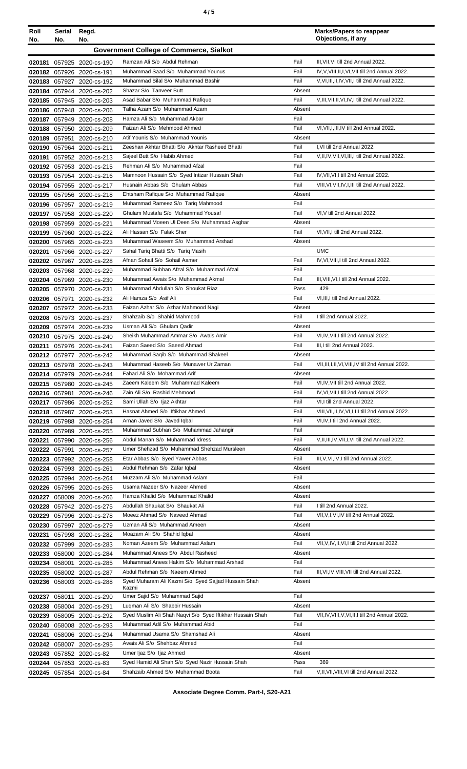| ٠<br>I<br>×<br>۰, |
|-------------------|
|-------------------|

| Roll<br>No. | Serial<br>No. | Regd.<br>No.                                           |                                                                                 |                | <b>Marks/Papers to reappear</b><br>Objections, if any                                   |
|-------------|---------------|--------------------------------------------------------|---------------------------------------------------------------------------------|----------------|-----------------------------------------------------------------------------------------|
|             |               |                                                        | <b>Government College of Commerce, Sialkot</b>                                  |                |                                                                                         |
|             |               | 020181 057925 2020-cs-190                              | Ramzan Ali S/o Abdul Rehman                                                     | Fail           | III, VII, VI till 2nd Annual 2022.                                                      |
|             |               | 020182 057926 2020-cs-191                              | Muhammad Saad S/o Muhammad Younus                                               | Fail           | IV, V, VIII, II, I, VI, VII till 2nd Annual 2022.                                       |
|             |               | 020183 057927 2020-cs-192                              | Muhammad Bilal S/o Muhammad Bashir                                              | Fail           | V, VI, III, II, IV, VII, I till 2nd Annual 2022.                                        |
|             |               | 020184 057944 2020-cs-202                              | Shazar S/o Tanveer Butt                                                         | Absent         |                                                                                         |
|             |               | 020185 057945 2020-cs-203                              | Asad Babar S/o Muhammad Rafique                                                 | Fail           | V, III, VII, II, VI, IV, I till 2nd Annual 2022.                                        |
|             |               | 020186 057948 2020-cs-206                              | Talha Azam S/o Muhammad Azam                                                    | Absent         |                                                                                         |
|             |               | 020187 057949 2020-cs-208                              | Hamza Ali S/o Muhammad Akbar                                                    | Fail           |                                                                                         |
|             |               | 020188 057950 2020-cs-209                              | Faizan Ali S/o Mehmood Ahmed                                                    | Fail           | VI, VII, I, III, IV till 2nd Annual 2022.                                               |
|             |               | 020189 057951 2020-cs-210                              | Atif Younis S/o Muhammad Younis                                                 | Absent         |                                                                                         |
|             |               | 020190 057964 2020-cs-211                              | Zeeshan Akhtar Bhatti S/o Akhtar Rasheed Bhatti                                 | Fail           | I, VI till 2nd Annual 2022.                                                             |
|             |               | 020191 057952 2020-cs-213                              | Sajeel Butt S/o Habib Ahmed                                                     | Fail           | V, II, IV, VII, VI, III, I till 2nd Annual 2022.                                        |
|             |               | 020192 057953 2020-cs-215                              | Rehman Ali S/o Muhammad Afzal                                                   | Fail           |                                                                                         |
|             |               | 020193 057954 2020-cs-216                              | Mamnoon Hussain S/o Syed Intizar Hussain Shah<br>Husnain Abbas S/o Ghulam Abbas | Fail<br>Fail   | IV, VII, VI, I till 2nd Annual 2022.<br>VIII, VI, VII, IV, I, III till 2nd Annual 2022. |
|             |               | 020194 057955 2020-cs-217<br>020195 057956 2020-cs-218 | Ehtsham Rafique S/o Muhammad Rafique                                            | Absent         |                                                                                         |
|             |               | 020196 057957 2020-cs-219                              | Muhammad Rameez S/o Tariq Mahmood                                               | Fail           |                                                                                         |
|             |               | 020197 057958 2020-cs-220                              | Ghulam Mustafa S/o Muhammad Yousaf                                              | Fail           | VI, V till 2nd Annual 2022.                                                             |
|             |               | 020198 057959 2020-cs-221                              | Muhammad Moeen UI Deen S/o Muhammad Asghar                                      | Absent         |                                                                                         |
|             |               | 020199 057960 2020-cs-222                              | Ali Hassan S/o Falak Sher                                                       | Fail           | VI, VII, I till 2nd Annual 2022.                                                        |
|             |               | 020200 057965 2020-cs-223                              | Muhammad Waseem S/o Muhammad Arshad                                             | Absent         |                                                                                         |
|             |               | 020201 057966 2020-cs-227                              | Sahal Tariq Bhatti S/o Tariq Masih                                              |                | <b>UMC</b>                                                                              |
|             |               | 020202 057967 2020-cs-228                              | Afnan Sohail S/o Sohail Aamer                                                   | Fail           | IV, VI, VIII, I till 2nd Annual 2022.                                                   |
|             |               | 020203 057968 2020-cs-229                              | Muhammad Subhan Afzal S/o Muhammad Afzal                                        | Fail           |                                                                                         |
|             |               | 020204 057969 2020-cs-230                              | Muhammad Awais S/o Muhammad Akmal                                               | Fail           | III, VIII, VI, I till 2nd Annual 2022.                                                  |
|             |               | 020205 057970 2020-cs-231                              | Muhammad Abdullah S/o Shoukat Riaz                                              | Pass           | 429                                                                                     |
|             |               | 020206 057971 2020-cs-232                              | Ali Hamza S/o Asif Ali                                                          | Fail           | VI, III, I till 2nd Annual 2022.                                                        |
|             |               | 020207 057972 2020-cs-233                              | Faizan Azhar S/o Azhar Mahmood Nagi                                             | Absent         |                                                                                         |
|             |               | 020208 057973 2020-cs-237                              | Shahzaib S/o Shahid Mahmood                                                     | Fail           | I till 2nd Annual 2022.                                                                 |
|             |               | 020209 057974 2020-cs-239                              | Usman Ali S/o Ghulam Qadir<br>Sheikh Muhammad Ammar S/o Awais Amir              | Absent<br>Fail | VI, IV, VII, I till 2nd Annual 2022.                                                    |
|             |               | 020210 057975 2020-cs-240<br>020211 057976 2020-cs-241 | Faizan Saeed S/o Saeed Ahmad                                                    | Fail           | III, I till 2nd Annual 2022.                                                            |
|             |               | 020212 057977 2020-cs-242                              | Muhammad Saqib S/o Muhammad Shakeel                                             | Absent         |                                                                                         |
|             |               | 020213 057978 2020-cs-243                              | Muhammad Haseeb S/o Munawer Ur Zaman                                            | Fail           | VII, III, I, II, VI, VIII, IV till 2nd Annual 2022.                                     |
|             |               | 020214 057979 2020-cs-244                              | Fahad Ali S/o Mohammad Arif                                                     | Absent         |                                                                                         |
|             |               | 020215 057980 2020-cs-245                              | Zaeem Kaleem S/o Muhammad Kaleem                                                | Fail           | VI,IV, VII till 2nd Annual 2022.                                                        |
|             | 020216 057981 | 2020-cs-246                                            | Zain Ali S/o Rashid Mehmood                                                     | Fail           | IV, VI, VII, I till 2nd Annual 2022.                                                    |
|             |               | 020217 057986 2020-cs-252                              | Sami Ullah S/o ljaz Akhtar                                                      | Fail           | VI,I till 2nd Annual 2022.                                                              |
|             |               | 020218 057987 2020-cs-253                              | Hasnat Ahmed S/o Iftikhar Ahmed                                                 | Fail           | VIII, VII, II, IV, VI, I, III till 2nd Annual 2022.                                     |
|             |               | 020219 057988 2020-cs-254                              | Arnan Javed S/o Javed Iqbal                                                     | Fail           | VI, IV, I till 2nd Annual 2022.                                                         |
|             |               | 020220 057989 2020-cs-255                              | Muhammad Subhan S/o Muhammad Jahangir                                           | Fail           |                                                                                         |
|             |               | 020221 057990 2020-cs-256                              | Abdul Manan S/o Muhammad Idress                                                 | Fail           | V, II, III, IV, VII, I, VI till 2nd Annual 2022.                                        |
|             | 020222 057991 | 2020-cs-257                                            | Umer Shehzad S/o Muhammad Shehzad Mursleen                                      | Absent         |                                                                                         |
|             |               | 020223 057992 2020-cs-258                              | Etar Abbas S/o Syed Yawer Abbas<br>Abdul Rehman S/o Zafar Iqbal                 | Fail<br>Absent | III, V, VI, IV, I till 2nd Annual 2022.                                                 |
|             |               | 020224 057993 2020-cs-261<br>020225 057994 2020-cs-264 | Muzzam Ali S/o Muhammad Aslam                                                   | Fail           |                                                                                         |
|             |               | 020226 057995 2020-cs-265                              | Usama Nazeer S/o Nazeer Ahmed                                                   | Absent         |                                                                                         |
|             |               | 020227 058009 2020-cs-266                              | Hamza Khalid S/o Muhammad Khalid                                                | Absent         |                                                                                         |
|             |               | 020228 057942 2020-cs-275                              | Abdullah Shaukat S/o Shaukat Ali                                                | Fail           | I till 2nd Annual 2022.                                                                 |
|             |               | 020229 057996 2020-cs-278                              | Moeez Ahmad S/o Naveed Ahmad                                                    | Fail           | VII, V, I, VI, IV till 2nd Annual 2022.                                                 |
|             |               | 020230 057997 2020-cs-279                              | Uzman Ali S/o Muhammad Ameen                                                    | Absent         |                                                                                         |
|             |               | 020231 057998 2020-cs-282                              | Moazam Ali S/o Shahid Iqbal                                                     | Absent         |                                                                                         |
|             |               | 020232 057999 2020-cs-283                              | Noman Azeem S/o Muhammad Aslam                                                  | Fail           | VII, V, IV, II, VI, I till 2nd Annual 2022.                                             |
| 020233      |               | 058000 2020-cs-284                                     | Muhammad Anees S/o Abdul Rasheed                                                | Absent         |                                                                                         |
|             | 020234 058001 | 2020-cs-285                                            | Muhammad Anees Hakim S/o Muhammad Arshad                                        | Fail           |                                                                                         |
|             |               | 020235 058002 2020-cs-287                              | Abdul Rehman S/o Naeem Ahmed                                                    | Fail           | III, VI, IV, VIII, VII till 2nd Annual 2022.                                            |
|             |               | 020236 058003 2020-cs-288                              | Syed Muharam Ali Kazmi S/o Syed Sajjad Hussain Shah<br>Kazmi                    | Absent         |                                                                                         |
| 020237      | 058011        | 2020-cs-290                                            | Umer Sajid S/o Muhammad Sajid                                                   | Fail           |                                                                                         |
|             |               | 020238 058004 2020-cs-291                              | Luqman Ali S/o Shabbir Hussain                                                  | Absent         |                                                                                         |
|             |               | 020239 058005 2020-cs-292                              | Syed Muslim Ali Shah Naqvi S/o Syed Iftikhar Hussain Shah                       | Fail           | VII, IV, VIII, V, VI, II, I till 2nd Annual 2022.                                       |
|             |               | 020240 058008 2020-cs-293                              | Muhammad Adil S/o Muhammad Abid                                                 | Fail           |                                                                                         |
|             |               | 020241 058006 2020-cs-294                              | Muhammad Usama S/o Shamshad Ali                                                 | Absent         |                                                                                         |
|             |               | 020242 058007 2020-cs-295                              | Awais Ali S/o Shehbaz Ahmed                                                     | Fail           |                                                                                         |
|             |               | 020243 057852 2020-cs-82                               | Umer Ijaz S/o Ijaz Ahmed                                                        | Absent         |                                                                                         |
|             |               | 020244 057853 2020-cs-83                               | Syed Hamid Ali Shah S/o Syed Nazir Hussain Shah                                 | Pass           | 369                                                                                     |
|             |               | 020245 057854 2020-cs-84                               | Shahzaib Ahmed S/o Muhammad Boota                                               | Fail           | V, II, VII, VIII, VI till 2nd Annual 2022.                                              |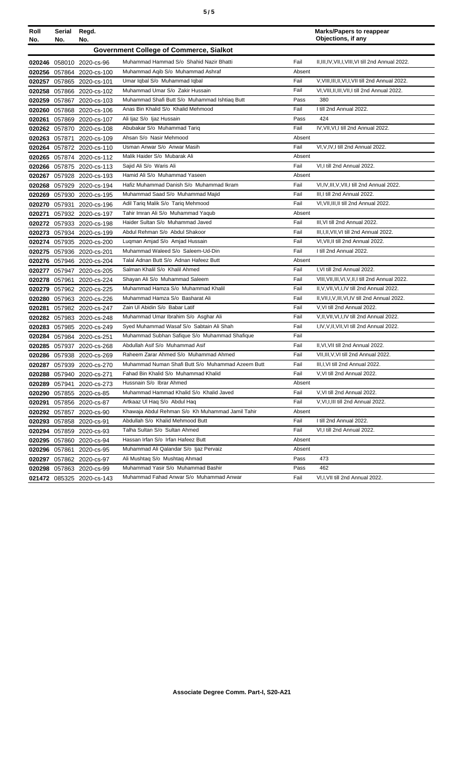| ٠<br>I<br>I<br>×<br>۰,<br>×<br>۰, |  |  |  |
|-----------------------------------|--|--|--|
|-----------------------------------|--|--|--|

| Roll<br>No.                                    | Serial<br>No. | Regd.<br>No.              |                                                   |        | <b>Marks/Papers to reappear</b><br>Objections, if any |  |  |
|------------------------------------------------|---------------|---------------------------|---------------------------------------------------|--------|-------------------------------------------------------|--|--|
| <b>Government College of Commerce, Sialkot</b> |               |                           |                                                   |        |                                                       |  |  |
|                                                |               | 020246 058010 2020-cs-96  | Muhammad Hammad S/o Shahid Nazir Bhatti           | Fail   | II, III, IV, VII, I, VIII, VI till 2nd Annual 2022.   |  |  |
|                                                |               | 020256 057864 2020-cs-100 | Muhammad Agib S/o Muhammad Ashraf                 | Absent |                                                       |  |  |
|                                                |               | 020257 057865 2020-cs-101 | Umar Iqbal S/o Muhammad Iqbal                     | Fail   | V, VIII, III, II, VI, I, VII till 2nd Annual 2022.    |  |  |
|                                                |               | 020258 057866 2020-cs-102 | Muhammad Umar S/o Zakir Hussain                   | Fail   | VI, VIII, II, III, VII, I till 2nd Annual 2022.       |  |  |
|                                                |               | 020259 057867 2020-cs-103 | Muhammad Shafi Butt S/o Muhammad Ishtiaq Butt     | Pass   | 380                                                   |  |  |
|                                                |               | 020260 057868 2020-cs-106 | Anas Bin Khalid S/o Khalid Mehmood                | Fail   | I till 2nd Annual 2022.                               |  |  |
| 020261                                         |               | 057869 2020-cs-107        | Ali Ijaz S/o Ijaz Hussain                         | Pass   | 424                                                   |  |  |
|                                                |               | 020262 057870 2020-cs-108 | Abubakar S/o Muhammad Tariq                       | Fail   | IV, VII, VI, I till 2nd Annual 2022.                  |  |  |
|                                                |               | 020263 057871 2020-cs-109 | Ahsan S/o Nasir Mehmood                           | Absent |                                                       |  |  |
|                                                |               | 020264 057872 2020-cs-110 | Usman Anwar S/o Anwar Masih                       | Fail   | VI, V, IV, I till 2nd Annual 2022.                    |  |  |
|                                                |               | 020265 057874 2020-cs-112 | Malik Haider S/o Mubarak Ali                      | Absent |                                                       |  |  |
|                                                |               | 020266 057875 2020-cs-113 | Sajid Ali S/o Waris Ali                           | Fail   | VI,I till 2nd Annual 2022.                            |  |  |
|                                                |               | 020267 057928 2020-cs-193 | Hamid Ali S/o Muhammad Yaseen                     | Absent |                                                       |  |  |
|                                                |               | 020268 057929 2020-cs-194 | Hafiz Muhammad Danish S/o Muhammad Ikram          | Fail   | VI.IV.III.V.VII.I till 2nd Annual 2022.               |  |  |
| 020269                                         |               | 057930 2020-cs-195        | Muhammad Saad S/o Muhammad Majid                  | Fail   | III, I till 2nd Annual 2022.                          |  |  |
|                                                |               | 020270 057931 2020-cs-196 | Adil Tariq Malik S/o Tariq Mehmood                | Fail   | VI, VII, III, II till 2nd Annual 2022.                |  |  |
| 020271                                         |               | 057932 2020-cs-197        | Tahir Imran Ali S/o Muhammad Yaqub                | Absent |                                                       |  |  |
|                                                |               | 020272 057933 2020-cs-198 | Haider Sultan S/o Muhammad Javed                  | Fail   | III, VI till 2nd Annual 2022.                         |  |  |
|                                                |               | 020273 057934 2020-cs-199 | Abdul Rehman S/o Abdul Shakoor                    | Fail   | III, I, II, VII, VI till 2nd Annual 2022.             |  |  |
|                                                |               | 020274 057935 2020-cs-200 | Lugman Amjad S/o Amjad Hussain                    | Fail   | VI.VII.II till 2nd Annual 2022.                       |  |  |
|                                                |               | 020275 057936 2020-cs-201 | Muhammad Waleed S/o Saleem-Ud-Din                 | Fail   | I till 2nd Annual 2022.                               |  |  |
|                                                |               | 020276 057946 2020-cs-204 | Talal Adnan Butt S/o Adnan Hafeez Butt            | Absent |                                                       |  |  |
| 020277                                         |               | 057947 2020-cs-205        | Salman Khalil S/o Khalil Ahmed                    | Fail   | I, VI till 2nd Annual 2022.                           |  |  |
|                                                |               | 020278 057961 2020-cs-224 | Shayan Ali S/o Muhammad Saleem                    | Fail   | VIII, VII, III, VI, V, II, I till 2nd Annual 2022.    |  |  |
|                                                |               | 020279 057962 2020-cs-225 | Muhammad Hamza S/o Muhammad Khalil                | Fail   | II, V, VII, VI, I, IV till 2nd Annual 2022.           |  |  |
|                                                |               | 020280 057963 2020-cs-226 | Muhammad Hamza S/o Basharat Ali                   | Fail   | II, VII, I, V, III, VI, IV till 2nd Annual 2022.      |  |  |
|                                                |               | 020281 057982 2020-cs-247 | Zain Ul Abidin S/o Babar Latif                    | Fail   | V.VI till 2nd Annual 2022.                            |  |  |
|                                                |               | 020282 057983 2020-cs-248 | Muhammad Umar Ibrahim S/o Asghar Ali              | Fail   | V, II, VII, VI, I, IV till 2nd Annual 2022.           |  |  |
|                                                |               | 020283 057985 2020-cs-249 | Sved Muhammad Wasaf S/o Sabtain Ali Shah          | Fail   | I.IV.V.II.VII.VI till 2nd Annual 2022.                |  |  |
|                                                |               | 020284 057984 2020-cs-251 | Muhammad Subhan Safique S/o Muhammad Shafique     | Fail   |                                                       |  |  |
|                                                |               | 020285 057937 2020-cs-268 | Abdullah Asif S/o Muhammad Asif                   | Fail   | II, VI, VII till 2nd Annual 2022.                     |  |  |
|                                                |               | 020286 057938 2020-cs-269 | Raheem Zarar Ahmed S/o Muhammad Ahmed             | Fail   | VII, III, V, VI till 2nd Annual 2022.                 |  |  |
|                                                |               | 020287 057939 2020-cs-270 | Muhammad Numan Shafi Butt S/o Muhammad Azeem Butt | Fail   | III.I.VI till 2nd Annual 2022.                        |  |  |
|                                                |               | 020288 057940 2020-cs-271 | Fahad Bin Khalid S/o Muhammad Khalid              | Fail   | V, VI till 2nd Annual 2022.                           |  |  |
|                                                | 020289 057941 | 2020-cs-273               | Hussnain S/o Ibrar Ahmed                          | Absent |                                                       |  |  |
|                                                |               | 020290 057855 2020-cs-85  | Muhammad Hammad Khalid S/o Khalid Javed           | Fail   | V, VI till 2nd Annual 2022.                           |  |  |
|                                                |               | 020291 057856 2020-cs-87  | Artkaaz UI Haq S/o Abdul Haq                      | Fail   | V, VI, I, III till 2nd Annual 2022.                   |  |  |
|                                                |               | 020292 057857 2020-cs-90  | Khawaia Abdul Rehman S/o Kh Muhammad Jamil Tahir  | Absent |                                                       |  |  |
|                                                |               | 020293 057858 2020-cs-91  | Abdullah S/o Khalid Mehmood Butt                  | Fail   | I till 2nd Annual 2022.                               |  |  |
|                                                |               | 020294 057859 2020-cs-93  | Talha Sultan S/o Sultan Ahmed                     | Fail   | VI,I till 2nd Annual 2022.                            |  |  |
|                                                |               | 020295 057860 2020-cs-94  | Hassan Irfan S/o Irfan Hafeez Butt                | Absent |                                                       |  |  |
|                                                |               | 020296 057861 2020-cs-95  | Muhammad Ali Qalandar S/o Ijaz Pervaiz            | Absent |                                                       |  |  |
|                                                |               | 020297 057862 2020-cs-97  | Ali Mushtaq S/o Mushtaq Ahmad                     | Pass   | 473                                                   |  |  |
|                                                |               | 020298 057863 2020-cs-99  | Muhammad Yasir S/o Muhammad Bashir                | Pass   | 462                                                   |  |  |
|                                                |               | 021472 085325 2020-cs-143 | Muhammad Fahad Anwar S/o Muhammad Anwar           | Fail   | VI, I, VII till 2nd Annual 2022.                      |  |  |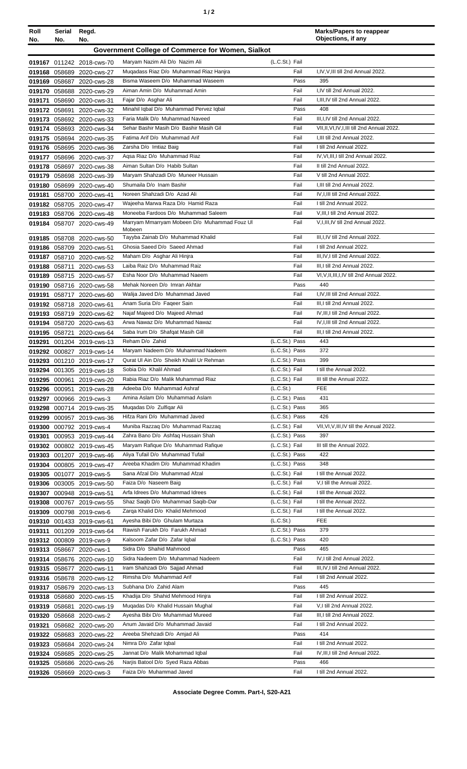| Roll                                                     | Serial<br>No. | Regd.<br>No.                                           |                                                                          |                                  | <b>Marks/Papers to reappear</b><br>Objections, if any                       |  |  |
|----------------------------------------------------------|---------------|--------------------------------------------------------|--------------------------------------------------------------------------|----------------------------------|-----------------------------------------------------------------------------|--|--|
| No.<br>Government College of Commerce for Women, Sialkot |               |                                                        |                                                                          |                                  |                                                                             |  |  |
|                                                          |               |                                                        |                                                                          |                                  |                                                                             |  |  |
|                                                          |               | 019167 011242 2018-cws-70                              | Maryam Nazim Ali D/o Nazim Ali<br>Mugadass Riaz D/o Muhammad Riaz Hanjra | (L.C.St.) Fail<br>Fail           | I,IV,V,III till 2nd Annual 2022.                                            |  |  |
| 019168                                                   |               | 058689 2020-cws-27<br>019169 058687 2020-cws-28        | Bisma Waseem D/o Muhammad Waseem                                         | Pass                             | 395                                                                         |  |  |
|                                                          |               | 019170 058688 2020-cws-29                              | Aiman Amin D/o Muhammad Amin                                             | Fail                             | I,IV till 2nd Annual 2022.                                                  |  |  |
| 019171                                                   |               | 058690 2020-cws-31                                     | Fajar D/o Asghar Ali                                                     | Fail                             | I,III,IV till 2nd Annual 2022.                                              |  |  |
|                                                          |               | 019172 058691 2020-cws-32                              | Minahil Iqbal D/o Muhammad Pervez Iqbal                                  | Pass                             | 408                                                                         |  |  |
|                                                          |               | 019173 058692 2020-cws-33                              | Faria Malik D/o Muhammad Naveed                                          | Fail                             | III, I, IV till 2nd Annual 2022.                                            |  |  |
|                                                          |               | 019174 058693 2020-cws-34                              | Sehar Bashir Masih D/o Bashir Masih Gil                                  | Fail                             | VII, II, VI, IV, I, III till 2nd Annual 2022.                               |  |  |
|                                                          |               | 019175 058694 2020-cws-35                              | Fatima Arif D/o Muhammad Arif                                            | Fail                             | I, III till 2nd Annual 2022.                                                |  |  |
|                                                          |               | 019176 058695 2020-cws-36                              | Zarsha D/o Imtiaz Baig                                                   | Fail                             | I till 2nd Annual 2022.                                                     |  |  |
|                                                          |               | 019177 058696 2020-cws-37                              | Agsa Riaz D/o Muhammad Riaz                                              | Fail                             | IV, VI, III, I till 2nd Annual 2022.                                        |  |  |
| 019178                                                   |               | 058697 2020-cws-38                                     | Aiman Sultan D/o Habib Sultan                                            | Fail                             | II till 2nd Annual 2022.                                                    |  |  |
|                                                          |               | 019179 058698 2020-cws-39                              | Maryam Shahzadi D/o Muneer Hussain                                       | Fail                             | V till 2nd Annual 2022.                                                     |  |  |
|                                                          |               | 019180 058699 2020-cws-40                              | Shumaila D/o Inam Bashir<br>Noreen Shahzadi D/o Azad Ali                 | Fail<br>Fail                     | I,III till 2nd Annual 2022.<br>IV.I.III till 2nd Annual 2022.               |  |  |
|                                                          |               | 019181 058700 2020-cws-41                              | Wajeeha Marwa Raza D/o Hamid Raza                                        | Fail                             | I till 2nd Annual 2022.                                                     |  |  |
|                                                          |               | 019182 058705 2020-cws-47<br>019183 058706 2020-cws-48 | Moneeba Fardoos D/o Muhammad Saleem                                      | Fail                             | V, III, I till 2nd Annual 2022.                                             |  |  |
|                                                          |               | 019184 058707 2020-cws-49                              | Marryam Mmarryam Mobeen D/o Muhammad Fouz UI                             | Fail                             | V,I,III,IV till 2nd Annual 2022.                                            |  |  |
|                                                          |               |                                                        | Mobeen                                                                   |                                  |                                                                             |  |  |
|                                                          |               | 019185 058708 2020-cws-50                              | Tayyba Zainab D/o Muhammad Khalid                                        | Fail                             | III, I, IV till 2nd Annual 2022.                                            |  |  |
|                                                          |               | 019186 058709 2020-cws-51                              | Ghosia Saeed D/o Saeed Ahmad                                             | Fail                             | I till 2nd Annual 2022.                                                     |  |  |
|                                                          |               | 019187 058710 2020-cws-52                              | Maham D/o Asghar Ali Hinjra<br>Laiba Raiz D/o Muhammad Raiz              | Fail<br>Fail                     | III, IV, I till 2nd Annual 2022.                                            |  |  |
| 019188                                                   |               | 058711 2020-cws-53                                     | Esha Noor D/o Muhammad Naeem                                             | Fail                             | III, I till 2nd Annual 2022.<br>VI, V, II, III, I, IV till 2nd Annual 2022. |  |  |
| 019189                                                   |               | 058715 2020-cws-57<br>019190 058716 2020-cws-58        | Mehak Noreen D/o Imran Akhtar                                            | Pass                             | 440                                                                         |  |  |
| 019191                                                   |               | 058717 2020-cws-60                                     | Walija Javed D/o Muhammad Javed                                          | Fail                             | I,IV,III till 2nd Annual 2022.                                              |  |  |
|                                                          |               | 019192 058718 2020-cws-61                              | Anam Suria D/o Faqeer Sain                                               | Fail                             | III, I till 2nd Annual 2022.                                                |  |  |
|                                                          |               | 019193 058719 2020-cws-62                              | Najaf Majeed D/o Majeed Ahmad                                            | Fail                             | IV, III, I till 2nd Annual 2022.                                            |  |  |
|                                                          |               | 019194 058720 2020-cws-63                              | Arwa Nawaz D/o Muhammad Nawaz                                            | Fail                             | IV, I, III till 2nd Annual 2022.                                            |  |  |
|                                                          |               | 019195 058721 2020-cws-64                              | Saba Irum D/o Shafqat Masih Gill                                         | Fail                             | III, I till 2nd Annual 2022.                                                |  |  |
| 019291                                                   |               | 001204 2019-cws-13                                     | Reham D/o Zahid                                                          | (L.C.St.) Pass                   | 443                                                                         |  |  |
|                                                          |               | 019292 000827 2019-cws-14                              | Maryam Nadeem D/o Muhammad Nadeem                                        | (L.C.St.) Pass                   | 372                                                                         |  |  |
|                                                          |               | 019293 001210 2019-cws-17                              | Qurat UI Ain D/o Sheikh Khalil Ur Rehman                                 | (L.C.St.) Pass                   | 399                                                                         |  |  |
|                                                          |               | 019294 001305 2019-cws-18                              | Sobia D/o Khalil Ahmad                                                   | (L.C.St.) Fail                   | I till the Annual 2022.                                                     |  |  |
|                                                          |               | 019295 000961 2019-cws-20                              | Rabia Riaz D/o Malik Muhammad Riaz<br>Adeeba D/o Muhammad Ashraf         | (L.C.St.) Fail                   | III till the Annual 2022.                                                   |  |  |
|                                                          |               | 019296 000951 2019-cws-28                              | Amina Aslam D/o Muhammad Aslam                                           | (L.C.St.)<br>(L.C.St.) Pass      | <b>FEE</b><br>431                                                           |  |  |
|                                                          |               | 019297 000966 2019-cws-3<br>019298 000714 2019-cws-35  | Mugadas D/o Zulfigar Ali                                                 | (L.C.St.) Pass                   | 365                                                                         |  |  |
| 019299                                                   |               | 000957 2019-cws-36                                     | Hifza Rani D/o Muhammad Javed                                            | (L.C.St.) Pass                   | 426                                                                         |  |  |
| 019300                                                   |               | 000792 2019-cws-4                                      | Muniba Razzaq D/o Muhammad Razzaq                                        | (L.C.St.) Fail                   | VII, VI, V, III, IV till the Annual 2022.                                   |  |  |
| 019301                                                   |               | 000953 2019-cws-44                                     | Zahra Bano D/o Ashfaq Hussain Shah                                       | (L.C.St.) Pass                   | 397                                                                         |  |  |
|                                                          |               | 019302 000802 2019-cws-45                              | Maryam Rafique D/o Muhammad Rafique                                      | (L.C.St.) Fail                   | III till the Annual 2022.                                                   |  |  |
| 019303                                                   |               | 001207 2019-cws-46                                     | Aliya Tufail D/o Muhammad Tufail                                         | (L.C.St.) Pass                   | 422                                                                         |  |  |
|                                                          |               | 019304 000805 2019-cws-47                              | Areeba Khadim D/o Muhammad Khadim                                        | (L.C.St.) Pass                   | 348                                                                         |  |  |
| 019305                                                   |               | 001077 2019-cws-5                                      | Sana Afzal D/o Muhammad Afzal                                            | (L.C.St.) Fail                   | I till the Annual 2022.                                                     |  |  |
| 019306                                                   |               | 003005 2019-cws-50                                     | Faiza D/o Naseem Baig                                                    | (L.C.St.) Fail                   | V,I till the Annual 2022.                                                   |  |  |
| 019307                                                   |               | 000948 2019-cws-51                                     | Arfa Idrees D/o Muhammad Idrees                                          | (L.C.St.) Fail                   | I till the Annual 2022.                                                     |  |  |
| 019308                                                   |               | 000767 2019-cws-55                                     | Shaz Saqib D/o Muhammad Saqib-Dar<br>Zarga Khalid D/o Khalid Mehmood     | (L.C.St.) Fail<br>(L.C.St.) Fail | I till the Annual 2022.<br>I till the Annual 2022.                          |  |  |
| 019309                                                   |               | 000798 2019-cws-6<br>019310 001433 2019-cws-61         | Ayesha Bibi D/o Ghulam Murtaza                                           | (L.C.S <sub>t</sub> )            | <b>FEE</b>                                                                  |  |  |
| 019311                                                   |               | 001209 2019-cws-64                                     | Rawish Farukh D/o Farukh Ahmad                                           | (L.C.St.) Pass                   | 379                                                                         |  |  |
|                                                          |               | 019312 000809 2019-cws-9                               | Kalsoom Zafar D/o Zafar Iqbal                                            | (L.C.St.) Pass                   | 420                                                                         |  |  |
|                                                          |               | 019313 058667 2020-cws-1                               | Sidra D/o Shahid Mahmood                                                 | Pass                             | 465                                                                         |  |  |
|                                                          |               | 019314 058676 2020-cws-10                              | Sidra Nadeem D/o Muhammad Nadeem                                         | Fail                             | IV, I till 2nd Annual 2022.                                                 |  |  |
| 019315                                                   |               | 058677 2020-cws-11                                     | Iram Shahzadi D/o Sajjad Ahmad                                           | Fail                             | III, IV, I till 2nd Annual 2022.                                            |  |  |
|                                                          |               | 019316 058678 2020-cws-12                              | Rimsha D/o Muhammad Arif                                                 | Fail                             | I till 2nd Annual 2022.                                                     |  |  |
|                                                          |               | 019317 058679 2020-cws-13                              | Subhana D/o Zahid Alam                                                   | Pass                             | 445                                                                         |  |  |
| 019318                                                   |               | 058680 2020-cws-15                                     | Khadija D/o Shahid Mehmood Hinjra                                        | Fail                             | I till 2nd Annual 2022.                                                     |  |  |
| 019319                                                   |               | 058681 2020-cws-19                                     | Mugadas D/o Khalid Hussain Mughal                                        | Fail                             | V,I till 2nd Annual 2022.                                                   |  |  |
|                                                          |               | 019320 058668 2020-cws-2                               | Ayesha Bibi D/o Muhammad Mureed                                          | Fail                             | III,I till 2nd Annual 2022.                                                 |  |  |
| 019321                                                   |               | 058682 2020-cws-20                                     | Anum Javaid D/o Muhammad Javaid                                          | Fail                             | I till 2nd Annual 2022.                                                     |  |  |
|                                                          |               | 019322 058683 2020-cws-22                              | Areeba Shehzadi D/o Amjad Ali                                            | Pass<br>Fail                     | 414<br>I till 2nd Annual 2022.                                              |  |  |
| 019323                                                   |               | 058684 2020-cws-24                                     | Nimra D/o Zafar Iqbal<br>Jannat D/o Malik Mohammad Iqbal                 | Fail                             | IV, III, I till 2nd Annual 2022.                                            |  |  |
| 019324                                                   |               | 058685 2020-cws-25<br>019325 058686 2020-cws-26        | Narjis Batool D/o Syed Raza Abbas                                        | Pass                             | 466                                                                         |  |  |
|                                                          |               | 019326 058669 2020-cws-3                               | Faiza D/o Muhammad Javed                                                 | Fail                             | I till 2nd Annual 2022.                                                     |  |  |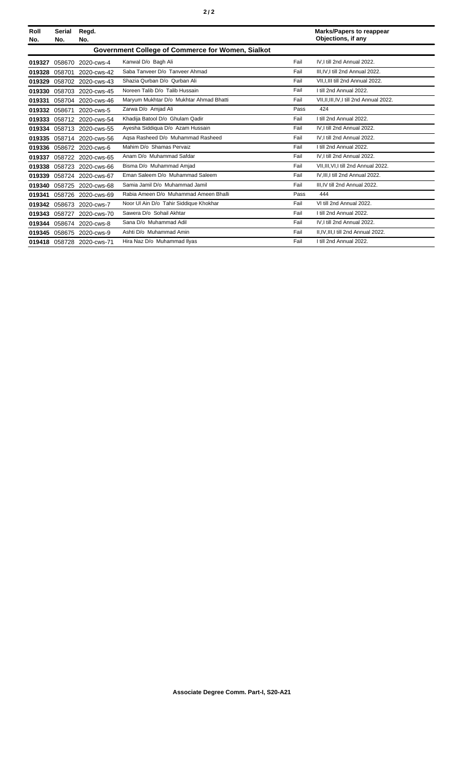| Roll<br>No. | <b>Serial</b><br>No.                              | Regd.<br>No.              |                                         |      | <b>Marks/Papers to reappear</b><br>Objections, if any |  |  |
|-------------|---------------------------------------------------|---------------------------|-----------------------------------------|------|-------------------------------------------------------|--|--|
|             | Government College of Commerce for Women, Sialkot |                           |                                         |      |                                                       |  |  |
| 019327      | 058670                                            | 2020-cws-4                | Kanwal D/o Bagh Ali                     | Fail | IV.I till 2nd Annual 2022.                            |  |  |
| 019328      | 058701                                            | 2020-cws-42               | Saba Tanveer D/o Tanveer Ahmad          | Fail | III.IV.I till 2nd Annual 2022.                        |  |  |
| 019329      | 058702                                            | 2020-cws-43               | Shazia Qurban D/o Qurban Ali            | Fail | VII, I, III till 2nd Annual 2022.                     |  |  |
| 019330      |                                                   | 058703 2020-cws-45        | Noreen Talib D/o Talib Hussain          | Fail | I till 2nd Annual 2022.                               |  |  |
| 019331      |                                                   | 058704 2020-cws-46        | Maryum Mukhtar D/o Mukhtar Ahmad Bhatti | Fail | VII, II, III, IV, I till 2nd Annual 2022.             |  |  |
| 019332      | 058671                                            | 2020-cws-5                | Zarwa D/o Amjad Ali                     | Pass | 424                                                   |  |  |
| 019333      |                                                   | 058712 2020-cws-54        | Khadija Batool D/o Ghulam Qadir         | Fail | I till 2nd Annual 2022.                               |  |  |
|             |                                                   | 019334 058713 2020-cws-55 | Ayesha Siddiqua D/o Azam Hussain        | Fail | IV.I till 2nd Annual 2022.                            |  |  |
| 019335      |                                                   | 058714 2020-cws-56        | Agsa Rasheed D/o Muhammad Rasheed       | Fail | IV.I till 2nd Annual 2022.                            |  |  |
|             |                                                   | 019336 058672 2020-cws-6  | Mahim D/o Shamas Pervaiz                | Fail | I till 2nd Annual 2022.                               |  |  |
| 019337      |                                                   | 058722 2020-cws-65        | Anam D/o Muhammad Safdar                | Fail | IV.I till 2nd Annual 2022.                            |  |  |
| 019338      |                                                   | 058723 2020-cws-66        | Bisma D/o Muhammad Amjad                | Fail | VII, III, VI, I till 2nd Annual 2022.                 |  |  |
|             |                                                   | 019339 058724 2020-cws-67 | Eman Saleem D/o Muhammad Saleem         | Fail | IV.III.I till 2nd Annual 2022.                        |  |  |
| 019340      |                                                   | 058725 2020-cws-68        | Samia Jamil D/o Muhammad Jamil          | Fail | III.IV till 2nd Annual 2022.                          |  |  |
| 019341      | 058726                                            | 2020-cws-69               | Rabia Ameen D/o Muhammad Ameen Bhalli   | Pass | 444                                                   |  |  |
| 019342      |                                                   | 058673 2020-cws-7         | Noor Ul Ain D/o Tahir Siddique Khokhar  | Fail | VI till 2nd Annual 2022.                              |  |  |
| 019343      |                                                   | 058727 2020-cws-70        | Sawera D/o Sohail Akhtar                | Fail | I till 2nd Annual 2022.                               |  |  |
|             |                                                   | 019344 058674 2020-cws-8  | Sana D/o Muhammad Adil                  | Fail | IV, I till 2nd Annual 2022.                           |  |  |
| 019345      | 058675                                            | 2020-cws-9                | Ashti D/o Muhammad Amin                 | Fail | II, IV, III, I till 2nd Annual 2022.                  |  |  |
|             |                                                   | 019418 058728 2020-cws-71 | Hira Naz D/o Muhammad Ilyas             | Fail | I till 2nd Annual 2022.                               |  |  |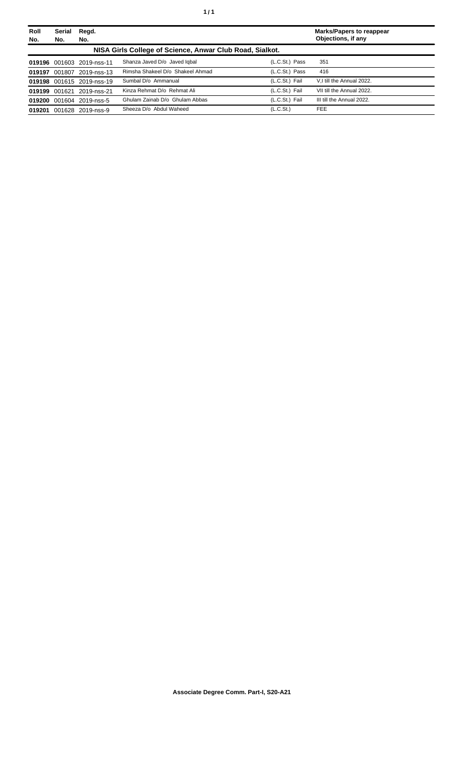| Roll<br>No. | <b>Serial</b><br>No.                                     | Regd.<br>No.              |                                  |                       | <b>Marks/Papers to reappear</b><br>Objections, if any |  |
|-------------|----------------------------------------------------------|---------------------------|----------------------------------|-----------------------|-------------------------------------------------------|--|
|             | NISA Girls College of Science, Anwar Club Road, Sialkot. |                           |                                  |                       |                                                       |  |
|             |                                                          | 019196 001603 2019-nss-11 | Shanza Javed D/o Javed Igbal     | (L.C.St.) Pass        | 351                                                   |  |
|             | 019197 001807                                            | 2019-nss-13               | Rimsha Shakeel D/o Shakeel Ahmad | (L.C.St.) Pass        | 416                                                   |  |
|             |                                                          | 019198 001615 2019-nss-19 | Sumbal D/o Ammanual              | (L.C.St.) Fail        | V.I till the Annual 2022.                             |  |
|             |                                                          | 019199 001621 2019-nss-21 | Kinza Rehmat D/o Rehmat Ali      | (L.C.St.) Fail        | VII till the Annual 2022.                             |  |
|             |                                                          | 019200 001604 2019-nss-5  | Ghulam Zainab D/o Ghulam Abbas   | (L.C.St.) Fail        | III till the Annual 2022.                             |  |
| 019201      |                                                          | 001628 2019-nss-9         | Sheeza D/o Abdul Waheed          | (L.C.S <sub>t</sub> ) | <b>FEE</b>                                            |  |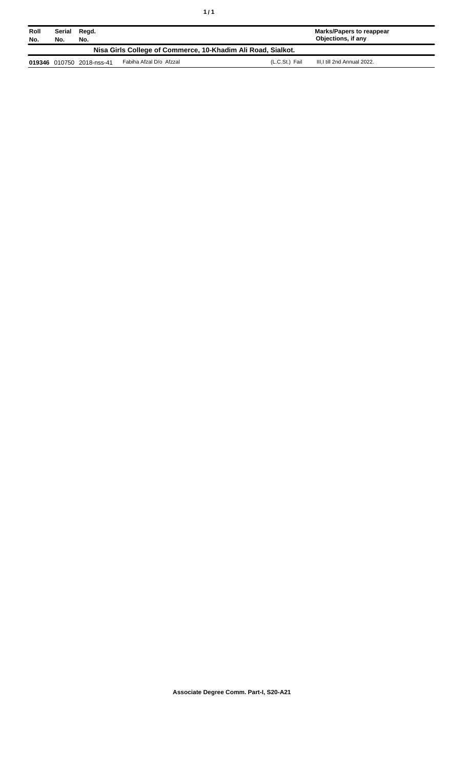| Roll<br>No.                                                  | Serial<br>No. | Regd.<br>No.              |                         |                | Marks/Papers to reappear<br>Objections, if any |  |
|--------------------------------------------------------------|---------------|---------------------------|-------------------------|----------------|------------------------------------------------|--|
| Nisa Girls College of Commerce, 10-Khadim Ali Road, Sialkot. |               |                           |                         |                |                                                |  |
|                                                              |               | 019346 010750 2018-nss-41 | Fabiha Afzal D/o Afzzal | (L.C.St.) Fail | III,I till 2nd Annual 2022.                    |  |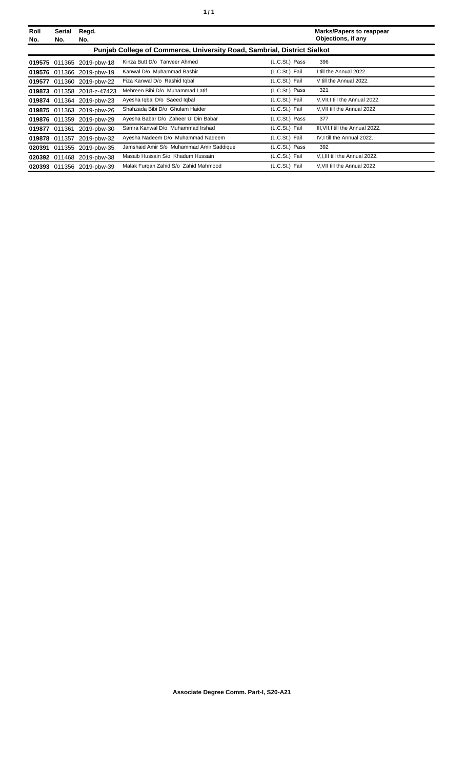| ٠ |  | ٠ |
|---|--|---|
|---|--|---|

| Roll<br>No. | Serial<br>No.                                                                  | Regd.<br>No.               |                                          |                | <b>Marks/Papers to reappear</b><br>Objections, if any |  |  |
|-------------|--------------------------------------------------------------------------------|----------------------------|------------------------------------------|----------------|-------------------------------------------------------|--|--|
|             | <b>Punjab College of Commerce, University Road, Sambrial, District Sialkot</b> |                            |                                          |                |                                                       |  |  |
|             |                                                                                | 019575 011365 2019-pbw-18  | Kinza Butt D/o Tanveer Ahmed             | (L.C.St.) Pass | 396                                                   |  |  |
|             |                                                                                | 019576 011366 2019-pbw-19  | Kanwal D/o Muhammad Bashir               | (L.C.St.) Fail | I till the Annual 2022.                               |  |  |
| 019577      |                                                                                | 011360 2019-pbw-22         | Fiza Kanwal D/o Rashid Igbal             | (L.C.St.) Fail | V till the Annual 2022.                               |  |  |
|             |                                                                                | 019873 011358 2018-z-47423 | Mehreen Bibi D/o Muhammad Latif          | (L.C.St.) Pass | 321                                                   |  |  |
|             | 019874 011364                                                                  | 2019-pbw-23                | Ayesha Iqbal D/o Saeed Iqbal             | (L.C.St.) Fail | V, VII, I till the Annual 2022.                       |  |  |
|             |                                                                                | 019875 011363 2019-pbw-26  | Shahzada Bibi D/o Ghulam Haider          | (L.C.St.) Fail | V, VII till the Annual 2022.                          |  |  |
|             |                                                                                | 019876 011359 2019-pbw-29  | Ayesha Babar D/o Zaheer Ul Din Babar     | (L.C.St.) Pass | 377                                                   |  |  |
|             | 019877 011361                                                                  | 2019-pbw-30                | Samra Kanwal D/o Muhammad Irshad         | (L.C.St.) Fail | III, VII, I till the Annual 2022.                     |  |  |
| 019878      | 011357                                                                         | 2019-pbw-32                | Ayesha Nadeem D/o Muhammad Nadeem        | (L.C.St.) Fail | IV, I till the Annual 2022.                           |  |  |
|             |                                                                                | 020391 011355 2019-pbw-35  | Jamshaid Amir S/o Muhammad Amir Saddique | (L.C.St.) Pass | 392                                                   |  |  |
|             |                                                                                | 020392 011468 2019-pbw-38  | Masaib Hussain S/o Khadum Hussain        | (L.C.St.) Fail | V, I, III till the Annual 2022.                       |  |  |
|             |                                                                                | 020393 011356 2019-pbw-39  | Malak Furgan Zahid S/o Zahid Mahmood     | (L.C.St.) Fail | V, VII till the Annual 2022.                          |  |  |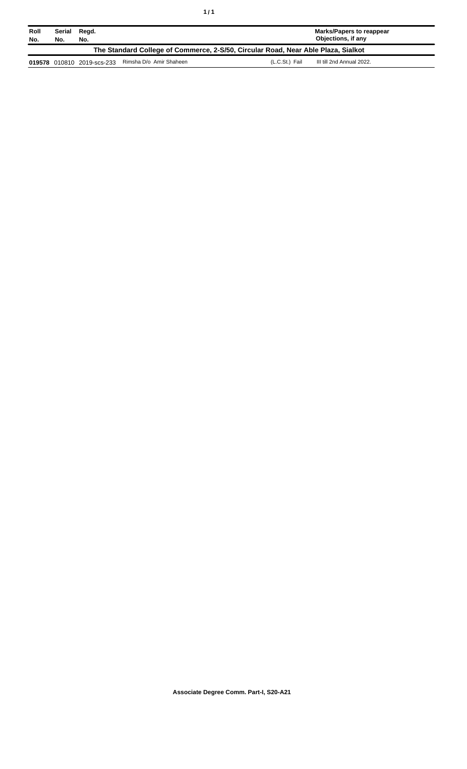| Roll<br>No.                                                                       | Regd.<br>Serial<br>No.<br>No. |                            |                         | Marks/Papers to reappear<br>Objections, if any |                           |  |
|-----------------------------------------------------------------------------------|-------------------------------|----------------------------|-------------------------|------------------------------------------------|---------------------------|--|
| The Standard College of Commerce, 2-S/50, Circular Road, Near Able Plaza, Sialkot |                               |                            |                         |                                                |                           |  |
|                                                                                   |                               | 019578 010810 2019-scs-233 | Rimsha D/o Amir Shaheen | (L.C.St.) Fail                                 | III till 2nd Annual 2022. |  |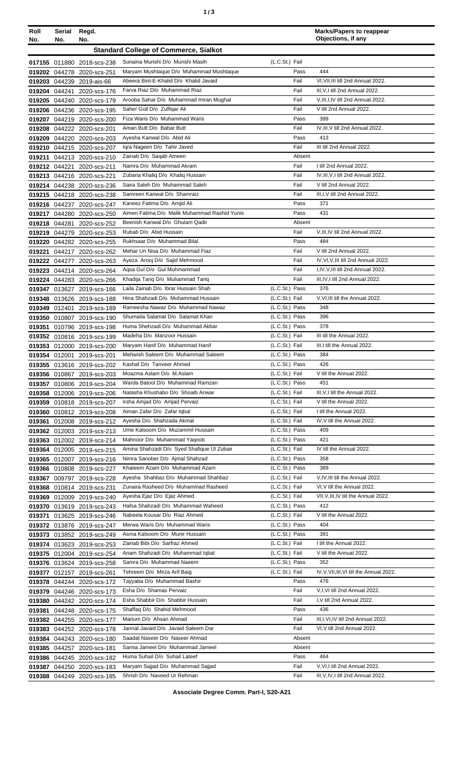| Roll<br>No. | Serial<br>No. | Regd.<br>No.                                             |                                                                        |                                  | <b>Marks/Papers to reappear</b><br>Objections, if any |
|-------------|---------------|----------------------------------------------------------|------------------------------------------------------------------------|----------------------------------|-------------------------------------------------------|
|             |               |                                                          | <b>Standard College of Commerce, Sialkot</b>                           |                                  |                                                       |
|             |               | 017155 011880 2018-scs-238                               | Sunaina Munshi D/o Munshi Masih                                        | (L.C.St.) Fail                   |                                                       |
|             |               | 019202 044278 2020-scs-251                               | Maryam Mushtaque D/o Muhammad Mushtaque                                | Pass                             | 444                                                   |
|             |               | 019203 044239 2019-ais-66                                | Abeera Bint-E-Khalid D/o Khalid Javaid                                 | Fail                             | VI, VII, III till 2nd Annual 2022.                    |
|             |               | 019204 044241 2020-scs-176                               | Farva Riaz D/o Muhammad Riaz                                           | Fail                             | III, V, I till 2nd Annual 2022.                       |
|             |               | 019205 044240 2020-scs-179                               | Arooba Sahar D/o Muhammad Imran Mughal                                 | Fail                             | V, III, I, IV till 2nd Annual 2022.                   |
|             |               | 019206 044236 2020-scs-195                               | Saher Gull D/o Zulfiqar Ali                                            | Fail                             | V till 2nd Annual 2022.                               |
|             |               | 019207 044219 2020-scs-200                               | Fiza Waris D/o Muhammad Waris                                          | Pass                             | 399                                                   |
|             |               | 019208 044222 2020-scs-201                               | Aman Butt D/o Babar Butt                                               | Fail                             | IV, III, V till 2nd Annual 2022.                      |
|             |               | 019209 044220 2020-scs-203                               | Ayesha Kanwal D/o Abid Ali<br>Iqra Nageen D/o Tahir Javed              | Pass<br>Fail                     | 413<br>III till 2nd Annual 2022.                      |
|             |               | 019210 044215 2020-scs-207<br>019211 044213 2020-scs-210 | Zainab D/o Saqab Ameen                                                 | Absent                           |                                                       |
|             | 019212 044221 | 2020-scs-211                                             | Namra D/o Muhammad Akram                                               | Fail                             | I till 2nd Annual 2022.                               |
|             |               | 019213 044216 2020-scs-221                               | Zubaria Khaliq D/o Khaliq Hussain                                      | Fail                             | IV, III, V, I till 2nd Annual 2022.                   |
|             |               | 019214 044238 2020-scs-236                               | Saira Saleh D/o Muhammad Saleh                                         | Fail                             | V till 2nd Annual 2022.                               |
|             |               | 019215 044218 2020-scs-238                               | Samreen Kanwal D/o Shamraiz                                            | Fail                             | III, I, V till 2nd Annual 2022.                       |
|             |               | 019216 044237 2020-scs-247                               | Kaneez Fatima D/o Amjid Ali                                            | Pass                             | 371                                                   |
|             |               | 019217 044280 2020-scs-250                               | Aimen Fatima D/o Malik Muhammad Rashid Yunis                           | Pass                             | 431                                                   |
|             |               | 019218 044281 2020-scs-252                               | Beenish Kanwal D/o Ghulam Qadir                                        | Absent                           |                                                       |
|             |               | 019219 044279 2020-scs-253                               | Rubab D/o Abid Hussain                                                 | Fail                             | V, III, IV till 2nd Annual 2022.                      |
|             |               | 019220 044282 2020-scs-255                               | Rukhsaar D/o Muhammad Bilal                                            | Pass                             | 484                                                   |
|             |               | 019221 044217 2020-scs-262                               | Mehar Un Nisa D/o Muhammad Fiaz                                        | Fail                             | V till 2nd Annual 2022.                               |
|             |               | 019222 044277 2020-scs-263                               | Ayeza Arooj D/o Sajid Mehmood                                          | Fail                             | IV, VI, V, III till 2nd Annual 2022.                  |
|             |               | 019223 044214 2020-scs-264                               | Agsa Gul D/o Gul Muhmammad                                             | Fail                             | I, IV, V, III till 2nd Annual 2022.                   |
|             |               | 019224 044283 2020-scs-266                               | Khadija Tariq D/o Muhammad Tariq                                       | Fail                             | III, IV, I till 2nd Annual 2022.                      |
|             |               | 019347 013627 2019-scs-166                               | Laila Zainab D/o Ibrar Hussain Shah                                    | (L.C.St.) Pass                   | 376                                                   |
|             |               | 019348 013626 2019-scs-188                               | Hina Shahzadi D/o Muhammad Hussain                                     | (L.C.St.) Fail                   | V, VI, III till the Annual 2022.                      |
|             |               | 019349 012401 2019-scs-189                               | Rameesha Nawaz D/o Muhammad Nawaz<br>Shumaila Salamat D/o Salamat Khan | (L.C.St.) Pass                   | 348<br>396                                            |
|             |               | 019350 010807 2019-scs-190                               | Huma Shehzadi D/o Muhammad Akbar                                       | (L.C.St.) Pass<br>(L.C.St.) Pass | 378                                                   |
|             |               | 019351 010796 2019-scs-198<br>019352 010816 2019-scs-199 | Madeha D/o Manzoor Hussain                                             | (L.C.St.) Fail                   | III till the Annual 2022.                             |
|             |               | 019353 012000 2019-scs-200                               | Maryam Hanif D/o Muhammad Hanif                                        | (L.C.St.) Fail                   | III, I till the Annual 2022.                          |
|             |               | 019354 012001 2019-scs-201                               | Mehwish Saleem D/o Muhammad Saleem                                     | (L.C.St.) Pass                   | 384                                                   |
|             |               | 019355 013616 2019-scs-202                               | Kashaf D/o Tanveer Ahmed                                               | (L.C.St.) Pass                   | 426                                                   |
|             |               | 019356 010867 2019-scs-203                               | Moazma Aslam D/o M.Aslam                                               | (L.C.St.) Fail                   | V till the Annual 2022.                               |
|             |               | 019357 010806 2019-scs-204                               | Warda Batool D/o Muhammad Ramzan                                       | (L.C.St.) Pass                   | 451                                                   |
|             |               | 019358 012006 2019-scs-206                               | Natasha Khushabo D/o Shoaib Anwar                                      | (L.C.St.) Fail                   | III, V, I till the Annual 2022.                       |
|             |               | 019359 010818 2019-scs-207                               | Irsha Amjad D/o Amjad Pervaiz                                          | (L.C.St.) Fail                   | V till the Annual 2022.                               |
|             |               | 019360 010812 2019-scs-208                               | Aiman Zafar D/o Zafar Iqbal                                            | (L.C.St.) Fail                   | I till the Annual 2022.                               |
|             |               | 019361 012008 2019-scs-212                               | Ayesha D/o Shahzada Akmal                                              | (L.C.St.) Fail                   | IV, V till the Annual 2022.                           |
|             |               | 019362 012003 2019-scs-213                               | Ume Kalsoom D/o Muzammil Hussain                                       | (L.C.St.) Pass                   | 409                                                   |
|             |               | 019363 012002 2019-scs-214                               | Mahnoor D/o Muhammad Yaqoob                                            | (L.C.St.) Pass                   | 421                                                   |
|             |               | 019364 012005 2019-scs-215                               | Amina Shahzadi D/o Syed Shafique UI Zubair                             | (L.C.St.) Fail                   | IV till the Annual 2022.                              |
|             |               | 019365 012007 2019-scs-216                               | Nimra Sanober D/o Ajmal Shahzad<br>Khateem Azam D/o Muhammad Azam      | (L.C.St.) Pass<br>(L.C.St.) Pass | 358<br>389                                            |
|             |               | 019366 010808 2019-scs-227<br>019367 009797 2019-scs-228 | Ayesha Shahbaz D/o Muhammad Shahbaz                                    | (L.C.St.) Fail                   | V, IV, III till the Annual 2022.                      |
|             |               | 019368 010814 2019-scs-231                               | Zunaira Rasheed D/o Muhammad Rasheed                                   | $(L.C.St.)$ Fail                 | VI, V till the Annual 2022.                           |
|             |               | 019369 012009 2019-scs-240                               | Ayesha Ejaz D/o Ejaz Ahmed                                             | (L.C.St.) Fail                   | VII, V, III, IV till the Annual 2022.                 |
|             |               | 019370 013619 2019-scs-243                               | Hafsa Shahzadi D/o Muhammad Waheed                                     | (L.C.St.) Pass                   | 412                                                   |
|             |               | 019371 013625 2019-scs-246                               | Nabeela Kousar D/o Riaz Ahmed                                          | (L.C.St.) Fail                   | V till the Annual 2022.                               |
|             |               | 019372 013876 2019-scs-247                               | Merwa Waris D/o Muhammad Waris                                         | (L.C.St.) Pass                   | 404                                                   |
|             |               | 019373 013852 2019-scs-249                               | Asma Kalsoom D/o Munir Hussain                                         | (L.C.St.) Pass                   | 391                                                   |
|             |               | 019374 013623 2019-scs-253                               | Zainab Bibi D/o Sarfraz Ahmed                                          | (L.C.St.) Fail                   | I till the Annual 2022.                               |
|             |               | 019375 012004 2019-scs-254                               | Anam Shahzadi D/o Muhammad Iqbal                                       | (L.C.St.) Fail                   | V till the Annual 2022.                               |
|             |               | 019376 013624 2019-scs-258                               | Samra D/o Muhammad Naeem                                               | (L.C.St.) Pass                   | 352                                                   |
|             |               | 019377 012157 2019-scs-261                               | Tehreem D/o Mirza Arif Baig                                            | (L.C.St.) Fail                   | IV, V, VII, III, VI till the Annual 2022.             |
|             |               | 019378 044244 2020-scs-172                               | Tayyaba D/o Muhammad Bashir                                            | Pass                             | 476                                                   |
|             |               | 019379 044246 2020-scs-173                               | Esha D/o Shamas Pervaiz                                                | Fail                             | V,I, VI till 2nd Annual 2022.                         |
|             |               | 019380 044242 2020-scs-174                               | Esha Shabbir D/o Shabbir Hussain                                       | Fail                             | I, V till 2nd Annual 2022.                            |
|             |               | 019381 044248 2020-scs-175                               | Shaffaq D/o Shahid Mehmood                                             | Pass                             | 436                                                   |
|             |               | 019382 044255 2020-scs-177                               | Marium D/o Ahsan Ahmad                                                 | Fail                             | III, I, VI, IV till 2nd Annual 2022.                  |
|             |               | 019383 044252 2020-scs-178                               | Jannat Javaid D/o Javaid Saleem Dar<br>Saadat Naseer D/o Naseer Ahmad  | Fail<br>Absent                   | VI, V till 2nd Annual 2022.                           |
|             |               | 019384 044243 2020-scs-180<br>019385 044257 2020-scs-181 | Samia Jameel D/o Muhammad Jameel                                       | Absent                           |                                                       |
|             |               | 019386 044245 2020-scs-182                               | Huma Suhail D/o Suhail Lateef                                          | Pass                             | 464                                                   |
|             |               |                                                          |                                                                        |                                  |                                                       |

**Associate Degree Comm. Part-I, S20-A21**

Fail Fail V,VI,I till 2nd Annual 2022. III,V,IV,I till 2nd Annual 2022.

**019386**

**019387** 044250 2020-scs-183

044245

**019388** 044249 2020-scs-185 Shrish D/o Naveed Ur Rehman

2020-scs-182 Huma Suhail D/o Suhail Lateef

Maryam Sajjad D/o Muhammad Sajjad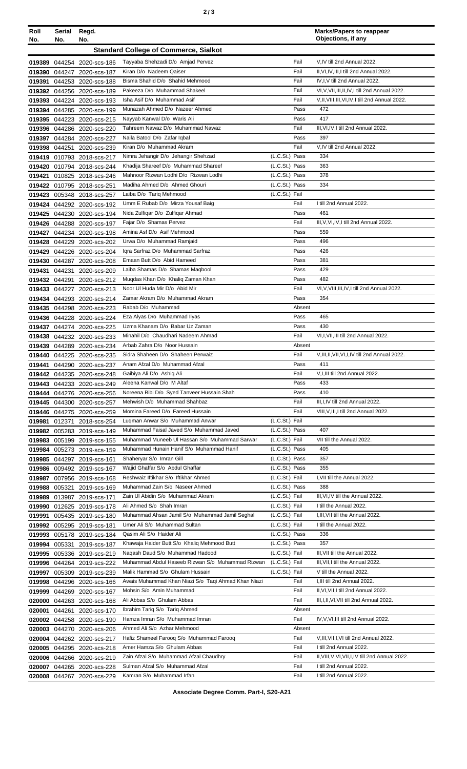| I<br>٦<br>×<br>۰. |  |  | × |
|-------------------|--|--|---|
|-------------------|--|--|---|

| Roll<br>No.      | Serial<br>No. | Regd.<br>No.                                             |                                                                                     |                                  | <b>Marks/Papers to reappear</b><br>Objections, if any        |
|------------------|---------------|----------------------------------------------------------|-------------------------------------------------------------------------------------|----------------------------------|--------------------------------------------------------------|
|                  |               |                                                          | <b>Standard College of Commerce, Sialkot</b>                                        |                                  |                                                              |
|                  |               | 019389 044254 2020-scs-186                               | Tayyaba Shehzadi D/o Amjad Pervez                                                   | Fail                             | V,IV till 2nd Annual 2022.                                   |
| 019390           |               | 044247 2020-scs-187                                      | Kiran D/o Nadeem Qaiser                                                             | Fail                             | II, VI, IV, III, I till 2nd Annual 2022.                     |
| 019391           |               | 044253 2020-scs-188                                      | Bisma Shahid D/o Shahid Mehmood                                                     | Fail                             | IV,I,V till 2nd Annual 2022.                                 |
|                  |               | 019392 044256 2020-scs-189                               | Pakeeza D/o Muhammad Shakeel                                                        | Fail                             | VI, V, VII, III, II, IV, I till 2nd Annual 2022.             |
|                  |               | 019393 044224 2020-scs-193                               | Isha Asif D/o Muhammad Asif                                                         | Fail                             | V, II, VIII, III, VI, IV, I till 2nd Annual 2022.            |
|                  |               | 019394 044285 2020-scs-199                               | Munazah Ahmed D/o Nazeer Ahmed                                                      | Pass                             | 472                                                          |
|                  |               | 019395 044223 2020-scs-215                               | Nayyab Kanwal D/o Waris Ali                                                         | Pass                             | 417                                                          |
|                  |               | 019396 044286 2020-scs-220                               | Tahreem Nawaz D/o Muhammad Nawaz<br>Naila Batool D/o Zafar Iqbal                    | Fail<br>Pass                     | III, VI, IV, I till 2nd Annual 2022.<br>397                  |
| 019398 044251    |               | 019397 044284 2020-scs-227<br>2020-scs-239               | Kiran D/o Muhammad Akram                                                            | Fail                             | V,IV till 2nd Annual 2022.                                   |
|                  |               | 019419 010793 2018-scs-217                               | Nimra Jehangir D/o Jehangir Shehzad                                                 | (L.C.St.) Pass                   | 334                                                          |
|                  |               | 019420 010794 2018-Scs-244                               | Khadija Shareef D/o Muhammad Shareef                                                | (L.C.St.) Pass                   | 363                                                          |
|                  |               | 019421 010825 2018-scs-246                               | Mahnoor Rizwan Lodhi D/o Rizwan Lodhi                                               | (L.C.St.) Pass                   | 378                                                          |
|                  |               | 019422 010795 2018-scs-251                               | Madiha Ahmed D/o Ahmed Ghouri                                                       | (L.C.St.) Pass                   | 334                                                          |
|                  |               | 019423 005348 2018-scs-257                               | Laiba D/o Tariq Mehmood                                                             | (L.C.St.) Fail                   |                                                              |
|                  |               | 019424 044292 2020-scs-192                               | Umm E Rubab D/o Mirza Yousaf Baig                                                   | Fail                             | I till 2nd Annual 2022.                                      |
|                  |               | 019425 044230 2020-scs-194                               | Nida Zulfigar D/o Zulfigar Ahmad                                                    | Pass                             | 461                                                          |
| 019426           |               | 044288 2020-scs-197                                      | Fajar D/o Shamas Pervez                                                             | Fail                             | III, V, VI, IV, I till 2nd Annual 2022.                      |
|                  |               | 019427 044234 2020-scs-198                               | Amina Asf D/o Asif Mehmood                                                          | Pass<br>Pass                     | 559<br>496                                                   |
| 019428<br>019429 |               | 044229 2020-scs-202<br>044226 2020-scs-204               | Urwa D/o Muhammad Ramjaid<br>Igra Sarfraz D/o Muhammad Sarfraz                      | Pass                             | 426                                                          |
|                  |               | 019430 044287 2020-scs-208                               | Emaan Butt D/o Abid Hameed                                                          | Pass                             | 381                                                          |
| 019431           | 044231        | 2020-scs-209                                             | Laiba Shamas D/o Shamas Magbool                                                     | Pass                             | 429                                                          |
| 019432 044291    |               | 2020-scs-212                                             | Muqdas Khan D/o Khaliq Zaman Khan                                                   | Pass                             | 482                                                          |
|                  |               | 019433 044227 2020-scs-213                               | Noor UI Huda Mir D/o Abid Mir                                                       | Fail                             | VI, V, VIII, III, IV, I till 2nd Annual 2022.                |
|                  |               | 019434 044293 2020-scs-214                               | Zamar Akram D/o Muhammad Akram                                                      | Pass                             | 354                                                          |
|                  |               | 019435 044298 2020-scs-223                               | Rabab D/o Muhammad                                                                  | Absent                           |                                                              |
|                  |               | 019436 044228 2020-scs-224                               | Eza Alyas D/o Muhammad Ilyas                                                        | Pass                             | 465                                                          |
|                  |               | 019437 044274 2020-scs-225                               | Uzma Khanam D/o Babar Uz Zaman                                                      | Pass                             | 430                                                          |
|                  |               | 019438 044232 2020-scs-233                               | Minahil D/o Chaudhari Nadeem Ahmad                                                  | Fail                             | VI, I, VII, III till 2nd Annual 2022.                        |
|                  |               | 019439 044289 2020-scs-234                               | Arbab Zahra D/o Noor Hussain                                                        | Absent<br>Fail                   |                                                              |
|                  |               | 019440 044225 2020-scs-235<br>019441 044290 2020-scs-237 | Sidra Shaheen D/o Shaheen Perwaiz<br>Anam Afzal D/o Muhammad Afzal                  | Pass                             | V, III, II, VII, VI, I, IV till 2nd Annual 2022.<br>411      |
|                  |               | 019442 044235 2020-scs-248                               | Gaibiya Ali D/o Ashiq Ali                                                           | Fail                             | V, I, III till 2nd Annual 2022.                              |
|                  |               | 019443 044233 2020-scs-249                               | Aleena Kanwal D/o M Altaf                                                           | Pass                             | 433                                                          |
|                  |               | 019444 044276 2020-scs-256                               | Noreena Bibi D/o Syed Tanveer Hussain Shah                                          | Pass                             | 410                                                          |
|                  |               | 019445 044300 2020-scs-257                               | Mehwish D/o Muhammad Shahbaz                                                        | Fail                             | III, I, IV till 2nd Annual 2022.                             |
|                  |               | 019446 044275 2020-scs-259                               | Momina Fareed D/o Fareed Hussain                                                    | Fail                             | VIII, V, III, I till 2nd Annual 2022.                        |
|                  |               | 019981 012371 2018-scs-254                               | Lugman Anwar S/o Muhammad Anwar                                                     | (L.C.St.) Fail                   |                                                              |
|                  |               | 019982 005283 2019-scs-149                               | Muhammad Faisal Javed S/o Muhammad Javed                                            | (L.C.St.) Pass                   | 407                                                          |
|                  |               | 019983 005199 2019-scs-155                               | Muhammad Muneeb UI Hassan S/o Muhammad Sarwar                                       | (L.C.St.) Fail                   | VII till the Annual 2022.                                    |
|                  |               | 019984 005273 2019-scs-159                               | Muhammad Hunain Hanif S/o Muhammad Hanif<br>Shaheryar S/o Imran Gill                | (L.C.St.) Pass<br>(L.C.St.) Pass | 405<br>357                                                   |
|                  |               | 019985 044297 2019-scs-161<br>019986 009492 2019-scs-167 | Wajid Ghaffar S/o Abdul Ghaffar                                                     | (L.C.St.) Pass                   | 355                                                          |
|                  |               | 019987 007956 2019-scs-168                               | Reshwaiz Iftikhar S/o Iftikhar Ahmed                                                | (L.C.St.) Fail                   | I, VII till the Annual 2022.                                 |
|                  |               | 019988 005321 2019-scs-169                               | Muhammad Zain S/o Naseer Ahmed                                                      | (L.C.St.) Pass                   | 388                                                          |
|                  |               | 019989 013987 2019-scs-171                               | Zain Ul Abidin S/o Muhammad Akram                                                   | (L.C.St.) Fail                   | III, VI, IV till the Annual 2022.                            |
|                  |               | 019990 012625 2019-scs-178                               | Ali Ahmed S/o Shah Imran                                                            | (L.C.St.) Fail                   | I till the Annual 2022.                                      |
| 019991           |               | 005435 2019-scs-180                                      | Muhammad Ahsan Jamil S/o Muhammad Jamil Seghal                                      | (L.C.St.) Fail                   | I, III, VII till the Annual 2022.                            |
|                  |               | 019992 005295 2019-scs-181                               | Umer Ali S/o Muhammad Sultan                                                        | (L.C.St.) Fail                   | I till the Annual 2022.                                      |
|                  |               | 019993 005178 2019-scs-184                               | Qasim Ali S/o Haider Ali                                                            | (L.C.St.) Pass                   | 336                                                          |
|                  |               | 019994 005331 2019-scs-187                               | Khawaja Haider Butt S/o Khaliq Mehmood Butt                                         | (L.C.St.) Pass                   | 357                                                          |
|                  |               | 019995 005336 2019-scs-219                               | Nagash Daud S/o Muhammad Hadood<br>Muhammad Abdul Haseeb Rizwan S/o Muhammad Rizwan | (L.C.St.) Fail                   | III, VII till the Annual 2022.                               |
|                  |               | 019996 044264 2019-scs-222<br>019997 005309 2019-scs-239 | Malik Hammad S/o Ghulam Hussain                                                     | (L.C.St.) Fail<br>(L.C.St.) Fail | III, VII, I till the Annual 2022.<br>V till the Annual 2022. |
|                  |               | 019998 044296 2020-scs-166                               | Awais Muhammad Khan Niazi S/o Taqi Ahmad Khan Niazi                                 | Fail                             | I, III till 2nd Annual 2022.                                 |
|                  |               | 019999 044269 2020-scs-167                               | Mohsin S/o Amin Muhammad                                                            | Fail                             | II, VI, VII, I till 2nd Annual 2022.                         |
|                  |               | 020000 044263 2020-scs-168                               | Ali Abbas S/o Ghulam Abbas                                                          | Fail                             | III, I, II, VI, VII till 2nd Annual 2022.                    |
|                  | 020001 044261 | 2020-scs-170                                             | Ibrahim Tariq S/o Tariq Ahmed                                                       | Absent                           |                                                              |
|                  |               | 020002 044258 2020-scs-190                               | Hamza Imran S/o Muhammad Imran                                                      | Fail                             | IV, V, VI, III till 2nd Annual 2022.                         |
|                  |               | 020003 044270 2020-scs-206                               | Ahmed Ali S/o Azhar Mehmood                                                         | Absent                           |                                                              |
|                  |               | 020004 044262 2020-scs-217                               | Hafiz Shameel Faroog S/o Muhammad Faroog                                            | Fail                             | V, III, VII, I, VI till 2nd Annual 2022.                     |
|                  |               | 020005 044295 2020-scs-218                               | Amer Hamza S/o Ghulam Abbas                                                         | Fail                             | I till 2nd Annual 2022.                                      |
|                  |               | 020006 044266 2020-scs-219                               | Zain Afzal S/o Muhammad Afzal Chaudhry                                              | Fail                             | II, VIII, V, VI, VII, I, IV till 2nd Annual 2022.            |
|                  |               | 020007 044265 2020-scs-228                               | Sulman Afzal S/o Muhammad Afzal                                                     | Fail                             | I till 2nd Annual 2022.                                      |
|                  |               | 020008 044267 2020-scs-229                               | Kamran S/o Muhammad Irfan                                                           | Fail                             | I till 2nd Annual 2022.                                      |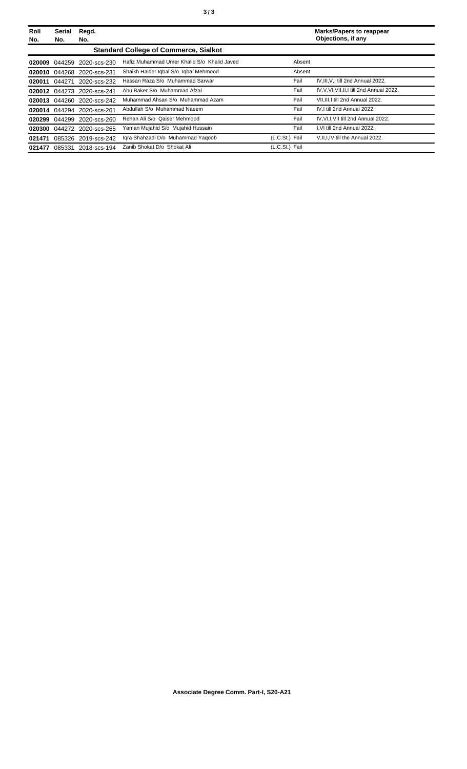| Roll<br>No. | Serial<br>No.                                | Regd.<br>No.               |                                             |                | <b>Marks/Papers to reappear</b><br>Objections, if any |
|-------------|----------------------------------------------|----------------------------|---------------------------------------------|----------------|-------------------------------------------------------|
|             | <b>Standard College of Commerce, Sialkot</b> |                            |                                             |                |                                                       |
| 020009      | 044259                                       | 2020-scs-230               | Hafiz Muhammad Umer Khalid S/o Khalid Javed | Absent         |                                                       |
| 020010      | 044268                                       | 2020-scs-231               | Shaikh Haider Iqbal S/o Iqbal Mehmood       | Absent         |                                                       |
| 020011      | 044271                                       | 2020-scs-232               | Hassan Raza S/o Muhammad Sarwar             | Fail           | IV, III, V, I till 2nd Annual 2022.                   |
| 020012      | 044273                                       | 2020-scs-241               | Abu Baker S/o Muhammad Afzal                | Fail           | IV, V, VI, VII, II, I till 2nd Annual 2022.           |
|             |                                              | 020013 044260 2020-scs-242 | Muhammad Ahsan S/o Muhammad Azam            | Fail           | VII, III, I till 2nd Annual 2022.                     |
|             |                                              | 020014 044294 2020-scs-261 | Abdullah S/o Muhammad Naeem                 | Fail           | IV.I till 2nd Annual 2022.                            |
| 020299      | 044299                                       | 2020-scs-260               | Rehan Ali S/o Qaiser Mehmood                | Fail           | IV, VI, I, VII till 2nd Annual 2022.                  |
| 020300      |                                              | 044272 2020-scs-265        | Yaman Mujahid S/o Mujahid Hussain           | Fail           | I.VI till 2nd Annual 2022.                            |
| 021471      | 085326                                       | 2019-scs-242               | Igra Shahzadi D/o Muhammad Yagoob           | (L.C.St.) Fail | V, II, I, IV till the Annual 2022.                    |
| 021477      | 085331                                       | 2018-scs-194               | Zanib Shokat D/o Shokat Ali                 | (L.C.St.) Fail |                                                       |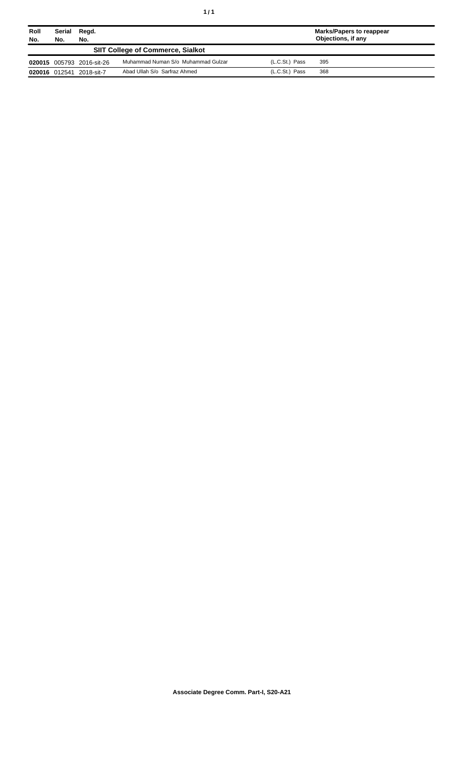| Roll<br>No. | Serial<br>Regd.<br>No.<br>No.            |                           | Marks/Papers to reappear<br>Objections, if any |                  |     |  |
|-------------|------------------------------------------|---------------------------|------------------------------------------------|------------------|-----|--|
|             | <b>SIIT College of Commerce, Sialkot</b> |                           |                                                |                  |     |  |
|             |                                          | 020015 005793 2016-sit-26 | Muhammad Numan S/o Muhammad Gulzar             | $(L.C.St.)$ Pass | 395 |  |
|             |                                          | 020016 012541 2018-sit-7  | Abad Ullah S/o Sarfraz Ahmed                   | $(L.C.St.)$ Pass | 368 |  |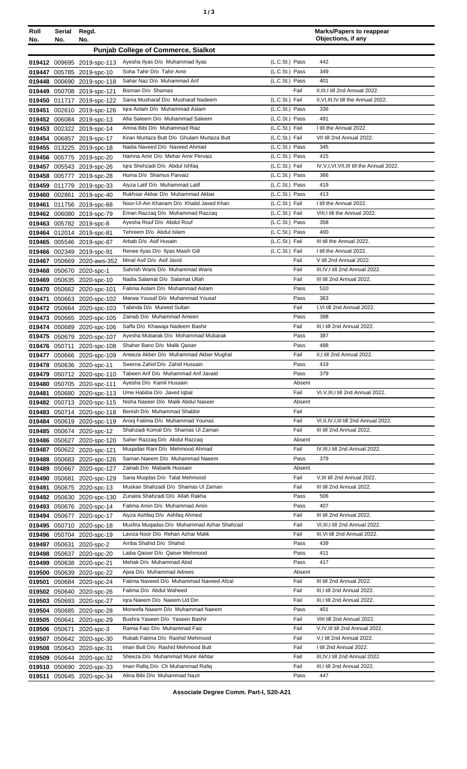| ٠ | ×<br>٦<br>٠<br>×<br>۰. |
|---|------------------------|
|   |                        |

| Roll<br>No. | Serial<br>No. | Regd.<br>No.                                             |                                                                             |                                  | <b>Marks/Papers to reappear</b><br>Objections, if any          |
|-------------|---------------|----------------------------------------------------------|-----------------------------------------------------------------------------|----------------------------------|----------------------------------------------------------------|
|             |               |                                                          | <b>Punjab College of Commerce, Sialkot</b>                                  |                                  |                                                                |
|             |               |                                                          | Ayesha Ilyas D/o Muhammad Ilyas                                             | (L.C.St.) Pass                   | 442                                                            |
|             |               | 019412 009695 2019-spc-113<br>019447 005785 2019-spc-10  | Soha Tahir D/o Tahir Amir                                                   | (L.C.St.) Pass                   | 349                                                            |
|             |               | 019448 000690 2019-spc-118                               | Sahar Naz D/o Muhammad Arif                                                 | (L.C.St.) Pass                   | 401                                                            |
|             |               | 019449 050708 2019-spc-121                               | Bisman D/o Shamas                                                           | Fail                             | II, III, I till 2nd Annual 2022.                               |
|             |               | 019450 011717 2019-spc-122                               | Sania Musharaf D/o Musharaf Nadeem                                          | (L.C.St.) Fail                   | II, VI, III, IV till the Annual 2022.                          |
|             |               | 019451 002610 2019-spc-126                               | Igra Aslam D/o Muhammad Aslam                                               | (L.C.St.) Pass                   | 336                                                            |
|             |               | 019452 006084 2019-spc-13                                | Afia Saleem D/o Muhammad Saleem                                             | (L.C.St.) Pass                   | 491                                                            |
|             |               | 019453 002322 2019-spc-14                                | Amna Bibi D/o Muhammad Riaz                                                 | (L.C.St.) Fail                   | I till the Annual 2022.                                        |
|             |               | 019454 006857 2019-spc-17                                | Kiran Murtaza Butt D/o Ghulam Murtaza Butt<br>Nadia Naveed D/o Naveed Ahmad | (L.C.St.) Fail<br>(L.C.St.) Pass | VII till 2nd Annual 2022.<br>345                               |
|             |               | 019455 013225 2019-spc-18<br>019456 005775 2019-spc-20   | Hamna Amir D/o Mehar Amir Pervaiz                                           | (L.C.St.) Pass                   | 415                                                            |
|             |               | 019457 005543 2019-spc-26                                | Igra Shehzadi D/o Abdul Ishfaq                                              | (L.C.St.) Fail                   | IV, V, I, VI, VII, III till the Annual 2022.                   |
|             |               | 019458 005777 2019-spc-28                                | Huma D/o Shamus Parvaiz                                                     | (L.C.St.) Pass                   | 366                                                            |
|             |               | 019459 011779 2019-spc-33                                | Aiyza Latif D/o Muhammad Latif                                              | (L.C.St.) Pass                   | 419                                                            |
|             |               | 019460 002861 2019-spc-40                                | Rukhsar Akbar D/o Muhammad Akbar                                            | (L.C.St.) Pass                   | 413                                                            |
| 019461      |               | 011756 2019-spc-68                                       | Noor-UI-Ain Khanam D/o Khalid Javed Khan                                    | (L.C.St.) Fail                   | I till the Annual 2022.                                        |
|             |               | 019462 006080 2019-spc-79                                | Eman Razzaq D/o Muhammad Razzaq                                             | (L.C.St.) Fail                   | VIII, I till the Annual 2022.                                  |
|             |               | 019463 005782 2019-spc-8                                 | Ayesha Rouf D/o Abdul Rouf                                                  | (L.C.St.) Pass                   | 358                                                            |
|             |               | 019464 012014 2019-spc-81                                | Tehreem D/o Abdul Islam                                                     | (L.C.St.) Pass                   | 400                                                            |
|             |               | 019465 005546 2019-spc-87                                | Arbab D/o Asif Husain<br>Renee Ilyas D/o Ilyas Masih Gill                   | (L.C.St.) Fail<br>(L.C.St.) Fail | III till the Annual 2022.<br>I till the Annual 2022.           |
|             |               | 019466 002349 2019-spc-91<br>019467 050669 2020-aws-352  | Minal Asif D/o Asif Javid                                                   | Fail                             | V till 2nd Annual 2022.                                        |
|             |               | 019468 050670 2020-spc-1                                 | Sahrish Waris D/o Muhammad Waris                                            | Fail                             | III, IV, I till 2nd Annual 2022.                               |
|             |               | 019469 050635 2020-spc-10                                | Nadia Salamat D/o Salamat Ullah                                             | Fail                             | III till 2nd Annual 2022.                                      |
|             |               | 019470 050662 2020-spc-101                               | Fatima Aslam D/o Muhammad Aslam                                             | Pass                             | 510                                                            |
| 019471      |               | 050663 2020-spc-102                                      | Marwa Yousaf D/o Muhammad Yousaf                                            | Pass                             | 363                                                            |
|             |               | 019472 050664 2020-spc-103                               | Tabinda D/o Mureed Sultan                                                   | Fail                             | I, VI till 2nd Annual 2022.                                    |
|             |               | 019473 050665 2020-spc-105                               | Zainab D/o Muhammad Ameen                                                   | Pass                             | 398                                                            |
|             |               | 019474 050689 2020-spc-106                               | Saffa D/o Khawaja Nadeem Bashir                                             | Fail                             | III, I till 2nd Annual 2022.                                   |
|             |               | 019475 050679 2020-spc-107                               | Ayesha Mubarak D/o Mohammad Mubarak                                         | Pass                             | 387                                                            |
|             |               | 019476 050711 2020-spc-108                               | Shaher Bano D/o Malik Qaiser<br>Aneeza Akber D/o Muhammad Akber Mughal      | Pass<br>Fail                     | 488<br>II,I till 2nd Annual 2022.                              |
|             |               | 019477 050666 2020-spc-109<br>019478 050636 2020-spc-11  | Swerna Zahid D/o Zahid Hussain                                              | Pass                             | 419                                                            |
|             |               | 019479 050712 2020-spc-110                               | Tabeen Arif D/o Muhammad Arif Javaid                                        | Pass                             | 379                                                            |
|             |               | 019480 050705 2020-spc-111                               | Ayesha D/o Kamil Hussain                                                    | Absent                           |                                                                |
|             |               | 019481 050680 2020-spc-113                               | Ume Habiba D/o Javed Iqbal                                                  | Fail                             | VI, V, III, I till 2nd Annual 2022.                            |
|             |               | 019482 050713 2020-spc-115                               | Nisha Naseer D/o Malik Abdul Naseer                                         | Absent                           |                                                                |
|             |               | 019483 050714 2020-spc-118                               | Benish D/o Muhammad Shabbir                                                 | Fail                             |                                                                |
|             |               | 019484 050619 2020-spc-119                               | Arooj Fatima D/o Muhammad Younas                                            | Fail                             | VI, II, IV, I, III till 2nd Annual 2022.                       |
|             |               | 019485 050674 2020-spc-12                                | Shahzadi Komal D/o Shamas Ul Zaman<br>Saher Razzag D/o Abdul Razzag         | Fail<br>Absent                   | III till 2nd Annual 2022.                                      |
|             |               | 019486 050627 2020-spc-120<br>019487 050622 2020-spc-121 | Muqadas Rani D/o Mehmood Ahmad                                              | Fail                             | IV, III, I till 2nd Annual 2022.                               |
|             |               | 019488 050683 2020-spc-126                               | Saman Naeem D/o Muhammad Naeem                                              | Pass                             | 379                                                            |
|             |               | 019489 050667 2020-spc-127                               | Zainab D/o Mabarik Hussain                                                  | Absent                           |                                                                |
|             |               | 019490 050681 2020-spc-129                               | Sana Mugdas D/o Talat Mehmood                                               | Fail                             | V, III till 2nd Annual 2022.                                   |
| 019491      |               | 050675 2020-spc-13                                       | Muskan Shahzadi D/o Shamas UI Zaman                                         | Fail                             | III till 2nd Annual 2022.                                      |
|             |               | 019492 050630 2020-spc-130                               | Zunaira Shahzadi D/o Allah Rakha                                            | Pass                             | 506                                                            |
|             |               | 019493 050676 2020-spc-14                                | Fatima Amin D/o Muhammad Amin                                               | Pass                             | 407                                                            |
|             |               | 019494 050677 2020-spc-17                                | Aiyza Ashfaq D/o Ashfaq Ahmed<br>Musfira Muqadas D/o Muhammad Azhar Shahzad | Fail<br>Fail                     | III till 2nd Annual 2022.<br>VI, III, I till 2nd Annual 2022.  |
|             |               | 019495 050710 2020-spc-18<br>019496 050704 2020-spc-19   | Laviza Noor D/o Rehan Azhar Malik                                           | Fail                             | III, VI till 2nd Annual 2022.                                  |
|             |               | 019497 050631 2020-spc-2                                 | Arriba Shahid D/o Shahid                                                    | Pass                             | 439                                                            |
|             |               | 019498 050637 2020-spc-20                                | Laiba Qaiser D/o Qaiser Mehmood                                             | Pass                             | 411                                                            |
|             |               | 019499 050638 2020-spc-21                                | Mehak D/o Muhammad Abid                                                     | Pass                             | 417                                                            |
|             |               | 019500 050639 2020-spc-22                                | Ajwa D/o Muhammad Adrees                                                    | Absent                           |                                                                |
|             |               | 019501 050684 2020-spc-24                                | Fatima Naveed D/o Muhammad Naveed Afzal                                     | Fail                             | III till 2nd Annual 2022.                                      |
|             |               | 019502 050640 2020-spc-26                                | Fatima D/o Abdul Waheed                                                     | Fail                             | III, I till 2nd Annual 2022.                                   |
|             |               | 019503 050693 2020-spc-27                                | Igra Naeem D/o Naeem Ud Din                                                 | Fail                             | III, I till 2nd Annual 2022.                                   |
|             |               | 019504 050685 2020-spc-28                                | Moneefa Naeem D/o Muhammad Naeem                                            | Pass                             | 401                                                            |
|             |               | 019505 050641 2020-spc-29                                | Bushra Yaseen D/o Yaseen Bashir<br>Ramia Faiz D/o Muhammad Faiz             | Fail<br>Fail                     | VIII till 2nd Annual 2022.<br>V, IV, III till 2nd Annual 2022. |
|             |               | 019506 050671 2020-spc-3<br>019507 050642 2020-spc-30    | Rubab Fatima D/o Rashid Mehmood                                             | Fail                             | V.I till 2nd Annual 2022.                                      |
|             |               | 019508 050643 2020-spc-31                                | Iman Butt D/o Rashid Mehmood Butt                                           | Fail                             | I till 2nd Annual 2022.                                        |
|             |               | 019509 050644 2020-spc-32                                | Sheeza D/o Muhammad Munir Akhtar                                            | Fail                             | III, IV, I till 2nd Annual 2022.                               |
|             |               | 019510 050690 2020-spc-33                                | Iman Rafiq D/o Ch Muhammad Rafiq                                            | Fail                             | III, I till 2nd Annual 2022.                                   |
|             |               | 019511 050645 2020-spc-34                                | Alina Bibi D/o Muhammad Nazir                                               | Pass                             | 447                                                            |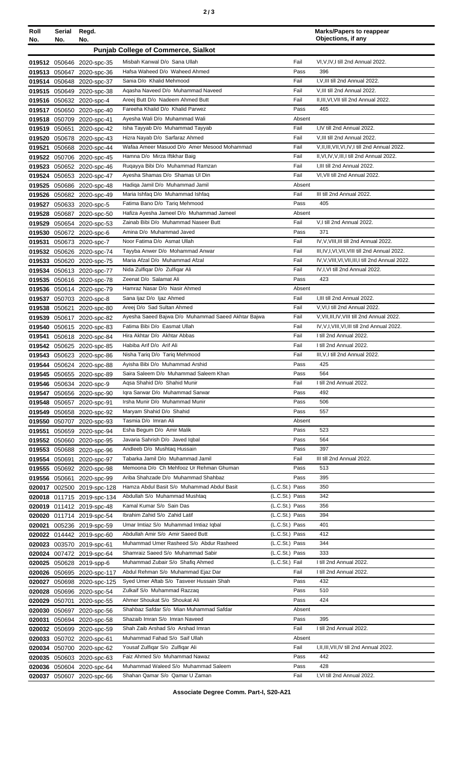| Roll<br>No. | Serial<br>No. | Regd.<br>No.                                           |                                                                           |                                  | <b>Marks/Papers to reappear</b><br>Objections, if any         |
|-------------|---------------|--------------------------------------------------------|---------------------------------------------------------------------------|----------------------------------|---------------------------------------------------------------|
|             |               |                                                        | <b>Punjab College of Commerce, Sialkot</b>                                |                                  |                                                               |
|             |               |                                                        |                                                                           |                                  |                                                               |
|             |               | 019512 050646 2020-spc-35                              | Misbah Kanwal D/o Sana Ullah<br>Hafsa Waheed D/o Waheed Ahmed             | Fail<br>Pass                     | VI, V, IV, I till 2nd Annual 2022.<br>396                     |
|             |               | 019513 050647 2020-spc-36<br>019514 050648 2020-spc-37 | Sania D/o Khalid Mehmood                                                  | Fail                             | I, V, III till 2nd Annual 2022.                               |
|             |               | 019515 050649 2020-spc-38                              | Agasha Naveed D/o Muhammad Naveed                                         | Fail                             | V, III till 2nd Annual 2022.                                  |
|             |               | 019516 050632 2020-spc-4                               | Areej Butt D/o Nadeem Ahmed Butt                                          | Fail                             | II, III, VI, VII till 2nd Annual 2022.                        |
|             |               | 019517 050650 2020-spc-40                              | Fareeha Khalid D/o Khalid Parwez                                          | Pass                             | 465                                                           |
|             |               | 019518 050709 2020-spc-41                              | Ayesha Wali D/o Muhammad Wali                                             | Absent                           |                                                               |
|             |               | 019519 050651 2020-spc-42                              | Isha Tayyab D/o Muhammad Tayyab                                           | Fail                             | I,IV till 2nd Annual 2022.                                    |
|             |               | 019520 050678 2020-spc-43                              | Hizra Nayab D/o Sarfaraz Ahmed                                            | Fail                             | V, III till 2nd Annual 2022.                                  |
|             |               | 019521 050668 2020-spc-44                              | Wafaa Ameer Masuod D/o Amer Mesood Mohammad                               | Fail                             | V, II, III, VII, VI, IV, I till 2nd Annual 2022.              |
|             |               | 019522 050706 2020-spc-45                              | Hamna D/o Mirza Iftikhar Baig                                             | Fail                             | II, VI, IV, V, III, I till 2nd Annual 2022.                   |
|             |               | 019523 050652 2020-spc-46                              | Rugayya Bibi D/o Muhammad Ramzan<br>Ayesha Shamas D/o Shamas Ul Din       | Fail<br>Fail                     | I, III till 2nd Annual 2022.<br>VI, VII till 2nd Annual 2022. |
|             |               | 019524 050653 2020-spc-47<br>019525 050686 2020-spc-48 | Hadiga Jamil D/o Muhammad Jamil                                           | Absent                           |                                                               |
|             |               | 019526 050682 2020-spc-49                              | Maria Ishfaq D/o Muhammad Ishfaq                                          | Fail                             | III till 2nd Annual 2022.                                     |
|             |               | 019527 050633 2020-spc-5                               | Fatima Bano D/o Tariq Mehmood                                             | Pass                             | 405                                                           |
|             |               | 019528 050687 2020-spc-50                              | Hafiza Ayesha Jameel D/o Muhammad Jameel                                  | Absent                           |                                                               |
|             |               | 019529 050654 2020-spc-53                              | Zainab Bibi D/o Muhammad Naseer Butt                                      | Fail                             | V,I till 2nd Annual 2022.                                     |
|             |               | 019530 050672 2020-spc-6                               | Amina D/o Muhammad Javed                                                  | Pass                             | 371                                                           |
|             |               | 019531 050673 2020-spc-7                               | Noor Fatima D/o Asmat Ullah                                               | Fail                             | IV, V, VIII, III till 2nd Annual 2022.                        |
|             |               | 019532 050626 2020-spc-74                              | Tayyba Anwer D/o Mohammad Anwar                                           | Fail                             | III, IV, I, VI, VII, VIII till 2nd Annual 2022.               |
|             |               | 019533 050620 2020-spc-75                              | Maria Afzal D/o Muhammad Afzal                                            | Fail                             | IV, V, VIII, VI, VII, III, I till 2nd Annual 2022.            |
|             |               | 019534 050613 2020-spc-77                              | Nida Zulfiqar D/o Zulfiqar Ali                                            | Fail                             | IV, I, VI till 2nd Annual 2022.                               |
|             |               | 019535 050616 2020-spc-78                              | Zeenat D/o Salamat Ali<br>Hamraz Nasar D/o Nasir Ahmed                    | Pass<br>Absent                   | 423                                                           |
|             |               | 019536 050614 2020-spc-79<br>019537 050703 2020-spc-8  | Sana Ijaz D/o Ijaz Ahmed                                                  | Fail                             | I, III till 2nd Annual 2022.                                  |
|             |               | 019538 050621 2020-spc-80                              | Areej D/o Sad Sultan Ahmed                                                | Fail                             | V, VI, I till 2nd Annual 2022.                                |
|             |               | 019539 050617 2020-spc-82                              | Ayesha Saeed Bajwa D/o Muhammad Saeed Akhtar Bajwa                        | Fail                             | V, VII, III, IV, VIII till 2nd Annual 2022.                   |
|             |               | 019540 050615 2020-spc-83                              | Fatima Bibi D/o Easmat Ullah                                              | Fail                             | IV, V, I, VIII, VI, III till 2nd Annual 2022.                 |
|             |               | 019541 050618 2020-spc-84                              | Hira Akhtar D/o Akhtar Abbas                                              | Fail                             | I till 2nd Annual 2022.                                       |
|             |               | 019542 050625 2020-spc-85                              | Habiba Arif D/o Arif Ali                                                  | Fail                             | I till 2nd Annual 2022.                                       |
|             |               | 019543 050623 2020-spc-86                              | Nisha Tariq D/o Tariq Mehmood                                             | Fail                             | III, V, I till 2nd Annual 2022.                               |
|             |               | 019544 050624 2020-spc-88                              | Ayisha Bibi D/o Muhammad Arshid                                           | Pass                             | 425                                                           |
|             |               | 019545 050655 2020-spc-89                              | Saira Saleem D/o Muhammad Saleem Khan                                     | Pass                             | 564                                                           |
|             |               | 019546 050634 2020-spc-9                               | Agsa Shahid D/o Shahid Munir                                              | Fail                             | I till 2nd Annual 2022.                                       |
|             |               | 019547 050656 2020-spc-90<br>019548 050657 2020-spc-91 | Igra Sarwar D/o Muhammad Sarwar<br>Irsha Munir D/o Muhammad Munir         | Pass<br>Pass                     | 492<br>506                                                    |
|             |               | 019549 050658 2020-spc-92                              | Maryam Shahid D/o Shahid                                                  | Pass                             | 557                                                           |
|             |               | 019550 050707 2020-spc-93                              | Tasmia D/o Imran Ali                                                      | Absent                           |                                                               |
|             |               | 019551 050659 2020-spc-94                              | Esha Begum D/o Amir Malik                                                 | Pass                             | 523                                                           |
|             |               | 019552 050660 2020-spc-95                              | Javaria Sahrish D/o Javed Iqbal                                           | Pass                             | 564                                                           |
|             |               | 019553 050688 2020-spc-96                              | Andleeb D/o Mushtaq Hussain                                               | Pass                             | 397                                                           |
|             |               | 019554 050691 2020-spc-97                              | Tabarka Jamil D/o Muhammad Jamil                                          | Fail                             | III till 2nd Annual 2022.                                     |
|             |               | 019555 050692 2020-spc-98                              | Memoona D/o Ch Mehfooz Ur Rehman Ghuman                                   | Pass                             | 513                                                           |
|             |               | 019556 050661 2020-spc-99                              | Ariba Shahzade D/o Muhammad Shahbaz                                       | Pass                             | 395                                                           |
|             |               | 020017 002500 2019-spc-128                             | Hamza Abdul Basit S/o Muhammad Abdul Basit                                | (L.C.St.) Pass                   | 350<br>342                                                    |
|             |               | 020018 011715 2019-spc-134                             | Abdullah S/o Muhammad Mushtaq<br>Kamal Kumar S/o Sain Das                 | (L.C.St.) Pass<br>(L.C.St.) Pass | 356                                                           |
|             |               | 020019 011412 2019-spc-48<br>020020 011714 2019-spc-54 | Ibrahim Zahid S/o Zahid Latif                                             | (L.C.St.) Pass                   | 394                                                           |
|             |               | 020021 005236 2019-spc-59                              | Umar Imtiaz S/o Muhammad Imtiaz Iqbal                                     | (L.C.St.) Pass                   | 401                                                           |
|             |               | 020022 014442 2019-spc-60                              | Abdullah Amir S/o Amir Saeed Butt                                         | (L.C.St.) Pass                   | 412                                                           |
|             |               | 020023 003570 2019-spc-61                              | Muhammad Umer Rasheed S/o Abdur Rasheed                                   | (L.C.St.) Pass                   | 344                                                           |
|             |               | 020024 007472 2019-spc-64                              | Shamraiz Saeed S/o Muhammad Sabir                                         | (L.C.St.) Pass                   | 333                                                           |
|             |               | 020025 050628 2019-spp-6                               | Muhammad Zubair S/o Shafiq Ahmed                                          | (L.C.St.) Fail                   | I till 2nd Annual 2022.                                       |
|             |               | 020026 050695 2020-spc-117                             | Abdul Rehman S/o Muhammad Ejaz Dar                                        | Fail                             | I till 2nd Annual 2022.                                       |
|             |               | 020027 050698 2020-spc-125                             | Syed Umer Aftab S/o Tasveer Hussain Shah                                  | Pass                             | 432                                                           |
|             |               | 020028 050696 2020-spc-54                              | Zulkaif S/o Muhammad Razzaq                                               | Pass                             | 510                                                           |
|             |               | 020029 050701 2020-spc-55                              | Ahmer Shoukat S/o Shoukat Ali                                             | Pass                             | 424                                                           |
|             |               | 020030 050697 2020-spc-56                              | Shahbaz Safdar S/o Mian Muhammad Safdar<br>Shazaib Imran S/o Imran Naveed | Absent<br>Pass                   | 395                                                           |
|             |               | 020031 050694 2020-spc-58<br>020032 050699 2020-spc-59 | Shah Zaib Arshad S/o Arshad Imran                                         | Fail                             | I till 2nd Annual 2022.                                       |
|             |               | 020033 050702 2020-spc-61                              | Muhammad Fahad S/o Saif Ullah                                             | Absent                           |                                                               |
|             |               | 020034 050700 2020-spc-62                              | Yousaf Zulfigar S/o Zulfigar Ali                                          | Fail                             | I, II, III, VII, IV till 2nd Annual 2022.                     |
|             |               | 020035 050603 2020-spc-63                              | Faiz Ahmed S/o Muhammad Nawaz                                             | Pass                             | 442                                                           |
|             |               | 020036 050604 2020-spc-64                              | Muhammad Waleed S/o Muhammad Saleem                                       | Pass                             | 428                                                           |
|             |               | 020037 050607 2020-spc-66                              | Shahan Qamar S/o Qamar U Zaman                                            | Fail                             | I, VI till 2nd Annual 2022.                                   |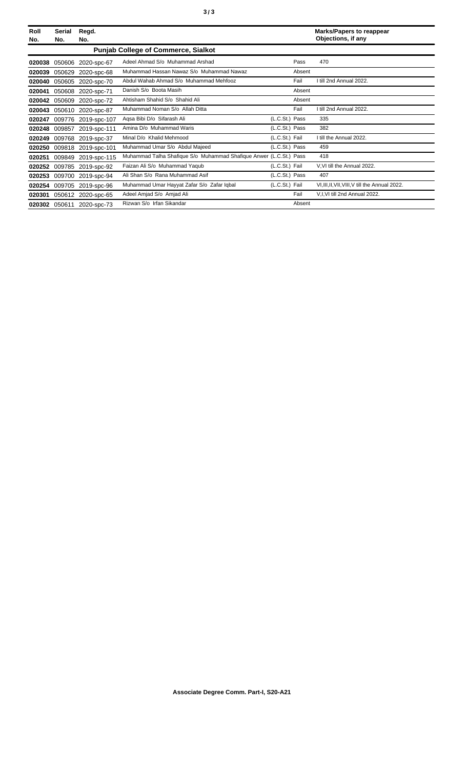| Roll<br>No. | Serial<br>No. | Regd.<br>No.              |                                                                    |                | <b>Marks/Papers to reappear</b><br>Objections, if any |
|-------------|---------------|---------------------------|--------------------------------------------------------------------|----------------|-------------------------------------------------------|
|             |               |                           | <b>Punjab College of Commerce, Sialkot</b>                         |                |                                                       |
| 020038      | 050606        | 2020-spc-67               | Adeel Ahmad S/o Muhammad Arshad                                    | Pass           | 470                                                   |
| 020039      | 050629        | 2020-spc-68               | Muhammad Hassan Nawaz S/o Muhammad Nawaz                           | Absent         |                                                       |
| 020040      | 050605        | 2020-spc-70               | Abdul Wahab Ahmad S/o Muhammad Mehfooz                             | Fail           | I till 2nd Annual 2022.                               |
| 020041      | 050608        | 2020-spc-71               | Danish S/o Boota Masih                                             | Absent         |                                                       |
| 020042      | 050609        | 2020-spc-72               | Ahtisham Shahid S/o Shahid Ali                                     | Absent         |                                                       |
| 020043      |               | 050610 2020-spc-87        | Muhammad Noman S/o Allah Ditta                                     | Fail           | I till 2nd Annual 2022.                               |
| 020247      | 009776        | 2019-spc-107              | Agsa Bibi D/o Sifarash Ali                                         | (L.C.St.) Pass | 335                                                   |
| 020248      | 009857        | 2019-spc-111              | Amina D/o Muhammad Waris                                           | (L.C.St.) Pass | 382                                                   |
| 020249      | 009768        | 2019-spc-37               | Minal D/o Khalid Mehmood                                           | (L.C.St.) Fail | I till the Annual 2022.                               |
| 020250      | 009818        | 2019-spc-101              | Muhammad Umar S/o Abdul Majeed                                     | (L.C.St.) Pass | 459                                                   |
| 020251      | 009849        | 2019-spc-115              | Muhammad Talha Shafique S/o Muhammad Shafique Anwer (L.C.St.) Pass |                | 418                                                   |
| 020252      | 009785        | 2019-spc-92               | Faizan Ali S/o Muhammad Yaqub                                      | (L.C.St.) Fail | V.VI till the Annual 2022.                            |
| 020253      | 009700        | 2019-spc-94               | Ali Shan S/o Rana Muhammad Asif                                    | (L.C.St.) Pass | 407                                                   |
| 020254      | 009705        | 2019-spc-96               | Muhammad Umar Hayyat Zafar S/o Zafar Iqbal                         | (L.C.St.) Fail | VI, III, II, VII, VIII, V till the Annual 2022.       |
| 020301      |               | 050612 2020-spc-65        | Adeel Amjad S/o Amjad Ali                                          | Fail           | V,I,VI till 2nd Annual 2022.                          |
|             |               | 020302 050611 2020-spc-73 | Rizwan S/o Irfan Sikandar                                          | Absent         |                                                       |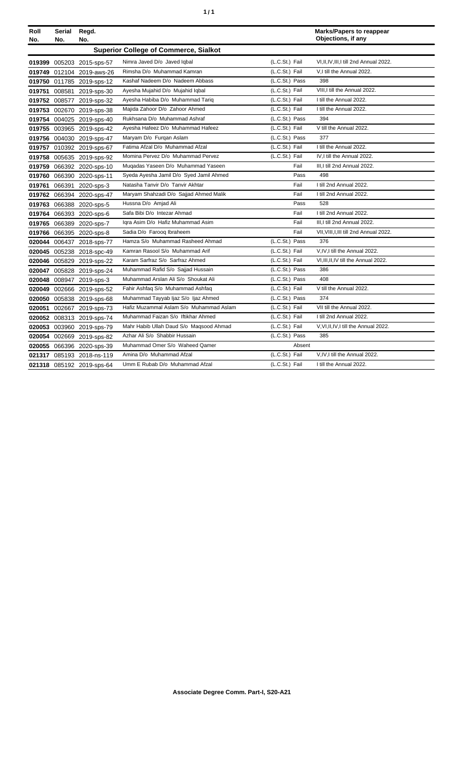| ٠ | ٠ |
|---|---|
|   |   |

| Roll<br>No. | Serial<br>No. | Regd.<br>No.              |                                              |                | <b>Marks/Papers to reappear</b><br>Objections, if any |
|-------------|---------------|---------------------------|----------------------------------------------|----------------|-------------------------------------------------------|
|             |               |                           | <b>Superior College of Commerce, Sialkot</b> |                |                                                       |
|             |               | 019399 005203 2015-sps-57 | Nimra Javed D/o Javed Iqbal                  | (L.C.St.) Fail | VI, II, IV, III, I till 2nd Annual 2022.              |
|             |               | 019749 012104 2019-aws-26 | Rimsha D/o Muhammad Kamran                   | (L.C.St.) Fail | V,I till the Annual 2022.                             |
|             |               | 019750 011785 2019-sps-12 | Kashaf Nadeem D/o Nadeem Abbass              | (L.C.St.) Pass | 398                                                   |
|             |               | 019751 008581 2019-sps-30 | Ayesha Mujahid D/o Mujahid Iqbal             | (L.C.St.) Fail | VIII, I till the Annual 2022.                         |
|             |               | 019752 008577 2019-sps-32 | Ayesha Habiba D/o Muhammad Tariq             | (L.C.St.) Fail | I till the Annual 2022.                               |
|             |               | 019753 002670 2019-sps-38 | Majida Zahoor D/o Zahoor Ahmed               | (L.C.St.) Fail | I till the Annual 2022.                               |
|             |               | 019754 004025 2019-sps-40 | Rukhsana D/o Muhammad Ashraf                 | (L.C.St.) Pass | 394                                                   |
|             |               | 019755 003965 2019-sps-42 | Ayesha Hafeez D/o Muhammad Hafeez            | (L.C.St.) Fail | V till the Annual 2022.                               |
|             |               | 019756 004030 2019-sps-47 | Maryam D/o Furgan Aslam                      | (L.C.St.) Pass | 377                                                   |
|             |               | 019757 010392 2019-sps-67 | Fatima Afzal D/o Muhammad Afzal              | (L.C.St.) Fail | I till the Annual 2022.                               |
|             |               | 019758 005635 2019-sps-92 | Momina Pervez D/o Muhammad Pervez            | (L.C.St.) Fail | IV.I till the Annual 2022.                            |
|             |               | 019759 066392 2020-sps-10 | Mugadas Yaseen D/o Muhammad Yaseen           | Fail           | III.I till 2nd Annual 2022.                           |
|             |               | 019760 066390 2020-sps-11 | Syeda Ayesha Jamil D/o Syed Jamil Ahmed      | Pass           | 498                                                   |
|             |               | 019761 066391 2020-sps-3  | Natasha Tanvir D/o Tanvir Akhtar             | Fail           | I till 2nd Annual 2022.                               |
|             |               | 019762 066394 2020-sps-47 | Maryam Shahzadi D/o Sajjad Ahmed Malik       | Fail           | I till 2nd Annual 2022.                               |
|             |               | 019763 066388 2020-sps-5  | Hussna D/o Amjad Ali                         | Pass           | 528                                                   |
|             |               | 019764 066393 2020-sps-6  | Safa Bibi D/o Intezar Ahmad                  | Fail           | I till 2nd Annual 2022.                               |
|             |               | 019765 066389 2020-sps-7  | Igra Asim D/o Hafiz Muhammad Asim            | Fail           | III.I till 2nd Annual 2022.                           |
|             |               | 019766 066395 2020-sps-8  | Sadia D/o Farooq Ibraheem                    | Fail           | VII, VIII, I, III till 2nd Annual 2022.               |
|             |               | 020044 006437 2018-sps-77 | Hamza S/o Muhammad Rasheed Ahmad             | (L.C.St.) Pass | 376                                                   |
|             |               | 020045 005238 2018-spc-49 | Kamran Rasool S/o Muhammad Arif              | (L.C.St.) Fail | V, IV, I till the Annual 2022.                        |
|             |               | 020046 005829 2019-sps-22 | Karam Sarfraz S/o Sarfraz Ahmed              | (L.C.St.) Fail | VI.III.II.IV till the Annual 2022.                    |
|             |               | 020047 005828 2019-sps-24 | Muhammad Rafid S/o Sajjad Hussain            | (L.C.St.) Pass | 386                                                   |
|             |               | 020048 008947 2019-sps-3  | Muhammad Arslan Ali S/o Shoukat Ali          | (L.C.St.) Pass | 408                                                   |
|             |               | 020049 002666 2019-sps-52 | Fahir Ashfaq S/o Muhammad Ashfaq             | (L.C.St.) Fail | V till the Annual 2022.                               |
|             |               | 020050 005838 2019-sps-68 | Muhammad Tayyab Ijaz S/o Ijaz Ahmed          | (L.C.St.) Pass | 374                                                   |
|             |               | 020051 002667 2019-sps-73 | Hafiz Muzammal Aslam S/o Muhammad Aslam      | (L.C.St.) Fail | VII till the Annual 2022.                             |
|             |               | 020052 008313 2019-sps-74 | Muhammad Faizan S/o Iftikhar Ahmed           | (L.C.St.) Fail | I till 2nd Annual 2022.                               |
|             |               | 020053 003960 2019-sps-79 | Mahr Habib Ullah Daud S/o Maqsood Ahmad      | (L.C.St.) Fail | V.VI.II, IV, I till the Annual 2022.                  |
|             |               | 020054 002669 2019-sps-82 | Azhar Ali S/o Shabbir Hussain                | (L.C.St.) Pass | 385                                                   |
|             |               | 020055 066396 2020-sps-39 | Muhammad Omer S/o Waheed Qamer               | Absent         |                                                       |
|             |               | 021317 085193 2018-ns-119 | Amina D/o Muhammad Afzal                     | (L.C.St.) Fail | V, IV, I till the Annual 2022.                        |
|             |               | 021318 085192 2019-sps-64 | Umm E Rubab D/o Muhammad Afzal               | (L.C.St.) Fail | I till the Annual 2022.                               |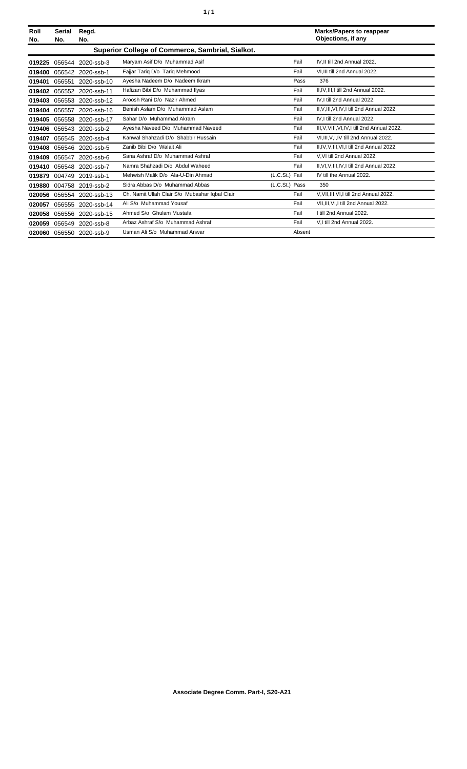| Roll<br>No. | Serial<br>No. | Regd.<br>No.             |                                                  |                | <b>Marks/Papers to reappear</b><br>Objections, if any |
|-------------|---------------|--------------------------|--------------------------------------------------|----------------|-------------------------------------------------------|
|             |               |                          | Superior College of Commerce, Sambrial, Sialkot. |                |                                                       |
| 019225      | 056544        | 2020-ssb-3               | Maryam Asif D/o Muhammad Asif                    | Fail           | IV.II till 2nd Annual 2022.                           |
| 019400      | 056542        | 2020-ssb-1               | Fajjar Tariq D/o Tariq Mehmood                   | Fail           | VI.III till 2nd Annual 2022.                          |
| 019401      | 056551        | 2020-ssb-10              | Ayesha Nadeem D/o Nadeem Ikram                   | Pass           | 376                                                   |
| 019402      | 056552        | 2020-ssb-11              | Hafizan Bibi D/o Muhammad Ilyas                  | Fail           | II.IV.III.I till 2nd Annual 2022.                     |
| 019403      | 056553        | 2020-ssb-12              | Aroosh Rani D/o Nazir Ahmed                      | Fail           | IV.I till 2nd Annual 2022.                            |
| 019404      | 056557        | 2020-ssb-16              | Benish Aslam D/o Muhammad Aslam                  | Fail           | II, V, III, VI, IV, I till 2nd Annual 2022.           |
| 019405      | 056558        | 2020-ssb-17              | Sahar D/o Muhammad Akram                         | Fail           | IV, I till 2nd Annual 2022.                           |
| 019406      | 056543        | 2020-ssb-2               | Ayesha Naveed D/o Muhammad Naveed                | Fail           | III, V, VIII, VI, IV, I till 2nd Annual 2022.         |
| 019407      | 056545        | 2020-ssb-4               | Kanwal Shahzadi D/o Shabbir Hussain              | Fail           | VI, III, V, I, IV till 2nd Annual 2022.               |
| 019408      | 056546        | 2020-ssb-5               | Zanib Bibi D/o Walait Ali                        | Fail           | II, IV, V, III, VI, I till 2nd Annual 2022.           |
| 019409      | 056547        | 2020-ssb-6               | Sana Ashraf D/o Muhammad Ashraf                  | Fail           | V.VI till 2nd Annual 2022.                            |
| 019410      | 056548        | 2020-ssb-7               | Namra Shahzadi D/o Abdul Waheed                  | Fail           | II, VI, V, III, IV, I till 2nd Annual 2022.           |
| 019879      | 004749        | 2019-ssb-1               | Mehwish Malik D/o Ala-U-Din Ahmad                | (L.C.St.) Fail | IV till the Annual 2022.                              |
| 019880      | 004758        | 2019-ssb-2               | Sidra Abbas D/o Muhammad Abbas                   | (L.C.St.) Pass | 350                                                   |
| 020056      | 056554        | 2020-ssb-13              | Ch. Namit Ullah Clair S/o Mubashar Iqbal Clair   | Fail           | V, VII, III, VI, I till 2nd Annual 2022.              |
| 020057      | 056555        | 2020-ssb-14              | Ali S/o Muhammad Yousaf                          | Fail           | VII, III, VI, I till 2nd Annual 2022.                 |
| 020058      | 056556        | 2020-ssb-15              | Ahmed S/o Ghulam Mustafa                         | Fail           | I till 2nd Annual 2022.                               |
| 020059      | 056549        | 2020-ssb-8               | Arbaz Ashraf S/o Muhammad Ashraf                 | Fail           | V,I till 2nd Annual 2022.                             |
|             |               | 020060 056550 2020-ssb-9 | Usman Ali S/o Muhammad Anwar                     | Absent         |                                                       |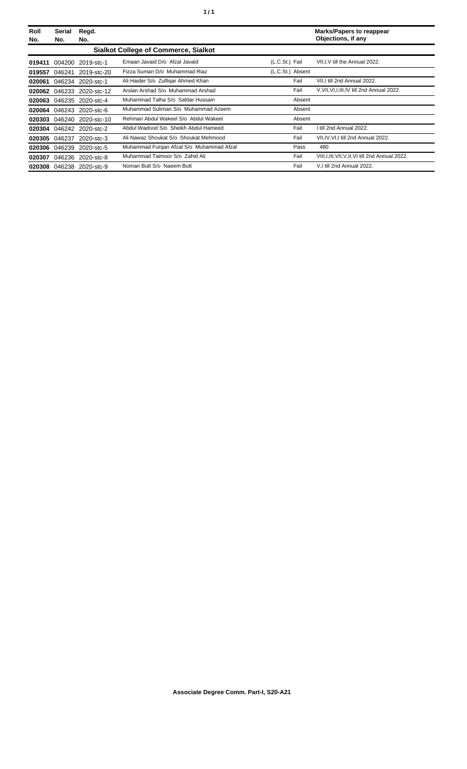| Roll<br>No. | Serial<br>No. | Regd.<br>No.             |                                             |                  | <b>Marks/Papers to reappear</b><br>Objections, if any |
|-------------|---------------|--------------------------|---------------------------------------------|------------------|-------------------------------------------------------|
|             |               |                          | <b>Sialkot College of Commerce, Sialkot</b> |                  |                                                       |
| 019411      | 004200        | 2019-stc-1               | Emaan Javaid D/o Afzal Javaid               | (L.C.St.) Fail   | VII, I, V till the Annual 2022.                       |
| 019557      | 046241        | 2019-stc-20              | Fizza Suman D/o Muhammad Riaz               | (L.C.St.) Absent |                                                       |
| 020061      |               | 046234 2020-stc-1        | Ali Haider S/o Zulfigar Ahmed Khan          | Fail             | VII, I till 2nd Annual 2022.                          |
| 020062      | 046233        | 2020-stc-12              | Arslan Arshad S/o Muhammad Arshad           | Fail             | V.VII.VI.I.III.IV till 2nd Annual 2022.               |
|             |               | 020063 046235 2020-stc-4 | Muhammad Talha S/o Safdar Hussain           | Absent           |                                                       |
| 020064      |               | 046243 2020-stc-6        | Muhammad Suliman S/o Muhammad Azeem         | Absent           |                                                       |
| 020303      |               | 046240 2020-stc-10       | Rehman Abdul Wakeel S/o Abdul Wakeel        | Absent           |                                                       |
|             |               | 020304 046242 2020-stc-2 | Abdul Wadood S/o Sheikh Abdul Hameed        | Fail             | I till 2nd Annual 2022.                               |
| 020305      | 046237        | 2020-stc-3               | Ali Nawaz Shoukat S/o Shoukat Mehmood       | Fail             | VII, IV, VI, I till 2nd Annual 2022.                  |
|             |               | 020306 046239 2020-stc-5 | Muhammad Furgan Afzal S/o Muhammad Afzal    | Pass             | 480                                                   |
| 020307      |               | 046236 2020-stc-8        | Muhammad Taimoor S/o Zahid Ali              | Fail             | VIII, I, III, VII, V, II, VI till 2nd Annual 2022.    |
|             |               | 020308 046238 2020-stc-9 | Noman Butt S/o Naeem Butt                   | Fail             | V.I till 2nd Annual 2022.                             |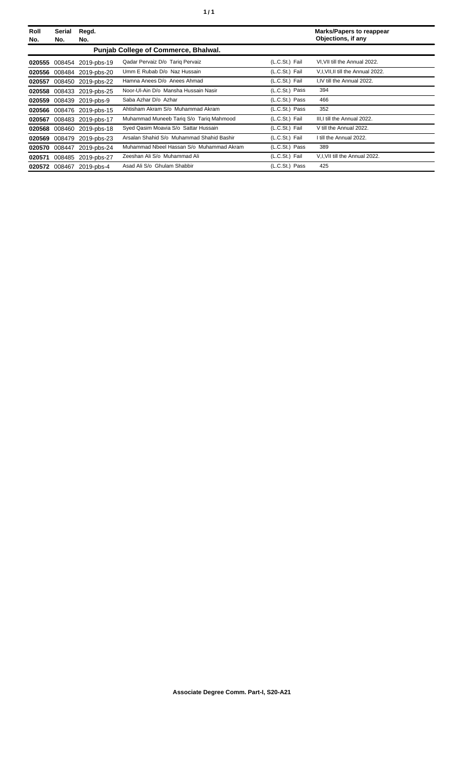| Roll<br>No. | Serial<br>No. | Regd.<br>No.             |                                           |                | <b>Marks/Papers to reappear</b><br>Objections, if any |
|-------------|---------------|--------------------------|-------------------------------------------|----------------|-------------------------------------------------------|
|             |               |                          | Punjab College of Commerce, Bhalwal.      |                |                                                       |
| 020555      | 008454        | 2019-pbs-19              | Qadar Pervaiz D/o Tariq Pervaiz           | (L.C.St.) Fail | VI, VII till the Annual 2022.                         |
| 020556      |               | 008484 2019-pbs-20       | Umm E Rubab D/o Naz Hussain               | (L.C.St.) Fail | V,I, VII, II till the Annual 2022.                    |
| 020557      |               | 008450 2019-pbs-22       | Hamna Anees D/o Anees Ahmad               | (L.C.St.) Fail | I,IV till the Annual 2022.                            |
| 020558      |               | 008433 2019-pbs-25       | Noor-Ul-Ain D/o Mansha Hussain Nasir      | (L.C.St.) Pass | 394                                                   |
| 020559      |               | 008439 2019-pbs-9        | Saba Azhar D/o Azhar                      | (L.C.St.) Pass | 466                                                   |
| 020566      |               | 008476 2019-pbs-15       | Ahtisham Akram S/o Muhammad Akram         | (L.C.St.) Pass | 352                                                   |
| 020567      |               | 008483 2019-pbs-17       | Muhammad Muneeb Tarig S/o Tarig Mahmood   | (L.C.St.) Fail | III, I till the Annual 2022.                          |
| 020568      |               | 008460 2019-pbs-18       | Syed Qasim Moavia S/o Sattar Hussain      | (L.C.St.) Fail | V till the Annual 2022.                               |
| 020569      |               | 008479 2019-pbs-23       | Arsalan Shahid S/o Muhammad Shahid Bashir | (L.C.St.) Fail | I till the Annual 2022.                               |
| 020570      | 008447        | 2019-pbs-24              | Muhammad Nbeel Hassan S/o Muhammad Akram  | (L.C.St.) Pass | 389                                                   |
| 020571      | 008485        | 2019-pbs-27              | Zeeshan Ali S/o Muhammad Ali              | (L.C.St.) Fail | V, I, VII till the Annual 2022.                       |
|             |               | 020572 008467 2019-pbs-4 | Asad Ali S/o Ghulam Shabbir               | (L.C.St.) Pass | 425                                                   |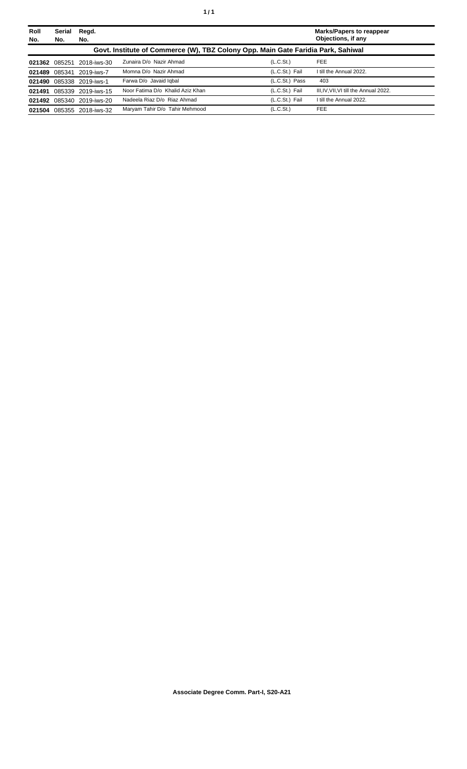| Roll<br>No. | Serial<br>No. | Regd.<br>No.              |                                                                                  |                       | <b>Marks/Papers to reappear</b><br>Objections, if any |
|-------------|---------------|---------------------------|----------------------------------------------------------------------------------|-----------------------|-------------------------------------------------------|
|             |               |                           | Govt. Institute of Commerce (W), TBZ Colony Opp. Main Gate Faridia Park, Sahiwal |                       |                                                       |
| 021362      | 085251        | 2018-iws-30               | Zunaira D/o Nazir Ahmad                                                          | (L.C.S <sub>t</sub> ) | <b>FEE</b>                                            |
| 021489      |               | 085341 2019-iws-7         | Momna D/o Nazir Ahmad                                                            | (L.C.St.) Fail        | I till the Annual 2022.                               |
|             |               | 021490 085338 2019-iws-1  | Farwa D/o Javaid Igbal                                                           | (L.C.St.) Pass        | 403                                                   |
| 021491      |               | 085339 2019-iws-15        | Noor Fatima D/o Khalid Aziz Khan                                                 | (L.C.St.) Fail        | III, IV, VII, VI till the Annual 2022.                |
|             |               | 021492 085340 2019-iws-20 | Nadeela Riaz D/o Riaz Ahmad                                                      | (L.C.St.) Fail        | I till the Annual 2022.                               |
| 021504      |               | 085355 2018-iws-32        | Maryam Tahir D/o Tahir Mehmood                                                   | (L.C.St.)             | <b>FEE</b>                                            |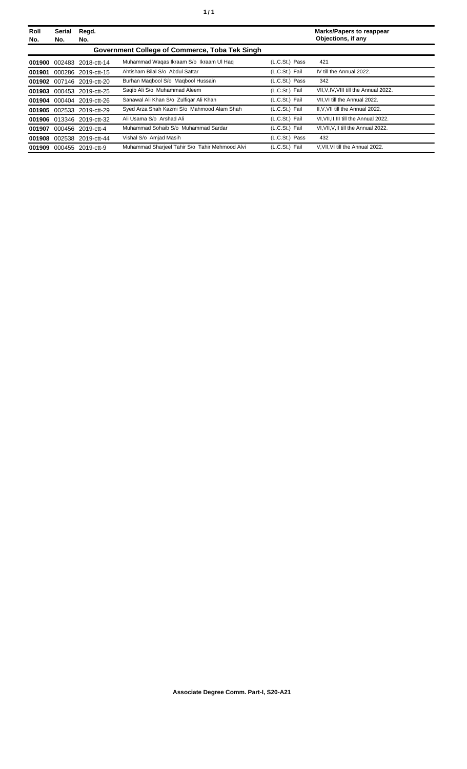| Roll<br>No. | <b>Serial</b><br>No. | Regd.<br>No.              |                                                |                | <b>Marks/Papers to reappear</b><br>Objections, if any |
|-------------|----------------------|---------------------------|------------------------------------------------|----------------|-------------------------------------------------------|
|             |                      |                           | Government College of Commerce, Toba Tek Singh |                |                                                       |
|             |                      | 001900 002483 2018-ctt-14 | Muhammad Wagas Ikraam S/o Ikraam UI Hag        | (L.C.St.) Pass | 421                                                   |
| 001901      |                      | 000286 2019-ctt-15        | Ahtisham Bilal S/o Abdul Sattar                | (L.C.St.) Fail | IV till the Annual 2022.                              |
|             |                      | 001902 007146 2019-ctt-20 | Burhan Magbool S/o Magbool Hussain             | (L.C.St.) Pass | 342                                                   |
| 001903      |                      | 000453 2019-ctt-25        | Saqib Ali S/o Muhammad Aleem                   | (L.C.St.) Fail | VII, V, IV, VIII till the Annual 2022.                |
|             |                      | 001904 000404 2019-ctt-26 | Sanawal Ali Khan S/o Zulfigar Ali Khan         | (L.C.St.) Fail | VII.VI till the Annual 2022.                          |
|             |                      | 001905 002533 2019-ctt-29 | Syed Arza Shah Kazmi S/o Mahmood Alam Shah     | (L.C.St.) Fail | II.V.VII till the Annual 2022.                        |
|             |                      | 001906 013346 2019-ctt-32 | Ali Usama S/o Arshad Ali                       | (L.C.St.) Fail | VI, VII, II, III till the Annual 2022.                |
| 001907      |                      | 000456 2019-ctt-4         | Muhammad Sohaib S/o Muhammad Sardar            | (L.C.St.) Fail | VI.VII.V.II till the Annual 2022.                     |
|             |                      | 001908 002538 2019-ctt-44 | Vishal S/o Amjad Masih                         | (L.C.St.) Pass | 432                                                   |
|             |                      | 001909 000455 2019-ctt-9  | Muhammad Sharjeel Tahir S/o Tahir Mehmood Alvi | (L.C.St.) Fail | V, VII, VI till the Annual 2022.                      |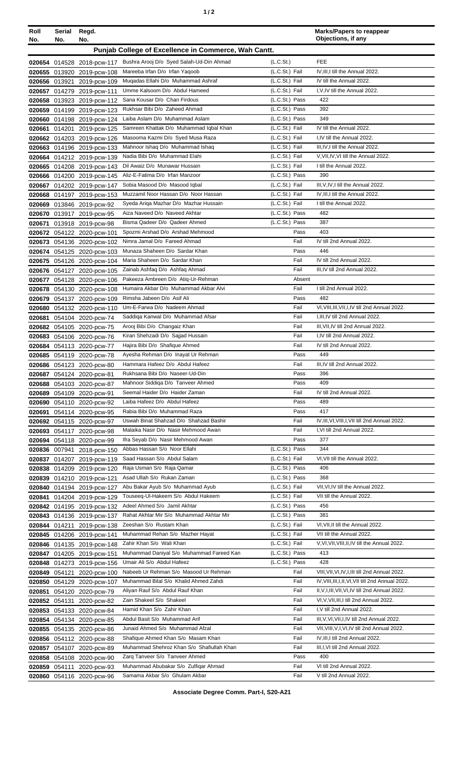| ٠ |  |
|---|--|
|---|--|

| Roll<br>No.   | Serial<br>No. | Regd.<br>No.                                             |                                                                             |                                  | <b>Marks/Papers to reappear</b><br>Objections, if any |
|---------------|---------------|----------------------------------------------------------|-----------------------------------------------------------------------------|----------------------------------|-------------------------------------------------------|
|               |               |                                                          | Punjab College of Excellence in Commerce, Wah Cantt.                        |                                  |                                                       |
|               |               | 020654 014528 2018-pcw-117                               | Bushra Arooj D/o Syed Salah-Ud-Din Ahmad                                    | (L.C.St.)                        | FEE                                                   |
|               |               | 020655 013920 2019-pcw-108                               | Mareeba Irfan D/o Irfan Yaqoob                                              | (L.C.St.) Fail                   | IV, III, I till the Annual 2022.                      |
|               | 020656 013921 | 2019-pcw-109                                             | Mugadas Ellahi D/o Muhammad Ashraf                                          | (L.C.St.) Fail                   | IV till the Annual 2022.                              |
|               |               | 020657 014279 2019-pcw-111                               | Umme Kalsoom D/o Abdul Hameed                                               | (L.C.St.) Fail                   | I, V, IV till the Annual 2022.                        |
|               |               | 020658 013923 2019-pcw-112                               | Sana Kousar D/o Chan Firdous                                                | (L.C.St.) Pass                   | 422                                                   |
|               |               | 020659 014199 2019-pcw-123                               | Rukhsar Bibi D/o Zaheed Ahmad                                               | (L.C.St.) Pass                   | 392                                                   |
|               |               | 020660 014198 2019-pcw-124                               | Laiba Aslam D/o Muhammad Aslam                                              | (L.C.St.) Pass<br>(L.C.St.) Fail | 349<br>IV till the Annual 2022.                       |
| 020661        | 014201        | 2019-pcw-125                                             | Samreen Khattak D/o Muhammad Iqbal Khan<br>Masooma Kazmi D/o Syed Musa Raza | (L.C.St.) Fail                   | I,IV till the Annual 2022.                            |
|               |               | 020662 014203 2019-pcw-126<br>020663 014196 2019-pcw-133 | Mahnoor Ishaq D/o Muhammad Ishaq                                            | (L.C.St.) Fail                   | III, IV, I till the Annual 2022.                      |
|               |               | 020664 014212 2019-pcw-139                               | Nadia Bibi D/o Muhammad Elahi                                               | (L.C.St.) Fail                   | V, VII, IV, VI till the Annual 2022.                  |
|               |               | 020665 014208 2019-pcw-143                               | Dil Awaiz D/o Munawar Hussain                                               | (L.C.St.) Fail                   | I till the Annual 2022.                               |
|               |               | 020666 014200 2019-pcw-145                               | Aliz-E-Fatima D/o Irfan Manzoor                                             | (L.C.St.) Pass                   | 390                                                   |
|               |               | 020667 014202 2019-pcw-147                               | Sobia Masood D/o Masood Iqbal                                               | (L.C.St.) Fail                   | III, V, IV, I till the Annual 2022.                   |
|               |               | 020668 014197 2019-pcw-153                               | Muzzamil Noor Hassan D/o Noor Hassan                                        | (L.C.St.) Fail                   | IV.III.I till the Annual 2022.                        |
|               |               | 020669 013846 2019-pcw-92                                | Syeda Ariga Mazhar D/o Mazhar Hussain                                       | (L.C.St.) Fail                   | I till the Annual 2022.                               |
|               |               | 020670 013917 2019-pcw-95                                | Aiza Naveed D/o Naveed Akhtar                                               | (L.C.St.) Pass                   | 482                                                   |
| 020671        |               | 013918 2019-pcw-98                                       | Bisma Qadeer D/o Qadeer Ahmed                                               | (L.C.St.) Pass                   | 387                                                   |
|               |               | 020672 054122 2020-pcw-101                               | Spozmi Arshad D/o Arshad Mehmood<br>Nimra Jamal D/o Fareed Ahmad            | Pass<br>Fail                     | 403<br>IV till 2nd Annual 2022.                       |
|               |               | 020673 054136 2020-pcw-102                               | Munaza Shaheen D/o Sardar Khan                                              | Pass                             | 446                                                   |
|               |               | 020674 054125 2020-pcw-103<br>020675 054126 2020-pcw-104 | Maria Shaheen D/o Sardar Khan                                               | Fail                             | IV till 2nd Annual 2022.                              |
|               |               | 020676 054127 2020-pcw-105                               | Zainab Ashfaq D/o Ashfaq Ahmad                                              | Fail                             | III, IV till 2nd Annual 2022.                         |
| 020677        |               | 054128 2020-pcw-106                                      | Pakeeza Ambreen D/o Atiq-Ur-Rehman                                          | Absent                           |                                                       |
| 020678        | 054130        | 2020-pcw-108                                             | Humaira Akbar D/o Muhammad Akbar Alvi                                       | Fail                             | I till 2nd Annual 2022.                               |
| 020679        |               | 054137 2020-pcw-109                                      | Rimsha Jabeen D/o Asif Ali                                                  | Pass                             | 482                                                   |
|               |               | 020680 054132 2020-pcw-110                               | Um-E-Farwa D/o Nadeem Ahmad                                                 | Fail                             | VI, VIII, III, VII, I, IV till 2nd Annual 2022.       |
| 020681        |               | 054104 2020-pcw-74                                       | Saddiga Kanwal D/o Muhammad Afsar                                           | Fail                             | I, III, IV till 2nd Annual 2022.                      |
|               |               | 020682 054105 2020-pcw-75                                | Arooj Bibi D/o Changaiz Khan                                                | Fail                             | III, VII, IV till 2nd Annual 2022.                    |
|               |               | 020683 054106 2020-pcw-76                                | Kiran Shehzadi D/o Sajjad Hussain                                           | Fail                             | I,IV till 2nd Annual 2022.                            |
|               |               | 020684 054113 2020-pcw-77                                | Hajira Bibi D/o Shafique Ahmed<br>Ayesha Rehman D/o Inayat Ur Rehman        | Fail<br>Pass                     | IV till 2nd Annual 2022.<br>449                       |
|               |               | 020685 054119 2020-pcw-78<br>020686 054123 2020-pcw-80   | Hammara Hafeez D/o Abdul Hafeez                                             | Fail                             | III, IV till 2nd Annual 2022.                         |
|               |               | 020687 054124 2020-pcw-81                                | Rukhsana Bibi D/o Naseer-Ud-Din                                             | Pass                             | 396                                                   |
|               |               | 020688 054103 2020-pcw-87                                | Mahnoor Siddiga D/o Tanveer Ahmed                                           | Pass                             | 409                                                   |
|               |               | 020689 054109 2020-pcw-91                                | Seemal Haider D/o Haider Zaman                                              | Fail                             | IV till 2nd Annual 2022.                              |
|               |               | 020690 054110 2020-pcw-92                                | Laiba Hafeez D/o Abdul Hafeez                                               | Pass                             | 489                                                   |
| 020691        |               | 054114 2020-pcw-95                                       | Rabia Bibi D/o Muhammad Raza                                                | Pass                             | 417                                                   |
|               |               | 020692 054115 2020-pcw-97                                | Uswah Binat Shahzad D/o Shahzad Bashir                                      | Fail                             | IV, III, VI, VIII, I, VII till 2nd Annual 2022.       |
|               |               | 020693 054117 2020-pcw-98                                | Malaika Nasir D/o Nasir Mehmood Awan                                        | Fail                             | I, VI till 2nd Annual 2022.                           |
|               |               | 020694 054118 2020-pcw-99                                | Ifra Seyab D/o Nasir Mehmood Awan                                           | Pass                             | 377                                                   |
|               | 020836 007941 | 2018-pcw-150                                             | Abbas Hassan S/o Noor Ellahi<br>Saad Hassan S/o Abdul Salam                 | (L.C.St.) Pass<br>(L.C.St.) Fail | 344<br>VI, VII till the Annual 2022.                  |
|               |               | 020837 014207 2019-pcw-119<br>020838 014209 2019-pcw-120 | Raja Usman S/o Raja Qamar                                                   | (L.C.St.) Pass                   | 406                                                   |
|               |               | 020839 014210 2019-pcw-121                               | Asad Ullah S/o Rukan Zaman                                                  | (L.C.St.) Pass                   | 368                                                   |
|               |               | 020840 014194 2019-pcw-127                               | Abu Bakar Ayub S/o Muhammad Ayub                                            | (L.C.St.) Fail                   | VII, VI, IV till the Annual 2022.                     |
|               |               | 020841 014204 2019-pcw-129                               | Touseeq-UI-Hakeem S/o Abdul Hakeem                                          | (L.C.St.) Fail                   | VII till the Annual 2022.                             |
|               |               | 020842 014195 2019-pcw-132                               | Adeel Ahmed S/o Jamil Akhtar                                                | (L.C.St.) Pass                   | 456                                                   |
|               |               | 020843 014136 2019-pcw-137                               | Rahat Akhtar Mir S/o Muhammad Akhtar Mir                                    | (L.C.St.) Pass                   | 381                                                   |
|               |               | 020844 014211 2019-pcw-138                               | Zeeshan S/o Rustam Khan                                                     | (L.C.St.) Fail                   | VI, VII, II till the Annual 2022.                     |
|               |               | 020845 014206 2019-pcw-141                               | Muhammad Rehan S/o Mazher Hayat                                             | (L.C.St.) Fail                   | VII till the Annual 2022.                             |
|               |               | 020846 014135 2019-pcw-148                               | Zahir Khan S/o Wali Khan                                                    | (L.C.St.) Fail                   | V, VI, VII, VIII, II, IV till the Annual 2022.        |
|               |               | 020847 014205 2019-pcw-151                               | Muhammad Daniyal S/o Muhammad Fareed Kan<br>Umair Ali S/o Abdul Hafeez      | (L.C.St.) Pass<br>(L.C.St.) Pass | 413<br>428                                            |
|               |               | 020848 014273 2019-pcw-156                               | Nabeeb Ur Rehman S/o Masood Ur Rehman                                       | Fail                             | VIII, VII, VI, IV, I, III till 2nd Annual 2022.       |
| 020849 054121 |               | 2020-pcw-100<br>020850 054129 2020-pcw-107               | Muhammad Bilal S/o Khalid Ahmed Zahdi                                       | Fail                             | IV, VIII, III, I, II, VI, VII till 2nd Annual 2022.   |
| 020851        |               | 054120 2020-pcw-79                                       | Aliyan Rauf S/o Abdul Rauf Khan                                             | Fail                             | II, V, I, III, VII, VI, IV till 2nd Annual 2022.      |
|               | 020852 054131 | 2020-pcw-82                                              | Zain Shakeel S/o Shakeel                                                    | Fail                             | VI, V, VII, III, I till 2nd Annual 2022.              |
|               |               | 020853 054133 2020-pcw-84                                | Hamid Khan S/o Zahir Khan                                                   | Fail                             | I, V till 2nd Annual 2022.                            |
|               |               | 020854 054134 2020-pcw-85                                | Abdul Basit S/o Muhammad Arif                                               | Fail                             | III, V, VI, VII, I, IV till 2nd Annual 2022.          |
|               |               | 020855 054135 2020-pcw-86                                | Junaid Ahmed S/o Muhammad Afzal                                             | Fail                             | VII, VIII, V, I, VI, IV till 2nd Annual 2022.         |
|               |               | 020856 054112 2020-pcw-88                                | Shafique Ahmed Khan S/o Masam Khan                                          | Fail                             | IV, III, I till 2nd Annual 2022.                      |
|               |               | 020857 054107 2020-pcw-89                                | Muhammad Shehroz Khan S/o Shafiullah Khan                                   | Fail                             | III, I, VI till 2nd Annual 2022.                      |
|               |               | 020858 054108 2020-pcw-90                                | Zarg Tanveer S/o Tanveer Ahmed                                              | Pass                             | 400                                                   |
|               |               | 020859 054111 2020-pcw-93                                | Muhammad Abubakar S/o Zulfigar Ahmad                                        | Fail                             | VI till 2nd Annual 2022.                              |
|               |               | 020860 054116 2020-pcw-96                                | Samama Akbar S/o Ghulam Akbar                                               | Fail                             | V till 2nd Annual 2022.                               |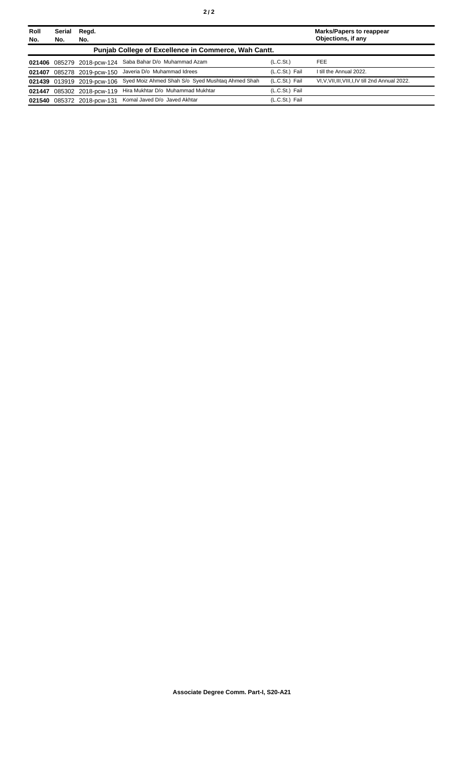| Roll<br>No. | Serial<br>No. | Regd.<br>No.        |                                                                             |                       | Marks/Papers to reappear<br>Objections, if any     |
|-------------|---------------|---------------------|-----------------------------------------------------------------------------|-----------------------|----------------------------------------------------|
|             |               |                     | Punjab College of Excellence in Commerce, Wah Cantt.                        |                       |                                                    |
|             |               |                     | 021406 085279 2018-pcw-124 Saba Bahar D/o Muhammad Azam                     | (L.C.S <sub>t</sub> ) | <b>FEE</b>                                         |
| 021407      |               | 085278 2019-pcw-150 | Javeria D/o Muhammad Idrees                                                 | (L.C.St.) Fail        | I till the Annual 2022.                            |
|             |               |                     | 021439 013919 2019-pcw-106 Syed Moiz Ahmed Shah S/o Syed Mushtaq Ahmed Shah | (L.C.St.) Fail        | VI, V, VII, III, VIII, I, IV till 2nd Annual 2022. |
|             |               |                     | 021447 085302 2018-pcw-119 Hira Mukhtar D/o Muhammad Mukhtar                | (L.C.St.) Fail        |                                                    |
|             |               |                     | 021540 085372 2018-pcw-131 Komal Javed D/o Javed Akhtar                     | (L.C.St.) Fail        |                                                    |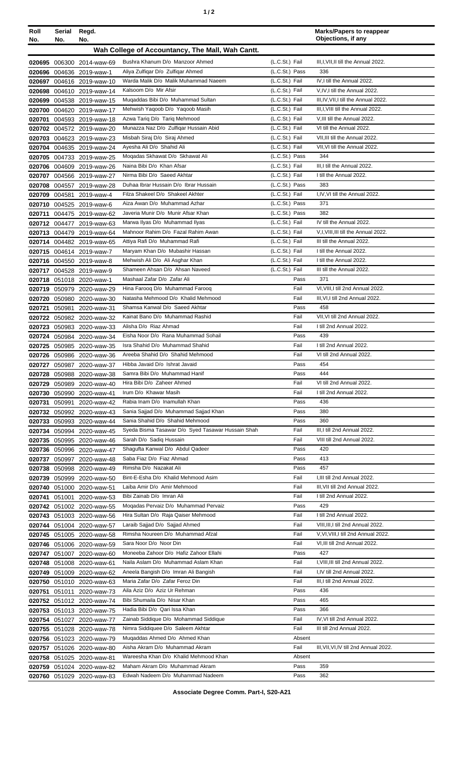| ٠ |  |
|---|--|
|   |  |

| Roll   | Serial        | Regd.                                                  |                                                                              |                  | <b>Marks/Papers to reappear</b><br>Objections, if any |
|--------|---------------|--------------------------------------------------------|------------------------------------------------------------------------------|------------------|-------------------------------------------------------|
| No.    | No.           | No.                                                    |                                                                              |                  |                                                       |
|        |               |                                                        | Wah College of Accountancy, The Mall, Wah Cantt.                             |                  |                                                       |
|        |               | 020695 006300 2014-waw-69                              | Bushra Khanum D/o Manzoor Ahmed                                              | (L.C.St.) Fail   | III, I, VII, II till the Annual 2022.                 |
|        |               | 020696 004636 2019-waw-1                               | Aliya Zulfiqar D/o Zulfiqar Ahmed                                            | $(L.C.St.)$ Pass | 336                                                   |
|        |               | 020697 004616 2019-waw-10                              | Warda Malik D/o Malik Muhammad Naeem                                         | (L.C.St.) Fail   | IV, I till the Annual 2022.                           |
|        |               | 020698 004610 2019-waw-14                              | Kalsoom D/o Mir Afsir                                                        | (L.C.St.) Fail   | V,IV,I till the Annual 2022.                          |
|        |               | 020699 004538 2019-waw-15                              | Muqaddas Bibi D/o Muhammad Sultan                                            | (L.C.St.) Fail   | III, IV, VII, I till the Annual 2022.                 |
|        |               | 020700 004620 2019-waw-17                              | Mehwish Yaqoob D/o Yaqoob Masih                                              | (L.C.St.) Fail   | III, I, VIII till the Annual 2022.                    |
|        |               | 020701 004593 2019-waw-18                              | Azwa Tariq D/o Tariq Mehmood                                                 | (L.C.St.) Fail   | V, III till the Annual 2022.                          |
|        |               | 020702 004572 2019-waw-20                              | Munazza Naz D/o Zulfigar Hussain Abid                                        | (L.C.St.) Fail   | VI till the Annual 2022.                              |
|        |               | 020703 004623 2019-waw-23                              | Misbah Siraj D/o Siraj Ahmed                                                 | (L.C.St.) Fail   | VII, III till the Annual 2022.                        |
|        |               | 020704 004635 2019-waw-24                              | Ayesha Ali D/o Shahid Ali                                                    | (L.C.St.) Fail   | VII, VI till the Annual 2022.                         |
|        |               | 020705 004733 2019-waw-25                              | Mogadas Skhawat D/o Skhawat Ali                                              | (L.C.St.) Pass   | 344                                                   |
|        |               | 020706 004609 2019-waw-26                              | Naina Bibi D/o Khan Afsar                                                    | (L.C.St.) Fail   | III, I till the Annual 2022.                          |
|        |               | 020707 004566 2019-waw-27                              | Nirma Bibi D/o Saeed Akhtar                                                  | (L.C.St.) Fail   | I till the Annual 2022.                               |
|        |               | 020708 004557 2019-waw-28                              | Duhaa Ibrar Hussain D/o Ibrar Hussain                                        | (L.C.St.) Pass   | 383                                                   |
|        |               | 020709 004581 2019-waw-4                               | Filza Shakeel D/o Shakeel Akhter                                             | (L.C.St.) Fail   | I,IV, VI till the Annual 2022.                        |
|        |               | 020710 004525 2019-waw-6                               | Aiza Awan D/o Muhammad Azhar                                                 | (L.C.St.) Pass   | 371                                                   |
|        |               | 020711 004475 2019-waw-62                              | Javeria Munir D/o Munir Afsar Khan                                           | (L.C.St.) Pass   | 382                                                   |
|        |               | 020712 004477 2019-waw-63                              | Marwa Ilyas D/o Muhammad Ilyas                                               | (L.C.St.) Fail   | IV till the Annual 2022.                              |
|        |               | 020713 004479 2019-waw-64                              | Mahnoor Rahim D/o Fazal Rahim Awan                                           | (L.C.St.) Fail   | V,I, VIII, III till the Annual 2022.                  |
|        |               | 020714 004482 2019-waw-65                              | Attiya Rafi D/o Muhammad Rafi                                                | (L.C.St.) Fail   | III till the Annual 2022.                             |
|        |               | 020715 004614 2019-waw-7                               | Maryam Khan D/o Mubashir Hassan                                              | (L.C.St.) Fail   | I till the Annual 2022.                               |
|        |               | 020716 004550 2019-waw-8                               | Mehwish Ali D/o Ali Asghar Khan                                              | (L.C.St.) Fail   | I till the Annual 2022.                               |
|        |               | 020717 004528 2019-waw-9                               | Shameen Ahsan D/o Ahsan Naveed                                               | (L.C.St.) Fail   | III till the Annual 2022.                             |
|        |               | 020718 051018 2020-waw-1                               | Mashaal Zafar D/o Zafar Ali                                                  | Pass             | 371                                                   |
|        |               | 020719 050979 2020-waw-29                              | Hina Farooq D/o Muhammad Farooq                                              | Fail             | VI, VIII, I till 2nd Annual 2022.                     |
|        |               | 020720 050980 2020-waw-30                              | Natasha Mehmood D/o Khalid Mehmood                                           | Fail             | III, VI, I till 2nd Annual 2022.                      |
| 020721 | 050981        | 2020-waw-31                                            | Shamsa Kanwal D/o Saeed Akhtar                                               | Pass             | 458                                                   |
|        |               | 020722 050982 2020-waw-32                              | Kainat Bano D/o Muhammad Rashid                                              | Fail             | VII, VI till 2nd Annual 2022.                         |
|        |               | 020723 050983 2020-waw-33                              | Alisha D/o Riaz Ahmad                                                        | Fail             | I till 2nd Annual 2022.                               |
|        |               | 020724 050984 2020-waw-34                              | Eisha Noor D/o Rana Muhammad Sohail                                          | Pass             | 439                                                   |
|        |               | 020725 050985 2020-waw-35                              | Isra Shahid D/o Muhammad Shahid                                              | Fail             | I till 2nd Annual 2022.                               |
|        |               | 020726 050986 2020-waw-36                              | Areeba Shahid D/o Shahid Mehmood                                             | Fail             | VI till 2nd Annual 2022.                              |
|        |               | 020727 050987 2020-waw-37                              | Hibba Javaid D/o Ishrat Javaid                                               | Pass             | 454                                                   |
|        |               | 020728 050988 2020-waw-38                              | Samra Bibi D/o Muhammad Hanif                                                | Pass             | 444                                                   |
|        |               | 020729 050989 2020-waw-40                              | Hira Bibi D/o Zaheer Ahmed                                                   | Fail             | VI till 2nd Annual 2022.                              |
|        |               | 020730 050990 2020-waw-41                              | Irum D/o Khawar Masih                                                        | Fail             | I till 2nd Annual 2022.                               |
|        | 020731 050991 | 2020-waw-42                                            | Rabia Inam D/o Inamullah Khan                                                | Pass             | 436                                                   |
|        |               | 020732 050992 2020-waw-43                              | Sania Sajjad D/o Muhammad Sajjad Khan<br>Sania Shahid D/o Shahid Mehmood     | Pass             | 380<br>360                                            |
|        |               | 020733 050993 2020-waw-44                              |                                                                              | Pass             | III, I till 2nd Annual 2022.                          |
|        |               | 020734 050994 2020-waw-45                              | Syeda Bisma Tasawar D/o Syed Tasawar Hussain Shah<br>Sarah D/o Sadiq Hussain | Fail             |                                                       |
|        |               | 020735 050995 2020-waw-46                              | Shagufta Kanwal D/o Abdul Qadeer                                             | Fail<br>Pass     | VIII till 2nd Annual 2022.<br>420                     |
|        |               | 020736 050996 2020-waw-47                              | Saba Fiaz D/o Fiaz Ahmad                                                     | Pass             | 413                                                   |
|        |               | 020737 050997 2020-waw-48                              | Rimsha D/o Nazakat Ali                                                       | Pass             | 457                                                   |
|        |               | 020738 050998 2020-waw-49                              | Bint-E-Esha D/o Khalid Mehmood Asim                                          | Fail             | I, III till 2nd Annual 2022.                          |
|        |               | 020739 050999 2020-waw-50                              | Laiba Amir D/o Amir Mehmood                                                  | Fail             | III, VII till 2nd Annual 2022.                        |
|        |               | 020740 051000 2020-waw-51<br>020741 051001 2020-waw-53 | Bibi Zainab D/o Imran Ali                                                    | Fail             | I till 2nd Annual 2022.                               |
|        |               | 020742 051002 2020-waw-55                              | Mogadas Pervaiz D/o Muhammad Pervaiz                                         | Pass             | 429                                                   |
|        |               | 020743 051003 2020-waw-56                              | Hira Sultan D/o Raja Qaiser Mehmood                                          | Fail             | I till 2nd Annual 2022.                               |
|        |               | 020744 051004 2020-waw-57                              | Laraib Sajjad D/o Sajjad Ahmed                                               | Fail             | VIII, III, I till 2nd Annual 2022.                    |
|        |               | 020745 051005 2020-waw-58                              | Rimsha Noureen D/o Muhammad Afzal                                            | Fail             | V, VI, VIII, I till 2nd Annual 2022.                  |
|        |               | 020746 051006 2020-waw-59                              | Sara Noor D/o Noor Din                                                       | Fail             | VI, III till 2nd Annual 2022.                         |
|        |               | 020747 051007 2020-waw-60                              | Moneeba Zahoor D/o Hafiz Zahoor Ellahi                                       | Pass             | 427                                                   |
|        |               | 020748 051008 2020-waw-61                              | Naila Aslam D/o Muhammad Aslam Khan                                          | Fail             | I, VIII, III till 2nd Annual 2022.                    |
|        |               | 020749 051009 2020-waw-62                              | Aneela Bangish D/o Imran Ali Bangish                                         | Fail             | I,IV till 2nd Annual 2022.                            |
|        |               | 020750 051010 2020-waw-63                              | Maria Zafar D/o Zafar Feroz Din                                              | Fail             | III, I till 2nd Annual 2022.                          |
|        |               | 020751 051011 2020-waw-73                              | Aila Aziz D/o Aziz Ur Rehman                                                 | Pass             | 436                                                   |
|        |               | 020752 051012 2020-waw-74                              | Bibi Shumaila D/o Nisar Khan                                                 | Pass             | 465                                                   |
|        |               | 020753 051013 2020-waw-75                              | Hadia Bibi D/o Qari Issa Khan                                                | Pass             | 366                                                   |
|        |               | 020754 051027 2020-waw-77                              | Zainab Siddique D/o Mohammad Siddique                                        | Fail             | IV, VI till 2nd Annual 2022.                          |
|        |               | 020755 051028 2020-waw-78                              | Nimra Siddiquee D/o Saleem Akhtar                                            | Fail             | III till 2nd Annual 2022.                             |
|        |               | 020756 051023 2020-waw-79                              | Mugaddas Ahmed D/o Ahmed Khan                                                | Absent           |                                                       |
|        |               | 020757 051026 2020-waw-80                              | Aisha Akram D/o Muhammad Akram                                               | Fail             | III, VII, VI, IV till 2nd Annual 2022.                |
|        |               | 020758 051025 2020-waw-81                              | Wareesha Khan D/o Khalid Mehmood Khan                                        | Absent           |                                                       |
|        |               | 020759 051024 2020-waw-82                              | Maham Akram D/o Muhammad Akram                                               | Pass             | 359                                                   |
|        |               | 020760 051029 2020-waw-83                              | Edwah Nadeem D/o Muhammad Nadeem                                             | Pass             | 362                                                   |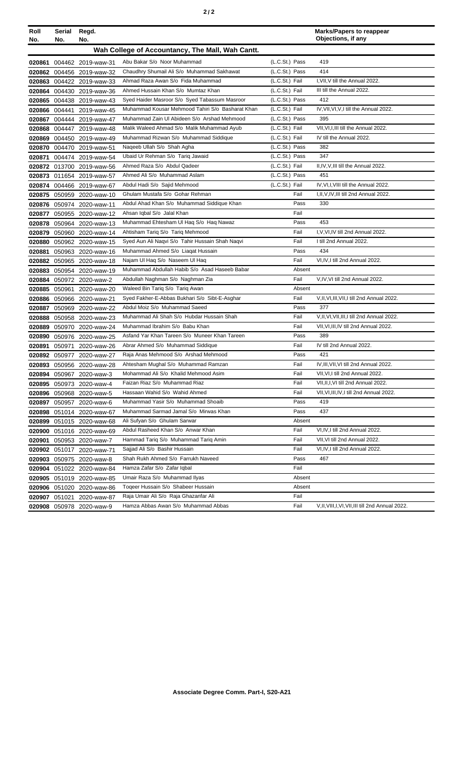| Roll<br>No. | Serial<br>No. | Regd.<br>No.              |                                                  |                | <b>Marks/Papers to reappear</b><br>Objections, if any |
|-------------|---------------|---------------------------|--------------------------------------------------|----------------|-------------------------------------------------------|
|             |               |                           | Wah College of Accountancy, The Mall, Wah Cantt. |                |                                                       |
| 020861      |               | 004462 2019-waw-31        | Abu Bakar S/o Noor Muhammad                      | (L.C.St.) Pass | 419                                                   |
|             | 020862 004456 | 2019-waw-32               | Chaudhry Shumail Ali S/o Muhammad Sakhawat       | (L.C.St.) Pass | 414                                                   |
|             |               | 020863 004422 2019-waw-33 | Ahmad Raza Awan S/o Fida Muhammad                | (L.C.St.) Fail | I, VII, V till the Annual 2022.                       |
|             |               | 020864 004430 2019-waw-36 | Ahmed Hussain Khan S/o Mumtaz Khan               | (L.C.St.) Fail | III till the Annual 2022.                             |
|             |               | 020865 004438 2019-waw-43 | Syed Haider Masroor S/o Syed Tabassum Masroor    | (L.C.St.) Pass | 412                                                   |
|             | 020866 004441 | 2019-waw-45               | Muhammad Kousar Mehmood Tahiri S/o Basharat Khan | (L.C.St.) Fail | IV, VII, VI, V, I till the Annual 2022.               |
| 020867      |               | 004444 2019-waw-47        | Muhammad Zain UI Abideen S/o Arshad Mehmood      | (L.C.St.) Pass | 395                                                   |
| 020868      |               | 004447 2019-waw-48        | Malik Waleed Ahmad S/o Malik Muhammad Ayub       | (L.C.St.) Fail | VII, VI, I, III till the Annual 2022.                 |
| 020869      |               | 004450 2019-waw-49        | Muhammad Rizwan S/o Muhammad Siddique            | (L.C.St.) Fail | IV till the Annual 2022.                              |
|             |               | 020870 004470 2019-waw-51 | Naqeeb Ullah S/o Shah Agha                       | (L.C.St.) Pass | 382                                                   |
| 020871      |               | 004474 2019-waw-54        | Ubaid Ur Rehman S/o Tariq Jawaid                 | (L.C.St.) Pass | 347                                                   |
|             |               | 020872 013700 2019-waw-56 | Ahmed Raza S/o Abdul Qadeer                      | (L.C.St.) Fail | II, IV, V, III till the Annual 2022.                  |
|             |               | 020873 011654 2019-waw-57 | Ahmed Ali S/o Muhammad Aslam                     | (L.C.St.) Pass | 451                                                   |
|             | 020874 004466 | 2019-waw-67               | Abdul Hadi S/o Sajid Mehmood                     | (L.C.St.) Fail | IV, VI, I, VIII till the Annual 2022.                 |
|             |               | 020875 050959 2020-waw-10 | Ghulam Mustafa S/o Gohar Rehman                  | Fail           | I, II, V, IV, III till 2nd Annual 2022.               |
| 020876      |               | 050974 2020-waw-11        | Abdul Ahad Khan S/o Muhammad Siddique Khan       | Pass           | 330                                                   |
| 020877      |               | 050955 2020-waw-12        | Ahsan Iqbal S/o Jalal Khan                       | Fail           |                                                       |
|             |               | 020878 050964 2020-waw-13 | Muhammad Ehtesham UI Haq S/o Haq Nawaz           | Pass           | 453                                                   |
|             |               | 020879 050960 2020-waw-14 | Ahtisham Tariq S/o Tariq Mehmood                 | Fail           | I, V, VI, IV till 2nd Annual 2022.                    |
|             |               | 020880 050962 2020-waw-15 | Syed Aun Ali Naqvi S/o Tahir Hussain Shah Naqvi  | Fail           | I till 2nd Annual 2022.                               |
| 020881      |               | 050963 2020-waw-16        | Muhammad Ahmed S/o Liagat Hussain                | Pass           | 434                                                   |
|             |               | 020882 050965 2020-waw-18 | Najam Ul Haq S/o Naseem Ul Haq                   | Fail           | VI, IV, I till 2nd Annual 2022.                       |
| 020883      |               | 050954 2020-waw-19        | Muhammad Abdullah Habib S/o Asad Haseeb Babar    | Absent         |                                                       |
| 020884      |               | 050972 2020-waw-2         | Abdullah Naghman S/o Naghman Zia                 | Fail           | V,IV, VI till 2nd Annual 2022.                        |
| 020885      | 050961        | 2020-waw-20               | Waleed Bin Tariq S/o Tariq Awan                  | Absent         |                                                       |
|             |               | 020886 050966 2020-waw-21 | Syed Fakher-E-Abbas Bukhari S/o Sibt-E-Asghar    | Fail           | V, II, VI, III, VII, I till 2nd Annual 2022.          |
|             |               | 020887 050969 2020-waw-22 | Abdul Moiz S/o Muhammad Saeed                    | Pass           | 377                                                   |
|             |               | 020888 050958 2020-waw-23 | Muhammad Ali Shah S/o Hubdar Hussain Shah        | Fail           | V, II, VI, VII, III, I till 2nd Annual 2022.          |
| 020889      |               | 050970 2020-waw-24        | Muhammad Ibrahim S/o Babu Khan                   | Fail           | VII, VI, III, IV till 2nd Annual 2022.                |
| 020890      |               | 050976 2020-waw-25        | Asfand Yar Khan Tareen S/o Muneer Khan Tareen    | Pass           | 389                                                   |
| 020891      | 050971        | 2020-waw-26               | Abrar Ahmed S/o Muhammad Siddique                | Fail           | IV till 2nd Annual 2022.                              |
|             |               | 020892 050977 2020-waw-27 | Raja Anas Mehmood S/o Arshad Mehmood             | Pass           | 421                                                   |
|             |               | 020893 050956 2020-waw-28 | Ahtesham Mughal S/o Muhammad Ramzan              | Fail           | IV, III, VII, VI till 2nd Annual 2022.                |
|             |               | 020894 050967 2020-waw-3  | Mohammad Ali S/o Khalid Mehmood Asim             | Fail           | VII, VI, I till 2nd Annual 2022.                      |
|             |               | 020895 050973 2020-waw-4  | Faizan Riaz S/o Muhammad Riaz                    | Fail           | VII, II, I, VI till 2nd Annual 2022.                  |
|             |               | 020896 050968 2020-waw-5  | Hassaan Wahid S/o Wahid Ahmed                    | Fail           | VII, VI, III, IV, I till 2nd Annual 2022.             |
|             |               | 020897 050957 2020-waw-6  | Muhammad Yasir S/o Muhammad Shoaib               | Pass           | 419                                                   |
|             |               | 020898 051014 2020-waw-67 | Muhammad Sarmad Jamal S/o Mirwas Khan            | Pass           | 437                                                   |
|             |               | 020899 051015 2020-waw-68 | Ali Sufyan S/o Ghulam Sarwar                     | Absent         |                                                       |
|             |               | 020900 051016 2020-waw-69 | Abdul Rasheed Khan S/o Anwar Khan                | Fail           | VI, IV, I till 2nd Annual 2022.                       |
| 020901      |               | 050953 2020-waw-7         | Hammad Tariq S/o Muhammad Tariq Amin             | Fail           | VII, VI till 2nd Annual 2022.                         |
|             |               | 020902 051017 2020-waw-71 | Sajjad Ali S/o Bashir Hussain                    | Fail           | VI,IV,I till 2nd Annual 2022.                         |
|             |               | 020903 050975 2020-waw-8  | Shah Rukh Ahmed S/o Farrukh Naveed               | Pass           | 467                                                   |
|             |               | 020904 051022 2020-waw-84 | Hamza Zafar S/o Zafar Iqbal                      | Fail           |                                                       |
|             |               | 020905 051019 2020-waw-85 | Umair Raza S/o Muhammad Ilyas                    | Absent         |                                                       |
|             |               | 020906 051020 2020-waw-86 | Togeer Hussain S/o Shabeer Hussain               | Absent         |                                                       |
|             | 020907 051021 | 2020-waw-87               | Raja Umair Ali S/o Raja Ghazanfar Ali            | Fail           |                                                       |
|             |               | 020908 050978 2020-waw-9  | Hamza Abbas Awan S/o Muhammad Abbas              | Fail           | V, II, VIII, I, VI, VII, III till 2nd Annual 2022.    |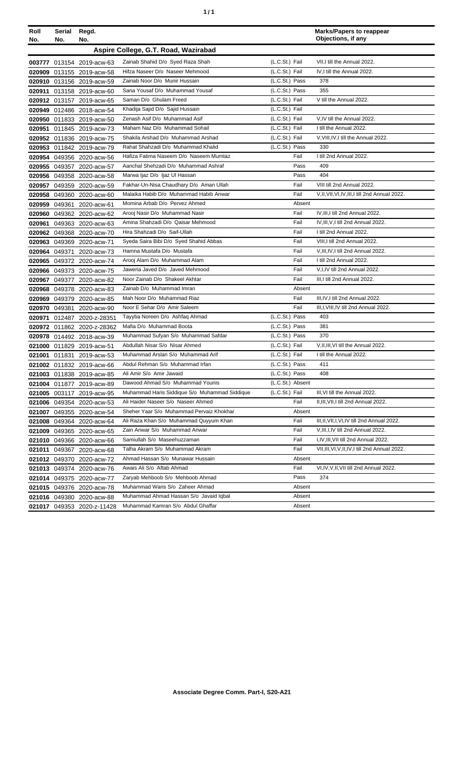| Roll<br>No. | Serial<br>No.                        | Regd.<br>No.               |                                               |                  |        | <b>Marks/Papers to reappear</b><br>Objections, if any |
|-------------|--------------------------------------|----------------------------|-----------------------------------------------|------------------|--------|-------------------------------------------------------|
|             | Aspire College, G.T. Road, Wazirabad |                            |                                               |                  |        |                                                       |
|             |                                      | 003777 013154 2019-acw-63  | Zainab Shahid D/o Syed Raza Shah              | (L.C.St.) Fail   |        | VII, I till the Annual 2022.                          |
|             |                                      | 020909 013155 2019-acw-58  | Hifza Naseer D/o Naseer Mehmood               | (L.C.St.) Fail   |        | IV, I till the Annual 2022.                           |
|             |                                      | 020910 013156 2019-acw-59  | Zainab Noor D/o Munir Hussain                 | (L.C.St.) Pass   |        | 378                                                   |
|             |                                      | 020911 013158 2019-acw-60  | Sana Yousaf D/o Muhammad Yousaf               | (L.C.St.) Pass   |        | 355                                                   |
|             |                                      | 020912 013157 2019-acw-65  | Saman D/o Ghulam Freed                        | (L.C.St.) Fail   |        | V till the Annual 2022.                               |
|             |                                      | 020949 012486 2018-acw-54  | Khadija Sajid D/o Sajid Hussain               | (L.C.St.) Fail   |        |                                                       |
|             |                                      | 020950 011833 2019-acw-50  | Zenash Asif D/o Muhammad Asif                 | (L.C.St.) Fail   |        | V,IV till the Annual 2022.                            |
|             |                                      | 020951 011845 2019-acw-73  | Maham Naz D/o Muhammad Sohail                 | (L.C.St.) Fail   |        | I till the Annual 2022.                               |
|             |                                      | 020952 011836 2019-acw-75  | Shakila Arshad D/o Muhammad Arshad            | (L.C.St.) Fail   |        | V, VIII, IV, I till the Annual 2022.                  |
|             |                                      | 020953 011842 2019-acw-79  | Rahat Shahzadi D/o Muhammad Khalid            | (L.C.St.) Pass   |        | 330                                                   |
|             |                                      | 020954 049356 2020-acw-56  | Hafiza Fatima Naseem D/o Naseem Mumtaz        |                  | Fail   | I till 2nd Annual 2022.                               |
|             |                                      | 020955 049357 2020-acw-57  | Aanchal Shehzadi D/o Muhammad Ashraf          |                  | Pass   | 409                                                   |
|             |                                      | 020956 049358 2020-acw-58  | Marwa Ijaz D/o Ijaz UI Hassan                 |                  | Pass   | 404                                                   |
|             |                                      | 020957 049359 2020-acw-59  | Fakhar-Un-Nisa Chaudhary D/o Aman Ullah       |                  | Fail   | VIII till 2nd Annual 2022.                            |
|             |                                      | 020958 049360 2020-acw-60  | Malaika Habib D/o Muhammad Habib Anwar        |                  | Fail   | V, II, VII, VI, IV, III, I till 2nd Annual 2022.      |
|             | 020959 049361                        | 2020-acw-61                | Momina Arbab D/o Pervez Ahmed                 |                  | Absent |                                                       |
|             |                                      | 020960 049362 2020-acw-62  | Arooj Nasir D/o Muhammad Nasir                |                  | Fail   | IV, III, I till 2nd Annual 2022.                      |
| 020961      |                                      | 049363 2020-acw-63         | Amina Shahzadi D/o Qaisar Mehmood             |                  | Fail   | IV, III, V, I till 2nd Annual 2022.                   |
|             |                                      | 020962 049368 2020-acw-70  | Hira Shahzadi D/o Saif-Ullah                  |                  | Fail   | I till 2nd Annual 2022.                               |
|             |                                      | 020963 049369 2020-acw-71  | Syeda Saira Bibi D/o Syed Shahid Abbas        |                  | Fail   | VIII, I till 2nd Annual 2022.                         |
|             | 020964 049371                        | 2020-acw-73                | Hamna Mustafa D/o Mustafa                     |                  | Fail   | V, III, IV, I till 2nd Annual 2022.                   |
|             |                                      | 020965 049372 2020-acw-74  | Arooj Alam D/o Muhammad Alam                  |                  | Fail   | I till 2nd Annual 2022.                               |
|             |                                      | 020966 049373 2020-acw-75  | Jaweria Javed D/o Javed Mehmood               |                  | Fail   | V, I, IV till 2nd Annual 2022.                        |
|             |                                      | 020967 049377 2020-acw-82  | Noor Zainab D/o Shakeel Akhtar                |                  | Fail   | III, I till 2nd Annual 2022.                          |
|             |                                      | 020968 049378 2020-acw-83  | Zainab D/o Muhammad Imran                     |                  | Absent |                                                       |
|             |                                      | 020969 049379 2020-acw-85  | Mah Noor D/o Muhammad Riaz                    |                  | Fail   | III, IV, I till 2nd Annual 2022.                      |
|             |                                      | 020970 049381 2020-acw-90  | Noor E Sehar D/o Amir Saleem                  |                  | Fail   | III, I, VIII, IV till 2nd Annual 2022.                |
| 020971      |                                      | 012487 2020-z-28351        | Tayyba Noreen D/o Ashfaq Ahmad                | (L.C.St.) Pass   |        | 403                                                   |
|             |                                      | 020972 011862 2020-z-28362 | Mafia D/o Muhammad Boota                      | (L.C.St.) Pass   |        | 381                                                   |
|             |                                      | 020978 014492 2018-acw-39  | Muhammad Sufyan S/o Muhammad Safdar           | (L.C.St.) Pass   |        | 370                                                   |
|             |                                      | 021000 011829 2019-acw-51  | Abdullah Nisar S/o Nisar Ahmed                | (L.C.St.) Fail   |        | V, II, III, VI till the Annual 2022.                  |
|             |                                      | 021001 011831 2019-acw-53  | Muhammad Arslan S/o Muhammad Arif             | (L.C.St.) Fail   |        | I till the Annual 2022.                               |
|             |                                      | 021002 011832 2019-acw-66  | Abdul Rehman S/o Muhammad Irfan               | (L.C.St.) Pass   |        | 411                                                   |
|             |                                      | 021003 011838 2019-acw-85  | Ali Amir S/o Amir Jawaid                      | (L.C.St.) Pass   |        | 408                                                   |
|             |                                      | 021004 011877 2019-acw-89  | Dawood Ahmad S/o Muhammad Younis              | (L.C.St.) Absent |        |                                                       |
|             |                                      | 021005 003117 2019-acw-95  | Muhammad Haris Siddique S/o Muhammad Siddique | (L.C.St.) Fail   |        | III, VI till the Annual 2022.                         |
|             |                                      | 021006 049354 2020-acw-53  | Ali Haider Naseer S/o Naseer Ahmed            |                  | Fail   | II, III, VII, I till 2nd Annual 2022.                 |
|             |                                      | 021007 049355 2020-acw-54  | Sheher Yaar S/o Muhammad Pervaiz Khokhar      |                  | Absent |                                                       |
|             |                                      | 021008 049364 2020-acw-64  | Ali Raza Khan S/o Muhammad Quyyum Khan        |                  | Fail   | III, II, VII, I, VI, IV till 2nd Annual 2022.         |
|             |                                      | 021009 049365 2020-acw-65  | Zain Anwar S/o Muhammad Anwar                 | Fail             |        | V, III, I, IV till 2nd Annual 2022.                   |
|             |                                      | 021010 049366 2020-acw-66  | Samiullah S/o Maseehuzzaman                   | Fail             |        | I, IV, III, VII till 2nd Annual 2022.                 |
| 021011      |                                      | 049367 2020-acw-68         | Talha Akram S/o Muhammad Akram                |                  | Fail   | VII, III, VI, V, II, IV, I till 2nd Annual 2022.      |
|             |                                      | 021012 049370 2020-acw-72  | Ahmad Hassan S/o Munawar Hussain              |                  | Absent |                                                       |
|             |                                      | 021013 049374 2020-acw-76  | Awais Ali S/o Aftab Ahmad                     |                  | Fail   | VI,IV,V,II,VII till 2nd Annual 2022.                  |
|             |                                      | 021014 049375 2020-acw-77  | Zaryab Mehboob S/o Mehboob Ahmad              |                  | Pass   | 374                                                   |
|             |                                      | 021015 049376 2020-acw-78  | Muhammad Waris S/o Zaheer Ahmad               |                  | Absent |                                                       |
|             |                                      | 021016 049380 2020-acw-88  | Muhammad Ahmad Hassan S/o Javaid Iqbal        |                  | Absent |                                                       |
|             |                                      | 021017 049353 2020-z-11428 | Muhammad Kamran S/o Abdul Ghaffar             |                  | Absent |                                                       |
|             |                                      |                            |                                               |                  |        |                                                       |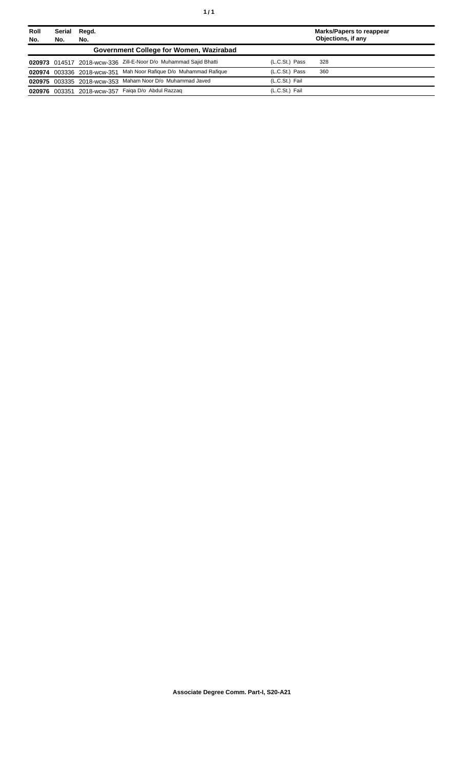| Roll<br>No. | Serial<br>No. | Regd.<br>No. |                                                                  |                | Marks/Papers to reappear<br>Objections, if any |
|-------------|---------------|--------------|------------------------------------------------------------------|----------------|------------------------------------------------|
|             |               |              | Government College for Women, Wazirabad                          |                |                                                |
|             |               |              | 020973 014517 2018-wcw-336 Zill-E-Noor D/o Muhammad Sajid Bhatti | (L.C.St.) Pass | 328                                            |
|             |               |              | 020974 003336 2018-wcw-351 Mah Noor Rafique D/o Muhammad Rafique | (L.C.St.) Pass | 360                                            |
|             |               |              | 020975 003335 2018-wcw-353 Maham Noor D/o Muhammad Javed         | (L.C.St.) Fail |                                                |
|             |               |              | 020976 003351 2018-wcw-357 Faiqa D/o Abdul Razzaq                | (L.C.St.) Fail |                                                |